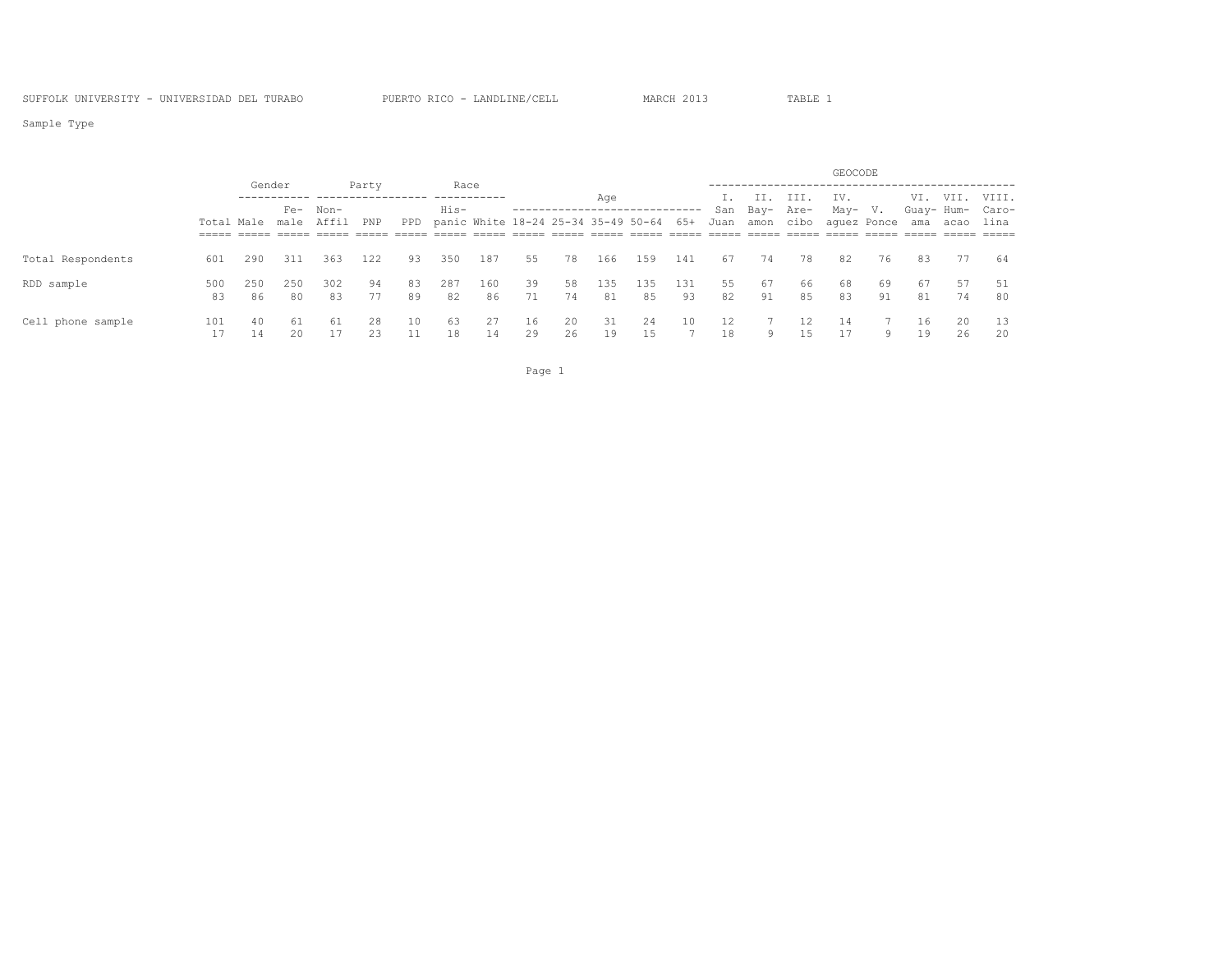Sample Type

|                   |     |     |        |                       |       |    |      |                                             |    |    |     |     |     |      |           |           | GEOCODE     |          |            |          |                     |
|-------------------|-----|-----|--------|-----------------------|-------|----|------|---------------------------------------------|----|----|-----|-----|-----|------|-----------|-----------|-------------|----------|------------|----------|---------------------|
|                   |     |     | Gender |                       | Party |    | Race |                                             |    |    | Age |     |     |      | II.       | III.      | IV.         |          |            | VI. VII. | VIII.               |
|                   |     |     | $Fe-$  | Non-                  |       |    | His- |                                             |    |    |     |     |     | San  | Bay- Are- |           | May- V.     |          | Guay- Hum- |          | Caro-               |
|                   |     |     |        | Total Male male Affil | PNP   |    |      | PPD panic White 18-24 25-34 35-49 50-64 65+ |    |    |     |     |     | Juan |           | amon cibo | aquez Ponce |          | ama        | acao     | lina                |
|                   |     |     |        |                       |       |    |      |                                             |    |    |     |     |     |      |           |           |             |          |            |          | $=$ $=$ $=$ $=$ $=$ |
| Total Respondents | 601 | 290 | 311    | 363                   | 122   | 93 | 350  | 187                                         | 55 | 78 | 166 | 159 | 141 | 67   | 74        | 78        | 82          | 76       | 83         | - 77     | 64                  |
| RDD sample        | 500 | 250 | 250    | 302                   | 94    | 83 | 287  | 160                                         | 39 | 58 | 135 | 135 | 131 | 55   | 67        | 66        | 68          | -69      | 67         | 57       | -51                 |
|                   | 83  | 86  | 80     | 83                    | 77    | 89 | 82   | 86                                          | 71 | 74 | 81  | 85  | 93  | 82   | 91        | 85        | 83          | 91       | 81         | 74       | 80                  |
| Cell phone sample | 101 | 40  | 61     | 61                    | 28    | 10 | 63   | 27                                          | 16 | 20 | 31  | 24  | 10  |      |           |           | -14         |          | 16         | 20       | 13                  |
|                   |     | 14  | 20     |                       | 23    |    | 18   | 14                                          | 29 | 26 | 19  | 15  |     | 18   | 9         | 15.       |             | $\alpha$ | 19         | 26       | 20                  |

Page 1 and 2012 12:00 the contract of the contract of the contract of the contract of the contract of the contract of the contract of the contract of the contract of the contract of the contract of the contract of the cont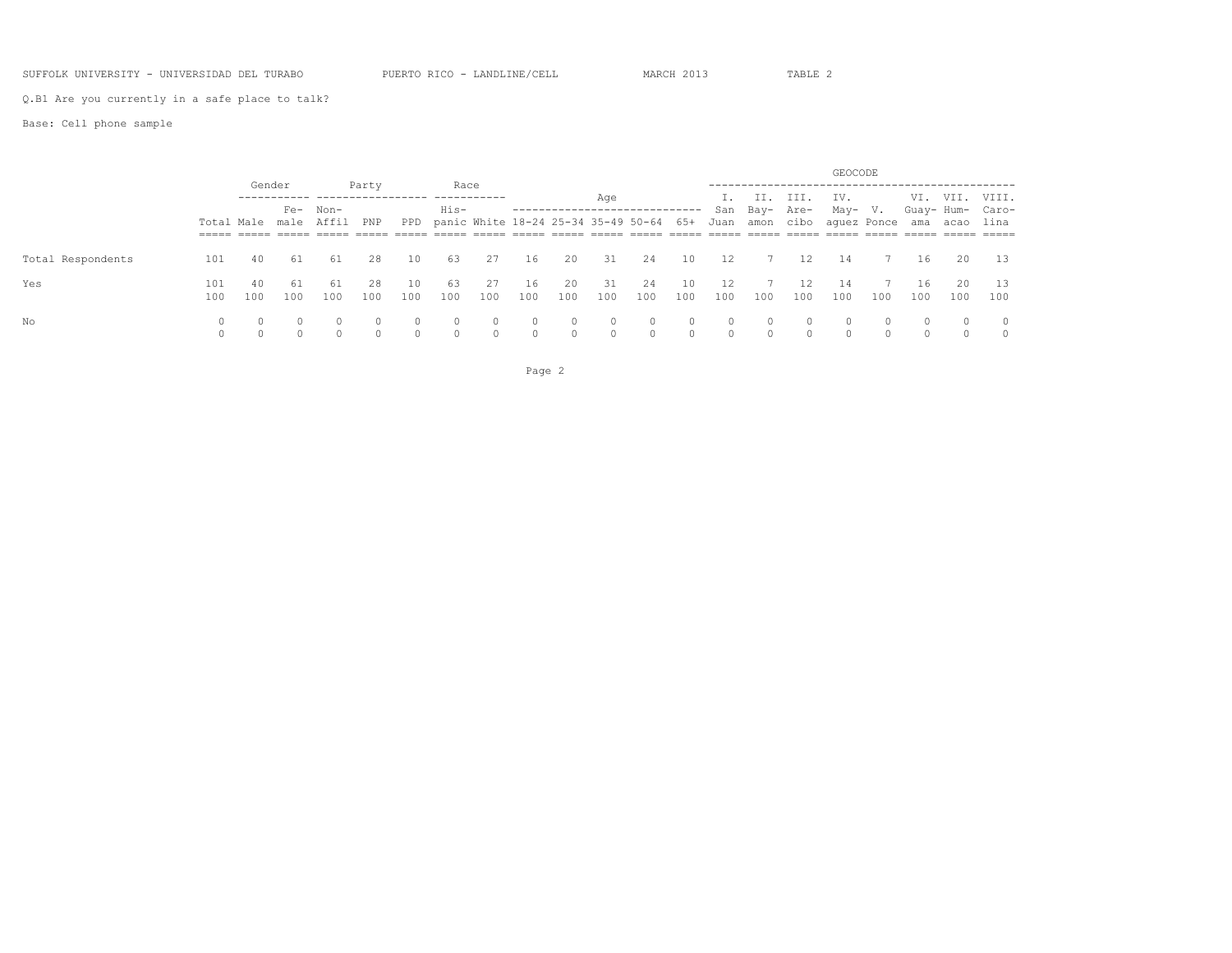### SUFFOLK UNIVERSITY - UNIVERSIDAD DEL TURABO PUERTO RICO - LANDLINE/CELL MARCH 2013 TABLE 2

Q.B1 Are you currently in a safe place to talk?

Base: Cell phone sample

|                   |     |     |          |                       |          |          |      |     |         |          |         |                                             |         |          |               |           | GEOCODE                     |     |               |            |         |
|-------------------|-----|-----|----------|-----------------------|----------|----------|------|-----|---------|----------|---------|---------------------------------------------|---------|----------|---------------|-----------|-----------------------------|-----|---------------|------------|---------|
|                   |     |     | Gender   |                       | Party    |          | Race |     |         |          | Age     |                                             |         |          | II.           | III.      | IV.                         |     |               | VI. VII.   | VIII.   |
|                   |     |     |          | Fe- Non-              |          |          | His- |     |         |          |         |                                             |         |          | San Bay- Are- |           | May- V.                     |     |               | Guay- Hum- | Caro-   |
|                   |     |     |          | Total Male male Affil | PNP      |          |      |     |         |          |         | PPD panic White 18-24 25-34 35-49 50-64 65+ |         | Juan     |               | amon cibo | aquez Ponce                 |     | ama           | acao       | lina    |
|                   |     |     |          | ------ ----- -----    |          |          |      |     | $=====$ |          |         |                                             |         |          |               |           | ___________________________ |     |               |            |         |
| Total Respondents | 101 | 40  | 61       | 61                    | 28       | 10       | 63   | 27  | 16      | 20       | 31      | 24                                          | 10      | 12       | 7             | 12        | 14                          |     | 16            | 20         | 13      |
| Yes               | 101 | 40  | -61      | 61                    | 28       | 10       | -63  | 27  | 16      | 20       | 31      | 24                                          | 10      | 12       |               | 12        | 14                          |     | 16            | 20         | - 13    |
|                   | 100 | 100 | 100      | 100                   | 100      | 100      | 100  | 100 | 100     | 100      | 100     | 100                                         | 100     | 100      | 100           | 100       | 100                         | 100 | 100           | 100        | 100     |
| No                |     |     | $\Omega$ |                       | $\Omega$ |          |      |     |         | $\circ$  | $\circ$ | $\mathbf{0}$                                | $\circ$ | $\circ$  | $\circ$       |           | $\Omega$                    |     | $\mathcal{O}$ | $\Omega$   | $\circ$ |
|                   |     |     | $\cap$   |                       | $\cap$   | $\Omega$ |      |     |         | $\Omega$ | $\circ$ | $\circ$                                     | $\circ$ | $\Omega$ | $\circ$       |           |                             |     |               |            | $\circ$ |

Page 2 and 2 and 2 and 2 and 2 and 2 and 2 and 2 and 2 and 2 and 2 and 2 and 2 and 2 and 2 and 2 and 2 and 2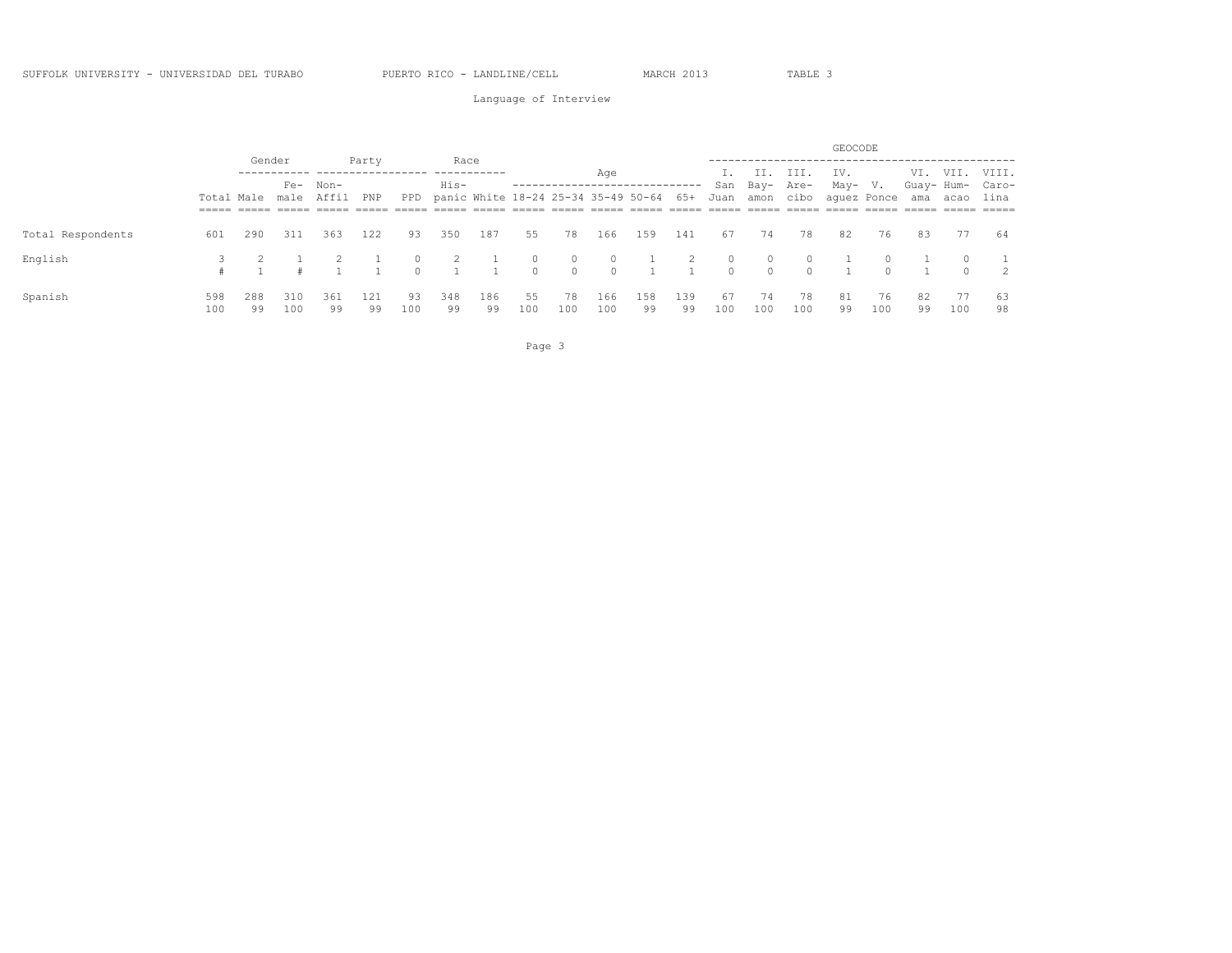Language of Interview

|     |     |     |               |                                         |              |                |     |            |          | Age      |     |     |           |          |                                                         | IV.                                           |        |                           |                   | VIII.                                           |
|-----|-----|-----|---------------|-----------------------------------------|--------------|----------------|-----|------------|----------|----------|-----|-----|-----------|----------|---------------------------------------------------------|-----------------------------------------------|--------|---------------------------|-------------------|-------------------------------------------------|
|     |     |     |               |                                         |              | His-           |     |            |          |          |     |     |           |          |                                                         |                                               |        |                           |                   |                                                 |
|     |     |     |               | PNP                                     |              |                |     |            |          |          |     |     |           |          |                                                         |                                               |        |                           |                   | lina                                            |
|     |     |     |               |                                         |              |                |     |            |          |          |     |     |           |          |                                                         |                                               |        |                           |                   |                                                 |
| 601 | 290 | 311 | 363           | 122                                     | 93           | 350            | 187 | 55         | 78       | 166      | 159 | 141 | 67        | 74       | 78                                                      | 82                                            | 76     | 83                        | 77                | - 64                                            |
|     |     |     |               |                                         | $\Omega$     | $\overline{2}$ |     | $\Omega$   | $\Omega$ | $\Omega$ |     | 2   | $\Omega$  | $\Omega$ |                                                         |                                               |        |                           | $\Omega$          |                                                 |
|     |     |     |               |                                         | $\cap$       |                |     | $\Omega$   | $\Omega$ | $\Omega$ |     |     | $\bigcap$ | $\Omega$ | $\Omega$                                                |                                               | $\cap$ |                           | $\cap$            | $\overline{2}$                                  |
| 598 | 288 | 310 | 361           | 121                                     | 93           | 348            | 186 | 55         | 78       | 166      | 158 | 139 | 67        | 74       | 78                                                      | 81                                            | 76     | 82                        | 77                | -63<br>98                                       |
|     | 100 | 99  | Gender<br>100 | Fe- Non-<br>Total Male male Affil<br>99 | Party<br>-99 | 100            | 99  | Race<br>99 | 100      | 100      | 100 | 99  | 99        | 100      | PPD panic White 18-24 25-34 35-49 50-64 65+ Juan<br>100 | II, III.<br>San Bay- Are-<br>amon cibo<br>100 | 99     | GEOCODE<br>May- V.<br>100 | aquez Ponce<br>99 | VI. VII.<br>Guay- Hum- Caro-<br>ama acao<br>100 |

Page 3 and 2012 and 2012 and 2012 and 2012 and 2012 and 2012 and 2012 and 2012 and 2012 and 2012 and 2012 and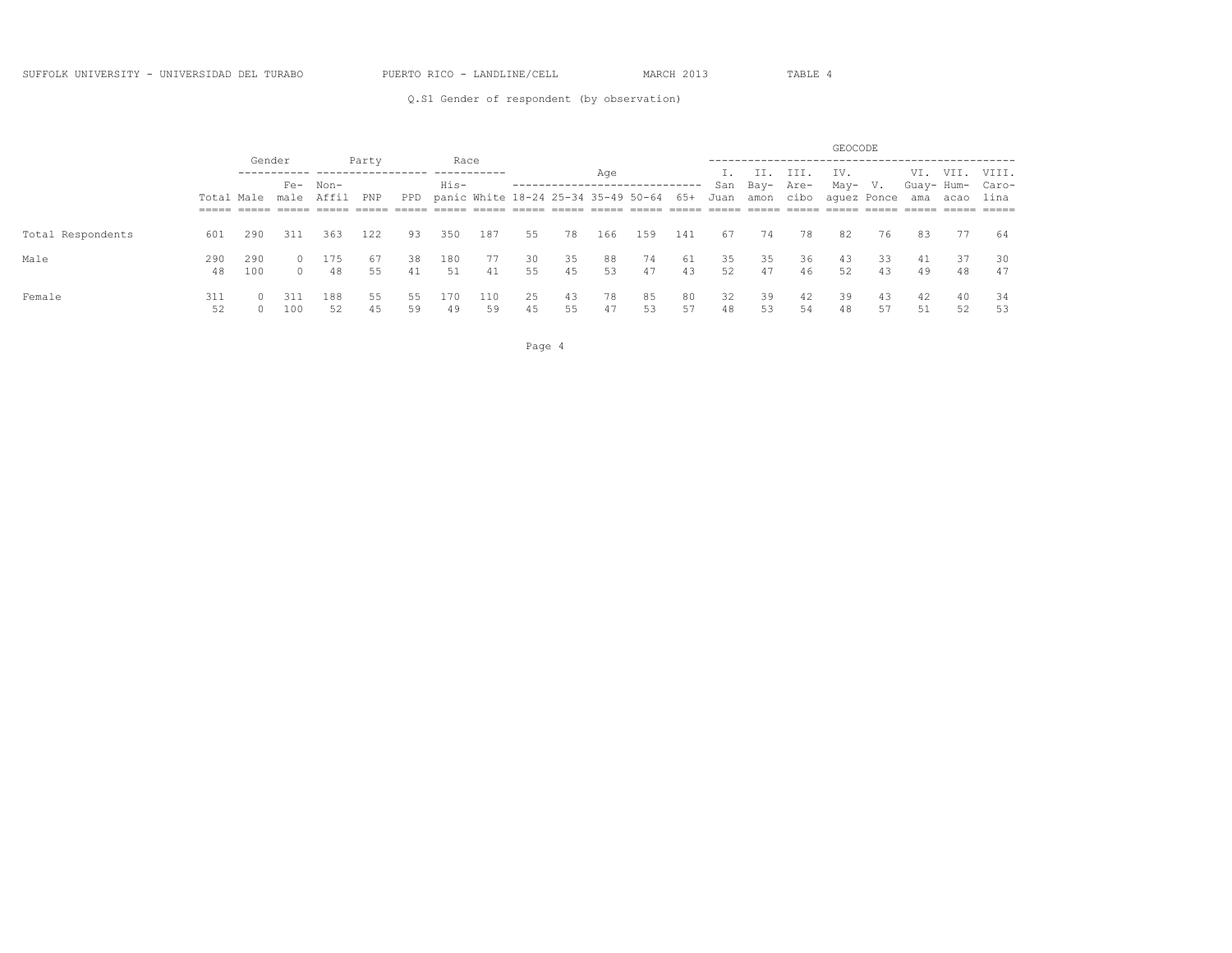Q.S1 Gender of respondent (by observation)

|                   |           |            |                       |           |          |          |                                                 |           |          |          |          |          |          |          |                                 |          | GEOCODE  |          |            |                           |          |
|-------------------|-----------|------------|-----------------------|-----------|----------|----------|-------------------------------------------------|-----------|----------|----------|----------|----------|----------|----------|---------------------------------|----------|----------|----------|------------|---------------------------|----------|
|                   |           | Gender     |                       |           | Party    |          | Race                                            |           |          |          | Age      |          |          |          | II.                             | III.     | IV.      |          |            | VI. VII.                  | VIII.    |
|                   |           |            | Total Male male Affil | Fe- Non-  | PNP      | PPD      | His-<br>panic White 18-24 25-34 35-49 50-64 65+ |           |          |          |          |          |          |          | San Bay- Are-<br>Juan amon cibo |          | May- V.  |          | Guay- Hum- | aquez Ponce ama acao lina | Caro-    |
|                   |           |            |                       |           |          |          |                                                 | $=====$   | $=====$  | $=====$  | $=====$  | $=====$  |          |          | ------                          |          |          |          |            |                           |          |
| Total Respondents | 601       | 290        | 311                   | 363       | 122      | 93       | 350                                             | 187       | 55       | 78       | 166      | 159      | 141      | 67       | 74                              | 78       | 82       | 76       | 83         | 77                        | 64       |
| Male              | 290<br>48 | 290<br>100 | $\Omega$              | 175<br>48 | 67<br>55 | 38<br>41 | 180<br>51                                       | 77<br>41  | 30<br>55 | 35<br>45 | 88<br>53 | 74<br>47 | 61<br>43 | 35<br>52 | 35<br>47                        | 36<br>46 | 43<br>52 | 33<br>43 | 41<br>49   | 37<br>48                  | 30<br>47 |
| Female            | 311       |            | -311<br>100           | 188<br>52 | 55<br>45 | 55<br>59 | 170<br>49                                       | 110<br>59 | 25<br>45 | 43<br>55 | 78<br>47 | 85<br>53 | 80<br>57 | 32<br>48 | 39<br>53                        | 42<br>54 | 39<br>48 | 43<br>57 | 42<br>51   | 40<br>52                  | 34<br>53 |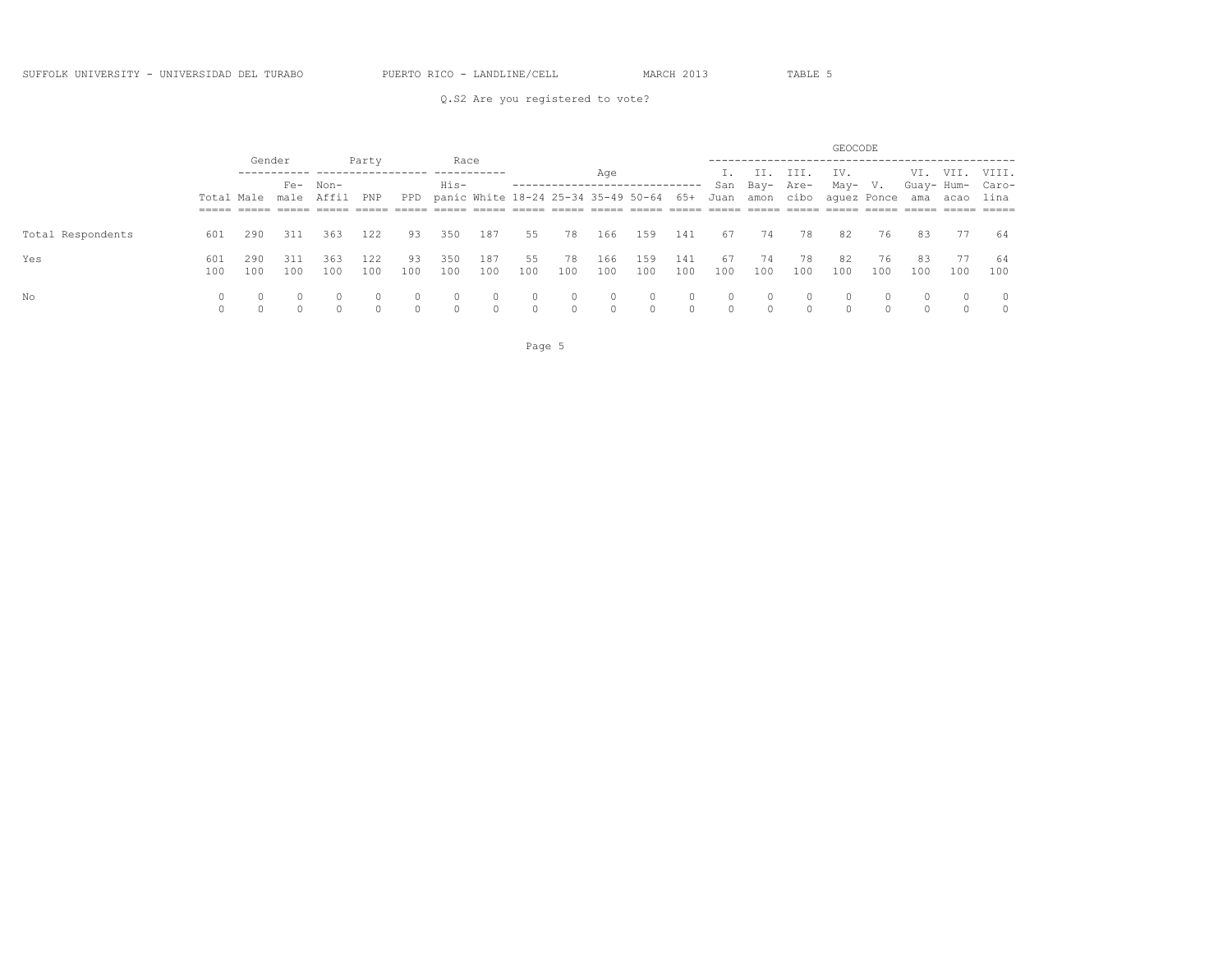### Q.S2 Are you registered to vote?

|                   |     |          |                       |                               |        |          |          |                                                                              |         |                |          |          |         |         |               |                              | GEOCODE                          |          |          |          |                  |
|-------------------|-----|----------|-----------------------|-------------------------------|--------|----------|----------|------------------------------------------------------------------------------|---------|----------------|----------|----------|---------|---------|---------------|------------------------------|----------------------------------|----------|----------|----------|------------------|
|                   |     |          | Gender                |                               | Party  |          | Race     |                                                                              |         |                | Age      |          |         |         | II. III.      |                              | IV.                              |          |          |          | VI. VII. VIII.   |
|                   |     |          |                       | Fe- Non-                      |        |          | His-     |                                                                              |         |                |          |          |         |         | San Bay- Are- |                              | May- V.                          |          |          |          | Guay- Hum- Caro- |
|                   |     |          | Total Male male Affil | ===== ===== ===== ===== ===== | PNP    | $=====$  |          | PPD panic White 18-24 25-34 35-49 50-64 65+<br>______ _____ _____ _____ ____ |         |                |          | $=====$  |         | Juan    |               | ____________________________ | amon cibo aquez Ponce<br>$=====$ | $=====$  |          | ama acao | lina<br>$=====$  |
|                   |     |          |                       |                               |        |          |          |                                                                              |         |                |          |          |         |         |               |                              |                                  |          |          |          |                  |
| Total Respondents | 601 | 290      | 311                   | 363                           | 122    | 93       | 350      | 187                                                                          | 55      | 78             | 166      | 159      | 141     | 67      | 74            | 78                           | 82                               | 76       | 83       | 77       | - 64             |
| Yes               | 601 | 290      | 311                   | 363                           | 122    | 93       | 350      | 187                                                                          | 55      | 78             | 166      | 159      | 141     | 67      | 74            | 78                           | 82                               | 76       | 83       | 77       | 64               |
|                   | 100 | 100      | 100                   | 100                           | 100    | 100      | 100      | 100                                                                          | 100     | 100            | 100      | 100      | 100     | 100     | 100           | 100                          | 100                              | 100      | 100      | 100      | 100              |
| No                |     | $\circ$  | $\circ$               | $\Omega$                      |        | $\circ$  | $\Omega$ | $\circ$                                                                      | $\circ$ | $\overline{0}$ | $\circ$  | $\circ$  | $\circ$ | $\circ$ | $\circ$       | $\circ$                      | $\circ$                          | $\Omega$ | $\Omega$ | $\Omega$ | $\overline{0}$   |
|                   |     | $\Omega$ | $\bigcap$             | $\Omega$                      | $\cap$ | $\Omega$ | $\cap$   | $\cap$                                                                       | $\cap$  | $\cap$         | $\Omega$ | $\Omega$ | $\cap$  | $\cap$  | $\Omega$      | $\cap$                       | $\cap$                           | $\cap$   |          |          | $\Omega$         |

Page 5 and 2012 and 2012 and 2012 and 2012 and 2012 and 2012 and 2012 and 2012 and 2012 and 2012 and 2012 and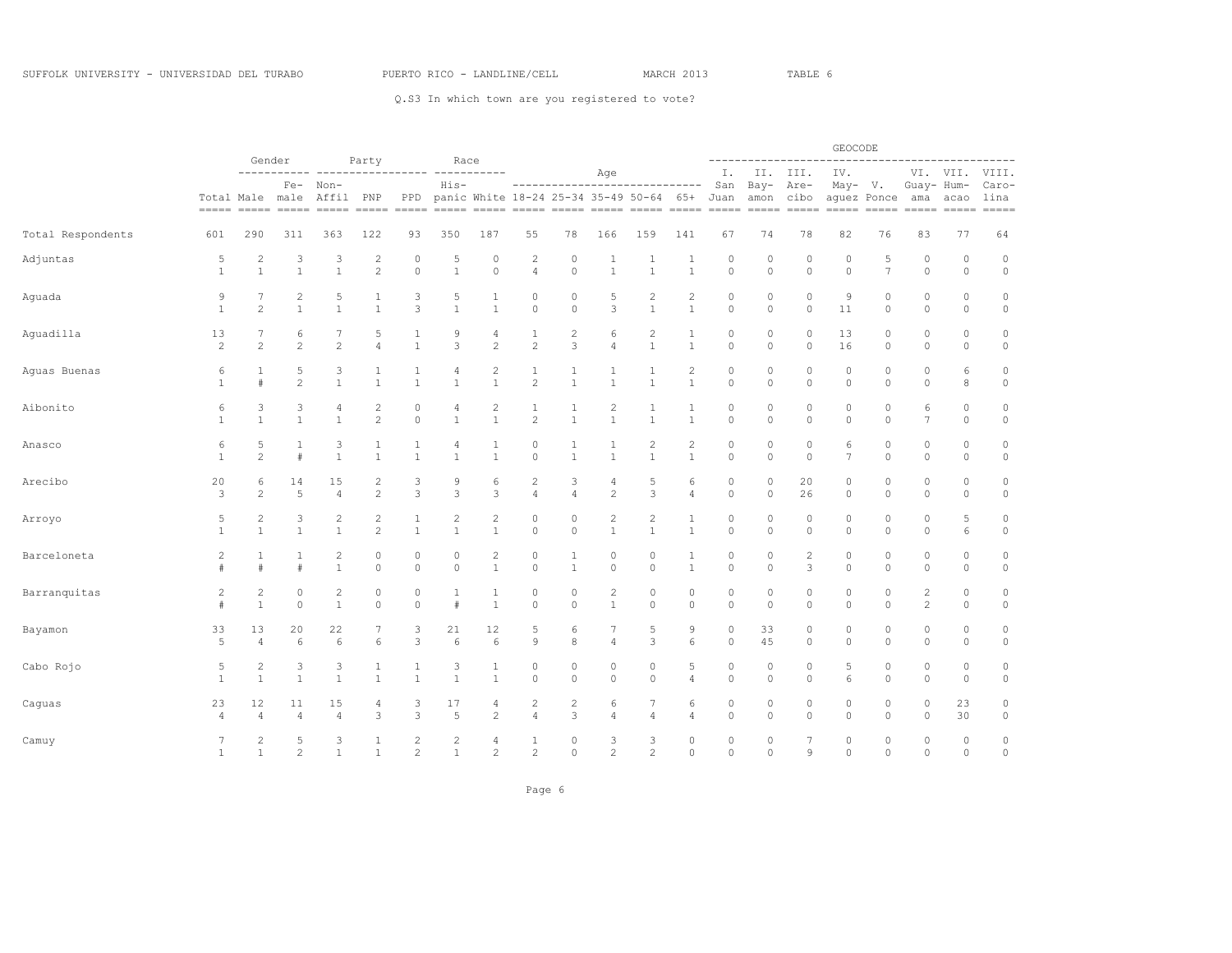|                   |                |                      | Gender               |                   |                |                |                  |                                |                     |                   |                |                                              |                   |                    |              | . <u>.</u>          | GEOCODE            |                        |                 |                                                                                                                                                                                                                                                                                                                                                                                                                                                                                                                                                                  | ------                 |
|-------------------|----------------|----------------------|----------------------|-------------------|----------------|----------------|------------------|--------------------------------|---------------------|-------------------|----------------|----------------------------------------------|-------------------|--------------------|--------------|---------------------|--------------------|------------------------|-----------------|------------------------------------------------------------------------------------------------------------------------------------------------------------------------------------------------------------------------------------------------------------------------------------------------------------------------------------------------------------------------------------------------------------------------------------------------------------------------------------------------------------------------------------------------------------------|------------------------|
|                   |                |                      | -----------<br>$Fe-$ | Non-              | Party          | --------       | Race<br>His-     | -----                          |                     |                   | Age            | ------------------------------               |                   | Ι.<br>San          | Bay- Are-    | II. III.            | IV.<br>May- V.     |                        | Guay- Hum-      | VI. VII.                                                                                                                                                                                                                                                                                                                                                                                                                                                                                                                                                         | VIII.<br>Caro-         |
|                   |                | Total Male male      |                      | Affil PNP         |                | PPD            |                  |                                |                     |                   |                | panic White 18-24 25-34 35-49 50-64 65+ Juan |                   |                    |              | amon cibo           | $=====$            | aquez Ponce<br>$=====$ | ama             | acao<br>$\begin{tabular}{lllll} \multicolumn{2}{l}{{\color{red}\boldsymbol{z}}} & \multicolumn{2}{l}{\color{blue}\boldsymbol{z}}} & \multicolumn{2}{l}{\color{blue}\boldsymbol{z}} & \multicolumn{2}{l}{\color{blue}\boldsymbol{z}} & \multicolumn{2}{l}{\color{blue}\boldsymbol{z}} & \multicolumn{2}{l}{\color{blue}\boldsymbol{z}} & \multicolumn{2}{l}{\color{blue}\boldsymbol{z}} & \multicolumn{2}{l}{\color{blue}\boldsymbol{z}} & \multicolumn{2}{l}{\color{blue}\boldsymbol{z}} & \multicolumn{2}{l}{\color{blue}\boldsymbol{z}} & \multicolumn{2}{l}{$ | lina<br>$= = = = = =$  |
| Total Respondents | 601            | 290                  | 311                  | 363               | 122            | 93             | 350              | 187                            | 55                  | 78                | 166            | 159                                          | 141               | 67                 | 74           | 78                  | 82                 | 76                     | 83              | 77                                                                                                                                                                                                                                                                                                                                                                                                                                                                                                                                                               | 64                     |
| Adjuntas          | 5              | $\overline{c}$       | 3                    | 3                 | $\overline{2}$ | 0              | 5                | $\theta$                       | $\overline{c}$      | 0                 | 1              | 1                                            | 1                 | $\circ$            | 0            | $\mathbf 0$         | $\circ$            | 5                      | $\circ$         | $\mathbf{0}$                                                                                                                                                                                                                                                                                                                                                                                                                                                                                                                                                     | $\mathbb O$            |
|                   | $\mathbf{1}$   | $\mathbf{1}$         | $\mathbf{1}$         | $\mathbf{1}$      | $\overline{c}$ | $\circ$        | $\mathbf{1}$     | $\mathbf 0$                    | $\overline{4}$      | $\circ$           | $\mathbf{1}$   | $\mathbf{1}$                                 | $1\,$             | $\circ$            | $\circ$      | $\circ$             | $\circ$            | $\overline{7}$         | $\circ$         | $\circ$                                                                                                                                                                                                                                                                                                                                                                                                                                                                                                                                                          | $\circ$                |
| Aguada            | $\mathcal{G}$  | 7                    | $\mathbf{2}$         | 5                 | 1              | 3              | 5                | 1                              | $\circ$             | $\circ$           | 5              | $\overline{c}$                               | $\sqrt{2}$        | $\circ$            | 0            | $\circ$             | $\mathcal{G}$      | $\circ$                | $\circ$         | 0                                                                                                                                                                                                                                                                                                                                                                                                                                                                                                                                                                | $\circ$                |
|                   | $\mathbf{1}$   | $\overline{c}$       | $\mathbf{1}$         | $\mathbf{1}$      | $\mathbf{1}$   | 3              | $1\,$            | $\mathbf{1}$                   | $\mathbb O$         | $\circ$           | 3              | $\mathbf{1}$                                 | $\mathbf{1}$      | $\circ$            | 0            | 0                   | 11                 | $\circ$                | $\circ$         | 0                                                                                                                                                                                                                                                                                                                                                                                                                                                                                                                                                                | $\circ$                |
| Aguadilla         | 13             | 7                    | 6                    | 7                 | 5              | 1              | 9                | 4                              | 1                   | 2                 | 6              | $\overline{c}$                               | $\mathbf{1}$      | $\circ$            | 0            | 0                   | 13                 | 0                      | 0               | 0                                                                                                                                                                                                                                                                                                                                                                                                                                                                                                                                                                | $\mathbb O$            |
|                   | $\overline{c}$ | $\mathbf{2}$         | $\mathbf{2}$         | $\overline{c}$    | 4              | $\mathbf{1}$   | 3                | $\overline{c}$                 | $\overline{c}$      | 3                 | 4              | $\mathbf 1$                                  | $\mathbf{1}$      | $\circ$            | $\circ$      | $\circ$             | 16                 | $\circ$                | 0               | 0                                                                                                                                                                                                                                                                                                                                                                                                                                                                                                                                                                | $\circ$                |
| Aguas Buenas      | 6              | 1                    | 5                    | 3                 | 1              | 1              | 4                | 2                              | 1                   | 1                 | 1              | 1                                            | $\mathbf{2}$      | $\circ$            | 0            | 0                   | $\circ$            | $\circ$                | 0               | 6                                                                                                                                                                                                                                                                                                                                                                                                                                                                                                                                                                | $\mathbb O$            |
|                   | $\mathbf{1}$   | $\#$                 | $\overline{c}$       | $\mathbf{1}$      | $\mathbf{1}$   | 1              | $\mathbf{1}$     | $\mathbf{1}$                   | $\overline{2}$      | $\mathbf{1}$      | $\mathbf{1}$   | $\mathbf{1}$                                 | $\mathbf{1}$      | $\circ$            | $\circ$      | $\circ$             | $\circ$            | $\circ$                | $\circ$         | 8                                                                                                                                                                                                                                                                                                                                                                                                                                                                                                                                                                | $\mathbb O$            |
| Aibonito          | 6              | 3                    | 3                    | 4                 | $\overline{c}$ | 0              | 4                | 2                              | 1                   | 1                 | $\overline{c}$ | 1                                            | $\mathbf{1}$      | $\circ$            | $\mathbb O$  | $\mathbf 0$         | $\mathbb O$        | 0                      | 6               | 0                                                                                                                                                                                                                                                                                                                                                                                                                                                                                                                                                                | $\mathbb O$            |
|                   | $\mathbf{1}$   | 1                    | $\mathbf{1}$         | $\mathbf{1}$      | $\overline{c}$ | $\mathbb O$    | $\mathbf{1}$     | $\mathbf{1}$                   | $\overline{2}$      | $\mathbf{1}$      | $\mathbf{1}$   | $1\,$                                        | $1\,$             | $\circ$            | $\circ$      | $\circ$             | $\circ$            | $\circ$                | $7\phantom{.0}$ | 0                                                                                                                                                                                                                                                                                                                                                                                                                                                                                                                                                                | $\circ$                |
| Anasco            | 6              | 5                    | 1                    | 3                 | 1              | 1              | 4                | 1                              | 0                   | 1                 | 1              | $\overline{2}$                               | $\mathbf{2}$      | 0                  | 0            | $\mathbf 0$         | 6                  | 0                      | 0               | 0                                                                                                                                                                                                                                                                                                                                                                                                                                                                                                                                                                | $\mathbb O$            |
|                   | 1              | $\mathbf{2}$         | #                    | $\mathbf{1}$      | $\mathbf{1}$   | $\mathbf{1}$   | $\mathbf{1}$     | $\mathbf{1}$                   | $\mathbb O$         | $\mathbf{1}$      | $\mathbf{1}$   | $\mathbf{1}$                                 | $\mathbf{1}$      | $\circ$            | $\mathbb O$  | $\circ$             | $\overline{7}$     | $\circ$                | $\circ$         | 0                                                                                                                                                                                                                                                                                                                                                                                                                                                                                                                                                                | $\circ$                |
| Arecibo           | 20             | 6                    | 14                   | 15                | 2              | 3              | 9                | 6                              | $\overline{c}$      | 3                 | 4              | 5                                            | 6                 | $\circ$            | 0            | 20                  | $\circ$            | $\circ$                | 0               | 0                                                                                                                                                                                                                                                                                                                                                                                                                                                                                                                                                                | $\mathbb O$            |
|                   | 3              | 2                    | 5                    | $\overline{4}$    | $\overline{c}$ | 3              | 3                | 3                              | $\overline{4}$      | $\sqrt{4}$        | $\mathbf{2}$   | 3                                            | $\overline{4}$    | $\circ$            | $\circ$      | 26                  | $\circ$            | $\circ$                | $\circ$         | $\circ$                                                                                                                                                                                                                                                                                                                                                                                                                                                                                                                                                          | $\circ$                |
| Arroyo            | 5              | 2                    | 3                    | 2                 | 2              | 1              | 2                | $\overline{c}$                 | $\circ$             | $\circ$           | 2              | 2                                            | $\mathbf{1}$      | $\circ$            | 0            | $\circ$             | $\circ$            | $\circ$                | 0               | 5                                                                                                                                                                                                                                                                                                                                                                                                                                                                                                                                                                | $\mathbb O$            |
|                   | $\mathbf{1}$   | $\mathbf{1}$         | $\mathbf{1}$         | $\mathbf{1}$      | $\overline{c}$ | $\mathbf{1}$   | $\mathbf{1}$     | $\mathbf{1}$                   | $\mathbb O$         | $\circ$           | $\mathbf{1}$   | $\mathbf{1}$                                 | $\mathbf{1}$      | $\circ$            | 0            | 0                   | $\circ$            | $\circ$                | $\circ$         | 6                                                                                                                                                                                                                                                                                                                                                                                                                                                                                                                                                                | $\circ$                |
| Barceloneta       | 2              | 1<br>$\ddagger$      | 1<br>#               | 2<br>$\mathbf{1}$ | 0<br>$\circ$   | 0<br>$\circ$   | 0<br>$\mathbb O$ | $\mathbf{2}$<br>$\overline{1}$ | 0<br>$\circ$        | 1<br>$\mathbf{1}$ | 0<br>$\circ$   | 0<br>$\circ$                                 | 1<br>$\mathbf{1}$ | $\circ$<br>$\circ$ | 0<br>$\circ$ | $\overline{2}$<br>3 | $\circ$<br>$\circ$ | $\circ$<br>$\circ$     | 0<br>$\circ$    | 0<br>$\mathbb O$                                                                                                                                                                                                                                                                                                                                                                                                                                                                                                                                                 | $\mathbb O$<br>$\circ$ |
| Barranquitas      | $\overline{2}$ | 2                    | $\circ$              | 2                 | $\circ$        | 0              | 1                | 1                              | $\circ$             | 0                 | $\overline{c}$ | 0                                            | $\circ$           | $\circ$            | $\circ$      | 0                   | $\circ$            | $\circ$                | 2               | 0                                                                                                                                                                                                                                                                                                                                                                                                                                                                                                                                                                | $\mathbb O$            |
|                   | #              | $\mathbf{1}$         | $\circ$              | $\mathbf{1}$      | $\circ$        | $\circ$        | #                | $\mathbf{1}$                   | $\mathbb O$         | $\circ$           | $\mathbf{1}$   | $\circ$                                      | $\circ$           | $\circ$            | $\circ$      | $\circ$             | $\circ$            | $\circ$                | $\mathbf{2}$    | $\circ$                                                                                                                                                                                                                                                                                                                                                                                                                                                                                                                                                          | $\circ$                |
| Bayamon           | 33<br>5        | 13<br>$\overline{4}$ | 20<br>6              | 22<br>6           | 6              | 3<br>3         | 21<br>6          | 12<br>6                        | 5<br>$\overline{9}$ | 6<br>8            | 7<br>4         | 5<br>3                                       | 9<br>6            | $\circ$<br>$\circ$ | 33<br>45     | 0<br>$\circ$        | $\circ$<br>$\circ$ | $\circ$<br>$\circ$     | $\circ$<br>0    | 0<br>0                                                                                                                                                                                                                                                                                                                                                                                                                                                                                                                                                           | $\mathbb O$<br>$\circ$ |
| Cabo Rojo         | 5              | 2                    | 3                    | 3                 | 1              | 1              | 3                | 1                              | $\circ$             | 0                 | 0              | 0                                            | 5                 | $\circ$            | $\circ$      | 0                   | 5                  | $\circ$                | 0               | 0                                                                                                                                                                                                                                                                                                                                                                                                                                                                                                                                                                | $\mathbb O$            |
|                   | $\mathbf{1}$   | $\mathbf{1}$         | $\mathbf{1}$         | $\mathbf{1}$      | $\mathbf{1}$   | 1              | $\overline{1}$   | $\mathbf{1}$                   | $\mathbb O$         | $\circ$           | $\circ$        | $\circ$                                      | $\overline{4}$    | $\circ$            | $\circ$      | $\circ$             | 6                  | $\circ$                | $\circ$         | $\circ$                                                                                                                                                                                                                                                                                                                                                                                                                                                                                                                                                          | $\circ$                |
| Caguas            | 23             | 12                   | 11                   | 15                | 4              | 3              | 17               | 4                              | $\overline{c}$      | $\overline{c}$    | 6              | 7                                            | 6                 | $\circ$            | 0            | $\mathbf 0$         | $\circ$            | $\circ$                | $\circ$         | 23                                                                                                                                                                                                                                                                                                                                                                                                                                                                                                                                                               | $\circ$                |
|                   | $\overline{4}$ | $\overline{4}$       | $\overline{4}$       | $\overline{4}$    | 3              | 3              | 5                | $\mathbf{2}$                   | $\overline{4}$      | 3                 | $\overline{4}$ | $\overline{4}$                               | 4                 | $\circ$            | $\mathbb O$  | $\mathbb O$         | $\circ$            | $\mathbb O$            | 0               | 30                                                                                                                                                                                                                                                                                                                                                                                                                                                                                                                                                               | $\circ$                |
| Camuy             | 7              | $\overline{c}$       | 5                    | 3                 | 1              | 2              | 2                | 4                              | $\mathbf{1}$        | 0                 | 3              | 3                                            | $\circ$           | $\circ$            | 0            | 7                   | $\circ$            | 0                      | 0               | 0                                                                                                                                                                                                                                                                                                                                                                                                                                                                                                                                                                | $\circ$                |
|                   | $1\,$          | $\mathbf{1}$         | $\mathbf{2}$         | $\mathbf{1}$      | $\mathbf{1}$   | $\overline{c}$ | $\overline{1}$   | $\overline{c}$                 | 2                   | $\circ$           | 2              | $\overline{2}$                               | $\circ$           | $\Omega$           | $\circ$      | 9                   | $\circ$            | $\Omega$               | $\Omega$        | $\Omega$                                                                                                                                                                                                                                                                                                                                                                                                                                                                                                                                                         | $\circ$                |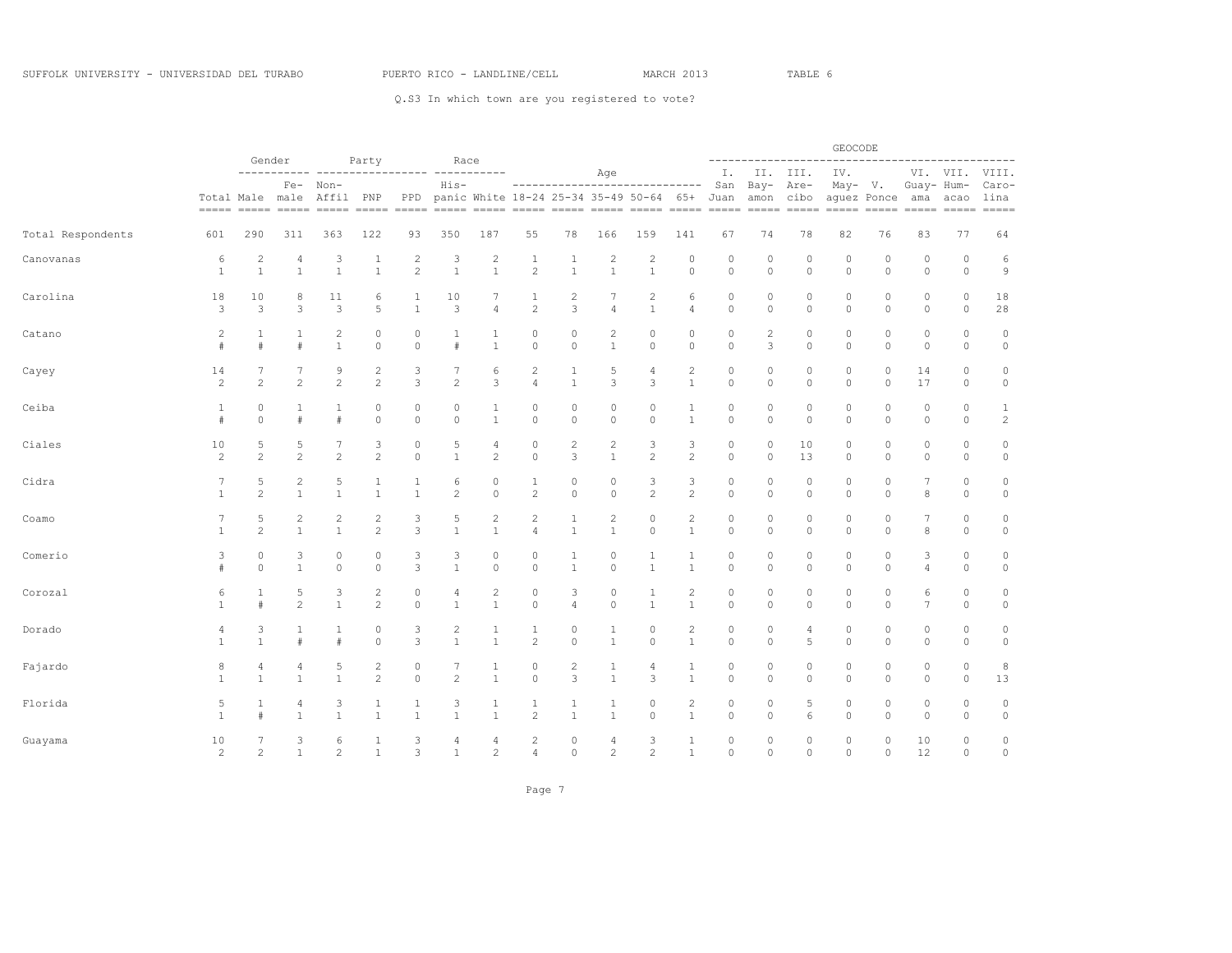|                   |                |                        | Gender            |                   |                    |                |                   |                |                        |                   |                         |                                                                           |                   |                    |                    |                   | GEOCODE            |                    |                     |                                                                                                                                                                                                                                                                                                                                                                                                                                                                                                                                                                    |                                |
|-------------------|----------------|------------------------|-------------------|-------------------|--------------------|----------------|-------------------|----------------|------------------------|-------------------|-------------------------|---------------------------------------------------------------------------|-------------------|--------------------|--------------------|-------------------|--------------------|--------------------|---------------------|--------------------------------------------------------------------------------------------------------------------------------------------------------------------------------------------------------------------------------------------------------------------------------------------------------------------------------------------------------------------------------------------------------------------------------------------------------------------------------------------------------------------------------------------------------------------|--------------------------------|
|                   |                |                        |                   |                   | Party              |                | Race              |                |                        |                   | Age                     |                                                                           |                   | Ι.                 |                    | II. III.          | IV.                |                    |                     | VI. VII.                                                                                                                                                                                                                                                                                                                                                                                                                                                                                                                                                           | VIII.                          |
|                   |                | Total Male male        | $Fe-$             | Non-<br>Affil PNP |                    | PPD            | $His-$            |                |                        |                   |                         | ------------------------------<br>panic White 18-24 25-34 35-49 50-64 65+ |                   | San<br>Juan        | $Bay-$             | Are-<br>amon cibo | May-               | V.<br>aguez Ponce  | Guay- Hum-<br>ama   | acao<br>$\begin{tabular}{ll} \multicolumn{2}{l}{{\color{red}\boldsymbol{=}}} & \multicolumn{2}{l}{\color{blue}\boldsymbol{=}} & \multicolumn{2}{l}{\color{blue}\boldsymbol{=}} & \multicolumn{2}{l}{\color{blue}\boldsymbol{=}} & \multicolumn{2}{l}{\color{blue}\boldsymbol{=}} & \multicolumn{2}{l}{\color{blue}\boldsymbol{=}} & \multicolumn{2}{l}{\color{blue}\boldsymbol{=}} & \multicolumn{2}{l}{\color{blue}\boldsymbol{=}} & \multicolumn{2}{l}{\color{blue}\boldsymbol{=}} & \multicolumn{2}{l}{\color{blue}\boldsymbol{=}} & \multicolumn{2}{l}{\color$ | Caro-<br>lina<br>$= = = = = =$ |
| Total Respondents | 601            | 290                    | 311               | 363               | 122                | 93             | 350               | 187            | 55                     | 78                | 166                     | 159                                                                       | 141               | 67                 | 74                 | 78                | 82                 | 76                 | 83                  | 77                                                                                                                                                                                                                                                                                                                                                                                                                                                                                                                                                                 | 64                             |
| Canovanas         | 6              | $\overline{c}$         | 4                 | 3                 | 1                  | $\overline{c}$ | 3                 | $\overline{c}$ | $\mathbf{1}$           | 1                 | $\overline{c}$          | $\overline{\mathbf{c}}$                                                   | $\circ$           | $\circ$            | $\circ$            | $\circ$           | $\circ$            | 0                  | $\circ$             | 0                                                                                                                                                                                                                                                                                                                                                                                                                                                                                                                                                                  | 6                              |
|                   | $1\,$          | $\mathbf{1}$           | $\mathbf{1}$      | $\mathbf{1}$      | $\mathbf{1}$       | $\overline{c}$ | $\overline{1}$    | $\overline{1}$ | $\overline{c}$         | $1\,$             | $\mathbf{1}$            | $1\,$                                                                     | $\circ$           | $\circ$            | $\circ$            | $\mathbb O$       | $\circ$            | $\circ$            | $\circ$             | $\mathbb O$                                                                                                                                                                                                                                                                                                                                                                                                                                                                                                                                                        | 9                              |
| Carolina          | 18<br>3        | 10<br>3                | 8<br>3            | 11<br>3           | 6<br>5             | $\mathbf{1}$   | 10<br>3           | 7<br>4         | 1<br>$\overline{c}$    | 2<br>3            | 7<br>$\overline{4}$     | 2<br>$\mathbf{1}$                                                         | 6<br>4            | $\circ$<br>$\circ$ | $\circ$<br>$\circ$ | 0<br>$\circ$      | $\circ$<br>$\circ$ | $\circ$<br>$\circ$ | $\circ$<br>$\circ$  | 0<br>0                                                                                                                                                                                                                                                                                                                                                                                                                                                                                                                                                             | 18<br>$2\,8$                   |
| Catano            | $\overline{c}$ | 1                      | 1                 | 2                 | $\circ$            | 0              | 1                 | 1              | $\circ$                | 0                 | $\overline{\mathbf{c}}$ | 0                                                                         | 0                 | 0                  | $\overline{c}$     | $\circ$           | 0                  | 0                  | $\circ$             | 0                                                                                                                                                                                                                                                                                                                                                                                                                                                                                                                                                                  | $\circ$                        |
|                   | #              | #                      | #                 | $\mathbf{1}$      | $\circ$            | $\circ$        | $\#$              | $\mathbf{1}$   | $\circ$                | $\mathbb O$       | $\mathbf{1}$            | $\circ$                                                                   | $\circ$           | $\circ$            | 3                  | $\circ$           | $\circ$            | $\circ$            | $\circ$             | $\circ$                                                                                                                                                                                                                                                                                                                                                                                                                                                                                                                                                            | $\circ$                        |
| Cayey             | 14             | 7                      | 7                 | 9                 | 2                  | 3              | 7                 | 6              | $\overline{c}$         | 1                 | 5                       | 4                                                                         | $\mathbf{2}$      | $\circ$            | $\circ$            | $\circ$           | $\circ$            | $\circ$            | 14                  | 0                                                                                                                                                                                                                                                                                                                                                                                                                                                                                                                                                                  | $\mathbb O$                    |
|                   | $\overline{c}$ | $\overline{c}$         | $\overline{2}$    | $\mathbf{2}$      | $\overline{2}$     | 3              | $\overline{c}$    | 3              | $\overline{4}$         | $\mathbf{1}$      | 3                       | 3                                                                         | $\mathbf{1}$      | $\circ$            | $\circ$            | $\circ$           | $\circ$            | $\circ$            | 17                  | $\circ$                                                                                                                                                                                                                                                                                                                                                                                                                                                                                                                                                            | $\circ$                        |
| Ceiba             | 1              | 0                      | 1                 | 1                 | $\circ$            | 0              | 0                 | $\mathbf{1}$   | $\circ$                | 0                 | $\circ$                 | 0                                                                         | $\mathbf{1}$      | 0                  | $\circ$            | 0                 | $\circ$            | 0                  | 0                   | 0                                                                                                                                                                                                                                                                                                                                                                                                                                                                                                                                                                  | $\mathbf{1}$                   |
|                   | #              | $\circ$                | #                 | #                 | $\circ$            | $\circ$        | $\circ$           | $\mathbf{1}$   | $\circ$                | $\circ$           | $\circ$                 | $\circ$                                                                   | $\mathbf{1}$      | $\circ$            | $\circ$            | $\circ$           | $\circ$            | $\circ$            | $\circ$             | $\circ$                                                                                                                                                                                                                                                                                                                                                                                                                                                                                                                                                            | $\overline{c}$                 |
| Ciales            | 10             | 5                      | 5                 | 7                 | 3                  | 0              | 5                 | 4              | $\circ$                | $\overline{c}$    | $\sqrt{2}$              | 3                                                                         | 3                 | $\circ$            | $\circ$            | 10                | $\circ$            | 0                  | 0                   | 0                                                                                                                                                                                                                                                                                                                                                                                                                                                                                                                                                                  | $\mathbb O$                    |
|                   | $\overline{c}$ | $\overline{c}$         | $\overline{c}$    | $\mathbf{2}$      | $\overline{2}$     | $\circ$        | $\mathbf{1}$      | $\mathbf{2}$   | $\circ$                | 3                 | $\mathbf{1}$            | $\overline{c}$                                                            | $\mathbf{2}$      | $\circ$            | $\circ$            | 13                | $\mathbb O$        | $\circ$            | $\circ$             | 0                                                                                                                                                                                                                                                                                                                                                                                                                                                                                                                                                                  | $\mathbb O$                    |
| Cidra             | $\overline{7}$ | 5                      | $\overline{2}$    | 5                 | 1                  | 1              | 6                 | $\mathbf{0}$   | 1                      | 0                 | $\circ$                 | 3                                                                         | 3                 | $\circ$            | $\circ$            | $\circ$           | 0                  | 0                  | 7                   | 0                                                                                                                                                                                                                                                                                                                                                                                                                                                                                                                                                                  | $\mathbb O$                    |
|                   | $\mathbf{1}$   | $\overline{c}$         | $\mathbf{1}$      | $\mathbf{1}$      | $\mathbf{1}$       | $\mathbf{1}$   | $\overline{c}$    | 0              | $\mathbf{2}$           | $\mathbb O$       | $\circ$                 | $\mathbf{2}$                                                              | $\mathbf{2}$      | $\circ$            | $\circ$            | 0                 | $\circ$            | $\circ$            | 8                   | 0                                                                                                                                                                                                                                                                                                                                                                                                                                                                                                                                                                  | $\circ$                        |
| Coamo             | 7              | 5                      | $\overline{c}$    | 2                 | $\overline{c}$     | 3              | 5                 | 2              | $\overline{c}$         | 1                 | $\mathbf{2}$            | 0                                                                         | $\mathbf{2}$      | $\circ$            | $\circ$            | 0                 | $\circ$            | 0                  | 7                   | 0                                                                                                                                                                                                                                                                                                                                                                                                                                                                                                                                                                  | $\circ$                        |
|                   | 1              | $\overline{c}$         | $\mathbf{1}$      | $\mathbf{1}$      | $\mathbf{2}$       | 3              | $\mathbf{1}$      | $\mathbf{1}$   | $\overline{4}$         | $1\,$             | $1\,$                   | $\circ$                                                                   | $\mathbf{1}$      | $\circ$            | $\circ$            | $\circ$           | $\circ$            | $\circ$            | 8                   | $\circ$                                                                                                                                                                                                                                                                                                                                                                                                                                                                                                                                                            | $\mathbb O$                    |
| Comerio           | 3              | $\mathbb O$<br>$\circ$ | 3<br>$\mathbf{1}$ | 0<br>$\circ$      | $\circ$<br>$\circ$ | 3<br>3         | 3<br>$\mathbf{1}$ | 0<br>$\Omega$  | $\circ$<br>$\mathbb O$ | 1<br>$\mathbf{1}$ | $\circ$<br>$\circ$      | 1<br>$\mathbf{1}$                                                         | 1<br>$\mathbf{1}$ | $\circ$<br>$\circ$ | $\circ$<br>$\circ$ | 0<br>$\circ$      | $\circ$<br>$\circ$ | 0<br>$\circ$       | 3<br>$\overline{4}$ | 0<br>$\circ$                                                                                                                                                                                                                                                                                                                                                                                                                                                                                                                                                       | $\mathbb O$<br>$\mathsf{O}$    |
| Corozal           | 6              | 1                      | 5                 | 3                 | 2                  | 0              | 4                 | $\overline{c}$ | $\circ$                | 3                 | $\mathbb O$             | $\mathbf{1}$                                                              | $\mathbf{2}$      | $\circ$            | $\circ$            | 0                 | $\circ$            | $\circ$            | 6                   | 0                                                                                                                                                                                                                                                                                                                                                                                                                                                                                                                                                                  | $\mathbb O$                    |
|                   | $\mathbf{1}$   | #                      | $\mathbf{2}$      | $\mathbf{1}$      | $\mathbf{2}$       | $\mathbb O$    | $1\,$             | $\mathbf{1}$   | $\circ$                | $\overline{4}$    | $\circ$                 | $\mathbf{1}$                                                              | $\mathbf{1}$      | $\circ$            | $\circ$            | 0                 | $\mathbb O$        | $\circ$            | 7                   | 0                                                                                                                                                                                                                                                                                                                                                                                                                                                                                                                                                                  | $\mathbb O$                    |
| Dorado            | 4              | 3                      | 1                 | 1                 | 0                  | 3              | $\overline{c}$    | 1              | $\mathbf{1}$           | 0                 | 1                       | 0                                                                         | $\overline{c}$    | 0                  | 0                  | 4                 | $\mathbb O$        | 0                  | 0                   | 0                                                                                                                                                                                                                                                                                                                                                                                                                                                                                                                                                                  | $\circ$                        |
|                   | $\mathbf{1}$   | $1\,$                  | #                 | #                 | $\circ$            | 3              | $\mathbf{1}$      | $\mathbf{1}$   | $\sqrt{2}$             | $\mathbb O$       | $1\,$                   | $\circ$                                                                   | $\mathbf{1}$      | $\circ$            | $\circ$            | 5                 | $\circ$            | $\circ$            | $\circ$             | 0                                                                                                                                                                                                                                                                                                                                                                                                                                                                                                                                                                  | $\circ$                        |
| Fajardo           | 8              | 4                      | 4                 | 5                 | $\overline{c}$     | 0              | 7                 | -1             | $\circ$                | $\overline{c}$    | 1                       | 4                                                                         | 1                 | $\circ$            | $\circ$            | $\circ$           | $\mathbb O$        | 0                  | $\circ$             | 0                                                                                                                                                                                                                                                                                                                                                                                                                                                                                                                                                                  | $^{\rm 8}$                     |
|                   | $\mathbf{1}$   | $\mathbf{1}$           | $\mathbf{1}$      | $\mathbf{1}$      | $\overline{2}$     | $\circ$        | $\overline{c}$    | $\mathbf{1}$   | $\circ$                | 3                 | $\mathbf{1}$            | 3                                                                         | $\mathbf{1}$      | $\circ$            | $\circ$            | $\circ$           | $\circ$            | $\circ$            | $\circ$             | $\circ$                                                                                                                                                                                                                                                                                                                                                                                                                                                                                                                                                            | 13                             |
| Florida           | 5              | 1                      | 4                 | 3                 | 1                  | 1              | 3                 | 1              | 1                      | 1                 | 1                       | 0                                                                         | $\mathbf{2}$      | $\circ$            | $\circ$            | 5                 | $\circ$            | $\circ$            | $\circ$             | 0                                                                                                                                                                                                                                                                                                                                                                                                                                                                                                                                                                  | $\circ$                        |
|                   | $\mathbf{1}$   | #                      | $\mathbf{1}$      | $\mathbf{1}$      | $\mathbf{1}$       | $\mathbf{1}$   | $\mathbf{1}$      | $\mathbf{1}$   | $\overline{c}$         | $\mathbf{1}$      | $\,1\,$                 | $\circ$                                                                   | $\mathbf{1}$      | $\circ$            | $\circ$            | 6                 | $\circ$            | $\circ$            | $\mathsf{O}\xspace$ | 0                                                                                                                                                                                                                                                                                                                                                                                                                                                                                                                                                                  | $\mathbb O$                    |
| Guayama           | 10             | 7                      | 3                 | 6                 | 1                  | 3              | 4                 | 4              | $\overline{c}$         | 0                 | 4                       | 3                                                                         | $\mathbf{1}$      | $\circ$            | $\circ$            | $\circ$           | $\circ$            | 0                  | 10                  | 0                                                                                                                                                                                                                                                                                                                                                                                                                                                                                                                                                                  | $\mathbb O$                    |
|                   | 2              | $\overline{c}$         | $\mathbf{1}$      | $\overline{c}$    | $\mathbf{1}$       | 3              | $\mathbf{1}$      | $\mathbf{2}$   | 4                      | $\Omega$          | 2                       | $\overline{2}$                                                            | $\overline{1}$    | $\circ$            | $\Omega$           | $\Omega$          | $\Omega$           | $\Omega$           | 12                  | $\Omega$                                                                                                                                                                                                                                                                                                                                                                                                                                                                                                                                                           | $\circ$                        |

 $\lceil \log_2 n \rceil$  . The page  $\lceil \log_2 n \rceil$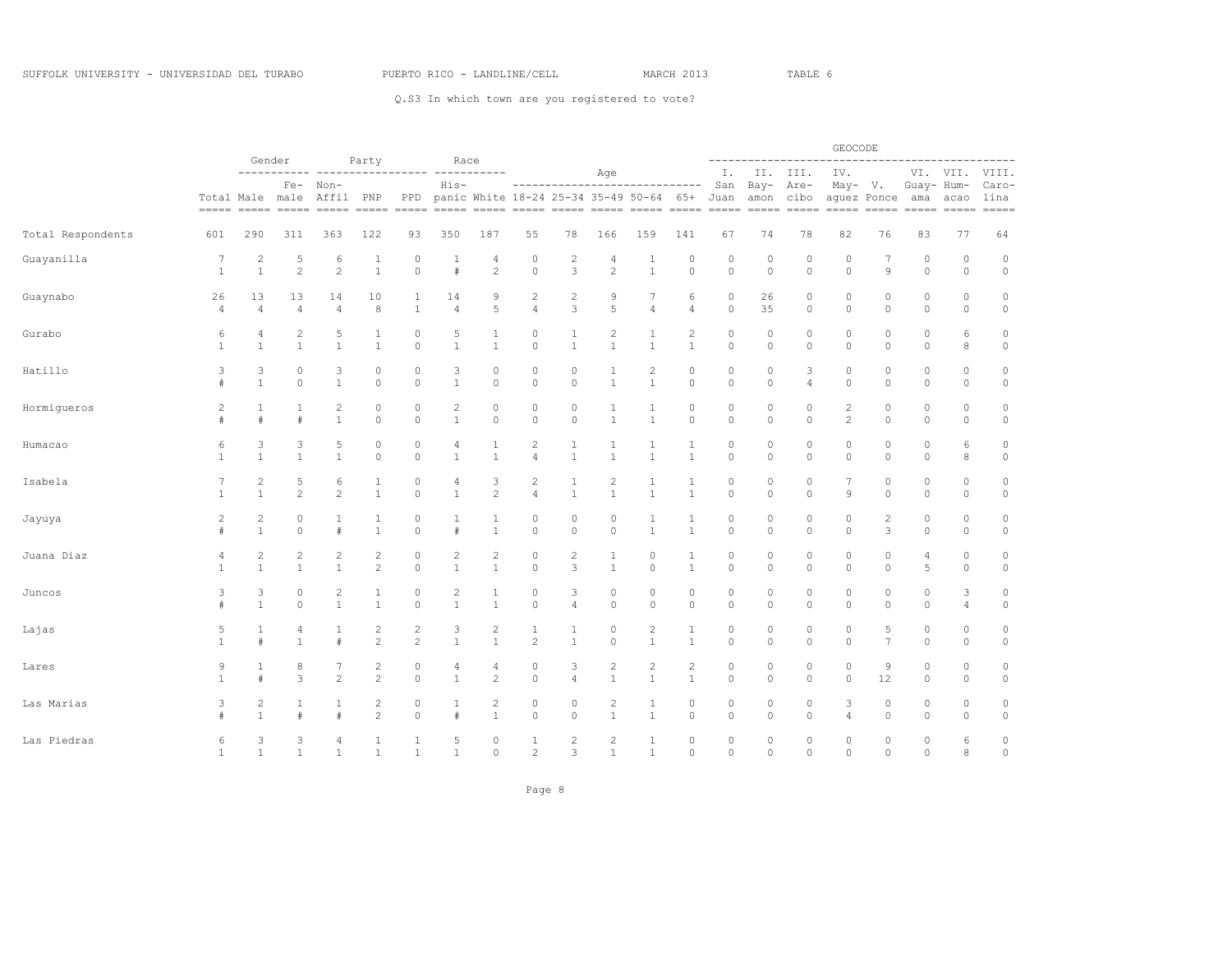|                   |                      |                                | Gender            |                     |                                  |                            |                                |                                     |                                  |                     |                                |                               |                     |                    |                            |                             | GEOCODE                      |                    |                        |                                                                                                                                                                                                                                                                                                                                                                                                                                                                                                                                                                    |                                |
|-------------------|----------------------|--------------------------------|-------------------|---------------------|----------------------------------|----------------------------|--------------------------------|-------------------------------------|----------------------------------|---------------------|--------------------------------|-------------------------------|---------------------|--------------------|----------------------------|-----------------------------|------------------------------|--------------------|------------------------|--------------------------------------------------------------------------------------------------------------------------------------------------------------------------------------------------------------------------------------------------------------------------------------------------------------------------------------------------------------------------------------------------------------------------------------------------------------------------------------------------------------------------------------------------------------------|--------------------------------|
|                   |                      |                                |                   |                     | Party                            |                            | Race                           |                                     |                                  |                     | Age                            |                               |                     | Ι.                 |                            | II. III.                    | IV.                          |                    |                        | VI. VII.                                                                                                                                                                                                                                                                                                                                                                                                                                                                                                                                                           | VIII.                          |
|                   |                      | Total Male male                | $Fe-$             | Non-<br>Affil PNP   |                                  | PPD                        | His-                           | panic White 18-24 25-34 35-49 50-64 |                                  |                     |                                | ----------------------------- | 65+                 | San<br>Juan        | $Bay-$<br>amon cibo        | Are-                        | $May-$                       | V.<br>aquez Ponce  | Guay- Hum-<br>ama      | acao<br>$\begin{tabular}{ll} \multicolumn{2}{l}{{\color{red}\boldsymbol{=}}} & \multicolumn{2}{l}{\color{blue}\boldsymbol{=}} & \multicolumn{2}{l}{\color{blue}\boldsymbol{=}} & \multicolumn{2}{l}{\color{blue}\boldsymbol{=}} & \multicolumn{2}{l}{\color{blue}\boldsymbol{=}} & \multicolumn{2}{l}{\color{blue}\boldsymbol{=}} & \multicolumn{2}{l}{\color{blue}\boldsymbol{=}} & \multicolumn{2}{l}{\color{blue}\boldsymbol{=}} & \multicolumn{2}{l}{\color{blue}\boldsymbol{=}} & \multicolumn{2}{l}{\color{blue}\boldsymbol{=}} & \multicolumn{2}{l}{\color$ | Caro-<br>lina<br>$= = = = = =$ |
| Total Respondents | 601                  | 290                            | 311               | 363                 | 122                              | 93                         | 350                            | 187                                 | 55                               | 78                  | 166                            | 159                           | 141                 | 67                 | 74                         | 78                          | 82                           | 76                 | 83                     | 77                                                                                                                                                                                                                                                                                                                                                                                                                                                                                                                                                                 | 64                             |
| Guayanilla        | 7<br>$\mathbf{1}$    | $\overline{c}$<br>$\mathbf{1}$ | 5<br>$\mathbf{2}$ | 6<br>$\overline{c}$ | 1<br>$\mathbf{1}$                | $\mathbf 0$<br>$\circ$     | $\mathbf{1}$<br>#              | 4<br>$\overline{c}$                 | $\mathbb O$<br>$\circ$           | $\overline{c}$<br>3 | 4<br>$\mathbf{2}$              | 1<br>$1\,$                    | $\circ$<br>$\circ$  | $\circ$<br>$\circ$ | 0<br>$\mathbb O$           | $\mathbf{0}$<br>$\mathbb O$ | $\circ$<br>$\circ$           | $\mathcal{G}$      | $\circ$<br>$\mathbb O$ | 0<br>$\mathbb O$                                                                                                                                                                                                                                                                                                                                                                                                                                                                                                                                                   | $\mathbb O$<br>$\circ$         |
| Guaynabo          | 26<br>$\overline{4}$ | 13<br>$\overline{4}$           | 13<br>4           | 14<br>4             | 10<br>8                          | $\mathbf{1}$               | 14<br>$\overline{4}$           | 9<br>5                              | $\overline{c}$<br>$\overline{4}$ | $\overline{c}$<br>3 | 9<br>5                         | 7<br>4                        | 6<br>$\overline{4}$ | $\circ$<br>$\circ$ | 26<br>35                   | $\mathbf 0$<br>$\circ$      | $\circ$<br>$\circ$           | $\circ$<br>$\circ$ | $\circ$<br>$\circ$     | 0<br>0                                                                                                                                                                                                                                                                                                                                                                                                                                                                                                                                                             | $\mathbb O$<br>$\circ$         |
| Gurabo            | 6                    | $\overline{4}$                 | 2                 | 5                   | 1                                | $\Omega$                   | 5                              | 1                                   | $\circ$                          | 1                   | $\overline{c}$                 | 1                             | $\mathbf{2}$        | $\circ$            | $\circ$                    | $\Omega$                    | $\circ$                      | $\Omega$           | $\circ$                | 6                                                                                                                                                                                                                                                                                                                                                                                                                                                                                                                                                                  | $\mathbb O$                    |
|                   | $\mathbf{1}$         | $\mathbf{1}$                   | $\mathbf{1}$      | $\mathbf{1}$        | $\mathbf{1}$                     | $\circ$                    | $\mathbf{1}$                   | $\mathbf{1}$                        | $\circ$                          | $\mathbf{1}$        | $\mathbf{1}$                   | $\mathbf{1}$                  | $1\,$               | $\circ$            | $\circ$                    | $\circ$                     | $\circ$                      | $\circ$            | $\circ$                | 8                                                                                                                                                                                                                                                                                                                                                                                                                                                                                                                                                                  | $\circ$                        |
| Hatillo           | 3                    | 3                              | $\circ$           | 3                   | $\circ$                          | 0                          | 3                              | $\mathbf{0}$                        | $\circ$                          | $\circ$             | 1                              | $\overline{c}$                | $\circ$             | $\circ$            | $\circ$                    | 3                           | $\circ$                      | $\circ$            | $\circ$                | $\mathbb O$                                                                                                                                                                                                                                                                                                                                                                                                                                                                                                                                                        | $\circ$                        |
|                   | #                    | $\mathbf{1}$                   | $\circ$           | $1\,$               | $\circ$                          | $\circ$                    | $\mathbf{1}$                   | $\circ$                             | $\circ$                          | $\circ$             | $\mathbf{1}$                   | $\mathbf{1}$                  | $\circ$             | $\circ$            | $\circ$                    | $\overline{4}$              | $\circ$                      | $\circ$            | $\circ$                | $\circ$                                                                                                                                                                                                                                                                                                                                                                                                                                                                                                                                                            | $\circ$                        |
| Hormigueros       | 2                    | 1<br>#                         | 1<br>#            | 2<br>$\mathbf{1}$   | $\circ$<br>$\circ$               | 0<br>$\circ$               | $\overline{c}$<br>$\mathbf{1}$ | $\circ$<br>$\mathbf{0}$             | $\circ$<br>$\circ$               | 0<br>$\circ$        | 1<br>$\mathbf{1}$              | 1<br>$\mathbf{1}$             | $\circ$<br>$\circ$  | $\circ$<br>$\circ$ | 0<br>$\circ$               | $\mathbf 0$<br>$\circ$      | $\mathbf{2}$<br>$\mathbf{2}$ | $\circ$<br>$\circ$ | 0<br>$\circ$           | 0<br>0                                                                                                                                                                                                                                                                                                                                                                                                                                                                                                                                                             | $\mathbb O$<br>$\circ$         |
| Humacao           | 6                    | 3                              | 3                 | 5                   | $\circ$                          | 0                          | 4                              | 1                                   | $\overline{c}$                   | 1                   | 1                              | 1                             | 1                   | $\circ$            | 0                          | $\mathbf{0}$                | $\mathbb O$                  | $\circ$            | 0                      | 6                                                                                                                                                                                                                                                                                                                                                                                                                                                                                                                                                                  | $\mathbb O$                    |
|                   | $\mathbf{1}$         | $\mathbf{1}$                   | $\mathbf{1}$      | $\mathbf{1}$        | $\circ$                          | $\circ$                    | $\mathbf{1}$                   | $\mathbf{1}$                        | $\overline{4}$                   | $\mathbf{1}$        | 1                              | $\mathbf{1}$                  | $\mathbf{1}$        | $\circ$            | $\circ$                    | $\circ$                     | $\circ$                      | $\circ$            | $\circ$                | 8                                                                                                                                                                                                                                                                                                                                                                                                                                                                                                                                                                  | $\circ$                        |
| Isabela           | 7                    | $\overline{c}$                 | 5                 | 6                   | 1                                | $\mathbf{0}$               | 4                              | 3                                   | $\overline{c}$                   | 1                   | $\overline{c}$                 | $1\,$                         | 1                   | $\circ$            | 0                          | $\mathbf{0}$                | 7                            | $\circ$            | $\circ$                | 0                                                                                                                                                                                                                                                                                                                                                                                                                                                                                                                                                                  | $\circ$                        |
|                   | $\mathbf{1}$         | $\mathbf{1}$                   | $\mathbf{2}$      | $\overline{c}$      | $\mathbf{1}$                     | $\circ$                    | $\mathbf{1}$                   | $\mathbf{2}$                        | $\overline{4}$                   | $\mathbf{1}$        | $\mathbf{1}$                   | $\mathbf{1}$                  | $1\,$               | $\circ$            | $\circ$                    | $\circ$                     | $\mathcal{G}$                | $\circ$            | 0                      | 0                                                                                                                                                                                                                                                                                                                                                                                                                                                                                                                                                                  | $\mathbb O$                    |
| Jayuya            | $\overline{2}$       | 2                              | 0                 | 1                   | 1                                | 0                          | 1                              | 1                                   | $\circ$                          | 0                   | 0                              | 1                             | $\mathbf{1}$        | 0                  | 0                          | 0                           | $\mathbb O$                  | 2                  | 0                      | 0                                                                                                                                                                                                                                                                                                                                                                                                                                                                                                                                                                  | $\mathbb O$                    |
|                   | #                    | $\mathbf{1}$                   | $\circ$           | $\#$                | $\mathbf{1}$                     | $\circ$                    | #                              | $\mathbf{1}$                        | $\mathbb O$                      | $\circ$             | $\circ$                        | $\mathbf{1}$                  | $\mathbf{1}$        | $\circ$            | $\circ$                    | $\circ$                     | $\circ$                      | 3                  | $\circ$                | $\circ$                                                                                                                                                                                                                                                                                                                                                                                                                                                                                                                                                            | $\circ$                        |
| Juana Diaz        | 4                    | $\overline{c}$                 | $\sqrt{2}$        | 2                   | $\mathbf{2}$                     | 0                          | $\overline{c}$                 | $\sqrt{2}$                          | $\circ$                          | 2                   | 1                              | 0                             | $\mathbf{1}$        | $\circ$            | 0                          | $\mathbf{0}$                | $\circ$                      | 0                  | 4                      | 0                                                                                                                                                                                                                                                                                                                                                                                                                                                                                                                                                                  | $\mathbb O$                    |
|                   | $\overline{1}$       | 1                              | $\mathbf{1}$      | $\overline{1}$      | $\overline{c}$                   | $\circ$                    | $\mathbf{1}$                   | $\overline{1}$                      | $\circ$                          | 3                   | $\mathbf{1}$                   | $\circ$                       | $\mathbf{1}$        | $\Omega$           | $\circ$                    | $\circ$                     | $\circ$                      | $\circ$            | 5                      | $\circ$                                                                                                                                                                                                                                                                                                                                                                                                                                                                                                                                                            | $\circ$                        |
| Juncos            | 3                    | 3                              | $\circ$           | 2                   | 1                                | 0                          | $\overline{c}$                 | 1                                   | $\circ$                          | 3                   | 0                              | $\mathbb O$                   | $\circ$             | $\circ$            | 0                          | $\mathbf 0$                 | $\circ$                      | $\mathbf{0}$       | $\circ$                | 3                                                                                                                                                                                                                                                                                                                                                                                                                                                                                                                                                                  | $\circ$                        |
|                   | #                    | $\mathbf{1}$                   | $\mathbb O$       | $1\,$               | $\mathbf{1}$                     | $\mathbb O$                | $1\,$                          | $\mathbf{1}$                        | $\circ$                          | $\sqrt{4}$          | $\mathbb O$                    | $\mathsf{O}\xspace$           | $\circ$             | $\circ$            | $\mathbb O$                | $\mathbb O$                 | $\circ$                      | $\mathbb O$        | $\mathbb O$            | 4                                                                                                                                                                                                                                                                                                                                                                                                                                                                                                                                                                  | $\circ$                        |
| Lajas             | 5                    | $\mathbf{1}$                   | 4                 | 1                   | $\overline{c}$                   | 2                          | 3                              | $\overline{c}$                      | $\mathbf{1}$                     | 1                   | 0                              | 2                             | $\mathbf{1}$        | $\circ$            | 0                          | 0                           | $\circ$                      | 5                  | 0                      | 0                                                                                                                                                                                                                                                                                                                                                                                                                                                                                                                                                                  | $\mathbb O$                    |
|                   | $\mathbf{1}$         | $\ddagger$                     | $\mathbf{1}$      | $\#$                | $\overline{c}$                   | $\overline{c}$             | $\mathbf{1}$                   | $\mathbf{1}$                        | $\overline{2}$                   | $\mathbf{1}$        | $\circ$                        | $\mathbf{1}$                  | $\mathbf{1}$        | $\circ$            | $\circ$                    | $\circ$                     | $\circ$                      | $\overline{7}$     | $\circ$                | $\circ$                                                                                                                                                                                                                                                                                                                                                                                                                                                                                                                                                            | $\circ$                        |
| Lares             | 9                    | 1                              | 8                 | 7                   | $\overline{c}$                   | 0                          | 4                              | 4                                   | $\circ$                          | 3                   | $\overline{c}$                 | $\overline{c}$                | $\mathbf{2}$        | $\circ$            | $\circ$                    | 0                           | $\circ$                      | 9                  | $\circ$                | 0                                                                                                                                                                                                                                                                                                                                                                                                                                                                                                                                                                  | $\mathbb O$                    |
|                   | $\mathbf{1}$         | #                              | 3                 | $\overline{2}$      | $\overline{c}$                   | $\circ$                    | $\mathbf{1}$                   | $\overline{c}$                      | $\circ$                          | $\overline{4}$      | $\mathbf{1}$                   | $\mathbf{1}$                  | $\mathbf{1}$        | $\circ$            | $\circ$                    | $\circ$                     | $\circ$                      | 12                 | $\circ$                | $\circ$                                                                                                                                                                                                                                                                                                                                                                                                                                                                                                                                                            | $\circ$                        |
| Las Marias        | 3                    | 2<br>$\mathbf{1}$              | 1<br>#            | 1<br>#              | $\overline{c}$<br>$\overline{c}$ | $\mathbb O$<br>$\mathbb O$ | 1<br>#                         | $\overline{c}$<br>$\mathbf{1}$      | $\circ$<br>$\mathbb O$           | $\circ$<br>$\circ$  | $\overline{c}$<br>$\mathbf{1}$ | $\mathbf{1}$<br>$\,1\,$       | $\circ$<br>$\circ$  | $\circ$<br>$\circ$ | $\mathbb O$<br>$\mathbb O$ | 0<br>0                      | 3<br>$\sqrt{4}$              | $\circ$<br>$\circ$ | $\circ$<br>0           | 0<br>0                                                                                                                                                                                                                                                                                                                                                                                                                                                                                                                                                             | $\circ$<br>$\circ$             |
| Las Piedras       | 6                    | 3                              | 3                 | 4                   | 1                                | 1                          | 5                              | $\mathbf{0}$                        | 1                                | $\overline{c}$      | $\overline{c}$                 | 1                             | $\circ$             | $\circ$            | $\circ$                    | $\mathbf{0}$                | $\circ$                      | 0                  | 0                      | 6                                                                                                                                                                                                                                                                                                                                                                                                                                                                                                                                                                  | $\mathbb O$                    |
|                   | $\mathbf{1}$         | $\mathbf{1}$                   | $\mathbf{1}$      | $\mathbf{1}$        | $\mathbf{1}$                     | $\mathbf{1}$               | $\mathbf{1}$                   | $\Omega$                            | $\overline{c}$                   | 3                   | $\mathbf{1}$                   | $\mathbf{1}$                  | $\circ$             | $\Omega$           | $\Omega$                   | $\Omega$                    | $\Omega$                     | $\Omega$           | $\Omega$               | $\mathcal{R}$                                                                                                                                                                                                                                                                                                                                                                                                                                                                                                                                                      | $\circ$                        |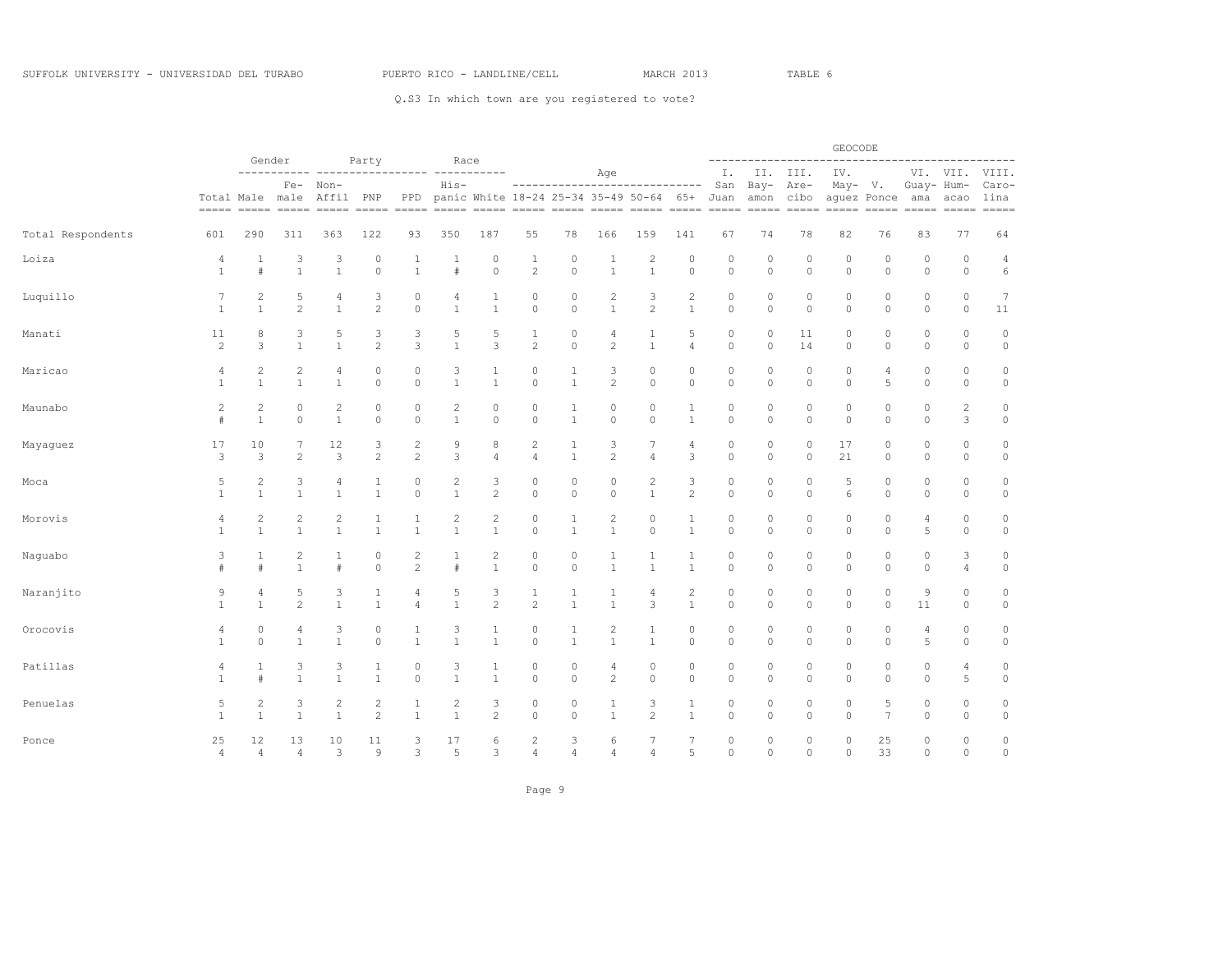|                   |                |                 | Gender                         |                   |                     |                     |                |                                |                    |                |                   |                                                                           |                   |                    |                    |                   | GEOCODE            | ----------------------------- |                    |                                                                                                                                                                                                                                                                                                                                                                                                                                                                                |                                |
|-------------------|----------------|-----------------|--------------------------------|-------------------|---------------------|---------------------|----------------|--------------------------------|--------------------|----------------|-------------------|---------------------------------------------------------------------------|-------------------|--------------------|--------------------|-------------------|--------------------|-------------------------------|--------------------|--------------------------------------------------------------------------------------------------------------------------------------------------------------------------------------------------------------------------------------------------------------------------------------------------------------------------------------------------------------------------------------------------------------------------------------------------------------------------------|--------------------------------|
|                   |                |                 |                                |                   | Party               |                     | Race           |                                |                    |                | Age               |                                                                           |                   | Ι.                 |                    | II. III.          | IV.                |                               |                    | VI. VII.                                                                                                                                                                                                                                                                                                                                                                                                                                                                       | VIII.                          |
|                   |                | Total Male male | $Fe-$                          | Non-<br>Affil PNP |                     | PPD                 | $His-$         |                                |                    |                |                   | ------------------------------<br>panic White 18-24 25-34 35-49 50-64 65+ |                   | San<br>Juan        | $Bay-$             | Are-<br>amon cibo | May-               | V.<br>aguez Ponce             | Guay- Hum-<br>ama  | acao<br>$\begin{tabular}{ll} \multicolumn{2}{c}{\textbf{}} & \multicolumn{2}{c}{\textbf{}} & \multicolumn{2}{c}{\textbf{}} \\ \multicolumn{2}{c}{\textbf{}} & \multicolumn{2}{c}{\textbf{}} & \multicolumn{2}{c}{\textbf{}} \\ \multicolumn{2}{c}{\textbf{}} & \multicolumn{2}{c}{\textbf{}} & \multicolumn{2}{c}{\textbf{}} \\ \multicolumn{2}{c}{\textbf{}} & \multicolumn{2}{c}{\textbf{}} & \multicolumn{2}{c}{\textbf{}} \\ \multicolumn{2}{c}{\textbf{}} & \multicolumn$ | Caro-<br>lina<br>$== == == ==$ |
| Total Respondents | 601            | 290             | 311                            | 363               | 122                 | 93                  | 350            | 187                            | 55                 | 78             | 166               | 159                                                                       | 141               | 67                 | 74                 | 78                | 82                 | 76                            | 83                 | 77                                                                                                                                                                                                                                                                                                                                                                                                                                                                             | 64                             |
| Loiza             | 4              | 1               | 3                              | 3                 | $\theta$            | 1                   | -1             | 0                              | $\mathbf{1}$       | 0              | 1                 | $\overline{c}$                                                            | 0                 | $\circ$            | $\circ$            | 0                 | $\circ$            | 0                             | $\circ$            | 0                                                                                                                                                                                                                                                                                                                                                                                                                                                                              | $\overline{4}$                 |
|                   | $\mathbf{1}$   | $\ddagger$      | $\mathbf{1}$                   | $\mathbf{1}$      | $\circ$             | $\mathbf{1}$        | $\#$           | $\Omega$                       | $\overline{c}$     | $\circ$        | $\mathbf{1}$      | $\mathbf{1}$                                                              | $\circ$           | $\circ$            | $\circ$            | $\circ$           | $\circ$            | $\circ$                       | $\circ$            | $\circ$                                                                                                                                                                                                                                                                                                                                                                                                                                                                        | 6                              |
| Luquillo          | 7              | 2               | 5                              | 4                 | 3                   | 0                   | 4              | 1                              | $\circ$            | $\circ$        | $\overline{c}$    | 3                                                                         | $\overline{c}$    | $\circ$            | $\circ$            | $\circ$           | $\circ$            | $\circ$                       | $\circ$            | 0                                                                                                                                                                                                                                                                                                                                                                                                                                                                              | $\overline{7}$                 |
|                   | $\mathbf{1}$   | $\mathbf{1}$    | $\overline{c}$                 | $\mathbf{1}$      | $\overline{2}$      | $\circ$             | $\mathbf{1}$   | $\mathbf{1}$                   | $\circ$            | $\circ$        | $\mathbf{1}$      | $\overline{c}$                                                            | $\mathbf{1}$      | $\circ$            | $\circ$            | $\mathbb O$       | $\circ$            | $\circ$                       | $\circ$            | $\circ$                                                                                                                                                                                                                                                                                                                                                                                                                                                                        | 11                             |
| Manati            | 11             | 8               | 3                              | 5                 | 3                   | 3                   | 5              | 5                              | $\mathbf{1}$       | 0              | 4                 | 1                                                                         | 5                 | 0                  | 0                  | 11                | 0                  | 0                             | 0                  | 0                                                                                                                                                                                                                                                                                                                                                                                                                                                                              | $\circ$                        |
|                   | $\overline{c}$ | 3               | $\mathbf{1}$                   | $\mathbf{1}$      | $\overline{2}$      | 3                   | $\mathbf{1}$   | 3                              | $\sqrt{2}$         | $\mathbb O$    | $\sqrt{2}$        | $\mathbf{1}$                                                              | $\sqrt{4}$        | $\circ$            | $\circ$            | 14                | $\circ$            | $\circ$                       | $\circ$            | 0                                                                                                                                                                                                                                                                                                                                                                                                                                                                              | $\circ$                        |
| Maricao           | 4              | 2               | $\overline{c}$                 | 4                 | $\circ$             | 0                   | 3              | 1                              | $\circ$            | 1              | 3                 | 0                                                                         | 0                 | $\circ$            | $\circ$            | $\circ$           | $\circ$            | 4                             | 0                  | 0                                                                                                                                                                                                                                                                                                                                                                                                                                                                              | $\mathbb O$                    |
|                   | $\mathbf{1}$   | $\mathbf{1}$    | $\mathbf{1}$                   | $\mathbf{1}$      | $\circ$             | $\circ$             | $\mathbf{1}$   | $\mathbf{1}$                   | $\circ$            | $\mathbf{1}$   | $\sqrt{2}$        | $\circ$                                                                   | $\circ$           | $\circ$            | $\circ$            | $\circ$           | $\circ$            | 5                             | $\circ$            | $\circ$                                                                                                                                                                                                                                                                                                                                                                                                                                                                        | $\circ$                        |
| Maunabo           | $\overline{c}$ | $\overline{c}$  | $\circ$                        | 2                 | $\circ$             | 0                   | $\overline{c}$ | 0                              | $\circ$            | 1              | $\circ$           | 0                                                                         | 1                 | $\circ$            | $\circ$            | $\circ$           | $\circ$            | $\circ$                       | $\circ$            | $\overline{c}$                                                                                                                                                                                                                                                                                                                                                                                                                                                                 | $\mathbb O$                    |
|                   | #              | $\mathbf{1}$    | $\circ$                        | $\mathbf{1}$      | $\circ$             | $\circ$             | $\mathbf{1}$   | $\circ$                        | $\circ$            | $\mathbf{1}$   | $\circ$           | $\circ$                                                                   | $\mathbf{1}$      | $\circ$            | $\circ$            | $\circ$           | $\circ$            | $\circ$                       | $\circ$            | 3                                                                                                                                                                                                                                                                                                                                                                                                                                                                              | $\circ$                        |
| Mayaguez          | 17             | 10              | 7                              | 12                | 3                   | 2                   | 9              | 8                              | $\overline{c}$     | 1              | 3                 | 7                                                                         | 4                 | $\circ$            | $\circ$            | $\circ$           | 17                 | $\circ$                       | $\circ$            | $\circ$                                                                                                                                                                                                                                                                                                                                                                                                                                                                        | $\mathbb O$                    |
|                   | 3              | 3               | $\mathbf{2}$                   | 3                 | $\overline{c}$      | $\overline{c}$      | 3              | 4                              | $\overline{4}$     | $\mathbf{1}$   | $\overline{c}$    | 4                                                                         | 3                 | $\circ$            | $\circ$            | 0                 | 21                 | $\circ$                       | $\circ$            | 0                                                                                                                                                                                                                                                                                                                                                                                                                                                                              | $\mathbb O$                    |
| Moca              | 5              | 2               | 3                              | 4                 | 1                   | 0                   | $\overline{c}$ | 3                              | $\circ$            | 0              | $\circ$           | 2                                                                         | 3                 | 0                  | $\circ$            | 0                 | 5                  | 0                             | 0                  | 0                                                                                                                                                                                                                                                                                                                                                                                                                                                                              | $\circ$                        |
|                   | $\mathbf{1}$   | $1\,$           | $\mathbf{1}$                   | $\mathbf{1}$      | $\mathbf{1}$        | $\mathbb O$         | $\mathbf{1}$   | $\overline{c}$                 | $\circ$            | $\mathbb O$    | $\circ$           | $1\,$                                                                     | $\overline{c}$    | $\circ$            | $\circ$            | $\circ$           | 6                  | $\circ$                       | $\circ$            | 0                                                                                                                                                                                                                                                                                                                                                                                                                                                                              | $\mathsf{O}$                   |
| Morovis           | 4              | 2               | $\mathbf{2}$                   | 2                 | 1                   | 1                   | $\overline{c}$ | $\overline{c}$                 | $\circ$            | 1              | $\mathbf{2}$      | 0                                                                         | 1                 | $\circ$            | $\circ$            | 0                 | $\circ$            | 0                             | 4                  | 0                                                                                                                                                                                                                                                                                                                                                                                                                                                                              | $\circ$                        |
|                   | $\mathbf{1}$   | $\mathbf{1}$    | $\mathbf{1}$                   | $\mathbf{1}$      | $\mathbf{1}$        | $\mathbf{1}$        | $\mathbf{1}$   | $\mathbf{1}$                   | $\circ$            | $\mathbf{1}$   | $\mathbf{1}$      | $\circ$                                                                   | $\mathbf{1}$      | $\circ$            | $\circ$            | $\circ$           | $\circ$            | $\circ$                       | 5                  | $\circ$                                                                                                                                                                                                                                                                                                                                                                                                                                                                        | $\mathbb O$                    |
| Naguabo           | 3              | 1<br>#          | $\overline{2}$<br>$\mathbf{1}$ | 1<br>#            | $\theta$<br>$\circ$ | 2<br>$\overline{c}$ | 1<br>#         | $\overline{c}$<br>$\mathbf{1}$ | $\circ$<br>$\circ$ | 0<br>$\circ$   | 1<br>$\mathbf{1}$ | 1<br>$\mathbf{1}$                                                         | 1<br>$\mathbf{1}$ | $\circ$<br>$\circ$ | $\circ$<br>$\circ$ | 0<br>$\circ$      | $\circ$<br>$\circ$ | $\circ$<br>$\circ$            | $\circ$<br>$\circ$ | 3<br>4                                                                                                                                                                                                                                                                                                                                                                                                                                                                         | $\circ$<br>$\mathbb O$         |
| Naranjito         | 9              | 4               | 5                              | 3                 | 1                   | 4                   | 5              | 3                              | $\mathbf{1}$       | 1              | 1                 | 4                                                                         | $\overline{c}$    | $\circ$            | $\circ$            | 0                 | $\circ$            | $\circ$                       | 9                  | 0                                                                                                                                                                                                                                                                                                                                                                                                                                                                              | $\circ$                        |
|                   | $\mathbf{1}$   | $\mathbf{1}$    | $\mathbf{2}$                   | $\mathbf{1}$      | $\mathbf{1}$        | $\overline{4}$      | $\mathbf{1}$   | $\overline{c}$                 | $\overline{c}$     | $\mathbf{1}$   | $\mathbf{1}$      | 3                                                                         | $\mathbf{1}$      | $\circ$            | $\circ$            | 0                 | $\circ$            | $\circ$                       | 11                 | 0                                                                                                                                                                                                                                                                                                                                                                                                                                                                              | $\mathbb O$                    |
| Orocovis          | 4              | 0               | 4                              | 3                 | $\circ$             | 1                   | 3              | $\mathbf{1}$                   | $\circ$            | 1              | $\overline{c}$    | 1                                                                         | 0                 | 0                  | 0                  | 0                 | $\circ$            | 0                             | 4                  | 0                                                                                                                                                                                                                                                                                                                                                                                                                                                                              | $\circ$                        |
|                   | 1              | $\circ$         | $\mathbf{1}$                   | $\mathbf{1}$      | $\circ$             | $\mathbf{1}$        | $\mathbf{1}$   | $\mathbf{1}$                   | $\circ$            | $\mathbf{1}$   | $\mathbf{1}$      | $\mathbf{1}$                                                              | $\circ$           | $\circ$            | $\circ$            | $\circ$           | $\circ$            | $\circ$                       | 5                  | 0                                                                                                                                                                                                                                                                                                                                                                                                                                                                              | $\mathbb O$                    |
| Patillas          | 4              | 1               | 3                              | 3                 | 1                   | 0                   | 3              | 1                              | $\circ$            | 0              | 4                 | 0                                                                         | $\circ$           | $\circ$            | $\circ$            | 0                 | $\circ$            | $\circ$                       | 0                  | 4                                                                                                                                                                                                                                                                                                                                                                                                                                                                              | $\circ$                        |
|                   | 1              | #               | $\mathbf{1}$                   | $\mathbf{1}$      | $\mathbf{1}$        | $\circ$             | $\mathbf{1}$   | $\mathbf{1}$                   | $\circ$            | $\circ$        | $\overline{c}$    | $\circ$                                                                   | $\circ$           | $\circ$            | $\circ$            | $\circ$           | $\circ$            | $\circ$                       | $\circ$            | 5                                                                                                                                                                                                                                                                                                                                                                                                                                                                              | $\mathbb O$                    |
| Penuelas          | 5              | $\mathbf{2}$    | 3                              | 2                 | $\overline{2}$      | 1                   | $\mathbf{2}$   | 3                              | $\circ$            | $\circ$        | $\mathbf{1}$      | 3                                                                         | $\mathbf{1}$      | $\circ$            | $\circ$            | $\circ$           | $\circ$            | 5                             | $\circ$            | $\circ$                                                                                                                                                                                                                                                                                                                                                                                                                                                                        | $\circ$                        |
|                   | $\mathbf{1}$   | $\mathbf{1}$    | $\mathbf{1}$                   | $\mathbf{1}$      | $\overline{c}$      | $\mathbf{1}$        | $\overline{1}$ | $\overline{2}$                 | $\circ$            | $\mathbb O$    | $\mathbf{1}$      | $\overline{c}$                                                            | $\mathbf{1}$      | $\circ$            | $\circ$            | 0                 | $\circ$            | 7                             | $\circ$            | 0                                                                                                                                                                                                                                                                                                                                                                                                                                                                              | $\circ$                        |
| Ponce             | 25             | 12              | 13                             | 10                | 11                  | 3                   | 17             | 6                              | $\overline{c}$     | 3              | 6                 | 7                                                                         | 7                 | 0                  | 0                  | 0                 | $\circ$            | 25                            | 0                  | 0                                                                                                                                                                                                                                                                                                                                                                                                                                                                              | $\circ$                        |
|                   | $\overline{4}$ | $\overline{4}$  | $\overline{4}$                 | 3                 | $\overline{9}$      | 3                   | 5              | 3                              | $\overline{4}$     | $\overline{4}$ | 4                 | $\overline{4}$                                                            | 5                 | $\circ$            | $\circ$            | $\circ$           | $\circ$            | 33                            | $\Omega$           | $\Omega$                                                                                                                                                                                                                                                                                                                                                                                                                                                                       | $\circ$                        |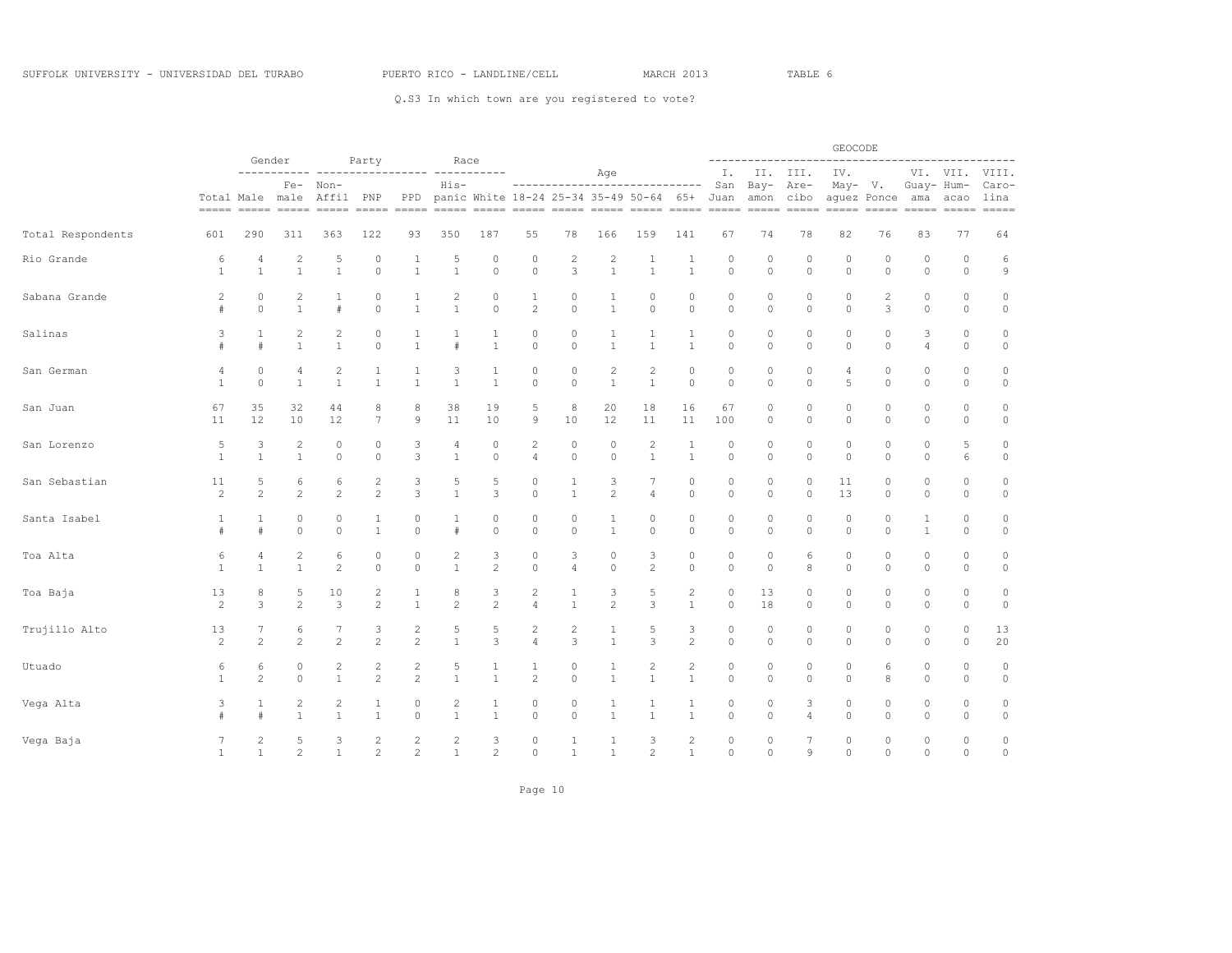|                   |                |                | Gender                         |                                              |                            |                |                                |                   |                    |                    |                   |                                                                      |                       |                    |                    | . _ _ _ _ _ _ _ _ _ _               | GEOCODE            |                                                                                                                                                                                                                                                                                                                                                                                                                                                                                                                                                                           |                              |                       | ------                   |
|-------------------|----------------|----------------|--------------------------------|----------------------------------------------|----------------------------|----------------|--------------------------------|-------------------|--------------------|--------------------|-------------------|----------------------------------------------------------------------|-----------------------|--------------------|--------------------|-------------------------------------|--------------------|---------------------------------------------------------------------------------------------------------------------------------------------------------------------------------------------------------------------------------------------------------------------------------------------------------------------------------------------------------------------------------------------------------------------------------------------------------------------------------------------------------------------------------------------------------------------------|------------------------------|-----------------------|--------------------------|
|                   |                | --------       |                                |                                              | Party                      |                | Race<br>------- -----------    |                   |                    |                    | Age               |                                                                      |                       | Ι.                 | II.                | III.                                | IV.                |                                                                                                                                                                                                                                                                                                                                                                                                                                                                                                                                                                           |                              | VI. VII.              | VIII.                    |
|                   |                |                | Total Male male                | Fe- Non-<br>Affil<br>----- ----- ----- ----- | PNP<br>$=$ $=$ $=$ $=$ $=$ | PPD            | $His-$                         |                   |                    |                    |                   | -----------------------------<br>panic White 18-24 25-34 35-49 50-64 | 65+                   | San<br>Juan        | Bay-<br>amon       | Are-<br>cibo<br>$=$ $=$ $=$ $=$ $=$ | May- V.            | aquez Ponce<br>$\begin{tabular}{ll} \multicolumn{2}{l}{{\color{red}\boldsymbol{=}}} & \multicolumn{2}{l}{\color{blue}\boldsymbol{=}} & \multicolumn{2}{l}{\color{blue}\boldsymbol{=}} & \multicolumn{2}{l}{\color{blue}\boldsymbol{=}} & \multicolumn{2}{l}{\color{blue}\boldsymbol{=}} & \multicolumn{2}{l}{\color{blue}\boldsymbol{=}} & \multicolumn{2}{l}{\color{blue}\boldsymbol{=}} & \multicolumn{2}{l}{\color{blue}\boldsymbol{=}} & \multicolumn{2}{l}{\color{blue}\boldsymbol{=}} & \multicolumn{2}{l}{\color{blue}\boldsymbol{=}} & \multicolumn{2}{l}{\color$ | Guay- Hum-<br>ama<br>$=====$ | acao<br>$= = = = = =$ | Caro-<br>lina<br>$=====$ |
| Total Respondents | 601            | 290            | 311                            | 363                                          | 122                        | 93             | 350                            | 187               | 55                 | 78                 | 166               | 159                                                                  | 141                   | 67                 | 74                 | 78                                  | 82                 | 76                                                                                                                                                                                                                                                                                                                                                                                                                                                                                                                                                                        | 83                           | 77                    | 64                       |
| Rio Grande        | 6              | 4              | $\overline{c}$                 | 5                                            | 0                          | 1              | 5                              | $\circ$           | 0                  | 2                  | $\overline{c}$    | 1                                                                    | $\mathbf{1}$          | 0                  | 0                  | 0                                   | 0                  | 0                                                                                                                                                                                                                                                                                                                                                                                                                                                                                                                                                                         | 0                            | 0                     | 6                        |
|                   | $\mathbf{1}$   | $\mathbf{1}$   | $\mathbf{1}$                   | $\mathbf{1}$                                 | $\circ$                    | $\mathbf{1}$   | $\overline{1}$                 | $\Omega$          | $\mathbb O$        | 3                  | $\mathbf{1}$      | $\mathbf{1}$                                                         | $\mathbf{1}$          | $\circ$            | $\circ$            | $\circ$                             | $\circ$            | $\circ$                                                                                                                                                                                                                                                                                                                                                                                                                                                                                                                                                                   | $\circ$                      | $\circ$               | $\mathcal{G}$            |
| Sabana Grande     | $\overline{c}$ | 0              | 2                              | 1                                            | 0                          | 1              | 2                              | $\circ$           | 1                  | 0                  | 1                 | 0                                                                    | $\circ$               | $\circ$            | $\circ$            | $\circ$                             | $\circ$            | 2                                                                                                                                                                                                                                                                                                                                                                                                                                                                                                                                                                         | 0                            | 0                     | 0                        |
|                   | #              | $\circ$        | $\mathbf{1}$                   | #                                            | $\circ$                    | $\mathbf{1}$   | $\mathbf{1}$                   | $\circ$           | $\overline{c}$     | $\circ$            | $\mathbf{1}$      | $\circ$                                                              | $\circ$               | $\circ$            | $\circ$            | $\circ$                             | $\circ$            | 3                                                                                                                                                                                                                                                                                                                                                                                                                                                                                                                                                                         | $\circ$                      | $\circ$               | $\circ$                  |
| Salinas           | 3              | 1              | $\overline{c}$                 | 2                                            | $\mathbf 0$                | 1              | 1                              | 1                 | 0                  | 0                  | 1                 | 1                                                                    | $\mathbf{1}$          | $\circ$            | 0                  | 0                                   | 0                  | 0                                                                                                                                                                                                                                                                                                                                                                                                                                                                                                                                                                         | 3                            | $\circ$               | $\circ$                  |
|                   | #              | #              | $\mathbf{1}$                   | $\mathbf{1}$                                 | $\circ$                    | $\mathbf{1}$   | $\#$                           | $\mathbf{1}$      | $\mathbb O$        | $\circ$            | $\mathbf{1}$      | $\mathbf{1}$                                                         | $\mathbf{1}$          | $\circ$            | $\circ$            | $\circ$                             | $\circ$            | $\circ$                                                                                                                                                                                                                                                                                                                                                                                                                                                                                                                                                                   | 4                            | $\circ$               | $\mathbb O$              |
| San German        | 4              | 0              | 4                              | 2                                            | 1                          | 1              | 3                              | 1                 | $\circ$            | 0                  | $\overline{c}$    | $\mathbf{2}$                                                         | $\circ$               | $\circ$            | $\circ$            | $\circ$                             | 4                  | $\circ$                                                                                                                                                                                                                                                                                                                                                                                                                                                                                                                                                                   | 0                            | $\circ$               | $\circ$                  |
|                   | $\mathbf{1}$   | $\mathbb O$    | $\mathbf{1}$                   | $\mathbf{1}$                                 | $\mathbf{1}$               | $\mathbf{1}$   | $\mathbf{1}$                   | $\mathbf{1}$      | $\circ$            | $\circ$            | $\mathbf{1}$      | $\mathbf{1}$                                                         | $\circ$               | $\circ$            | $\circ$            | $\circ$                             | 5                  | $\circ$                                                                                                                                                                                                                                                                                                                                                                                                                                                                                                                                                                   | $\circ$                      | $\circ$               | $\circ$                  |
| San Juan          | 67             | 35             | 32                             | 44                                           | 8                          | 8              | 38                             | 19                | 5                  | 8                  | 20                | 18                                                                   | 16                    | 67                 | 0                  | 0                                   | 0                  | $\circ$                                                                                                                                                                                                                                                                                                                                                                                                                                                                                                                                                                   | 0                            | 0                     | $\circ$                  |
|                   | 11             | 12             | 10                             | 12                                           | 7                          | 9              | 11                             | 10                | $\mathcal{Q}$      | 10                 | 12                | 11                                                                   | 11                    | 100                | $\circ$            | $\circ$                             | $\circ$            | $\circ$                                                                                                                                                                                                                                                                                                                                                                                                                                                                                                                                                                   | $\circ$                      | $\circ$               | $\circ$                  |
| San Lorenzo       | 5              | 3              | $\overline{c}$                 | 0                                            | $\circ$                    | 3              | 4                              | $\circ$           | $\overline{c}$     | $\circ$            | 0                 | $\mathbf{2}$                                                         | 1                     | $\circ$            | $\circ$            | $\circ$                             | $\circ$            | $\circ$                                                                                                                                                                                                                                                                                                                                                                                                                                                                                                                                                                   | 0                            | 5                     | $\circ$                  |
|                   | $\mathbf{1}$   | $\mathbf{1}$   | $\mathbf{1}$                   | 0                                            | $\circ$                    | 3              | $\mathbf{1}$                   | $\circ$           | $\overline{4}$     | $\circ$            | $\mathbb O$       | $\mathbf{1}$                                                         | $\mathbf{1}$          | $\circ$            | $\circ$            | $\circ$                             | $\circ$            | $\circ$                                                                                                                                                                                                                                                                                                                                                                                                                                                                                                                                                                   | 0                            | 6                     | $\circ$                  |
| San Sebastian     | 11             | 5              | 6                              | 6                                            | $\overline{c}$             | 3              | 5                              | 5                 | $\circ$            | $\mathbf{1}$       | 3                 | 7                                                                    | 0                     | $\circ$            | $\circ$            | 0                                   | 11                 | 0                                                                                                                                                                                                                                                                                                                                                                                                                                                                                                                                                                         | 0                            | $\circ$               | $\circ$                  |
|                   | $\overline{c}$ | $\overline{c}$ | $\overline{c}$                 | $\overline{c}$                               | $\overline{c}$             | 3              | $\mathbf{1}$                   | 3                 | $\circ$            | $\mathbf{1}$       | $\overline{c}$    | $\overline{4}$                                                       | $\circ$               | $\Omega$           | $\Omega$           | $\circ$                             | 13                 | $\circ$                                                                                                                                                                                                                                                                                                                                                                                                                                                                                                                                                                   | $\circ$                      | $\circ$               | $\circ$                  |
| Santa Isabel      | 1              | 1              | $\circ$                        | 0                                            | 1                          | 0              | 1                              | $\circ$           | $\circ$            | $\circ$            | $\mathbf{1}$      | $\circ$                                                              | $\circ$               | $\circ$            | $\circ$            | $\circ$                             | $\circ$            | 0                                                                                                                                                                                                                                                                                                                                                                                                                                                                                                                                                                         | $\mathbf{1}$                 | $\circ$               | $\circ$                  |
|                   | #              | #              | $\circ$                        | $\circ$                                      | $\mathbf{1}$               | $\circ$        | #                              | $\circ$           | $\circ$            | $\circ$            | $\mathbf{1}$      | $\circ$                                                              | $\circ$               | $\circ$            | $\circ$            | $\circ$                             | $\circ$            | $\circ$                                                                                                                                                                                                                                                                                                                                                                                                                                                                                                                                                                   | $\mathbf{1}$                 | $\circ$               | $\mathbb O$              |
| Toa Alta          | 6              | 4              | $\mathbf{2}$                   | 6                                            | $\mathbf 0$                | 0              | $\overline{c}$                 | 3                 | $\circ$            | 3                  | 0                 | 3                                                                    | $\circ$               | $\circ$            | $\circ$            | 6                                   | 0                  | $\circ$                                                                                                                                                                                                                                                                                                                                                                                                                                                                                                                                                                   | 0                            | 0                     | $\circ$                  |
|                   | $\mathbf{1}$   | $\mathbf{1}$   | $\mathbf{1}$                   | $\mathbf{2}$                                 | $\circ$                    | $\circ$        | $\mathbf{1}$                   | $\overline{c}$    | $\circ$            | $\overline{4}$     | $\circ$           | $\overline{c}$                                                       | $\circ$               | $\circ$            | $\circ$            | 8                                   | $\circ$            | $\circ$                                                                                                                                                                                                                                                                                                                                                                                                                                                                                                                                                                   | $\circ$                      | $\circ$               | $\circ$                  |
| Toa Baja          | 13             | 8              | 5                              | 10                                           | 2                          | 1              | 8                              | 3                 | $\overline{c}$     | 1                  | 3                 | 5                                                                    | $\overline{c}$        | $\circ$            | 13                 | 0                                   | 0                  | 0                                                                                                                                                                                                                                                                                                                                                                                                                                                                                                                                                                         | 0                            | 0                     | 0                        |
|                   | $\overline{c}$ | 3              | $\mathbf{2}$                   | 3                                            | $\overline{c}$             | $\mathbf{1}$   | $\sqrt{2}$                     | $\sqrt{2}$        | $\overline{4}$     | $\mathbf{1}$       | $\overline{c}$    | 3                                                                    | $\mathbf{1}$          | $\circ$            | 18                 | $\circ$                             | $\circ$            | $\circ$                                                                                                                                                                                                                                                                                                                                                                                                                                                                                                                                                                   | 0                            | $\circ$               | $\circ$                  |
| Trujillo Alto     | 13             | 7              | 6                              | 7                                            | 3                          | $\overline{c}$ | 5                              | 5                 | $\overline{c}$     | 2                  | 1                 | 5                                                                    | 3                     | $\circ$            | $\circ$            | 0                                   | 0                  | 0                                                                                                                                                                                                                                                                                                                                                                                                                                                                                                                                                                         | 0                            | $\circ$               | 13                       |
|                   | $\mathbf{2}$   | $\overline{c}$ | $\overline{2}$                 | $\mathbf{2}$                                 | $\overline{c}$             | 2              | $\mathbf{1}$                   | 3                 | $\overline{4}$     | 3                  | $\mathbf{1}$      | 3                                                                    | $\overline{c}$        | $\circ$            | $\circ$            | $\circ$                             | $\circ$            | $\circ$                                                                                                                                                                                                                                                                                                                                                                                                                                                                                                                                                                   | $\circ$                      | $\circ$               | 20                       |
| Utuado            | 6              | 6              | $\circ$                        | 2                                            | $\overline{c}$             | $\overline{c}$ | 5                              | 1                 | $\mathbf{1}$       | 0                  | 1                 | 2                                                                    | $\overline{c}$        | $\circ$            | $\circ$            | 0                                   | 0                  | 6                                                                                                                                                                                                                                                                                                                                                                                                                                                                                                                                                                         | 0                            | 0                     | $\circ$                  |
|                   | $\mathbf{1}$   | 2              | $\circ$                        | $\mathbf{1}$                                 | $\overline{c}$             | 2              | $\mathbf{1}$                   | $\overline{1}$    | $\overline{2}$     | $\circ$            | $\mathbf{1}$      | $\mathbf{1}$                                                         | $\mathbf{1}$          | $\circ$            | $\circ$            | $\circ$                             | $\circ$            | 8                                                                                                                                                                                                                                                                                                                                                                                                                                                                                                                                                                         | 0                            | $\circ$               | $\circ$                  |
| Vega Alta         | 3              | 1<br>#         | $\overline{c}$<br>$\mathbf{1}$ | 2<br>$\mathbf{1}$                            | 1<br>$\mathbf{1}$          | 0<br>$\circ$   | $\overline{c}$<br>$\mathbf{1}$ | 1<br>$\mathbf{1}$ | $\circ$<br>$\circ$ | $\circ$<br>$\circ$ | 1<br>$\mathbf{1}$ | 1<br>$\mathbf{1}$                                                    | $\mathbf{1}$<br>$1\,$ | $\circ$<br>$\circ$ | $\circ$<br>$\circ$ | 3<br>$\overline{4}$                 | $\circ$<br>$\circ$ | $\circ$<br>$\mathbb O$                                                                                                                                                                                                                                                                                                                                                                                                                                                                                                                                                    | 0<br>$\circ$                 | $\circ$<br>$\circ$    | $\circ$<br>$\circ$       |
| Vega Baja         | 7              | 2              | 5                              | 3                                            | 2                          | 2              | $\overline{c}$                 | 3                 | $\circ$            | 1                  | 1                 | 3                                                                    | $\overline{c}$        | $\circ$            | $\Omega$           | 7                                   | $\circ$            | $\circ$                                                                                                                                                                                                                                                                                                                                                                                                                                                                                                                                                                   | 0                            | $\mathbf 0$           | $\circ$                  |
|                   | $\mathbf{1}$   | $\mathbf{1}$   | $\overline{c}$                 | $\mathbf{1}$                                 | $\overline{\mathcal{L}}$   | $\overline{2}$ | $\mathbf{1}$                   | $\overline{c}$    | $\circ$            | $\mathbf{1}$       | $\mathbf{1}$      | $\overline{c}$                                                       | $\mathbf{1}$          | $\Omega$           | $\Omega$           | $\mathbf Q$                         | $\Omega$           | $\Omega$                                                                                                                                                                                                                                                                                                                                                                                                                                                                                                                                                                  | $\Omega$                     | $\Omega$              | $\circ$                  |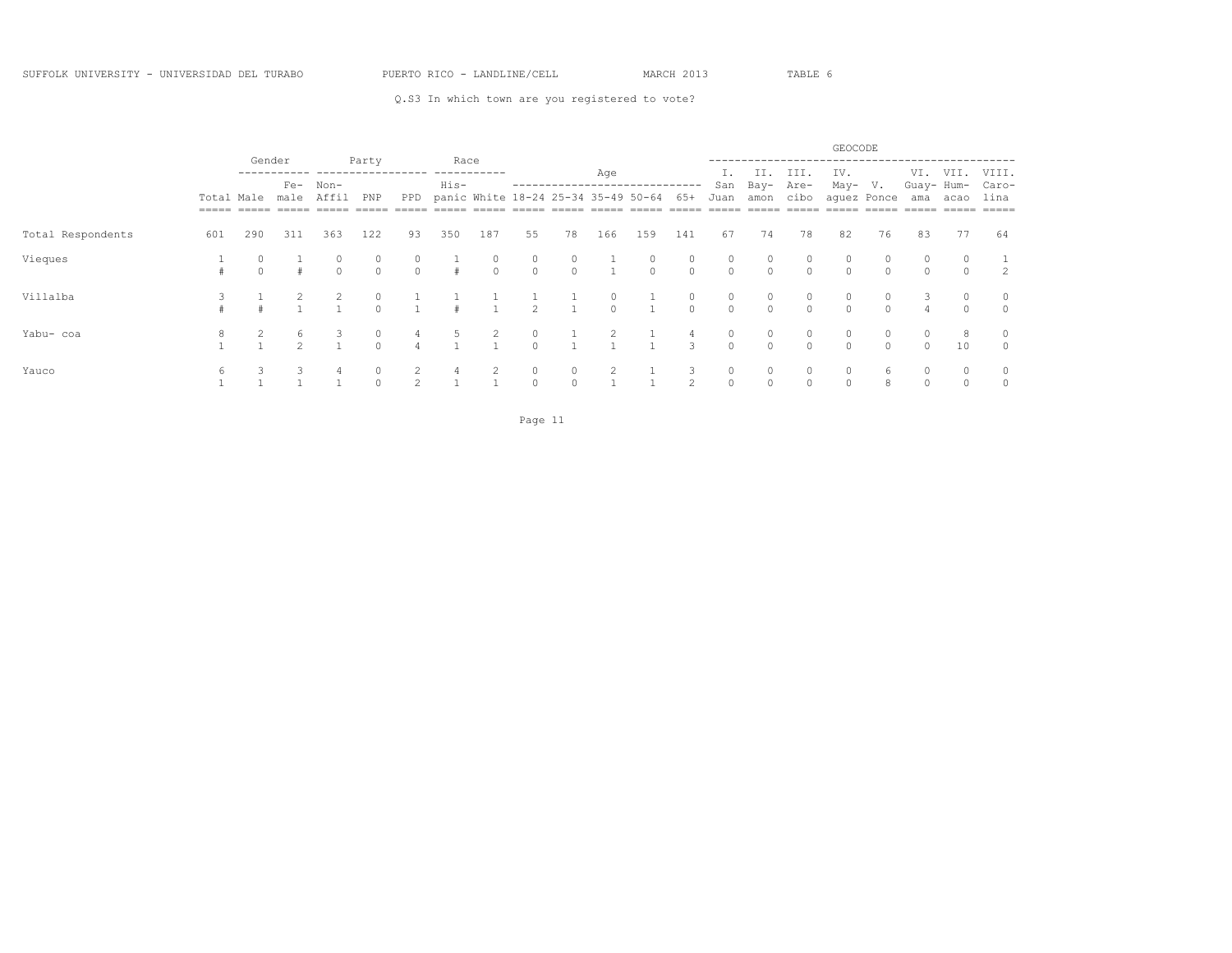|                   |                       |          |                    |               |                     |                     |              |                     |                                     |               |              |                                |                     |                     |                     |                     | GEOCODE             |               |                   |               |                             |
|-------------------|-----------------------|----------|--------------------|---------------|---------------------|---------------------|--------------|---------------------|-------------------------------------|---------------|--------------|--------------------------------|---------------------|---------------------|---------------------|---------------------|---------------------|---------------|-------------------|---------------|-----------------------------|
|                   |                       | Gender   | $Fe-$              | Non-          | Party               |                     | Race<br>His- |                     |                                     |               | Age          | ------------------------------ |                     | San                 | II.<br>Bay-         | III.<br>Are-        | IV.<br>May-         | V.            | VI.<br>Guay- Hum- | VII.          | VIII.<br>Caro-              |
|                   | Total Male<br>$=====$ |          | male               | Affil         | PNP                 | PPD                 |              |                     | panic White 18-24 25-34 35-49 50-64 |               |              |                                | 65+                 | Juan                | amon                | cibo                | -----               | aquez Ponce   | ama               | acao          | lina<br>$=$ $=$ $=$ $=$ $=$ |
| Total Respondents | 601                   | 290      | 311                | 363           | 122                 | 93                  | 350          | 187                 | 55                                  | 78            | 166          | 159                            | 141                 | 67                  | 74                  | 78                  | 82                  | 76            | 83                | 77            | 64                          |
| Vieques           |                       | $\Omega$ |                    | U<br>$\Omega$ | $\circ$<br>$\Omega$ | $\circ$<br>$\Omega$ | #            | $\circ$<br>$\Omega$ | 0<br>$\Omega$                       | 0<br>$\Omega$ | $\mathbf{1}$ | $\circ$<br>$\Omega$            | $\circ$<br>$\Omega$ | $\circ$<br>$\Omega$ | $\circ$<br>$\Omega$ | $\circ$<br>$\Omega$ | 0<br>$\Omega$       | $\cap$        | $\Omega$          | $\cap$        | $\mathcal{L}$               |
| Villalba          |                       |          |                    |               | $\cap$              |                     |              |                     | 2                                   |               | 0<br>$\circ$ |                                | $\circ$<br>$\circ$  | 0<br>$\Omega$       | 0<br>$\Omega$       | 0<br>$\Omega$       | 0<br>$\circ$        | 0<br>$\Omega$ | 4                 | 0<br>$\Omega$ | $\circ$<br>$\circ$          |
| Yabu- coa         |                       |          | 6<br>$\mathcal{D}$ |               | $\circ$<br>$\cap$   |                     |              | 2                   | 0<br>$\circ$                        |               | 2            |                                | 4<br>$\mathbf{3}$   | $\circ$<br>$\Omega$ | $\circ$<br>$\circ$  | $\circ$<br>$\Omega$ | $\circ$<br>$\Omega$ | 0<br>$\cap$   | $\Omega$          | 8<br>10       | $\circ$<br>$\circ$          |
| Yauco             | 6                     |          |                    |               | $\Omega$            |                     | 4            |                     | 0<br>$\circ$                        | 0<br>$\Omega$ |              |                                | 3<br>2              | $\circ$<br>$\Omega$ | 0<br>$\Omega$       | $\circ$<br>$\Omega$ | $\circ$<br>$\Omega$ | h             |                   |               | $\circ$                     |

Page 11 and the state of the state of the state of the state of the state of the state of the state of the state of the state of the state of the state of the state of the state of the state of the state of the state of th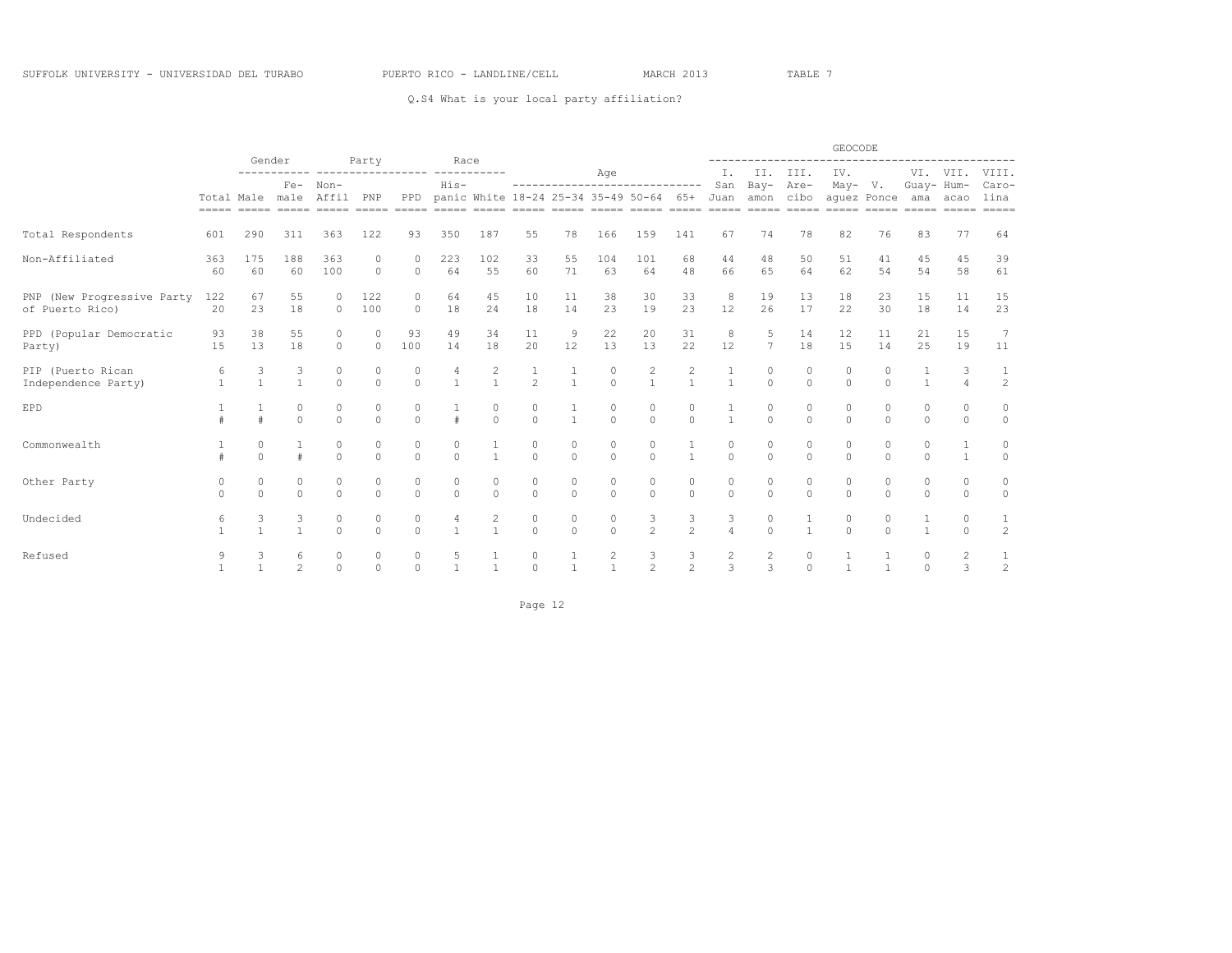### Q.S4 What is your local party affiliation?

|                                               |                 | Gender<br>Race<br>Party |                                                      |                                                                                                                |                      |                          |                     |                     |                     |                     |                                  |                                                                           |                                |                     |                     |                     | GEOCODE                  |                       |                      |                     |                    |
|-----------------------------------------------|-----------------|-------------------------|------------------------------------------------------|----------------------------------------------------------------------------------------------------------------|----------------------|--------------------------|---------------------|---------------------|---------------------|---------------------|----------------------------------|---------------------------------------------------------------------------|--------------------------------|---------------------|---------------------|---------------------|--------------------------|-----------------------|----------------------|---------------------|--------------------|
|                                               |                 |                         | ------- ----------------- ---------<br>Non-<br>$Fe-$ |                                                                                                                |                      |                          |                     |                     |                     |                     | Age                              |                                                                           |                                | Ι.                  | II.                 | III.                | IV.                      |                       |                      | VI. VII.            | VIII.              |
|                                               | Total Male male |                         |                                                      | Affil                                                                                                          | PNP                  | <b>PPD</b>               | $His-$              |                     |                     |                     |                                  | ------------------------------<br>panic White 18-24 25-34 35-49 50-64 65+ |                                | San<br>Juan         | $Bay -$<br>amon     | Are-<br>cibo        | $May- V.$<br>aquez Ponce |                       | Guay- Hum-<br>ama    | acao                | Caro-<br>lina      |
|                                               |                 |                         |                                                      | sooo oogaa aadaa aadaa aadaa aadaa aadaa aadaa aadaa aadaa aadaa aadaa aadaa aadaa aadaa aadaa aadaa aadaa aad |                      |                          |                     |                     |                     |                     |                                  |                                                                           |                                |                     |                     |                     |                          |                       |                      |                     | $== == == =$       |
| Total Respondents                             | 601             | 290                     | 311                                                  | 363                                                                                                            | 122                  | 93                       | 350                 | 187                 | 55                  | 78                  | 166                              | 159                                                                       | 141                            | 67                  | 74                  | 78                  | 82                       | 76                    | 83                   | 77                  | 64                 |
| Non-Affiliated                                | 363<br>60       | 175<br>60               | 188<br>60                                            | 363<br>100                                                                                                     | 0<br>$\circ$         | $\Omega$                 | 223<br>64           | 102<br>55           | 33<br>60            | 55<br>71            | 104<br>63                        | 101<br>64                                                                 | 68<br>48                       | 44<br>66            | 48<br>65            | 50<br>64            | 51<br>62                 | 41<br>54              | 45<br>54             | 45<br>58            | 39<br>61           |
|                                               |                 |                         |                                                      |                                                                                                                |                      |                          |                     |                     |                     |                     |                                  |                                                                           |                                |                     |                     |                     |                          |                       |                      |                     |                    |
| PNP (New Progressive Party<br>of Puerto Rico) | 122<br>20       | 67<br>23                | 55<br>18                                             | O.<br>$\Omega$                                                                                                 | 122<br>100           | $\mathbf{0}$<br>$\Omega$ | 64<br>18            | 45<br>24            | 10<br>18            | 11<br>14            | 38<br>23                         | 30<br>19                                                                  | 33<br>23                       | 8<br>12             | 19<br>26            | 13<br>17            | 18<br>22                 | 23<br>30              | 15<br>18             | 11<br>14            | 15<br>23           |
| PPD (Popular Democratic                       | 93              | 38                      | 55                                                   | 0                                                                                                              |                      | 93                       | 49                  | 34                  | 11                  | 9                   | 22                               | 20                                                                        | 31                             | 8                   | 5                   | 14                  | 12                       | 11                    | 21                   | 15                  | 7                  |
| Party)                                        | 15              | 13                      | 18                                                   | $\Omega$                                                                                                       | $\Omega$             | 100                      | 14                  | 18                  | 20                  | 12                  | 13                               | 13                                                                        | 22                             | 12                  | $\overline{7}$      | 18                  | 15                       | 14                    | 25                   | 19                  | 11                 |
| PIP (Puerto Rican                             | 6               | 3<br>$\mathbf{1}$       | 3<br>$\mathbf{1}$                                    | 0<br>$\Omega$                                                                                                  | $\Omega$<br>$\Omega$ | 0                        | $\overline{1}$      | 2<br>$\overline{1}$ | 1<br>2              | $\mathbf{1}$        | $\circ$<br>$\Omega$              | 2<br>$\overline{1}$                                                       | $\mathbf{2}$<br>$\overline{1}$ | $\mathbf{1}$        | $\circ$<br>$\Omega$ | 0<br>$\Omega$       | $\circ$                  | $\bigcap$<br>$\Omega$ | $\mathbf{1}$         | 3<br>$\overline{4}$ | 1                  |
| Independence Party)                           | $\overline{1}$  |                         |                                                      |                                                                                                                |                      | $\circ$                  |                     |                     |                     |                     |                                  |                                                                           |                                |                     |                     |                     | $\circ$                  |                       |                      |                     | 2                  |
| EPD                                           |                 | $\pm$                   | $\Omega$<br>$\Omega$                                 | 0<br>$\Omega$                                                                                                  | 0<br>$\Omega$        | 0<br>$\Omega$            |                     | $\circ$<br>$\cap$   | $\circ$<br>$\Omega$ | $\mathbf{1}$        | $\circ$<br>$\Omega$              | $\circ$<br>$\Omega$                                                       | $\circ$<br>$\cap$              |                     | $\circ$<br>$\Omega$ | 0<br>$\Omega$       | $\circ$<br>$\Omega$      | 0<br>$\Omega$         | $\Omega$<br>$\Omega$ | 0<br>$\Omega$       | $\circ$<br>$\circ$ |
|                                               |                 |                         |                                                      |                                                                                                                |                      |                          |                     |                     |                     |                     |                                  |                                                                           |                                |                     |                     |                     |                          |                       |                      |                     |                    |
| Commonwealth                                  |                 | 0<br>$\Omega$           | $\#$                                                 | 0<br>$\Omega$                                                                                                  | $\circ$<br>$\Omega$  | 0<br>$\Omega$            | $\circ$<br>$\Omega$ |                     | $\circ$<br>$\Omega$ | $\circ$<br>$\Omega$ | $\circ$<br>$\Omega$              | $\circ$<br>$\Omega$                                                       | 1                              | 0<br>$\Omega$       | $\circ$<br>$\Omega$ | $\circ$<br>$\Omega$ | $\circ$<br>$\Omega$      | $\circ$<br>$\Omega$   | $\circ$<br>$\Omega$  | $\overline{1}$      | 0<br>$\mathbf{0}$  |
| Other Party                                   | $\Omega$        | $\Omega$                | $\Omega$                                             | 0                                                                                                              | $\circ$              | 0                        | $\circ$             | $\mathbf 0$         | $\circ$             | $\circ$             | $\circ$                          | 0                                                                         | $\circ$                        | $\circ$             | $\circ$             | $\circ$             | $\Omega$                 | $\Omega$              | $\Omega$             | $\Omega$            | $\circ$            |
|                                               | $\circ$         | $\circ$                 | $\circ$                                              | $\circ$                                                                                                        | $\circ$              | $\circ$                  | $\circ$             | $\circ$             | $\circ$             | $\circ$             | $\circ$                          | $\circ$                                                                   | $\circ$                        | $\circ$             | $\circ$             | $\circ$             | $\circ$                  | $\circ$               | $\circ$              | $\circ$             | $\circ$            |
| Undecided                                     | 6               | 3<br>$\mathbf{1}$       | 3<br>$\mathbf{1}$                                    | 0<br>$\Omega$                                                                                                  | 0<br>$\Omega$        | 0<br>$\Omega$            | 4<br>$\overline{1}$ | 2<br>$\mathbf{1}$   | $\circ$<br>$\Omega$ | $\circ$<br>$\Omega$ | 0<br>$\Omega$                    | 3<br>$\overline{2}$                                                       | 3<br>$\mathfrak{D}$            | 3<br>$\overline{4}$ | 0<br>$\Omega$       | $\overline{1}$      | 0<br>$\Omega$            | $\circ$<br>$\cap$     | $\overline{1}$       | 0<br>$\Omega$       | $\mathbf{1}$<br>2  |
|                                               |                 |                         |                                                      |                                                                                                                |                      |                          |                     |                     |                     |                     |                                  |                                                                           |                                |                     |                     |                     |                          |                       |                      |                     |                    |
| Refused                                       | 9               | 3                       | 6<br>$\mathfrak{D}$                                  | 0<br>$\Omega$                                                                                                  | 0<br>$\Omega$        | 0<br>$\Omega$            | 5<br>$\overline{1}$ | $\overline{1}$      | $\circ$<br>$\Omega$ |                     | $\overline{c}$<br>$\overline{1}$ | 3<br>$\overline{c}$                                                       | 3<br>$\overline{c}$            | 2<br>$\mathcal{L}$  | $\overline{c}$<br>3 | 0<br>$\Omega$       |                          |                       | 0<br>$\Omega$        | 2<br>$\mathcal{L}$  | 2                  |
|                                               |                 |                         |                                                      |                                                                                                                |                      |                          |                     |                     |                     |                     |                                  |                                                                           |                                |                     |                     |                     |                          |                       |                      |                     |                    |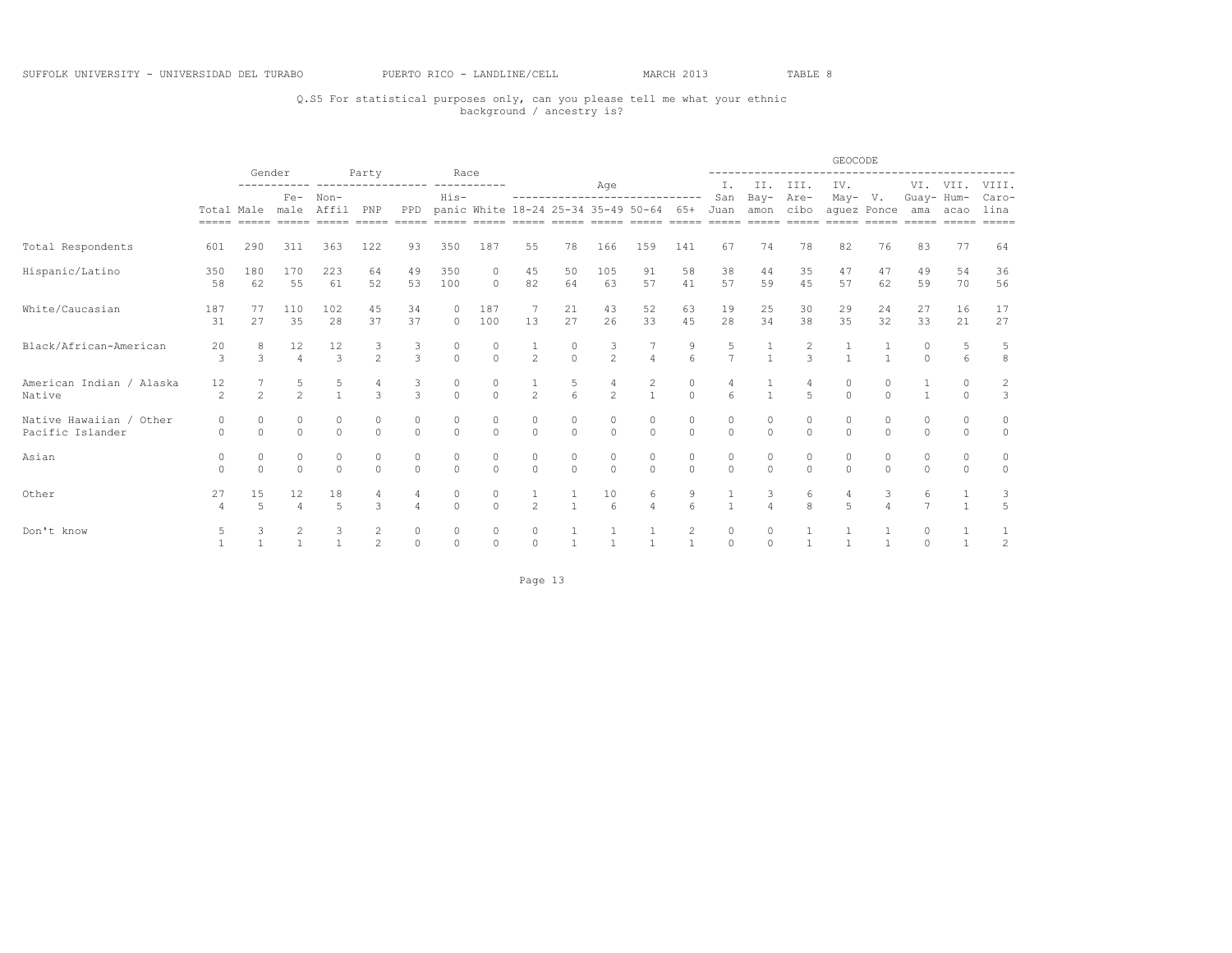## Q.S5 For statistical purposes only, can you please tell me what your ethnic background / ancestry is?

|                                             |                      |                   |                      |                                   |                                  |                    |                     |                                         |                                      |                     |                                      |                                       |                                       |                     |                     |                     | GEOCODE                                                  |               |                     |                |                                |
|---------------------------------------------|----------------------|-------------------|----------------------|-----------------------------------|----------------------------------|--------------------|---------------------|-----------------------------------------|--------------------------------------|---------------------|--------------------------------------|---------------------------------------|---------------------------------------|---------------------|---------------------|---------------------|----------------------------------------------------------|---------------|---------------------|----------------|--------------------------------|
|                                             |                      | Gender            |                      |                                   | Party                            |                    | Race                |                                         |                                      |                     | Age                                  |                                       |                                       | I.                  |                     | II. III.            | IV.                                                      |               |                     | VI. VII. VIII. |                                |
|                                             | $=$ $=$ $=$ $=$      |                   |                      | Fe- Non-<br>Total Male male Affil | PNP                              | PPD                | $His-$              | panic White 18-24 25-34 35-49 50-64 65+ |                                      |                     |                                      | -----------------------------         |                                       | San<br>Juan         | Bay-<br>amon cibo   | Are-                | $May- V.$<br>aquez Ponce ama acao<br>$=$ $=$ $=$ $=$ $=$ |               |                     | Guay- Hum-     | Caro-<br>lina<br>$= = = = = =$ |
| Total Respondents                           | 601                  | 290               | 311                  | 363                               | 122                              | 93                 | 350                 | 187                                     | 55                                   | 78                  | 166                                  | 159                                   | 141                                   | 67                  | 74                  | 78                  | 82                                                       | 76            | 83                  | 77             | 64                             |
| Hispanic/Latino                             | 350<br>58            | 180<br>62         | 170<br>55            | 223<br>61                         | 64<br>52                         | 49<br>53           | 350<br>100          | $\mathbf{0}$<br>$\circ$                 | 45<br>82                             | 50<br>64            | 105<br>63                            | 91<br>57                              | 58<br>41                              | 38<br>57            | 44<br>59            | 35<br>45            | 47<br>57                                                 | 47<br>62      | 49<br>59            | 54<br>70       | 36<br>56                       |
| White/Caucasian                             | 187<br>31            | 77<br>27          | 110<br>35            | 102<br>28                         | 45<br>37                         | 34<br>37           | $\circ$<br>$\circ$  | 187<br>100                              | -7<br>13                             | 21<br>27            | 43<br>26                             | 52<br>33                              | 63<br>45                              | 19<br>28            | 25<br>34            | 30<br>38            | 29<br>35                                                 | 24<br>32      | 27<br>33            | 16<br>21       | 17<br>27                       |
| Black/African-American                      | 20<br>3              | 8<br>3            | 12<br>$\overline{4}$ | 12<br>$\mathcal{E}$               | 3<br>$\overline{2}$              | 3<br>3             | $\circ$<br>$\circ$  | $\circ$<br>$\Omega$                     | $\frac{1}{2}$                        | 0<br>$\Omega$       | $\frac{3}{2}$                        | $\overline{4}$                        | 9<br>6                                | 5<br>$\overline{7}$ | $\mathbf{1}$        | $\frac{2}{3}$       |                                                          |               | 0<br>$\Omega$       | 6              | 5<br>$^{\rm 8}$                |
| American Indian / Alaska<br>Native          | 12<br>$\mathfrak{D}$ | $\overline{2}$    | 5<br>$\sim$          | $\mathbf{1}$                      | 4<br>$\mathcal{L}$               | 3<br>$\mathcal{L}$ | $\circ$<br>$\Omega$ | $\circ$<br>$\Omega$                     | $\frac{1}{2}$                        | $\frac{5}{6}$       | $\frac{4}{2}$                        | $\begin{array}{c} 2 \\ 1 \end{array}$ | $\begin{matrix}0\\0\end{matrix}$      | $\kappa$            | $\frac{1}{1}$       | 4<br>$\overline{5}$ | 0<br>$\cap$                                              | $\cap$        |                     | $\Omega$       | $\frac{2}{3}$                  |
| Native Hawaiian / Other<br>Pacific Islander | 0<br>$\Omega$        | 0<br>$\Omega$     | $\circ$<br>$\Omega$  | 0<br>$\Omega$                     | 0<br>$\Omega$                    | 0<br>$\Omega$      | $\circ$<br>$\Omega$ | $\circ$<br>$\Omega$                     | $\begin{matrix} 0 \\ 0 \end{matrix}$ | $\circ$<br>$\Omega$ | $\begin{matrix} 0 \\ 0 \end{matrix}$ | $\circ$<br>$\Omega$                   | $\begin{matrix} 0 \\ 0 \end{matrix}$  | $\circ$<br>$\Omega$ | $\circ$<br>$\Omega$ | $\circ$<br>$\Omega$ | $\circ$<br>$\Omega$                                      | 0<br>$\Omega$ | 0<br>$\Omega$       | 0<br>$\Omega$  | 0<br>$\Omega$                  |
| Asian                                       | $\cap$               | 0<br>$\Omega$     | 0<br>$\cap$          | 0<br>$\Omega$                     | 0<br>$\Omega$                    | 0<br>$\Omega$      | 0<br>$\Omega$       | 0<br>$\bigcap$                          | $\begin{matrix}0\\0\end{matrix}$     | 0<br>$\Omega$       | $\begin{matrix}0\\0\end{matrix}$     | $\circ$<br>$\Omega$                   | 0<br>$\Omega$                         | $\circ$<br>$\Omega$ | 0<br>$\Omega$       | 0<br>$\Omega$       | 0<br>$\cap$                                              | 0<br>$\cap$   | 0<br>$\cap$         | 0<br>$\Omega$  | 0<br>$\Omega$                  |
| Other                                       | 27<br>$\overline{4}$ | 15<br>5           | 12<br>$\overline{4}$ | 18<br>$\overline{a}$              | $\mathcal{L}$                    |                    | 0<br>$\Omega$       | $\circ$<br>$\bigcap$                    | $\overline{2}$                       | $\overline{1}$      | 10<br>$6\overline{6}$                | 6<br>$\overline{4}$                   | $\begin{array}{c} 9 \\ 6 \end{array}$ | $\mathbf{1}$        | 3<br>$\overline{4}$ | 6<br>$\mathbf{g}$   | 4<br>$\overline{5}$                                      | 3             | 6<br>$\overline{7}$ | $\mathbf{1}$   | 3<br>$\overline{5}$            |
| Don't know                                  | 5                    | 3<br>$\mathbf{1}$ | 2                    | 3<br>$\mathbf{1}$                 | $\overline{2}$<br>$\mathfrak{D}$ | 0<br>$\Omega$      | 0<br>$\circ$        | $\circ$<br>$\circ$                      | 0<br>$\Omega$                        | $\mathbf{1}$        | $\mathbf{1}$<br>$\mathbf{1}$         | 1<br>$\mathbf{1}$                     | $\overline{c}$<br>$\mathbf{1}$        | 0<br>$\Omega$       | 0<br>$\Omega$       |                     |                                                          |               | 0<br>$\cap$         |                | $\frac{1}{2}$                  |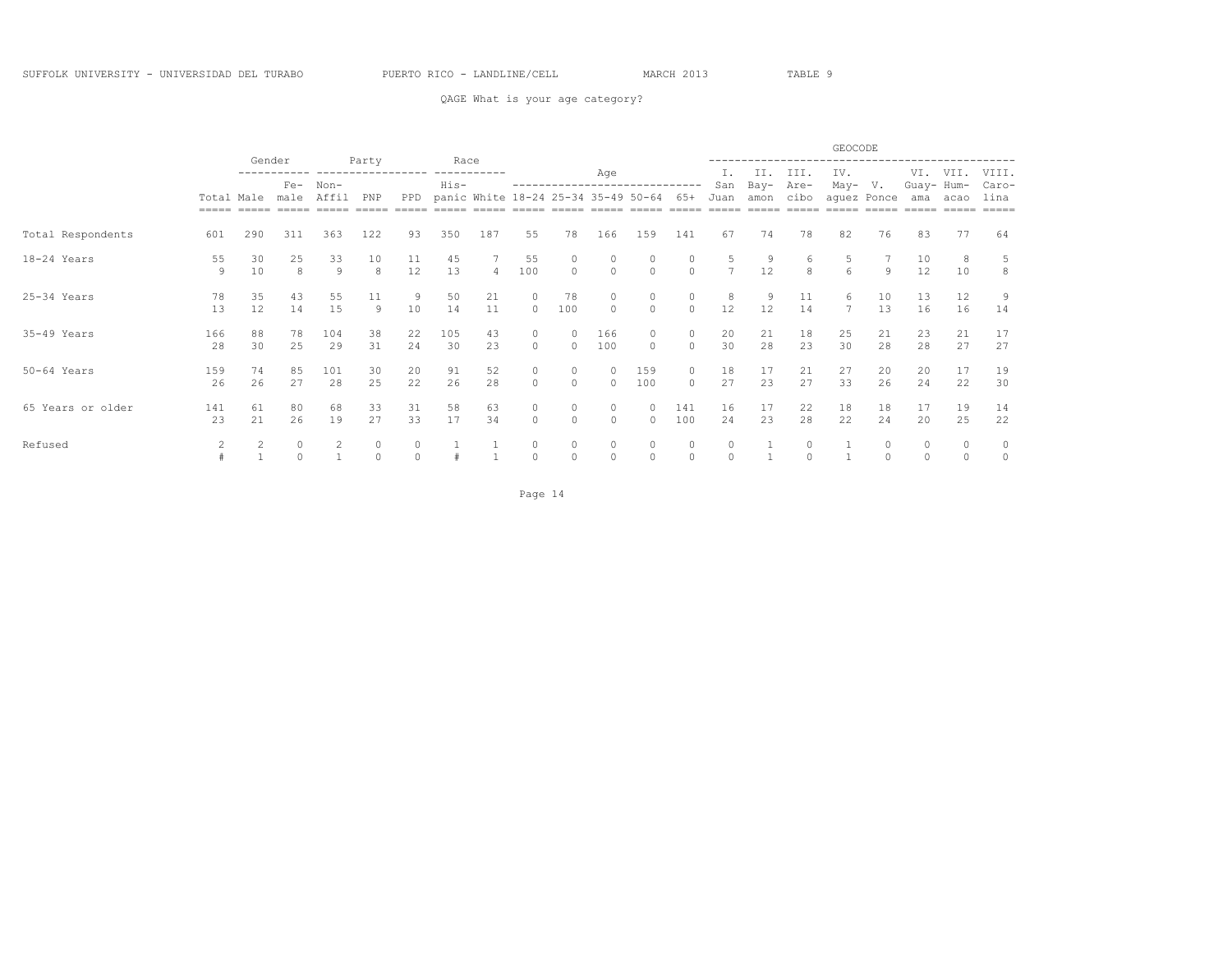QAGE What is your age category?

|                   |                                   | Gender                  |                       |           | Party           |               | Race      |                |                           |                                     |                     |                      |                     |                     |                  |                  | GEOCODE              |               |                     |               |                |
|-------------------|-----------------------------------|-------------------------|-----------------------|-----------|-----------------|---------------|-----------|----------------|---------------------------|-------------------------------------|---------------------|----------------------|---------------------|---------------------|------------------|------------------|----------------------|---------------|---------------------|---------------|----------------|
|                   |                                   |                         | Non-<br>$Fe-$<br>male |           |                 |               | His-      |                |                           |                                     | Age                 |                      |                     | Ι.<br>San           | II.<br>Bay-      | III.<br>Are-     | IV.<br>May-          | V.            | VI.<br>Guay- Hum-   | VII.          | VIII.<br>Caro- |
|                   | Total Male<br>$=$ $=$ $=$ $=$ $=$ |                         |                       | Affil     | PNP<br>$------$ | PPD           |           |                |                           | panic White 18-24 25-34 35-49 50-64 |                     |                      | 65+                 | Juan<br>-----       | amon<br>$------$ | cibo<br>$------$ | -----                | aquez Ponce   | ama                 | acao          | lina           |
| Total Respondents | 601                               | 290                     | 311                   | 363       | 122             | 93            | 350       | 187            | 55                        | 78                                  | 166                 | 159                  | 141                 | 67                  | 74               | 78               | 82                   | 76            | 83                  | 77            | 64             |
| 18-24 Years       | 55<br>9                           | 30<br>10                | 25<br>8               | 33<br>9   | 10<br>8         | 11<br>12      | 45<br>13  | $\overline{4}$ | 55<br>100                 | $\Omega$                            | 0<br>$\circ$        | $\circ$              | 0<br>$\circ$        | 5<br>$\overline{7}$ | 9<br>12          | 6<br>8           | 5<br>6               | 9             | 10<br>12            | 8<br>10       | 5<br>8         |
| 25-34 Years       | 78<br>13                          | 35<br>$12 \overline{ }$ | 43<br>14              | 55<br>15  | 11<br>9         | 9<br>10       | 50<br>14  | 21<br>11       | $\circ$<br>$\overline{0}$ | 78<br>100                           | 0<br>$\Omega$       | 0<br>$\Omega$        | $\circ$<br>$\circ$  | 8<br>12             | 9<br>12          | 11<br>14         | 6<br>$7\phantom{.0}$ | 10<br>13      | 13<br>16            | 12<br>16      | 9<br>14        |
| 35-49 Years       | 166<br>28                         | 88<br>30                | 78<br>25              | 104<br>29 | 38<br>31        | 22<br>24      | 105<br>30 | 43<br>23       | $\circ$<br>$\Omega$       | $\cap$                              | 166<br>100          | $\Omega$<br>$\Omega$ | $\circ$<br>$\Omega$ | 20<br>30            | 21<br>28         | 18<br>23         | 25<br>30             | 21<br>28      | 23<br>28            | 21<br>27      | 17<br>27       |
| 50-64 Years       | 159<br>26                         | 74<br>26                | 85<br>27              | 101<br>28 | 30<br>25        | 20<br>22      | 91<br>26  | 52<br>28       | 0<br>$\circ$              | $\Omega$                            | 0<br>$\Omega$       | 159<br>100           | $\circ$<br>$\Omega$ | 18<br>27            | 17<br>23         | 21<br>27         | 27<br>33             | 20<br>26      | 20<br>24            | 17<br>22      | 19<br>30       |
| 65 Years or older | 141<br>23                         | 61<br>21                | 80<br>26              | 68<br>19  | 33<br>27        | 31<br>33      | 58<br>17  | 63<br>34       | $\circ$<br>$\circ$        | $\circ$<br>$\Omega$                 | $\circ$<br>$\circ$  | $\Omega$<br>0        | 141<br>100          | 16<br>24            | 17<br>23         | 22<br>28         | 18<br>22             | 18<br>24      | 17<br>20            | 19<br>25      | 14<br>22       |
| Refused           | 2                                 |                         |                       | 2         | 0<br>$\Omega$   | 0<br>$\Omega$ |           |                | $\circ$<br>$\Omega$       | 0<br>$\Omega$                       | $\circ$<br>$\Omega$ | 0<br>$\Omega$        | $\circ$<br>$\Omega$ | 0<br>$\Omega$       |                  | 0                |                      | 0<br>$\Omega$ | $\circ$<br>$\Omega$ | 0<br>$\Omega$ | 0<br>$\circ$   |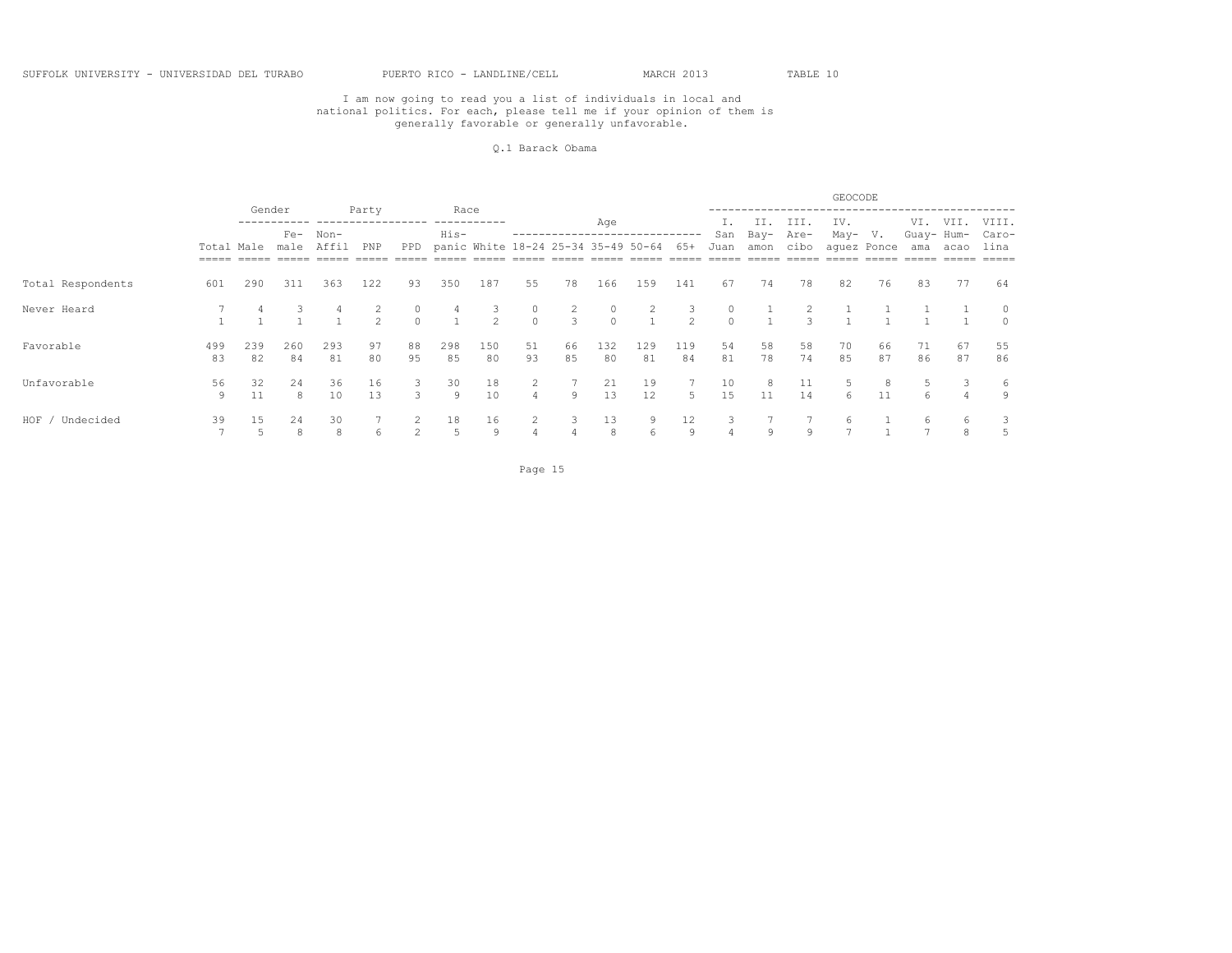#### Q.1 Barack Obama

|                   |            |           |               |               |                     |               |                     |                                     |                                  |          |                     |                     |                     |             |              |               | GEOCODE  |                              |                   |                |               |
|-------------------|------------|-----------|---------------|---------------|---------------------|---------------|---------------------|-------------------------------------|----------------------------------|----------|---------------------|---------------------|---------------------|-------------|--------------|---------------|----------|------------------------------|-------------------|----------------|---------------|
|                   |            | Gender    |               |               | Party               |               | Race                |                                     |                                  |          | Age                 |                     |                     |             | II.          | III.          | IV.      |                              | VI.               | VII.           | VIII.         |
|                   | Total Male |           | $Fe-$<br>male | Non-<br>Affil | PNP                 | PPD           | His-                | panic White 18-24 25-34 35-49 50-64 |                                  |          |                     |                     | 65+                 | San<br>Juan | Bay-<br>amon | Are-<br>cibo  | May-     | $V_{\bullet}$<br>aquez Ponce | Guay- Hum-<br>ama | acao           | Caro-<br>lina |
| Total Respondents | 601        | 290       | 311           | 363           | 122                 | 93            | 350                 | 187                                 | 55                               | 78       | 166                 | 159                 | 141                 | 67          | 74           | 78            | 82       | 76                           | 83                | 77             | 64            |
| Never Heard       |            |           |               |               | 2<br>$\mathfrak{D}$ | $\Omega$      | 4<br>$\overline{1}$ | $\mathbf{3}$<br>$\mathcal{L}$       | $\circ$<br>$\Omega$              | 2<br>3   | $\circ$<br>$\Omega$ | 2<br>$\overline{1}$ | 3<br>$\mathfrak{D}$ | $\cap$      | $\mathbf{1}$ | $\mathcal{L}$ |          |                              |                   |                | $\Omega$      |
| Favorable         | 499<br>83  | 239<br>82 | 260<br>84     | 293<br>81     | 97<br>80            | 88<br>95      | 298<br>85           | 150<br>80                           | 51<br>93                         | 66<br>85 | 132<br>80           | 129<br>81           | 119<br>84           | 54<br>81    | 58<br>78     | 58<br>74      | 70<br>85 | 66<br>87                     | 71<br>86          | 67<br>87       | 55<br>86      |
| Unfavorable       | 56<br>9    | 32<br>11  | 24<br>8       | 36<br>10      | 16<br>13            | 3             | 30<br>9             | 18<br>10                            | $\overline{2}$<br>$\overline{4}$ | 9        | 21<br>13            | 19<br>12            | 5                   | 10<br>15    | 8<br>11      | 11<br>14      | 6        | 11                           | 6.                | $\overline{4}$ | 6<br>9        |
| HOF<br>Undecided  | 39         | 15        | 24<br>8       | 30<br>8       | 6                   | $\mathcal{L}$ | 18<br>5             | 16<br>9                             | $\overline{2}$<br>4              | 3        | 13<br>8             | 9<br>6              | 12<br>9             | 4           | 9            | 9             | 6        |                              | 6                 | 6<br>8         |               |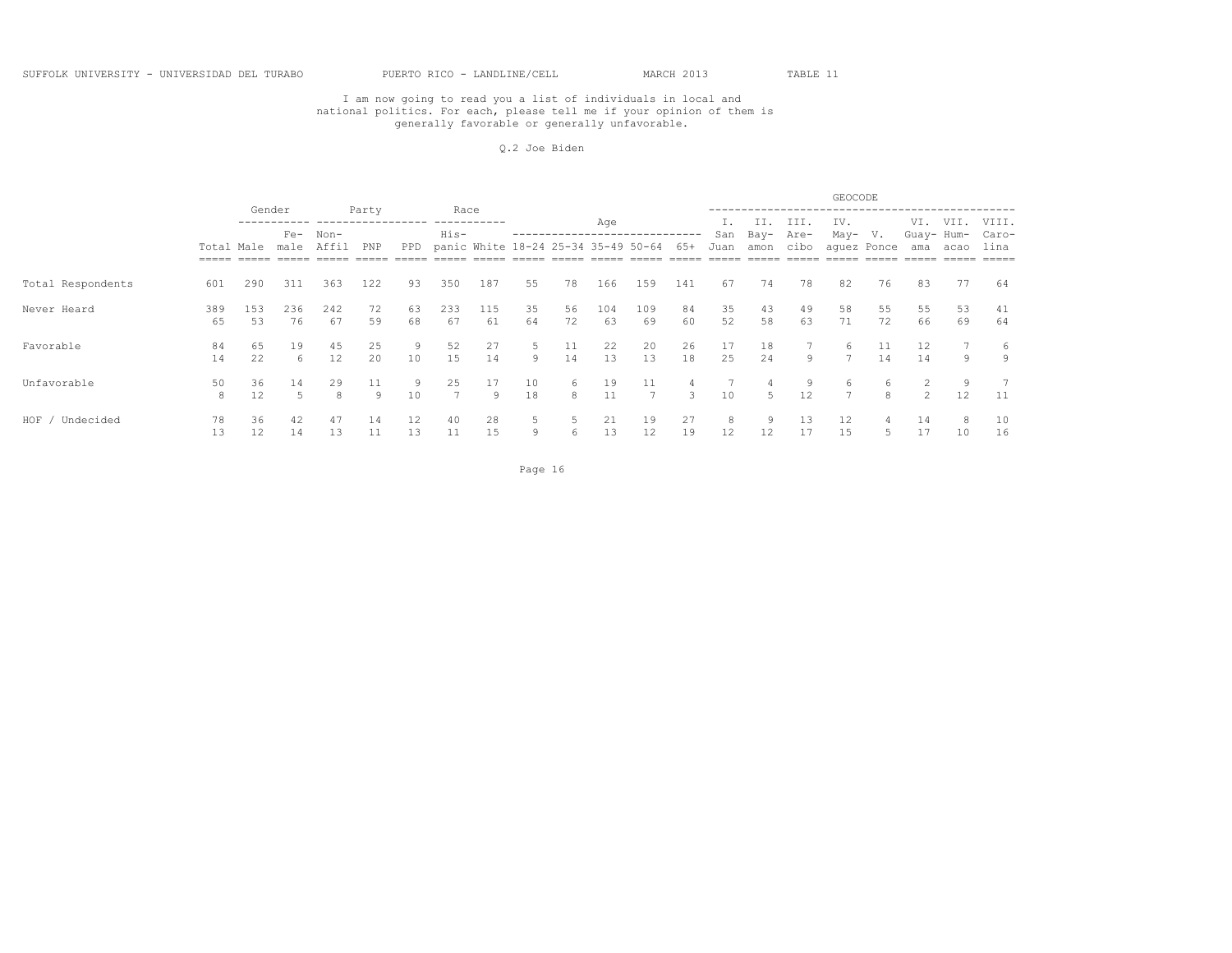#### Q.2 Joe Biden

|                   |            |           |               |           |          |               |           |                                     |          |                   |           |           |          |             |              |              | GEOCODE             |                   |                   |          |               |
|-------------------|------------|-----------|---------------|-----------|----------|---------------|-----------|-------------------------------------|----------|-------------------|-----------|-----------|----------|-------------|--------------|--------------|---------------------|-------------------|-------------------|----------|---------------|
|                   |            |           | Gender        |           | Party    |               | Race      |                                     |          |                   | Age       |           |          |             | II.          | III.         | IV.                 |                   | VI.               | VII.     | VIII.         |
|                   | Total Male |           | $Fe-$<br>male | Non-      | PNP      | PPD           | His-      | panic White 18-24 25-34 35-49 50-64 |          | ----------------- |           |           | $65+$    | San<br>Juan | Bay-<br>amon | Are-<br>cibo | May-                | V.<br>aquez Ponce | Guay- Hum-<br>ama | acao     | Caro-<br>lina |
| Total Respondents | 601        | 290       | 311           | 363       | 122      | 93            | 350       | 187                                 | 55       | 78                | 166       | 159       | 141      | 67          | 74           | 78           | 82                  | 76                | 83                | 77       | 64            |
| Never Heard       | 389<br>65  | 153<br>53 | 236<br>76     | 242<br>67 | 72<br>59 | 63<br>68      | 233<br>67 | 115<br>61                           | 35<br>64 | 56<br>72          | 104<br>63 | 109<br>69 | 84<br>60 | 35<br>52    | 43<br>58     | 49<br>63     | 58<br>71            | 55<br>72          | 55<br>66          | 53<br>69 | 41<br>64      |
| Favorable         | 84<br>14   | 65<br>22  | 19<br>6       | 45<br>12  | 25<br>20 | 10            | 52<br>15  | 27<br>14                            | 5<br>9   | 11<br>14          | 22<br>13  | 20<br>13  | 26<br>18 | 17<br>25    | 18<br>24     | 9            | h                   | 11<br>14          | 12<br>14          | 9        | 6<br>9        |
| Unfavorable       | 50<br>8    | 36<br>12  | 14<br>5       | 29<br>8   | 11<br>9  | 10            | 25        | 17<br>9                             | 10<br>18 | 6<br>8            | 19<br>11  | 11        | 4<br>3   | 10          | 4<br>5       | 9<br>12      | 6<br>$\overline{7}$ | 6<br>8            | $2^{\circ}$       | 9<br>12  | 11            |
| HOF<br>Undecided  | 78<br>13   | 36<br>12  | 42<br>14      | 47<br>13  | 14<br>11 | $12 \,$<br>13 | 40<br>11  | 28<br>15                            | 5<br>9   | 6                 | 21<br>13  | 19<br>12  | 27<br>19 | 8<br>12     | 9<br>12      | 13<br>17     | 12<br>15            |                   | 14<br>17          | 8<br>10  | 10<br>16      |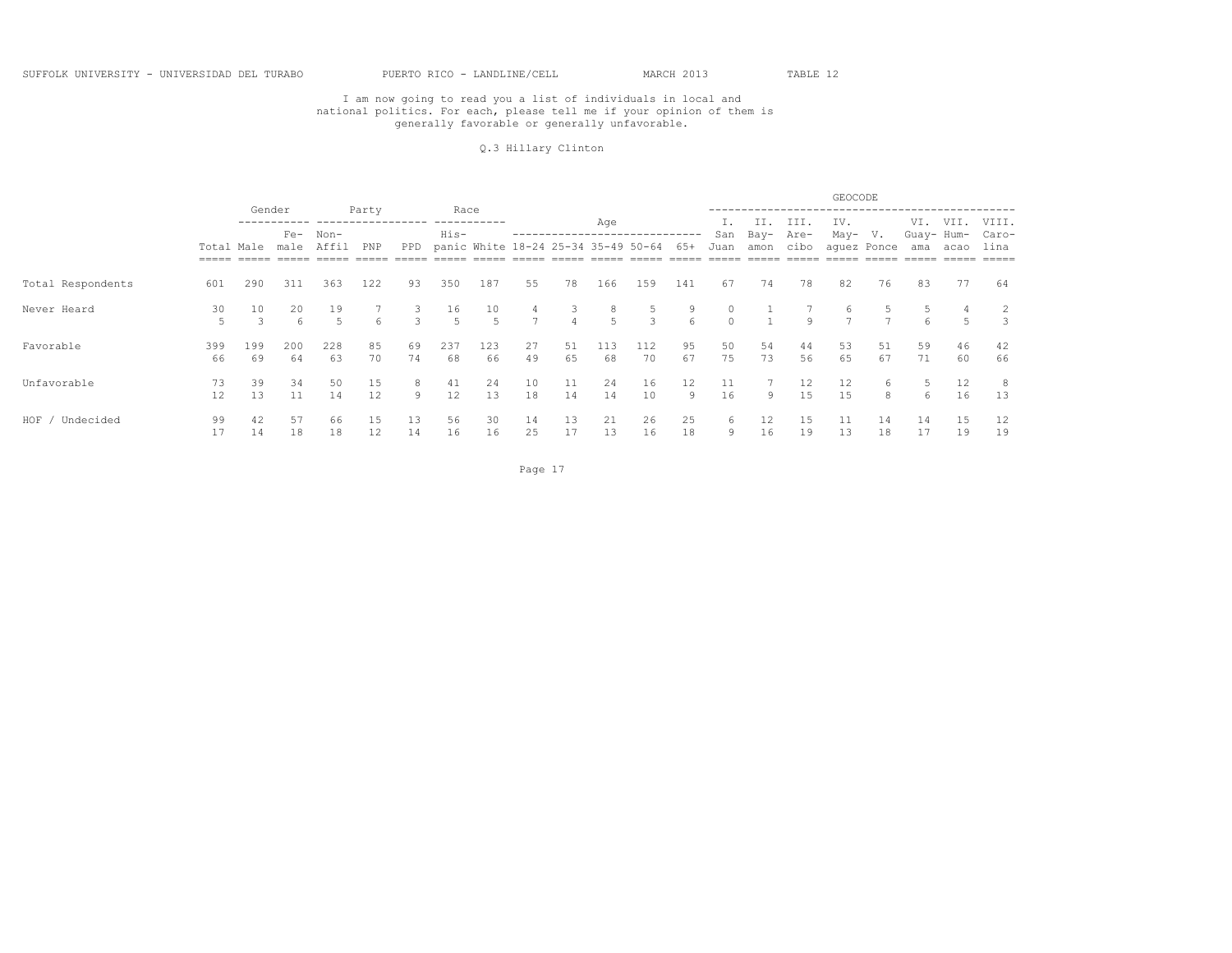#### Q.3 Hillary Clinton

|                   |            |                     |               |               |          |               |           |                                     |                     |                     |           |                    |                       |             |              |              | GEOCODE              |                   |                   |          |               |
|-------------------|------------|---------------------|---------------|---------------|----------|---------------|-----------|-------------------------------------|---------------------|---------------------|-----------|--------------------|-----------------------|-------------|--------------|--------------|----------------------|-------------------|-------------------|----------|---------------|
|                   |            | Gender              |               |               | Party    |               | Race      |                                     |                     |                     | Age       |                    |                       |             | II.          | III.         | IV.                  |                   | VI.               | VII.     | VIII.         |
|                   | Total Male |                     | $Fe-$<br>male | Non-<br>Affil | PNP      | PPD           | His-      | panic White 18-24 25-34 35-49 50-64 |                     |                     |           |                    | 65+                   | San<br>Juan | Bay-<br>amon | Are-<br>cibo | May-                 | V.<br>aquez Ponce | Guay- Hum-<br>ama | acao     | Caro-<br>lina |
| Total Respondents | 601        | 290                 | 311           | 363           | 122      | 93            | 350       | 187                                 | 55                  | 78                  | 166       | 159                | 141                   | 67          | 74           | 78           | 82                   | 76                | 83                | 77       | 64            |
| Never Heard       | 30<br>.5   | 10<br>$\mathcal{L}$ | 20<br>6       | 19<br>$-5$    | 6        | $\mathcal{L}$ | 16<br>5   | 10<br>5                             | 4<br>$\overline{7}$ | 3<br>$\overline{4}$ | 8<br>5    | 5<br>$\mathcal{B}$ | 9<br>$6 \overline{6}$ | $\cap$      |              | Q            | 6.<br>$\overline{7}$ | $\overline{7}$    |                   | 5        | -3            |
| Favorable         | 399<br>66  | 199<br>69           | 200<br>64     | 228<br>63     | 85<br>70 | 69<br>74      | 237<br>68 | 123<br>66                           | 27<br>49            | 51<br>65            | 113<br>68 | 112<br>70          | 95<br>67              | 50<br>75    | 54<br>73     | 44<br>56     | 53<br>65             | 51<br>67          | 59<br>71          | 46<br>60 | 42<br>66      |
| Unfavorable       | 73<br>12   | 39<br>13            | 34<br>11      | 50<br>14      | 15<br>12 | 8<br>9        | 41<br>12  | 24<br>13                            | 10<br>18            | 11<br>14            | 24<br>14  | 16<br>10           | 12<br>9               | 16          | 9            | 12<br>15     | 12<br>15             | 6<br>8            | 6.                | 12<br>16 | -8<br>13      |
| HOF<br>Undecided  | 99<br>17   | 42<br>14            | 57<br>18      | 66<br>18      | 15<br>12 | 13<br>14      | 56<br>16  | 30<br>16                            | 14<br>25            | 13<br>17            | 21<br>13  | 26<br>16           | 25<br>18              | h<br>9      | 12<br>16     | 15<br>19     | 11<br>13             | 14<br>18          | 14<br>17          | 15<br>19 | 12<br>19      |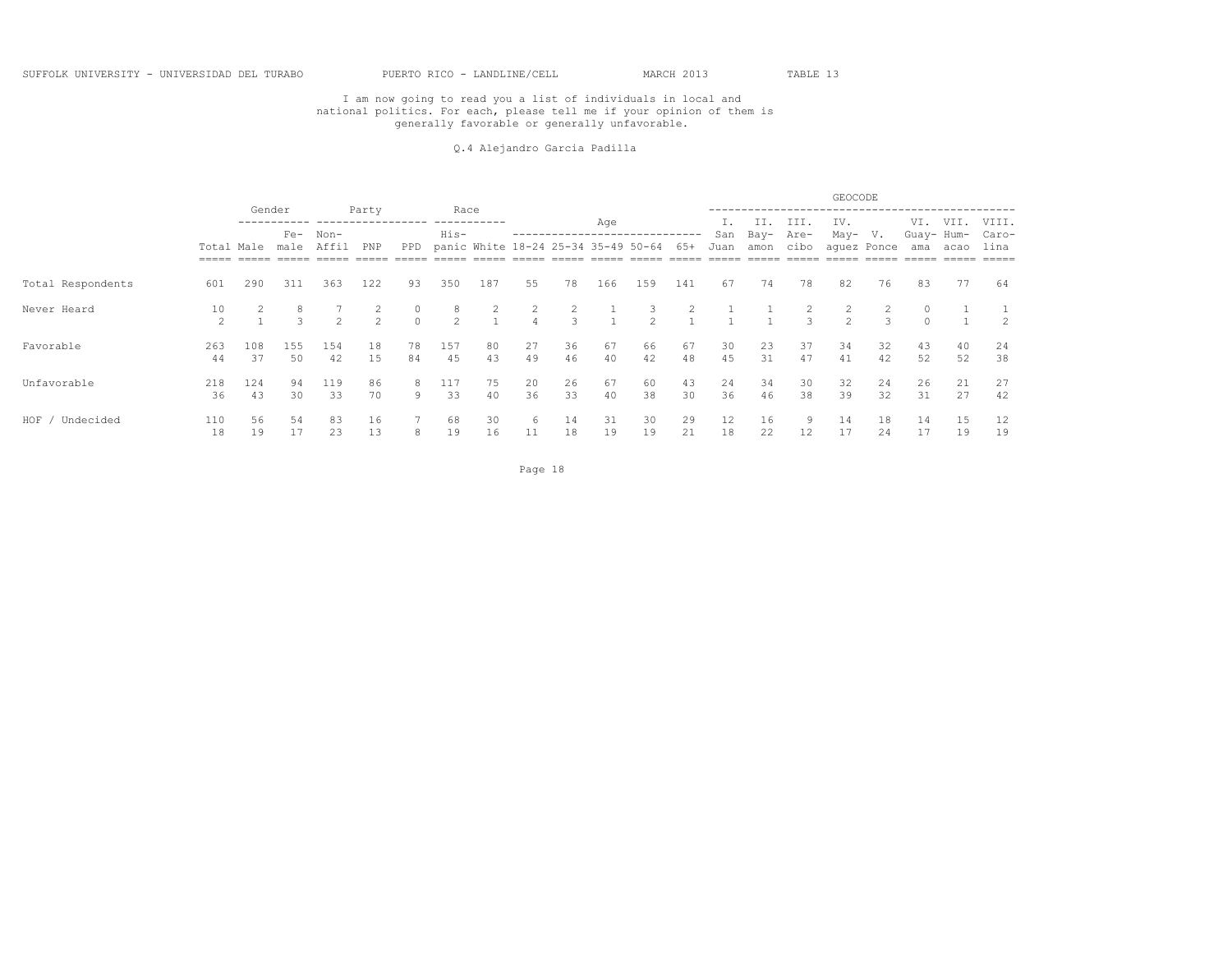#### Q.4 Alejandro Garcia Padilla

|                   |                      |           |                    |               |                     |               |                    |                                     |                                  |          |                |                    |                |             |              |               | GEOCODE                                |                                 |                   |          |               |
|-------------------|----------------------|-----------|--------------------|---------------|---------------------|---------------|--------------------|-------------------------------------|----------------------------------|----------|----------------|--------------------|----------------|-------------|--------------|---------------|----------------------------------------|---------------------------------|-------------------|----------|---------------|
|                   |                      | Gender    |                    |               | Party               |               | Race               |                                     |                                  |          | Age            |                    |                |             | II.          | III.          | IV.                                    |                                 | VI.               | VII.     | VIII.         |
|                   | Total Male           |           | $Fe-$<br>male      | Non-<br>Affil | PNP                 | PPD           | His-               | panic White 18-24 25-34 35-49 50-64 |                                  |          |                |                    | 65+            | San<br>Juan | Bay-<br>amon | Are-<br>cibo  | May-                                   | V.<br>aquez Ponce               | Guay- Hum-<br>ama | acao     | Caro-<br>lina |
| Total Respondents | 601                  | 290       | 311                | 363           | 122                 | 93            | 350                | 187                                 | 55                               | 78       | 166            | 159                | 141            | 67          | 74           | 78            | 82                                     | 76                              | 83                | 77       | 64            |
| Never Heard       | 10<br>$\mathfrak{D}$ |           | 8<br>$\mathcal{B}$ | $\mathcal{L}$ | 2<br>$\mathfrak{D}$ | 0<br>$\Omega$ | 8<br>$\mathcal{L}$ | $\mathbf{2}$<br>$\mathbf{1}$        | $\overline{2}$<br>$\overline{4}$ | 2<br>3   | $\overline{1}$ | 3<br>$\mathcal{L}$ | $\overline{2}$ |             |              | $\mathcal{L}$ | $\mathbf{2}^{\prime}$<br>$\mathcal{L}$ | $\overline{2}$<br>$\mathcal{R}$ | $\circ$<br>$\cap$ |          |               |
| Favorable         | 263<br>44            | 108<br>37 | 155<br>50          | 154<br>42     | 18<br>15            | 78<br>84      | 157<br>45          | 80<br>43                            | 27<br>49                         | 36<br>46 | 67<br>40       | 66<br>42           | 67<br>48       | 30<br>45    | 23<br>31     | 37<br>47      | 34<br>41                               | 32<br>42                        | 43<br>52          | 40<br>52 | 24<br>38      |
| Unfavorable       | 218<br>36            | 124<br>43 | 94<br>30           | 119<br>33     | 86<br>70            | 8<br>9        | 117<br>33          | 75<br>40                            | 20<br>36                         | 26<br>33 | 67<br>40       | 60<br>38           | 43<br>30       | 24<br>36    | 34<br>46     | 30<br>38      | 32<br>39                               | 24<br>32                        | 26<br>31          | 21<br>27 | 27<br>42      |
| HOF<br>Undecided  | 110<br>18            | 56<br>19  | 54<br>17           | 83<br>23      | 16<br>13            | 8             | 68<br>19           | 30<br>16                            | 6<br>11                          | 14<br>18 | 31<br>19       | 30<br>19           | 29<br>21       | 12<br>18    | 16<br>22     | 9.<br>12      | 14<br>17                               | 18<br>24                        | 14<br>17          | 15<br>19 | 12<br>19      |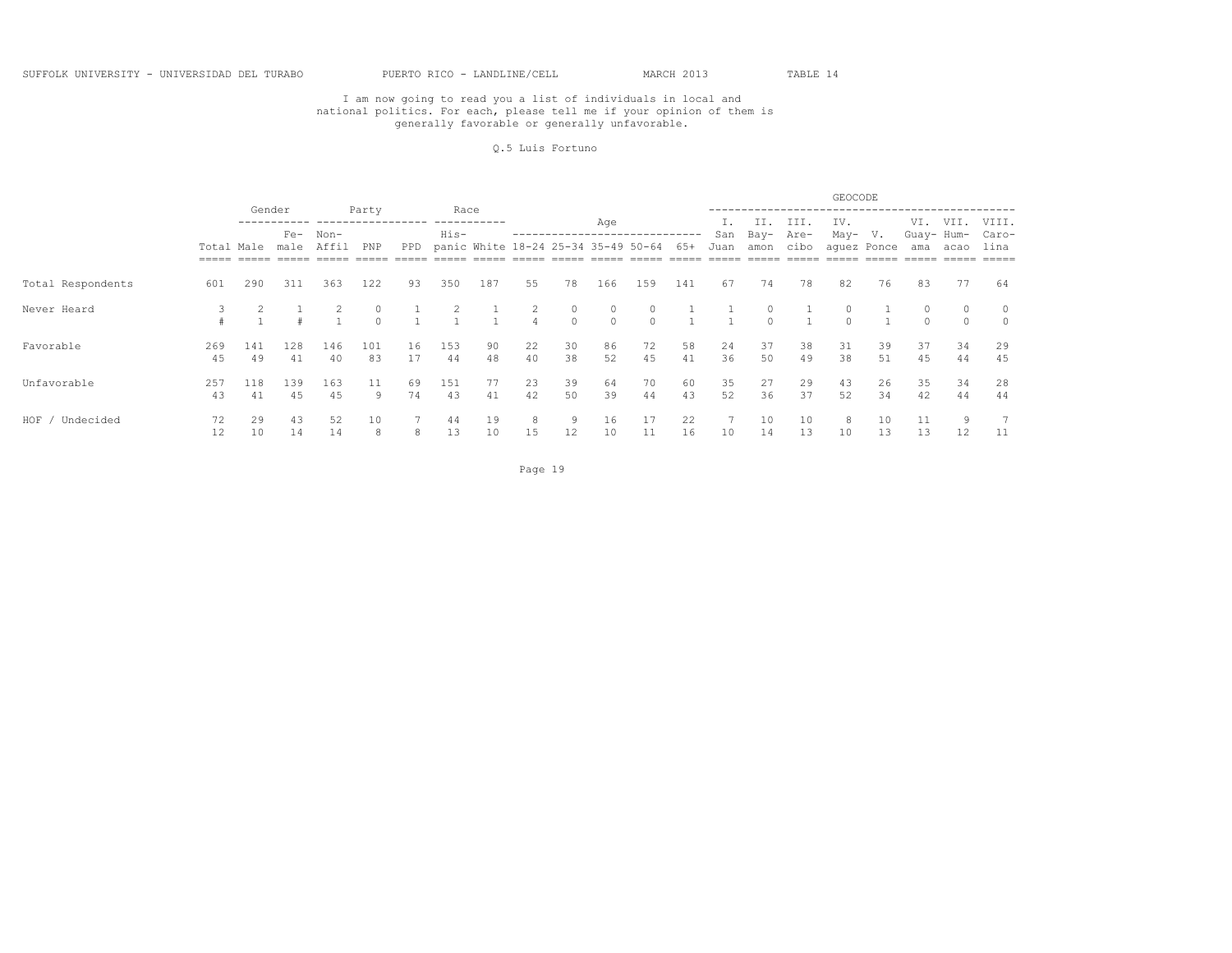#### Q.5 Luis Fortuno

|                   |            |           |               |               |               |          |                |                                     |                                  |                     |                     |                     |              |             |              |              | GEOCODE     |                              |                   |                     |               |
|-------------------|------------|-----------|---------------|---------------|---------------|----------|----------------|-------------------------------------|----------------------------------|---------------------|---------------------|---------------------|--------------|-------------|--------------|--------------|-------------|------------------------------|-------------------|---------------------|---------------|
|                   |            | Gender    |               |               | Party         |          | Race           |                                     |                                  |                     | Age                 |                     |              | I.          | II.          | III.         | IV.         |                              | VI.               | VII.                | VIII.         |
|                   | Total Male |           | $Fe-$<br>male | Non-<br>Affil | PNP           | PPD      | His-           | panic White 18-24 25-34 35-49 50-64 |                                  |                     |                     |                     | 65+          | San<br>Juan | Bay-<br>amon | Are-<br>cibo | May-        | $V_{\bullet}$<br>aquez Ponce | Guay- Hum-<br>ama | acao                | Caro-<br>lina |
| Total Respondents | 601        | 290       | 311           | 363           | 122           | 93       | 350            | 187                                 | 55                               | 78                  | 166                 | 159                 | 141          | 67          | 74           | 78           | 82          | 76                           | 83                | 77                  | 64            |
| Never Heard       |            |           |               |               | 0<br>$\Omega$ |          | $\overline{c}$ | $\mathbf{1}$<br>$\overline{1}$      | $\overline{c}$<br>$\overline{4}$ | $\circ$<br>$\Omega$ | $\circ$<br>$\Omega$ | $\circ$<br>$\Omega$ | $\mathbf{1}$ |             | 0<br>$\cap$  |              | 0<br>$\cap$ |                              | $\cap$            | $\circ$<br>$\Omega$ |               |
| Favorable         | 269<br>45  | 141<br>49 | 128<br>41     | 146<br>40     | 101<br>83     | 16<br>17 | 153<br>44      | 90<br>48                            | 22<br>40                         | 30<br>38            | 86<br>52            | 72<br>45            | 58<br>41     | 24<br>36    | 37<br>50     | 38<br>49     | 31<br>38    | 39<br>51                     | 37<br>45          | 34<br>44            | 29<br>45      |
| Unfavorable       | 257<br>43  | 118<br>41 | 139<br>45     | 163<br>45     | 11<br>9       | 69<br>74 | 151<br>43      | 77<br>41                            | 23<br>42                         | 39<br>50            | 64<br>39            | 70<br>44            | 60<br>43     | 35<br>52    | 27<br>36     | 29<br>37     | 43<br>52    | 26<br>34                     | 35<br>42          | 34<br>44            | 28<br>44      |
| HOF<br>Undecided  | 72<br>12   | 29<br>10  | 43<br>14      | 52<br>14      | 10<br>8       | 8        | 44<br>13       | 19<br>10                            | 8<br>15                          | 9<br>12             | 16<br>10            | 17<br>11            | 22<br>16     | 10          | 10<br>14     | 10<br>13     | 8<br>10     | 10<br>13                     | 11<br>13          | 9<br>12             | 11            |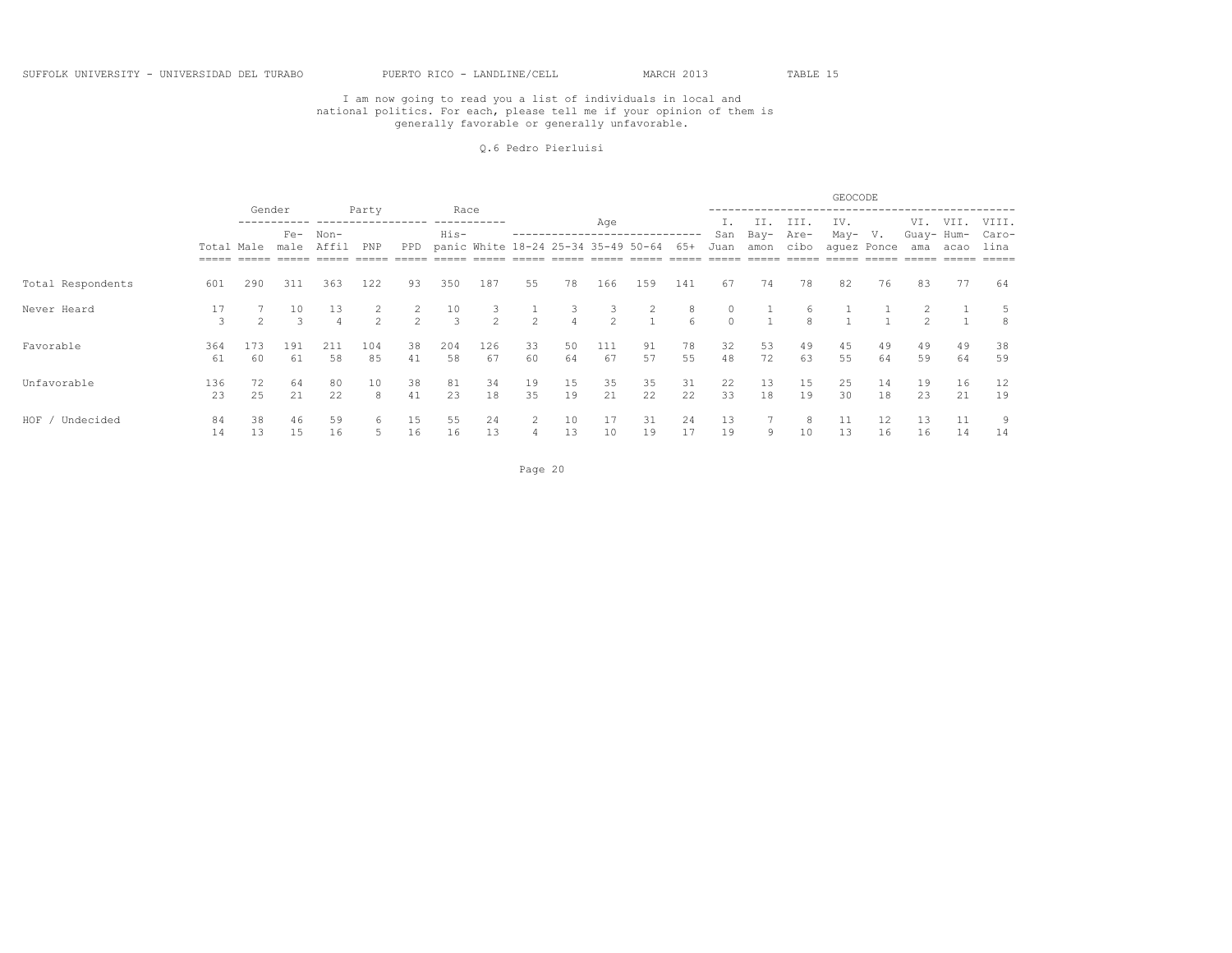#### Q.6 Pedro Pierluisi

|                   |            |               |                     |           |                     |               |           |                                     |          |                     |                     |                                  |                       |                     |              |                    | GEOCODE  |                   |                   |          |               |
|-------------------|------------|---------------|---------------------|-----------|---------------------|---------------|-----------|-------------------------------------|----------|---------------------|---------------------|----------------------------------|-----------------------|---------------------|--------------|--------------------|----------|-------------------|-------------------|----------|---------------|
|                   |            | Gender        |                     |           | Party               |               | Race      |                                     |          |                     | Age                 |                                  |                       |                     | II.          | III.               | IV.      |                   | VI.               | VII.     | VIII.         |
|                   | Total Male |               | $Fe-$<br>male       | Non-      | PNP                 | PPD           | His-      | panic White 18-24 25-34 35-49 50-64 |          |                     |                     |                                  | $65+$                 | San<br>Juan         | Bay-<br>amon | Are-<br>cibo       | May-     | V.<br>aquez Ponce | Guay- Hum-<br>ama | acao     | Caro-<br>lina |
| Total Respondents | 601        | 290           | 311                 | 363       | 122                 | 93            | 350       | 187                                 | 55       | 78                  | 166                 | 159                              | 141                   | 67                  | 74           | 78                 | 82       | 76                | 83                | 77       | 64            |
| Never Heard       | 17<br>3    | $\mathcal{P}$ | 10<br>$\mathcal{L}$ | 13        | 2<br>$\overline{2}$ | $\mathcal{P}$ | 10<br>3   | $\mathfrak{D}$                      | $2^{1}$  | 3<br>$\overline{4}$ | 3<br>$\mathfrak{D}$ | $\overline{2}$<br>$\overline{1}$ | 8<br>$6 \overline{6}$ | $\circ$<br>$\Omega$ |              | 6<br>$\mathcal{R}$ |          |                   | $\mathcal{P}$     |          | 5<br>8        |
| Favorable         | 364<br>61  | 173<br>60     | 191<br>61           | 211<br>58 | 104<br>85           | 38<br>41      | 204<br>58 | 126<br>67                           | 33<br>60 | 50<br>64            | 111<br>67           | 91<br>57                         | 78<br>55              | 32<br>48            | 53<br>72     | 49<br>63           | 45<br>55 | 49<br>64          | 49<br>59          | 49<br>64 | 38<br>59      |
| Unfavorable       | 136<br>23  | 72<br>25      | 64<br>21            | 80<br>22  | 10<br>8             | 38<br>41      | 81<br>23  | 34<br>18                            | 19<br>35 | 15<br>19            | 35<br>21            | 35<br>22                         | 31<br>22              | 22<br>33            | 13<br>18     | 15<br>19           | 25<br>30 | 14<br>18          | 19<br>23          | 16<br>21 | 12<br>19      |
| HOF<br>Undecided  | 84<br>14   | 38<br>13      | 46<br>15            | 59<br>16  | 6                   | 15<br>16      | 55<br>16  | 24<br>13                            | 2<br>4   | 10<br>13            | $\perp$ /<br>10     | 31<br>19                         | 24<br>17              | 13<br>19            | 9            | 10                 | 13       | 12<br>16          | 13<br>16          | 11<br>14 | 9<br>14       |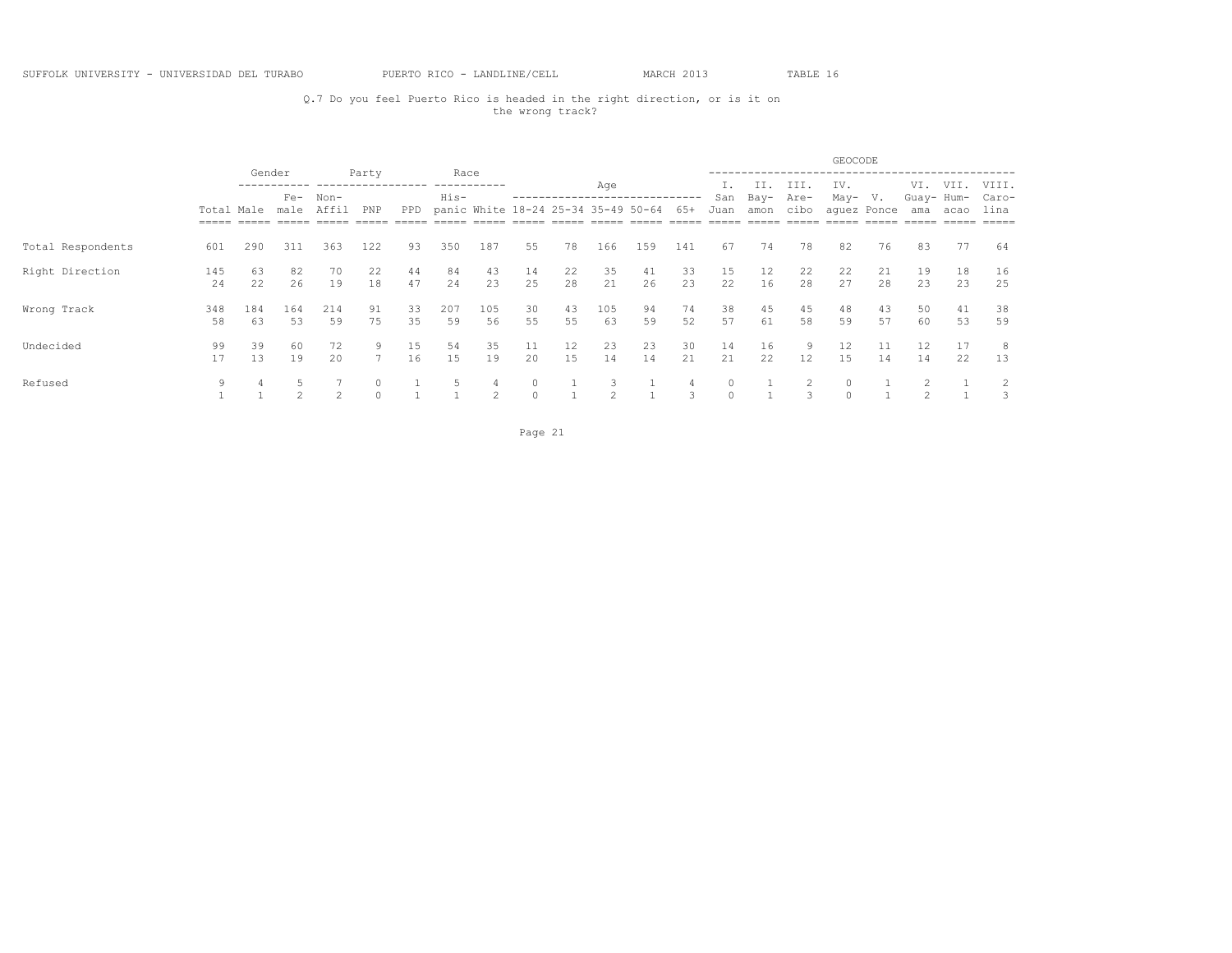## Q.7 Do you feel Puerto Rico is headed in the right direction, or is it on the wrong track?

|                   |                                   |           |                 |               |          |          |              |                                     |          |                   |                |          |                   |          |          |              | GEOCODE             |             |                   |          |                |
|-------------------|-----------------------------------|-----------|-----------------|---------------|----------|----------|--------------|-------------------------------------|----------|-------------------|----------------|----------|-------------------|----------|----------|--------------|---------------------|-------------|-------------------|----------|----------------|
|                   |                                   |           | Gender<br>$Fe-$ | $Non-$        | Party    |          | Race<br>His- | ----------                          |          | ----------------- | Age            |          |                   | San      | Bay-     | III.<br>Are- | IV.<br>May-         | V.          | VI.<br>Guay- Hum- | VII.     | VIII.<br>Caro- |
|                   | Total Male<br>$=$ $=$ $=$ $=$ $=$ |           | male            | Affil         | PNP      | PPD      |              | panic White 18-24 25-34 35-49 50-64 |          |                   |                |          | 65+               | Juan     | amon     | cibo         |                     | aquez Ponce | ama               | acao     | lina<br>====   |
| Total Respondents | 601                               | 290       | 311             | 363           | 122      | 93       | 350          | 187                                 | 55       | 78                | 166            | 159      | 141               | 67       | 74       | 78           | 82                  | 76          | 83                | 77       | 64             |
| Right Direction   | 145<br>24                         | 63<br>22  | 82<br>26        | 70<br>19      | 22<br>18 | 44<br>47 | 84<br>24     | 43<br>23                            | 14<br>25 | 22<br>28          | 35<br>21       | 41<br>26 | 33<br>23          | 15<br>22 | 12<br>16 | 22<br>28     | 22<br>27            | 21<br>28    | 19<br>23          | 18<br>23 | 16<br>25       |
| Wrong Track       | 348<br>58                         | 184<br>63 | 164<br>53       | 214<br>59     | 91<br>75 | 33<br>35 | 207<br>59    | 105<br>56                           | 30<br>55 | 43<br>55          | 105<br>63      | 94<br>59 | 74<br>52          | 38<br>57 | 45<br>61 | 45<br>58     | 48<br>59            | 43<br>57    | 50<br>60          | 41<br>53 | 38<br>59       |
| Undecided         | 99<br>17                          | 39<br>13  | 60<br>19        | 72<br>20      |          | 15<br>16 | 54<br>15     | 35<br>19                            | 11<br>20 | 12<br>15          | 23<br>14       | 23<br>14 | 30<br>21          | 14<br>21 | 16<br>22 | 9<br>12      | 12<br>15            | 11<br>14    | 12<br>14          | 17<br>22 | 8<br>13        |
| Refused           | 9                                 |           | $\sim$          | $\mathcal{D}$ |          |          |              | $\mathfrak{D}$                      | $\Omega$ |                   | $\mathfrak{D}$ |          | 4<br>$\mathbf{z}$ |          |          | 3            | $\circ$<br>$\Omega$ |             | $\sim$            |          | 2<br>3         |

Page 21 and the state of the state of the state of the state of the state of the state of the state of the state of the state of the state of the state of the state of the state of the state of the state of the state of th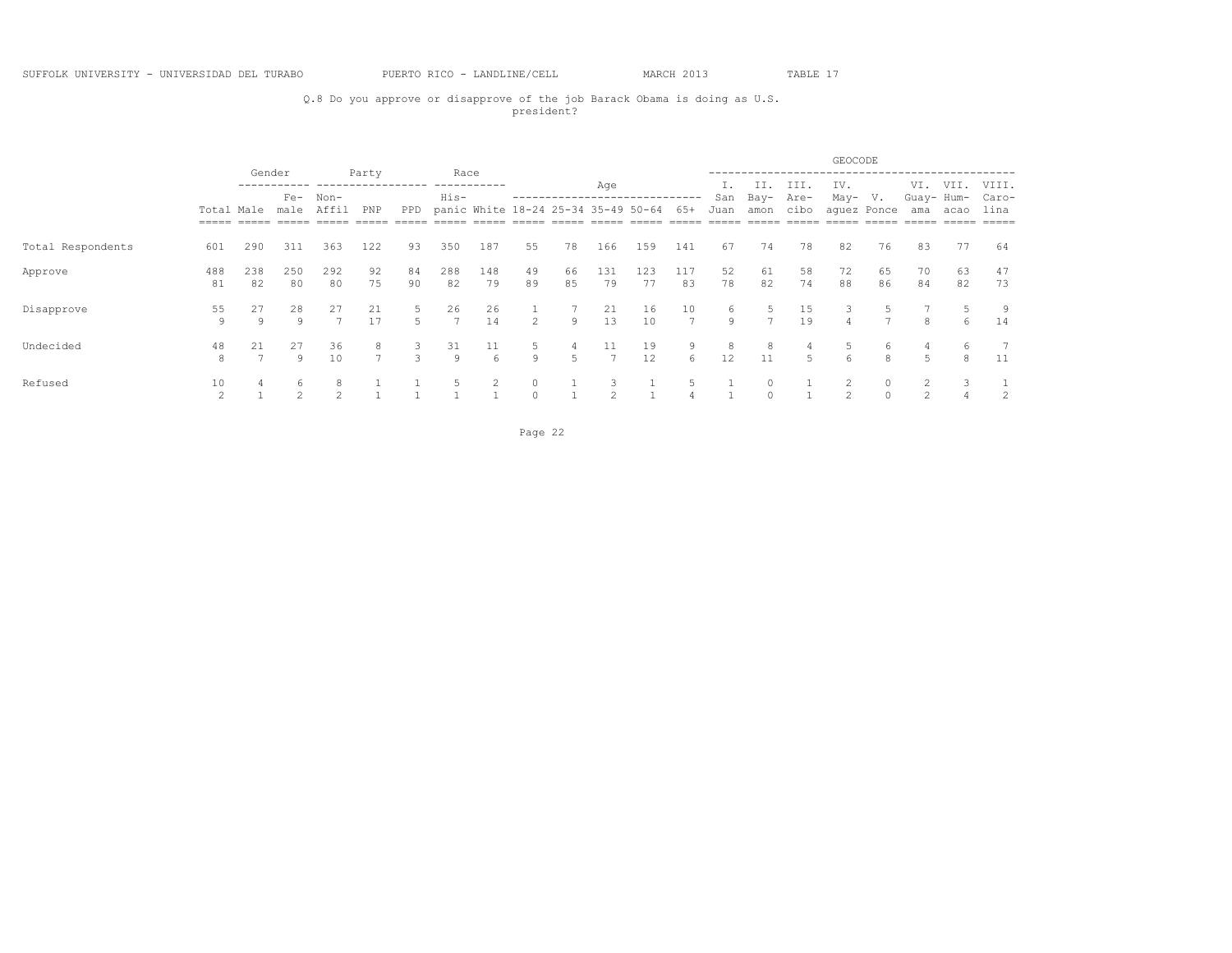## Q.8 Do you approve or disapprove of the job Barack Obama is doing as U.S. president?

|                   |                      |           |                 |           |                     |                    |                      |                                     |                     |              |                |           |                       |          |                     |                     | GEOCODE        |             |                   |          |                |
|-------------------|----------------------|-----------|-----------------|-----------|---------------------|--------------------|----------------------|-------------------------------------|---------------------|--------------|----------------|-----------|-----------------------|----------|---------------------|---------------------|----------------|-------------|-------------------|----------|----------------|
|                   |                      |           | Gender<br>$Fe-$ | Non-      | Party               |                    | Race<br>His-         | ----------                          |                     |              | Age            |           |                       | San      | II.<br>Bay-         | III.<br>Are-        | IV.<br>May-    | V.          | VI.<br>Guay- Hum- | VII.     | VIII.<br>Caro- |
|                   | Total Male           |           | male            |           | PNP                 | PPD                |                      | panic White 18-24 25-34 35-49 50-64 |                     |              |                |           | $65+$                 | Juan     | amon                | cibo                |                | aquez Ponce | ama               | acao     | lina           |
| Total Respondents | 601                  | 290       | 311             | 363       | 122                 | 93                 | 350                  | 187                                 | 55                  | 78           | 166            | 159       | 141                   | 67       | 74                  | 78                  | 82             | 76          | 83                | 77       | 64             |
| Approve           | 488<br>81            | 238<br>82 | 250<br>80       | 292<br>80 | 92<br>75            | 84<br>90           | 288<br>82            | 148<br>79                           | 49<br>89            | 66<br>85     | 131<br>79      | 123<br>77 | 117<br>83             | 52<br>78 | 61<br>82            | 58<br>74            | 72<br>88       | 65<br>86    | 70<br>84          | 63<br>82 | 47<br>73       |
| Disapprove        | 55<br>9              | 27<br>Q   | 28<br>Q         | 27        | 21<br>17            | 5<br>5             | 26<br>$\overline{7}$ | 26<br>14                            | $\mathcal{L}$       | $\mathsf{Q}$ | 21<br>13       | 16<br>10  | 10<br>$7\phantom{.0}$ | 6<br>Q   | 5<br>$\overline{7}$ | 15<br>19            | 3              | 5.          | 8                 | 5.<br>6  | 9<br>14        |
| Undecided         | 48<br>8              | 21        | 27<br>Q         | 36<br>10  | 8<br>$\overline{ }$ | 3<br>$\mathcal{L}$ | 31<br>Q              | 11<br>$\epsilon$                    | 5<br>9              | 4<br>5       | $\overline{ }$ | 19<br>12  | 9<br>6                | 8<br>12  | 8<br>11             | 4<br>$\overline{5}$ | 6              | 6<br>8      | 4<br>5.           | 6<br>8   | 11             |
| Refused           | 10<br>$\mathfrak{D}$ |           | 6<br>$\sim$     |           |                     |                    |                      |                                     | $\circ$<br>$\Omega$ |              | $\mathfrak{D}$ |           |                       |          | $\circ$<br>$\Omega$ |                     | $\mathfrak{D}$ |             | $\mathcal{L}$     |          | 2              |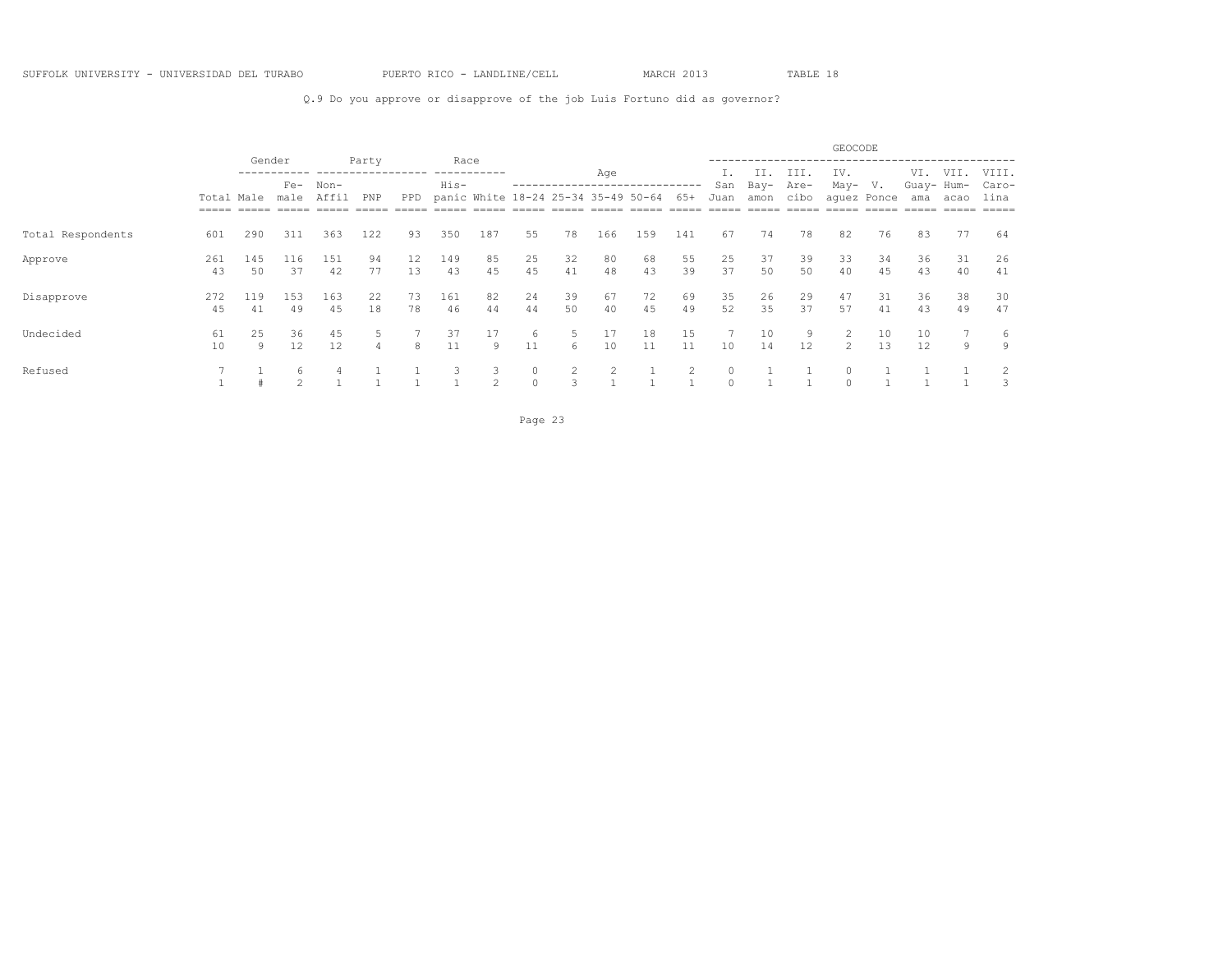### Q.9 Do you approve or disapprove of the job Luis Fortuno did as governor?

|                   |                                   |           |                 |           |          |          |              |                     |                          |                                     |                |          |                |          |             |             | GEOCODE             |             |                   |          |                |
|-------------------|-----------------------------------|-----------|-----------------|-----------|----------|----------|--------------|---------------------|--------------------------|-------------------------------------|----------------|----------|----------------|----------|-------------|-------------|---------------------|-------------|-------------------|----------|----------------|
|                   |                                   |           | Gender<br>$Fe-$ | Non-      | Party    |          | Race<br>His- |                     |                          |                                     | Age            |          |                | San      | II.<br>Bay- | III<br>Are- | IV.<br>May-         | V.          | VI.<br>Guay- Hum- | VII.     | VIII.<br>Caro- |
|                   | Total Male<br>$=$ $=$ $=$ $=$ $=$ |           | male            | Affil     | PNP      | PPD.     |              |                     |                          | panic White 18-24 25-34 35-49 50-64 |                |          | 65+            | Juan     | amon        | cibo        |                     | aquez Ponce | ama               | acao     | lina<br>$====$ |
| Total Respondents | 601                               | 290       | 311             | 363       | 122      | 93       | 350          | 187                 | 55                       | 78                                  | 166            | 159      | 141            | 67       | 74          | 78          | 82                  | 76          | 83                | 77       | 64             |
| Approve           | 261<br>43                         | 145<br>50 | 116<br>37       | 151<br>42 | 94<br>77 | 12<br>13 | 149<br>43    | 85<br>45            | 25<br>45                 | 32<br>41                            | 80<br>48       | 68<br>43 | 55<br>39       | 25<br>37 | 37<br>50    | 39<br>50    | 33<br>40            | 34<br>45    | 36<br>43          | 31<br>40 | 26<br>41       |
| Disapprove        | 272<br>45                         | 119<br>41 | 153<br>49       | 163<br>45 | 22<br>18 | 73<br>78 | 161<br>46    | 82<br>44            | 24<br>44                 | 39<br>50                            | 67<br>40       | 72<br>45 | 69<br>49       | 35<br>52 | 26<br>35    | 29<br>37    | 47<br>57            | 31<br>41    | 36<br>43          | 38<br>49 | 30<br>47       |
| Undecided         | 61<br>10                          | 25<br>9   | 36<br>12        | 45<br>12  | 5.       | 8        | 37<br>11     | 17<br>9             | 6<br>11                  | 5<br>6                              | 17<br>10       | 18<br>11 | 15<br>11       | 10       | 10<br>14    | 9<br>12     | 2<br>$\mathfrak{D}$ | 10<br>13    | 10<br>12          | 9        | 6<br>9         |
| Refused           |                                   |           | 6<br>$\sim$     |           |          |          | 3            | 3<br>$\overline{2}$ | $\mathbf{0}$<br>$\Omega$ | $\overline{c}$<br>3                 | $\overline{c}$ |          | $\overline{2}$ | $\circ$  |             |             |                     |             |                   |          | 2<br>3         |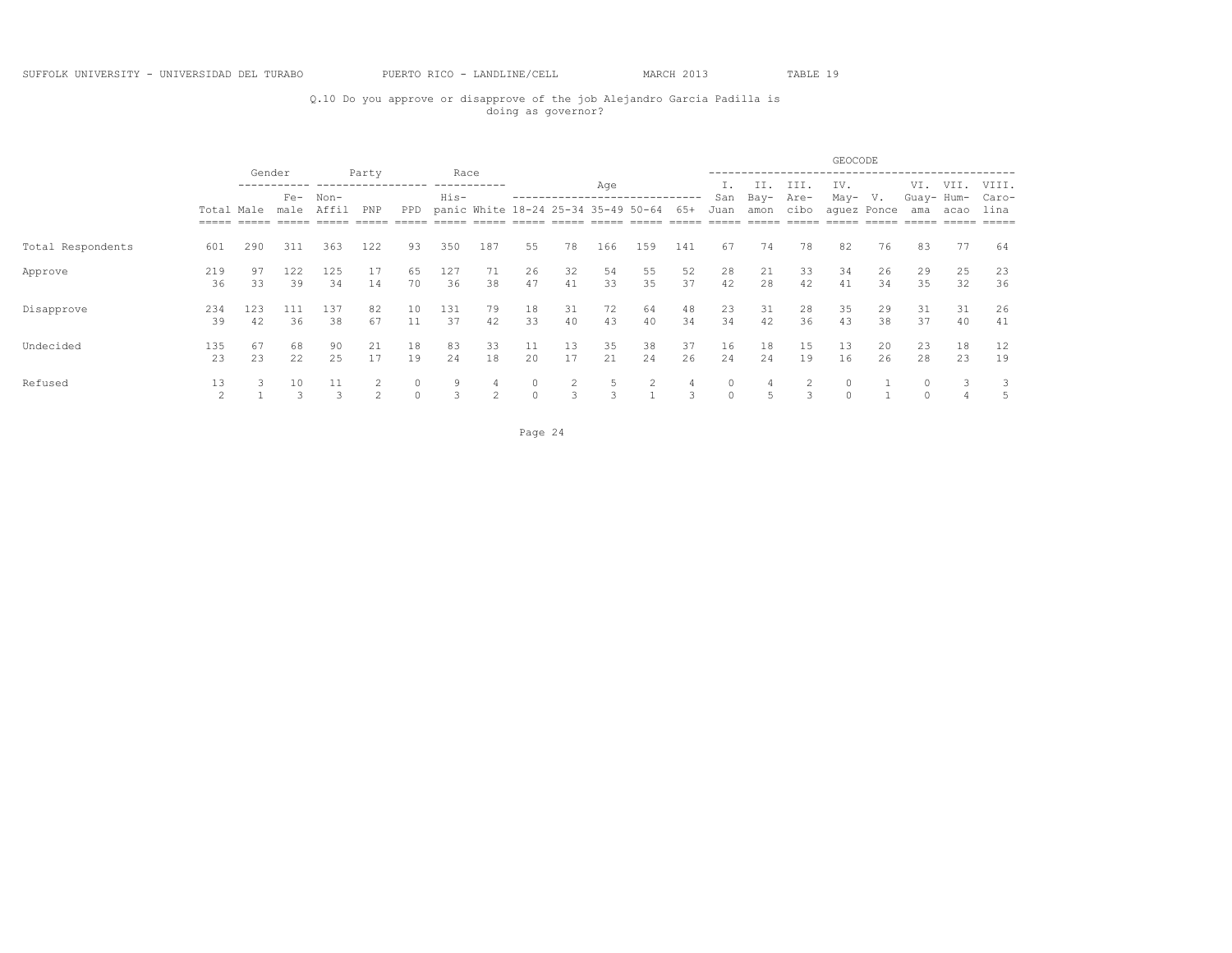## Q.10 Do you approve or disapprove of the job Alejandro Garcia Padilla is doing as governor?

|                   |                     |           |                 |           |          |                     |              |                     |               |          |          |                                     |          |                    |          |              | GEOCODE            |             |                      |          |                |
|-------------------|---------------------|-----------|-----------------|-----------|----------|---------------------|--------------|---------------------|---------------|----------|----------|-------------------------------------|----------|--------------------|----------|--------------|--------------------|-------------|----------------------|----------|----------------|
|                   |                     |           | Gender<br>$Fe-$ | Non-      | Party    |                     | Race<br>His- |                     |               |          | Age      |                                     |          | San                | Bay-     | III.<br>Are- | IV.<br>May-        | V.          | VI.<br>Guay- Hum-    | VII.     | VIII.<br>Caro- |
|                   | Total Male<br>===== |           | male            | Affil     | PNP      | <b>PPD</b>          |              |                     |               |          |          | panic White 18-24 25-34 35-49 50-64 | 65+      | Juan               | amon     | cibo         |                    | aquez Ponce | ama                  | acao     | lina           |
| Total Respondents | 601                 | 290       | 311             | 363       | 122      | 93                  | 350          | 187                 | 55            | 78       | 166      | 159                                 | 141      | 67                 | 74       | 78           | 82                 | 76          | 83                   | 77       | 64             |
| Approve           | 219<br>36           | 97<br>33  | 122<br>39       | 125<br>34 | 17<br>14 | 65<br>70            | 127<br>36    | 71<br>38            | 26<br>47      | 32<br>41 | 54<br>33 | 55<br>35                            | 52<br>37 | 28<br>42           | 21<br>28 | 33<br>42     | 34<br>41           | 26<br>34    | 29<br>35             | 25<br>32 | 23<br>36       |
| Disapprove        | 234<br>39           | 123<br>42 | 111<br>36       | 137<br>38 | 82<br>67 | 10<br>11            | 131<br>37    | 79<br>42            | 18<br>33      | 31<br>40 | 72<br>43 | 64<br>40                            | 48<br>34 | 23<br>34           | 31<br>42 | 28<br>36     | 35<br>43           | 29<br>38    | 31<br>37             | 31<br>40 | 26<br>41       |
| Undecided         | 135<br>23           | 67<br>23  | 68<br>22        | 90<br>25  | 21<br>17 | 18<br>19            | 83<br>24     | 33<br>18            | 11<br>20      | 13<br>17 | 35<br>21 | 38<br>24                            | 37<br>26 | 16<br>24           | 18<br>24 | 15<br>19     | 13<br>16           | 20<br>26    | 23<br>28             | 18<br>23 | 12<br>19       |
| Refused           | 13                  |           | 10              | 11        | 2        | $\circ$<br>$\Omega$ | 9<br>3       | 4<br>$\overline{c}$ | 0<br>$\Omega$ | 2<br>3   | 5<br>3   | 2                                   | 4<br>3   | $\circ$<br>$\circ$ | 4        |              | $\circ$<br>$\circ$ |             | $\Omega$<br>$\Omega$ |          | 3              |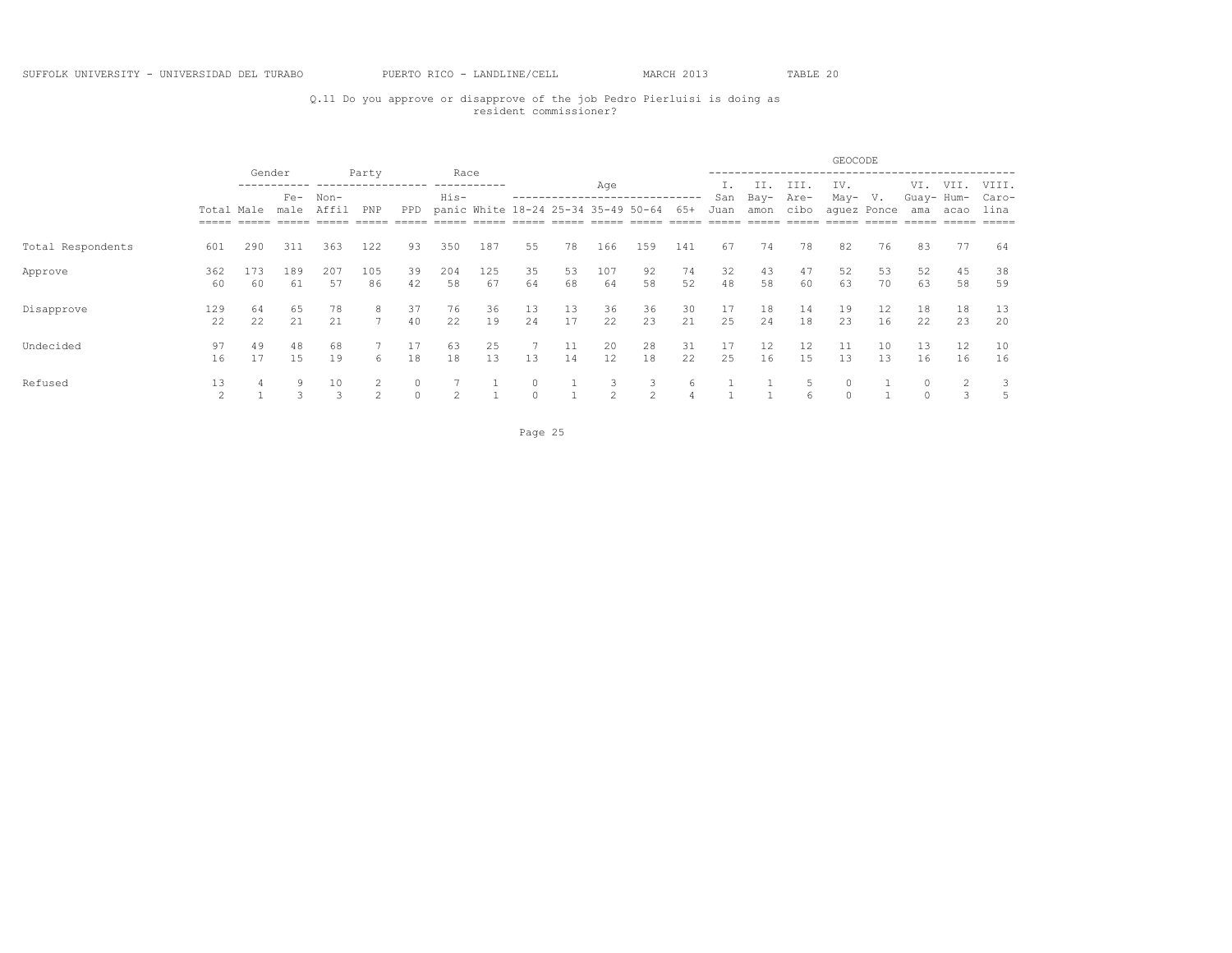## Q.11 Do you approve or disapprove of the job Pedro Pierluisi is doing as resident commissioner?

|                   |                     |           |           |           |               |                     |                |                                     |                     |          |                         |                     |          |          |          |              | GEOCODE            |             |                      |          |                |
|-------------------|---------------------|-----------|-----------|-----------|---------------|---------------------|----------------|-------------------------------------|---------------------|----------|-------------------------|---------------------|----------|----------|----------|--------------|--------------------|-------------|----------------------|----------|----------------|
|                   |                     | Gender    | $Fe-$     | Non-      | Party         |                     | Race<br>His-   |                                     |                     |          | Age                     |                     |          | San      | Bay-     | III.<br>Are- | IV.<br>May-        | V.          | VI.<br>Guay- Hum-    | VII.     | VIII.<br>Caro- |
|                   | Total Male          |           | male      | Affil     | PNP           | <b>PPD</b>          |                | panic White 18-24 25-34 35-49 50-64 |                     |          |                         |                     | 65+      | Juan     | amon     | cibo         |                    | aquez Ponce | ama                  | acao     | lina           |
| Total Respondents | 601                 | 290       | 311       | 363       | 122           | 93                  | 350            | 187                                 | 55                  | 78       | 166                     | 159                 | 141      | 67       | 74       | 78           | 82                 | 76          | 83                   | 77       | 64             |
| Approve           | 362<br>60           | 173<br>60 | 189<br>61 | 207<br>57 | 105<br>86     | 39<br>42            | 204<br>58      | 125<br>67                           | 35<br>64            | 53<br>68 | 107<br>64               | 92<br>58            | 74<br>52 | 32<br>48 | 43<br>58 | 47<br>60     | 52<br>63           | 53<br>70    | 52<br>63             | 45<br>58 | 38<br>59       |
| Disapprove        | 129<br>22           | 64<br>22  | 65<br>21  | 78<br>21  | 8             | 37<br>40            | 76<br>22       | 36<br>19                            | 13<br>24            | 13<br>17 | 36<br>22                | 36<br>23            | 30<br>21 | 17<br>25 | 18<br>24 | 14<br>18     | 19<br>23           | 12<br>16    | 18<br>22             | 18<br>23 | 13<br>20       |
| Undecided         | 97<br>16            | 49<br>17  | 48<br>15  | 68<br>19  | 6             | 18                  | 63<br>18       | 25<br>13                            | 13                  | 11<br>14 | 20<br>$12 \overline{ }$ | 28<br>18            | 31<br>22 | 17<br>25 | 12<br>16 | 12<br>15     | 11<br>13           | 10<br>13    | 13<br>16             | 12<br>16 | 10<br>16       |
| Refused           | 13<br>$\mathcal{L}$ |           | 9         | 10        | $\mathcal{D}$ | $\circ$<br>$\Omega$ | $\overline{c}$ |                                     | $\circ$<br>$\Omega$ |          | 3<br>2                  | 3<br>$\overline{c}$ | 6        |          |          |              | $\circ$<br>$\circ$ |             | $\Omega$<br>$\Omega$ |          | 3<br>5         |

Page 25 and the state of the state of the state of the state of the state of the state of the state of the state of the state of the state of the state of the state of the state of the state of the state of the state of th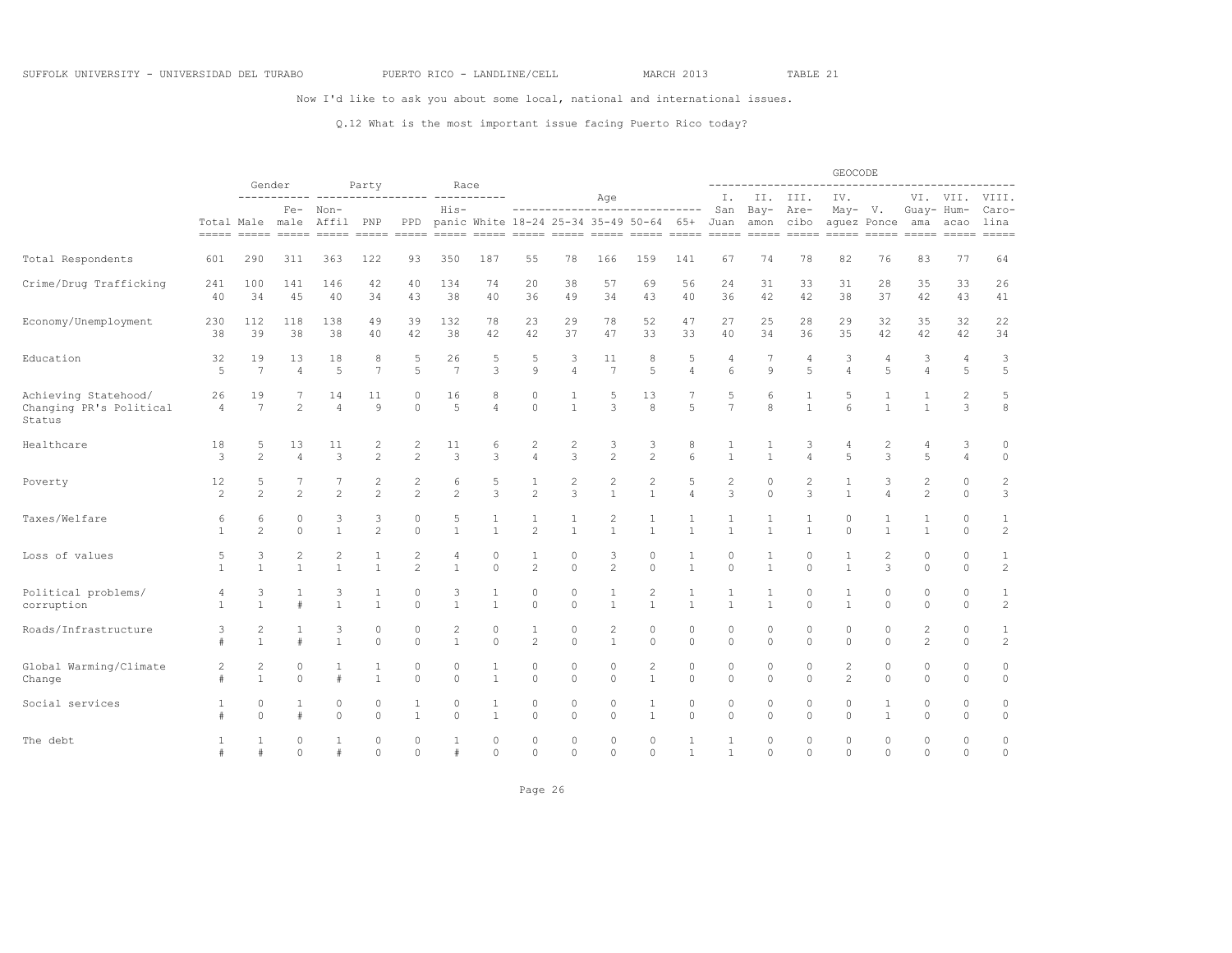Now I'd like to ask you about some local, national and international issues.

### Q.12 What is the most important issue facing Puerto Rico today?

|                                                           |                      |                       |                          |                      |                      |                     |                           |                     |                                |                              |                                |                                         |                         |                              |                     | -----------                  | GEOCODE                                                                                                                                                                                                                                                                                                                                                                                                                                                                                                                                                 |                     | -----------------------      |                                                                                                                                                                                                                                                                                                                                                                                                                                                                                                                                     |                                |
|-----------------------------------------------------------|----------------------|-----------------------|--------------------------|----------------------|----------------------|---------------------|---------------------------|---------------------|--------------------------------|------------------------------|--------------------------------|-----------------------------------------|-------------------------|------------------------------|---------------------|------------------------------|---------------------------------------------------------------------------------------------------------------------------------------------------------------------------------------------------------------------------------------------------------------------------------------------------------------------------------------------------------------------------------------------------------------------------------------------------------------------------------------------------------------------------------------------------------|---------------------|------------------------------|-------------------------------------------------------------------------------------------------------------------------------------------------------------------------------------------------------------------------------------------------------------------------------------------------------------------------------------------------------------------------------------------------------------------------------------------------------------------------------------------------------------------------------------|--------------------------------|
|                                                           |                      |                       | Gender<br>-----------    | Fe- Non-             | Party                |                     | Race<br>His-              |                     |                                |                              | Age                            | -----------------------------           |                         | Ι.<br>San                    |                     | II. III.<br>Bay- Are-        | IV.<br>May- V.                                                                                                                                                                                                                                                                                                                                                                                                                                                                                                                                          |                     | Guay- Hum-                   | VI. VII.                                                                                                                                                                                                                                                                                                                                                                                                                                                                                                                            | VIII.<br>Caro-                 |
|                                                           |                      | Total Male male       |                          | Affil PNP            |                      | PPD                 |                           |                     |                                |                              |                                | panic White 18-24 25-34 35-49 50-64 65+ |                         | Juan                         |                     | amon cibo                    | $\begin{tabular}{lllll} \multicolumn{2}{l}{{\color{red}\boldsymbol{=}}} & \multicolumn{2}{l}{\color{blue}\boldsymbol{=}} & \multicolumn{2}{l}{\color{blue}\boldsymbol{=}} & \multicolumn{2}{l}{\color{blue}\boldsymbol{=}} & \multicolumn{2}{l}{\color{blue}\boldsymbol{=}} & \multicolumn{2}{l}{\color{blue}\boldsymbol{=}} & \multicolumn{2}{l}{\color{blue}\boldsymbol{=}} & \multicolumn{2}{l}{\color{blue}\boldsymbol{=}} & \multicolumn{2}{l}{\color{blue}\boldsymbol{=}} & \multicolumn{2}{l}{\color{blue}\boldsymbol{=}} & \multicolumn{2}{l}{$ | aquez Ponce         | ama                          | acao<br>$\begin{tabular}{ll} \multicolumn{2}{l}{{\color{red}\textbf{m}}} = \multicolumn{2}{l}{\color{green}\textbf{m}} = \multicolumn{2}{l}{\color{green}\textbf{m}} = \multicolumn{2}{l}{\color{green}\textbf{m}} = \multicolumn{2}{l}{\color{green}\textbf{m}} = \multicolumn{2}{l}{\color{green}\textbf{m}} = \multicolumn{2}{l}{\color{green}\textbf{m}} = \multicolumn{2}{l}{\color{green}\textbf{m}} = \multicolumn{2}{l}{\color{green}\textbf{m}} = \multicolumn{2}{l}{\color{green}\textbf{m}} = \multicolumn{2}{l}{\color$ | lina<br>$=$ $=$ $=$ $=$        |
| Total Respondents                                         | 601                  | 290                   | 311                      | 363                  | 122                  | 93                  | 350                       | 187                 | 55                             | 78                           | 166                            | 159                                     | 141                     | 67                           | 74                  | 78                           | 82                                                                                                                                                                                                                                                                                                                                                                                                                                                                                                                                                      | 76                  | 83                           | 77                                                                                                                                                                                                                                                                                                                                                                                                                                                                                                                                  | 64                             |
| Crime/Drug Trafficking                                    | 241                  | 100                   | 141                      | 146                  | 42                   | 40                  | 134                       | 74                  | 20                             | 38                           | 57                             | 69                                      | 56                      | 24                           | 31                  | 33                           | 31                                                                                                                                                                                                                                                                                                                                                                                                                                                                                                                                                      | 28                  | 35                           | 33                                                                                                                                                                                                                                                                                                                                                                                                                                                                                                                                  | 26                             |
|                                                           | 40                   | 34                    | 45                       | 40                   | 34                   | 43                  | 38                        | 40                  | 36                             | 49                           | 34                             | 43                                      | 40                      | 36                           | 42                  | 42                           | 38                                                                                                                                                                                                                                                                                                                                                                                                                                                                                                                                                      | 37                  | 42                           | 43                                                                                                                                                                                                                                                                                                                                                                                                                                                                                                                                  | 41                             |
| Economy/Unemployment                                      | 230                  | 112                   | 118                      | 138                  | 49                   | 39                  | 132                       | 78                  | 23                             | 29                           | 78                             | 52                                      | 47                      | 27                           | 25                  | 28                           | 29                                                                                                                                                                                                                                                                                                                                                                                                                                                                                                                                                      | 32                  | 35                           | 32                                                                                                                                                                                                                                                                                                                                                                                                                                                                                                                                  | 22                             |
|                                                           | 38                   | 39                    | 38                       | 38                   | 40                   | 42                  | 38                        | 42                  | 42                             | 37                           | 47                             | 33                                      | 33                      | 40                           | 34                  | 36                           | 35                                                                                                                                                                                                                                                                                                                                                                                                                                                                                                                                                      | 42                  | 42                           | 42                                                                                                                                                                                                                                                                                                                                                                                                                                                                                                                                  | 34                             |
| Education                                                 | 32                   | 19                    | 13                       | 18                   | 8                    | 5                   | 26                        | 5                   | 5                              | 3                            | 11                             | 8                                       | 5                       | 4                            | 7                   | 4                            | 3                                                                                                                                                                                                                                                                                                                                                                                                                                                                                                                                                       | 4                   | 3                            | 4                                                                                                                                                                                                                                                                                                                                                                                                                                                                                                                                   | $\ensuremath{\mathsf{3}}$      |
|                                                           | $\overline{5}$       | $7\phantom{.0}$       | $\overline{4}$           | $\overline{5}$       | $\overline{7}$       | 5                   | 7                         | 3                   | $\circ$                        | $\overline{4}$               | $7\phantom{.0}$                | 5                                       | $\overline{4}$          | 6                            | 9                   | $\overline{5}$               | $\overline{4}$                                                                                                                                                                                                                                                                                                                                                                                                                                                                                                                                          | 5                   | $\overline{4}$               | 5                                                                                                                                                                                                                                                                                                                                                                                                                                                                                                                                   | 5                              |
| Achieving Statehood/<br>Changing PR's Political<br>Status | 26<br>$\overline{4}$ | 19<br>$7\phantom{.0}$ | $\overline{2}$           | 14<br>$\overline{4}$ | 11<br>$\overline{9}$ | 0<br>$\circ$        | 16<br>5                   | 8<br>$\overline{4}$ | $\circ$<br>$\circ$             | 1<br>$\mathbf{1}$            | .5<br>3                        | 13<br>8                                 | 7<br>5                  | 5<br>$\overline{7}$          | 6<br>8              | $\mathbf{1}$<br>$\mathbf{1}$ | 5<br>6                                                                                                                                                                                                                                                                                                                                                                                                                                                                                                                                                  | 1<br>$\mathbf{1}$   | $\mathbf{1}$<br>$\mathbf{1}$ | $\overline{c}$<br>3                                                                                                                                                                                                                                                                                                                                                                                                                                                                                                                 | 5<br>8                         |
| Healthcare                                                | 18                   | 5                     | 13                       | 11                   | 2                    | $\overline{c}$      | 11                        | 6                   | $\mathbf{2}$                   | $\overline{c}$               | 3                              | 3                                       | 8                       | 1                            | 1                   | 3                            | 4                                                                                                                                                                                                                                                                                                                                                                                                                                                                                                                                                       | 2                   | 4                            | 3                                                                                                                                                                                                                                                                                                                                                                                                                                                                                                                                   | 0                              |
|                                                           | 3                    | $\overline{c}$        | $\overline{4}$           | 3                    | $\overline{c}$       | $\overline{c}$      | 3                         | 3                   | $\overline{4}$                 | 3                            | $\overline{c}$                 | $\overline{c}$                          | 6                       | $\mathbf{1}$                 | $\mathbf{1}$        | $\overline{A}$               | 5                                                                                                                                                                                                                                                                                                                                                                                                                                                                                                                                                       | 3                   | 5                            | $\overline{4}$                                                                                                                                                                                                                                                                                                                                                                                                                                                                                                                      | $\circ$                        |
| Poverty                                                   | 12                   | 5                     | 7                        | 7                    | 2                    | $\overline{c}$      | 6                         | 5                   | $\mathbf{1}$                   | $\mathbf{2}$                 | $\overline{c}$                 | $\overline{c}$                          | 5                       | $\mathbf{2}$                 | $\circ$             | $\sqrt{2}$                   | $\mathbf{1}$                                                                                                                                                                                                                                                                                                                                                                                                                                                                                                                                            | 3                   | $\overline{c}$               | 0                                                                                                                                                                                                                                                                                                                                                                                                                                                                                                                                   | $\overline{c}$                 |
|                                                           | $\mathfrak{D}$       | $2^{1}$               | $\mathfrak{D}$           | $\mathfrak{D}$       | $\mathfrak{D}$       | $\mathfrak{D}$      | $\mathfrak{D}$            | 3                   | $\overline{c}$                 | 3                            | $\mathbf{1}$                   | $\mathbf{1}$                            | $\overline{4}$          | 3                            | $\Omega$            | 3                            | $\mathbf{1}$                                                                                                                                                                                                                                                                                                                                                                                                                                                                                                                                            | $\Delta$            | $\mathfrak{D}$               | $\Omega$                                                                                                                                                                                                                                                                                                                                                                                                                                                                                                                            | 3                              |
| Taxes/Welfare                                             | 6<br>$\mathbf{1}$    | 6<br>$\mathfrak{D}$   | $\mathbf{0}$<br>$\Omega$ | 3<br>$\mathbf{1}$    | 3<br>$\mathfrak{D}$  | 0<br>$\Omega$       | 5<br>$\overline{1}$       | 1<br>$\overline{1}$ | $\mathbf{1}$<br>$\overline{c}$ | $\mathbf{1}$<br>$\mathbf{1}$ | $\overline{2}$<br>$\mathbf{1}$ | $\mathbf{1}$<br>$\mathbf{1}$            | $\mathbf{1}$            | $\mathbf{1}$<br>$\mathbf{1}$ | 1<br>$\mathbf{1}$   | 1<br>$\mathbf{1}$            | $\circ$<br>$\Omega$                                                                                                                                                                                                                                                                                                                                                                                                                                                                                                                                     | $\mathbf{1}$        | 1<br>$\mathbf{1}$            | $\Omega$<br>$\circ$                                                                                                                                                                                                                                                                                                                                                                                                                                                                                                                 | $\mathbf{1}$<br>$\overline{c}$ |
| Loss of values                                            | 5                    | 3                     | $\mathbf{2}$             | 2                    | 1                    | 2                   | 4                         | 0                   | 1                              | 0                            | 3                              | $\circ$                                 | 1                       | $\mathbf{0}$                 | 1                   | $\mathbf 0$                  | 1                                                                                                                                                                                                                                                                                                                                                                                                                                                                                                                                                       | $\overline{2}$      | $\circ$                      | 0                                                                                                                                                                                                                                                                                                                                                                                                                                                                                                                                   | 1                              |
|                                                           | $\mathbf{1}$         | $\mathbf{1}$          | $\mathbf{1}$             | $\mathbf{1}$         | $\mathbf{1}$         | $\overline{c}$      | $\mathbf{1}$              | $\circ$             | 2                              | $\Omega$                     | $\overline{c}$                 | $\circ$                                 | $\mathbf{1}$            | $\Omega$                     | $\mathbf{1}$        | $\Omega$                     | $\mathbf{1}$                                                                                                                                                                                                                                                                                                                                                                                                                                                                                                                                            | 3                   | $\circ$                      | $\circ$                                                                                                                                                                                                                                                                                                                                                                                                                                                                                                                             | $\overline{c}$                 |
| Political problems/                                       | 4                    | 3                     | $1\,$                    | 3                    | $\mathbf{1}$         | 0                   | $\ensuremath{\mathsf{3}}$ | $1\,$               | $\circ$                        | $\circ$                      | $\mathbf{1}$                   | $\overline{c}$                          | $\mathbf{1}$            | $\mathbf{1}$                 | $\mathbf{1}$        | $\circ$                      | $\mathbf{1}$                                                                                                                                                                                                                                                                                                                                                                                                                                                                                                                                            | $\circ$             | 0                            | 0                                                                                                                                                                                                                                                                                                                                                                                                                                                                                                                                   | $1\,$                          |
| corruption                                                | 1                    | 1                     | $\#$                     | $\mathbf{1}$         | $\mathbf{1}$         | $\Omega$            | $\overline{1}$            | $\mathbf{1}$        | $\circ$                        | $\Omega$                     | $\mathbf{1}$                   | $\mathbf{1}$                            | $\mathbf{1}$            | $\mathbf{1}$                 | $\mathbf{1}$        | $\Omega$                     | $\mathbf{1}$                                                                                                                                                                                                                                                                                                                                                                                                                                                                                                                                            | $\Omega$            | $\circ$                      | $\Omega$                                                                                                                                                                                                                                                                                                                                                                                                                                                                                                                            | $\mathbf{2}$                   |
| Roads/Infrastructure                                      | 3                    | 2                     | 1                        | 3                    | $\mathbf{0}$         | 0                   | $\overline{c}$            | $\circ$             | $\mathbf{1}$                   | 0                            | 2                              | $\circ$                                 | $\circ$                 | $\circ$                      | $\circ$             | 0                            | $\circ$                                                                                                                                                                                                                                                                                                                                                                                                                                                                                                                                                 | $\mathbf 0$         | 2                            | 0                                                                                                                                                                                                                                                                                                                                                                                                                                                                                                                                   | $\mathbf{1}$                   |
|                                                           | $\#$                 | $\mathbf{1}$          | $\#$                     | $\mathbf{1}$         | $\Omega$             | $\Omega$            | $\overline{1}$            | $\circ$             | $\overline{c}$                 | $\Omega$                     | $\mathbf{1}$                   | $\circ$                                 | $\circ$                 | $\Omega$                     | $\circ$             | $\circ$                      | $\circ$                                                                                                                                                                                                                                                                                                                                                                                                                                                                                                                                                 | $\Omega$            | $\overline{2}$               | $\circ$                                                                                                                                                                                                                                                                                                                                                                                                                                                                                                                             | 2                              |
| Global Warming/Climate                                    | 2                    | 2                     | 0                        | 1                    | 1                    | 0                   | 0                         | 1                   | $\circ$                        | 0                            | $\circ$                        | 2                                       | $\circ$                 | $\circ$                      | $\circ$             | 0                            | $\overline{c}$                                                                                                                                                                                                                                                                                                                                                                                                                                                                                                                                          | 0                   | 0                            | 0                                                                                                                                                                                                                                                                                                                                                                                                                                                                                                                                   | $\circ$                        |
| Change                                                    | $\#$                 | $\mathbf{1}$          | $\mathbf{0}$             | $\#$                 | $\mathbf{1}$         | $\circ$             | $\circ$                   | $\mathbf{1}$        | $\circ$                        | $\circ$                      | $\circ$                        | $\mathbf{1}$                            | $\circ$                 | $\Omega$                     | $\circ$             | $\Omega$                     | $\overline{c}$                                                                                                                                                                                                                                                                                                                                                                                                                                                                                                                                          | $\Omega$            | $\circ$                      | $\circ$                                                                                                                                                                                                                                                                                                                                                                                                                                                                                                                             | $\mathbb O$                    |
| Social services                                           |                      | 0<br>$\Omega$         | 1<br>$\#$                | 0<br>$\Omega$        | 0<br>$\Omega$        | 1<br>$\mathbf{1}$   | $\circ$<br>$\circ$        | 1<br>$\mathbf{1}$   | $\circ$<br>$\Omega$            | 0<br>$\circ$                 | 0<br>$\circ$                   | 1<br>$\mathbf{1}$                       | $\circ$<br>$\mathbf{0}$ | $\circ$<br>$\Omega$          | 0<br>$\circ$        | $\circ$<br>$\circ$           | $\circ$<br>$\circ$                                                                                                                                                                                                                                                                                                                                                                                                                                                                                                                                      | 1<br>$\mathbf{1}$   | 0<br>$\circ$                 | 0<br>$\circ$                                                                                                                                                                                                                                                                                                                                                                                                                                                                                                                        | $\circ$<br>$\circ$             |
| The debt                                                  | 1<br>#               | 1<br>#                | 0<br>$\Omega$            | 1<br>$\#$            | $\Omega$<br>$\Omega$ | $\circ$<br>$\Omega$ | #                         | $\circ$<br>$\circ$  | $\Omega$<br>$\Omega$           | $\circ$<br>$\Omega$          | 0<br>$\Omega$                  | 0<br>$\Omega$                           | 1<br>$\mathbf{1}$       | $\mathbf{1}$<br>$\mathbf{1}$ | $\circ$<br>$\Omega$ | $\circ$<br>$\Omega$          | $\circ$<br>$\Omega$                                                                                                                                                                                                                                                                                                                                                                                                                                                                                                                                     | $\circ$<br>$\Omega$ | $\circ$<br>$\Omega$          | 0<br>$\Omega$                                                                                                                                                                                                                                                                                                                                                                                                                                                                                                                       | $\circ$<br>$\circ$             |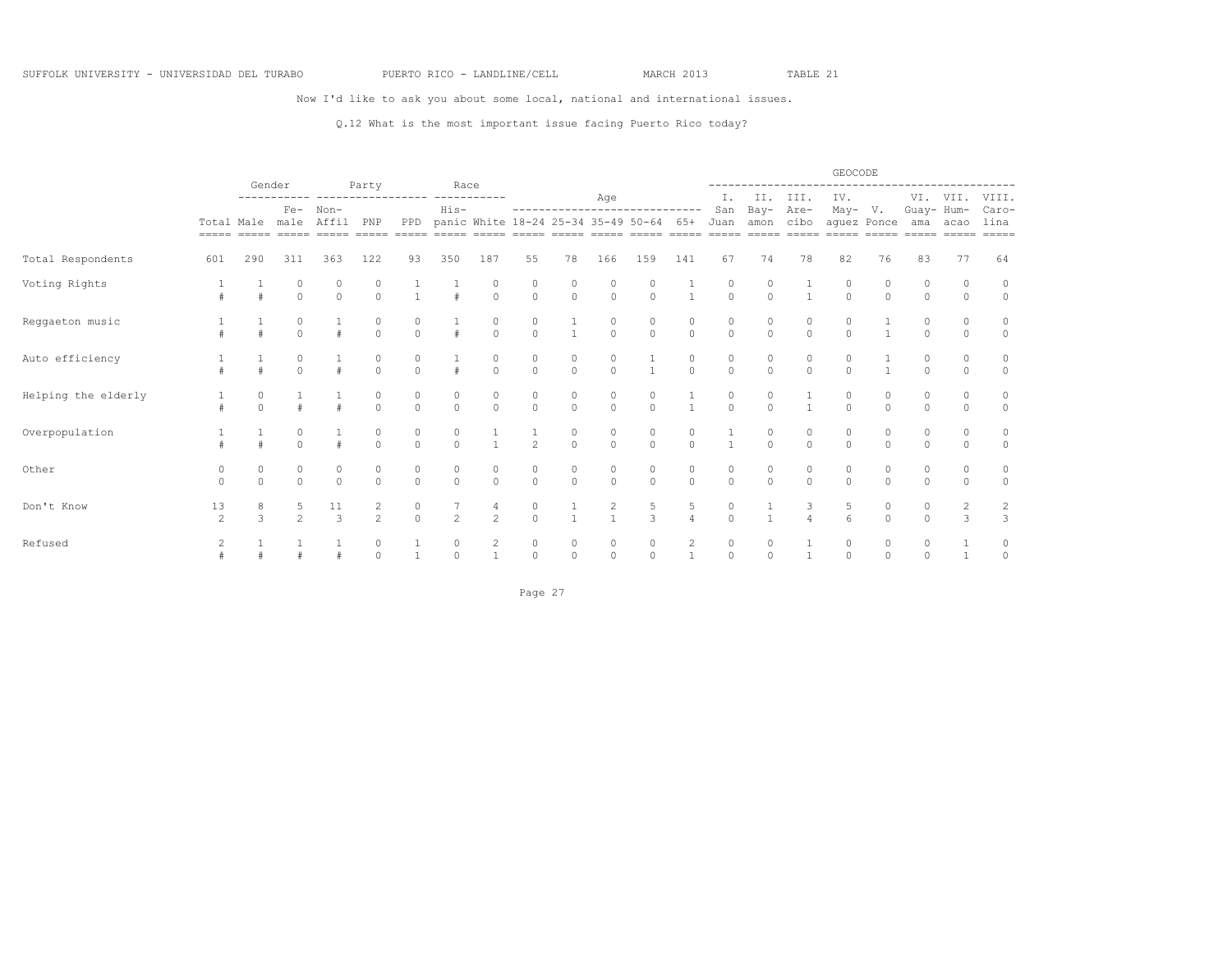Now I'd like to ask you about some local, national and international issues.

### Q.12 What is the most important issue facing Puerto Rico today?

|                     |                      |               |                      |                   |                                      |                                  |                                      |                                      |                                      |                                      |                                      |                                                                       |                                      |                        |               |                     | GEOCODE                           |                      |                    |                                                                                                                                                                                                                                                                                                                                                                                                                                                                                                  |                                |
|---------------------|----------------------|---------------|----------------------|-------------------|--------------------------------------|----------------------------------|--------------------------------------|--------------------------------------|--------------------------------------|--------------------------------------|--------------------------------------|-----------------------------------------------------------------------|--------------------------------------|------------------------|---------------|---------------------|-----------------------------------|----------------------|--------------------|--------------------------------------------------------------------------------------------------------------------------------------------------------------------------------------------------------------------------------------------------------------------------------------------------------------------------------------------------------------------------------------------------------------------------------------------------------------------------------------------------|--------------------------------|
|                     |                      |               | Gender               |                   | Party                                |                                  | Race                                 |                                      |                                      |                                      | Age                                  |                                                                       |                                      | Ι.                     |               | II. III.            | IV.                               |                      |                    | VI. VII.                                                                                                                                                                                                                                                                                                                                                                                                                                                                                         | VIII.                          |
|                     |                      |               | Total Male male      | Fe- Non-<br>Affil | PNP                                  | PPD                              | His-                                 |                                      |                                      |                                      |                                      | ------------------------------<br>panic White 18-24 25-34 35-49 50-64 | 65+<br>$=====$                       | San<br>Juan<br>$=====$ | Bay-<br>amon  | Are-<br>cibo        | May- V.<br>aquez Ponce<br>$=====$ | $=====$              | Guay- Hum-         | ama acao<br>$\begin{array}{cccccc} \multicolumn{3}{c}{} & \multicolumn{3}{c}{} & \multicolumn{3}{c}{} & \multicolumn{3}{c}{} & \multicolumn{3}{c}{} & \multicolumn{3}{c}{} & \multicolumn{3}{c}{} & \multicolumn{3}{c}{} & \multicolumn{3}{c}{} & \multicolumn{3}{c}{} & \multicolumn{3}{c}{} & \multicolumn{3}{c}{} & \multicolumn{3}{c}{} & \multicolumn{3}{c}{} & \multicolumn{3}{c}{} & \multicolumn{3}{c}{} & \multicolumn{3}{c}{} & \multicolumn{3}{c}{} & \multicolumn{3}{c}{} & \multic$ | Caro-<br>lina<br>$= = = = = =$ |
| Total Respondents   | 601                  | 290           | 311                  | 363               | 122                                  | 93                               | 350                                  | 187                                  | 55                                   | 78                                   | 166                                  | 159                                                                   | 141                                  | 67                     | 74            | 78                  | 82                                | 76                   | 83                 | 77                                                                                                                                                                                                                                                                                                                                                                                                                                                                                               | 64                             |
| Voting Rights       |                      |               | $\Omega$             | $\Omega$          | $\begin{matrix} 0 \\ 0 \end{matrix}$ | $\frac{1}{1}$                    | $\frac{1}{4}$                        | $\begin{matrix} 0 \\ 0 \end{matrix}$ | $\begin{matrix} 0 \\ 0 \end{matrix}$ | $\begin{matrix} 0 \\ 0 \end{matrix}$ | $\begin{matrix} 0 \\ 0 \end{matrix}$ | 0<br>$\circ$                                                          | $\frac{1}{1}$                        | 0<br>$\circ$           | 0<br>$\Omega$ | $\mathbf{1}$        | $\Omega$                          | $\Omega$             | $\Omega$           | $\circ$                                                                                                                                                                                                                                                                                                                                                                                                                                                                                          | $\circ$<br>$\circ$             |
| Reggaeton music     |                      |               |                      |                   | $\begin{matrix}0\\0\end{matrix}$     | $\begin{matrix}0\\0\end{matrix}$ | $\frac{1}{4}$                        | $\begin{matrix}0\\0\end{matrix}$     | $\frac{0}{0}$                        | $\frac{1}{1}$                        | $\begin{matrix}0\\0\end{matrix}$     | $\Omega$                                                              | $\begin{matrix} 0 \\ 0 \end{matrix}$ | $\Omega$               | $\Omega$      | $\Omega$            | $\cap$                            |                      |                    | $\Omega$                                                                                                                                                                                                                                                                                                                                                                                                                                                                                         | 0<br>$\circ$                   |
| Auto efficiency     |                      |               | $\cap$               |                   | $\Omega$                             | 0<br>$\Omega$                    | $\pm$                                | $\Omega$                             | $\begin{matrix} 0 \\ 0 \end{matrix}$ | 0<br>$\Omega$                        | 0<br>$\Omega$                        | $\mathbf{1}$                                                          | 0<br>$\Omega$                        | 0<br>$\Omega$          | 0<br>$\Omega$ | 0<br>$\Omega$       | 0<br>$\Omega$                     | $\mathbf{1}$         | $\Omega$           | 0<br>$\Omega$                                                                                                                                                                                                                                                                                                                                                                                                                                                                                    | $\circ$<br>$\circ$             |
| Helping the elderly |                      |               |                      |                   | $\begin{matrix}0\\0\end{matrix}$     | $\begin{matrix}0\\0\end{matrix}$ | $\begin{matrix} 0 \\ 0 \end{matrix}$ | $\begin{matrix} 0 \\ 0 \end{matrix}$ | $\begin{matrix} 0 \\ 0 \end{matrix}$ | $\begin{matrix} 0 \\ 0 \end{matrix}$ | $\begin{matrix} 0 \\ 0 \end{matrix}$ | 0<br>$\Omega$                                                         | $\frac{1}{1}$                        | 0<br>$\Omega$          | 0<br>$\Omega$ | $\mathbf{1}$        | $\Omega$                          | $\bigcap$            | $\Omega$           | 0<br>$\Omega$                                                                                                                                                                                                                                                                                                                                                                                                                                                                                    | $\circ$<br>$\circ$             |
| Overpopulation      |                      |               | $\Omega$<br>$\cap$   |                   | $\cap$                               | $\Omega$                         | $\circ$<br>$\Omega$                  | $\overline{1}$                       | $\overline{c}$                       | 0<br>$\circ$                         | 0<br>$\circ$                         | $\circ$<br>$\Omega$                                                   | 0<br>$\Omega$                        | $\mathbf{1}$           | 0<br>$\Omega$ | 0<br>$\circ$        | 0<br>$\Omega$                     | 0<br>$\Omega$        | O.<br>$\Omega$     | 0<br>$\Omega$                                                                                                                                                                                                                                                                                                                                                                                                                                                                                    | 0<br>$\circ$                   |
| Other               | $\Omega$<br>$\Omega$ | 0<br>$\Omega$ | $\Omega$             | $\Omega$          | $\Omega$                             | $\Omega$                         | $\circ$<br>$\circ$                   | 0<br>$\circ$                         | $\begin{matrix} 0 \\ 0 \end{matrix}$ | $\circ$<br>$\circ$                   | $\circ$<br>$\circ$                   | $\circ$<br>$\Omega$                                                   | 0<br>$\circ$                         | 0<br>$\Omega$          | 0<br>$\circ$  | 0<br>$\circ$        | 0<br>$\circ$                      | 0<br>$\Omega$        | 0<br>$\Omega$      | 0<br>$\Omega$                                                                                                                                                                                                                                                                                                                                                                                                                                                                                    | 0<br>$\circ$                   |
| Don't Know          | 13<br>$\mathfrak{D}$ | 8<br>3        | 5.<br>$\mathfrak{D}$ | 11<br>3           | 2<br>$\overline{2}$                  | $\circ$<br>$\cap$                | 2                                    | 4<br>$\mathfrak{D}$                  | 0<br>$\Omega$                        | $\mathbf{1}$                         | 2<br>$\mathbf{1}$                    | 5<br>3                                                                | 5<br>$\overline{4}$                  | $\circ$<br>$\Omega$    |               | 3<br>$\overline{A}$ | .5<br>6                           | $\Omega$<br>$\Omega$ | $\Omega$<br>$\cap$ | 2<br>3                                                                                                                                                                                                                                                                                                                                                                                                                                                                                           | 2<br>3                         |
| Refused             | $\overline{c}$       |               |                      |                   | $\circ$<br>$\Omega$                  |                                  | 0<br>$\Omega$                        |                                      | 0<br>$\circ$                         | 0<br>$\Omega$                        | 0<br>$\Omega$                        | 0<br>$\Omega$                                                         | $\mathbf{2}$                         | 0<br>$\Omega$          | 0<br>$\Omega$ |                     | $\circ$<br>$\Omega$               | 0<br>$\cap$          | 0<br>$\cap$        |                                                                                                                                                                                                                                                                                                                                                                                                                                                                                                  | $\circ$                        |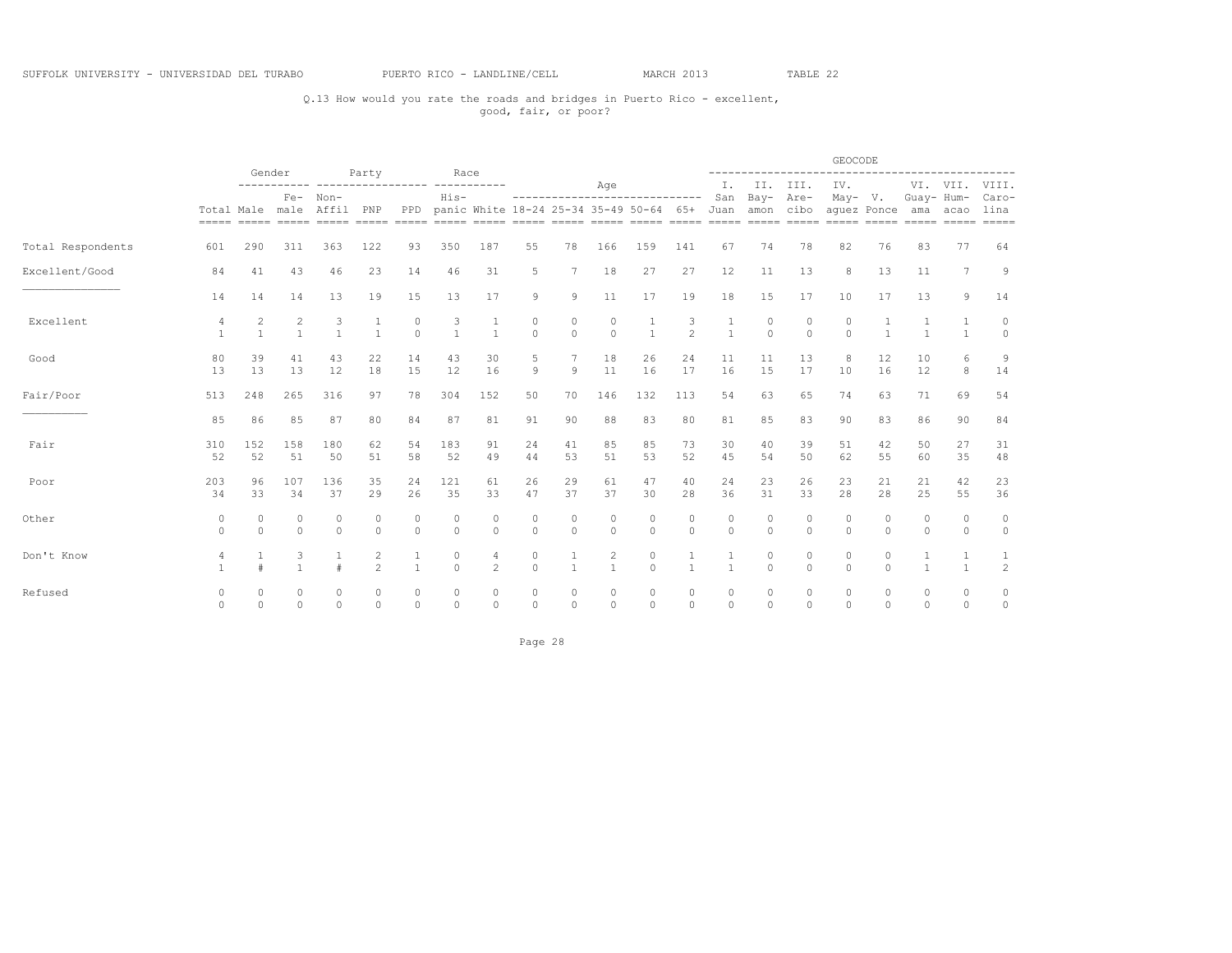## Q.13 How would you rate the roads and bridges in Puerto Rico - excellent, good, fair, or poor?

|                   |                     |                                | Gender                   |                     | Party               |                         | Race              |                              |                         |               |                                |                                                                                |                          |                     |                     |                         | GEOCODE                |                      |                      |                                     |                                |
|-------------------|---------------------|--------------------------------|--------------------------|---------------------|---------------------|-------------------------|-------------------|------------------------------|-------------------------|---------------|--------------------------------|--------------------------------------------------------------------------------|--------------------------|---------------------|---------------------|-------------------------|------------------------|----------------------|----------------------|-------------------------------------|--------------------------------|
|                   |                     |                                |                          |                     |                     |                         |                   |                              |                         |               | Age                            |                                                                                |                          | Ι.                  | II.                 | III.                    | IV.                    |                      |                      | VI. VII.                            | VIII.                          |
|                   |                     |                                | $Fe-$<br>Total Male male | Non-<br>Affil PNP   |                     | PPD                     | His-              |                              |                         |               |                                | ------------------------------<br>panic White 18-24 25-34 35-49 50-64 65+ Juan |                          | San                 | Bay-<br>amon cibo   | Are-                    | May- V.<br>aquez Ponce |                      | Guay- Hum-           | ama acao<br>===== ===== ===== ===== | Caro-<br>lina<br>$= = = = = =$ |
| Total Respondents | 601                 | 290                            | 311                      | 363                 | 122                 | 93                      | 350               | 187                          | 55                      | 78            | 166                            | 159                                                                            | 141                      | 67                  | 74                  | 78                      | 82                     | 76                   | 83                   | 77                                  | 64                             |
| Excellent/Good    | 84                  | 41                             | 43                       | 46                  | 23                  | 14                      | 46                | 31                           | 5                       | 7             | 18                             | 27                                                                             | 27                       | 12                  | 11                  | 13                      | 8                      | 13                   | 11                   | $\overline{7}$                      | 9                              |
|                   | 14                  | 14                             | 14                       | 13                  | 19                  | 15                      | 13                | 17                           | $\mathcal{G}$           | 9             | 11                             | 17                                                                             | 19                       | 18                  | 15                  | 17                      | 10                     | 17                   | 13                   | 9                                   | 14                             |
| Excellent         | 4<br>$\overline{1}$ | $\overline{c}$<br>$\mathbf{1}$ | $\overline{c}$           | 3<br>$\mathbf{1}$   | 1<br>$\overline{1}$ | 0<br>$\Omega$           | 3<br>$\mathbf{1}$ | $\mathbf{1}$<br>$\mathbf{1}$ | $\mathbb O$<br>$\Omega$ | 0<br>$\Omega$ | $\circ$<br>$\Omega$            | $\mathbf{1}$<br>$\mathbf{1}$                                                   | 3<br>$\mathfrak{D}$      | 1<br>$\overline{1}$ | $\circ$<br>$\Omega$ | $\circ$<br>$\Omega$     | 0<br>$\Omega$          | $\mathbf{1}$         | $\mathbf{1}$         | $\mathbf{1}$                        | 0<br>$\Omega$                  |
| Good              | 80<br>13            | 39<br>13                       | 41<br>13                 | 43<br>12            | 22<br>18            | 14<br>15                | 43<br>12          | 30<br>16                     | 5<br>$\overline{9}$     | 7<br>9        | 18<br>11                       | 26<br>16                                                                       | 24<br>17                 | 11<br>16            | 11<br>15            | 13<br>17                | 8<br>10                | 12<br>16             | 10<br>12             | 6<br>8                              | 9<br>14                        |
| Fair/Poor         | 513                 | 248                            | 265                      | 316                 | 97                  | 78                      | 304               | 152                          | 50                      | 70            | 146                            | 132                                                                            | 113                      | 54                  | 63                  | 65                      | 74                     | 63                   | 71                   | 69                                  | 54                             |
| ____              | 85                  | 86                             | 85                       | 87                  | 80                  | 84                      | 87                | 81                           | 91                      | 90            | 88                             | 83                                                                             | 80                       | 81                  | 85                  | 83                      | 90                     | 83                   | 86                   | 90                                  | 84                             |
| Fair              | 310<br>52           | 152<br>52                      | 158<br>51                | 180<br>50           | 62<br>51            | 54<br>58                | 183<br>52         | 91<br>49                     | 24<br>44                | 41<br>53      | 85<br>51                       | 85<br>53                                                                       | 73<br>52                 | 30<br>45            | 40<br>54            | 39<br>50                | 51<br>62               | 42<br>55             | 50<br>60             | 27<br>35                            | 31<br>48                       |
| Poor              | 203<br>34           | 96<br>33                       | 107<br>34                | 136<br>37           | 35<br>29            | 24<br>26                | 121<br>35         | 61<br>33                     | 26<br>47                | 29<br>37      | 61<br>37                       | 47<br>30                                                                       | 40<br>28                 | 24<br>36            | 23<br>31            | 26<br>33                | 23<br>28               | 21<br>28             | 21<br>25             | 42<br>55                            | 23<br>36                       |
| Other             | 0<br>$\Omega$       | $\circ$<br>$\Omega$            | $\circ$<br>$\Omega$      | $\circ$<br>$\Omega$ | $\circ$<br>$\circ$  | $\circ$<br>$\mathbf{0}$ | 0<br>$\mathbf{0}$ | $\circ$<br>$\circ$           | $\circ$<br>$\Omega$     | 0<br>$\circ$  | $\circ$<br>$\circ$             | $\circ$<br>$\circ$                                                             | $\circ$<br>$\circ$       | $\circ$<br>$\Omega$ | $\circ$<br>$\circ$  | $\circ$<br>$\Omega$     | 0<br>$\Omega$          | $\Omega$<br>$\Omega$ | 0<br>$\circ$         | 0<br>$\circ$                        | $\circ$<br>$\circ$             |
| Don't Know        | 4                   |                                | 3                        |                     | 2<br>$\mathfrak{D}$ | $\overline{1}$          | 0<br>$\mathbf{0}$ | 4<br>$\overline{c}$          | 0<br>$\Omega$           |               | $\overline{c}$<br>$\mathbf{1}$ | 0<br>$\Omega$                                                                  |                          | $\overline{1}$      | $\circ$<br>$\Omega$ | $\mathbf 0$<br>$\Omega$ | 0<br>$\Omega$          | 0<br>$\Omega$        |                      | $\overline{1}$                      | 1<br>$\overline{c}$            |
| Refused           | 0<br>$\Omega$       | $\Omega$<br>$\Omega$           | $\Omega$<br>$\Omega$     | 0<br>$\Omega$       | 0<br>$\Omega$       | 0<br>$\mathbf{0}$       | 0<br>$\circ$      | 0<br>$\Omega$                | 0<br>$\Omega$           | 0<br>$\Omega$ | 0<br>$\circ$                   | 0<br>$\circ$                                                                   | $\mathbf{0}$<br>$\Omega$ | $\circ$<br>$\Omega$ | $\circ$<br>$\Omega$ | $\mathbf 0$<br>$\circ$  | $\Omega$<br>$\Omega$   | $\Omega$<br>$\Omega$ | $\Omega$<br>$\Omega$ | 0<br>$\circ$                        | 0<br>$\circ$                   |

Page 28 and the state of the state of the state of the state of the state of the state of the state of the state of the state of the state of the state of the state of the state of the state of the state of the state of th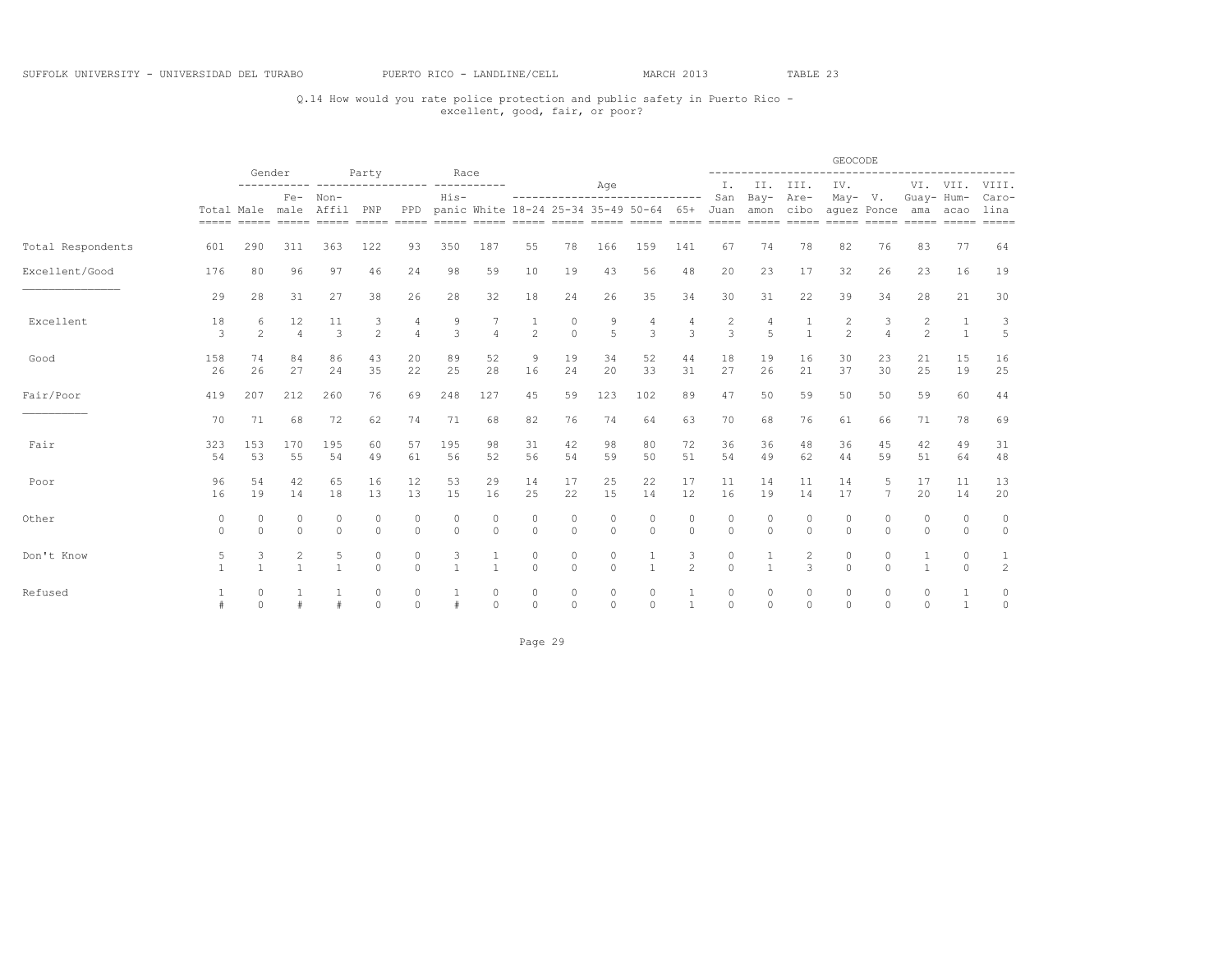## Q.14 How would you rate police protection and public safety in Puerto Rico - excellent, good, fair, or poor?

|                   |                 |                     | Gender              |                                                                                                                               |                      |                         | Race                    |                      |                                |                     |                     |                                              |                     |                     |                     | ------------        | GEOCODE             |                     |                     | ---------------------- |                             |
|-------------------|-----------------|---------------------|---------------------|-------------------------------------------------------------------------------------------------------------------------------|----------------------|-------------------------|-------------------------|----------------------|--------------------------------|---------------------|---------------------|----------------------------------------------|---------------------|---------------------|---------------------|---------------------|---------------------|---------------------|---------------------|------------------------|-----------------------------|
|                   |                 |                     | $Fe-$               | Non-                                                                                                                          | Party                | -------- -----------    | $His-$                  |                      |                                |                     | Age                 | -----------------------------                |                     | Ι.<br>San           | Bay- Are-           | II. III.            | IV.<br>$May- V.$    |                     | Guay- Hum-          | VI. VII.               | VIII.<br>Caro-              |
|                   | Total Male male |                     |                     | Affil PNP<br>socco acoso acoso acoso acoso acoso acoso acoso acoso acoso acoso acoso acoso acoso acoso acoso acoso acoso acos |                      | PPD                     |                         |                      |                                |                     |                     | panic White 18-24 25-34 35-49 50-64 65+ Juan |                     |                     |                     | amon cibo           |                     | aquez Ponce         | ama                 | acao                   | lina<br>$=$ $=$ $=$ $=$ $=$ |
| Total Respondents | 601             | 290                 | 311                 | 363                                                                                                                           | 122                  | 93                      | 350                     | 187                  | 55                             | 78                  | 166                 | 159                                          | 141                 | 67                  | 74                  | 78                  | 82                  | 76                  | 83                  | 77                     | 64                          |
| Excellent/Good    | 176             | 80                  | 96                  | 97                                                                                                                            | 46                   | 24                      | 98                      | 59                   | 10                             | 19                  | 43                  | 56                                           | 48                  | 20                  | 23                  | 17                  | 32                  | 26                  | 23                  | 16                     | 19                          |
|                   | 29              | 28                  | 31                  | 27                                                                                                                            | 38                   | 26                      | 28                      | 32                   | 18                             | 24                  | 26                  | 35                                           | 34                  | 30                  | 31                  | 22                  | 39                  | 34                  | 28                  | 21                     | 30                          |
| Excellent         | 18<br>3         | 6<br>$\mathfrak{D}$ | 12<br>$\Delta$      | 11<br>$\mathcal{L}$                                                                                                           | 3<br>$\mathfrak{D}$  | 4<br>$\overline{4}$     | 9<br>3                  | $\overline{4}$       | $\mathbf{1}$<br>$\overline{2}$ | 0<br>$\Omega$       | 9<br>$\overline{5}$ | 4<br>3                                       | 4<br>3              | 2<br>$\mathcal{L}$  | 4<br>$\overline{5}$ | $\overline{1}$      | 2<br>$\mathfrak{D}$ | 3<br>$\Delta$       | $\frac{2}{2}$       | $\mathbf{1}$           | 3<br>5                      |
| Good              | 158<br>26       | 74<br>26            | 84<br>27            | 86<br>24                                                                                                                      | 43<br>35             | 20<br>22                | 89<br>25                | 52<br>28             | 9<br>16                        | 19<br>24            | 34<br>20            | 52<br>33                                     | 44<br>31            | 18<br>27            | 19<br>26            | 16<br>21            | 30<br>37            | 23<br>30            | 21<br>25            | 15<br>19               | 16<br>25                    |
| Fair/Poor         | 419             | 207                 | 212                 | 260                                                                                                                           | 76                   | 69                      | 248                     | 127                  | 45                             | 59                  | 123                 | 102                                          | 89                  | 47                  | 50                  | 59                  | 50                  | 50                  | 59                  | 60                     | 44                          |
| ____              | 70              | 71                  | 68                  | 72                                                                                                                            | 62                   | 74                      | 71                      | 68                   | 82                             | 76                  | 74                  | 64                                           | 63                  | 70                  | 68                  | 76                  | 61                  | 66                  | 71                  | 78                     | 69                          |
| Fair              | 323<br>54       | 153<br>53           | 170<br>55           | 195<br>54                                                                                                                     | 60<br>49             | 57<br>61                | 195<br>56               | 98<br>52             | 31<br>56                       | 42<br>54            | 98<br>59            | 80<br>50                                     | 72<br>51            | 36<br>54            | 36<br>49            | 48<br>62            | 36<br>44            | 45<br>59            | 42<br>51            | 49<br>64               | 31<br>48                    |
| Poor              | 96<br>16        | 54<br>19            | 42<br>14            | 65<br>18                                                                                                                      | 16<br>13             | 12<br>13                | 53<br>15                | 29<br>16             | 14<br>25                       | 17<br>22            | 25<br>15            | 22<br>14                                     | 17<br>12            | 11<br>16            | 14<br>19            | 11<br>14            | 14<br>17            | 5<br>$\overline{7}$ | 17<br>20            | 11<br>14               | 13<br>20                    |
| Other             | 0<br>$\Omega$   | 0<br>$\Omega$       | $\circ$<br>$\Omega$ | $\Omega$<br>$\Omega$                                                                                                          | 0<br>$\Omega$        | 0<br>$\Omega$           | $\mathbb O$<br>$\Omega$ | $\Omega$<br>$\Omega$ | $\circ$<br>$\circ$             | $\circ$<br>$\Omega$ | $\circ$<br>$\circ$  | 0<br>$\Omega$                                | $\circ$<br>$\circ$  | $\circ$<br>$\Omega$ | $\circ$<br>$\Omega$ | $\circ$<br>$\Omega$ | 0<br>$\circ$        | $\circ$<br>$\Omega$ | $\circ$<br>$\Omega$ | $\Omega$<br>$\Omega$   | $\circ$<br>$\circ$          |
| Don't Know        | 5               | 3<br>$\mathbf{1}$   | $\overline{c}$      | 5<br>$\overline{1}$                                                                                                           | $\circ$<br>$\Omega$  | $\mathbb O$<br>$\Omega$ | 3<br>$\overline{1}$     | $\overline{1}$       | $\circ$<br>$\Omega$            | $\circ$<br>$\Omega$ | $\circ$<br>$\Omega$ | 1<br>1                                       | 3<br>$\mathfrak{D}$ | $\circ$<br>$\Omega$ |                     | 2<br>3              | $\circ$<br>$\Omega$ | $\circ$<br>$\Omega$ |                     | $\circ$<br>$\Omega$    | 1<br>$\overline{c}$         |
| Refused           |                 | $\Omega$<br>$\circ$ |                     | #                                                                                                                             | $\Omega$<br>$\Omega$ | $\Omega$<br>$\circ$     |                         | $\Omega$<br>$\Omega$ | $\circ$<br>$\circ$             | $\circ$<br>$\circ$  | $\circ$<br>$\circ$  | 0<br>$\circ$                                 | 1<br>$\mathbf{1}$   | $\circ$<br>$\circ$  | $\circ$<br>$\circ$  | $\circ$<br>$\Omega$ | $\circ$<br>$\circ$  | $\circ$<br>$\circ$  | $\circ$<br>$\Omega$ | $\mathbf{1}$           | 0<br>$\circ$                |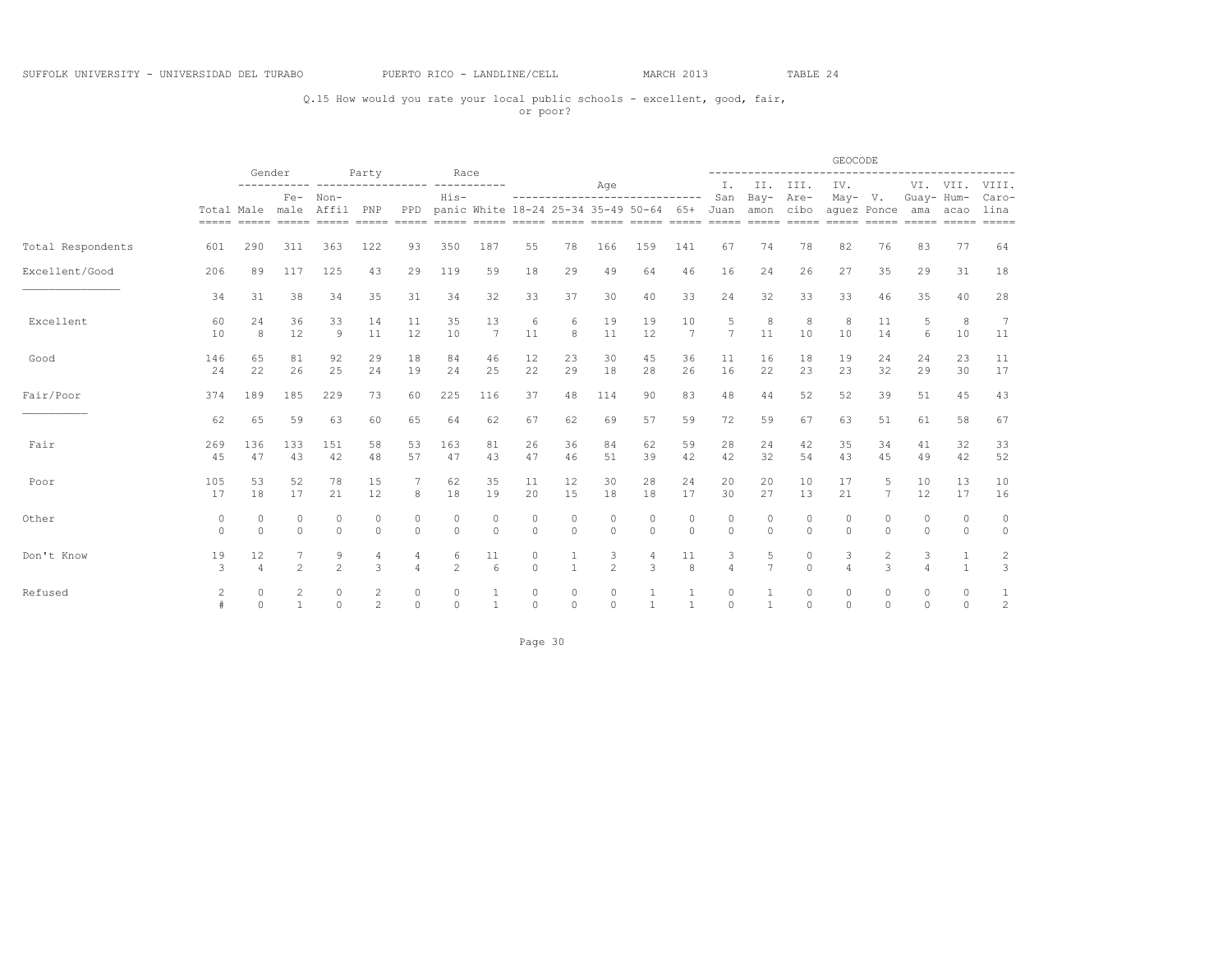## Q.15 How would you rate your local public schools - excellent, good, fair, or poor?

|                   |                          |                      | Gender              |                                                                                                                                                 |                     |                     | Race                |                    |                    |                    |                     |                                                                                |                       |                     |                     |                      | GEOCODE                  |                      |            |                    |                                |
|-------------------|--------------------------|----------------------|---------------------|-------------------------------------------------------------------------------------------------------------------------------------------------|---------------------|---------------------|---------------------|--------------------|--------------------|--------------------|---------------------|--------------------------------------------------------------------------------|-----------------------|---------------------|---------------------|----------------------|--------------------------|----------------------|------------|--------------------|--------------------------------|
|                   |                          |                      |                     |                                                                                                                                                 | Party               |                     |                     |                    |                    |                    | Age                 |                                                                                |                       | Ι.                  | II.                 | III.                 | IV.                      |                      |            | VI. VII.           | VIII.                          |
|                   |                          |                      | $Fe-$               | Non-<br>Total Male male Affil<br>socco costo costo costo costo costo costo costo costo costo costo costo costo costo costo costo costo costo co | PNP                 | PPD                 | $His-$              |                    |                    |                    |                     | ------------------------------<br>panic White 18-24 25-34 35-49 50-64 65+ Juan |                       | San                 | $Bay-$<br>amon      | Are-<br>cibo         | $May- V.$<br>aquez Ponce |                      | Guay- Hum- | ama acao           | Caro-<br>lina<br>$= = = = = =$ |
| Total Respondents | 601                      | 290                  | 311                 | 363                                                                                                                                             | 122                 | 93                  | 350                 | 187                | 55                 | 78                 | 166                 | 159                                                                            | 141                   | 67                  | 74                  | 78                   | 82                       | 76                   | 83         | 77                 | 64                             |
| Excellent/Good    | 206                      | 89                   | 117                 | 125                                                                                                                                             | 43                  | 29                  | 119                 | 59                 | 18                 | 29                 | 49                  | 64                                                                             | 46                    | 16                  | 24                  | 26                   | 27                       | 35                   | 29         | 31                 | 18                             |
|                   | 34                       | 31                   | 38                  | 34                                                                                                                                              | 35                  | 31                  | 34                  | 32                 | 33                 | 37                 | 30                  | 40                                                                             | 33                    | 24                  | 32                  | 33                   | 33                       | 46                   | 35         | 40                 | 28                             |
| Excellent         | 60<br>10                 | 24<br>8              | 36<br>12            | 33<br>9                                                                                                                                         | 14<br>11            | 11<br>12            | 35<br>10            | 13<br>7            | 6<br>11            | 6<br>8             | 19<br>11            | 19<br>12                                                                       | 10<br>$7\phantom{.0}$ | 5<br>7              | 8<br>11             | 8<br>10              | 8<br>10                  | 11<br>14             | 5<br>6     | 8<br>10            | 7<br>11                        |
| Good              | 146<br>24                | 65<br>22             | 81<br>26            | 92<br>25                                                                                                                                        | 29<br>24            | 18<br>19            | 84<br>24            | 46<br>25           | 12<br>22           | 23<br>29           | 30<br>18            | 45<br>28                                                                       | 36<br>26              | 11<br>16            | 16<br>22            | 18<br>23             | 19<br>23                 | 24<br>32             | 24<br>29   | 23<br>30           | 11<br>17                       |
| Fair/Poor         | 374                      | 189                  | 185                 | 229                                                                                                                                             | 73                  | 60                  | 225                 | 116                | 37                 | 48                 | 114                 | 90                                                                             | 83                    | 48                  | 44                  | 52                   | 52                       | 39                   | 51         | 45                 | 43                             |
|                   | 62                       | 65                   | 59                  | 63                                                                                                                                              | 60                  | 65                  | 64                  | 62                 | 67                 | 62                 | 69                  | 57                                                                             | 59                    | 72                  | 59                  | 67                   | 63                       | 51                   | 61         | 58                 | 67                             |
| Fair              | 269<br>45                | 136<br>47            | 133<br>43           | 151<br>42                                                                                                                                       | 58<br>48            | 53<br>57            | 163<br>47           | 81<br>43           | 26<br>47           | 36<br>46           | 84<br>51            | 62<br>39                                                                       | 59<br>42              | 28<br>42            | 24<br>32            | 42<br>54             | 35<br>43                 | 34<br>45             | 41<br>49   | 32<br>42           | 33<br>52                       |
| Poor              | 105<br>17                | 53<br>18             | 52<br>17            | 78<br>21                                                                                                                                        | 15<br>12            | 8                   | 62<br>18            | 35<br>19           | 11<br>20           | 12<br>15           | 30<br>18            | 28<br>18                                                                       | 24<br>17              | 20<br>30            | 20<br>27            | 10<br>13             | 17<br>21                 | 5<br>7               | 10<br>12   | 13<br>17           | 10<br>16                       |
| Other             | $\mathbf{0}$<br>$\Omega$ | $\circ$<br>$\Omega$  | $\circ$<br>$\circ$  | 0<br>$\circ$                                                                                                                                    | 0<br>$\circ$        | 0<br>$\circ$        | $\circ$<br>$\circ$  | $\circ$<br>$\circ$ | $\circ$<br>$\circ$ | $\circ$<br>$\circ$ | $\circ$<br>$\circ$  | $\circ$<br>$\Omega$                                                            | $\circ$<br>$\circ$    | $\circ$<br>$\circ$  | $\circ$<br>$\circ$  | 0<br>$\Omega$        | $\circ$<br>$\circ$       | 0<br>$\Omega$        | 0<br>0     | $\circ$<br>$\circ$ | 0<br>$\circ$                   |
| Don't Know        | 19<br>3                  | 12<br>$\overline{4}$ | $\overline{c}$      | 9<br>$\overline{c}$                                                                                                                             | 4<br>3              | 4<br>$\overline{4}$ | 6<br>$\overline{c}$ | 11<br>6            | $\circ$<br>$\circ$ | 1                  | 3<br>$\overline{c}$ | 4<br>3                                                                         | 11<br>8               | 3<br>$\overline{a}$ | 5<br>$\overline{7}$ | 0<br>$\Omega$        | 3                        | 2<br>$\mathcal{L}$   | 3          | 1<br>$\mathbf{1}$  | 2<br>$\mathbf{3}$              |
| Refused           | $\overline{c}$           | 0<br>$\Omega$        | 2<br>$\overline{1}$ | 0<br>$\circ$                                                                                                                                    | 2<br>$\overline{c}$ | 0<br>$\circ$        | 0<br>$\Omega$       | $\mathbf{1}$       | 0<br>$\circ$       | 0<br>$\circ$       | 0<br>$\Omega$       | $\overline{1}$                                                                 | $\overline{1}$        | 0<br>$\Omega$       | $\mathbf{1}$        | $\Omega$<br>$\Omega$ | 0<br>$\Omega$            | $\Omega$<br>$\Omega$ | 0<br>0     | $\circ$<br>$\circ$ | $\mathbf{1}$<br>2              |

Page 30 and the state of the state of the state of the state of the state of the state of the state of the state of the state of the state of the state of the state of the state of the state of the state of the state of th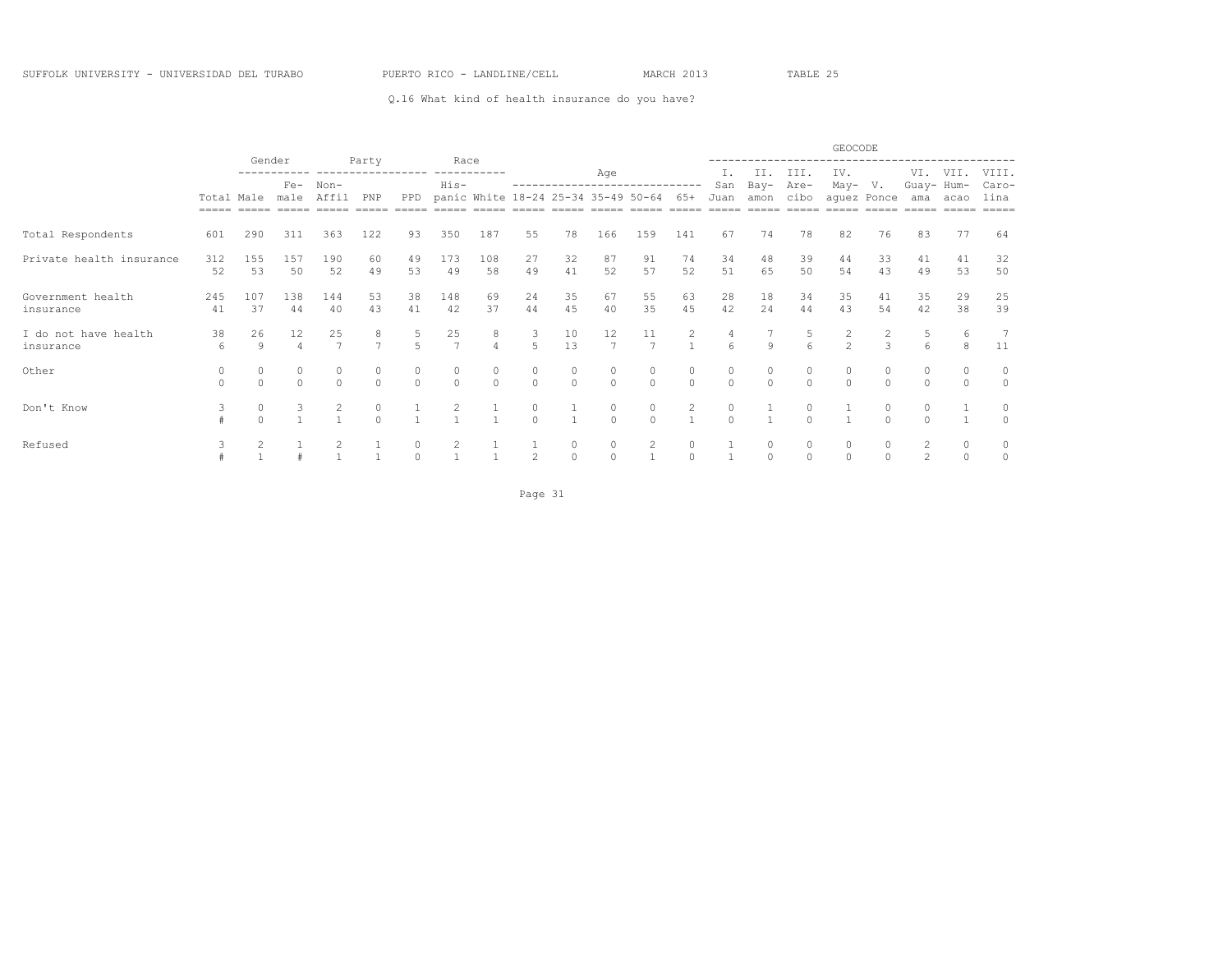Q.16 What kind of health insurance do you have?

|                                   |                       |               |                                 |                      | Party          |                     | Race                 |                                     |                   |                    |                                      |                                |                                |           |                    |                     | GEOCODE                 |             |                   |               |                             |
|-----------------------------------|-----------------------|---------------|---------------------------------|----------------------|----------------|---------------------|----------------------|-------------------------------------|-------------------|--------------------|--------------------------------------|--------------------------------|--------------------------------|-----------|--------------------|---------------------|-------------------------|-------------|-------------------|---------------|-----------------------------|
|                                   |                       |               | Gender<br>$Fe-$<br>Non-<br>male |                      |                |                     | His-                 |                                     |                   |                    | Age                                  | ------------------------------ |                                | Ι.<br>San | II.<br>Bay-        | III.<br>Are-        | IV.<br>May-             | V.          | VI.<br>Guay- Hum- | VII.          | VIII.<br>Caro-              |
|                                   | Total Male<br>$=====$ |               |                                 | Affil                | PNP            | PPD                 |                      | panic White 18-24 25-34 35-49 50-64 |                   |                    |                                      |                                | 65+                            | Juan      | amon<br>$=====$    | cibo                | $=====$                 | aquez Ponce | ama               | acao          | lina<br>$=$ $=$ $=$ $=$ $=$ |
| Total Respondents                 | 601                   | 290           | 311                             | 363                  | 122            | 93                  | 350                  | 187                                 | 55                | 78                 | 166                                  | 159                            | 141                            | 67        | 74                 | 78                  | 82                      | 76          | 83                | 77            | 64                          |
| Private health insurance          | 312<br>52             | 155<br>53     | 157<br>50                       | 190<br>52            | 60<br>49       | 49<br>53            | 173<br>49            | 108<br>58                           | 27<br>49          | 32<br>41           | 87<br>52                             | 91<br>57                       | 74<br>52                       | 34<br>51  | 48<br>65           | 39<br>50            | 44<br>54                | 33<br>43    | 41<br>49          | 41<br>53      | 32<br>50                    |
| Government health<br>insurance    | 245<br>41             | 107<br>37     | 138<br>44                       | 144<br>40            | 53<br>43       | 38<br>41            | 148<br>42            | 69<br>37                            | 24<br>44          | 35<br>45           | 67<br>40                             | 55<br>35                       | 63<br>45                       | 28<br>42  | 18<br>24           | 34<br>44            | 35<br>43                | 41<br>54    | 35<br>42          | 29<br>38      | 25<br>39                    |
| I do not have health<br>insurance | 38<br>6               | 26<br>9       | 12                              | 25<br>$\overline{7}$ | $\overline{ }$ | 5                   | 25<br>$\overline{7}$ | 8<br>$\overline{a}$                 | 3<br>5            | 10<br>13           | 12<br>$\overline{7}$                 | 11<br>$\overline{7}$           | $\mathbf{2}$<br>$\overline{1}$ | 4<br>6    | $\mathbf{Q}$       | 6                   | 2<br>$\overline{c}$     | 3           | 5<br>6            | 6<br>8        | 7<br>11                     |
| Other                             | 0                     | 0<br>$\Omega$ | $\cap$                          | $\Omega$             | 0<br>$\Omega$  | $\Omega$            | 0<br>$\Omega$        | 0<br>$\Omega$                       | 0<br>$\Omega$     | 0<br>$\Omega$      | $\begin{matrix} 0 \\ 0 \end{matrix}$ | 0<br>$\Omega$                  | 0<br>$\circ$                   | $\Omega$  | 0<br>$\Omega$      | 0<br>$\Omega$       | $\mathbf 0$<br>$\Omega$ | $\cap$      | $\Omega$          | $\Omega$      | $\circ$                     |
| Don't Know                        | 3                     | 0<br>$\Omega$ | 3                               |                      | $\cap$         |                     |                      |                                     | $\circ$<br>$\cap$ |                    | 0<br>$\cap$                          | 0<br>$\cap$                    | $\mathbf{2}$                   | $\cap$    |                    | $\cap$              |                         | $\cap$      |                   |               | 0<br>$\Omega$               |
| Refused                           |                       |               |                                 |                      |                | $\circ$<br>$\Omega$ |                      |                                     | 2                 | $\circ$<br>$\circ$ | $\mathbf 0$<br>$\Omega$              | 2                              | $\circ$<br>$\Omega$            |           | $\circ$<br>$\circ$ | $\circ$<br>$\Omega$ | $\circ$<br>$\Omega$     |             | 2<br>2            | 0<br>$\Omega$ | $\circ$<br>0                |

Page 31 and the state of the state of the state of the state of the state of the state of the state of the state of the state of the state of the state of the state of the state of the state of the state of the state of th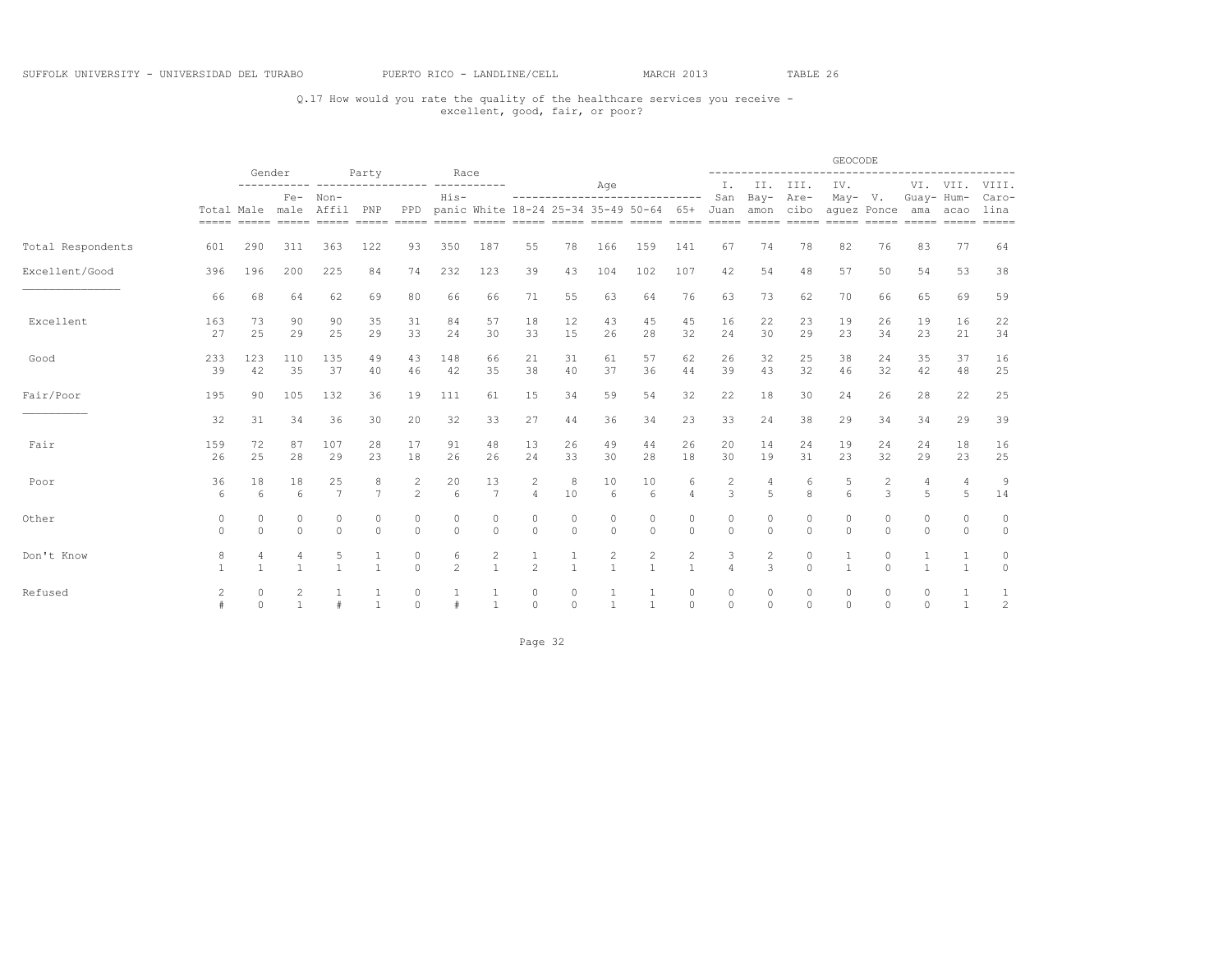## Q.17 How would you rate the quality of the healthcare services you receive - excellent, good, fair, or poor?

|                   |                 |                   | Gender                       |                      | Party               |                        | Race                      |                                |                                  |                   |                                |                                                   |                                |                          |                    | ------------------       | GEOCODE             |                    |                     | ------------------------------ |                      |
|-------------------|-----------------|-------------------|------------------------------|----------------------|---------------------|------------------------|---------------------------|--------------------------------|----------------------------------|-------------------|--------------------------------|---------------------------------------------------|--------------------------------|--------------------------|--------------------|--------------------------|---------------------|--------------------|---------------------|--------------------------------|----------------------|
|                   |                 |                   | $Fe-$                        | Non-                 |                     |                        | His-                      |                                |                                  |                   | Age                            | -----------------------------                     |                                | Ι.<br>San                | $Bay-$             | II. III.<br>Are-         | IV.<br>$May- V.$    |                    | Guay- Hum-          | VI. VII.                       | VIII.<br>Caro-       |
|                   | Total Male male |                   |                              | Affil                | PNP                 | PPD                    |                           |                                |                                  |                   |                                | panic White 18-24 25-34 35-49 50-64 65+ Juan amon |                                |                          |                    | cibo                     | aquez Ponce         |                    |                     | ama acao                       | lina                 |
| Total Respondents | 601             | 290               | 311                          | 363                  | 122                 | 93                     | 350                       | 187                            | 55                               | 78                | 166                            | 159                                               | 141                            | 67                       | 74                 | 78                       | 82                  | 76                 | 83                  | 77                             | 64                   |
| Excellent/Good    | 396             | 196               | 200                          | 225                  | 84                  | 74                     | 232                       | 123                            | 39                               | 43                | 104                            | 102                                               | 107                            | 42                       | 54                 | 48                       | 57                  | 50                 | 54                  | 53                             | 38                   |
|                   | 66              | 68                | 64                           | 62                   | 69                  | 80                     | 66                        | 66                             | 71                               | 55                | 63                             | 64                                                | 76                             | 63                       | 73                 | 62                       | 70                  | 66                 | 65                  | 69                             | 59                   |
| Excellent         | 163<br>27       | 73<br>25          | 90<br>29                     | 90<br>25             | 35<br>29            | 31<br>33               | 84<br>24                  | 57<br>30                       | 18<br>33                         | 12<br>15          | 43<br>26                       | 45<br>28                                          | 45<br>32                       | 16<br>24                 | 22<br>30           | 23<br>29                 | 19<br>23            | 26<br>34           | 19<br>23            | 16<br>21                       | 22<br>34             |
| Good              | 233<br>39       | 123<br>42         | 110<br>35                    | 135<br>37            | 49<br>40            | 43<br>46               | 148<br>42                 | 66<br>35                       | 21<br>38                         | 31<br>40          | 61<br>37                       | 57<br>36                                          | 62<br>44                       | 26<br>39                 | 32<br>43           | 25<br>32                 | 38<br>46            | 2.4<br>32          | 35<br>42            | 37<br>48                       | 16<br>25             |
| Fair/Poor         | 195             | 90                | 105                          | 132                  | 36                  | 19                     | 111                       | 61                             | 15                               | 34                | 59                             | 54                                                | 32                             | 22                       | 18                 | 30                       | 24                  | 26                 | 28                  | 22                             | 25                   |
|                   | 32              | 31                | 34                           | 36                   | 30                  | 20                     | 32                        | 33                             | 27                               | 44                | 36                             | 34                                                | 23                             | 33                       | 24                 | 38                       | 29                  | 34                 | 34                  | 29                             | 39                   |
| Fair              | 159<br>26       | 72<br>25          | 87<br>28                     | 107<br>29            | 28<br>23            | 17<br>18               | 91<br>26                  | 48<br>26                       | 13<br>24                         | 26<br>33          | 49<br>30                       | 44<br>28                                          | 26<br>18                       | 20<br>30                 | 14<br>19           | 24<br>31                 | 19<br>23            | 24<br>32           | 24<br>29            | 18<br>23                       | 16<br>25             |
| Poor              | 36<br>6         | 18<br>$\epsilon$  | 18<br>6                      | 25<br>$\overline{7}$ | 8<br>$\overline{7}$ | 2<br>$\mathfrak{D}$    | 20<br>$6\overline{6}$     | 13<br>7                        | $\overline{c}$<br>$\overline{4}$ | 8<br>10           | 10<br>6                        | 10<br>6                                           | 6<br>$\Delta$                  | 2<br>3                   | 4<br>5             | 6<br>8                   | 5<br>6              | 2<br>$\mathcal{L}$ | 4<br>$\overline{a}$ | 4<br>5                         | $\overline{9}$<br>14 |
| Other             | 0<br>$\Omega$   | 0<br>$\Omega$     | 0<br>$\Omega$                | 0<br>$\Omega$        | 0<br>$\Omega$       | 0<br>$\Omega$          | $\mathbf{0}$<br>$\bigcap$ | $\circ$<br>$\Omega$            | 0<br>$\Omega$                    | 0<br>$\Omega$     | 0<br>$\Omega$                  | 0<br>$\cap$                                       | 0<br>$\Omega$                  | $\mathbf{0}$<br>$\Omega$ | 0<br>$\Omega$      | $\mathbf{0}$<br>$\Omega$ | $\circ$<br>$\Omega$ | $\circ$<br>$\cap$  | 0<br>$\Omega$       | 0<br>$\cap$                    | 0<br>$\circ$         |
| Don't Know        | 8               | 4<br>$\mathbf{1}$ | 4<br>1                       | 5<br>$\mathbf{1}$    |                     | $\mathbf{0}$<br>$\cap$ | 6<br>$\mathcal{P}$        | $\overline{c}$<br>$\mathbf{1}$ | $\mathfrak{D}$                   | 1<br>$\mathbf{1}$ | $\overline{c}$<br>$\mathbf{1}$ | $\overline{c}$<br>$\mathbf{1}$                    | $\overline{c}$<br>$\mathbf{1}$ | 3                        | 2<br>$\mathcal{L}$ | $\circ$<br>$\Omega$      | 1<br>$\mathbf{1}$   | $\circ$<br>$\cap$  | $\mathbf{1}$        | $\overline{1}$                 | 0<br>$\Omega$        |
| Refused           | 2               | 0<br>$\Omega$     | $\mathbf{2}$<br>$\mathbf{1}$ |                      |                     | $\Omega$<br>$\Omega$   |                           | 1<br>$\overline{1}$            | $\circ$<br>$\circ$               | 0<br>$\Omega$     | $\mathbf{1}$                   | $\mathbf{1}$                                      | $\circ$<br>$\circ$             | $\Omega$<br>$\Omega$     | $\circ$<br>$\circ$ | $\circ$<br>$\Omega$      | $\circ$<br>$\circ$  | $\circ$<br>$\cap$  | 0<br>$\Omega$       | $\mathbf{1}$                   | 1<br>2               |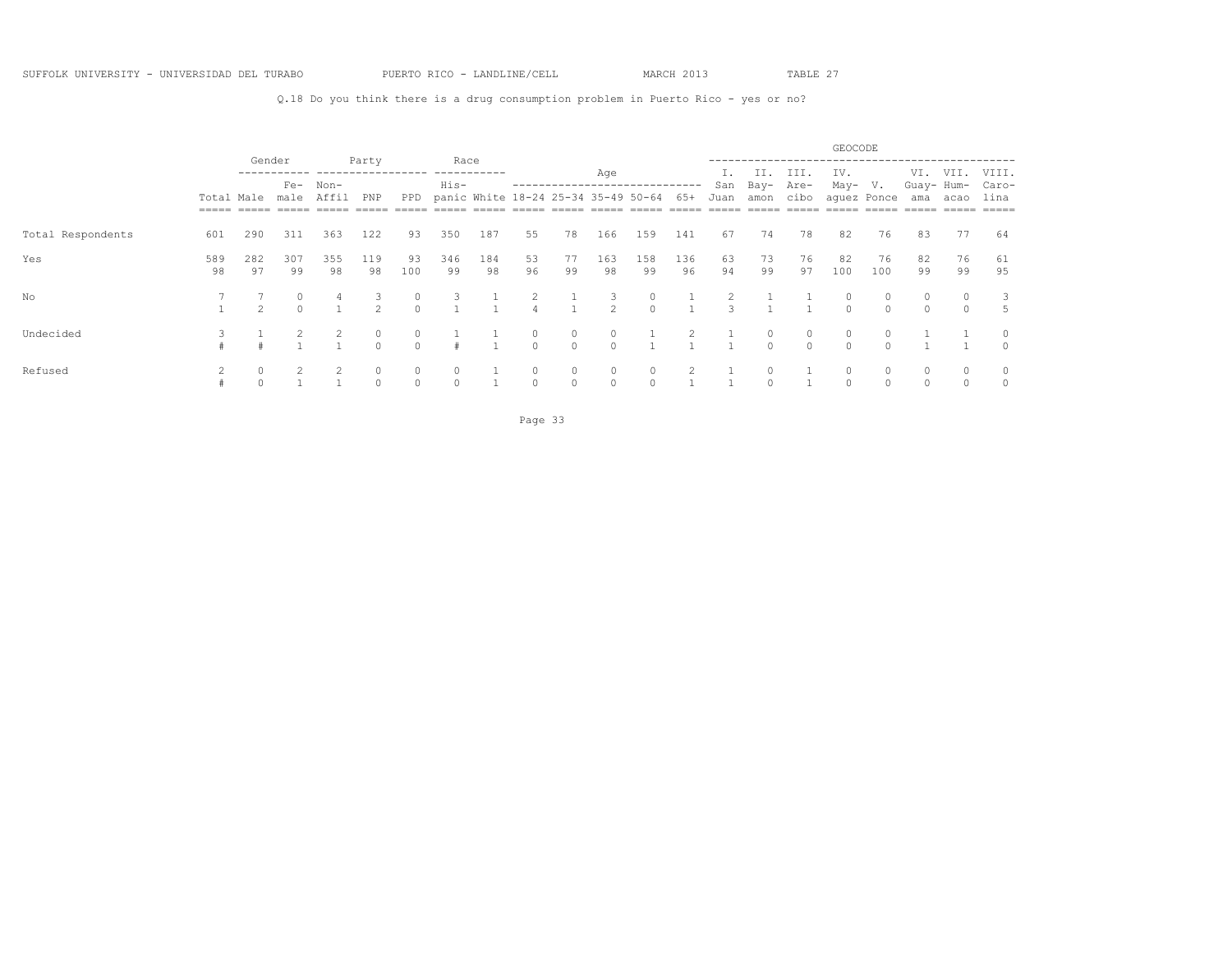Q.18 Do you think there is a drug consumption problem in Puerto Rico - yes or no?

|                   |                            |                |             |           |                     |                     |               |                                     |               |                         |               |               |           |          |                     |                   | GEOCODE       |                    |                   |               |                |
|-------------------|----------------------------|----------------|-------------|-----------|---------------------|---------------------|---------------|-------------------------------------|---------------|-------------------------|---------------|---------------|-----------|----------|---------------------|-------------------|---------------|--------------------|-------------------|---------------|----------------|
|                   |                            | Gender         | $Fe-$       | Non-      | Party               |                     | Race<br>His-  |                                     |               | ----------------------- | Age           |               |           | San      | II.<br>Bay-         | III.<br>Are-      | IV.<br>May-   | V.                 | VI.<br>Guay- Hum- | VII.          | VIII.<br>Caro- |
|                   | Total Male<br>$==== = = =$ |                | male        | Affil     | PNP                 | PPD                 |               | panic White 18-24 25-34 35-49 50-64 |               |                         |               |               | 65+       | Juan     | amon                | cibo              | _____         | aquez Ponce        | ama               | acao          | lina<br>=====  |
| Total Respondents | 601                        | 290            | 311         | 363       | 122                 | 93                  | 350           | 187                                 | 55            | 78                      | 166           | 159           | 141       | 67       | 74                  | 78                | 82            | 76                 | 83                | 77            | 64             |
| Yes               | 589<br>98                  | 282<br>97      | 307<br>99   | 355<br>98 | 119<br>98           | 93<br>100           | 346<br>99     | 184<br>98                           | 53<br>96      | 77<br>99                | 163<br>98     | 158<br>99     | 136<br>96 | 63<br>94 | 73<br>99            | 76<br>97          | 82<br>100     | 76<br>100          | 82<br>99          | 76<br>99      | 61<br>95       |
| No                |                            | $\mathfrak{D}$ | 0<br>$\cap$ |           | 3.<br>$\mathcal{P}$ |                     | 3             |                                     |               |                         | 2             | $\Omega$      |           |          |                     |                   |               | 0<br>$\cap$        |                   |               | 5              |
| Undecided         |                            |                |             |           | $\circ$<br>$\cap$   | $\Omega$            |               |                                     | 0<br>$\Omega$ | 0<br>$\Omega$           | 0<br>$\Omega$ |               |           |          | $\circ$<br>$\Omega$ | $\circ$<br>$\cap$ | 0<br>$\Omega$ | $\Omega$<br>$\cap$ |                   |               | $\Omega$       |
| Refused           |                            |                |             |           | 0<br>$\Omega$       | $\circ$<br>$\Omega$ | 0<br>$\Omega$ |                                     | $\Omega$      | 0<br>$\Omega$           | 0<br>$\Omega$ | 0<br>$\Omega$ |           |          |                     |                   | 0<br>$\Omega$ | 0<br>$\cap$        | 0<br>$\cap$       | 0<br>$\Omega$ | 0<br>$\Omega$  |

Page 33 and the contract of the contract of the contract of the contract of the contract of the contract of the contract of the contract of the contract of the contract of the contract of the contract of the contract of th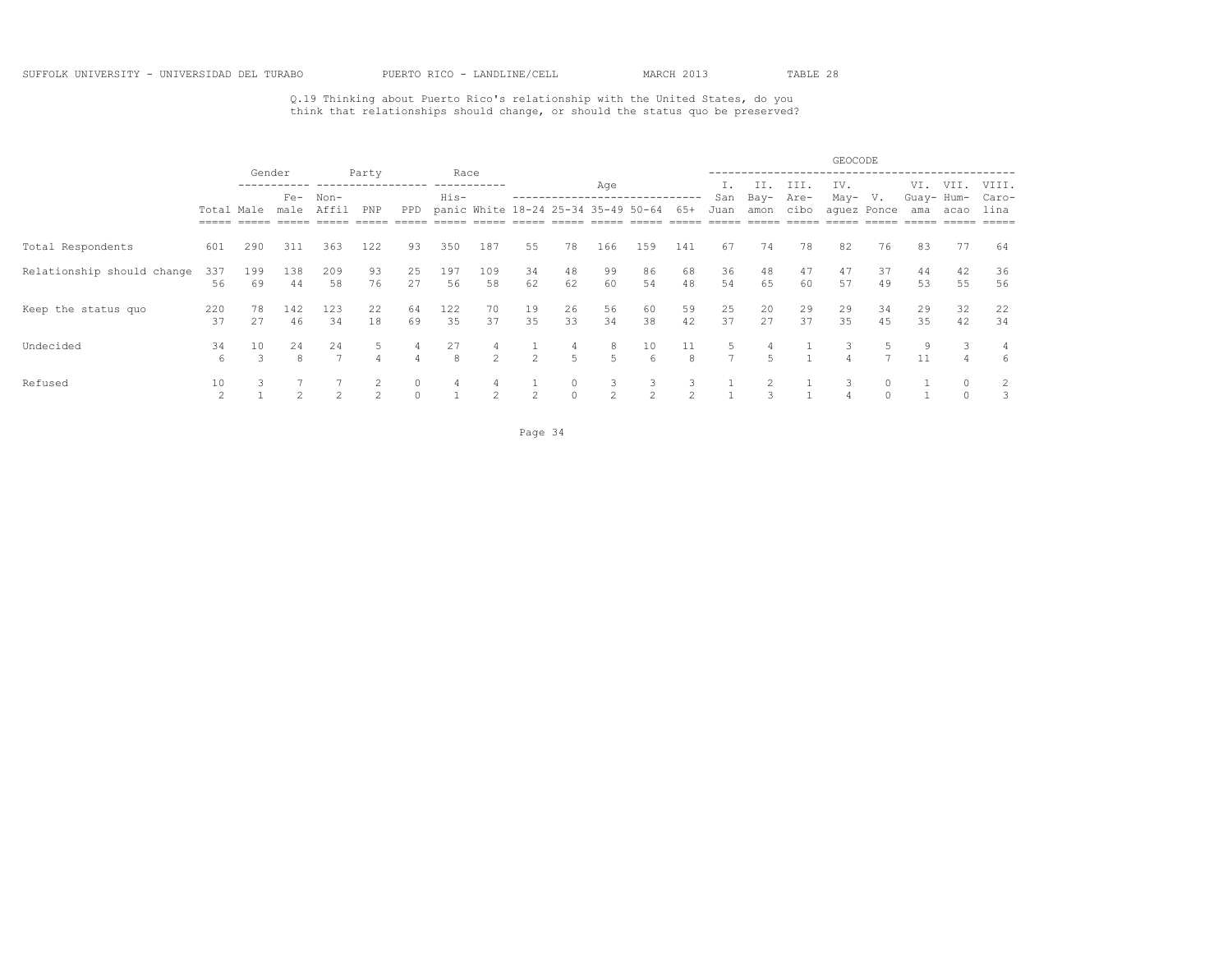Q.19 Thinking about Puerto Rico's relationship with the United States, do you think that relationships should change, or should the status quo be preserved?

|                            |                       |                     |                     |                      |           |          |              |                |                |                                     |                    |                    |                               |                     |                     |              | GEOCODE     |                          |                   |          |                |
|----------------------------|-----------------------|---------------------|---------------------|----------------------|-----------|----------|--------------|----------------|----------------|-------------------------------------|--------------------|--------------------|-------------------------------|---------------------|---------------------|--------------|-------------|--------------------------|-------------------|----------|----------------|
|                            |                       | Gender              | $Fe-$               | $Non-$               | Party     |          | Race<br>His- |                |                |                                     | Age                |                    |                               | San                 | II.<br>Bay-         | III.<br>Are- | IV.<br>May- | V.                       | VI.<br>Guay- Hum- | VII.     | VIII.<br>Caro- |
|                            | Total Male<br>$=====$ |                     | male                | Affil                | PNP       | PPD      |              |                |                | panic White 18-24 25-34 35-49 50-64 |                    |                    | 65+                           | Juan                | amon                | cibo         |             | aquez Ponce              | ama               | acao     | lina<br>=====  |
| Total Respondents          | 601                   | 290                 | 311                 | 363                  | 122       | 93       | 350          | 187            | 55             | 78                                  | 166                | 159                | 141                           | 67                  | 74                  | 78           | 82          | 76                       | 83                | 77       | 64             |
| Relationship should change | 337<br>56             | 199<br>69           | 138<br>44           | 209<br>58            | 93<br>76  | 25<br>27 | 197<br>56    | 109<br>58      | 34<br>62       | 48<br>62                            | 99<br>60           | 86<br>54           | 68<br>48                      | 36<br>54            | 48<br>65            | 47<br>60     | 47<br>57    | 37<br>49                 | 44<br>53          | 42<br>55 | 36<br>56       |
| Keep the status quo        | 220<br>37             | 78<br>27            | 142<br>46           | 123<br>34            | 22<br>18  | 64<br>69 | 122<br>35    | 70<br>37       | 19<br>35       | 26<br>33                            | 56<br>34           | 60<br>38           | 59<br>42                      | 25<br>37            | 20<br>27            | 29<br>37     | 29<br>35    | 34<br>45                 | 29<br>35          | 32<br>42 | 22<br>34       |
| Undecided                  | 34<br>6               | 10<br>$\mathcal{L}$ | 24<br>$\mathcal{R}$ | 24<br>$\overline{7}$ |           |          | 27<br>8      | $\mathfrak{D}$ | $\mathcal{L}$  | 4<br>$\overline{5}$                 | 8<br>5             | 10<br>6            | 11<br>8                       | 5<br>$\overline{ }$ | 4<br>$\overline{r}$ |              | 3           | $\overline{\phantom{a}}$ | 9<br>11           |          | 4<br>6         |
| Refused                    | 10<br>$\mathcal{P}$   | 3                   |                     |                      | $\hat{ }$ | $\cap$   |              | $\mathcal{D}$  | $\overline{2}$ | 0<br>$\Omega$                       | 3<br>$\mathcal{L}$ | 3<br>$\mathcal{L}$ | 3<br>$\overline{\mathcal{L}}$ |                     |                     |              |             |                          |                   |          | 3              |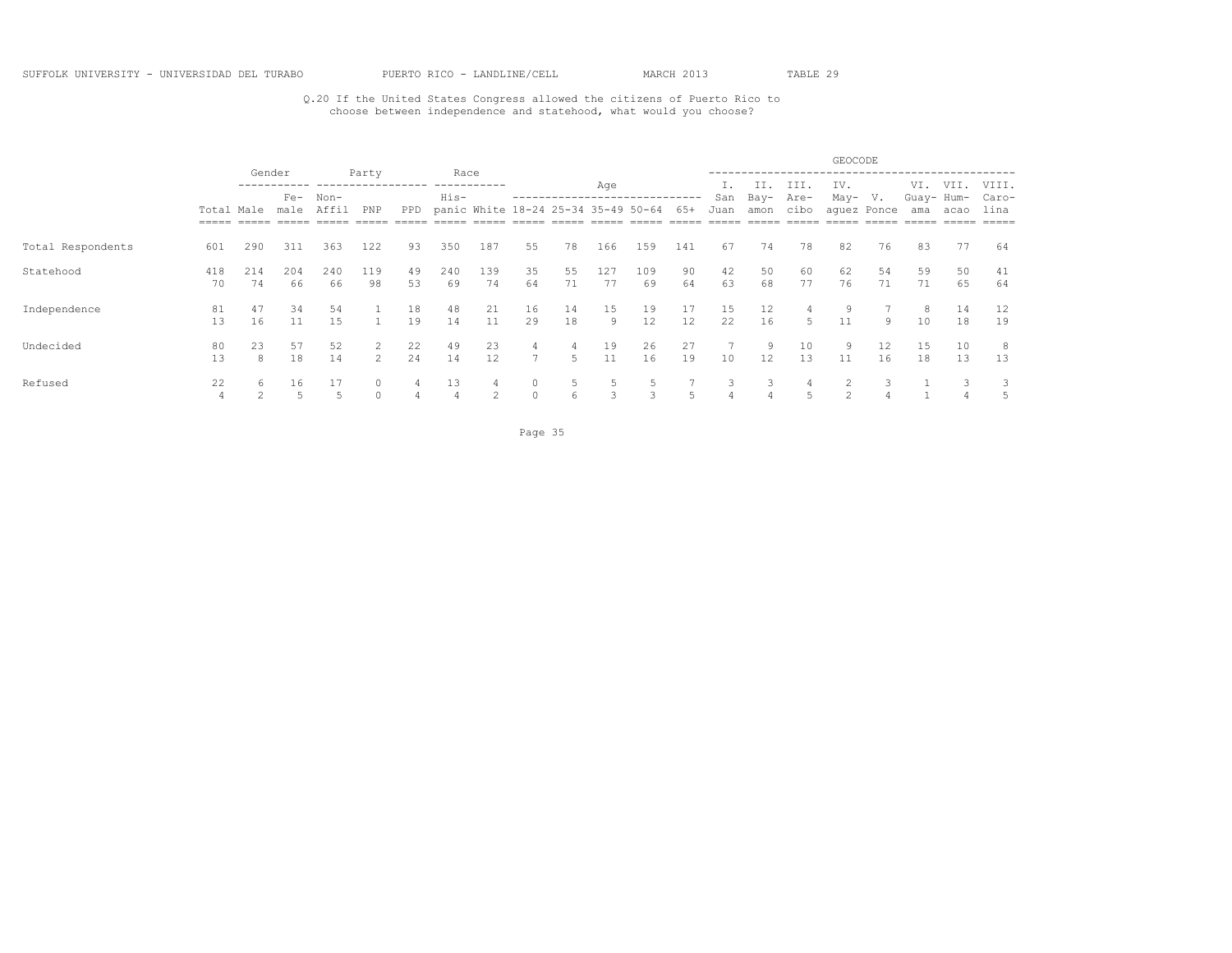## Q.20 If the United States Congress allowed the citizens of Puerto Rico to choose between independence and statehood, what would you choose?

|                   |            |                |               |           |              |          |              |                                     |                         |          |           |                   |          |             |                     |                      | GEOCODE        |                   |                          |              |                        |
|-------------------|------------|----------------|---------------|-----------|--------------|----------|--------------|-------------------------------------|-------------------------|----------|-----------|-------------------|----------|-------------|---------------------|----------------------|----------------|-------------------|--------------------------|--------------|------------------------|
|                   | Total Male | Gender         | $Fe-$<br>male | Non-      | Party<br>PNP | PPD      | Race<br>His- | panic White 18-24 25-34 35-49 50-64 |                         |          | Age       |                   | 65+      | San<br>Juan | II.<br>Bay-<br>amon | III.<br>Are-<br>cibo | IV.<br>May-    | V.<br>aquez Ponce | VI.<br>Guay- Hum-<br>ama | VII.<br>acao | VIII.<br>Caro-<br>lina |
|                   |            |                |               |           |              |          |              |                                     |                         |          |           |                   |          |             |                     |                      |                |                   |                          |              |                        |
| Total Respondents | 601        | 290            | 311           | 363       | 122          | 93       | 350          | 187                                 | 55                      | 78       | 166       | 159               | 141      | 67          | 74                  | 78                   | 82             | 76                | 83                       | 77           | 64                     |
| Statehood         | 418<br>70  | 214<br>74      | 204<br>66     | 240<br>66 | 119<br>98    | 49<br>53 | 240<br>69    | 139<br>74                           | 35<br>64                | 55<br>71 | 127<br>77 | 109<br>69         | 90<br>64 | 42<br>63    | 50<br>68            | 60<br>77             | 62<br>76       | 54<br>71          | 59<br>71                 | 50<br>65     | 41<br>64               |
| Independence      | 81<br>13   | 47<br>16       | 34<br>11      | 54<br>15  |              | 18<br>19 | 48<br>14     | 21<br>11                            | 16<br>29                | 14<br>18 | 15<br>9   | 19<br>12          | 17<br>12 | 15<br>22    | 12<br>16            | 4<br>5               | 9<br>11        | 9                 | 8<br>10                  | 14<br>18     | 12<br>19               |
| Undecided         | 80<br>13   | 23<br>8        | 57<br>18      | 52<br>14  | 2<br>2       | 22<br>24 | 49<br>14     | 23<br>12                            | 4<br>7                  | 4<br>5   | 19<br>11  | 26<br>16          | 27<br>19 | 10          | 9<br>12             | 10<br>13             | 9<br>11        | 12<br>16          | 15<br>18                 | 10<br>13     | 8<br>13                |
| Refused           | 22         | 6<br>$\hat{ }$ | 16            | 5         | $\cap$       |          | 13           | 2                                   | $\mathbf{0}$<br>$\circ$ | -5<br>6  | 5<br>3    | 5<br>$\mathbf{3}$ | 5        | 3           | 3                   | 4                    | $\mathfrak{D}$ |                   |                          |              | 5                      |

Page 35 and the state of the state of the state of the state of the state of the state of the state of the state of the state of the state of the state of the state of the state of the state of the state of the state of th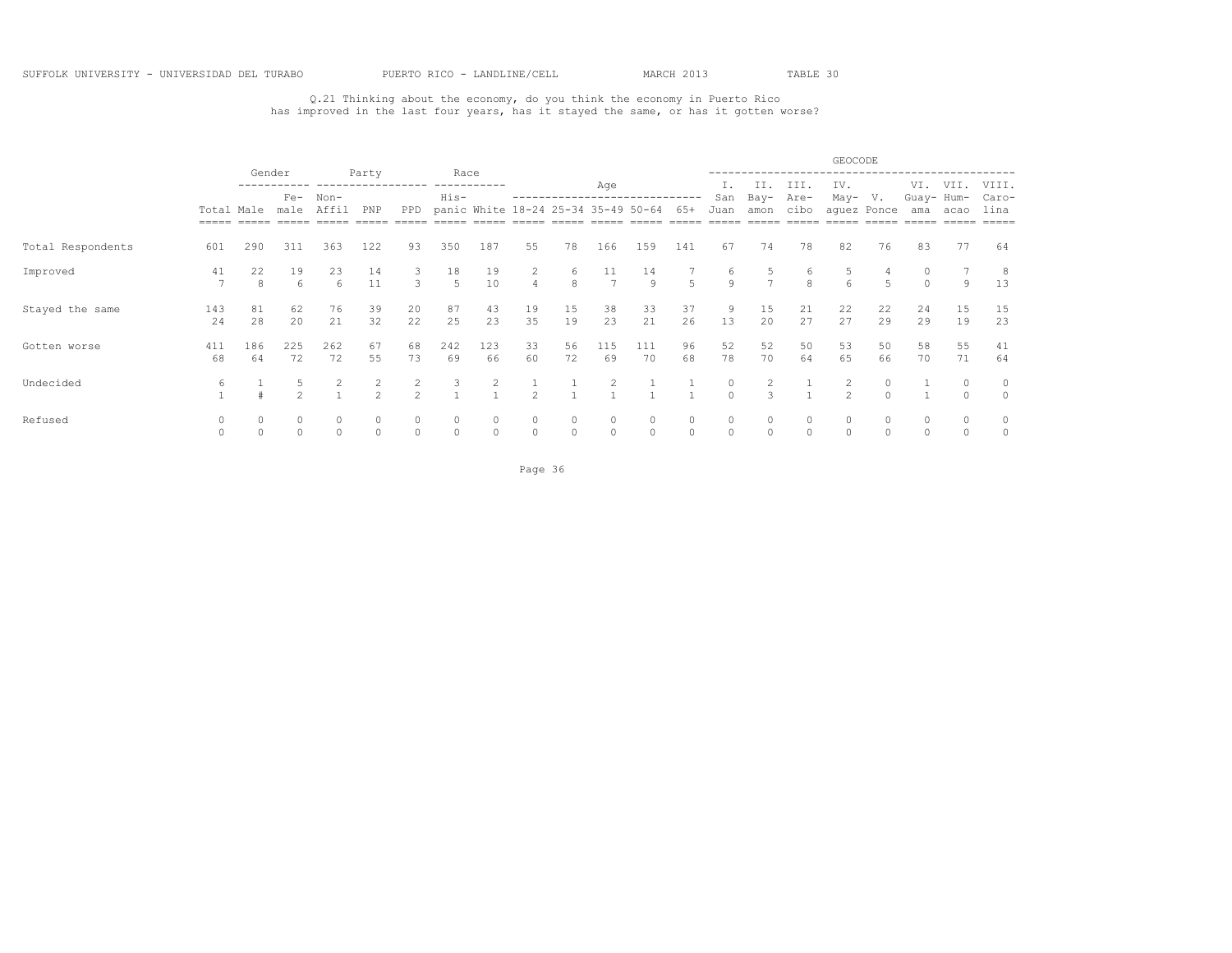## Q.21 Thinking about the economy, do you think the economy in Puerto Rico has improved in the last four years, has it stayed the same, or has it gotten worse?

|                   |                      |           |               |               |                             |                     |                    |                                     |                     |                      |                      |           |                         |               |                     |              | GEOCODE        |                   |                   |          |               |
|-------------------|----------------------|-----------|---------------|---------------|-----------------------------|---------------------|--------------------|-------------------------------------|---------------------|----------------------|----------------------|-----------|-------------------------|---------------|---------------------|--------------|----------------|-------------------|-------------------|----------|---------------|
|                   |                      | Gender    |               |               | Party<br>------------------ |                     | Race               | -----------                         |                     |                      | Age                  |           |                         |               | II.                 | III.         | IV.            |                   | VI.               | VII.     | VIII.         |
|                   | Total Male           |           | $Fe-$<br>male | Non-<br>Affil | PNP                         | PPD                 | His-               | panic White 18-24 25-34 35-49 50-64 |                     |                      |                      |           | 65+                     | San<br>Juan   | Bay-<br>amon        | Are-<br>cibo | May-           | V.<br>aquez Ponce | Guay- Hum-<br>ama | acao     | Caro-<br>lina |
| Total Respondents | 601                  | 290       | 311           | 363           | 122                         | 93                  | 350                | 187                                 | 55                  | 78                   | 166                  | 159       | 141                     | 67            | 74                  | 78           | 82             | 76                | 83                | 77       | 64            |
| Improved          | 41<br>$\overline{7}$ | 22<br>8   | 19<br>6       | 23<br>6       | 14<br>11                    | 3                   | 18<br>5            | 19<br>10                            | 2<br>$\overline{4}$ | 6<br>8               | 11<br>$\overline{7}$ | 14<br>9   | 5                       | 6<br>9        | 5<br>$\overline{7}$ | 6<br>8       | 6              | 5.                | 0                 | 9        | 8<br>13       |
| Stayed the same   | 143<br>24            | 81<br>28  | 62<br>20      | 76<br>21      | 39<br>32                    | 20<br>22            | 87<br>25           | 43<br>23                            | 19<br>35            | 15<br>19             | 38<br>23             | 33<br>21  | 37<br>26                | 13            | 15<br>20            | 21<br>27     | 22<br>27       | 22<br>29          | 24<br>29          | 15<br>19 | 15<br>23      |
| Gotten worse      | 411<br>68            | 186<br>64 | 225<br>72     | 262<br>72     | 67<br>55                    | 68<br>73            | 242<br>69          | 123<br>66                           | 33<br>60            | 56<br>72             | 115<br>69            | 111<br>70 | 96<br>68                | 52<br>78      | 52<br>70            | 50<br>64     | 53<br>65       | 50<br>66          | 58<br>70          | 55<br>71 | 41<br>64      |
| Undecided         | 6                    |           | $\hat{ }$     |               | 2<br>$\mathfrak{D}$         | 2<br>$\mathfrak{D}$ | 3                  | 2                                   | $\mathfrak{D}$      |                      | 2<br>$\overline{1}$  |           |                         | 0<br>$\Omega$ | 2<br>3              |              | $\mathfrak{D}$ | 0<br>$\cap$       |                   | $\Omega$ | 0<br>$\circ$  |
| Refused           |                      | $\Omega$  | $\Omega$      | 0<br>0        | $\circ$                     | $\circ$             | $\circ$<br>$\circ$ | $\Omega$                            | 0<br>$\circ$        | $\Omega$<br>$\Omega$ | $\circ$<br>$\circ$   | 0<br>0    | $\mathbf{0}$<br>$\circ$ | $\Omega$      | $\circ$<br>$\circ$  | $\Omega$     |                | $\Omega$          | $\Omega$          | 0<br>0   | 0<br>0        |

Page 36 and 2012 and 2012 and 2012 and 2012 and 2012 and 2012 and 2012 and 2012 and 2012 and 2012 and 2012 and 2012 and 2012 and 2012 and 2012 and 2012 and 2012 and 2012 and 2012 and 2012 and 2012 and 2012 and 2012 and 201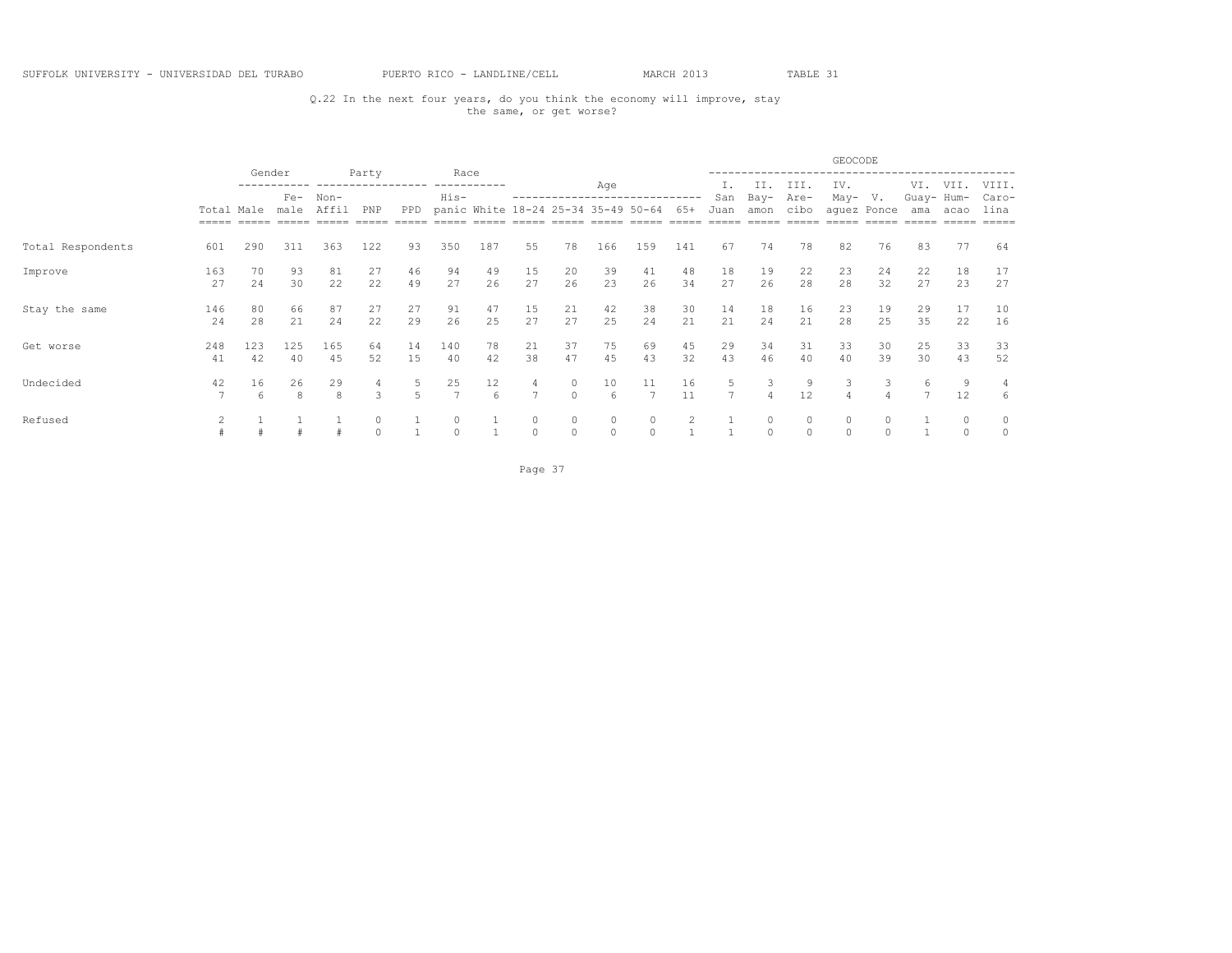## Q.22 In the next four years, do you think the economy will improve, stay the same, or get worse?

|                   |            |           |                 |                 |                             |          |                         |                                     |                      |               |                      |                     |          |             |              |              | GEOCODE  |                        |                   |              |               |
|-------------------|------------|-----------|-----------------|-----------------|-----------------------------|----------|-------------------------|-------------------------------------|----------------------|---------------|----------------------|---------------------|----------|-------------|--------------|--------------|----------|------------------------|-------------------|--------------|---------------|
|                   |            |           | Gender<br>$Fe-$ |                 | Party<br>------------------ |          | Race                    | -----------                         |                      |               | Age                  |                     |          |             | II.          | III.         | IV.      |                        | VI.               | VII.         | VIII.         |
|                   | Total Male |           | male            | $Non-$<br>Affil | PNP                         | PPD      | His-                    | panic White 18-24 25-34 35-49 50-64 |                      |               |                      |                     | $65+$    | San<br>Juan | Bay-<br>amon | Are-<br>cibo | May-     | V.<br>aquez Ponce      | Guay- Hum-<br>ama | acao         | Caro-<br>lina |
| Total Respondents | 601        | 290       | 311             | 363             | 122                         | 93       | 350                     | 187                                 | 55                   | 78            | 166                  | 159                 | 141      | 67          | 74           | 78           | 82       | 76                     | 83                | 77           | 64            |
| Improve           | 163<br>27  | 70<br>24  | 93<br>30        | 81<br>22        | 27<br>22                    | 46<br>49 | 94<br>27                | 49<br>26                            | 15<br>27             | 20<br>26      | 39<br>23             | 41<br>26            | 48<br>34 | 18<br>27    | 19<br>26     | 22<br>28     | 23<br>28 | 24<br>32               | 22<br>27          | 18<br>23     | 17<br>27      |
| Stay the same     | 146<br>24  | 80<br>28  | 66<br>21        | 87<br>24        | 27<br>22                    | 27<br>29 | 91<br>26                | 47<br>25                            | 15<br>27             | 21<br>27      | 42<br>25             | 38<br>24            | 30<br>21 | 14<br>21    | 18<br>24     | 16<br>21     | 23<br>28 | 19<br>25               | 29<br>35          | 17<br>22     | 10<br>16      |
| Get worse         | 248<br>41  | 123<br>42 | 125<br>40       | 165<br>45       | 64<br>52                    | 14<br>15 | 140<br>40               | 78<br>42                            | 21<br>38             | 37<br>47      | 75<br>45             | 69<br>43            | 45<br>32 | 29<br>43    | 34<br>46     | 31<br>40     | 33<br>40 | 30<br>39               | 25<br>30          | 33<br>43     | 33<br>52      |
| Undecided         | 42         | 16<br>6   | 26<br>8         | 29<br>8         | 4<br>$\mathcal{L}$          | 5        | 25<br>7                 | 12<br>6                             | 4<br>$7\phantom{.0}$ | $\Omega$      | 10 <sup>°</sup><br>6 | 11                  | 16<br>11 |             | 3            | 9<br>12      | 3        |                        | 6                 | 9<br>12      | 4<br>6        |
| Refused           |            |           |                 |                 | $\Omega$                    |          | $\mathbf{0}$<br>$\circ$ |                                     | 0<br>$\circ$         | 0<br>$\Omega$ | $\circ$<br>$\circ$   | $\circ$<br>$\Omega$ |          |             | $\circ$      | $\Omega$     | $\Omega$ | <sup>0</sup><br>$\cap$ |                   | 0<br>$\circ$ | 0<br>0        |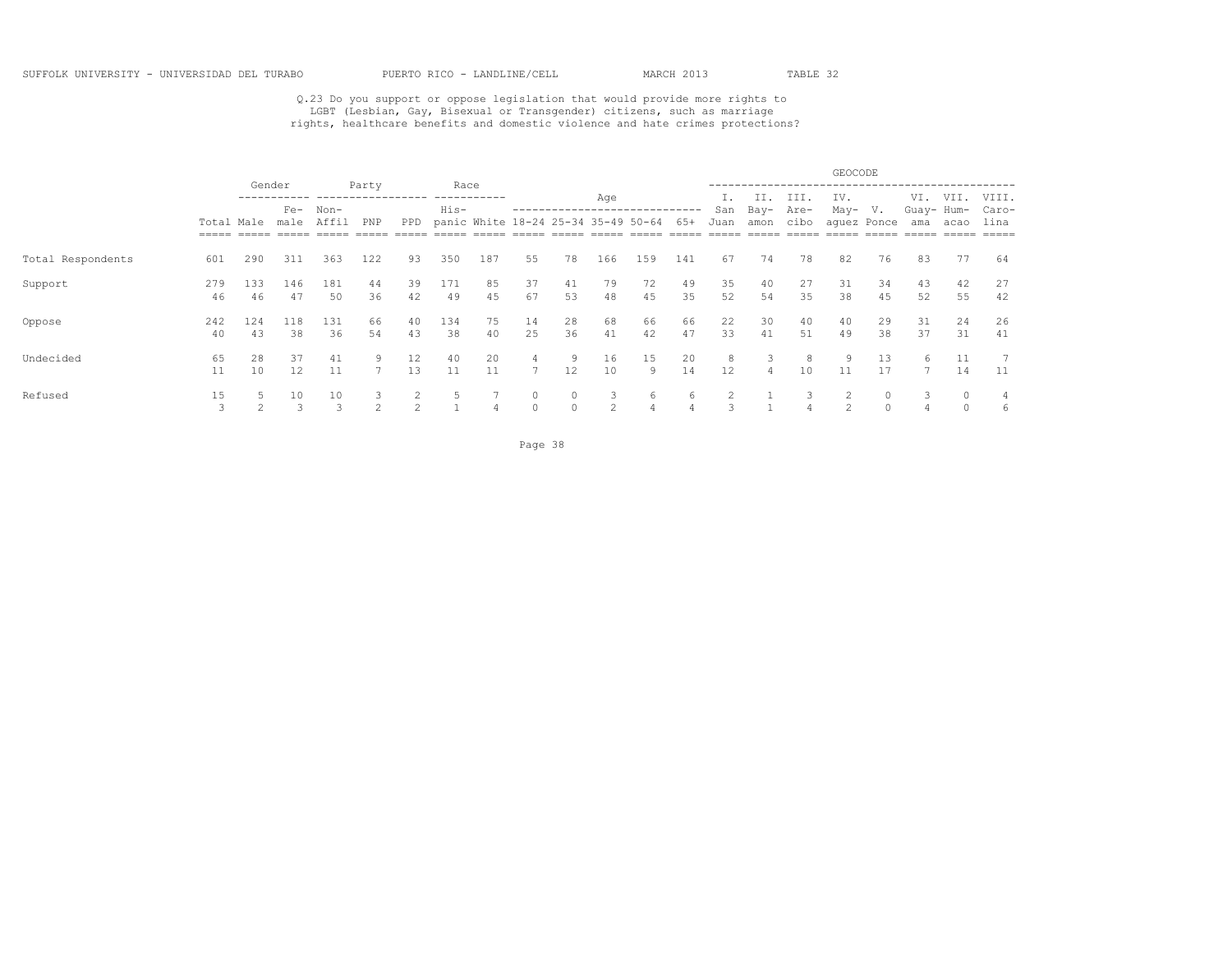# Q.23 Do you support or oppose legislation that would provide more rights to<br>LGBT (Lesbian, Gay, Bisexual or Transgender) citizens, such as marriage<br>rights, healthcare benefits and domestic violence and hate crimes protecti

|                   |                     |           |                      |                     |                    |                    |              |                                     |                     |               |                     |          |          |          |                     |              | GEOCODE       |             |                   |               |                |
|-------------------|---------------------|-----------|----------------------|---------------------|--------------------|--------------------|--------------|-------------------------------------|---------------------|---------------|---------------------|----------|----------|----------|---------------------|--------------|---------------|-------------|-------------------|---------------|----------------|
|                   |                     | Gender    | $Fe-$                | $Non-$              | Party              |                    | Race<br>His- | --------                            |                     |               | Age                 |          |          | San      | II.<br>Bay-         | III.<br>Are- | IV.<br>May-   | V.          | VI.<br>Guay- Hum- | VII.          | VIII.<br>Caro- |
|                   | Total Male<br>===== |           | male                 | Affil               | PNP                | PPD                |              | panic White 18-24 25-34 35-49 50-64 |                     |               |                     |          | $65+$    | Juan     | amon                | cibo         |               | aquez Ponce | ama               | acao          | lina<br>=====  |
| Total Respondents | 601                 | 290       | 311                  | 363                 | 122                | 93                 | 350          | 187                                 | 55                  | 78            | 166                 | 159      | 141      | 67       | 74                  | 78           | 82            | 76          | 83                | 77            | 64             |
| Support           | 279<br>46           | 133<br>46 | 146<br>47            | 181<br>50           | 44<br>36           | 39<br>42           | 171<br>49    | 85<br>45                            | 37<br>67            | 41<br>53      | 79<br>48            | 72<br>45 | 49<br>35 | 35<br>52 | 40<br>54            | 27<br>35     | 31<br>38      | 34<br>45    | 43<br>52          | 42<br>55      | 27<br>42       |
| Oppose            | 242<br>40           | 124<br>43 | 118<br>38            | 131<br>36           | 66<br>54           | 40<br>43           | 134<br>38    | 75<br>40                            | 14<br>25            | 28<br>36      | 68<br>41            | 66<br>42 | 66<br>47 | 22<br>33 | 30<br>41            | 40<br>51     | 40<br>49      | 29<br>38    | 31<br>37          | 24<br>31      | 26<br>41       |
| Undecided         | 65<br>11            | 28<br>10  | 37<br>12             | 41<br>11            | 9                  | 12<br>13           | 40<br>11     | 20<br>11                            | 4<br>$\overline{7}$ | 9<br>12       | 16<br>10            | 15<br>Q  | 20<br>14 | 8<br>12  | 3<br>$\overline{4}$ | 8<br>10      | 9<br>11       | 13<br>17    | 6                 | 11<br>14      | 11             |
| Refused           | 15<br>$\mathcal{L}$ | $\sim$    | 10<br>$\overline{a}$ | 10<br>$\mathcal{L}$ | 3<br>$\mathcal{L}$ | 2<br>$\mathcal{P}$ | 5            |                                     | 0<br>$\Omega$       | 0<br>$\Omega$ | 3<br>$\mathfrak{D}$ | 6<br>4   | 6        |          |                     | 3            | $\mathcal{D}$ | 0<br>$\cap$ | 3                 | 0<br>$\Omega$ | 6              |

Page 38 and the state of the state of the state of the state of the state of the state of the state of the state of the state of the state of the state of the state of the state of the state of the state of the state of th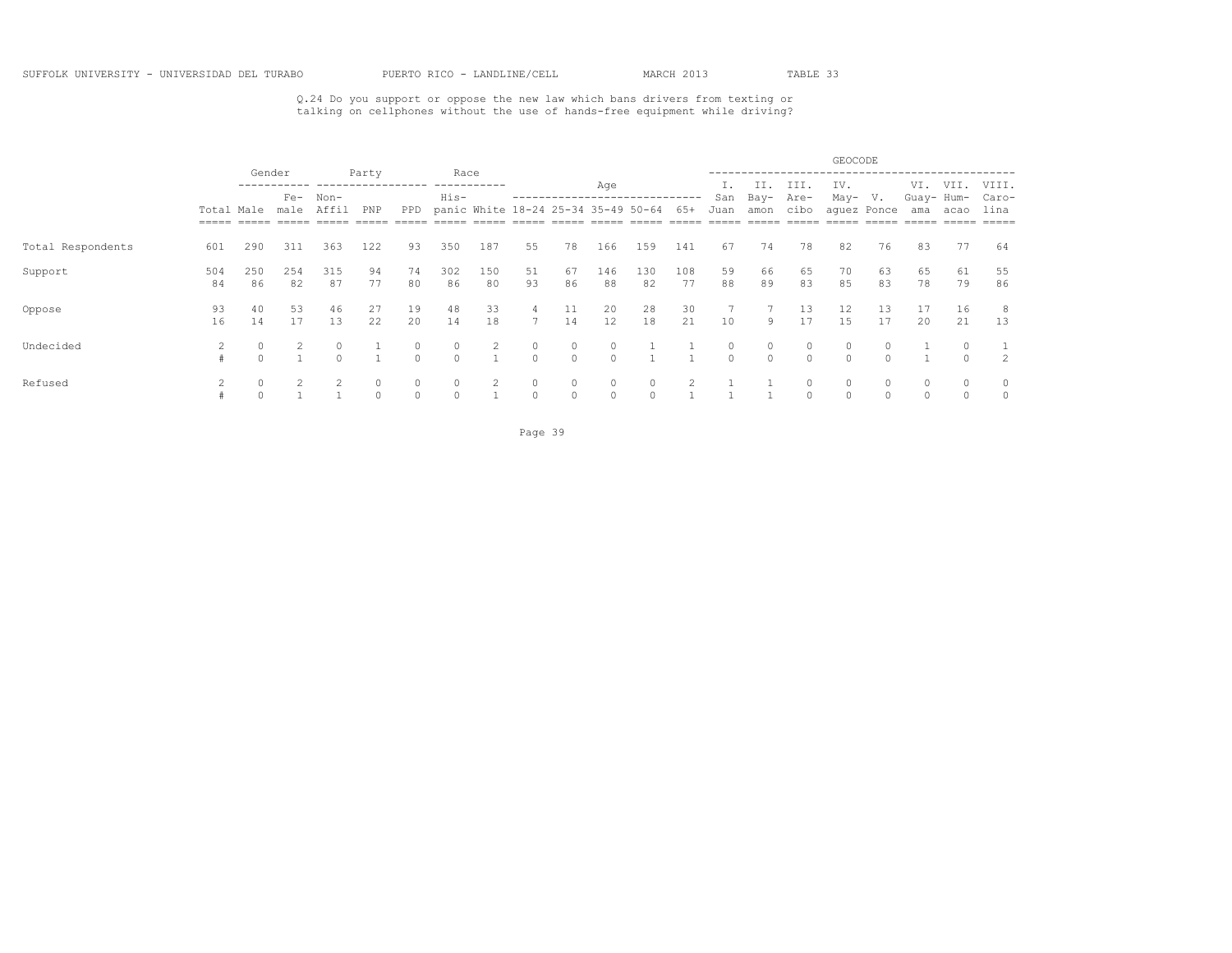## Q.24 Do you support or oppose the new law which bans drivers from texting or talking on cellphones without the use of hands-free equipment while driving?

|                   |                                   |           |                                 |                   |             |                   |                     |           |                     |                                     |                     |               |           |                     |                     |                     | GEOCODE       |             |                   |          |                |
|-------------------|-----------------------------------|-----------|---------------------------------|-------------------|-------------|-------------------|---------------------|-----------|---------------------|-------------------------------------|---------------------|---------------|-----------|---------------------|---------------------|---------------------|---------------|-------------|-------------------|----------|----------------|
|                   |                                   |           | Gender<br>Non-<br>$Fe-$<br>male |                   | Party       |                   | Race<br>His-        |           |                     |                                     | Age                 |               |           | San                 | IΙ<br>Bay-          | III.<br>Are-        | IV.<br>May-   | V.          | VI.<br>Guay- Hum- | VII.     | VIII.<br>Caro- |
|                   | Total Male<br>$=$ $=$ $=$ $=$ $=$ |           |                                 | Affil             | PNP         | PPD               |                     |           |                     | panic White 18-24 25-34 35-49 50-64 |                     |               | 65+       | Juan                | amon                | cibo                |               | aquez Ponce | ama               | acao     | lina           |
| Total Respondents | 601                               | 290       | 311                             | 363               | 122         | 93                | 350                 | 187       | 55                  | 78                                  | 166                 | 159           | 141       | 67                  | 74                  | 78                  | 82            | 76          | 83                | 77       | 64             |
| Support           | 504<br>84                         | 250<br>86 | 254<br>82                       | 315<br>87         | 94<br>77    | 74<br>80          | 302<br>86           | 150<br>80 | 51<br>93            | 67<br>86                            | 146<br>88           | 130<br>82     | 108<br>77 | 59<br>88            | 66<br>89            | 65<br>83            | 70<br>85      | 63<br>83    | 65<br>78          | 61<br>79 | 55<br>86       |
| Oppose            | 93<br>16                          | 40<br>14  | 53<br>17                        | 46<br>13          | 27<br>22    | 19<br>20          | 48<br>14            | 33<br>18  | 4<br>7              | 11<br>14                            | 20<br>12            | 28<br>18      | 30<br>21  | 10                  | 9                   | 13<br>17            | 12<br>15      | 13<br>17    | 20                | 16<br>21 | 8<br>13        |
| Undecided         |                                   |           |                                 | $\circ$<br>$\cap$ |             | $\circ$<br>$\cap$ | $\circ$<br>$\Omega$ | 2         | 0<br>$\Omega$       | 0<br>$\Omega$                       | $\circ$<br>$\Omega$ |               |           | $\circ$<br>$\Omega$ | $\circ$<br>$\Omega$ | $\circ$<br>$\Omega$ | 0<br>$\Omega$ |             |                   |          | 2              |
| Refused           |                                   |           |                                 |                   | 0<br>$\cap$ | 0<br>$\Omega$     | 0<br>$\Omega$       | 2         | $\circ$<br>$\Omega$ | 0<br>$\Omega$                       | 0<br>$\Omega$       | 0<br>$\Omega$ |           |                     |                     | $\circ$             | 0<br>$\Omega$ | $\cap$      | 0<br>$\Omega$     | $\Omega$ | 0<br>$\circ$   |

Page 39 and the state of the state of the state of the state of the state of the state of the state of the state of the state of the state of the state of the state of the state of the state of the state of the state of th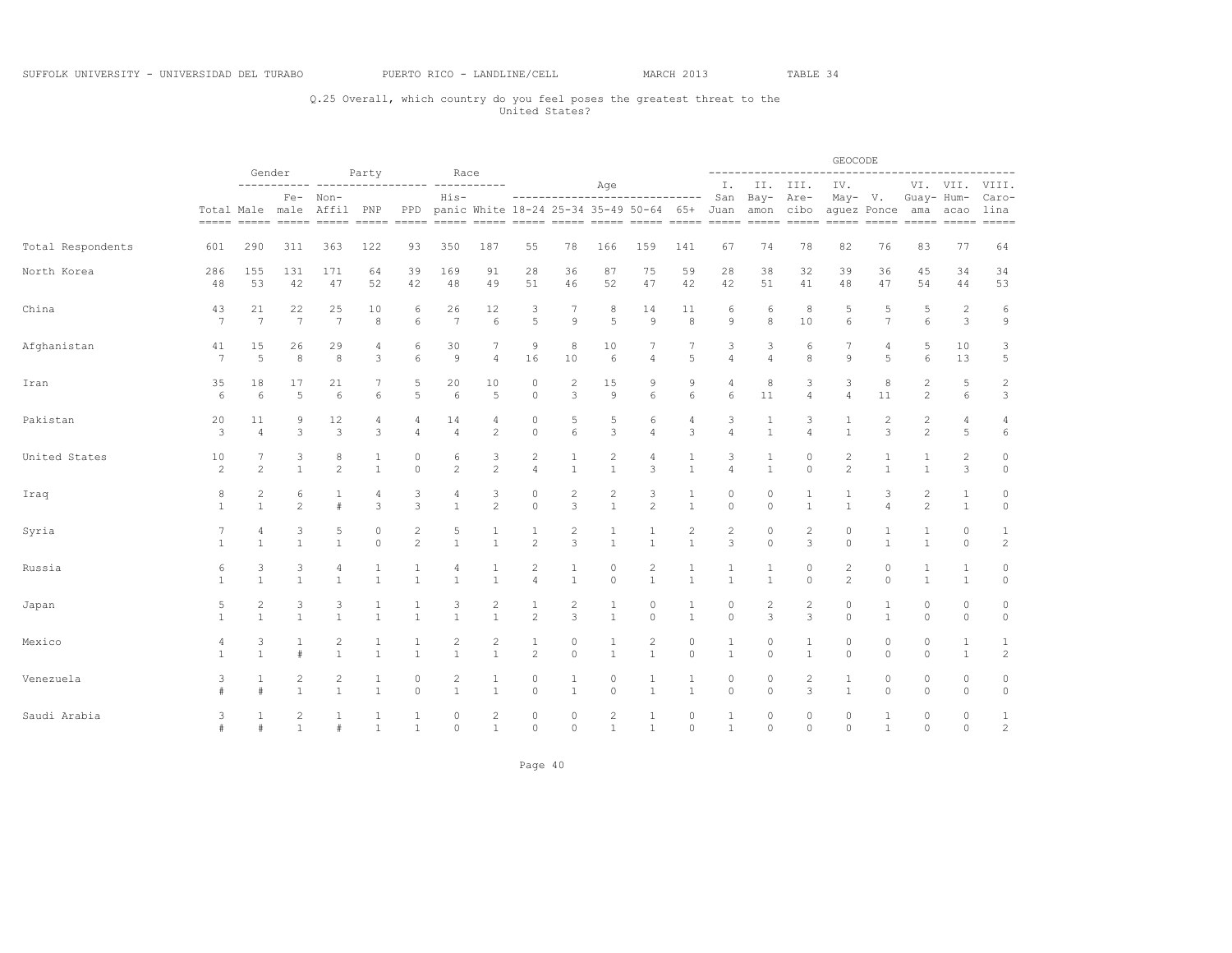## Q.25 Overall, which country do you feel poses the greatest threat to the United States?

|                   |                      |                                | Gender                         |                                |                                |                                           |                                  | Race                           |                                           |                              |                                |                                                            |                              |                              |                                | -----------------        | GEOCODE                          |                      | -----------------    |                              |                                |
|-------------------|----------------------|--------------------------------|--------------------------------|--------------------------------|--------------------------------|-------------------------------------------|----------------------------------|--------------------------------|-------------------------------------------|------------------------------|--------------------------------|------------------------------------------------------------|------------------------------|------------------------------|--------------------------------|--------------------------|----------------------------------|----------------------|----------------------|------------------------------|--------------------------------|
|                   |                      |                                |                                | Fe- Non-                       | Party                          |                                           | His-                             |                                |                                           |                              | Age                            | -----------------------------                              |                              | Ι.<br>San                    |                                | II. III.<br>Bay- Are-    | IV.<br>May- V.                   |                      | Guay- Hum-           |                              | VI. VII. VIII.<br>Caro-        |
|                   |                      |                                |                                | Total Male male Affil PNP      |                                |                                           |                                  |                                |                                           |                              |                                | PPD panic White 18-24 25-34 35-49 50-64 65+ Juan amon cibo |                              |                              |                                |                          |                                  | aquez Ponce ama acao |                      |                              | lina                           |
| Total Respondents | 601                  | 290                            | 311                            | 363                            | 122                            | 93                                        | 350                              | 187                            | 55                                        | 78                           | 166                            | 159                                                        | 141                          | 67                           | 74                             | 78                       | 82                               | 76                   | 83                   | 77                           | 64                             |
| North Korea       | 286<br>48            | 155<br>53                      | 131<br>42                      | 171<br>47                      | 64<br>52                       | 39<br>42                                  | 169<br>48                        | 91<br>49                       | 28<br>51                                  | 36<br>46                     | 87<br>52                       | 75<br>47                                                   | 59<br>42                     | 28<br>42                     | 38<br>51                       | 32<br>41                 | 39<br>48                         | 36<br>47             | 45<br>54             | 34<br>44                     | 34<br>53                       |
| China             | 43<br>$\overline{7}$ | 21<br>7                        | 22<br>$\overline{7}$           | 25<br>7                        | 10<br>8                        | 6<br>6                                    | 26<br>7                          | 12<br>6                        | 3<br>5                                    | 7<br>9                       | 8<br>5                         | 14<br>$\overline{9}$                                       | 11<br>8                      | 6<br>9                       | 6<br>8                         | 8<br>10                  | 5<br>6                           | 5<br>$\overline{7}$  | 5<br>6               | $\sqrt{2}$<br>3              | 6<br>9                         |
| Afghanistan       | 41<br>7              | 15<br>5                        | 26<br>8                        | 29<br>8                        | 4<br>3                         | 6<br>6                                    | 30<br>$\overline{9}$             | 7<br>$\overline{4}$            | 9<br>16                                   | 8<br>10                      | 10<br>6                        | 7<br>$\overline{4}$                                        | 7<br>5                       | 3<br>$\overline{4}$          | 3<br>$\overline{4}$            | 6<br>8                   | 7<br>$\mathcal{G}$               | 4<br>5               | 5<br>6               | 10<br>13                     | 3<br>5                         |
| Iran              | 35<br>6              | 18<br>6                        | 17<br>5                        | 21<br>6                        | 6                              | 5<br>5                                    | 20<br>6                          | 10<br>5                        | $\circ$<br>$\circ$                        | 2<br>3                       | 15<br>$\circ$                  | 9<br>6                                                     | 9<br>6                       | 4<br>6                       | 8<br>11                        | 3<br>$\overline{4}$      | 3<br>$\overline{4}$              | 8<br>11              | 2<br>$\overline{2}$  | 5<br>6                       | $\overline{\mathbf{c}}$<br>3   |
| Pakistan          | 20<br>3              | 11<br>$\overline{4}$           | 9<br>3                         | 12<br>3                        | 4<br>3                         | 4<br>$\overline{4}$                       | 14<br>$\overline{4}$             | 4<br>$\mathbf{2}$              | $\circ$<br>$\circ$                        | 5<br>6                       | 5<br>3                         | 6<br>$\overline{4}$                                        | 4<br>3                       | 3<br>$\overline{a}$          | 1<br>$\overline{1}$            | 3<br>$\overline{4}$      | $\mathbf{1}$                     | $\mathbf{2}$<br>3    | 2<br>$\overline{2}$  | 4<br>5                       | 4<br>$\epsilon$                |
| United States     | 10<br>$\mathbf{2}$   | 2                              | 3<br>$\mathbf{1}$              | 8<br>$\overline{c}$            | $\mathbf{1}$<br>$\mathbf{1}$   | $\mathbf 0$<br>$\Omega$                   | 6<br>2                           | 3<br>$\overline{c}$            | $\overline{c}$<br>$\overline{4}$          | 1<br>$\mathbf{1}$            | 2<br>$\mathbf{1}$              | $\overline{4}$<br>3                                        | $\mathbf{1}$                 | 3<br>$\overline{4}$          | $\mathbf{1}$<br>$\mathbf{1}$   | $\mathbf 0$<br>$\Omega$  | $\overline{c}$<br>$\overline{c}$ | 1<br>$\mathbf{1}$    | $\mathbf{1}$         | $\overline{c}$<br>3          | 0<br>$\circ$                   |
| Iraq              | 8<br>$\mathbf{1}$    | 2<br>$\mathbf{1}$              | 6<br>$\mathfrak{D}$            | $\pm$                          | 4<br>3                         | 3<br>3                                    | 4<br>$\overline{1}$              | 3<br>$\overline{c}$            | $\circ$<br>$\circ$                        | 2<br>3                       | $\overline{c}$<br>$\mathbf{1}$ | 3<br>$\overline{c}$                                        | 1<br>$\mathbf{1}$            | $\circ$<br>$\Omega$          | 0<br>$\Omega$                  | 1<br>$\mathbf{1}$        | $\mathbf{1}$                     | 3<br>$\overline{4}$  | 2<br>$\overline{2}$  | 1<br>$\mathbf{1}$            | 0<br>$\circ$                   |
| Syria             | 7<br>$\mathbf{1}$    | 4<br>$\mathbf{1}$              | 3<br>$\mathbf{1}$              | 5<br>$\mathbf{1}$              | 0<br>$\circ$                   | $\overline{\mathbf{c}}$<br>$\overline{c}$ | 5<br>$\mathbf{1}$                | $\mathbf{1}$                   | 1<br>$\mathbf{2}$                         | 2<br>3                       | 1<br>$\mathbf{1}$              | $\mathbf{1}$                                               | 2<br>$\mathbf{1}$            | $\overline{c}$<br>3          | 0<br>$\circ$                   | 2<br>3                   | $\circ$<br>$\circ$               | $\mathbf{1}$         | $\mathbf{1}$         | $\circ$<br>$\circ$           | $\mathbf{1}$<br>$\overline{c}$ |
| Russia            | 6<br>$\mathbf{1}$    | 3<br>$\mathbf{1}$              | 3<br>$\mathbf{1}$              | 4<br>$\mathbf{1}$              | 1<br>$\overline{1}$            | 1<br>$\overline{1}$                       | $\overline{4}$<br>$\overline{1}$ | 1<br>$\mathbf{1}$              | $\overline{\mathbf{c}}$<br>$\overline{4}$ | $\mathbf{1}$<br>$\mathbf{1}$ | 0<br>$\Omega$                  | $\overline{c}$<br>$\mathbf{1}$                             | 1<br>$\mathbf{1}$            | 1<br>$\overline{1}$          | $\mathbf{1}$<br>$\overline{1}$ | $\mathbf{0}$<br>$\Omega$ | $\mathbf{2}$<br>$\mathfrak{D}$   | $\circ$<br>$\Omega$  | 1<br>$\mathbf{1}$    | 1<br>$\mathbf{1}$            | $\circ$<br>$\circ$             |
| Japan             | 5<br>1               | $\overline{c}$<br>$\mathbf{1}$ | 3<br>$\mathbf{1}$              | 3                              | 1<br>$\overline{1}$            | -1<br>$\overline{1}$                      | 3<br>$\overline{1}$              | 2<br>$\mathbf{1}$              | 1<br>$\overline{c}$                       | 2<br>3                       | 1<br>$\mathbf{1}$              | $\circ$<br>$\Omega$                                        | $\mathbf{1}$<br>$\mathbf{1}$ | $\circ$<br>$\Omega$          | $\overline{2}$<br>3            | $\overline{2}$<br>3      | 0<br>$\Omega$                    | 1<br>$\mathbf{1}$    | 0<br>$\Omega$        | $\circ$<br>$\circ$           | $\circ$<br>$\circ$             |
| Mexico            | 4<br>$\mathbf{1}$    | 3<br>$\mathbf{1}$              | 1<br>#                         | $\overline{c}$<br>$\mathbf{1}$ | $\mathbf{1}$<br>$\overline{1}$ | $\mathbf{1}$<br>$\overline{1}$            | $\overline{2}$<br>$\mathbf{1}$   | $\mathbf{2}$<br>$\mathbf{1}$   | $\mathbf{1}$<br>$\mathbf{2}$              | 0<br>$\overline{0}$          | $\mathbf{1}$<br>$\mathbf{1}$   | $\overline{c}$<br>$\mathbf{1}$                             | $\circ$<br>$\circ$           | $\mathbf{1}$<br>$\mathbf{1}$ | 0<br>$\circ$                   | 1<br>$\mathbf{1}$        | 0<br>$\circ$                     | $\circ$<br>$\Omega$  | 0<br>$\circ$         | $\mathbf{1}$<br>$\mathbf{1}$ | $\mathbf{1}$<br>$\mathbf{2}$   |
| Venezuela         | 3                    | 1<br>#                         | $\overline{2}$<br>$\mathbf{1}$ | 2<br>$\mathbf{1}$              | 1<br>$\overline{1}$            | 0<br>$\circ$                              | $\overline{c}$<br>$\overline{1}$ | 1<br>$\mathbf{1}$              | $\circ$<br>$\circ$                        | 1<br>$\mathbf{1}$            | $\circ$<br>$\circ$             | 1<br>$\mathbf{1}$                                          | 1<br>$\mathbf{1}$            | 0<br>$\circ$                 | $\circ$<br>$\circ$             | 2<br>3                   | 1<br>$\mathbf{1}$                | 0<br>$\Omega$        | 0<br>$\circ$         | 0<br>$\circ$                 | 0<br>$\circ$                   |
| Saudi Arabia      | 3<br>#               | $\mathbf{1}$<br>#              | $\overline{2}$<br>$\mathbf{1}$ | $\pm$                          | $\overline{1}$                 | 1<br>$\overline{1}$                       | 0<br>$\circ$                     | $\overline{2}$<br>$\mathbf{1}$ | $\circ$<br>$\circ$                        | 0<br>$\circ$                 | $\overline{c}$<br>$\mathbf{1}$ | 1<br>$\mathbf{1}$                                          | $\circ$<br>$\circ$           | 1<br>$\mathbf{1}$            | $\circ$<br>$\circ$             | $\circ$<br>$\circ$       | $\circ$<br>$\Omega$              | 1<br>$\mathbf{1}$    | $\Omega$<br>$\Omega$ | $\circ$<br>$\Omega$          | 1<br>$\mathbf{2}$              |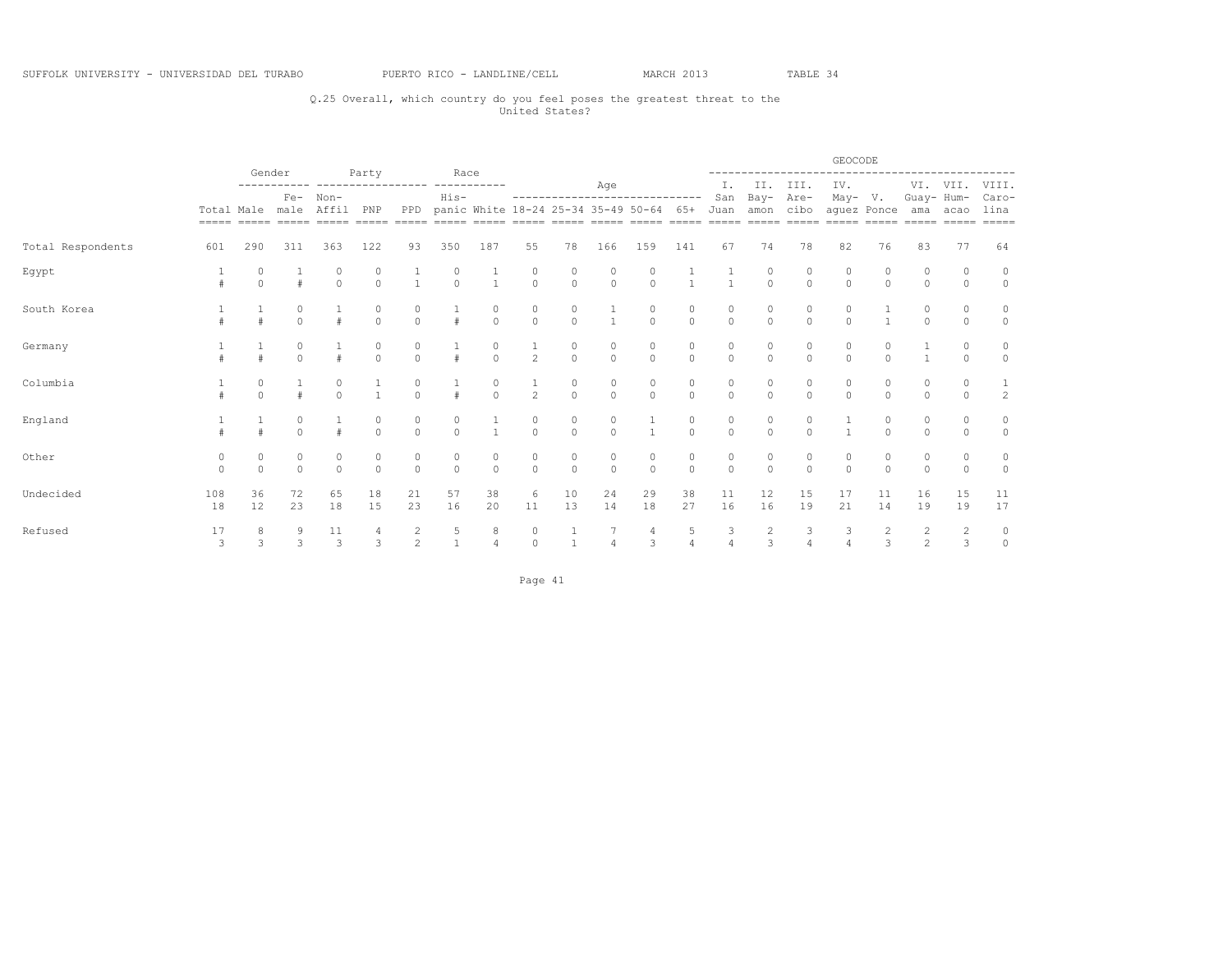## Q.25 Overall, which country do you feel poses the greatest threat to the United States?

|                   |           |                         |          |                                                                                                                                             |                                      |                                      |                                      |                                      |                                      |                                      |                                      |                                                            |                     |               | -----------------   |                         | GEOCODE                          |                                  |                     | ---------------------- |                       |
|-------------------|-----------|-------------------------|----------|---------------------------------------------------------------------------------------------------------------------------------------------|--------------------------------------|--------------------------------------|--------------------------------------|--------------------------------------|--------------------------------------|--------------------------------------|--------------------------------------|------------------------------------------------------------|---------------------|---------------|---------------------|-------------------------|----------------------------------|----------------------------------|---------------------|------------------------|-----------------------|
|                   |           | Gender                  |          | Fe- Non-                                                                                                                                    | Party                                |                                      | Race<br>His-                         |                                      |                                      |                                      | Aqe                                  | ------------------------------                             |                     | Ι.<br>San     | Bay-                | II. III.<br>Are-        | IV.                              |                                  | May- V. Guay- Hum-  | VI. VII. VIII.         | Caro-                 |
|                   |           |                         |          | Total Male male Affil PNP<br>sanan anang anang anang anang anang anang anang anang anang anang anang anang anang anang anang anang anang an |                                      |                                      |                                      |                                      |                                      |                                      |                                      | PPD panic White 18-24 25-34 35-49 50-64 65+ Juan amon cibo |                     |               |                     |                         | aquez Ponce ama acao             |                                  |                     |                        | lina<br>$= = = = = =$ |
| Total Respondents | 601       | 290                     | 311      | 363                                                                                                                                         | 122                                  | 93                                   | 350                                  | 187                                  | 55                                   | 78                                   | 166                                  | 159                                                        | 141                 | 67            | 74                  | 78                      | 82                               | 76                               | 83                  | 77                     | 64                    |
| Egypt             |           | $\Omega$                |          | $\Omega$                                                                                                                                    | 0<br>$\Omega$                        | $\frac{1}{1}$                        | $\begin{matrix} 0 \\ 0 \end{matrix}$ | $\frac{1}{1}$                        | $\begin{matrix} 0 \\ 0 \end{matrix}$ | 0<br>$\Omega$                        | 0<br>$\circ$                         | $\Omega$                                                   |                     |               | 0<br>$\Omega$       | $\Omega$                | $\Omega$                         | $\Omega$                         | $\Omega$            | $\circ$                | 0<br>$\circ$          |
| South Korea       |           |                         |          |                                                                                                                                             | $\begin{matrix} 0 \\ 0 \end{matrix}$ | $\begin{matrix} 0 \\ 0 \end{matrix}$ | $\frac{1}{4}$                        | $\begin{matrix} 0 \\ 0 \end{matrix}$ | $\begin{matrix} 0 \\ 0 \end{matrix}$ | $\begin{matrix} 0 \\ 0 \end{matrix}$ | $\frac{1}{1}$                        | 0<br>$\Omega$                                              | 0<br>$\Omega$       | 0<br>$\Omega$ | 0<br>$\Omega$       | $\overline{0}$          | $\Omega$                         |                                  |                     | $\Omega$               | $\circ$               |
| Germany           |           |                         | $\Omega$ |                                                                                                                                             | 0<br>$\Omega$                        | 0<br>$\Omega$                        | $\#$                                 | 0<br>$\Omega$                        | $\frac{1}{2}$                        | 0<br>$\Omega$                        | 0<br>$\Omega$                        | 0<br>$\Omega$                                              | 0<br>$\Omega$       | 0<br>$\Omega$ | 0<br>$\Omega$       | $\Omega$                | 0<br>$\Omega$                    | $\Omega$                         |                     | $\Omega$               | 0<br>$\Omega$         |
| Columbia          |           |                         |          | $\Omega$                                                                                                                                    | $\frac{1}{1}$                        | $\begin{matrix}0\\0\end{matrix}$     | $\frac{1}{4}$                        | $\begin{matrix}0\\0\end{matrix}$     | $\frac{1}{2}$                        | $\begin{matrix} 0 \\ 0 \end{matrix}$ | $\begin{matrix} 0 \\ 0 \end{matrix}$ | 0<br>$\Omega$                                              | 0<br>$\Omega$       | 0<br>$\Omega$ | 0<br>$\Omega$       | $\Omega$                | $\begin{matrix}0\\0\end{matrix}$ | $\begin{matrix}0\\0\end{matrix}$ | $\Omega$            | $\Omega$               | $\frac{1}{2}$         |
| England           |           |                         | $\cap$   |                                                                                                                                             | $\circ$<br>$\Omega$                  | 0<br>$\Omega$                        | $\begin{matrix} 0 \\ 0 \end{matrix}$ | $\mathbf{1}$                         | $\begin{matrix} 0 \\ 0 \end{matrix}$ | 0<br>$\Omega$                        | $\circ$<br>$\Omega$                  | $\overline{1}$                                             | 0<br>$\Omega$       | 0<br>$\Omega$ | $\circ$<br>$\Omega$ | $\mathbf 0$<br>$\Omega$ |                                  | 0<br>$\Omega$                    | $\cap$              | $\Omega$<br>$\Omega$   | 0<br>$\circ$          |
| Other             | $\cap$    | $\Omega$                | $\Omega$ | $\Omega$                                                                                                                                    | 0<br>$\Omega$                        | 0<br>$\Omega$                        | $\begin{matrix} 0 \\ 0 \end{matrix}$ | $\begin{matrix}0\\0\end{matrix}$     | $\begin{matrix} 0 \\ 0 \end{matrix}$ | $\circ$<br>$\Omega$                  | 0<br>$\Omega$                        | 0<br>$\Omega$                                              | 0<br>$\Omega$       | 0<br>$\Omega$ | 0<br>$\Omega$       | 0<br>$\Omega$           | $\circ$<br>$\Omega$              | $\Omega$                         | 0<br>$\Omega$       | $\Omega$               | 0<br>$\circ$          |
| Undecided         | 108<br>18 | 36<br>$12 \overline{ }$ | 72<br>23 | 65<br>18                                                                                                                                    | 18<br>15                             | 21<br>23                             | 57<br>16                             | 38<br>20                             | 6<br>11                              | 10<br>13                             | 24<br>14                             | 29<br>18                                                   | 38<br>27            | 11<br>16      | 12<br>16            | 15<br>19                | 17<br>21                         | 11<br>14                         | 16<br>19            | 15<br>19               | 11<br>17              |
| Refused           | 17<br>3   | 8<br>3                  | 3        | 11<br>3                                                                                                                                     | 4<br>3                               | $\overline{c}$<br>$\mathfrak{D}$     | 5<br>$\mathbf{1}$                    | 8<br>$\overline{4}$                  | 0<br>$\Omega$                        | $\mathbf{1}$                         | 7<br>$\overline{4}$                  | 4<br>3                                                     | 5<br>$\overline{4}$ | 3             | $\frac{2}{3}$       | 3<br>$\overline{4}$     | 3<br>$\overline{A}$              | 2<br>$\overline{3}$              | 2<br>$\overline{2}$ | $\frac{2}{3}$          | $\circ$<br>$\circ$    |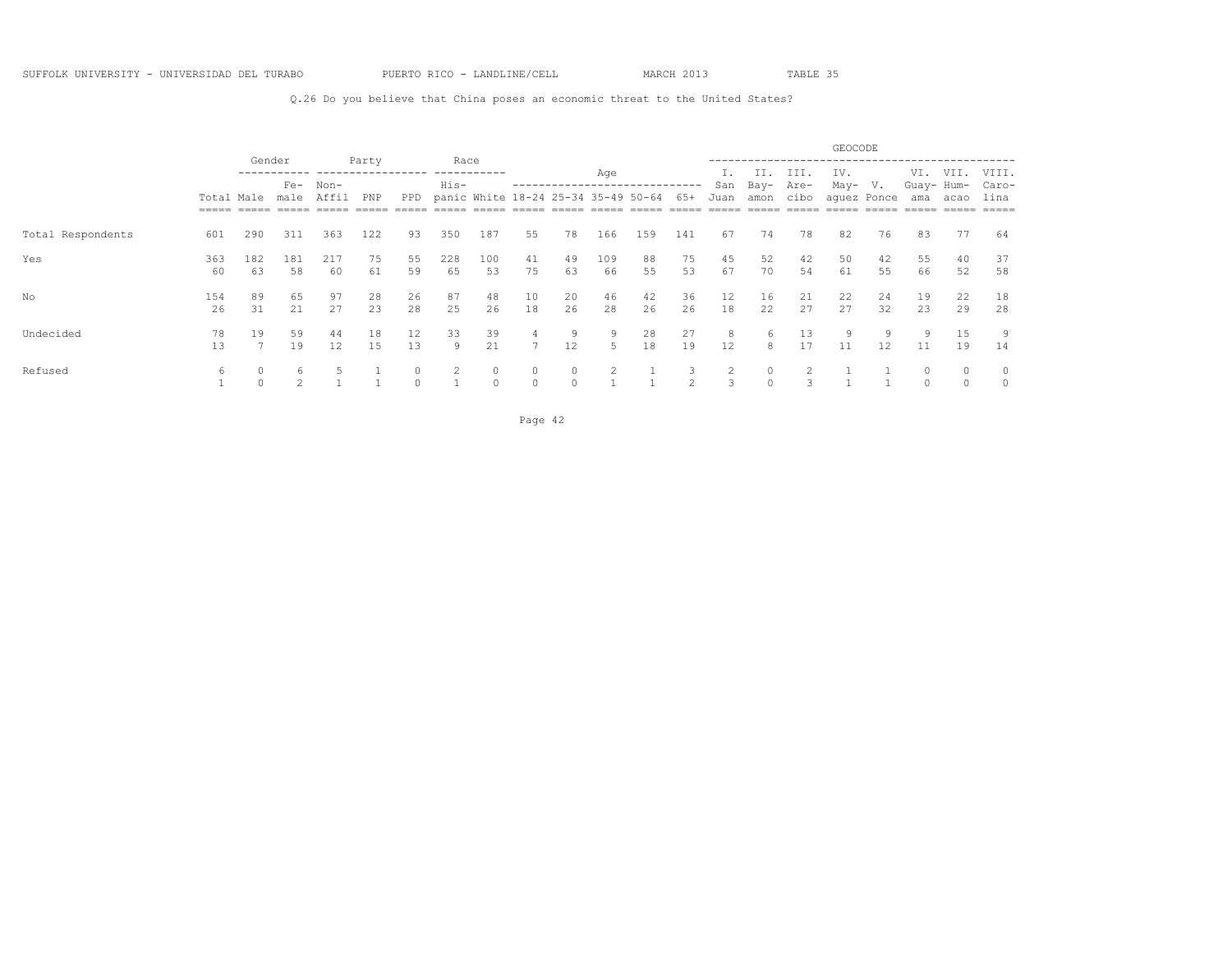Q.26 Do you believe that China poses an economic threat to the United States?

|                   |                                   |                      |                 |           |          |                         |              |                     |                     |                                     |           |          |                     |                    |               |              | GEOCODE     |             |                   |          |                |
|-------------------|-----------------------------------|----------------------|-----------------|-----------|----------|-------------------------|--------------|---------------------|---------------------|-------------------------------------|-----------|----------|---------------------|--------------------|---------------|--------------|-------------|-------------|-------------------|----------|----------------|
|                   |                                   |                      | Gender<br>$Fe-$ | Non-      | Party    |                         | Race<br>His- |                     |                     | ------------------                  | Age       |          |                     | San                | II.<br>Bay-   | III.<br>Are- | IV.<br>May- | V.          | VI.<br>Guay- Hum- | VII.     | VIII.<br>Caro- |
|                   | Total Male<br>$=$ $=$ $=$ $=$ $=$ |                      | male            | Affil     | PNP      | PPD                     |              |                     |                     | panic White 18-24 25-34 35-49 50-64 |           |          | 65+                 | Juan               | amon          | cibo         |             | aquez Ponce | ama               | acao     | lina           |
| Total Respondents | 601                               | 290                  | 311             | 363       | 122      | 93                      | 350          | 187                 | 55                  | 78                                  | 166       | 159      | 141                 | 67                 | 74            | 78           | 82          | 76          | 83                | 77       | 64             |
| Yes               | 363<br>60                         | 182<br>63            | 181<br>58       | 217<br>60 | 75<br>61 | 55<br>59                | 228<br>65    | 100<br>53           | 41<br>75            | 49<br>63                            | 109<br>66 | 88<br>55 | 75<br>53            | 45<br>67           | 52<br>70      | 42<br>54     | 50<br>61    | 42<br>55    | 55<br>66          | 40<br>52 | 37<br>58       |
| No                | 154<br>26                         | 89<br>31             | 65<br>21        | 97<br>27  | 28<br>23 | 26<br>28                | 87<br>25     | 48<br>26            | 10<br>18            | 20<br>26                            | 46<br>28  | 42<br>26 | 36<br>26            | 12<br>18           | 16<br>22      | 21<br>27     | 22<br>27    | 24<br>32    | 19<br>23          | 22<br>29 | 18<br>28       |
| Undecided         | 78<br>13                          | 19<br>$\overline{ }$ | 59<br>19        | 44<br>12  | 18<br>15 | $12 \overline{ }$<br>13 | 33<br>9      | 39<br>21            | $\overline{4}$<br>7 | 9<br>12                             | 9<br>.5   | 28<br>18 | 27<br>19            | 8<br>12            | 6<br>8        | 13<br>17     | 9<br>11     | 9<br>12     | 9<br>11           | 15<br>19 | 9<br>14        |
| Refused           | b                                 | 0<br>$\cap$          | 6               |           |          | 0<br>$\cap$             |              | $\circ$<br>$\Omega$ | $\circ$<br>$\Omega$ |                                     | 2         |          | 3<br>$\mathfrak{D}$ | 2<br>$\mathcal{L}$ | 0<br>$\Omega$ |              |             |             | 0<br>$\Omega$     | $\Omega$ | 0<br>$\Omega$  |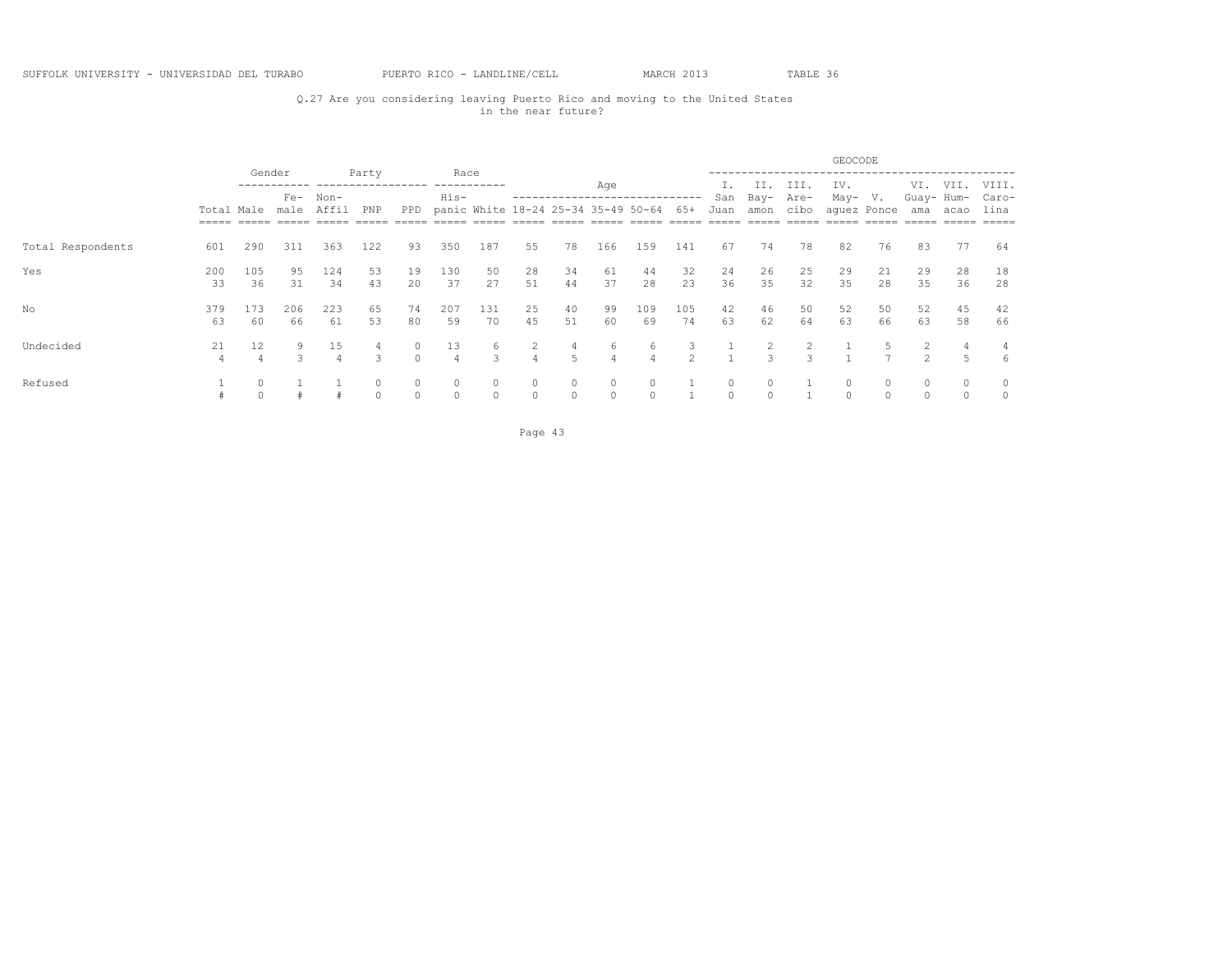## Q.27 Are you considering leaving Puerto Rico and moving to the United States in the near future?

|                   |               |           |               |               |                    |               |                         |                                                  |                     |          |                    |               |                |             |                     |                               | GEOCODE     |                   |                          |              |                        |
|-------------------|---------------|-----------|---------------|---------------|--------------------|---------------|-------------------------|--------------------------------------------------|---------------------|----------|--------------------|---------------|----------------|-------------|---------------------|-------------------------------|-------------|-------------------|--------------------------|--------------|------------------------|
|                   | Total Male    | Gender    | $Fe-$<br>male | Non-<br>Affil | Party<br>PNP       | PPD           | Race<br>His-            | ---------<br>panic White 18-24 25-34 35-49 50-64 |                     |          | Age                |               | $65+$          | San<br>Juan | II.<br>Bay-<br>amon | III.<br>Are-<br>cibo          | IV.<br>May- | V.<br>aquez Ponce | VI.<br>Guay- Hum-<br>ama | VII.<br>acao | VIII.<br>Caro-<br>lina |
|                   | $= = = = = =$ |           |               |               |                    |               |                         |                                                  |                     |          |                    |               |                |             |                     |                               |             |                   |                          |              |                        |
| Total Respondents | 601           | 290       | 311           | 363           | 122                | 93            | 350                     | 187                                              | 55                  | 78       | 166                | 159           | 141            | 67          | 74                  | 78                            | 82          | 76                | 83                       | 77           | 64                     |
| Yes               | 200<br>33     | 105<br>36 | 95<br>31      | 124<br>34     | 53<br>43           | 19<br>20      | 130<br>37               | 50<br>27                                         | 28<br>51            | 34<br>44 | 61<br>37           | 44<br>28      | 32<br>23       | 24<br>36    | 26<br>35            | 25<br>32                      | 29<br>35    | 21<br>28          | 29<br>35                 | 28<br>36     | 18<br>28               |
| No.               | 379<br>63     | 173<br>60 | 206<br>66     | 223<br>61     | 65<br>53           | 74<br>80      | 207<br>59               | 131<br>70                                        | 25<br>45            | 40<br>51 | 99<br>60           | 109<br>69     | 105<br>74      | 42<br>63    | 46<br>62            | 50<br>64                      | 52<br>63    | 50<br>66          | 52<br>63                 | 45<br>58     | 42<br>66               |
| Undecided         | 21            | 12        |               | 15            | 4<br>$\mathcal{L}$ | 0<br>$\Omega$ | 13<br>$\overline{4}$    | O<br>$\mathcal{L}$                               | 2<br>$\overline{4}$ | 4<br>5   | 6<br>4             | 6<br>$\Delta$ | 3<br>$\hat{ }$ |             | 2<br>$\mathcal{L}$  | 2<br>$\overline{\mathcal{L}}$ |             | $\overline{ }$    | $\mathcal{L}$            |              | 4<br>6                 |
| Refused           |               |           |               |               | $\Omega$           | 0<br>$\Omega$ | $\mathbf{0}$<br>$\circ$ | 0<br>$\Omega$                                    | $\circ$<br>$\circ$  |          | $\circ$<br>$\circ$ |               |                |             | $\circ$             |                               |             |                   |                          | $\Omega$     | $\circ$<br>$\circ$     |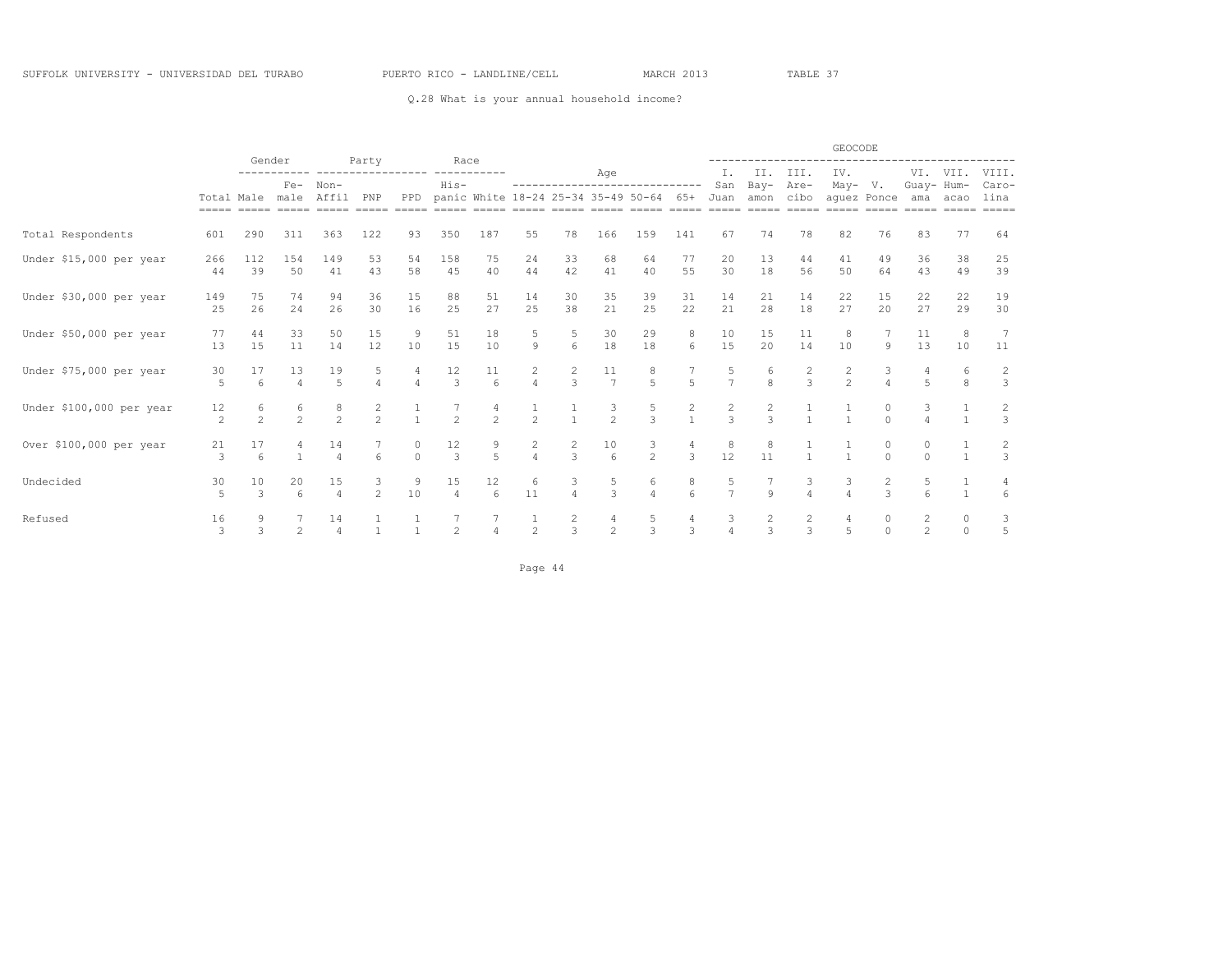Q.28 What is your annual household income?

|                          |                |                 |                         |                | Party          |                     |                                        |                                       |                |                |                                       |                                |                                       |                     |                   |               | GEOCODE       |                   |                |                |               |
|--------------------------|----------------|-----------------|-------------------------|----------------|----------------|---------------------|----------------------------------------|---------------------------------------|----------------|----------------|---------------------------------------|--------------------------------|---------------------------------------|---------------------|-------------------|---------------|---------------|-------------------|----------------|----------------|---------------|
|                          |                |                 | Gender<br>Non-<br>$Fe-$ |                |                |                     | Race                                   |                                       |                |                | Age                                   |                                |                                       | Ι.                  | II.               | III.          | IV.           |                   |                | VI. VII.       | VIII.         |
|                          |                | Total Male male |                         | Affil          | PNP            | PPD                 | $His-$                                 | panic White 18-24 25-34 35-49 50-64   |                |                |                                       | ------------------------------ | 65+                                   | San<br>Juan         | Bay-<br>amon cibo | Are-          | May-          | V.<br>aquez Ponce | Guay- Hum-     | ama acao       | Caro-<br>lina |
|                          | =====          | $=====$         | $= = = = = =$           | $=====$        | $=====$        | $=$ $=$ $=$ $=$ $=$ | $=====$                                | $=====$                               |                |                |                                       |                                |                                       | $=$ $=$ $=$ $=$ $=$ |                   |               | $=====$       |                   |                | $=====$        | $=====$       |
| Total Respondents        | 601            | 290             | 311                     | 363            | 122            | 93                  | 350                                    | 187                                   | 55             | 78             | 166                                   | 159                            | 141                                   | 67                  | 74                | 78            | 82            | 76                | 83             | 77             | 64            |
| Under \$15,000 per year  | 266            | 112             | 154                     | 149            | 53             | 54                  | 158                                    | 75                                    | 24             | 33             | 68                                    | 64                             | 77                                    | 20                  | 13                | 44            | 41            | 49                | 36             | 38             | 25            |
|                          | 44             | 39              | 50                      | 41             | 43             | 58                  | 45                                     | 40                                    | 44             | 42             | 41                                    | 40                             | 55                                    | 30                  | 18                | 56            | 50            | 64                | 43             | 49             | 39            |
| Under \$30,000 per year  | 149            | 75              | 74                      | 94             | 36             | 15                  | 88                                     | 51                                    | 14             | 30             | 35                                    | 39                             | 31                                    | 14                  | 21                | 14            | 22            | 15                | 22             | 22             | 19            |
|                          | 25             | 26              | 24                      | 26             | 30             | 16                  | 25                                     | 27                                    | 25             | 38             | 21                                    | 25                             | 22                                    | 21                  | 28                | 18            | 27            | 20                | 27             | 29             | 30            |
| Under \$50,000 per year  | 77             | 44              | 33                      | 50             | 15             | 9                   | 51                                     | 18                                    | 5              | 5              | 30                                    | 29                             | 8                                     | 10                  | 15                | 11            | 8             |                   | 11             | 8              |               |
|                          | 13             | 15              | 11                      | 14             | 12             | 10                  | 15                                     | 10                                    | $\overline{9}$ | 6              | 18                                    | 18                             | 6                                     | 15                  | 20                | 14            | 10            | 9                 | 13             | 10             | 11            |
| Under \$75,000 per year  | 30             | 17              | 13                      | 19             | 5              |                     | 12                                     | 11                                    | $\frac{2}{4}$  | $\frac{2}{3}$  | 11                                    | 8                              |                                       | 5                   | 6                 | 2             | $\frac{2}{2}$ | 3                 |                | 6              | $\frac{2}{3}$ |
|                          | 5              | 6               | $\Delta$                | 5              |                |                     | $\mathcal{R}$                          | $6\overline{6}$                       |                |                | $\overline{7}$                        | $\overline{5}$                 | $\overline{5}$                        | $\overline{7}$      | $\mathbf{8}$      | $\mathcal{L}$ |               |                   | $\overline{5}$ | 8              |               |
| Under \$100,000 per year | 12             | 6               | 6                       | 8              | 2              |                     |                                        |                                       |                |                | $\frac{3}{2}$                         | 5                              | $\begin{array}{c} 2 \\ 1 \end{array}$ | $\overline{c}$      | 2                 |               |               |                   | 3              |                | $\frac{2}{3}$ |
|                          | $\overline{c}$ | $\mathfrak{D}$  | $\overline{2}$          | $\mathfrak{D}$ | $\overline{2}$ |                     | $\mathfrak{D}$                         | $\mathfrak{D}$                        | $\overline{2}$ |                |                                       | $\mathcal{E}$                  |                                       | $\overline{3}$      | $\mathcal{L}$     |               |               | $\cap$            |                |                |               |
| Over \$100,000 per year  | 21             | 17              |                         | 14             |                | 0                   | $\begin{array}{c} 12 \\ 3 \end{array}$ | $\begin{array}{c} 9 \\ 5 \end{array}$ | $\frac{2}{4}$  | $\frac{2}{3}$  | $\begin{matrix} 10 \\ 6 \end{matrix}$ | $\frac{3}{2}$                  | $\frac{4}{3}$                         | 8                   | 8                 |               |               |                   |                |                | $\frac{2}{3}$ |
|                          | 3              | 6               |                         | $\Delta$       | 6              | $\Omega$            |                                        |                                       |                |                |                                       |                                |                                       | 12                  | 11                |               |               |                   | $\cap$         |                |               |
| Undecided                | 30             | 10              | 20                      | 15             | 3              | 9                   | 15                                     | 12                                    | 6              | 3              | $\frac{5}{3}$                         | 6                              | 8                                     | 5                   |                   | 3             | 3             | 2                 | 5              |                | 4             |
|                          | 5              | $\mathbf{3}$    | $6\overline{6}$         | $\overline{4}$ | $\mathfrak{D}$ | 10                  | $\overline{4}$                         | 6                                     | 11             | $\overline{4}$ |                                       | $\overline{4}$                 | $6 \overline{6}$                      | $\overline{7}$      | $\mathcal{Q}$     | $\Delta$      | $\Delta$      | $\mathcal{L}$     | 6              | $\overline{1}$ | 6             |
| Refused                  | 16             | 9               |                         | 14             |                |                     |                                        |                                       | $\mathbf{1}$   | $\frac{2}{3}$  | 4                                     | 5                              | 4                                     | 3                   | 2                 | 2             | 4             |                   | 2              | 0              | 3             |
|                          | 3              | $\mathbf{3}$    | $\overline{c}$          |                |                |                     | $\mathfrak{D}$                         |                                       | 2              |                | $\overline{c}$                        | 3                              | 3                                     |                     | 3                 | 3             | 5             | $\cap$            | $\mathfrak{D}$ | $\Omega$       | $\mathbf 5$   |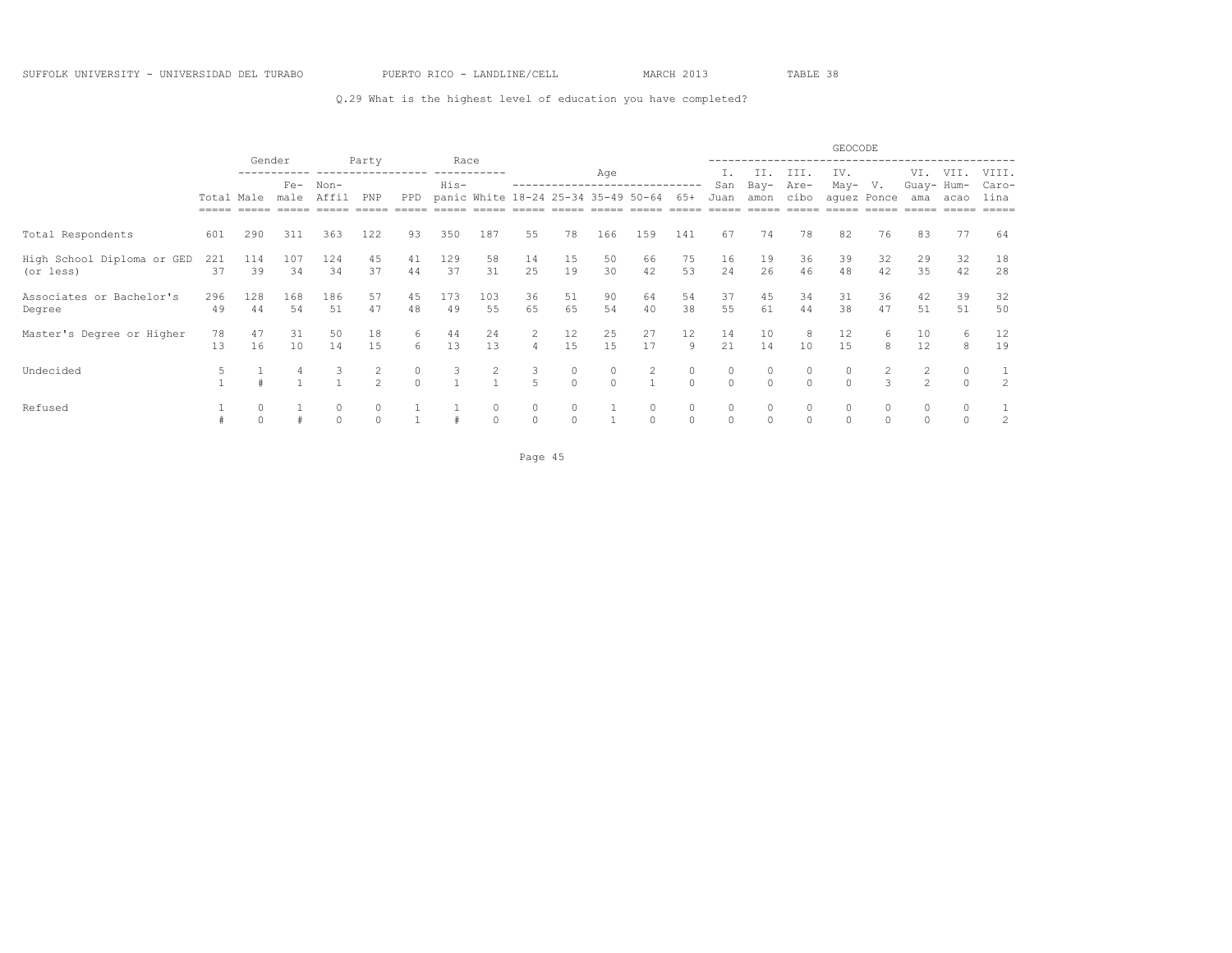### Q.29 What is the highest level of education you have completed?

|                            |                     | Gender<br>Race |       |               |                            |          |        |          |                |                                     |              |                |          |          |          |              | GEOCODE  |             |                |          |                 |
|----------------------------|---------------------|----------------|-------|---------------|----------------------------|----------|--------|----------|----------------|-------------------------------------|--------------|----------------|----------|----------|----------|--------------|----------|-------------|----------------|----------|-----------------|
|                            |                     |                |       |               | Party<br>----------------- |          |        |          |                |                                     | Age          |                |          |          | II.      | III.         | IV.      |             | VI.            | VII.     | VIII.           |
|                            |                     |                | $Fe-$ | Non-<br>Affil | PNP                        |          | $His-$ |          |                |                                     |              |                | 65+      | San      | Bay-     | Are-<br>cibo | May-     | V.          | Guay- Hum-     |          | Caro-           |
|                            | Total Male<br>===== |                | male  |               |                            | PPD      |        |          |                | panic White 18-24 25-34 35-49 50-64 |              |                |          | Juan     | amon     |              |          | aquez Ponce | ama            | acao     | lina<br>$=====$ |
| Total Respondents          | 601                 | 290            | 311   | 363           | 122                        | 93       | 350    | 187      | 55             | 78                                  | 166          | 159            | 141      | 67       | 74       | 78           | 82       | 76          | 83             | 77       | 64              |
| High School Diploma or GED | 221                 | 114            | 107   | 124           | 45                         | 41       | 129    | 58       | 14             | 15                                  | 50           | 66             | 75       | 16       | 19       | 36           | 39       | 32          | 29             | 32       | 18              |
| (or less)                  | 37                  | 39             | 34    | 34            | 37                         | 44       | 37     | 31       | 25             | 19                                  | 30           | 42             | 53       | 2.4      | 26       | 46           | 48       | 42          | 35             | 42       | 28              |
| Associates or Bachelor's   | 296                 | 128            | 168   | 186           | 57                         | 45       | 173    | 103      | 36             | 51                                  | 90           | 64             | 54       | 37       | 45       | 34           | 31       | 36          | 42             | 39       | 32              |
| Degree                     | 49                  | 44             | 54    | 51            | 47                         | 48       | 49     | 55       | 65             | 65                                  | 54           | 40             | 38       | 55       | 61       | 44           | 38       | 47          | 51             | 51       | 50              |
| Master's Degree or Higher  | 78                  | 47             | 31    | 50            | 18                         | 6        | 44     | 24       | 2              | 12                                  | 25           | 27             | 12       | 14       | 10       | 8            | 12       | 6           | 10             | 6        | 12              |
|                            | 13                  | 16             | 10    | 14            | 15                         | 6        | 13     | 13       | $\overline{4}$ | 15                                  | 15           | 17             | 9        | 21       | 14       | 10           | 15       | 8           | 12             | 8        | 19              |
| Undecided                  | 5                   |                |       |               | 2                          | $\circ$  | 3      |          | 3              | 0                                   | $\circ$      | $\overline{2}$ | $\circ$  | 0        | $\circ$  | $\circ$      | $\circ$  |             | 2              |          | 1               |
|                            |                     |                |       |               | $\mathfrak{D}$             | $\Omega$ |        |          | $\overline{5}$ | $\Omega$                            | $\Omega$     |                | $\Omega$ | $\Omega$ | $\Omega$ | $\Omega$     | $\Omega$ | 3           | $\mathfrak{D}$ | $\Omega$ | $\overline{2}$  |
| Refused                    |                     | 0              |       | 0             | 0                          |          |        | 0        | $\circ$        | $\circ$                             |              | 0              | $\circ$  | $\circ$  | 0        | $\circ$      | $\circ$  |             | 0              |          |                 |
|                            |                     |                |       | $\Omega$      | $\Omega$                   |          |        | $\Omega$ | $\circ$        | $\circ$                             | $\mathbf{1}$ | $\Omega$       | $\circ$  | $\Omega$ | $\Omega$ | $\Omega$     | $\circ$  | $\Omega$    | $\Omega$       | $\Omega$ | 2               |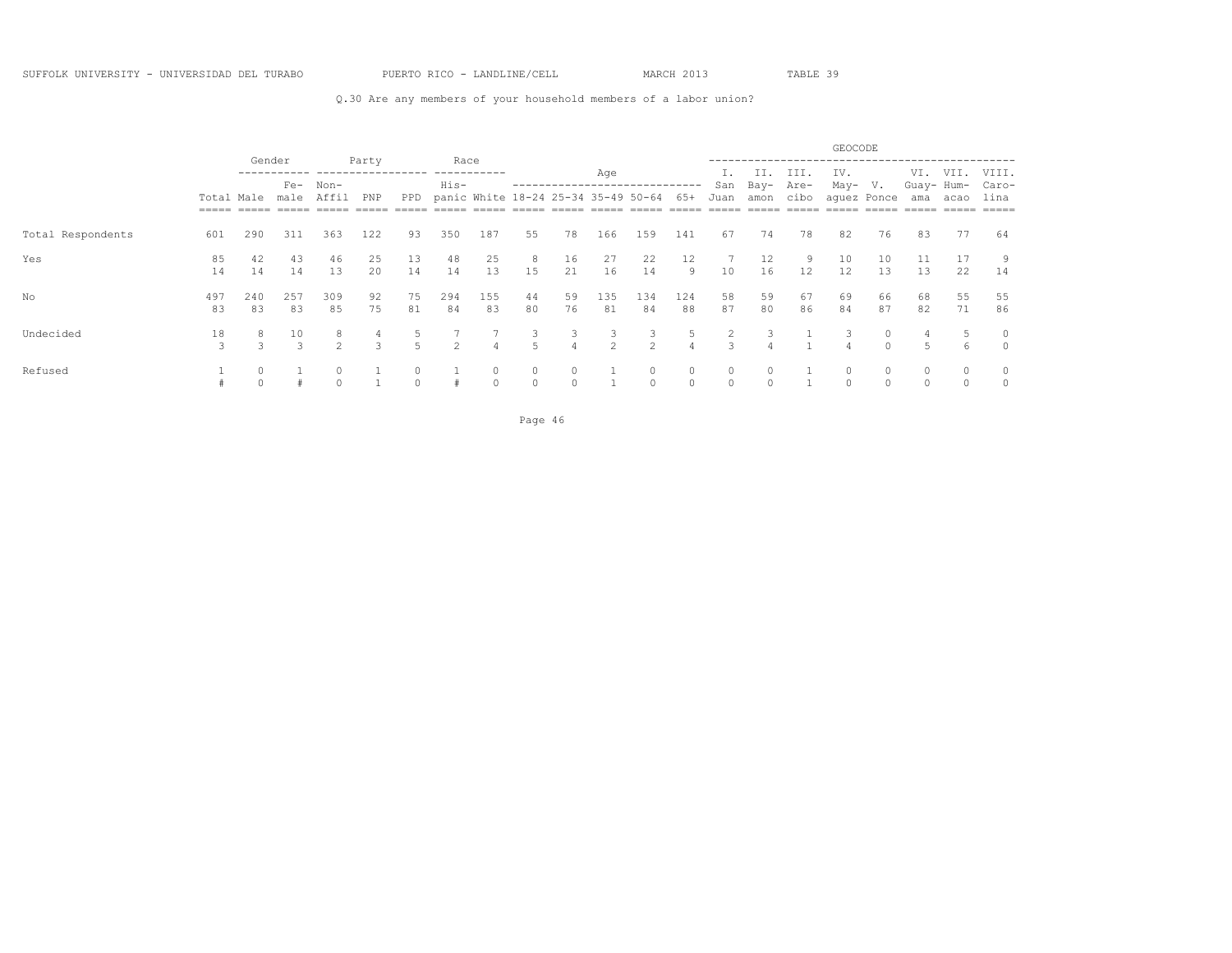### Q.30 Are any members of your household members of a labor union?

|                   |                                   |                     |                                 |                     |          |          |                |                     |          |                          |                     |                                     |                     |                      |              |              | GEOCODE              |                                    |                   |          |                    |
|-------------------|-----------------------------------|---------------------|---------------------------------|---------------------|----------|----------|----------------|---------------------|----------|--------------------------|---------------------|-------------------------------------|---------------------|----------------------|--------------|--------------|----------------------|------------------------------------|-------------------|----------|--------------------|
|                   |                                   |                     | Gender<br>$Fe-$<br>Non-<br>male |                     | Party    |          | Race<br>His-   |                     |          | ------------------------ | Age                 |                                     |                     | San                  | -II.<br>Bay- | III.<br>Are- | IV.<br>May-          | V.                                 | VI.<br>Guay- Hum- | VII.     | VIII.<br>Caro-     |
|                   | Total Male<br>$=$ $=$ $=$ $=$ $=$ |                     |                                 | Affil               | PNP      | PPD      |                |                     |          |                          |                     | panic White 18-24 25-34 35-49 50-64 | 65+                 | Juan                 | amon         | cibo         | $=====$              | aquez Ponce<br>$=$ $=$ $=$ $=$ $=$ | ama               | acao     | lina<br>$=====$    |
| Total Respondents | 601                               | 290                 | 311                             | 363                 | 122      | 93       | 350            | 187                 | 55       | 78                       | 166                 | 159                                 | 141                 | 67                   | 74           | 78           | 82                   | 76                                 | 83                | 77       | 64                 |
| Yes               | 85<br>14                          | 42<br>14            | 43<br>14                        | 46<br>13            | 25<br>20 | 13<br>14 | 48<br>14       | 25<br>13            | 8<br>15  | 16<br>21                 | 27<br>16            | 22<br>14                            | 12<br>9             | 10                   | 12<br>16     | 9<br>12      | 10<br>12             | 10<br>13                           | 13                | 17<br>22 | 9<br>14            |
| No                | 497<br>83                         | 240<br>83           | 257<br>83                       | 309<br>85           | 92<br>75 | 75<br>81 | 294<br>84      | 155<br>83           | 44<br>80 | 59<br>76                 | 135<br>81           | 134<br>84                           | 124<br>88           | 58<br>87             | 59<br>80     | 67<br>86     | 69<br>84             | 66<br>87                           | 68<br>82          | 55<br>71 | 55<br>86           |
| Undecided         | 18<br>3                           | 8.<br>$\mathcal{L}$ | 10<br>3                         | 8<br>$\overline{2}$ | 3        |          | $\mathfrak{D}$ | 4                   | 3<br>5   | 3<br>4                   | 3<br>$\overline{2}$ | 3<br>2                              | 5<br>4              | 3                    | 3<br>4       |              | 3<br>4               |                                    | 5                 | 6        | 0<br>$\circ$       |
| Refused           |                                   |                     |                                 |                     |          |          |                | $\circ$<br>$\Omega$ | $\Omega$ | $\circ$<br>$\Omega$      |                     | $\circ$<br>$\Omega$                 | $\circ$<br>$\Omega$ | $\circ$<br>$\bigcap$ | 0            |              | $\circ$<br>$\bigcap$ |                                    | 0<br>$\Omega$     |          | $\circ$<br>$\circ$ |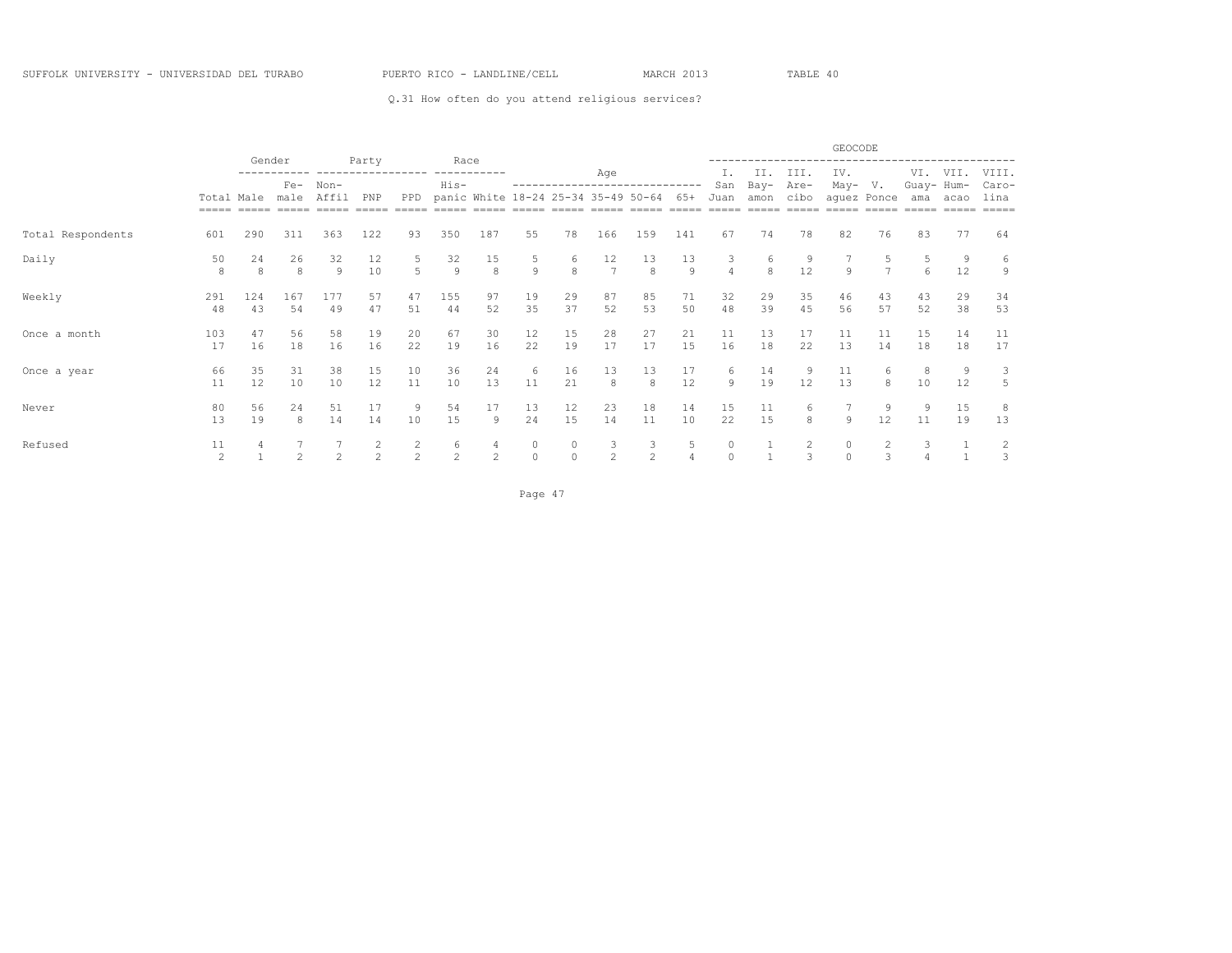### Q.31 How often do you attend religious services?

|                   |                      | Gender    |               |                | Party               |                    | Race                 |                    |                     |               |                     |                                     |                      |               |                             |                             | GEOCODE        |                    |              |              |                 |
|-------------------|----------------------|-----------|---------------|----------------|---------------------|--------------------|----------------------|--------------------|---------------------|---------------|---------------------|-------------------------------------|----------------------|---------------|-----------------------------|-----------------------------|----------------|--------------------|--------------|--------------|-----------------|
|                   |                      |           | $Fe-$         | $Non-$         |                     |                    | His-                 |                    |                     |               | Age                 |                                     |                      | Ι.<br>San     | II.<br>Bay-                 | III.<br>Are-                | IV.<br>May-    | V.                 | VI.<br>Guay- | VII.<br>Hum- | VIII.<br>Caro-  |
|                   | Total Male<br>=====  | $=====$   | male          | Affil          | PNP                 | PPD                |                      |                    |                     |               |                     | panic White 18-24 25-34 35-49 50-64 | 6.5+                 | Juan          | amon<br>$=$ $=$ $=$ $=$ $=$ | cibo<br>$=$ $=$ $=$ $=$ $=$ | $------$       | aquez Ponce        | ama          | acao         | lina<br>$=====$ |
| Total Respondents | 601                  | 290       | 311           | 363            | 122                 | 93                 | 350                  | 187                | 55                  | 78            | 166                 | 159                                 | 141                  | 67            | 74                          | 78                          | 82             | 76                 | 83           | 77           | 64              |
| Daily             | 50<br>8              | 24<br>8   | 26<br>8       | 32<br>9        | 12<br>10            | 5                  | 32<br>$\overline{9}$ | 15<br>8            | 5<br>$\overline{9}$ | 6<br>8        | 12<br>7             | 13<br>8                             | 13<br>$\overline{9}$ | 3<br>4        | 6<br>8                      | 9<br>12                     | $\overline{9}$ | $\overline{7}$     | 5<br>6       | 12           | 6<br>9          |
| Weekly            | 291<br>48            | 124<br>43 | 167<br>54     | 177<br>49      | 57<br>47            | 47<br>51           | 155<br>44            | 97<br>52           | 19<br>35            | 29<br>37      | 87<br>52            | 85<br>53                            | 71<br>50             | 32<br>48      | 29<br>39                    | 35<br>45                    | 46<br>56       | 43<br>57           | 43<br>52     | 29<br>38     | 34<br>53        |
| Once a month      | 103<br>17            | 47<br>16  | 56<br>18      | 58<br>16       | 19<br>16            | 20<br>22           | 67<br>19             | 30<br>16           | 12<br>22            | 15<br>19      | 28<br>17            | 27<br>17                            | 21<br>15             | 11<br>16      | 13<br>18                    | 17<br>22                    | 11<br>13       | 11<br>14           | 15<br>18     | 14<br>18     | 11<br>17        |
| Once a year       | 66<br>11             | 35<br>12  | 31<br>10      | 38<br>10       | 15<br>12            | 10<br>11           | 36<br>10             | 24<br>13           | -6<br>11            | 16<br>21      | 13<br>8             | 13<br>8                             | 17<br>12             | 6<br>9        | 14<br>19                    | 12                          | 11<br>13       | 6<br>8             | 8<br>10      | 9<br>12      | 3<br>5          |
| Never             | 80<br>13             | 56<br>19  | 24<br>8       | 51<br>14       | 17<br>14            | 9<br>10            | 54<br>15             | 17<br>9            | 13<br>24            | 12<br>15      | 23<br>14            | 18<br>11                            | 14<br>10             | 15<br>22      | 11<br>15                    | 6<br>8                      | 9              | 9<br>12            | 9<br>11      | 15<br>19     | 8<br>13         |
| Refused           | 11<br>$\mathfrak{D}$ | 4         | $\mathcal{D}$ | $\mathfrak{D}$ | 2<br>$\mathfrak{D}$ | 2<br>$\mathcal{P}$ | 6<br>$\mathcal{L}$   | 4<br>$\mathcal{P}$ | $\circ$<br>$\Omega$ | 0<br>$\Omega$ | 3<br>$\mathfrak{D}$ | 3<br>$\mathfrak{D}$                 | 5<br>$\overline{4}$  | 0<br>$\Omega$ |                             | $\mathcal{R}$               | 0<br>$\Omega$  | 2<br>$\mathcal{R}$ | 3            |              | 2<br>3          |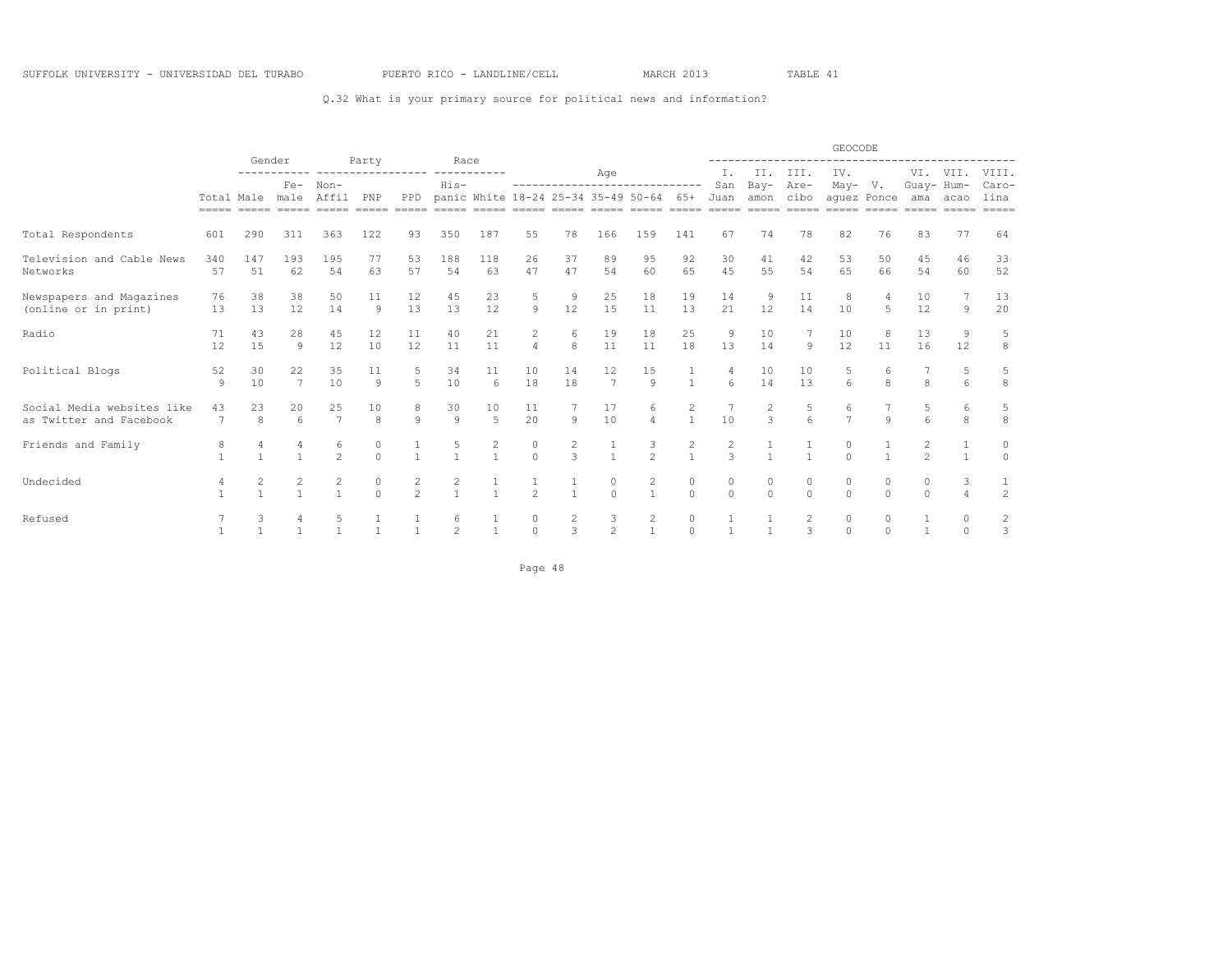### Q.32 What is your primary source for political news and information?

|                                                       |                      | Gender    |                          |                          |                            |                            | Race                |             |                                  |               |                      |                                                                       |                     |                                 |                   |          | GEOCODE                             |          |                                  |                      |                          |
|-------------------------------------------------------|----------------------|-----------|--------------------------|--------------------------|----------------------------|----------------------------|---------------------|-------------|----------------------------------|---------------|----------------------|-----------------------------------------------------------------------|---------------------|---------------------------------|-------------------|----------|-------------------------------------|----------|----------------------------------|----------------------|--------------------------|
|                                                       |                      |           | $Fe-$<br>Total Male male |                          | Party                      | ------                     |                     | ----------- |                                  |               | Age                  |                                                                       |                     | Ι.                              |                   | II. III. | IV.                                 |          |                                  | VI. VII.             | VIII.                    |
|                                                       | $=$ $=$ $=$ $=$ $=$  |           |                          | Non-<br>Affil<br>$=====$ | PNP<br>$=$ $=$ $=$ $=$ $=$ | PPD<br>$=$ $=$ $=$ $=$ $=$ | His-<br>$------$    | $------$    |                                  |               |                      | ------------------------------<br>panic White 18-24 25-34 35-49 50-64 | 65+                 | San<br>Juan<br>$=====$          | Bay-<br>amon cibo | Are-     | $May- V.$<br>aquez Ponce<br>$=====$ |          | Guay- Hum-<br>ama                | acao                 | Caro-<br>lina<br>$=====$ |
| Total Respondents                                     | 601                  | 290       | 311                      | 363                      | 122                        | 93                         | 350                 | 187         | 55                               | 78            | 166                  | 159                                                                   | 141                 | 67                              | 74                | 78       | 82                                  | 76       | 83                               | 77                   | 64                       |
| Television and Cable News<br>Networks                 | 340<br>57            | 147<br>51 | 193<br>62                | 195<br>54                | 77<br>63                   | 53<br>57                   | 188<br>54           | 118<br>63   | 26<br>47                         | 37<br>47      | 89<br>54             | 95<br>60                                                              | 92<br>65            | 30<br>45                        | 41<br>55          | 42<br>54 | 53<br>65                            | 50<br>66 | 45<br>54                         | 46<br>60             | 33<br>52                 |
| Newspapers and Magazines<br>(online or in print)      | 76<br>13             | 38<br>13  | 38<br>12                 | 50<br>14                 | 11<br>$\theta$             | 12<br>13                   | 45<br>13            | 23<br>12    | 5<br>$\circ$                     | -9<br>12      | 25<br>15             | 18<br>11                                                              | 19<br>13            | 14<br>2.1                       | 9<br>12           | 11<br>14 | 8<br>10                             | 5        | 10<br>12                         | $\circ$              | 13<br>20                 |
| Radio                                                 | 71<br>12             | 43<br>15  | 28<br>9                  | 45<br>12                 | 12<br>10                   | 11<br>12                   | 40<br>11            | 21<br>11    | $\overline{c}$<br>$\overline{4}$ | 6<br>8        | 19<br>11             | 18<br>11                                                              | 25<br>18            | 9<br>13                         | 10<br>14          | 9        | 10<br>12                            | 8<br>11  | 13<br>16                         | 9<br>12              | 5<br>8                   |
| Political Blogs                                       | 52<br>9              | 30<br>10  | 22<br>$\overline{7}$     | 35<br>10                 | 11<br>9                    | 5                          | 34<br>10            | 11<br>6     | 10<br>18                         | 14<br>18      | 12<br>$\overline{7}$ | 15<br>$\mathbf{Q}$                                                    | $\mathbf{1}$        | 6                               | 10<br>14          | 10<br>13 | 5<br>6                              | 8        | 8                                |                      | 5<br>8                   |
| Social Media websites like<br>as Twitter and Facebook | 43<br>$\overline{7}$ | 23<br>8   | 20<br>6                  | 25<br>$7\phantom{.0}$    | 10<br>8                    | 9                          | 30<br>9             | 10<br>5     | 11<br>20                         | $\circ$       | 17<br>10             | 6<br>$\overline{4}$                                                   | 2<br>$\mathbf{1}$   | 10                              | 2<br>3            | 5<br>6   | 6<br>$\overline{7}$                 | 9        | 6                                | 6<br>8               | 5<br>8                   |
| Friends and Family                                    |                      |           |                          | 6<br>$\mathcal{L}$       | $\Omega$                   |                            |                     |             | $\circ$<br>$\Omega$              | $\mathcal{L}$ | $\mathbf{1}$         | 3<br>$2^{1}$                                                          | 2<br>$\mathbf{1}$   | $\overline{c}$<br>$\mathcal{L}$ |                   |          | $\Omega$<br>$\cap$                  |          | $\mathfrak{D}$<br>$\mathfrak{D}$ |                      | 0<br>$\Omega$            |
| Undecided                                             |                      |           |                          |                          | 0<br>$\Omega$              | 2<br>$\mathfrak{D}$        | 2<br>$\overline{1}$ |             | $\overline{2}$                   |               | 0<br>$\Omega$        | 2<br>$\mathbf{1}$                                                     | $\circ$<br>$\Omega$ | 0<br>$\Omega$                   | 0<br>$\Omega$     | $\Omega$ | $\cap$<br>$\Omega$                  | $\Omega$ | $\cap$<br>$\Omega$               | 3<br>4               | 2                        |
| Refused                                               |                      |           |                          |                          |                            |                            | $\mathfrak{D}$      |             | $\circ$<br>$\Omega$              | 2<br>3        | 3<br>$\overline{c}$  | 2                                                                     | $\circ$<br>$\Omega$ |                                 |                   | २        | $\circ$<br>$\Omega$                 | $\cap$   |                                  | $\Omega$<br>$\Omega$ | 2<br>3                   |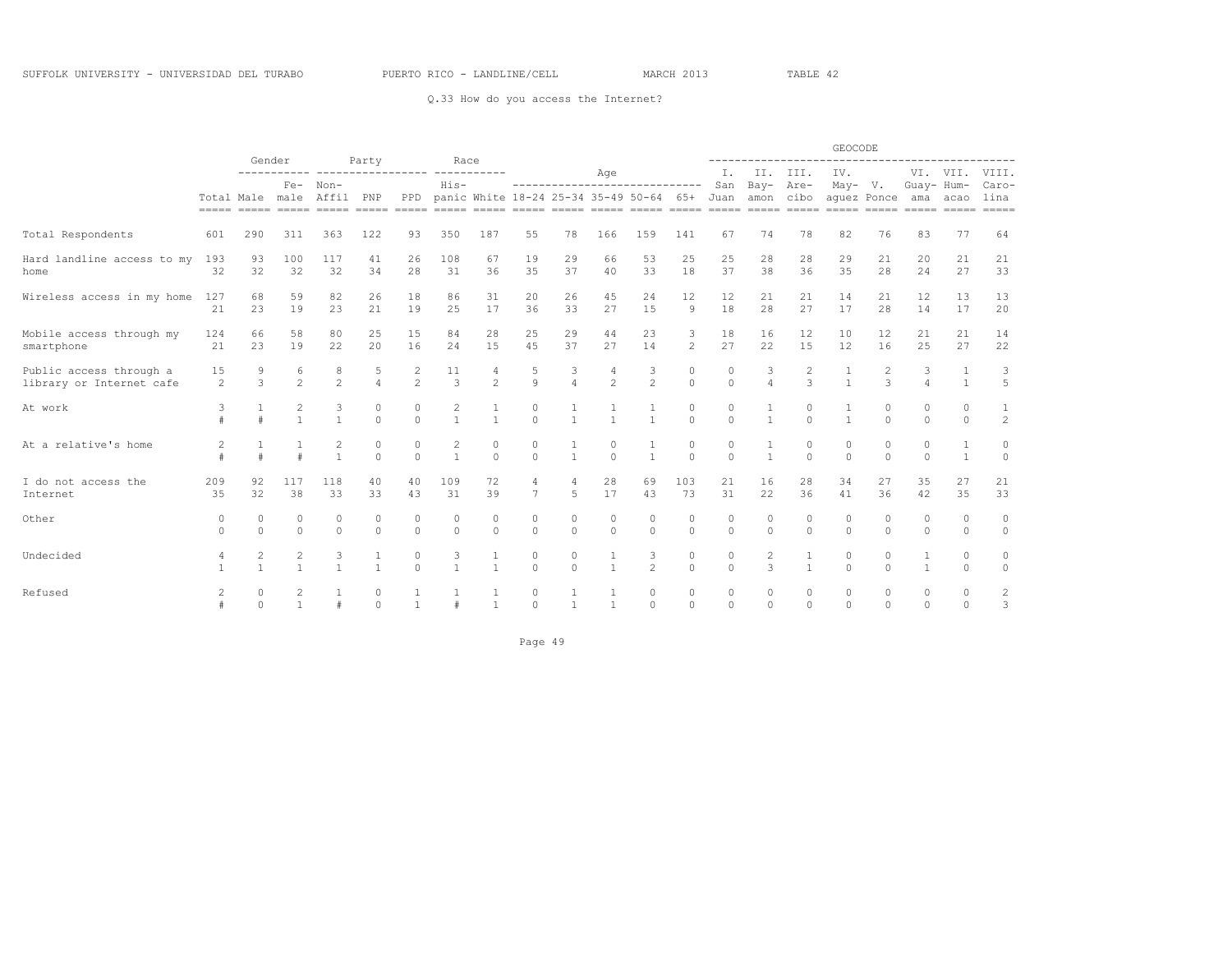Q.33 How do you access the Internet?

|                                                     |                     |                     | Gender                         |                                                                                                                             |                     |                     | Race                             |                     |                     |                                  |                          |                                         |                     |                     |                              |                         | GEOCODE             |                          |                      |                      |                                             |
|-----------------------------------------------------|---------------------|---------------------|--------------------------------|-----------------------------------------------------------------------------------------------------------------------------|---------------------|---------------------|----------------------------------|---------------------|---------------------|----------------------------------|--------------------------|-----------------------------------------|---------------------|---------------------|------------------------------|-------------------------|---------------------|--------------------------|----------------------|----------------------|---------------------------------------------|
|                                                     |                     |                     | $Fe-$                          | ------------------<br>Non-                                                                                                  | Party               |                     | $His-$                           |                     |                     |                                  | Age                      | ------------------------------          |                     | Ι.<br>San           | Bay-                         | II. III.<br>Are-        | IV.<br>May- V.      |                          | Guay- Hum-           | VI. VII.             | VIII.<br>Caro-                              |
|                                                     |                     |                     | Total Male male                | Affil<br><u>soona anang anang anang anang anang anang anang anang anang anang anang anang anang anang anang anang anang</u> | PNP                 | PPD                 |                                  |                     |                     |                                  |                          | panic White 18-24 25-34 35-49 50-64 65+ |                     | Juan                | amon cibo                    |                         |                     | aquez Ponce              | ama<br>$=====$       | acao<br>$=====$      | lina<br>$= \qquad \qquad = \qquad = \qquad$ |
| Total Respondents                                   | 601                 | 290                 | 311                            | 363                                                                                                                         | 122                 | 93                  | 350                              | 187                 | 55                  | 78                               | 166                      | 159                                     | 141                 | 67                  | 74                           | 78                      | 82                  | 76                       | 83                   | 77                   | 64                                          |
| Hard landline access to my<br>home                  | 193<br>32           | 93<br>32            | 100<br>32                      | 117<br>32                                                                                                                   | 41<br>34            | 26<br>28            | 108<br>31                        | 67<br>36            | 19<br>35            | 29<br>37                         | 66<br>40                 | 53<br>33                                | 25<br>18            | 25<br>37            | 28<br>38                     | 28<br>36                | 29<br>35            | 21<br>28                 | 20<br>24             | 21<br>27             | 21<br>33                                    |
| Wireless access in my home                          | 127<br>21           | 68<br>23            | 59<br>19                       | 82<br>23                                                                                                                    | 26<br>2.1           | 18<br>19            | 86<br>25                         | 31<br>17            | 20<br>36            | 26<br>33                         | 45<br>27                 | 24<br>1.5                               | 12<br>$\circ$       | 12<br>18            | 21<br>2.8                    | 21<br>27                | 14<br>17            | 21<br>2.8                | 12<br>14             | 13<br>17             | 13<br>20                                    |
| Mobile access through my<br>smartphone              | 124<br>21           | 66<br>23            | 58<br>19                       | 80<br>22                                                                                                                    | 25<br>20            | 15<br>16            | 84<br>24                         | 28<br>15            | 25<br>45            | 29<br>37                         | 44<br>27                 | 23<br>14                                | 3<br>$\overline{2}$ | 18<br>27            | 16<br>22                     | 12<br>15                | 10<br>12            | 12<br>16                 | 21<br>2.5            | 21<br>27             | 14<br>22                                    |
| Public access through a<br>library or Internet cafe | 15<br>2             | 9<br>3              | 6<br>$\overline{c}$            | 8<br>$\overline{2}$                                                                                                         | 5<br>$\overline{4}$ | 2<br>$\overline{c}$ | 11<br>3                          | 4<br>$\overline{c}$ | 5<br>$\circ$        | 3<br>$\overline{4}$              | 4<br>$\overline{c}$      | 3<br>$\overline{c}$                     | 0<br>$\circ$        | $\circ$<br>$\circ$  | 3<br>$\overline{4}$          | $\mathbf{2}$<br>3       | 1<br>$\overline{1}$ | $\overline{2}$<br>3      | 3<br>$\overline{4}$  | $\mathbf{1}$         | 3<br>5                                      |
| At work                                             | 3                   | $\pm$               | $\overline{c}$<br>$\mathbf{1}$ | 3<br>$\mathbf{1}$                                                                                                           | 0<br>$\Omega$       | 0<br>$\Omega$       | $\overline{c}$<br>$\overline{1}$ | $\overline{1}$      | $\circ$<br>$\Omega$ | $\mathbf{1}$                     | $\mathbf{1}$             | $\mathbf{1}$                            | $\circ$<br>$\Omega$ | $\circ$<br>$\Omega$ | $\mathbf{1}$                 | $\mathbb O$<br>$\Omega$ | $\overline{1}$      | $\mathbf{0}$<br>$\Omega$ | $\circ$<br>$\Omega$  | $\circ$<br>$\Omega$  | $1\,$<br>2                                  |
| At a relative's home                                | 2                   | $\pm$               |                                | 2<br>$\mathbf{1}$                                                                                                           | $\circ$<br>$\circ$  | 0<br>$\circ$        | 2<br>$\overline{1}$              | 0<br>$\Omega$       | 0<br>$\Omega$       | 1<br>$\overline{1}$              | $\mathbf{0}$<br>$\Omega$ | 1<br>$\mathbf{1}$                       | $\circ$<br>$\circ$  | $\circ$<br>$\Omega$ | $\mathbf{1}$<br>$\mathbf{1}$ | 0<br>$\Omega$           | 0<br>$\circ$        | $\circ$<br>$\Omega$      | $\Omega$<br>$\Omega$ | 1<br>$\mathbf{1}$    | 0<br>$\circ$                                |
| I do not access the<br>Internet                     | 209<br>35           | 92<br>32            | 117<br>38                      | 118<br>33                                                                                                                   | 40<br>33            | 40<br>43            | 109<br>31                        | 72<br>39            | 4<br>7              | $\overline{4}$<br>$\overline{5}$ | 28<br>17                 | 69<br>43                                | 103<br>73           | 21<br>31            | 16<br>22                     | 28<br>36                | 34<br>41            | 27<br>36                 | 35<br>42             | 27<br>35             | 21<br>33                                    |
| Other                                               | $\circ$<br>$\Omega$ | 0<br>$\Omega$       | $\circ$<br>$\Omega$            | 0<br>$\Omega$                                                                                                               | 0<br>$\Omega$       | 0<br>$\Omega$       | $\circ$<br>$\Omega$              | 0<br>$\Omega$       | $\circ$<br>$\circ$  | 0<br>$\Omega$                    | 0<br>$\Omega$            | 0<br>$\Omega$                           | $\circ$<br>$\Omega$ | $\circ$<br>$\Omega$ | $\circ$<br>$\Omega$          | $\circ$<br>$\Omega$     | $\circ$<br>$\circ$  | $\circ$<br>$\Omega$      | $\Omega$<br>$\Omega$ | $\Omega$<br>$\Omega$ | $\circ$<br>$\circ$                          |
| Undecided                                           | 4<br>$\overline{1}$ | 2<br>$\mathbf{1}$   | $\overline{2}$<br>$\mathbf{1}$ | 3<br>$\mathbf{1}$                                                                                                           | 1<br>$\mathbf{1}$   | 0<br>$\Omega$       | 3<br>$\mathbf{1}$                | 1<br>$\mathbf{1}$   | $\circ$<br>$\Omega$ | $\circ$<br>$\Omega$              | 1<br>$\mathbf{1}$        | 3<br>2                                  | $\circ$<br>$\Omega$ | $\circ$<br>$\Omega$ | 2<br>3                       | 1<br>$\mathbf{1}$       | $\circ$<br>$\Omega$ | $\circ$<br>$\bigcap$     | 1                    | 0<br>$\Omega$        | 0<br>$\circ$                                |
| Refused                                             | $\overline{c}$      | $\circ$<br>$\Omega$ | $\overline{2}$<br>$\mathbf{1}$ | #                                                                                                                           | 0<br>$\Omega$       | 1<br>$\mathbf{1}$   |                                  | $\mathbf{1}$        | $\circ$<br>$\Omega$ | 1<br>$\mathbf{1}$                | 1<br>$\mathbf{1}$        | 0<br>$\Omega$                           | $\circ$<br>$\Omega$ | $\circ$<br>$\Omega$ | $\circ$<br>$\Omega$          | $\Omega$<br>$\Omega$    | $\circ$<br>$\Omega$ | $\circ$<br>$\Omega$      | $\circ$<br>$\Omega$  | $\Omega$<br>$\Omega$ | 2<br>3                                      |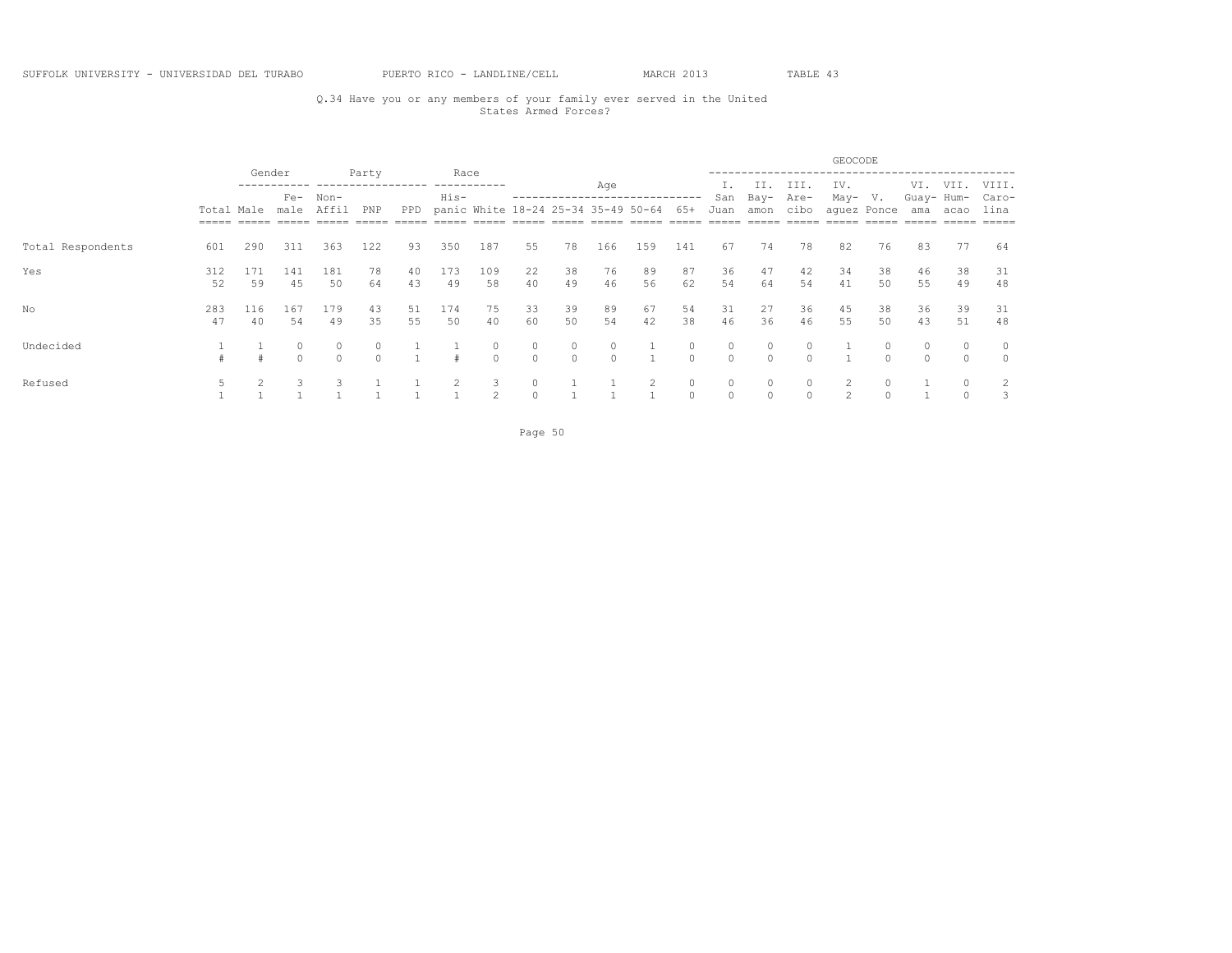## Q.34 Have you or any members of your family ever served in the United States Armed Forces?

|                   |                       |           |                                          |                   |          |          |              |               |                                     |               |               |          |                     |          |              |              | GEOCODE       |             |                   |          |                     |
|-------------------|-----------------------|-----------|------------------------------------------|-------------------|----------|----------|--------------|---------------|-------------------------------------|---------------|---------------|----------|---------------------|----------|--------------|--------------|---------------|-------------|-------------------|----------|---------------------|
|                   |                       |           | Gender<br>$Fe-$<br>$Non-$<br>male<br>311 |                   | Party    |          | Race<br>His- | ----------    |                                     |               | Age           |          |                     | San      | II.<br>Bay-  | III.<br>Are- | IV.<br>May-   | V.          | VI.<br>Guay- Hum- | VII.     | VIII.<br>Caro-      |
|                   | Total Male<br>$=====$ |           |                                          | Affil             | PNP      | PPD      |              |               | panic White 18-24 25-34 35-49 50-64 |               |               |          | 65+                 | Juan     | amon         | cibo         |               | aquez Ponce | ama               | acao     | lina<br>=====       |
| Total Respondents | 601                   | 290       |                                          | 363               | 122      | 93       | 350          | 187           | 55                                  | 78            | 166           | 159      | 141                 | 67       | 74           | 78           | 82            | 76          | 83                | 77       | 64                  |
| Yes               | 312<br>52             | 171<br>59 | 141<br>45                                | 181<br>50         | 78<br>64 | 40<br>43 | 173<br>49    | 109<br>58     | 22<br>40                            | 38<br>49      | 76<br>46      | 89<br>56 | 87<br>62            | 36<br>54 | 47<br>64     | 42<br>54     | 34<br>41      | 38<br>50    | 46<br>55          | 38<br>49 | 31<br>48            |
| No                | 283<br>47             | 116<br>40 | 167<br>54                                | 179<br>49         | 43<br>35 | 51<br>55 | 174<br>50    | 75<br>40      | 33<br>60                            | 39<br>50      | 89<br>54      | 67<br>42 | 54<br>38            | 31<br>46 | 27<br>36     | 36<br>46     | 45<br>55      | 38<br>50    | 36<br>43          | 39<br>51 | 31<br>48            |
| Undecided         |                       |           | $\cap$                                   | $\circ$<br>$\cap$ | $\cap$   |          | $\pm$        | 0<br>$\Omega$ | 0<br>$\circ$                        | 0<br>$\Omega$ | 0<br>$\Omega$ |          | 0<br>$\Omega$       | $\Omega$ | 0<br>$\circ$ | $\cap$       |               |             |                   | $\Omega$ | $\circ$<br>$\Omega$ |
| Refused           |                       |           |                                          |                   |          |          |              | 3<br>2        | $\circ$                             |               |               |          | $\circ$<br>$\Omega$ |          | 0<br>$\circ$ |              | $\mathcal{D}$ |             |                   |          | 2<br>3              |

Page 50 and the state of the state of the state of the state of the state of the state of the state of the state of the state of the state of the state of the state of the state of the state of the state of the state of th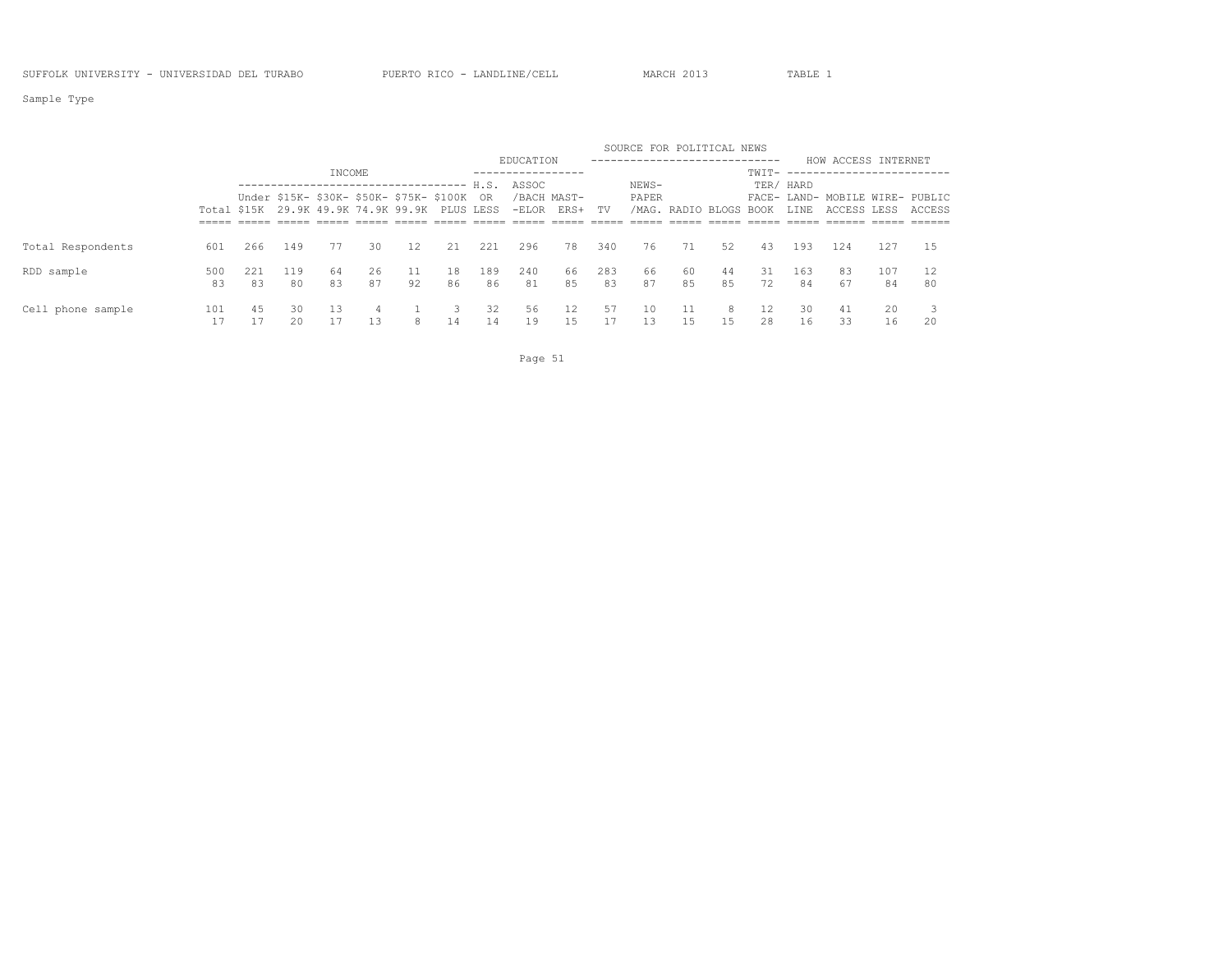Sample Type

|                   |     |     |     |        |                                                                                              |                 |    |     |               |                        |     | SOURCE FOR POLITICAL NEWS |                        |    |              |           |                                                |     |        |
|-------------------|-----|-----|-----|--------|----------------------------------------------------------------------------------------------|-----------------|----|-----|---------------|------------------------|-----|---------------------------|------------------------|----|--------------|-----------|------------------------------------------------|-----|--------|
|                   |     |     |     |        |                                                                                              |                 |    |     | EDUCATION     |                        |     |                           |                        |    |              |           | HOW ACCESS INTERNET                            |     |        |
|                   |     |     |     | INCOME |                                                                                              |                 |    |     | ------------- |                        |     |                           |                        |    | $TWTT-$ ---- |           |                                                |     |        |
|                   |     |     |     |        | .------------------------------ H.S.                                                         |                 |    |     | ASSOC         |                        |     | NEWS-                     |                        |    |              | TER/ HARD |                                                |     |        |
|                   |     |     |     |        | Under \$15K- \$30K- \$50K- \$75K- \$100K OR<br>Total \$15K 29.9K 49.9K 74.9K 99.9K PLUS LESS |                 |    |     | $-ELOR$       | /BACH MAST-<br>ERS+ TV |     | PAPER                     | /MAG. RADIO BLOGS BOOK |    |              | LINE      | FACE- LAND- MOBILE WIRE- PUBLIC<br>ACCESS LESS |     | ACCESS |
|                   |     |     |     |        |                                                                                              |                 |    |     |               |                        |     |                           |                        |    |              |           |                                                |     |        |
| Total Respondents | 601 | 266 | 149 | 77     | 30                                                                                           | 12 <sup>°</sup> | 21 | 221 | 296           | 78                     | 340 | 76                        | 71                     | 52 | 43           | 193       | 124                                            | 127 | -1.5   |
| RDD sample        | 500 | 221 | 119 | 64     | 26                                                                                           | 11              | 18 | 189 | 240           | 66                     | 283 | 66                        | 60                     | 44 | 31.          | 163       | 83                                             | 107 | 12     |
|                   | 83  | 83  | 80  | 83     | 87                                                                                           | 92              | 86 | 86  | 81            | 85                     | 83  | 87                        | 85                     | 85 | 72           | 84        | 67                                             | 84  | 80     |
| Cell phone sample | 101 | 45  | 30  | 13     | $\overline{4}$                                                                               |                 |    | 32  | 56            | 12                     | 57  | 10                        | 11                     | 8  | 12           | 30.       | 41                                             | 20  |        |
|                   |     |     | 20  |        | 13                                                                                           | 8               | 14 | 14  | 19            | 15                     |     | 13                        | 15                     | 15 | 28           | 16        | 33                                             | 16  | 20     |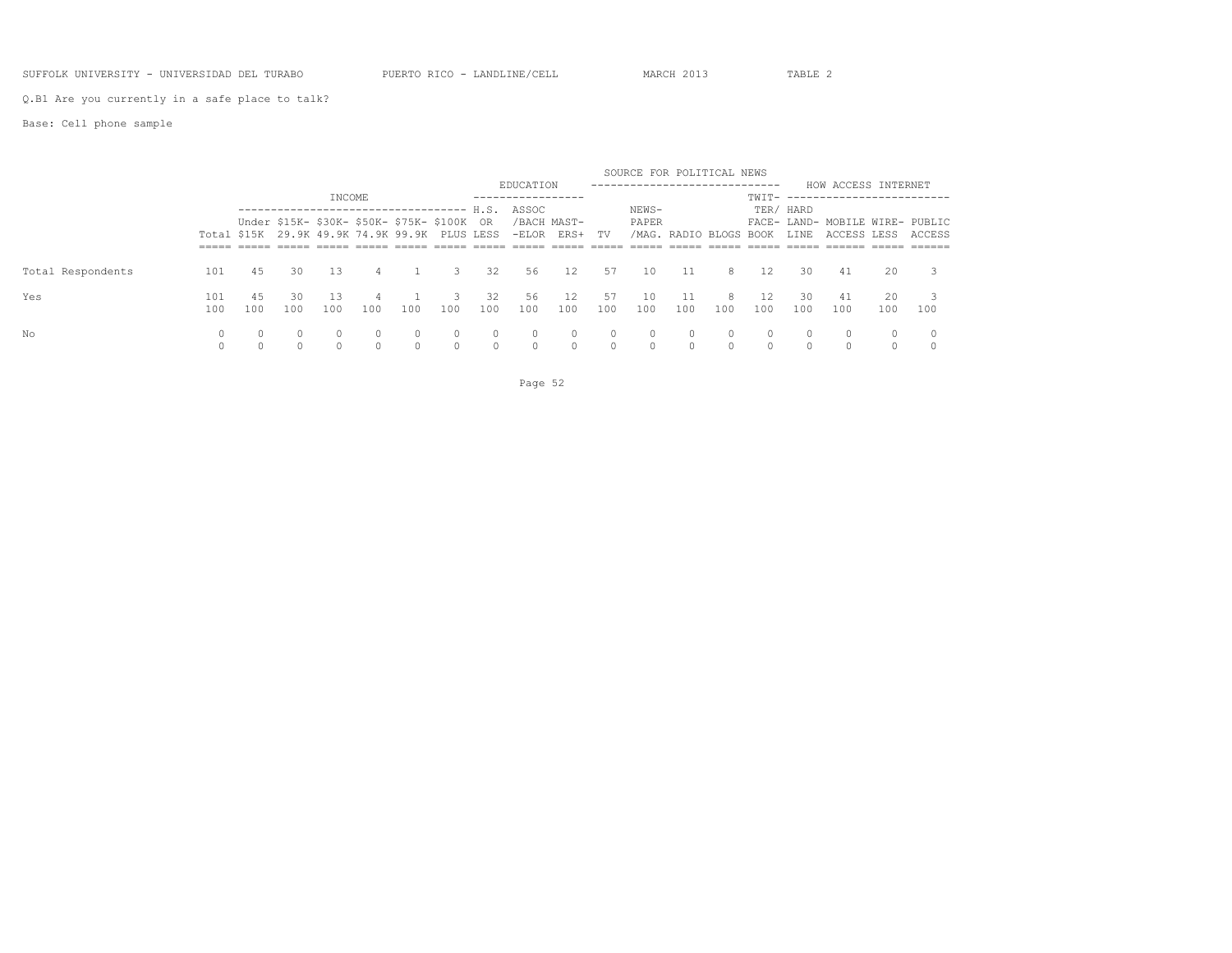#### SUFFOLK UNIVERSITY - UNIVERSIDAD DEL TURABO PUERTO RICO - LANDLINE/CELL MARCH 2013 TABLE 2

Q.B1 Are you currently in a safe place to talk?

### Base: Cell phone sample

|                   |            |           |           |          |     |     |                                                                                           |                      | EDUCATION          |                              |                     | SOURCE FOR POLITICAL NEWS<br>---------------------------- |                        |          |                      |                      | HOW ACCESS INTERNET                            |           |        |
|-------------------|------------|-----------|-----------|----------|-----|-----|-------------------------------------------------------------------------------------------|----------------------|--------------------|------------------------------|---------------------|-----------------------------------------------------------|------------------------|----------|----------------------|----------------------|------------------------------------------------|-----------|--------|
|                   |            |           |           | INCOME   |     |     |                                                                                           |                      | ASSOC              |                              |                     | NEWS-                                                     |                        |          | TWIT-                | TER/ HARD            |                                                |           |        |
|                   |            |           |           |          |     |     | Under \$15K- \$30K- \$50K- \$75K- \$100K<br>Total \$15K 29.9K 49.9K 74.9K 99.9K PLUS LESS | - OR                 |                    | /BACH MAST-<br>-ELOR ERS+ TV |                     | PAPER                                                     | /MAG. RADIO BLOGS BOOK |          |                      | LINE                 | FACE- LAND- MOBILE WIRE- PUBLIC<br>ACCESS LESS |           | ACCESS |
|                   |            |           |           |          |     |     |                                                                                           |                      |                    |                              |                     |                                                           |                        |          |                      |                      |                                                |           |        |
| Total Respondents | 101        | 45        | 30        | 13       | 4   |     | 3                                                                                         | 32                   | 56                 | 12                           | 57                  | 10                                                        | 11                     | 8        | 12.                  | 30                   | 41                                             | 20        |        |
| Yes               | 101<br>100 | 45<br>100 | 30<br>100 | 100      | 100 | 100 | 100                                                                                       | 32<br>100            | 56<br>100          | 12<br>100                    | 57<br>100           | 10<br>100                                                 | 11<br>100              | 8<br>100 | 100                  | 30.<br>100           | 41<br>100                                      | 20<br>100 | 100    |
| No                |            |           |           | $\Omega$ |     |     |                                                                                           | $\Omega$<br>$\Omega$ | $\Omega$<br>$\cap$ | $\circ$<br>$\Omega$          | $\circ$<br>$\Omega$ | 0                                                         | 0<br>$\cap$            |          | $\Omega$<br>$\Omega$ | $\Omega$<br>$\Omega$ |                                                | $\Omega$  |        |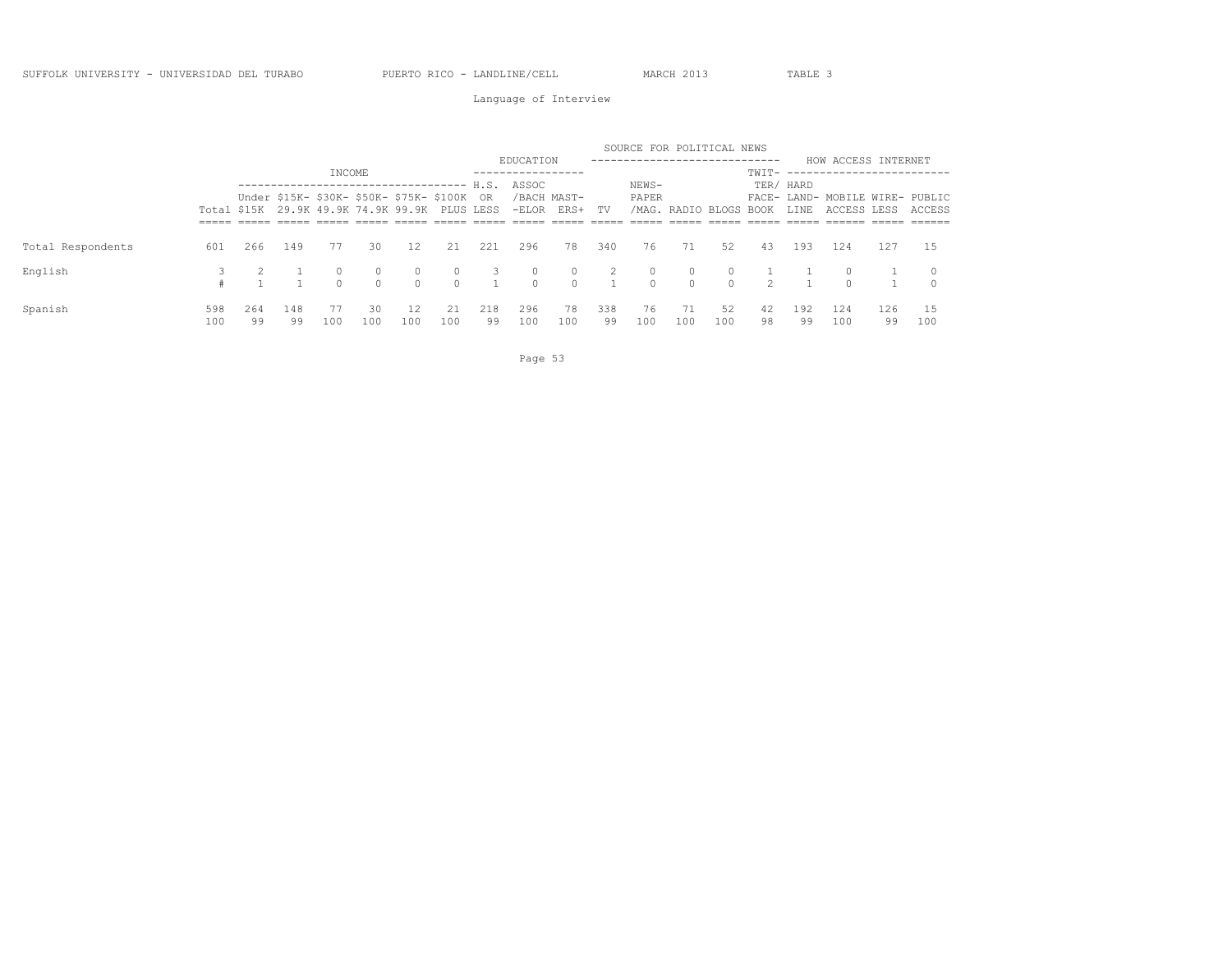Language of Interview

|                   |     |     |                                                                                              |                                 |          |          |         |     |           |                              |                | SOURCE FOR POLITICAL NEWS |                        |          |               |           |                                                |     |          |
|-------------------|-----|-----|----------------------------------------------------------------------------------------------|---------------------------------|----------|----------|---------|-----|-----------|------------------------------|----------------|---------------------------|------------------------|----------|---------------|-----------|------------------------------------------------|-----|----------|
|                   |     |     |                                                                                              |                                 |          |          |         |     | EDUCATION |                              |                |                           |                        |          |               |           | HOW ACCESS INTERNET                            |     |          |
|                   |     |     |                                                                                              | INCOME                          |          |          |         |     |           |                              |                |                           |                        |          | $TWTT-$ ----  |           |                                                |     |          |
|                   |     |     |                                                                                              | -------------------------- H.S. |          |          |         |     | ASSOC     |                              |                | NEWS-                     |                        |          |               | TER/ HARD |                                                |     |          |
|                   |     |     | Under \$15K- \$30K- \$50K- \$75K- \$100K OR<br>Total \$15K 29.9K 49.9K 74.9K 99.9K PLUS LESS |                                 |          |          |         |     |           | /BACH MAST-<br>-ELOR ERS+ TV |                | PAPER                     | /MAG. RADIO BLOGS BOOK |          |               | LINE      | FACE- LAND- MOBILE WIRE- PUBLIC<br>ACCESS LESS |     | ACCESS   |
|                   |     |     |                                                                                              |                                 |          |          |         |     |           |                              |                |                           |                        |          |               |           |                                                |     |          |
| Total Respondents | 601 | 266 | 149                                                                                          | 77                              | 30       | 12       | 21      | 221 | 296       | 78                           | 340            | 76                        | 71                     | 52       | 43            | 193       | 124                                            | 127 | - 1.5    |
| English           |     |     |                                                                                              | $\Omega$                        | $\circ$  | $\circ$  | $\circ$ | 3   | $\circ$   | $\circ$                      | $\overline{2}$ | $\circ$                   | $\Omega$               |          |               |           |                                                |     | $\Omega$ |
|                   |     |     |                                                                                              | $\cap$                          | $\Omega$ | $\Omega$ | $\cap$  |     | $\Omega$  | $\circ$                      |                | $\cap$                    | $\bigcirc$             | $\Omega$ | $\mathcal{P}$ |           |                                                |     |          |
| Spanish           | 598 | 264 | 148                                                                                          | 77                              | 30       | 12       | -21     | 218 | 296       | 78                           | 338            | 76                        | 71                     | 52       | 42            | 192       | 124                                            | 126 |          |
|                   | 100 | 99  | 99                                                                                           | 100                             | 100      | 100      | 100     | 99  | 100       | 100                          | 99             | 100                       | 100                    | 100      | 98            | 99        | 100                                            | 99  | 100      |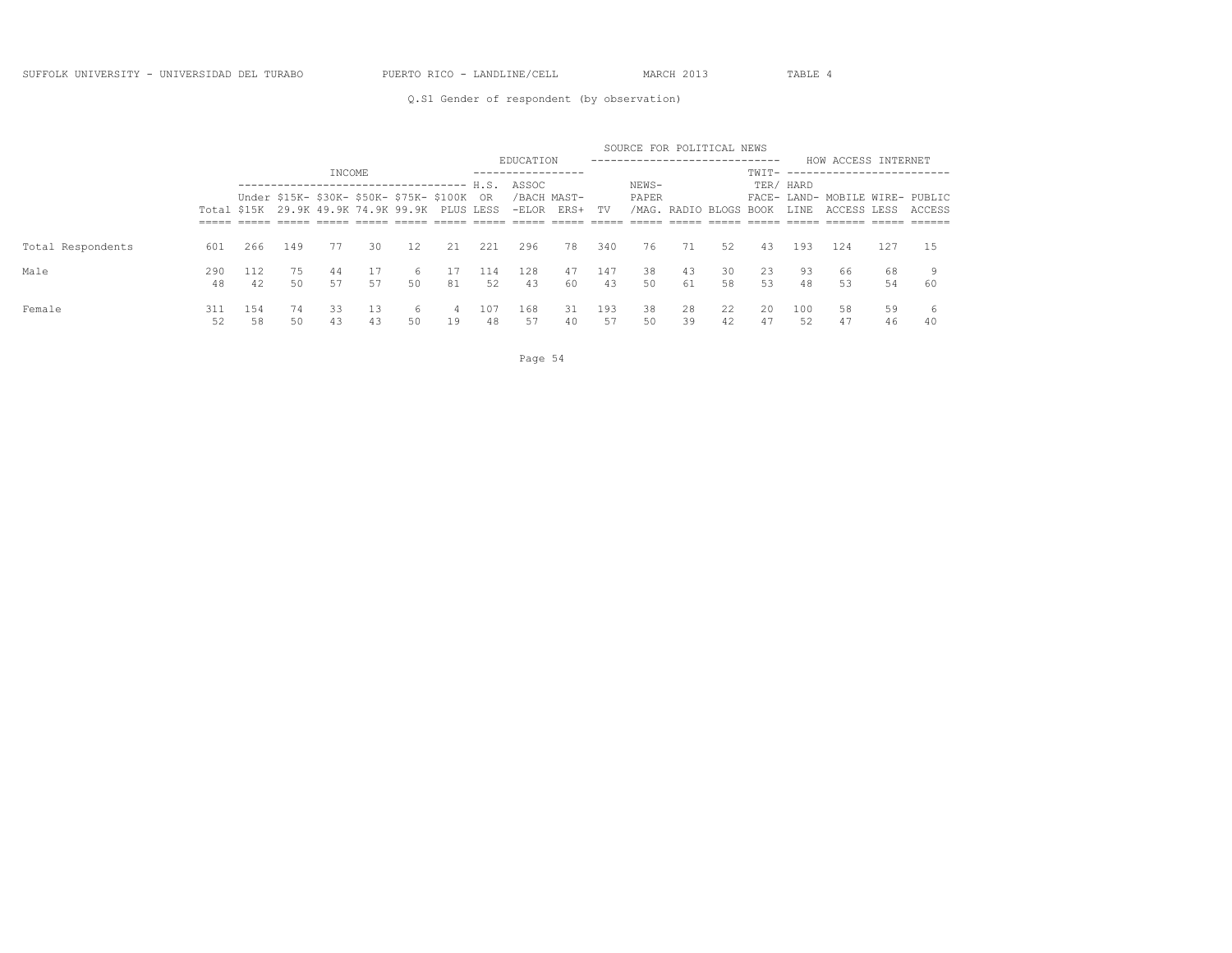### Q.S1 Gender of respondent (by observation)

|                   |     |     |     |                                               |    |    |    |      |                      |      |           | SOURCE FOR POLITICAL NEWS  |                        |    |       |           |                                 |     |        |
|-------------------|-----|-----|-----|-----------------------------------------------|----|----|----|------|----------------------|------|-----------|----------------------------|------------------------|----|-------|-----------|---------------------------------|-----|--------|
|                   |     |     |     |                                               |    |    |    |      | EDUCATION            |      |           | -------------------------- |                        |    |       |           | HOW ACCESS INTERNET             |     |        |
|                   |     |     |     | INCOME                                        |    |    |    |      | -----------------    |      |           |                            |                        |    | TWIT- |           | -------------                   |     |        |
|                   |     |     |     | Under \$15K- \$30K- \$50K- \$75K- \$100K OR   |    |    |    | H.S. | ASSOC<br>/BACH MAST- |      |           | NEWS-<br>PAPER             |                        |    |       | TER/ HARD | FACE- LAND- MOBILE WIRE- PUBLIC |     |        |
|                   |     |     |     | Total \$15K 29.9K 49.9K 74.9K 99.9K PLUS LESS |    |    |    |      | -ELOR                | ERS+ | <b>TV</b> |                            | /MAG. RADIO BLOGS BOOK |    |       | LINE      | ACCESS LESS                     |     | ACCESS |
|                   |     |     |     |                                               |    |    |    |      |                      |      |           |                            |                        |    |       |           |                                 |     |        |
| Total Respondents | 601 | 266 | 149 | 77                                            | 30 | 12 | 21 | 221  | 296                  | 78   | 340       | 76                         | 71                     | 52 | -43   | 193       | 124                             | 127 | 1.5    |
| Male              | 290 |     | 75  | -44                                           |    | 6  |    | 114  | 128                  | 47   | 147       | 38                         | 43                     | 30 | 23    | 93        | 66                              | 68  |        |
|                   | 48  | 42  | 50  | 57                                            | 57 | 50 | 81 | 52   | 43                   | 60   | 43        | 50                         | 61                     | 58 | 53    | 48        | 53                              | 54  | 60     |
| Female            | 311 | 154 | 74  | 33                                            | 13 | 6  | 4  | 107  | 168                  | 31   | 193       | 38                         | 28                     | 22 | 20    | 100       | 58                              | 59  | 6      |
|                   | 52  | 58  | 50  | 43                                            | 43 | 50 | 19 | 48   | 57                   | 40   | 57        | 50                         | 39                     | 42 | 47    | 52        | 47                              | 46  | 40     |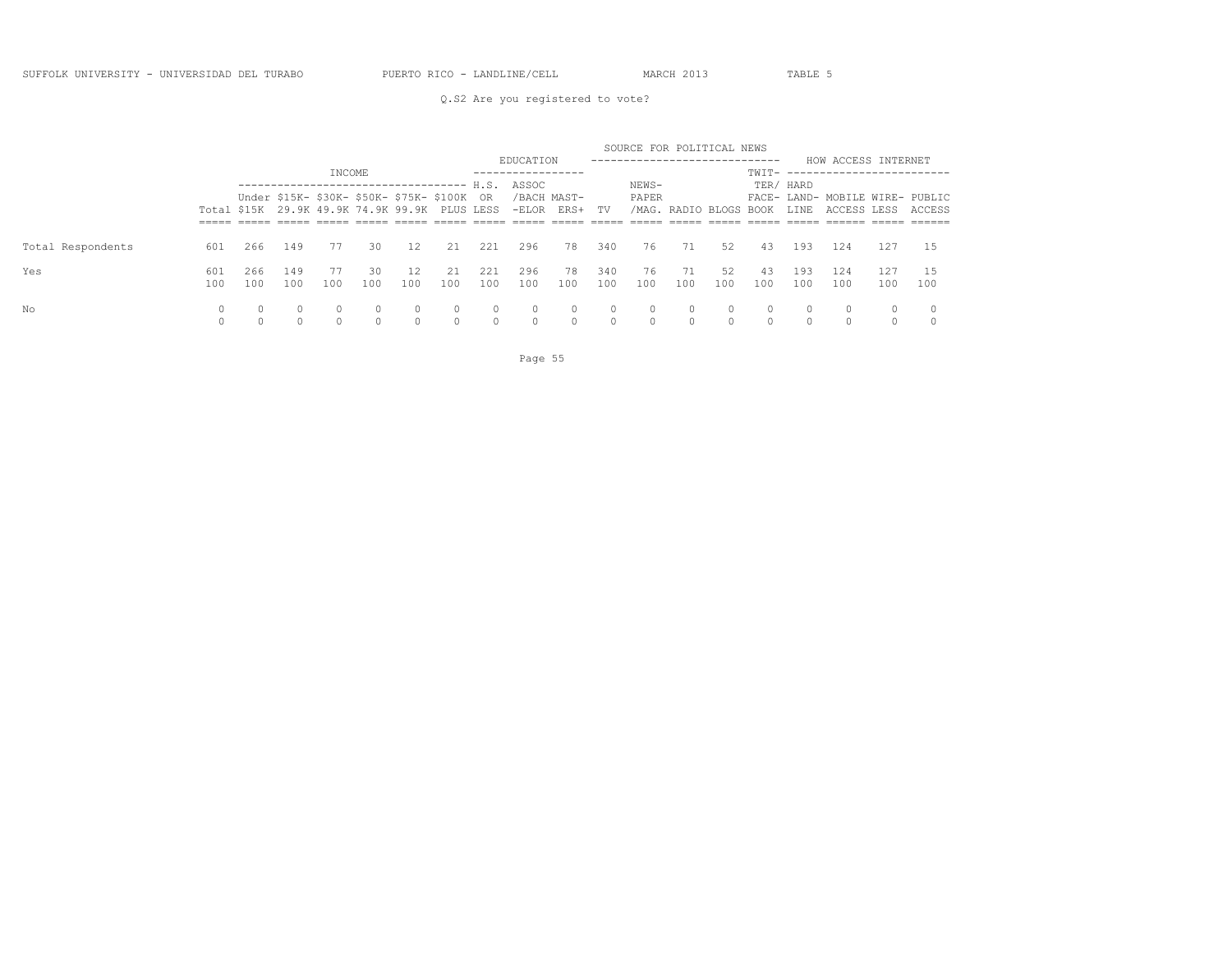### Q.S2 Are you registered to vote?

|                   |     |     |                                               |        |     |          |          |          |                           |               |          | SOURCE FOR POLITICAL NEWS |                        |          |          |           |                                 |        |        |
|-------------------|-----|-----|-----------------------------------------------|--------|-----|----------|----------|----------|---------------------------|---------------|----------|---------------------------|------------------------|----------|----------|-----------|---------------------------------|--------|--------|
|                   |     |     |                                               |        |     |          |          |          | EDUCATION                 |               |          | ------------------------  |                        |          |          |           | HOW ACCESS INTERNET             |        |        |
|                   |     |     |                                               | INCOME |     |          |          |          | . _ _ _ _ _ _ _ _ _ _ _ _ |               |          |                           |                        |          |          |           | TWTT- ------------------------- |        |        |
|                   |     |     |                                               |        |     |          |          |          | ASSOC                     |               |          | NEWS-                     |                        |          |          | TER/ HARD |                                 |        |        |
|                   |     |     | Under \$15K- \$30K- \$50K- \$75K- \$100K OR   |        |     |          |          |          | /BACH MAST-               |               |          | PAPER                     |                        |          |          |           | FACE- LAND- MOBILE WIRE- PUBLIC |        |        |
|                   |     |     | Total \$15K 29.9K 49.9K 74.9K 99.9K PLUS LESS |        |     |          |          |          |                           | -ELOR ERS+ TV |          |                           | /MAG. RADIO BLOGS BOOK |          |          | LINE      | ACCESS LESS                     |        | ACCESS |
|                   |     |     |                                               |        |     |          |          |          |                           |               |          |                           |                        |          |          |           |                                 |        |        |
| Total Respondents | 601 | 266 | 149                                           | 77     | 30  | 12       | 21       | 221      | 296                       | 78            | 340      | 76                        | 71                     | 52       | 43       | 193       | 124                             | 127    | -1.5   |
| Yes               | 601 | 266 | 149                                           | 77     | 30  | 12       | 21       | 221      | 296                       | 78            | 340      | 76                        | - 71                   | 52       | 43       | 193       | 124                             | 127    |        |
|                   | 100 | 100 | 100                                           | 100    | 100 | 100      | 100      | 100      | 100                       | 100           | 100      | 100                       | 100                    | 100      | 100      | 100       | 100                             | 100    | 100    |
| No                | 0   |     | $\Omega$                                      |        |     | $\circ$  | $\Omega$ | $\circ$  |                           | $\circ$       | $\Omega$ | 0                         | $\circ$                | $\Omega$ | $\circ$  | 0         | $\Omega$                        | 0      |        |
|                   |     |     |                                               |        |     | $\Omega$ | $\Omega$ | $\Omega$ |                           |               | $\Omega$ |                           | $\Omega$               | $\cap$   | $\Omega$ |           |                                 | $\cap$ |        |

Page 55 and the state of the state of the state of the state of the state of the state of the state of the state of the state of the state of the state of the state of the state of the state of the state of the state of th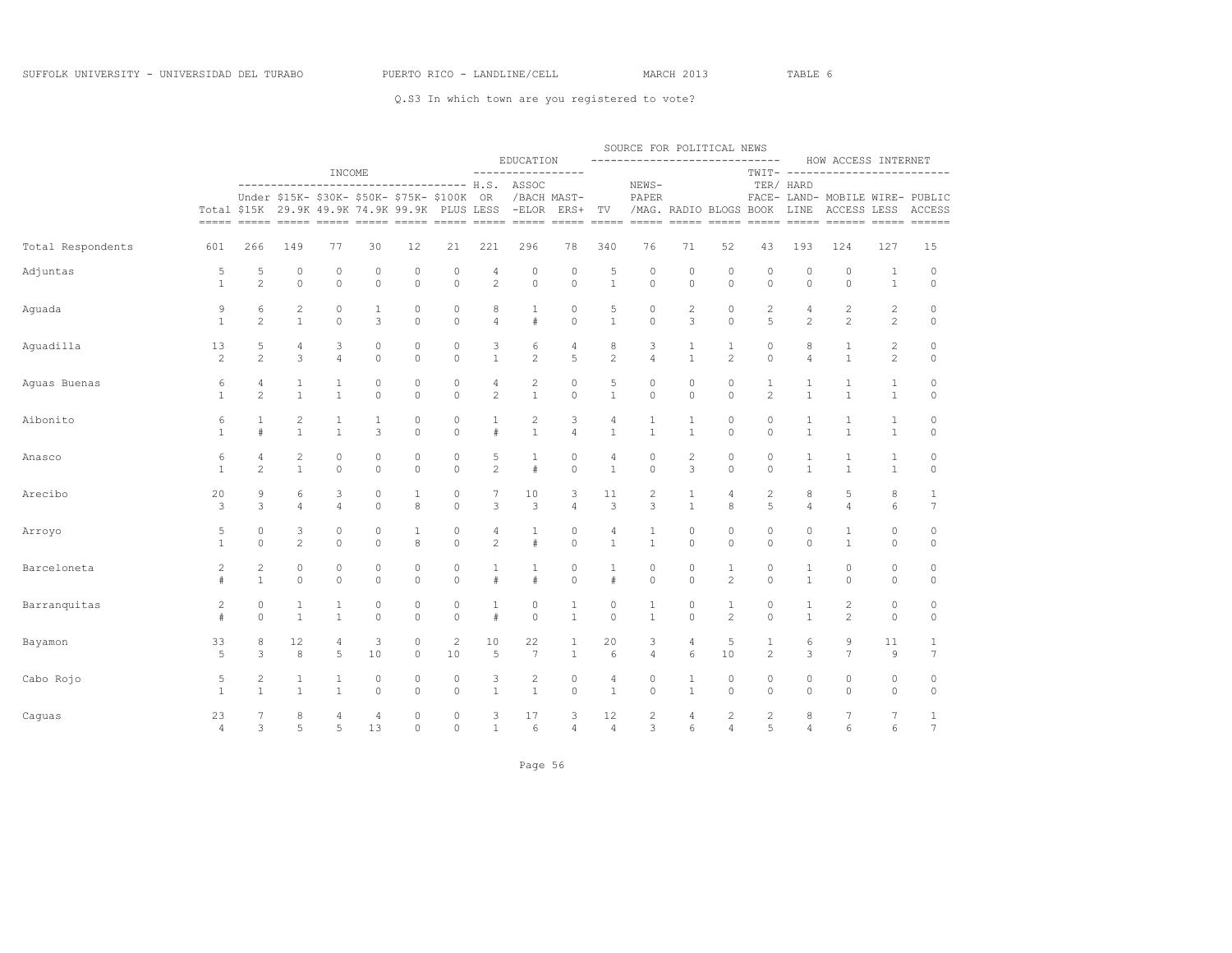|                   |                |                |                                                                                            |              |                     |              |                |                | EDUCATION                                                                                                                                                                                                                                                                                                                                                                                                                                                                                                 |                |                | SOURCE FOR POLITICAL NEWS<br>-----------------------------                                                                                                                                                                                                                                                                                                                                                                                                         |                |                                   |                |                | HOW ACCESS INTERNET                                                |                |                         |
|-------------------|----------------|----------------|--------------------------------------------------------------------------------------------|--------------|---------------------|--------------|----------------|----------------|-----------------------------------------------------------------------------------------------------------------------------------------------------------------------------------------------------------------------------------------------------------------------------------------------------------------------------------------------------------------------------------------------------------------------------------------------------------------------------------------------------------|----------------|----------------|--------------------------------------------------------------------------------------------------------------------------------------------------------------------------------------------------------------------------------------------------------------------------------------------------------------------------------------------------------------------------------------------------------------------------------------------------------------------|----------------|-----------------------------------|----------------|----------------|--------------------------------------------------------------------|----------------|-------------------------|
|                   |                |                | ----------------------------------- H.S. ASSOC<br>Under \$15K- \$30K- \$50K- \$75K- \$100K | INCOME       |                     |              |                | OR             | -----------------<br>/BACH MAST-                                                                                                                                                                                                                                                                                                                                                                                                                                                                          |                |                | NEWS-<br>PAPER                                                                                                                                                                                                                                                                                                                                                                                                                                                     |                |                                   |                | TER/ HARD      | TWIT- -------------------------<br>FACE- LAND- MOBILE WIRE- PUBLIC |                |                         |
|                   |                |                | Total \$15K 29.9K 49.9K 74.9K 99.9K PLUS LESS                                              |              |                     |              |                |                | $-ELOR$<br>$\begin{tabular}{lllllllllllllll} \multicolumn{2}{l}{{\color{red}\hbox{m}}} & \multicolumn{2}{l}{\color{blue}\hbox{m}} & \multicolumn{2}{l}{\color{blue}\hbox{m}} & \multicolumn{2}{l}{\color{blue}\hbox{m}} & \multicolumn{2}{l}{\color{blue}\hbox{m}} & \multicolumn{2}{l}{\color{blue}\hbox{m}} & \multicolumn{2}{l}{\color{blue}\hbox{m}} & \multicolumn{2}{l}{\color{blue}\hbox{m}} & \multicolumn{2}{l}{\color{blue}\hbox{m}} & \multicolumn{2}{l}{\color{blue}\hbox{m}} & \multicolumn$ | ERS+           | TV             | $\begin{tabular}{ll} \multicolumn{2}{c}{\textbf{}} & \multicolumn{2}{c}{\textbf{}} & \multicolumn{2}{c}{\textbf{}} & \multicolumn{2}{c}{\textbf{}} & \multicolumn{2}{c}{\textbf{}} & \multicolumn{2}{c}{\textbf{}} & \multicolumn{2}{c}{\textbf{}} & \multicolumn{2}{c}{\textbf{}} & \multicolumn{2}{c}{\textbf{}} & \multicolumn{2}{c}{\textbf{}} & \multicolumn{2}{c}{\textbf{}} & \multicolumn{2}{c}{\textbf{}} & \multicolumn{2}{c}{\textbf{}} & \multicolumn$ | $=====$        | /MAG. RADIO BLOGS BOOK<br>$=====$ | $=====$        | LINE           | ACCESS LESS                                                        |                | ACCESS<br>$== == == ==$ |
| Total Respondents | 601            | 266            | 149                                                                                        | 77           | 30                  | 12           | 21             | 221            | 296                                                                                                                                                                                                                                                                                                                                                                                                                                                                                                       | 78             | 340            | 76                                                                                                                                                                                                                                                                                                                                                                                                                                                                 | 71             | 52                                | 43             | 193            | 124                                                                | 127            | 15                      |
| Adjuntas          | 5              | 5              | $\circ$                                                                                    | 0            | $\circ$             | $\mathbb O$  | 0              | 4              | 0                                                                                                                                                                                                                                                                                                                                                                                                                                                                                                         | $\circ$        | 5              | $\circ$                                                                                                                                                                                                                                                                                                                                                                                                                                                            | $\circ$        | 0                                 | $\circ$        | $\circ$        | $\circ$                                                            | $\mathbf{1}$   | $\circ$                 |
|                   | $\mathbf{1}$   | $\overline{c}$ | $\mathbb O$                                                                                | $\circ$      | $\circ$             | $\circ$      | $\mathbb O$    | $\overline{c}$ | 0                                                                                                                                                                                                                                                                                                                                                                                                                                                                                                         | $\circ$        | $\mathbf{1}$   | $\circ$                                                                                                                                                                                                                                                                                                                                                                                                                                                            | $\mathbb O$    | $\circ$                           | $\circ$        | $\mathbb O$    | $\mathbb O$                                                        | $\mathbf{1}$   | $\mathbb O$             |
| Aguada            | 9              | 6              | $\overline{c}$                                                                             | 0            | 1                   | 0            | 0              | 8              | 1                                                                                                                                                                                                                                                                                                                                                                                                                                                                                                         | $\circ$        | 5              | $\circ$                                                                                                                                                                                                                                                                                                                                                                                                                                                            | 2              | 0                                 | 2              | 4              | $\overline{c}$                                                     | $\mathbf{2}$   | $\circ$                 |
|                   | $\mathbf{1}$   | $\overline{c}$ | $\mathbf{1}$                                                                               | $\circ$      | 3                   | $\circ$      | $\circ$        | $\overline{4}$ | #                                                                                                                                                                                                                                                                                                                                                                                                                                                                                                         | $\circ$        | $\mathbf{1}$   | $\circ$                                                                                                                                                                                                                                                                                                                                                                                                                                                            | 3              | $\Omega$                          | 5              | $\overline{c}$ | $\overline{c}$                                                     | 2              | $\circ$                 |
| Aquadilla         | 13             | 5              | 4                                                                                          | 3            | $\mathbb O$         | $\mathbb O$  | $\circ$        | 3              | 6                                                                                                                                                                                                                                                                                                                                                                                                                                                                                                         | 4              | 8              | 3                                                                                                                                                                                                                                                                                                                                                                                                                                                                  | $1\,$          | $\mathbf{1}$                      | $\mathbb O$    | 8              | 1                                                                  | $\overline{c}$ | $\circ$                 |
|                   | $\mathbf{2}$   | $\overline{c}$ | 3                                                                                          | 4            | $\Omega$            | $\Omega$     | $\Omega$       | $\mathbf{1}$   | $\overline{c}$                                                                                                                                                                                                                                                                                                                                                                                                                                                                                            | 5              | $\overline{c}$ | $\overline{4}$                                                                                                                                                                                                                                                                                                                                                                                                                                                     | $\mathbf{1}$   | $\overline{c}$                    | $\Omega$       | $\overline{4}$ | $\mathbf{1}$                                                       | $\mathbf{2}$   | $\circ$                 |
| Aguas Buenas      | 6              | 4              | 1                                                                                          | 1            | $\circ$             | $\circ$      | 0              | 4              | $\mathbf{2}$                                                                                                                                                                                                                                                                                                                                                                                                                                                                                              | $\circ$        | 5              | 0                                                                                                                                                                                                                                                                                                                                                                                                                                                                  | 0              | $\circ$                           | $\mathbf{1}$   | $\mathbf{1}$   | 1                                                                  | 1              | $\circ$                 |
|                   | $\mathbf{1}$   | $\overline{c}$ | $\mathbf{1}$                                                                               | $\mathbf{1}$ | $\mathsf{O}\xspace$ | $\circ$      | $\circ$        | $\overline{c}$ | $\mathbf{1}$                                                                                                                                                                                                                                                                                                                                                                                                                                                                                              | $\mathbb O$    | $\mathbf{1}$   | $\mathsf{O}\xspace$                                                                                                                                                                                                                                                                                                                                                                                                                                                | $\mathbb O$    | $\circ$                           | 2              | $\mathbf{1}$   | $\,1\,$                                                            | $\mathbf{1}$   | $\circ$                 |
| Aibonito          | 6              | $\mathbf{1}$   | $\overline{c}$                                                                             | 1            | 1                   | 0            | 0              | 1              | $\mathbf{2}$                                                                                                                                                                                                                                                                                                                                                                                                                                                                                              | 3              | 4              | 1                                                                                                                                                                                                                                                                                                                                                                                                                                                                  | 1              | 0                                 | $\circ$        | $\mathbf{1}$   | $\mathbf{1}$                                                       | $\mathbf{1}$   | 0                       |
|                   | $\mathbf{1}$   | #              | $\mathbf{1}$                                                                               | $\mathbf{1}$ | 3                   | $\Omega$     | $\circ$        | $\#$           | $\mathbf{1}$                                                                                                                                                                                                                                                                                                                                                                                                                                                                                              | $\overline{4}$ | $\mathbf{1}$   | $\mathbf{1}$                                                                                                                                                                                                                                                                                                                                                                                                                                                       | $\mathbf{1}$   | $\Omega$                          | $\circ$        | $\mathbf{1}$   | $\mathbf{1}$                                                       | $\mathbf{1}$   | $\circ$                 |
| Anasco            | 6              | 4              | $\overline{c}$                                                                             | $\circ$      | $\circ$             | 0            | $\mathbb O$    | 5              | $\mathbf{1}$                                                                                                                                                                                                                                                                                                                                                                                                                                                                                              | $\mathbb O$    | 4              | 0                                                                                                                                                                                                                                                                                                                                                                                                                                                                  | $\overline{c}$ | $\circ$                           | $\circ$        | $\mathbf{1}$   | $\mathbf{1}$                                                       | $\mathbf{1}$   | $\circ$                 |
|                   | $\mathbf{1}$   | $\overline{2}$ | $\mathbf{1}$                                                                               | $\circ$      | $\circ$             | $\circ$      | $\circ$        | $\overline{c}$ | $\#$                                                                                                                                                                                                                                                                                                                                                                                                                                                                                                      | $\mathbf{0}$   | $\mathbf{1}$   | $\circ$                                                                                                                                                                                                                                                                                                                                                                                                                                                            | 3              | $\circ$                           | $\circ$        | $\mathbf{1}$   | $\mathbf{1}$                                                       | $\mathbf{1}$   | $\circ$                 |
| Arecibo           | 20             | 9              | 6                                                                                          | 3            | $\circ$             | $\mathbf{1}$ | 0              | 7              | 10                                                                                                                                                                                                                                                                                                                                                                                                                                                                                                        | 3              | 11             | 2                                                                                                                                                                                                                                                                                                                                                                                                                                                                  | 1              | 4                                 | $\sqrt{2}$     | 8              | 5                                                                  | 8              | $\mathbf{1}$            |
|                   | 3              | 3              | $\overline{4}$                                                                             | 4            | $\circ$             | 8            | $\circ$        | 3              | 3                                                                                                                                                                                                                                                                                                                                                                                                                                                                                                         | $\overline{4}$ | 3              | 3                                                                                                                                                                                                                                                                                                                                                                                                                                                                  | $\mathbf{1}$   | 8                                 | 5              | $\overline{4}$ | $\overline{4}$                                                     | 6              | $\overline{7}$          |
| Arroyo            | 5              | $\circ$        | 3                                                                                          | 0            | $\circ$             | 1            | $\mathbb O$    | 4              | 1                                                                                                                                                                                                                                                                                                                                                                                                                                                                                                         | $\mathbb O$    | 4              | 1                                                                                                                                                                                                                                                                                                                                                                                                                                                                  | 0              | 0                                 | $\circ$        | 0              | $\mathbf{1}$                                                       | 0              | $\mathbb O$             |
|                   | $\mathbf{1}$   | $\circ$        | $\overline{c}$                                                                             | $\Omega$     | $\circ$             | 8            | $\circ$        | $\overline{c}$ | #                                                                                                                                                                                                                                                                                                                                                                                                                                                                                                         | $\circ$        | $\mathbf{1}$   | $\mathbf{1}$                                                                                                                                                                                                                                                                                                                                                                                                                                                       | $\Omega$       | $\Omega$                          | $\circ$        | $\Omega$       | $\mathbf{1}$                                                       | $\circ$        | $\circ$                 |
| Barceloneta       | 2              | 2              | $\circ$                                                                                    | 0            | $\circ$             | 0            | 0              | $\mathbf{1}$   | $\mathbf{1}$                                                                                                                                                                                                                                                                                                                                                                                                                                                                                              | $\mathbb O$    | $1\,$          | $\circ$                                                                                                                                                                                                                                                                                                                                                                                                                                                            | $\circ$        | $\mathbf{1}$                      | $\circ$        | $\mathbf{1}$   | $\mathbb O$                                                        | $\circ$        | $\mathbb O$             |
|                   | #              | $\mathbf{1}$   | $\mathbb O$                                                                                | $\Omega$     | $\circ$             | $\circ$      | $\circ$        | $\#$           | #                                                                                                                                                                                                                                                                                                                                                                                                                                                                                                         | $\circ$        | $\#$           | $\circ$                                                                                                                                                                                                                                                                                                                                                                                                                                                            | $\circ$        | $\overline{c}$                    | $\circ$        | $\mathbf{1}$   | $\circ$                                                            | $\circ$        | $\mathbb O$             |
| Barranquitas      | 2              | $\circ$        | 1                                                                                          | 1            | $\circ$             | $\circ$      | 0              | 1              | 0                                                                                                                                                                                                                                                                                                                                                                                                                                                                                                         | 1              | 0              | 1                                                                                                                                                                                                                                                                                                                                                                                                                                                                  | 0              | $\mathbf{1}$                      | $\circ$        | 1              | 2                                                                  | $\circ$        | $\circ$                 |
|                   | #              | $\Omega$       | $\mathbf{1}$                                                                               | $\mathbf{1}$ | $\circ$             | $\circ$      | $\circ$        | #              | $\Omega$                                                                                                                                                                                                                                                                                                                                                                                                                                                                                                  | $\mathbf{1}$   | $\Omega$       | $\mathbf{1}$                                                                                                                                                                                                                                                                                                                                                                                                                                                       | $\circ$        | $\overline{c}$                    | $\circ$        | $\mathbf{1}$   | $\overline{c}$                                                     | $\circ$        | $\mathsf{O}\xspace$     |
| Bayamon           | 33             | 8              | 12                                                                                         | 4            | 3                   | $\mathbb O$  | $\overline{c}$ | 10             | 22                                                                                                                                                                                                                                                                                                                                                                                                                                                                                                        | $\mathbf{1}$   | 20             | 3                                                                                                                                                                                                                                                                                                                                                                                                                                                                  | 4              | 5                                 | $1\,$          | 6              | 9                                                                  | 11             | $\mathbf{1}$            |
|                   | 5              | 3              | 8                                                                                          | 5            | 10                  | $\circ$      | 10             | 5              | 7                                                                                                                                                                                                                                                                                                                                                                                                                                                                                                         | $\mathbf{1}$   | 6              | $\overline{4}$                                                                                                                                                                                                                                                                                                                                                                                                                                                     | 6              | 10                                | $\overline{c}$ | 3              | $\overline{7}$                                                     | $\overline{9}$ | 7                       |
| Cabo Rojo         | 5              | 2              | 1                                                                                          | 1            | $\circ$             | $\circ$      | $\circ$        | 3              | 2                                                                                                                                                                                                                                                                                                                                                                                                                                                                                                         | $\circ$        | 4              | 0                                                                                                                                                                                                                                                                                                                                                                                                                                                                  | 1              | $\circ$                           | $\circ$        | 0              | $\circ$                                                            | $\circ$        | 0                       |
|                   | $\mathbf{1}$   | $\mathbf{1}$   | $\mathbf{1}$                                                                               | $\mathbf{1}$ | $\circ$             | $\circ$      | $\circ$        | $\mathbf{1}$   | $\mathbf{1}$                                                                                                                                                                                                                                                                                                                                                                                                                                                                                              | $\circ$        | $\mathbf{1}$   | $\mathbf{0}$                                                                                                                                                                                                                                                                                                                                                                                                                                                       | $\mathbf{1}$   | $\circ$                           | $\circ$        | $\circ$        | $\circ$                                                            | $\circ$        | $\mathbb O$             |
| Caquas            | 23             | 7              | 8                                                                                          | 4            | 4                   | 0            | $\mathbb O$    | 3              | 17                                                                                                                                                                                                                                                                                                                                                                                                                                                                                                        | 3              | 12             | $\overline{c}$                                                                                                                                                                                                                                                                                                                                                                                                                                                     | 4              | $\overline{c}$                    | $\sqrt{2}$     | 8              | $7\phantom{.0}$                                                    | 7              | 1                       |
|                   | $\overline{4}$ | 3              | 5                                                                                          | 5            | 13                  | $\circ$      | $\circ$        | $\mathbf{1}$   | 6                                                                                                                                                                                                                                                                                                                                                                                                                                                                                                         | $\sqrt{4}$     | 4              | 3                                                                                                                                                                                                                                                                                                                                                                                                                                                                  | 6              | 4                                 | 5              | $\overline{4}$ | 6                                                                  | 6              | 7                       |

Page 56 and the state of the state of the state of the state of the state of the state of the state of the state of the state of the state of the state of the state of the state of the state of the state of the state of th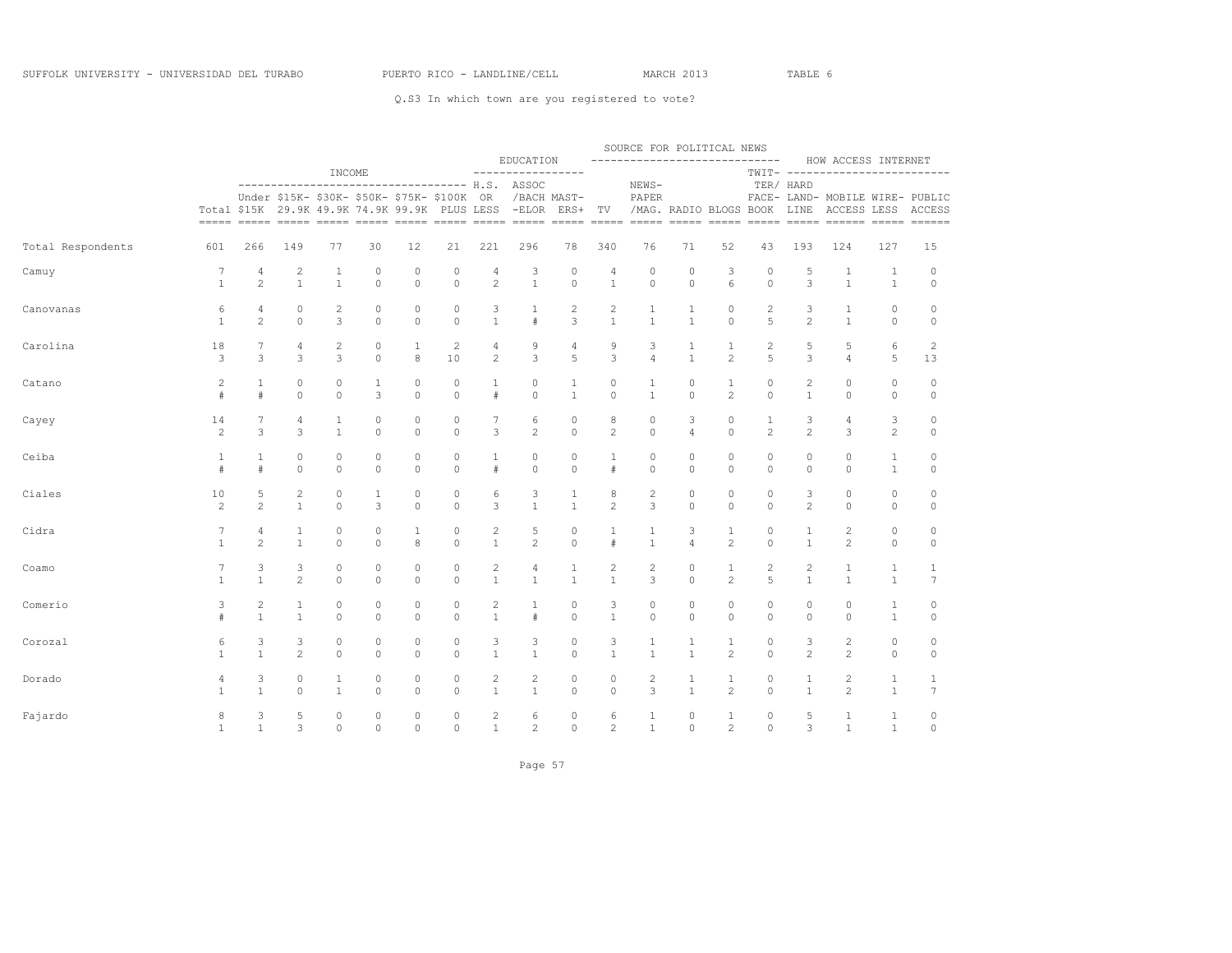|                   |                |                |                                                                                                              |              |                |              |             |                        |                                          |                     |                | SOURCE FOR POLITICAL NEWS           |                        |                |                |                   |                                                                            |                |                |
|-------------------|----------------|----------------|--------------------------------------------------------------------------------------------------------------|--------------|----------------|--------------|-------------|------------------------|------------------------------------------|---------------------|----------------|-------------------------------------|------------------------|----------------|----------------|-------------------|----------------------------------------------------------------------------|----------------|----------------|
|                   |                |                |                                                                                                              | INCOME       |                |              |             |                        | EDUCATION<br>-----------------           |                     |                | ------------------------------      |                        |                |                |                   | HOW ACCESS INTERNET<br>TWIT- -------------------------                     |                |                |
|                   |                |                | ---------------<br>Under \$15K- \$30K- \$50K- \$75K- \$100K<br>Total \$15K 29.9K 49.9K 74.9K 99.9K PLUS LESS |              |                |              |             | OR.<br>$=$ $=$ $=$ $=$ | ------------------ H.S. ASSOC<br>$-ELOR$ | /BACH MAST-<br>ERS+ | TV             | NEWS-<br>PAPER<br>===== ===== ===== | /MAG. RADIO BLOGS BOOK | $=====$        |                | TER/ HARD<br>LINE | FACE- LAND- MOBILE WIRE- PUBLIC<br>ACCESS LESS<br>===== ===== ====== ===== |                | ACCESS<br>$=$  |
| Total Respondents | 601            | 266            | 149                                                                                                          | 77           | 30             | 12           | 21          | 221                    | 296                                      | 78                  | 340            | 76                                  | 71                     | 52             | 43             | 193               | 124                                                                        | 127            | 15             |
| Camuy             | 7              | 4              | $\overline{c}$                                                                                               | 1            | 0              | 0            | 0           | 4                      | 3                                        | 0                   | 4              | $\mathbf{0}$                        | $\circ$                | 3              | 0              | 5                 | 1                                                                          | 1              | 0              |
|                   | $\mathbf{1}$   | $\overline{c}$ | $\mathbf{1}$                                                                                                 | $\mathbf{1}$ | $\overline{0}$ | 0            | $\circ$     | $\mathbf{2}$           | $\mathbf{1}$                             | $\circ$             | $\mathbf{1}$   | $\circ$                             | $\circ$                | 6              | $\circ$        | 3                 | $\mathbf{1}$                                                               | $\mathbf{1}$   | $\circ$        |
| Canovanas         | 6              | 4              | 0                                                                                                            | 2            | $\circ$        | 0            | $\circ$     | 3                      | 1                                        | 2                   | $\overline{c}$ | 1                                   | 1                      | 0              | 2              | 3                 | 1                                                                          | $\circ$        | 0              |
|                   | $\mathbf{1}$   | $\overline{c}$ | $\mathbb O$                                                                                                  | 3            | $\circ$        | 0            | $\circ$     | $\mathbf{1}$           | $#$                                      | 3                   | $\mathbf{1}$   | $\mathbf{1}$                        | $\mathbf{1}$           | $\circ$        | 5              | $\overline{c}$    | $\mathbf{1}$                                                               | $\circ$        | $\circ$        |
| Carolina          | 18             | 7              | 4                                                                                                            | 2            | 0              | $\mathbf{1}$ | 2           | 4                      | 9                                        | 4                   | 9              | 3                                   | 1                      | 1              | 2              | 5                 | 5                                                                          | 6              | 2              |
|                   | 3              | 3              | 3                                                                                                            | 3            | $\Omega$       | 8            | 10          | $\mathbf{2}$           | 3                                        | 5                   | 3              | $\overline{4}$                      | $\mathbf{1}$           | $\mathbf{2}$   | 5              | 3                 | $\overline{4}$                                                             | 5              | 13             |
| Catano            | 2              | $\mathbf{1}$   | $\circ$                                                                                                      | 0            | 1              | 0            | $\circ$     | $\mathbf{1}$           | 0                                        | 1                   | 0              | 1                                   | $\circ$                | $\mathbf{1}$   | 0              | 2                 | $\circ$                                                                    | $\circ$        | 0              |
|                   | $\#$           | #              | $\circ$                                                                                                      | $\circ$      | 3              | $\circ$      | $\circ$     | $\#$                   | $\circ$                                  | $\mathbf{1}$        | 0              | $\mathbf{1}$                        | $\circ$                | $\overline{c}$ | $\circ$        | $\mathbf{1}$      | $\circ$                                                                    | $\circ$        | $\circ$        |
| Cayey             | 14             | 7              | 4                                                                                                            | $\mathbf{1}$ | $\circ$        | 0            | $\circ$     | 7                      | 6                                        | 0                   | 8              | $\circ$                             | 3                      | $\circ$        | $\mathbf{1}$   | 3                 | 4                                                                          | 3              | 0              |
|                   | $\overline{c}$ | 3              | 3                                                                                                            | $\mathbf{1}$ | $\circ$        | 0            | $\circ$     | 3                      | $\overline{c}$                           | $\circ$             | $\overline{c}$ | $\circ$                             | $\overline{4}$         | $\circ$        | $\overline{c}$ | $\overline{c}$    | 3                                                                          | $\overline{c}$ | $\circ$        |
| Ceiba             | 1              | 1              | $\circ$                                                                                                      | 0            | 0              | 0            | $\circ$     | 1                      | 0                                        | 0                   | 1              | 0                                   | 0                      | 0              | 0              | 0                 | 0                                                                          | $\mathbf{1}$   | 0              |
|                   | #              | #              | $\circ$                                                                                                      | $\Omega$     | $\circ$        | $\circ$      | $\Omega$    | #                      | $\circ$                                  | $\circ$             | #              | $\Omega$                            | $\circ$                | $\Omega$       | $\circ$        | $\circ$           | $\circ$                                                                    | $\mathbf{1}$   | $\circ$        |
| Ciales            | 10             | 5              | $\sqrt{2}$                                                                                                   | $\circ$      | 1              | 0            | $\circ$     | 6                      | 3                                        | $\mathbf{1}$        | 8              | $\sqrt{2}$                          | $\circ$                | 0              | 0              | 3                 | $\circ$                                                                    | $\circ$        | 0              |
|                   | $\overline{c}$ | $\mathbf{2}$   | $\mathbf{1}$                                                                                                 | $\Omega$     | 3              | $\circ$      | $\circ$     | 3                      | $\mathbf{1}$                             | $\mathbf{1}$        | $\overline{c}$ | 3                                   | $\circ$                | $\Omega$       | $\circ$        | $\overline{c}$    | $\circ$                                                                    | $\circ$        | $\circ$        |
| Cidra             | 7              | 4              | $\mathbf{1}$                                                                                                 | 0            | 0              | 1            | $\circ$     | $\mathbf{2}$           | 5                                        | 0                   | $1\,$          | 1                                   | 3                      | $\mathbf{1}$   | 0              | $1\,$             | $\sqrt{2}$                                                                 | $\circ$        | 0              |
|                   | $\mathbf{1}$   | $\mathbf{2}$   | $\mathbf{1}$                                                                                                 | $\Omega$     | $\Omega$       | 8            | $\Omega$    | $\mathbf{1}$           | $\mathbf{2}$                             | $\circ$             | $\#$           | $\mathbf{1}$                        | $\overline{4}$         | $\mathbf{2}$   | $\circ$        | $\mathbf{1}$      | $\overline{c}$                                                             | $\circ$        | $\circ$        |
| Coamo             | 7              | 3              | 3                                                                                                            | $\circ$      | $\circ$        | 0            | $\circ$     | $\mathbf{2}$           | 4                                        | 1                   | 2              | $\overline{c}$                      | $\circ$                | $\mathbf{1}$   | 2              | 2                 | 1                                                                          | $\mathbf{1}$   | $\mathbf{1}$   |
|                   | $\mathbf{1}$   | $\mathbf{1}$   | $\overline{c}$                                                                                               | $\Omega$     | $\Omega$       | $\Omega$     | $\Omega$    | $\mathbf{1}$           | $\mathbf{1}$                             | $\mathbf{1}$        | $\mathbf{1}$   | 3                                   | $\Omega$               | $\overline{c}$ | 5              | $\mathbf{1}$      | $\mathbf{1}$                                                               | $\mathbf{1}$   | $\overline{7}$ |
| Comerio           | 3              | 2              | 1                                                                                                            | $\circ$      | $\circ$        | 0            | 0           | $\mathbf{2}$           | 1                                        | 0                   | 3              | $\circ$                             | $\circ$                | $\circ$        | 0              | 0                 | $\circ$                                                                    | 1              | 0              |
|                   | #              | $\mathbf{1}$   | $\mathbf{1}$                                                                                                 | $\circ$      | $\circ$        | $\circ$      | $\circ$     | $\mathbf{1}$           | $#$                                      | $\mathbf 0$         | $1\,$          | $\circ$                             | $\mathbb O$            | $\circ$        | $\circ$        | 0                 | $\circ$                                                                    | $1\,$          | $\mathbb O$    |
| Corozal           | 6              | 3              | 3                                                                                                            | 0            | 0              | 0            | $\circ$     | 3                      | 3                                        | 0                   | 3              | 1                                   | 1                      | 1              | 0              | 3                 | $\mathbf{2}$                                                               | $\circ$        | 0              |
|                   | $\mathbf{1}$   | $\mathbf{1}$   | $\overline{c}$                                                                                               | $\circ$      | $\circ$        | $\circ$      | $\circ$     | $\mathbf{1}$           | $\mathbf{1}$                             | $\circ$             | $\mathbf{1}$   | $\mathbf{1}$                        | $\mathbf{1}$           | $\mathbf{2}$   | $\circ$        | $\overline{2}$    | $\overline{c}$                                                             | $\circ$        | $\circ$        |
| Dorado            | 4              | 3              | $\mathbb O$                                                                                                  | $\mathbf{1}$ | 0              | 0            | $\circ$     | $\mathbf{2}$           | 2                                        | 0                   | 0              | 2                                   | $\mathbf 1$            | $\mathbf{1}$   | 0              | $1\,$             | $\overline{c}$                                                             | $\mathbf{1}$   | $\mathbf{1}$   |
|                   | $\mathbf{1}$   | $\mathbf{1}$   | $\Omega$                                                                                                     | $\mathbf{1}$ | $\Omega$       | $\Omega$     | $\Omega$    | $\mathbf{1}$           | $\mathbf{1}$                             | $\Omega$            | $\Omega$       | 3                                   | $\mathbf{1}$           | $\overline{c}$ | $\Omega$       | $\mathbf{1}$      | $\mathfrak{D}$                                                             | $\mathbf{1}$   | 7              |
| Fajardo           | 8              | 3              | 5                                                                                                            | $\circ$      | $\circ$        | 0            | $\circ$     | $\mathbf{2}$           | 6                                        | 0                   | 6              | 1                                   | $\circ$                | $\mathbf{1}$   | 0              | 5                 | $\mathbf{1}$                                                               | 1              | 0              |
|                   | $\mathbf{1}$   | $\mathbf{1}$   | 3                                                                                                            | 0            | 0              | 0            | $\mathbb O$ | $\mathbf{1}$           | $\overline{c}$                           | $\mathbb O$         | $\overline{c}$ | $1\,$                               | $\mathbb O$            | $\overline{c}$ | $\circ$        | 3                 | $1\,$                                                                      | $1\,$          | 0              |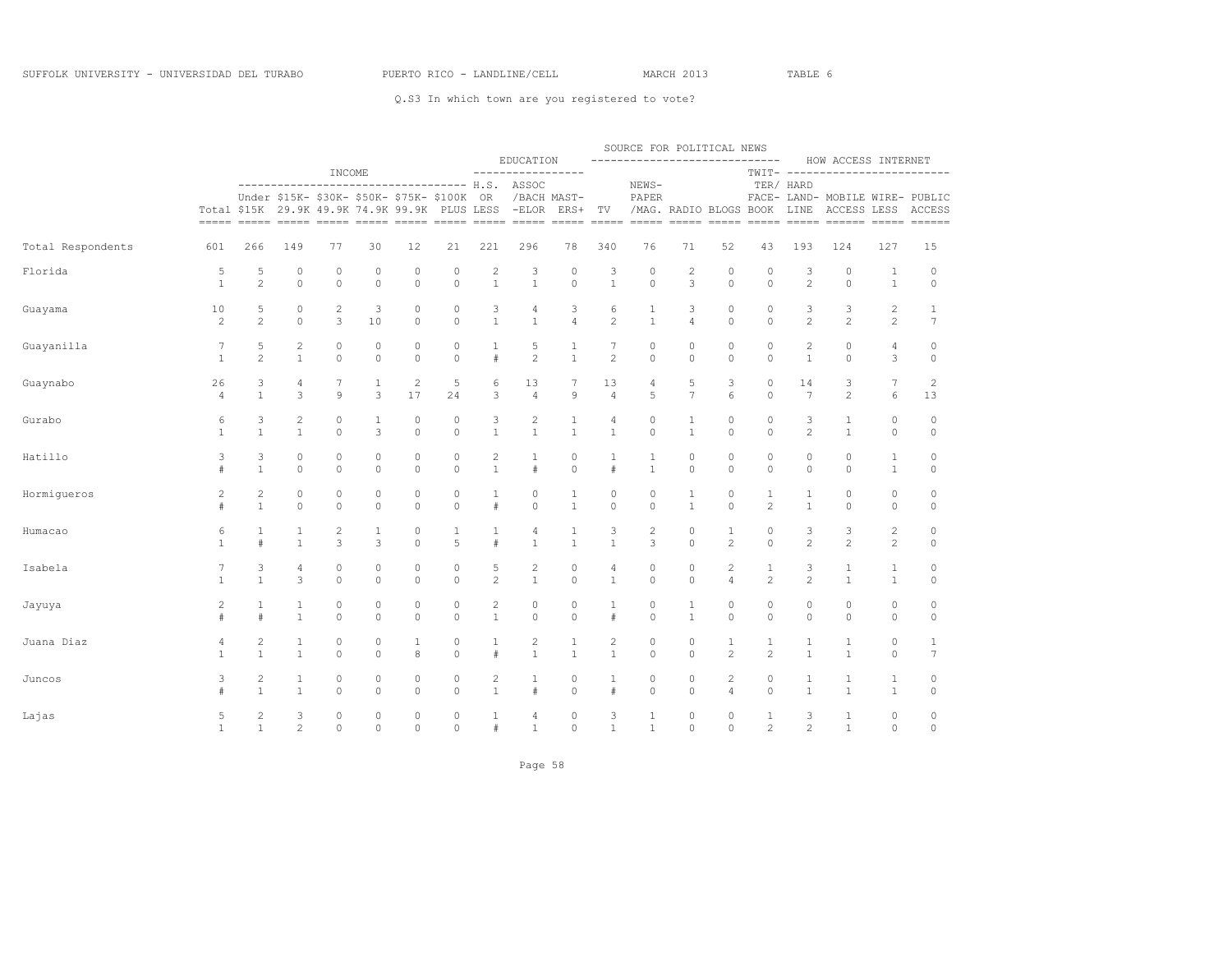|                   |                |                |                |             |                                                                                           |                |             |                |                                       |                     |                | SOURCE FOR POLITICAL NEWS<br>----------------------------- |                             |                |                |                |                                                                                                                                                                                  |                  |                     |
|-------------------|----------------|----------------|----------------|-------------|-------------------------------------------------------------------------------------------|----------------|-------------|----------------|---------------------------------------|---------------------|----------------|------------------------------------------------------------|-----------------------------|----------------|----------------|----------------|----------------------------------------------------------------------------------------------------------------------------------------------------------------------------------|------------------|---------------------|
|                   |                |                |                | INCOME      |                                                                                           |                |             |                | EDUCATION<br>-----------------        |                     |                |                                                            |                             |                |                |                | HOW ACCESS INTERNET<br>TWIT- -------------------------                                                                                                                           |                  |                     |
|                   |                |                | -------------  |             | Under \$15K- \$30K- \$50K- \$75K- \$100K<br>Total \$15K 29.9K 49.9K 74.9K 99.9K PLUS LESS |                |             | 0R             | --------------- H.S. ASSOC<br>$-ELOR$ | /BACH MAST-<br>ERS+ | TV             | NEWS-<br>PAPER                                             | /MAG. RADIO BLOGS BOOK LINE |                |                | TER/ HARD      | FACE- LAND- MOBILE WIRE- PUBLIC<br>ACCESS LESS ACCESS<br><u>assos acors cosos cosos cosos cosos acors acors acors acors cosos acors acors acors acors acors acors acors acor</u> |                  |                     |
| Total Respondents | 601            | 266            | 149            | 77          | 30                                                                                        | 12             | 21          | 221            | 296                                   | 78                  | 340            | 76                                                         | 71                          | 52             | 43             | 193            | 124                                                                                                                                                                              | 127              | 15                  |
| Florida           | 5              | 5              | 0              | $\circ$     | $\circ$                                                                                   | 0              | $\mathbb O$ | $\overline{c}$ | 3                                     | $\circ$             | 3              | $\circ$                                                    | $\overline{c}$              | $\circ$        | $\circ$        | 3              | $\circ$                                                                                                                                                                          | $\mathbf{1}$     | $\circ$             |
|                   | $\mathbf{1}$   | $\overline{c}$ | $\circ$        | $\circ$     | $\circ$                                                                                   | $\mathbf 0$    | $\circ$     | $\mathbf{1}$   | $\mathbf{1}$                          | $\overline{0}$      | $\mathbf{1}$   | $\circ$                                                    | $\overline{3}$              | $\circ$        | $\circ$        | $\overline{c}$ | $\circ$                                                                                                                                                                          | $\mathbf{1}$     | $\circ$             |
| Guayama           | 10             | 5              | 0              | $\sqrt{2}$  | 3                                                                                         | 0              | $\circ$     | 3              | $\overline{4}$                        | 3                   | 6              | 1                                                          | 3                           | $\circ$        | $\circ$        | 3              | 3                                                                                                                                                                                | $\overline{c}$   | 1                   |
|                   | $\overline{c}$ | $\overline{c}$ | $\circ$        | 3           | 10                                                                                        | $\circ$        | $\circ$     | $\mathbf{1}$   | $\mathbf{1}$                          | $\overline{4}$      | $\overline{c}$ | $\mathbf{1}$                                               | $\overline{4}$              | $\circ$        | $\circ$        | $\overline{c}$ | $\overline{c}$                                                                                                                                                                   | $\mathbf{2}$     | 7                   |
| Guayanilla        | 7              | 5              | $\overline{c}$ | $\mathbb O$ | $\circ$                                                                                   | 0              | $\circ$     | 1              | 5                                     | 1                   | 7              | $\circ$                                                    | $\circ$                     | $\circ$        | $\circ$        | 2              | $\circ$                                                                                                                                                                          | 4                | 0                   |
|                   | $\mathbf{1}$   | $\overline{c}$ | $\mathbf{1}$   | $\circ$     | $\circ$                                                                                   | $\circ$        | $\circ$     | $\#$           | $\overline{c}$                        | $\mathbf{1}$        | $\overline{c}$ | $\circ$                                                    | $\circ$                     | $\circ$        | $\circ$        | $\mathbf{1}$   | $\circ$                                                                                                                                                                          | 3                | $\circ$             |
| Guaynabo          | 26             | 3              | 4              | 7           | $\mathbf{1}$                                                                              | $\overline{c}$ | 5           | 6              | 13                                    | 7                   | 13             | 4                                                          | 5                           | 3              | $\circ$        | 14             | 3                                                                                                                                                                                | $\boldsymbol{7}$ | $\overline{c}$      |
|                   | $\overline{4}$ | $\mathbf{1}$   | 3              | $\circ$     | 3                                                                                         | 17             | 24          | 3              | $\overline{4}$                        | $\mathbf{Q}$        | $\overline{4}$ | 5                                                          | $\overline{7}$              | 6              | $\Omega$       | 7              | $\overline{c}$                                                                                                                                                                   | 6                | 13                  |
| Gurabo            | 6              | 3              | $\overline{c}$ | $\mathbb O$ | $\mathbf{1}$                                                                              | 0              | $\circ$     | 3              | $\mathbf{2}$                          | $\mathbf{1}$        | 4              | $\mathbb O$                                                | $\mathbf{1}$                | $\mathbb O$    | $\circ$        | 3              | $\mathbf{1}$                                                                                                                                                                     | $\circ$          | $\mathbb O$         |
|                   | $\mathbf{1}$   | $\mathbf{1}$   | $\mathbf{1}$   | $\circ$     | 3                                                                                         | $\mathbf 0$    | $\circ$     | $\mathbf{1}$   | $\,1\,$                               | $\mathbf{1}$        | $\mathbf{1}$   | $\circ$                                                    | $\mathbf{1}$                | $\circ$        | $\circ$        | $\overline{c}$ | $\,1\,$                                                                                                                                                                          | $\circ$          | $\circ$             |
| Hatillo           | 3              | 3              | $\circ$        | $\circ$     | $\circ$                                                                                   | 0              | $\circ$     | $\mathbf{2}$   | $\mathbf{1}$                          | $\circ$             | $\mathbf{1}$   | 1                                                          | $\circ$                     | $\circ$        | $\circ$        | 0              | $\circ$                                                                                                                                                                          | $\mathbf{1}$     | 0                   |
|                   | #              | $\mathbf{1}$   | $\circ$        | $\circ$     | $\circ$                                                                                   | $\circ$        | $\circ$     | $\mathbf{1}$   | $#$                                   | $\mathbb O$         | #              | $\mathbf{1}$                                               | $\circ$                     | $\circ$        | $\circ$        | $\circ$        | $\circ$                                                                                                                                                                          | $\mathbf{1}$     | $\circ$             |
| Hormiqueros       | 2              | $\mathbf{2}$   | 0              | $\circ$     | $\circ$                                                                                   | 0              | $\circ$     | $\mathbf{1}$   | 0                                     | 1                   | 0              | $\circ$                                                    | $\mathbf{1}$                | 0              | 1              | 1              | $\circ$                                                                                                                                                                          | $\circ$          | 0                   |
|                   | #              | $\mathbf{1}$   | $\circ$        | $\circ$     | $\circ$                                                                                   | $\circ$        | $\Omega$    | $\#$           | $\circ$                               | $\mathbf{1}$        | $\Omega$       | $\circ$                                                    | $\mathbf{1}$                | $\circ$        | $\overline{c}$ | $\mathbf{1}$   | $\circ$                                                                                                                                                                          | $\circ$          | $\circ$             |
| Humacao           | 6              | $\mathbf{1}$   | $1\,$          | $\sqrt{2}$  | $\mathbf{1}$                                                                              | 0              | 1           | $\mathbf{1}$   | 4                                     | $\mathbf{1}$        | 3              | $\sqrt{2}$                                                 | $\mathbb O$                 | $\mathbf{1}$   | $\circ$        | 3              | $\mathsf 3$                                                                                                                                                                      | $\overline{c}$   | 0                   |
|                   | $\mathbf{1}$   | #              | $\mathbf{1}$   | 3           | 3                                                                                         | $\Omega$       | 5           | #              | $\mathbf{1}$                          | $\mathbf{1}$        | $\mathbf{1}$   | 3                                                          | $\Omega$                    | $\overline{c}$ | $\Omega$       | $\overline{c}$ | $\overline{c}$                                                                                                                                                                   | $\mathbf{2}$     | $\circ$             |
| Isabela           | 7              | 3              | 4              | $\mathbb O$ | $\circ$                                                                                   | 0              | $\circ$     | 5              | $\overline{c}$                        | $\circ$             | 4              | $\circ$                                                    | $\circ$                     | $\overline{c}$ | $\mathbf 1$    | 3              | 1                                                                                                                                                                                | $\mathbf{1}$     | 0                   |
|                   | $\mathbf{1}$   | $\mathbf{1}$   | 3              | $\circ$     | $\circ$                                                                                   | $\circ$        | $\circ$     | $\overline{c}$ | $\mathbf{1}$                          | $\overline{0}$      | $\mathbf{1}$   | $\circ$                                                    | $\circ$                     | $\overline{4}$ | $\overline{c}$ | $\overline{2}$ | $\mathbf{1}$                                                                                                                                                                     | $\mathbf{1}$     | $\circ$             |
| Jayuya            | 2              | $\mathbf{1}$   | $\mathbf{1}$   | $\circ$     | $\circ$                                                                                   | 0              | $\circ$     | $\mathbf{2}$   | 0                                     | $\circ$             | 1              | $\circ$                                                    | $\mathbf{1}$                | $\circ$        | $\circ$        | 0              | $\circ$                                                                                                                                                                          | $\circ$          | 0                   |
|                   | #              | #              | $\mathbf{1}$   | $\circ$     | $\circ$                                                                                   | $\circ$        | $\circ$     | $\mathbf{1}$   | $\circ$                               | $\mathbb O$         | #              | $\circ$                                                    | $\mathbf{1}$                | $\circ$        | $\circ$        | $\circ$        | $\mathbb O$                                                                                                                                                                      | $\circ$          | $\mathsf{O}\xspace$ |
| Juana Diaz        | 4              | 2              | $\mathbf{1}$   | $\circ$     | $\circ$                                                                                   | $\mathbf{1}$   | $\circ$     | $\mathbf{1}$   | $\overline{c}$                        | $\mathbf{1}$        | 2              | $\circ$                                                    | $\circ$                     | $\mathbf{1}$   | $\mathbf{1}$   | $\mathbf{1}$   | $\mathbf{1}$                                                                                                                                                                     | $\circ$          | $\mathbf{1}$        |
|                   | $\mathbf{1}$   | $\mathbf{1}$   | $\mathbf{1}$   | $\circ$     | $\circ$                                                                                   | 8              | $\circ$     | $\#$           | $\mathbf{1}$                          | $\mathbf{1}$        | $\mathbf{1}$   | $\circ$                                                    | $\circ$                     | $\overline{c}$ | 2              | $\mathbf{1}$   | $\mathbf{1}$                                                                                                                                                                     | $\circ$          | $7\phantom{.0}$     |
| Juncos            | 3              | $\overline{c}$ | $\mathbf{1}$   | $\mathbb O$ | $\circ$                                                                                   | 0              | $\mathbb O$ | $\mathbf{2}$   | $\mathbf{1}$                          | $\mathbb O$         | $\mathbf{1}$   | $\mathbb O$                                                | $\circ$                     | $\overline{c}$ | $\circ$        | $1\,$          | $\mathbf{1}$                                                                                                                                                                     | $1\,$            | 0                   |
|                   | #              | $\mathbf{1}$   | $\mathbf{1}$   | $\Omega$    | $\Omega$                                                                                  | $\Omega$       | $\Omega$    | $\mathbf{1}$   | $\#$                                  | $\Omega$            | #              | $\Omega$                                                   | $\Omega$                    | $\overline{4}$ | $\Omega$       | $\mathbf{1}$   | $\mathbf{1}$                                                                                                                                                                     | $\mathbf{1}$     | $\circ$             |
| Lajas             | 5              | $\overline{c}$ | 3              | $\circ$     | $\mathbb O$                                                                               | $\circ$        | $\circ$     | $\mathbf{1}$   | 4                                     | $\circ$             | 3              | $\mathbf{1}$                                               | $\circ$                     | $\circ$        | 1              | 3              | $\mathbf{1}$                                                                                                                                                                     | $\mathbb O$      | 0                   |
|                   | $\mathbf{1}$   | $\mathbf{1}$   | $\overline{2}$ | $\circ$     | $\circ$                                                                                   | $\circ$        | $\circ$     | #              | $\mathbf{1}$                          | $\circ$             | $\mathbf{1}$   | $\mathbf{1}$                                               | $\circ$                     | $\circ$        | $\overline{2}$ | $\overline{c}$ | $\mathbf{1}$                                                                                                                                                                     | $\circ$          | $\circ$             |

Page 58 and the state of the state of the state of the state of the state of the state of the state of the state of the state of the state of the state of the state of the state of the state of the state of the state of th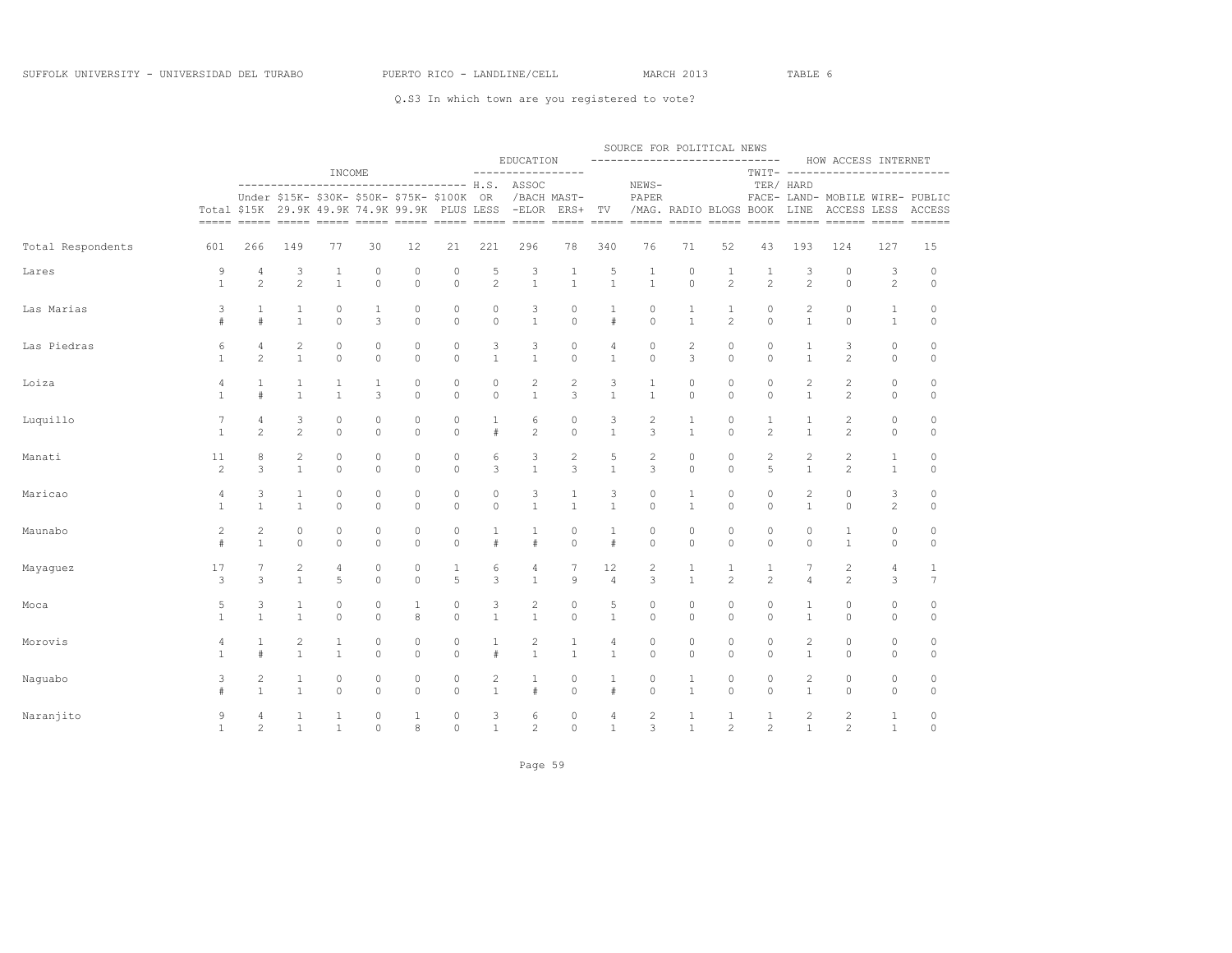| EDUCATION                                                                                                                                                                                                                 |                                |                                |                     | ------------------------------                                                                                                                                                                                                                                                                                                                                                                                                                                                                                                                                                    |                     | SOURCE FOR POLITICAL NEWS      |                                | HOW ACCESS INTERNET                            |                              |                                |
|---------------------------------------------------------------------------------------------------------------------------------------------------------------------------------------------------------------------------|--------------------------------|--------------------------------|---------------------|-----------------------------------------------------------------------------------------------------------------------------------------------------------------------------------------------------------------------------------------------------------------------------------------------------------------------------------------------------------------------------------------------------------------------------------------------------------------------------------------------------------------------------------------------------------------------------------|---------------------|--------------------------------|--------------------------------|------------------------------------------------|------------------------------|--------------------------------|
| INCOME<br>--------<br>----------------- H.S. ASSOC<br>----------------                                                                                                                                                    | ----------                     |                                | NEWS-               |                                                                                                                                                                                                                                                                                                                                                                                                                                                                                                                                                                                   |                     |                                | TER/ HARD                      | TWIT- -------------------------                |                              |                                |
| Under \$15K- \$30K- \$50K- \$75K- \$100K<br>OR<br>/BACH MAST-<br>Total \$15K 29.9K 49.9K 74.9K 99.9K PLUS LESS<br>$-ELOR$<br>$=====$<br>=====<br>$= = = = = =$                                                            | ERS+                           | TV                             | PAPER               | /MAG. RADIO BLOGS BOOK<br>$\begin{tabular}{lllll} \multicolumn{2}{l}{{\color{red}\boldsymbol{=}}} & \multicolumn{2}{l}{\color{blue}\boldsymbol{=}} & \multicolumn{2}{l}{\color{blue}\boldsymbol{=}} & \multicolumn{2}{l}{\color{blue}\boldsymbol{=}} & \multicolumn{2}{l}{\color{blue}\boldsymbol{=}} & \multicolumn{2}{l}{\color{blue}\boldsymbol{=}} & \multicolumn{2}{l}{\color{blue}\boldsymbol{=}} & \multicolumn{2}{l}{\color{blue}\boldsymbol{=}} & \multicolumn{2}{l}{\color{blue}\boldsymbol{=}} & \multicolumn{2}{l}{\color{blue}\boldsymbol{=}} & \multicolumn{2}{l}{$ |                     | $= = = = = =$                  | LINE<br>$=$ $=$ $=$ $=$ $=$    | FACE- LAND- MOBILE WIRE- PUBLIC<br>ACCESS LESS |                              | ACCESS                         |
| Total Respondents<br>30<br>221<br>266<br>149<br>77<br>12<br>21<br>296<br>601                                                                                                                                              | 78                             | 340                            | 76                  | 71                                                                                                                                                                                                                                                                                                                                                                                                                                                                                                                                                                                | 52                  | 43                             | 193                            | 124                                            | 127                          | 15                             |
| 3<br>9<br>$\circ$<br>$\circ$<br>0<br>5<br>3<br>4<br>1<br>Lares<br>$\mathbf{2}$<br>$\overline{c}$<br>$\mathbf{1}$<br>$\circ$<br>$\circ$<br>$\circ$<br>$\overline{c}$<br>$\mathbf{1}$<br>$\mathbf{1}$                       | $\mathbf{1}$<br>$\mathbf{1}$   | 5<br>$\mathbf{1}$              | 1<br>$\mathbf{1}$   | 0<br>$\mathbf 0$                                                                                                                                                                                                                                                                                                                                                                                                                                                                                                                                                                  | 1<br>$\overline{c}$ | 1<br>$\overline{c}$            | 3<br>$\overline{c}$            | $\circ$<br>$\mathbb O$                         | 3<br>$\overline{c}$          | 0<br>$\circ$                   |
| 3<br>$\mathbf{1}$<br>$\mathbf{1}$<br>$\circ$<br>$\mathbf{1}$<br>$\circ$<br>0<br>$\circ$<br>3<br>Las Marias<br>#<br>$\mathbf{1}$<br>$\circ$<br>3<br>$\circ$<br>#<br>$\circ$<br>$\circ$<br>$\mathbf{1}$                     | 0<br>$\circ$                   | 1<br>#                         | $\circ$<br>$\circ$  | $\mathbf{1}$<br>$\mathbf{1}$                                                                                                                                                                                                                                                                                                                                                                                                                                                                                                                                                      | 1<br>2              | $\circ$<br>$\circ$             | 2<br>$\mathbf{1}$              | $\circ$<br>$\circ$                             | $\mathbf{1}$<br>$\mathbf{1}$ | 0<br>$\circ$                   |
| $\mathbf{2}$<br>Las Piedras<br>$\circ$<br>0<br>$\circ$<br>0<br>3<br>3<br>6<br>4<br>$\mathbf{1}$<br>$\Omega$<br>$\Omega$<br>$\Omega$<br>$\mathbf{1}$<br>$\mathbf{1}$<br>$\mathfrak{D}$<br>$\Omega$<br>$\mathbf{1}$         | 0<br>$\Omega$                  | 4<br>$\mathbf{1}$              | 0<br>$\Omega$       | 2<br>3                                                                                                                                                                                                                                                                                                                                                                                                                                                                                                                                                                            | $\circ$<br>$\Omega$ | $\circ$<br>$\circ$             | 1<br>$\mathbf{1}$              | 3<br>$\overline{c}$                            | $\circ$<br>$\circ$           | 0<br>$\circ$                   |
| $\overline{c}$<br>Loiza<br>$\sqrt{4}$<br>$1\,$<br>$\circ$<br>0<br>$\circ$<br>1<br>1<br>1<br>3<br>#<br>$\mathbf{1}$<br>$\mathbf{1}$<br>$\circ$<br>$\circ$<br>$\circ$<br>$\mathbf{1}$<br>$\mathbf{1}$                       | $\mathbf{2}$<br>3              | 3<br>$\mathbf{1}$              | 1<br>$\mathbf{1}$   | $\circ$<br>$\circ$                                                                                                                                                                                                                                                                                                                                                                                                                                                                                                                                                                | $\circ$<br>$\circ$  | $\mathbb O$<br>$\circ$         | $\overline{c}$<br>$\mathbf{1}$ | $\overline{c}$<br>2                            | $\mathbb O$<br>$\circ$       | 0<br>$\circ$                   |
| 3<br>$\circ$<br>6<br>Luquillo<br>7<br>$\circ$<br>0<br>$\circ$<br>$\mathbf{1}$<br>4<br>$\mathbf{2}$<br>$\circ$<br>$\circ$<br>$\#$<br>$\mathbf{2}$<br>$\,1\,$<br>$\mathbf{2}$<br>$\circ$<br>$\circ$                         | $\circ$<br>$\mathsf{O}\xspace$ | 3<br>$1\,$                     | 2<br>3              | $\mathbf{1}$<br>$\mathbf{1}$                                                                                                                                                                                                                                                                                                                                                                                                                                                                                                                                                      | $\circ$<br>$\circ$  | $\mathbf{1}$<br>$\mathbf{2}$   | $\mathbf{1}$<br>$\mathbf{1}$   | $\overline{c}$<br>$\overline{c}$               | $\circ$<br>$\circ$           | 0<br>$\circ$                   |
| 8<br>$\overline{c}$<br>$\circ$<br>$\circ$<br>$\circ$<br>6<br>3<br>Manati<br>11<br>$\Omega$<br>2<br>$\mathbf{1}$<br>$\circ$<br>$\Omega$<br>$\Omega$<br>$\Omega$<br>3<br>$\mathbf{1}$<br>3                                  | $\mathbf{2}$<br>3              | 5<br>$\mathbf{1}$              | $\mathbf{2}$<br>3   | $\circ$<br>$\Omega$                                                                                                                                                                                                                                                                                                                                                                                                                                                                                                                                                               | $\circ$<br>$\Omega$ | $\overline{c}$<br>5            | $\overline{c}$<br>$\mathbf{1}$ | $\overline{c}$<br>$\overline{c}$               | $\mathbf{1}$<br>$\mathbf{1}$ | 0<br>$\circ$                   |
| 3<br>$\circ$<br>$\circ$<br>$\circ$<br>0<br>$\circ$<br>3<br>Maricao<br>4<br>$\mathbf{1}$<br>$\mathbf{1}$<br>$\mathbf{1}$<br>$\mathbf{1}$<br>$\Omega$<br>$\circ$<br>$\Omega$<br>$\circ$<br>$\mathbf{1}$<br>$\Omega$         | 1<br>$\mathbf{1}$              | 3<br>$\overline{1}$            | $\circ$<br>$\Omega$ | 1<br>$\mathbf{1}$                                                                                                                                                                                                                                                                                                                                                                                                                                                                                                                                                                 | $\circ$<br>$\Omega$ | $\circ$<br>$\circ$             | $\overline{c}$<br>$\mathbf{1}$ | $\circ$<br>$\circ$                             | 3<br>$\mathbf{2}$            | 0<br>$\circ$                   |
| $\overline{c}$<br>$\overline{c}$<br>$\circ$<br>$\circ$<br>0<br>$\circ$<br>0<br>1<br>1<br>Maunabo<br>#<br>$\mathbf{1}$<br>$\circ$<br>$\circ$<br>$\circ$<br>$\circ$<br>$\circ$<br>#<br>#                                    | 0<br>$\circ$                   | 1<br>#                         | 0<br>$\Omega$       | 0<br>$\circ$                                                                                                                                                                                                                                                                                                                                                                                                                                                                                                                                                                      | $\circ$<br>$\circ$  | $\mathbb O$<br>$\mathbb O$     | 0<br>$\Omega$                  | 1<br>$\mathbf{1}$                              | $\mathbb O$<br>$\circ$       | 0<br>$\circ$                   |
| $\mathbf{2}$<br>17<br>7<br>$\overline{4}$<br>$\circ$<br>$\circ$<br>$\mathbf{1}$<br>6<br>Mayaguez<br>4<br>$\mathbf{1}$<br>5<br>5<br>3<br>3<br>$\Omega$<br>$\Omega$<br>3<br>$\mathbf{1}$                                    | 7<br>$\circ$                   | 12<br>$\overline{4}$           | $\mathbf{2}$<br>3   | $\mathbf{1}$<br>$\mathbf{1}$                                                                                                                                                                                                                                                                                                                                                                                                                                                                                                                                                      | 1<br>$\mathfrak{D}$ | $\mathbf{1}$<br>$\overline{c}$ | 7<br>$\overline{4}$            | 2<br>$\overline{2}$                            | $\overline{4}$<br>3          | $\mathbf{1}$<br>$\overline{7}$ |
| 5<br>3<br>$\mathbb O$<br>3<br>$\mathbf{2}$<br>$\mathbf{1}$<br>$\circ$<br>$\circ$<br>$\mathbf{1}$<br>Moca<br>$\mathbf{1}$<br>$\mathbf{1}$<br>$\Omega$<br>8<br>$\circ$<br>$\mathbf{1}$<br>$\mathbf{1}$<br>$\mathbf{1}$<br>0 | $\circ$<br>$\circ$             | 5<br>$\mathbf{1}$              | $\circ$<br>$\circ$  | $\circ$<br>$\circ$                                                                                                                                                                                                                                                                                                                                                                                                                                                                                                                                                                | $\circ$<br>$\circ$  | $\mathbb O$<br>$\circ$         | 1<br>$\mathbf{1}$              | $\circ$<br>$\circ$                             | $\circ$<br>$\circ$           | 0<br>$\circ$                   |
| 2<br>0<br>$\overline{c}$<br>Morovis<br>$\sqrt{4}$<br>$\mathbf{1}$<br>$\circ$<br>0<br>$1\,$<br>1<br>#<br>$\mathbf{1}$<br>$\mathbf{1}$<br>$\circ$<br>$\circ$<br>$\circ$<br>$\#$<br>$\mathbf{1}$<br>$\mathbf{1}$             | $\mathbf{1}$<br>$\mathbf{1}$   | $\overline{4}$<br>$\mathbf{1}$ | $\circ$<br>$\circ$  | 0<br>$\circ$                                                                                                                                                                                                                                                                                                                                                                                                                                                                                                                                                                      | $\circ$<br>$\circ$  | $\circ$<br>$\circ$             | 2<br>$\mathbf{1}$              | $\circ$<br>$\circ$                             | $\circ$<br>$\circ$           | 0<br>$\circ$                   |
| Naguabo<br>2<br>$\circ$<br>$\circ$<br>2<br>3<br>$\mathbf{1}$<br>0<br>0<br>1<br>$\,1\,$<br>$\#$<br>#<br>$\mathbf{1}$<br>$\circ$<br>$\circ$<br>$\circ$<br>$\mathbf{1}$<br>$\circ$                                           | 0<br>$\circ$                   | 1<br>#                         | 0<br>$\mathbf 0$    | $\mathbf{1}$<br>$\mathbf{1}$                                                                                                                                                                                                                                                                                                                                                                                                                                                                                                                                                      | $\circ$<br>$\circ$  | $\circ$<br>$\circ$             | 2<br>$\mathbf{1}$              | $\circ$<br>$\circ$                             | $\circ$<br>$\circ$           | 0<br>$\circ$                   |
| Naranjito<br>9<br>$\circ$<br>$\circ$<br>3<br>6<br>1<br>1<br>1<br>4<br>$\overline{c}$<br>$\mathbf{1}$<br>$\mathbf{1}$<br>8<br>$\mathbf{1}$<br>$\mathbf{2}$<br>$\mathbf{1}$<br>$\Omega$<br>$\Omega$                         | $\circ$<br>$\circ$             | 4<br>$\mathbf{1}$              | 2<br>3              | 1<br>$\mathbf{1}$                                                                                                                                                                                                                                                                                                                                                                                                                                                                                                                                                                 | 1<br>$\overline{c}$ | $\mathbf{1}$<br>$\overline{c}$ | 2<br>$\mathbf{1}$              | $\overline{c}$<br>$\overline{c}$               | $\mathbf{1}$<br>$\mathbf{1}$ | $\circ$<br>$\circ$             |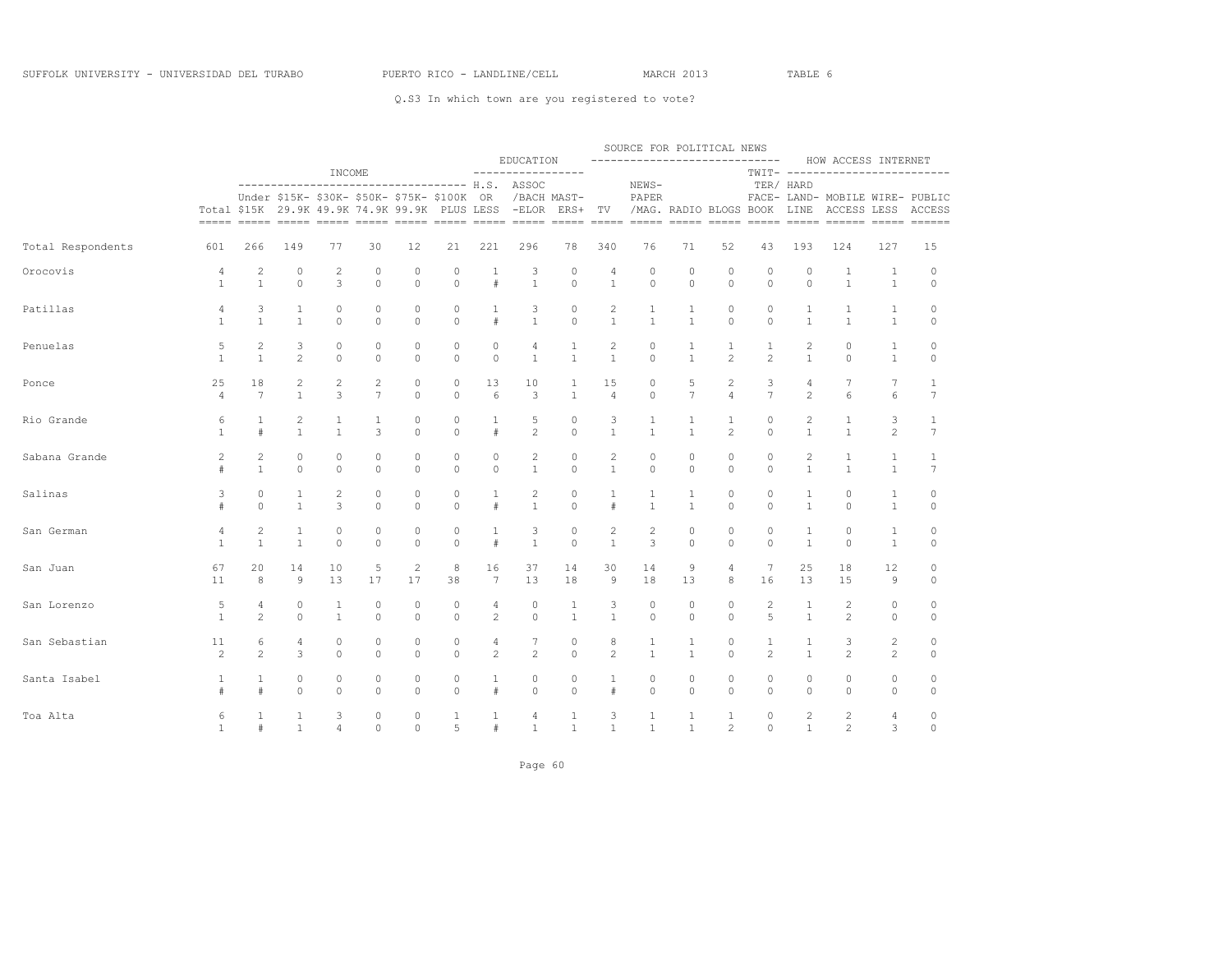|                   |                |                     |                                                                                           |                |                    |                    |               |                 | EDUCATION                                                                       |                         |                | SOURCE FOR POLITICAL NEWS<br>----------------------------- |                   |                        |                     |                              | HOW ACCESS INTERNET                                                               |                              |                    |
|-------------------|----------------|---------------------|-------------------------------------------------------------------------------------------|----------------|--------------------|--------------------|---------------|-----------------|---------------------------------------------------------------------------------|-------------------------|----------------|------------------------------------------------------------|-------------------|------------------------|---------------------|------------------------------|-----------------------------------------------------------------------------------|------------------------------|--------------------|
|                   |                |                     | Under \$15K- \$30K- \$50K- \$75K- \$100K<br>Total \$15K 29.9K 49.9K 74.9K 99.9K PLUS LESS | INCOME         |                    |                    |               | OR.             | -----------------<br>------------------------------------ H.S. ASSOC<br>$-ELOR$ | /BACH MAST-<br>ERS+     | TV             | NEWS-<br>PAPER                                             |                   | /MAG. RADIO BLOGS BOOK |                     | TER/ HARD<br>LINE            | TWIT- -------------------------<br>FACE- LAND- MOBILE WIRE- PUBLIC<br>ACCESS LESS |                              | ACCESS             |
| Total Respondents | 601            | 266                 | 149                                                                                       | 77             | 30                 | 12                 | 21            | 221             | 296                                                                             | 78                      | 340            | 76                                                         | 71                | 52                     | 43                  | 193                          | 124                                                                               | 127                          | 15                 |
| Orocovis          | 4              | $\overline{c}$      | $\circ$                                                                                   | 2              | $\circ$            | $\circ$            | 0             | 1               | 3                                                                               | $\circ$                 | 4              | $\mathbb O$                                                | $\circ$           | $\circ$                | $\circ$             | $\circ$                      | 1                                                                                 | $\mathbf{1}$                 | $\circ$            |
|                   | $\mathbf{1}$   | $\mathbf{1}$        | $\circ$                                                                                   | 3              | $\circ$            | $\circ$            | $\circ$       | $\#$            | $\mathbf{1}$                                                                    | $\circ$                 | $\mathbf{1}$   | $\circ$                                                    | $\circ$           | $\circ$                | $\circ$             | $\circ$                      | $\mathbf{1}$                                                                      | $\mathbf{1}$                 | $\circ$            |
| Patillas          | 4              | 3                   | 1                                                                                         | 0              | $\circ$            | 0                  | 0             | 1               | 3                                                                               | $\mathbb O$             | $\overline{c}$ | $\mathbf{1}$                                               | 1                 | 0                      | $\circ$             | 1                            | 1                                                                                 | 1                            | $\circ$            |
|                   | $\mathbf{1}$   | $\mathbf{1}$        | $\mathbf{1}$                                                                              | $\Omega$       | $\circ$            | $\circ$            | $\circ$       | $\#$            | $\mathbf{1}$                                                                    | $\circ$                 | $\mathbf{1}$   | $\mathbf{1}$                                               | $\mathbf{1}$      | $\circ$                | $\circ$             | $\mathbf{1}$                 | $\mathbf{1}$                                                                      | $\mathbf{1}$                 | $\circ$            |
| Penuelas          | 5              | 2                   | 3                                                                                         | $\circ$        | $\circ$            | $\circ$            | $\circ$       | $\circ$         | 4                                                                               | 1                       | 2              | $\circ$                                                    | $\mathbf{1}$      | 1                      | $\mathbf{1}$        | $\mathbf{2}$                 | $\circ$                                                                           | $\mathbf{1}$                 | $\circ$            |
|                   | $\mathbf{1}$   | $\mathbf{1}$        | $\overline{c}$                                                                            | $\Omega$       | $\Omega$           | $\Omega$           | $\Omega$      | $\circ$         | $\mathbf{1}$                                                                    | $\mathbf{1}$            | $\mathbf{1}$   | $\Omega$                                                   | $\mathbf{1}$      | $\overline{2}$         | $\overline{c}$      | $\mathbf{1}$                 | $\Omega$                                                                          | $\mathbf{1}$                 | $\circ$            |
| Ponce             | 25             | 18                  | $\overline{c}$                                                                            | $\overline{c}$ | $\overline{c}$     | $\circ$            | $\circ$       | 13              | 10                                                                              | 1                       | 15             | $\circ$                                                    | 5                 | $\mathbf{2}$           | 3                   | 4                            | $7\phantom{.0}$                                                                   | 7                            | $\mathbf{1}$       |
|                   | $\overline{4}$ | $7\phantom{.0}$     | $\mathbf{1}$                                                                              | 3              | $\overline{7}$     | $\Omega$           | $\Omega$      | 6               | 3                                                                               | $\mathbf{1}$            | $\overline{4}$ | $\circ$                                                    | $\overline{7}$    | $\overline{4}$         | $7\overline{ }$     | $\overline{c}$               | 6                                                                                 | 6                            | $7\overline{ }$    |
| Rio Grande        | 6              | $\mathbf{1}$        | $\overline{c}$                                                                            | $\mathbf{1}$   | 1                  | $\circ$            | $\mathbb O$   | $\mathbf{1}$    | 5                                                                               | $\circ$                 | 3              | $\mathbf{1}$                                               | 1                 | $\mathbf{1}$           | $\circ$             | $\overline{c}$               | $\mathbf{1}$                                                                      | 3                            | $\mathbf{1}$       |
|                   | $\mathbf{1}$   | #                   | $\mathbf{1}$                                                                              | $\mathbf{1}$   | 3                  | $\Omega$           | $\circ$       | $\#$            | $\overline{2}$                                                                  | $\circ$                 | $\mathbf{1}$   | $\mathbf{1}$                                               | $\mathbf{1}$      | $\overline{2}$         | $\Omega$            | $\mathbf{1}$                 | $\mathbf{1}$                                                                      | $\overline{c}$               | $7\overline{ }$    |
| Sabana Grande     | 2              | 2                   | $\circ$                                                                                   | 0              | $\circ$            | $\circ$            | $\circ$       | $\circ$         | 2                                                                               | $\circ$                 | 2              | $\circ$                                                    | $\circ$           | $\circ$                | $\circ$             | 2                            | 1                                                                                 | $\mathbf{1}$                 | 1                  |
|                   | #              | $\mathbf{1}$        | $\circ$                                                                                   | $\Omega$       | $\Omega$           | $\Omega$           | $\Omega$      | $\Omega$        | $\mathbf{1}$                                                                    | $\circ$                 | $\overline{1}$ | $\Omega$                                                   | $\Omega$          | $\Omega$               | $\Omega$            | $\mathbf{1}$                 | $\mathbf{1}$                                                                      | $\mathbf{1}$                 | $7\phantom{.0}$    |
| Salinas           | 3              | $\circ$<br>$\Omega$ | 1<br>$\mathbf{1}$                                                                         | 2<br>3         | $\circ$<br>$\circ$ | $\circ$<br>$\circ$ | 0<br>$\Omega$ | 1<br>#          | 2<br>$\mathbf{1}$                                                               | $\circ$<br>$\mathbf{0}$ | 1<br>$\#$      | $\mathbf{1}$<br>$\mathbf{1}$                               | 1<br>$\mathbf{1}$ | $\circ$<br>$\Omega$    | $\circ$<br>$\Omega$ | $\mathbf{1}$<br>$\mathbf{1}$ | $\circ$<br>$\circ$                                                                | $\mathbf{1}$<br>$\mathbf{1}$ | $\circ$<br>$\circ$ |
| San German        | 4              | $\overline{c}$      | $\mathbf{1}$                                                                              | 0              | $\circ$            | $\circ$            | 0             | 1               | 3                                                                               | $\circ$                 | $\overline{c}$ | $\overline{c}$                                             | $\circ$           | $\circ$                | $\circ$             | $\mathbf{1}$                 | $\circ$                                                                           | $\mathbf{1}$                 | 0                  |
|                   | $\mathbf{1}$   | $\mathbf{1}$        | $\mathbf{1}$                                                                              | $\circ$        | $\circ$            | $\circ$            | $\circ$       | #               | $\mathbf{1}$                                                                    | $\circ$                 | 1              | 3                                                          | $\circ$           | $\circ$                | $\circ$             | 1                            | $\circ$                                                                           | $\mathbf{1}$                 | $\circ$            |
| San Juan          | 67             | 20                  | 14                                                                                        | 10             | 5                  | $\mathbf{2}$       | 8             | 16              | 37                                                                              | 14                      | 30             | 14                                                         | 9                 | 4                      | 7                   | 25                           | 18                                                                                | 12                           | 0                  |
|                   | 11             | 8                   | 9                                                                                         | 13             | 17                 | 17                 | 38            | $7\phantom{.0}$ | 13                                                                              | 18                      | 9              | 18                                                         | 13                | 8                      | 16                  | 13                           | 15                                                                                | $\overline{9}$               | 0                  |
| San Lorenzo       | 5              | $\overline{4}$      | $\circ$                                                                                   | 1              | $\circ$            | $\circ$            | $\circ$       | 4               | $\circ$                                                                         | 1                       | 3              | $\circ$                                                    | $\circ$           | $\circ$                | $\mathbf{2}$        | 1                            | $\overline{c}$                                                                    | $\circ$                      | $\circ$            |
|                   | $\mathbf{1}$   | $\overline{2}$      | $\circ$                                                                                   | $\mathbf{1}$   | $\circ$            | $\circ$            | $\circ$       | $\overline{c}$  | $\circ$                                                                         | $\mathbf{1}$            | $\mathbf{1}$   | $\circ$                                                    | $\circ$           | $\circ$                | 5                   | $\mathbf{1}$                 | $\overline{c}$                                                                    | $\circ$                      | $\mathbb O$        |
| San Sebastian     | 11             | 6                   | 4                                                                                         | 0              | $\circ$            | 0                  | 0             | 4               | 7                                                                               | $\circ$                 | 8              | 1                                                          | 1                 | $\circ$                | $\mathbf{1}$        | 1                            | 3                                                                                 | $\overline{c}$               | $\circ$            |
|                   | $\mathbf{2}$   | $\overline{c}$      | 3                                                                                         | $\circ$        | $\circ$            | $\circ$            | $\circ$       | $\mathbf{2}$    | 2                                                                               | $\circ$                 | 2              | $\mathbf{1}$                                               | $\mathbf{1}$      | $\circ$                | $\mathbf{2}$        | $\mathbf{1}$                 | 2                                                                                 | $\mathbf{2}^{\prime}$        | $\circ$            |
| Santa Isabel      | 1              | 1                   | $\circ$                                                                                   | 0              | 0                  | 0                  | 0             | 1               | 0                                                                               | $\circ$                 | 1              | 0                                                          | 0                 | 0                      | 0                   | 0                            | $\circ$                                                                           | $\circ$                      | 0                  |
|                   | #              | $\#$                | $\Omega$                                                                                  | $\Omega$       | $\Omega$           | $\Omega$           | $\Omega$      | $\#$            | $\Omega$                                                                        | $\mathbf{0}$            | $\#$           | $\Omega$                                                   | $\Omega$          | $\Omega$               | $\Omega$            | $\Omega$                     | $\Omega$                                                                          | $\circ$                      | $\circ$            |
| Toa Alta          | 6              | $\mathbf{1}$        | $\mathbf{1}$                                                                              | 3              | $\circ$            | $\circ$            | $\mathbf{1}$  | $\mathbf{1}$    | 4                                                                               | 1                       | 3              | $\mathbf{1}$                                               | $\mathbf{1}$      | $\mathbf{1}$           | $\Omega$            | $\overline{c}$               | $\overline{c}$                                                                    | 4                            | 0                  |
|                   | $\mathbf{1}$   | #                   | $\mathbf{1}$                                                                              | 4              | $\Omega$           | $\circ$            | 5             | $\#$            | $\mathbf{1}$                                                                    | $\mathbf{1}$            | $\mathbf{1}$   | $\mathbf{1}$                                               | $\mathbf{1}$      | $\overline{c}$         | $\Omega$            | $\mathbf{1}$                 | $\overline{c}$                                                                    | 3                            | $\circ$            |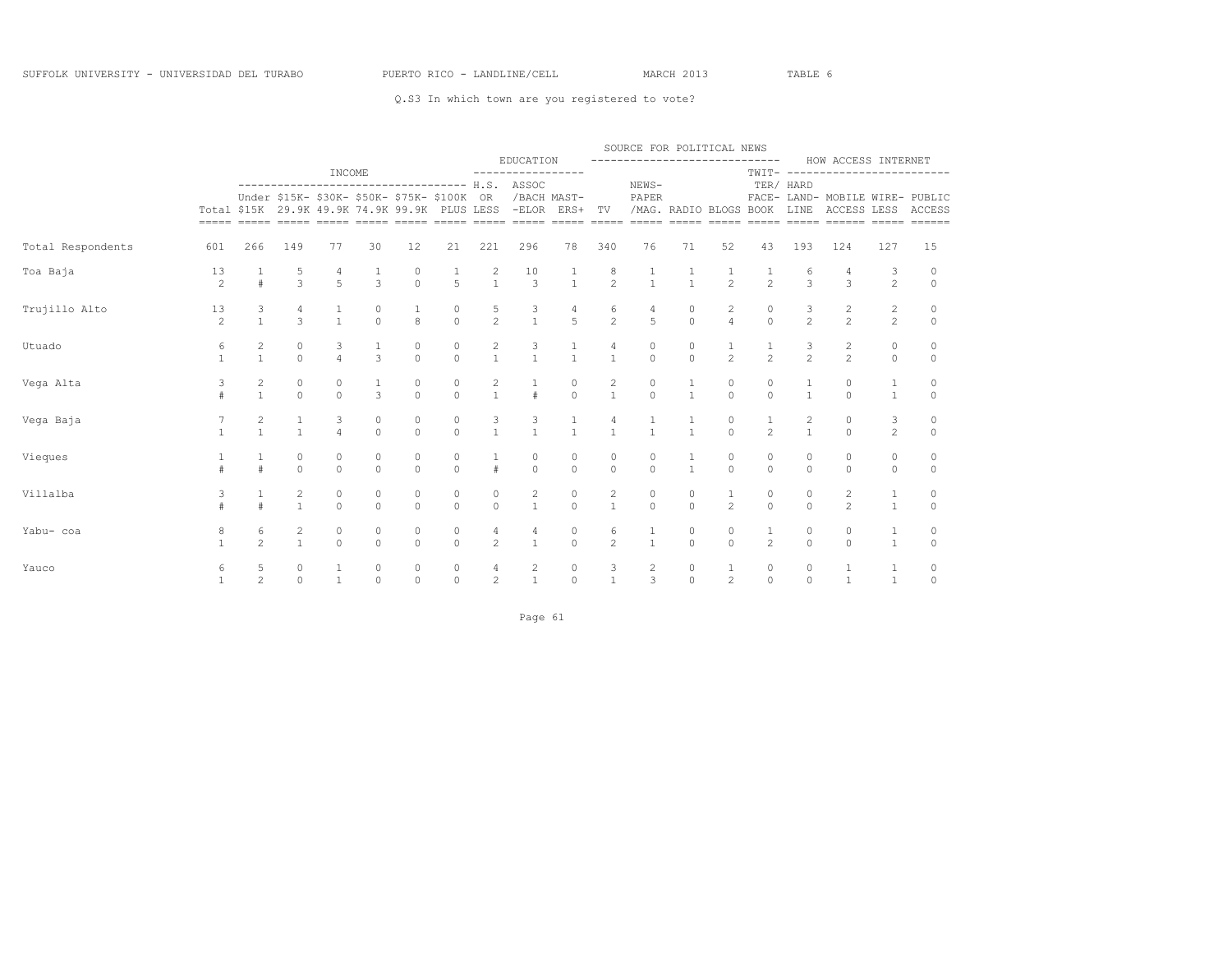|                   |                      |                                |                                       |                     |                                      |                                             |                                                       |                                       |                                                                                                                                            |                                      |                                       | SOURCE FOR POLITICAL NEWS                          |                                      |                                |                                      |                     |                                                       |                                  |                      |
|-------------------|----------------------|--------------------------------|---------------------------------------|---------------------|--------------------------------------|---------------------------------------------|-------------------------------------------------------|---------------------------------------|--------------------------------------------------------------------------------------------------------------------------------------------|--------------------------------------|---------------------------------------|----------------------------------------------------|--------------------------------------|--------------------------------|--------------------------------------|---------------------|-------------------------------------------------------|----------------------------------|----------------------|
|                   |                      |                                |                                       | INCOME              |                                      |                                             |                                                       |                                       | EDUCATION<br>-----------------                                                                                                             |                                      |                                       | -----------------------------                      |                                      |                                | $TWIT----$                           |                     | HOW ACCESS INTERNET<br>--------------------           |                                  |                      |
|                   |                      |                                |                                       |                     |                                      | Under \$15K- \$30K- \$50K- \$75K- \$100K OR |                                                       |                                       | ------------------------------------ H.S. ASSOC<br>Total \$15K 29.9K 49.9K 74.9K 99.9K PLUS LESS -ELOR ERS+ TV /MAG. RADIO BLOGS BOOK LINE | /BACH MAST-                          |                                       | NEWS-<br>PAPER                                     |                                      |                                |                                      | TER/ HARD           | FACE- LAND- MOBILE WIRE- PUBLIC<br>ACCESS LESS ACCESS |                                  |                      |
| Total Respondents | 601                  | 266                            | 149                                   | 77                  | 30                                   | 12                                          | 21                                                    | 221                                   | 296                                                                                                                                        | 78                                   | 340                                   | 76                                                 | 71                                   | 52                             | 43                                   | 193                 | 124                                                   | 127                              | 15                   |
| Toa Baja          | 13<br>$\overline{c}$ | #                              | $\frac{5}{3}$                         | $5\overline{)}$     | $\frac{1}{3}$                        | 0<br>$\circ$                                | $\frac{1}{5}$                                         | $\begin{array}{c} 2 \\ 1 \end{array}$ | 10<br>$\overline{\phantom{a}}$                                                                                                             | $\frac{1}{1}$                        | $\begin{matrix} 8 \\ 2 \end{matrix}$  | $\begin{array}{cccc}\n1 & 1 \\ 1 & 1\n\end{array}$ |                                      | $\frac{1}{2}$                  | $\frac{1}{2}$                        | 6<br>$\overline{3}$ | $\overline{3}$                                        | 3<br>$\overline{2}$              | $\circ$<br>$\circ$   |
| Trujillo Alto     | 13<br>$\overline{c}$ | $\frac{3}{1}$                  | 4<br>$\overline{\mathbf{3}}$          | $\frac{1}{1}$       | $\begin{matrix} 0 \\ 0 \end{matrix}$ | $\frac{1}{8}$                               | $\begin{matrix} & & 0 \\ & & 0 \\ & & 0 \end{matrix}$ | $\frac{5}{2}$                         | $\begin{array}{c} 3 \\ 1 \end{array}$                                                                                                      | $\frac{4}{5}$                        | $\begin{array}{c} 6 \\ 2 \end{array}$ | $\frac{4}{5}$                                      | $\begin{matrix} 0 \\ 0 \end{matrix}$ | $\frac{2}{4}$                  | $\begin{matrix} 0 \\ 0 \end{matrix}$ | $\frac{3}{2}$       | $\frac{2}{2}$                                         | $\overline{2}$<br>$\overline{2}$ | 0<br>$\circ$         |
| Utuado            | 6<br>$\mathbf{1}$    | $\overline{c}$<br>$\mathbf{1}$ | $\circ$<br>$\Omega$                   | $\frac{3}{4}$       | $\frac{1}{3}$                        | 0<br>$\Omega$                               | $\circ$<br>$\Omega$                                   | $\frac{2}{1}$                         | $\begin{array}{c} 3 \\ 1 \end{array}$                                                                                                      | $\frac{1}{1}$                        | 4<br>$\overline{1}$                   | $\circ$<br>$\overline{0}$                          | $\circ$<br>$\Omega$                  | $\frac{1}{2}$                  | $\frac{1}{2}$                        | $\frac{3}{2}$       | $\frac{2}{2}$                                         | 0<br>$\Omega$                    | $\Omega$<br>$\Omega$ |
| Vega Alta         | 3<br>#               | $\overline{c}$<br>$\mathbf{1}$ | $\circ$<br>$\Omega$                   | $\circ$<br>$\Omega$ | $\overline{3}$                       | 0<br>$\Omega$                               | $\circ$<br>$\Omega$                                   | $\frac{2}{1}$                         | #                                                                                                                                          | $\begin{matrix}0\\0\end{matrix}$     | $\overline{c}$<br>$\overline{1}$      | $\circ$<br>$\Omega$                                | $\mathbf{1}$                         | 0<br>$\Omega$                  | 0<br>$\Omega$                        | $\mathbf{1}$        | 0<br>$\Omega$                                         | 1<br>$\mathbf{1}$                | 0<br>$\Omega$        |
| Vega Baja         |                      | $\frac{2}{1}$                  | $\mathbf{1}$<br>$\mathbf{1}$          | 3<br>$\overline{4}$ | $\circ$<br>$\Omega$                  | 0<br>$\Omega$                               | $\circ$<br>$\Omega$                                   | 3<br>$\mathbf{1}$                     | $\frac{3}{1}$                                                                                                                              | $\mathbf{1}$                         | $\mathbf{1}$                          | $\frac{1}{1}$                                      | $\mathbf{1}$                         | 0<br>$\Omega$                  | 1<br>$\overline{2}$                  | 2<br>$\mathbf{1}$   | 0<br>$\Omega$                                         | 3<br>$\overline{2}$              | 0<br>$\Omega$        |
| Vieques           | #                    | $\mathbf{1}$<br>#              | 0<br>$\Omega$                         | $\circ$<br>$\Omega$ | $\circ$<br>$\Omega$                  | 0<br>$\Omega$                               | $\circ$<br>$\Omega$                                   | $\mathbf{1}$<br>$\pm$                 | $\circ$<br>$\Omega$                                                                                                                        | $\mathbb O$<br>$\Omega$              | 0<br>$\Omega$                         | $\circ$<br>$\Omega$                                | $\mathbf{1}$                         | $\circ$<br>$\Omega$            | 0<br>$\cap$                          | 0<br>$\Omega$       | $\circ$<br>$\Omega$                                   | $\circ$<br>$\Omega$              | $\circ$<br>$\Omega$  |
| Villalba          | 3<br>#               | $\mathbf{1}$<br>#              | $\overline{c}$<br>$\overline{1}$      | $\circ$<br>$\Omega$ | $\circ$<br>$\Omega$                  | 0<br>$\Omega$                               | $\circ$<br>$\Omega$                                   | $\circ$<br>$\Omega$                   | $\mathbf{2}$<br>$\mathbf{1}$                                                                                                               | $\circ$<br>$\Omega$                  | 2<br>$\mathbf{1}$                     | $\circ$<br>$\Omega$                                | $\circ$<br>$\Omega$                  | $\mathbf{1}$<br>$\overline{2}$ | 0<br>$\Omega$                        | 0<br>$\Omega$       | $\overline{c}$<br>$\mathfrak{D}$                      | $\mathbf{1}$<br>$\mathbf{1}$     | $\circ$<br>$\circ$   |
| Yabu- coa         | 8<br>$\mathbf{1}$    | 6<br>$\overline{c}$            | $\begin{array}{c} 2 \\ 1 \end{array}$ | $\circ$<br>$\Omega$ | 0<br>$\Omega$                        | 0<br>$\Omega$                               | $\circ$<br>$\Omega$                                   | 4<br>$\overline{c}$                   | $\overline{4}$<br>$\mathbf{1}$                                                                                                             | $\begin{matrix}0\\0\end{matrix}$     | 6<br>$\overline{2}$                   | $\frac{1}{1}$                                      | 0<br>$\Omega$                        | 0<br>$\Omega$                  | $\mathbf{1}$<br>$\overline{2}$       | 0<br>$\Omega$       | 0<br>$\Omega$                                         | $\mathbf 1$<br>$\mathbf{1}$      | 0<br>$\mathbf{0}$    |
| Yauco             | 6<br>$\mathbf{1}$    | 5<br>$\mathfrak{D}$            | $\circ$<br>$\cap$                     | $\frac{1}{1}$       | 0<br>$\Omega$                        | 0<br>$\Omega$                               | $\begin{matrix} 0 \\ 0 \end{matrix}$                  | $\overline{4}$<br>$\overline{2}$      | $\begin{array}{c} 2 \\ 1 \end{array}$                                                                                                      | $\begin{matrix} 0 \\ 0 \end{matrix}$ | $\frac{3}{1}$                         | $\frac{2}{3}$                                      | $\begin{matrix} 0 \\ 0 \end{matrix}$ | $\frac{1}{2}$                  | 0<br>$\Omega$                        | 0<br>$\Omega$       | $\frac{1}{1}$                                         | $\mathbf{1}$<br>$\mathbf{1}$     | 0<br>$\Omega$        |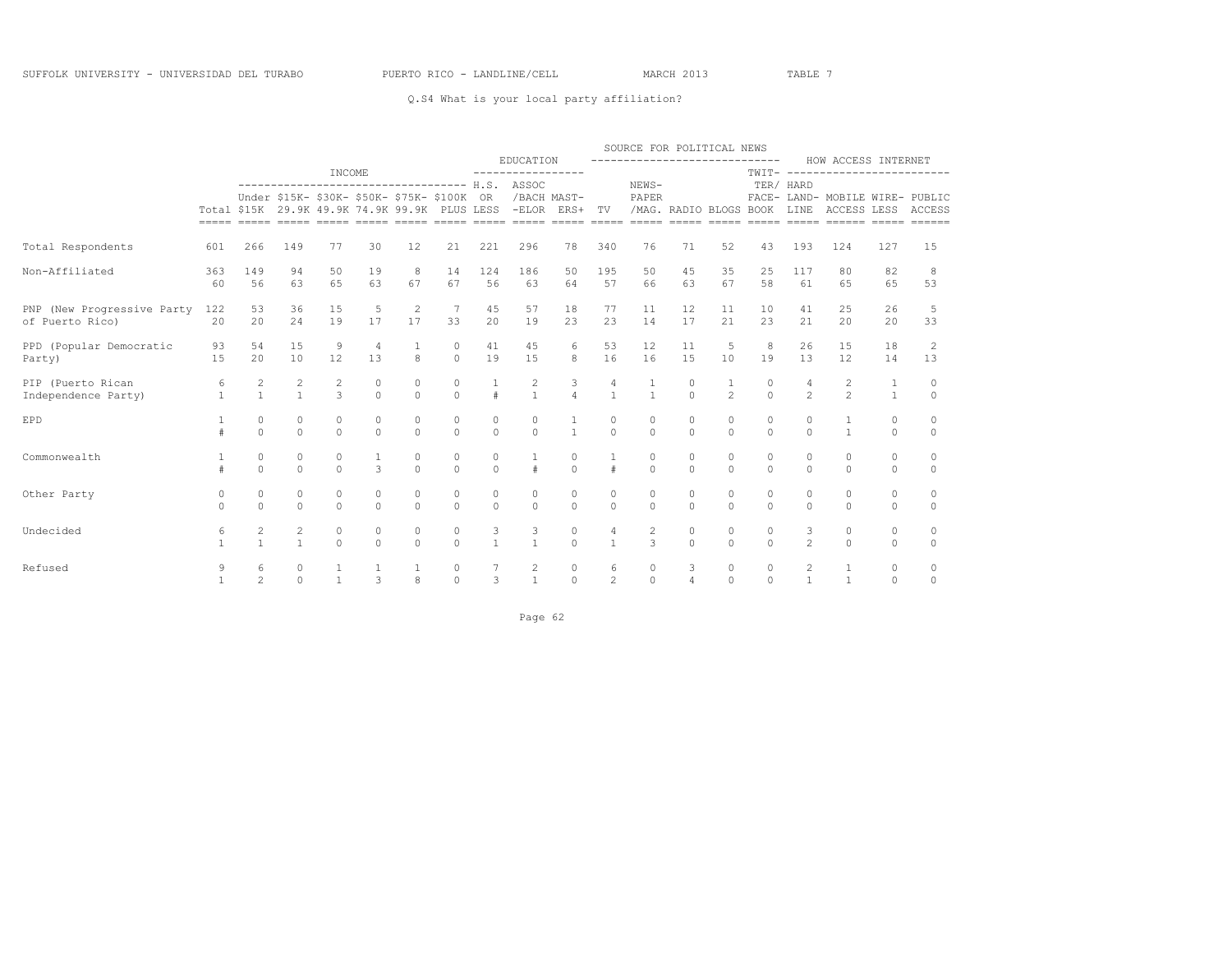### Q.S4 What is your local party affiliation?

|                                               |                      |                                |                                |                      |                                             |                      |                                      |                      |                                                                                                                                                           |                                      |                      | SOURCE FOR POLITICAL NEWS       |                      |                                |                      |                                |                                                                                                                                                                                |                      |                      |
|-----------------------------------------------|----------------------|--------------------------------|--------------------------------|----------------------|---------------------------------------------|----------------------|--------------------------------------|----------------------|-----------------------------------------------------------------------------------------------------------------------------------------------------------|--------------------------------------|----------------------|---------------------------------|----------------------|--------------------------------|----------------------|--------------------------------|--------------------------------------------------------------------------------------------------------------------------------------------------------------------------------|----------------------|----------------------|
|                                               |                      |                                |                                | INCOME               |                                             |                      |                                      |                      | EDUCATION<br>-----------------                                                                                                                            |                                      |                      | -----------------------------   |                      |                                |                      |                                | HOW ACCESS INTERNET<br>TWIT- -------------------------                                                                                                                         |                      |                      |
|                                               |                      |                                |                                |                      | Under \$15K- \$30K- \$50K- \$75K- \$100K OR |                      |                                      |                      | ------------------------------------ H.S. ASSOC<br>/BACH MAST-<br>Total \$15K 29.9K 49.9K 74.9K 99.9K PLUS LESS -ELOR ERS+ TV /MAG. RADIO BLOGS BOOK LINE |                                      |                      | NEWS-<br>PAPER                  |                      |                                |                      | TER/ HARD                      | FACE- LAND- MOBILE WIRE- PUBLIC<br>ACCESS LESS ACCESS<br><u>soom ooder ooder ooder ooder ooder ooder ooder ooder ooder ooder ooder ooder ooder ooder ooder ooder ooder ood</u> |                      |                      |
| Total Respondents<br>601                      |                      | 266                            | 149                            | 77                   | 30                                          | 12                   | 21                                   | 221                  | 296                                                                                                                                                       | 78                                   | 340                  | 76                              | 71                   | 52                             | 43                   | 193                            | 124                                                                                                                                                                            | 127                  | 15                   |
| Non-Affiliated                                | 363<br>60            | 149<br>56                      | 94<br>63                       | 50<br>65             | 19<br>63                                    | 8<br>67              | 14<br>67                             | 124<br>56            | 186<br>63                                                                                                                                                 | 50<br>64                             | 195<br>57            | 50<br>66                        | 45<br>63             | 35<br>67                       | 25<br>58             | 117<br>61                      | 80<br>65                                                                                                                                                                       | 82<br>65             | 8<br>53              |
| PNP (New Progressive Party<br>of Puerto Rico) | 122<br>20            | 53<br>20                       | 36<br>24                       | 15<br>19             | 5<br>17                                     | 2<br>17              | 7<br>33                              | 45<br>20             | 57<br>19                                                                                                                                                  | 18<br>23                             | 77<br>23             | 11<br>14                        | 12<br>17             | 11<br>21                       | 10<br>23             | 41<br>21                       | 25<br>20                                                                                                                                                                       | 26<br>20             | -5<br>33             |
| PPD (Popular Democratic<br>Party)             | 93<br>15             | 54<br>20                       | 15<br>10                       | 9<br>12              | $\overline{4}$<br>13                        | 8                    | $\circ$<br>$\Omega$                  | 41<br>19             | 45<br>1.5                                                                                                                                                 | 6<br>8                               | 53<br>16             | 12<br>16                        | 11<br>15             | 5<br>10                        | 8<br>19              | 26<br>13                       | 15<br>12                                                                                                                                                                       | 18<br>14             | 2<br>13              |
| PIP (Puerto Rican<br>Independence Party)      | 6<br>$\mathbf{1}$    | $\overline{c}$<br>$\mathbf{1}$ | $\overline{c}$<br>$\mathbf{1}$ | 2<br>$\mathcal{L}$   | 0<br>$\Omega$                               | 0<br>$\Omega$        | $\circ$<br>$\Omega$                  | $\pm$                | $\frac{2}{1}$                                                                                                                                             | 3<br>$\overline{4}$                  | 4<br>$\mathbf{1}$    | 1<br>$\overline{1}$             | 0<br>$\Omega$        | $\mathbf{1}$<br>$\overline{2}$ | 0<br>$\Omega$        | 4<br>$\mathfrak{D}$            | 2<br>$\overline{2}$                                                                                                                                                            | 1<br>$\mathbf{1}$    | 0<br>$\Omega$        |
| EPD                                           |                      | $\circ$<br>$\Omega$            | $\circ$<br>$\Omega$            | $\Omega$<br>$\Omega$ | 0<br>$\Omega$                               | $\Omega$<br>$\Omega$ | $\Omega$<br>$\Omega$                 | $\circ$<br>$\cap$    | 0<br>$\Omega$                                                                                                                                             | $\mathbf{1}$                         | $\Omega$<br>$\Omega$ | $\circ$<br>$\Omega$             | $\Omega$<br>$\Omega$ | $\Omega$<br>$\Omega$           | 0<br>$\Omega$        | $\Omega$<br>$\Omega$           | 1<br>$\mathbf{1}$                                                                                                                                                              | 0<br>$\cap$          | 0<br>$\Omega$        |
| Commonwealth                                  | #                    | $\circ$<br>$\Omega$            | $\circ$<br>$\cap$              | $\circ$<br>$\Omega$  | $\mathcal{L}$                               | $\Omega$<br>$\Omega$ | $\circ$<br>$\Omega$                  | $\circ$<br>$\cap$    | $\mathbf{1}$<br>$\pm$                                                                                                                                     | 0<br>$\cap$                          |                      | $\circ$<br>$\Omega$             | $\Omega$<br>$\cap$   | $\Omega$<br>$\Omega$           | $\Omega$<br>$\Omega$ | $\Omega$<br>$\Omega$           | $\circ$<br>$\Omega$                                                                                                                                                            | $\Omega$<br>$\Omega$ | 0<br>$\circ$         |
| Other Party                                   | $\Omega$<br>$\Omega$ | $\circ$<br>$\Omega$            | $\circ$<br>$\Omega$            | $\circ$<br>$\Omega$  | 0<br>$\Omega$                               | $\Omega$<br>$\Omega$ | $\circ$<br>$\Omega$                  | $\circ$<br>$\Omega$  | $\circ$<br>$\Omega$                                                                                                                                       | 0<br>$\Omega$                        | 0<br>$\Omega$        | $\circ$<br>$\Omega$             | $\Omega$<br>$\Omega$ | $\Omega$<br>$\Omega$           | 0<br>$\Omega$        | 0<br>$\Omega$                  | $\circ$<br>$\Omega$                                                                                                                                                            | 0<br>$\circ$         | 0<br>$\circ$         |
| Undecided                                     | 6<br>$\mathbf{1}$    | $\overline{c}$<br>$\mathbf{1}$ | $\overline{c}$<br>$\mathbf{1}$ | $\circ$<br>$\Omega$  | 0<br>$\Omega$                               | 0<br>$\Omega$        | $\circ$<br>$\Omega$                  | 3<br>$\mathbf{1}$    | $\frac{3}{1}$                                                                                                                                             | 0<br>$\Omega$                        | 4<br>$\mathbf{1}$    | $\overline{c}$<br>$\mathcal{L}$ | $\circ$<br>$\Omega$  | $\circ$<br>$\Omega$            | 0<br>$\Omega$        | 3<br>$\overline{2}$            | 0<br>$\Omega$                                                                                                                                                                  | 0<br>$\Omega$        | $\circ$<br>$\Omega$  |
| Refused                                       | 9<br>$\mathbf{1}$    | 6<br>$\mathfrak{D}$            | 0<br>$\Omega$                  | $\frac{1}{1}$        | $\frac{1}{3}$                               | $\frac{1}{8}$        | $\begin{matrix} 0 \\ 0 \end{matrix}$ | $7\phantom{.0}$<br>3 | $\begin{array}{c} 2 \\ 1 \end{array}$                                                                                                                     | $\begin{matrix} 0 \\ 0 \end{matrix}$ | 6<br>$\mathcal{P}$   | 0<br>$\Omega$                   | $\frac{3}{4}$        | $\circ$<br>$\Omega$            | $\circ$<br>$\cap$    | $\overline{c}$<br>$\mathbf{1}$ | 1<br>$\overline{1}$                                                                                                                                                            | 0<br>$\Omega$        | $\Omega$<br>$\Omega$ |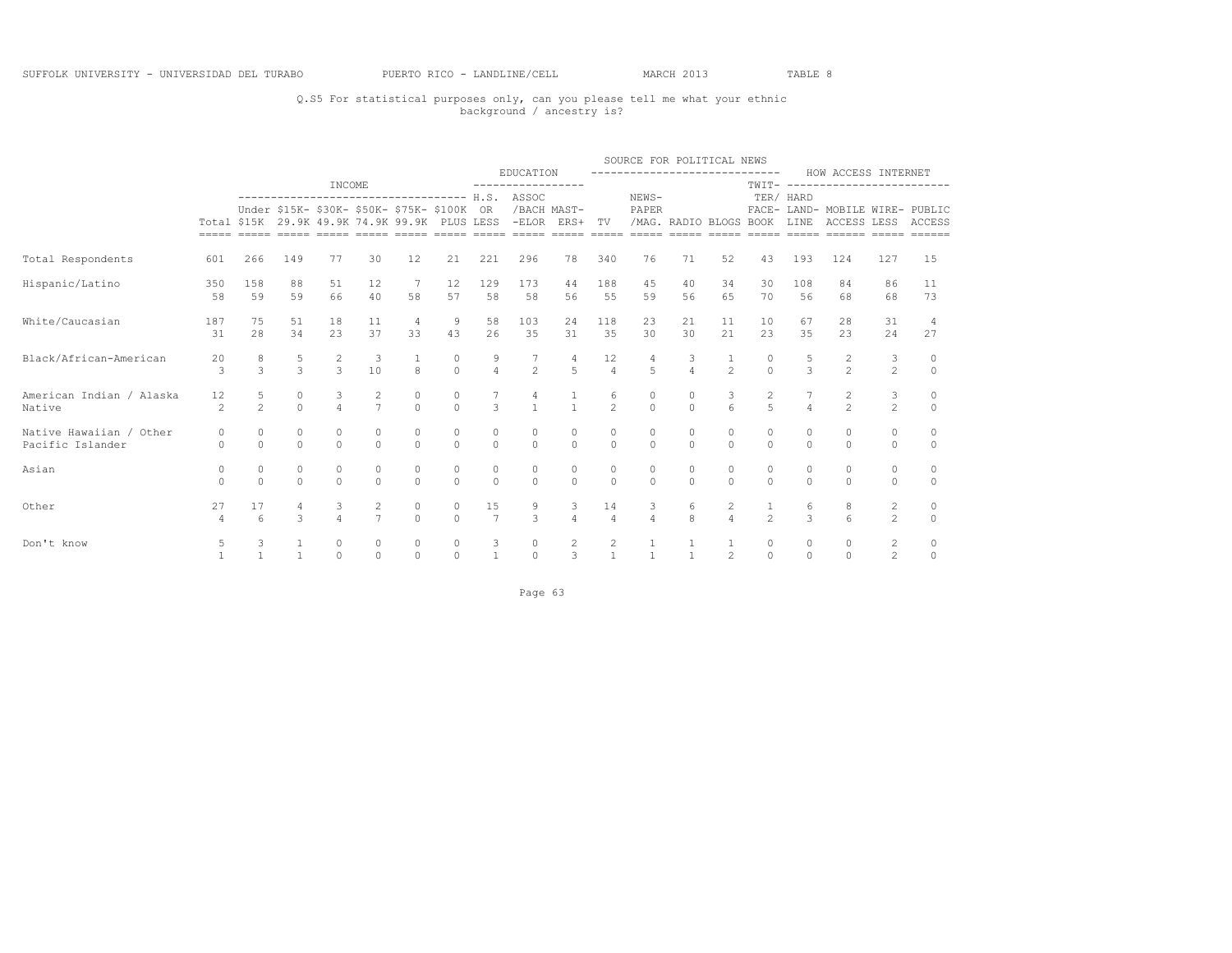## Q.S5 For statistical purposes only, can you please tell me what your ethnic background / ancestry is?

|                                    |                      |                  |                           |                     |                                                   |                     |                                      |                |                                                                                                                                                                                                        |                                  |                      | SOURCE FOR POLITICAL NEWS<br>------------------------------ |                     |                          |                                      |               |                                                        |                |                     |
|------------------------------------|----------------------|------------------|---------------------------|---------------------|---------------------------------------------------|---------------------|--------------------------------------|----------------|--------------------------------------------------------------------------------------------------------------------------------------------------------------------------------------------------------|----------------------------------|----------------------|-------------------------------------------------------------|---------------------|--------------------------|--------------------------------------|---------------|--------------------------------------------------------|----------------|---------------------|
|                                    |                      |                  |                           | INCOME              |                                                   |                     |                                      |                | EDUCATION<br>-----------------                                                                                                                                                                         |                                  |                      |                                                             |                     |                          |                                      |               | HOW ACCESS INTERNET<br>TWIT- ------------------------- |                |                     |
|                                    |                      |                  |                           |                     |                                                   |                     |                                      |                | ------------------------------------- H.S. ASSOC<br>Under \$15K- \$30K- \$50K- \$75K- \$100K OR /BACH MAST-<br>Total \$15K 29.9K 49.9K 74.9K 99.9K PLUS LESS -ELOR ERS+ TV /MAG. RADIO BLOGS BOOK LINE |                                  |                      | NEWS-<br>PAPER                                              |                     |                          |                                      | TER/ HARD     | FACE- LAND- MOBILE WIRE- PUBLIC<br>ACCESS LESS ACCESS  |                |                     |
| Total Respondents                  | 601                  | 266              | 149                       | 77                  | 30                                                | 12                  | 21                                   | 221            | 296                                                                                                                                                                                                    | 78                               | 340                  | 76                                                          | 71                  | 52                       | 43                                   | 193           | 124                                                    | 127            | 15                  |
| Hispanic/Latino                    | 350                  | 158              | 88                        | 51                  | 12                                                | 7                   | 12                                   | 129            | 173                                                                                                                                                                                                    | 44                               | 188                  | 45                                                          | 40                  | 34                       | 30                                   | 108           | 84                                                     | 86             | 11                  |
|                                    | 58                   | 59               | 59                        | 66                  | 40                                                | 58                  | 57                                   | 58             | 58                                                                                                                                                                                                     | 56                               | 55                   | 59                                                          | 56                  | 6.5                      | 70                                   | 56            | 68                                                     | 68             | 73                  |
| White/Caucasian                    | 187                  | 75               | 51                        | 18                  | 11                                                | $\overline{4}$      | 9                                    | 58             | 103                                                                                                                                                                                                    | 24                               | 118                  | 23                                                          | 21                  | 11                       | 10                                   | 67            | 28                                                     | 31             | $\overline{4}$      |
|                                    | 31                   | 2.8              | 34                        | 23                  | 37                                                | 33                  | 43                                   | 26             | 35                                                                                                                                                                                                     | 31                               | 35                   | 30                                                          | 30                  | 2.1                      | 23                                   | 35            | 2.3                                                    | 24             | 27                  |
| Black/African-American             | 20<br>3              | 8<br>3           | $\frac{5}{3}$             | $rac{2}{3}$         | $\begin{smallmatrix} & 3 \\ 10 \end{smallmatrix}$ | 8                   | $\begin{matrix} 0 \\ 0 \end{matrix}$ | $\frac{9}{4}$  | $\frac{7}{2}$                                                                                                                                                                                          | $\overline{4}$<br>$\overline{5}$ | 12<br>$\overline{4}$ | $\overline{5}$                                              | $\frac{3}{4}$       | $\frac{1}{2}$            | $\begin{matrix} 0 \\ 0 \end{matrix}$ | $\frac{5}{3}$ | $\frac{2}{2}$                                          | 3<br>$2^{1}$   | $\circ$<br>$\Omega$ |
| American Indian / Alaska<br>Native | 12<br>$\mathfrak{D}$ | $\frac{5}{2}$    | $\circ$<br>$\overline{0}$ | 3<br>$\overline{a}$ | $\frac{2}{7}$                                     | $\circ$<br>$\Omega$ | $\circ$<br>$\Omega$                  | $\mathcal{L}$  | $\frac{4}{1}$                                                                                                                                                                                          | $\frac{1}{1}$                    | 6<br>$\mathfrak{D}$  | $\overline{0}$                                              | $\circ$<br>$\Omega$ | $\mathbf{3}$<br>$\kappa$ | $\overline{2}$<br>$\overline{5}$     |               | $\frac{2}{2}$                                          | $\frac{3}{2}$  | 0<br>$\Omega$       |
| Native Hawaiian / Other            | $\Omega$             | $\circ$          | $\circ$                   | $\circ$             | $\circ$                                           | $\circ$             | $\circ$                              | $\circ$        | $\circ$                                                                                                                                                                                                | 0                                | $\circ$              | $\circ$                                                     | $\circ$             | $\circ$                  | $\circ$                              | $\Omega$      | $\circ$                                                | $\circ$        | $\circ$             |
| Pacific Islander                   | $\circ$              | $\Omega$         | $\Omega$                  | $\Omega$            | $\Omega$                                          | $\Omega$            | $\Omega$                             | $\Omega$       | $\Omega$                                                                                                                                                                                               | $\overline{0}$                   | $\Omega$             | $\Omega$                                                    | $\Omega$            | $\Omega$                 | $\Omega$                             | $\Omega$      | $\Omega$                                               | $\circ$        | $\circ$             |
| Asian                              | 0                    | $\circ$          | $\circ$                   | $\circ$             | $\circ$                                           | 0                   | $\circ$                              | $\circ$        | $\circ$                                                                                                                                                                                                | 0                                | $\circ$              | $\circ$                                                     | $\circ$             | $\circ$                  | $\circ$                              | $\circ$       | $\circ$                                                | $\circ$        | $\circ$             |
|                                    | $\Omega$             | $\Omega$         | $\Omega$                  | $\Omega$            | $\Omega$                                          | $\Omega$            | $\Omega$                             | $\Omega$       | $\Omega$                                                                                                                                                                                               | $\Omega$                         | $\cap$               | $\Omega$                                                    | $\Omega$            | $\cap$                   | $\Omega$                             | $\cap$        | $\Omega$                                               | $\Omega$       | $\Omega$            |
| Other                              | 27                   | 17               | $\overline{4}$            | 3                   | $\overline{2}$                                    | $\circ$             | $\circ$                              | 15             | 9                                                                                                                                                                                                      | 3                                | 14                   | $\mathcal{S}$                                               | 6                   | $\overline{2}$           | $\mathbf{1}$                         | 6             | 8                                                      | $\overline{c}$ | 0                   |
|                                    | $\overline{4}$       | $6 \overline{6}$ | $\mathcal{E}$             | $\Delta$            | $\overline{7}$                                    | $\Omega$            | $\Omega$                             | $\overline{7}$ | $\mathcal{L}$                                                                                                                                                                                          | $\overline{4}$                   | $\overline{4}$       | $\overline{4}$                                              | $\mathbf{R}$        | $\overline{4}$           | $\overline{2}$                       | $\mathcal{L}$ | $\epsilon$                                             | $\mathfrak{D}$ | $\Omega$            |
| Don't know                         | 5                    | 3                | $\mathbf{1}$              | $\circ$             | $\circ$                                           | $\circ$             | $\circ$                              | 3              | $\circ$                                                                                                                                                                                                | $\overline{2}$                   | 2                    | $\mathbf{1}$                                                | $\mathbf{1}$        | $\mathbf{1}$             | $\circ$                              | $\circ$       | $\circ$                                                | $\overline{c}$ | $\circ$             |
|                                    | $\mathbf{1}$         | $\mathbf{1}$     | $\overline{1}$            | $\circ$             | $\Omega$                                          | $\Omega$            | $\circ$                              | $\overline{1}$ | $\Omega$                                                                                                                                                                                               | 3                                | $\mathbf{1}$         | $\mathbf{1}$                                                | $\mathbf{1}$        | 2                        | $\Omega$                             | $\Omega$      | $\Omega$                                               | $\overline{2}$ | $\circ$             |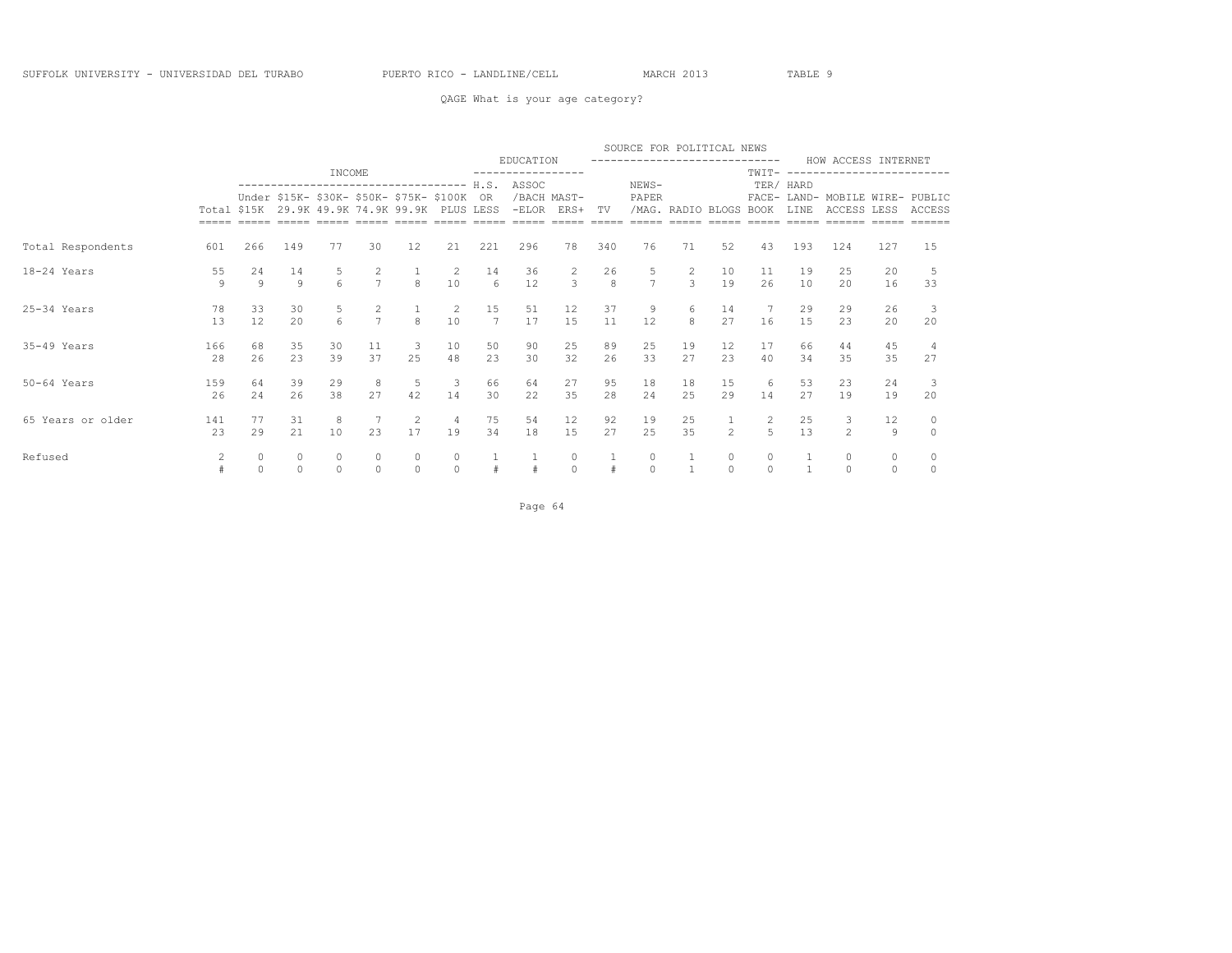### QAGE What is your age category?

|                   |           |                                                                                                                                                                        |                         |                                     |                       |               |               |                       |                        |                |              | SOURCE FOR POLITICAL NEWS |                   |                |                     |               |                                       |                     |                     |
|-------------------|-----------|------------------------------------------------------------------------------------------------------------------------------------------------------------------------|-------------------------|-------------------------------------|-----------------------|---------------|---------------|-----------------------|------------------------|----------------|--------------|---------------------------|-------------------|----------------|---------------------|---------------|---------------------------------------|---------------------|---------------------|
|                   |           | EDUCATION<br>------------------------------<br>INCOME<br>NEWS-<br>ASSOC<br>H.S.<br>------------------------------------<br>Under \$15K- \$30K- \$50K- \$75K- \$100K OR |                         |                                     |                       |               |               |                       |                        |                |              |                           |                   |                | TWIT-               | $- - - - -$   | HOW ACCESS INTERNET<br>-------------- |                     |                     |
|                   |           |                                                                                                                                                                        |                         |                                     |                       |               |               |                       |                        |                |              |                           |                   |                |                     | TER/ HARD     |                                       |                     |                     |
|                   |           |                                                                                                                                                                        |                         | Total \$15K 29.9K 49.9K 74.9K 99.9K |                       |               | PLUS LESS     |                       | /BACH MAST-<br>$-ELOR$ | ERS+           | TV           | PAPER                     | /MAG. RADIO BLOGS |                | $FACE-$<br>BOOK     | LAND-<br>LINE | MOBILE WIRE- PUBLIC<br>ACCESS LESS    |                     | ACCESS              |
| Total Respondents | 601       | 266                                                                                                                                                                    | 149                     | 77                                  | 30                    | 12            | 21            | 221                   | 296                    | 78             | 340          | 76                        | 71                | 52             | 43                  | 193           | 124                                   | 127                 | 15                  |
| 18-24 Years       | 55        | 24                                                                                                                                                                     | 14                      | 5                                   | $\mathbf{2}^{\prime}$ |               | 2             | 14                    | 36                     | 2              | 26           | 5                         |                   | 10             | 11                  | 19            | 25                                    | 20                  |                     |
|                   | 9         | $\overline{9}$                                                                                                                                                         | $\overline{9}$          | 6                                   | $\overline{7}$        | 8             | 10            | 6                     | 12                     | $\overline{3}$ | $\mathbf{g}$ | $\overline{7}$            | 3                 | 19             | 26                  | 10            | 20                                    | 16                  | 33                  |
| 25-34 Years       | 78<br>13  | 33<br>12                                                                                                                                                               | 30<br>20                | 6                                   | 2<br>$\overline{7}$   | 8             | 2<br>10       | 15<br>$7\overline{ }$ | 51<br>17               | 12<br>15       | 37<br>11     | 9<br>12                   | 6<br>8            | 14<br>27       | 7<br>16             | 29<br>15      | 29<br>23                              | 26<br>20            | -3<br>20            |
| $35-49$ Years     | 166<br>28 | 68<br>26                                                                                                                                                               | 35<br>23                | 30<br>39                            | 11<br>37              | 3<br>25       | 10<br>48      | 50<br>23              | 90<br>30               | 25<br>32       | 89<br>26     | 25<br>33                  | 19<br>27          | 12<br>23       | 17<br>40            | 66<br>34      | 44<br>35                              | 45<br>35            | 27                  |
|                   |           |                                                                                                                                                                        |                         |                                     |                       |               |               |                       |                        |                |              |                           |                   |                |                     |               |                                       |                     |                     |
| $50-64$ Years     | 159<br>26 | 64<br>24                                                                                                                                                               | 39<br>26                | 29<br>38                            | 8<br>27               | 5<br>42       | 3<br>14       | 66<br>30              | 64<br>22               | 27<br>35       | 95<br>28     | 18<br>24                  | 18<br>25          | 15<br>29       | 6<br>14             | 53<br>27      | 23<br>19                              | 24<br>19            | 20                  |
| 65 Years or older | 141<br>23 | 77<br>29                                                                                                                                                               | 31<br>2.1               | 8<br>10                             | 2.3                   | 2<br>17       | 4<br>19       | 75<br>34              | 54<br>18               | 12<br>15       | 92<br>27     | 19<br>2.5                 | 25<br>35          | $\mathfrak{D}$ | 2<br>$\overline{5}$ | 25<br>13      | 3<br>$\mathfrak{D}$                   | 12<br>$\mathbf{Q}$  | $\circ$<br>$\Omega$ |
|                   |           |                                                                                                                                                                        |                         |                                     |                       |               |               |                       |                        |                |              |                           |                   |                |                     |               |                                       |                     |                     |
| Refused           | 2         | 0<br>$\Omega$                                                                                                                                                          | $\mathbb O$<br>$\Omega$ | 0                                   | $\Omega$              | 0<br>$\Omega$ | 0<br>$\Omega$ |                       |                        | 0<br>$\Omega$  |              | 0<br>$\Omega$             |                   | 0<br>$\Omega$  | 0<br>$\Omega$       |               | $\circ$<br>$\Omega$                   | $\circ$<br>$\Omega$ | $\circ$             |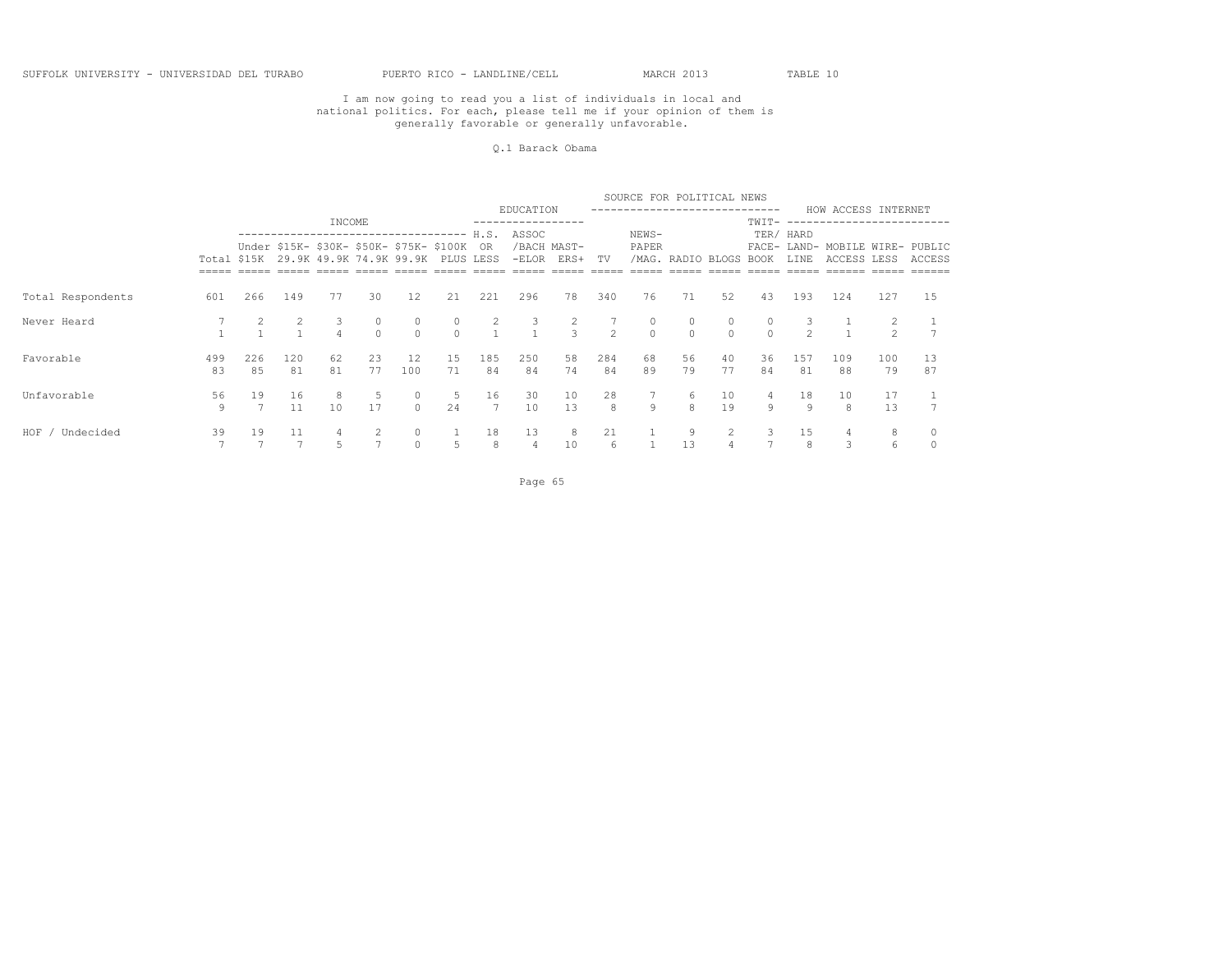#### Q.1 Barack Obama

|                    |           |           |                |                                                                                    |             |                     |           |                      |                |                     |                | SOURCE FOR POLITICAL NEWS |                    |                      |               |               |                                                |                |          |
|--------------------|-----------|-----------|----------------|------------------------------------------------------------------------------------|-------------|---------------------|-----------|----------------------|----------------|---------------------|----------------|---------------------------|--------------------|----------------------|---------------|---------------|------------------------------------------------|----------------|----------|
|                    |           |           |                | INCOME                                                                             |             |                     |           |                      | EDUCATION      |                     |                |                           |                    |                      | TWIT-         |               | HOW ACCESS INTERNET<br>------------------      |                |          |
|                    |           |           |                | ---------------------------------                                                  |             |                     |           | H.S.                 | ASSOC          |                     |                | NEWS-                     |                    |                      |               | TER/ HARD     |                                                |                |          |
|                    |           |           |                | Under \$15K- \$30K- \$50K- \$75K- \$100K OR<br>Total \$15K 29.9K 49.9K 74.9K 99.9K |             |                     | PLUS LESS |                      | $-ELOR$        | /BACH MAST-<br>ERS+ | TV             | PAPER                     |                    | /MAG. RADIO BLOGS    | <b>BOOK</b>   | LINE          | FACE- LAND- MOBILE WIRE- PUBLIC<br>ACCESS LESS |                | ACCESS   |
|                    |           |           |                |                                                                                    |             |                     |           |                      |                |                     |                |                           |                    |                      |               |               |                                                |                |          |
| Total Respondents  | 601       | 266       | 149            | 77                                                                                 | 30          | 12                  | 21        | 221                  | 296            | 78                  | 340            | 76                        | 71                 | 52                   | 43            | 193           | 124                                            | 127            | 15       |
| Never Heard        |           |           | $\overline{2}$ | 3<br>$\overline{4}$                                                                | 0<br>$\cap$ | $\circ$<br>$\cap$   | $\Omega$  | 2                    | 3              | $\frac{2}{3}$       | $\overline{2}$ | $\circ$<br>$\Omega$       | $\circ$<br>$\cap$  |                      | 0<br>$\Omega$ | $\mathcal{P}$ | $-1$                                           | $\mathfrak{D}$ |          |
| Favorable          | 499<br>83 | 226<br>85 | 120<br>81      | 62<br>81                                                                           | 23<br>77    | 12<br>100           | 15<br>71  | 185<br>84            | 250<br>84      | 58<br>74            | 284<br>84      | 68<br>89                  | 56<br>79           | 40<br>77             | 36<br>84      | 157<br>81     | 109<br>88                                      | 100<br>79      | 13<br>87 |
| Unfavorable        | 56<br>9   | 19        | 16<br>11       | 8<br>10                                                                            | -5<br>17    | $\circ$<br>$\Omega$ | 5.<br>24  | 16<br>$\overline{7}$ | 30<br>10       | 10<br>13            | 28<br>8        | $\theta$                  | 6<br>$\mathcal{R}$ | 10<br>19             | 4<br>9        | 18<br>9       | 10<br>8                                        | 17<br>13       |          |
| HOF /<br>Undecided | 39        | 19        | 11             | 4                                                                                  | 2           | $\circ$             |           | 18                   | 13             | 8                   | 21             |                           | 9                  | $\mathbf{2}^{\circ}$ | 3             | 15            | 4                                              | 8              |          |
|                    |           |           |                | 5                                                                                  |             | $\circ$             | 5         | 8                    | $\overline{4}$ | 10                  | 6              |                           | 13                 |                      |               | 8             | 3                                              | 6              |          |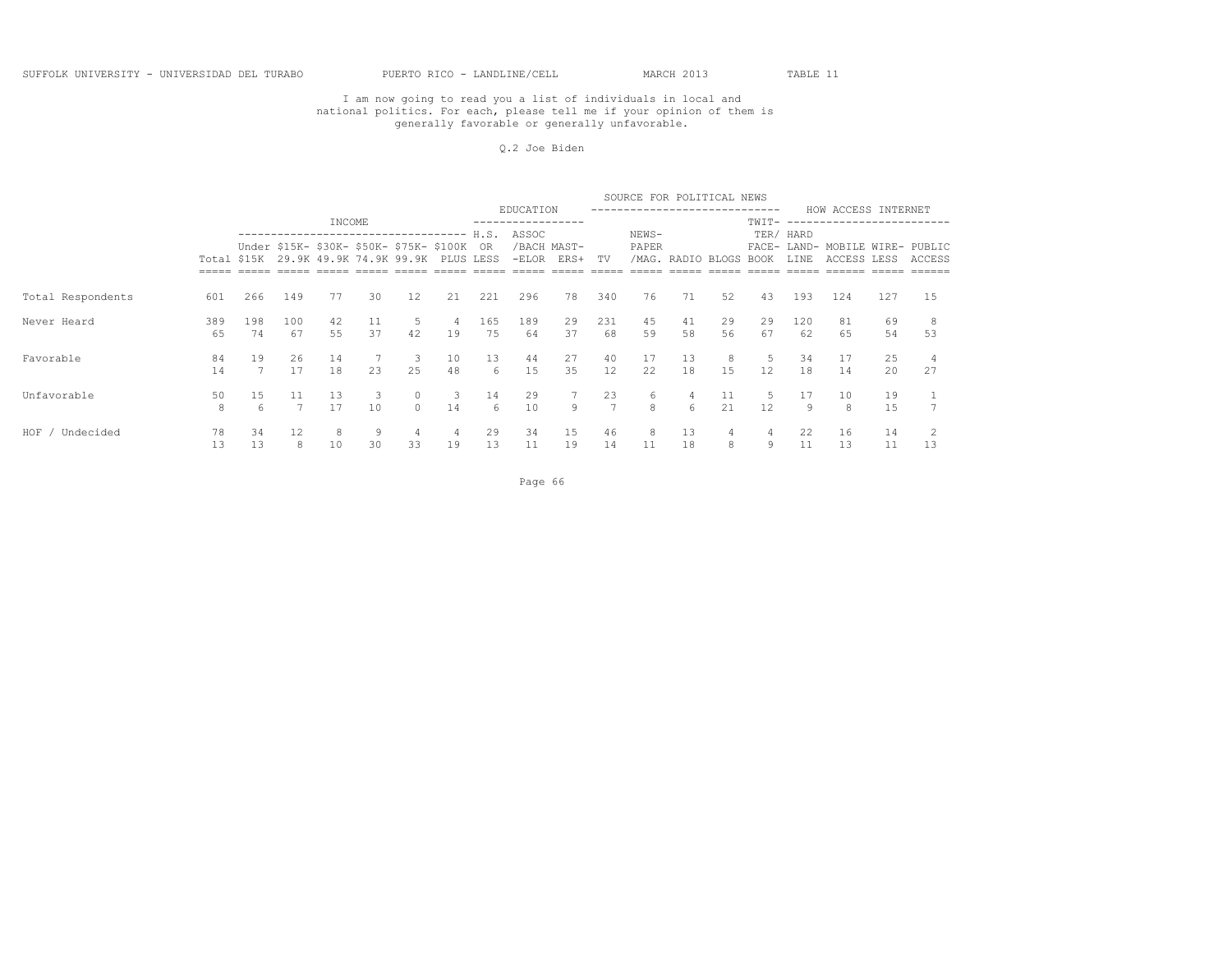#### Q.2 Joe Biden

|                      |           |             |           |          |          |                                                                        |           |           |           |                     |           | SOURCE FOR POLITICAL NEWS |             |          |          |           |                                                |          |        |
|----------------------|-----------|-------------|-----------|----------|----------|------------------------------------------------------------------------|-----------|-----------|-----------|---------------------|-----------|---------------------------|-------------|----------|----------|-----------|------------------------------------------------|----------|--------|
|                      |           |             |           | INCOME   |          |                                                                        |           |           | EDUCATION |                     |           |                           |             |          | TWIT-    |           | HOW ACCESS INTERNET<br>--------------------    |          |        |
|                      |           |             |           |          |          | ---------------------------- H.S.                                      |           |           | ASSOC     |                     |           | NEWS-                     |             |          |          | TER/ HARD |                                                |          |        |
|                      |           | Total \$15K |           |          |          | Under \$15K- \$30K- \$50K- \$75K- \$100K OR<br>29.9K 49.9K 74.9K 99.9K | PLUS LESS |           | $-ELOR$   | /BACH MAST-<br>ERS+ | TV        | PAPER<br>/MAG.            | RADIO BLOGS |          | BOOK     | LINE      | FACE- LAND- MOBILE WIRE- PUBLIC<br>ACCESS LESS |          | ACCESS |
|                      |           |             |           |          |          |                                                                        |           |           |           |                     |           |                           |             |          |          |           |                                                |          |        |
| Total Respondents    | 601       | 266         | 149       | 77       | 30       | 12                                                                     | 21        | 221       | 296       | 78                  | 340       | 76                        | 71          | 52       | 43       | 193       | 124                                            | 127      | 1.5    |
| Never Heard          | 389<br>65 | 198<br>74   | 100<br>67 | 42<br>55 | 11<br>37 | 5<br>42                                                                | 4<br>19   | 165<br>75 | 189<br>64 | 29<br>37            | 231<br>68 | 45<br>59                  | 41<br>58    | 29<br>56 | 29<br>67 | 120<br>62 | 81<br>65                                       | 69<br>54 | 53     |
| Favorable            | 84<br>14  | 19          | 26<br>17  | 14<br>18 | 23       | -3<br>25                                                               | 10<br>48  | 13<br>6   | 44<br>1.5 | 27<br>35            | 40<br>12  | 17<br>22.                 | 13<br>18    | 15       | 5.<br>12 | 34<br>18  | 17<br>14                                       | 25<br>20 | 27     |
| Unfavorable          | 50<br>8   | 15<br>6     | 11        | 13<br>17 | 3<br>10  | $\mathbf{0}$<br>$\cap$                                                 | 3<br>14   | 14<br>6   | 29<br>10  | 7<br>$\overline{9}$ | 23<br>7   | 6<br>8                    | 4<br>6      | 11<br>21 | 5<br>12  | 17<br>9   | 10<br>8                                        | 19<br>15 |        |
| $HOF$ /<br>Undecided | 78        | 34          | 12        | 8        | -9       | 4                                                                      | 4         | 29        | 34        | 15                  | 46        | 8                         | 13          |          | 4        | 22        | 16                                             | 14       |        |
|                      | 13        | 13          | 8         | 10       | 30       | 33                                                                     | 19        | 13        | 11        | 19                  | 14        | 11                        | 18          | 8        | 9        | 11        | 13                                             | 11       | 13     |

Page 66 and the contract of the contract of the contract of the contract of the contract of the contract of the contract of the contract of the contract of the contract of the contract of the contract of the contract of th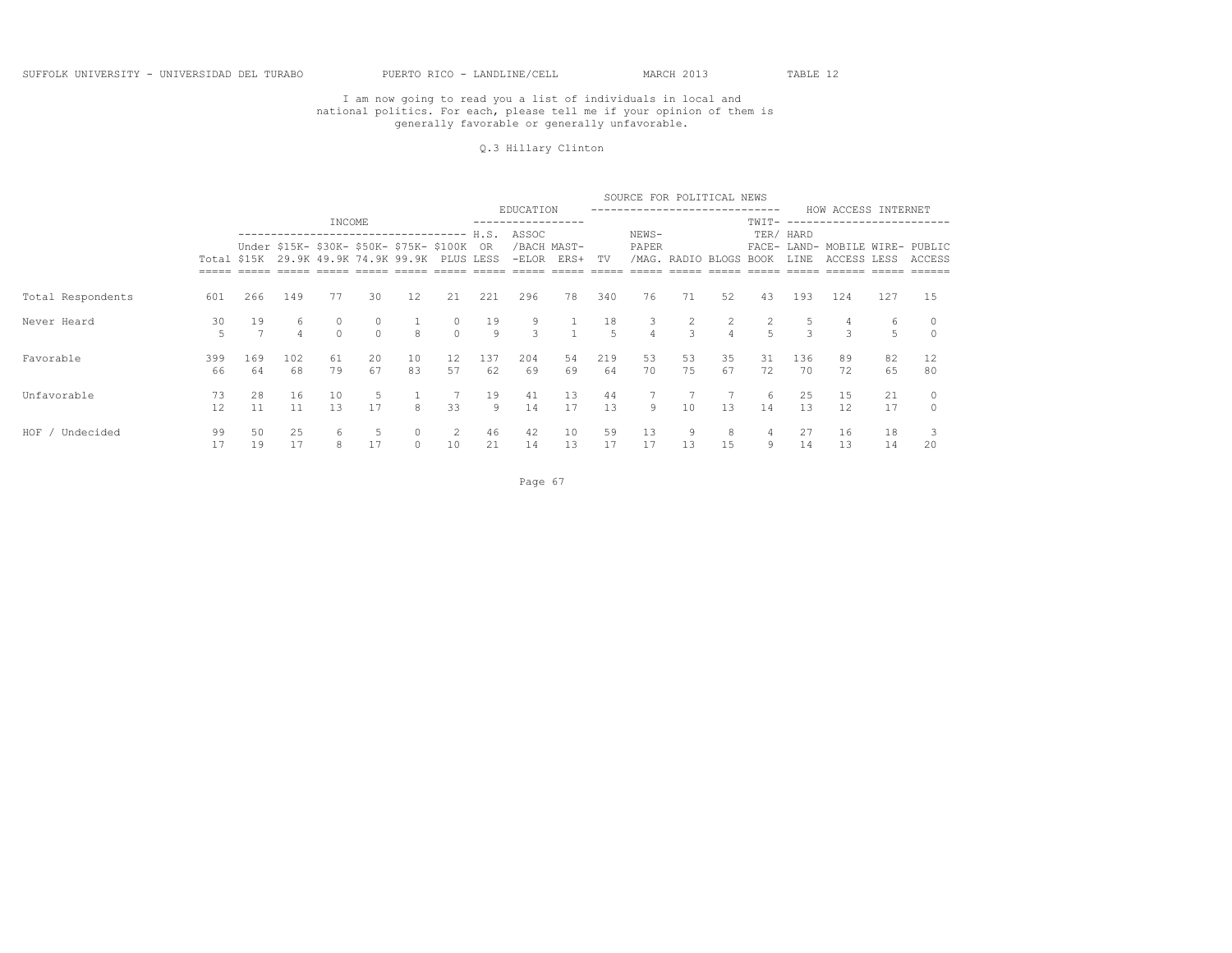#### Q.3 Hillary Clinton

|                      |           |                      |                     |                                                                        |               |                   |                     |           |           |                     |           | SOURCE FOR POLITICAL NEWS      |                    |                |             |               |                                           |          |          |
|----------------------|-----------|----------------------|---------------------|------------------------------------------------------------------------|---------------|-------------------|---------------------|-----------|-----------|---------------------|-----------|--------------------------------|--------------------|----------------|-------------|---------------|-------------------------------------------|----------|----------|
|                      |           |                      |                     | INCOME                                                                 |               |                   |                     |           | EDUCATION |                     |           |                                |                    |                | TWIT-       |               | HOW ACCESS INTERNET<br>-------------      |          |          |
|                      |           |                      |                     | ---------------------------------                                      |               |                   |                     | H.S.      | ASSOC     |                     |           | NEWS-                          |                    |                |             | TER/ HARD     |                                           |          |          |
|                      |           | Total \$15K          |                     | Under \$15K- \$30K- \$50K- \$75K- \$100K OR<br>29.9K 49.9K 74.9K 99.9K |               |                   | PLUS LESS           |           | $-ELOR$   | /BACH MAST-<br>ERS+ | TV        | PAPER<br>/MAG.                 | RADIO BLOGS        |                | <b>BOOK</b> | LINE          | FACE- LAND- MOBILE WIRE- PUBLIC<br>ACCESS | LESS     | ACCESS   |
|                      |           |                      |                     |                                                                        |               |                   |                     |           |           |                     |           |                                |                    |                |             |               |                                           |          |          |
| Total Respondents    | 601       | 266                  | 149                 | 77                                                                     | 30            | $12 \overline{ }$ | 21                  | 221       | 296       | 78                  | 340       | 76                             | 71                 | 52             | 43          | 193           | 124                                       | 127      | 15       |
| Never Heard          | 30<br>5   | 19<br>$\overline{7}$ | 6<br>$\overline{4}$ | $\cap$                                                                 | 0<br>$\Omega$ | $\mathcal{R}$     | $\circ$<br>$\Omega$ | 19<br>9   | 9<br>3    |                     | 18<br>-5  | $\mathbf{3}$<br>$\overline{4}$ | 2<br>$\mathcal{L}$ | $\overline{4}$ | 2<br>5      | $\mathcal{L}$ | 4<br>$\mathcal{L}$                        | 6<br>5   |          |
| Favorable            | 399<br>66 | 169<br>64            | 102<br>68           | 61<br>79                                                               | 20<br>67      | 10<br>83          | 12<br>57            | 137<br>62 | 204<br>69 | 54<br>69            | 219<br>64 | 53<br>70                       | 53<br>75           | 35<br>67       | 31<br>72    | 136<br>70     | 89<br>72                                  | 82<br>65 | 12<br>80 |
| Unfavorable          | 73<br>12  | 28<br>11             | 16<br>11            | 10<br>13                                                               | 5<br>17       | 8                 | 33                  | 19<br>9   | 41<br>14  | 13<br>17            | 44<br>1.3 | 9                              | 10                 | 13             | 6<br>14     | 25<br>13      | 15<br>12                                  | 21<br>17 | $\Omega$ |
| $HOF$ /<br>Undecided | 99        | 50                   | 25                  | 6                                                                      |               | $\circ$           | 2                   | 46        | 42        | 10                  | 59        | 13                             | 9                  | 8              | 4           | 27            | 16                                        | 18       |          |
|                      | 17        | 19                   | 17                  | 8                                                                      | 17            | $\circ$           | 10                  | 21        | 14        | 13                  | 17        | 17                             | 13                 | 15             | 9           | 14            | 13                                        | 14       | 20       |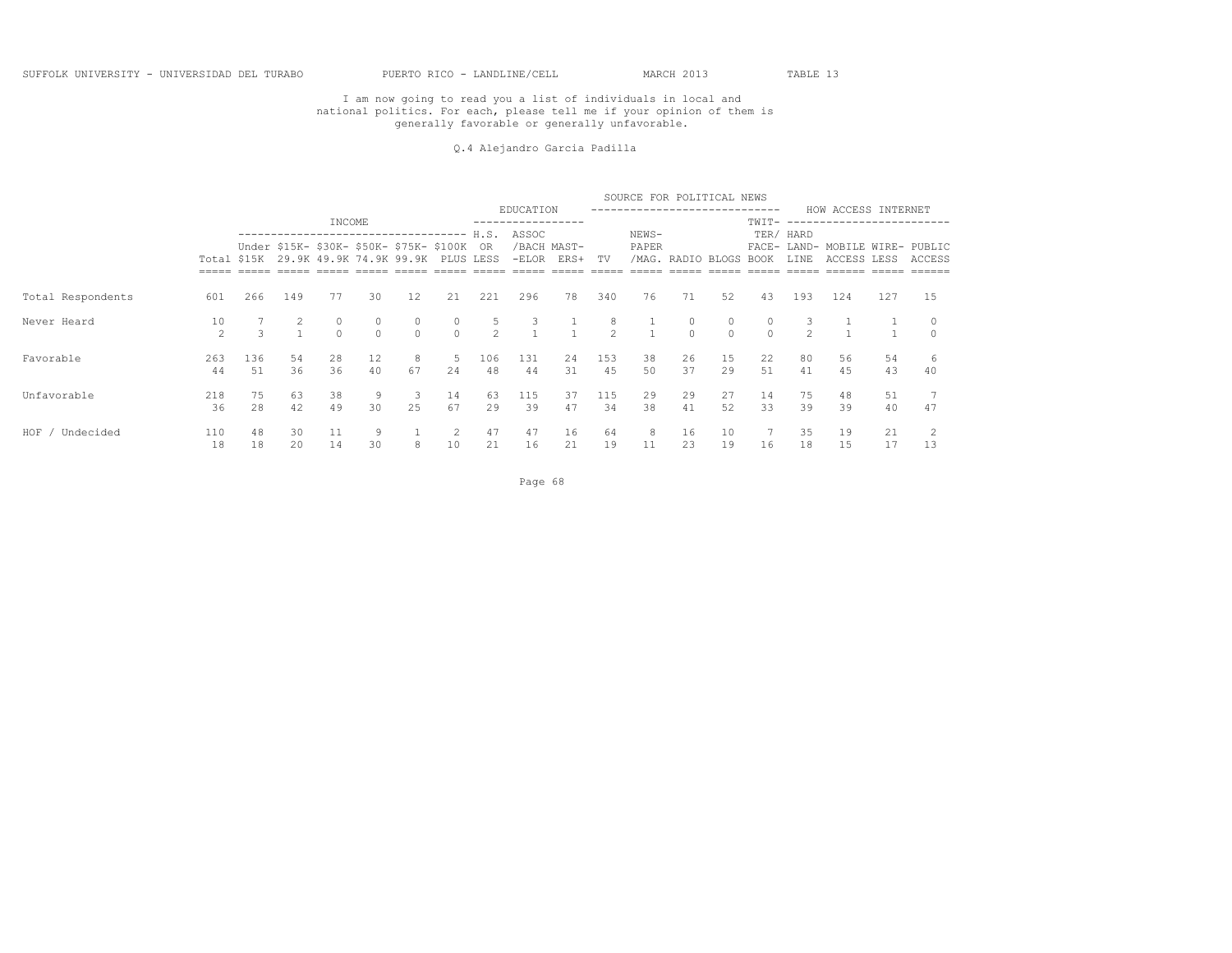#### Q.4 Alejandro Garcia Padilla

|                      |                     |               |          |          |               |                                                                        |                     |                    |                  |                              |                     | SOURCE FOR POLITICAL NEWS        |                   |                           |               |                   |                                           |          |         |
|----------------------|---------------------|---------------|----------|----------|---------------|------------------------------------------------------------------------|---------------------|--------------------|------------------|------------------------------|---------------------|----------------------------------|-------------------|---------------------------|---------------|-------------------|-------------------------------------------|----------|---------|
|                      |                     |               |          | INCOME   |               |                                                                        |                     |                    | EDUCATION        |                              |                     |                                  |                   | ------------------------- | $TWIT-$       |                   | HOW ACCESS INTERNET                       |          |         |
|                      | Total \$15K         |               |          |          |               | Under \$15K- \$30K- \$50K- \$75K- \$100K OR<br>29.9K 49.9K 74.9K 99.9K | PLUS LESS           |                    | ASSOC<br>$-ELOR$ | /BACH MAST-<br>ERS+ TV       |                     | NEWS-<br>PAPER                   |                   | /MAG. RADIO BLOGS         | BOOK          | TER/ HARD<br>LINE | FACE- LAND- MOBILE WIRE- PUBLIC<br>ACCESS | LESS     | ACCESS  |
|                      |                     |               |          |          |               |                                                                        |                     |                    |                  |                              |                     |                                  |                   |                           |               |                   |                                           |          |         |
| Total Respondents    | 601                 | 266           | 149      | 77       | 30            | 12                                                                     | 21                  | 221                | 296              | 78                           | 340                 | 76                               | 71                | 52                        | 43            | 193               | 124                                       | 127      | 15      |
| Never Heard          | 10<br>$\mathcal{P}$ | $\mathcal{L}$ | 2        | $\Omega$ | 0<br>$\Omega$ | $\circ$<br>$\bigcap$                                                   | $\circ$<br>$\Omega$ | 5<br>$\mathcal{P}$ | 3                | $\mathbf{1}$<br>$\mathbf{1}$ | 8<br>$\mathfrak{D}$ | $\overline{1}$<br>$\overline{1}$ | $\circ$<br>$\cap$ | 0                         | 0<br>$\Omega$ | $\mathcal{P}$     |                                           |          |         |
| Favorable            | 263<br>44           | 136<br>51     | 54<br>36 | 28<br>36 | 12<br>40      | 8<br>67                                                                | 5<br>24             | 106<br>48          | 131<br>44        | 24<br>31                     | 153<br>45           | 38<br>50                         | 26<br>37          | 15<br>29                  | 22<br>51      | 80<br>41          | 56<br>4.5                                 | 54<br>43 | 6<br>40 |
| Unfavorable          | 218<br>36           | 75<br>28      | 63<br>42 | 38<br>49 | 9<br>30       | - 3<br>2.5                                                             | 14<br>67            | 63<br>29           | 115<br>39        | 37<br>47                     | 115<br>34           | 29<br>38                         | 29<br>41          | 27<br>52                  | 14<br>33      | 75<br>39          | 48<br>39                                  | 51<br>40 | 47      |
| $HOF$ /<br>Undecided | 110<br>18           | 48<br>18      | 30<br>20 | 11<br>14 | 9<br>30       | 8                                                                      | 2<br>10             | 47<br>21           | 47<br>16         | 16<br>21                     | 64<br>19            | 8<br>11                          | 16<br>23          | 10<br>19                  | 16            | 35<br>18          | 19<br>15                                  | 21<br>17 | 13      |

Page 68 and the contract of the contract of the contract of the contract of the contract of the contract of the contract of the contract of the contract of the contract of the contract of the contract of the contract of th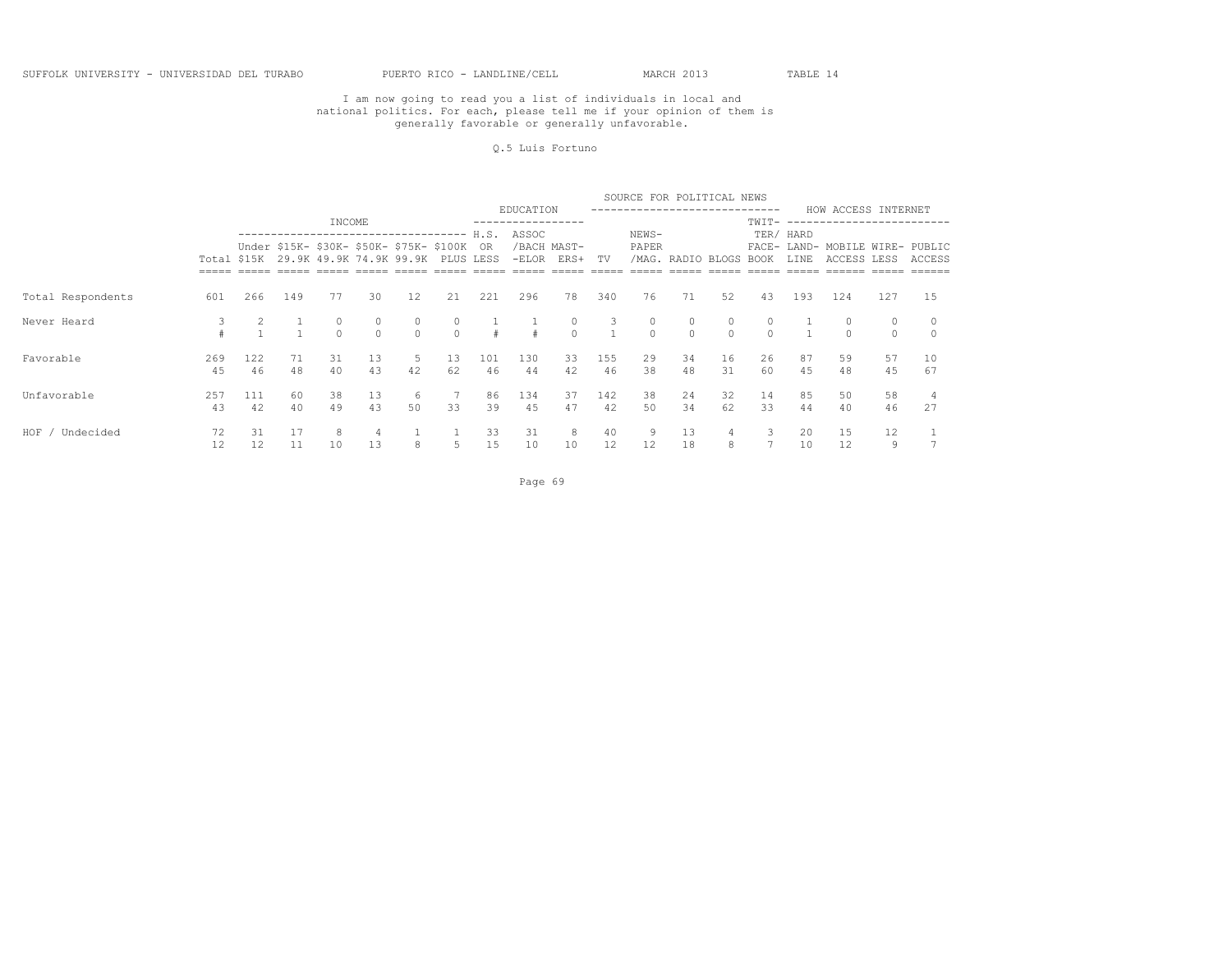#### Q.5 Luis Fortuno

|                      |           |             |          |                                                                        |               |                   |                     |           |           |                     |                     | SOURCE FOR POLITICAL NEWS |                   |          |                     |           |                                           |               |          |
|----------------------|-----------|-------------|----------|------------------------------------------------------------------------|---------------|-------------------|---------------------|-----------|-----------|---------------------|---------------------|---------------------------|-------------------|----------|---------------------|-----------|-------------------------------------------|---------------|----------|
|                      |           |             |          | INCOME                                                                 |               |                   |                     |           | EDUCATION |                     |                     |                           |                   |          | TWIT-               |           | HOW ACCESS INTERNET                       |               |          |
|                      |           |             |          | -----------------------------                                          |               |                   |                     | H.S.      | ASSOC     |                     |                     | NEWS-                     |                   |          |                     | TER/ HARD |                                           |               |          |
|                      |           | Total \$15K |          | Under \$15K- \$30K- \$50K- \$75K- \$100K OR<br>29.9K 49.9K 74.9K 99.9K |               |                   | PLUS LESS           |           | $-ELOR$   | /BACH MAST-<br>ERS+ | TV                  | PAPER                     | /MAG. RADIO BLOGS |          | BOOK                | LINE      | FACE- LAND- MOBILE WIRE- PUBLIC<br>ACCESS | LESS          | ACCESS   |
|                      |           |             |          |                                                                        |               |                   |                     |           |           |                     |                     |                           |                   |          |                     |           |                                           |               |          |
| Total Respondents    | 601       | 266         | 149      | 77                                                                     | 30            | 12                | 21                  | 221       | 296       | 78                  | 340                 | 76                        | 71                | 52       | 43                  | 193       | 124                                       | 127           | 15       |
| Never Heard          |           |             |          | 0<br>$\Omega$                                                          | 0<br>$\Omega$ | $\circ$<br>$\cap$ | $\circ$<br>$\Omega$ |           |           | $\circ$<br>$\Omega$ | 3<br>$\overline{1}$ | $\circ$<br>$\Omega$       | $\circ$<br>$\cap$ |          | $\circ$<br>$\Omega$ |           | 0<br>$\Omega$                             | 0<br>$\Omega$ |          |
| Favorable            | 269<br>45 | 122<br>46   | 71<br>48 | 31<br>40                                                               | 13<br>43      | 5<br>42           | 13<br>62            | 101<br>46 | 130<br>44 | 33<br>42            | 155<br>46           | 29<br>38                  | 34<br>48          | 16<br>31 | 26<br>60            | 87<br>45  | 59<br>48                                  | 57<br>45      | 10<br>67 |
| Unfavorable          | 257<br>43 | 111<br>42   | 60<br>40 | 38<br>49                                                               | 13<br>43      | -6<br>50          | 33                  | 86<br>39  | 134<br>45 | 37<br>47            | 142<br>42           | 38<br>50                  | 24<br>34          | 32<br>62 | 14<br>33            | 85<br>44  | 50<br>40                                  | 58<br>46      | 27       |
| $HOF$ /<br>Undecided | 72        | 31          | 17       | 8                                                                      | 4             |                   |                     | 33        | 31        | 8                   | 40                  | 9                         | 13                |          | 3                   | 20        | 15                                        | 12            |          |
|                      | 12        | 12          | 11       | 10                                                                     | 13            | 8                 | 5                   | 15        | 10        | 10                  | 12                  | $12 \overline{ }$         | 18                | 8        |                     | 10        | 12                                        | 9             |          |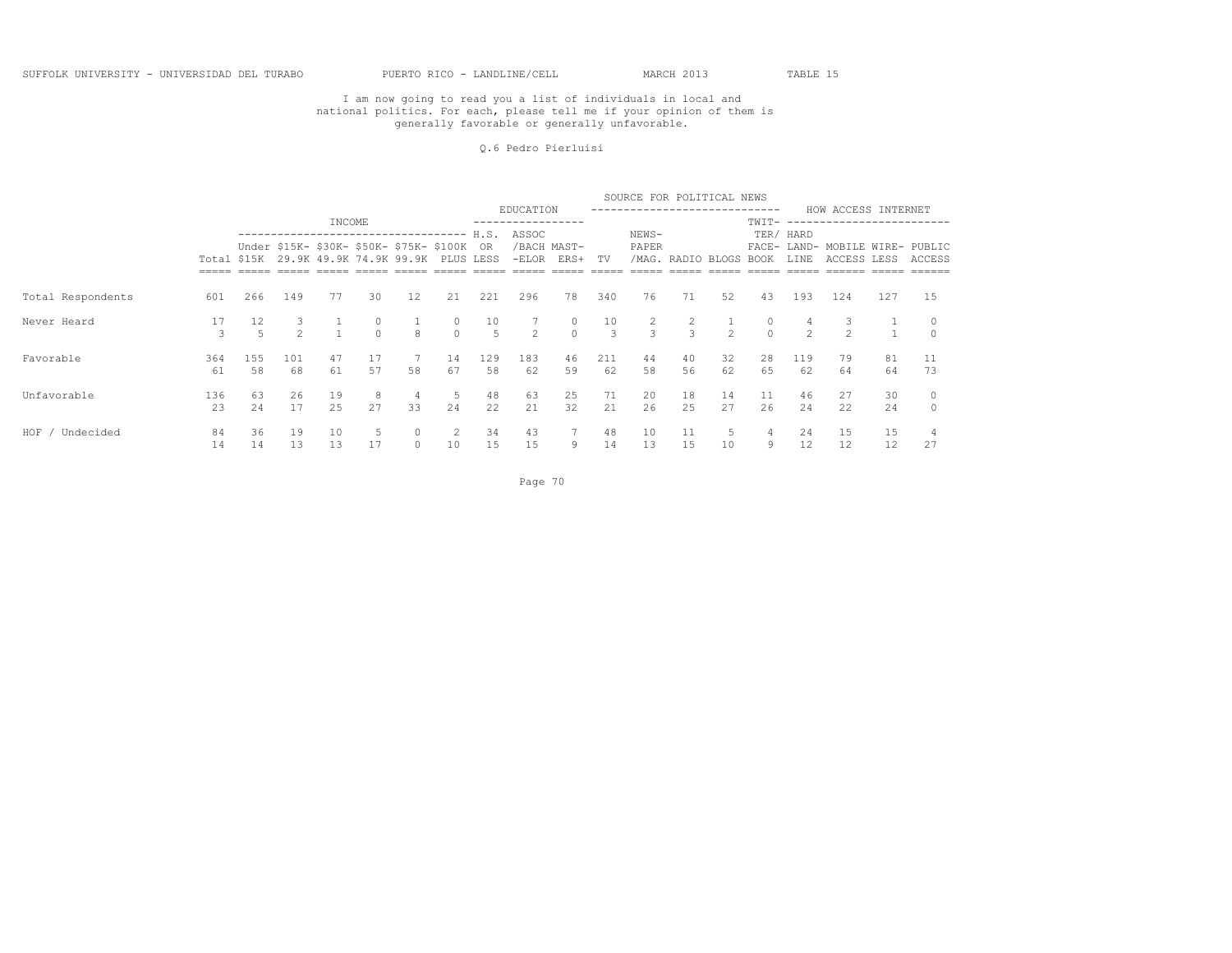#### Q.6 Pedro Pierluisi

|                    |                     |             |                    |           |                     |                                                                                  |                     |                      |                |                     |                     | SOURCE FOR POLITICAL NEWS       |                    |                          |                     |                   |                                                |          |          |
|--------------------|---------------------|-------------|--------------------|-----------|---------------------|----------------------------------------------------------------------------------|---------------------|----------------------|----------------|---------------------|---------------------|---------------------------------|--------------------|--------------------------|---------------------|-------------------|------------------------------------------------|----------|----------|
|                    |                     |             |                    | INCOME    |                     |                                                                                  |                     |                      | EDUCATION      |                     |                     |                                 |                    |                          | TWIT-               |                   | HOW ACCESS INTERNET<br>--------------          |          |          |
|                    |                     |             |                    |           |                     |                                                                                  |                     |                      | ASSOC          |                     |                     | NEWS-                           |                    |                          |                     | TER/ HARD         |                                                |          |          |
|                    |                     | Total \$15K |                    |           |                     | Under \$15K- \$30K- \$50K- \$75K- \$100K OR<br>29.9K 49.9K 74.9K 99.9K PLUS LESS |                     |                      | $-ELOR$        | /BACH MAST-<br>ERS+ | TV                  | PAPER<br>/MAG.                  | RADIO BLOGS        |                          | <b>BOOK</b>         | LINE              | FACE- LAND- MOBILE WIRE- PUBLIC<br>ACCESS LESS |          | ACCESS   |
|                    |                     |             |                    |           |                     |                                                                                  |                     |                      |                |                     |                     |                                 |                    |                          |                     |                   |                                                |          |          |
| Total Respondents  | 601                 | 266         | 149                | 77        | 30                  | 12                                                                               | 21                  | 221                  | 296            | 78                  | 340                 | 76                              | 71                 | 52                       | 43                  | 193               | 124                                            | 127      | 15       |
| Never Heard        | 17<br>$\mathcal{L}$ | 12          | 3<br>$\mathcal{P}$ |           | $\circ$<br>$\Omega$ | $\mathcal{R}$                                                                    | $\circ$<br>$\Omega$ | 10<br>$\overline{5}$ | $\overline{2}$ | $\circ$<br>$\Omega$ | 10<br>$\mathcal{L}$ | $\overline{2}$<br>$\mathcal{L}$ | 2<br>$\mathcal{R}$ | $\overline{\phantom{0}}$ | $\circ$<br>$\Omega$ | $\mathcal{P}$     | $\mathcal{L}$                                  |          |          |
| Favorable          | 364<br>61           | 155<br>58   | 101<br>68          | 47<br>61  | 17<br>57            | 58                                                                               | 14<br>67            | 129<br>58            | 183<br>62      | 46<br>59            | 211<br>62           | 44<br>58                        | 40<br>56           | 32<br>62                 | 28<br>65            | 119<br>62         | 79<br>64                                       | 81<br>64 | 11<br>73 |
| Unfavorable        | 136<br>23           | 63<br>24    | 26<br>17           | 19<br>2.5 | -8<br>27            | 4<br>33                                                                          | 5<br>24             | 48<br>22             | 63<br>21       | 25<br>32            | 71<br>21            | 20<br>26                        | 18<br>2.5          | 14<br>27                 | 11<br>26            | 46<br>24          | 27<br>22                                       | 30<br>24 | $\circ$  |
| HOF /<br>Undecided | 84                  | 36          | 19                 | 10        | 5                   | $\circ$                                                                          | 2                   | 34                   | 43             | 7                   | 48                  | 10                              | 11                 |                          | 4                   | 24                | 15                                             | 15       |          |
|                    | 14                  | 14          | 13                 | 13        | 17                  | $\circ$                                                                          | 10                  | 15                   | 15             | 9                   | 14                  | 13                              | 15                 | 10                       | 9                   | $12 \overline{ }$ | 12                                             | 12       | 27       |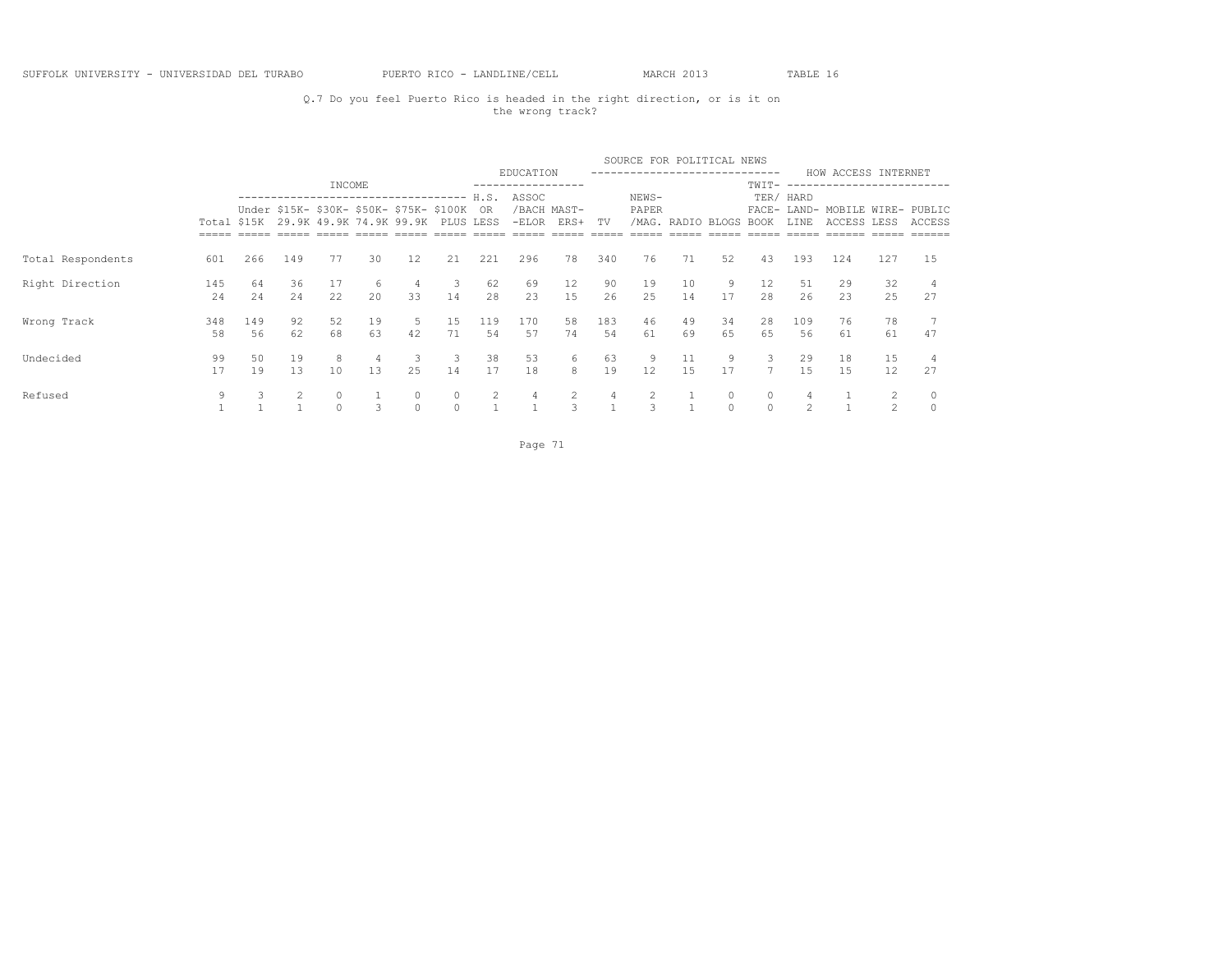## Q.7 Do you feel Puerto Rico is headed in the right direction, or is it on the wrong track?

|                   |           |             |          |           |                   |                                                                               |          |           |           |                     |           | SOURCE FOR POLITICAL NEWS |                   |          |                |               |                                                |                |        |
|-------------------|-----------|-------------|----------|-----------|-------------------|-------------------------------------------------------------------------------|----------|-----------|-----------|---------------------|-----------|---------------------------|-------------------|----------|----------------|---------------|------------------------------------------------|----------------|--------|
|                   |           |             |          | INCOME    |                   |                                                                               |          |           | EDUCATION |                     |           |                           |                   |          | -----<br>TWIT- |               | HOW ACCESS INTERNET<br>----------------------  |                |        |
|                   |           |             |          |           |                   | -----------------------------------                                           |          | H.S.      | ASSOC     |                     |           | NEWS-                     |                   |          |                | TER/ HARD     |                                                |                |        |
|                   |           | Total \$15K |          |           |                   | Under \$15K- \$30K- \$50K- \$75K- \$100K<br>29.9K 49.9K 74.9K 99.9K PLUS LESS |          | OR.       | $-ELOR$   | /BACH MAST-<br>ERS+ | TV        | PAPER                     | /MAG. RADIO BLOGS |          | BOOK           | LINE          | FACE- LAND- MOBILE WIRE- PUBLIC<br>ACCESS LESS |                | ACCESS |
|                   |           |             |          |           |                   |                                                                               |          |           |           |                     |           |                           |                   |          |                |               |                                                |                |        |
| Total Respondents | 601       | 266         | 149      | 77        | 30                | 12                                                                            | 21       | 221       | 296       | 78                  | 340       | 76                        | 71                | 52       | 43             | 193           | 124                                            | 127            | 15     |
| Right Direction   | 145<br>24 | 64<br>24    | 36<br>24 | 17<br>22  | 6<br>$20^{\circ}$ | 4<br>33                                                                       | 3<br>14  | 62<br>28  | 69<br>23  | 12<br>1.5           | 90<br>26  | 19<br>25                  | 10<br>14          | 9<br>17  | 12<br>2.8      | 51<br>26      | 29<br>23                                       | 32<br>25       | 27     |
|                   |           |             |          |           |                   |                                                                               |          |           |           |                     |           |                           |                   |          |                |               |                                                |                |        |
| Wrong Track       | 348<br>58 | 149<br>56   | 92<br>62 | 52<br>68  | 19<br>63          | 5<br>42                                                                       | 15<br>71 | 119<br>54 | 170<br>57 | 58<br>74            | 183<br>54 | 46<br>61                  | 49<br>69          | 34<br>65 | 28<br>65       | 109<br>56     | 76<br>61                                       | 78<br>61       | 47     |
| Undecided         | 99        | 50          | 19       | 8         | 4                 | 3                                                                             | 3        | 38        | 53        | 6                   | 63        | 9                         | 11                | 9        | 3              | 29            | 18                                             | 15             |        |
|                   | 17        | 19          | 13       | 10        | 13                | 25                                                                            | 14       | 17        | 18        | 8                   | 19        | 12                        | 1.5               | 17       |                | 1.5           | 1.5                                            | 12             | 27     |
| Refused           | 9         |             | 2        | $\circ$   |                   | 0                                                                             |          | 2         | 4         | 2                   | 4         | $\mathcal{L}$             |                   | 0        | 0              | 4             |                                                | 2              |        |
|                   |           |             |          | $\bigcap$ | ₹                 | $\Omega$                                                                      |          |           |           | 3                   |           |                           |                   | $\Omega$ | $\bigcap$      | $\mathcal{P}$ |                                                | $\mathfrak{D}$ |        |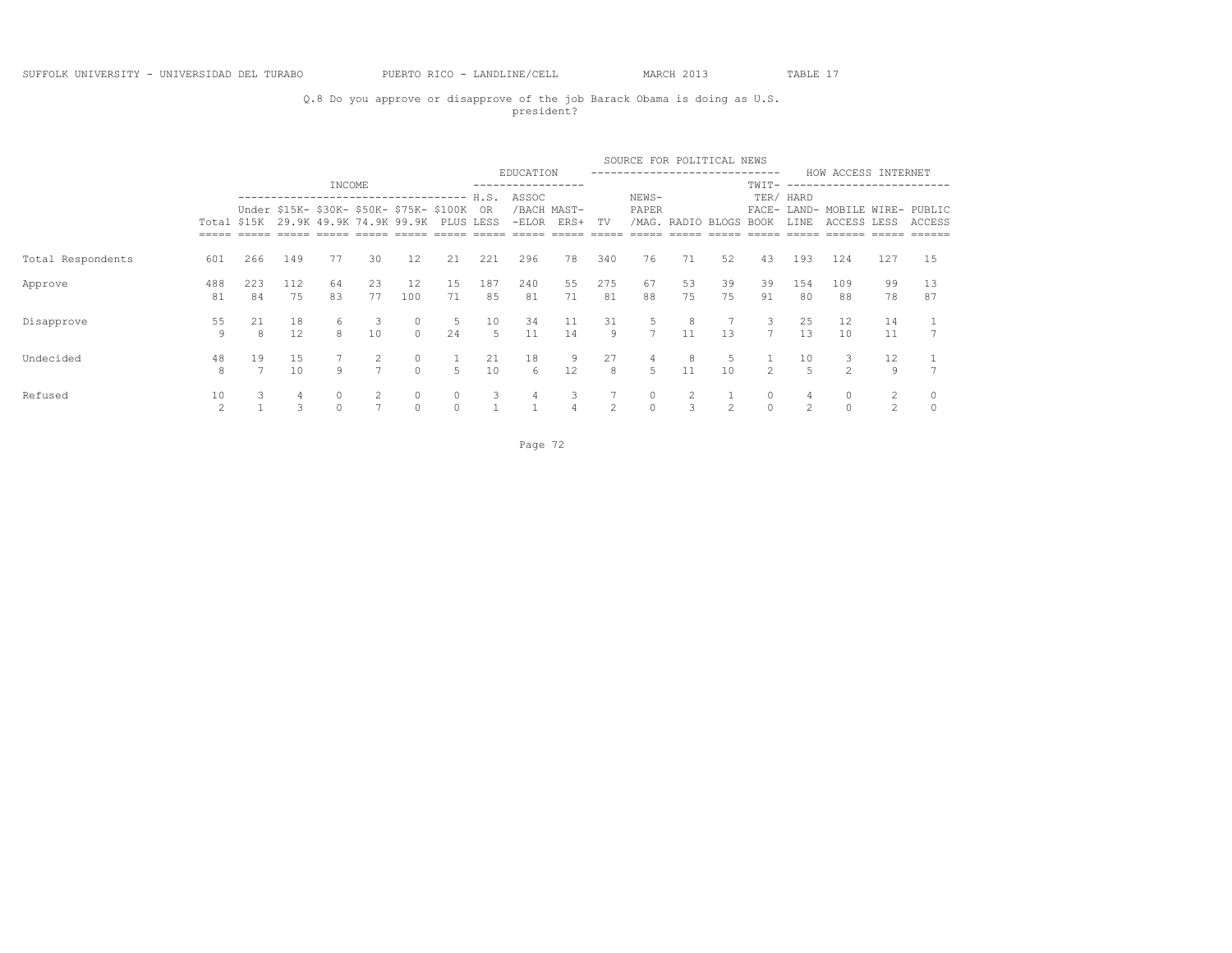## Q.8 Do you approve or disapprove of the job Barack Obama is doing as U.S. president?

|                   |                      |           |           |          |                                                                                                         |                     |          |                          |                  |                     |                | SOURCE FOR POLITICAL NEWS |                   |                |                  |                      |                                                |                     |          |
|-------------------|----------------------|-----------|-----------|----------|---------------------------------------------------------------------------------------------------------|---------------------|----------|--------------------------|------------------|---------------------|----------------|---------------------------|-------------------|----------------|------------------|----------------------|------------------------------------------------|---------------------|----------|
|                   |                      |           |           | INCOME   |                                                                                                         |                     |          |                          | EDUCATION        |                     |                |                           |                   |                | ------<br>TWIT-  |                      | HOW ACCESS INTERNET<br>----------------        |                     |          |
|                   | Total \$15K          |           |           |          | --------------------------------<br>Under \$15K- \$30K- \$50K- \$75K- \$100K<br>29.9K 49.9K 74.9K 99.9K |                     |          | H.S.<br>OR.<br>PLUS LESS | ASSOC<br>$-ELOR$ | /BACH MAST-<br>ERS+ | TV             | NEWS-<br>PAPER            | /MAG. RADIO BLOGS |                | BOOK             | TER/ HARD<br>LINE    | FACE- LAND- MOBILE WIRE- PUBLIC<br>ACCESS LESS |                     | ACCESS   |
|                   |                      |           |           |          |                                                                                                         |                     |          |                          |                  |                     |                |                           |                   |                |                  |                      |                                                |                     |          |
| Total Respondents | 601                  | 266       | 149       | 77       | 30                                                                                                      | 12                  | 21       | 221                      | 296              | 78                  | 340            | 76                        | 71                | 52             | 43               | 193                  | 124                                            | 127                 | 15       |
| Approve           | 488<br>81            | 223<br>84 | 112<br>75 | 64<br>83 | 23<br>77                                                                                                | 12<br>100           | 15<br>71 | 187<br>85                | 240<br>81        | 55<br>71            | 275<br>81      | 67<br>88                  | 53<br>75          | 39<br>75       | 39<br>91         | 154<br>80            | 109<br>88                                      | 99<br>78            | 13<br>87 |
| Disapprove        | 55<br>9              | 21<br>8   | 18<br>12  | 6<br>8   | $\overline{\mathbf{3}}$<br>10                                                                           | $\circ$<br>$\Omega$ | 5<br>24  | 10<br>5                  | 34<br>11         | 11<br>14            | 31<br>9        | 5<br>7                    | 8<br>11           | 13             | 3<br>$7^{\circ}$ | 25<br>1.3            | 12<br>10                                       | 14<br>11            |          |
| Undecided         | 48<br>8              | 19        | 15<br>10  | 9        | 2<br>$\overline{7}$                                                                                     | $\circ$<br>$\Omega$ | 5        | 21<br>10                 | 18<br>6          | 9<br>12             | 27<br>8        | 5                         | 8<br>11           | -5<br>10       | $2^{\circ}$      | 10<br>$\overline{5}$ | 3<br>$\mathfrak{D}$                            | 12<br>9             |          |
| Refused           | 10<br>$\mathfrak{D}$ | 3.        | 4<br>3    | $\Omega$ |                                                                                                         | $\circ$<br>$\Omega$ |          | 3                        | 4                | 3<br>$\overline{4}$ | $\overline{2}$ | $\cap$                    | 3                 | $\mathfrak{D}$ | 0<br>$\Omega$    | $\mathcal{L}$        | $\circ$<br>$\Omega$                            | 2<br>$\mathfrak{D}$ | $\cap$   |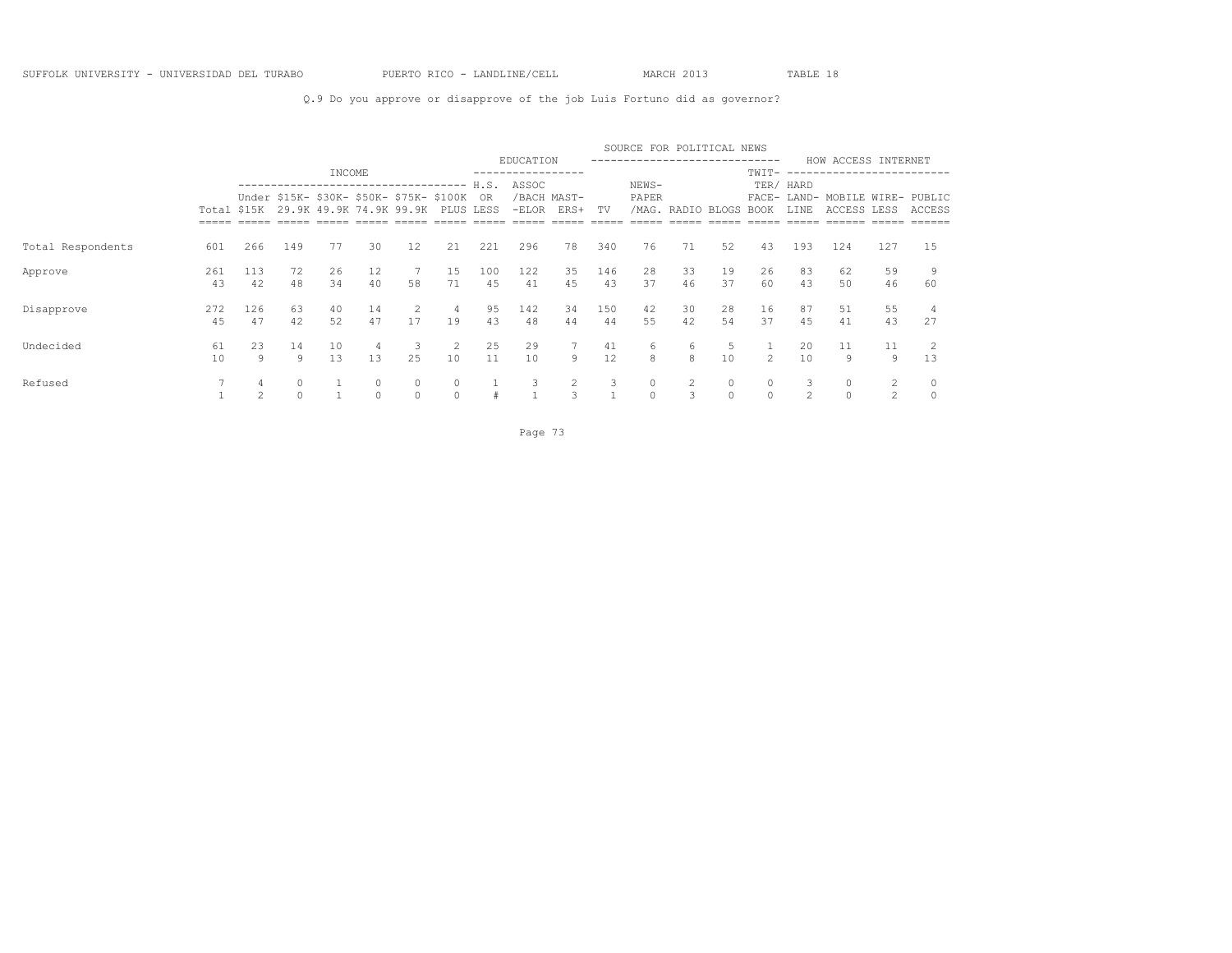### Q.9 Do you approve or disapprove of the job Luis Fortuno did as governor?

|                   |             |     |          |        |    |                                                                     |           |      |           |                     |     | SOURCE FOR POLITICAL NEWS   |                   |    |               |                     |                                    |               |        |
|-------------------|-------------|-----|----------|--------|----|---------------------------------------------------------------------|-----------|------|-----------|---------------------|-----|-----------------------------|-------------------|----|---------------|---------------------|------------------------------------|---------------|--------|
|                   |             |     |          | INCOME |    |                                                                     |           |      | EDUCATION |                     |     | --------------------------- |                   |    | TWIT-         |                     | HOW ACCESS INTERNET                | ------------- |        |
|                   |             |     |          |        |    | ----------------------------------                                  |           | H.S. | ASSOC     |                     |     | NEWS-                       |                   |    |               | TER/ HARD           |                                    |               |        |
|                   | Total \$15K |     |          |        |    | Under \$15K- \$30K- \$50K- \$75K- \$100K<br>29.9K 49.9K 74.9K 99.9K | PLUS LESS | - OR | $-ELOR$   | /BACH MAST-<br>ERS+ | TV  | PAPER                       | /MAG. RADIO BLOGS |    | <b>BOOK</b>   | FACE- LAND-<br>LINE | MOBILE WIRE- PUBLIC<br>ACCESS LESS |               | ACCESS |
|                   |             |     |          |        |    |                                                                     |           |      |           |                     |     |                             |                   |    |               |                     |                                    |               |        |
| Total Respondents | 601         | 266 | 149      | 77     | 30 | 12 <sup>°</sup>                                                     | 21        | 221  | 296       | 78                  | 340 | 76                          | 71                | 52 | 43            | 193                 | 124                                | 127           | 15     |
| Approve           | 261         | 113 | 72       | 26     | 12 |                                                                     | 15        | 100  | 122       | 35                  | 146 | 28                          | 33                | 19 | 26            | 83                  | 62                                 | 59            |        |
|                   | 43          | 42  | 48       | 34     | 40 | 58                                                                  | 71        | 45   | 41        | 45                  | 43  | 37                          | 46                | 37 | 60            | 43                  | .50                                | 46            | 60     |
| Disapprove        | 272         | 126 | 63       | 40     | 14 | 2                                                                   | 4         | 95   | 142       | 34                  | 150 | 42                          | 30                | 28 | 16            | 87                  | 51                                 | 55            |        |
|                   | 45          | 47  | 42       | 52     | 47 | 17                                                                  | 19        | 43   | 48        | 44                  | 44  | 55                          | 42                | 54 | 37            | 45                  | 41                                 | 43            | 27     |
| Undecided         | 61          | 23  | 14       | 10     | 4  |                                                                     | 2         | 25   | 29        |                     | 41  | 6                           | 6                 | 5  |               | 20                  | 11                                 | 11            |        |
|                   | 10          | 9   | 9        | 13     | 13 | 25                                                                  | 10        | 11   | 10        | 9                   | 12  | 8                           | 8                 | 10 | $\mathcal{L}$ | 10                  | 9                                  | 9             | 13     |
| Refused           |             |     | $\circ$  |        |    |                                                                     |           |      |           | 2                   | 3   |                             |                   |    | 0             |                     | 0                                  | 2             |        |
|                   |             |     | $\Omega$ |        |    | $\Omega$                                                            |           |      |           | 3                   |     | $\Omega$                    |                   |    | $\Omega$      |                     | $\Omega$                           |               |        |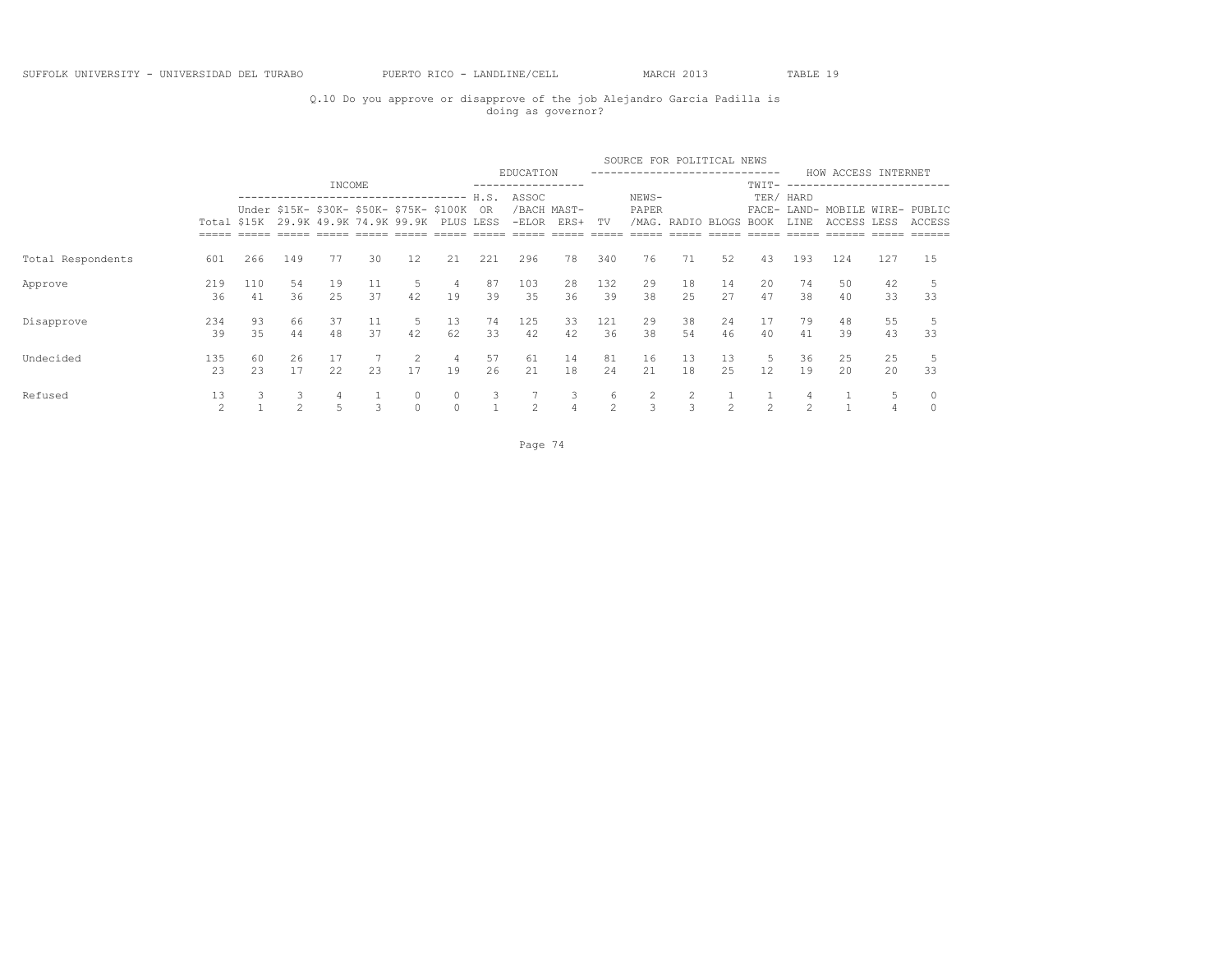### Q.10 Do you approve or disapprove of the job Alejandro Garcia Padilla is doing as governor?

|                   |                     |           |          |           |               |                                                                               |          |          |           |                     |                     | SOURCE FOR POLITICAL NEWS |                   |          |                        |                |                                                |                |                                   |
|-------------------|---------------------|-----------|----------|-----------|---------------|-------------------------------------------------------------------------------|----------|----------|-----------|---------------------|---------------------|---------------------------|-------------------|----------|------------------------|----------------|------------------------------------------------|----------------|-----------------------------------|
|                   |                     |           |          | INCOME    |               |                                                                               |          |          | EDUCATION |                     |                     |                           |                   |          | ------<br>TWIT-        |                | HOW ACCESS INTERNET<br>----------------------  |                |                                   |
|                   |                     |           |          |           |               | ------------------------------------                                          |          | H.S.     | ASSOC     |                     |                     | NEWS-                     |                   |          |                        | TER/ HARD      |                                                |                |                                   |
|                   | Total \$15K         |           |          |           |               | Under \$15K- \$30K- \$50K- \$75K- \$100K<br>29.9K 49.9K 74.9K 99.9K PLUS LESS |          | OR.      | $-ELOR$   | /BACH MAST-<br>ERS+ | TV                  | PAPER                     | /MAG. RADIO BLOGS |          | BOOK                   | LINE           | FACE- LAND- MOBILE WIRE- PUBLIC<br>ACCESS LESS |                | ACCESS<br>$=$ $=$ $=$ $=$ $=$ $=$ |
| Total Respondents | 601                 | 266       | 149      | 77        | 30            | 12                                                                            | 21       | 221      | 296       | 78                  | 340                 | 76                        | 71                | 52       | 43                     | 193            | 124                                            | $=====$<br>127 | 15                                |
| Approve           | 219<br>36           | 110<br>41 | 54<br>36 | 19<br>2.5 | 11<br>37      | 5<br>42                                                                       | 4<br>19  | 87<br>39 | 103<br>35 | 28<br>36            | 132<br>39           | 29<br>38                  | 18<br>2.5         | 14<br>27 | 20<br>47               | 74<br>38       | 50<br>40                                       | 42<br>33       | 33                                |
| Disapprove        | 234<br>39           | 93<br>35  | 66<br>44 | 37<br>48  | 11<br>37      | 5<br>42                                                                       | 13<br>62 | 74<br>33 | 125<br>42 | 33<br>42            | 121<br>36           | 29<br>38                  | 38<br>54          | 24<br>46 | 17<br>40               | 79<br>41       | 48<br>39                                       | 55<br>43       | 33                                |
| Undecided         | 135<br>23           | 60<br>23  | 26<br>17 | 17<br>22  | 23            | 2<br>17                                                                       | 4<br>19  | 57<br>26 | 61<br>21  | 14<br>18            | 81<br>24            | 16<br>21                  | 13<br>18          | 13<br>25 | 5<br>$12 \overline{ }$ | 36<br>19       | 25<br>20                                       | 25<br>20       | 33                                |
| Refused           | 13<br>$\mathcal{D}$ | 3.        | 3<br>2   | 4<br>5    | $\mathcal{L}$ | 0<br>$\Omega$                                                                 |          | 3        | 2         | 3<br>$\overline{4}$ | 6<br>$\mathfrak{D}$ | $\mathcal{L}$             | 3                 |          | $\mathcal{P}$          | $\mathfrak{D}$ |                                                | 5              |                                   |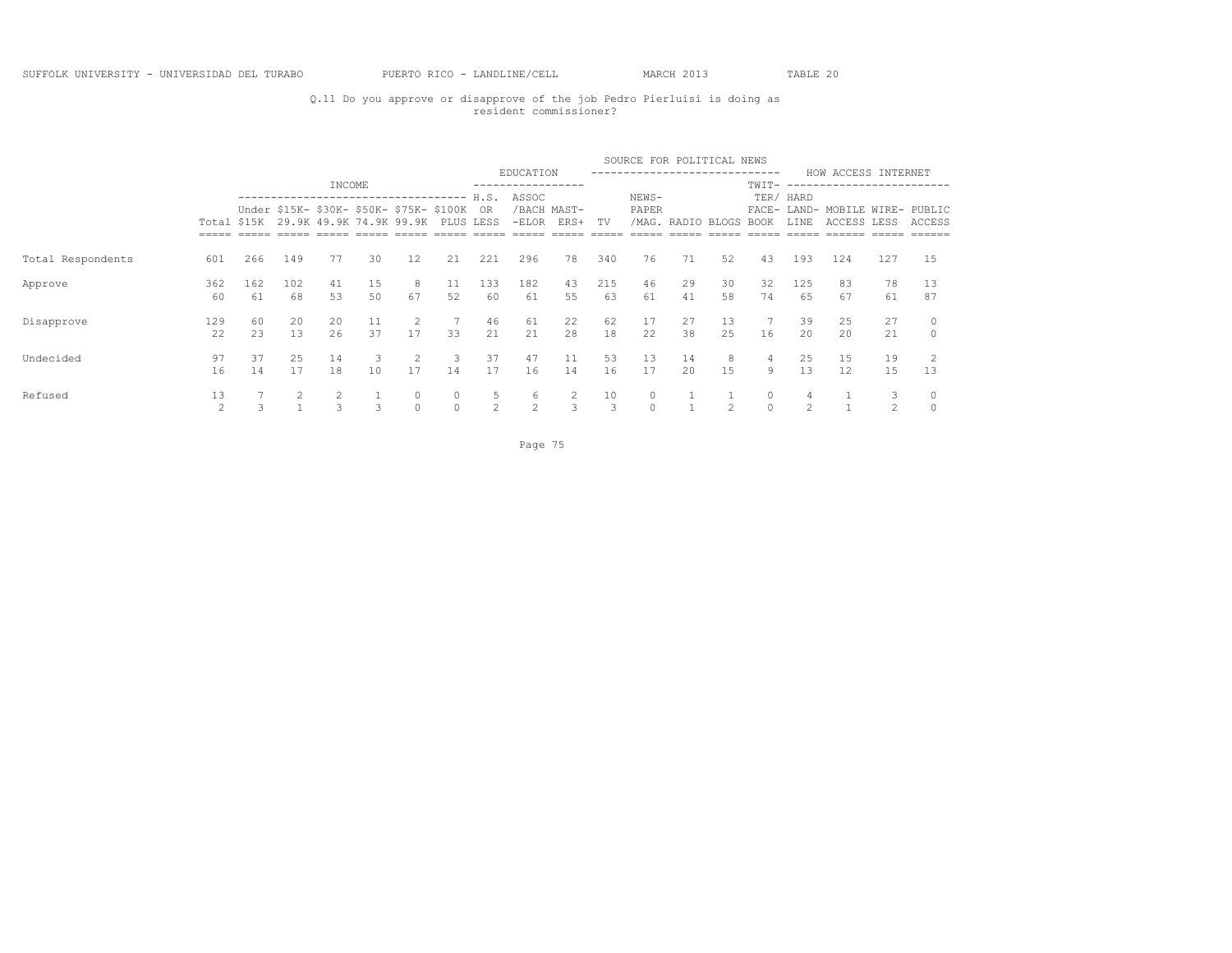### Q.11 Do you approve or disapprove of the job Pedro Pierluisi is doing as resident commissioner?

|                   |           |           |           |                    |                                                                                 |                      |          |                     |                    |                     |                     | SOURCE FOR POLITICAL NEWS |                  |           |                     |           |                                                |                     |                         |
|-------------------|-----------|-----------|-----------|--------------------|---------------------------------------------------------------------------------|----------------------|----------|---------------------|--------------------|---------------------|---------------------|---------------------------|------------------|-----------|---------------------|-----------|------------------------------------------------|---------------------|-------------------------|
|                   |           |           |           | INCOME             |                                                                                 |                      |          |                     | EDUCATION          |                     |                     |                           | ---------------- |           | ------<br>$TWIT-$   |           | HOW ACCESS INTERNET<br>----------------------  |                     |                         |
|                   |           |           |           |                    | ------------------------------------                                            |                      |          | H.S.                | ASSOC              |                     |                     | NEWS-                     |                  |           |                     | TER/ HARD |                                                |                     |                         |
|                   |           |           |           |                    | Under \$15K- \$30K- \$50K- \$75K- \$100K<br>Total \$15K 29.9K 49.9K 74.9K 99.9K |                      |          | OR.<br>PLUS LESS    | $-ELOR$            | /BACH MAST-<br>ERS+ | TV                  | PAPER<br>/MAG.            | RADIO BLOGS      |           | BOOK                | LINE      | FACE- LAND- MOBILE WIRE- PUBLIC<br>ACCESS LESS |                     | ACCESS                  |
|                   |           |           |           |                    |                                                                                 |                      |          |                     |                    |                     |                     |                           |                  |           |                     |           |                                                | $=====$             | $=$ $=$ $=$ $=$ $=$ $=$ |
| Total Respondents | 601       | 266       | 149       | 77                 | 30                                                                              | 12                   | 21       | 221                 | 296                | 78                  | 340                 | 76                        | 71               | 52        | 43                  | 193       | 124                                            | 127                 | 15                      |
| Approve           | 362<br>60 | 162<br>61 | 102<br>68 | 41<br>53           | 15<br>50                                                                        | 8<br>67              | 11<br>52 | 133<br>60           | 182<br>61          | 43<br>55            | 215<br>63           | 46<br>61                  | 29<br>41         | 30<br>58  | 32<br>74            | 125<br>65 | 83<br>67                                       | 78<br>61            | 13<br>87                |
| Disapprove        | 129<br>22 | 60<br>23  | 20<br>13  | 20<br>26           | 11<br>37                                                                        | 2<br>17              | 33       | 46<br>21            | 61<br>21           | 22<br>28            | 62<br>18            | 17<br>22                  | 27<br>38         | 13<br>2.5 | 7<br>16             | 39<br>20  | 25<br>2.0                                      | 27<br>21            | $\Omega$                |
| Undecided         | 97<br>16  | 37<br>14  | 25<br>17  | 14<br>18           | 3<br>10                                                                         | $\overline{2}$<br>17 | 3<br>14  | 37<br>17            | 47<br>16           | 11<br>14            | 53<br>16            | 13<br>17                  | 14<br>20         | 8<br>15   | 4<br>9              | 25<br>13  | 15<br>12                                       | 19<br>15            | 13                      |
| Refused           | 13<br>2   |           |           | 2<br>$\mathcal{L}$ | $\mathcal{L}$                                                                   | 0<br>$\Omega$        | $\circ$  | 5<br>$\mathfrak{D}$ | 6<br>$\mathcal{L}$ | 2<br>3              | 10<br>$\mathcal{L}$ |                           |                  |           | $\circ$<br>$\Omega$ | 4<br>2    |                                                | 3<br>$\mathfrak{D}$ |                         |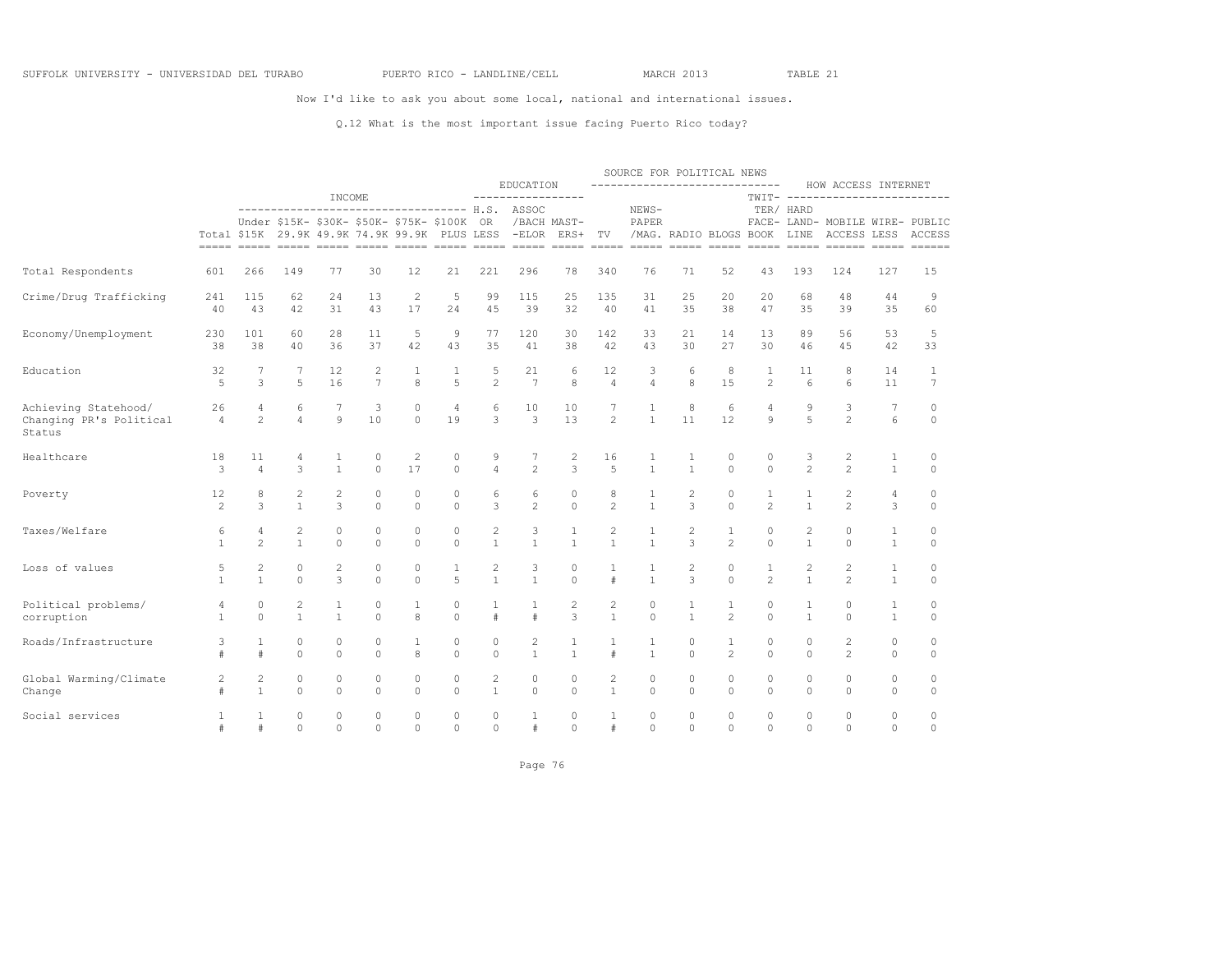Now I'd like to ask you about some local, national and international issues.

### Q.12 What is the most important issue facing Puerto Rico today?

|                                                           |                      |                                |                     |                            |                                                                                           |                     |                      |                            |                                              |                    |                     | SOURCE FOR POLITICAL NEWS     |                             |                                |                                |                   |                                                                                                                                                                                |                              |                    |
|-----------------------------------------------------------|----------------------|--------------------------------|---------------------|----------------------------|-------------------------------------------------------------------------------------------|---------------------|----------------------|----------------------------|----------------------------------------------|--------------------|---------------------|-------------------------------|-----------------------------|--------------------------------|--------------------------------|-------------------|--------------------------------------------------------------------------------------------------------------------------------------------------------------------------------|------------------------------|--------------------|
|                                                           |                      |                                |                     | INCOME                     |                                                                                           |                     |                      |                            | EDUCATION<br>-----------------               |                    |                     | ----------------------------- |                             |                                |                                |                   | HOW ACCESS INTERNET<br>TWIT- -------------------------                                                                                                                         |                              |                    |
|                                                           |                      |                                | --------------      |                            | Under \$15K- \$30K- \$50K- \$75K- \$100K<br>Total \$15K 29.9K 49.9K 74.9K 99.9K PLUS LESS |                     |                      | OR                         | ---------------- H.S. ASSOC<br>-ELOR ERS+ TV | /BACH MAST-        |                     | NEWS-<br>PAPER                | /MAG. RADIO BLOGS BOOK LINE |                                |                                | TER/ HARD         | FACE- LAND- MOBILE WIRE- PUBLIC<br>ACCESS LESS ACCESS<br><u>soon asoo aasoo aasoo aasoo aasoo aasoo aasoo aasoo aasoo aasoo aasoo aasoo aasoo aasoo aasoo aasoo aasoo aaso</u> |                              |                    |
| Total Respondents                                         | 601                  | 266                            | 149                 | 77                         | 30                                                                                        | 12                  | 21                   | 221                        | 296                                          | 78                 | 340                 | 76                            | 71                          | 52                             | 43                             | 193               | 124                                                                                                                                                                            | 127                          | 15                 |
| Crime/Drug Trafficking                                    | 241                  | 115                            | 62                  | 24                         | 13                                                                                        | $\overline{c}$      | $\mathbf 5$          | 99                         | 115                                          | 25                 | 135                 | 31                            | 25                          | 20                             | 20                             | 68                | 48                                                                                                                                                                             | 44                           | 9                  |
|                                                           | 40                   | 43                             | 42                  | 31                         | 43                                                                                        | 17                  | 24                   | 4.5                        | 39                                           | 32                 | 40                  | 41                            | 35                          | 38                             | 47                             | 35                | 39                                                                                                                                                                             | 35                           | 60                 |
| Economy/Unemployment                                      | 230                  | 101                            | 60                  | 28                         | 11                                                                                        | 5                   | 9                    | 77                         | 120                                          | 30                 | 142                 | 33                            | 21                          | 14                             | 13                             | 89                | 56                                                                                                                                                                             | 53                           | 5                  |
|                                                           | 38                   | 38                             | 40                  | 36                         | 37                                                                                        | 42                  | 43                   | 35                         | 41                                           | 38                 | 42                  | 43                            | 30                          | 27                             | 30                             | 46                | 45                                                                                                                                                                             | 42                           | 33                 |
| Education                                                 | 32                   | 7                              | 7                   | 12                         | $\overline{c}$                                                                            | 1                   | 1                    | 5                          | 21                                           | 6                  | 12                  | 3                             | 6                           | 8                              | $\mathbf{1}$                   | 11                | 8                                                                                                                                                                              | 14                           | 1                  |
|                                                           | 5                    | 3                              | 5                   | 16                         | $7\overline{ }$                                                                           | 8                   | 5                    | $\overline{c}$             | 7                                            | 8                  | $\overline{4}$      | $\overline{4}$                | 8                           | 15                             | $\overline{2}$                 | 6                 | 6                                                                                                                                                                              | 11                           | $7\phantom{.0}$    |
| Achieving Statehood/<br>Changing PR's Political<br>Status | 26<br>$\overline{4}$ | 4<br>$\mathfrak{D}$            | 6<br>$\overline{4}$ | 7<br>$\circ$               | 3<br>10                                                                                   | $\circ$<br>$\Omega$ | $\overline{4}$<br>19 | 6<br>3                     | 10<br>3                                      | 10<br>13           | 7<br>$\overline{2}$ | 1<br>$\mathbf{1}$             | 8<br>11                     | 6<br>12                        | $\overline{4}$<br>9            | 9<br>5            | 3<br>$\mathfrak{D}$                                                                                                                                                            | 7<br>6                       | 0<br>$\circ$       |
| Healthcare                                                | 18                   | 11                             | 4                   | $\mathbf{1}$               | $\circ$                                                                                   | $\overline{c}$      | $\circ$              | 9                          | 7                                            | $\overline{c}$     | 16                  | $\mathbf{1}$                  | 1                           | $\circ$                        | $\circ$                        | 3                 | $\overline{\mathbf{c}}$                                                                                                                                                        | $\mathbf{1}$                 | $\circ$            |
|                                                           | 3                    | $\overline{4}$                 | 3                   | $\overline{1}$             | $\Omega$                                                                                  | 17                  | $\Omega$             | $\overline{4}$             | $\overline{c}$                               | $\overline{3}$     | $\overline{5}$      | $\mathbf{1}$                  | $\mathbf{1}$                | $\circ$                        | $\circ$                        | $\overline{c}$    | $\overline{c}$                                                                                                                                                                 | $\mathbf{1}$                 | $\circ$            |
| Poverty                                                   | 12                   | 8                              | 2                   | $\overline{c}$             | $\circ$                                                                                   | $\circ$             | $\circ$              | 6                          | 6                                            | $\circ$            | 8                   | $\mathbf{1}$                  | $\mathbf{2}$                | $\circ$                        | $\mathbf{1}$                   | $\mathbf{1}$      | $\overline{c}$                                                                                                                                                                 | $\overline{4}$               | $\circ$            |
|                                                           | 2                    | 3                              | $\mathbf{1}$        | 3                          | $\Omega$                                                                                  | $\Omega$            | $\Omega$             | 3                          | $\overline{c}$                               | $\Omega$           | $\mathfrak{D}$      | $\mathbf{1}$                  | 3                           | $\Omega$                       | $\overline{c}$                 | $\mathbf{1}$      | 2                                                                                                                                                                              | 3                            | $\Omega$           |
| Taxes/Welfare                                             | 6                    | $\overline{4}$                 | $\mathbf{2}$        | $\circ$                    | $\circ$                                                                                   | $\circ$             | $\circ$              | $\mathbf{2}$               | 3                                            | $\mathbf{1}$       | 2                   | $\mathbf{1}$                  | $\overline{c}$              | $\mathbf{1}$                   | $\circ$                        | 2                 | $\circ$                                                                                                                                                                        | $\mathbf{1}$                 | $\circ$            |
|                                                           | $\mathbf{1}$         | $\mathfrak{D}$                 | $\mathbf{1}$        | $\Omega$                   | $\Omega$                                                                                  | $\Omega$            | $\Omega$             | $\mathbf{1}$               | $\mathbf{1}$                                 | $\mathbf{1}$       | $\mathbf{1}$        | $\mathbf{1}$                  | 3                           | $\mathfrak{D}$                 | $\Omega$                       | $\mathbf{1}$      | $\Omega$                                                                                                                                                                       | $\mathbf{1}$                 | $\Omega$           |
| Loss of values                                            | 5<br>$\mathbf{1}$    | $\overline{c}$<br>$\mathbf{1}$ | 0<br>$\circ$        | $\sqrt{2}$<br>$\mathbf{3}$ | $\circ$<br>$\circ$                                                                        | $\circ$<br>$\circ$  | 1<br>5               | $\sqrt{2}$<br>$\mathbf{1}$ | 3<br>$\mathbf{1}$                            | $\circ$<br>$\circ$ | $\#$                | $\mathbf{1}$                  | $\overline{c}$<br>3         | $\circ$<br>$\circ$             | $\mathbf{1}$<br>$\overline{c}$ | 2<br>$\mathbf{1}$ | $\overline{c}$<br>$\overline{c}$                                                                                                                                               | $\mathbf{1}$<br>$\mathbf{1}$ | 0<br>$\circ$       |
| Political problems/                                       | 4                    | $\circ$                        | 2                   | 1                          | $\circ$                                                                                   | 1                   | 0                    | 1                          | 1                                            | 2                  | $\frac{2}{1}$       | $\circ$                       | 1                           | $\mathbf{1}$                   | 0                              | 1                 | $\circ$                                                                                                                                                                        | $\mathbf{1}$                 | 0                  |
| corruption                                                | $\mathbf{1}$         | $\Omega$                       | $\mathbf{1}$        | $\overline{1}$             | $\Omega$                                                                                  | 8                   | $\Omega$             | $\pm$                      | #                                            | $\overline{3}$     |                     | $\Omega$                      | $\mathbf{1}$                | $\mathfrak{D}$                 | $\Omega$                       | $\mathbf{1}$      | $\Omega$                                                                                                                                                                       | $\mathbf{1}$                 | $\circ$            |
| Roads/Infrastructure                                      | 3<br>#               | $\mathbf{1}$<br>$\#$           | $\circ$<br>$\circ$  | $\circ$<br>$\Omega$        | $\circ$<br>$\Omega$                                                                       | $\mathbf{1}$<br>8   | $\circ$<br>$\Omega$  | $\circ$<br>$\Omega$        | 2<br>$\mathbf{1}$                            | 1<br>$\mathbf{1}$  | $\#$                | 1<br>$\mathbf{1}$             | $\circ$<br>$\Omega$         | $\mathbf{1}$<br>$\overline{c}$ | $\circ$<br>$\Omega$            | 0<br>$\Omega$     | $\overline{c}$<br>$\overline{c}$                                                                                                                                               | $\circ$<br>$\circ$           | $\circ$<br>$\circ$ |
| Global Warming/Climate                                    | 2                    | $\mathbf{2}$                   | $\circ$             | $\circ$                    | $\circ$                                                                                   | $\circ$             | 0                    | $\mathbf{2}$               | $\circ$                                      | $\circ$            | $\overline{c}$      | $\circ$                       | $\circ$                     | 0                              | $\circ$                        | 0                 | $\circ$                                                                                                                                                                        | $\circ$                      | 0                  |
| Change                                                    | $\ddagger$           | $\mathbf{1}$                   | $\Omega$            | $\Omega$                   | $\Omega$                                                                                  | $\Omega$            | $\Omega$             | $\mathbf{1}$               | $\Omega$                                     | $\Omega$           | $\mathbf{1}$        | $\Omega$                      | $\Omega$                    | $\Omega$                       | $\Omega$                       | $\Omega$          | $\Omega$                                                                                                                                                                       | $\Omega$                     | $\circ$            |
| Social services                                           | 1                    | $\mathbf{1}$                   | 0                   | $\circ$                    | $\circ$                                                                                   | $\circ$             | 0                    | $\circ$                    | $\mathbf{1}$                                 | $\circ$            | $\mathbf{1}$        | $\circ$                       | $\circ$                     | $\circ$                        | 0                              | 0                 | $\circ$                                                                                                                                                                        | $\circ$                      | 0                  |
|                                                           | #                    | $\#$                           | $\Omega$            | $\circ$                    | $\Omega$                                                                                  | $\circ$             | $\circ$              | $\Omega$                   | #                                            | $\Omega$           | #                   | $\Omega$                      | $\Omega$                    | $\Omega$                       | $\Omega$                       | $\Omega$          | $\circ$                                                                                                                                                                        | $\circ$                      | $\circ$            |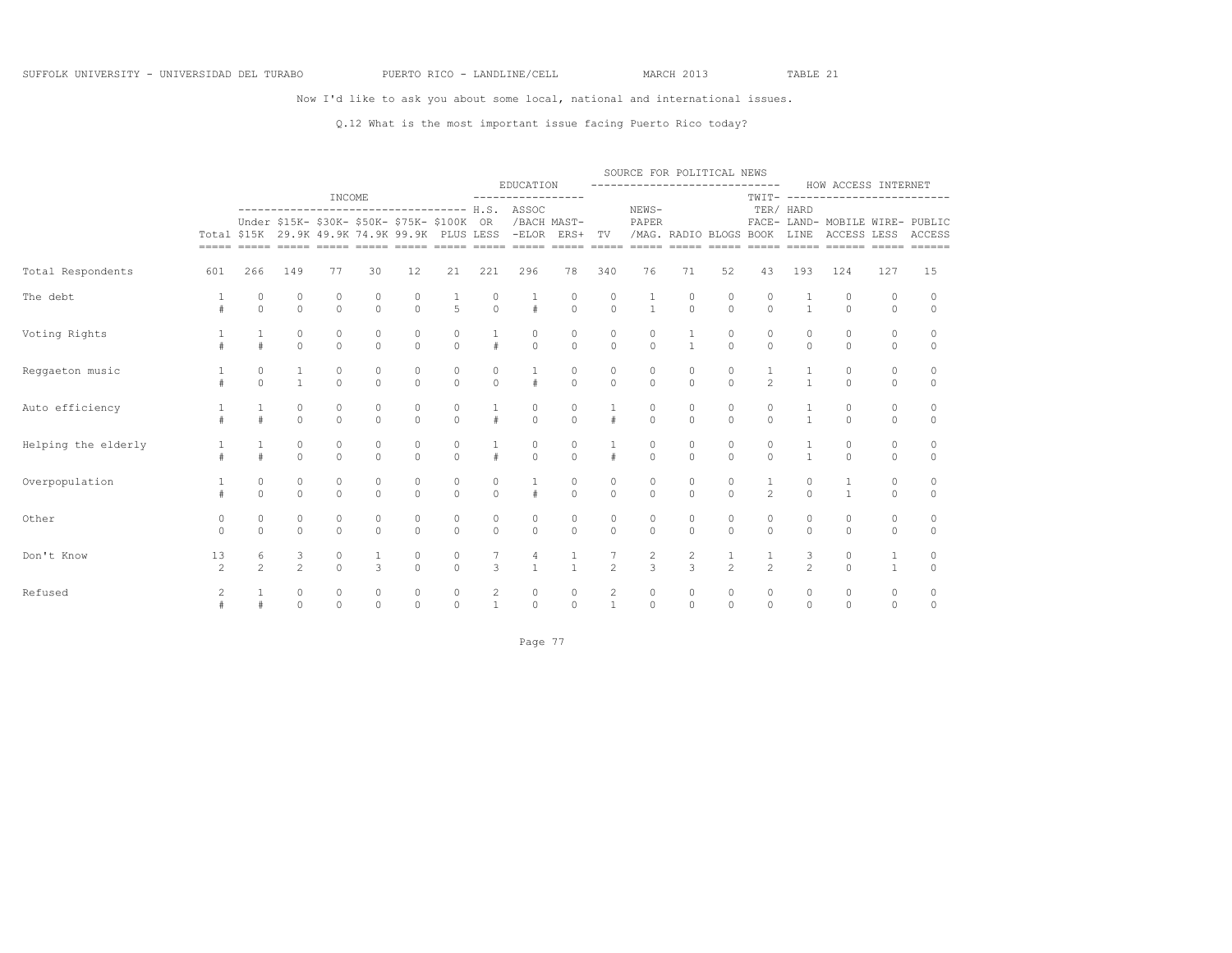### Now I'd like to ask you about some local, national and international issues.

### Q.12 What is the most important issue facing Puerto Rico today?

|                     |                      |                     |                     |                               |                     |                                                                                                                                         |                         |                                | EDUCATION           |                        |                                  | SOURCE FOR POLITICAL NEWS<br>----------------------------- |                        |                     |                     |                     | HOW ACCESS INTERNET                            |                    |                    |
|---------------------|----------------------|---------------------|---------------------|-------------------------------|---------------------|-----------------------------------------------------------------------------------------------------------------------------------------|-------------------------|--------------------------------|---------------------|------------------------|----------------------------------|------------------------------------------------------------|------------------------|---------------------|---------------------|---------------------|------------------------------------------------|--------------------|--------------------|
|                     |                      |                     |                     | INCOME                        |                     |                                                                                                                                         |                         |                                | -----------------   |                        |                                  |                                                            |                        |                     | TWIT-               | $\cdots$            |                                                |                    |                    |
|                     |                      |                     |                     |                               |                     | ------------------------------------- H.S.<br>Under \$15K- \$30K- \$50K- \$75K- \$100K<br>Total \$15K 29.9K 49.9K 74.9K 99.9K PLUS LESS |                         | 0R                             | ASSOC<br>$-ELOR$    | /BACH MAST-<br>ERS+    | TV                               | NEWS-<br>PAPER                                             | /MAG. RADIO BLOGS BOOK |                     |                     | TER/ HARD<br>LINE   | FACE- LAND- MOBILE WIRE- PUBLIC<br>ACCESS LESS |                    | ACCESS             |
| Total Respondents   | 601                  | 266                 | 149                 | 77                            | 30                  | 12                                                                                                                                      | 21                      | 221                            | 296                 | 78                     | 340                              | 76                                                         | 71                     | 52                  | 43                  | 193                 | 124                                            | 127                | 15                 |
| The debt            |                      | 0<br>$\Omega$       | 0<br>$\circ$        | 0<br>$\Omega$                 | $\circ$<br>$\circ$  | 0<br>$\circ$                                                                                                                            | 5                       | 0<br>$\circ$                   | $\#$                | 0<br>$\circ$           | 0<br>$\circ$                     | $\mathbf{1}$                                               | 0<br>$\circ$           | 0<br>$\Omega$       | 0<br>$\Omega$       | $\mathbf{1}$        | $\circ$<br>$\circ$                             | $\circ$<br>$\circ$ | $\circ$<br>$\circ$ |
| Voting Rights       |                      | 1                   | $\circ$<br>$\circ$  | $\circ$<br>$\circ$            | $\circ$<br>$\circ$  | $\circ$<br>$\circ$                                                                                                                      | 0<br>$\mathbf 0$        | 1<br>#                         | 0<br>$\circ$        | 0<br>$\circ$           | $\mathbb O$<br>$\circ$           | $\circ$<br>$\circ$                                         | $\mathbf{1}$           | $\circ$<br>$\circ$  | 0<br>$\circ$        | 0<br>$\circ$        | $\circ$<br>$\circ$                             | 0<br>$\circ$       | 0<br>$\circ$       |
| Reggaeton music     | #                    | 0<br>$\Omega$       | 1<br>$\mathbf{1}$   | $\mathbb O$<br>$\overline{0}$ | 0<br>$\circ$        | 0<br>$\circ$                                                                                                                            | 0<br>$\circ$            | 0<br>$\circ$                   | $\#$                | $\mathbb O$<br>$\circ$ | 0<br>$\circ$                     | 0<br>$\circ$                                               | 0<br>$\mathbf{0}$      | 0<br>$\circ$        | $\overline{c}$      | $\mathbf{1}$        | $\circ$<br>$\circ$                             | 0<br>$\circ$       | 0<br>$\circ$       |
| Auto efficiency     | $\pm$                | #                   | 0<br>$\circ$        | 0<br>$\Omega$                 | 0<br>$\Omega$       | 0<br>$\Omega$                                                                                                                           | 0<br>$\Omega$           | #                              | 0<br>$\Omega$       | 0<br>$\Omega$          | $\#$                             | 0<br>$\Omega$                                              | 0<br>$\Omega$          | 0<br>$\Omega$       | 0<br>$\Omega$       | $\mathbf{1}$        | $\circ$<br>$\Omega$                            | 0<br>$\circ$       | 0<br>$\circ$       |
| Helping the elderly |                      | #                   | $\circ$<br>$\circ$  | $\circ$<br>$\Omega$           | 0<br>$\Omega$       | 0<br>$\circ$                                                                                                                            | 0<br>$\Omega$           | $\#$                           | 0<br>$\circ$        | 0<br>$\circ$           | #                                | 0<br>$\circ$                                               | 0<br>$\circ$           | 0<br>$\circ$        | 0<br>$\circ$        | $\mathbf{1}$        | $\circ$<br>$\circ$                             | $\circ$<br>$\circ$ | 0<br>$\circ$       |
| Overpopulation      | #                    | 0<br>$\Omega$       | $\circ$<br>$\Omega$ | 0<br>$\Omega$                 | 0<br>$\Omega$       | 0<br>$\Omega$                                                                                                                           | $\circ$<br>$\Omega$     | 0<br>$\Omega$                  | $\#$                | 0<br>$\Omega$          | 0<br>$\Omega$                    | $\circ$<br>$\Omega$                                        | 0<br>$\Omega$          | 0<br>$\Omega$       | 1<br>$\mathfrak{D}$ | 0<br>$\Omega$       | 1<br>$\mathbf{1}$                              | 0<br>$\Omega$      | 0<br>$\Omega$      |
| Other               | 0<br>$\Omega$        | 0<br>$\Omega$       | $\circ$<br>$\circ$  | $\circ$<br>$\Omega$           | $\circ$<br>$\Omega$ | 0<br>$\Omega$                                                                                                                           | 0<br>$\Omega$           | 0<br>$\circ$                   | $\circ$<br>$\Omega$ | 0<br>$\circ$           | $\mathbb O$<br>$\circ$           | 0<br>$\Omega$                                              | 0<br>$\Omega$          | 0<br>$\Omega$       | 0<br>$\Omega$       | 0<br>$\Omega$       | $\circ$<br>$\circ$                             | 0<br>$\circ$       | 0<br>$\circ$       |
| Don't Know          | 13<br>$\overline{c}$ | 6<br>$\mathfrak{D}$ | 3<br>$\overline{c}$ | $\circ$<br>$\Omega$           | 1<br>3              | 0<br>$\Omega$                                                                                                                           | $\mathbb O$<br>$\Omega$ | 7<br>3                         | 4                   | 1<br>$\mathbf{1}$      | $\mathfrak{D}$                   | $\overline{c}$<br>$\overline{3}$                           | 2<br>3                 | 1<br>$\mathfrak{D}$ | 1<br>$\mathfrak{D}$ | 3<br>$\overline{c}$ | 0<br>$\Omega$                                  | 1<br>$\mathbf{1}$  | 0<br>$\circ$       |
| Refused             | 2<br>#               | #                   | $\circ$<br>$\circ$  | $\circ$<br>$\Omega$           | $\circ$<br>$\Omega$ | $\circ$<br>$\Omega$                                                                                                                     | $\circ$<br>$\Omega$     | $\overline{c}$<br>$\mathbf{1}$ | 0<br>$\Omega$       | 0<br>$\circ$           | $\overline{c}$<br>$\overline{1}$ | $\circ$<br>$\Omega$                                        | 0<br>$\circ$           | 0<br>$\Omega$       | 0<br>$\Omega$       | 0<br>$\Omega$       | 0<br>$\Omega$                                  | 0<br>$\circ$       | 0<br>0             |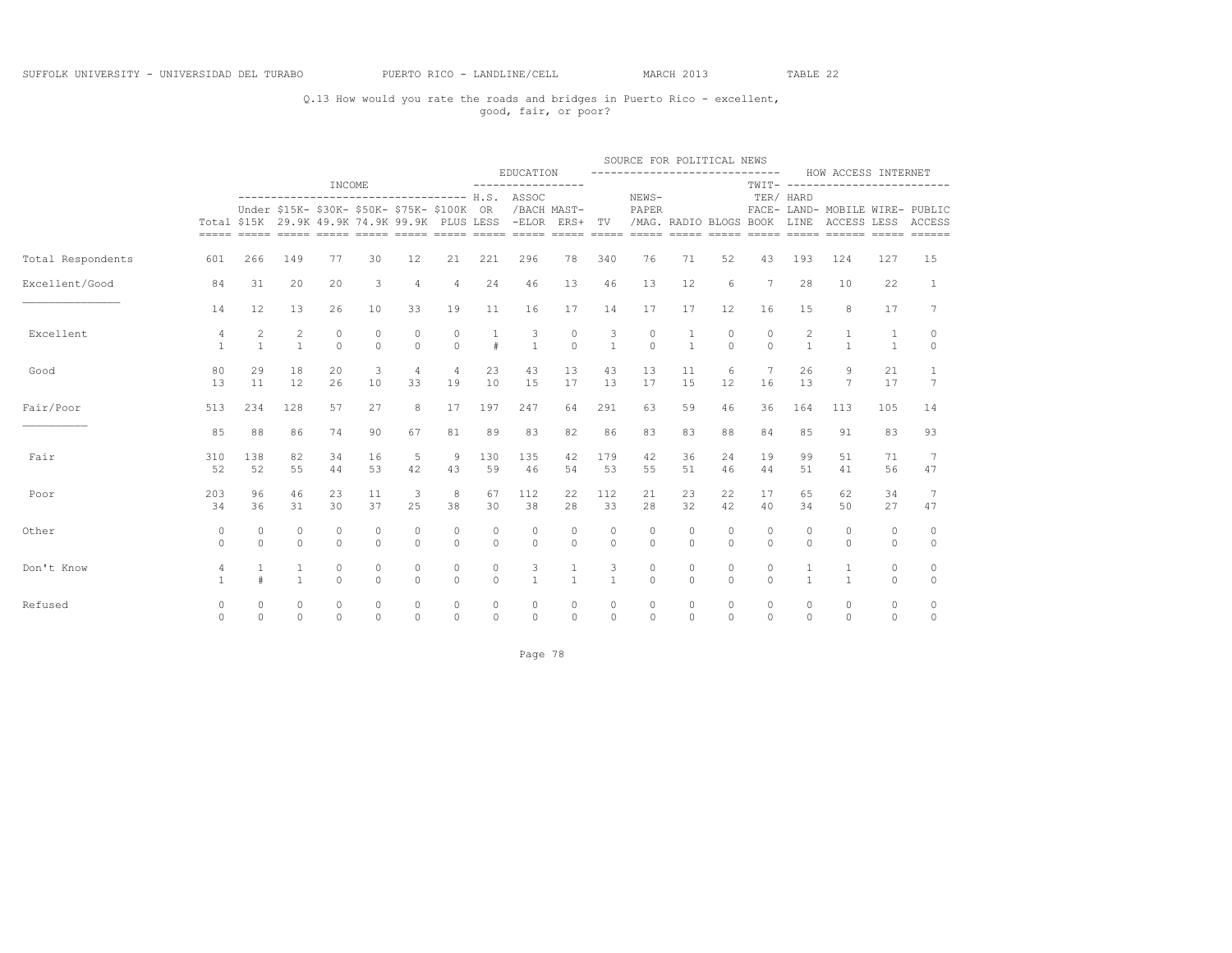### Q.13 How would you rate the roads and bridges in Puerto Rico - excellent, good, fair, or poor?

|                   |                                |                   |                                  |                     |                     |                                                                                              |                      |                      |                                                |                     |                         | SOURCE FOR POLITICAL NEWS            |                              |                     |                     |                     |                                                                             |                              |                    |
|-------------------|--------------------------------|-------------------|----------------------------------|---------------------|---------------------|----------------------------------------------------------------------------------------------|----------------------|----------------------|------------------------------------------------|---------------------|-------------------------|--------------------------------------|------------------------------|---------------------|---------------------|---------------------|-----------------------------------------------------------------------------|------------------------------|--------------------|
|                   |                                |                   |                                  |                     |                     |                                                                                              |                      |                      | EDUCATION                                      |                     |                         | -----------------------------        |                              |                     |                     |                     | HOW ACCESS INTERNET                                                         |                              |                    |
|                   |                                |                   |                                  | INCOME              |                     |                                                                                              |                      |                      | ----------------------------------- H.S. ASSOC |                     |                         | NEWS-                                |                              |                     |                     | TER/ HARD           | TWIT- -------------------------                                             |                              |                    |
|                   |                                |                   |                                  |                     |                     | Under \$15K- \$30K- \$50K- \$75K- \$100K OR<br>Total \$15K 29.9K 49.9K 74.9K 99.9K PLUS LESS |                      |                      | -ELOR ERS+ TV                                  | /BACH MAST-         |                         | PAPER<br>/MAG. RADIO BLOGS BOOK LINE | $=$ $=$ $=$ $=$ $=$          | $=====$             |                     |                     | FACE- LAND- MOBILE WIRE- PUBLIC<br>ACCESS LESS ACCESS<br>===== ===== ====== | $=====$                      | $=$                |
| Total Respondents | 601                            | 266               | 149                              | 77                  | 30                  | 12                                                                                           | 21                   | 221                  | 296                                            | 78                  | 340                     | 76                                   | 71                           | 52                  | 43                  | 193                 | 124                                                                         | 127                          | 15                 |
| Excellent/Good    | 84                             | 31                | 20                               | 20                  | 3                   | $\overline{4}$                                                                               | $\overline{4}$       | 24                   | 46                                             | 13                  | 46                      | 13                                   | 12                           | 6                   | $7\phantom{.0}$     | 28                  | 10                                                                          | 22                           | $\mathbf{1}$       |
|                   | 14                             | 12                | 13                               | 26                  | 10                  | 33                                                                                           | 19                   | 11                   | 16                                             | 17                  | 14                      | 17                                   | 17                           | 12                  | 16                  | 15                  | 8                                                                           | 17                           | 7                  |
| Excellent         | $\overline{4}$<br>$\mathbf{1}$ | 2<br>$\mathbf{1}$ | $\overline{2}$<br>$\overline{1}$ | $\circ$<br>$\Omega$ | $\circ$<br>$\Omega$ | $\circ$<br>$\Omega$                                                                          | $\circ$<br>$\Omega$  | $\mathbf{1}$<br>$\#$ | 3<br>$\mathbf{1}$                              | $\circ$<br>$\Omega$ | 3<br>$\overline{1}$     | $\circ$<br>$\Omega$                  | $\mathbf{1}$<br>$\mathbf{1}$ | $\circ$<br>$\Omega$ | $\circ$<br>$\Omega$ | 2<br>$\mathbf{1}$   | 1<br>$\mathbf{1}$                                                           | $\mathbf{1}$<br>$\mathbf{1}$ | $\circ$<br>$\circ$ |
| Good              | 80<br>13                       | 29<br>11          | 18<br>12                         | 20<br>26            | 3<br>10             | $\overline{4}$<br>33                                                                         | $\overline{4}$<br>19 | 23<br>10             | 43<br>15                                       | 13<br>17            | 43<br>13                | 13<br>17                             | 11<br>15                     | 6<br>12             | 7<br>16             | 26<br>13            | 9<br>$\overline{7}$                                                         | 21<br>17                     | 1<br>7             |
| Fair/Poor         | 513                            | 234               | 128                              | 57                  | 27                  | 8                                                                                            | 17                   | 197                  | 247                                            | 64                  | 291                     | 63                                   | 59                           | 46                  | 36                  | 164                 | 113                                                                         | 105                          | 14                 |
|                   | 85                             | 88                | 86                               | 74                  | 90                  | 67                                                                                           | 81                   | 89                   | 83                                             | 82                  | 86                      | 83                                   | 83                           | 88                  | 84                  | 85                  | 91                                                                          | 83                           | 93                 |
| Fair              | 310<br>52                      | 138<br>52         | 82<br>55                         | 34<br>44            | 16<br>53            | 5<br>42                                                                                      | 9<br>43              | 130<br>59            | 135<br>46                                      | 42<br>54            | 179<br>53               | 42<br>55                             | 36<br>51                     | 24<br>46            | 19<br>44            | 99<br>51            | 51<br>41                                                                    | 71<br>56                     | 7<br>47            |
| Poor              | 203<br>34                      | 96<br>36          | 46<br>31                         | 23<br>30            | 11<br>37            | 3<br>25                                                                                      | 8<br>38              | 67<br>30             | 112<br>38                                      | 22<br>28            | 112<br>33               | 21<br>28                             | 23<br>32                     | 22<br>42            | 17<br>40            | 65<br>34            | 62<br>50                                                                    | 34<br>27                     | 7<br>47            |
| Other             | 0<br>$\Omega$                  | 0<br>$\Omega$     | $\circ$<br>$\circ$               | $\circ$<br>$\Omega$ | $\circ$<br>$\Omega$ | $\circ$<br>$\Omega$                                                                          | $\circ$<br>$\Omega$  | $\circ$<br>$\Omega$  | $\circ$<br>$\Omega$                            | 0<br>$\circ$        | $\mathbf 0$<br>$\Omega$ | $\mathbf{0}$<br>$\Omega$             | 0<br>$\Omega$                | $\circ$<br>$\Omega$ | $\circ$<br>$\circ$  | 0<br>$\Omega$       | 0<br>$\Omega$                                                               | 0<br>$\circ$                 | $\circ$<br>$\circ$ |
| Don't Know        | 4<br>$\mathbf{1}$              | $\pm$             | 1<br>$\mathbf{1}$                | $\circ$<br>$\Omega$ | $\circ$<br>$\Omega$ | 0<br>$\Omega$                                                                                | $\circ$<br>$\Omega$  | $\circ$<br>$\circ$   | 3<br>$\mathbf{1}$                              | 1<br>$\mathbf{1}$   | 3<br>$\mathbf{1}$       | $\circ$<br>$\Omega$                  | 0<br>$\Omega$                | $\circ$<br>$\Omega$ | 0<br>$\Omega$       | 1<br>$\mathbf{1}$   | 1<br>$\mathbf{1}$                                                           | 0<br>$\circ$                 | 0<br>$\circ$       |
| Refused           | 0<br>$\Omega$                  | 0<br>$\Omega$     | $\circ$<br>$\Omega$              | $\circ$<br>$\Omega$ | $\circ$<br>$\Omega$ | 0<br>$\Omega$                                                                                | $\circ$<br>$\Omega$  | 0<br>$\Omega$        | $\circ$<br>$\Omega$                            | $\circ$<br>$\Omega$ | $\circ$<br>$\Omega$     | $\circ$<br>$\Omega$                  | $\circ$<br>$\Omega$          | $\circ$<br>$\Omega$ | $\circ$<br>$\Omega$ | $\circ$<br>$\Omega$ | $\circ$<br>$\Omega$                                                         | $\circ$<br>$\Omega$          | 0<br>$\Omega$      |

Page 78 and 2012 and 2012 and 2012 and 2012 and 2012 and 2012 and 2012 and 2012 and 2012 and 2012 and 2012 and 2012 and 2012 and 2012 and 2012 and 2012 and 2012 and 2012 and 2012 and 2012 and 2012 and 2012 and 2012 and 201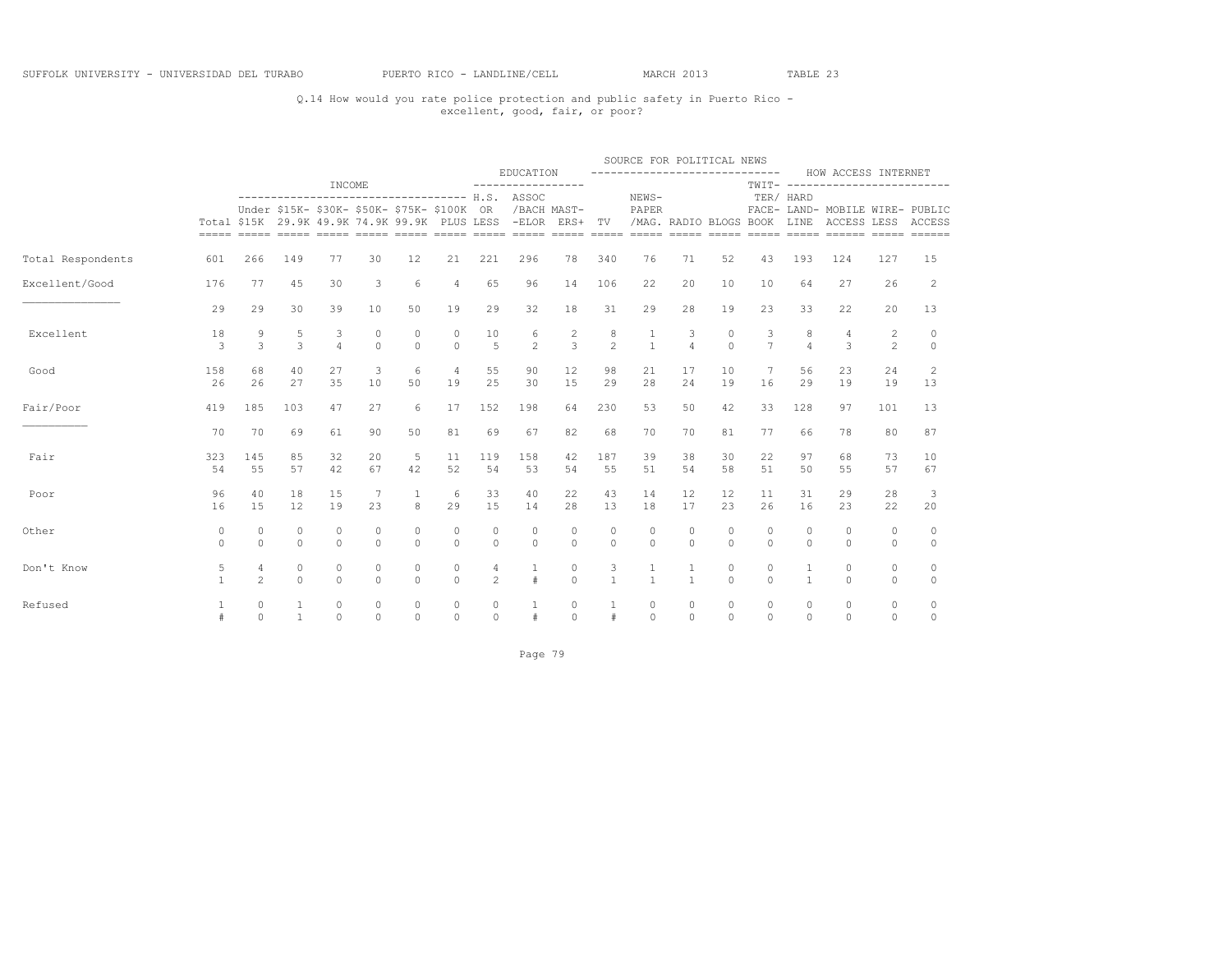### Q.14 How would you rate police protection and public safety in Puerto Rico - excellent, good, fair, or poor?

|                   |                   |                         |                     |                     |                      |                                                                                              |                      |                     |                                                                               |                                  |                     | SOURCE FOR POLITICAL NEWS     |                     |                         |                     |                     |                                                                                         |                     |                        |
|-------------------|-------------------|-------------------------|---------------------|---------------------|----------------------|----------------------------------------------------------------------------------------------|----------------------|---------------------|-------------------------------------------------------------------------------|----------------------------------|---------------------|-------------------------------|---------------------|-------------------------|---------------------|---------------------|-----------------------------------------------------------------------------------------|---------------------|------------------------|
|                   |                   |                         |                     |                     |                      |                                                                                              |                      |                     | EDUCATION                                                                     |                                  |                     | ----------------------------- |                     |                         |                     |                     | HOW ACCESS INTERNET                                                                     |                     |                        |
|                   |                   |                         |                     | INCOME              |                      |                                                                                              |                      |                     | ----------------------------------- H.S. ASSOC                                |                                  |                     | NEWS-                         |                     |                         |                     | TER/ HARD           | TWIT- -------------------------                                                         |                     |                        |
|                   |                   |                         |                     |                     |                      | Under \$15K- \$30K- \$50K- \$75K- \$100K OR<br>Total \$15K 29.9K 49.9K 74.9K 99.9K PLUS LESS |                      |                     | -ELOR ERS+ TV /MAG. RADIO BLOGS BOOK LINE<br>----- ----- ----- ---- ---- ---- | /BACH MAST-                      |                     | PAPER                         | $=$ $=$ $=$ $=$ $=$ | $=====$                 |                     |                     | FACE- LAND- MOBILE WIRE- PUBLIC<br>ACCESS LESS ACCESS<br>===== ===== ====== ===== ===== |                     |                        |
| Total Respondents | 601               | 266                     | 149                 | 77                  | 30                   | 12                                                                                           | 21                   | 221                 | 296                                                                           | 78                               | 340                 | 76                            | 71                  | 52                      | 43                  | 193                 | 124                                                                                     | 127                 | 15                     |
| Excellent/Good    | 176               | 77                      | 45                  | 30                  | 3                    | 6                                                                                            | $\overline{4}$       | 65                  | 96                                                                            | 14                               | 106                 | 22                            | 20                  | 10                      | 10                  | 64                  | 27                                                                                      | 26                  | 2                      |
|                   | 29                | 29                      | 30                  | 39                  | 10                   | 50                                                                                           | 19                   | 29                  | 32                                                                            | 18                               | 31                  | 29                            | 28                  | 19                      | 23                  | 33                  | 22                                                                                      | 20                  | 13                     |
| Excellent         | 18<br>3           | 9<br>3                  | 5<br>3              | 3<br>$\overline{4}$ | $\Omega$<br>$\Omega$ | $\Omega$<br>$\Omega$                                                                         | $\Omega$<br>$\Omega$ | 10<br>5             | 6<br>$\mathfrak{D}$                                                           | $\overline{c}$<br>$\overline{3}$ | 8<br>$\mathfrak{D}$ | $\mathbf{1}$                  | 3<br>$\overline{4}$ | $\Omega$<br>$\Omega$    | 3<br>$\overline{7}$ | 8<br>$\overline{4}$ | 4<br>3                                                                                  | 2<br>$\overline{c}$ | $\circ$<br>$\Omega$    |
| Good              | 158<br>26         | 68<br>26                | 40<br>27            | 27<br>35            | 3<br>10              | 6<br>50                                                                                      | $\overline{4}$<br>19 | 55<br>25            | 90<br>30                                                                      | 12<br>15                         | 98<br>29            | 21<br>28                      | 17<br>24            | 10<br>19                | 7<br>16             | 56<br>29            | 23<br>19                                                                                | 24<br>19            | 2<br>13                |
| Fair/Poor         | 419               | 185                     | 103                 | 47                  | 27                   | 6                                                                                            | 17                   | 152                 | 198                                                                           | 64                               | 230                 | 53                            | 50                  | 42                      | 33                  | 128                 | 97                                                                                      | 101                 | 13                     |
|                   | 70                | 70                      | 69                  | 61                  | 90                   | 50                                                                                           | 81                   | 69                  | 67                                                                            | 82                               | 68                  | 70                            | 70                  | 81                      | 77                  | 66                  | 78                                                                                      | 80                  | 87                     |
| Fair              | 323<br>54         | 145<br>55               | 85<br>57            | 32<br>42            | 20<br>67             | 5<br>42                                                                                      | 11<br>52             | 119<br>54           | 158<br>53                                                                     | 42<br>54                         | 187<br>55           | 39<br>51                      | 38<br>54            | 30<br>58                | 22<br>51            | 97<br>50            | 68<br>55                                                                                | 73<br>57            | 10<br>67               |
| Poor              | 96<br>16          | 40<br>1.5               | 18<br>12            | 15<br>19            | 23                   | $\mathbf{1}$<br>8                                                                            | 6<br>29              | 33<br>1.5           | 40<br>14                                                                      | 22<br>28                         | 43<br>13            | 14<br>18                      | 12<br>17            | $12 \overline{ }$<br>23 | 11<br>26            | 31<br>16            | 29<br>23                                                                                | 28<br>22            | 3<br>20                |
| Other             | 0<br>$\Omega$     | 0<br>$\cap$             | $\circ$<br>$\Omega$ | $\circ$<br>$\Omega$ | $\circ$<br>$\Omega$  | 0<br>$\Omega$                                                                                | $\circ$<br>$\Omega$  | $\circ$<br>$\Omega$ | 0<br>$\Omega$                                                                 | $\circ$<br>$\Omega$              | $\circ$<br>$\Omega$ | $\circ$<br>$\Omega$           | $\circ$<br>$\cap$   | $\circ$<br>$\Omega$     | 0<br>$\Omega$       | 0<br>$\Omega$       | $\mathbf{0}$<br>$\Omega$                                                                | 0<br>$\Omega$       | 0<br>$\circ$           |
| Don't Know        | 5<br>$\mathbf{1}$ | 4<br>$\mathfrak{D}$     | 0<br>$\Omega$       | $\circ$<br>$\Omega$ | $\circ$<br>$\Omega$  | 0<br>$\Omega$                                                                                | 0<br>$\Omega$        | $\mathfrak{D}$      | #                                                                             | $\circ$<br>$\Omega$              | 3<br>$\mathbf{1}$   | $\mathbf{1}$                  | $\mathbf{1}$        | $\circ$<br>$\Omega$     | 0<br>$\Omega$       | $\mathbf{1}$        | $\circ$<br>$\Omega$                                                                     | $\circ$<br>$\circ$  | $\circ$<br>$\mathbb O$ |
| Refused           | 1                 | $\mathbb O$<br>$\Omega$ | 1<br>$\mathbf{1}$   | $\circ$<br>$\Omega$ | $\circ$<br>$\Omega$  | $\circ$<br>$\Omega$                                                                          | $\circ$<br>$\Omega$  | $\circ$<br>$\Omega$ | 1<br>$\#$                                                                     | $\circ$<br>$\Omega$              | 1<br>$\#$           | $\circ$<br>$\Omega$           | $\circ$<br>$\Omega$ | $\circ$<br>$\Omega$     | $\circ$<br>$\Omega$ | 0<br>$\Omega$       | $\circ$<br>$\Omega$                                                                     | $\circ$<br>$\Omega$ | $\circ$<br>$\circ$     |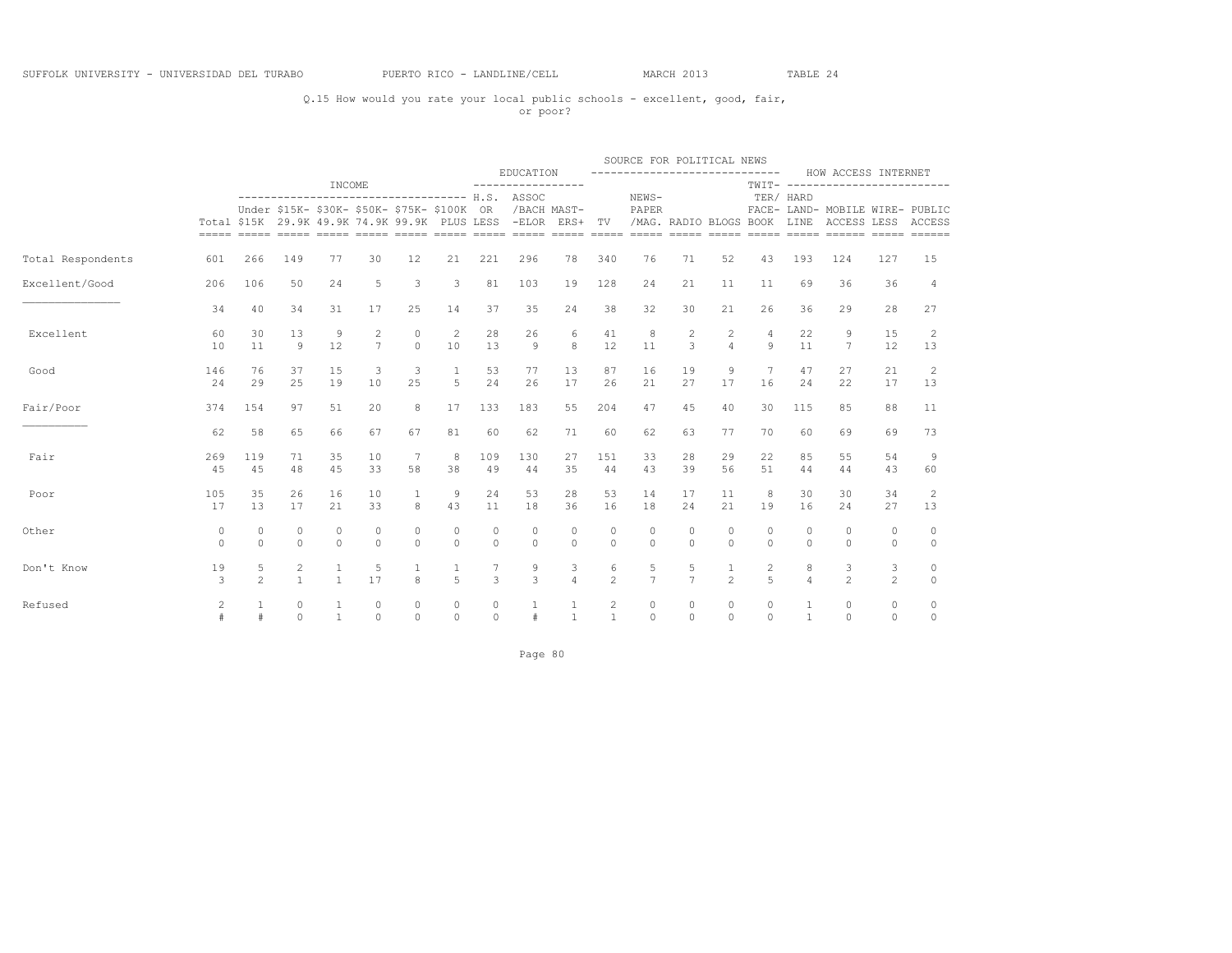### Q.15 How would you rate your local public schools - excellent, good, fair, or poor?

|                   |                         |                          |                                       |                       |                     |                                                                                              |                     |                     |                                                |                     |                                | SOURCE FOR POLITICAL NEWS            |                     |                                  |                                 |                     |                                                                                   |                     |                    |
|-------------------|-------------------------|--------------------------|---------------------------------------|-----------------------|---------------------|----------------------------------------------------------------------------------------------|---------------------|---------------------|------------------------------------------------|---------------------|--------------------------------|--------------------------------------|---------------------|----------------------------------|---------------------------------|---------------------|-----------------------------------------------------------------------------------|---------------------|--------------------|
|                   |                         |                          |                                       |                       |                     |                                                                                              |                     |                     | EDUCATION                                      |                     |                                | -----------------------------        |                     |                                  |                                 |                     | HOW ACCESS INTERNET                                                               |                     |                    |
|                   |                         |                          |                                       | INCOME                |                     |                                                                                              |                     |                     | ----------------------------------- H.S. ASSOC |                     |                                | NEWS-                                |                     |                                  |                                 | TER/ HARD           | TWIT- -------------------------                                                   |                     |                    |
|                   |                         |                          |                                       |                       |                     | Under \$15K- \$30K- \$50K- \$75K- \$100K OR<br>Total \$15K 29.9K 49.9K 74.9K 99.9K PLUS LESS |                     |                     | /BACH MAST-<br>-ELOR ERS+ TV                   |                     |                                | PAPER<br>/MAG. RADIO BLOGS BOOK LINE | $=$ $=$ $=$ $=$ $=$ | $=====$                          |                                 |                     | FACE- LAND- MOBILE WIRE- PUBLIC<br>ACCESS LESS ACCESS<br>===== ===== ====== ===== |                     | $=$                |
| Total Respondents | 601                     | 266                      | 149                                   | 77                    | 30                  | 12                                                                                           | 21                  | 221                 | 296                                            | 78                  | 340                            | 76                                   | 71                  | 52                               | 43                              | 193                 | 124                                                                               | 127                 | 15                 |
| Excellent/Good    | 206                     | 106                      | 50                                    | 24                    | 5                   | 3                                                                                            | 3                   | 81                  | 103                                            | 19                  | 128                            | 24                                   | 21                  | 11                               | 11                              | 69                  | 36                                                                                | 36                  | 4                  |
|                   | 34                      | 40                       | 34                                    | 31                    | 17                  | 25                                                                                           | 14                  | 37                  | 35                                             | 24                  | 38                             | 32                                   | 30                  | 21                               | 26                              | 36                  | 29                                                                                | 28                  | 27                 |
| Excellent         | 60<br>10                | 30<br>11                 | 13<br>$\overline{9}$                  | 9<br>12               | 2<br>$\overline{7}$ | $\circ$<br>$\Omega$                                                                          | 2<br>10             | 28<br>13            | 26<br>$\overline{9}$                           | 6<br>8              | 41<br>12                       | 8<br>11                              | $\overline{2}$<br>3 | $\overline{2}$<br>$\overline{4}$ | $\overline{4}$<br>$\mathcal{Q}$ | 22<br>11            | 9<br>7                                                                            | 15<br>12            | 2<br>13            |
| Good              | 146<br>24               | 76<br>29                 | 37<br>25                              | 15<br>19              | 3<br>10             | 3<br>25                                                                                      | $\mathbf{1}$<br>5   | 53<br>24            | 77<br>26                                       | 13<br>17            | 87<br>26                       | 16<br>21                             | 19<br>27            | 9<br>17                          | 7<br>16                         | 47<br>24            | 27<br>22                                                                          | 21<br>17            | 2<br>13            |
| Fair/Poor         | 374                     | 154                      | 97                                    | 51                    | 20                  | 8                                                                                            | 17                  | 133                 | 183                                            | 55                  | 204                            | 47                                   | 45                  | 40                               | 30                              | 115                 | 85                                                                                | 88                  | 11                 |
|                   | 62                      | 58                       | 65                                    | 66                    | 67                  | 67                                                                                           | 81                  | 60                  | 62                                             | 71                  | 60                             | 62                                   | 63                  | 77                               | 70                              | 60                  | 69                                                                                | 69                  | 73                 |
| Fair              | 269<br>45               | 119<br>45                | 71<br>48                              | 35<br>45              | 10<br>33            | 7<br>58                                                                                      | 8<br>38             | 109<br>49           | 130<br>44                                      | 27<br>35            | 151<br>44                      | 33<br>43                             | 28<br>39            | 29<br>56                         | 22<br>51                        | 85<br>44            | 55<br>44                                                                          | 54<br>43            | 9<br>60            |
| Poor              | 105<br>17               | 35<br>13                 | 26<br>17                              | 16<br>21              | 10<br>33            | 1<br>$\mathcal{R}$                                                                           | 9<br>43             | 24<br>11            | 53<br>18                                       | 28<br>36            | 53<br>16                       | 14<br>18                             | 17<br>24            | 11<br>21                         | 8<br>19                         | 30<br>16            | 30<br>24                                                                          | 34<br>27            | 2<br>13            |
| Other             | 0<br>$\Omega$           | $\mathbf{0}$<br>$\Omega$ | $\circ$<br>$\circ$                    | $\circ$<br>$\Omega$   | $\circ$<br>$\Omega$ | $\circ$<br>$\Omega$                                                                          | $\circ$<br>$\Omega$ | $\circ$<br>$\Omega$ | $\circ$<br>$\Omega$                            | $\circ$<br>$\Omega$ | $\circ$<br>$\Omega$            | $\circ$<br>$\Omega$                  | 0<br>$\Omega$       | $\circ$<br>$\Omega$              | $\circ$<br>$\circ$              | 0<br>$\Omega$       | $\mathbf 0$<br>$\Omega$                                                           | 0<br>$\circ$        | $\circ$<br>$\circ$ |
| Don't Know        | 19<br>3                 | 5<br>$\mathfrak{D}$      | $\mathbf{2}^{\prime}$<br>$\mathbf{1}$ | $1\,$<br>$\mathbf{1}$ | 5<br>17             | $\mathbf{g}$                                                                                 | 5                   | 3                   | 9<br>3                                         | 3<br>$\overline{4}$ | 6<br>$\overline{c}$            | 5<br>$\overline{7}$                  | 5<br>$\overline{7}$ | $\mathbf{1}$<br>$\mathfrak{D}$   | 2<br>$\overline{5}$             | 8<br>$\overline{a}$ | 3<br>$\mathfrak{D}$                                                               | 3<br>$\overline{2}$ | 0<br>$\circ$       |
| Refused           | $\overline{c}$<br>$\pm$ | 1<br>#                   | $\circ$<br>$\Omega$                   | 1<br>$\mathbf{1}$     | $\circ$<br>$\Omega$ | 0<br>$\Omega$                                                                                | $\circ$<br>$\Omega$ | $\circ$<br>$\Omega$ | #                                              | 1<br>$\mathbf{1}$   | $\overline{c}$<br>$\mathbf{1}$ | $\circ$<br>$\Omega$                  | $\circ$<br>$\Omega$ | $\circ$<br>$\Omega$              | $\circ$<br>$\Omega$             | $\mathbf{1}$        | $\circ$<br>$\Omega$                                                               | 0<br>$\Omega$       | 0<br>$\Omega$      |

Page 80 and the state of the state of the state of the state and the state of the state and the state of the state  $\sim$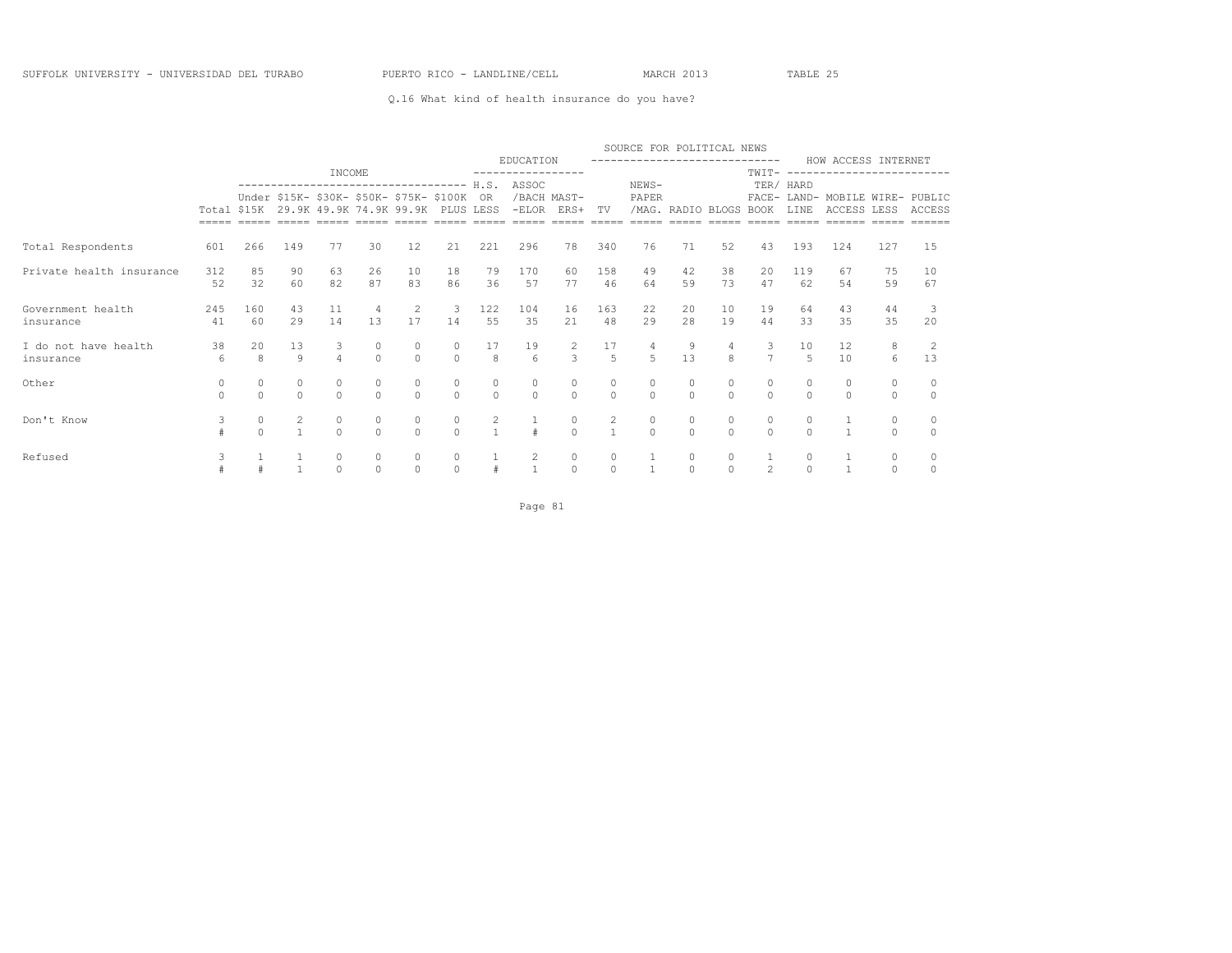### Q.16 What kind of health insurance do you have?

|                                   |               |                   |                                      |                                                                                                                                   |                      |                     |                     |                    | EDUCATION             |                                      |                      | SOURCE FOR POLITICAL NEWS<br>------------------------------ |                        |                     |                                  |                           | HOW ACCESS INTERNET                            |                     |                |
|-----------------------------------|---------------|-------------------|--------------------------------------|-----------------------------------------------------------------------------------------------------------------------------------|----------------------|---------------------|---------------------|--------------------|-----------------------|--------------------------------------|----------------------|-------------------------------------------------------------|------------------------|---------------------|----------------------------------|---------------------------|------------------------------------------------|---------------------|----------------|
|                                   |               |                   |                                      | INCOME                                                                                                                            |                      |                     |                     |                    |                       |                                      |                      |                                                             |                        |                     | TWTT-                            |                           | ----------------------                         |                     |                |
|                                   |               |                   |                                      | ------------------------------------<br>Under \$15K- \$30K- \$50K- \$75K- \$100K<br>Total \$15K 29.9K 49.9K 74.9K 99.9K PLUS LESS |                      |                     |                     | H.S.<br>OR.        | ASSOC<br>$-ELOR$      | /BACH MAST-<br>ERS+                  | TV                   | NEWS-<br>PAPER                                              | /MAG. RADIO BLOGS BOOK |                     |                                  | TER/ HARD<br><b>T.TNE</b> | FACE- LAND- MOBILE WIRE- PUBLIC<br>ACCESS LESS |                     | ACCESS         |
| Total Respondents                 | 601           | 266               | 149                                  | 77                                                                                                                                | 30                   | 12                  | 21                  | 221                | 296                   | 78                                   | 340                  | 76                                                          | 71                     | 52                  | 43                               | 193                       | 124                                            | 127                 | 15             |
| Private health insurance          | 312<br>52     | 85<br>32          | 90<br>60                             | 63<br>82                                                                                                                          | 26<br>87             | 10<br>83            | 18<br>86            | 79<br>36           | 170<br>57             | 60<br>77                             | 158<br>46            | 49<br>64                                                    | 42<br>59               | 38<br>73            | 20<br>47                         | 119<br>62                 | 67<br>54                                       | 75<br>59            | 10<br>67       |
| Government health<br>insurance    | 245<br>41     | 160<br>60         | 43<br>29                             | 11<br>14                                                                                                                          | $\overline{4}$<br>13 | 2<br>17             | 3<br>14             | 122<br>55          | 104<br>35             | 16<br>21                             | 163<br>48            | 22<br>29                                                    | 20<br>28               | 10<br>19            | 19<br>44                         | 64<br>33                  | 43<br>35                                       | 44<br>35            | 20             |
| I do not have health<br>insurance | 38<br>6       | 20<br>8           | 13<br>$\circ$                        | 3<br>$\overline{4}$                                                                                                               | $\Omega$             | 0<br>$\Omega$       | $\circ$<br>$\Omega$ | 17<br>$\mathbf{8}$ | 19<br>$6\overline{6}$ | $\frac{2}{3}$                        | 17<br>$\overline{5}$ | $\overline{4}$<br>$5^{\circ}$                               | 9<br>1.3               | $\overline{4}$<br>8 | 3<br>$\overline{7}$              | 10<br>$\overline{5}$      | $12 \overline{ }$<br>10                        | 8<br>6              | 13             |
| Other                             | 0<br>$\Omega$ | 0<br>$\cap$       | $\begin{matrix} 0 \\ 0 \end{matrix}$ | 0<br>$\cap$                                                                                                                       | $\circ$<br>$\cap$    | 0<br>$\Omega$       | 0<br>$\Omega$       | 0<br>$\Omega$      | $\circ$<br>$\Omega$   | $\begin{matrix} 0 \\ 0 \end{matrix}$ | 0<br>$\cap$          | 0<br>$\cap$                                                 | 0<br>$\Omega$          | $\circ$<br>$\cap$   | 0<br>$\Omega$                    | $\cap$                    | $\circ$<br>$\Omega$                            | $\circ$<br>$\Omega$ | $\bigcap$      |
| Don't Know                        | 3             | $\circ$<br>$\cap$ | $\frac{2}{1}$                        | $\circ$                                                                                                                           | $\circ$<br>$\cap$    | 0<br>$\Omega$       | 0<br>$\Omega$       | $\frac{2}{1}$      |                       | $\frac{0}{0}$                        |                      | 0<br>$\cap$                                                 | 0<br>$\Omega$          | $\circ$<br>$\cap$   | $\begin{matrix}0\\0\end{matrix}$ | 0<br>$\cap$               |                                                | 0<br>$\Omega$       | 0<br>$\bigcap$ |
| Refused                           | 3             |                   | $\mathbf{1}$                         | $\circ$<br>$\Omega$                                                                                                               | $\circ$<br>$\cap$    | $\circ$<br>$\Omega$ | $\circ$<br>$\Omega$ |                    | 2<br>$\mathbf{1}$     | $\circ$<br>$\Omega$                  | $\circ$<br>$\Omega$  |                                                             | 0<br>$\Omega$          | $\circ$<br>$\Omega$ | $\mathfrak{D}$                   | $\circ$<br>$\Omega$       |                                                | $\circ$<br>$\Omega$ | $\Omega$       |

Page 81 and the state of the state of the state of the state of the state of the state of the state of the state of the state of the state of the state of the state of the state of the state of the state of the state of th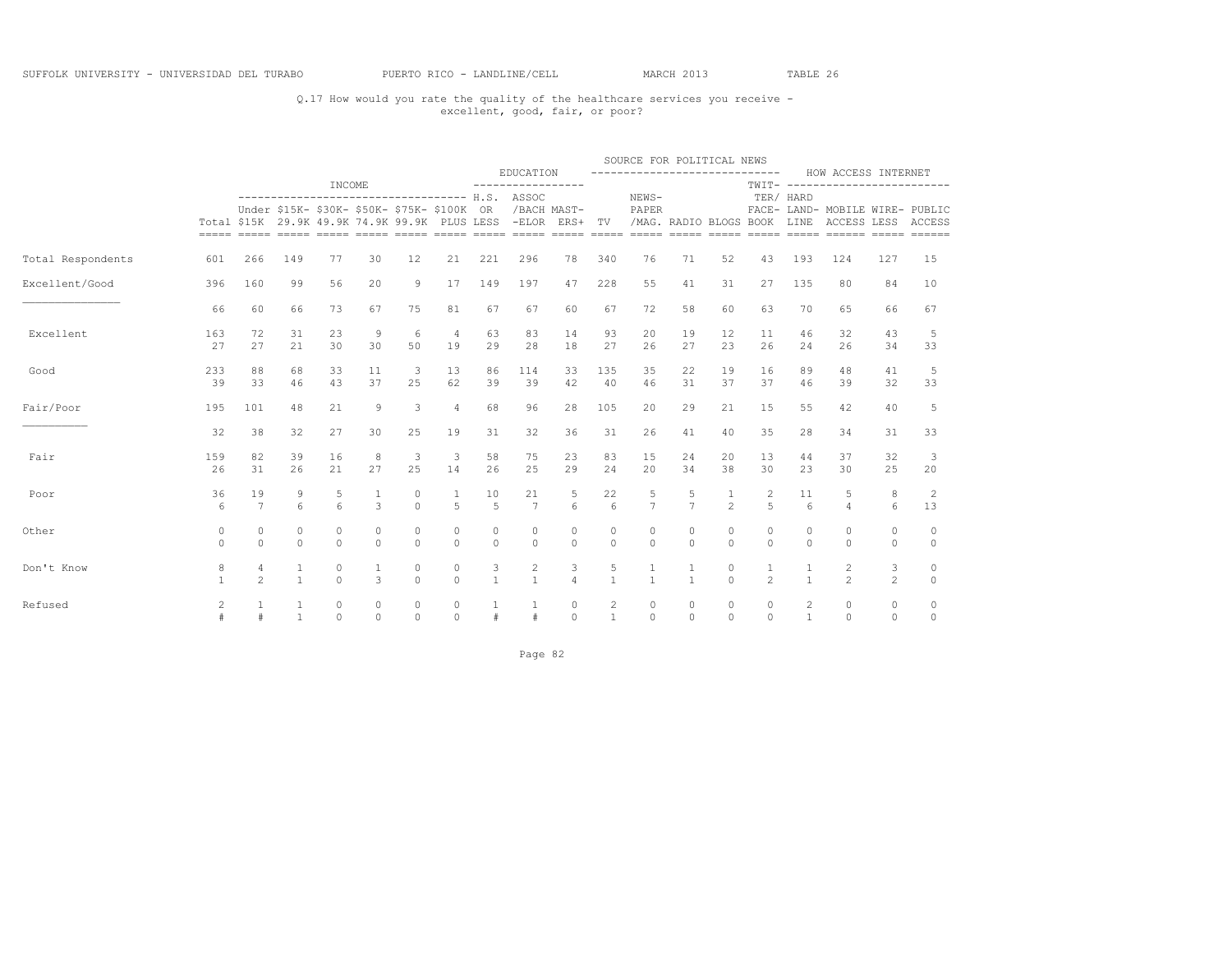## Q.17 How would you rate the quality of the healthcare services you receive - excellent, good, fair, or poor?

|                   |                   |                                  |                       |                      |                                           |                                             |                                |                      |                                                                                                                                                          |                       |                                | SOURCE FOR POLITICAL NEWS<br>----------------------------- |                      |                                |                     |                       |                                                        |                       |                     |
|-------------------|-------------------|----------------------------------|-----------------------|----------------------|-------------------------------------------|---------------------------------------------|--------------------------------|----------------------|----------------------------------------------------------------------------------------------------------------------------------------------------------|-----------------------|--------------------------------|------------------------------------------------------------|----------------------|--------------------------------|---------------------|-----------------------|--------------------------------------------------------|-----------------------|---------------------|
|                   |                   |                                  |                       | INCOME               |                                           |                                             |                                |                      | EDUCATION<br>-----------------                                                                                                                           |                       |                                |                                                            |                      |                                |                     |                       | HOW ACCESS INTERNET<br>TWIT- ------------------------- |                       |                     |
|                   |                   |                                  |                       |                      |                                           | Under \$15K- \$30K- \$50K- \$75K- \$100K OR |                                |                      | ----------------------------------- H.S. ASSOC<br>/BACH MAST-<br>Total \$15K 29.9K 49.9K 74.9K 99.9K PLUS LESS -ELOR ERS+ TV /MAG. RADIO BLOGS BOOK LINE |                       |                                | NEWS-<br>PAPER                                             |                      |                                |                     | TER/ HARD             | FACE- LAND- MOBILE WIRE- PUBLIC<br>ACCESS LESS ACCESS  |                       |                     |
| Total Respondents | 601               | 266                              | 149                   | 77                   | 30                                        | 12                                          | 21                             | 221                  | 296                                                                                                                                                      | 78                    | 340                            | 76                                                         | 71                   | 52                             | 43                  | 193                   | 124                                                    | 127                   | 15                  |
| Excellent/Good    | 396               | 160                              | 99                    | 56                   | 20                                        | 9                                           | 17                             | 149                  | 197                                                                                                                                                      | 47                    | 228                            | 55                                                         | 41                   | 31                             | 27                  | 135                   | 80                                                     | 84                    | 10                  |
|                   | 66                | 60                               | 66                    | 73                   | 67                                        | 75                                          | 81                             | 67                   | 67                                                                                                                                                       | 60                    | 67                             | 72                                                         | 58                   | 60                             | 63                  | 70                    | 65                                                     | 66                    | 67                  |
| Excellent         | 163<br>27         | 72<br>27                         | 31<br>21              | 23<br>30             | 9<br>30                                   | 6<br>50                                     | $\overline{4}$<br>19           | 63<br>29             | 83<br>28                                                                                                                                                 | 14<br>18              | 93<br>27                       | 20<br>26                                                   | 19<br>27             | $12 \overline{ }$<br>23        | 11<br>26            | 46<br>24              | 32<br>26                                               | 43<br>34              | -5<br>33            |
| Good              | 233<br>39         | 88<br>33                         | 68<br>46              | 33<br>43             | 11<br>37                                  | 3<br>25                                     | 13<br>62                       | 86<br>39             | 114<br>39                                                                                                                                                | 33<br>42              | 135<br>40                      | 35<br>46                                                   | 22<br>31             | 19<br>37                       | 16<br>37            | 89<br>46              | 48<br>39                                               | 41<br>32              | 5<br>33             |
| Fair/Poor         | 195               | 101                              | 48                    | 21                   | 9                                         | 3                                           | $\overline{4}$                 | 68                   | 96                                                                                                                                                       | 28                    | 105                            | 20                                                         | 29                   | 21                             | 15                  | 55                    | 42                                                     | 40                    | -5                  |
|                   | 32                | 38                               | 32                    | 27                   | 30                                        | 25                                          | 19                             | 31                   | 32                                                                                                                                                       | 36                    | 31                             | 26                                                         | 41                   | 40                             | 35                  | 28                    | 34                                                     | 31                    | 33                  |
| Fair              | 159<br>26         | 82<br>31                         | 39<br>26              | 16<br>21             | 8<br>27                                   | 3<br>25                                     | 3<br>14                        | 58<br>26             | 75<br>25                                                                                                                                                 | 23<br>29              | 83<br>24                       | 15<br>20                                                   | 24<br>34             | 20<br>38                       | 13<br>30            | 44<br>23              | 37<br>30                                               | 32<br>25              | 3<br>20             |
| Poor              | 36<br>6           | 19<br>7                          | 9<br>$6 \overline{6}$ | 5<br>$6\overline{6}$ | $\overline{1}$<br>$\overline{\mathbf{3}}$ | $\Omega$<br>$\Omega$                        | $\mathbf{1}$<br>$\overline{5}$ | 10<br>$5^{\circ}$    | 21<br>$7\overline{ }$                                                                                                                                    | 5<br>$6 \overline{6}$ | 22<br>$6\overline{6}$          | 5<br>$\overline{7}$                                        | 5<br>$\overline{7}$  | $\mathbf{1}$<br>$\overline{2}$ | 2<br>$\overline{5}$ | 11<br>$6\overline{6}$ | 5<br>$\overline{4}$                                    | 8<br>$6 \overline{6}$ | 2<br>13             |
| Other             | 0<br>$\Omega$     | $\Omega$<br>$\Omega$             | $\circ$<br>$\Omega$   | $\Omega$<br>$\Omega$ | $\Omega$<br>$\Omega$                      | $\Omega$<br>$\Omega$                        | $\Omega$<br>$\Omega$           | $\Omega$<br>$\Omega$ | $\circ$<br>$\Omega$                                                                                                                                      | $\circ$<br>$\Omega$   | $\circ$<br>$\Omega$            | $\Omega$<br>$\Omega$                                       | $\Omega$<br>$\Omega$ | $\circ$<br>$\Omega$            | $\circ$<br>$\Omega$ | $\Omega$<br>$\Omega$  | $\circ$<br>$\Omega$                                    | 0<br>$\Omega$         | $\circ$<br>$\Omega$ |
| Don't Know        | 8<br>$\mathbf{1}$ | $\overline{4}$<br>$\mathfrak{D}$ | 1<br>$\mathbf{1}$     | 0<br>$\Omega$        | 3                                         | $\mathbb O$<br>$\Omega$                     | $\circ$<br>$\Omega$            | 3<br>$\mathbf{1}$    | $\mathbf{2}$<br>$\overline{1}$                                                                                                                           | 3<br>$\overline{4}$   | 5<br>$\overline{1}$            | $\mathbf{1}$                                               | $\mathbf{1}$         | $\circ$<br>$\Omega$            | $\mathfrak{D}$      | $\mathbf{1}$          | 2<br>$\mathfrak{D}$                                    | 3<br>$\overline{2}$   | 0<br>$\circ$        |
| Refused           | 2                 | $\mathbf{1}$<br>#                | 1<br>$\mathbf{1}$     | $\circ$<br>$\Omega$  | $\circ$<br>$\Omega$                       | $\circ$<br>$\Omega$                         | $\circ$<br>$\Omega$            | $\#$                 | $\#$                                                                                                                                                     | $\circ$<br>$\Omega$   | $\overline{c}$<br>$\mathbf{1}$ | $\circ$<br>$\Omega$                                        | $\circ$<br>$\Omega$  | $\circ$<br>$\Omega$            | $\circ$<br>$\Omega$ | 2<br>$\mathbf{1}$     | $\circ$<br>$\Omega$                                    | $\circ$<br>$\Omega$   | 0<br>$\circ$        |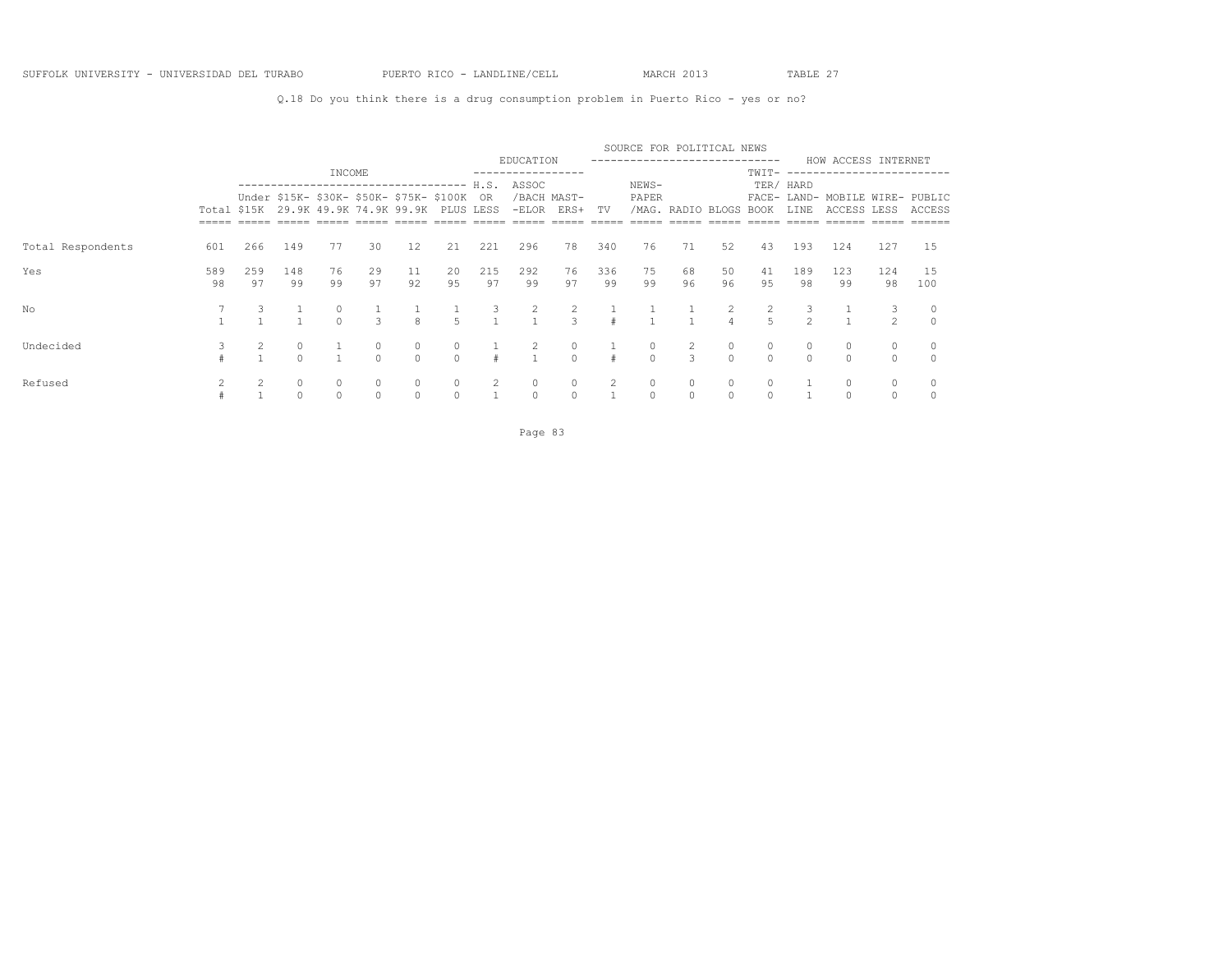Q.18 Do you think there is a drug consumption problem in Puerto Rico - yes or no?

|                   |           |           |                     |                                                                                           |                     |                     |                |                     |                      |                           |           | SOURCE FOR POLITICAL NEWS    |                        |          |                     |               |                                                |                    |           |
|-------------------|-----------|-----------|---------------------|-------------------------------------------------------------------------------------------|---------------------|---------------------|----------------|---------------------|----------------------|---------------------------|-----------|------------------------------|------------------------|----------|---------------------|---------------|------------------------------------------------|--------------------|-----------|
|                   |           |           |                     | INCOME                                                                                    |                     |                     |                |                     | EDUCATION            |                           |           | ---------------------------- |                        |          | TWIT-               |               | HOW ACCESS INTERNET<br>-------------------     |                    |           |
|                   |           |           |                     | --------------------------------                                                          |                     |                     |                |                     | H.S. ASSOC           |                           |           | NEWS-                        |                        |          |                     | TER/ HARD     |                                                |                    |           |
|                   |           |           |                     | Under \$15K- \$30K- \$50K- \$75K- \$100K<br>Total \$15K 29.9K 49.9K 74.9K 99.9K PLUS LESS |                     |                     |                | OR.                 |                      | /BACH MAST-<br>-ELOR ERS+ | TV        | PAPER                        | /MAG. RADIO BLOGS BOOK |          |                     | LINE          | FACE- LAND- MOBILE WIRE- PUBLIC<br>ACCESS LESS |                    | ACCESS    |
|                   |           |           |                     |                                                                                           |                     |                     |                |                     |                      |                           |           |                              |                        |          |                     |               |                                                |                    |           |
| Total Respondents | 601       | 266       | 149                 | 77                                                                                        | 30                  | 12                  | 21             | 221                 | 296                  | 78                        | 340       | 76                           | 71                     | 52       | 43                  | 193           | 124                                            | 127                | 15        |
| Yes               | 589<br>98 | 259<br>97 | 148<br>99           | 76<br>99                                                                                  | 29<br>97            | 11<br>92            | 20<br>95       | 215<br>97           | 292<br>99            | 76<br>97                  | 336<br>99 | 75<br>99                     | 68<br>96               | 50<br>96 | 41<br>95            | 189<br>98     | 123<br>99                                      | 124<br>98          | 15<br>100 |
|                   |           |           |                     |                                                                                           |                     |                     |                |                     |                      |                           |           |                              |                        |          |                     |               |                                                |                    |           |
| No                |           |           |                     |                                                                                           | $\mathcal{L}$       | $\mathsf{R}$        | $\overline{5}$ | 3<br>$\overline{1}$ | 2                    | $\frac{2}{3}$             |           |                              |                        |          | 2<br>$\overline{5}$ | $\mathcal{P}$ |                                                | $\mathcal{L}$      | $\cap$    |
| Undecided         |           |           | $\circ$<br>$\Omega$ |                                                                                           | $\circ$<br>$\Omega$ | $\circ$<br>$\Omega$ |                |                     | 2                    | $\circ$<br>$\Omega$       |           | $\circ$<br>$\Omega$          | 2<br>3                 | $\Omega$ | $\circ$<br>$\Omega$ |               | $\Omega$                                       | $\circ$<br>$\circ$ |           |
|                   |           |           |                     |                                                                                           |                     |                     |                |                     |                      |                           |           |                              |                        |          |                     |               |                                                |                    |           |
| Refused           |           |           | $\circ$<br>$\Omega$ | $\Omega$                                                                                  | $\circ$<br>$\Omega$ | $\circ$<br>$\cap$   |                |                     | $\circ$<br>$\bigcap$ | $\circ$<br>$\Omega$       |           | $\circ$<br>$\Omega$          | $\circ$                |          | $\circ$<br>$\Omega$ |               |                                                | 0<br>$\Omega$      |           |

Page 83 and the state of the state of the state of the state of the state of the state of the state of the state of the state of the state of the state of the state of the state of the state of the state of the state of th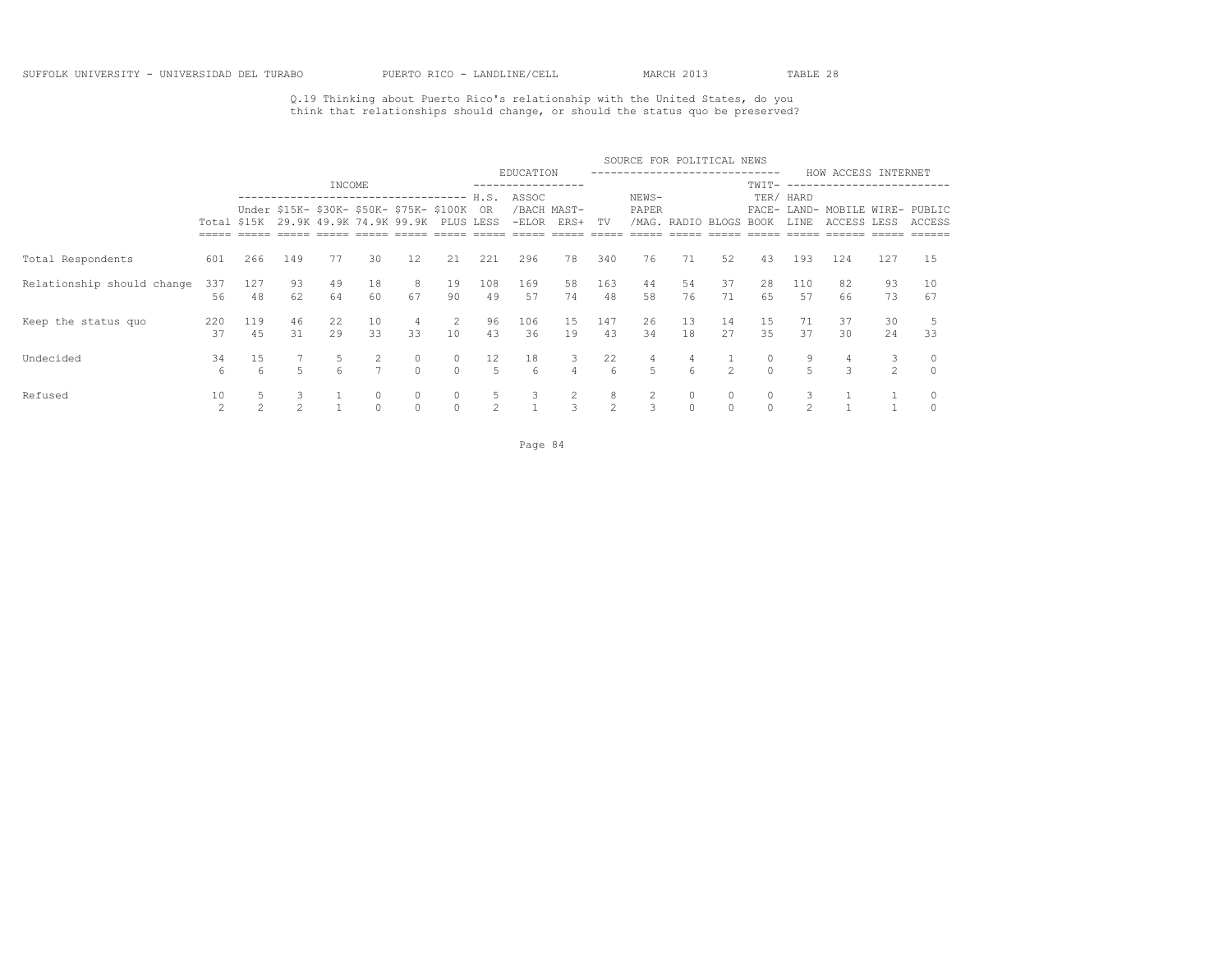Q.19 Thinking about Puerto Rico's relationship with the United States, do you think that relationships should change, or should the status quo be preserved?

|                            |                      |               |                     |                                                                        |           |               |                     |                     |           |                     |                        | SOURCE FOR POLITICAL NEWS |                        |                |                     |                     |                                                |                     |          |
|----------------------------|----------------------|---------------|---------------------|------------------------------------------------------------------------|-----------|---------------|---------------------|---------------------|-----------|---------------------|------------------------|---------------------------|------------------------|----------------|---------------------|---------------------|------------------------------------------------|---------------------|----------|
|                            |                      |               |                     | INCOME                                                                 |           |               |                     |                     | EDUCATION |                     |                        |                           | ----------------       |                | TWIT-               |                     | HOW ACCESS INTERNET<br>----------------------- |                     |          |
|                            |                      |               |                     | ------------------------------------                                   |           |               |                     | H.S.                | ASSOC     |                     |                        | NEWS-                     |                        |                |                     | TER/ HARD           |                                                |                     |          |
|                            | Total \$15K          |               |                     | Under \$15K- \$30K- \$50K- \$75K- \$100K OR<br>29.9K 49.9K 74.9K 99.9K |           |               | PLUS LESS           |                     | $-ELOR$   | /BACH MAST-<br>ERS+ | TV                     | PAPER                     | /MAG. RADIO BLOGS BOOK |                |                     | FACE- LAND-<br>LINE | MOBILE WIRE- PUBLIC<br>ACCESS LESS             |                     | ACCESS   |
|                            |                      |               |                     |                                                                        |           |               |                     |                     |           |                     |                        |                           |                        |                |                     |                     |                                                |                     |          |
| Total Respondents          | 601                  | 266           | 149                 | 77                                                                     | 30        | 12            | 21                  | 221                 | 296       | 78                  | 340                    | 76                        | 71                     | 52             | 43                  | 193                 | 124                                            | 127                 | 15       |
| Relationship should change | 337<br>56            | 127<br>48     | 93<br>62            | 49<br>64                                                               | 18<br>60  | 8<br>67       | 19<br>90            | 108<br>49           | 169<br>57 | 58<br>74            | 163<br>48              | 44<br>58                  | 54<br>76               | 37<br>71       | 28<br>65            | 110<br>57           | 82<br>66                                       | 93<br>73            | 10<br>67 |
| Keep the status quo        | 220                  | 119           | 46                  | 22                                                                     | 10        | 4             | 2                   | 96                  | 106       | 15                  | 147                    | 26                        | 13                     | 14             | 15                  | 71                  | 37                                             | 30                  |          |
|                            | 37                   | 45            | 31                  | 29                                                                     | 33        | 33            | 10                  | 43                  | 36        | 19                  | 43                     | 34                        | 18                     | 27             | 35                  | 37                  | 30                                             | 24                  | 33       |
| Undecided                  | 34<br>6              | 15<br>6       | 5                   |                                                                        | 2         | 0<br>$\Omega$ | $\circ$<br>$\Omega$ | 12<br>5             | 18<br>6   | 3<br>$\overline{4}$ | 22<br>$6 \overline{6}$ | 4<br>5                    | 4<br>6                 | $\mathfrak{D}$ | $\circ$<br>$\Omega$ | 5                   | 4<br>3                                         | 3<br>$\overline{2}$ |          |
|                            |                      |               |                     |                                                                        |           |               |                     |                     |           |                     |                        |                           |                        |                |                     |                     |                                                |                     |          |
| Refused                    | 10<br>$\mathfrak{D}$ | $\mathcal{L}$ | 3<br>$\mathfrak{D}$ |                                                                        | $\bigcap$ | 0<br>$\Omega$ | $\circ$<br>$\Omega$ | 5<br>$\mathfrak{D}$ |           | 2<br>3              | 8<br>$\mathfrak{D}$    | 3                         | 0<br>$\Omega$          |                | $\circ$<br>$\Omega$ | $\mathfrak{D}$      |                                                |                     |          |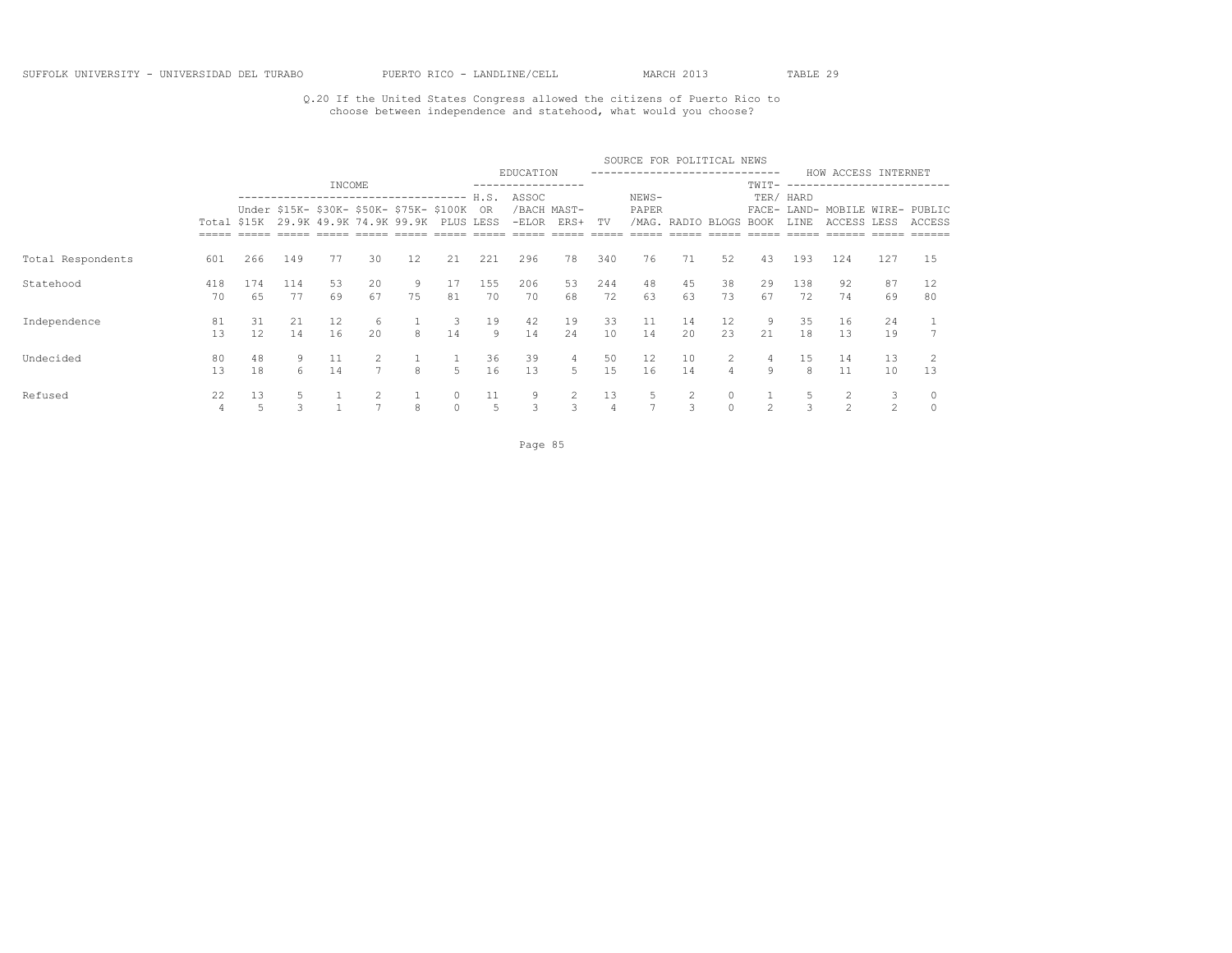### Q.20 If the United States Congress allowed the citizens of Puerto Rico to choose between independence and statehood, what would you choose?

|                   |             |                         |           |          |                                                                             |         |                     |              |           |                     |                      | SOURCE FOR POLITICAL NEWS   |          |                     |               |                          |                                               |                     |          |
|-------------------|-------------|-------------------------|-----------|----------|-----------------------------------------------------------------------------|---------|---------------------|--------------|-----------|---------------------|----------------------|-----------------------------|----------|---------------------|---------------|--------------------------|-----------------------------------------------|---------------------|----------|
|                   |             |                         |           | INCOME   |                                                                             |         |                     |              | EDUCATION |                     |                      | --------------------------- |          |                     | TWIT-         |                          | HOW ACCESS INTERNET<br>---------------------- |                     |          |
|                   |             |                         |           |          | -------------------------------<br>Under \$15K- \$30K- \$50K- \$75K- \$100K |         |                     | H.S.<br>- OR | ASSOC     | /BACH MAST-         |                      | NEWS-<br>PAPER              |          |                     |               | TER/ HARD<br>FACE- LAND- | MOBILE WIRE- PUBLIC                           |                     |          |
|                   | Total \$15K |                         |           |          | 29.9K 49.9K 74.9K 99.9K                                                     |         |                     | PLUS LESS    | $-ELOR$   | ERS+                | TV                   | /MAG.                       |          | RADIO BLOGS         | BOOK          | LINE                     | ACCESS LESS                                   |                     | ACCESS   |
| Total Respondents | 601         | 266                     | 149       | 77       | 30                                                                          | 12      | 21                  | 221          | 296       | 78                  | 340                  | 76                          | 71       | 52                  | 43            | 193                      | 124                                           | 127                 | 15       |
| Statehood         | 418<br>70   | 174<br>65               | 114<br>77 | 53<br>69 | 20<br>67                                                                    | 9<br>75 | 17<br>81            | 155<br>70    | 206<br>70 | 53<br>68            | 244<br>72            | 48<br>63                    | 45<br>63 | 38<br>73            | 29<br>67      | 138<br>72                | 92<br>74                                      | 87<br>69            | 12<br>80 |
| Independence      | 81<br>13    | 31<br>$12 \overline{ }$ | 21<br>14  | 12<br>16 | 6<br>20                                                                     | 8       | 3<br>14             | 19<br>9      | 42<br>14  | 19<br>24            | 33<br>10             | 11<br>14                    | 14<br>20 | 12<br>23            | 9<br>21       | 35<br>18                 | 16<br>13                                      | 24<br>19            |          |
| Undecided         | 80<br>13    | 48<br>18                | 9<br>6    | 11<br>14 | 2<br>7                                                                      | 8       | 5                   | 36<br>16     | 39<br>13  | $\overline{4}$<br>5 | 50<br>15             | $12 \overline{ }$<br>16     | 10<br>14 | 2<br>$\overline{4}$ | 4<br>9        | 15<br>8                  | 14<br>11                                      | 13<br>10            | 13       |
| Refused           | 22<br>4     | 13<br>5                 | 5<br>3    |          |                                                                             | 8       | $\circ$<br>$\Omega$ | 11<br>5      | 9<br>3    | $\overline{2}$<br>3 | 13<br>$\overline{4}$ | $\overline{ }$              | 3        | 0<br>$\Omega$       | $\mathcal{L}$ | 3                        | $\mathcal{L}$                                 | 3<br>$\mathfrak{D}$ |          |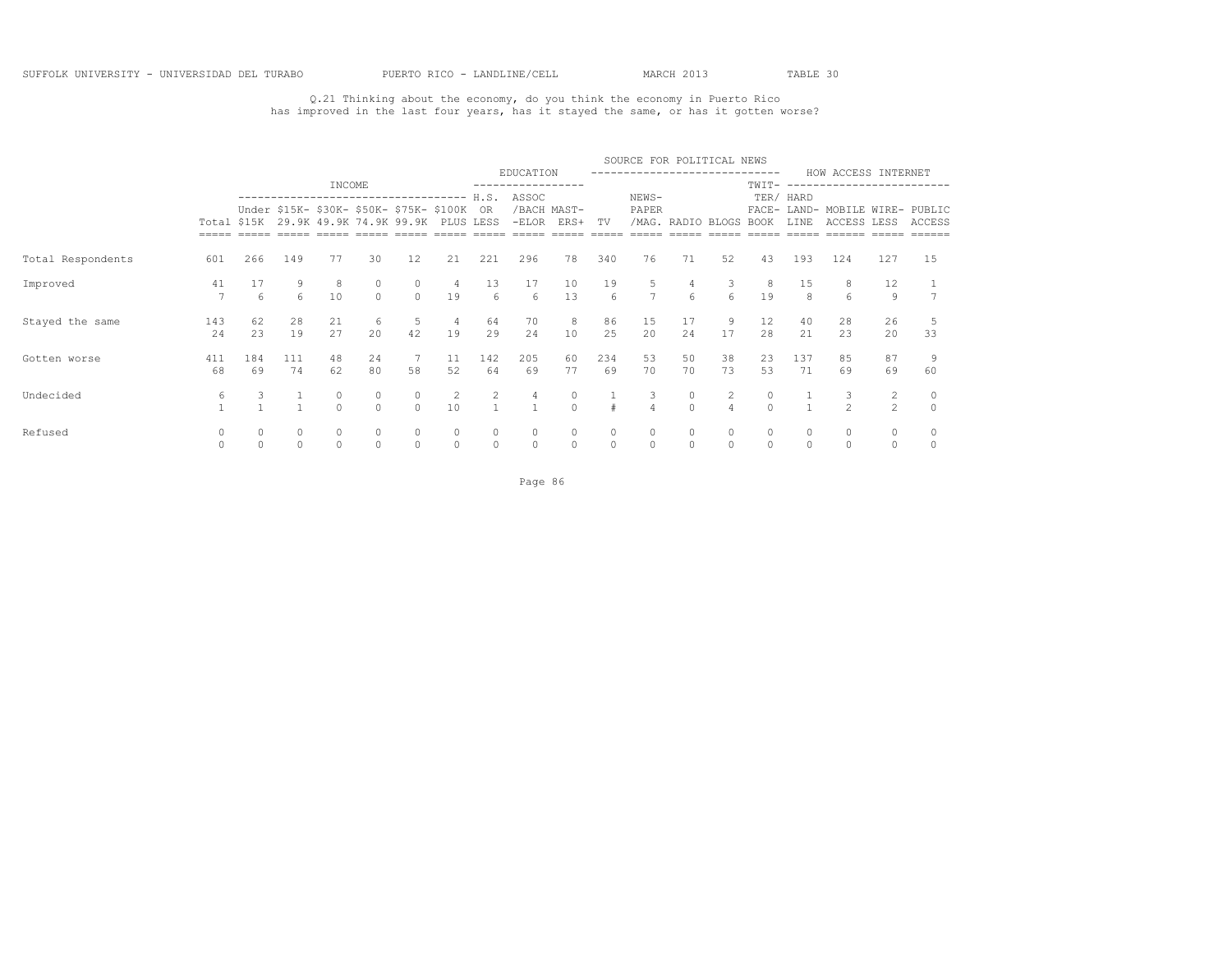Q.21 Thinking about the economy, do you think the economy in Puerto Rico has improved in the last four years, has it stayed the same, or has it gotten worse?

|                   |                      |           |                                       |                     |                     |                                                                                      |                       |                                                           |                                        |                                         |                                   | SOURCE FOR POLITICAL NEWS |                        |                                                                   |                     |                                              |                                 |                                  |          |
|-------------------|----------------------|-----------|---------------------------------------|---------------------|---------------------|--------------------------------------------------------------------------------------|-----------------------|-----------------------------------------------------------|----------------------------------------|-----------------------------------------|-----------------------------------|---------------------------|------------------------|-------------------------------------------------------------------|---------------------|----------------------------------------------|---------------------------------|----------------------------------|----------|
|                   |                      |           |                                       |                     |                     |                                                                                      |                       |                                                           | EDUCATION                              |                                         |                                   |                           |                        |                                                                   |                     |                                              | HOW ACCESS INTERNET             |                                  |          |
|                   |                      |           |                                       | INCOME              |                     |                                                                                      |                       |                                                           |                                        |                                         |                                   |                           |                        |                                                                   | TWIT-               |                                              |                                 |                                  |          |
|                   |                      |           |                                       |                     |                     | -------------------------------------<br>Under \$15K- \$30K- \$50K- \$75K- \$100K OR |                       | H.S.                                                      | ASSOC                                  | /BACH MAST-                             |                                   | NEWS-<br>PAPER            |                        |                                                                   |                     | TER/ HARD                                    | FACE- LAND- MOBILE WIRE- PUBLIC |                                  |          |
|                   |                      |           |                                       |                     |                     | Total \$15K 29.9K 49.9K 74.9K 99.9K PLUS LESS                                        |                       |                                                           |                                        | -ELOR ERS+                              | TV                                |                           | /MAG. RADIO BLOGS BOOK |                                                                   |                     | LINE                                         | ACCESS LESS                     |                                  | ACCESS   |
| Total Respondents | 601                  | 266       | 149                                   | 77                  | 30                  | 12                                                                                   | 21                    | 221                                                       | 296                                    | 78                                      | 340                               | 76                        | 71                     | 52                                                                | 43                  | 193                                          | 124                             | 127                              | 15       |
| Improved          | 41<br>$\overline{7}$ | 6         | $\begin{array}{c} 9 \\ 6 \end{array}$ | 10                  | $\Omega$            | $\circ$                                                                              |                       | $\begin{array}{cccc}\n & 4 & 13 \\ & 19 & 6\n\end{array}$ | $\begin{array}{c} 17 \\ 6 \end{array}$ | $\begin{array}{c} 10 \\ 13 \end{array}$ | $\begin{matrix}19\\6\end{matrix}$ | $\frac{5}{7}$             |                        | $\begin{array}{cccc} 4 & & 3 & & 8 \\ 6 & & 6 & & 19 \end{array}$ |                     | $\begin{smallmatrix}1&5\\8\end{smallmatrix}$ |                                 | 12<br>9                          |          |
| Stayed the same   | 143<br>24            | 62<br>2.3 | 28<br>19                              | 21<br>27            | 6<br>20             | 5<br>42                                                                              | $4\overline{4}$<br>19 | 64<br>29                                                  | 70<br>24                               | 8 <sup>1</sup><br>10                    | 86<br>25                          | 15<br>20                  | 17<br>24               | 9<br>17                                                           | 12<br>2.8           | 40<br>21                                     | 28<br>23                        | 26<br>20                         | 33       |
| Gotten worse      | 411<br>68            | 184<br>69 | 111<br>74                             | 48<br>62            | 24<br>80            | $7\overline{)}$<br>58                                                                | 11<br>52              | 142<br>64                                                 | 205<br>69                              | 60<br>77                                | 234<br>69                         | 53<br>70                  | 50<br>70               | 38<br>73                                                          | 23<br>53            | 137<br>71                                    | 85<br>69                        | 87<br>69                         | 60       |
| Undecided         | 6                    | 3         | $\mathbf{1}$<br>$\overline{1}$        | $\circ$<br>$\Omega$ | $\circ$<br>$\Omega$ | $\circ$<br>$\Omega$                                                                  | 2<br>10               | $\overline{2}$<br>$\overline{1}$                          | 4<br>$\overline{1}$                    | $\begin{matrix}0\\0\end{matrix}$        | $\pm$                             | 3<br>$\overline{4}$       | 0<br>$\cap$            | $\overline{2}$<br>$\Delta$                                        | $\circ$<br>$\Omega$ |                                              | 3<br>$\overline{2}$             | $\overline{c}$<br>$\mathfrak{D}$ | $\Omega$ |
| Refused           |                      | $\circ$   | $\circ$<br>$\circ$                    | $\circ$             | $\circ$             | $\circ$                                                                              | $\circ$               | $\circ$<br>$\circ$                                        | $\circ$                                | $\circ$                                 | $\circ$                           | $\circ$                   | $\circ$                | $\circ$                                                           | $\circ$<br>$\circ$  | $\circ$                                      | $\circ$                         | $\circ$<br>$\circ$               |          |

Page 86 and 2012 and 2012 and 2012 and 2012 and 2012 and 2012 and 2012 and 2012 and 2012 and 2012 and 2012 and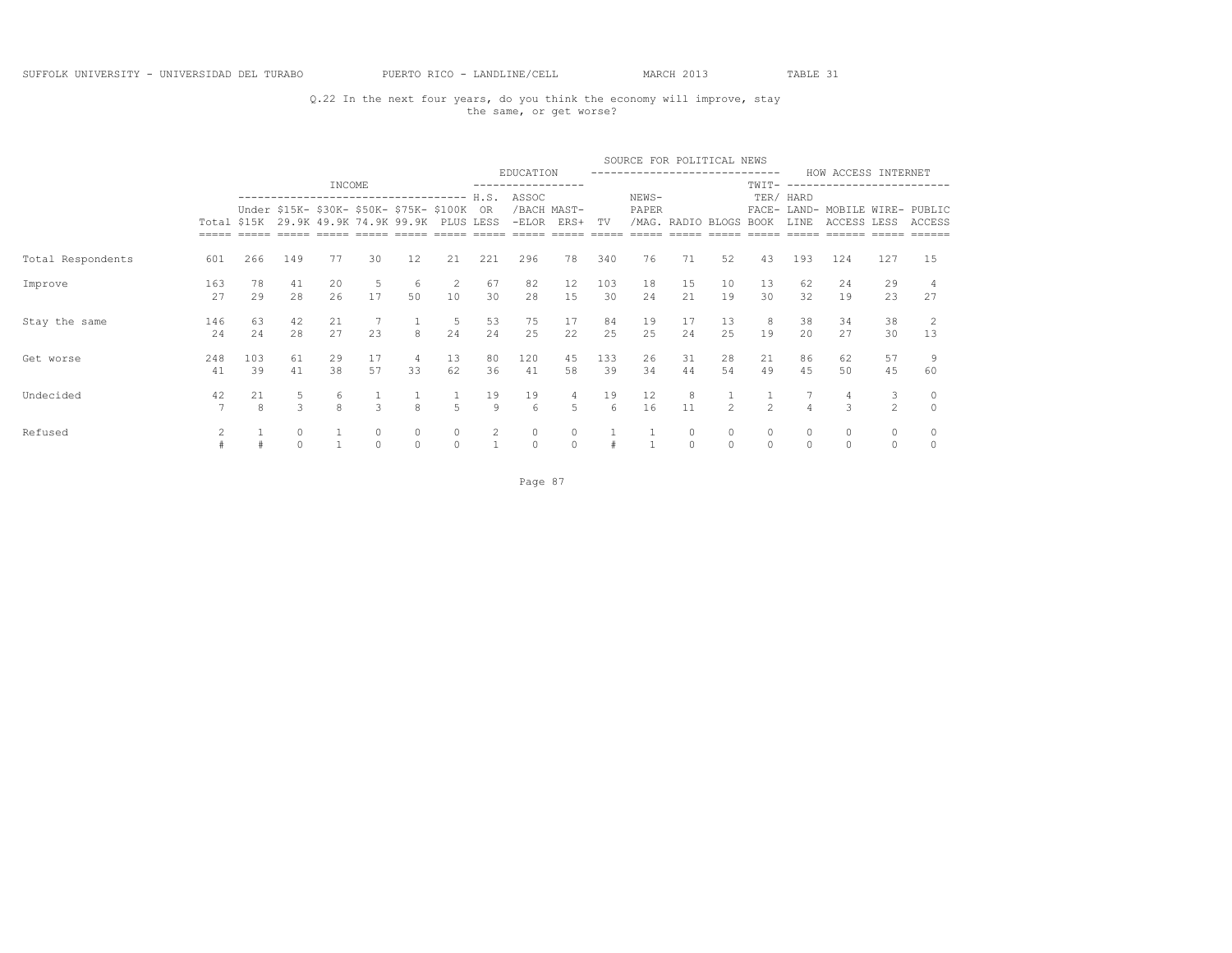## Q.22 In the next four years, do you think the economy will improve, stay the same, or get worse?

|                   |                |           |                     |          |                    |                                                                     |              |                      |                              |                     |           | SOURCE FOR POLITICAL NEWS |                   |                    |                |                |                                                |              |              |
|-------------------|----------------|-----------|---------------------|----------|--------------------|---------------------------------------------------------------------|--------------|----------------------|------------------------------|---------------------|-----------|---------------------------|-------------------|--------------------|----------------|----------------|------------------------------------------------|--------------|--------------|
|                   |                |           |                     | INCOME   |                    |                                                                     |              |                      | EDUCATION<br>--------------- |                     |           |                           |                   |                    | TWIT-          |                | HOW ACCESS INTERNET                            |              |              |
|                   |                |           |                     |          |                    | ----------------                                                    |              | H.S.                 | ASSOC                        |                     |           | NEWS-                     |                   |                    |                | TER/ HARD      |                                                |              |              |
|                   | Total \$15K    |           |                     |          |                    | Under \$15K- \$30K- \$50K- \$75K- \$100K<br>29.9K 49.9K 74.9K 99.9K | PLUS         | 0R<br>LESS           | $-ELOR$                      | /BACH MAST-<br>ERS+ | TV        | PAPER                     | /MAG. RADIO BLOGS |                    | BOOK           | LINE           | FACE- LAND- MOBILE WIRE- PUBLIC<br>ACCESS LESS |              | ACCESS       |
| Total Respondents | 601            | 266       | 149                 | 77       | 30                 | 12                                                                  | 21           | 221                  | 296                          | 78                  | 340       | 76                        | 71                | 52                 | 43             | 193            | 124                                            | 127          | 1.5          |
| Improve           | 163<br>27      | 78<br>29  | 41<br>28            | 20<br>26 | 5<br>17            | 6<br>50                                                             | 2<br>10      | 67<br>30             | 82<br>28                     | 12<br>15            | 103<br>30 | 18<br>24                  | 15<br>21          | 10<br>19           | 13<br>30       | 62<br>32       | 24<br>19                                       | 29<br>23     | 27           |
| Stay the same     | 146<br>24      | 63<br>24  | 42<br>28            | 21<br>27 | 23                 | 8                                                                   | 5<br>24      | 53<br>24             | 75<br>2.5                    | 17<br>22            | 84<br>25  | 19<br>25                  | 17<br>2.4         | 13<br>25           | 8<br>19        | 38<br>20       | 34<br>27                                       | 38<br>30     | 13           |
| Get worse         | 248<br>41      | 103<br>39 | 61<br>41            | 29<br>38 | 17<br>57           | 4<br>33                                                             | 13<br>62     | 80<br>36             | 120<br>41                    | 45<br>58            | 133<br>39 | 26<br>34                  | 31<br>44          | 28<br>54           | 21<br>49       | 86<br>45       | 62<br>50                                       | 57<br>45     | 60           |
| Undecided         | 42<br>7        | 21<br>8   | 5<br>$\overline{3}$ | 6<br>8   | 3                  | 8                                                                   | 5            | 19<br>$\overline{9}$ | 19<br>6                      | 4<br>5              | 19<br>6   | 12<br>16                  | 8<br>11           | $\mathfrak{D}$     | $\overline{c}$ | $\overline{4}$ | 4<br>3                                         | 3<br>2       | $\mathbf{0}$ |
| Refused           | $\mathfrak{D}$ |           | $\circ$<br>$\circ$  |          | $\circ$<br>$\circ$ | 0<br>$\circ$                                                        | 0<br>$\circ$ | $\overline{c}$       | $\circ$<br>$\circ$           | $\circ$<br>$\circ$  |           |                           | 0<br>$\circ$      | $\circ$<br>$\circ$ | 0<br>$\circ$   | 0<br>$\Omega$  | $\circ$                                        | 0<br>$\circ$ |              |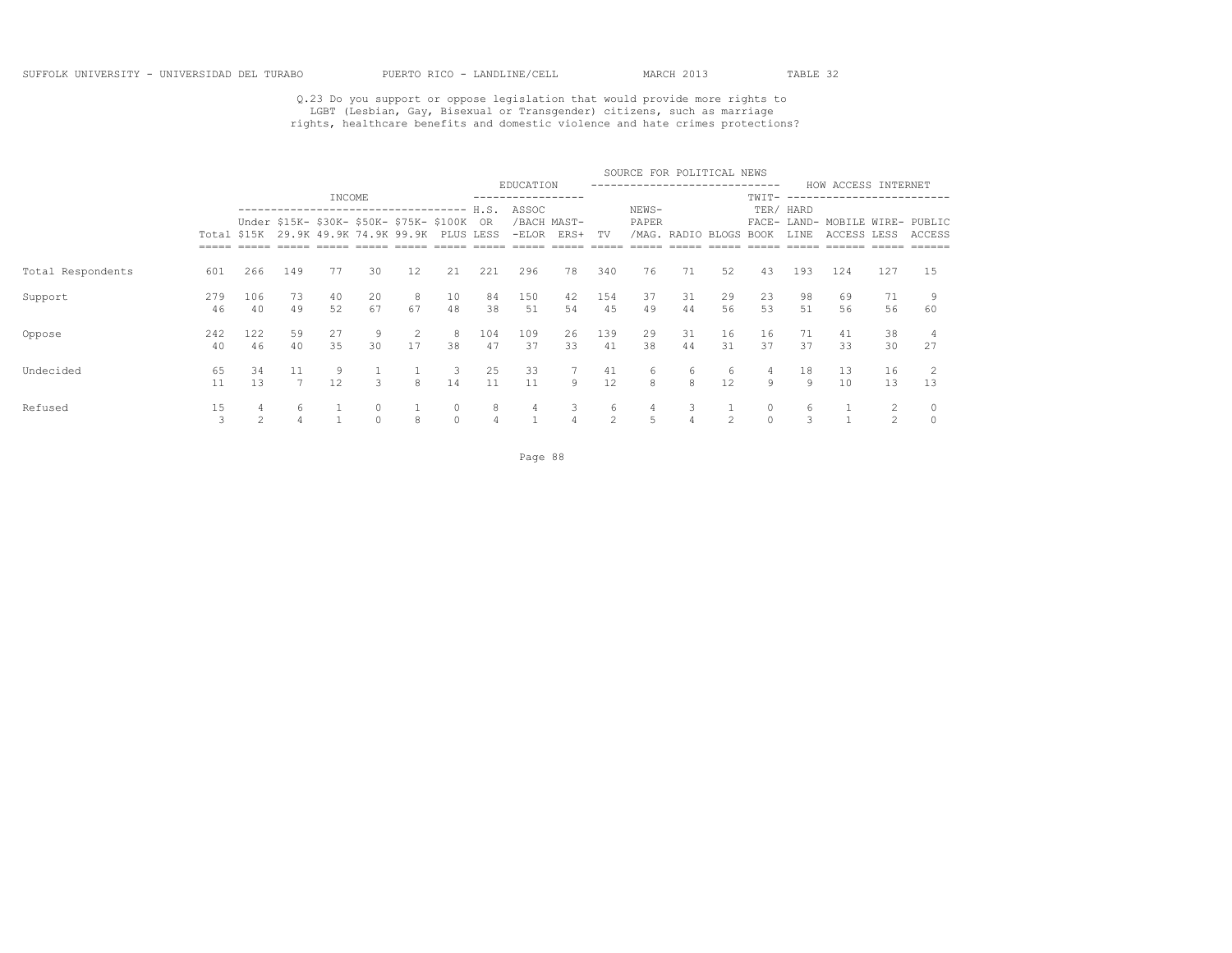# Q.23 Do you support or oppose legislation that would provide more rights to<br>LGBT (Lesbian, Gay, Bisexual or Transgender) citizens, such as marriage<br>rights, healthcare benefits and domestic violence and hate crimes protecti

|                   |             |     |                                          |                         |         |                   |           |      |           |                |               | SOURCE FOR POLITICAL NEWS |             |    |             |             |                        |                |               |
|-------------------|-------------|-----|------------------------------------------|-------------------------|---------|-------------------|-----------|------|-----------|----------------|---------------|---------------------------|-------------|----|-------------|-------------|------------------------|----------------|---------------|
|                   |             |     |                                          |                         |         |                   |           |      | EDUCATION |                |               | ------------------------- |             |    |             |             | HOW ACCESS INTERNET    |                |               |
|                   |             |     | --------------------------------         | INCOME                  |         |                   |           | H.S. | ASSOC     |                |               | NEWS-                     |             |    | TWIT-       | TER/ HARD   | ---------------------- |                |               |
|                   |             |     | Under \$15K- \$30K- \$50K- \$75K- \$100K |                         |         |                   |           | - OR |           | /BACH MAST-    |               | PAPER                     |             |    |             | FACE- LAND- | MOBILE WIRE- PUBLIC    |                |               |
|                   | Total \$15K |     |                                          | 29.9K 49.9K 74.9K 99.9K |         |                   | PLUS LESS |      | $-ELOR$   | ERS+           | TV            | /MAG.                     | RADIO BLOGS |    | <b>BOOK</b> | LINE        | <b>ACCESS LESS</b>     |                | <b>ACCESS</b> |
|                   |             |     |                                          |                         |         |                   |           |      |           |                |               |                           |             |    |             |             |                        |                |               |
| Total Respondents | 601         | 266 | 149                                      | 77                      | 30      | $12 \overline{ }$ | 21        | 221  | 296       | 78             | 340           | 76                        | 71          | 52 | 43          | 193         | 124                    | 127            | 15            |
| Support           | 279         | 106 | 73                                       | 40                      | 20      | 8                 | 10        | 84   | 150       | 42             | 154           | 37                        | 31          | 29 | 23          | 98          | 69                     | 71             |               |
|                   | 46          | 40  | 49                                       | 52                      | 67      | 67                | 48        | 38   | 51        | 54             | 45            | 49                        | 44          | 56 | 53          | .51         | 56                     | 56             | 60            |
| Oppose            | 242         | 122 | 59                                       | 27                      | 9       | 2                 | 8         | 104  | 109       | 26             | 139           | 29                        | 31          | 16 | 16          | 71          | 41                     | 38             |               |
|                   | 40          | 46  | 40                                       | 35                      | 30      | 17                | 38        | 47   | 37        | 33             | 41            | 38                        | 44          | 31 | 37          | 37          | 33                     | 30             | 27            |
| Undecided         | 65          | 34  | 11                                       |                         |         |                   | 3         | 25   | 33        |                | 41            | 6                         | 6           | 6  | 4           | 18          | 13                     | 16             |               |
|                   | 11          | 13  | $\overline{7}$                           | 12                      | 3       | 8                 | 14        | 11   | 11        | 9              | 12            | 8                         | 8           | 12 | 9           | 9           | 10                     | 13             | 13            |
| Refused           | 15          |     | 6                                        |                         | $\circ$ |                   |           | 8    | 4         | 3              | 6             | 4                         |             |    | $\circ$     | 6           |                        |                |               |
|                   | 3           | 2   |                                          |                         | $\circ$ | 8                 |           | 4    |           | $\overline{4}$ | $\mathcal{L}$ | $\overline{5}$            |             |    | $\Omega$    |             |                        | $\mathfrak{D}$ |               |

Page 88 September 2014 and 2014 and 2014 and 2014 and 2014 and 2014 and 2014 and 2014 and 2014 and 2014 and 20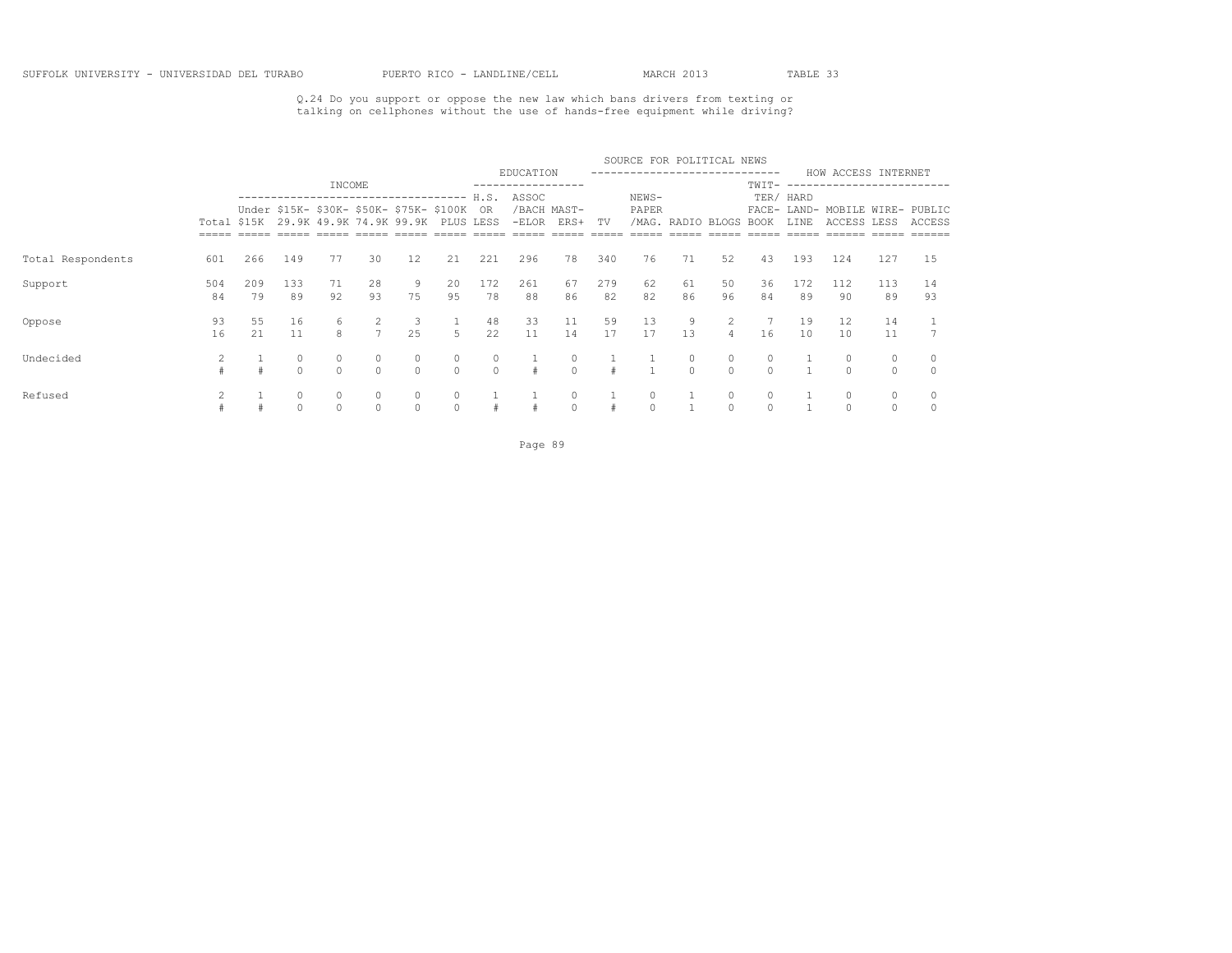Q.24 Do you support or oppose the new law which bans drivers from texting or talking on cellphones without the use of hands-free equipment while driving?

|                   |             |           |               |          |                     |                                                                     |           |                    |                              |                     |           | SOURCE FOR POLITICAL NEWS   |                   |                     |          |           |                                                |                     |          |
|-------------------|-------------|-----------|---------------|----------|---------------------|---------------------------------------------------------------------|-----------|--------------------|------------------------------|---------------------|-----------|-----------------------------|-------------------|---------------------|----------|-----------|------------------------------------------------|---------------------|----------|
|                   |             |           |               | INCOME   |                     |                                                                     |           |                    | EDUCATION<br>--------------- |                     |           | --------------------------- |                   |                     | TWIT-    |           | HOW ACCESS INTERNET<br>----------------------- |                     |          |
|                   |             |           |               |          |                     | ---------------------------------                                   |           | H.S.               | ASSOC                        |                     |           | NEWS-                       |                   |                     |          | TER/ HARD |                                                |                     |          |
|                   | Total \$15K |           |               |          |                     | Under \$15K- \$30K- \$50K- \$75K- \$100K<br>29.9K 49.9K 74.9K 99.9K | PLUS LESS | - OR               | $-ELOR$                      | /BACH MAST-<br>ERS+ | TV        | PAPER                       | /MAG. RADIO BLOGS |                     | BOOK     | LINE      | FACE- LAND- MOBILE WIRE- PUBLIC<br>ACCESS LESS |                     | ACCESS   |
|                   |             |           |               |          |                     |                                                                     |           |                    |                              |                     |           |                             |                   |                     |          |           |                                                |                     |          |
| Total Respondents | 601         | 266       | 149           | 77       | 30                  | 12                                                                  | 21        | 221                | 296                          | 78                  | 340       | 76                          | 71                | 52                  | 43       | 193       | 124                                            | 127                 | 15       |
| Support           | 504<br>84   | 209<br>79 | 133<br>89     | 71<br>92 | 28<br>93            | 9.<br>75                                                            | 20<br>95  | 172<br>78          | 261<br>88                    | 67<br>86            | 279<br>82 | 62<br>82                    | 61<br>86          | 50<br>96            | 36<br>84 | 172<br>89 | 112<br>-90                                     | 113<br>89           | 14<br>93 |
| Oppose            | 93<br>16    | 55<br>21  | 16<br>11      | 6<br>8   | 2<br>$\overline{7}$ | 3<br>25                                                             | .5        | 48<br>22           | 33<br>11                     | 11<br>14            | 59<br>17  | 13<br>17                    | 9<br>13           | 2<br>$\overline{4}$ | 16       | 19<br>10  | 12<br>10                                       | 14<br>11            |          |
| Undecided         |             |           | 0<br>$\Omega$ | $\Omega$ | $\circ$<br>$\cap$   | $\Omega$                                                            | $\Omega$  | $\circ$<br>$\circ$ |                              | 0<br>$\Omega$       |           |                             | $\Omega$          | 0<br>$\Omega$       | $\Omega$ |           | $\Omega$                                       | $\circ$<br>$\Omega$ |          |
| Refused           |             |           | 0<br>$\Omega$ | $\Omega$ | $\cap$              |                                                                     |           |                    |                              | 0<br>$\Omega$       |           |                             |                   |                     | 0        |           | $\circ$                                        | 0<br>$\Omega$       |          |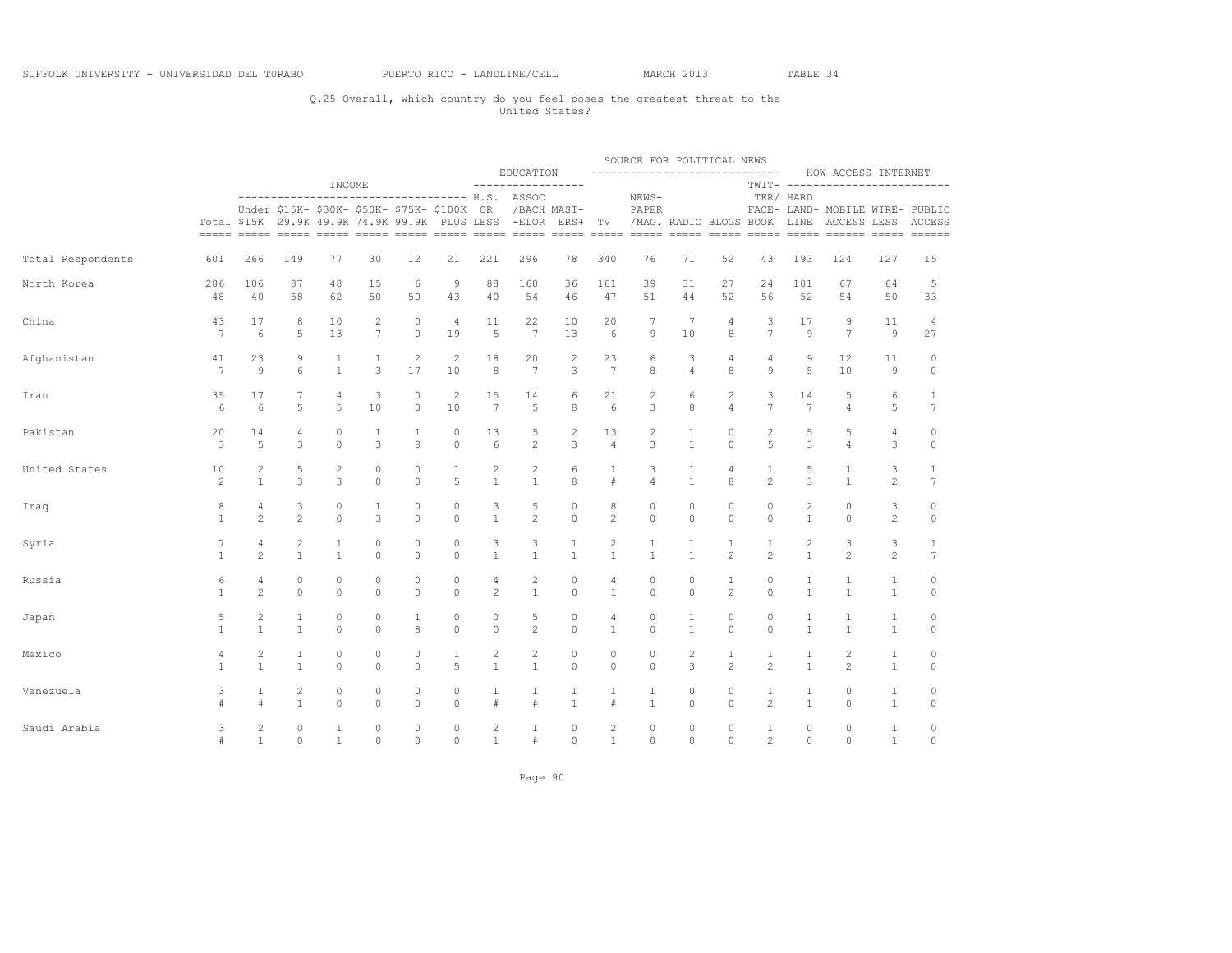### Q.25 Overall, which country do you feel poses the greatest threat to the United States?

|                   |                |                |                |                |                                                                                           |              |                |                 | EDUCATION                                       |                         |                | SOURCE FOR POLITICAL NEWS<br>----------------------------- |                             |                |                |              | HOW ACCESS INTERNET                                                                                                                                                              |                |                 |
|-------------------|----------------|----------------|----------------|----------------|-------------------------------------------------------------------------------------------|--------------|----------------|-----------------|-------------------------------------------------|-------------------------|----------------|------------------------------------------------------------|-----------------------------|----------------|----------------|--------------|----------------------------------------------------------------------------------------------------------------------------------------------------------------------------------|----------------|-----------------|
|                   |                |                | -------------  | INCOME         |                                                                                           |              |                |                 | -----------------<br>--------------- H.S. ASSOC |                         |                | NEWS-                                                      |                             |                |                | TER/ HARD    | TWIT- -------------------------                                                                                                                                                  |                |                 |
|                   |                |                |                |                | Under \$15K- \$30K- \$50K- \$75K- \$100K<br>Total \$15K 29.9K 49.9K 74.9K 99.9K PLUS LESS |              |                | OR              | -ELOR ERS+ TV                                   | /BACH MAST-             |                | PAPER                                                      | /MAG. RADIO BLOGS BOOK LINE |                |                |              | FACE- LAND- MOBILE WIRE- PUBLIC<br>ACCESS LESS ACCESS<br><u>assos acors cosos cosos cosos cosos acors acors acors acors cosos acors acors acors acors acors acors acors acor</u> |                |                 |
| Total Respondents | 601            | 266            | 149            | 77             | 30                                                                                        | 12           | 21             | 221             | 296                                             | 78                      | 340            | 76                                                         | 71                          | 52             | 43             | 193          | 124                                                                                                                                                                              | 127            | 15              |
| North Korea       | 286            | 106            | 87             | 48             | 15                                                                                        | 6            | 9              | 88              | 160                                             | 36                      | 161            | 39                                                         | 31                          | 27             | 24             | 101          | 67                                                                                                                                                                               | 64             | 5               |
|                   | 48             | 40             | 58             | 62             | 50                                                                                        | 50           | 43             | 40              | 54                                              | 46                      | 47             | 51                                                         | 44                          | 52             | 56             | 52           | 54                                                                                                                                                                               | 50             | 33              |
| China             | 43             | 17             | 8              | 10             | 2                                                                                         | 0            | $\overline{4}$ | 11              | 22                                              | 10                      | 20             | 7                                                          | 7                           | 4              | 3              | 17           | 9                                                                                                                                                                                | 11             | 4               |
|                   | $\overline{7}$ | 6              | 5              | 13             | 7                                                                                         | $\circ$      | 19             | 5               | $7\phantom{.0}$                                 | 13                      | 6              | 9                                                          | 10                          | 8              | $\overline{7}$ | 9            | $\overline{7}$                                                                                                                                                                   | $\mathcal{G}$  | 27              |
| Afghanistan       | 41             | 23             | 9              | $\mathbf{1}$   | $\mathbf{1}$                                                                              | 2            | 2              | 18              | 20                                              | $\mathbf{2}$            | 23             | 6                                                          | 3                           | 4              | 4              | 9            | 12                                                                                                                                                                               | 11             | 0               |
|                   | 7              | 9              | 6              | $\mathbf{1}$   | 3                                                                                         | 17           | 10             | 8               | $7\phantom{.0}$                                 | 3                       | 7              | 8                                                          | $\overline{4}$              | 8              | 9              | 5            | 10                                                                                                                                                                               | 9              | $\circ$         |
| Iran              | 35             | 17             | 7              | 4              | 3                                                                                         | 0            | $\overline{c}$ | 15              | 14                                              | 6                       | 21             | $\overline{c}$                                             | 6                           | 2              | 3              | 14           | 5                                                                                                                                                                                | 6              | 1               |
|                   | 6              | 6              | 5              | 5              | 10                                                                                        | $\circ$      | 10             | $7\phantom{.0}$ | 5                                               | 8                       | 6              | 3                                                          | 8                           | $\overline{4}$ | $7\phantom{.}$ | 7            | $\overline{4}$                                                                                                                                                                   | 5              | $7\phantom{.}$  |
| Pakistan          | 20             | 14             | 4              | $\mathbb O$    | 1                                                                                         | $\mathbf{1}$ | $\circ$        | 13              | 5                                               | $\overline{\mathbf{c}}$ | 13             | $\mathbf{2}$                                               | $\mathbf{1}$                | 0              | 2              | 5            | 5                                                                                                                                                                                | $\overline{4}$ | 0               |
|                   | 3              | 5              | 3              | $\circ$        | 3                                                                                         | 8            | $\circ$        | 6               | $\mathbf{2}$                                    | 3                       | $\overline{4}$ | 3                                                          | $\mathbf{1}$                | $\circ$        | 5              | 3            | $\overline{4}$                                                                                                                                                                   | 3              | $\circ$         |
| United States     | 10             | 2              | 5              | $\overline{c}$ | $\circ$                                                                                   | 0            | 1              | 2               | 2                                               | 6                       | 1              | 3                                                          | $\mathbf{1}$                | 4              | 1              | 5            | 1                                                                                                                                                                                | 3              | 1               |
|                   | $\mathbf{2}$   | $\mathbf{1}$   | 3              | 3              | $\circ$                                                                                   | $\circ$      | 5              | $\mathbf{1}$    | $\mathbf{1}$                                    | 8                       | #              | $\overline{4}$                                             | $\mathbf{1}$                | 8              | $\mathbf{2}$   | 3            | $\mathbf{1}$                                                                                                                                                                     | $\mathbf{2}$   | $7\phantom{.0}$ |
| Iraq              | 8              | 4              | 3              | $\mathbb O$    | 1                                                                                         | 0            | $\circ$        | 3               | 5                                               | $\circ$                 | 8              | $\circ$                                                    | $\circ$                     | 0              | 0              | 2            | $\circ$                                                                                                                                                                          | 3              | 0               |
|                   | $\mathbf{1}$   | 2              | $\overline{c}$ | $\circ$        | 3                                                                                         | 0            | $\circ$        | $\mathbf{1}$    | $\overline{c}$                                  | $\mathbb O$             | $\overline{c}$ | $\circ$                                                    | $\circ$                     | $\circ$        | $\circ$        | $\mathbf{1}$ | $\circ$                                                                                                                                                                          | $\overline{c}$ | $\mathbb O$     |
| Syria             | 7              | 4              | $\overline{c}$ | 1              | $\circ$                                                                                   | 0            | 0              | 3               | 3                                               | 1                       | 2              | 1                                                          | 1                           | 1              | 1              | 2            | 3                                                                                                                                                                                | 3              | 1               |
|                   | $\mathbf{1}$   | $\overline{c}$ | $\mathbf{1}$   | $1\,$          | $\circ$                                                                                   | $\circ$      | $\circ$        | $\mathbf{1}$    | $\mathbf{1}$                                    | $\mathbf{1}$            | $\mathbf{1}$   | $\mathbf{1}$                                               | $\mathbf{1}$                | $\overline{c}$ | $\overline{c}$ | $\mathbf{1}$ | $\overline{c}$                                                                                                                                                                   | $\overline{c}$ | $\overline{7}$  |
| Russia            | 6              | $\overline{4}$ | $\circ$        | $\circ$        | $\circ$                                                                                   | 0            | $\circ$        | 4               | $\overline{c}$                                  | $\circ$                 | 4              | $\circ$                                                    | $\circ$                     | $\mathbf{1}$   | $\circ$        | $\mathbf{1}$ | $\mathbf{1}$                                                                                                                                                                     | $\mathbf{1}$   | 0               |
|                   | $\mathbf{1}$   | $\overline{c}$ | $\Omega$       | $\Omega$       | $\Omega$                                                                                  | $\Omega$     | $\Omega$       | $\overline{c}$  | $\mathbf{1}$                                    | $\Omega$                | $\mathbf{1}$   | $\Omega$                                                   | $\Omega$                    | 2              | $\Omega$       | $\mathbf{1}$ | $\overline{1}$                                                                                                                                                                   | $\mathbf{1}$   | $\circ$         |
| Japan             | 5              | 2              | 1              | $\circ$        | $\circ$                                                                                   | 1            | $\circ$        | $\circ$         | 5                                               | 0                       | 4              | $\circ$                                                    | 1                           | $\circ$        | $\circ$        | 1            | $\mathbf{1}$                                                                                                                                                                     | $\mathbf{1}$   | 0               |
|                   | $\mathbf{1}$   | $\mathbf{1}$   | $\mathbf{1}$   | $\circ$        | $\circ$                                                                                   | 8            | $\circ$        | $\circ$         | $\overline{c}$                                  | $\mathbb O$             | $\mathbf{1}$   | $\circ$                                                    | $\mathbf{1}$                | $\circ$        | $\circ$        | $\mathbf{1}$ | $\mathbf{1}$                                                                                                                                                                     | $\mathbf{1}$   | $\circ$         |
| Mexico            | 4              | $\overline{c}$ | $1\,$          | $\mathbb O$    | $\circ$                                                                                   | 0            | 1              | $\mathbf{2}$    | $\overline{c}$                                  | $\circ$                 | 0              | $\circ$                                                    | 2                           | 1              | $\mathbf{1}$   | 1            | $\overline{c}$                                                                                                                                                                   | $\mathbf{1}$   | 0               |
|                   | $\mathbf{1}$   | $\mathbf{1}$   | $\mathbf{1}$   | $\circ$        | $\Omega$                                                                                  | $\circ$      | 5              | $\mathbf{1}$    | $\mathbf{1}$                                    | $\Omega$                | $\Omega$       | $\circ$                                                    | 3                           | $\overline{c}$ | $\overline{c}$ | $\mathbf{1}$ | $\mathfrak{D}$                                                                                                                                                                   | $\mathbf{1}$   | $\circ$         |
| Venezuela         | 3              | 1              | $\overline{c}$ | $\mathbb O$    | $\circ$                                                                                   | 0            | $\circ$        | 1               | 1                                               | 1                       | $\mathbf{1}$   | 1                                                          | $\circ$                     | 0              | 1              | 1            | $\circ$                                                                                                                                                                          | $\mathbf{1}$   | 0               |
|                   | #              | $\ddagger$     | $\mathbf{1}$   | $\circ$        | $\Omega$                                                                                  | $\circ$      | $\Omega$       | #               | $\#$                                            | $\mathbf{1}$            | #              | $\mathbf{1}$                                               | $\circ$                     | $\Omega$       | $\overline{c}$ | $\mathbf{1}$ | $\circ$                                                                                                                                                                          | $\mathbf{1}$   | $\circ$         |
| Saudi Arabia      | 3              | $\overline{c}$ | 0              | $\mathbf{1}$   | $\circ$                                                                                   | 0            | $\circ$        | 2               | 1                                               | 0                       | 2              | $\circ$                                                    | $\circ$                     | $\circ$        | 1              | 0            | $\circ$                                                                                                                                                                          | $\mathbf{1}$   | 0               |
|                   | #              | $\mathbf{1}$   | $\Omega$       | $\mathbf{1}$   | $\Omega$                                                                                  | $\Omega$     | $\circ$        | $\mathbf{1}$    | #                                               | $\Omega$                | $\mathbf{1}$   | $\Omega$                                                   | $\Omega$                    | $\Omega$       | $\overline{c}$ | $\Omega$     | $\Omega$                                                                                                                                                                         | $\mathbf{1}$   | $\Omega$        |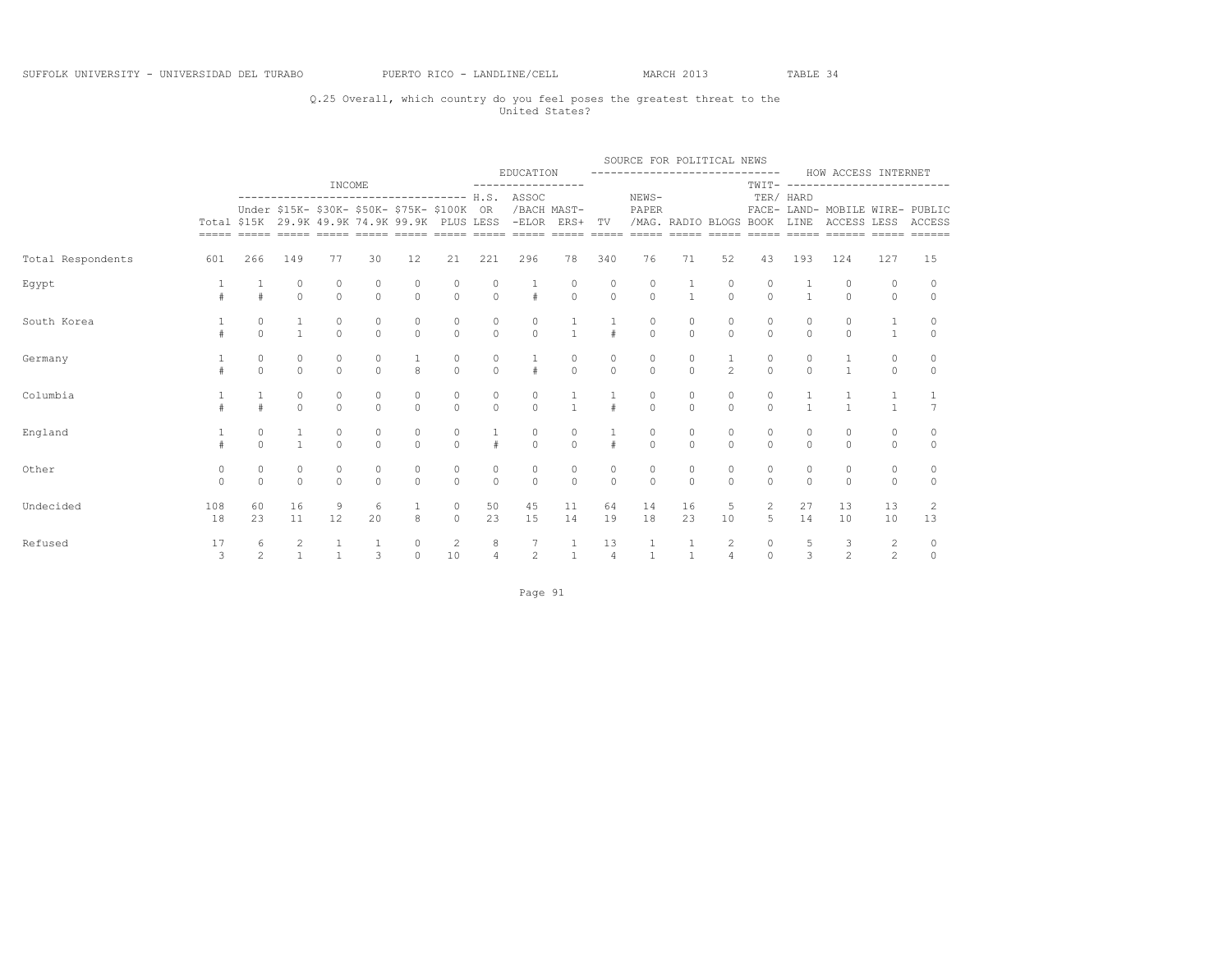### Q.25 Overall, which country do you feel poses the greatest threat to the United States?

|                   |                     |                     |                                      |                                             |                                      |                     |                                      |                                      |                                                                                                                                                           |                                      |                                      | SOURCE FOR POLITICAL NEWS            |                                      |                                  |                                      |                                      |                                                        |                     |                     |
|-------------------|---------------------|---------------------|--------------------------------------|---------------------------------------------|--------------------------------------|---------------------|--------------------------------------|--------------------------------------|-----------------------------------------------------------------------------------------------------------------------------------------------------------|--------------------------------------|--------------------------------------|--------------------------------------|--------------------------------------|----------------------------------|--------------------------------------|--------------------------------------|--------------------------------------------------------|---------------------|---------------------|
|                   |                     |                     |                                      | INCOME                                      |                                      |                     |                                      |                                      | EDUCATION<br>-----------------                                                                                                                            |                                      |                                      | -------------------------------      |                                      |                                  |                                      |                                      | HOW ACCESS INTERNET<br>TWIT- ------------------------- |                     |                     |
|                   |                     |                     |                                      | Under \$15K- \$30K- \$50K- \$75K- \$100K OR |                                      |                     |                                      |                                      | ------------------------------------ H.S. ASSOC<br>/BACH MAST-<br>Total \$15K 29.9K 49.9K 74.9K 99.9K PLUS LESS -ELOR ERS+ TV /MAG. RADIO BLOGS BOOK LINE |                                      |                                      | NEWS-<br>PAPER                       |                                      |                                  | TER/ HARD                            |                                      | FACE- LAND- MOBILE WIRE- PUBLIC<br>ACCESS LESS ACCESS  |                     |                     |
| Total Respondents | 601                 | 266                 | 149                                  | 77                                          | 30                                   | 12                  | 21                                   | 221                                  | 296                                                                                                                                                       | 78                                   | 340                                  | 76                                   | 71                                   | 52                               | 43                                   | 193                                  | 124                                                    | 127                 | 15                  |
| Egypt             | #                   | $\frac{1}{4}$       | $\begin{matrix} 0 \\ 0 \end{matrix}$ | 0<br>$\Omega$                               | $\begin{matrix} 0 \\ 0 \end{matrix}$ | $\overline{0}$      | $\begin{matrix}0\\0\end{matrix}$     | $\begin{matrix} 0 \\ 0 \end{matrix}$ | $\frac{1}{4}$                                                                                                                                             | $\begin{matrix} 0 \\ 0 \end{matrix}$ | $\begin{matrix} 0 \\ 0 \end{matrix}$ | $\begin{matrix}0\\0\end{matrix}$     | $\frac{1}{1}$                        | $\begin{matrix}0\\0\end{matrix}$ | $\begin{matrix} 0 \\ 0 \end{matrix}$ | $\frac{1}{1}$                        | 0<br>$\Omega$                                          | 0<br>$\Omega$       | $\circ$<br>$\Omega$ |
| South Korea       |                     | $\Omega$            | $\mathbf{1}$                         | $\Omega$                                    | $\Omega$                             | $\Omega$            | $\circ$<br>$\Omega$                  | $\mathbb O$<br>$\Omega$              | $\begin{matrix} 0 \\ 0 \end{matrix}$                                                                                                                      | $\frac{1}{1}$                        |                                      | $\begin{matrix} 0 \\ 0 \end{matrix}$ | $\begin{matrix} 0 \\ 0 \end{matrix}$ | $\Omega$                         | $\begin{matrix} 0 \\ 0 \end{matrix}$ | $\theta$                             | $\begin{matrix} 0 \\ 0 \end{matrix}$                   | $\mathbf{1}$        | $\circ$<br>$\Omega$ |
| Germany           |                     | $\circ$<br>$\Omega$ | $\begin{matrix} 0 \\ 0 \end{matrix}$ | $\circ$<br>$\circ$                          | $\overline{0}$                       | $\mathbf{g}$        | $\begin{matrix} 0 \\ 0 \end{matrix}$ | $\begin{matrix} 0 \\ 0 \end{matrix}$ | $\frac{1}{4}$                                                                                                                                             | $\begin{matrix} 0 \\ 0 \end{matrix}$ | $\circ$<br>$\Omega$                  | $\begin{matrix} 0 \\ 0 \end{matrix}$ | $\begin{matrix} 0 \\ 0 \end{matrix}$ | $\frac{1}{2}$                    | $\begin{matrix} 0 \\ 0 \end{matrix}$ | $\begin{matrix} 0 \\ 0 \end{matrix}$ | $\frac{1}{1}$                                          | $\circ$<br>$\circ$  | $\circ$<br>$\circ$  |
| Columbia          |                     |                     | $\circ$<br>$\Omega$                  | $\circ$<br>$\cap$                           | $\Omega$                             | $\circ$<br>$\Omega$ | $\circ$<br>$\Omega$                  | 0<br>$\Omega$                        | $\circ$<br>$\Omega$                                                                                                                                       | $\mathbf{1}$                         |                                      | $\overline{0}$                       | 0<br>$\Omega$                        | $\circ$<br>$\Omega$              | 0<br>$\overline{0}$                  |                                      | $\overline{1}$                                         | $\mathbf{1}$        | $\frac{1}{7}$       |
| England           |                     | $\circ$<br>$\Omega$ | $\mathbf{1}$<br>$\mathbf{1}$         | $\circ$<br>$\Omega$                         | $\circ$<br>$\Omega$                  | $\circ$<br>$\theta$ | $\circ$<br>$\Omega$                  | $\mathbf{1}$<br>#                    | $\circ$<br>$\Omega$                                                                                                                                       | $\begin{matrix} 0 \\ 0 \end{matrix}$ |                                      | $\circ$<br>$\Omega$                  | $\circ$<br>$\Omega$                  | $\circ$<br>$\Omega$              | $\circ$<br>$\Omega$                  | $\circ$<br>$\Omega$                  | $\circ$<br>$\Omega$                                    | 0<br>$\Omega$       | $\Omega$<br>$\circ$ |
| Other             | $\circ$<br>$\Omega$ | $\circ$<br>$\Omega$ | $\circ$<br>$\theta$                  | $\circ$<br>$\Omega$                         | $\circ$<br>$\Omega$                  | 0<br>$\Omega$       | $\circ$<br>$\Omega$                  | $\circ$<br>$\Omega$                  | $\circ$<br>$\Omega$                                                                                                                                       | $\begin{matrix}0\\0\end{matrix}$     | $\circ$<br>$\cap$                    | $\circ$<br>$\Omega$                  | $\circ$<br>$\Omega$                  | $\circ$<br>$\Omega$              | $\circ$<br>$\Omega$                  | $\circ$<br>$\Omega$                  | $\circ$<br>$\Omega$                                    | $\circ$<br>$\Omega$ | 0<br>$\Omega$       |
| Undecided         | 108<br>18           | 60<br>23            | 16<br>11                             | 9<br>12                                     | 6<br>20                              | 8                   | $\circ$<br>$\circ$                   | 50<br>23                             | 45<br>15                                                                                                                                                  | 11<br>14                             | 64<br>19                             | 14<br>18                             | 16<br>23                             | $5 -$<br>10 <sup>°</sup>         | $\overline{2}$<br>5                  | 27<br>14                             | 13<br>10                                               | 13<br>10            | 2<br>13             |
| Refused           | 17<br>3             | 6<br>$\overline{2}$ | $\overline{c}$<br>$\mathbf{1}$       | $\mathbf{1}$                                | 3                                    | $\circ$<br>$\circ$  | $\overline{c}$<br>10                 | 8<br>$\overline{4}$                  | $7\overline{ }$<br>$\overline{2}$                                                                                                                         | $\mathbf{1}$<br>$1 -$                | 13<br>$\overline{4}$                 | $\mathbf{1}$<br>$\mathbf{1}$         | $\mathbf{1}$<br>$\mathbf{1}$         | $\overline{2}$<br>$\overline{4}$ | $\circ$                              | $\frac{5}{3}$<br>$0 \qquad \qquad$   | $\overline{\phantom{a}}$<br>$\overline{2}$             | $\frac{2}{2}$       | 0<br>$\circ$        |

Page 91 and the state of the state of the state of the state of the state of the state of the state of the state of the state of the state of the state of the state of the state of the state of the state of the state of th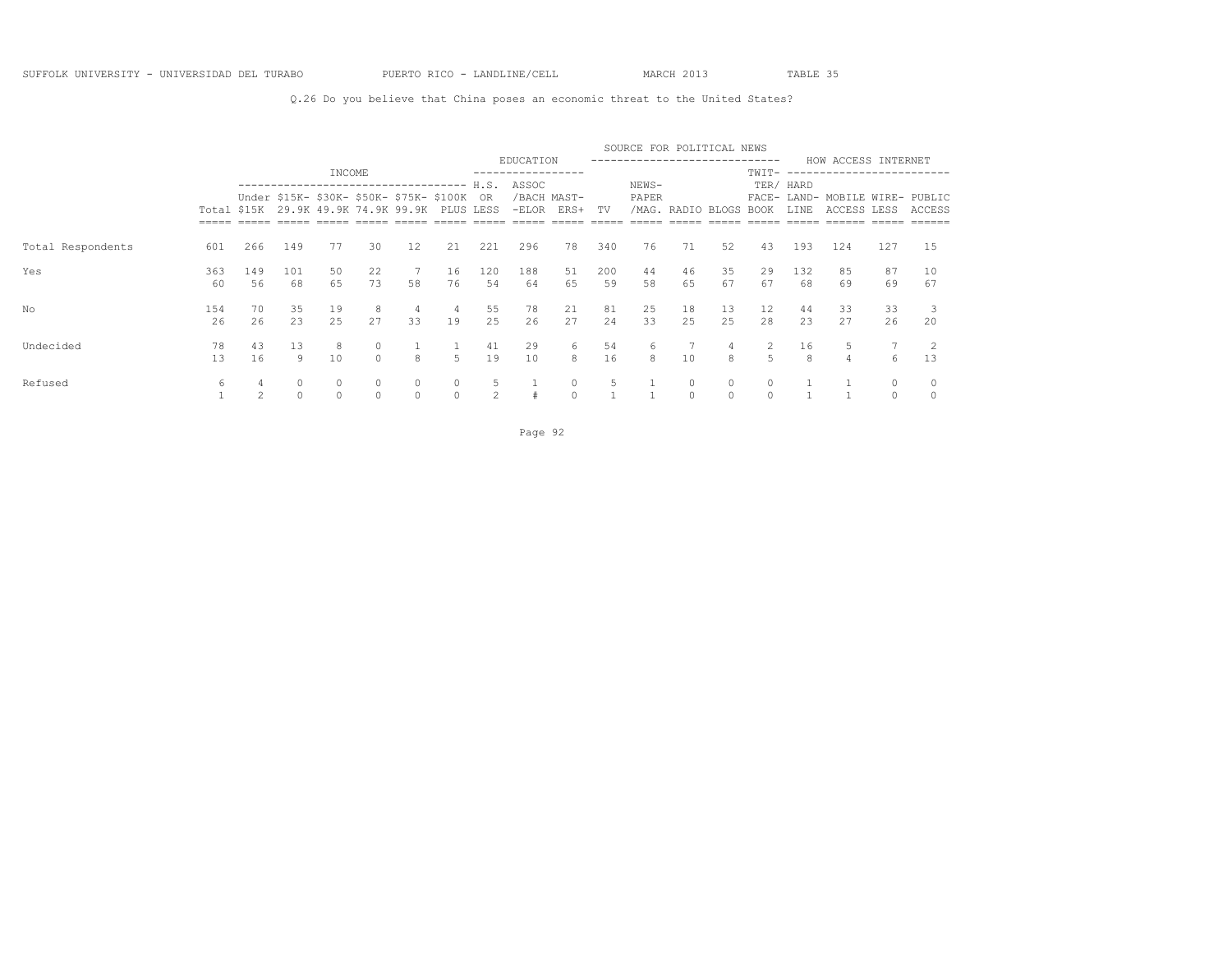### Q.26 Do you believe that China poses an economic threat to the United States?

|                   |     |                |          |                                                                        |         |    |           |                |                                        |                           |     | SOURCE FOR POLITICAL NEWS    |                        |             |                |           |                                                |         |        |
|-------------------|-----|----------------|----------|------------------------------------------------------------------------|---------|----|-----------|----------------|----------------------------------------|---------------------------|-----|------------------------------|------------------------|-------------|----------------|-----------|------------------------------------------------|---------|--------|
|                   |     |                |          |                                                                        |         |    |           |                | EDUCATION                              |                           |     | ---------------------------- |                        |             |                |           | HOW ACCESS INTERNET                            |         |        |
|                   |     |                |          | INCOME<br>------------------------------------                         |         |    |           | H.S.           | . _ _ _ _ _ _ _ _ _ _ _ _ _ _<br>ASSOC |                           |     | NEWS-                        |                        |             | TWIT-          | TER/ HARD | -----------                                    |         |        |
|                   |     | Total \$15K    |          | Under \$15K- \$30K- \$50K- \$75K- \$100K OR<br>29.9K 49.9K 74.9K 99.9K |         |    | PLUS LESS |                |                                        | /BACH MAST-<br>-ELOR ERS+ | TV  | PAPER                        | /MAG. RADIO BLOGS BOOK |             |                | LINE      | FACE- LAND- MOBILE WIRE- PUBLIC<br>ACCESS LESS |         | ACCESS |
|                   |     |                |          |                                                                        |         |    |           |                |                                        |                           |     |                              |                        |             |                |           |                                                |         |        |
| Total Respondents | 601 | 266            | 149      | 77                                                                     | 30      | 12 | 21        | 221            | 296                                    | 78                        | 340 | 76                           | 71                     | 52          | 43             | 193       | 124                                            | 127     | 15     |
| Yes               | 363 | 149            | 101      | 50                                                                     | 22      |    | 16        | 120            | 188                                    | 51                        | 200 | 44                           | 46                     | 35          | 29             | 132       | 85                                             | 87      | 10     |
|                   | 60  | 56             | 68       | 65                                                                     | 73      | 58 | 76        | 54             | 64                                     | 65                        | 59  | 58                           | 65                     | 67          | 67             | 68        | 69                                             | 69      | 67     |
| No                | 154 | 70             | 35       | 19                                                                     | 8       | 4  | 4         | 55             | 78                                     | 21                        | 81  | 25                           | 18                     | 13          | 12             | 44        | 33                                             | 33      |        |
|                   | 26  | 26             | 23       | 25                                                                     | 27      | 33 | 19        | 25             | 26                                     | 27                        | 24  | 33                           | 25                     | 25          | 28             | 23        | 27                                             | 26      | 20     |
| Undecided         | 78  | 43             | 13       | 8                                                                      | $\circ$ |    |           | 41             | 29                                     | 6                         | 54  | 6                            |                        | $4^{\circ}$ | $\overline{2}$ | 16        |                                                |         |        |
|                   | 13  | 16             | 9        | 10                                                                     | $\cap$  | 8  | 5         | 19             | 10                                     | 8                         | 16  | 8                            | 10                     | 8           | 5              | 8         | $\overline{4}$                                 | 6       | 13     |
| Refused           | 6   |                | 0        | $\circ$                                                                |         | 0  | $\circ$   | 5              |                                        | $\circ$                   |     |                              | 0                      | $\circ$     | $\circ$        |           |                                                | $\circ$ |        |
|                   |     | $\mathfrak{D}$ | $\Omega$ |                                                                        | $\cap$  |    | $\Omega$  | $\mathfrak{D}$ |                                        | $\Omega$                  |     |                              | $\cap$                 |             | $\cap$         |           |                                                | $\cap$  |        |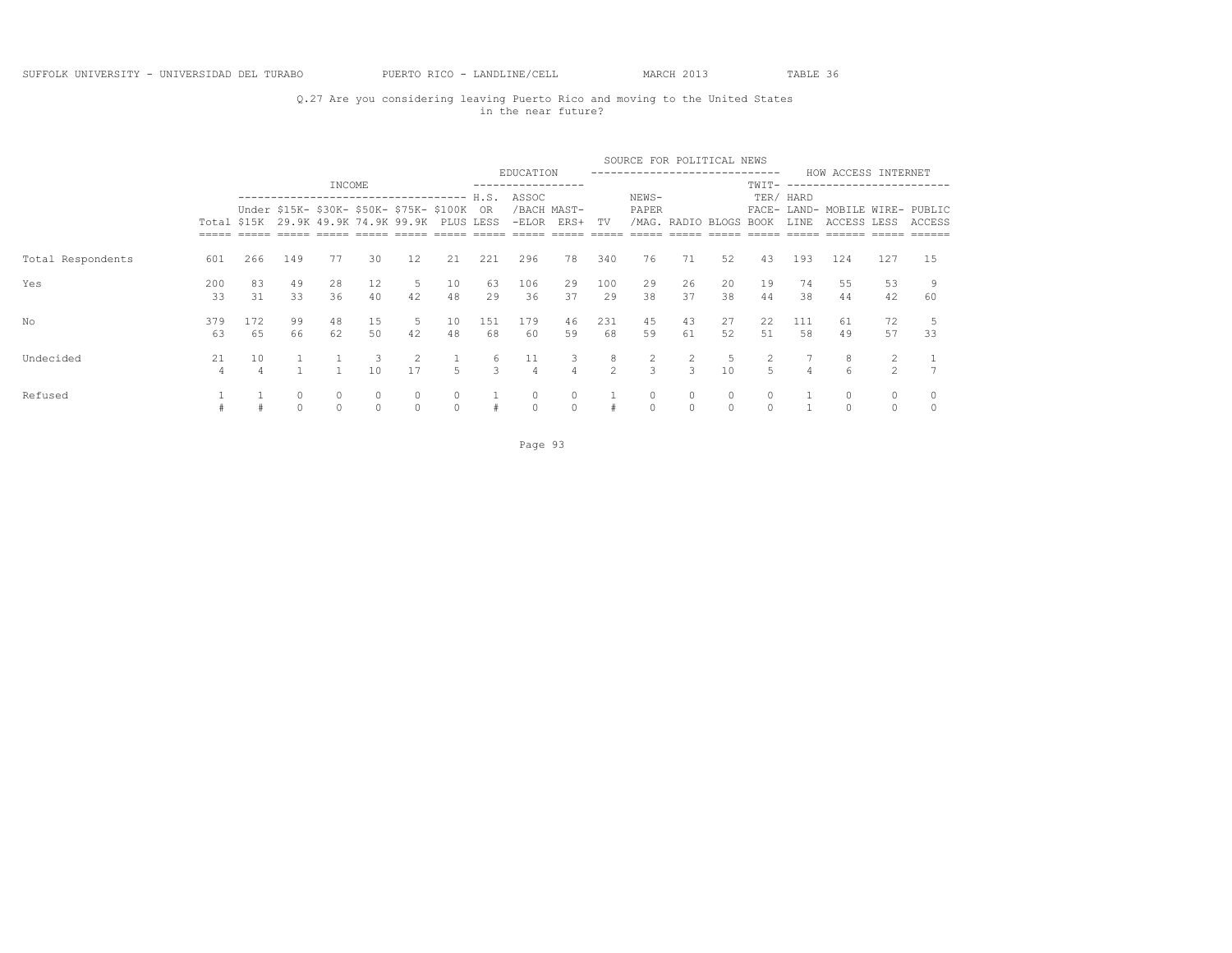## Q.27 Are you considering leaving Puerto Rico and moving to the United States in the near future?

|                   |             |           |               |               |                               |                                                                                                        |          |                          |                      |                                |              | SOURCE FOR POLITICAL NEWS       |                        |                     |               |                   |                                                |                     |        |
|-------------------|-------------|-----------|---------------|---------------|-------------------------------|--------------------------------------------------------------------------------------------------------|----------|--------------------------|----------------------|--------------------------------|--------------|---------------------------------|------------------------|---------------------|---------------|-------------------|------------------------------------------------|---------------------|--------|
|                   |             |           |               | INCOME        |                               |                                                                                                        |          |                          | EDUCATION            |                                |              |                                 |                        |                     | TWIT-         |                   | HOW ACCESS INTERNET<br>----------------------  |                     |        |
|                   | Total \$15K |           |               |               |                               | -------------------------------<br>Under \$15K- \$30K- \$50K- \$75K- \$100K<br>29.9K 49.9K 74.9K 99.9K |          | H.S.<br>OR.<br>PLUS LESS | ASSOC<br>$-ELOR$     | /BACH MAST-<br>ERS+            | TV           | NEWS-<br>PAPER                  | /MAG. RADIO BLOGS BOOK |                     |               | TER/ HARD<br>LINE | FACE- LAND- MOBILE WIRE- PUBLIC<br>ACCESS LESS |                     | ACCESS |
| Total Respondents | 601         | 266       | 149           | 77            | 30                            | 12                                                                                                     | 21       | 221                      | 296                  | 78                             | 340          | 76                              | 71                     | 52                  | 43            | 193               | 124                                            | 127                 | 15     |
| Yes               | 200<br>33   | 83<br>31  | 49<br>33      | 28<br>36      | 12<br>40                      | 5<br>42                                                                                                | 10<br>48 | 63<br>29                 | 106<br>36            | 29<br>37                       | 100<br>29    | 29<br>38                        | 26<br>37               | 20<br>38            | 19<br>44      | 74<br>38          | 55<br>44                                       | 53<br>42            | 60     |
| No                | 379<br>63   | 172<br>65 | 99<br>66      | 48<br>62      | 15<br>50                      | 5<br>42                                                                                                | 10<br>48 | 151<br>68                | 179<br>60            | 46<br>59                       | 231<br>68    | 45<br>59                        | 43<br>61               | 27<br>52            | 22<br>51      | 111<br>58         | 61<br>49                                       | 72<br>57            | 33     |
| Undecided         | 21<br>4     | 10        |               |               | $\overline{\mathbf{3}}$<br>10 | 2<br>17                                                                                                | 5        | 6<br>$\mathbf{3}$        | 11<br>$\overline{4}$ | $\mathbf{3}$<br>$\overline{4}$ | 8<br>$2^{1}$ | $\overline{2}$<br>$\mathcal{E}$ | $\overline{2}$<br>3    | 5<br>10             | 2<br>5        | $\overline{4}$    | 8<br>$6\overline{6}$                           | $\overline{2}$<br>2 |        |
| Refused           |             |           | 0<br>$\Omega$ | 0<br>$\Omega$ | $\circ$<br>$\Omega$           | $\circ$<br>$\Omega$                                                                                    | $\circ$  | #                        | 0<br>$\Omega$        | $\circ$<br>$\Omega$            |              | $\circ$<br>$\Omega$             | 0<br>$\Omega$          | $\circ$<br>$\Omega$ | 0<br>$\Omega$ |                   | 0                                              | 0<br>$\Omega$       |        |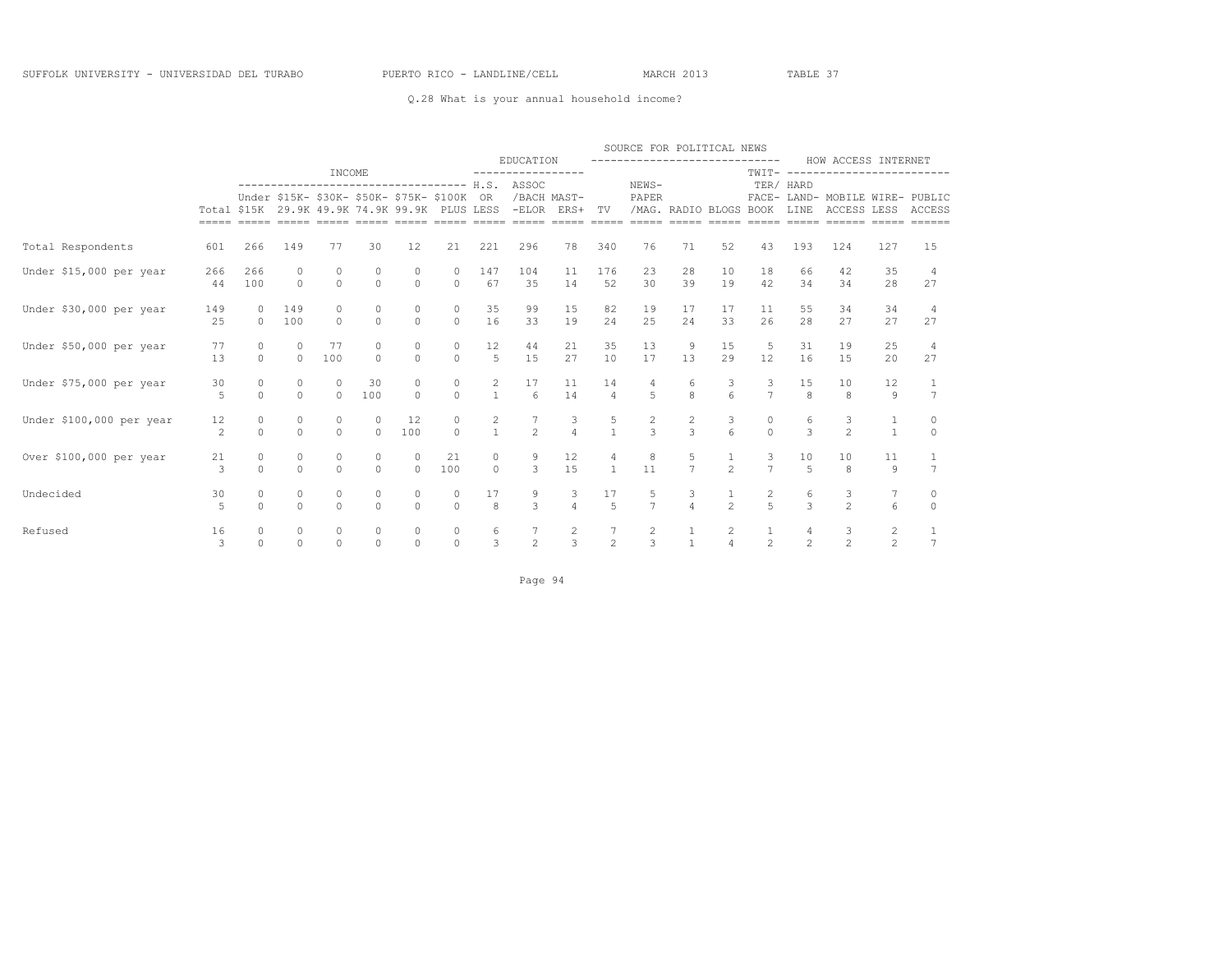### Q.28 What is your annual household income?

|                          |                     |                     |                     |                                                                                                         |                     |                     |                    |                                        |                                                 |                           |                                       | SOURCE FOR POLITICAL NEWS                   |                        |                                       |                      |                      |                                                       |                       |                     |
|--------------------------|---------------------|---------------------|---------------------|---------------------------------------------------------------------------------------------------------|---------------------|---------------------|--------------------|----------------------------------------|-------------------------------------------------|---------------------------|---------------------------------------|---------------------------------------------|------------------------|---------------------------------------|----------------------|----------------------|-------------------------------------------------------|-----------------------|---------------------|
|                          |                     |                     |                     | INCOME                                                                                                  |                     |                     |                    |                                        | EDUCATION<br>-----------------                  |                           |                                       | -----------------------------               |                        |                                       | $TWIT----$           |                      | HOW ACCESS INTERNET<br>----------------------         |                       |                     |
|                          | $=====$             |                     |                     | Under \$15K- \$30K- \$50K- \$75K- \$100K OR<br>Total \$15K 29.9K 49.9K 74.9K 99.9K PLUS LESS<br>$=====$ | $=====$             |                     | ===== =====        | $=====$                                | ------------------------------------ H.S. ASSOC | /BACH MAST-<br>-ELOR ERS+ | TV<br>$= = = = = =$                   | NEWS-<br>PAPER<br>$== == == ==$             | /MAG. RADIO BLOGS BOOK | $=====$                               | $=====$              | TER/ HARD<br>LINE    | FACE- LAND- MOBILE WIRE- PUBLIC<br>ACCESS LESS ACCESS | $=====$               |                     |
| Total Respondents        | 601                 | 266                 | 149                 | 77                                                                                                      | 30                  | 12                  | 21                 | 221                                    | 296                                             | 78                        | 340                                   | 76                                          | 71                     | 52                                    | 43                   | 193                  | 124                                                   | 127                   | 15                  |
| Under \$15,000 per year  | 266<br>44           | 266<br>100          | 0<br>$\circ$        | 0<br>$\circ$                                                                                            | $\circ$<br>$\circ$  | 0<br>$\circ$        | $\circ$<br>$\circ$ | 147<br>67                              | 104<br>35                                       | 11<br>14                  | 176<br>52                             | 23<br>30                                    | 28<br>39               | 10<br>19                              | 18<br>42             | 66<br>34             | 42<br>34                                              | 35<br>28              | -4<br>27            |
| Under \$30,000 per year  | 149<br>25           | $\circ$<br>$\circ$  | 149<br>100          | 0<br>$\Omega$                                                                                           | 0<br>$\circ$        | 0<br>$\circ$        | $\circ$<br>$\circ$ | 35<br>16                               | 99<br>33                                        | 15<br>19                  | 82<br>24                              | 19<br>25                                    | 17<br>24               | 17<br>33                              | 11<br>26             | 55<br>28             | 34<br>27                                              | 34<br>27              | 4<br>27             |
| Under \$50,000 per year  | 77<br>13            | $\circ$<br>$\Omega$ | $\circ$<br>$\Omega$ | 77<br>100                                                                                               | 0<br>$\Omega$       | 0<br>$\Omega$       | 0<br>$\Omega$      | $\begin{array}{c} 12 \\ 5 \end{array}$ | 44<br>15                                        | 21<br>27                  | 35<br>10                              | 13<br>17                                    | 9<br>13                | 15<br>29                              | 5<br>12              | 31<br>16             | 19<br>15                                              | 25<br>20              | 4<br>27             |
| Under \$75,000 per year  | 30<br>5             | $\circ$<br>$\circ$  | $\circ$<br>$\circ$  | $\circ$<br>$\circ$                                                                                      | 30<br>100           | 0<br>$\circ$        | $\circ$<br>$\circ$ | $\overline{c}$<br>$\mathbf{1}$         | 17<br>6                                         | 11<br>14                  | 14<br>$\overline{4}$                  | 4<br>5                                      | 6<br>8                 | 3<br>6                                | 3<br>$7\overline{ }$ | 15<br>8              | 10<br>8                                               | 12<br>9               | $7\phantom{.0}$     |
| Under \$100,000 per year | 12<br>$\mathcal{L}$ | 0<br>$\Omega$       | $\circ$<br>$\Omega$ | 0<br>$\Omega$                                                                                           | $\circ$<br>$\Omega$ | 12<br>100           | 0<br>$\Omega$      | $\overline{c}$<br>$\mathbf{1}$         | $\frac{7}{2}$                                   | $\frac{3}{4}$             | $\frac{5}{1}$                         | $\frac{2}{3}$                               | $\frac{2}{3}$          | $\begin{array}{c} 3 \\ 6 \end{array}$ | $\circ$<br>$\Omega$  | 6<br>$\overline{3}$  | $\frac{3}{2}$                                         | 1<br>$\mathbf{1}$     | 0<br>$\Omega$       |
| Over \$100,000 per year  | 21<br>3             | $\circ$<br>$\Omega$ | 0<br>$\Omega$       | $\circ$<br>$\Omega$                                                                                     | $\circ$<br>$\Omega$ | $\circ$<br>$\Omega$ | 21<br>100          | 0<br>$\circ$                           | $\frac{9}{3}$                                   | 12<br>15                  | 4<br>$\mathbf{1}$                     | $\begin{smallmatrix}8\\11\end{smallmatrix}$ | $\frac{5}{7}$          | $\frac{1}{2}$                         | 3<br>$\overline{7}$  | 10<br>$\overline{5}$ | 10<br>8                                               | 11<br>$\circ$         | $\overline{7}$      |
| Undecided                | 30<br>5             | 0<br>$\Omega$       | 0<br>$\Omega$       | 0<br>$\Omega$                                                                                           | 0<br>$\Omega$       | 0<br>$\Omega$       | 0<br>$\Omega$      | 17<br>8                                | $\frac{9}{3}$                                   | $\frac{3}{4}$             | 17<br>$\overline{5}$                  | $\frac{5}{7}$                               | $\frac{3}{4}$          | $\frac{1}{2}$                         | $\frac{2}{5}$        | 6<br>$\mathcal{L}$   | $\frac{3}{2}$                                         | 7<br>$6 \overline{6}$ | $\circ$<br>$\Omega$ |
| Refused                  | 16<br>3             | $\Omega$            | 0<br>$\Omega$       | 0<br>$\Omega$                                                                                           | $\Omega$            | 0<br>$\Omega$       | 0<br>$\Omega$      | 6<br>3                                 | $\begin{array}{c} 7 \\ 2 \end{array}$           | $\frac{2}{3}$             | $\begin{array}{c} 7 \\ 2 \end{array}$ | $\frac{2}{3}$                               | $\mathbf{1}$           | 2<br>$\overline{4}$                   | $\mathfrak{D}$       | $\mathfrak{D}$       | $\frac{3}{2}$                                         | 2<br>$\mathfrak{D}$   | $\overline{7}$      |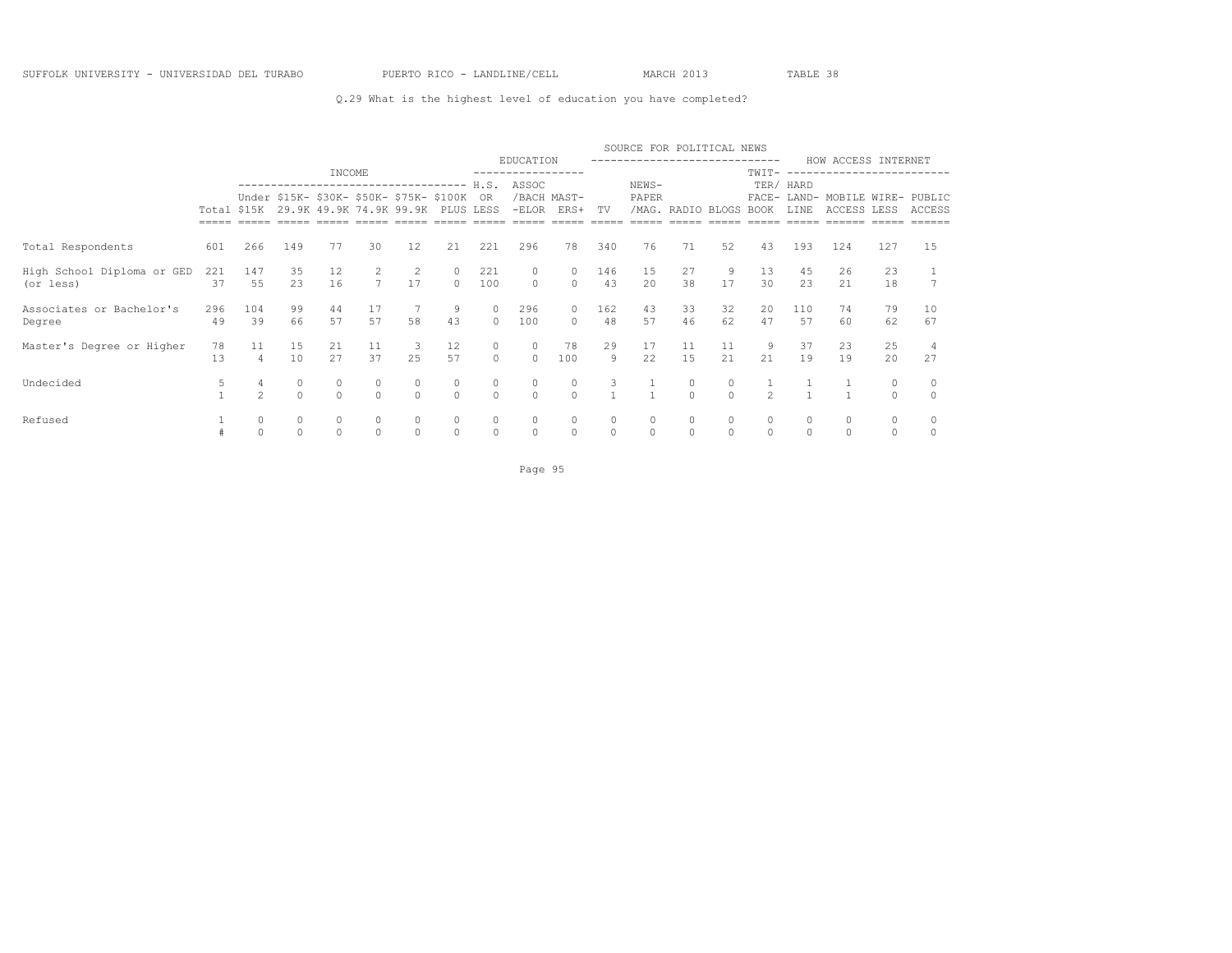### Q.29 What is the highest level of education you have completed?

|                                         |           |                      |                     |          |                  |                                                                                  |                     |                     |                     |                     |                     | SOURCE FOR POLITICAL NEWS    |                        |          |                     |           |                                         |                      |          |
|-----------------------------------------|-----------|----------------------|---------------------|----------|------------------|----------------------------------------------------------------------------------|---------------------|---------------------|---------------------|---------------------|---------------------|------------------------------|------------------------|----------|---------------------|-----------|-----------------------------------------|----------------------|----------|
|                                         |           |                      |                     | INCOME   |                  |                                                                                  |                     |                     | EDUCATION           |                     |                     | ---------------------------- |                        |          | TWIT-               |           | HOW ACCESS INTERNET<br>---------------- |                      |          |
|                                         |           |                      |                     |          |                  | ---------------------------------<br>Under \$15K- \$30K- \$50K- \$75K- \$100K OR |                     | H.S.                | ASSOC               | /BACH MAST-         |                     | NEWS-<br>PAPER               |                        |          |                     | TER/ HARD | FACE- LAND- MOBILE WIRE- PUBLIC         |                      |          |
|                                         |           |                      |                     |          |                  | Total \$15K 29.9K 49.9K 74.9K 99.9K                                              |                     | PLUS LESS           |                     | -ELOR ERS+          | TV                  |                              | /MAG. RADIO BLOGS BOOK |          |                     | LINE      | ACCESS LESS                             |                      | ACCESS   |
|                                         |           |                      |                     |          |                  |                                                                                  |                     |                     |                     |                     |                     |                              |                        |          |                     |           |                                         |                      |          |
| Total Respondents                       | 601       | 266                  | 149                 | 77       | 30               | 12                                                                               | 21                  | 221                 | 296                 | 78                  | 340                 | 76                           | 71                     | 52       | 43                  | 193       | 124                                     | 127                  | 15       |
| High School Diploma or GED<br>(or less) | 221<br>37 | 147<br>55            | 35<br>23            | 12<br>16 | 2<br>$7^{\circ}$ | 17                                                                               | $\circ$             | 221<br>100          | $\Omega$            | 0<br>$\circ$        | 146<br>43           | 15<br>20                     | 27<br>38               | 17       | 13<br>30            | 45<br>23  | 26<br>21                                | 23<br>18             |          |
| Associates or Bachelor's<br>Degree      | 296<br>49 | 104<br>39            | 99<br>66            | 44<br>57 | 17<br>57         | 58                                                                               | 9<br>43             | $\circ$<br>$\cap$   | 296<br>100          | $\circ$<br>$\Omega$ | 162<br>48           | 43<br>57                     | 33<br>46               | 32<br>62 | 20<br>47            | 110<br>57 | 74<br>60                                | 79<br>62             | 10<br>67 |
| Master's Degree or Higher               | 78<br>13  | 11<br>$\overline{4}$ | 15<br>10            | 21<br>27 | 11<br>37         | 3<br>2.5                                                                         | 12<br>57            | $\circ$<br>$\Omega$ | $\circ$<br>$\Omega$ | 78<br>100           | 29<br>9             | 17<br>22                     | 11<br>1.5              | 11<br>21 | 9<br>21             | 37<br>19  | 23<br>19                                | 25<br>20             | 27       |
| Undecided                               | 5         | $\mathfrak{D}$       | $\circ$<br>$\Omega$ |          | $\Omega$         | 0<br>$\Omega$                                                                    | 0<br>$\Omega$       | $\circ$<br>$\Omega$ | $\circ$<br>$\Omega$ | 0<br>$\Omega$       | 3                   |                              | 0<br>$\cap$            | $\circ$  | $\mathcal{P}$       |           |                                         | $\circ$<br>$\Omega$  |          |
| Refused                                 |           | 0<br>$\Omega$        | $\circ$<br>$\Omega$ | $\Omega$ |                  | $\circ$<br>$\Omega$                                                              | $\circ$<br>$\Omega$ | $\circ$<br>$\Omega$ | $\circ$<br>$\Omega$ | 0<br>$\circ$        | $\circ$<br>$\Omega$ | $\Omega$                     | 0<br>$\Omega$          | $\Omega$ | $\circ$<br>$\Omega$ |           |                                         | $\Omega$<br>$\Omega$ |          |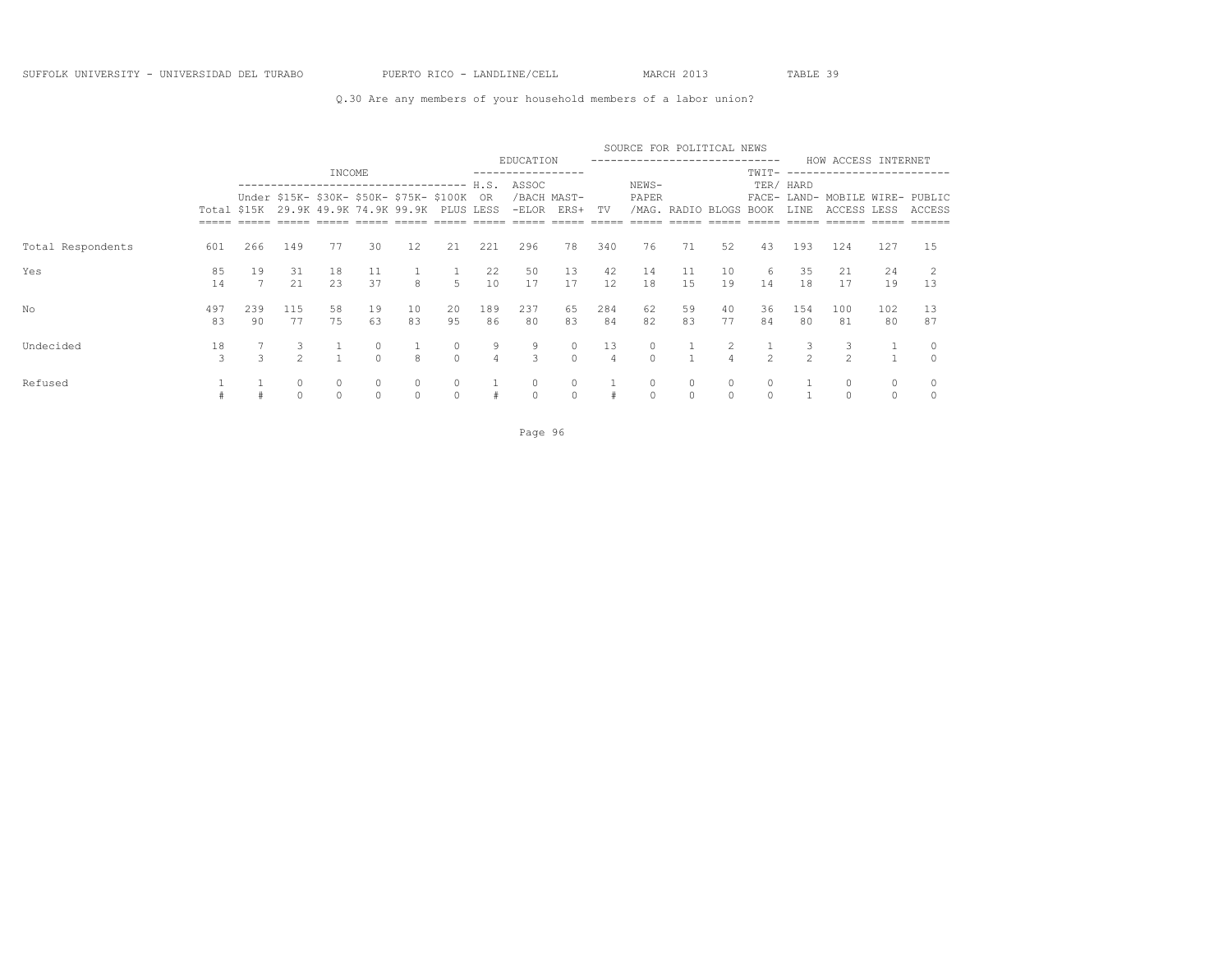### Q.30 Are any members of your household members of a labor union?

|                   |             |           |                     |          |                     |                                                                     |                     |                     |           |                           |                      | SOURCE FOR POLITICAL NEWS   |                   |          |                |                |                                                |           |          |
|-------------------|-------------|-----------|---------------------|----------|---------------------|---------------------------------------------------------------------|---------------------|---------------------|-----------|---------------------------|----------------------|-----------------------------|-------------------|----------|----------------|----------------|------------------------------------------------|-----------|----------|
|                   |             |           |                     | INCOME   |                     |                                                                     |                     |                     | EDUCATION |                           |                      | --------------------------- |                   |          | TWIT-          |                | HOW ACCESS INTERNET<br>----------              |           |          |
|                   |             |           |                     |          |                     | ---------------------------------                                   |                     | H.S.                | ASSOC     |                           |                      | NEWS-                       |                   |          |                | TER/ HARD      |                                                |           |          |
|                   | Total \$15K |           |                     |          |                     | Under \$15K- \$30K- \$50K- \$75K- \$100K<br>29.9K 49.9K 74.9K 99.9K | PLUS LESS           | OR.                 |           | /BACH MAST-<br>-ELOR ERS+ | TV                   | PAPER                       | /MAG. RADIO BLOGS |          | BOOK           | LINE           | FACE- LAND- MOBILE WIRE- PUBLIC<br>ACCESS LESS |           | ACCESS   |
|                   |             |           |                     |          |                     |                                                                     |                     |                     |           |                           |                      |                             |                   |          |                |                |                                                |           |          |
| Total Respondents | 601         | 266       | 149                 | 77       | 30                  | $12 \overline{ }$                                                   | 21                  | 221                 | 296       | 78                        | 340                  | 76                          | 71                | 52       | 43             | 193            | 124                                            | 127       | 15       |
| Yes               | 85<br>14    | 19        | 31<br>21            | 18<br>23 | 11<br>37            | 8                                                                   | 5                   | 22<br>10            | 50<br>17  | 13<br>17                  | 42<br>12             | 14<br>18                    | 11<br>1.5         | 10<br>19 | 6<br>14        | 35<br>18       | 21<br>17                                       | 24<br>19  | 13       |
| No                | 497<br>83   | 239<br>90 | 115<br>77           | 58<br>75 | 19<br>63            | 10<br>83                                                            | 20<br>95            | 189<br>86           | 237<br>80 | 65<br>83                  | 284<br>84            | 62<br>82                    | 59<br>83          | 40<br>77 | 36<br>84       | 154<br>80      | 100<br>81                                      | 102<br>80 | 13<br>87 |
| Undecided         | 18<br>3     | 3         | 3<br>$\mathfrak{D}$ |          | $\circ$<br>$\Omega$ | 8                                                                   | $\circ$<br>$\Omega$ | 9<br>$\overline{4}$ | 9<br>3    | $\circ$<br>$\Omega$       | 13<br>$\overline{4}$ |                             |                   |          | $\mathfrak{D}$ | $\mathfrak{D}$ | $\mathfrak{D}$                                 |           |          |
| Refused           |             |           | 0                   |          | $\circ$             |                                                                     |                     |                     | 0         | 0                         |                      |                             | 0                 |          |                |                | 0                                              | 0         |          |
|                   |             |           | $\Omega$            | $\Omega$ | $\cap$              | $\Omega$                                                            |                     |                     | $\Omega$  | $\Omega$                  |                      | $\Omega$                    | $\bigcap$         | $\Omega$ | $\Omega$       |                | $\Omega$                                       | $\Omega$  |          |

Page 96 and the state of the state of the state of the state of the state of the state of the state of the state of the state of the state of the state of the state of the state of the state of the state of the state of th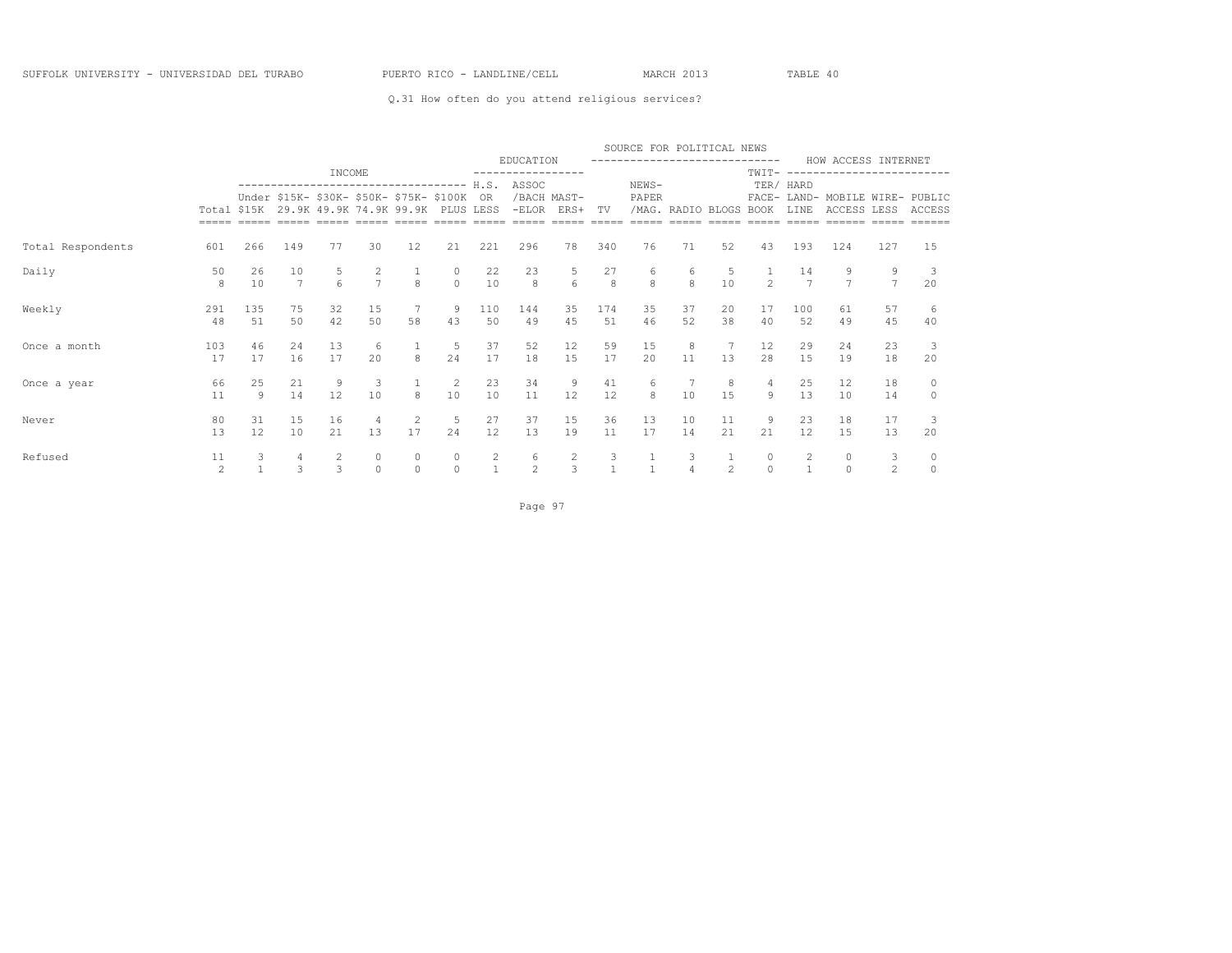### Q.31 How often do you attend religious services?

|                   |                      |                      |                   |                                 |                               |                                                                                                                                  |                      |                                |                                       |                               |                      | SOURCE FOR POLITICAL NEWS      |                        |                |                     |                   |                                                |                     |                    |
|-------------------|----------------------|----------------------|-------------------|---------------------------------|-------------------------------|----------------------------------------------------------------------------------------------------------------------------------|----------------------|--------------------------------|---------------------------------------|-------------------------------|----------------------|--------------------------------|------------------------|----------------|---------------------|-------------------|------------------------------------------------|---------------------|--------------------|
|                   |                      |                      |                   | INCOME                          |                               |                                                                                                                                  |                      |                                | EDUCATION                             |                               |                      | ------------------------------ |                        |                | TWTT-               |                   | HOW ACCESS INTERNET                            |                     |                    |
|                   |                      |                      |                   |                                 |                               | -----------------------------------<br>Under \$15K- \$30K- \$50K- \$75K- \$100K<br>Total \$15K 29.9K 49.9K 74.9K 99.9K PLUS LESS |                      | H.S.<br>0R                     | ASSOC                                 | /BACH MAST-<br>$-ELOR$ $ERS+$ | TV                   | NEWS-<br>PAPER                 | /MAG. RADIO BLOGS BOOK |                |                     | TER/ HARD<br>LINE | FACE- LAND- MOBILE WIRE- PUBLIC<br>ACCESS LESS |                     | ACCESS             |
| Total Respondents | 601                  | 266                  | 149               | 77                              | 30                            | 12                                                                                                                               | 21                   | 221                            | 296                                   | 78                            | 340                  | 76                             | 71                     | 52             | 43                  | 193               | 124                                            | 127                 | 15                 |
| Daily             | 50<br>8              | 26<br>10             | 10<br>7           | $6\overline{6}$                 | $\frac{2}{7}$                 | $\mathbf{8}$                                                                                                                     | $\circ$              | 22<br>10                       | 23<br>$\mathbf{8}$                    | $\frac{5}{6}$                 | 27<br>$\overline{8}$ | 6<br>$\mathbf{g}$              | 6<br>$\overline{8}$    | 10             | $2^{1}$             | 14                | 9<br>$\overline{7}$                            | 9<br>$\overline{7}$ | 20                 |
| Weekly            | 291<br>48            | 135<br>51            | 75<br>50          | 32<br>42                        | 15<br>50                      | $7\phantom{.0}$<br>58                                                                                                            | 9<br>43              | 110<br>50                      | 144<br>49                             | 35<br>45                      | 174<br>51            | 35<br>46                       | 37<br>52               | 20<br>38       | 17<br>40            | 100<br>52         | 61<br>49                                       | 57<br>45            | -6<br>40           |
| Once a month      | 103<br>17            | 46<br>17             | 24<br>16          | 13<br>17                        | 6<br>20                       | $\mathbf{g}$                                                                                                                     | 5<br>24              | 37<br>17                       | 52<br>18                              | 12<br>15                      | 59<br>17             | 15<br>20                       | 8<br>11                | 13             | 12<br>28            | 29<br>1.5         | 24<br>19                                       | 23<br>18            | 20                 |
| Once a year       | 66<br>11             | 25<br>$\overline{9}$ | 21<br>14          | 9<br>12                         | $\overline{\mathbf{3}}$<br>10 | 8                                                                                                                                | $\overline{2}$<br>10 | 23<br>10                       | 34<br>11                              | 9<br>12                       | 41<br>12             | 6<br>8                         | 10                     | 8<br>15        | 4<br>$\circ$        | 25<br>13          | 12<br>10                                       | 18<br>14            | $\circ$<br>$\circ$ |
| Never             | 80<br>13             | 31<br>12             | 15<br>10          | 16<br>21                        | $\overline{4}$<br>13          | 2<br>17                                                                                                                          | 5<br>24              | 27<br>12                       | 37<br>13                              | 15<br>19                      | 36<br>11             | 13<br>17                       | 10<br>14               | 11<br>21       | 9<br>2.1            | 23<br>12          | 18<br>15                                       | 17<br>13            | 20                 |
| Refused           | 11<br>$\mathfrak{D}$ |                      | 4<br>$\mathbf{z}$ | $\overline{c}$<br>$\mathcal{L}$ | $\circ$<br>$\cap$             | 0<br>$\Omega$                                                                                                                    | $\Omega$             | $\overline{c}$<br>$\mathbf{1}$ | $\begin{array}{c} 6 \\ 2 \end{array}$ | $\frac{2}{3}$                 | $\frac{3}{1}$        |                                | 3                      | $\mathfrak{D}$ | $\circ$<br>$\Omega$ | $\frac{2}{1}$     | $\circ$<br>$\Omega$                            | 3<br>$\mathfrak{D}$ | 0                  |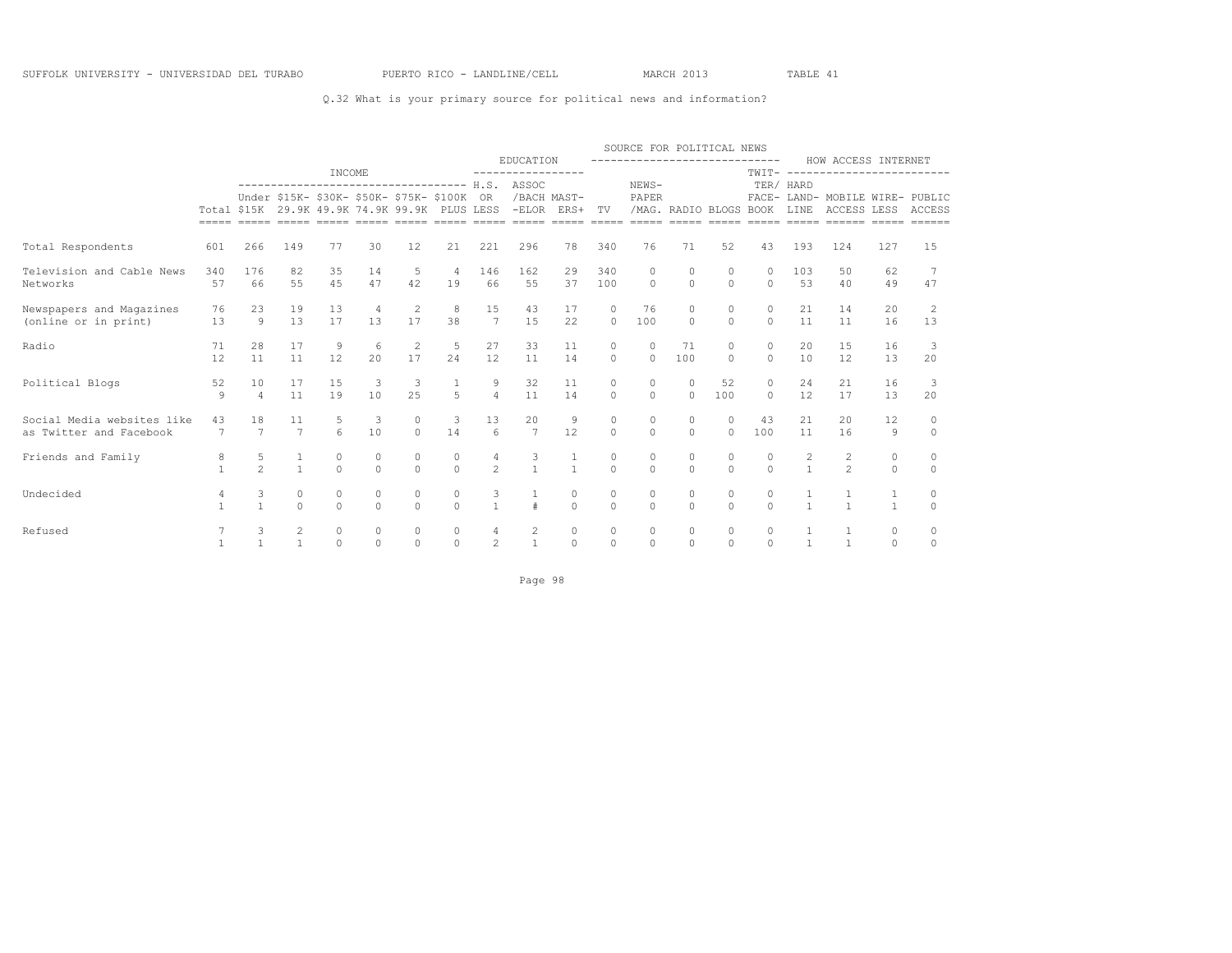### Q.32 What is your primary source for political news and information?

|                                                       |                      |                      |                                  |                       |                     |                                             |                                |                                  |                                                             |                                  |                          | SOURCE FOR POLITICAL NEWS     |                        |                      |                      |                                       |                                                        |                     |                     |
|-------------------------------------------------------|----------------------|----------------------|----------------------------------|-----------------------|---------------------|---------------------------------------------|--------------------------------|----------------------------------|-------------------------------------------------------------|----------------------------------|--------------------------|-------------------------------|------------------------|----------------------|----------------------|---------------------------------------|--------------------------------------------------------|---------------------|---------------------|
|                                                       |                      |                      |                                  | INCOME                |                     |                                             |                                |                                  | EDUCATION<br>-----------------                              |                                  |                          | ----------------------------- |                        |                      |                      |                                       | HOW ACCESS INTERNET<br>TWTT- ------------------------- |                     |                     |
|                                                       |                      |                      |                                  |                       |                     | Under \$15K- \$30K- \$50K- \$75K- \$100K OR |                                |                                  | Total \$15K 29.9K 49.9K 74.9K 99.9K PLUS LESS -ELOR ERS+ TV | /BACH MAST-                      |                          | NEWS-<br>PAPER                | /MAG. RADIO BLOGS BOOK |                      |                      | TER/ HARD<br>LINE                     | FACE- LAND- MOBILE WIRE- PUBLIC<br>ACCESS LESS ACCESS  |                     |                     |
| Total Respondents<br>601                              |                      | 266                  | 149                              | 77                    | 30                  | 12                                          | 21                             | 221                              | 296                                                         | 78                               | 340                      | 76                            | 71                     | 52                   | 43                   | 193                                   | 124                                                    | 127                 | 15                  |
| Television and Cable News<br>Networks                 | 340<br>57            | 176<br>66            | 82<br>55                         | 35<br>45              | 14<br>47            | 5<br>42                                     | $\overline{4}$<br>19           | 146<br>66                        | 162<br>55                                                   | 29<br>37                         | 340<br>100               | $\Omega$<br>$\circ$           | $\Omega$<br>$\circ$    | $\circ$<br>$\circ$   | $\Omega$<br>$\circ$  | 103<br>53                             | .50<br>40                                              | 62<br>49            | -7<br>47            |
| Newspapers and Magazines<br>(online or in print)      | 76<br>13             | 23<br>9              | 19<br>13                         | 13<br>17              | 13                  | 2<br>17                                     | 8<br>38                        | 15<br>7                          | 43<br>1.5                                                   | 17<br>22                         | $\Omega$                 | 76<br>100                     | $\Omega$<br>$\Omega$   | $\Omega$<br>$\Omega$ | $\Omega$             | 21<br>11                              | 14<br>11                                               | 20<br>16            | 2<br>13             |
| Radio                                                 | 71<br>12             | 2.8<br>11            | 17<br>11                         | 9<br>12               | 6<br>20             | 2<br>17                                     | 5<br>24                        | 27<br>12                         | 33<br>11                                                    | 11<br>14                         | $\Omega$<br>$\Omega$     | $\Omega$<br>$\Omega$          | 71<br>100              | $\Omega$<br>$\Omega$ | $\Omega$<br>$\Omega$ | 20<br>10                              | 15<br>12                                               | 16<br>13            | -3<br>20            |
| Political Blogs                                       | 52<br>9              | 10<br>$\overline{4}$ | 17<br>11                         | 15<br>19              | 3<br>10             | 3<br>25                                     | $\mathbf{1}$<br>$\overline{5}$ | 9<br>$\overline{4}$              | 32<br>11                                                    | 11<br>14                         | 0<br>$\Omega$            | $\circ$<br>$\Omega$           | $\circ$<br>$\Omega$    | 52<br>100            | 0<br>$\Omega$        | 24<br>12                              | 21<br>17                                               | 16<br>13            | 3<br>20             |
| Social Media websites like<br>as Twitter and Facebook | 43<br>$\overline{7}$ | 18<br>$\overline{7}$ | 11<br>$\overline{7}$             | 5<br>$6 \overline{6}$ | 3<br>10             | $\circ$<br>$\Omega$                         | 3<br>14                        | 13<br>$6 \overline{6}$           | 20<br>$\overline{7}$                                        | 9<br>12                          | $\circ$<br>$\Omega$      | $\circ$<br>$\Omega$           | $\Omega$<br>$\Omega$   | $\Omega$<br>$\Omega$ | 43<br>100            | 21<br>11                              | 20<br>16                                               | 12<br>9             | 0<br>$\Omega$       |
| Friends and Family                                    | 8                    | 5<br>$\mathfrak{D}$  | $\mathbf{1}$<br>$\mathbf{1}$     | $\circ$<br>$\Omega$   | 0<br>$\Omega$       | 0<br>$\Omega$                               | $\circ$<br>$\Omega$            | $\overline{4}$<br>$\overline{2}$ | $\frac{3}{1}$                                               | $\mathbf{1}$                     | 0<br>$\Omega$            | $\circ$<br>$\Omega$           | 0<br>$\Omega$          | 0<br>$\Omega$        | 0<br>$\Omega$        | $\begin{array}{c} 2 \\ 1 \end{array}$ | 2<br>$\mathfrak{D}$                                    | 0<br>$\Omega$       | $\circ$<br>$\Omega$ |
| Undecided                                             | 4<br>$\mathbf{1}$    | 3<br>$\mathbf{1}$    | $\circ$<br>$\Omega$              | $\circ$<br>$\Omega$   | $\circ$<br>$\Omega$ | 0<br>$\Omega$                               | $\circ$<br>$\Omega$            | 3<br>$\overline{1}$              | $\frac{1}{4}$                                               | $\begin{matrix}0\\0\end{matrix}$ | $\mathbf{0}$<br>$\Omega$ | $\circ$<br>$\Omega$           | $\circ$<br>$\cap$      | $\circ$<br>$\cap$    | $\circ$<br>$\Omega$  | $\mathbf{1}$                          | -1<br>$\overline{1}$                                   | 1<br>$\mathbf{1}$   | $\circ$<br>$\Omega$ |
| Refused                                               |                      | 3                    | $\overline{c}$<br>$\overline{1}$ | $\circ$<br>$\Omega$   | $\circ$<br>$\Omega$ | 0<br>$\Omega$                               | $\circ$<br>$\Omega$            | $\overline{4}$<br>$\mathfrak{D}$ | $\overline{c}$<br>$\mathbf{1}$                              | $\circ$<br>$\Omega$              | 0<br>$\Omega$            | $\circ$<br>$\Omega$           | $\circ$<br>$\Omega$    | $\circ$<br>$\Omega$  | 0<br>$\Omega$        | $\mathbf{1}$                          | 1<br>$\overline{1}$                                    | $\circ$<br>$\Omega$ | 0<br>$\Omega$       |

Page 98 and the state of the state of the state of the state of the state of the state of the state of the state of the state of the state of the state of the state of the state of the state of the state of the state of th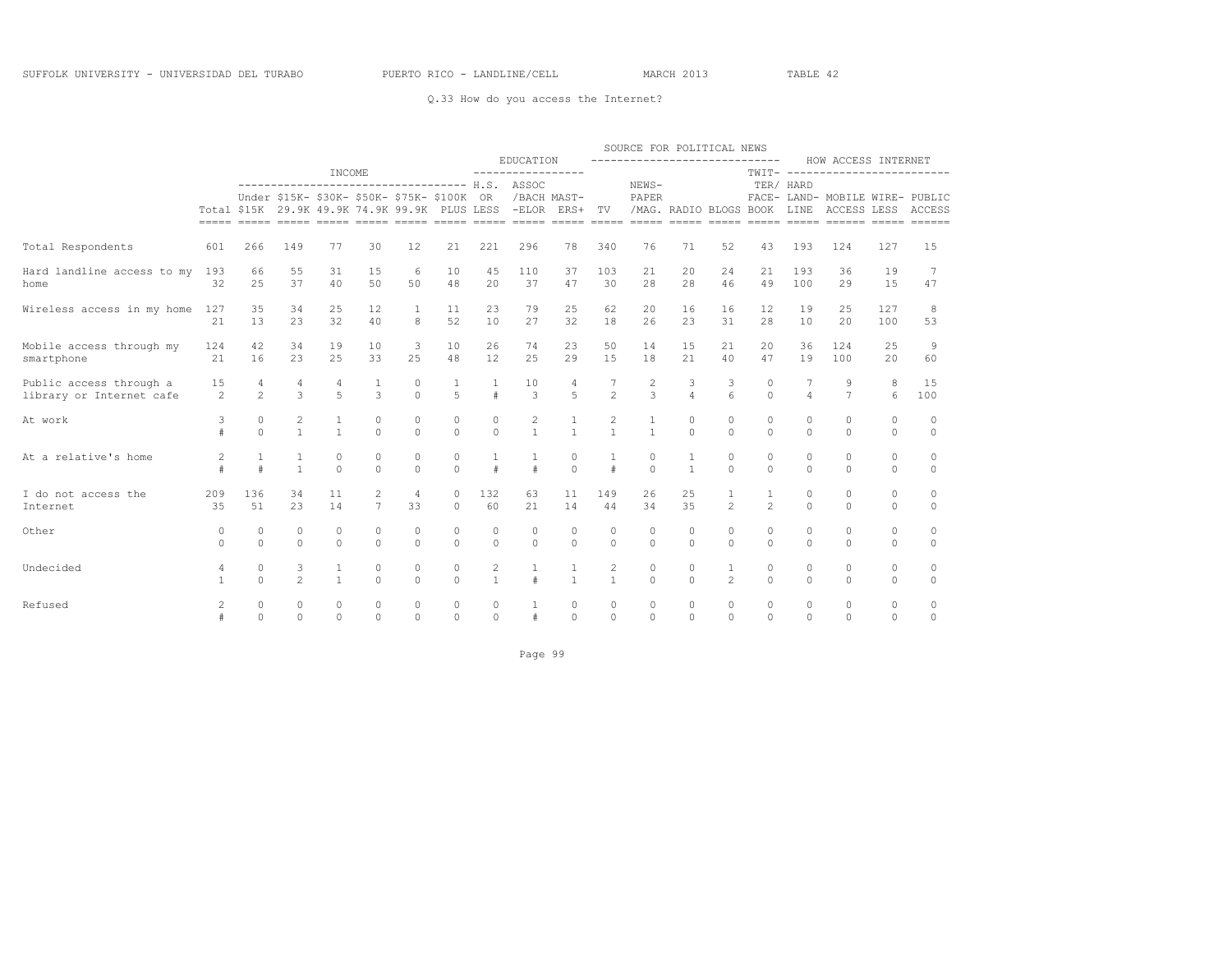### Q.33 How do you access the Internet?

|                            |              |                |                |                |                |                                                                                              |                |              |                            |                |                |               | SOURCE FOR POLITICAL NEWS |                |                |                |                                                       |          |          |
|----------------------------|--------------|----------------|----------------|----------------|----------------|----------------------------------------------------------------------------------------------|----------------|--------------|----------------------------|----------------|----------------|---------------|---------------------------|----------------|----------------|----------------|-------------------------------------------------------|----------|----------|
|                            |              |                |                |                |                |                                                                                              |                |              | EDUCATION                  |                |                |               | ------------------------  |                |                |                | HOW ACCESS INTERNET                                   |          |          |
|                            |              |                |                | INCOME         |                | ------------------------------------ H.S.                                                    |                |              | -----------------<br>ASSOC |                |                | NEWS-         |                           |                | $TWIT----$     | TER/ HARD      |                                                       |          |          |
|                            |              |                |                |                |                | Under \$15K- \$30K- \$50K- \$75K- \$100K OR<br>Total \$15K 29.9K 49.9K 74.9K 99.9K PLUS LESS |                |              | /BACH MAST-                | -ELOR ERS+ TV  |                | PAPER         | /MAG. RADIO BLOGS BOOK    |                |                | LINE           | FACE- LAND- MOBILE WIRE- PUBLIC<br>ACCESS LESS ACCESS |          |          |
|                            |              |                |                |                |                |                                                                                              |                |              |                            |                |                |               |                           |                |                |                |                                                       |          |          |
| Total Respondents          | 601          | 266            | 149            | 77             | 30             | 12                                                                                           | 21             | 221          | 296                        | 78             | 340            | 76            | 71                        | 52             | 43             | 193            | 124                                                   | 127      | 15       |
| Hard landline access to my | 193          | 66             | 55             | 31             | 15             | 6                                                                                            | 10             | 45           | 110                        | 37             | 103            | 21            | 20                        | 24             | 21             | 193            | 36                                                    | 19       | 7        |
| home                       | 32           | 25             | 37             | 40             | 50             | 50                                                                                           | 48             | 20           | 37                         | 47             | 30             | 28            | 28                        | 46             | 49             | 100            | 29                                                    | 15       | 47       |
| Wireless access in my home | 127          | 35             | 34             | 25             | 12             | $\mathbf{1}$                                                                                 | 11             | 23           | 79                         | 2.5            | 62             | 20            | 16                        | 16             | 12             | 19             | 2.5                                                   | 127      | 8        |
|                            | 21           | 13             | 23             | 32             | 40             | 8                                                                                            | 52             | 10           | 27                         | 32             | 18             | 26            | 23                        | 31             | 28             | 10             | 20                                                    | 100      | 53       |
| Mobile access through my   | 124          | 42             | 34             | 19             | 10             | 3                                                                                            | 10             | 26           | 74                         | 23             | 50             | 14            | 15                        | 21             | 20             | 36             | 124                                                   | 25       | 9        |
| smartphone                 | 21           | 16             | 2.3            | 25             | 33             | 25                                                                                           | 48             | 12           | 25                         | 29             | 15             | 18            | 2.1                       | 40             | 47             | 19             | 100                                                   | 20       | 60       |
| Public access through a    | 15           | 4              | $\overline{4}$ | 4              | 1              | 0                                                                                            | 1              | 1            | 10                         | 4              |                | 2             | 3                         | 3              | $\circ$        |                | 9                                                     | 8        | 15       |
| library or Internet cafe   | 2            | $\overline{2}$ | $\mathcal{E}$  | 5              | $\overline{3}$ | $\Omega$                                                                                     | $\overline{5}$ | $\#$         | 3                          | $\overline{5}$ | $\overline{2}$ | $\mathcal{L}$ | $\overline{4}$            | 6              | $\Omega$       | $\overline{4}$ | $\overline{7}$                                        | 6        | 100      |
| At work                    | 3            | $\circ$        | $\sqrt{2}$     | $\mathbf{1}$   | $\circ$        | 0                                                                                            | $\circ$        | $\circ$      | $\overline{c}$             | $\mathbf{1}$   | $\overline{c}$ | $\mathbf{1}$  | $\circ$                   | $\circ$        | $\circ$        | $\circ$        | $\circ$                                               | $\circ$  | $\circ$  |
|                            | $\pm$        | $\Omega$       | $\mathbf{1}$   | $\overline{1}$ | $\Omega$       | $\Omega$                                                                                     | $\Omega$       | $\Omega$     | $\mathbf{1}$               | $\mathbf{1}$   | $\mathbf{1}$   | $\mathbf{1}$  | $\cap$                    | $\Omega$       | $\Omega$       | $\Omega$       | $\Omega$                                              | $\Omega$ | $\Omega$ |
| At a relative's home       | $\mathbf{2}$ | $\mathbf{1}$   | 1              | $\circ$        | 0              | 0                                                                                            | $\circ$        | $\mathbf{1}$ | 1                          | $\circ$        |                | 0             |                           | $\circ$        | $\circ$        | $\circ$        | $\circ$                                               | 0        | $\circ$  |
|                            | #            | $\#$           | $\mathbf{1}$   | $\Omega$       | $\Omega$       | $\Omega$                                                                                     | $\Omega$       | $\#$         | $\#$                       | $\Omega$       | $\ddagger$     | $\Omega$      | $\mathbf{1}$              | $\Omega$       | $\Omega$       | $\Omega$       | $\Omega$                                              | $\Omega$ | $\circ$  |
| I do not access the        | 209          | 136            | 34             | 11             | 2              | $\overline{4}$                                                                               | $\circ$        | 132          | 63                         | 11             | 149            | 26            | 25                        |                | 1              | $\circ$        | $\circ$                                               | $\circ$  | $\circ$  |
| Internet                   | 35           | 51             | 23             | 14             | 7              | 33                                                                                           | $\Omega$       | 60           | 21                         | 14             | 44             | 34            | 35                        | $\mathfrak{D}$ | $\overline{2}$ | $\Omega$       | $\Omega$                                              | $\Omega$ | $\circ$  |
| Other                      | 0            | $\mathbf{0}$   | $\circ$        | $\circ$        | 0              | 0                                                                                            | $\mathbf{0}$   | $\circ$      | $\circ$                    | $\circ$        | 0              | 0             | 0                         | $\circ$        | $\circ$        | $\circ$        | $\mathbf{0}$                                          | 0        | 0        |
|                            | $\Omega$     | $\Omega$       | $\Omega$       | $\Omega$       | $\Omega$       | $\Omega$                                                                                     | $\Omega$       | $\circ$      | $\Omega$                   | $\Omega$       | $\Omega$       | $\Omega$      | $\Omega$                  | $\Omega$       | $\Omega$       | $\Omega$       | $\Omega$                                              | $\Omega$ | $\circ$  |
| Undecided                  | 4            | $\circ$        | 3              | 1              | $\circ$        | 0                                                                                            | $\circ$        | $\mathbf{2}$ | 1                          | 1              | $\overline{c}$ | $\circ$       | $\circ$                   | 1              | $\circ$        | $\circ$        | $\circ$                                               | 0        | 0        |
|                            | $\mathbf{1}$ | $\Omega$       | $\mathfrak{D}$ | $\overline{1}$ | $\Omega$       | $\Omega$                                                                                     | $\Omega$       | $\mathbf{1}$ | $\#$                       | $\mathbf{1}$   | $\mathbf{1}$   | $\Omega$      | $\Omega$                  | $\mathfrak{D}$ | $\Omega$       | $\Omega$       | $\Omega$                                              | $\Omega$ | $\circ$  |
| Refused                    | $\mathbf{2}$ | 0              | $\circ$        | $\circ$        | $\circ$        | $\circ$                                                                                      | $\circ$        | $\circ$      | 1                          | $\circ$        | $\circ$        | $\circ$       | $\circ$                   | $\circ$        | $\circ$        | $\circ$        | $\circ$                                               | $\circ$  | $\circ$  |
|                            |              | $\Omega$       | $\mathbf 0$    | $\Omega$       | $\Omega$       | $\Omega$                                                                                     | $\circ$        | $\circ$      | $\#$                       | $\Omega$       | $\Omega$       | $\Omega$      | $\Omega$                  | $\Omega$       | $\Omega$       | $\Omega$       | $\Omega$                                              | $\circ$  | 0        |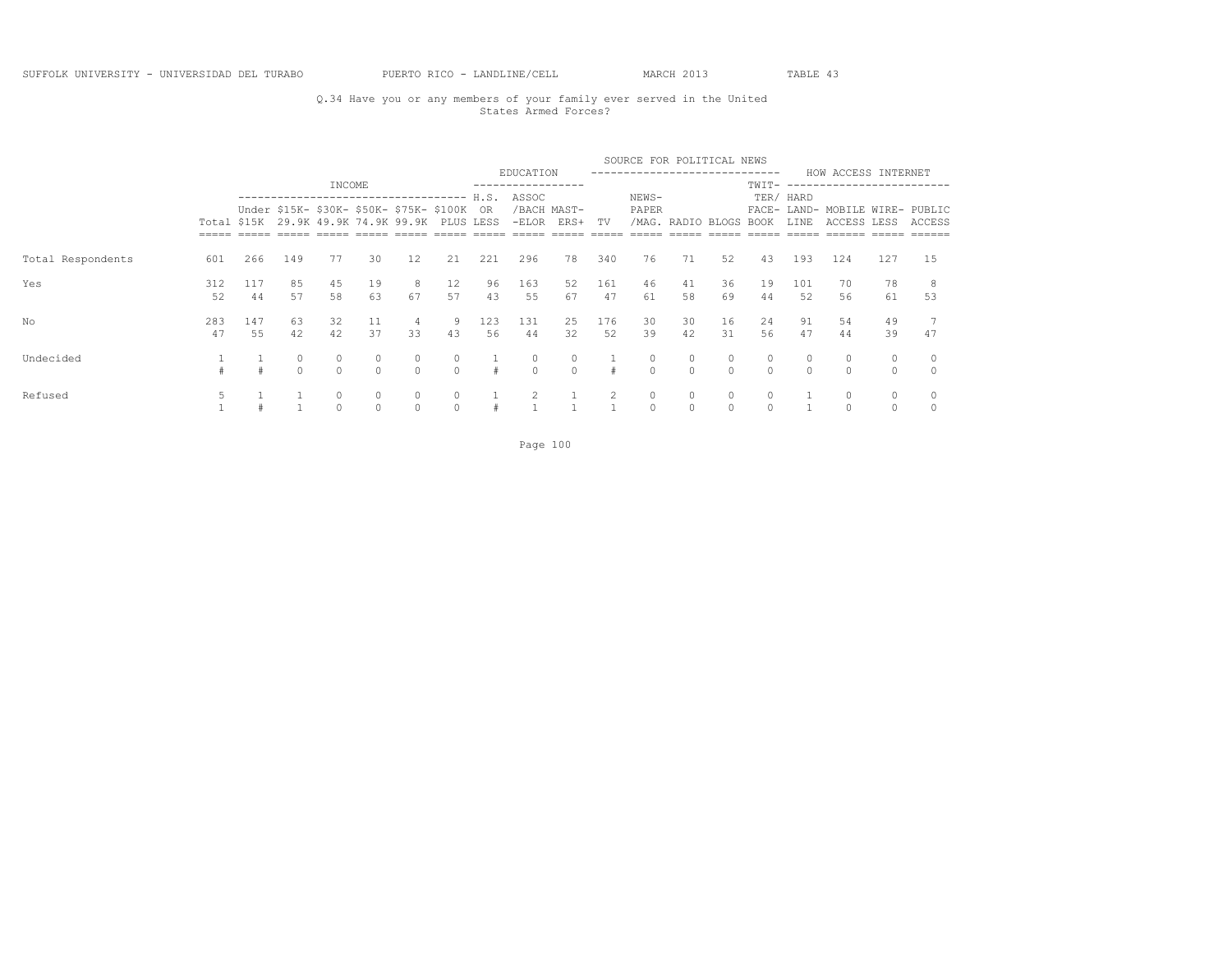### Q.34 Have you or any members of your family ever served in the United States Armed Forces?

|                   |             |           |              |               |                     |                                                                                                             |                     |                          |                  |                     |           | SOURCE FOR POLITICAL NEWS |                        |                     |                  |                     |                                                |                    |               |
|-------------------|-------------|-----------|--------------|---------------|---------------------|-------------------------------------------------------------------------------------------------------------|---------------------|--------------------------|------------------|---------------------|-----------|---------------------------|------------------------|---------------------|------------------|---------------------|------------------------------------------------|--------------------|---------------|
|                   |             |           |              | INCOME        |                     |                                                                                                             |                     |                          | EDUCATION        |                     |           |                           |                        |                     | -------<br>TWIT- |                     | HOW ACCESS INTERNET<br>---------------------   |                    |               |
|                   | Total \$15K |           |              |               |                     | ------------------------------------<br>Under \$15K- \$30K- \$50K- \$75K- \$100K<br>29.9K 49.9K 74.9K 99.9K |                     | H.S.<br>OR.<br>PLUS LESS | ASSOC<br>$-ELOR$ | /BACH MAST-<br>ERS+ | TV        | NEWS-<br>PAPER            | /MAG. RADIO BLOGS BOOK |                     |                  | TER/ HARD<br>LINE   | FACE- LAND- MOBILE WIRE- PUBLIC<br>ACCESS LESS |                    | ACCESS        |
| Total Respondents | 601         | 266       | 149          | 77            | 30                  | 12                                                                                                          | 21                  | 221                      | 296              | 78                  | 340       | 76                        | 71                     | 52                  | 43               | 193                 | 124                                            | 127                | 15            |
| Yes               | 312<br>52   | 117<br>44 | 85<br>57     | 45<br>58      | 19<br>63            | 8<br>67                                                                                                     | 12<br>57            | 96<br>43                 | 163<br>55        | 52<br>67            | 161<br>47 | 46<br>61                  | 41<br>58               | 36<br>69            | 19<br>44         | 101<br>52           | 70<br>56                                       | 78<br>61           | 53            |
| No                | 283<br>47   | 147<br>55 | 63<br>42     | 32<br>42      | 11<br>37            | 4<br>33                                                                                                     | 9<br>43             | 123<br>56                | 131<br>44        | 25<br>32            | 176<br>52 | 30<br>39                  | 30<br>42               | 16<br>31            | 24<br>56         | 91<br>47            | 54<br>44                                       | 49<br>39           | 47            |
| Undecided         |             |           | 0<br>$\circ$ | 0<br>$\Omega$ | $\circ$<br>$\Omega$ | 0<br>$\circ$                                                                                                | $\circ$<br>$\Omega$ | #                        | 0<br>$\circ$     | $\circ$<br>$\circ$  |           | $\circ$<br>$\cap$         | $\Omega$               | $\circ$<br>$\cap$   | 0<br>$\circ$     | $\circ$<br>$\Omega$ | 0<br>$\Omega$                                  | $\circ$<br>$\circ$ | 0<br>$\Omega$ |
| Refused           |             |           |              | 0             | $\circ$             | 0<br>$\Omega$                                                                                               | 0                   |                          |                  |                     |           | $\circ$                   | 0<br>$\Omega$          | $\circ$<br>$\Omega$ | 0<br>$\Omega$    |                     | 0                                              | 0<br>$\Omega$      |               |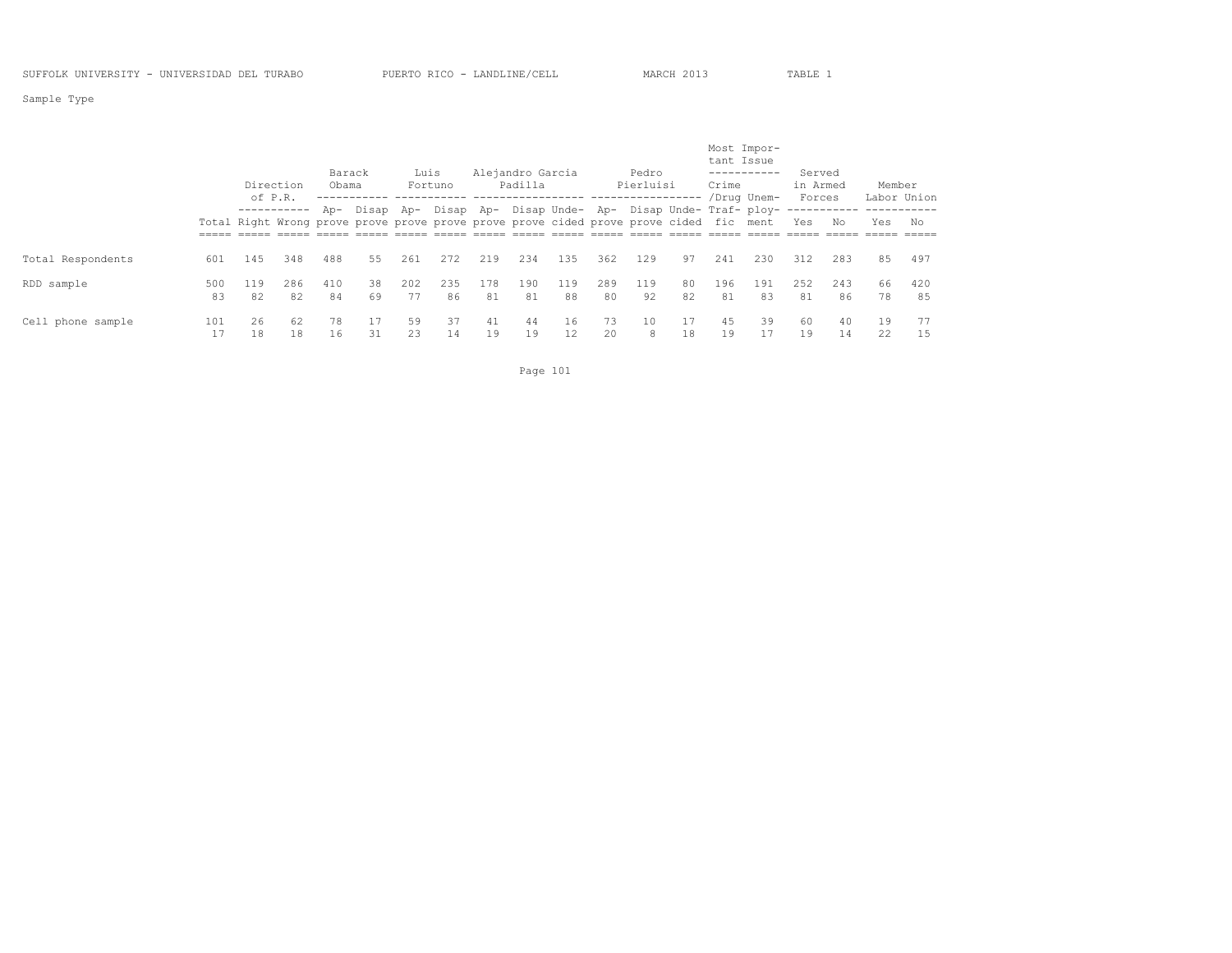Sample Type

|                   |           | of P.R.   | Direction | Barack<br>Obama |          | Luis      | Fortuno                                                                                                                                                   |           | Alejandro Garcia<br>Padilla |           |           | Pedro<br>Pierluisi |          | Most Impor-<br>tant Issue<br>Crime | -----------<br>/Drug Unem- | Served<br>in Armed<br>Forces |           | Member<br>Labor Union |           |
|-------------------|-----------|-----------|-----------|-----------------|----------|-----------|-----------------------------------------------------------------------------------------------------------------------------------------------------------|-----------|-----------------------------|-----------|-----------|--------------------|----------|------------------------------------|----------------------------|------------------------------|-----------|-----------------------|-----------|
|                   |           |           |           |                 |          |           | Ap- Disap Ap- Disap Ap- Disap Unde- Ap- Disap Unde- Traf- ploy-<br>Total Right Wrong prove prove prove prove prove prove cided prove prove cided fic ment |           |                             |           |           |                    |          |                                    |                            | Yes                          | No        | Yes                   | No        |
| Total Respondents | 601       | 145       | 348       | 488             | 55       | 261       | 272                                                                                                                                                       | 219       | 234                         | 135       | 362       | 129                | 97       | 241                                | 230                        | 312                          | 283       | 85                    | 497       |
| RDD sample        | 500<br>83 | 119<br>82 | 286<br>82 | 410<br>84       | 38<br>69 | 202<br>77 | 235<br>86                                                                                                                                                 | 178<br>81 | 190<br>81                   | 119<br>88 | 289<br>80 | 119<br>92          | 80<br>82 | 196<br>81                          | 191<br>83                  | 2.52<br>81                   | 243<br>86 | 66<br>78              | 420<br>85 |
| Cell phone sample | 101       | 26<br>18  | 62<br>18  | 78<br>16        | 31       | 59<br>23  | 37<br>14                                                                                                                                                  | 41<br>19  | 44<br>19                    | 16<br>12  | 73<br>20  | 10<br>8            | 17<br>18 | 4.5<br>19                          | 39                         | 60<br>19                     | 40<br>14  | 19<br>22              | 77<br>15  |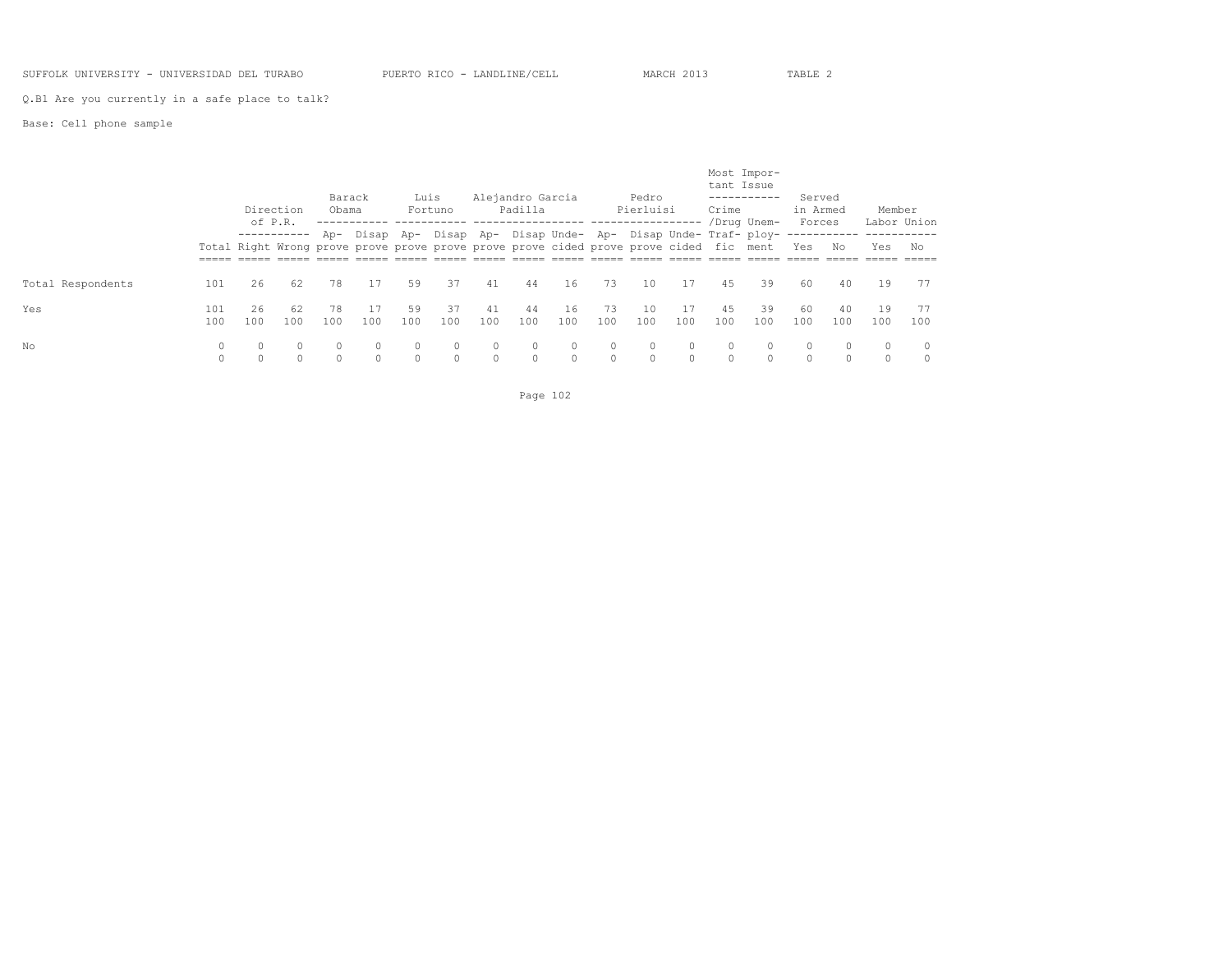### SUFFOLK UNIVERSITY - UNIVERSIDAD DEL TURABO PUERTO RICO - LANDLINE/CELL MARCH 2013 TABLE 2

Q.B1 Are you currently in a safe place to talk?

### Base: Cell phone sample

|                   |            | of P.R.     | Direction | Barack<br>Obama |                                                                                                                                                       | Luis         | Fortuno   |                    | Alejandro Garcia<br>Padilla |           |                    | Pedro<br>Pierluisi |                    | tant Issue<br>Crime | Most Impor-<br>-----------<br>/Drug Unem- | Served<br>in Armed<br>Forces |           | Member    | Labor Union   |
|-------------------|------------|-------------|-----------|-----------------|-------------------------------------------------------------------------------------------------------------------------------------------------------|--------------|-----------|--------------------|-----------------------------|-----------|--------------------|--------------------|--------------------|---------------------|-------------------------------------------|------------------------------|-----------|-----------|---------------|
|                   |            | ----------- |           | Ap-             | Disap Ap- Disap Ap- Disap Unde- Ap- Disap Unde- Traf- ploy-<br>Total Right Wrong prove prove prove prove prove prove cided prove prove cided fic ment |              |           |                    |                             |           |                    |                    |                    |                     |                                           | Yes                          | No        | Yes       | No            |
| Total Respondents | 101        | 26          | 62        | 78              | 17                                                                                                                                                    | 59           | 37        | 41                 | 44                          | 16        | 73                 | 10                 | 17                 | 45                  | 39                                        | 60                           | 40        | 19        | 77            |
| Yes               | 101<br>100 | 26<br>100   | 62<br>100 | 78<br>100       | 100                                                                                                                                                   | 59<br>100    | 37<br>100 | 41<br>100          | 44<br>100                   | 16<br>100 | 73<br>100          | 10<br>100          | 17<br>100          | 4.5<br>100          | 39<br>100                                 | 60<br>100                    | 40<br>100 | 19<br>100 | 77<br>100     |
| No                | 0          |             |           |                 | $\Omega$                                                                                                                                              | 0<br>$\circ$ | 0         | $\circ$<br>$\circ$ |                             | $\circ$   | $\circ$<br>$\circ$ | 0                  | $\circ$<br>$\circ$ |                     |                                           | $\circ$<br>$\Omega$          | $\Omega$  | $\circ$   | $\Omega$<br>0 |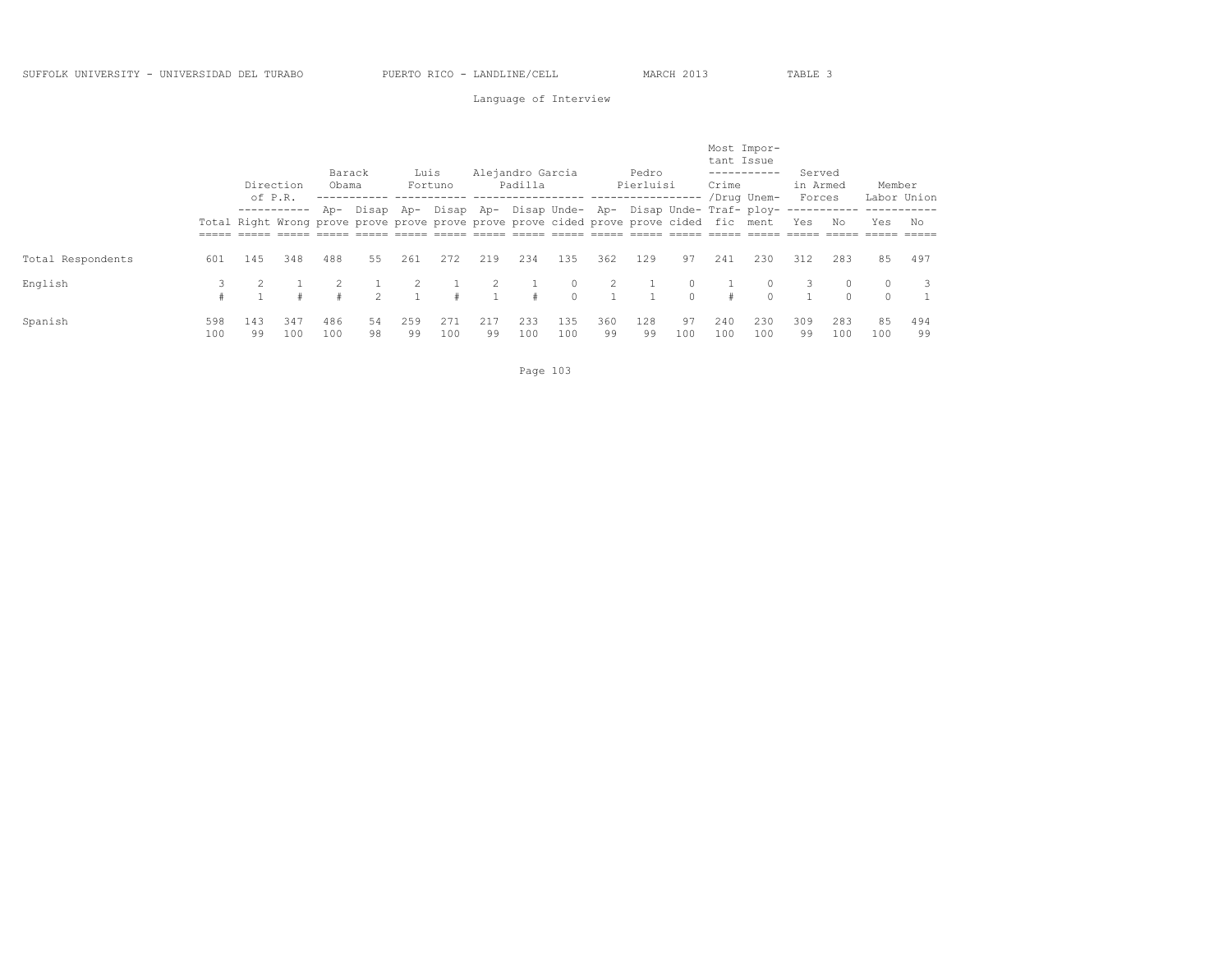### Language of Interview

|                   |            | of P.R.   | Direction   | Barack<br>Obama |                | Luis      | Fortuno                                                                                                                                               |           | Alejandro Garcia<br>Padilla |            |           | Pedro<br>Pierluisi |                      | Most Impor-<br>tant Issue<br>Crime | /Drug Unem- | Served<br>in Armed<br>Forces |             | Member              | Labor Union |
|-------------------|------------|-----------|-------------|-----------------|----------------|-----------|-------------------------------------------------------------------------------------------------------------------------------------------------------|-----------|-----------------------------|------------|-----------|--------------------|----------------------|------------------------------------|-------------|------------------------------|-------------|---------------------|-------------|
|                   |            |           | ----------- | A <sub>D</sub>  |                |           | Disap Ap- Disap Ap- Disap Unde- Ap- Disap Unde- Traf- ploy-<br>Total Right Wrong prove prove prove prove prove prove cided prove prove cided fic ment |           |                             |            |           |                    |                      |                                    |             | Yes                          | No          | Yes                 | No          |
| Total Respondents | 601        | 145       | 348         | 488             | 55             | 261       | 272                                                                                                                                                   | 219       | 234                         | 135        | 362       | 129                | 97                   | 241                                | 230         | 312                          | 283         | 85                  | 497         |
| English           |            |           |             |                 | $\mathfrak{D}$ |           |                                                                                                                                                       |           | $\pm$                       | $\Omega$   |           |                    | $\circ$<br>$\bigcap$ | #                                  |             | 3                            | 0<br>$\cap$ | $\circ$<br>$\Omega$ | -3          |
| Spanish           | 598<br>100 | 143<br>99 | 347<br>100  | 486<br>100      | 54<br>98       | 259<br>99 | 271<br>100                                                                                                                                            | 217<br>99 | 233<br>100                  | 135<br>100 | 360<br>99 | 128<br>99          | 97<br>100            | 240<br>100                         | 230<br>100  | 309<br>99                    | 283<br>100  | 85<br>100           | 494<br>99   |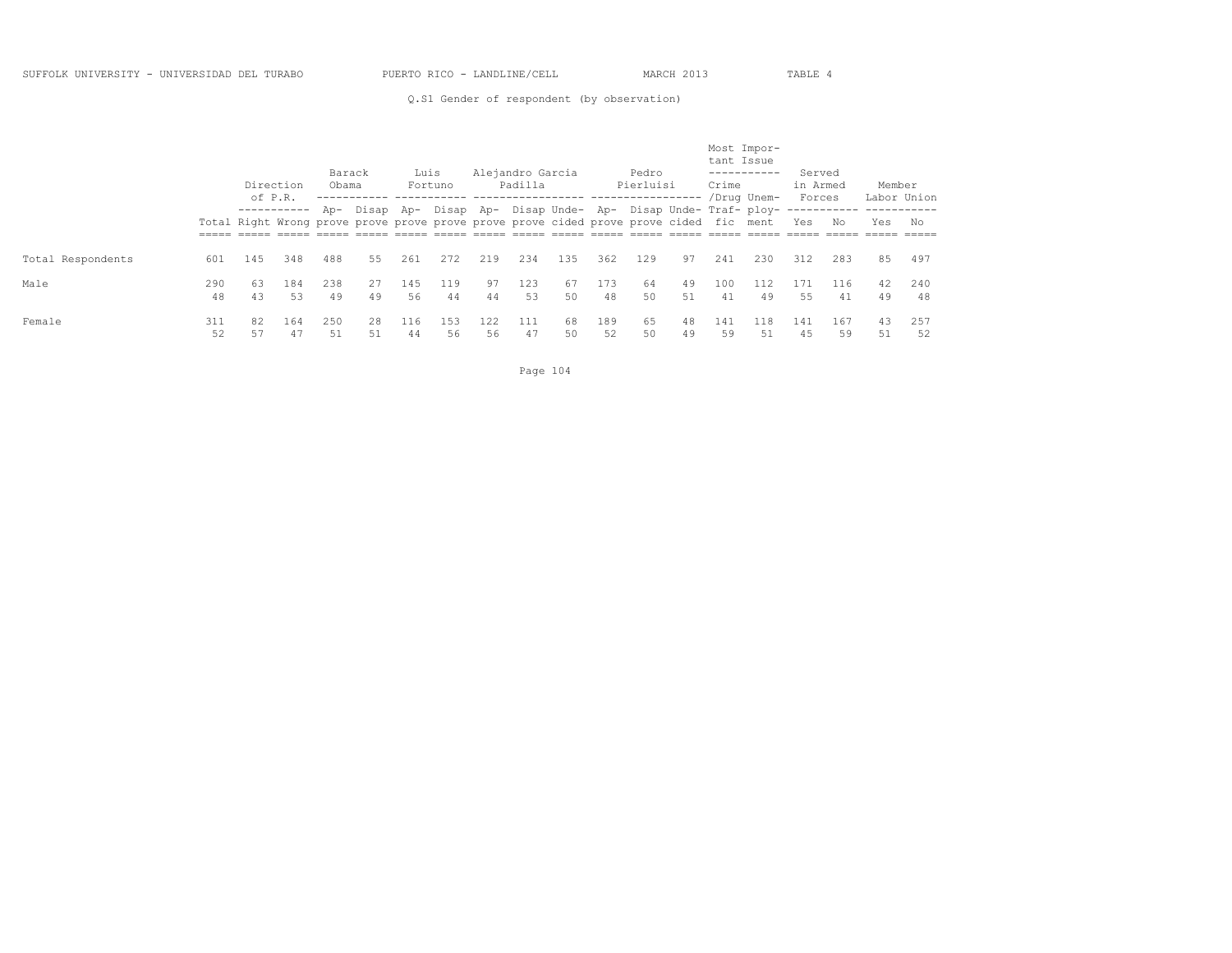Q.S1 Gender of respondent (by observation)

|                   |           | Direction<br>of P.R. |             | Barack<br>Obama |                                                                                                         | Luis      | Fortuno    |           | Alejandro Garcia<br>Padilla                       |          |           | Pedro<br>Pierluisi |          | Most Impor-<br>tant Issue<br>Crime | -----------<br>/Drug Unem- | Served<br>in Armed<br>Forces |           | Member   | Labor Union |
|-------------------|-----------|----------------------|-------------|-----------------|---------------------------------------------------------------------------------------------------------|-----------|------------|-----------|---------------------------------------------------|----------|-----------|--------------------|----------|------------------------------------|----------------------------|------------------------------|-----------|----------|-------------|
|                   |           |                      | ----------- |                 | Ap- Disap Ap-<br>Total Right Wrong prove prove prove prove prove prove cided prove prove cided fic ment |           |            |           | Disap Ap- Disap Unde- Ap- Disap Unde- Traf- ploy- |          |           |                    |          |                                    |                            | Yes                          | No        | Yes      | No          |
| Total Respondents | 601       | 145                  | 348         | 488             | 55                                                                                                      | 261       | 2.72       | 219       | 234                                               | 135      | 362       | 129                | 97       | 241                                | 230                        | 312                          | 283       | 85       | 497         |
| Male              | 290<br>48 | 63<br>43             | 184<br>53   | 238<br>49       | 27<br>49                                                                                                | 145<br>56 | 119<br>44  | 97<br>44  | 123<br>53                                         | 67<br>50 | 173<br>48 | 64<br>50           | 49<br>51 | 100<br>41                          | 112<br>49                  | 171<br>55                    | 116<br>41 | 42<br>49 | 240<br>48   |
| Female            | 311<br>52 | 82<br>57             | 164<br>47   | 250<br>51       | 28<br>51                                                                                                | 116<br>44 | 1.53<br>56 | 122<br>56 | 111<br>47                                         | 68<br>50 | 189<br>52 | 65<br>50           | 48<br>49 | 141<br>59                          | 118<br>51                  | 141<br>45                    | 167<br>59 | 43<br>51 | 257<br>52   |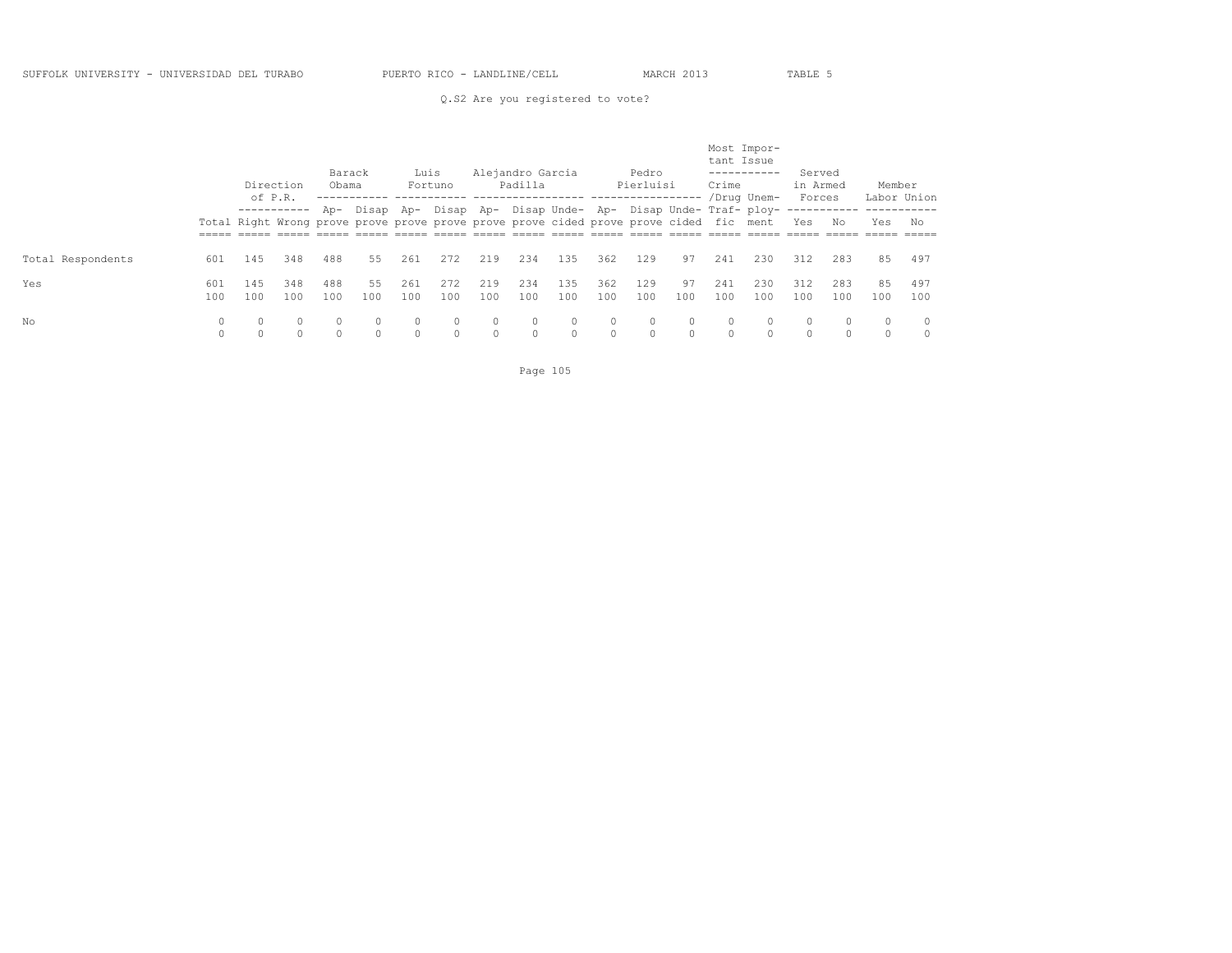### Q.S2 Are you registered to vote?

|                   |                     | Direction<br>of P.R. |            | Barack<br>Obama |                     | Luis                | Fortuno             |                     | Alejandro Garcia<br>Padilla                                                                                                                           |                      |                     | Pedro<br>Pierluisi  |                     | Most Impor-<br>tant Issue<br>Crime | -----------<br>/Drug Unem- | Served<br>in Armed<br>Forces |            | Member              | Labor Union   |
|-------------------|---------------------|----------------------|------------|-----------------|---------------------|---------------------|---------------------|---------------------|-------------------------------------------------------------------------------------------------------------------------------------------------------|----------------------|---------------------|---------------------|---------------------|------------------------------------|----------------------------|------------------------------|------------|---------------------|---------------|
|                   |                     |                      |            | Ap-             |                     |                     |                     |                     | Disap Ap- Disap Ap- Disap Unde- Ap- Disap Unde- Traf- ploy-<br>Total Right Wrong prove prove prove prove prove prove cided prove prove cided fic ment |                      |                     |                     |                     |                                    |                            | Yes                          | No         | Yes                 | No            |
| Total Respondents | 601                 | 145                  | 348        | 488             | 55                  | 261                 | 272                 | 219                 | 234                                                                                                                                                   | 135                  | 362                 | 129                 | 97                  | 241                                | 230                        | 312                          | 283        | 85                  | 497           |
| Yes               | 601<br>100          | 145<br>100           | 348<br>100 | 488<br>100      | 55<br>100           | 261<br>100          | 272<br>100          | 219<br>100          | 234<br>100                                                                                                                                            | 135<br>100           | 362<br>100          | 129<br>100          | 97<br>100           | 241<br>100                         | 230<br>100                 | 312<br>100                   | 283<br>100 | 85<br>100           | 497<br>100    |
| No                | $\circ$<br>$\Omega$ | $\circ$              | $\circ$    | 0               | $\circ$<br>$\Omega$ | $\circ$<br>$\Omega$ | $\circ$<br>$\Omega$ | $\circ$<br>$\Omega$ | $\circ$<br>$\Omega$                                                                                                                                   | $\circ$<br>$\bigcap$ | $\circ$<br>$\Omega$ | $\circ$<br>$\Omega$ | $\circ$<br>$\Omega$ | $\circ$<br>$\cap$                  | 0                          | $\circ$<br>$\Omega$          |            | $\circ$<br>$\Omega$ | 0<br>$\Omega$ |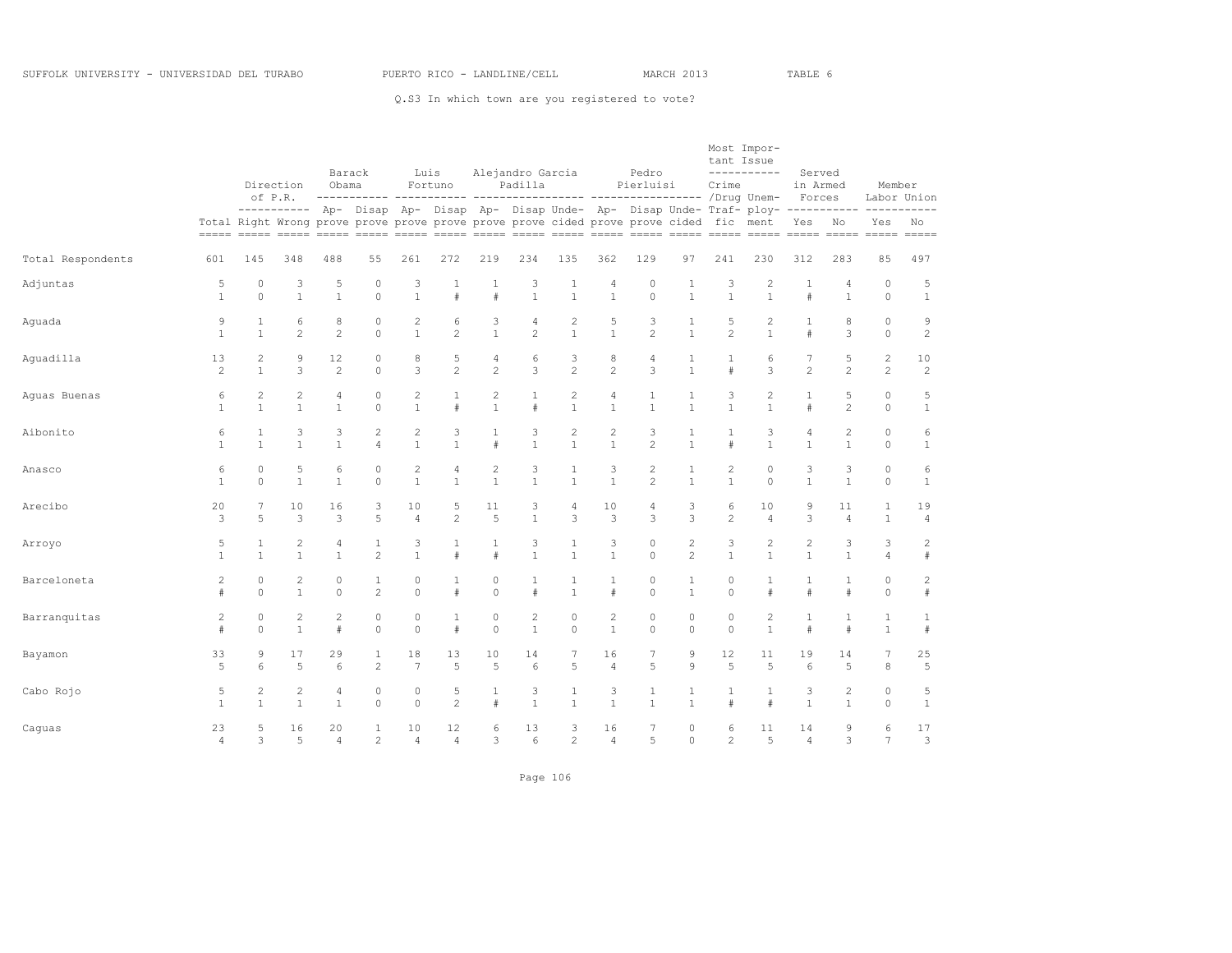Q.S3 In which town are you registered to vote?

|                   |                |                 | Direction<br>of P.R. | Obama          | Barack         |                | Luis<br>Fortuno                                                                                                                                                                             |                | Alejandro Garcia<br>Padilla |                |                | Pedro<br>Pierluisi |                | tant Issue<br>Crime | Most Impor-<br>----------- | Served<br>in Armed |                | Member         |                   |
|-------------------|----------------|-----------------|----------------------|----------------|----------------|----------------|---------------------------------------------------------------------------------------------------------------------------------------------------------------------------------------------|----------------|-----------------------------|----------------|----------------|--------------------|----------------|---------------------|----------------------------|--------------------|----------------|----------------|-------------------|
|                   |                |                 |                      |                |                |                | ---------- Ap- Disap Ap- Disap Ap- Disap Unde- Ap- Disap Unde- Traf- ploy- ----------- ----------<br>Total Right Wrong prove prove prove prove prove prove cided prove prove cided fic ment |                |                             |                |                |                    |                |                     |                            | Forces<br>Yes No   |                | Yes            | Labor Union<br>No |
| Total Respondents | 601            | 145             | 348                  | 488            | 55             | 261            | 272                                                                                                                                                                                         | 219            | 234                         | 135            | 362            | 129                | 97             | 241                 | 230                        | 312                | 283            | 85             | 497               |
| Adjuntas          | 5              | $\circ$         | 3                    | 5              | $\circ$        | 3              | 1                                                                                                                                                                                           | 1              | 3                           | $\mathbf{1}$   | 4              | $\circ$            | 1              | 3                   | 2                          | 1                  | 4              | $\circ$        | 5                 |
|                   | $\mathbf{1}$   | $\Omega$        | $\mathbf{1}$         | $\mathbf{1}$   | $\Omega$       | $\mathbf{1}$   | $\#$                                                                                                                                                                                        | $\#$           | $\mathbf{1}$                | $\mathbf{1}$   | $\mathbf{1}$   | $\Omega$           | $\overline{1}$ | $\mathbf{1}$        | $\mathbf{1}$               | #                  | $\mathbf{1}$   | $\Omega$       | $\mathbf{1}$      |
| Aguada            | 9              | 1               | 6                    | 8              | $\circ$        | $\mathbf{2}$   | 6                                                                                                                                                                                           | 3              | 4                           | $\overline{c}$ | 5              | 3                  | 1              | 5                   | $\mathbf{2}$               | 1                  | 8              | $\circ$        | 9                 |
|                   | $\mathbf{1}$   | $\mathbf{1}$    | $\overline{c}$       | $\overline{2}$ | $\Omega$       | $\mathbf{1}$   | $\overline{c}$                                                                                                                                                                              | $\mathbf{1}$   | $\overline{c}$              | $\mathbf{1}$   | $\mathbf{1}$   | $\overline{c}$     | $\mathbf{1}$   | $\overline{2}$      | $\mathbf{1}$               | #                  | 3              | $\Omega$       | $\sqrt{2}$        |
| Aquadilla         | 13             | $\overline{c}$  | 9                    | 12             | $\circ$        | 8              | 5                                                                                                                                                                                           | 4              | 6                           | 3              | 8              | 4                  | $\mathbf{1}$   | 1                   | 6                          | 7                  | 5              | 2              | 10                |
|                   | $\overline{c}$ | $\mathbf{1}$    | 3                    | $\mathbf{2}$   | $\circ$        | 3              | $\overline{c}$                                                                                                                                                                              | $\overline{c}$ | 3                           | $\overline{c}$ | $\overline{c}$ | 3                  | $\overline{1}$ | #                   | 3                          | $\overline{c}$     | $\mathbf{2}$   | $\mathbf{2}$   | $\mathbf{2}$      |
| Aquas Buenas      | 6              | $\overline{c}$  | $\overline{c}$       | $\overline{4}$ | $\circ$        | $\overline{c}$ | $\mathbf{1}$                                                                                                                                                                                | $\overline{c}$ | $\mathbf{1}$                | $\mathbf{2}$   | $\overline{4}$ | $\mathbf{1}$       | $\mathbf{1}$   | 3                   | $\mathbf{2}$               | $\mathbf{1}$       | 5              | $\circ$        | 5                 |
|                   | $\mathbf{1}$   | $\mathbf{1}$    | $\mathbf{1}$         | $\mathbf{1}$   | $\Omega$       | $\mathbf{1}$   | #                                                                                                                                                                                           | $\mathbf{1}$   | #                           | $\mathbf{1}$   | $\mathbf{1}$   | $\mathbf{1}$       | $\overline{1}$ | $\mathbf{1}$        | $\mathbf{1}$               | #                  | $\mathfrak{D}$ | $\Omega$       | $\mathbf{1}$      |
| Aibonito          | 6              | 1               | 3                    | 3              | $\mathbf{2}$   | 2              | 3                                                                                                                                                                                           | $\mathbf{1}$   | 3                           | $\mathbf{2}$   | $\overline{c}$ | 3                  | $\mathbf{1}$   | $\mathbf{1}$        | 3                          | $\sqrt{4}$         | $\mathbf{2}$   | $\circ$        | 6                 |
|                   | $\mathbf{1}$   | $\mathbf{1}$    | $\mathbf{1}$         | $\mathbf{1}$   | $\overline{4}$ | $\mathbf{1}$   | $\mathbf{1}$                                                                                                                                                                                | $\#$           | $\mathbf{1}$                | $\mathbf{1}$   | $\mathbf{1}$   | $\overline{c}$     | $\mathbf{1}$   | #                   | $\mathbf{1}$               | $\mathbf{1}$       | $\mathbf{1}$   | $\Omega$       | $\mathbf{1}$      |
| Anasco            | 6              | $\circ$         | 5                    | 6              | $\circ$        | $\overline{c}$ | 4                                                                                                                                                                                           | $\mathbf{2}$   | 3                           | 1              | 3              | $\overline{c}$     | 1              | 2                   | $\circ$                    | 3                  | 3              | $\circ$        | 6                 |
|                   | $\mathbf{1}$   | $\Omega$        | $\mathbf{1}$         | $\mathbf{1}$   | $\circ$        | $\mathbf{1}$   | $\mathbf{1}$                                                                                                                                                                                | $\mathbf{1}$   | $\mathbf{1}$                | $\mathbf{1}$   | $\mathbf{1}$   | $\overline{c}$     | $\mathbf{1}$   | $\mathbf{1}$        | $\Omega$                   | $\mathbf{1}$       | $\mathbf{1}$   | $\circ$        | $\mathbf{1}$      |
| Arecibo           | 20             | 7               | 10                   | 16             | 3              | 10             | 5                                                                                                                                                                                           | 11             | 3                           | $\overline{4}$ | 10             | 4                  | 3              | 6                   | 10                         | 9                  | 11             | 1              | 19                |
|                   | 3              | 5               | 3                    | 3              | 5              | $\overline{4}$ | $\overline{c}$                                                                                                                                                                              | 5              | $\mathbf{1}$                | 3              | 3              | 3                  | 3              | $\overline{2}$      | $\overline{4}$             | 3                  | $\overline{4}$ | $\mathbf{1}$   | $\overline{4}$    |
| Arroyo            | 5              | $\mathbf{1}$    | $\overline{c}$       | 4              | $\mathbf{1}$   | 3              | $\mathbf{1}$                                                                                                                                                                                | $\mathbf{1}$   | 3                           | $\mathbf{1}$   | 3              | $\circ$            | $\overline{c}$ | 3                   | 2                          | $\mathbf{2}$       | 3              | 3              | $\mathbf{2}$      |
|                   | $\mathbf{1}$   | $\mathbf{1}$    | $\mathbf{1}$         | $\mathbf{1}$   | $\mathfrak{D}$ | $\mathbf{1}$   | $\#$                                                                                                                                                                                        | $\pm$          | $\mathbf{1}$                | $\mathbf{1}$   | $\mathbf{1}$   | $\Omega$           | $\mathfrak{D}$ | $\mathbf{1}$        | $\mathbf{1}$               | $\mathbf{1}$       | $\mathbf{1}$   | $\overline{4}$ | #                 |
| Barceloneta       | $\overline{c}$ | $\circ$         | $\overline{c}$       | $\circ$        | $\mathbf{1}$   | $\circ$        | $\mathbf{1}$                                                                                                                                                                                | $\circ$        | $\mathbf{1}$                | $\mathbf{1}$   | $\mathbf{1}$   | $\circ$            | 1              | $\circ$             | $\mathbf{1}$               | $\mathbf{1}$       | $\mathbf{1}$   | $\circ$        | $\mathbf{2}$      |
|                   | #              | $\Omega$        | $\mathbf{1}$         | $\Omega$       | 2              | $\circ$        | #                                                                                                                                                                                           | $\Omega$       | #                           | $\mathbf{1}$   | #              | $\Omega$           | $\mathbf{1}$   | $\circ$             | $\#$                       | #                  | #              | $\circ$        | $\#$              |
| Barranquitas      | $\overline{c}$ | $\circ$         | $\overline{c}$       | $\overline{2}$ | $\circ$        | $\circ$        | 1                                                                                                                                                                                           | $\Omega$       | 2                           | $\circ$        | $\overline{c}$ | $\circ$            | $\mathbf 0$    | $\circ$             | $\overline{c}$             | 1                  | $\mathbf{1}$   | $\mathbf{1}$   | 1                 |
|                   | #              | $\Omega$        | $\mathbf{1}$         | #              | $\Omega$       | $\Omega$       | $\#$                                                                                                                                                                                        | $\Omega$       | $\mathbf{1}$                | $\Omega$       | $\mathbf{1}$   | $\Omega$           | $\Omega$       | $\Omega$            | $\overline{1}$             | $\ddagger$         | #              | $\mathbf{1}$   | #                 |
| Bayamon           | 33             | 9               | 17                   | 29             | $\mathbf{1}$   | 18             | 13                                                                                                                                                                                          | 10             | 14                          | 7              | 16             | 7                  | 9              | 12                  | 11                         | 19                 | 14             | $\overline{7}$ | 25                |
|                   | 5              | $6\overline{6}$ | 5                    | 6              | $\overline{c}$ | $\overline{7}$ | 5                                                                                                                                                                                           | 5              | 6                           | 5              | $\overline{4}$ | 5                  | 9              | 5                   | 5                          | 6                  | 5              | 8              | 5                 |
| Cabo Rojo         | 5              | 2               | 2                    | 4              | 0              | $\circ$        | 5                                                                                                                                                                                           | $\mathbf{1}$   | 3                           | 1              | 3              | 1                  | $\mathbf{1}$   | 1                   | 1                          | 3                  | $\mathbf{2}$   | $\circ$        | 5                 |
|                   | $\mathbf{1}$   | $\mathbf{1}$    | $\mathbf{1}$         | $\mathbf{1}$   | $\Omega$       | $\circ$        | $\overline{c}$                                                                                                                                                                              | $\pm$          | $\mathbf{1}$                | $\mathbf{1}$   | $\mathbf{1}$   | $\mathbf{1}$       | $\mathbf{1}$   | #                   | #                          | $\mathbf{1}$       | $\mathbf{1}$   | $\circ$        | $\mathbf{1}$      |
| Caquas            | 23             | 5               | 16                   | 20             | $\mathbf{1}$   | 10             | 12                                                                                                                                                                                          | 6              | 13                          | 3              | 16             | 7                  | $\circ$        | 6                   | 11                         | 14                 | 9              | 6              | 17                |
|                   | $\overline{4}$ | 3               | 5                    | $\overline{4}$ | $\overline{c}$ | $\overline{4}$ | $\overline{4}$                                                                                                                                                                              | 3              | 6                           | $\overline{c}$ | $\overline{4}$ | 5                  | $\Omega$       | $\overline{c}$      | 5                          | $\overline{4}$     | 3              | $\overline{7}$ | 3                 |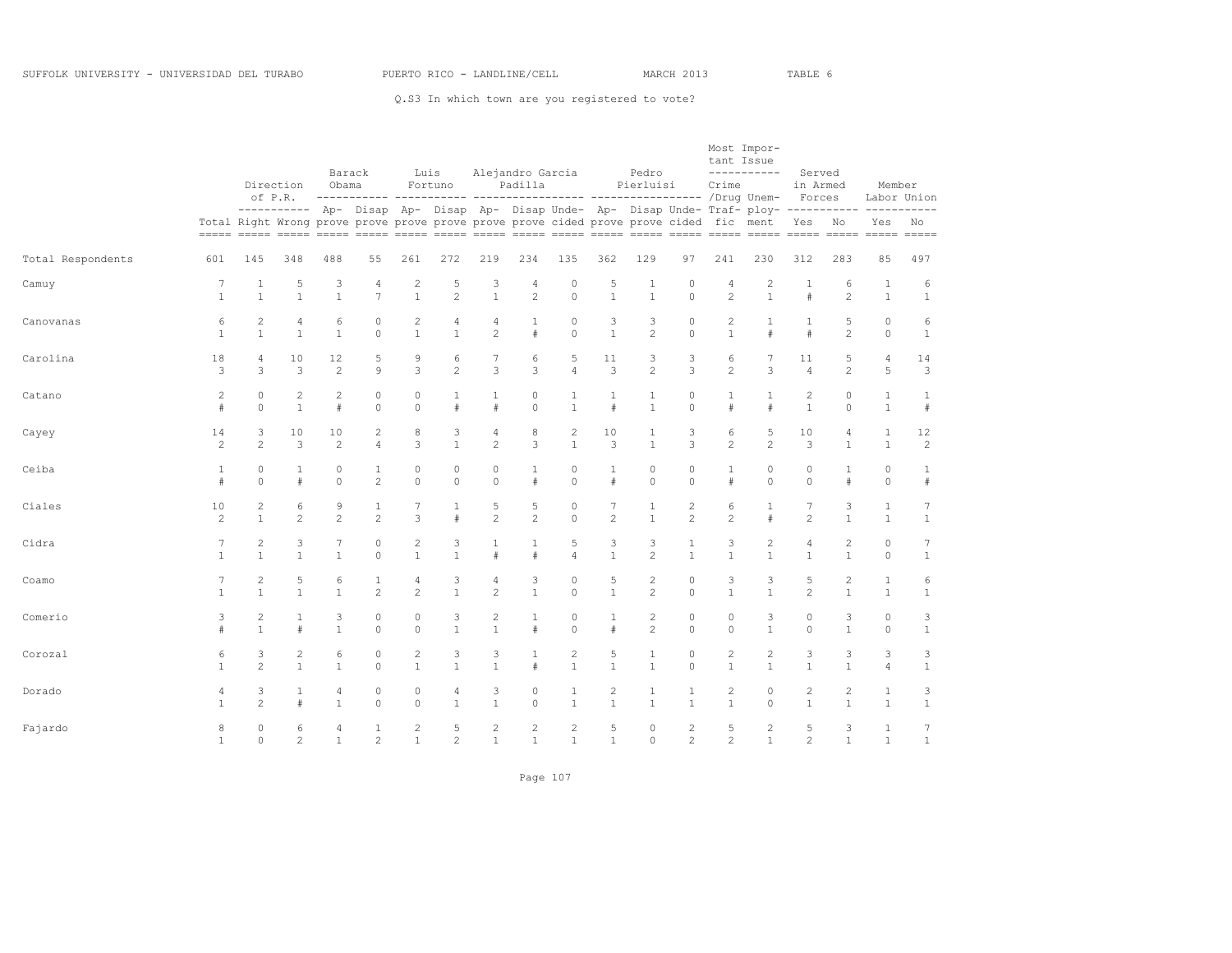Q.S3 In which town are you registered to vote?

|                   |                |                                |                      |                   | Barack              |                     | Luis              |                                | Alejandro Garcia  |                                                                                                                                                                                            |                      | Pedro                        |                     | tant Issue          | Most Impor-<br>----------- | Served              |                   |                    |                   |
|-------------------|----------------|--------------------------------|----------------------|-------------------|---------------------|---------------------|-------------------|--------------------------------|-------------------|--------------------------------------------------------------------------------------------------------------------------------------------------------------------------------------------|----------------------|------------------------------|---------------------|---------------------|----------------------------|---------------------|-------------------|--------------------|-------------------|
|                   |                |                                | Direction<br>of P.R. | Obama             |                     |                     | Fortuno           |                                | Padilla           |                                                                                                                                                                                            |                      | Pierluisi                    |                     | Crime               |                            | in Armed<br>Forces  |                   | Member             | Labor Union       |
|                   |                |                                |                      |                   |                     |                     |                   |                                |                   | ---------- Ap- Disap Ap- Disap Ap- Disap Unde- Ap- Disap Unde- Traf- ploy------------ ----------<br>Total Right Wrong prove prove prove prove prove prove cided prove prove cided fic ment |                      |                              |                     |                     |                            | Yes No              |                   | Yes                | No                |
| Total Respondents | 601            | 145                            | 348                  | 488               | 55                  | 261                 | 272               | 219                            | 234               | 135                                                                                                                                                                                        | 362                  | 129                          | 97                  | 241                 | 230                        | 312                 | 283               | 85                 | 497               |
| Camuy             | $\overline{7}$ | $\mathbf{1}$                   | 5                    | 3                 | $\sqrt{4}$          | $\overline{c}$      | 5                 | 3                              | 4                 | $\circ$                                                                                                                                                                                    | 5                    | $\mathbf{1}$                 | $\circ$             | 4                   | 2                          | $\mathbf 1$         | 6                 | $1\,$              | 6                 |
|                   | $\mathbf{1}$   | $\mathbf{1}$                   | $\mathbf{1}$         | $\mathbf{1}$      | $\overline{7}$      | $\mathbf{1}$        | $\overline{c}$    | $\mathbf{1}$                   | $\overline{c}$    | $\Omega$                                                                                                                                                                                   | $\mathbf{1}$         | $\mathbf{1}$                 | $\Omega$            | $\overline{c}$      | $\mathbf{1}$               | $\#$                | $\overline{c}$    | $\mathbf{1}$       | $\mathbf{1}$      |
| Canovanas         | 6              | $\mathbf{2}$                   | 4                    | 6                 | $\circ$             | 2                   | 4                 | 4                              | 1                 | $\circ$                                                                                                                                                                                    | 3                    | 3                            | $\circ$             | 2                   | 1                          | $\mathbf{1}$        | 5                 | $\circ$            | 6                 |
|                   | $\mathbf{1}$   | $\mathbf{1}$                   | $\overline{1}$       | $\mathbf{1}$      | $\Omega$            | $\mathbf{1}$        | $\mathbf{1}$      | $\overline{c}$                 | #                 | $\Omega$                                                                                                                                                                                   | $\mathbf{1}$         | $\overline{c}$               | $\Omega$            | $\mathbf{1}$        | $\#$                       | #                   | $\overline{c}$    | $\circ$            | $\mathbf{1}$      |
| Carolina          | 18             | 4                              | 10                   | 12                | 5                   | 9                   | 6                 | $\overline{7}$                 | 6                 | 5                                                                                                                                                                                          | 11                   | 3                            | 3                   | 6                   | 7                          | 11                  | 5                 | $\sqrt{4}$         | 14                |
|                   | 3              | 3                              | 3                    | $\overline{c}$    | 9                   | 3                   | $\mathbf{2}$      | 3                              | 3                 | $\overline{4}$                                                                                                                                                                             | 3                    | $\mathbf{2}$                 | 3                   | $\overline{c}$      | 3                          | $\overline{4}$      | $\overline{c}$    | 5                  | 3                 |
| Catano            | $\overline{c}$ | $\circ$                        | $\overline{c}$       | $\overline{c}$    | $\circ$             | $\circ$             | $\mathbf{1}$      | $\mathbf{1}$                   | $\circ$           | 1                                                                                                                                                                                          | $\mathbf{1}$         | $\mathbf{1}$                 | $\circ$             | 1                   | 1                          | $\overline{c}$      | $\circ$           | $\mathbf{1}$       | 1                 |
|                   | #              | $\Omega$                       | $\mathbf{1}$         | $\#$              | $\Omega$            | $\Omega$            | #                 | #                              | $\Omega$          | $\mathbf{1}$                                                                                                                                                                               | #                    | $\mathbf{1}$                 | $\Omega$            | #                   | #                          | $\mathbf{1}$        | $\Omega$          | $\mathbf{1}$       | #                 |
| Cayey             | 14             | 3                              | 10                   | 10                | $\overline{c}$      | 8                   | 3                 | 4                              | 8                 | 2                                                                                                                                                                                          | 10                   | $\mathbf{1}$                 | 3                   | 6                   | 5                          | 10                  | 4                 | $\mathbf{1}$       | 12                |
|                   | $\overline{c}$ | $\overline{c}$                 | 3                    | $\overline{2}$    | $\overline{a}$      | 3                   | $\mathbf{1}$      | $\overline{c}$                 | 3                 | $\mathbf{1}$                                                                                                                                                                               | 3                    | $\mathbf{1}$                 | 3                   | $\overline{c}$      | $\overline{2}$             | 3                   | $\mathbf{1}$      | $\mathbf{1}$       | 2                 |
| Ceiba             | $\mathbf{1}$   | 0                              | 1                    | 0                 | 1                   | 0                   | 0                 | 0                              | $\mathbf{1}$      | $\circ$                                                                                                                                                                                    | 1                    | 0                            | $\circ$             | 1                   | 0                          | 0                   | 1                 | $\circ$            | 1                 |
|                   | #              | $\Omega$                       | #                    | $\circ$           | $\overline{c}$      | $\circ$             | $\circ$           | $\circ$                        | $#$               | $\circ$                                                                                                                                                                                    | $\#$                 | $\circ$                      | $\circ$             | #                   | $\Omega$                   | $\circ$             | #                 | $\circ$            | #                 |
| Ciales            | 10             | $\mathbf{2}$                   | 6                    | 9                 | $\mathbf{1}$        | 7                   | $\mathbf{1}$      | 5                              | 5                 | $\circ$                                                                                                                                                                                    | 7                    | $\mathbf{1}$                 | 2                   | 6                   | 1                          | 7                   | 3                 | $\mathbf{1}$       | 7                 |
|                   | $\overline{c}$ | $\mathbf{1}$                   | $\overline{c}$       | $\overline{2}$    | 2                   | 3                   | $\#$              | $\overline{c}$                 | $\overline{c}$    | $\circ$                                                                                                                                                                                    | $\overline{c}$       | $\mathbf{1}$                 | $\overline{c}$      | $\overline{c}$      | $\#$                       | $\overline{c}$      | $\mathbf{1}$      | $\mathbf{1}$       | $\mathbf{1}$      |
| Cidra             | $\overline{7}$ | $\overline{c}$                 | 3                    | 7                 | $\circ$             | $\overline{c}$      | 3                 | $\mathbf{1}$                   | $\mathbf{1}$      | 5                                                                                                                                                                                          | 3                    | 3                            | $\mathbf{1}$        | 3                   | 2                          | 4                   | 2                 | $\circ$            | 7                 |
|                   | $\mathbf{1}$   | $\mathbf{1}$                   | $\mathbf{1}$         | $\mathbf{1}$      | $\Omega$            | $\mathbf{1}$        | $\mathbf{1}$      | $\#$                           | $\#$              | $\Delta$                                                                                                                                                                                   | $\mathbf{1}$         | $\mathfrak{D}$               | $\mathbf{1}$        | $\mathbf{1}$        | $\mathbf{1}$               | $\mathbf{1}$        | $\mathbf{1}$      | $\circ$            | $\mathbf{1}$      |
| Coamo             | $\overline{7}$ | 2                              | 5                    | 6                 | $\mathbf{1}$        | $\overline{4}$      | 3                 | 4                              | 3                 | $\circ$                                                                                                                                                                                    | 5                    | $\overline{c}$               | $\circ$             | 3                   | 3                          | 5                   | 2                 | $\mathbf{1}$       | 6                 |
|                   | $\mathbf{1}$   | $\mathbf{1}$                   | $\mathbf{1}$         | $\mathbf{1}$      | 2                   | $\overline{c}$      | $\mathbf{1}$      | $\overline{c}$                 | $\mathbf{1}$      | $\circ$                                                                                                                                                                                    | $\mathbf{1}$         | 2                            | $\circ$             | $\mathbf{1}$        | $\mathbf{1}$               | $\overline{c}$      | $\mathbf{1}$      | $\mathbf{1}$       | $\mathbf{1}$      |
| Comerio           | 3              | $\overline{c}$<br>$\mathbf{1}$ | $\mathbf{1}$<br>#    | 3<br>$\mathbf{1}$ | $\circ$<br>$\Omega$ | $\circ$<br>$\Omega$ | 3<br>$\mathbf{1}$ | $\overline{c}$<br>$\mathbf{1}$ | $\mathbf{1}$<br># | $\mathbb O$<br>$\Omega$                                                                                                                                                                    | $\mathbf{1}$<br>$\#$ | $\sqrt{2}$<br>$\overline{c}$ | $\circ$<br>$\Omega$ | $\circ$<br>$\Omega$ | 3<br>$\mathbf{1}$          | $\circ$<br>$\Omega$ | 3<br>$\mathbf{1}$ | $\circ$<br>$\circ$ | 3<br>$\mathbf{1}$ |
| Corozal           | 6              | 3                              | $\overline{c}$       | 6                 | $\circ$             | 2                   | 3                 | 3                              | 1                 | $\sqrt{2}$                                                                                                                                                                                 | 5                    | $\mathbf{1}$                 | $\circ$             | $\overline{c}$      | $\overline{c}$             | 3                   | 3                 | 3                  | 3                 |
|                   | $\mathbf{1}$   | $\overline{c}$                 | $\mathbf{1}$         | $\mathbf{1}$      | $\Omega$            | $\mathbf{1}$        | $\mathbf{1}$      | $\mathbf{1}$                   | #                 | $\mathbf{1}$                                                                                                                                                                               | $\mathbf{1}$         | $\mathbf{1}$                 | $\Omega$            | $\mathbf{1}$        | $\mathbf{1}$               | $\mathbf{1}$        | $\mathbf{1}$      | $\overline{4}$     | $\mathbf{1}$      |
| Dorado            | 4              | 3                              | $\mathbf{1}$         | 4                 | $\circ$             | 0                   | 4                 | 3                              | 0                 | 1                                                                                                                                                                                          | $\overline{c}$       | 1                            | 1                   | 2                   | 0                          | $\overline{c}$      | 2                 | 1                  | 3                 |
|                   | $\mathbf{1}$   | $\overline{c}$                 | $\#$                 | $\mathbf{1}$      | $\circ$             | $\circ$             | $\mathbf{1}$      | $\mathbf{1}$                   | $\circ$           | $\mathbf{1}$                                                                                                                                                                               | $\mathbf{1}$         | $\mathbf{1}$                 | $\mathbf{1}$        | $\mathbf{1}$        | $\Omega$                   | $\mathbf{1}$        | $\mathbf{1}$      | $\mathbf{1}$       | $1\,$             |
| Fajardo           | 8              | $\circ$                        | 6                    | 4                 | $\mathbf{1}$        | 2                   | 5                 | $\sqrt{2}$                     | $\mathbf{2}$      | $\mathbf{2}$                                                                                                                                                                               | 5                    | $\circ$                      | $\sqrt{2}$          | 5                   | $\overline{c}$             | 5                   | 3                 | $\mathbf{1}$       | 7                 |
|                   | $\mathbf{1}$   | $\circ$                        | $\overline{c}$       | $\mathbf{1}$      | $\mathfrak{D}$      | $\mathbf{1}$        | $\overline{c}$    | $\mathbf{1}$                   | $\mathbf{1}$      | $\mathbf{1}$                                                                                                                                                                               | $\mathbf{1}$         | $\circ$                      | $\overline{c}$      | $\overline{2}$      | $\mathbf{1}$               | $\overline{c}$      | $\mathbf{1}$      | $\mathbf{1}$       | $\mathbf{1}$      |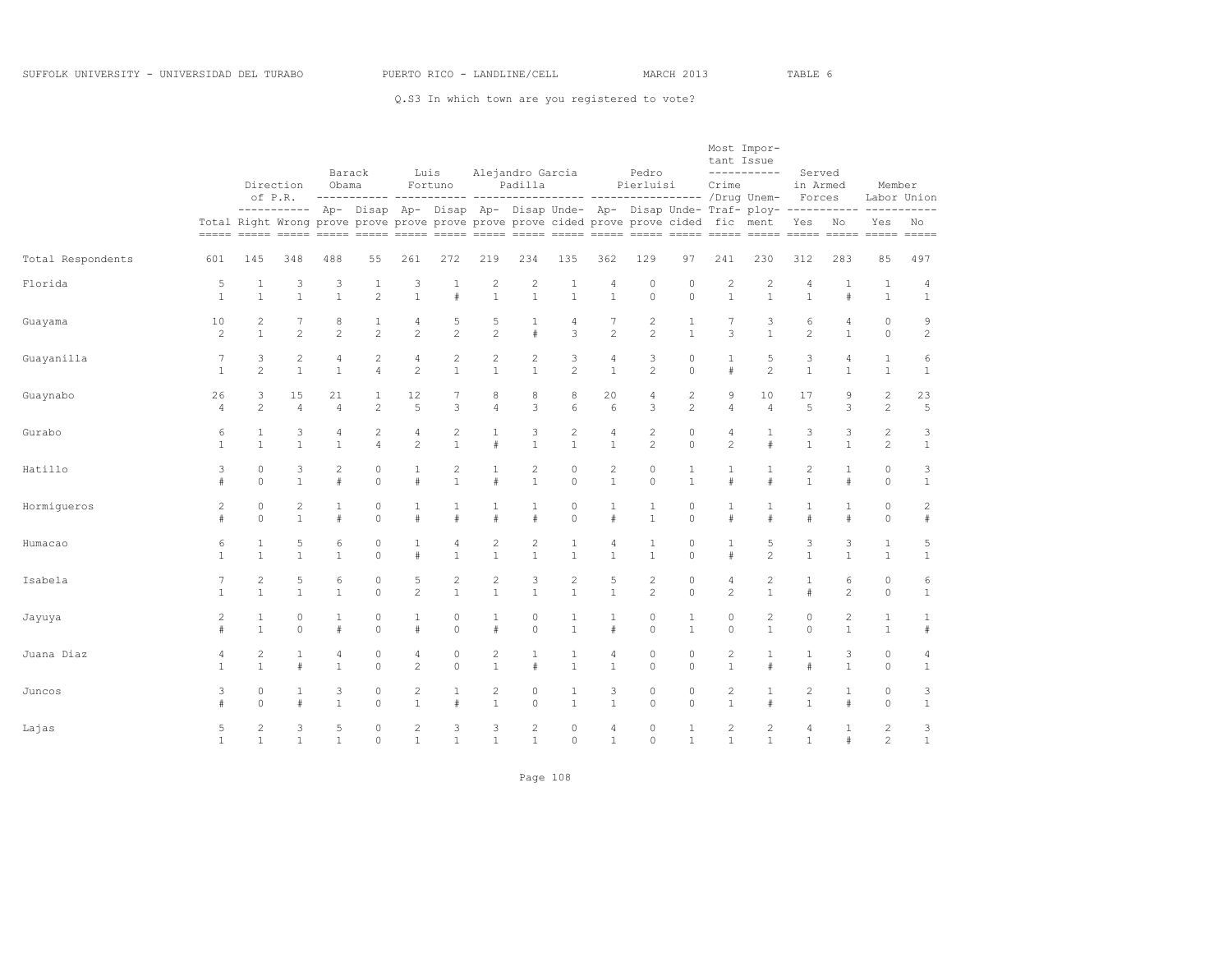Q.S3 In which town are you registered to vote?

|                   |                |                | Direction<br>of P.R. | Barack<br>Obama |                |                | Luis<br>Fortuno |                | Alejandro Garcia<br>Padilla |                |                | Pedro<br>Pierluisi |                | tant Issue<br>Crime | Most Impor-<br>-----------                                                                                                                                                                         | Served<br>in Armed<br>Forces |                | Member         | Labor Union    |
|-------------------|----------------|----------------|----------------------|-----------------|----------------|----------------|-----------------|----------------|-----------------------------|----------------|----------------|--------------------|----------------|---------------------|----------------------------------------------------------------------------------------------------------------------------------------------------------------------------------------------------|------------------------------|----------------|----------------|----------------|
|                   |                |                |                      |                 |                |                |                 |                |                             |                |                |                    |                |                     | ---------- Ap- Disap Ap- Disap Ap- Disap Unde- Ap- Disap Unde- Traf- ploy------------- ----------<br>Total Right Wrong prove prove prove prove prove prove cided prove prove cided fic ment Yes No |                              |                |                | Yes No         |
| Total Respondents | 601            | 145            | 348                  | 488             | 55             | 261            | 272             | 219            | 234                         | 135            | 362            | 129                | 97             | 241                 | 230                                                                                                                                                                                                | 312                          | 283            | 85             | 497            |
| Florida           | 5              | 1              | 3                    | 3               | $\mathbf{1}$   | 3              | $\mathbf{1}$    | $\overline{c}$ | $\overline{c}$              | $\mathbf{1}$   | 4              | $\circ$            | $\circ$        | 2                   | $\overline{c}$                                                                                                                                                                                     | 4                            | 1              | $\mathbf{1}$   | 4              |
|                   | $\mathbf{1}$   | $\mathbf{1}$   | $\mathbf{1}$         | $\mathbf{1}$    | $\mathfrak{D}$ | $\mathbf{1}$   | $\pm$           | $\mathbf{1}$   | $\mathbf{1}$                | $\mathbf{1}$   | $\mathbf{1}$   | $\Omega$           | $\Omega$       | $\mathbf{1}$        | $\mathbf{1}$                                                                                                                                                                                       | $\mathbf{1}$                 | $\#$           | $\overline{1}$ | $\mathbf{1}$   |
| Guayama           | 10             | 2              | $\overline{7}$       | 8               | $\mathbf{1}$   | $\overline{4}$ | 5               | 5              | 1                           | $\sqrt{4}$     | $\overline{7}$ | $\mathbf{2}$       | 1              | 7                   | 3                                                                                                                                                                                                  | 6                            | 4              | $\circ$        | 9              |
|                   | 2              | $\mathbf{1}$   | $\overline{c}$       | $\overline{c}$  | $\overline{c}$ | $\overline{c}$ | $\overline{c}$  | $\overline{c}$ | #                           | 3              | $\overline{c}$ | $\overline{c}$     | $\mathbf{1}$   | 3                   | $\mathbf{1}$                                                                                                                                                                                       | $\overline{c}$               | $\mathbf{1}$   | $\Omega$       | $\mathbf{2}$   |
| Guayanilla        | 7              | 3              | 2                    | 4               | 2              | $\overline{4}$ | 2               | $\overline{c}$ | $\mathbf{2}$                | 3              | $\overline{4}$ | 3                  | 0              | 1                   | 5                                                                                                                                                                                                  | 3                            | $\overline{4}$ | $\mathbf{1}$   | 6              |
|                   | $\mathbf{1}$   | 2              | $\mathbf{1}$         | $\mathbf{1}$    | $\overline{4}$ | 2              | $\mathbf{1}$    | $\mathbf{1}$   | $\mathbf{1}$                | $\overline{c}$ | $\mathbf{1}$   | $\overline{c}$     | $\Omega$       | #                   | $\overline{c}$                                                                                                                                                                                     | $\mathbf{1}$                 | $\mathbf{1}$   | $\mathbf{1}$   | $\mathbf{1}$   |
| Guaynabo          | 26             | 3              | 15                   | 21              | $\mathbf{1}$   | 12             | 7               | 8              | 8                           | 8              | 20             | 4                  | $\mathbf{2}$   | 9                   | 10                                                                                                                                                                                                 | 17                           | 9              | $\sqrt{2}$     | 23             |
|                   | $\overline{4}$ | 2              | $\overline{4}$       | $\overline{4}$  | $\overline{c}$ | 5              | 3               | $\overline{4}$ | 3                           | 6              | 6              | 3                  | $\overline{c}$ | 4                   | $\overline{4}$                                                                                                                                                                                     | 5                            | 3              | $\overline{c}$ | 5              |
| Gurabo            | 6              | 1              | 3                    | 4               | $\mathbf{2}$   | $\overline{4}$ | 2               | 1              | 3                           | $\mathbf{2}$   | $\sqrt{4}$     | $\overline{c}$     | $\circ$        | 4                   | 1                                                                                                                                                                                                  | 3                            | 3              | $\sqrt{2}$     | 3              |
|                   | $\mathbf{1}$   | $\mathbf{1}$   | $\mathbf{1}$         | $\mathbf{1}$    | $\overline{4}$ | $\overline{2}$ | $\mathbf{1}$    | #              | $\mathbf{1}$                | $\mathbf{1}$   | $\mathbf{1}$   | $\overline{c}$     | $\Omega$       | $\overline{2}$      | $\ddagger$                                                                                                                                                                                         | $\mathbf{1}$                 | $\mathbf{1}$   | $\overline{c}$ | $\mathbf{1}$   |
| Hatillo           | 3              | $\mathbf 0$    | 3                    | $\overline{c}$  | $\circ$        | $\mathbf{1}$   | $\overline{c}$  | $\mathbf{1}$   | $\overline{c}$              | $\circ$        | $\mathbf{2}$   | $\circ$            | 1              | 1                   | 1                                                                                                                                                                                                  | $\overline{c}$               | $\mathbf{1}$   | $\circ$        | 3              |
|                   | #              | $\Omega$       | $\mathbf{1}$         | #               | $\Omega$       | $\#$           | $\mathbf{1}$    | $\#$           | $\mathbf{1}$                | $\Omega$       | $\mathbf{1}$   | $\Omega$           | $\mathbf{1}$   | #                   | $\ddagger$                                                                                                                                                                                         | $\mathbf{1}$                 | #              | $\Omega$       | $\mathbf{1}$   |
| Hormiqueros       | $\overline{c}$ | $\circ$        | 2                    | $\mathbf{1}$    | $\circ$        | 1              | 1               | 1              | $\mathbf{1}$                | $\circ$        | $\mathbf{1}$   | 1                  | $\circ$        | 1                   | 1                                                                                                                                                                                                  | 1                            | 1              | $\circ$        | $\overline{c}$ |
|                   | #              | $\mathbf 0$    | $\mathbf{1}$         | #               | $\circ$        | #              | $\#$            | $\#$           | #                           | $\circ$        | $\#$           | $\mathbf{1}$       | $\circ$        | #                   | $\#$                                                                                                                                                                                               | #                            | $\#$           | $\circ$        | #              |
| Humacao           | 6              | $\mathbf{1}$   | 5                    | 6               | $\circ$        | $\mathbf{1}$   | $\overline{4}$  | $\overline{c}$ | $\overline{c}$              | $\mathbf{1}$   | $\overline{4}$ | $\mathbf{1}$       | $\circ$        | $\mathbf{1}$        | 5                                                                                                                                                                                                  | 3                            | 3              | $\mathbf{1}$   | 5              |
|                   | $\mathbf{1}$   | $\mathbf{1}$   | $\mathbf{1}$         | $\mathbf{1}$    | $\Omega$       | #              | $\mathbf{1}$    | $\mathbf{1}$   | $\mathbf{1}$                | $\mathbf{1}$   | $\mathbf{1}$   | $\mathbf{1}$       | $\Omega$       | #                   | $\mathfrak{D}$                                                                                                                                                                                     | $\mathbf{1}$                 | $\mathbf{1}$   | $\mathbf{1}$   | $\mathbf{1}$   |
| Isabela           | 7              | $\mathbf{2}$   | 5                    | 6               | $\circ$        | 5              | $\overline{c}$  | $\mathbf{2}$   | 3                           | $\mathbf{2}$   | 5              | $\mathbf{2}$       | $\circ$        | $\overline{4}$      | $\mathbf{2}$                                                                                                                                                                                       | $\mathbf{1}$                 | 6              | $\circ$        | 6              |
|                   | $\mathbf{1}$   | $\mathbf{1}$   | $\mathbf{1}$         | $\mathbf{1}$    | $\Omega$       | $\overline{c}$ | $\mathbf{1}$    | $\mathbf{1}$   | $\mathbf{1}$                | $\mathbf{1}$   | $\mathbf{1}$   | $\overline{c}$     | $\Omega$       | $\overline{2}$      | $\mathbf{1}$                                                                                                                                                                                       | #                            | $\overline{2}$ | $\Omega$       | $\mathbf{1}$   |
| Jayuya            | 2              | 1              | $\circ$              | 1               | $\circ$        | $\mathbf{1}$   | $\circ$         | $\mathbf{1}$   | 0                           | 1              | $\mathbf{1}$   | $\circ$            | $\mathbf{1}$   | 0                   | $\overline{c}$                                                                                                                                                                                     | $\circ$                      | 2              | $\mathbf{1}$   | 1              |
|                   | #              | $\mathbf{1}$   | $\circ$              | $\#$            | $\Omega$       | #              | $\Omega$        | $\#$           | $\Omega$                    | $\mathbf{1}$   | #              | $\Omega$           | $\mathbf{1}$   | $\Omega$            | $\mathbf{1}$                                                                                                                                                                                       | $\circ$                      | $\mathbf{1}$   | $\mathbf{1}$   | $\#$           |
| Juana Diaz        | 4              | $\mathbf{2}$   | $\mathbf{1}$         | 4               | $\circ$        | 4              | $\circ$         | $\overline{c}$ | $\mathbf{1}$                | $\mathbf{1}$   | $\sqrt{4}$     | $\circ$            | $\circ$        | $\overline{c}$      | $\mathbf{1}$                                                                                                                                                                                       | $\mathbf{1}$                 | 3              | $\circ$        | 4              |
|                   | $\mathbf{1}$   | $\overline{1}$ | $\#$                 | $\mathbf{1}$    | $\Omega$       | $\overline{c}$ | $\Omega$        | $\mathbf{1}$   | #                           | $\mathbf{1}$   | $\mathbf{1}$   | $\Omega$           | $\Omega$       | $\mathbf{1}$        | $\#$                                                                                                                                                                                               | $\#$                         | $\mathbf{1}$   | $\Omega$       | $\mathbf{1}$   |
| Juncos            | 3              | 0              | 1                    | 3               | $\circ$        | $\overline{c}$ | 1               | $\mathbf{2}$   | 0                           | 1              | 3              | 0                  | 0              | $\mathbf{2}$        | 1                                                                                                                                                                                                  | 2                            | $\mathbf{1}$   | $\circ$        | 3              |
|                   | $\#$           | $\Omega$       | $\pm$                | $\mathbf{1}$    | $\Omega$       | $\mathbf{1}$   | $\#$            | $\overline{1}$ | $\Omega$                    | $\mathbf{1}$   | $\mathbf{1}$   | $\circ$            | $\Omega$       | $\mathbf{1}$        | $\pm$                                                                                                                                                                                              | $\mathbf{1}$                 | $\pm$          | $\circ$        | $\mathbf{1}$   |
| Lajas             | 5              | $\overline{2}$ | 3                    | 5               | $\circ$        | $\mathbf{2}$   | 3               | 3              | $\mathbf{2}$                | $\circ$        | $\overline{4}$ | $\circ$            | $\mathbf{1}$   | 2                   | $\mathbf{2}$                                                                                                                                                                                       | $\overline{4}$               | $\mathbf{1}$   | $\mathbf{2}$   | 3              |
|                   | 1              | $\mathbf{1}$   | $\mathbf{1}$         | $\mathbf{1}$    | $\Omega$       | $\mathbf{1}$   | $\mathbf{1}$    | $\overline{1}$ | $\mathbf{1}$                | $\Omega$       | $\mathbf{1}$   | $\Omega$           | $\mathbf{1}$   | $\mathbf{1}$        | $\mathbf{1}$                                                                                                                                                                                       | $\mathbf{1}$                 | #              | $\overline{2}$ | $\mathbf{1}$   |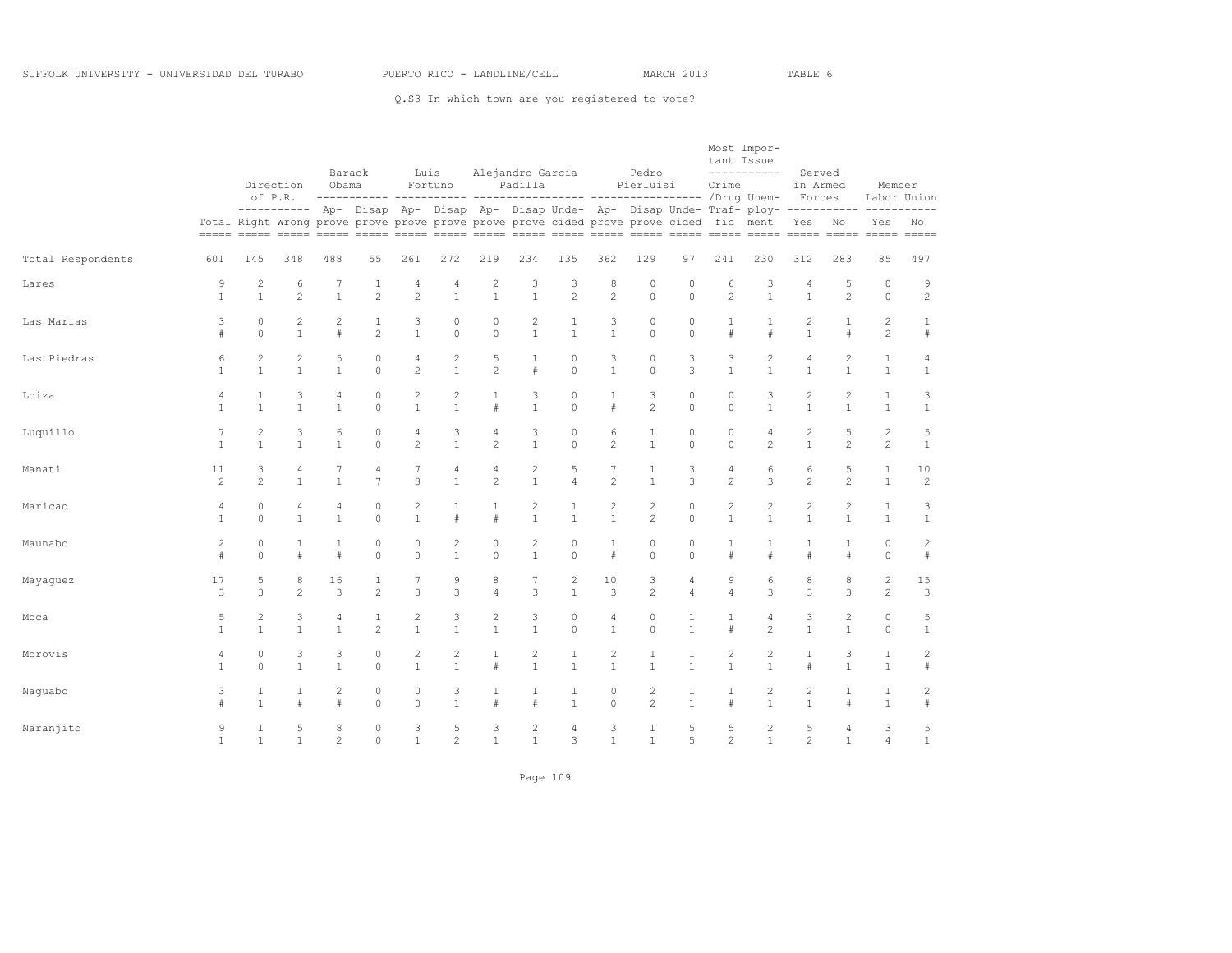Q.S3 In which town are you registered to vote?

|                   |                |                         |                      | Barack         |                     |                    | Luis              |                | Alejandro Garcia |                                                                                        |                     | Pedro               |                              | tant Issue     | Most Impor-<br>-----------                                                                        | Served             |                   |                   |                        |
|-------------------|----------------|-------------------------|----------------------|----------------|---------------------|--------------------|-------------------|----------------|------------------|----------------------------------------------------------------------------------------|---------------------|---------------------|------------------------------|----------------|---------------------------------------------------------------------------------------------------|--------------------|-------------------|-------------------|------------------------|
|                   |                |                         | Direction<br>of P.R. | Obama          |                     |                    | Fortuno           |                | Padilla          |                                                                                        |                     | Pierluisi           |                              | Crime          |                                                                                                   | in Armed<br>Forces |                   | Member            | Labor Union            |
|                   |                |                         |                      |                |                     |                    |                   |                |                  | Total Right Wrong prove prove prove prove prove prove cided prove prove cided fic ment |                     |                     |                              |                | ---------- Ap- Disap Ap- Disap Ap- Disap Unde- Ap- Disap Unde- Traf- ploy- ----------- ---------- | Yes No             |                   | Yes               | No                     |
| Total Respondents | 601            | 145                     | 348                  | 488            | 55                  | 261                | 272               | 219            | 234              | 135                                                                                    | 362                 | 129                 | 97                           | 241            | 230                                                                                               | 312                | 283               | 85                | 497                    |
| Lares             | 9              | $\mathbf{2}$            | 6                    | 7              | $\mathbf{1}$        | $\overline{4}$     | 4                 | 2              | 3                | 3                                                                                      | 8                   | $\circ$             | $\circ$                      | 6              | 3                                                                                                 | 4                  | 5                 | $\circ$           | 9                      |
|                   | $\mathbf{1}$   | $\mathbf{1}$            | $\mathfrak{D}$       | $\mathbf{1}$   | $\mathfrak{D}$      | 2                  | $\mathbf{1}$      | $\overline{1}$ | $\mathbf{1}$     | $\overline{c}$                                                                         | $\overline{c}$      | $\circ$             | $\circ$                      | $\overline{c}$ | $\mathbf{1}$                                                                                      | $\mathbf{1}$       | $\overline{c}$    | $\circ$           | 2                      |
| Las Marias        | 3              | 0                       | 2                    | 2              | $\mathbf{1}$        | 3                  | $\circ$           | $\circ$        | 2                | 1                                                                                      | 3                   | $\circ$             | $\circ$                      | 1              | $\mathbf{1}$                                                                                      | 2                  | 1                 | $\overline{c}$    | 1                      |
|                   | $\#$           | $\Omega$                | $\mathbf{1}$         | #              | $\overline{c}$      | $\mathbf{1}$       | $\circ$           | $\circ$        | $\mathbf{1}$     | $\mathbf{1}$                                                                           | $\mathbf{1}$        | $\circ$             | $\circ$                      | #              | #                                                                                                 | $\mathbf{1}$       | #                 | $\overline{c}$    | $\#$                   |
| Las Piedras       | 6              | $\overline{\mathbf{c}}$ | 2                    | 5              | $\circ$             | 4                  | $\sqrt{2}$        | 5              | 1                | 0                                                                                      | 3                   | 0                   | 3                            | 3              | 2                                                                                                 | 4                  | 2                 | 1                 | 4                      |
|                   | 1              | $\mathbf{1}$            | $\mathbf{1}$         | $\mathbf{1}$   | $\circ$             | 2                  | $\mathbf{1}$      | $\overline{c}$ | #                | $\circ$                                                                                | $1\,$               | $\circ$             | 3                            | $\mathbf{1}$   | $\mathbf{1}$                                                                                      | $\mathbf{1}$       | $\mathbf{1}$      | $\mathbf{1}$      | $\mathbf{1}$           |
| Loiza             | $\overline{4}$ | $\mathbf{1}$            | 3                    | 4              | $\circ$             | 2                  | $\overline{c}$    | $\mathbf{1}$   | 3                | $\circ$                                                                                | $\mathbf{1}$        | 3                   | $\circ$                      | $\circ$        | 3                                                                                                 | 2                  | $\mathbf{2}$      | $\mathbf{1}$      | 3                      |
|                   | $\mathbf{1}$   | $\mathbf{1}$            | $\mathbf{1}$         | $\mathbf{1}$   | $\circ$             | $\mathbf{1}$       | $\mathbf{1}$      | #              | $\mathbf{1}$     | $\circ$                                                                                | $\#$                | $\overline{c}$      | $\circ$                      | $\Omega$       | $\mathbf{1}$                                                                                      | $\mathbf{1}$       | $\mathbf{1}$      | $\mathbf{1}$      | $\mathbf{1}$           |
| Luquillo          | 7              | $\mathbf{2}$            | 3                    | 6              | $\circ$             | $\overline{4}$     | 3                 | 4              | 3                | $\circ$                                                                                | 6                   | $\mathbf{1}$        | $\circ$                      | $\circ$        | 4                                                                                                 | 2                  | 5                 | 2                 | 5                      |
|                   | $\mathbf{1}$   | $\mathbf{1}$            | $\mathbf{1}$         | $\mathbf{1}$   | $\Omega$            | 2                  | $\mathbf{1}$      | $\overline{2}$ | $\mathbf{1}$     | $\Omega$                                                                               | $\overline{c}$      | $\mathbf{1}$        | $\circ$                      | $\Omega$       | $\overline{c}$                                                                                    | $\mathbf{1}$       | $\overline{2}$    | $\overline{c}$    | $\mathbf{1}$           |
| Manati            | 11             | 3                       | 4                    | 7              | 4                   | 7                  | 4                 | 4              | $\mathbf{2}$     | 5                                                                                      | 7                   | $\mathbf{1}$        | 3                            | 4              | 6                                                                                                 | 6                  | 5                 | $\mathbf{1}$      | 10                     |
|                   | $\overline{c}$ | $\overline{2}$          | $\mathbf{1}$         | $\mathbf{1}$   | $\overline{7}$      | 3                  | $\mathbf{1}$      | $\overline{c}$ | $\mathbf{1}$     | $\overline{4}$                                                                         | $\overline{c}$      | $\mathbf{1}$        | 3                            | $\overline{c}$ | 3                                                                                                 | $\overline{c}$     | $\overline{c}$    | $\mathbf{1}$      | $\overline{c}$         |
| Maricao           | $\overline{4}$ | $\mathbf 0$             | $\overline{4}$       | 4              | $\circ$             | 2                  | $\mathbf{1}$      | 1              | $\overline{c}$   | $\mathbf{1}$                                                                           | $\overline{c}$      | $\overline{c}$      | $\mathbb O$                  | 2              | $\overline{c}$                                                                                    | $\overline{c}$     | $\overline{c}$    | $\mathbf{1}$      | 3                      |
|                   | $\mathbf{1}$   | $\Omega$                | $\mathbf{1}$         | $\mathbf{1}$   | $\circ$             | $\mathbf{1}$       | $\#$              | $\#$           | $\mathbf{1}$     | $\mathbf{1}$                                                                           | $\mathbf{1}$        | $\overline{c}$      | $\circ$                      | $\mathbf{1}$   | $\mathbf{1}$                                                                                      | $\overline{1}$     | $\mathbf{1}$      | $\mathbf{1}$      | $\mathbf{1}$           |
| Maunabo           | $\overline{c}$ | $\mathbf 0$             | $\mathbf{1}$         | $\mathbf{1}$   | $\circ$             | $\circ$            | $\overline{c}$    | $\circ$        | $\mathbf{2}$     | $\circ$                                                                                | $\mathbf{1}$        | $\circ$             | $\circ$                      | 1              | $\mathbf{1}$                                                                                      | $\mathbf{1}$       | $\mathbf{1}$      | $\circ$           | $\sqrt{2}$             |
|                   | #              | $\Omega$                | $\pm$                | $\#$           | $\Omega$            | $\Omega$           | $\mathbf{1}$      | $\Omega$       | $\mathbf{1}$     | $\Omega$                                                                               | $\#$                | $\Omega$            | $\Omega$                     | $\#$           | $\#$                                                                                              | #                  | $\ddagger$        | $\Omega$          | $\#$                   |
| Mayaguez          | 17             | 5                       | 8                    | 16             | $\mathbf{1}$        | 7                  | 9                 | 8              | 7                | 2                                                                                      | 10                  | 3                   | $\overline{4}$               | 9              | 6                                                                                                 | 8                  | 8                 | $\mathbf{2}$      | 15                     |
|                   | 3              | 3                       | $\overline{c}$       | 3              | $\overline{c}$      | 3                  | 3                 | $\overline{4}$ | 3                | $\mathbf{1}$                                                                           | 3                   | $\overline{c}$      | $\overline{4}$               | $\overline{4}$ | 3                                                                                                 | 3                  | 3                 | $\overline{c}$    | 3                      |
| Moca              | 5              | $\overline{\mathbf{c}}$ | 3                    | 4              | $\mathbf{1}$        | $\overline{c}$     | 3                 | 2              | 3                | $\circ$                                                                                | 4                   | 0                   | 1                            | $\mathbf{1}$   | 4                                                                                                 | 3                  | $\mathbf{2}$      | $\mathbb O$       | 5                      |
|                   | $\mathbf{1}$   | $\mathbf{1}$            | $\mathbf{1}$         | $\mathbf{1}$   | $\overline{c}$      | $\mathbf{1}$       | $\mathbf{1}$      | $\mathbf{1}$   | $\mathbf{1}$     | $\Omega$                                                                               | $\mathbf{1}$        | $\Omega$            | $\mathbf{1}$                 | $\ddagger$     | $\overline{c}$                                                                                    | $\mathbf{1}$       | $\mathbf{1}$      | $\circ$           | $\mathbf{1}$           |
| Morovis           | 4              | 0                       | 3                    | 3              | $\circ$             | $\overline{c}$     | $\sqrt{2}$        | 1              | $\mathbf{2}$     | $\mathbf{1}$                                                                           | $\sqrt{2}$          | $\mathbf{1}$        | $\mathbf{1}$                 | 2              | $\overline{c}$                                                                                    | $\mathbf{1}$       | 3                 | $\mathbf{1}$      | $\sqrt{2}$             |
|                   | $\mathbf{1}$   | $\Omega$                | $\mathbf{1}$         | $\mathbf{1}$   | $\Omega$            | $\mathbf{1}$       | $\mathbf{1}$      | #              | $\mathbf{1}$     | $\mathbf{1}$                                                                           | $\mathbf{1}$        | $\mathbf{1}$        | $\mathbf{1}$                 | $\mathbf{1}$   | $\mathbf{1}$                                                                                      | #                  | $\mathbf{1}$      | $\mathbf{1}$      | $\#$                   |
| Naquabo           | 3<br>#         | 1<br>$\mathbf{1}$       |                      | 2<br>$\#$      | $\circ$<br>$\Omega$ | $\circ$<br>$\circ$ | 3<br>$\mathbf{1}$ | 1<br>$\pm$     | 1<br>$\ddagger$  | 1<br>$\mathbf{1}$                                                                      | $\circ$<br>$\Omega$ | 2<br>$\overline{c}$ | $\mathbf{1}$<br>$\mathbf{1}$ | $\pm$          | $\overline{2}$<br>$\mathbf{1}$                                                                    | 2<br>$\mathbf{1}$  | $\mathbf{1}$<br># | 1<br>$\mathbf{1}$ | $\overline{c}$<br>$\#$ |
| Naranjito         | 9              | 1                       | 5                    | 8              | $\circ$             | 3                  | 5                 | 3              | $\mathbf{2}$     | $\overline{4}$                                                                         | 3                   | 1                   | 5                            | 5              | $\overline{c}$                                                                                    | 5                  | 4                 | 3                 | 5                      |
|                   | 1              | $\mathbf{1}$            | $\mathbf{1}$         | $\overline{c}$ | $\circ$             | $\mathbf{1}$       | $\overline{c}$    | $\mathbf{1}$   | $\mathbf{1}$     | 3                                                                                      | $\mathbf{1}$        | $\mathbf{1}$        | 5                            | 2              | $\mathbf{1}$                                                                                      | $\overline{c}$     | $\mathbf{1}$      | $\overline{4}$    | $\mathbf{1}$           |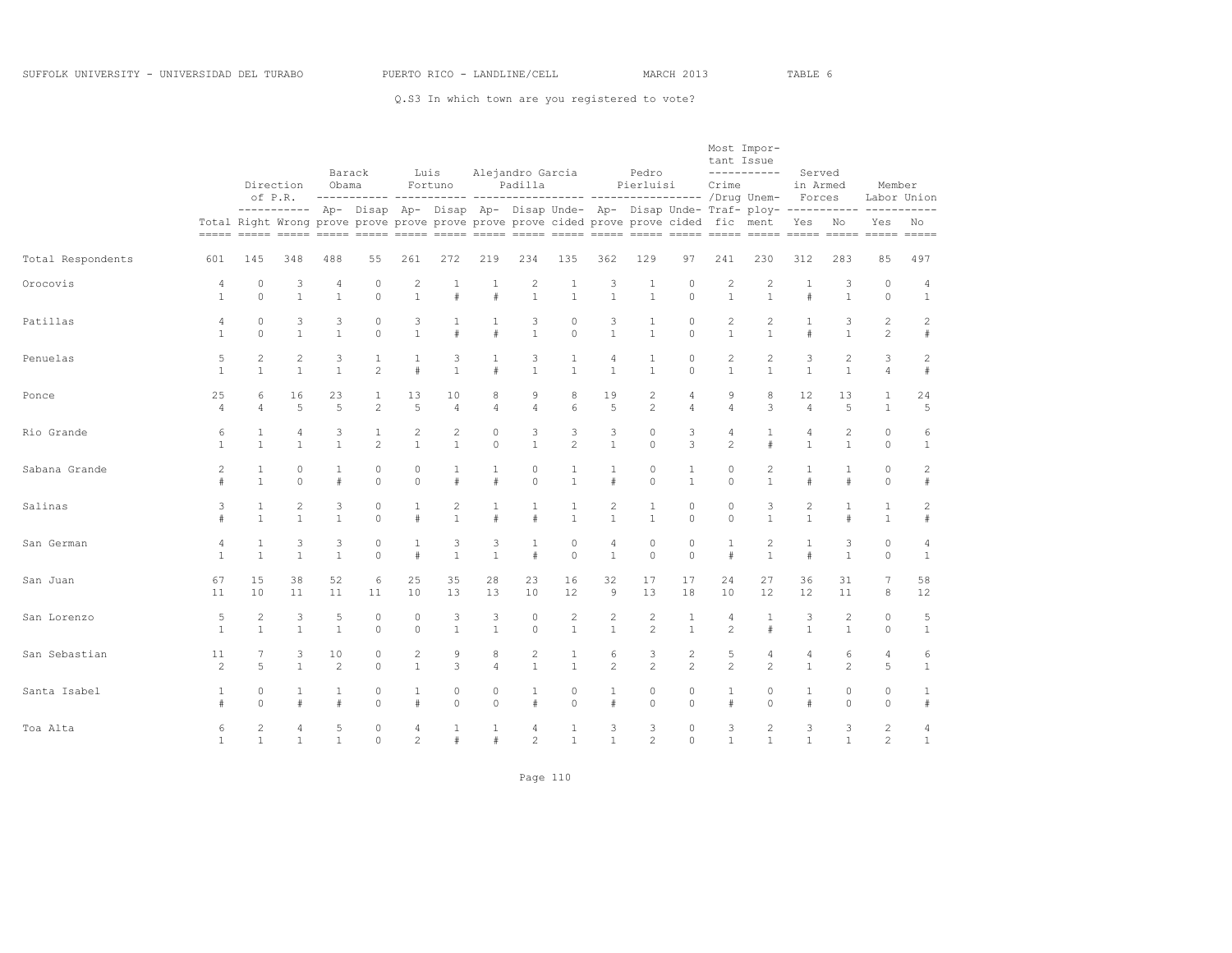Q.S3 In which town are you registered to vote?

|                   |                |                | Direction<br>of P.R. | Obama          | Barack         |                | Luis<br>Fortuno                                                                        |                | Alejandro Garcia<br>Padilla |                |                | Pedro<br>Pierluisi |                | tant Issue<br>Crime | Most Impor-<br>-----------                                                                          | Served<br>in Armed<br>Forces |                | Member                  | Labor Union  |
|-------------------|----------------|----------------|----------------------|----------------|----------------|----------------|----------------------------------------------------------------------------------------|----------------|-----------------------------|----------------|----------------|--------------------|----------------|---------------------|-----------------------------------------------------------------------------------------------------|------------------------------|----------------|-------------------------|--------------|
|                   |                |                |                      |                |                |                | Total Right Wrong prove prove prove prove prove prove cided prove prove cided fic ment |                |                             |                |                |                    |                |                     | ---------- Ap- Disap Ap- Disap Ap- Disap Unde- Ap- Disap Unde- Traf- ploy-------------------------- | Yes No                       |                | Yes                     | No           |
|                   |                |                |                      |                |                |                |                                                                                        |                |                             |                |                |                    |                |                     |                                                                                                     |                              |                |                         |              |
| Total Respondents | 601            | 145            | 348                  | 488            | 55             | 261            | 272                                                                                    | 219            | 234                         | 135            | 362            | 129                | 97             | 241                 | 230                                                                                                 | 312                          | 283            | 85                      | 497          |
| Orocovis          | 4              | 0              | 3                    | 4              | 0              | $\overline{c}$ | 1                                                                                      | 1              | 2                           | 1              | 3              | 1                  | 0              | 2                   | 2                                                                                                   | 1                            | 3              | $\circ$                 | 4            |
|                   | $\mathbf{1}$   | $\Omega$       | $\mathbf{1}$         | $\mathbf{1}$   | $\Omega$       | $\mathbf{1}$   | $\#$                                                                                   | $\#$           | $\mathbf{1}$                | $\mathbf{1}$   | $\mathbf{1}$   | $\mathbf{1}$       | $\Omega$       | $\mathbf{1}$        | $\mathbf{1}$                                                                                        | $\#$                         | $\mathbf{1}$   | $\circ$                 | $\mathbf{1}$ |
| Patillas          | $\overline{4}$ | $\circ$        | 3                    | 3              | $\circ$        | 3              | 1                                                                                      | $\mathbf{1}$   | 3                           | 0              | 3              | $\mathbf{1}$       | $\circ$        | $\mathbf{2}$        | 2                                                                                                   | $\mathbf{1}$                 | 3              | $\mathbf{2}$            | 2            |
|                   | $\mathbf{1}$   | $\Omega$       | $\mathbf{1}$         | $\mathbf{1}$   | $\Omega$       | $\mathbf{1}$   | $\#$                                                                                   | $\#$           | $\mathbf{1}$                | $\circ$        | $\mathbf{1}$   | $\mathbf{1}$       | $\Omega$       | $\mathbf{1}$        | $\mathbf{1}$                                                                                        | $\#$                         | $\mathbf{1}$   | $\overline{c}$          | #            |
| Penuelas          | 5              | $\overline{c}$ | 2                    | 3              | $\mathbf{1}$   | $\mathbf{1}$   | 3                                                                                      | $\mathbf{1}$   | 3                           | $\mathbf{1}$   | $\overline{4}$ | $\mathbf{1}$       | $\circ$        | 2                   | 2                                                                                                   | 3                            | $\overline{c}$ | 3                       | $\mathbf{2}$ |
|                   | $\mathbf{1}$   | $\mathbf{1}$   | $\mathbf{1}$         | $\mathbf{1}$   | $\mathfrak{D}$ | #              | $\mathbf{1}$                                                                           | #              | $\mathbf{1}$                | $\mathbf{1}$   | $\mathbf{1}$   | $\mathbf{1}$       | $\Omega$       | $\mathbf{1}$        | $\mathbf{1}$                                                                                        | $\mathbf{1}$                 | $\mathbf{1}$   | $\overline{4}$          | #            |
| Ponce             | 25             | 6              | 16                   | 23             | 1              | 13             | 10                                                                                     | 8              | 9                           | 8              | 19             | $\mathbf{2}$       | $\overline{4}$ | 9                   | 8                                                                                                   | 12                           | 13             | $\mathbf{1}$            | 24           |
|                   | $\overline{4}$ | $\overline{4}$ | 5                    | 5              | $\overline{2}$ | 5              | $\overline{4}$                                                                         | $\overline{4}$ | $\overline{4}$              | 6              | 5              | $\overline{c}$     | $\overline{4}$ | $\overline{4}$      | 3                                                                                                   | $\overline{4}$               | 5              | $\mathbf{1}$            | 5            |
| Rio Grande        | 6              | 1              | 4                    | 3              | $\mathbf{1}$   | 2              | $\overline{c}$                                                                         | $\circ$        | 3                           | 3              | 3              | $\circ$            | 3              | 4                   | 1                                                                                                   | 4                            | $\mathbf{2}$   | $\circ$                 | 6            |
|                   | $\mathbf{1}$   | $\mathbf{1}$   | $\mathbf{1}$         | $\mathbf{1}$   | $\overline{2}$ | $\mathbf{1}$   | $\mathbf{1}$                                                                           | $\circ$        | $\mathbf{1}$                | $\overline{2}$ | $\mathbf{1}$   | $\circ$            | 3              | $\overline{c}$      | #                                                                                                   | $\mathbf{1}$                 | $\mathbf{1}$   | $\circ$                 | $\mathbf{1}$ |
| Sabana Grande     | $\overline{c}$ | 1              | $\circ$              | $\mathbf{1}$   | $\circ$        | $\circ$        | 1                                                                                      | $\mathbf{1}$   | 0                           | $\mathbf{1}$   | $\mathbf{1}$   | $\circ$            | $\mathbf{1}$   | $\circ$             | $\overline{c}$                                                                                      | $\mathbf{1}$                 | $\mathbf{1}$   | $\mathbb O$             | $\mathbf{2}$ |
|                   | #              | $\mathbf{1}$   | $\Omega$             | #              | $\Omega$       | $\Omega$       | $\#$                                                                                   | #              | $\Omega$                    | $\mathbf{1}$   | $\#$           | $\Omega$           | $\mathbf{1}$   | $\Omega$            | $\mathbf{1}$                                                                                        | $\#$                         | #              | $\Omega$                | $\#$         |
| Salinas           | 3              | 1              | 2                    | 3              | $\circ$        | $\mathbf{1}$   | 2                                                                                      | $\mathbf{1}$   | $\mathbf{1}$                | $\mathbf{1}$   | 2              | $\mathbf{1}$       | $\circ$        | $\circ$             | 3                                                                                                   | $\overline{c}$               | 1              | $\mathbf{1}$            | $\mathbf{2}$ |
|                   | #              | $\mathbf{1}$   | $\mathbf{1}$         | $\mathbf{1}$   | $\Omega$       | #              | $\mathbf{1}$                                                                           | #              | #                           | $\mathbf{1}$   | $\mathbf{1}$   | $\mathbf{1}$       | $\circ$        | $\Omega$            | $\mathbf{1}$                                                                                        | $\mathbf{1}$                 | #              | $\mathbf{1}$            | #            |
| San German        | 4              | 1              | 3                    | 3              | $\circ$        | $\mathbf{1}$   | 3                                                                                      | 3              | $\mathbf{1}$                | $\circ$        | $\overline{4}$ | 0                  | $\circ$        | $\mathbf{1}$        | 2                                                                                                   | $\mathbf{1}$                 | 3              | $\circ$                 | 4            |
|                   | $\mathbf{1}$   | $\mathbf{1}$   | $\mathbf{1}$         | $\mathbf{1}$   | $\Omega$       | #              | $\mathbf{1}$                                                                           | $\mathbf{1}$   | $\#$                        | $\Omega$       | $\mathbf{1}$   | $\Omega$           | $\Omega$       | $\#$                | $\mathbf{1}$                                                                                        | $\#$                         | $\mathbf{1}$   | $\Omega$                | $\mathbf{1}$ |
| San Juan          | 67             | 15             | 38                   | 52             | 6              | 25             | 35                                                                                     | 28             | 23                          | 16             | 32             | 17                 | 17             | 24                  | 27                                                                                                  | 36                           | 31             | $7\phantom{.0}$         | 58           |
|                   | 11             | 10             | 11                   | 11             | 11             | 10             | 13                                                                                     | 13             | 10                          | 12             | 9              | 13                 | 18             | 10                  | 12                                                                                                  | 12                           | 11             | 8                       | 12           |
| San Lorenzo       | 5              | $\overline{c}$ | 3                    | 5              | $\circ$        | $\circ$        | 3                                                                                      | 3              | $\Omega$                    | $\overline{c}$ | $\sqrt{2}$     | $\overline{c}$     | $\mathbf{1}$   | $\overline{4}$      | $\mathbf{1}$                                                                                        | 3                            | $\overline{c}$ | $\circ$                 | 5            |
|                   | $\mathbf{1}$   | $\mathbf{1}$   | $\mathbf{1}$         | $\mathbf{1}$   | $\Omega$       | $\Omega$       | $\mathbf{1}$                                                                           | $\mathbf{1}$   | $\Omega$                    | $\mathbf{1}$   | $\mathbf{1}$   | $\mathfrak{D}$     | $\overline{1}$ | $\mathfrak{D}$      | #                                                                                                   | $\mathbf{1}$                 | $\mathbf{1}$   | $\Omega$                | $\mathbf{1}$ |
| San Sebastian     | 11             | 7              | 3                    | 10             | $\circ$        | $\mathbf{2}$   | $\overline{9}$                                                                         | 8              | $\overline{c}$              | $\mathbf{1}$   | 6              | 3                  | $\overline{c}$ | 5                   | $\overline{4}$                                                                                      | 4                            | 6              | $\overline{4}$          | 6            |
|                   | 2              | 5              | $\mathbf{1}$         | $\mathfrak{D}$ | $\Omega$       | $\mathbf{1}$   | 3                                                                                      | $\overline{4}$ | $\mathbf{1}$                | $\mathbf{1}$   | $\overline{2}$ | $\mathfrak{D}$     | $\mathfrak{D}$ | $\overline{c}$      | $\mathfrak{D}$                                                                                      | $\mathbf{1}$                 | $\mathfrak{D}$ | 5                       | $\mathbf{1}$ |
| Santa Isabel      | 1<br>#         | 0<br>$\Omega$  | $\pm$                | 1<br>$\pm$     | 0<br>$\Omega$  | 1<br>#         | 0<br>$\Omega$                                                                          | 0<br>$\Omega$  | 1<br>#                      | 0<br>$\Omega$  | 1<br>$\#$      | 0<br>$\Omega$      | 0<br>$\Omega$  | 1<br>#              | 0<br>$\Omega$                                                                                       | 1<br>$\#$                    | 0<br>$\Omega$  | $\mathbb O$<br>$\Omega$ | 1<br>#       |
| Toa Alta          | 6              | 2              | $\overline{4}$       | 5              | $\circ$        | $\overline{4}$ | 1                                                                                      | $\mathbf{1}$   | 4                           | $\mathbf{1}$   | 3              | 3                  | $\circ$        | 3                   | 2                                                                                                   | 3                            | 3              | $\mathbf{2}$            | 4            |
|                   | $\mathbf{1}$   | $\mathbf{1}$   | $\mathbf{1}$         | $\mathbf{1}$   | $\circ$        | $\overline{c}$ | $\#$                                                                                   | $\#$           | $\overline{c}$              | $\mathbf{1}$   | $\mathbf{1}$   | $\overline{c}$     | $\Omega$       | $\mathbf{1}$        | $\mathbf{1}$                                                                                        | $\mathbf{1}$                 | $\mathbf{1}$   | $\overline{c}$          | $\mathbf{1}$ |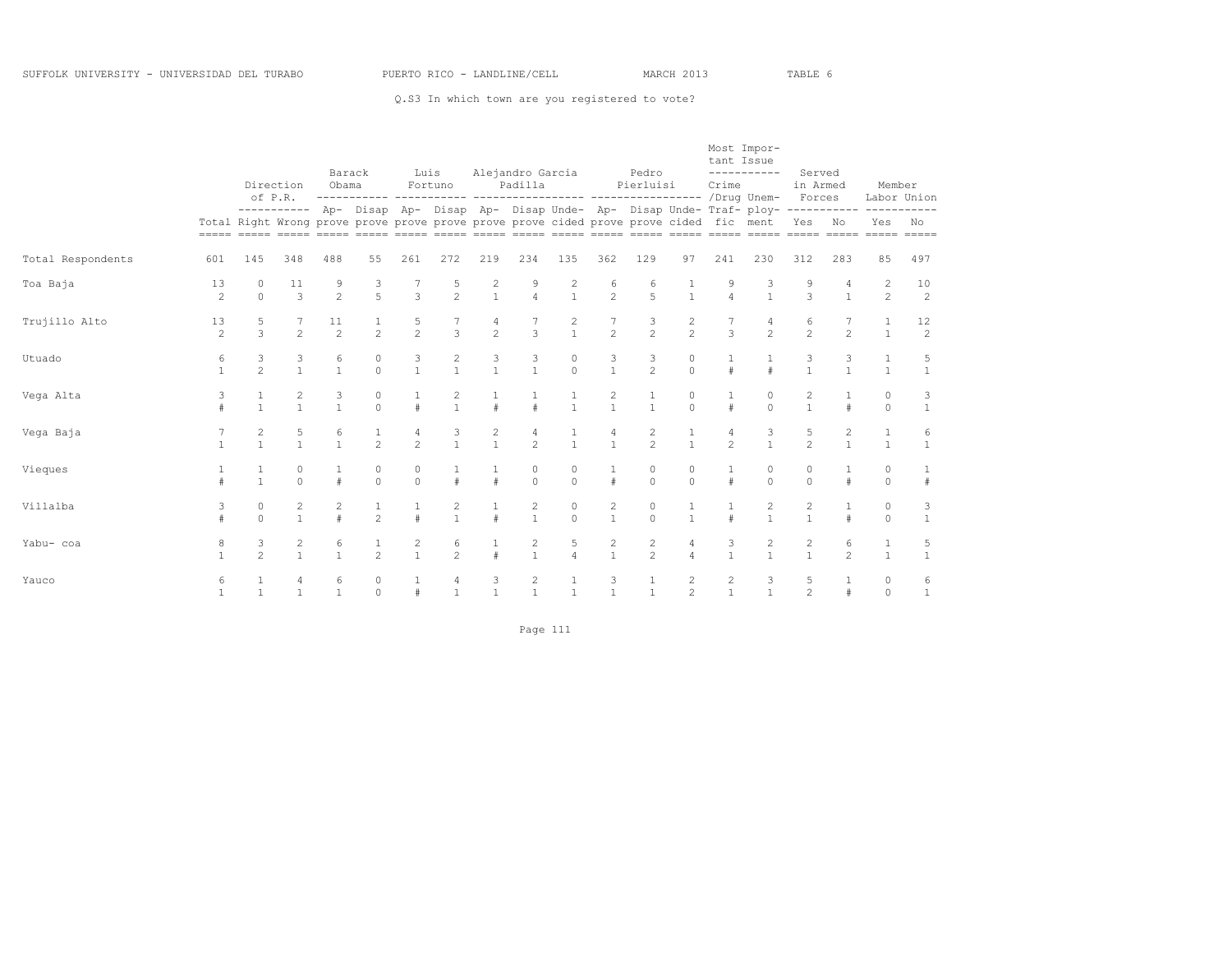Q.S3 In which town are you registered to vote?

|                   |                      |                              | Direction<br>of P.R.         | Barack<br>Obama<br>$- - - -$ | ------ ----------- -----                                                               | Luis                | Fortuno                               |                                       | Alejandro Garcia<br>Padilla    |                                       |                                | Pedro<br>Pierluisi<br>-------- ----------------- |                                  | tant Issue<br>Crime            | Most Impor-<br>-----------<br>/Drug Unem-                                  | Served<br>in Armed<br>Forces  |                              | Member                           | Labor Union                            |
|-------------------|----------------------|------------------------------|------------------------------|------------------------------|----------------------------------------------------------------------------------------|---------------------|---------------------------------------|---------------------------------------|--------------------------------|---------------------------------------|--------------------------------|--------------------------------------------------|----------------------------------|--------------------------------|----------------------------------------------------------------------------|-------------------------------|------------------------------|----------------------------------|----------------------------------------|
|                   |                      |                              |                              |                              | Total Right Wrong prove prove prove prove prove prove cided prove prove cided fic ment |                     |                                       |                                       |                                |                                       |                                |                                                  |                                  |                                | ---------- Ap- Disap Ap- Disap Ap- Disap Unde- Ap- Disap Unde- Traf- ploy- | Yes                           | -----------<br>No            | Yes<br>$=====$                   | No<br>$= = = = =$                      |
| Total Respondents | 601                  | 145                          | 348                          | 488                          | 55                                                                                     | 261                 | 272                                   | 219                                   | 234                            | 135                                   | 362                            | 129                                              | 97                               | 241                            | 230                                                                        | 312                           | 283                          | 85                               | 497                                    |
| Toa Baja          | 13<br>$\mathfrak{D}$ | 0<br>$\Omega$                | 11<br>3                      | 9<br>$\mathfrak{D}$          | $\frac{3}{5}$                                                                          | 3                   | $\frac{5}{2}$                         | $\begin{array}{c} 2 \\ 1 \end{array}$ | 9<br>$\overline{4}$            | $\begin{array}{c} 2 \\ 1 \end{array}$ | 6<br>$\mathfrak{D}$            | 6<br>$\overline{5}$                              | $\frac{1}{1}$                    | 9<br>$\overline{4}$            | 3<br>$\mathbf{1}$                                                          | 9<br>3                        | 4<br>$\mathbf{1}$            | $\overline{c}$<br>$\overline{2}$ | 10<br>2                                |
| Trujillo Alto     | 13<br>$\mathfrak{D}$ | 5<br>$\mathcal{L}$           | $\mathfrak{D}$               | 11<br>$\mathfrak{D}$         | $\mathfrak{D}$                                                                         | 5<br>$\mathfrak{D}$ | $\overline{3}$                        | 4<br>$\mathfrak{D}$                   | $\mathcal{L}$                  | $\begin{array}{c} 2 \\ 1 \end{array}$ | 7<br>$\mathfrak{D}$            | 3<br>$\overline{2}$                              | $\frac{2}{2}$                    | $\mathcal{L}$                  | 4<br>$\mathfrak{D}$                                                        | 6<br>$\overline{2}$           | $\mathfrak{D}$               | 1<br>$\overline{1}$              | $\begin{array}{c} 12 \\ 2 \end{array}$ |
| Utuado            | 6<br>$\mathbf{1}$    | 3<br>$\mathfrak{D}$          | 3<br>$\overline{1}$          | 6<br>$\mathbf{1}$            | $\mathbb O$<br>$\Omega$                                                                | 3<br>$\mathbf{1}$   | $\begin{array}{c} 2 \\ 1 \end{array}$ | $\frac{3}{1}$                         | $\frac{3}{1}$                  | $\mathbb O$<br>$\Omega$               | $\frac{3}{1}$                  | $\frac{3}{2}$                                    | $\mathbb O$<br>$\Omega$          | $\pm$                          | $\pm$                                                                      | 3<br>$\mathbf{1}$             | 3<br>$\mathbf{1}$            | $\mathbf{1}$<br>$\overline{1}$   | 5<br>$\mathbf{1}$                      |
| Vega Alta         | 3<br>$\#$            | 1<br>$\mathbf{1}$            | $\mathbf{1}$                 | 3<br>$\mathbf{1}$            | 0<br>$\Omega$                                                                          | $\pm$               | $\frac{2}{1}$                         | $\pm$                                 | $\pm$                          | $\mathbf{1}$                          | 2<br>$\mathbf{1}$              | 1<br>$\mathbf{1}$                                | 0<br>$\cap$                      | $\pm$                          | 0<br>$\cap$                                                                | 2<br>$\mathbf{1}$             | $\#$                         | $\circ$<br>$\Omega$              | 3<br>$\mathbf{1}$                      |
| Vega Baja         | $\mathbf{1}$         | 2<br>$\mathbf{1}$            | 5<br>$\mathbf{1}$            | 6<br>$\mathbf{1}$            | $\mathbf{1}$<br>$\overline{2}$                                                         | 4<br>$\overline{2}$ | 3<br>$\mathbf{1}$                     | $\overline{c}$<br>$\mathbf{1}$        | 4<br>$\mathfrak{D}$            | 1<br>$\mathbf{1}$                     | 4<br>$\mathbf{1}$              | 2<br>$\overline{2}$                              | $\mathbf{1}$<br>$\overline{1}$   | 4<br>$\mathfrak{D}$            | 3<br>$\mathbf{1}$                                                          | 5<br>$\overline{2}$           | $\mathbf{2}$<br>$\mathbf{1}$ | $\mathbf{1}$<br>$\overline{1}$   | 6<br>$\mathbf{1}$                      |
| Vieques           | $\#$                 | $\mathbf{1}$<br>$\mathbf{1}$ | 0<br>$\Omega$                | #                            | $\circ$<br>$\Omega$                                                                    | $\circ$<br>$\Omega$ | 1<br>$\ddagger$                       | $\#$                                  | 0<br>$\Omega$                  | $\circ$<br>$\Omega$                   | $\mathbf{1}$<br>$\#$           | 0<br>$\Omega$                                    | $\circ$<br>$\cap$                |                                | 0<br>$\Omega$                                                              | 0<br>$\Omega$                 | #                            | $\circ$<br>$\Omega$              | $\#$                                   |
| Villalba          | 3                    | 0<br>$\Omega$                | 2<br>$\mathbf{1}$            | 2<br>$\#$                    | 1<br>$\overline{2}$                                                                    | 1<br>$\#$           | 2<br>$\mathbf{1}$                     | 1<br>$\pm$                            | $\overline{c}$<br>$\mathbf{1}$ | $\circ$<br>$\Omega$                   | $\mathbf{2}$<br>$\mathbf{1}$   | 0<br>$\Omega$                                    | 1<br>$\overline{1}$              |                                | 2                                                                          | $\mathbf{2}$<br>$\mathbf{1}$  | 1<br>#                       | $\circ$<br>$\circ$               | 3<br>$\mathbf{1}$                      |
| Yabu- coa         | 8                    | 3<br>$\overline{2}$          | $\mathbf{2}$<br>$\mathbf{1}$ | 6<br>$\mathbf{1}$            | 1<br>$\overline{2}$                                                                    | 2<br>$\mathbf{1}$   | 6<br>$\overline{2}$                   | $\mathbf{1}$<br>$\pm$                 | $\overline{c}$<br>$\mathbf{1}$ | 5<br>$\Delta$                         | $\overline{c}$<br>$\mathbf{1}$ | $\overline{c}$<br>$\overline{2}$                 | 4<br>$\Delta$                    | 3<br>$\mathbf{1}$              | 2                                                                          | 2<br>$\mathbf{1}$             | 6<br>$\mathfrak{D}$          | $\mathbf{1}$<br>$\mathbf{1}$     | 5<br>$\mathbf{1}$                      |
| Yauco             | 6                    | 1<br>$\mathbf{1}$            | 4<br>$\overline{1}$          | 6<br>$\mathbf{1}$            | $\circ$<br>$\Omega$                                                                    |                     | 4<br>$\mathbf{1}$                     | 3<br>$\overline{1}$                   | $\overline{c}$<br>$\mathbf{1}$ |                                       | 3<br>1                         | 1<br>$\mathbf{1}$                                | $\overline{c}$<br>$\overline{2}$ | $\overline{c}$<br>$\mathbf{1}$ | 3                                                                          | 5<br>$\overline{\mathcal{L}}$ | 1<br>$\ddagger$              | $\circ$<br>$\Omega$              | 6<br>$1\,$                             |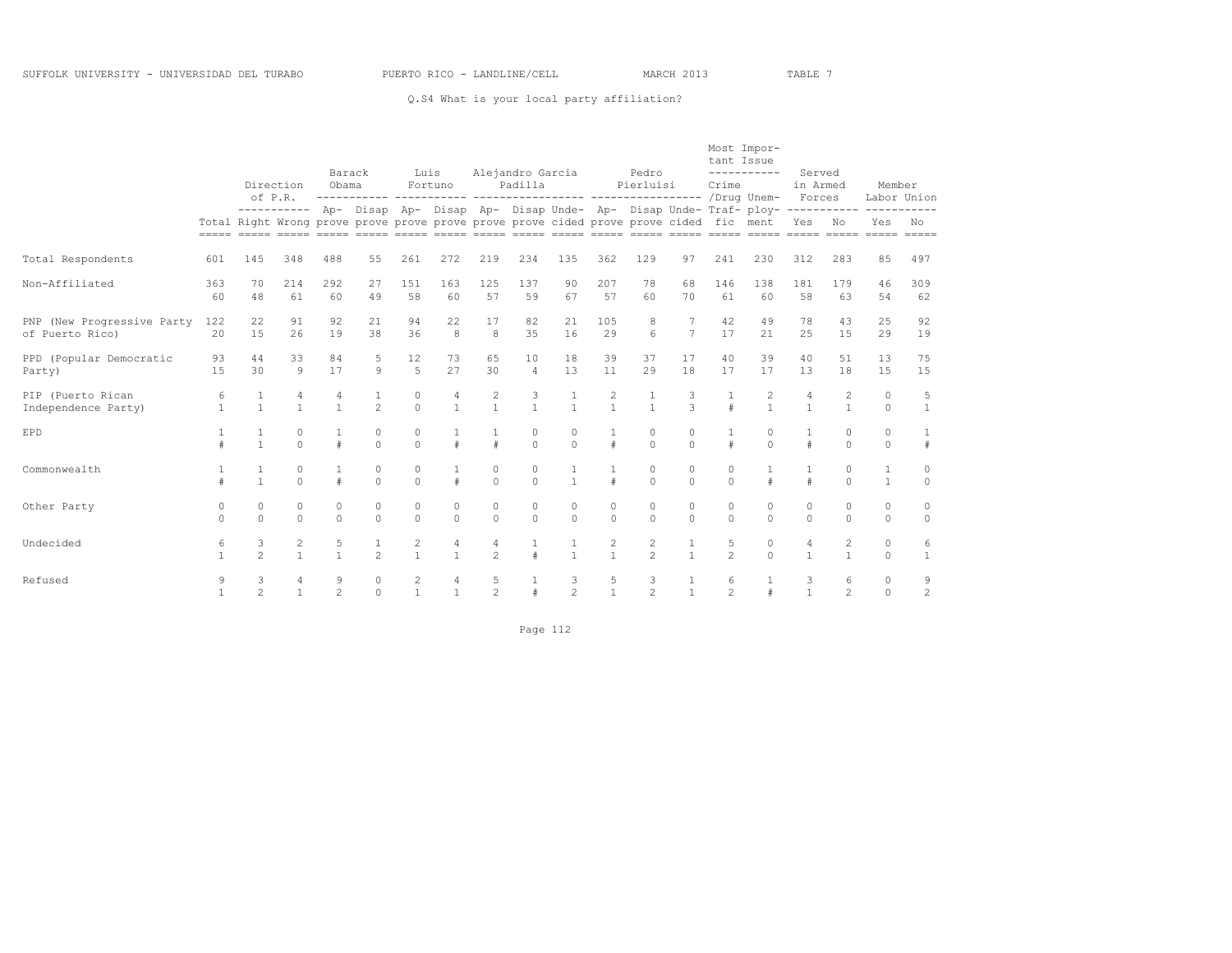#### Q.S4 What is your local party affiliation?

|                                               |                   |                     | Direction<br>of P.R.                  | Barack<br>Obama     | ------------ ----------- ------                                                        | Luis                                    | Fortuno                        |                     | Alejandro Garcia<br>Padilla |                     |                     | Pedro<br>Pierluisi<br>----------- ----------------- /Drug Unem- |                     | tant Issue<br>Crime | Most Impor-<br>-----------                                                           | Served<br>in Armed<br>Forces   |                     | Member              | Labor Union         |
|-----------------------------------------------|-------------------|---------------------|---------------------------------------|---------------------|----------------------------------------------------------------------------------------|-----------------------------------------|--------------------------------|---------------------|-----------------------------|---------------------|---------------------|-----------------------------------------------------------------|---------------------|---------------------|--------------------------------------------------------------------------------------|--------------------------------|---------------------|---------------------|---------------------|
|                                               |                   |                     |                                       |                     | Total Right Wrong prove prove prove prove prove prove cided prove prove cided fic ment |                                         |                                |                     |                             |                     |                     |                                                                 |                     |                     | ---------- Ap- Disap Ap- Disap Ap- Disap Unde- Ap- Disap Unde- Traf- ploy----------- | Yes No                         |                     | Yes                 | No                  |
| Total Respondents                             | 601               | 145                 | 348                                   | 488                 | 55                                                                                     | 261                                     | 272                            | 219                 | 234                         | 135                 | 362                 | 129                                                             | 97                  | 241                 | 230                                                                                  | 312                            | 283                 | 85                  | 497                 |
| Non-Affiliated                                | 363<br>60         | 70<br>48            | 214<br>61                             | 292<br>60           | 27<br>49                                                                               | 1.51<br>58                              | 163<br>60                      | 125<br>57           | 137<br>59                   | 90<br>67            | 207<br>57           | 78<br>60                                                        | 68<br>70            | 146<br>61           | 138<br>60                                                                            | 181<br>58                      | 179<br>63           | 46<br>54            | 309<br>62           |
| PNP (New Progressive Party<br>of Puerto Rico) | 122<br>20         | 22<br>1.5           | 91<br>26                              | 92<br>19            | 21<br>38                                                                               | 94<br>36                                | 22<br>$\mathsf{R}$             | 17<br>8             | 82<br>35                    | 21<br>16            | 105<br>29           | 8<br>6                                                          | 7<br>$\overline{7}$ | 42<br>17            | 49<br>21                                                                             | 78<br>2.5                      | 43<br>1.5           | 25<br>29            | 92<br>19            |
| PPD (Popular Democratic<br>Party)             | 93<br>1.5         | 44<br>30            | 33<br>$\circ$                         | 84<br>17            | 5<br>$\circ$                                                                           | 12<br>5                                 | 73<br>27                       | 65<br>30            | 10<br>$\Delta$              | 18<br>13            | 39<br>11            | 37<br>29                                                        | 17<br>18            | 40<br>17            | 39<br>17                                                                             | 40<br>1.3                      | 51<br>18            | 13<br>1.5           | 75<br>1.5           |
| PIP (Puerto Rican<br>Independence Party)      | 6<br>$\mathbf{1}$ | 1<br>$\overline{1}$ | 4                                     | 4<br>$\mathbf{1}$   | $\mathbf{1}$<br>$\mathfrak{D}$                                                         | $\circ$<br>$\Omega$                     | $\overline{4}$<br>$\mathbf{1}$ | 2<br>$\overline{1}$ | 3<br>$\mathbf{1}$           | 1<br>$\mathbf{1}$   | 2<br>$\mathbf{1}$   | $\mathbf{1}$<br>$\mathbf{1}$                                    | 3<br>$\mathcal{L}$  |                     | 2<br>$\mathbf{1}$                                                                    | $\overline{4}$<br>$\mathbf{1}$ | 2<br>$\mathbf{1}$   | $\circ$<br>$\Omega$ | 5<br>$\overline{1}$ |
| <b>EPD</b>                                    | #                 | 1<br>$\mathbf{1}$   | $\circ$<br>$\Omega$                   | $\#$                | $\circ$<br>$\Omega$                                                                    | $\circ$<br>$\Omega$                     | 1<br>$\pm$                     | $\pm$               | $\circ$<br>$\Omega$         | $\circ$<br>$\Omega$ | 1<br>$\#$           | 0<br>$\Omega$                                                   | $\circ$<br>$\Omega$ |                     | $\circ$<br>$\Omega$                                                                  | 1<br>$\#$                      | $\circ$<br>$\Omega$ | $\circ$<br>$\cap$   | 1<br>#              |
| Commonwealth                                  | #                 | 1<br>$\mathbf{1}$   | $\circ$<br>$\cap$                     | $\pm$               | $\circ$<br>$\Omega$                                                                    | $\circ$<br>$\Omega$                     | 1<br>$\pm$                     | $\circ$<br>$\Omega$ | $\circ$<br>$\Omega$         | 1<br>$\mathbf{1}$   | 1<br>$\pm$          | 0<br>$\Omega$                                                   | $\circ$<br>$\Omega$ | $\circ$<br>$\cap$   | $\pm$                                                                                | 1<br>$\#$                      | $\circ$<br>$\cap$   | 1<br>$\mathbf{1}$   | $\circ$<br>$\Omega$ |
| Other Party                                   | 0<br>$\Omega$     | $\circ$<br>$\Omega$ | $\circ$<br>$\Omega$                   | $\circ$<br>$\Omega$ | $\circ$<br>$\Omega$                                                                    | $\circ$<br>$\Omega$                     | $\circ$<br>$\Omega$            | $\circ$<br>$\cap$   | $\circ$<br>$\Omega$         | $\circ$<br>$\Omega$ | $\circ$<br>$\Omega$ | 0<br>$\Omega$                                                   | $\circ$<br>$\Omega$ | $\circ$<br>$\Omega$ | 0<br>$\Omega$                                                                        | $\circ$<br>$\Omega$            | $\circ$<br>$\cap$   | $\circ$<br>$\cap$   | $\circ$<br>$\Omega$ |
| Undecided                                     | 6<br>1            | 3<br>$\mathfrak{D}$ | $\begin{array}{c} 2 \\ 1 \end{array}$ | 5                   | $\mathbf{1}$<br>$\overline{2}$                                                         | $\overline{c}$<br>$\mathbf{1}$          | $\overline{4}$<br>$\mathbf{1}$ | 4<br>$\overline{2}$ | $\pm$                       | 1<br>$\mathbf{1}$   | 2                   | $\overline{\mathbf{c}}$<br>$\overline{2}$                       | $\frac{1}{1}$       | 5<br>$\overline{2}$ | $\circ$<br>$\cap$                                                                    | 4<br>$\mathbf{1}$              | $\overline{c}$      | $\circ$<br>$\cap$   | 6<br>$\overline{1}$ |
| Refused                                       | 9                 | 3<br>$\overline{2}$ |                                       | $\frac{9}{2}$       | $\circ$<br>$\Omega$                                                                    | $\overline{\mathbf{c}}$<br>$\mathbf{1}$ | 4<br>$\mathbf{1}$              | 5<br>$\overline{2}$ | $\pm$                       | $\frac{3}{2}$       | $\frac{5}{1}$       | $\frac{3}{2}$                                                   | $\frac{1}{1}$       | 6<br>$\mathfrak{D}$ |                                                                                      | 3                              | 6<br>$\mathfrak{D}$ | $\circ$<br>$\Omega$ | 9<br>$\mathfrak{D}$ |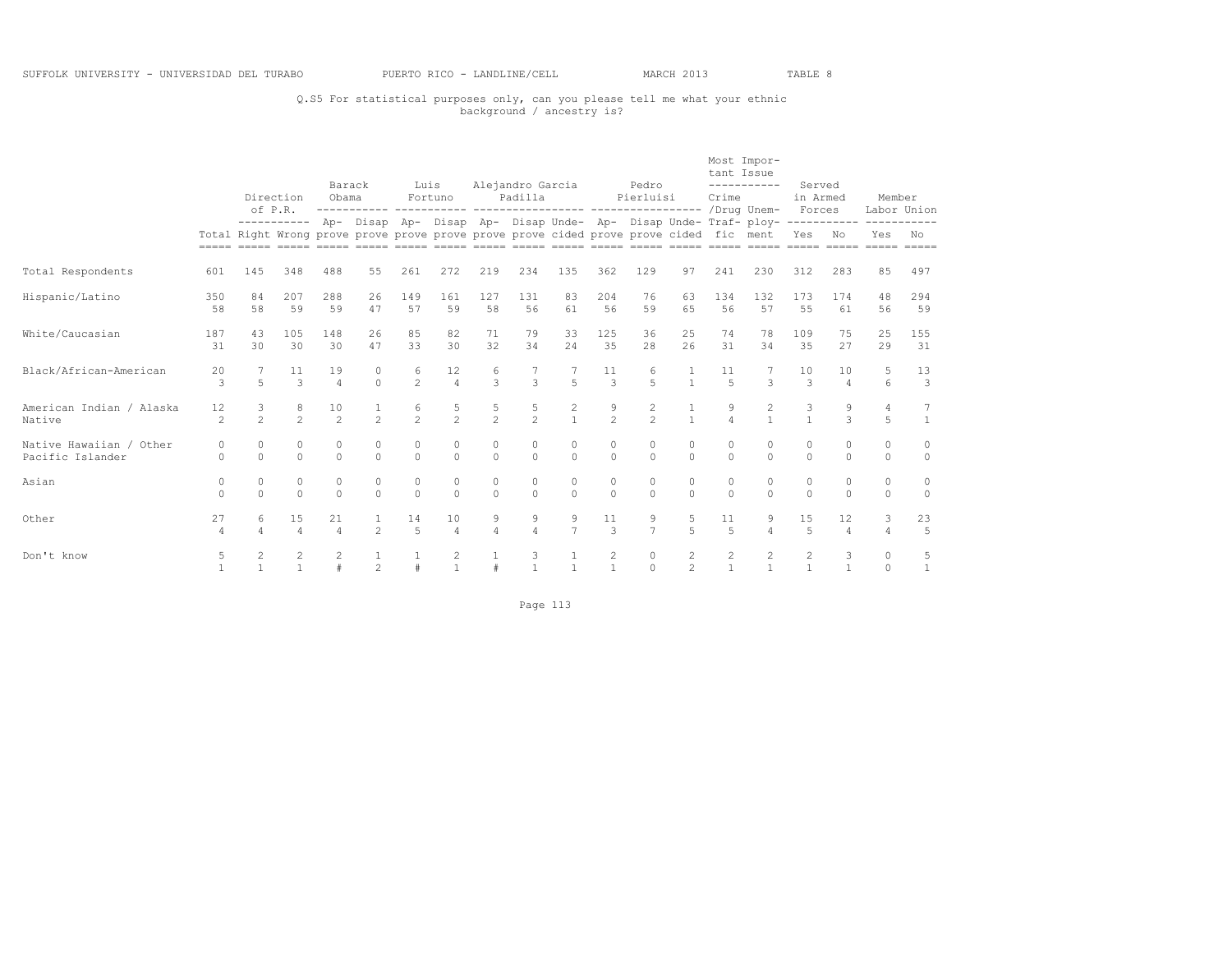## Q.S5 For statistical purposes only, can you please tell me what your ethnic background / ancestry is?

|                                             |                      | of P.R.             | Direction                    | Barack<br>Obama      |                                                                                        | Luis                 | Fortuno              |                     | Alejandro Garcia<br>Padilla |                                |                     | Pedro<br>Pierluisi  |                                  | tant Issue<br>Crime  | Most Impor-<br>-----------                                                                                                                                                                  | Served<br>in Armed<br>Forces |                               | Member              | Labor Union          |
|---------------------------------------------|----------------------|---------------------|------------------------------|----------------------|----------------------------------------------------------------------------------------|----------------------|----------------------|---------------------|-----------------------------|--------------------------------|---------------------|---------------------|----------------------------------|----------------------|---------------------------------------------------------------------------------------------------------------------------------------------------------------------------------------------|------------------------------|-------------------------------|---------------------|----------------------|
|                                             |                      |                     |                              |                      | Total Right Wrong prove prove prove prove prove prove cided prove prove cided fic ment |                      |                      |                     |                             |                                |                     |                     |                                  |                      | ---------- Ap- Disap Ap- Disap Ap- Disap Unde- Ap- Disap Unde- Traf- ploy-<br>actor conte costo actor actor conto costo actor costo costo costo costo costo costo costo costo costo costo c | Yes No                       | -----------                   | ----------<br>Yes   | No<br>$=$            |
| Total Respondents                           | 601                  | 145                 | 348                          | 488                  | 55                                                                                     | 261                  | 272                  | 219                 | 234                         | 135                            | 362                 | 129                 | 97                               | 241                  | 230                                                                                                                                                                                         | 312                          | 283                           | 85                  | 497                  |
| Hispanic/Latino                             | 350<br>58            | 84<br>58            | 207<br>59                    | 288<br>59            | 26<br>47                                                                               | 149<br>57            | 161<br>59            | 127<br>58           | 1.31<br>56                  | 83<br>61                       | 204<br>56           | 76<br>59            | 63<br>65                         | 134<br>56            | 132<br>57                                                                                                                                                                                   | 173<br>55                    | 174<br>61                     | 48<br>56            | 294<br>59            |
| White/Caucasian                             | 187<br>31            | 43<br>30            | 105<br>30                    | 148<br>30            | 26<br>47                                                                               | 85<br>33             | 82<br>30             | 71<br>32            | 79<br>34                    | 33<br>24                       | 125<br>35           | 36<br>28            | 25<br>26                         | 74<br>31             | 78<br>34                                                                                                                                                                                    | 109<br>35                    | 75<br>27                      | 25<br>29            | 155<br>31            |
| Black/African-American                      | 20<br>3              | $\overline{a}$      | 11<br>$\mathcal{L}$          | 19<br>4              | 0<br>$\Omega$                                                                          | 6<br>$\mathfrak{D}$  | 12<br>$\overline{a}$ | 6<br>$\mathcal{L}$  | $\mathcal{L}$               | $\overline{5}$                 | 11<br>$\mathcal{L}$ | 6<br>$\overline{a}$ | $\mathbf{1}$                     | 11<br>$\overline{5}$ | $\mathcal{L}$                                                                                                                                                                               | 10<br>$\mathcal{L}$          | 10<br>$\varDelta$             | 6                   | 13<br>3              |
| American Indian / Alaska<br>Native          | 12<br>$\overline{c}$ | 3<br>$\overline{2}$ | $^{\rm 8}$<br>$\overline{c}$ | 10<br>$\mathfrak{D}$ | $\mathfrak{D}$                                                                         | 6<br>$\overline{2}$  | 5<br>$\overline{2}$  | 5<br>$\overline{2}$ | 5<br>$\overline{2}$         | $\overline{c}$<br>$\mathbf{1}$ | 9<br>$\overline{c}$ | 2<br>$\mathfrak{D}$ | $\mathbf{1}$                     | 9<br>$\overline{a}$  | $\mathbf{1}$                                                                                                                                                                                | 3<br>$\mathbf{1}$            | 9<br>3                        | $\overline{4}$<br>5 | $\overline{1}$       |
| Native Hawaiian / Other<br>Pacific Islander | $\Omega$<br>$\Omega$ | 0<br>$\Omega$       | $\circ$<br>$\Omega$          | $\circ$<br>$\Omega$  | $\circ$<br>$\Omega$                                                                    | $\circ$<br>$\Omega$  | $\circ$<br>$\Omega$  | $\circ$<br>$\Omega$ | $\circ$                     | 0<br>$\Omega$                  | $\circ$<br>$\Omega$ | $\circ$<br>$\Omega$ | $\circ$<br>$\Omega$              | $\circ$              | 0<br>$\Omega$                                                                                                                                                                               | $\circ$<br>$\Omega$          | $\circ$<br>$\cap$             | $\circ$<br>$\Omega$ | $\circ$<br>$\circ$   |
| Asian                                       | $\circ$<br>$\Omega$  | 0<br>$\Omega$       | $\circ$<br>$\circ$           | $\circ$<br>$\Omega$  | $\circ$<br>$\Omega$                                                                    | $\circ$<br>$\Omega$  | $\circ$<br>$\Omega$  | $\circ$<br>$\circ$  | $\circ$<br>$\Omega$         | $\circ$<br>$\Omega$            | 0<br>$\Omega$       | $\circ$<br>$\Omega$ | $\circ$<br>$\Omega$              | $\circ$<br>$\Omega$  | 0<br>$\Omega$                                                                                                                                                                               | $\circ$<br>$\Omega$          | $\circ$<br>$\Omega$           | $\circ$<br>$\Omega$ | $\circ$<br>$\Omega$  |
| Other                                       | 27<br>$\overline{4}$ | 6<br>4              | 15<br>$\Delta$               | 21<br>$\overline{4}$ | $\mathfrak{D}$                                                                         | 14<br>$\overline{5}$ | 10<br>$\overline{4}$ | 9<br>$\Delta$       | 9<br>$\overline{4}$         | 9<br>$\overline{7}$            | 11<br>$\mathcal{L}$ | 9<br>$\overline{7}$ | 5<br>$\overline{a}$              | 11<br>$\overline{5}$ | 9<br>4                                                                                                                                                                                      | 15<br>5                      | $12 \overline{ }$<br>$\Delta$ | 3<br>4              | 23<br>$\overline{5}$ |
| Don't know                                  | 5                    | 2                   | 2<br>$\overline{1}$          |                      | $\overline{2}$                                                                         |                      | 2<br>$\overline{1}$  | #                   |                             |                                | 2<br>$\overline{1}$ | $\circ$<br>$\Omega$ | $\overline{c}$<br>$\overline{2}$ | 2                    | 2                                                                                                                                                                                           | 2<br>$\mathbf{1}$            | 3                             | $\circ$<br>$\Omega$ | 5<br>$\overline{1}$  |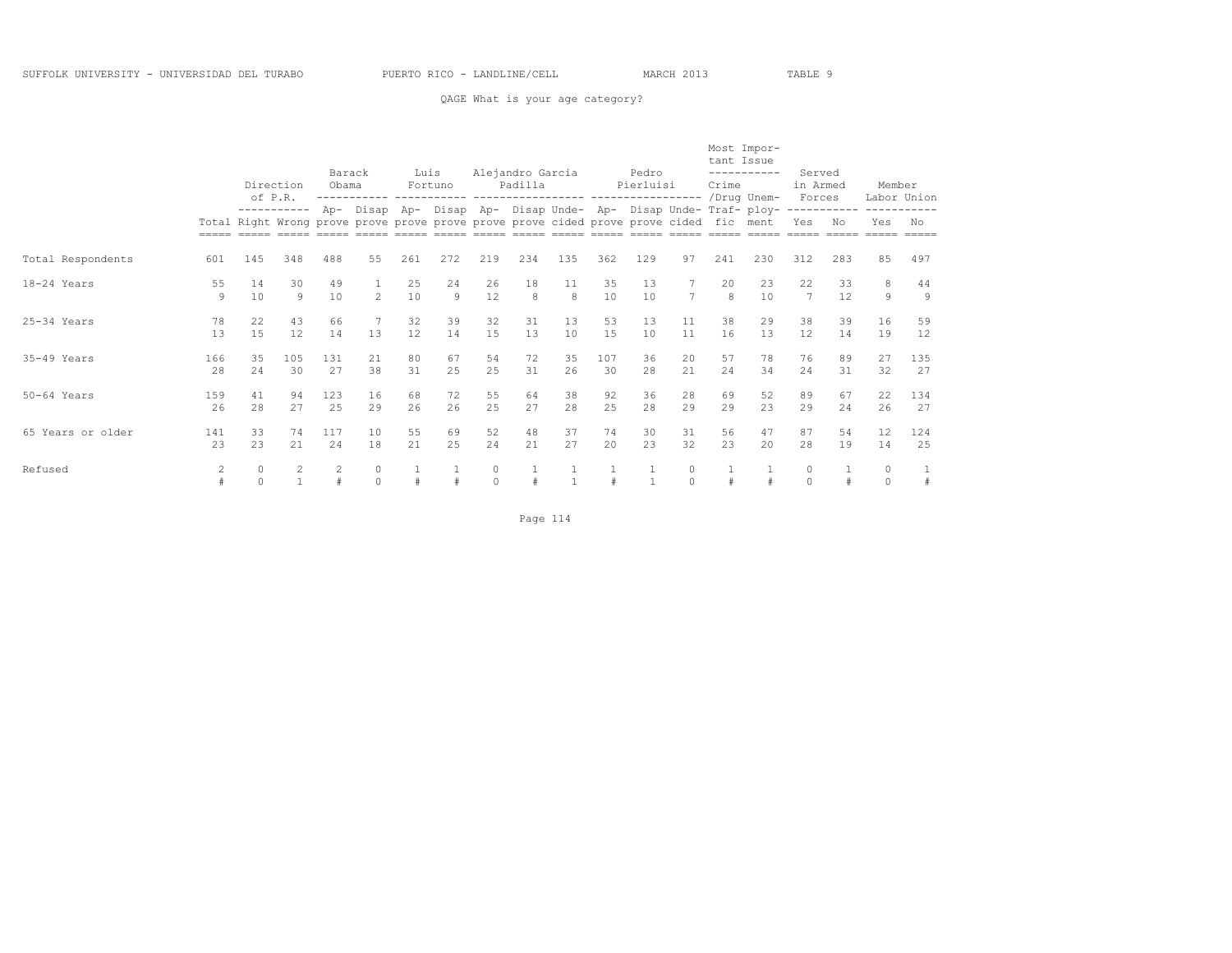#### QAGE What is your age category?

|                   |           | of P.R.       | Direction   | Barack<br>Obama |                     | Luis      | Fortuno   |                      | Alejandro Garcia<br>Padilla                                                                                                                                                                    |           |           | Pedro<br>Pierluisi |                      | tant Issue<br>Crime | Most Impor-<br>-----------<br>/Drug Unem-                   | Served<br>in Armed<br>Forces |                                          | Member<br>Labor Union        |                      |
|-------------------|-----------|---------------|-------------|-----------------|---------------------|-----------|-----------|----------------------|------------------------------------------------------------------------------------------------------------------------------------------------------------------------------------------------|-----------|-----------|--------------------|----------------------|---------------------|-------------------------------------------------------------|------------------------------|------------------------------------------|------------------------------|----------------------|
|                   |           |               | ----------- | Ap-             |                     |           |           |                      | Total Right Wrong prove prove prove prove prove prove cided prove prove cided fic ment<br><u>soos asoo aasoo aasoo aasoo aasoo aasoo aasoo aasoo aasoo aasoo aasoo aasoo aasoo aasoo aasoo</u> |           |           |                    |                      |                     | Disap Ap- Disap Ap- Disap Unde- Ap- Disap Unde- Traf- ploy- | Yes<br>$=====$               | -----------<br>No<br>$=$ $=$ $=$ $=$ $=$ | ----------<br>Yes<br>$=====$ | No<br>$=====$        |
| Total Respondents | 601       | 145           | 348         | 488             | 55                  | 261       | 272       | 219                  | 234                                                                                                                                                                                            | 135       | 362       | 129                | 97                   | 241                 | 230                                                         | 312                          | 283                                      | 85                           | 497                  |
| 18-24 Years       | 55<br>9   | 14<br>10      | 30<br>9     | 49<br>10        | $\mathfrak{D}$      | 25<br>10  | 24<br>9   | 26<br>12             | 18<br>8                                                                                                                                                                                        | 11<br>8   | 35<br>10  | 13<br>10           | $\overline{7}$       | 20<br>$\mathsf{R}$  | 23<br>10                                                    | 22<br>$\overline{7}$         | 33<br>12                                 | 8<br>9                       | 44<br>$\overline{9}$ |
| $25-34$ Years     | 78<br>13  | 22<br>15      | 43<br>12    | 66<br>14        | 13                  | 32<br>12  | 39<br>14  | 32<br>15             | 31<br>13                                                                                                                                                                                       | 13<br>10  | 53<br>15  | 13<br>10           | 11<br>11             | 38<br>16            | 29<br>13                                                    | 38<br>12                     | 39<br>14                                 | 16<br>19                     | 59<br>12             |
| $35-49$ Years     | 166<br>28 | 35<br>24      | 105<br>30   | 131<br>27       | 21<br>38            | 80<br>31  | 67<br>2.5 | 54<br>25             | 72<br>31                                                                                                                                                                                       | 35<br>26  | 107<br>30 | 36<br>28           | 20<br>21             | 57<br>24            | 78<br>34                                                    | 76<br>24                     | 89<br>31                                 | 27<br>32                     | 135<br>27            |
| $50-64$ Years     | 159<br>26 | 41<br>28      | 94<br>27    | 123<br>25       | 16<br>29            | 68<br>26  | 72<br>26  | 55<br>25             | 64<br>27                                                                                                                                                                                       | 38<br>2.8 | 92<br>25  | 36<br>28           | 28<br>29             | 69<br>29            | 52<br>23                                                    | 89<br>29                     | 67<br>2.4                                | 22<br>26                     | 134<br>27            |
| 65 Years or older | 141<br>23 | 33<br>2.3     | 74<br>2.1   | 117<br>2.4      | 10<br>18            | 55<br>2.1 | 69<br>2.5 | 52<br>2.4            | 48<br>21                                                                                                                                                                                       | 37<br>27  | 74<br>2.0 | 30<br>2.3          | 31<br>32             | 56<br>23            | 47<br>2.0                                                   | 87<br>28                     | 54<br>19                                 | 12<br>14                     | 124<br>25            |
| Refused           | 2<br>$\#$ | 0<br>$\Omega$ | 2           | $\overline{c}$  | $\circ$<br>$\Omega$ |           |           | $\circ$<br>$\bigcap$ |                                                                                                                                                                                                |           |           |                    | $\circ$<br>$\bigcap$ |                     |                                                             | $\circ$<br>$\Omega$          |                                          | $\circ$<br>$\Omega$          | 1<br>#               |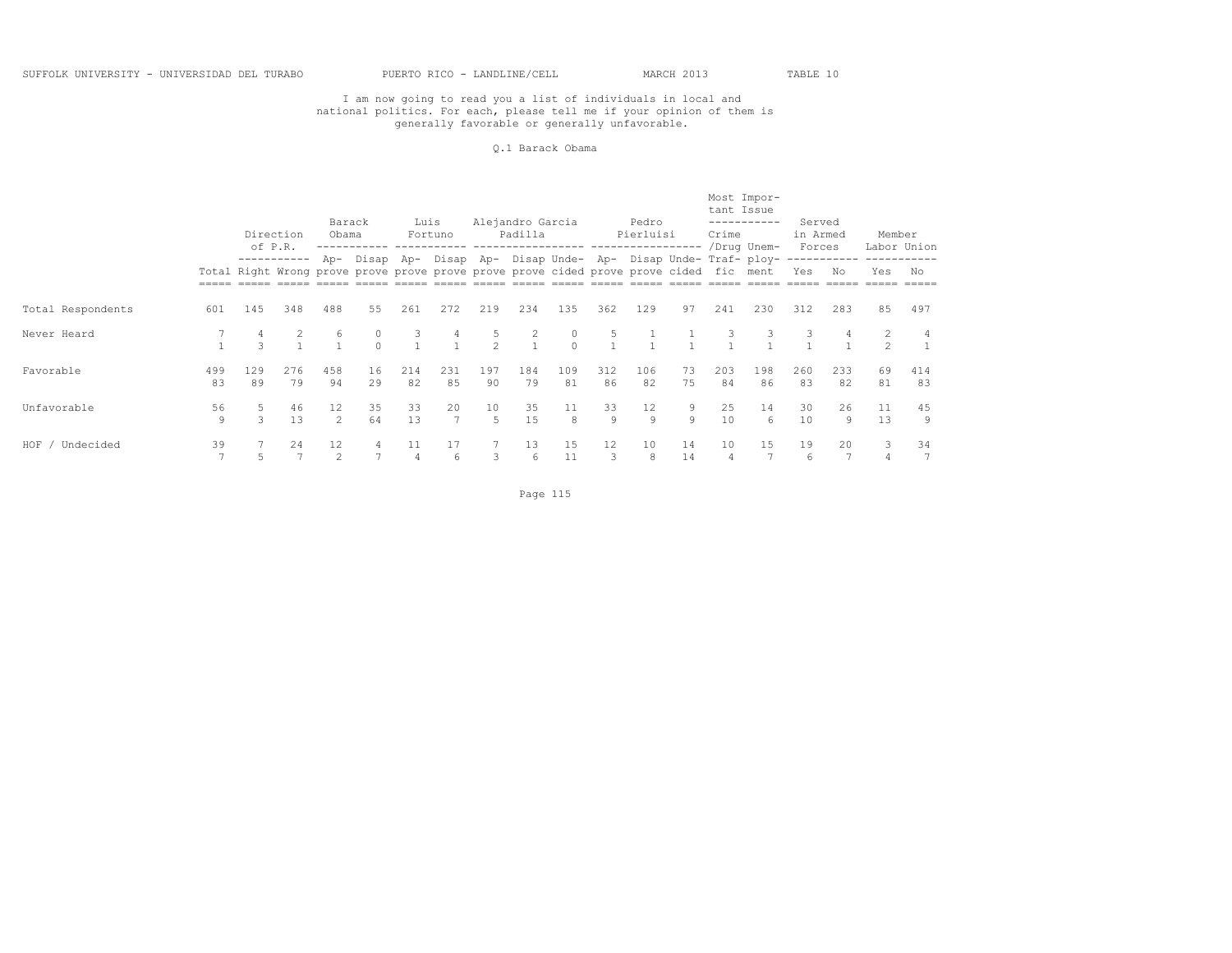#### Q.1 Barack Obama

|                    |           |                    | Direction<br>of P.R. | Barack<br>Obama                                                                               |          | Luis      | Fortuno              |                     | Alejandro Garcia<br>Padilla |             |           | Pedro<br>Pierluisi |          | tant Issue<br>Crime | Most Impor-<br>-----------                                                     | Served<br>in Armed |           | Member                           |                   |
|--------------------|-----------|--------------------|----------------------|-----------------------------------------------------------------------------------------------|----------|-----------|----------------------|---------------------|-----------------------------|-------------|-----------|--------------------|----------|---------------------|--------------------------------------------------------------------------------|--------------------|-----------|----------------------------------|-------------------|
|                    |           |                    |                      | Total Right Wrong prove prove prove prove prove prove cided prove prove cided fic ment<br>488 |          |           |                      |                     |                             |             |           |                    |          |                     | /Drug Unem-<br>Ap- Disap Ap- Disap Ap- Disap Unde- Ap- Disap Unde- Traf- ploy- | Forces<br>Yes      | Νo        | Yes                              | Labor Union<br>No |
| Total Respondents  | 601       | 145                | 348                  |                                                                                               | 55       | 261       | 272                  | 219                 | 234                         | 135         | 362       | 129                | 97       | 241                 | 230                                                                            | 312                | 283       | 85                               | 497               |
| Never Heard        |           | $\mathcal{L}$      | $\overline{2}$       | 6                                                                                             |          | 3         |                      | 5<br>$\mathfrak{D}$ | $\overline{1}$              | 0<br>$\cap$ | 5         |                    |          |                     |                                                                                | 3                  |           | $\overline{2}$<br>$\mathfrak{D}$ |                   |
| Favorable          | 499<br>83 | 129<br>89          | 276<br>79            | 458<br>94                                                                                     | 16<br>29 | 214<br>82 | 231<br>85            | 197<br>90           | 184<br>79                   | 109<br>81   | 312<br>86 | 106<br>82          | 73<br>75 | 203<br>84           | 198<br>86                                                                      | 260<br>83          | 233<br>82 | 69<br>81                         | 414<br>83         |
| Unfavorable        | 56<br>9   | 5<br>$\mathcal{L}$ | 46<br>13             | 12<br>$\mathcal{L}$                                                                           | 35<br>64 | 33<br>13  | 20<br>$\overline{7}$ | 10<br>5             | 35<br>15                    | 11<br>8     | 33<br>9   | 12<br>9            | 9<br>9   | 25<br>10            | 14<br>6                                                                        | 30<br>10           | 26<br>9   | 11<br>13                         | 45<br>9           |
| HOF /<br>Undecided | 39        |                    | 24                   | 12                                                                                            |          | 4         | 17<br>6              | 3                   | 13<br>6                     | 15<br>11    | 12<br>3   | 10<br>8            | 14<br>14 | 10                  | 15                                                                             | 19<br>6            | 20        | 3<br>$\overline{4}$              | 34                |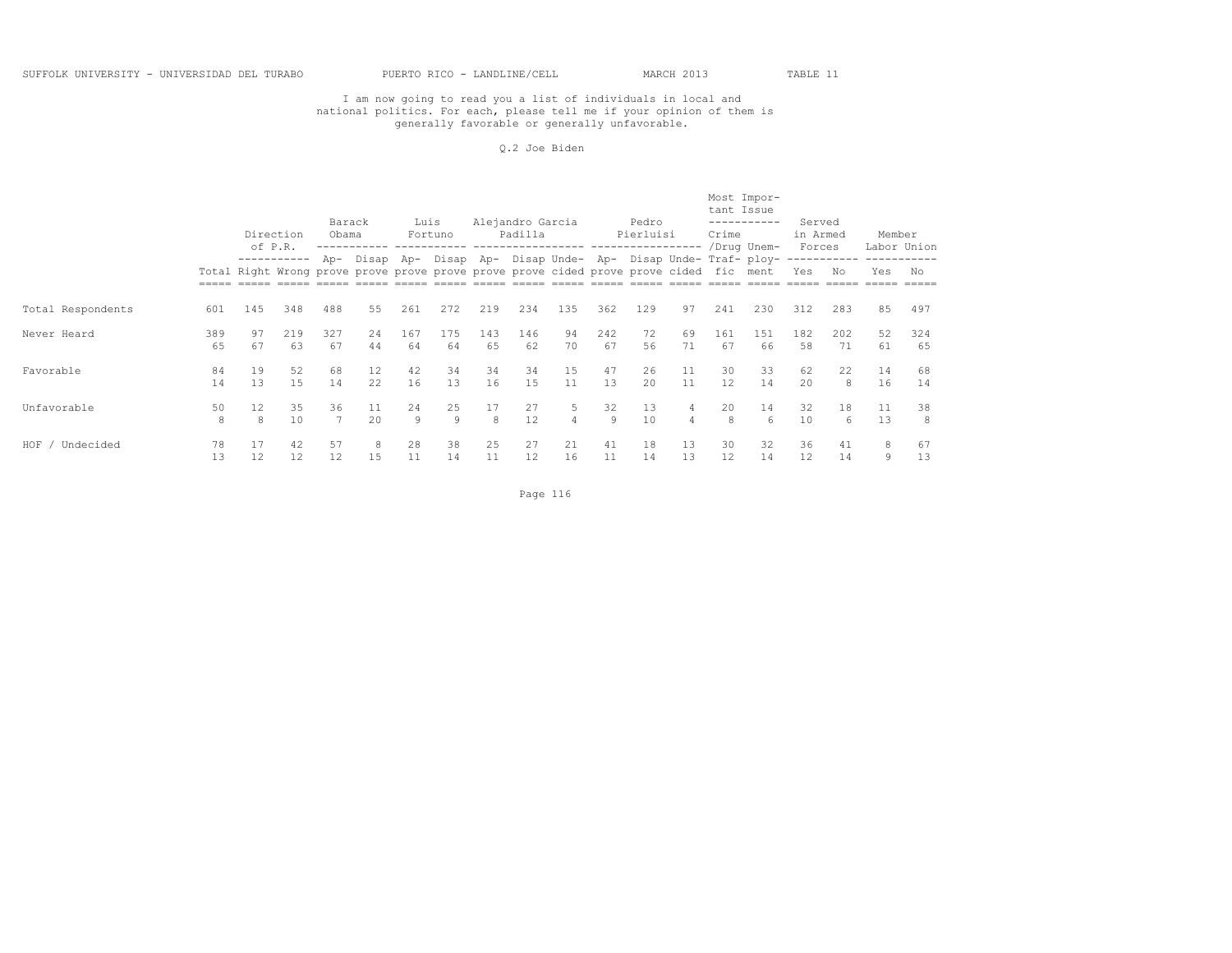#### Q.2 Joe Biden

|                    |           |          | Direction<br>of P.R. | Barack<br>Obama |                                                                                        | Luis      | Fortuno   |           | Alejandro Garcia<br>Padilla |               |           | Pedro<br>Pierluisi |                     | tant Issue<br>Crime | Most Impor-<br>-----------<br>/Drug Unem-                       | Served<br>in Armed<br>Forces |           | Member   | Labor Union |
|--------------------|-----------|----------|----------------------|-----------------|----------------------------------------------------------------------------------------|-----------|-----------|-----------|-----------------------------|---------------|-----------|--------------------|---------------------|---------------------|-----------------------------------------------------------------|------------------------------|-----------|----------|-------------|
|                    |           |          |                      |                 | Total Right Wrong prove prove prove prove prove prove cided prove prove cided fic ment |           |           |           |                             |               |           |                    |                     |                     | Ap- Disap Ap- Disap Ap- Disap Unde- Ap- Disap Unde- Traf- ploy- | Yes                          | Νo        | Yes      | No          |
| Total Respondents  | 601       | 145      | 348                  | 488             | 55                                                                                     | 261       | 272       | 219       | 234                         | 135           | 362       | 129                | 97                  | 241                 | 230                                                             | 312                          | 283       | 85       | 497         |
| Never Heard        | 389<br>65 | 97<br>67 | 219<br>63            | 327<br>67       | 24<br>44                                                                               | 167<br>64 | 175<br>64 | 143<br>65 | 146<br>62                   | 94<br>70      | 242<br>67 | 72<br>56           | 69<br>71            | 161<br>67           | 151<br>66                                                       | 182<br>58                    | 202<br>71 | 52<br>61 | 324<br>65   |
| Favorable          | 84<br>14  | 19<br>13 | 52<br>1.5            | 68<br>14        | $12 \overline{ }$<br>22.                                                               | 42<br>16  | 34<br>13  | 34<br>16  | 34<br>1.5                   | 15<br>11      | 47<br>13  | 26<br>2.0          | 11<br>11            | 30<br>12            | 33<br>14                                                        | 62<br>2.0                    | 22<br>8   | 14<br>16 | 68<br>14    |
| Unfavorable        | 50<br>8   | 12<br>8  | 35<br>10             | 36              | 11<br>2.0                                                                              | 24<br>9   | 25<br>9   | 17<br>8   | 27<br>12                    | 5<br>$\Delta$ | 32<br>9   | 13<br>10           | 4<br>$\overline{4}$ | 20<br>8             | 14<br>6                                                         | 32<br>10                     | 18<br>6   | 11<br>13 | 38<br>8     |
| HOF /<br>Undecided | 78<br>13  | 17<br>12 | 42<br>12             | 57<br>12        | 8<br>15                                                                                | 28<br>11  | 38<br>14  | 25<br>11  | 27<br>12                    | 21<br>16      | 41<br>11  | 18<br>14           | 13<br>13            | 30<br>12            | 32<br>14                                                        | 36<br>12                     | 41<br>14  | 8<br>9   | 67<br>13    |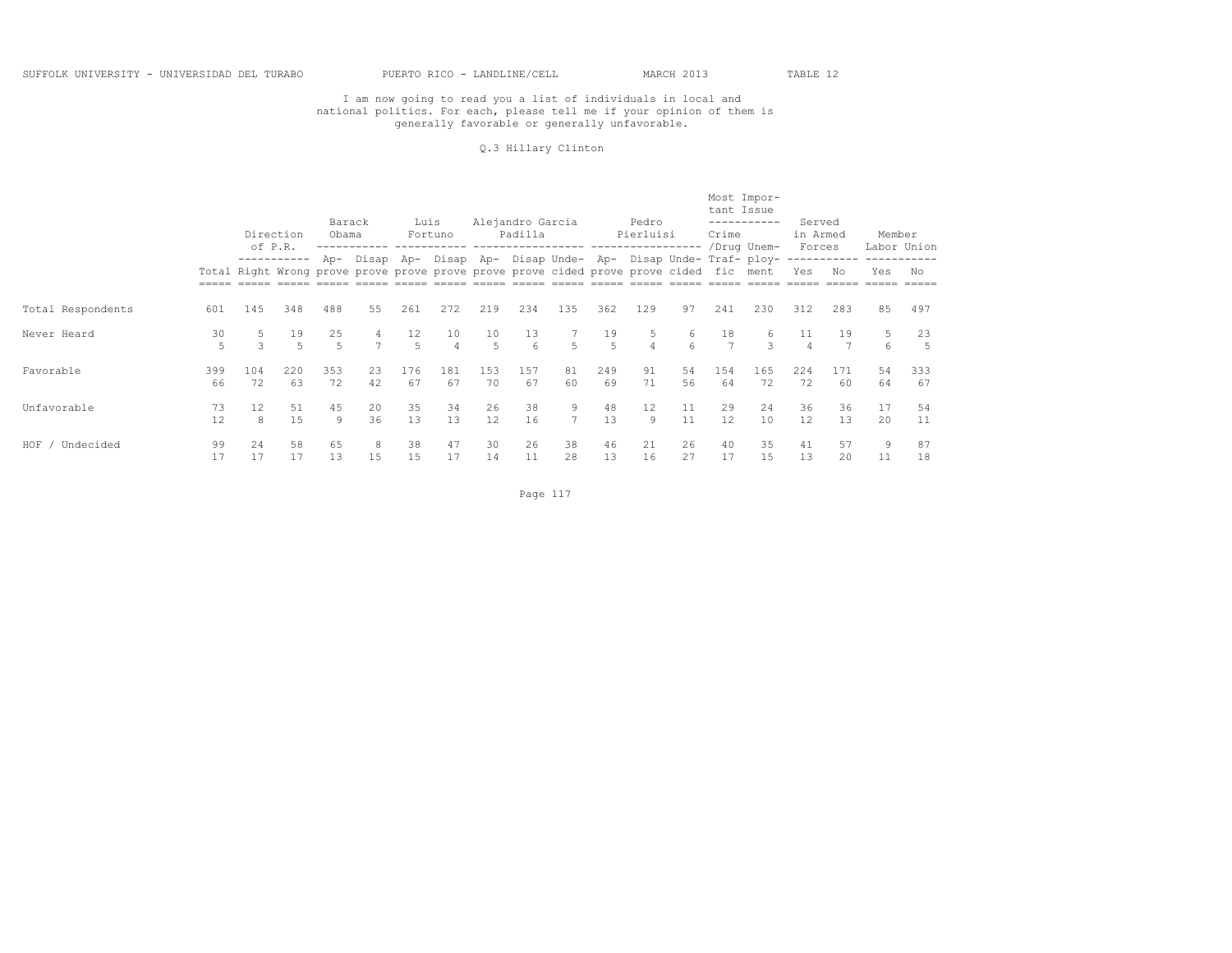#### Q.3 Hillary Clinton

|                   |           |           | Direction<br>of P.R. | Barack<br>Obama      |                     | Luis                 | Fortuno                                                                                |           | Alejandro Garcia<br>Padilla | -----------------   |           | Pedro<br>Pierluisi |          | tant Issue<br>Crime | Most Impor-<br>-----------                                                     | Served<br>in Armed |           | Member   |                   |
|-------------------|-----------|-----------|----------------------|----------------------|---------------------|----------------------|----------------------------------------------------------------------------------------|-----------|-----------------------------|---------------------|-----------|--------------------|----------|---------------------|--------------------------------------------------------------------------------|--------------------|-----------|----------|-------------------|
|                   |           |           | -----------          |                      |                     |                      | Total Right Wrong prove prove prove prove prove prove cided prove prove cided fic ment |           |                             |                     |           |                    |          |                     | /Drug Unem-<br>Ap- Disap Ap- Disap Ap- Disap Unde- Ap- Disap Unde- Traf- ploy- | Forces<br>Yes      | Νo        | Yes      | Labor Union<br>No |
| Total Respondents | 601       | 145       | 348                  | 488                  | 55                  | 261                  | 272                                                                                    | 219       | 234                         | 135                 | 362       | 129                | 97       | 241                 | 230                                                                            | 312                | 283       | 85       | 497               |
| Never Heard       | 30<br>5   | 5<br>3    | 19<br>5              | 25<br>$\overline{a}$ | 4<br>$\overline{7}$ | 12<br>$\overline{r}$ | 10<br>4                                                                                | 10<br>5   | 13<br>-6                    | 5                   | 19<br>5   | 5<br>4             | 6<br>6   | 18                  | 6.<br>$\mathcal{L}$                                                            | 11<br>4            | 19        | 5<br>6   | 23<br>-5          |
| Favorable         | 399<br>66 | 104<br>72 | 220<br>63            | 353<br>72            | 23<br>42            | 176<br>67            | 181<br>67                                                                              | 153<br>70 | 157<br>67                   | 81<br>60            | 249<br>69 | 91<br>71           | 54<br>56 | 154<br>64           | 165<br>72                                                                      | 224<br>72          | 171<br>60 | 54<br>64 | 333<br>67         |
| Unfavorable       | 73<br>12  | 12<br>8   | 51<br>15             | 45<br>9              | 20<br>36            | 35<br>13             | 34<br>13                                                                               | 26<br>12  | 38<br>16                    | 9<br>$\overline{7}$ | 48<br>13  | 12<br>9            | 11<br>11 | 29<br>12            | 24<br>10                                                                       | 36<br>12           | 36<br>13  | 17<br>20 | 54<br>11          |
| HOF / Undecided   | 99<br>17  | 24<br>17  | 58<br>17             | 65<br>13             | 8<br>15             | 38<br>15             | 47<br>17                                                                               | 30<br>14  | 26<br>11                    | 38<br>28            | 46<br>13  | 21<br>16           | 26<br>27 | 40<br>17            | 35<br>15                                                                       | 41<br>13           | 57<br>20  | 9<br>11  | 87<br>18          |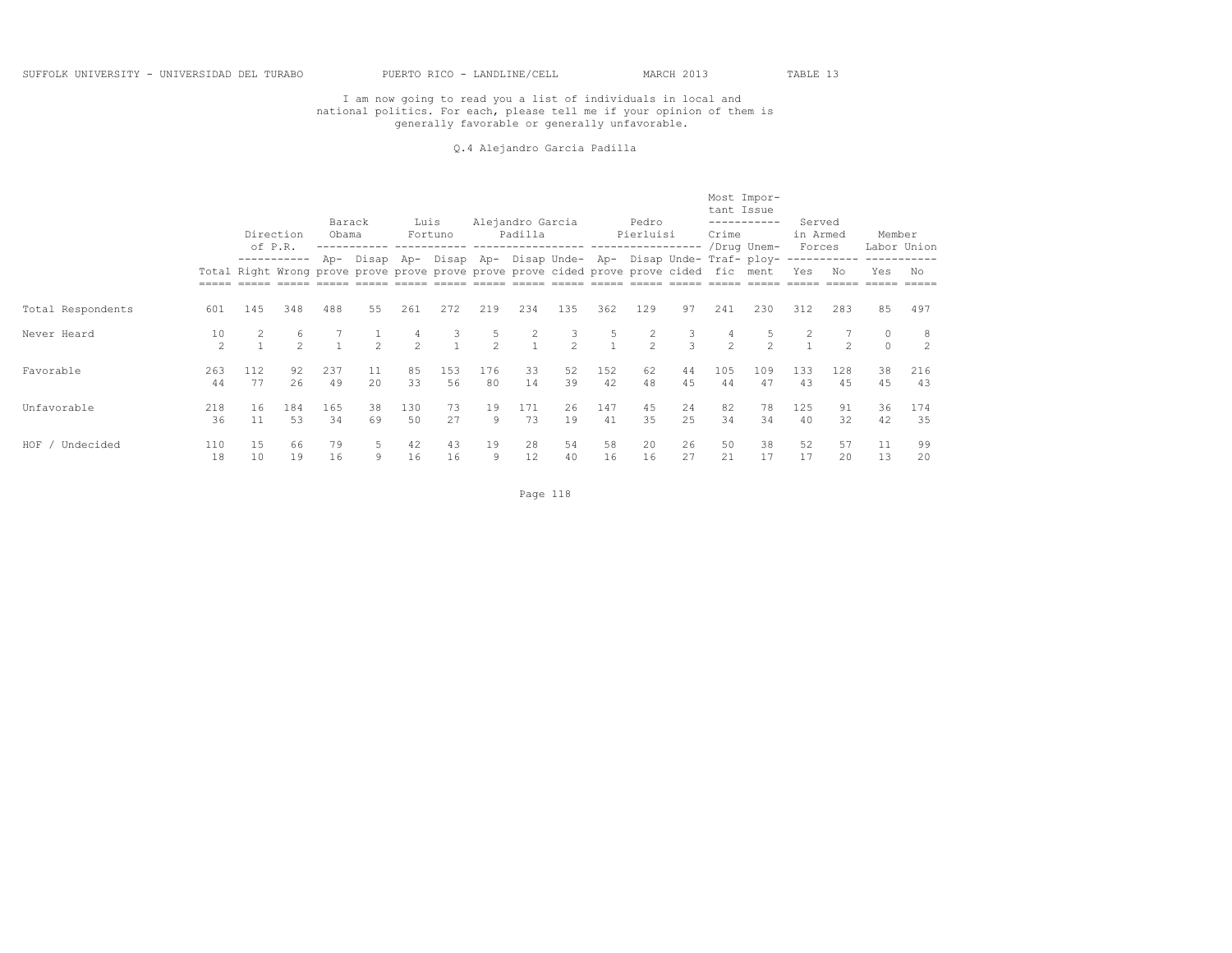#### Q.4 Alejandro Garcia Padilla

|                    |                     |           | Direction<br>of P.R. | Barack<br>Obama                                                                               |                    | Luis          | Fortuno   |                     | Alejandro Garcia<br>Padilla |                                                                 |           | Pedro<br>Pierluisi |                    | tant Issue<br>Crime | Most Impor-<br>-----------<br>/Drug Unem- | Served<br>in Armed<br>Forces |               | Member              | Labor Union         |
|--------------------|---------------------|-----------|----------------------|-----------------------------------------------------------------------------------------------|--------------------|---------------|-----------|---------------------|-----------------------------|-----------------------------------------------------------------|-----------|--------------------|--------------------|---------------------|-------------------------------------------|------------------------------|---------------|---------------------|---------------------|
|                    |                     |           |                      | Total Right Wrong prove prove prove prove prove prove cided prove prove cided fic ment<br>488 |                    |               |           |                     |                             | Ap- Disap Ap- Disap Ap- Disap Unde- Ap- Disap Unde- Traf- ploy- |           |                    |                    |                     |                                           | Yes                          | No            | Yes                 | No                  |
| Total Respondents  | 601                 | 145       | 348                  |                                                                                               | 55                 | 261           | 272       | 219                 | 234                         | 135                                                             | 362       | 129                | 97                 | 241                 | 230                                       | 312                          | 283           | 85                  | 497                 |
| Never Heard        | 10<br>$\mathcal{P}$ |           | 6<br>$\mathfrak{D}$  |                                                                                               | $\mathcal{P}$      | $\mathcal{P}$ | 3         | 5<br>$\mathfrak{D}$ | $\sim$                      | 3<br>$\mathcal{P}$                                              | 5         | $\mathcal{D}$      | 3<br>$\mathcal{L}$ | 4<br>$\mathcal{P}$  | $\mathcal{L}$                             |                              | $\mathcal{P}$ | $\circ$<br>$\Omega$ | -8<br>$\mathcal{D}$ |
| Favorable          | 263<br>44           | 112<br>77 | 92<br>26             | 237<br>49                                                                                     | 11<br>$20^{\circ}$ | 85<br>33      | 153<br>56 | 176<br>80           | 33<br>14                    | 52<br>39                                                        | 152<br>42 | 62<br>48           | 44<br>4.5          | 105<br>44           | 109<br>47                                 | 133<br>43                    | 128<br>45     | 38<br>45            | 216<br>43           |
| Unfavorable        | 218<br>36           | 16<br>11  | 184<br>53            | 165<br>34                                                                                     | 38<br>69           | 130<br>50     | 73<br>27  | 19<br>9             | 171<br>73                   | 26<br>19                                                        | 147<br>41 | 45<br>35           | 24<br>25           | 82<br>34            | 78<br>34                                  | 125<br>40                    | 91<br>32      | 36<br>42            | 174<br>35           |
| HOF /<br>Undecided | 110<br>18           | 15<br>10  | 66<br>19             | 79<br>16                                                                                      | 5.<br>9            | 42<br>16      | 43<br>16  | 19<br>9             | 28<br>12                    | 54<br>40                                                        | 58<br>16  | 20<br>16           | 26<br>27           | 50<br>21            | 38<br>17                                  | 52<br>17                     | 57<br>20      | 11<br>13            | 99<br>20            |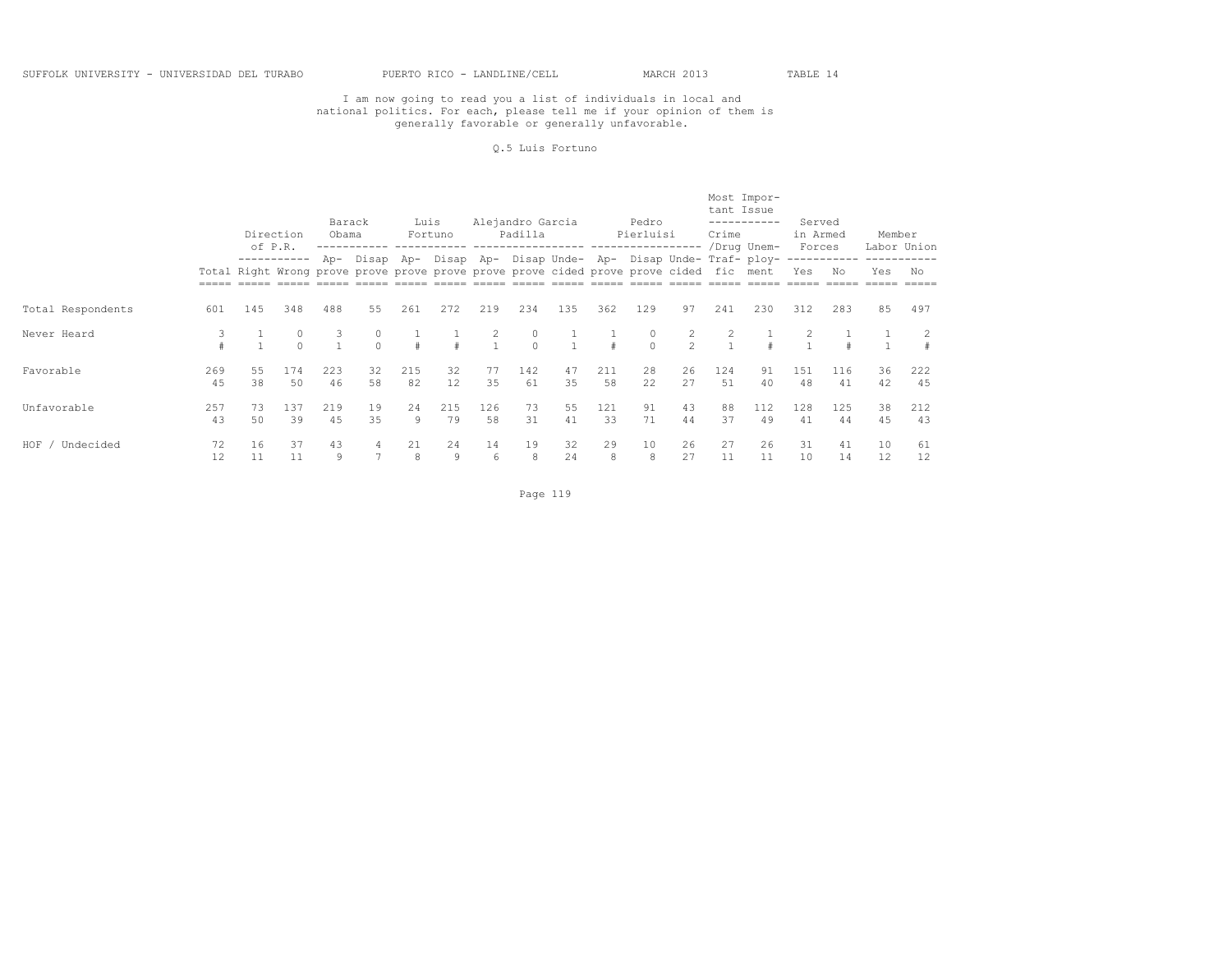#### Q.5 Luis Fortuno

|                   |           |           | Direction<br>of P.R. | Barack<br>Obama |          | Luis      | Fortuno                                                                                                                                                   |                   | Alejandro Garcia<br>Padilla<br>------------------ |          |           | Pedro<br>Pierluisi |                                  | tant Issue<br>Crime | Most Impor-<br>-----------<br>/Drug Unem- | Served<br>in Armed<br>Forces |           | Member   | Labor Union |
|-------------------|-----------|-----------|----------------------|-----------------|----------|-----------|-----------------------------------------------------------------------------------------------------------------------------------------------------------|-------------------|---------------------------------------------------|----------|-----------|--------------------|----------------------------------|---------------------|-------------------------------------------|------------------------------|-----------|----------|-------------|
|                   |           |           |                      |                 |          |           | Ap- Disap Ap- Disap Ap- Disap Unde- Ap- Disap Unde- Traf- ploy-<br>Total Right Wrong prove prove prove prove prove prove cided prove prove cided fic ment |                   |                                                   |          |           |                    |                                  |                     |                                           | Yes                          | No        | Yes      | No          |
| Total Respondents | 601       | 145       | 348                  | 488             | 55       | 261       | 272                                                                                                                                                       | 219               | 234                                               | 135      | 362       | 129                | 97                               | 241                 | 230                                       | 312                          | 283       | 85       | 497         |
| Never Heard       | 3         |           | 0<br>$\Omega$        | 3               | $\cap$   |           |                                                                                                                                                           | 2<br>$\mathbf{1}$ | 0<br>$\Omega$                                     |          |           | 0<br>$\Omega$      | $\overline{c}$<br>$\mathfrak{D}$ |                     |                                           |                              |           |          |             |
| Favorable         | 269<br>45 | 55<br>38  | 174<br>50            | 223<br>46       | 32<br>58 | 215<br>82 | 32<br>12                                                                                                                                                  | 77<br>35          | 142<br>61                                         | 47<br>35 | 211<br>58 | 28<br>22           | 26<br>27                         | 124<br>.51          | 91<br>40                                  | 151<br>48                    | 116<br>41 | 36<br>42 | 222<br>45   |
| Unfavorable       | 257<br>43 | 73.<br>50 | 137<br>39            | 219<br>4.5      | 19<br>35 | 2.4<br>9  | 215<br>79                                                                                                                                                 | 126<br>58         | 73<br>31                                          | 55<br>41 | 121<br>33 | 91<br>71           | 43<br>44                         | 88<br>37            | 112<br>49                                 | 128<br>41                    | 125<br>44 | 38<br>45 | 212<br>43   |
| HOF<br>Undecided  | 72<br>12  | 16<br>11  | 37<br>11             | 43<br>9         |          | 21<br>8   | 24<br>9                                                                                                                                                   | 14<br>6           | 19<br>8                                           | 32<br>24 | 29<br>8   | 10<br>8            | 26<br>27                         | 27<br>11            | 26<br>11                                  | 31<br>10                     | 41<br>14  | 10<br>12 | 61<br>12    |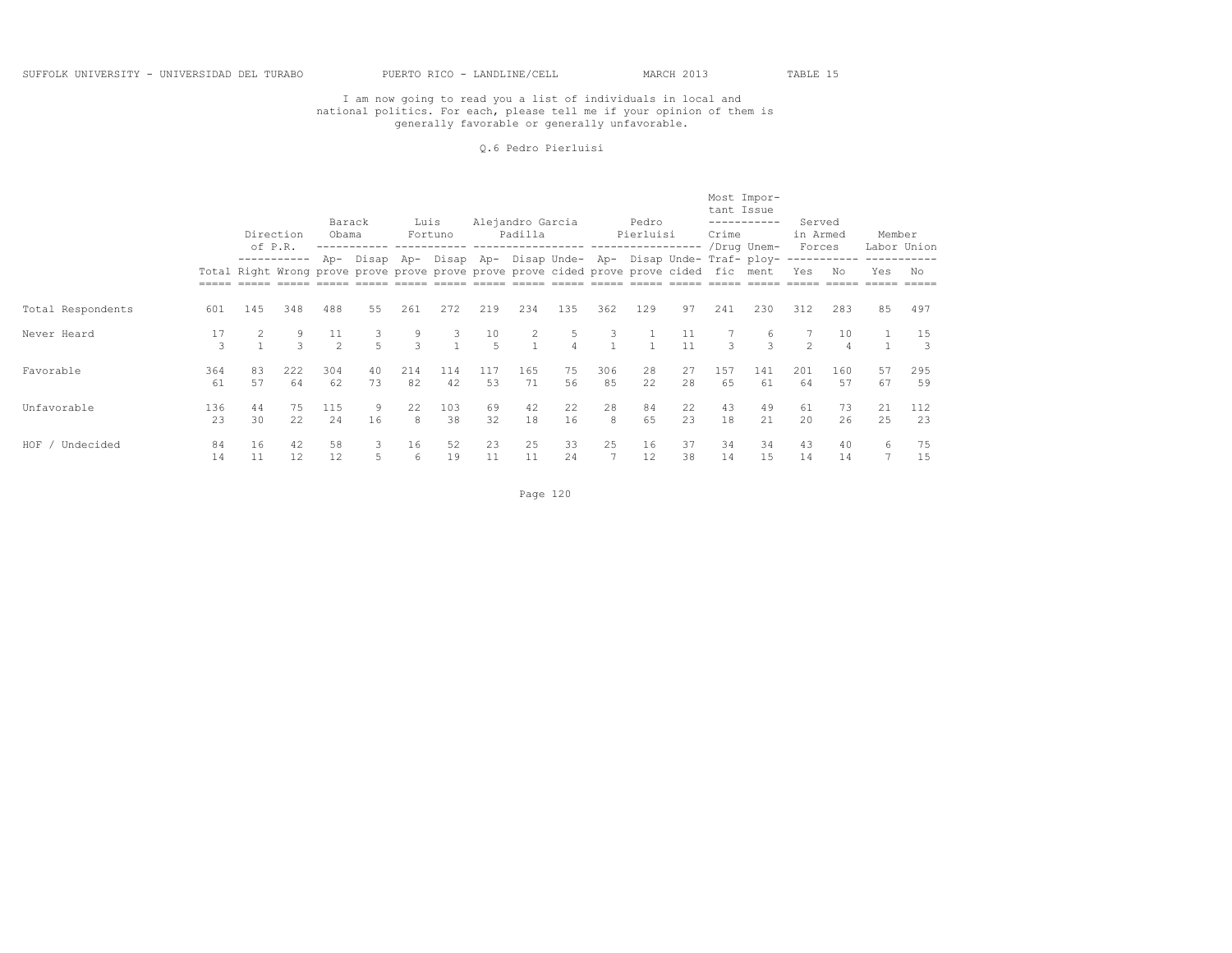#### Q.6 Pedro Pierluisi

|                    |           |          | Direction | Barack<br>Obama                                                                                                 |                     | Luis               | Fortuno   |           | Alejandro Garcia<br>Padilla      |                |           | Pedro<br>Pierluisi |           | tant Issue<br>Crime | Most Impor-<br>-----------<br>/Drug Unem-                       | Served<br>in Armed<br>Forces |           | Member   | Labor Union         |
|--------------------|-----------|----------|-----------|-----------------------------------------------------------------------------------------------------------------|---------------------|--------------------|-----------|-----------|----------------------------------|----------------|-----------|--------------------|-----------|---------------------|-----------------------------------------------------------------|------------------------------|-----------|----------|---------------------|
|                    |           |          |           | of P.R.<br>Total Right Wrong prove prove prove prove prove prove cided prove prove cided fic ment<br>348<br>488 |                     |                    |           |           |                                  |                |           |                    |           |                     | Ap- Disap Ap- Disap Ap- Disap Unde- Ap- Disap Unde- Traf- ploy- | Yes                          | Νo        | Yes      | No                  |
| Total Respondents  | 601       | 145      |           |                                                                                                                 | 55                  | 261                | 272       | 219       | 234                              | 135            | 362       | 129                | 97        | 241                 | 230                                                             | 312                          | 283       | 85       | 497                 |
| Never Heard        | 17<br>3   |          | 9<br>3    | 11<br>$\mathcal{P}$                                                                                             | 3<br>$\overline{5}$ | 9<br>$\mathcal{L}$ | 3         | 10<br>5   | $\overline{2}$<br>$\overline{1}$ | 5.<br>$\Delta$ | 3         |                    | 11<br>11  | $\mathcal{L}$       | 6<br>$\mathcal{L}$                                              | $\mathcal{P}$                | 10        |          | 15<br>$\mathcal{R}$ |
| Favorable          | 364<br>61 | 83<br>57 | 222<br>64 | 304<br>62                                                                                                       | 40<br>73            | 214<br>82          | 114<br>42 | 117<br>53 | 165<br>71                        | 75<br>56       | 306<br>85 | 28<br>22.          | 27<br>2.8 | 157<br>65           | 141<br>61                                                       | 201<br>64                    | 160<br>57 | 57<br>67 | 295<br>59           |
| Unfavorable        | 136<br>23 | 44<br>30 | 75<br>22  | 115<br>24                                                                                                       | 9<br>16             | 22<br>8            | 103<br>38 | 69<br>32  | 42<br>18                         | 22<br>16       | 28<br>8   | 84<br>65           | 22<br>23  | 43<br>18            | 49<br>21                                                        | 61<br>20                     | 73<br>26  | 21<br>25 | 112<br>23           |
| HOF /<br>Undecided | 84<br>14  | 16<br>11 | 42<br>12  | 58<br>12                                                                                                        | 3<br>5              | 16<br>6            | 52<br>19  | 23<br>11  | 25<br>11                         | 33<br>24       | 25        | 16<br>12           | 37<br>38  | 34<br>14            | 34<br>15                                                        | 43<br>14                     | 40<br>14  | 6        | 75<br>15            |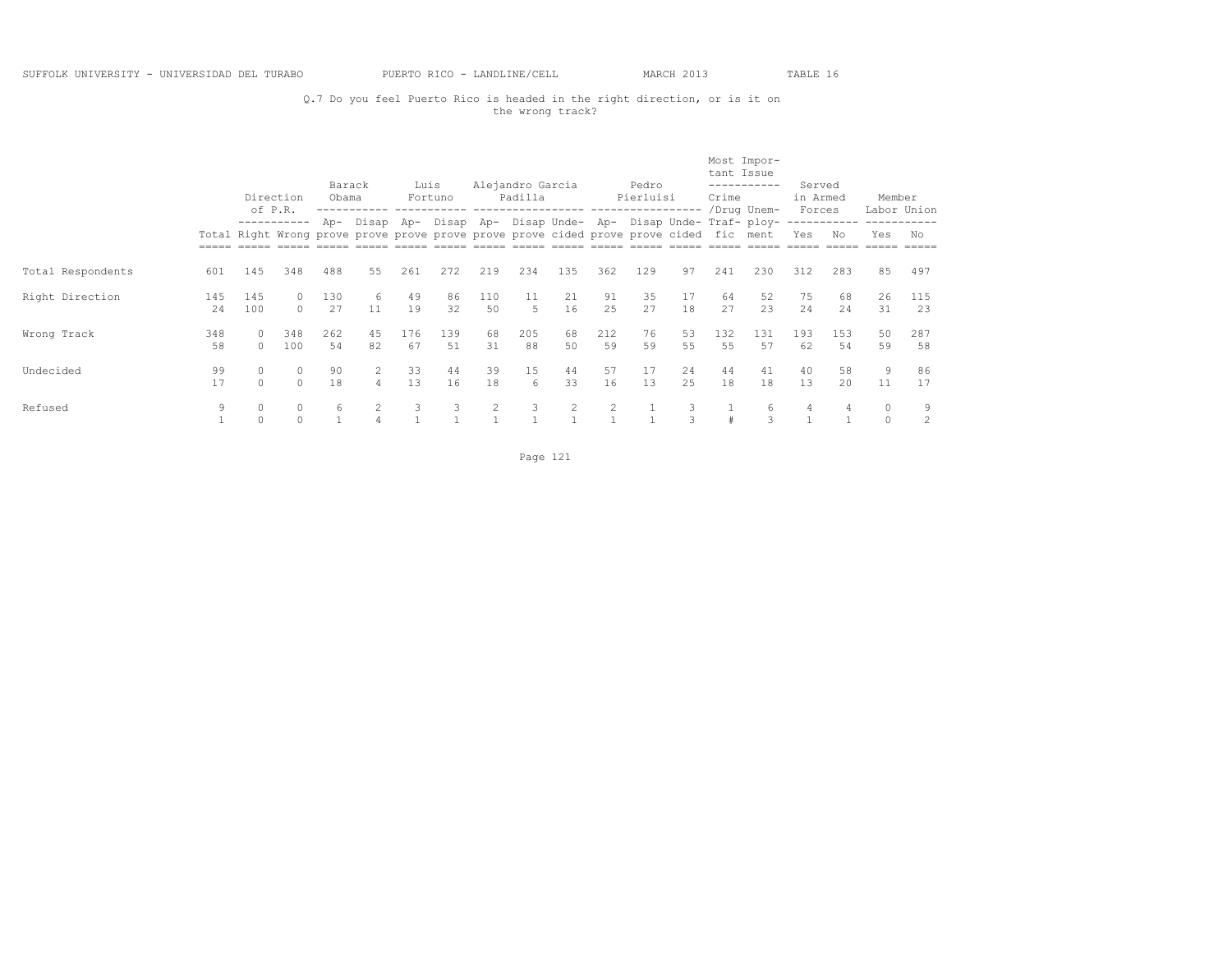## Q.7 Do you feel Puerto Rico is headed in the right direction, or is it on the wrong track?

|                   |            |                      | Direction<br>of P.R. | Barack<br>Obama |                | Luis      | Fortuno    |                | Alejandro Garcia<br>Padilla |          |                | Pedro<br>Pierluisi                                                                     |          | tant Issue<br>Crime | Most Impor-<br>-----------<br>/Drug Unem-                   | Served<br>in Armed<br>Forces |                    | Member               | Labor Union |
|-------------------|------------|----------------------|----------------------|-----------------|----------------|-----------|------------|----------------|-----------------------------|----------|----------------|----------------------------------------------------------------------------------------|----------|---------------------|-------------------------------------------------------------|------------------------------|--------------------|----------------------|-------------|
|                   |            |                      | -----------          | Ap-             |                |           |            |                |                             |          |                | Total Right Wrong prove prove prove prove prove prove cided prove prove cided fic ment |          |                     | Disap Ap- Disap Ap- Disap Unde- Ap- Disap Unde- Traf- ploy- | Yes                          | ------------<br>Nο | Yes                  | No          |
| Total Respondents | 601        | 145                  | 348                  | 488             | 55             | 261       | 272        | 219            | 234                         | 135      | 362            | 129                                                                                    | 97       | 241                 | 230                                                         | 312                          | 283                | 85                   | 497         |
| Right Direction   | 145<br>2.4 | 145<br>100           | $\Omega$<br>$\Omega$ | 130<br>27       | 6<br>11        | 49<br>19  | 86<br>32   | 110<br>.50     | 11<br>$5 -$                 | 21<br>16 | 91<br>2.5      | 35<br>27                                                                               | 17<br>18 | 64<br>27            | 52<br>23                                                    | 75<br>2.4                    | 68<br>2.4          | 26<br>31             | 115<br>23   |
| Wrong Track       | 348<br>58  | $\Omega$             | 348<br>100           | 262<br>54       | 45<br>82       | 176<br>67 | 139<br>.51 | 68<br>31       | 205<br>88                   | 68<br>50 | 212<br>59      | 76<br>59                                                                               | 53<br>55 | 132<br>55           | 131<br>57                                                   | 193<br>62                    | 153<br>54          | 50<br>59             | 287<br>58   |
| Undecided         | 99<br>17   | $\Omega$<br>$\Omega$ | $\circ$<br>$\Omega$  | 90<br>18        | $\overline{4}$ | 33<br>13  | 44<br>16   | 39<br>18       | 15<br>6                     | 44<br>33 | 57<br>16       | 17<br>13                                                                               | 24<br>25 | 44<br>18            | 41<br>18                                                    | 40<br>13                     | 58<br>2.0          | 9<br>11              | 86<br>17    |
| Refused           | 9          | $\Omega$<br>$\Omega$ | $\circ$<br>$\circ$   | 6               |                | 3         | 3          | $\overline{2}$ | 3                           | 2        | $\overline{2}$ |                                                                                        | 3        |                     | 6<br>3                                                      | 4                            | 4                  | $\Omega$<br>$\Omega$ | 9<br>2      |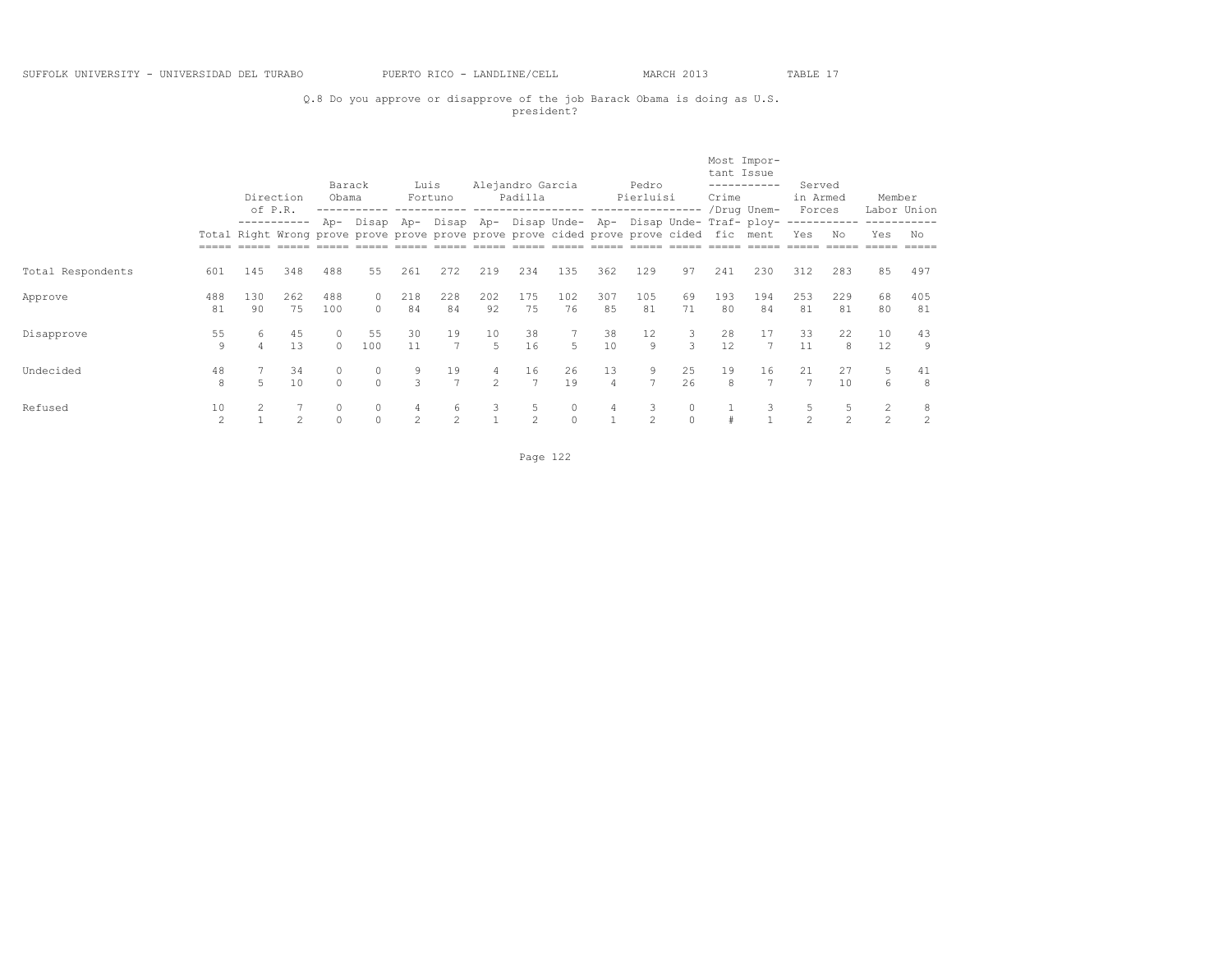## Q.8 Do you approve or disapprove of the job Barack Obama is doing as U.S. president?

|                   |                      |           | Direction<br>of P.R. | Barack<br>Obama    |                                                                                                 | Luis                | Fortuno              |                     | Alejandro Garcia<br>Padilla |                    |                      | Pedro<br>Pierluisi  |                     | tant Issue<br>Crime | Most Impor-<br>-----------<br>/Drug Unem-         | Served<br>in Armed<br>Forces |                     | Member                           | Labor Union |
|-------------------|----------------------|-----------|----------------------|--------------------|-------------------------------------------------------------------------------------------------|---------------------|----------------------|---------------------|-----------------------------|--------------------|----------------------|---------------------|---------------------|---------------------|---------------------------------------------------|------------------------------|---------------------|----------------------------------|-------------|
|                   |                      |           | -----------          | Ap-                | Disap<br>Total Right Wrong prove prove prove prove prove prove cided prove prove cided fic ment | Ap-                 |                      |                     |                             |                    |                      |                     |                     |                     | Disap Ap- Disap Unde- Ap- Disap Unde- Traf- ploy- | Yes                          | ------------<br>Nο  | Yes                              | No          |
| Total Respondents | 601                  | 145       | 348                  | 488                | 55                                                                                              | 261                 | 272                  | 219                 | 234                         | 135                | 362                  | 129                 | 97                  | 241                 | 230                                               | 312                          | 283                 | 85                               | 497         |
| Approve           | 488<br>81            | 130<br>90 | 262<br>75            | 488<br>100         | 0<br>$\Omega$                                                                                   | 218<br>84           | 228<br>84            | 202<br>92           | 175<br>75                   | 102<br>76          | 307<br>85            | 105<br>81           | 69<br>71            | 193<br>80           | 194<br>84                                         | 253<br>81                    | 229<br>81           | 68<br>80                         | 405<br>81   |
| Disapprove        | 55<br>9              | 6<br>4    | 45<br>13             | $\Omega$<br>$\cap$ | 55<br>100                                                                                       | 30<br>11            | 19<br>$\overline{7}$ | 10<br>.5            | 38<br>16                    | 5                  | 38<br>10             | 12<br>9             | 3<br>3              | 28<br>12            | 17<br>$\overline{7}$                              | 33<br>11                     | 22<br>8             | 10<br>12                         | 43<br>9     |
| Undecided         | 48<br>8              | 5         | 34<br>10             | 0<br>$\Omega$      | 0<br>$\Omega$                                                                                   | 9<br>3              | 19<br>$\overline{7}$ | 4<br>$\mathfrak{D}$ | 16<br>$\overline{7}$        | 26<br>19           | 13<br>$\overline{4}$ | 9<br>$\overline{7}$ | 25<br>26            | 19<br>8             | 16<br>$\overline{7}$                              | 21<br>7                      | 27<br>10            | 5<br>6                           | 41<br>8     |
| Refused           | 10<br>$\mathfrak{D}$ | 2         | $\mathcal{D}$        | 0<br>$\Omega$      | 0<br>$\Omega$                                                                                   | 4<br>$\mathfrak{D}$ | 6<br>$\mathfrak{D}$  | 3<br>$\overline{1}$ | 5<br>$\mathfrak{D}$         | $\Omega$<br>$\cap$ | 4                    | 3<br>$\mathfrak{D}$ | $\Omega$<br>$\circ$ |                     | 3                                                 | 5<br>$\mathfrak{D}$          | 5<br>$\mathfrak{D}$ | $\overline{2}$<br>$\mathfrak{D}$ | 8<br>2      |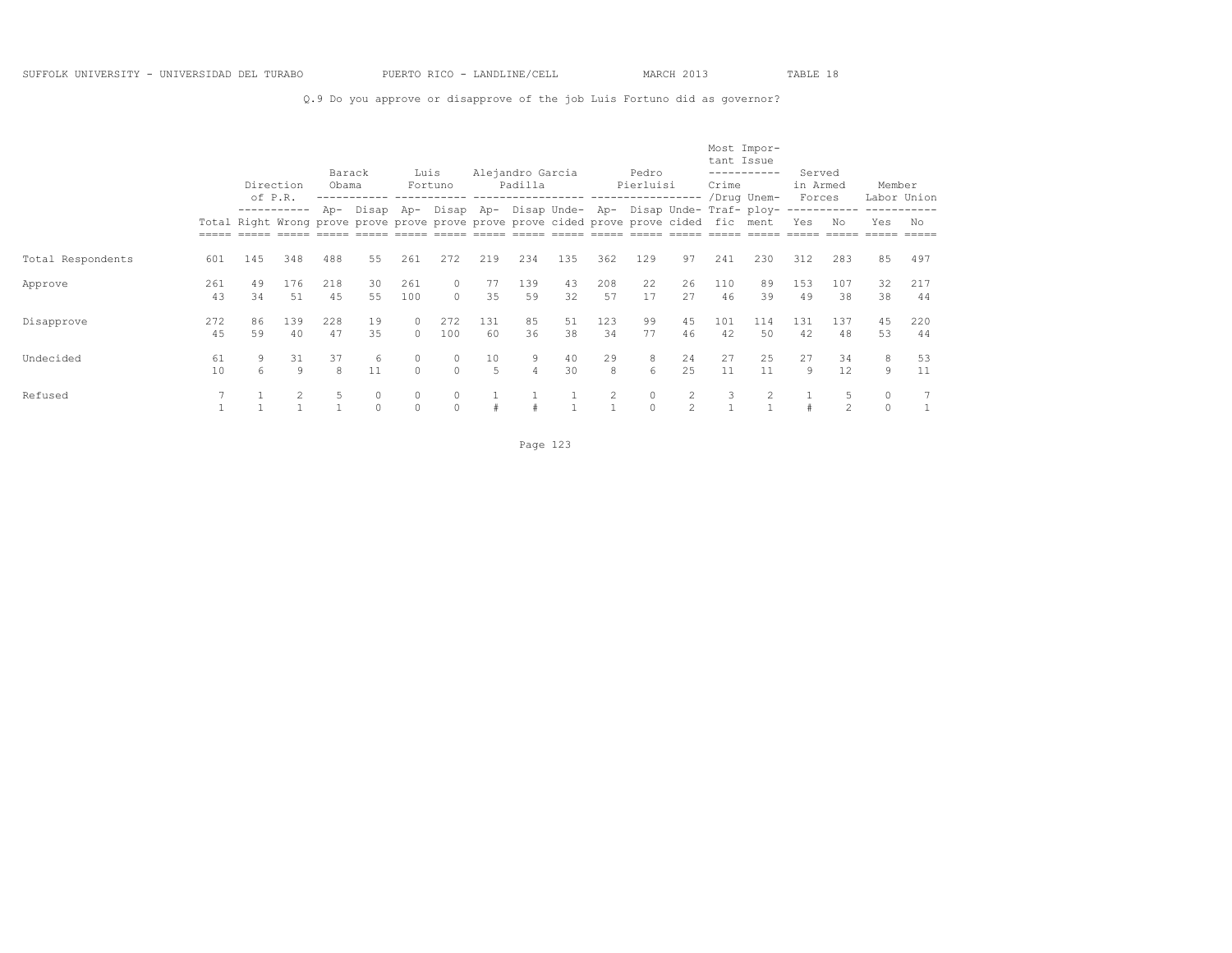Q.9 Do you approve or disapprove of the job Luis Fortuno did as governor?

|                   |           | of P.R.  | Direction     | Barack<br>Obama |          | Luis               | Fortuno<br>------------ |           | Alejandro Garcia<br>Padilla<br>-----------------                                       |          |           | Pedro<br>Pierluisi<br>----------------- |               | Crime     | Most Impor-<br>tant Issue<br>-----------<br>/Drug Unem- | Served<br>in Armed<br>Forces |                   | Member               | Labor Union |
|-------------------|-----------|----------|---------------|-----------------|----------|--------------------|-------------------------|-----------|----------------------------------------------------------------------------------------|----------|-----------|-----------------------------------------|---------------|-----------|---------------------------------------------------------|------------------------------|-------------------|----------------------|-------------|
|                   |           |          | -----------   | Ap-             | Disap    | Ap-                |                         |           | Total Right Wrong prove prove prove prove prove prove cided prove prove cided fic ment |          |           |                                         |               |           | Disap Ap- Disap Unde- Ap- Disap Unde- Traf- ploy-       | Yes                          | -----------<br>No | Yes                  | No          |
| Total Respondents | 601       | 145      | 348           | 488             | 55       | 261                | 272                     | 219       | 234                                                                                    | 135      | 362       | 129                                     | 97            | 241       | 230                                                     | 312                          | 283               | 85                   | 497         |
| Approve           | 261<br>43 | 49<br>34 | 176<br>51     | 218<br>45       | 30<br>55 | 261<br>100         | 0<br>$\Omega$           | 77<br>35  | 139<br>59                                                                              | 43<br>32 | 208<br>57 | 22<br>17                                | 26<br>27      | 110<br>46 | 89<br>39                                                | 153<br>49                    | 107<br>38         | 32<br>38             | 217<br>44   |
| Disapprove        | 272<br>45 | 86<br>59 | 139<br>40     | 228<br>47       | 19<br>35 | $\circ$<br>$\circ$ | 272<br>100              | 131<br>60 | 85<br>36                                                                               | 51<br>38 | 123<br>34 | 99<br>77                                | 45<br>46      | 101<br>42 | 114<br>50                                               | 131<br>42                    | 137<br>48         | 45<br>53             | 220<br>44   |
| Undecided         | 61<br>10  | 9<br>6   | 31<br>9       | 37<br>8         | 6<br>11  | $\circ$<br>$\circ$ | $\Omega$                | 10<br>5   | 9                                                                                      | 40<br>30 | 29<br>8   | 8<br>6                                  | 24<br>2.5     | 27<br>11  | 25<br>11                                                | 27<br>9                      | 34<br>12          | 8<br>9               | 53<br>11    |
| Refused           |           |          | $\mathcal{L}$ | 5               | $\Omega$ | $\circ$<br>$\circ$ | $\circ$<br>$\Omega$     |           |                                                                                        |          | 2         | $\circ$<br>$\Omega$                     | $\mathcal{D}$ | 3         |                                                         |                              | $\mathfrak{D}$    | $\circ$<br>$\bigcap$ | 7           |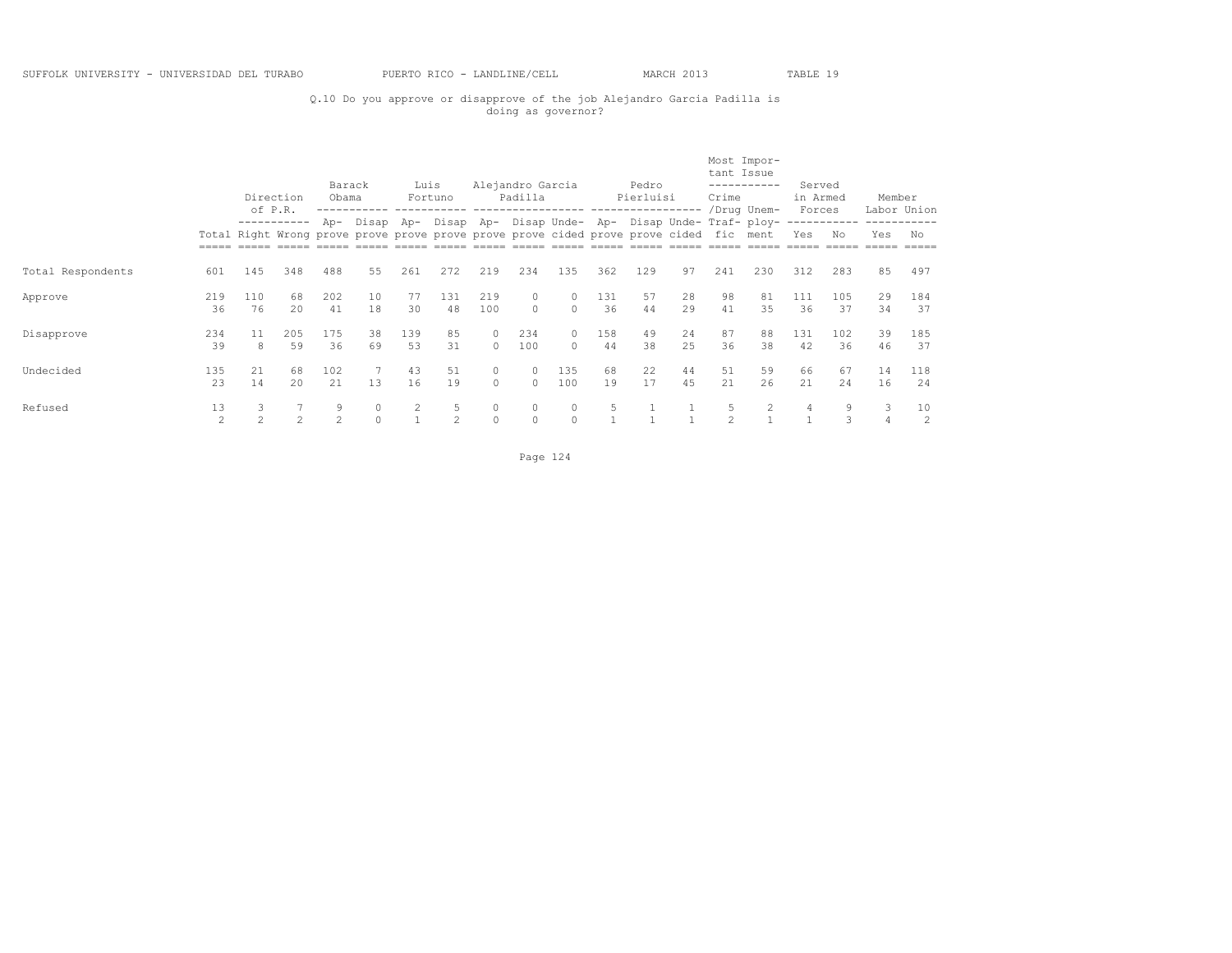## Q.10 Do you approve or disapprove of the job Alejandro Garcia Padilla is doing as governor?

|                   |                      |                     | Direction<br>of P.R.                                                                                  | Barack<br>Obama |                                                                 | Luis      | Fortuno             |                      | Alejandro Garcia<br>Padilla |                      |           | Pedro<br>Pierluisi<br>------------------ ----------------- |          | tant Issue<br>Crime | Most Impor-<br>-----------<br>/Drug Unem- | Served<br>in Armed<br>Forces |           | Member   | Labor Union          |
|-------------------|----------------------|---------------------|-------------------------------------------------------------------------------------------------------|-----------------|-----------------------------------------------------------------|-----------|---------------------|----------------------|-----------------------------|----------------------|-----------|------------------------------------------------------------|----------|---------------------|-------------------------------------------|------------------------------|-----------|----------|----------------------|
|                   |                      |                     | -----------<br>Total Right Wrong prove prove prove prove prove prove cided prove prove cided fic ment |                 | Ap- Disap Ap- Disap Ap- Disap Unde- Ap- Disap Unde- Traf- ploy- |           |                     |                      |                             |                      |           |                                                            |          |                     |                                           | Yes                          | No        | Yes      | No                   |
| Total Respondents | 601                  | 145                 | 348                                                                                                   | 488             | 55                                                              | 261       | 272                 | 219                  | 234                         | 135                  | 362       | 129                                                        | 97       | 241                 | 230                                       | 312                          | 283       | 85       | 497                  |
| Approve           | 219<br>36            | 110<br>76           | 68<br>2.0                                                                                             | 202<br>41       | 10<br>18                                                        | 77<br>30  | 131<br>48           | 219<br>100           | 0<br>$\cap$                 | $\Omega$<br>$\Omega$ | 131<br>36 | 57<br>44                                                   | 28<br>29 | 98<br>41            | 81<br>35                                  | 111<br>36                    | 105<br>37 | 29<br>34 | 184<br>37            |
| Disapprove        | 234<br>39            | 11<br>8             | 205<br>59                                                                                             | 175<br>36       | 38<br>69                                                        | 139<br>53 | 85<br>31            | $\Omega$<br>$\Omega$ | 234<br>100                  | $\Omega$<br>$\cap$   | 158<br>44 | 49<br>38                                                   | 24<br>25 | 87<br>36            | 88<br>38                                  | 131<br>42                    | 102<br>36 | 39<br>46 | 185<br>37            |
| Undecided         | 135<br>23            | 21<br>14            | 68<br>20                                                                                              | 102<br>21       | 13                                                              | 43<br>16  | 51<br>19            | $\circ$<br>$\Omega$  | $\circ$<br>$\Omega$         | 135<br>100           | 68<br>19  | 22<br>17                                                   | 44<br>45 | 51<br>21            | 59<br>26                                  | 66<br>21                     | 67<br>24  | 14<br>16 | 118<br>24            |
| Refused           | 13<br>$\mathfrak{D}$ | 3<br>$\mathfrak{D}$ | $\mathfrak{D}$                                                                                        | 9<br>$2^{1}$    | 0<br>$\Omega$                                                   | 2         | 5<br>$\mathfrak{D}$ | $\circ$<br>$\circ$   | $\Omega$<br>$\circ$         |                      | 5         |                                                            |          | 5.                  | 2                                         | 4                            | 9         | 3<br>4   | 10<br>$\overline{2}$ |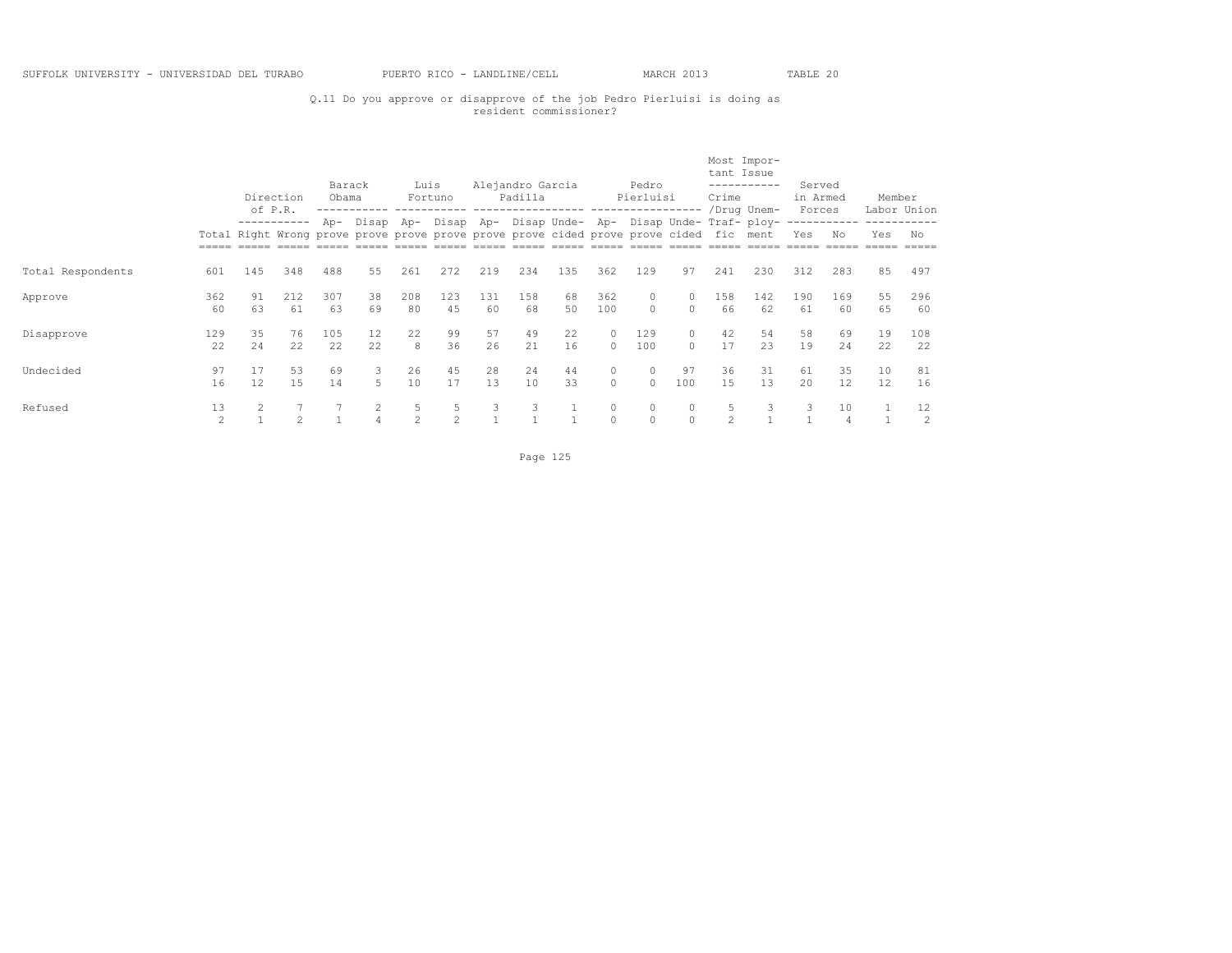## Q.11 Do you approve or disapprove of the job Pedro Pierluisi is doing as resident commissioner?

|                   |                      | of P.R.  | Direction      | Barack<br>Obama |                                                                                                         | Luis      | Fortuno                                           |           | Alejandro Garcia<br>Padilla |          |                     | Pedro<br>Pierluisi<br>--------------- |                     | tant Issue<br>Crime | Most Impor-<br>-----------<br>/Drug Unem- | Served<br>in Armed<br>Forces |           | Member   | Labor Union |
|-------------------|----------------------|----------|----------------|-----------------|---------------------------------------------------------------------------------------------------------|-----------|---------------------------------------------------|-----------|-----------------------------|----------|---------------------|---------------------------------------|---------------------|---------------------|-------------------------------------------|------------------------------|-----------|----------|-------------|
|                   |                      |          | -----------    |                 | Ap- Disap Ap-<br>Total Right Wrong prove prove prove prove prove prove cided prove prove cided fic ment |           | Disap Ap- Disap Unde- Ap- Disap Unde- Traf- ploy- |           |                             |          |                     |                                       |                     |                     |                                           | Yes                          | Nο        | Yes      | No          |
| Total Respondents | 601                  | 145      | 348            | 488             | 55                                                                                                      | 261       | 272                                               | 219       | 234                         | 135      | 362                 | 129                                   | 97                  | 241                 | 230                                       | 312                          | 283       | 85       | 497         |
| Approve           | 362<br>60            | 91<br>63 | 212<br>61      | 307<br>63       | 38<br>69                                                                                                | 208<br>80 | 123<br>4.5                                        | 131<br>60 | 158<br>68                   | 68<br>50 | 362<br>100          | 0<br>$\Omega$                         | $\circ$<br>$\Omega$ | 158<br>66           | 142<br>62                                 | 190<br>61                    | 169<br>60 | 55<br>65 | 296<br>60   |
| Disapprove        | 129<br>22            | 35<br>24 | 76<br>22       | 105<br>22.2     | 12<br>22.                                                                                               | 22<br>8   | 99<br>36                                          | 57<br>26  | 49<br>21                    | 22<br>16 | $\circ$<br>$\Omega$ | 129<br>100                            | $\circ$<br>$\cap$   | 42<br>17            | 54<br>23                                  | 58<br>19                     | 69<br>2.4 | 19<br>22 | 108<br>22   |
| Undecided         | 97<br>16             | 17<br>12 | 53<br>15       | 69<br>14        | 3<br>5.                                                                                                 | 26<br>10  | 45<br>17                                          | 28<br>13  | 24<br>10                    | 44<br>33 | 0<br>$\Omega$       | $\circ$<br>$\Omega$                   | 97<br>100           | 36<br>1.5           | 31<br>13                                  | 61<br>20                     | 35<br>12. | 10<br>12 | 81<br>16    |
| Refused           | 13<br>$\mathfrak{D}$ |          | $\overline{c}$ |                 |                                                                                                         | 5<br>2    | 5<br>$\mathfrak{D}$                               | 3         | 3                           |          | $\circ$<br>$\Omega$ | $\circ$<br>$\Omega$                   | $\circ$<br>$\Omega$ | $\mathfrak{D}$      | 3                                         | 3                            | 10        |          | 12<br>2     |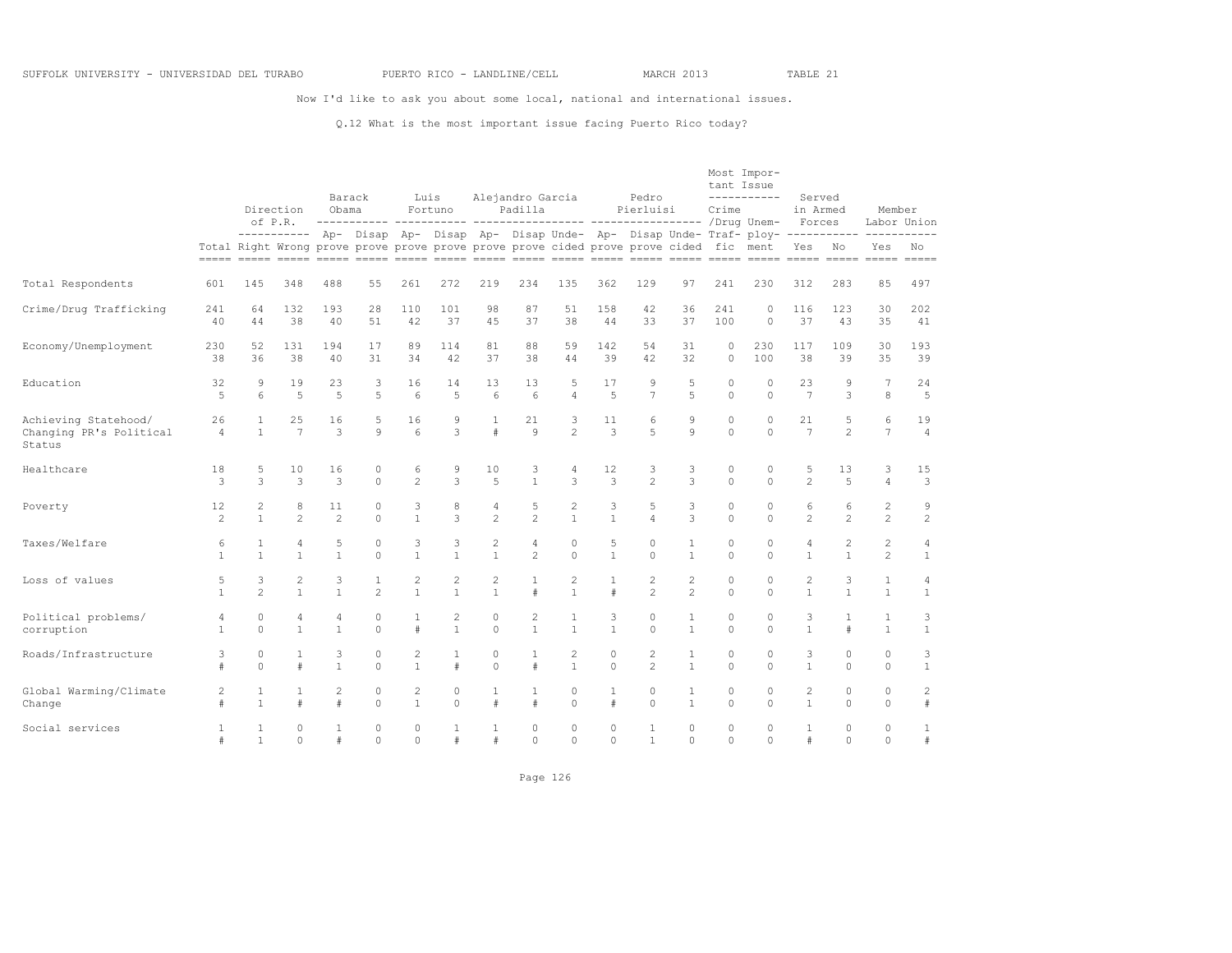Now I'd like to ask you about some local, national and international issues.

#### Q.12 What is the most important issue facing Puerto Rico today?

|                                                           |                      |                              | Direction<br>of P.R.             | Obama                | Barack               |                                | Luis<br>Fortuno                |                              | Alejandro Garcia<br>Padilla      |                                                                                        |                      | Pedro<br>Pierluisi  |                              | tant Issue<br>Crime   | Most Impor-<br>-----------                                                                 | Served<br>in Armed<br>Forces   |                                | Member                           | Labor Union                    |
|-----------------------------------------------------------|----------------------|------------------------------|----------------------------------|----------------------|----------------------|--------------------------------|--------------------------------|------------------------------|----------------------------------|----------------------------------------------------------------------------------------|----------------------|---------------------|------------------------------|-----------------------|--------------------------------------------------------------------------------------------|--------------------------------|--------------------------------|----------------------------------|--------------------------------|
|                                                           |                      |                              |                                  |                      |                      |                                |                                |                              |                                  | Total Right Wrong prove prove prove prove prove prove cided prove prove cided fic ment |                      |                     |                              |                       | ---------- Ap- Disap Ap- Disap Ap- Disap Unde- Ap- Disap Unde- Traf- ploy- ---------- ---- | Yes                            | No                             | Yes                              | No<br>$=====$                  |
| Total Respondents                                         | 601                  | 145                          | 348                              | 488                  | 55                   | 261                            | 272                            | 219                          | 234                              | 135                                                                                    | 362                  | 129                 | 97                           | 241                   | 230                                                                                        | 312                            | 283                            | 85                               | 497                            |
| Crime/Drug Trafficking                                    | 241<br>40            | 64<br>44                     | 132<br>38                        | 193<br>40            | 28<br>51             | 110<br>42                      | 101<br>37                      | 98<br>45                     | 87<br>37                         | 51<br>38                                                                               | 158<br>44            | 42<br>33            | 36<br>37                     | 241<br>100            | $\circ$<br>$\circ$                                                                         | 116<br>37                      | 123<br>43                      | 30<br>35                         | 202<br>41                      |
| Economy/Unemployment                                      | 230<br>38            | 52<br>36                     | 131<br>38                        | 194<br>40            | 17<br>31             | 89<br>34                       | 114<br>42                      | 81<br>37                     | 88<br>38                         | 59<br>44                                                                               | 142<br>39            | 54<br>42            | 31<br>32                     | $\bigcap$<br>$\Omega$ | 230<br>100                                                                                 | 117<br>38                      | 109<br>39                      | 30<br>35                         | 193<br>39                      |
| Education                                                 | 32<br>$\overline{5}$ | 9<br>6                       | 19<br>5                          | 23<br>5              | 3<br>5               | 16<br>6                        | 14<br>5                        | 13<br>6                      | 13<br>6                          | 5<br>$\overline{4}$                                                                    | 17<br>5              | 9<br>$\overline{7}$ | 5<br>5                       | 0<br>$\Omega$         | $\circ$<br>$\Omega$                                                                        | 23<br>$\overline{7}$           | 9<br>3                         | $7\phantom{.0}$<br>8             | 24<br>5                        |
| Achieving Statehood/<br>Changing PR's Political<br>Status | 26<br>4              | 1<br>$\mathbf{1}$            | 25<br>$\overline{7}$             | 16<br>3              | 5<br>9               | 16<br>6                        | 9<br>3                         | 1<br>#                       | 21<br>$\circ$                    | 3<br>$\overline{c}$                                                                    | 11<br>3              | 6<br>$\overline{5}$ | 9<br>$\mathbf{Q}$            | $\circ$<br>$\Omega$   | $\Omega$<br>$\Omega$                                                                       | 21<br>$\overline{7}$           | 5<br>$\overline{2}$            | 6<br>7                           | 19<br>$\overline{4}$           |
| Healthcare                                                | 18<br>3              | 5<br>3                       | 10<br>3                          | 16<br>3              | 0<br>$\Omega$        | 6<br>$\overline{2}$            | 9<br>3                         | 10<br>$\overline{5}$         | 3<br>$\mathbf{1}$                | 4<br>3                                                                                 | 12<br>3              | 3<br>$\mathfrak{D}$ | 3<br>3                       | $\circ$<br>$\Omega$   | 0<br>$\Omega$                                                                              | 5<br>$\mathfrak{D}$            | 13<br>$\overline{5}$           | 3<br>$\overline{4}$              | 15<br>3                        |
| Poverty                                                   | 12<br>2              | 2<br>$\mathbf{1}$            | 8<br>$\mathfrak{D}$              | 11<br>$\mathfrak{D}$ | 0<br>$\Omega$        | 3<br>$\mathbf{1}$              | 8<br>3                         | $\sqrt{4}$<br>$\mathfrak{D}$ | 5<br>$\mathfrak{D}$              | 2<br>$\mathbf{1}$                                                                      | 3<br>$\mathbf{1}$    | 5<br>$\overline{4}$ | 3<br>3                       | $\circ$<br>$\Omega$   | $\circ$<br>$\Omega$                                                                        | 6<br>$\mathfrak{D}$            | 6<br>$\mathfrak{D}$            | $\overline{c}$<br>$\overline{c}$ | 9<br>$\overline{c}$            |
| Taxes/Welfare                                             | 6<br>$\mathbf{1}$    | $\mathbf{1}$<br>$\mathbf{1}$ | $\overline{4}$<br>$\overline{1}$ | 5<br>$\mathbf{1}$    | $\Omega$<br>$\Omega$ | 3<br>$\mathbf{1}$              | 3<br>$\mathbf{1}$              | 2<br>$\mathbf{1}$            | $\overline{4}$<br>$\overline{c}$ | $\circ$<br>$\Omega$                                                                    | 5<br>$\mathbf{1}$    | $\circ$<br>$\Omega$ | $\mathbf{1}$<br>$\mathbf{1}$ | $\circ$<br>$\Omega$   | 0<br>$\Omega$                                                                              | $\overline{4}$<br>$\mathbf{1}$ | $\overline{c}$<br>$\mathbf{1}$ | $\overline{c}$<br>$\overline{2}$ | $\overline{4}$<br>$\mathbf{1}$ |
| Loss of values                                            | 5<br>1               | 3<br>$\mathfrak{D}$          | 2<br>$\overline{1}$              | 3<br>$\mathbf{1}$    | 1<br>$\mathfrak{D}$  | $\overline{c}$<br>$\mathbf{1}$ | $\overline{c}$<br>$\mathbf{1}$ | 2<br>$\mathbf{1}$            | $\#$                             | 2<br>$\mathbf{1}$                                                                      | 1<br>#               | 2<br>$\mathfrak{D}$ | 2<br>$\overline{c}$          | $\circ$<br>$\Omega$   | $\circ$<br>$\Omega$                                                                        | $\overline{c}$<br>$\mathbf{1}$ | 3<br>$\mathbf{1}$              | 1<br>$\overline{1}$              | 4<br>$\mathbf{1}$              |
| Political problems/<br>corruption                         | 4<br>$\mathbf{1}$    | 0<br>$\Omega$                | 4<br>$\overline{1}$              | 4<br>$\mathbf{1}$    | 0<br>$\Omega$        | $\mathbf{1}$<br>#              | $\overline{c}$<br>$\mathbf{1}$ | $\circ$<br>$\Omega$          | 2<br>$\mathbf{1}$                | 1<br>$\mathbf{1}$                                                                      | 3<br>$\mathbf{1}$    | 0<br>$\cap$         | $\mathbf{1}$<br>$\mathbf{1}$ | $\circ$<br>$\Omega$   | $\circ$<br>$\cap$                                                                          | 3<br>$\mathbf{1}$              | $\mathbf{1}$<br>$\pm$          | $1\,$<br>$\mathbf{1}$            | 3<br>$\mathbf{1}$              |
| Roads/Infrastructure                                      | 3<br>#               | 0<br>$\Omega$                | 1<br>#                           | 3<br>$\mathbf{1}$    | 0<br>$\Omega$        | 2<br>$\mathbf{1}$              | $\mathbf{1}$<br>#              | $\circ$<br>$\mathbf{0}$      | $\#$                             | 2<br>$\mathbf{1}$                                                                      | 0<br>$\Omega$        | 2<br>$\overline{c}$ | 1<br>$\mathbf{1}$            | $\Omega$<br>$\Omega$  | $\circ$<br>$\Omega$                                                                        | 3<br>$\mathbf{1}$              | $\Omega$<br>$\Omega$           | $\circ$<br>$\circ$               | 3<br>$\mathbf{1}$              |
| Global Warming/Climate<br>Change                          | 2                    | 1<br>$\mathbf{1}$            | 1<br>#                           | $\overline{2}$       | 0<br>$\Omega$        | $\overline{c}$<br>$\mathbf{1}$ | $\mathbb O$<br>$\Omega$        | 1<br>#                       | 1<br>$\pm$                       | 0<br>$\Omega$                                                                          | $\mathbf{1}$<br>$\#$ | $\circ$<br>$\Omega$ | $\mathbf{1}$<br>$\mathbf{1}$ | $\circ$<br>$\Omega$   | 0<br>$\Omega$                                                                              | $\overline{c}$<br>$\mathbf{1}$ | $\circ$<br>$\Omega$            | $\circ$<br>$\mathbf 0$           | $\overline{c}$<br>$\#$         |
| Social services                                           | 1                    | 1<br>$\mathbf{1}$            | $\circ$<br>$\circ$               | 1<br>#               | 0<br>$\Omega$        | 0<br>0                         | 1<br>#                         | 1<br>#                       | $\circ$<br>$\Omega$              | $\circ$<br>$\circ$                                                                     | 0<br>0               | 1<br>$\mathbf{1}$   | $\circ$<br>$\circ$           | $\circ$<br>$\circ$    | $\circ$<br>$\Omega$                                                                        | 1<br>$\#$                      | $\circ$<br>$\Omega$            | $\mathbb O$<br>$\mathbf 0$       | 1<br>#                         |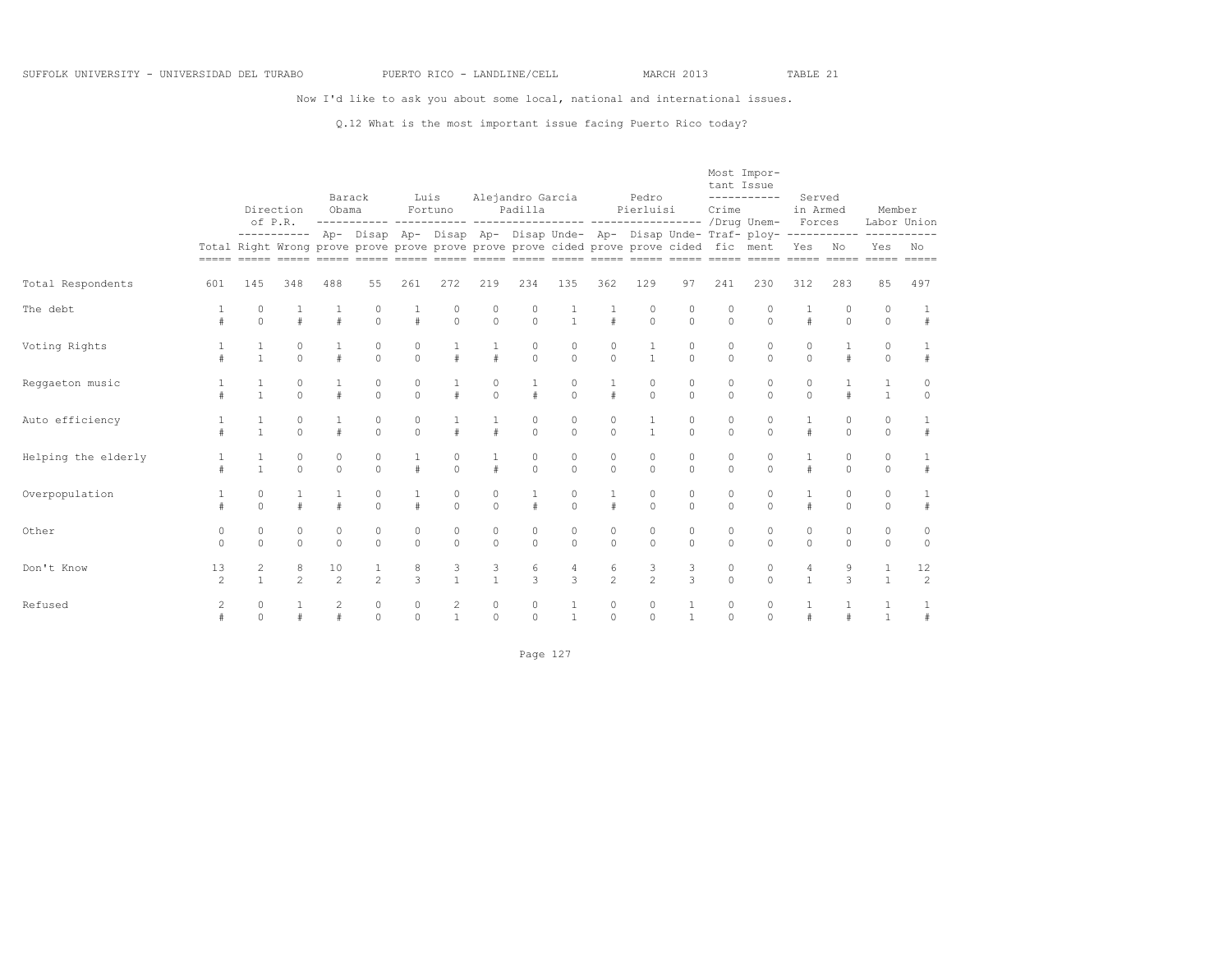Now I'd like to ask you about some local, national and international issues.

#### Q.12 What is the most important issue facing Puerto Rico today?

|                     |                      |                         | Direction<br>of P.R.    | Barack<br>Obama         |                         | Luis                | Fortuno       |                         | Alejandro Garcia<br>Padilla |                     |                        | Pedro<br>Pierluisi                                                                     |                         | tant Issue<br>Crime     | Most Impor-<br>-----------                                                           | Served<br>in Armed<br>Forces |                         | Member                  | Labor Union          |
|---------------------|----------------------|-------------------------|-------------------------|-------------------------|-------------------------|---------------------|---------------|-------------------------|-----------------------------|---------------------|------------------------|----------------------------------------------------------------------------------------|-------------------------|-------------------------|--------------------------------------------------------------------------------------|------------------------------|-------------------------|-------------------------|----------------------|
|                     |                      |                         |                         |                         |                         |                     |               |                         |                             |                     |                        | Total Right Wrong prove prove prove prove prove prove cided prove prove cided fic ment |                         |                         | ---------- Ap- Disap Ap- Disap Ap- Disap Unde- Ap- Disap Unde- Traf- ploy----------- | Yes No                       |                         | -----------<br>Yes      | No                   |
| Total Respondents   | 601                  | 145                     | 348                     | 488                     | 55                      | 261                 | 272           | 219                     | 234                         | 135                 | 362                    | 129                                                                                    | 97                      | 241                     | 230                                                                                  | 312                          | 283                     | 85                      | 497                  |
| The debt            | #                    | 0<br>$\Omega$           | $\#$                    |                         | 0<br>$\Omega$           | $\#$                | 0<br>$\circ$  | 0<br>$\mathbf{0}$       | 0<br>$\Omega$               | $\frac{1}{1}$       | $\#$                   | 0<br>$\circ$                                                                           | $\circ$<br>$\mathbf{0}$ | 0<br>$\Omega$           | $\Omega$                                                                             | $\#$                         | 0<br>$\circ$            | $\circ$<br>$\circ$      | #                    |
| Voting Rights       | $\pm$                |                         | $\circ$<br>$\Omega$     |                         | $\circ$<br>$\Omega$     | 0<br>$\Omega$       | $\#$          | 1<br>$\#$               | $\circ$<br>$\Omega$         | 0<br>$\Omega$       | 0<br>$\Omega$          | 1<br>$\mathbf{1}$                                                                      | $\circ$<br>$\theta$     | 0<br>$\Omega$           | 0<br>$\Omega$                                                                        | 0<br>$\Omega$                |                         | $\circ$<br>$\Omega$     | $\#$                 |
| Reggaeton music     | $\pm$                | 1                       | $\circ$<br>$\Omega$     |                         | $\circ$<br>$\Omega$     | $\circ$<br>$\Omega$ | $\#$          | $\circ$<br>$\theta$     |                             | 0<br>$\Omega$       | $1\,$<br>$\#$          | $\mathbb O$<br>$\Omega$                                                                | $\circ$<br>$\theta$     | 0<br>$\Omega$           | 0<br>$\Omega$                                                                        | $\mathbb O$<br>$\Omega$      |                         | $1\,$<br>$\overline{1}$ | $\circ$<br>$\Omega$  |
| Auto efficiency     | $\pm$                | $\mathbf{1}$            | $\circ$<br>$\Omega$     |                         | $\circ$<br>$\Omega$     | $\circ$<br>$\Omega$ | $\#$          | $1\,$<br>$\#$           | $\circ$<br>$\Omega$         | $\circ$<br>$\Omega$ | 0<br>$\Omega$          | $\mathbf 1$<br>$\mathbf{1}$                                                            | $\circ$<br>$\theta$     | $\circ$<br>$\Omega$     | 0<br>$\Omega$                                                                        | $1\,$<br>$\#$                | $\mathbb O$<br>$\Omega$ | $\circ$<br>$\Omega$     | $\#$                 |
| Helping the elderly | $\pm$                | $\mathbf{1}$            | $\mathbb O$<br>$\Omega$ | $\mathbb O$<br>$\Omega$ | $\circ$<br>$\Omega$     | 1<br>$\pm$          | 0<br>$\Omega$ | 1<br>$\#$               | 0<br>$\Omega$               | $\circ$<br>$\Omega$ | $\circ$<br>$\circ$     | $\mathbb O$<br>$\Omega$                                                                | $\circ$<br>$\theta$     | $\mathbb O$<br>$\Omega$ | 0<br>$\Omega$                                                                        | 1<br>$\#$                    | $\circ$<br>$\Omega$     | $\circ$<br>$\Omega$     | 1<br>$\#$            |
| Overpopulation      |                      | 0<br>$\Omega$           | $\#$                    |                         | $\mathbb O$<br>$\Omega$ | 1<br>$\pm$          | 0<br>$\Omega$ | $\circ$<br>$\Omega$     |                             | $\circ$<br>$\Omega$ | 1<br>$\#$              | $\mathbb O$<br>$\Omega$                                                                | $\circ$<br>$\Omega$     | $\mathbb O$<br>$\Omega$ | 0<br>$\Omega$                                                                        | 1<br>$\#$                    | $\circ$<br>$\Omega$     | 0<br>$\Omega$           | 1<br>$\#$            |
| Other               | $\circ$<br>$\Omega$  | 0<br>$\Omega$           | $\mathbb O$<br>$\Omega$ | $\circ$<br>$\Omega$     | $\circ$<br>$\Omega$     | $\circ$<br>$\Omega$ | 0<br>$\Omega$ | $\mathbb O$<br>$\Omega$ | 0<br>$\Omega$               | 0<br>$\Omega$       | 0<br>$\Omega$          | $\mathbb O$<br>$\Omega$                                                                | $\mathbb O$<br>$\Omega$ | 0<br>$\Omega$           | 0<br>$\Omega$                                                                        | $\mathbb O$<br>$\Omega$      | 0<br>$\Omega$           | $\circ$<br>$\Omega$     | $\circ$<br>$\circ$   |
| Don't Know          | 13<br>$\mathfrak{D}$ | $\overline{\mathbf{c}}$ | 8<br>$\overline{2}$     | 10<br>$\mathfrak{D}$    | $\mathfrak{D}$          | 8<br>$\overline{3}$ | $\frac{3}{1}$ | 3<br>$\mathbf{1}$       | 6<br>$\mathcal{L}$          | 4<br>$\mathcal{L}$  | 6<br>$\mathfrak{D}$    | $\frac{3}{2}$                                                                          | 3<br>$\mathcal{L}$      | 0<br>$\Omega$           | 0<br>$\Omega$                                                                        | 4<br>$\mathbf{1}$            | 9<br>$\mathcal{L}$      | $1\,$<br>$\mathbf{1}$   | 12<br>$\overline{c}$ |
| Refused             | $\overline{c}$       | 0<br>$\Omega$           |                         | 2                       | $\circ$<br>$\Omega$     | $\circ$<br>$\circ$  | 2             | $\circ$<br>$\circ$      | 0<br>$\Omega$               |                     | $\circ$<br>$\mathbb O$ | $\mathbb O$<br>$\Omega$                                                                | $\overline{1}$          | 0<br>$\Omega$           | 0<br>$\Omega$                                                                        |                              |                         | $\overline{1}$          | $\#$                 |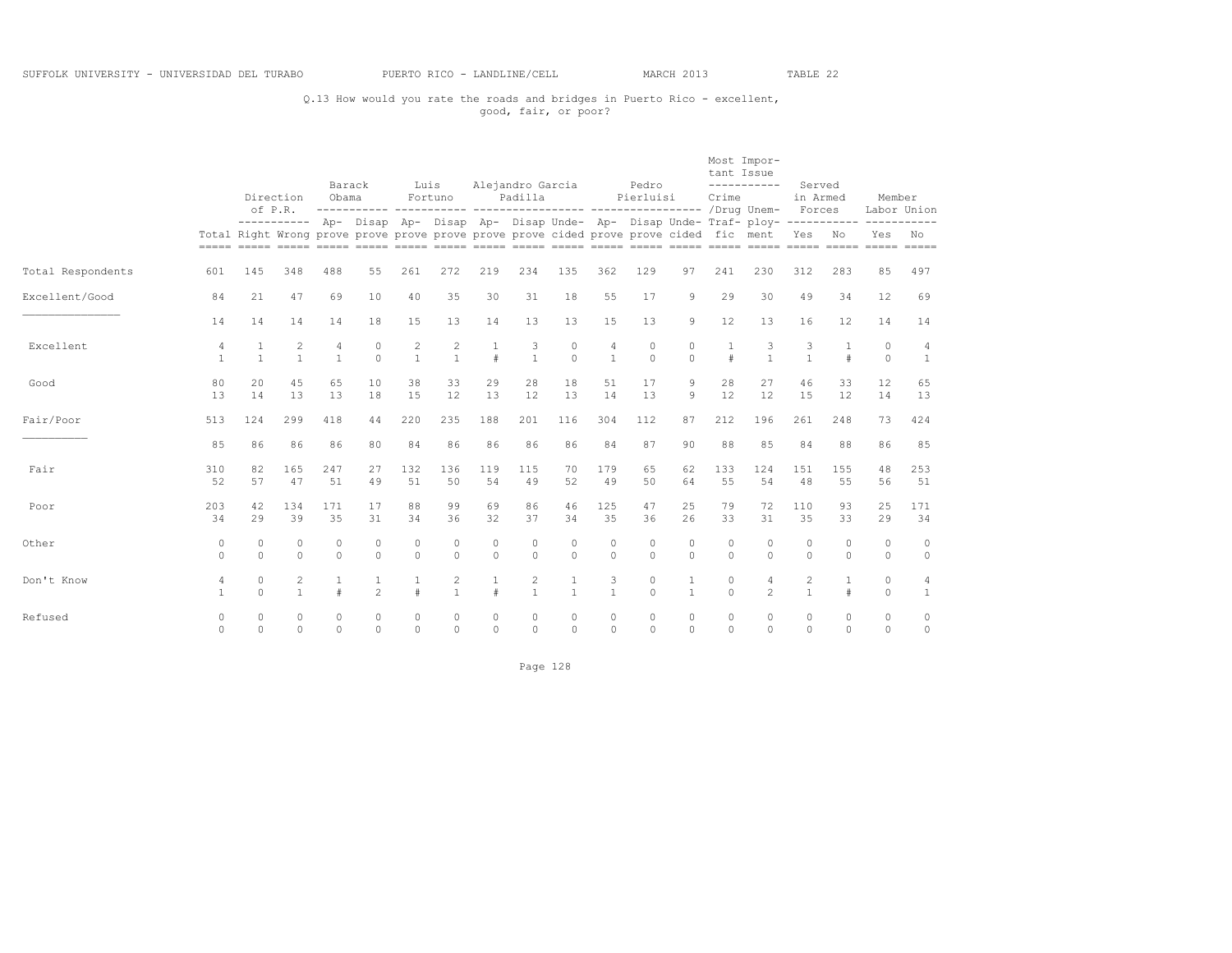## Q.13 How would you rate the roads and bridges in Puerto Rico - excellent, good, fair, or poor?

|                   |                      |                      | Direction<br>of P.R.           | Barack<br>Obama      |                      |                                | Luis<br>Fortuno                            |                     | Alejandro Garcia<br>Padilla |                                |                                | Pedro<br>Pierluisi                                                                     |                              | tant Issue<br>Crime  | Most Impor-<br>-----------                                                                       | Served<br>in Armed<br>Forces |                      | Member              | Labor Union         |
|-------------------|----------------------|----------------------|--------------------------------|----------------------|----------------------|--------------------------------|--------------------------------------------|---------------------|-----------------------------|--------------------------------|--------------------------------|----------------------------------------------------------------------------------------|------------------------------|----------------------|--------------------------------------------------------------------------------------------------|------------------------------|----------------------|---------------------|---------------------|
|                   |                      |                      |                                |                      |                      |                                |                                            |                     |                             |                                |                                | Total Right Wrong prove prove prove prove prove prove cided prove prove cided fic ment |                              |                      | ---------- Ap- Disap Ap- Disap Ap- Disap Unde- Ap- Disap Unde- Traf- ploy------------ ---------- | Yes No                       |                      | Yes                 | No                  |
| Total Respondents | 601                  | 145                  | 348                            | 488                  | 55                   | 261                            | 272                                        | 219                 | 234                         | 135                            | 362                            | 129                                                                                    | 97                           | 241                  | 230                                                                                              | 312                          | 283                  | 85                  | 497                 |
| Excellent/Good    | 84                   | 21                   | 47                             | 69                   | 10                   | 40                             | 35                                         | 30                  | 31                          | 18                             | 55                             | 17                                                                                     | 9                            | 29                   | 30                                                                                               | 49                           | 34                   | 12                  | 69                  |
|                   | 14                   | 14                   | 14                             | 14                   | 18                   | 15                             | 13                                         | 14                  | 13                          | 13                             | 15                             | 13                                                                                     | 9                            | 12                   | 13                                                                                               | 16                           | 12                   | 14                  | 14                  |
| Excellent         | 4<br>$\mathbf{1}$    | 1<br>$\mathbf{1}$    | $\overline{c}$<br>$\mathbf{1}$ | 4<br>$\mathbf{1}$    | 0<br>$\Omega$        | $\overline{c}$<br>$\mathbf{1}$ | $\begin{smallmatrix}2\\1\end{smallmatrix}$ | $\frac{1}{4}$       | 3<br>$\mathbf{1}$           | $\circ$<br>$\Omega$            | $\overline{4}$<br>$\mathbf{1}$ | $\circ$<br>$\Omega$                                                                    | $\circ$<br>$\theta$          |                      | 3<br>$\mathbf{1}$                                                                                | 3<br>$\mathbf{1}$            | 1<br>$\#$            | $\circ$<br>$\Omega$ | 4<br>$\mathbf{1}^-$ |
| Good              | 80<br>13             | 20<br>14             | 45<br>13                       | 65<br>13             | 10<br>18             | 38<br>1.5                      | 33<br>12.                                  | 29<br>13            | 28<br>12                    | 18<br>13                       | 51<br>14                       | 17<br>1.3                                                                              | 9<br>9                       | 28<br>12             | 27<br>12                                                                                         | 46<br>1.5                    | 33<br>12.            | 12<br>14            | 65<br>13            |
| Fair/Poor         | 513                  | 124                  | 299                            | 418                  | 44                   | 220                            | 235                                        | 188                 | 201                         | 116                            | 304                            | 112                                                                                    | 87                           | 212                  | 196                                                                                              | 261                          | 248                  | 73                  | 424                 |
|                   | 85                   | 86                   | 86                             | 86                   | 80                   | 84                             | 86                                         | 86                  | 86                          | 86                             | 84                             | 87                                                                                     | 90                           | 88                   | 85                                                                                               | 84                           | 88                   | 86                  | 85                  |
| Fair              | 310<br>52            | 82<br>57             | 165<br>47                      | 247<br>51            | 27<br>49             | 132<br>51                      | 136<br>50                                  | 119<br>54           | 115<br>49                   | 70<br>52                       | 179<br>49                      | 65<br>50                                                                               | 62<br>64                     | 133<br>55            | 124<br>54                                                                                        | 151<br>48                    | 155<br>55            | 48<br>56            | 253<br>51           |
| Poor              | 203<br>34            | 42<br>29             | 134<br>39                      | 171<br>35            | 17<br>31             | 88<br>34                       | 99<br>36                                   | 69<br>32            | 86<br>37                    | 46<br>34                       | 125<br>35                      | 47<br>36                                                                               | 25<br>26                     | 79<br>33             | 72<br>31                                                                                         | 110<br>35                    | 93<br>33             | 25<br>29            | 171<br>34           |
| Other             | $\circ$<br>$\Omega$  | $\Omega$<br>$\Omega$ | $\circ$<br>$\Omega$            | $\Omega$<br>$\Omega$ | $\Omega$<br>$\Omega$ | $\circ$<br>$\Omega$            | $\Omega$<br>$\Omega$                       | $\circ$<br>$\Omega$ | $\Omega$<br>$\Omega$        | $\Omega$<br>$\Omega$           | $\circ$<br>$\Omega$            | $\Omega$<br>$\Omega$                                                                   | $\circ$<br>$\Omega$          | $\Omega$<br>$\cap$   | $\Omega$<br>$\Omega$                                                                             | $\Omega$<br>$\Omega$         | $\Omega$<br>$\Omega$ | $\circ$<br>$\circ$  | $\circ$<br>$\circ$  |
| Don't Know        | 4<br>$\mathbf{1}$    | $\circ$<br>$\Omega$  | $\overline{c}$<br>$\mathbf{1}$ | $\mathbf{1}$<br>$\#$ | $\overline{c}$       | $\mathbf{1}$<br>#              | 2<br>$\mathbf{1}$                          | $\#$                | 2<br>$\mathbf{1}$           | $\mathbf{1}$<br>$\overline{1}$ | 3<br>$\mathbf{1}$              | $\circ$<br>$\Omega$                                                                    | $\mathbf{1}$<br>$\mathbf{1}$ | $\Omega$<br>$\Omega$ | $\overline{4}$<br>$\mathfrak{D}$                                                                 | 2<br>$\mathbf{1}$            | $\mathbf{1}$<br>#    | $\circ$<br>$\circ$  | 4<br>$\mathbf{1}$   |
| Refused           | $\Omega$<br>$\Omega$ | $\Omega$<br>$\Omega$ | $\bigcap$<br>$\Omega$          | $\Omega$<br>$\Omega$ | $\Omega$<br>$\Omega$ | $\Omega$<br>$\Omega$           | $\Omega$<br>$\Omega$                       | $\circ$<br>$\Omega$ | $\Omega$<br>$\Omega$        | $\Omega$<br>$\Omega$           | $\Omega$<br>$\Omega$           | $\Omega$<br>$\Omega$                                                                   | $\circ$<br>$\Omega$          | $\Omega$<br>$\Omega$ | $\Omega$<br>$\Omega$                                                                             | $\Omega$<br>$\Omega$         | $\Omega$<br>$\Omega$ | $\circ$<br>$\Omega$ | $\circ$<br>$\circ$  |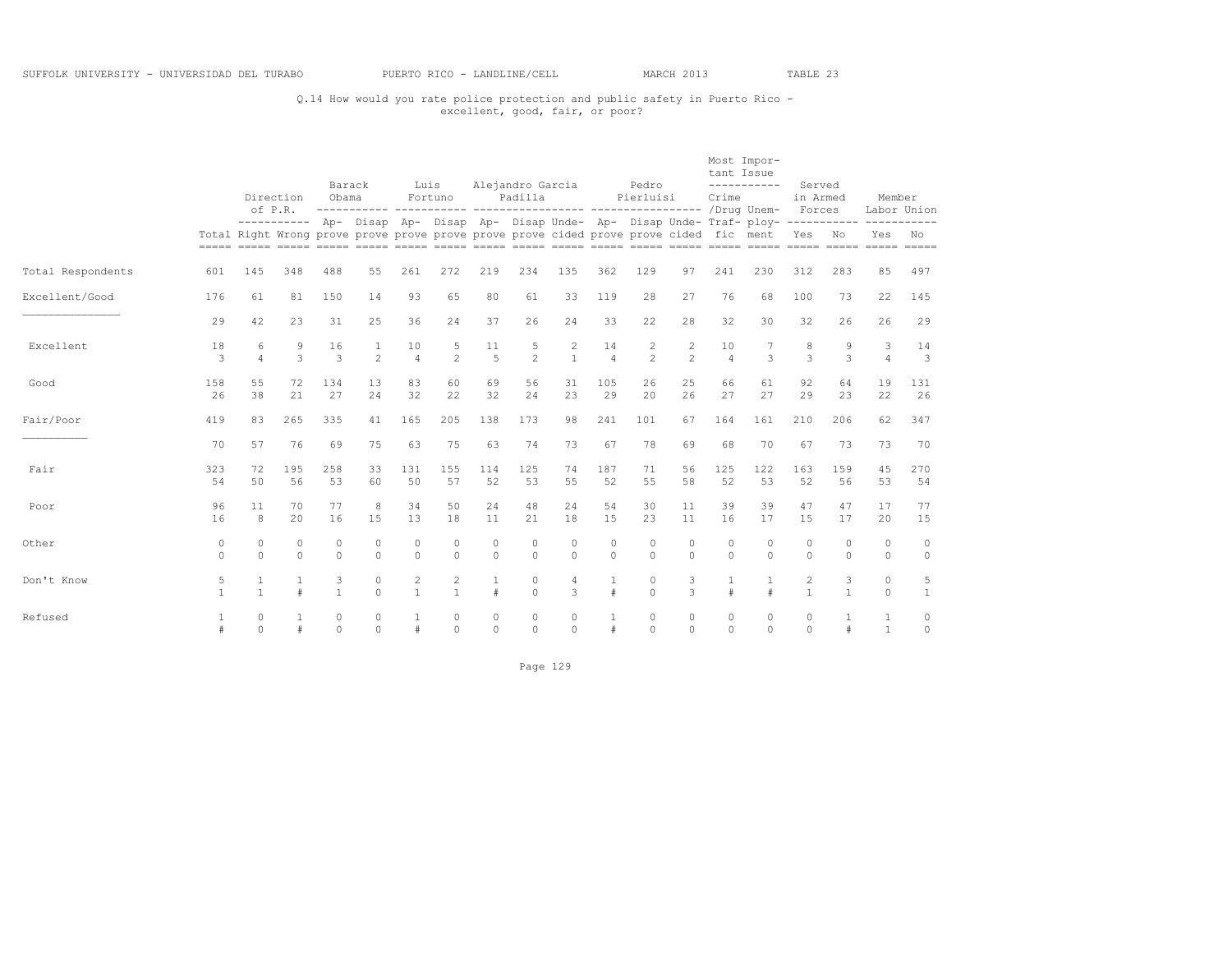## Q.14 How would you rate police protection and public safety in Puerto Rico - excellent, good, fair, or poor?

|                   |                      |                                                                                        | Direction<br>of P.R. | Barack<br>Obama      |                                | Luis                           | Fortuno                      |                      | Alejandro Garcia<br>Padilla |                      |                      | Pedro<br>Pierluisi   |                                  | tant Issue<br>Crime  | Most Impor-<br>-----------                                                                         | Served<br>in Armed<br>Forces   |                      | Member                       | Labor Union                   |
|-------------------|----------------------|----------------------------------------------------------------------------------------|----------------------|----------------------|--------------------------------|--------------------------------|------------------------------|----------------------|-----------------------------|----------------------|----------------------|----------------------|----------------------------------|----------------------|----------------------------------------------------------------------------------------------------|--------------------------------|----------------------|------------------------------|-------------------------------|
|                   |                      | Total Right Wrong prove prove prove prove prove prove cided prove prove cided fic ment |                      |                      |                                |                                |                              |                      |                             |                      |                      |                      |                                  |                      | ---------- Ap- Disap Ap- Disap Ap- Disap Unde- Ap- Disap Unde- Traf- ploy- ----------- ----------- | Yes No                         |                      | Yes                          | No<br>$= = = = =$             |
| Total Respondents | 601                  | 145                                                                                    | 348                  | 488                  | 55                             | 261                            | 272                          | 219                  | 234                         | 135                  | 362                  | 129                  | 97                               | 241                  | 230                                                                                                | 312                            | 283                  | 85                           | 497                           |
| Excellent/Good    | 176                  | 61                                                                                     | 81                   | 150                  | 14                             | 93                             | 65                           | 80                   | 61                          | 33                   | 119                  | 28                   | 27                               | 76                   | 68                                                                                                 | 100                            | 73                   | 22                           | 145                           |
|                   | 29                   | 42                                                                                     | 23                   | 31                   | 25                             | 36                             | 24                           | 37                   | 26                          | 24                   | 33                   | 22                   | 28                               | 32                   | 30                                                                                                 | 32                             | 26                   | 26                           | 29                            |
| Excellent         | 18<br>3              | 6<br>$\overline{4}$                                                                    | 9<br>3               | 16<br>3              | $\mathbf{1}$<br>$\overline{c}$ | 10<br>$\overline{4}$           | 5<br>$\mathfrak{D}$          | 11<br>$\overline{5}$ | 5<br>$\mathfrak{D}$         | 2<br>$\mathbf{1}$    | 14<br>$\overline{4}$ | 2<br>$\mathfrak{D}$  | $\overline{c}$<br>$\mathfrak{D}$ | 10<br>$\overline{4}$ | 3                                                                                                  | 8<br>3                         | 9<br>3               | 3<br>$\overline{4}$          | 14<br>$\overline{\mathbf{3}}$ |
| Good              | 158<br>26            | 55<br>38                                                                               | 72<br>21             | 134<br>27            | 13<br>24                       | 83<br>32                       | 60<br>22                     | 69<br>32             | 56<br>24                    | 31<br>23             | 105<br>29            | 26<br>20             | 25<br>26                         | 66<br>27             | 61<br>27                                                                                           | 92<br>29                       | 64<br>23             | 19<br>22                     | 131<br>26                     |
| Fair/Poor         | 419                  | 83                                                                                     | 265                  | 335                  | 41                             | 165                            | 205                          | 138                  | 173                         | 98                   | 241                  | 101                  | 67                               | 164                  | 161                                                                                                | 210                            | 206                  | 62                           | 347                           |
|                   | 70                   | 57                                                                                     | 76                   | 69                   | 75                             | 63                             | 75                           | 63                   | 74                          | 73                   | 67                   | 78                   | 69                               | 68                   | 70                                                                                                 | 67                             | 73                   | 73                           | 70                            |
| Fair              | 323<br>54            | 72<br>50                                                                               | 195<br>56            | 258<br>53            | 33<br>60                       | 131<br>50                      | 155<br>57                    | 114<br>52            | 125<br>53                   | 74<br>55             | 187<br>52            | 71<br>55             | 56<br>58                         | 125<br>52            | 122<br>53                                                                                          | 163<br>52                      | 159<br>56            | 45<br>53                     | 270<br>54                     |
| Poor              | 96<br>16             | 11<br>8                                                                                | 70<br>20             | 77<br>16             | 8<br>15                        | 34<br>13                       | 50<br>18                     | 24<br>11             | 48<br>2.1                   | 24<br>18             | 54<br>15             | 30<br>23             | 11<br>11                         | 39<br>16             | 39<br>17                                                                                           | 47<br>1.5                      | 47<br>17             | 17<br>20                     | 77<br>15                      |
| Other             | 0<br>$\Omega$        | 0<br>$\Omega$                                                                          | $\circ$<br>$\Omega$  | $\Omega$<br>$\Omega$ | 0<br>$\Omega$                  | 0<br>$\Omega$                  | 0<br>$\Omega$                | $\circ$<br>$\Omega$  | $\circ$<br>$\Omega$         | $\Omega$<br>$\Omega$ | $\circ$<br>$\Omega$  | $\circ$<br>$\Omega$  | $\circ$<br>$\Omega$              | $\circ$<br>$\Omega$  | $\Omega$<br>$\Omega$                                                                               | $\circ$<br>$\Omega$            | $\Omega$<br>$\Omega$ | $\bigcap$<br>$\Omega$        | $\circ$<br>$\circ$            |
| Don't Know        | 5<br>$\mathbf{1}$    | $1\,$<br>$\mathbf{1}$                                                                  | $\mathbf{1}$<br>#    | 3<br>$\mathbf{1}$    | $\circ$<br>$\Omega$            | $\overline{c}$<br>$\mathbf{1}$ | $\mathbf{2}$<br>$\mathbf{1}$ | 1<br>$\#$            | $\circ$<br>$\Omega$         | $\overline{4}$<br>3  | $1\,$<br>#           | $\circ$<br>$\Omega$  | 3<br>3                           |                      | $\pm$                                                                                              | $\overline{c}$<br>$\mathbf{1}$ | 3<br>$\mathbf{1}$    | $\circ$<br>$\Omega$          | 5<br>$\mathbf{1}$             |
| Refused           | $\mathbf{1}$<br>$\#$ | $\Omega$<br>$\Omega$                                                                   | $\mathbf{1}$<br>#    | $\Omega$<br>$\Omega$ | $\Omega$<br>$\cap$             | 1<br>#                         | $\Omega$<br>$\Omega$         | $\circ$<br>$\Omega$  | $\Omega$<br>$\Omega$        | $\Omega$<br>$\cap$   | 1<br>$\#$            | $\Omega$<br>$\Omega$ | $\circ$<br>$\cap$                | $\Omega$<br>$\Omega$ | $\Omega$<br>$\Omega$                                                                               | $\Omega$<br>$\Omega$           | 1<br>$\#$            | $\mathbf{1}$<br>$\mathbf{1}$ | 0<br>$\circ$                  |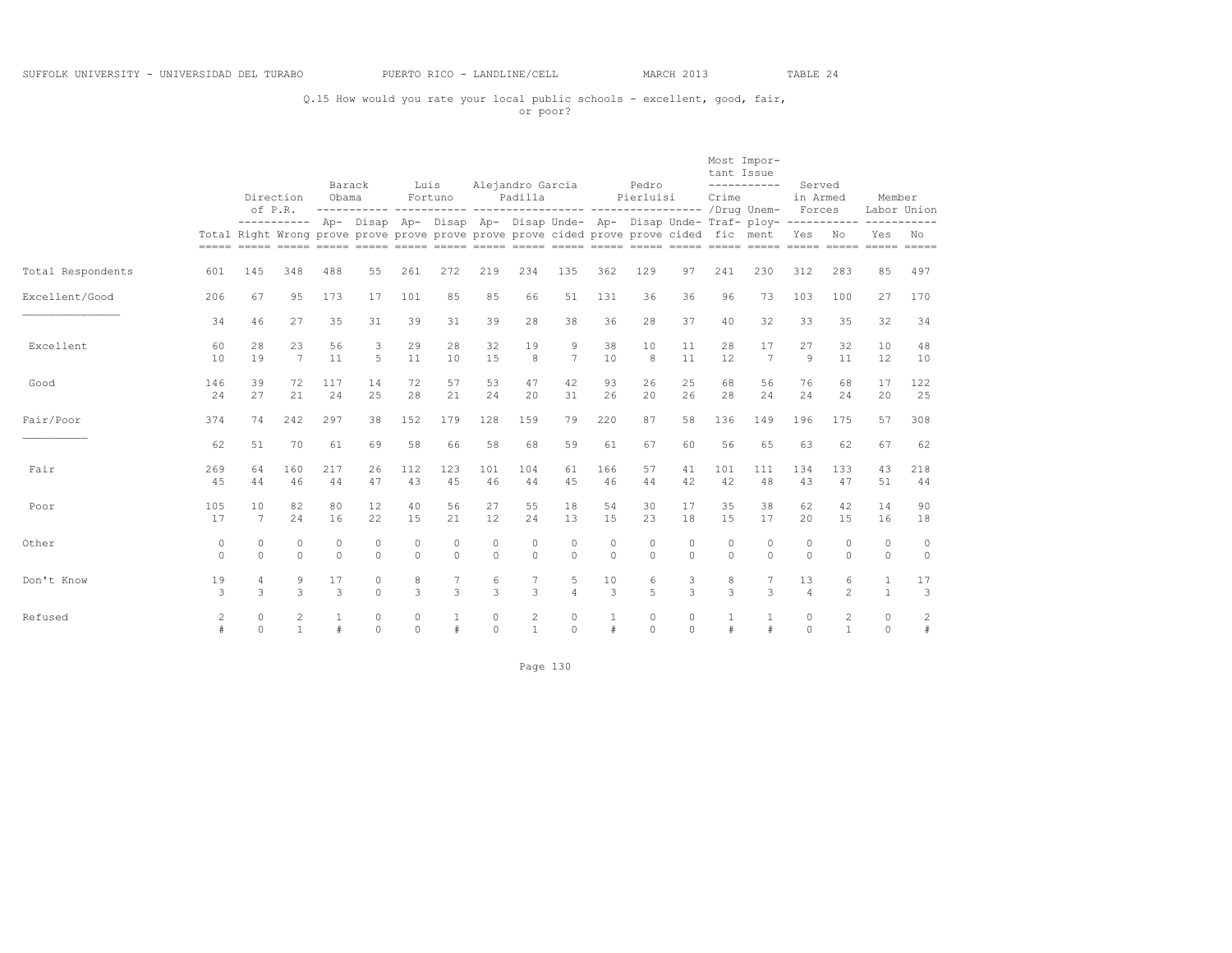## Q.15 How would you rate your local public schools - excellent, good, fair, or poor?

|                   |                          |                      | Direction<br>of P.R. |                     | Barack<br>Obama                                                                        |                     | Luis<br>Fortuno      |                     | Alejandro Garcia<br>Padilla    |                     |                   | Pedro<br>Pierluisi  |                     | tant Issue<br>Crime | Most Impor-<br>-----------                                                                         | Served<br>in Armed<br>Forces |                              | Member              | Labor Union         |
|-------------------|--------------------------|----------------------|----------------------|---------------------|----------------------------------------------------------------------------------------|---------------------|----------------------|---------------------|--------------------------------|---------------------|-------------------|---------------------|---------------------|---------------------|----------------------------------------------------------------------------------------------------|------------------------------|------------------------------|---------------------|---------------------|
|                   |                          |                      |                      |                     | Total Right Wrong prove prove prove prove prove prove cided prove prove cided fic ment |                     |                      |                     |                                |                     |                   |                     |                     |                     | ---------- Ap- Disap Ap- Disap Ap- Disap Unde- Ap- Disap Unde- Traf- ploy- ----------- ----------- | Yes                          | N <sub>O</sub>               | Yes                 | No<br>$= = = = = =$ |
| Total Respondents | 601                      | 145                  | 348                  | 488                 | 55                                                                                     | 261                 | 272                  | 219                 | 234                            | 135                 | 362               | 129                 | 97                  | 241                 | 230                                                                                                | 312                          | 283                          | 85                  | 497                 |
| Excellent/Good    | 206                      | 67                   | 95                   | 173                 | 17                                                                                     | 101                 | 85                   | 85                  | 66                             | 51                  | 131               | 36                  | 36                  | 96                  | 73                                                                                                 | 103                          | 100                          | 27                  | 170                 |
|                   | 34                       | 46                   | 27                   | 35                  | 31                                                                                     | 39                  | 31                   | 39                  | 28                             | 38                  | 36                | 28                  | 37                  | 40                  | 32                                                                                                 | 33                           | 35                           | 32                  | 34                  |
| Excellent         | 60<br>10                 | 28<br>19             | 23<br>7              | 56<br>11            | 3<br>5                                                                                 | 29<br>11            | 28<br>10             | 32<br>15            | 19<br>8                        | 9<br>$\overline{7}$ | 38<br>10          | 10<br>8             | 11<br>11            | 28<br>12            | 17<br>$\overline{7}$                                                                               | 27<br>9                      | 32<br>11                     | 10<br>12            | 48<br>10            |
| Good              | 146<br>24                | 39<br>27             | 72<br>21             | 117<br>24           | 14<br>25                                                                               | 72<br>28            | 57<br>21             | 53<br>24            | 47<br>20                       | 42<br>31            | 93<br>26          | 26<br>20            | 25<br>26            | 68<br>28            | 56<br>24                                                                                           | 76<br>24                     | 68<br>24                     | 17<br>20            | 122<br>25           |
| Fair/Poor         | 374                      | 74                   | 242                  | 297                 | 38                                                                                     | 152                 | 179                  | 128                 | 159                            | 79                  | 220               | 87                  | 58                  | 136                 | 149                                                                                                | 196                          | 175                          | 57                  | 308                 |
|                   | 62                       | 51                   | 70                   | 61                  | 69                                                                                     | 58                  | 66                   | 58                  | 68                             | 59                  | 61                | 67                  | 60                  | 56                  | 65                                                                                                 | 63                           | 62                           | 67                  | 62                  |
| Fair              | 269<br>45                | 64<br>44             | 160<br>46            | 217<br>44           | 26<br>47                                                                               | 112<br>43           | 123<br>45            | 101<br>46           | 104<br>44                      | 61<br>45            | 166<br>46         | 57<br>44            | 41<br>42            | 101<br>42           | 111<br>48                                                                                          | 134<br>43                    | 133<br>47                    | 43<br>51            | 218<br>44           |
| Poor              | 105<br>17                | 10<br>$\overline{7}$ | 82<br>24             | 80<br>16            | 12<br>22                                                                               | 40<br>1.5           | 56<br>21             | 27<br>12            | 55<br>24                       | 18<br>13            | 54<br>1.5         | 30<br>2.3           | 17<br>18            | 35<br>1.5           | 38<br>17                                                                                           | 62<br>2.0                    | 42<br>1.5                    | 14<br>16            | 90<br>18            |
| Other             | $\mathbf{0}$<br>$\Omega$ | 0<br>$\Omega$        | $\circ$<br>$\Omega$  | $\circ$<br>$\Omega$ | 0<br>$\Omega$                                                                          | 0<br>$\Omega$       | $\circ$<br>$\Omega$  | $\circ$<br>$\Omega$ | $\circ$<br>$\Omega$            | $\circ$<br>$\Omega$ | 0<br>$\Omega$     | $\circ$<br>$\Omega$ | $\circ$<br>$\Omega$ | 0<br>$\Omega$       | 0<br>$\Omega$                                                                                      | $\circ$<br>$\Omega$          | 0<br>$\Omega$                | $\circ$<br>$\Omega$ | $\circ$<br>$\circ$  |
| Don't Know        | 19<br>3                  | 4<br>3               | 9<br>3               | 17<br>3             | 0<br>$\Omega$                                                                          | 8<br>3              | 7<br>3               | 6<br>3              | 7<br>3                         | 5<br>$\Delta$       | 10<br>3           | 6<br>5              | 3<br>3              | 8<br>$\mathcal{L}$  | 7<br>$\mathcal{L}$                                                                                 | 13<br>$\overline{4}$         | 6<br>$\overline{c}$          | 1<br>$\mathbf{1}$   | 17<br>$\mathbf{3}$  |
| Refused           | 2<br>#                   | $\circ$<br>$\Omega$  | 2<br>$\overline{1}$  | $\mathbf{1}$<br>#   | $\circ$<br>$\Omega$                                                                    | $\circ$<br>$\Omega$ | $\mathbf{1}$<br>$\#$ | $\circ$<br>$\Omega$ | $\overline{c}$<br>$\mathbf{1}$ | $\circ$<br>$\Omega$ | $\mathbf{1}$<br># | $\circ$<br>$\Omega$ | $\circ$<br>$\Omega$ | $\#$                | $\mathbf{1}$<br>#                                                                                  | $\circ$<br>$\Omega$          | $\mathbf{2}$<br>$\mathbf{1}$ | $\circ$<br>$\Omega$ | 2<br>#              |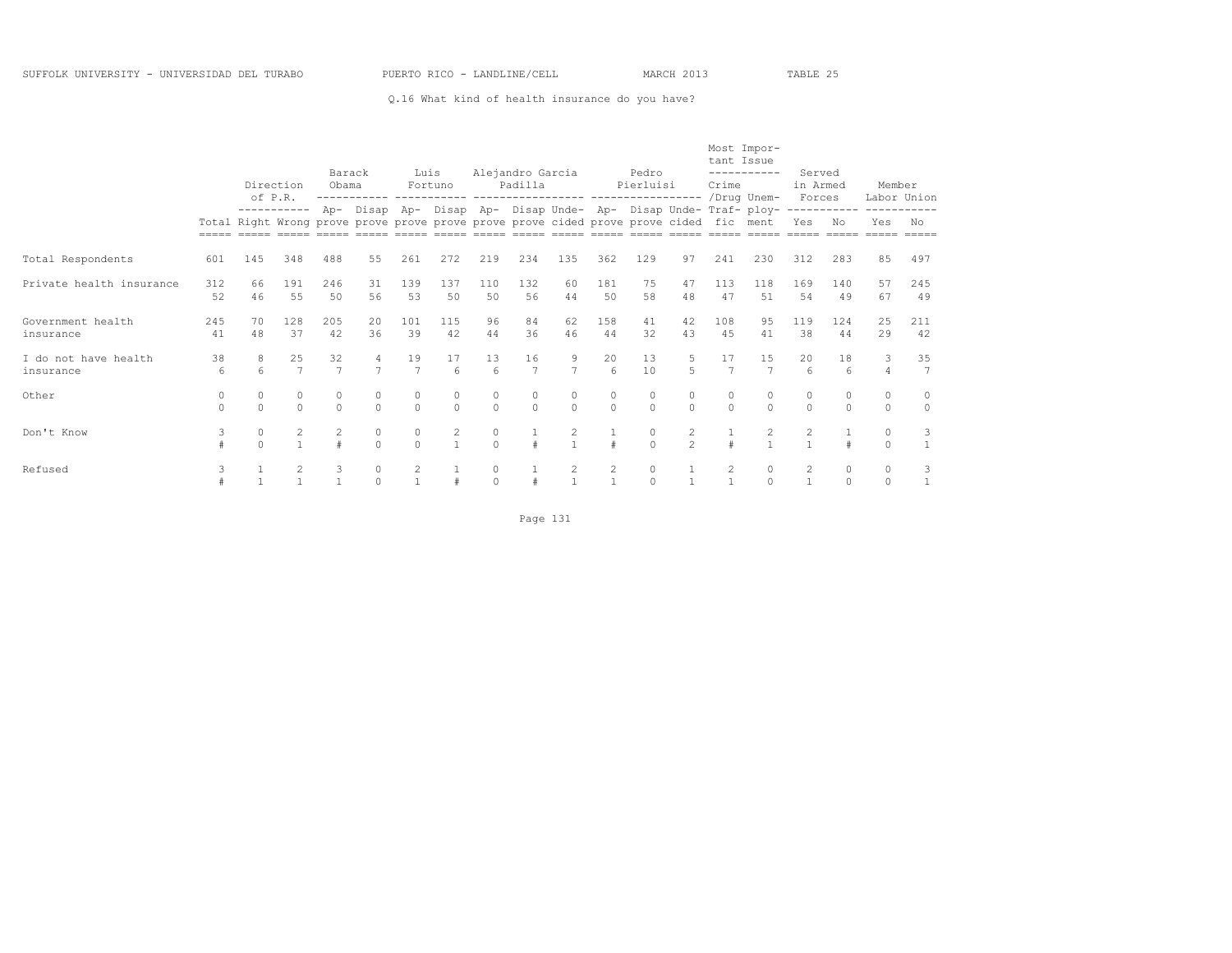#### Q.16 What kind of health insurance do you have?

|                                   |                      | Direction              |                                                                                                                    | Barack<br>Obama         |                      | Luis                 | Fortuno               |                    | Alejandro Garcia<br>Padilla                                     |                      |                          | Pedro<br>Pierluisi |                                  | tant Issue<br>Crime  | Most Impor-<br>----------- | Served<br>in Armed                    |                    | Member              |                      |
|-----------------------------------|----------------------|------------------------|--------------------------------------------------------------------------------------------------------------------|-------------------------|----------------------|----------------------|-----------------------|--------------------|-----------------------------------------------------------------|----------------------|--------------------------|--------------------|----------------------------------|----------------------|----------------------------|---------------------------------------|--------------------|---------------------|----------------------|
|                                   |                      | of P.R.<br>----------- | Total Right Wrong prove prove prove prove prove prove cided prove prove cided fic ment<br>348<br>488<br>191<br>246 |                         |                      |                      |                       |                    | Ap- Disap Ap- Disap Ap- Disap Unde- Ap- Disap Unde- Traf- ploy- |                      |                          | -----------------  |                                  |                      | /Drug Unem-                | Forces<br>-----------<br>Yes          | No                 | Labor Union<br>Yes  | No                   |
|                                   | =====                |                        |                                                                                                                    |                         |                      |                      |                       |                    |                                                                 |                      |                          |                    |                                  |                      |                            |                                       |                    |                     |                      |
| Total Respondents                 | 601                  | 145                    |                                                                                                                    |                         | 55                   | 261                  | 272                   | 219                | 234                                                             | 135                  | 362                      | 129                | 97                               | 241                  | 230                        | 312                                   | 283                | 85                  | 497                  |
| Private health insurance          | 312<br>52            | 66<br>46               | 55                                                                                                                 | .50                     | 31<br>56             | 139<br>53            | 137<br>50             | 110<br>50          | 132<br>56                                                       | 60<br>44             | 181<br>50                | 75<br>58           | 47<br>48                         | 113<br>47            | 118<br>.51                 | 169<br>54                             | 140<br>49          | 57<br>67            | 245<br>49            |
| Government health<br>insurance    | 245<br>41            | 70<br>48               | 128<br>37                                                                                                          | 205<br>42               | 20<br>36             | 101<br>39            | 115<br>42             | 96<br>44           | 84<br>36                                                        | 62<br>46             | 158<br>44                | 41<br>32           | 42<br>43                         | 108<br>45            | 95<br>41                   | 119<br>38                             | 124<br>44          | 25<br>29            | 211<br>42            |
| I do not have health<br>insurance | 38<br>6              | 8<br>$\epsilon$        | 25<br>$\overline{7}$                                                                                               | 32<br>$\overline{7}$    | 4<br>$\overline{ }$  | 19<br>$\overline{7}$ | 17<br>$6\overline{6}$ | 13<br>$\epsilon$   | 16<br>$\overline{7}$                                            | $\overline{7}$       | 20<br>$6 \overline{6}$   | 13<br>10           | $\overline{5}$                   | 17<br>$\overline{7}$ | 15<br>$\overline{7}$       | 20<br>$6\overline{6}$                 | 18<br>$\epsilon$   | 3<br>$\overline{4}$ | 35<br>$\overline{7}$ |
| Other                             | $\Omega$<br>$\Omega$ | $\Omega$<br>$\Omega$   | $\Omega$<br>$\cap$                                                                                                 | $\Omega$<br>$\Omega$    | $\Omega$<br>$\Omega$ | $\circ$<br>$\Omega$  | $\circ$<br>$\Omega$   | $\Omega$<br>$\cap$ | $\Omega$<br>$\Omega$                                            | $\Omega$<br>$\Omega$ | $\circ$<br>$\Omega$      | 0<br>$\Omega$      | $\circ$<br>$\Omega$              | $\Omega$<br>$\Omega$ | $\Omega$<br>$\Omega$       | $\circ$<br>$\Omega$                   | $\Omega$<br>$\cap$ | $\circ$<br>$\Omega$ | $\circ$<br>$\Omega$  |
| Don't Know                        | 3                    | $\circ$                | $\overline{2}$                                                                                                     | $\overline{2}$<br>$\pm$ | $\circ$<br>$\cap$    | $\circ$<br>$\Omega$  | 2<br>$\mathbf{1}$     | $\bigcap$          |                                                                 | $\mathbf{2}$         | $\#$                     | $\circ$<br>$\cap$  | $\overline{c}$<br>$\mathfrak{D}$ |                      | 2                          | $\mathbf{2}^{\prime}$<br>$\mathbf{1}$ |                    | $\circ$<br>$\Omega$ | 3                    |
| Refused                           | 3                    |                        |                                                                                                                    | 3                       | $\circ$<br>$\cap$    | $\frac{2}{1}$        |                       | $\cap$             |                                                                 | 2                    | $\overline{c}$<br>$\tau$ | 0<br>$\cap$        |                                  | 2                    | 0                          | $\overline{c}$                        | 0                  | $\circ$<br>$\Omega$ | 3                    |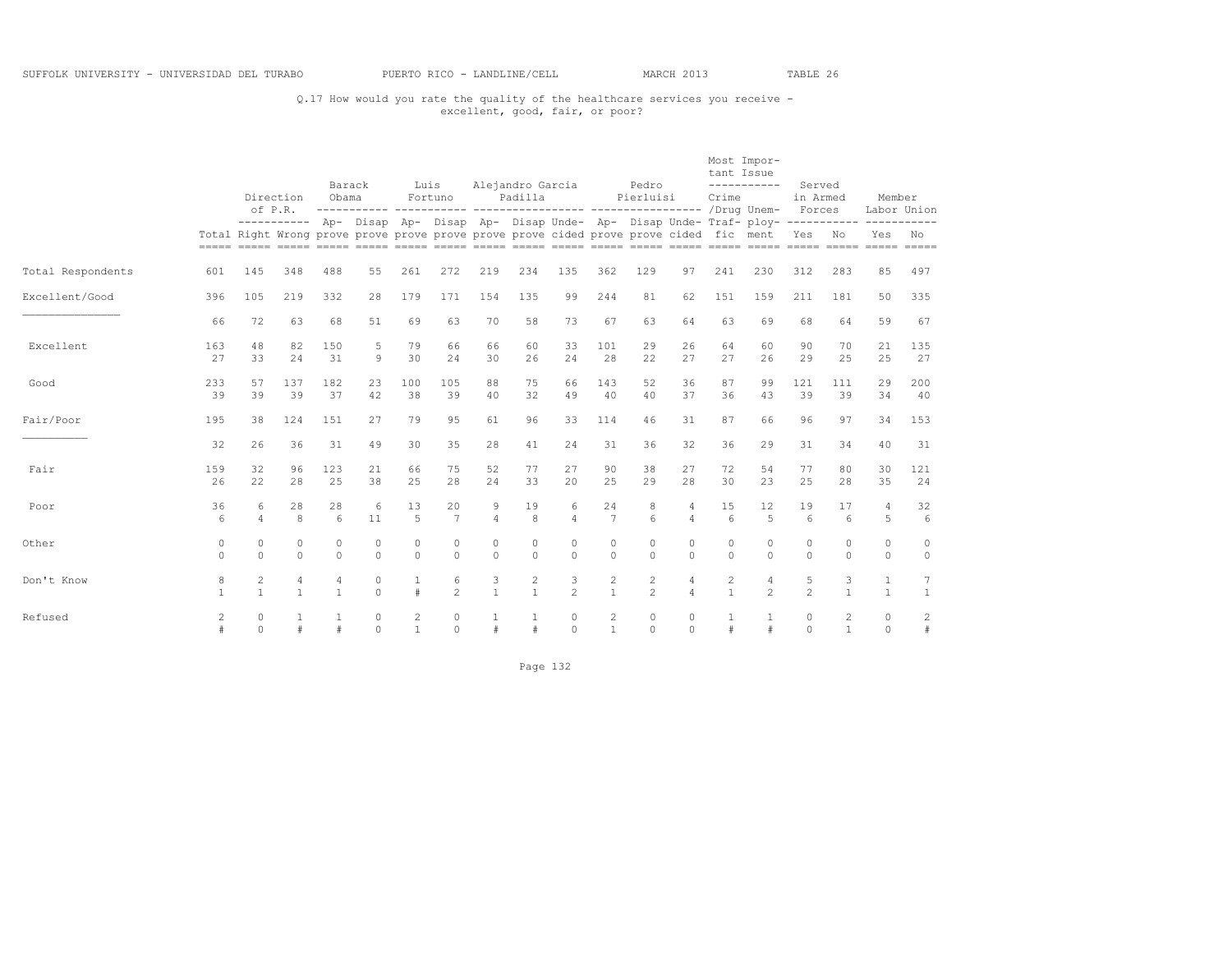## Q.17 How would you rate the quality of the healthcare services you receive - excellent, good, fair, or poor?

|                   |                   |                                | Direction<br>of P.R. | Barack<br>Obama      |                      | Luis                 | Fortuno               | Alejandro Garcia     | Padilla                    |                      |                                | Pedro<br>Pierluisi                                                                     |                              | tant Issue<br>Crime        | Most Impor-<br>-----------                                                                       | Served<br>in Armed<br>Forces |                                | Member                | Labor Union         |
|-------------------|-------------------|--------------------------------|----------------------|----------------------|----------------------|----------------------|-----------------------|----------------------|----------------------------|----------------------|--------------------------------|----------------------------------------------------------------------------------------|------------------------------|----------------------------|--------------------------------------------------------------------------------------------------|------------------------------|--------------------------------|-----------------------|---------------------|
|                   |                   |                                |                      |                      |                      |                      |                       |                      |                            |                      |                                | Total Right Wrong prove prove prove prove prove prove cided prove prove cided fic ment |                              |                            | ---------- Ap- Disap Ap- Disap Ap- Disap Unde- Ap- Disap Unde- Traf- ploy- ----------- --------- | Yes No                       |                                | Yes                   | No                  |
| Total Respondents | 601               | 145                            | 348                  | 488                  | 55                   | 261                  | 272                   | 219                  | 234                        | 135                  | 362                            | 129                                                                                    | 97                           | 241                        | 230                                                                                              | 312                          | 283                            | 85                    | 497                 |
| Excellent/Good    | 396               | 105                            | 219                  | 332                  | 28                   | 179                  | 171                   | 154                  | 135                        | 99                   | 244                            | 81                                                                                     | 62                           | 151                        | 159                                                                                              | 211                          | 181                            | 50                    | 335                 |
|                   | 66                | 72                             | 63                   | 68                   | 51                   | 69                   | 63                    | 70                   | 58                         | 73                   | 67                             | 63                                                                                     | 64                           | 63                         | 69                                                                                               | 68                           | 64                             | 59                    | 67                  |
| Excellent         | 163<br>27         | 48<br>33                       | 82<br>24             | 150<br>31            | 5<br>9               | 79<br>30             | 66<br>2.4             | 66<br>30             | 60<br>26                   | 33<br>24             | 101<br>28                      | 29<br>22                                                                               | 26<br>27                     | 64<br>27                   | 60<br>26                                                                                         | 90<br>29                     | 70<br>25                       | 21<br>25              | 135<br>27           |
| Good              | 233<br>39         | 57<br>39                       | 137<br>39            | 182<br>37            | 23<br>42             | 100<br>38            | 105<br>39             | 88<br>40             | 75<br>32                   | 66<br>49             | 143<br>40                      | 52<br>40                                                                               | 36<br>37                     | 87<br>36                   | 99<br>43                                                                                         | 121<br>39                    | 111<br>39                      | 29<br>34              | 200<br>40           |
| Fair/Poor         | 195               | 38                             | 124                  | 151                  | 27                   | 79                   | 95                    | 61                   | 96                         | 33                   | 114                            | 46                                                                                     | 31                           | 87                         | 66                                                                                               | 96                           | 97                             | 34                    | 153                 |
|                   | 32                | 26                             | 36                   | 31                   | 49                   | 30                   | 35                    | 28                   | 41                         | 24                   | 31                             | 36                                                                                     | 32                           | 36                         | 29                                                                                               | 31                           | 34                             | 40                    | 31                  |
| Fair              | 159<br>26         | 32<br>22                       | 96<br>28             | 123<br>25            | 21<br>38             | 66<br>25             | 75<br>2.8             | 52<br>24             | 77<br>33                   | 27<br>20             | 90<br>25                       | 38<br>29                                                                               | 27<br>28                     | 72<br>30                   | 54<br>23                                                                                         | 77<br>25                     | 80<br>28                       | 30<br>35              | 121<br>24           |
| Poor              | 36<br>6           | 6<br>$\overline{4}$            | 28<br>8              | 28<br>6              | 6<br>11              | 13<br>5              | 20<br>$7\phantom{.0}$ | 9<br>$\overline{4}$  | 19<br>8                    | 6<br>$\overline{4}$  | 24<br>$\overline{7}$           | 8<br>6                                                                                 | 4<br>$\overline{4}$          | 15<br>6                    | 12<br>5                                                                                          | 19<br>6                      | 17<br>$6\overline{6}$          | 4<br>5                | 32<br>6             |
| Other             | 0<br>$\Omega$     | $\Omega$<br>$\Omega$           | $\circ$<br>$\Omega$  | $\Omega$<br>$\Omega$ | $\Omega$<br>$\Omega$ | $\Omega$<br>$\Omega$ | $\Omega$<br>$\Omega$  | $\Omega$<br>$\Omega$ | $\Omega$<br>$\Omega$       | $\Omega$<br>$\Omega$ | $\circ$<br>$\Omega$            | $\Omega$<br>$\Omega$                                                                   | $\Omega$<br>$\Omega$         | $\Omega$<br>$\Omega$       | 0<br>$\Omega$                                                                                    | 0<br>$\Omega$                | $\Omega$<br>$\Omega$           | $\bigcap$<br>$\Omega$ | 0<br>$\circ$        |
| Don't Know        | 8<br>$\mathbf{1}$ | $\overline{c}$<br>$\mathbf{1}$ | 4<br>$\mathbf{1}$    | 4<br>$\mathbf{1}$    | $\circ$<br>$\Omega$  | $\mathbf{1}$<br>#    | 6<br>$\mathfrak{D}$   | 3<br>$\mathbf{1}$    | $\sqrt{2}$<br>$\mathbf{1}$ | 3<br>$\mathfrak{D}$  | $\overline{c}$<br>$\mathbf{1}$ | $\overline{c}$<br>$\mathfrak{D}$                                                       | $\sqrt{4}$<br>$\overline{4}$ | $\sqrt{2}$<br>$\mathbf{1}$ | 4<br>$\mathfrak{D}$                                                                              | 5<br>$\mathfrak{D}$          | 3<br>$\mathbf{1}$              | 1<br>$\mathbf{1}$     | $\mathbf{1}$        |
| Refused           | 2<br>#            | $\Omega$<br>$\Omega$           | 1<br>#               |                      | $\Omega$<br>$\Omega$ | 2<br>$\mathbf{1}$    | $\Omega$<br>$\Omega$  | 1<br>$\#$            | $\mathbf{1}$               | $\Omega$<br>$\Omega$ | 2<br>$\overline{1}$            | $\Omega$<br>$\Omega$                                                                   | $\circ$<br>$\Omega$          | 1                          | 1<br>#                                                                                           | $\Omega$<br>$\Omega$         | $\overline{2}$<br>$\mathbf{1}$ | $\circ$<br>$\Omega$   | $\overline{c}$<br># |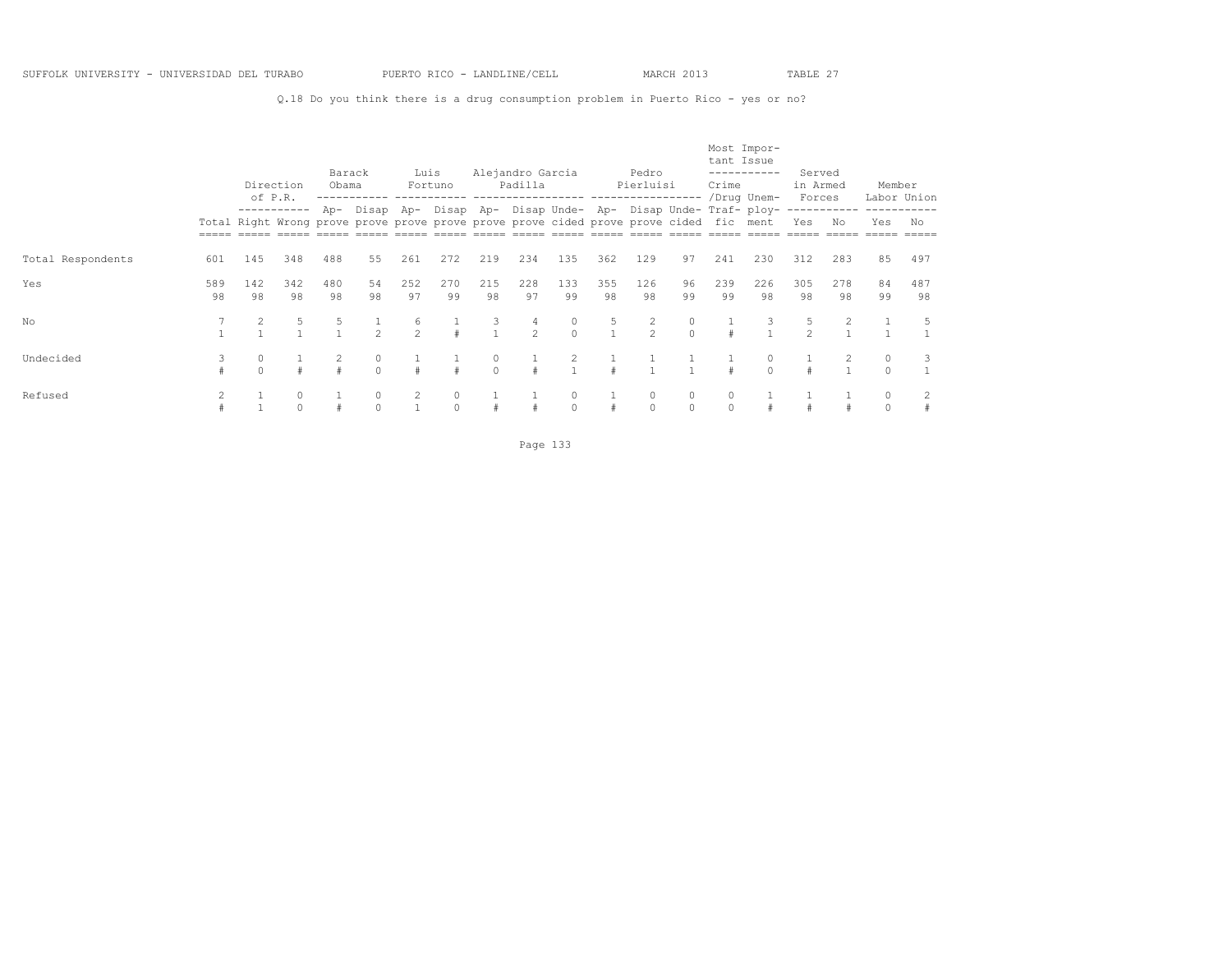Q.18 Do you think there is a drug consumption problem in Puerto Rico - yes or no?

|                   |           | Direction<br>of P.R. |                      | Barack<br>Obama |               | Luis                | Fortuno   |                     | Alejandro Garcia<br>Padilla |               |                   | Pedro<br>Pierluisi                                                                     |                     | tant Issue<br>Crime | Most Impor-<br>-----------<br>/Drug Unem-                       | Served<br>in Armed<br>Forces |                   | Member   | Labor Union |
|-------------------|-----------|----------------------|----------------------|-----------------|---------------|---------------------|-----------|---------------------|-----------------------------|---------------|-------------------|----------------------------------------------------------------------------------------|---------------------|---------------------|-----------------------------------------------------------------|------------------------------|-------------------|----------|-------------|
|                   |           |                      | -----------          |                 |               |                     |           |                     |                             |               |                   | Total Right Wrong prove prove prove prove prove prove cided prove prove cided fic ment |                     |                     | Ap- Disap Ap- Disap Ap- Disap Unde- Ap- Disap Unde- Traf- ploy- | Yes                          | -----------<br>No | Yes      | No          |
| Total Respondents | 601       | 145                  | 348                  | 488             | 55            | 261                 | 272       | 219                 | 234                         | 135           | 362               | 129                                                                                    | 97                  | 241                 | 230                                                             | 312                          | 283               | 85       | 497         |
| Yes               | 589<br>98 | 142<br>98            | 342<br>98            | 480<br>98       | 54<br>98      | 252<br>97           | 270<br>99 | 215<br>98           | 228<br>97                   | 133<br>99     | 355<br>98         | 126<br>98                                                                              | 96<br>99            | 239<br>99           | 226<br>98                                                       | 305<br>98                    | 278<br>98         | 84<br>99 | 487<br>98   |
| No                |           |                      |                      |                 |               | 6<br>$\overline{2}$ |           |                     | 4<br>$2^{1}$                | 0<br>$\Omega$ | 5<br>$\mathbf{1}$ | $\mathfrak{D}$                                                                         |                     |                     |                                                                 | $\mathfrak{D}$               |                   |          |             |
| Undecided         | 3         | 0                    |                      |                 | 0<br>$\Omega$ | $\pm$               |           | $\circ$<br>$\Omega$ |                             |               |                   |                                                                                        |                     |                     | $\Omega$                                                        |                              |                   | $\circ$  | 3           |
| Refused           | 2         |                      | $\Omega$<br>$\Omega$ |                 | $\Omega$      | 2                   | 0         |                     |                             | $\circ$       |                   | $\circ$                                                                                | $\Omega$<br>$\circ$ | 0                   |                                                                 |                              |                   |          | 2<br>#      |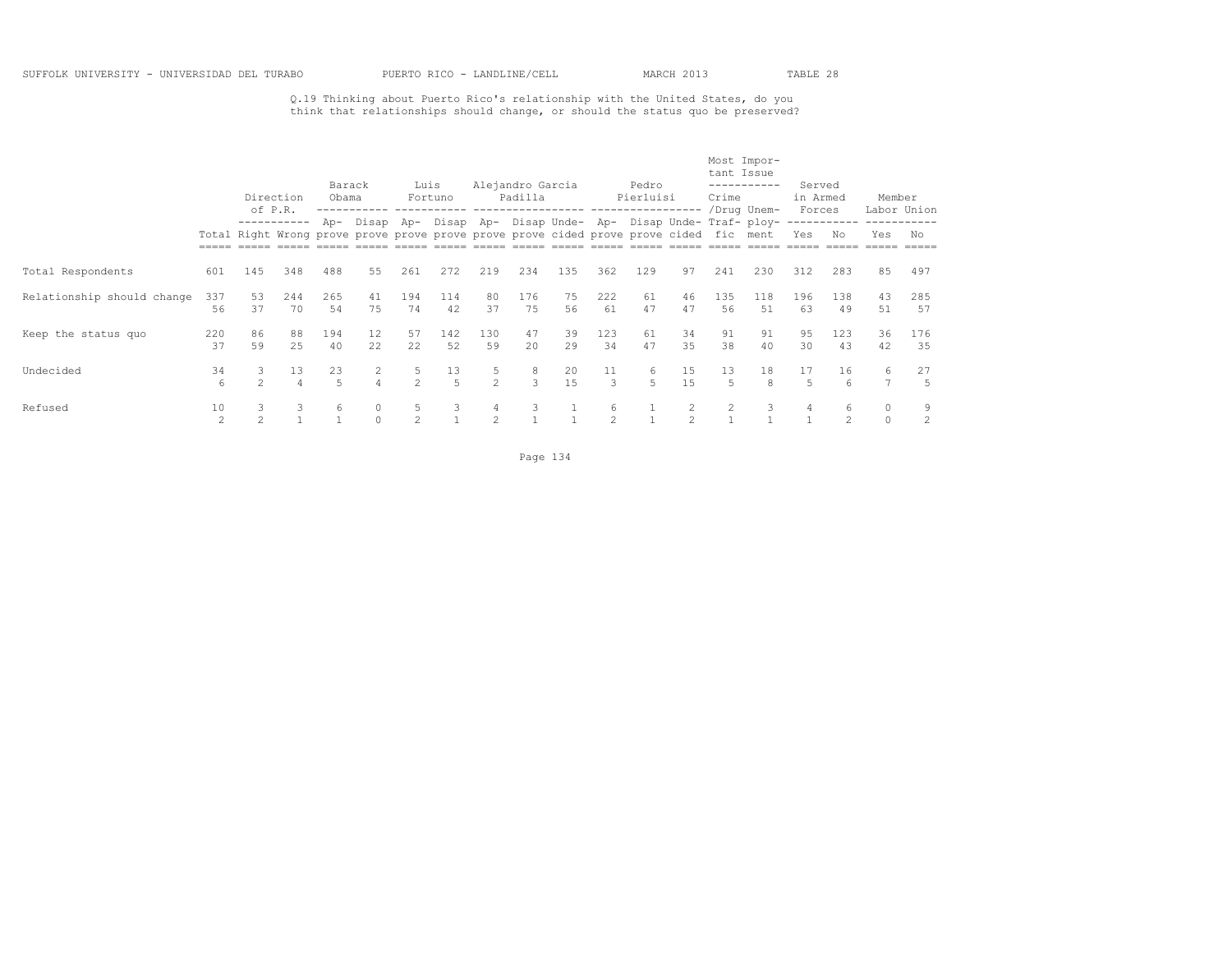Q.19 Thinking about Puerto Rico's relationship with the United States, do you think that relationships should change, or should the status quo be preserved?

|                            |                      | of P.R.             | Direction            | Barack<br>Obama      |                                                                                                         | Luis                | Fortuno   |                                  | Alejandro Garcia<br>Padilla |          |                     | Pedro<br>Pierluisi |                | tant Issue<br>Crime | Most Impor-<br>-----------<br>/Drug Unem-         | Served<br>in Armed<br>Forces |           | Member<br>Labor Union |           |
|----------------------------|----------------------|---------------------|----------------------|----------------------|---------------------------------------------------------------------------------------------------------|---------------------|-----------|----------------------------------|-----------------------------|----------|---------------------|--------------------|----------------|---------------------|---------------------------------------------------|------------------------------|-----------|-----------------------|-----------|
|                            |                      |                     | -----------          |                      | Ap- Disap Ap-<br>Total Right Wrong prove prove prove prove prove prove cided prove prove cided fic ment |                     |           |                                  |                             |          |                     |                    |                |                     | Disap Ap- Disap Unde- Ap- Disap Unde- Traf- ploy- | Yes                          | No        | Yes                   | No        |
| Total Respondents          | 601                  | 145                 | 348                  | 488                  | 55                                                                                                      | 261                 | 272       | 219                              | 234                         | 135      | 362                 | 129                | 97             | 241                 | 230                                               | 312                          | 283       | 85                    | 497       |
| Relationship should change | 337<br>56            | 53<br>37            | 244<br>70            | 265<br>54            | 41<br>75                                                                                                | 194<br>74           | 114<br>42 | 80<br>37                         | 176<br>75                   | 75<br>56 | 222<br>61           | 61<br>47           | 46<br>47       | 135<br>56           | 118<br>.51                                        | 196<br>63                    | 138<br>49 | 43<br>51              | 285<br>57 |
| Keep the status quo        | 220<br>37            | 86<br>59            | 88<br>25             | 194<br>40            | 12<br>22                                                                                                | 57<br>22            | 142<br>52 | 130<br>59                        | 47<br>20                    | 39<br>29 | 123<br>34           | 61<br>47           | 34<br>35       | 91<br>38            | 91<br>40                                          | 95<br>30                     | 123<br>43 | 36<br>42              | 176<br>35 |
| Undecided                  | 34<br>6              | 3<br>$\mathfrak{D}$ | 13<br>$\overline{4}$ | 23<br>$\overline{a}$ | 2<br>4                                                                                                  | 5<br>$\mathfrak{D}$ | 13<br>5   | 5<br>$\mathfrak{D}$              | 8<br>3                      | 20<br>15 | 11<br>3             | 6<br>5             | 15<br>15       | 13<br>5.            | 18<br>8                                           | 17<br>5                      | 16<br>6   | 6<br>$\overline{ }$   | 27<br>5   |
| Refused                    | 10<br>$\mathfrak{D}$ | 3<br>$\mathfrak{D}$ | 3                    | 6                    | 0                                                                                                       | 5<br>$\mathfrak{D}$ | 3         | $\overline{4}$<br>$\mathfrak{D}$ | 3                           |          | 6<br>$\mathfrak{D}$ |                    | $\mathfrak{D}$ | $\overline{2}$      | 3                                                 | 4                            | 6         | $\Omega$              | 9<br>2    |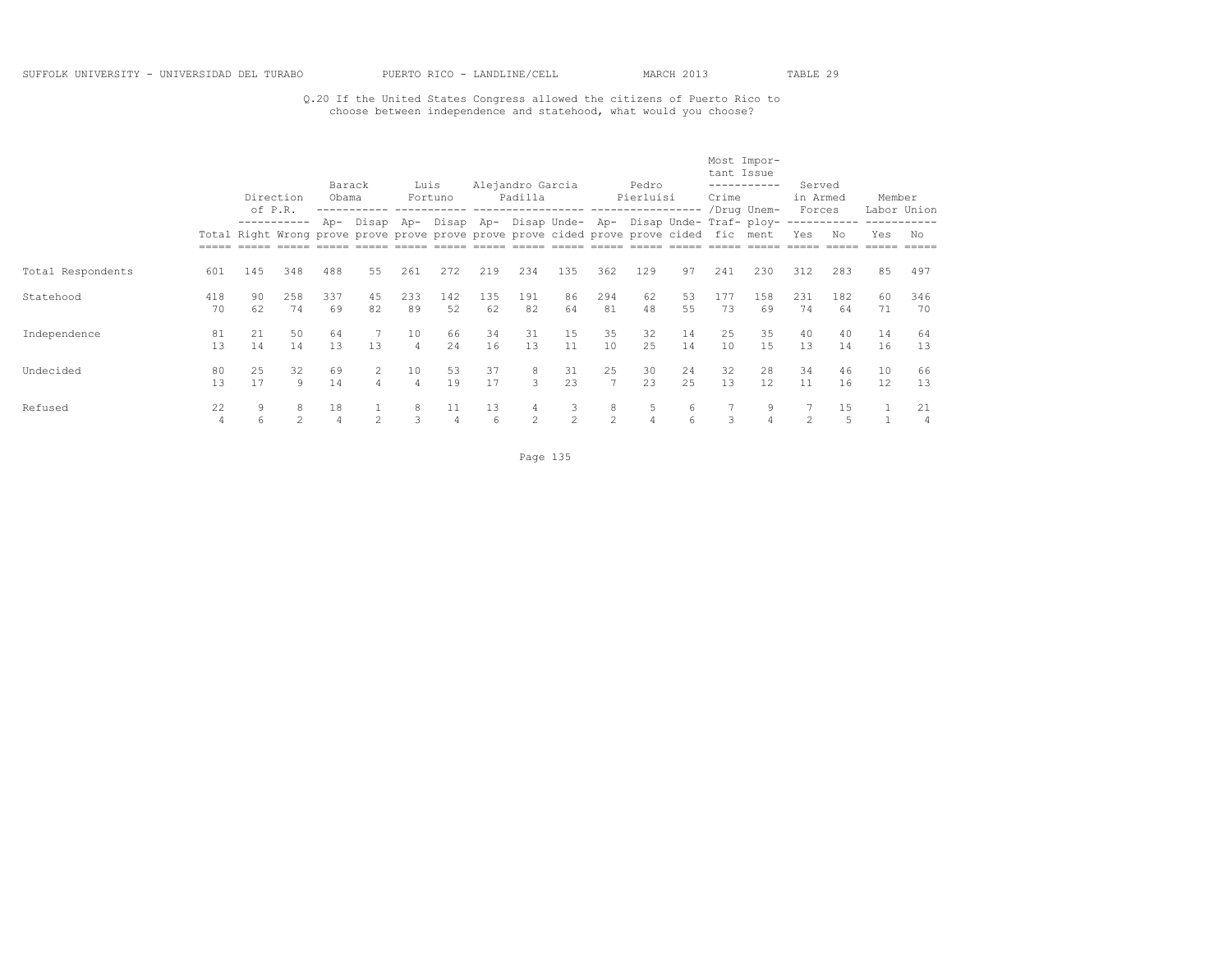## Q.20 If the United States Congress allowed the citizens of Puerto Rico to choose between independence and statehood, what would you choose?

|                   |                      |          | Direction<br>of P.R. | Barack<br>Obama |                | Luis                 | Fortuno   |           | Alejandro Garcia<br>Padilla                                                            |                     |                      | Pedro<br>Pierluisi  |          | tant Issue<br>Crime | Most Impor-<br>-----------<br>/Drug Unem-                       | Served<br>in Armed<br>Forces |           | Member                  | Labor Union |
|-------------------|----------------------|----------|----------------------|-----------------|----------------|----------------------|-----------|-----------|----------------------------------------------------------------------------------------|---------------------|----------------------|---------------------|----------|---------------------|-----------------------------------------------------------------|------------------------------|-----------|-------------------------|-------------|
|                   |                      |          |                      |                 |                |                      |           |           | Total Right Wrong prove prove prove prove prove prove cided prove prove cided fic ment |                     |                      |                     |          |                     | Ap- Disap Ap- Disap Ap- Disap Unde- Ap- Disap Unde- Traf- ploy- | Yes                          | No        | Yes                     | No          |
| Total Respondents | 601                  | 145      | 348                  | 488             | 55             | 261                  | 272       | 219       | 234                                                                                    | 135                 | 362                  | 129                 | 97       | 241                 | 230                                                             | 312                          | 283       | 85                      | 497         |
| Statehood         | 418<br>70            | 90<br>62 | 258<br>74            | 337<br>69       | 4.5<br>82      | 233<br>89            | 142<br>52 | 135<br>62 | 191<br>82                                                                              | 86<br>64            | 294<br>81            | 62<br>48            | 53<br>55 | 177<br>73           | 158<br>69                                                       | 231<br>74                    | 182<br>64 | 60<br>71                | 346<br>70   |
| Independence      | 81<br>13             | 21<br>14 | 50<br>14             | 64<br>13        | 13             | 10<br>$\overline{4}$ | 66<br>2.4 | 34<br>16  | 31<br>13                                                                               | 15<br>11            | 35<br>10             | 32<br>2.5           | 14<br>14 | 25<br>10            | 35<br>1.5                                                       | 40<br>13                     | 40<br>14  | 14<br>16                | 64<br>13    |
| Undecided         | 80<br>13             | 25<br>17 | 32<br>Q              | 69<br>14        | $\overline{2}$ | 10<br>$\overline{4}$ | 53<br>19  | 37<br>17  | 8<br>3                                                                                 | 31<br>23            | 25<br>$\overline{7}$ | 30<br>23            | 24<br>25 | 32<br>13            | 28<br>12                                                        | 34<br>11                     | 46<br>16  | 10<br>$12 \overline{ }$ | 66<br>13    |
| Refused           | 22<br>$\overline{4}$ | 9<br>6   | 8<br>$\mathfrak{D}$  | 18              | $\mathfrak{D}$ | 8<br>3               | 11<br>4   | 13<br>6   | 4<br>$\overline{2}$                                                                    | 3<br>$\mathfrak{D}$ | 8<br>2               | 5<br>$\overline{4}$ | 6<br>6   | 3                   | 9                                                               | $\overline{2}$               | 15<br>5   |                         | 21<br>4     |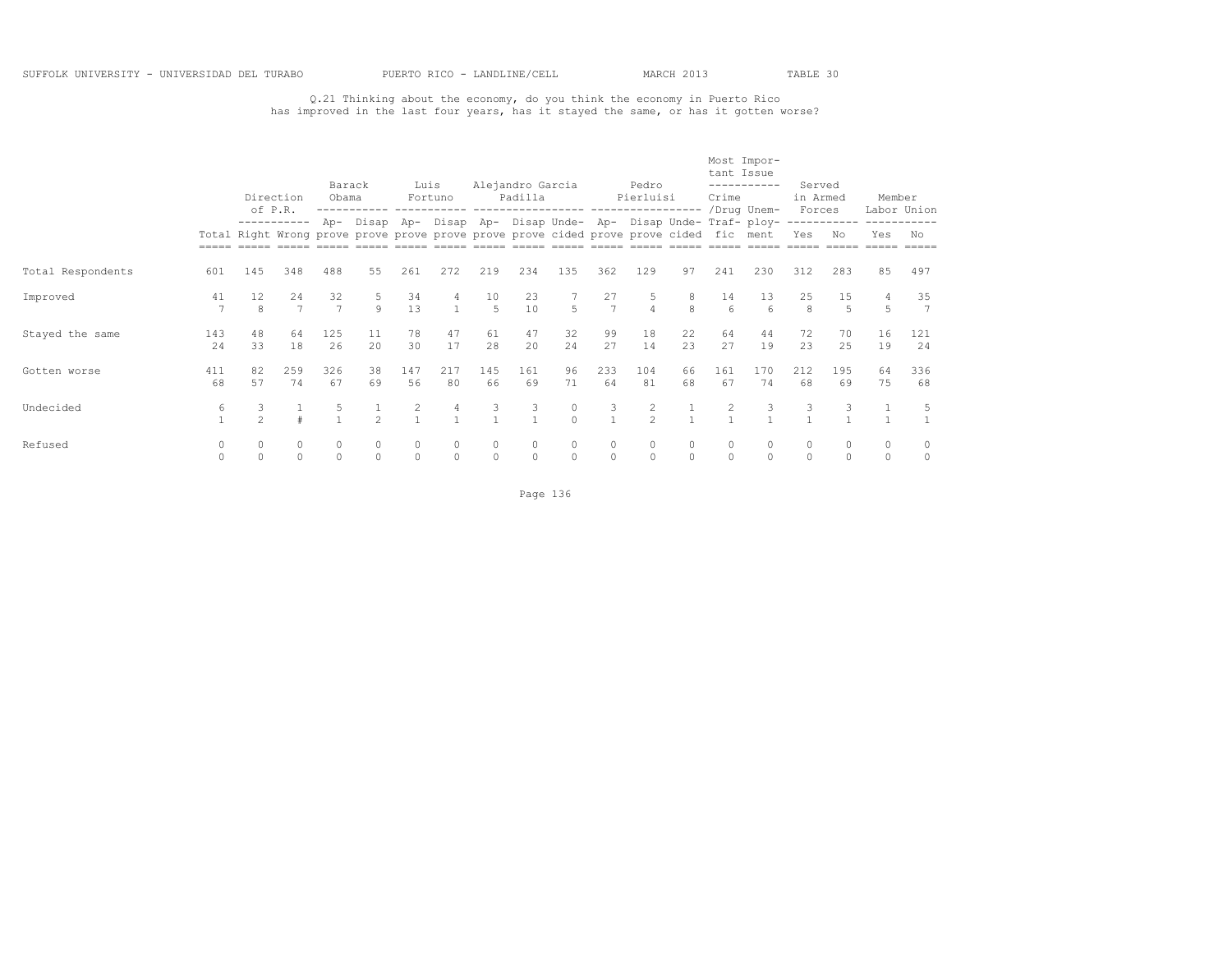Q.21 Thinking about the economy, do you think the economy in Puerto Rico has improved in the last four years, has it stayed the same, or has it gotten worse?

|                   |                      |                | Direction<br>of P.R. | Barack<br>Obama     |                | Luis                | Fortuno      |                      | Alejandro Garcia<br>Padilla |               |                   | Pedro<br>Pierluisi                                                                     |                   | tant Issue<br>Crime | Most Impor-<br>-----------                                      | Served<br>in Armed<br>Forces |                      | Member   | Labor Union          |
|-------------------|----------------------|----------------|----------------------|---------------------|----------------|---------------------|--------------|----------------------|-----------------------------|---------------|-------------------|----------------------------------------------------------------------------------------|-------------------|---------------------|-----------------------------------------------------------------|------------------------------|----------------------|----------|----------------------|
|                   |                      |                | -----------          |                     |                |                     |              |                      |                             |               |                   | Total Right Wrong prove prove prove prove prove prove cided prove prove cided fic ment |                   |                     | Ap- Disap Ap- Disap Ap- Disap Unde- Ap- Disap Unde- Traf- ploy- | Yes                          | ------------<br>No   | Yes      | No                   |
| Total Respondents | 601                  | 145            | 348                  | 488                 | 55             | 261                 | 272          | 219                  | 234                         | 135           | 362               | 129                                                                                    | 97                | 241                 | 230                                                             | 312                          | 283                  | 85       | 497                  |
| Improved          | 41<br>$\overline{7}$ | 12<br>8        | 24<br>$\overline{7}$ | 32                  | $\mathsf{Q}$   | 34<br>13            |              | 10<br>$\overline{5}$ | 23<br>10                    | 5             | 27<br>7           | $\overline{4}$                                                                         | 8<br>$\mathbf{g}$ | 14<br>6             | 13<br>$6\overline{6}$                                           | 25<br>8                      | 15<br>$\overline{5}$ | 5        | 35<br>$\overline{7}$ |
| Stayed the same   | 143<br>24            | 48<br>33       | 64<br>18             | 125<br>26           | 11<br>2.0      | 78<br>30            | 47<br>17     | 61<br>28             | 47<br>20                    | 32<br>24      | 99<br>27          | 18<br>14                                                                               | 22<br>2.3         | 64<br>27            | 44<br>19                                                        | 72<br>23                     | 70<br>2.5            | 16<br>19 | 121<br>24            |
| Gotten worse      | 411<br>68            | 82<br>57       | 259<br>74            | 326<br>67           | 38<br>69       | 147<br>56           | 217<br>80    | 145<br>66            | 161<br>69                   | 96<br>71      | 233<br>64         | 104<br>81                                                                              | 66<br>68          | 161<br>67           | 170<br>74                                                       | 212<br>68                    | 195<br>69            | 64<br>75 | 336<br>68            |
| Undecided         | 6<br>$\mathbf{1}$    | $\mathfrak{D}$ |                      |                     | $\mathfrak{D}$ | 2<br>$\mathbf{1}$   |              | 3                    | 3                           | 0<br>$\Omega$ | 3<br>$\mathbf{1}$ | 2<br>$\mathfrak{D}$                                                                    | $\overline{1}$    | $\overline{2}$      | 3                                                               | 3                            |                      |          | 5                    |
| Refused           | 0<br>$\Omega$        | $\Omega$       | $\circ$<br>$\circ$   | $\circ$<br>$\Omega$ |                | $\Omega$<br>$\circ$ | 0<br>$\circ$ | $\mathbf 0$          | 0                           | 0             | 0<br>$\circ$      | $\mathbf{0}$<br>$\Omega$                                                               | $\circ$           | $\circ$             |                                                                 | 0<br>$\circ$                 | $\Omega$             | $\circ$  | 0<br>0               |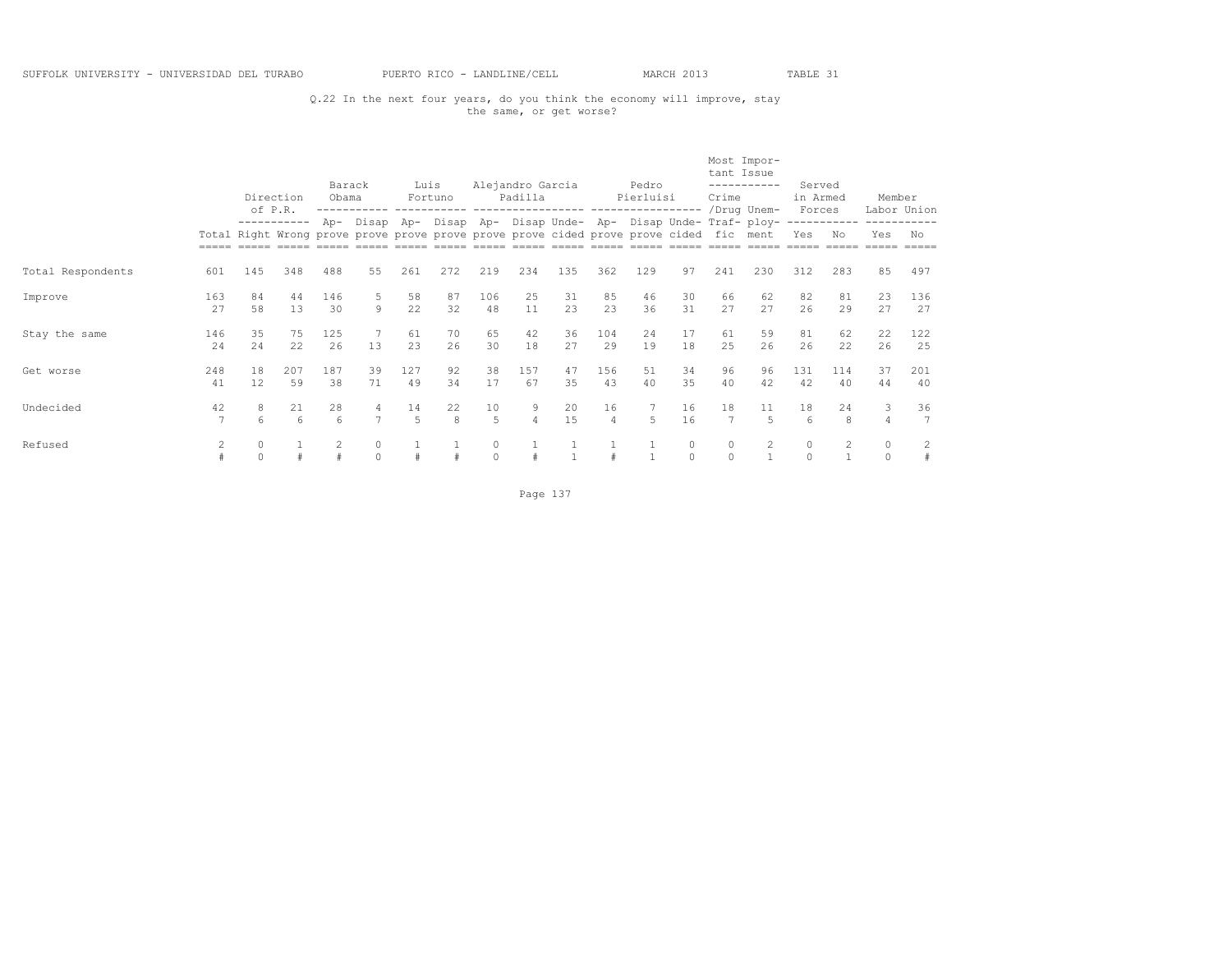## Q.22 In the next four years, do you think the economy will improve, stay the same, or get worse?

|                   |                | of P.R.       | Direction   | Barack<br>Obama |                     | Luis      | Fortuno   |                      | Alejandro Garcia<br>Padilla |           |                      | Pedro<br>Pierluisi<br>-----------------                                                |                    | tant Issue<br>Crime | Most Impor-<br>-----------<br>/Drug Unem- | Served<br>in Armed<br>Forces |           | Member                  | Labor Union |
|-------------------|----------------|---------------|-------------|-----------------|---------------------|-----------|-----------|----------------------|-----------------------------|-----------|----------------------|----------------------------------------------------------------------------------------|--------------------|---------------------|-------------------------------------------|------------------------------|-----------|-------------------------|-------------|
|                   |                |               | ----------- | Ap-             | Disap               | Ap-       | Disap Ap- |                      |                             |           |                      | Total Right Wrong prove prove prove prove prove prove cided prove prove cided fic ment |                    |                     | Disap Unde- Ap- Disap Unde- Traf- ploy-   | Yes                          | No        | Yes                     | No          |
| Total Respondents | 601            | 145           | 348         | 488             | 55                  | 261       | 272       | 219                  | 234                         | 135       | 362                  | 129                                                                                    | 97                 | 241                 | 230                                       | 312                          | 283       | 85                      | 497         |
| Improve           | 163<br>27      | 84<br>58      | 44<br>13    | 146<br>30       | 9                   | 58<br>22  | 87<br>32  | 106<br>48            | 25<br>11                    | 31<br>23  | 85<br>23             | 46<br>36                                                                               | 30<br>31           | 66<br>27            | 62<br>27                                  | 82<br>26                     | 81<br>29  | 23<br>2.7               | 136<br>27   |
| Stay the same     | 146<br>2.4     | 35<br>2.4     | 75<br>22    | 125<br>26       | 13                  | 61<br>23  | 70<br>26  | 65<br>30             | 42<br>18                    | 36<br>27  | 104<br>29            | 2.4<br>19                                                                              | 17<br>18           | 61<br>2.5           | 59<br>26                                  | 81<br>26                     | 62<br>22. | 22<br>26                | 122<br>25   |
| Get worse         | 248<br>41      | 18<br>12      | 207<br>59   | 187<br>38       | 39<br>71            | 127<br>49 | 92<br>34  | 38<br>17             | 157<br>67                   | 47<br>35  | 156<br>43            | 51<br>40                                                                               | 34<br>35           | 96<br>40            | 96<br>42                                  | 131<br>42                    | 114<br>40 | 37<br>44                | 201<br>40   |
| Undecided         | 42<br>7        | 8<br>6        | 21<br>6     | 28<br>6         | 4<br>$\overline{7}$ | 14<br>5   | 22<br>8   | 10<br>$\overline{5}$ | 9<br>$\overline{4}$         | 20<br>1.5 | 16<br>$\overline{4}$ | 5                                                                                      | 16<br>16           | 18<br>7             | 11<br>$\overline{5}$                      | 18<br>6                      | 24<br>8   | 3<br>$\overline{4}$     | 36<br>7     |
| Refused           | $\overline{c}$ | 0<br>$\Omega$ |             |                 | $\Omega$            |           |           | $\circ$<br>$\circ$   |                             |           |                      |                                                                                        | $\circ$<br>$\circ$ | 0<br>$\Omega$       |                                           | $\circ$<br>$\Omega$          |           | $\mathbf{0}$<br>$\circ$ | 2<br>#      |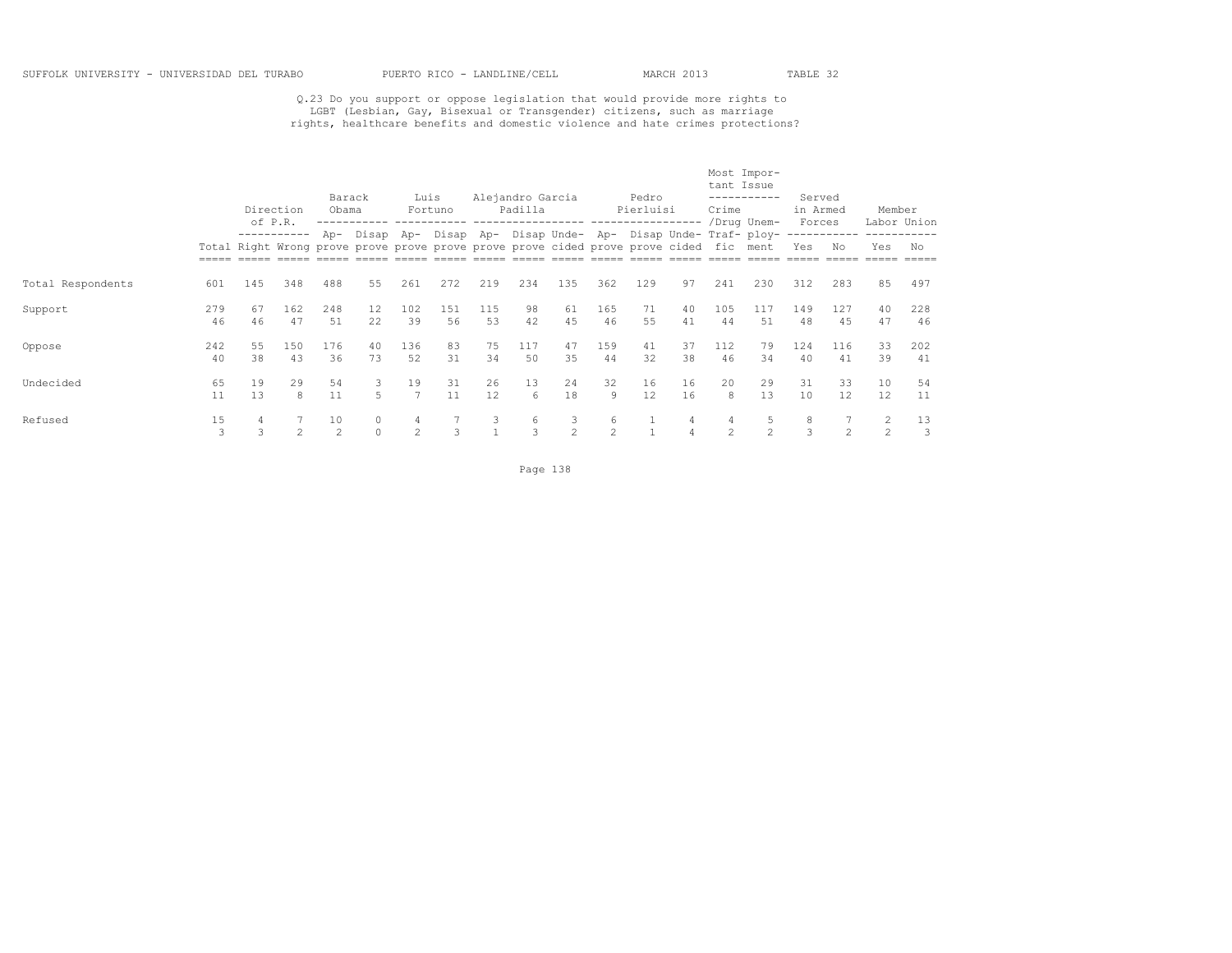## Q.23 Do you support or oppose legislation that would provide more rights to<br>LGBT (Lesbian, Gay, Bisexual or Transgender) citizens, such as marriage<br>rights, healthcare benefits and domestic violence and hate crimes protecti

|                   |           |          | Direction<br>of P.R. | Barack<br>Obama      |                         | Luis                 | Fortuno   |           | Alejandro Garcia<br>Padilla |                      |                     | Pedro<br>Pierluisi                                                                                                                                        |                     | tant Issue<br>Crime | Most Impor-<br>-----------<br>/Drug Unem- | Served<br>in Armed<br>Forces |                | Member              | Labor Union |
|-------------------|-----------|----------|----------------------|----------------------|-------------------------|----------------------|-----------|-----------|-----------------------------|----------------------|---------------------|-----------------------------------------------------------------------------------------------------------------------------------------------------------|---------------------|---------------------|-------------------------------------------|------------------------------|----------------|---------------------|-------------|
|                   |           |          | -----------          |                      |                         |                      |           |           |                             |                      |                     | Ap- Disap Ap- Disap Ap- Disap Unde- Ap- Disap Unde- Traf- ploy-<br>Total Right Wrong prove prove prove prove prove prove cided prove prove cided fic ment |                     |                     |                                           | Yes                          | No             | Yes                 | No          |
| Total Respondents | 601       | 145      | 348                  | 488                  | 55                      | 261                  | 272       | 219       | 234                         | 135                  | 362                 | 129                                                                                                                                                       | 97                  | 241                 | 230                                       | 312                          | 283            | 85                  | 497         |
| Support           | 279<br>46 | 67<br>46 | 162<br>47            | 248<br>.51           | $12 \overline{ }$<br>22 | 102<br>39            | 151<br>56 | 115<br>53 | 98<br>42                    | 61<br>45             | 165<br>46           | 71<br>55                                                                                                                                                  | 40<br>41            | 105<br>44           | 117<br>51                                 | 149<br>48                    | 127<br>4.5     | 40<br>47            | 228<br>46   |
| Oppose            | 242<br>40 | 55<br>38 | 150<br>43            | 176<br>36            | 40<br>73                | 136<br>52            | 83<br>31  | 75<br>34  | 117<br>50                   | 47<br>35             | 159<br>44           | 41<br>32                                                                                                                                                  | 37<br>38            | 112<br>46           | 79<br>34                                  | 124<br>40                    | 116<br>41      | 33<br>39            | 202<br>41   |
| Undecided         | 65<br>11  | 19<br>13 | 29<br>8              | 54<br>11             | 3<br>5                  | 19<br>$\overline{7}$ | 31<br>11  | 26<br>12  | 13<br>6                     | 24<br>18             | 32<br>9             | 16<br>12                                                                                                                                                  | 16<br>16            | 20<br>8             | 29<br>13                                  | 31<br>10                     | 33<br>12.      | 10<br>12            | 54<br>11    |
| Refused           | 15<br>3   | 4<br>3   | $\mathfrak{D}$       | 10<br>$\mathfrak{D}$ | $\Omega$                | 4<br>$\mathfrak{D}$  | 3         | 3         | 6<br>3                      | 3.<br>$\mathfrak{D}$ | 6<br>$\mathfrak{D}$ |                                                                                                                                                           | 4<br>$\overline{4}$ | 4<br>$2^{\circ}$    | 5<br>$\mathfrak{D}$                       | 8<br>3                       | $\mathfrak{D}$ | 2<br>$\overline{c}$ | 13<br>3     |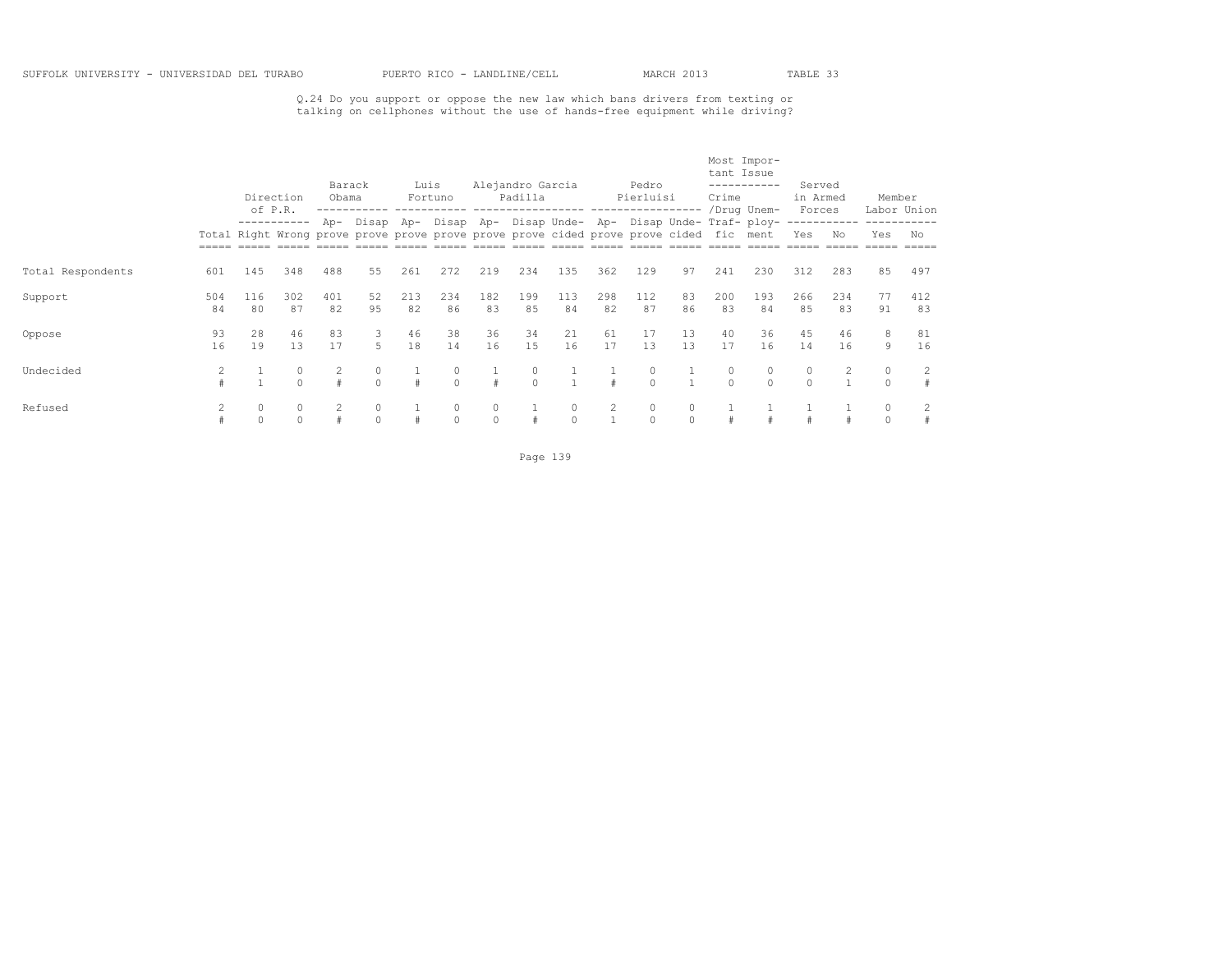Q.24 Do you support or oppose the new law which bans drivers from texting or talking on cellphones without the use of hands-free equipment while driving?

|                   |           |           | Direction           | Barack<br>Obama |           | Luis      | Fortuno       |              | Alejandro Garcia<br>Padilla |                                                                                                                                                           |           | Pedro<br>Pierluisi |                     | tant Issue<br>Crime | Most Impor-<br>----------- | Served<br>in Armed  |           | Member             |           |
|-------------------|-----------|-----------|---------------------|-----------------|-----------|-----------|---------------|--------------|-----------------------------|-----------------------------------------------------------------------------------------------------------------------------------------------------------|-----------|--------------------|---------------------|---------------------|----------------------------|---------------------|-----------|--------------------|-----------|
|                   |           |           | of P.R.             |                 |           |           |               |              |                             | Ap- Disap Ap- Disap Ap- Disap Unde- Ap- Disap Unde- Traf- ploy-<br>Total Right Wrong prove prove prove prove prove prove cided prove prove cided fic ment |           |                    |                     |                     | /Drug Unem-                | Forces<br>Yes       | No        | Labor Union<br>Yes | No        |
| Total Respondents | 601       | 145       | 348                 | 488             | 55        | 261       | 272           | 219          | 234                         | 135                                                                                                                                                       | 362       | 129                | 97                  | 241                 | 230                        | 312                 | 283       | 85                 | 497       |
| Support           | 504<br>84 | 116<br>80 | 302<br>87           | 401<br>82       | 52<br>9.5 | 213<br>82 | 234<br>86     | 182<br>83    | 199<br>85                   | 113<br>84                                                                                                                                                 | 298<br>82 | 112<br>87          | 83<br>86            | 200<br>83           | 193<br>84                  | 266<br>85           | 234<br>83 | 77<br>91           | 412<br>83 |
| Oppose            | 93<br>16  | 28<br>19  | 46<br>13            | 83<br>17        | 3<br>5.   | 46<br>18  | 38<br>14      | 36<br>16     | 34<br>15                    | 21<br>16                                                                                                                                                  | 61<br>17  | 17<br>13           | 13<br>13            | 40<br>17            | 36<br>16                   | 45<br>14            | 46<br>16  | 8<br>9             | 81<br>16  |
| Undecided         |           |           | $\circ$<br>$\Omega$ |                 |           |           | $\Omega$      | $\#$         | 0<br>$\Omega$               |                                                                                                                                                           |           | 0<br>$\Omega$      |                     | $\cap$              |                            | $\circ$<br>$\Omega$ |           | $\circ$            | 2         |
| Refused           |           | $\circ$   | $\circ$<br>$\circ$  |                 |           |           | 0<br>$\Omega$ | 0<br>$\circ$ |                             | 0                                                                                                                                                         | 2         | 0<br>$\Omega$      | $\circ$<br>$\Omega$ |                     |                            |                     |           |                    | 2         |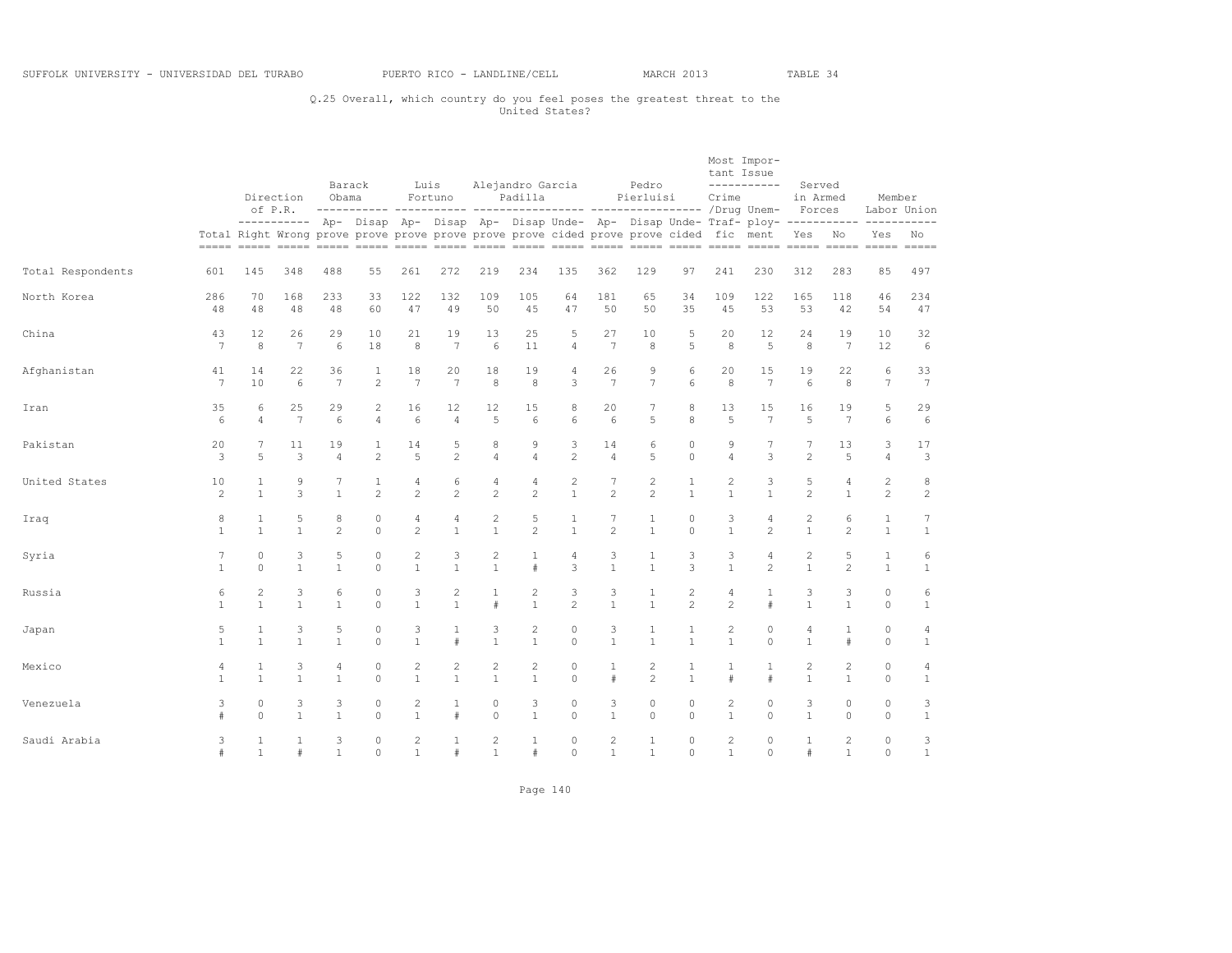## Q.25 Overall, which country do you feel poses the greatest threat to the United States?

|                   |                 |                |                      | Barack         |                | Luis           |                 |                | Alejandro Garcia |                |                 | Pedro                                                                                  |                | tant Issue     | Most Impor-<br>-----------                                                                       | Served             |                 |                |                 |
|-------------------|-----------------|----------------|----------------------|----------------|----------------|----------------|-----------------|----------------|------------------|----------------|-----------------|----------------------------------------------------------------------------------------|----------------|----------------|--------------------------------------------------------------------------------------------------|--------------------|-----------------|----------------|-----------------|
|                   |                 |                | Direction<br>of P.R. | Obama          |                |                | Fortuno         |                | Padilla          |                |                 | Pierluisi                                                                              |                | Crime          |                                                                                                  | in Armed<br>Forces |                 | Member         | Labor Union     |
|                   |                 |                |                      |                |                |                |                 |                |                  |                |                 | Total Right Wrong prove prove prove prove prove prove cided prove prove cided fic ment |                |                | ---------- Ap- Disap Ap- Disap Ap- Disap Unde- Ap- Disap Unde- Traf- ploy------------ ---------- | Yes                | No              | Yes            | No              |
| Total Respondents | 601             | 145            | 348                  | 488            | 55             | 261            | 272             | 219            | 234              | 135            | 362             | 129                                                                                    | 97             | 241            | 230                                                                                              | 312                | 283             | 85             | 497             |
| North Korea       | 286             | 70             | 168                  | 233            | 33             | 122            | 132             | 109            | 105              | 64             | 181             | 65                                                                                     | 34             | 109            | 122                                                                                              | 165                | 118             | 46             | 234             |
|                   | 48              | 48             | 48                   | 48             | 60             | 47             | 49              | 50             | 45               | 47             | 50              | 50                                                                                     | 35             | 45             | 53                                                                                               | 53                 | 42              | 54             | 47              |
| China             | 43              | 12             | 26                   | 29             | 10             | 21             | 19              | 13             | 25               | 5              | 27              | 10                                                                                     | 5              | 20             | 12                                                                                               | 24                 | 19              | 10             | 32              |
|                   | $7\phantom{.0}$ | 8              | 7                    | 6              | 18             | 8              | $7\phantom{.0}$ | 6              | 11               | 4              | $7\phantom{.0}$ | 8                                                                                      | 5              | 8              | 5                                                                                                | 8                  | $7\phantom{.0}$ | 12             | 6               |
| Afghanistan       | 41              | 14             | 22                   | 36             | 1              | 18             | 20              | 18             | 19               | 4              | 26              | 9                                                                                      | 6              | 20             | 15                                                                                               | 19                 | 22              | 6              | 33              |
|                   | $\overline{7}$  | 10             | 6                    | 7              | $\overline{c}$ | $\overline{7}$ | $7\phantom{.0}$ | 8              | 8                | 3              | $\overline{7}$  | 7                                                                                      | 6              | 8              | 7                                                                                                | 6                  | 8               | $\overline{7}$ | $7\phantom{.0}$ |
| Iran              | 35              | 6              | 25                   | 29             | $\mathbf{2}$   | 16             | 12              | 12             | 15               | 8              | 20              | 7                                                                                      | 8              | 13             | 15                                                                                               | 16                 | 19              | 5              | 29              |
|                   | 6               | $\Delta$       | 7                    | 6              | $\overline{4}$ | 6              | $\overline{4}$  | 5              | 6                | 6              | 6               | 5                                                                                      | 8              | 5              | $\overline{7}$                                                                                   | 5                  | $\overline{7}$  | 6              | 6               |
| Pakistan          | 20              | 7              | 11                   | 19             | 1              | 14             | 5               | 8              | 9                | 3              | 14              | 6                                                                                      | $\circ$        | 9              | 7                                                                                                | 7                  | 13              | 3              | 17              |
|                   | 3               | 5              | 3                    | 4              | $\overline{c}$ | 5              | $\overline{c}$  | $\overline{4}$ | $\overline{4}$   | $\overline{c}$ | 4               | 5                                                                                      | $\circ$        | $\overline{4}$ | 3                                                                                                | $\overline{c}$     | 5               | 4              | 3               |
| United States     | 10              | 1              | 9                    | 7              | 1              | 4              | 6               | $\sqrt{4}$     | 4                | $\overline{c}$ | 7               | $\overline{c}$                                                                         | 1              | 2              | 3                                                                                                | 5                  | 4               | $\overline{c}$ | $^{\rm 8}$      |
|                   | $\overline{c}$  | $\mathbf{1}$   | 3                    | $\mathbf{1}$   | $\overline{2}$ | $\overline{c}$ | $\overline{c}$  | $\overline{c}$ | $\mathbf{2}$     | $\mathbf{1}$   | $\overline{c}$  | $\mathbf{2}$                                                                           | $\mathbf{1}$   | $\mathbf{1}$   | $\mathbf{1}$                                                                                     | 2                  | $\mathbf{1}$    | $\mathbf{2}$   | $\sqrt{2}$      |
| Iraq              | 8               | $\mathbf{1}$   | 5                    | 8              | $\circ$        | 4              | 4               | $\overline{c}$ | 5                | 1              | 7               | $\mathbf{1}$                                                                           | $\circ$        | 3              | 4                                                                                                | 2                  | 6               | $\mathbf{1}$   | $\sqrt{ }$      |
|                   | $\mathbf{1}$    | $\mathbf{1}$   | $\mathbf{1}$         | $\overline{c}$ | $\circ$        | $\overline{c}$ | $\mathbf{1}$    | $\mathbf{1}$   | $\overline{c}$   | $\mathbf{1}$   | $\overline{c}$  | $\mathbf{1}$                                                                           | $\circ$        | $\mathbf{1}$   | $\overline{2}$                                                                                   | $\mathbf{1}$       | $\overline{c}$  | $\mathbf{1}$   | $\mathbf{1}$    |
| Syria             | 7               | $\circ$        | 3                    | 5              | $\circ$        | $\mathbf{2}$   | 3               | $\overline{c}$ | 1                | 4              | 3               | $\mathbf{1}$                                                                           | 3              | 3              | 4                                                                                                | 2                  | 5               | $\mathbf{1}$   | 6               |
|                   | $\mathbf{1}$    | $\Omega$       | $\mathbf{1}$         | $\mathbf{1}$   | $\mathbf 0$    | $\mathbf{1}$   | $\mathbf{1}$    | $\mathbf{1}$   | $\#$             | 3              | $\mathbf{1}$    | $\mathbf{1}$                                                                           | 3              | $\mathbf{1}$   | $\overline{2}$                                                                                   | $\mathbf{1}$       | 2               | $\mathbf{1}$   | $\mathbf{1}$    |
| Russia            | 6               | $\overline{c}$ | 3                    | 6              | $\circ$        | 3              | $\mathbf{2}$    | $\mathbf{1}$   | $\overline{c}$   | 3              | 3               | $\mathbf{1}$                                                                           | $\overline{c}$ | 4              | $\mathbf{1}$                                                                                     | 3                  | 3               | $\circ$        | 6               |
|                   | $\mathbf{1}$    | $\mathbf{1}$   | $\mathbf{1}$         | $\mathbf{1}$   | $\Omega$       | $\mathbf{1}$   | $\mathbf{1}$    | #              | $\mathbf{1}$     | $\overline{2}$ | $\mathbf{1}$    | $\mathbf{1}$                                                                           | $\overline{c}$ | $\overline{c}$ | $\ddagger$                                                                                       | $\mathbf{1}$       | $\mathbf{1}$    | $\circ$        | $1\,$           |
| Japan             | 5               | $\mathbf{1}$   | 3                    | 5              | $\mathbf 0$    | 3              | $\mathbf{1}$    | 3              | $\overline{c}$   | $\circ$        | 3               | $\mathbf{1}$                                                                           | $\mathbf{1}$   | $\mathbf{2}$   | $\circ$                                                                                          | $\sqrt{4}$         | $\mathbf{1}$    | $\circ$        | 4               |
|                   | $\mathbf{1}$    | $\mathbf{1}$   | $\mathbf{1}$         | $\mathbf{1}$   | $\Omega$       | $\mathbf{1}$   | $\#$            | $\mathbf{1}$   | $\mathbf{1}$     | $\Omega$       | $\mathbf{1}$    | $\mathbf{1}$                                                                           | $\mathbf{1}$   | $\mathbf{1}$   | $\Omega$                                                                                         | $\mathbf{1}$       | #               | $\circ$        | $\mathbf{1}$    |
| Mexico            | $\overline{4}$  | 1              | 3                    | 4              | $\circ$        | $\mathbf{2}$   | $\overline{c}$  | $\overline{c}$ | $\overline{c}$   | $\circ$        | $\mathbf{1}$    | 2                                                                                      | 1              | $\mathbf{1}$   | 1                                                                                                | $\overline{2}$     | 2               | $\mathbb O$    | $\sqrt{4}$      |
|                   | $\mathbf{1}$    | $\mathbf{1}$   | $\mathbf{1}$         | $\mathbf{1}$   | $\Omega$       | $\mathbf{1}$   | $\mathbf{1}$    | $\mathbf{1}$   | $\mathbf{1}$     | $\Omega$       | $\#$            | $\overline{2}$                                                                         | $\mathbf{1}$   | #              | $\ddagger$                                                                                       | $\mathbf{1}$       | $\mathbf{1}$    | $\circ$        | $\mathbf{1}$    |
| Venezuela         | 3               | 0              | 3                    | 3              | 0              | $\overline{c}$ | 1               | $\circ$        | 3                | $\mathbb O$    | 3               | $\mathbb O$                                                                            | $\circ$        | $\mathbf{2}$   | $\mathbb O$                                                                                      | 3                  | $\Omega$        | $\circ$        | 3               |
|                   | #               | $\Omega$       | $\mathbf{1}$         | $\mathbf{1}$   | $\mathbf 0$    | $\mathbf{1}$   | #               | $\circ$        | $\mathbf{1}$     | $\circ$        | $1\,$           | $\circ$                                                                                | $\circ$        | $\mathbf{1}$   | $\circ$                                                                                          | $\mathbf{1}$       | $\Omega$        | $\circ$        | $1\,$           |
| Saudi Arabia      | 3               | $\mathbf{1}$   | $\mathbf{1}$         | 3              | $\mathbf 0$    | $\mathbf{2}$   | $\mathbf{1}$    | $\overline{c}$ | $\mathbf{1}$     | $\circ$        | $\overline{c}$  | $\mathbf{1}$                                                                           | $\circ$        | $\overline{c}$ | $\circ$                                                                                          | $\mathbf{1}$       | $\mathbf{2}$    | $\circ$        | 3               |
|                   | #               | $\mathbf{1}$   | #                    | $\mathbf{1}$   | $\mathbf 0$    | $\mathbf{1}$   | #               | $\mathbf{1}$   | $\#$             | $\circ$        | $\mathbf{1}$    | $\mathbf{1}$                                                                           | $\circ$        | $\mathbf{1}$   | $\circ$                                                                                          | #                  | $\mathbf{1}$    | $\circ$        | $\mathbf{1}$    |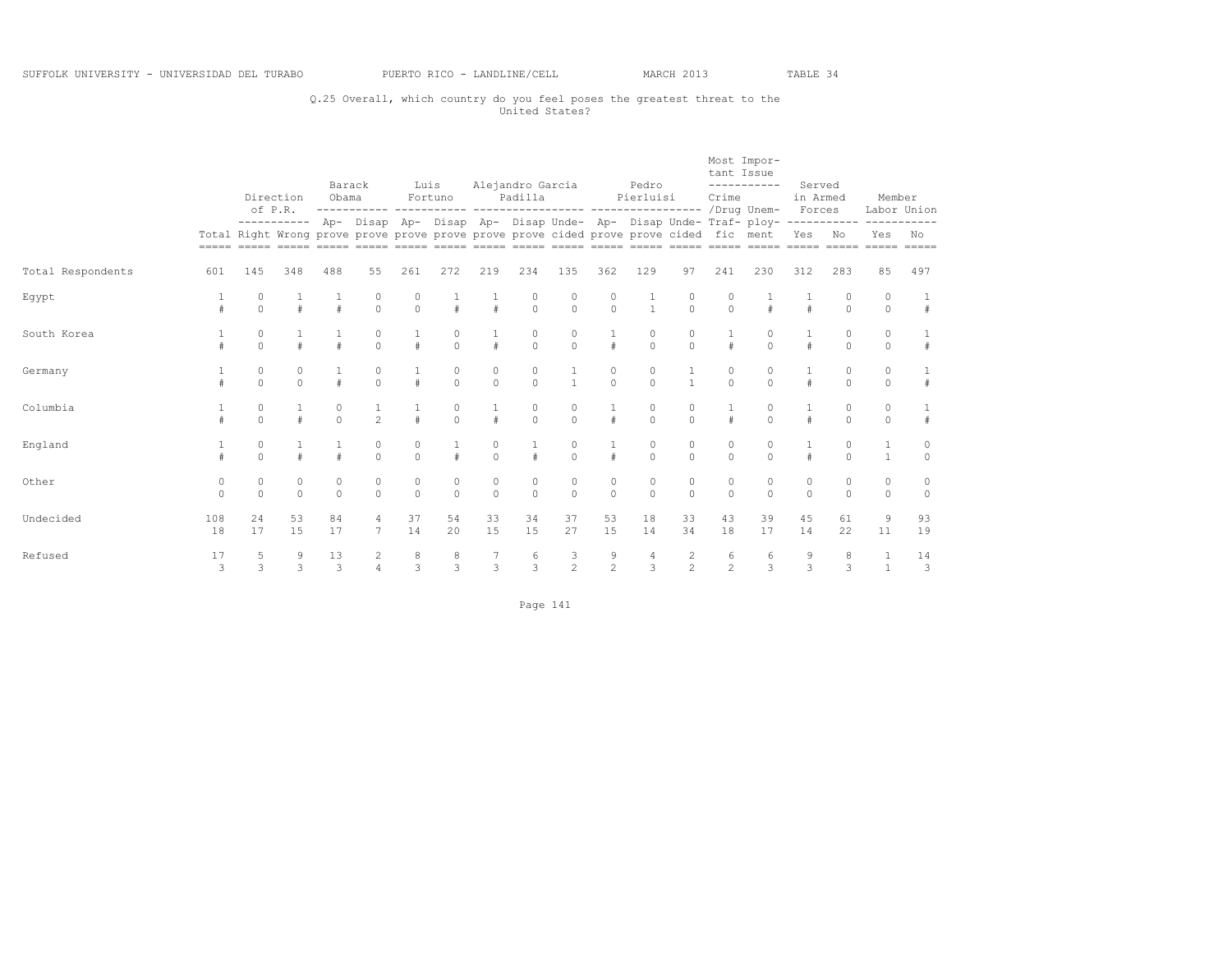## Q.25 Overall, which country do you feel poses the greatest threat to the United States?

|                   |               |                     | Direction<br>of P.R. | Barack<br>Obama |                      | Luis                | Fortuno             |                         | Alejandro Garcia<br>Padilla |                                                                                        |                      | Pedro<br>Pierluisi  |                         | tant Issue<br>Crime  | Most Impor-<br>-----------                                                                                                                                                                       | Served<br>in Armed<br>Forces |                    | Member<br>Labor Union        |                    |
|-------------------|---------------|---------------------|----------------------|-----------------|----------------------|---------------------|---------------------|-------------------------|-----------------------------|----------------------------------------------------------------------------------------|----------------------|---------------------|-------------------------|----------------------|--------------------------------------------------------------------------------------------------------------------------------------------------------------------------------------------------|------------------------------|--------------------|------------------------------|--------------------|
|                   |               |                     |                      |                 |                      |                     |                     |                         |                             | Total Right Wrong prove prove prove prove prove prove cided prove prove cided fic ment |                      |                     |                         |                      | ----------- Ap- Disap Ap- Disap Ap- Disap Unde- Ap- Disap Unde- Traf- ploy-<br><u>soon aadaa aadaa aadaa aadaa aadaa aadaa aadaa aadaa aadaa aadaa aadaa aadaa aadaa aadaa aadaa aadaa aadaa</u> | Yes                          | -----------<br>No  | Yes                          | No<br>$=====$      |
| Total Respondents | 601           | 145                 | 348                  | 488             | 55                   | 261                 | 272                 | 219                     | 234                         | 135                                                                                    | 362                  | 129                 | 97                      | 241                  | 230                                                                                                                                                                                              | 312                          | 283                | 85                           | 497                |
| Egypt             |               | $\Omega$            | $\pm$                |                 | $\Omega$             | 0<br>$\Omega$       | $\#$                | $\#$                    | $\Omega$                    | $\Omega$                                                                               | $\Omega$<br>$\Omega$ | $\mathbf{1}$        | $\circ$<br>$\Omega$     | $\Omega$             |                                                                                                                                                                                                  |                              | $\cap$             | $\circ$<br>$\Omega$          | #                  |
| South Korea       |               | $\circ$<br>$\Omega$ |                      |                 | $\circ$<br>$\circ$   | #                   | $\circ$<br>$\circ$  | $\#$                    | $\Omega$<br>$\circ$         | $\circ$<br>$\circ$                                                                     | $\mathbf{1}$<br>#    | $\circ$<br>$\circ$  | $\circ$<br>$\mathbf{0}$ |                      | $\Omega$                                                                                                                                                                                         | #                            | $\Omega$           | $\circ$<br>$\circ$           | #                  |
| Germany           |               | 0<br>$\Omega$       | $\circ$<br>$\Omega$  |                 | 0<br>$\Omega$        | $\#$                | 0<br>$\Omega$       | $\circ$<br>$\Omega$     | $\circ$<br>$\Omega$         |                                                                                        | 0<br>$\Omega$        | $\Omega$            | $\mathbf{1}$            | $\Omega$             | $\Omega$                                                                                                                                                                                         | $\#$                         | $\Omega$           | $\circ$<br>$\Omega$          |                    |
| Columbia          |               | 0<br>$\Omega$       | $\pm$                | $\Omega$        | $\mathfrak{D}$       | $\#$                | 0<br>$\Omega$       | $\pm$                   | $\circ$<br>$\Omega$         | $\Omega$                                                                               | $\ddagger$           | 0<br>$\Omega$       | 0<br>$\Omega$           |                      | $\Omega$                                                                                                                                                                                         | $\#$                         | $\Omega$           | $\circ$<br>$\Omega$          |                    |
| England           |               | $\circ$<br>$\Omega$ |                      |                 | $\circ$<br>$\Omega$  | $\circ$<br>$\Omega$ |                     | $\circ$<br>$\theta$     |                             | 0<br>$\Omega$                                                                          | $\ddagger$           | $\circ$<br>$\Omega$ | $\circ$<br>$\theta$     | $\Omega$<br>$\Omega$ | $\Omega$                                                                                                                                                                                         |                              | $\Omega$           | $\mathbf{1}$<br>$\mathbf{1}$ | $\circ$<br>$\circ$ |
| Other             | 0<br>$\Omega$ | 0<br>$\Omega$       | $\circ$<br>$\circ$   | 0<br>$\Omega$   | $\Omega$<br>$\Omega$ | $\circ$<br>$\Omega$ | 0<br>$\Omega$       | $\circ$<br>$\mathbf{0}$ | $\circ$<br>$\Omega$         | 0<br>$\Omega$                                                                          | 0<br>$\circ$         | 0<br>$\Omega$       | $\circ$<br>$\theta$     | $\circ$<br>$\bigcap$ | $\Omega$<br>$\Omega$                                                                                                                                                                             | $\circ$<br>$\circ$           | $\Omega$           | $\circ$<br>$\Omega$          | 0<br>$\circ$       |
| Undecided         | 108<br>18     | 24<br>17            | 53<br>15             | 84<br>17        | $\overline{7}$       | 37<br>14            | 54<br>20            | 33<br>15                | 34<br>15                    | 37<br>27                                                                               | 53<br>15             | 18<br>14            | 33<br>34                | 43<br>18             | 39<br>17                                                                                                                                                                                         | 45<br>14                     | 61<br>22           | 9<br>11                      | 93<br>19           |
| Refused           | 17<br>3       | 5<br>3              | 9<br>3               | 13<br>3         |                      | 8<br>3              | 8<br>$\overline{3}$ | $\overline{3}$          | 6<br>3                      | $\frac{3}{2}$                                                                          | 9<br>$\mathfrak{D}$  | 4<br>3              | $\frac{2}{2}$           | 6<br>$\mathfrak{D}$  | 6<br>$\mathcal{L}$                                                                                                                                                                               | 9<br>$\overline{\mathbf{3}}$ | 8<br>$\mathcal{L}$ | $\mathbf{1}$<br>$\mathbf{1}$ | 14<br>3            |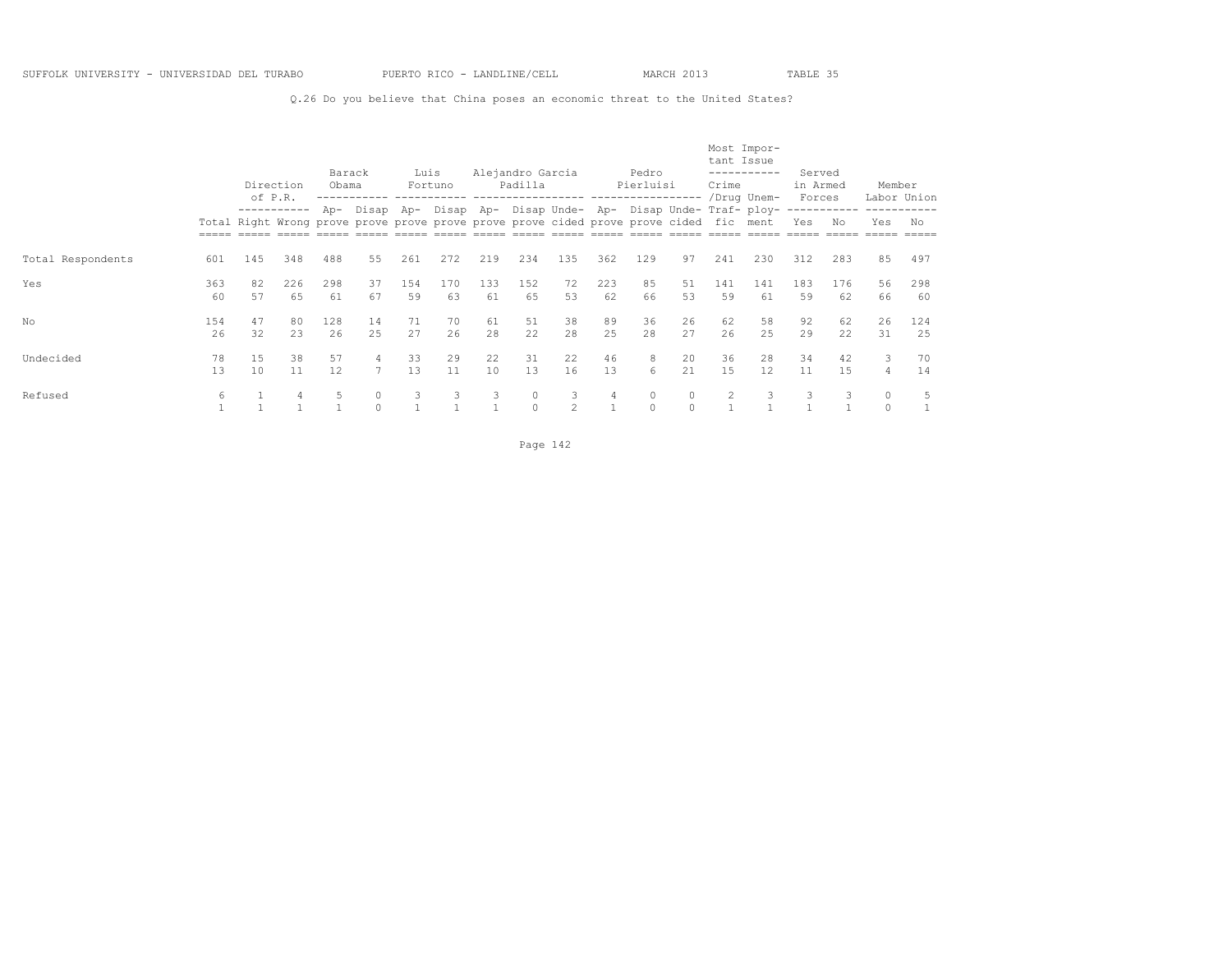Q.26 Do you believe that China poses an economic threat to the United States?

|                   |           | of P.R.  | Direction | Barack<br>Obama |                                                                                                 | Luis      | Fortuno   |           | Alejandro Garcia<br>Padilla |                     |           | Pedro<br>Pierluisi |                   | tant Issue<br>Crime | Most Impor-<br>-----------<br>/Drug Unem- | Served<br>in Armed<br>Forces |           | Member   | Labor Union |
|-------------------|-----------|----------|-----------|-----------------|-------------------------------------------------------------------------------------------------|-----------|-----------|-----------|-----------------------------|---------------------|-----------|--------------------|-------------------|---------------------|-------------------------------------------|------------------------------|-----------|----------|-------------|
|                   |           |          |           | Ap-             | Disap<br>Total Right Wrong prove prove prove prove prove prove cided prove prove cided fic ment | Ap-       | Disap Ap- |           |                             |                     |           |                    |                   |                     | Disap Unde- Ap- Disap Unde- Traf- ploy-   | Yes                          | No        | Yes      | No          |
| Total Respondents | 601       | 145      | 348       | 488             | 55                                                                                              | 261       | 272       | 219       | 234                         | 135                 | 362       | 129                | 97                | 241                 | 230                                       | 312                          | 283       | 85       | 497         |
| Yes               | 363<br>60 | 82<br>57 | 226<br>65 | 298<br>61       | 37<br>67                                                                                        | 154<br>59 | 170<br>63 | 133<br>61 | 152<br>65                   | 72<br>53            | 223<br>62 | 85<br>66           | 51<br>53          | 141<br>59           | 141<br>61                                 | 183<br>59                    | 176<br>62 | 56<br>66 | 298<br>60   |
| No                | 154<br>26 | 47<br>32 | 80<br>23  | 128<br>26       | 14<br>2.5                                                                                       | 71<br>27  | 70<br>26  | 61<br>2.8 | 51<br>22.2                  | 38<br>2.8           | 89<br>2.5 | 36<br>2.8          | 26<br>27          | 62<br>26            | 58<br>2.5                                 | 92<br>29                     | 62<br>22  | 26<br>31 | 124<br>25   |
| Undecided         | 78<br>13  | 15<br>10 | 38<br>11  | 57<br>12        | 4<br>7                                                                                          | 33<br>13  | 29<br>11  | 22<br>10  | 31<br>13                    | 22<br>16            | 46<br>13  | 8<br>6             | 20<br>2.1         | 36<br>15            | 28<br>12                                  | 34<br>11                     | 42<br>1.5 | 3<br>4   | 70<br>14    |
| Refused           | 6         |          | 4         | 5               | $\circ$                                                                                         | 3         | 3         | 3         | 0<br>$\Omega$               | 3<br>$\mathfrak{D}$ | 4         | 0<br>$\Omega$      | $\circ$<br>$\cap$ | $\overline{2}$      | 3                                         | 3                            | 3         | $\circ$  | 5           |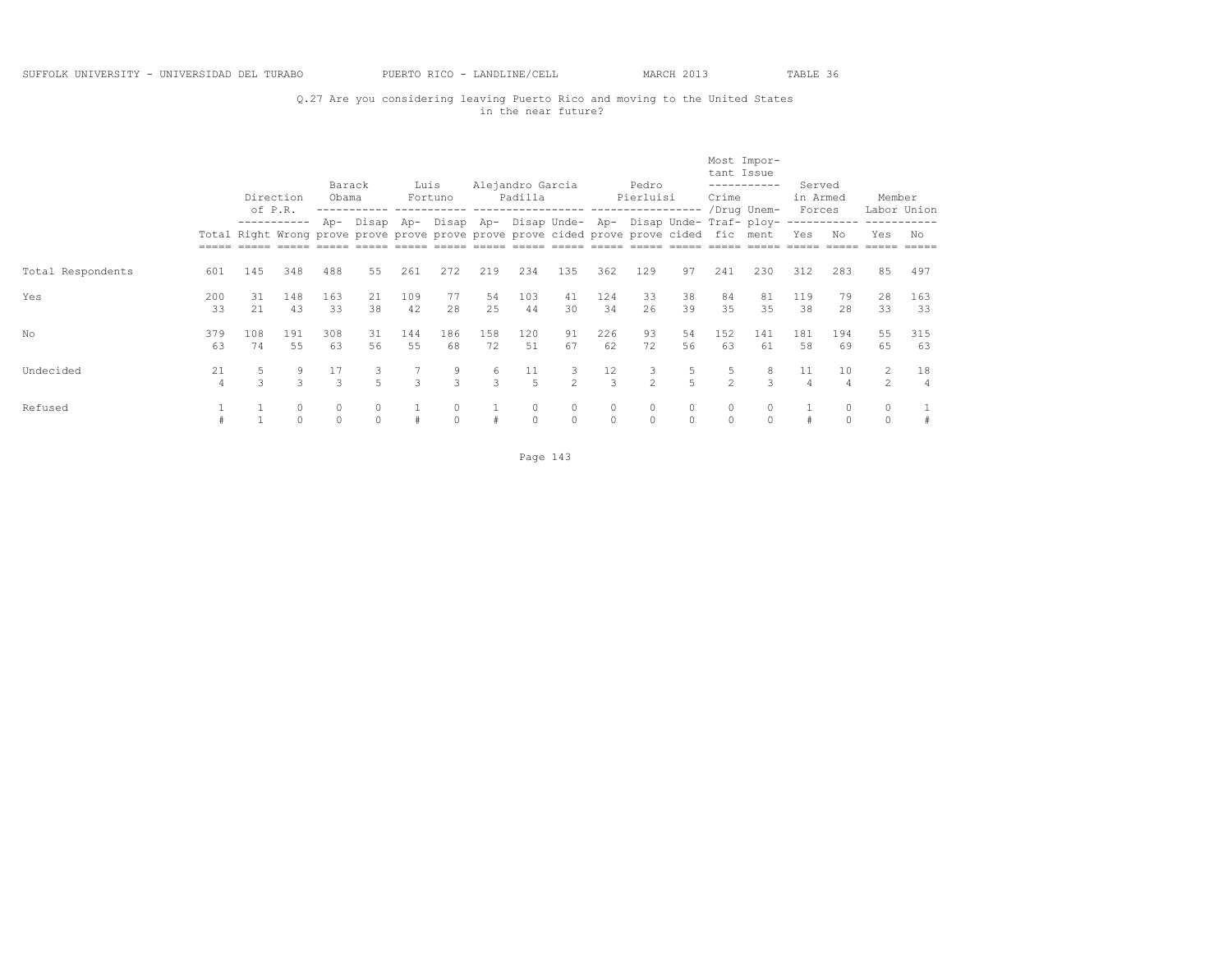## Q.27 Are you considering leaving Puerto Rico and moving to the United States in the near future?

|                   |                      | of P.R.       | Direction          | Barack<br>Obama     |          | Luis          | Fortuno            |                    | Alejandro Garcia<br>Padilla                                                                                                                               |                    |                     | Pedro<br>Pierluisi  |                     | tant Issue<br>Crime | Most Impor-<br>/Drug Unem- | Served<br>in Armed<br>Forces |                          | Member             | Labor Union |
|-------------------|----------------------|---------------|--------------------|---------------------|----------|---------------|--------------------|--------------------|-----------------------------------------------------------------------------------------------------------------------------------------------------------|--------------------|---------------------|---------------------|---------------------|---------------------|----------------------------|------------------------------|--------------------------|--------------------|-------------|
|                   |                      |               | -----------        |                     |          |               |                    |                    | Ap- Disap Ap- Disap Ap- Disap Unde- Ap- Disap Unde- Traf- ploy-<br>Total Right Wrong prove prove prove prove prove prove cided prove prove cided fic ment |                    |                     |                     |                     |                     |                            | Yes                          | No                       | Yes                | No          |
| Total Respondents | 601                  | 145           | 348                | 488                 | 55       | 261           | 272                | 219                | 234                                                                                                                                                       | 135                | 362                 | 129                 | 97                  | 241                 | 230                        | 312                          | 283                      | 85                 | 497         |
| Yes               | 200<br>33            | .31<br>21     | 148<br>43          | 163<br>33           | 21<br>38 | 109<br>42     | 77<br>28           | 54<br>25           | 103<br>44                                                                                                                                                 | 41<br>30           | 124<br>34           | 33<br>26            | 38<br>39            | 84<br>35            | 81<br>35                   | 119<br>38                    | 79<br>28                 | 28<br>33           | 163<br>33   |
| No                | 379<br>63            | 108<br>74     | 191<br>55          | 308<br>63           | 31<br>56 | 144<br>55     | 186<br>68          | 158<br>72          | 120<br>51                                                                                                                                                 | 91<br>67           | 226<br>62           | 93<br>72            | 54<br>56            | 152<br>63           | 141<br>61                  | 181<br>58                    | 194<br>69                | 55<br>65           | 315<br>63   |
| Undecided         | 21<br>$\overline{4}$ | $\mathcal{L}$ | 9<br>$\mathcal{L}$ | 17<br>$\mathcal{L}$ |          | $\mathcal{L}$ | 9<br>$\mathcal{L}$ | 6<br>$\mathcal{L}$ | 11<br>-5                                                                                                                                                  | 3<br>$\mathcal{D}$ | 12<br>$\mathcal{L}$ | 3<br>$\mathfrak{D}$ | 5<br>$\overline{5}$ | $\mathcal{P}$       | 8<br>$\mathcal{L}$         | 11<br>$\overline{4}$         | 10<br>$\Delta$           | 2<br>$2^{1}$       | 18          |
| Refused           |                      |               | 0<br>$\circ$       | 0<br>$\Omega$       |          | #             | 0<br>$\Omega$      |                    | $\circ$<br>$\Omega$                                                                                                                                       | 0<br>$\Omega$      | 0<br>$\Omega$       | 0<br>$\Omega$       | 0<br>$\Omega$       | $\Omega$            | $\Omega$                   |                              | $\mathbf{0}$<br>$\Omega$ | $\circ$<br>$\circ$ | #           |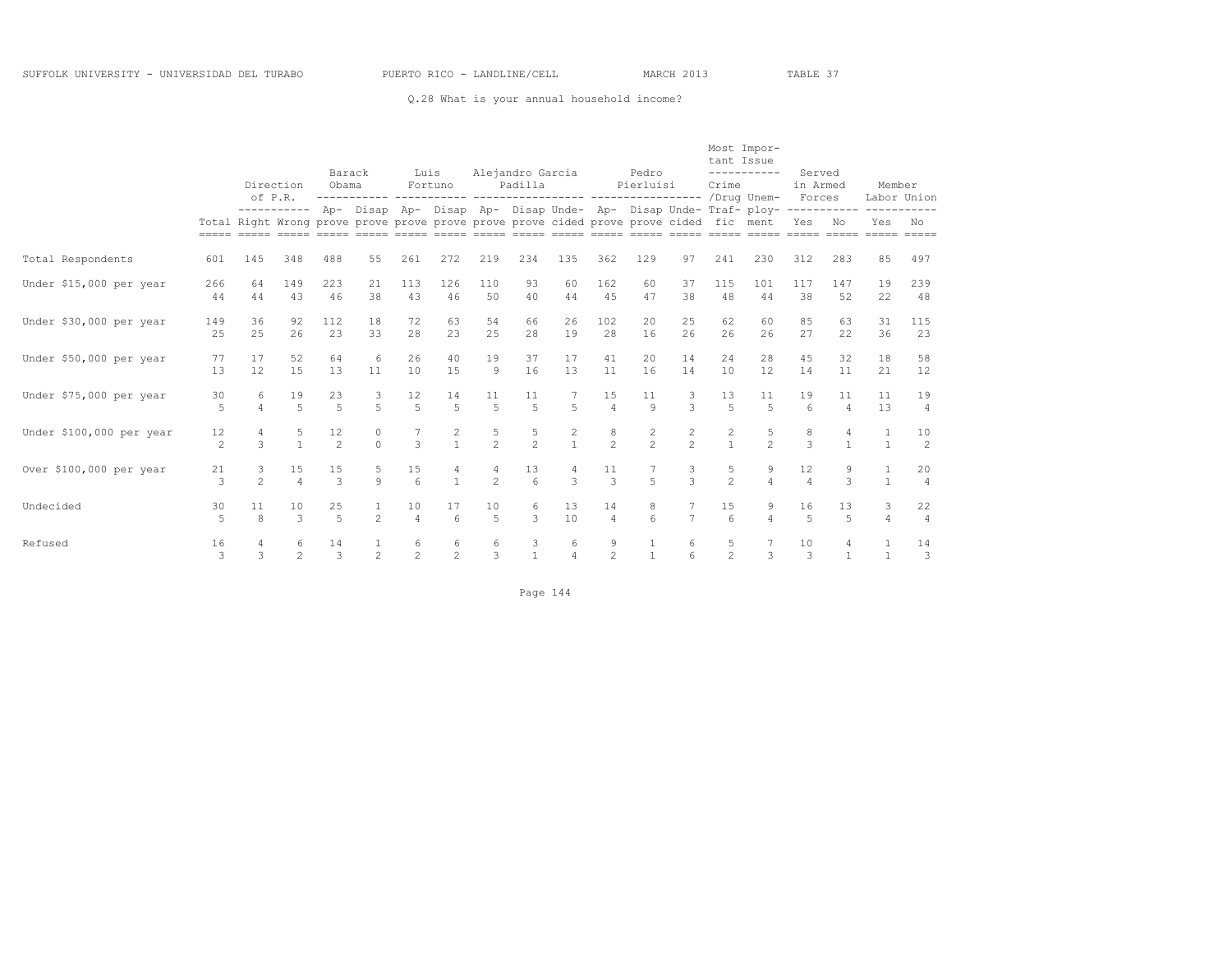#### Q.28 What is your annual household income?

|                          |                      |                                                                                        | Direction              | Barack<br>Obama      |                     | Luis                         | Fortuno                               |                      | Alejandro Garcia<br>Padilla |                     |                      | Pedro<br>Pierluisi               |                                  | tant Issue<br>Crime  | Most Impor-<br>-----------                                                | Served<br>in Armed     |                                | Member                           |                      |
|--------------------------|----------------------|----------------------------------------------------------------------------------------|------------------------|----------------------|---------------------|------------------------------|---------------------------------------|----------------------|-----------------------------|---------------------|----------------------|----------------------------------|----------------------------------|----------------------|---------------------------------------------------------------------------|------------------------|--------------------------------|----------------------------------|----------------------|
|                          |                      | Total Right Wrong prove prove prove prove prove prove cided prove prove cided fic ment | of P.R.<br>----------- |                      |                     |                              |                                       |                      |                             |                     |                      |                                  |                                  |                      | Ap- Disap Ap- Disap Ap- Disap Unde- Ap- Disap Unde- Traf- ploy----------- | Forces<br>Yes          | No                             | Labor Union<br>Yes               | No                   |
| Total Respondents        | 601                  | 145                                                                                    | 348                    | 488                  | 55                  | 261                          | 272                                   | 219                  | 234                         | 135                 | 362                  | 129                              | 97                               | 241                  | 230                                                                       | 312                    | 283                            | 85                               | 497                  |
| Under \$15,000 per year  | 266<br>44            | 64<br>44                                                                               | 149<br>43              | 223<br>46            | 21<br>38            | 113<br>43                    | 126<br>46                             | 110<br>50            | 93<br>40                    | 60<br>44            | 162<br>45            | 60<br>47                         | 37<br>38                         | 115<br>48            | 101<br>44                                                                 | 117<br>38              | 147<br>52                      | 19<br>22                         | 239<br>48            |
| Under \$30,000 per year  | 149<br>25            | 36<br>25                                                                               | 92<br>26               | 112<br>23            | 18<br>33            | 72<br>28                     | 63<br>23                              | 54<br>25             | 66<br>28                    | 26<br>19            | 102<br>28            | 20<br>16                         | 25<br>26                         | 62<br>26             | 60<br>26                                                                  | 85<br>27               | 63<br>22                       | 31<br>36                         | 115<br>23            |
| Under \$50,000 per year  | 77<br>13             | 17<br>12                                                                               | 52<br>15               | 64<br>13             | 6<br>11             | 26<br>10                     | 40<br>1.5                             | 19<br>9              | 37<br>16                    | 17<br>13            | 41<br>11             | 20<br>16                         | 14<br>14                         | 24<br>10             | 28<br>12.                                                                 | 45<br>14               | 32<br>11                       | 18<br>21                         | 58<br>12             |
| Under \$75,000 per year  | 30<br>5              | 6<br>$\Delta$                                                                          | 19<br>$\overline{5}$   | 23<br>$\overline{5}$ | 3<br>$\overline{a}$ | 12<br>$\overline{5}$         | 14<br>$\overline{5}$                  | 11<br>$\overline{5}$ | 11<br>$\overline{a}$        | $\overline{5}$      | 15<br>$\overline{4}$ | 11<br>$\mathsf{Q}$               | 3<br>$\mathcal{L}$               | 13<br>$\overline{a}$ | 11<br>$\overline{5}$                                                      | 19<br>$6 \overline{6}$ | 11<br>$\overline{4}$           | 11<br>13                         | 19<br>$\overline{4}$ |
| Under \$100,000 per year | 12<br>$\overline{c}$ | 4<br>3                                                                                 | 5<br>$\mathbf{1}$      | 12<br>$\mathfrak{D}$ | 0<br>$\Omega$       | 7<br>$\overline{\mathbf{3}}$ | 2<br>$\mathbf{1}$                     | 5<br>$\overline{2}$  | 5<br>$\overline{2}$         | $\overline{c}$      | $\frac{8}{2}$        | $\overline{c}$<br>$\overline{2}$ | $\overline{c}$<br>$\overline{2}$ | 2<br>$\mathbf{1}$    | 5<br>$\mathfrak{D}$                                                       | 8<br>3                 | $\overline{4}$<br>$\mathbf{1}$ | $\overline{1}$<br>$\overline{1}$ | 10<br>2              |
| Over \$100,000 per year  | 21<br>3              | 3<br>$\mathfrak{D}$                                                                    | 15<br>$\overline{a}$   | 15<br>3              | 5<br>$\mathsf{Q}$   | 15<br>$6\overline{6}$        | 4<br>$\overline{1}$                   | 4<br>$\mathfrak{D}$  | 13<br>6                     | $\mathcal{L}$       | 11<br>$\mathcal{E}$  | $\overline{5}$                   | 3<br>$\mathcal{L}$               | 5<br>$\overline{2}$  | 9<br>$\overline{4}$                                                       | 12<br>$\overline{4}$   | 9<br>3                         | $\overline{1}$                   | 20<br>$\overline{4}$ |
| Undecided                | 30<br>5              | 11<br>$\mathcal{R}$                                                                    | 10<br>$\mathcal{L}$    | 25<br>5              | $\mathfrak{D}$      | 10<br>$\overline{4}$         | 17<br>$6\overline{6}$                 | 10<br>$\overline{a}$ | 6<br>$\mathcal{L}$          | 13<br>10            | 14<br>$\overline{4}$ | 8<br>6                           | $\overline{7}$                   | 15<br>6              | 9<br>$\overline{a}$                                                       | 16<br>5                | 13<br>$\overline{5}$           | 3<br>$\overline{4}$              | 22<br>$\overline{4}$ |
| Refused                  | 16<br>$\mathcal{L}$  | 4<br>$\mathcal{L}$                                                                     | 6<br>$\mathfrak{D}$    | 14<br>3              | $\mathfrak{D}$      | 6<br>$\mathfrak{D}$          | $\begin{array}{c} 6 \\ 2 \end{array}$ | 6<br>$\mathcal{L}$   | 3<br>$\mathbf{1}$           | 6<br>$\overline{a}$ | 9<br>$\mathfrak{D}$  | $\mathbf{1}$                     | 6                                | 5<br>$\mathfrak{D}$  | $\mathcal{L}$                                                             | 10<br>3                | 4<br>$\mathbf{1}$              | $\overline{1}$<br>$\overline{1}$ | 14<br>$\mathbf{3}$   |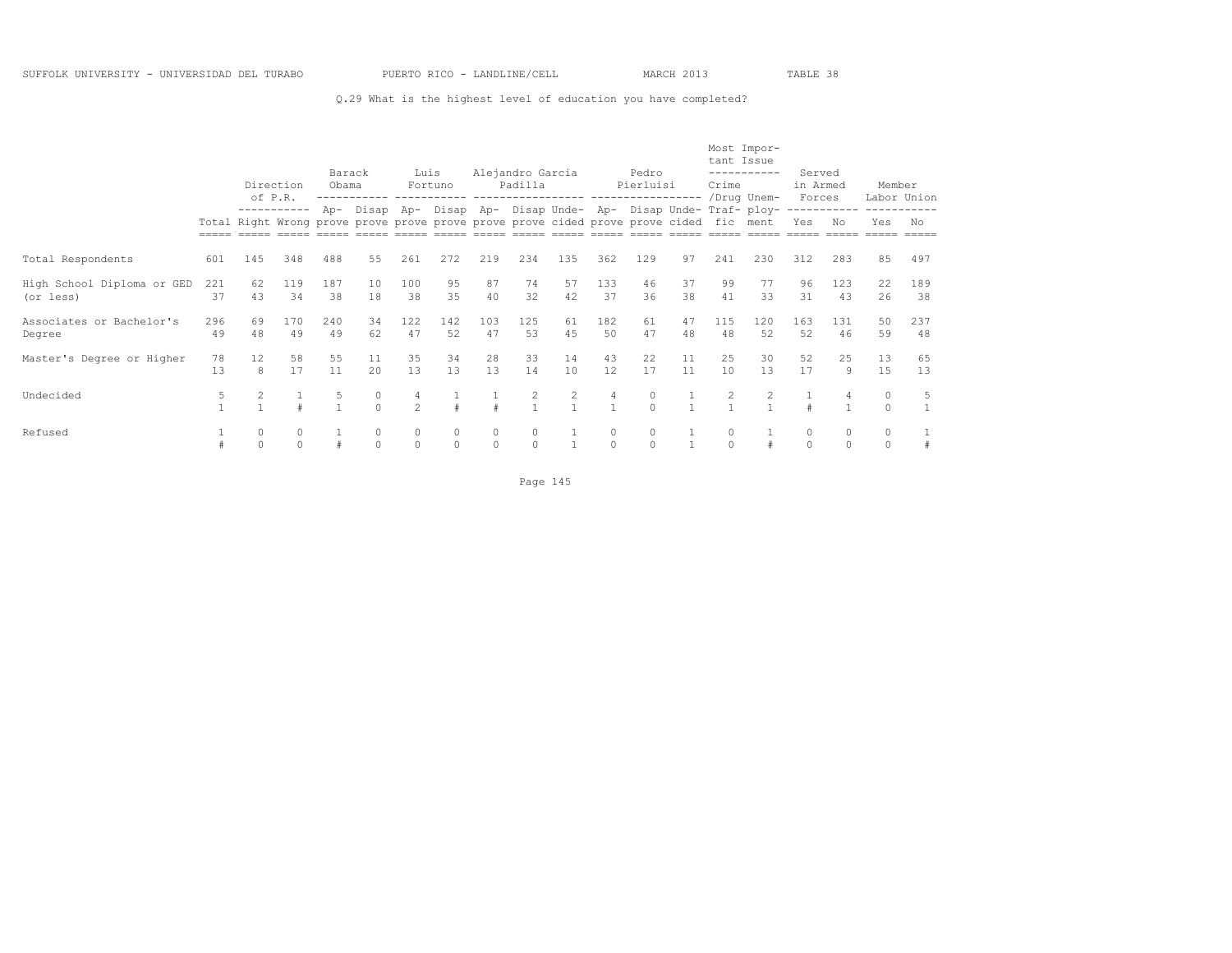## Q.29 What is the highest level of education you have completed?

|                                         |           |                      | Barack<br>Direction<br>Obama<br>of P.R.<br>------------ ------------<br>----------- |           |                                                                                                     |                                  | Luis<br>Fortuno      |                    | Alejandro Garcia<br>Padilla<br>------------------ ------------------ |           |                                | Pedro<br>Pierluisi   |          | tant Issue<br>Crime  | Most Impor-<br>-----------<br>/Drug Unem-         | Served<br>in Armed<br>Forces |                      | Member<br>Labor Union |           |
|-----------------------------------------|-----------|----------------------|-------------------------------------------------------------------------------------|-----------|-----------------------------------------------------------------------------------------------------|----------------------------------|----------------------|--------------------|----------------------------------------------------------------------|-----------|--------------------------------|----------------------|----------|----------------------|---------------------------------------------------|------------------------------|----------------------|-----------------------|-----------|
|                                         |           |                      |                                                                                     | Ap-       | Disap Ap-<br>Total Right Wrong prove prove prove prove prove prove cided prove prove cided fic ment |                                  |                      |                    |                                                                      |           |                                |                      |          |                      | Disap Ap- Disap Unde- Ap- Disap Unde- Traf- ploy- | ------------<br>Yes          | Νo                   | ---------<br>Yes      | No        |
| Total Respondents                       | 601       | 145                  | 348                                                                                 | 488       | 55                                                                                                  | 261                              | 272                  | 219                | 234                                                                  | 135       | 362                            | 129                  | 97       | 241                  | 230                                               | 312                          | 283                  | 85                    | 497       |
| High School Diploma or GED<br>(or less) | 221<br>37 | 62<br>43             | 119<br>34                                                                           | 187<br>38 | 10<br>18                                                                                            | 100<br>38                        | 95<br>35             | 87<br>40           | 74<br>32                                                             | 57<br>42  | 133<br>37                      | 46<br>36             | 37<br>38 | 99<br>41             | 77<br>33                                          | 96<br>31                     | 123<br>43            | 22<br>26              | 189<br>38 |
| Associates or Bachelor's<br>Degree      | 296<br>49 | 69<br>48             | 170<br>49                                                                           | 240<br>49 | 34<br>62                                                                                            | 122<br>47                        | 142<br>52            | 103<br>47          | 125<br>53                                                            | 61<br>4.5 | 182<br>50                      | 61<br>47             | 47<br>48 | 115<br>48            | 120<br>52                                         | 163<br>52                    | 131<br>46            | 50<br>59              | 237<br>48 |
| Master's Degree or Higher               | 78<br>13  | 12<br>$\mathsf{R}$   | 58<br>17                                                                            | 55<br>11  | 11<br>2.0                                                                                           | 35<br>13                         | 34<br>13             | 28<br>13           | 33<br>14                                                             | 14<br>10  | 43<br>12                       | 22<br>17             | 11<br>11 | 25<br>10             | 30<br>13                                          | 52<br>17                     | 25<br>$\mathsf{Q}$   | 13<br>15              | 65<br>13  |
| Undecided                               | 5         |                      |                                                                                     | 5         | $\Omega$<br>$\bigcap$                                                                               | $\overline{4}$<br>$\mathfrak{D}$ |                      |                    |                                                                      | 2         | $\overline{4}$<br>$\mathbf{1}$ | $\circ$<br>$\Omega$  |          | $\overline{c}$       |                                                   |                              | 4                    | $\circ$<br>$\bigcap$  | 5         |
| Refused                                 |           | $\Omega$<br>$\Omega$ | $\Omega$<br>$\cap$                                                                  |           | $\Omega$<br>$\Omega$                                                                                | $\Omega$<br>$\Omega$             | $\Omega$<br>$\Omega$ | $\Omega$<br>$\cap$ | $\Omega$<br>$\Omega$                                                 |           | $\circ$<br>$\circ$             | $\Omega$<br>$\Omega$ |          | $\Omega$<br>$\Omega$ |                                                   | $\circ$<br>$\Omega$          | $\Omega$<br>$\Omega$ | $\circ$<br>$\Omega$   | #         |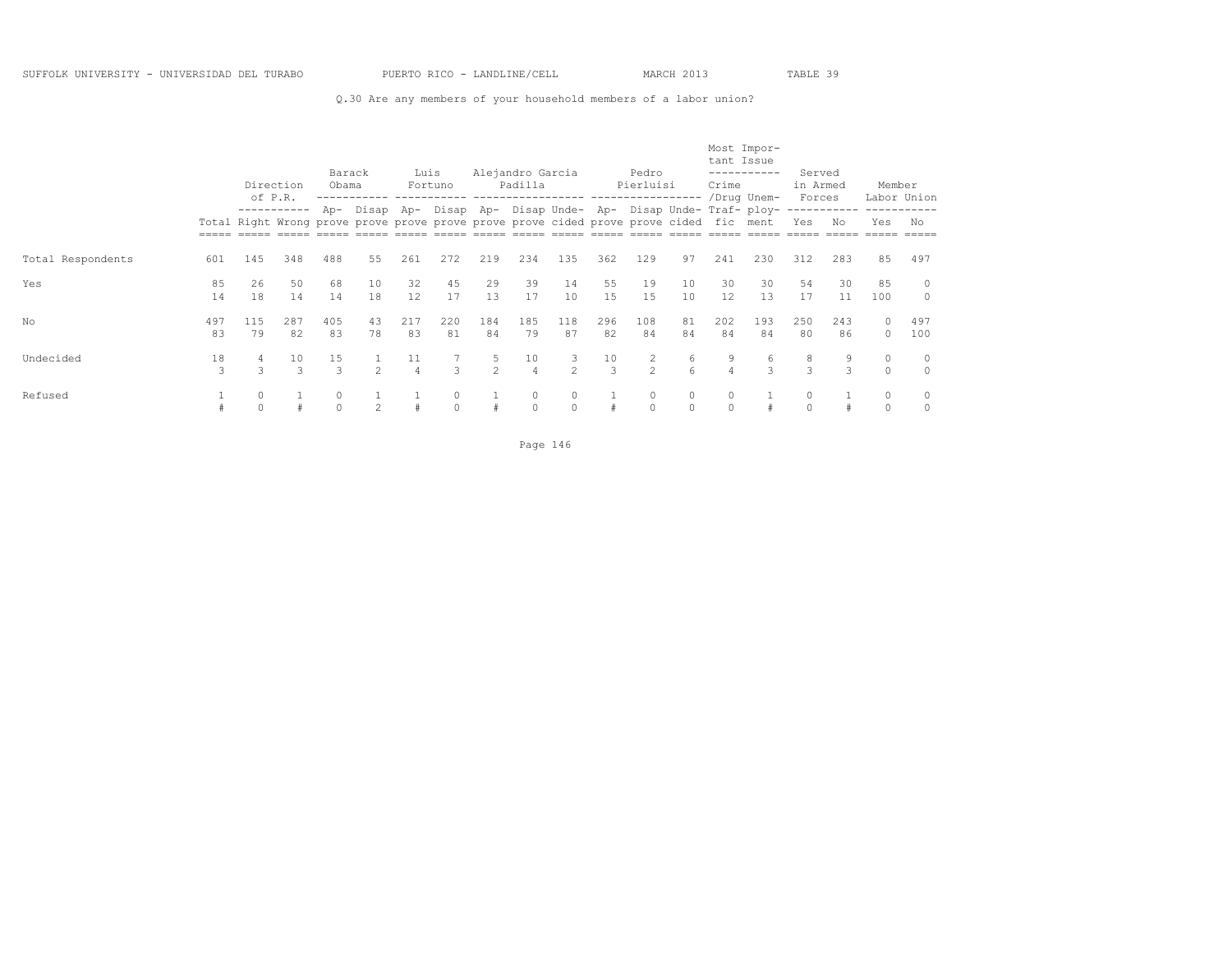## Q.30 Are any members of your household members of a labor union?

|                   |           |               | Direction<br>of P.R. | Barack<br>Obama     |                                                                                                 | Luis                 | Fortuno       |                    | Alejandro Garcia<br>Padilla |                     |           | Pedro<br>Pierluisi |                     | tant Issue<br>Crime | Most Impor-<br>-----------<br>/Drug Unem- | Served<br>in Armed<br>Forces |           | Member              | Labor Union        |
|-------------------|-----------|---------------|----------------------|---------------------|-------------------------------------------------------------------------------------------------|----------------------|---------------|--------------------|-----------------------------|---------------------|-----------|--------------------|---------------------|---------------------|-------------------------------------------|------------------------------|-----------|---------------------|--------------------|
|                   |           |               |                      | Ap-                 | Disap<br>Total Right Wrong prove prove prove prove prove prove cided prove prove cided fic ment | Ap-                  | Disap Ap-     |                    |                             |                     |           |                    |                     |                     | Disap Unde- Ap- Disap Unde- Traf- ploy-   | Yes                          | No        | Yes                 | No                 |
| Total Respondents | 601       | 145           | 348                  | 488                 | 55                                                                                              | 261                  | 272           | 219                | 234                         | 135                 | 362       | 129                | 97                  | 241                 | 230                                       | 312                          | 283       | 85                  | 497                |
| Yes               | 85<br>14  | 26<br>18      | 50<br>14             | 68<br>14            | 10<br>18                                                                                        | 32<br>12             | 45<br>17      | 29<br>13           | 39<br>17                    | 14<br>10            | 55<br>15  | 19<br>15           | 10<br>10            | 30<br>12            | 30<br>13                                  | 54<br>17                     | 30<br>11  | 85<br>100           | $\circ$<br>$\circ$ |
| No                | 497<br>83 | 115<br>79     | 287<br>82            | 405<br>83           | 43<br>78                                                                                        | 217<br>83            | 220<br>81     | 184<br>84          | 185<br>79                   | 118<br>87           | 296<br>82 | 108<br>84          | 81<br>84            | 202<br>84           | 193<br>84                                 | 250<br>80                    | 243<br>86 | $\circ$<br>$\Omega$ | 497<br>100         |
| Undecided         | 18<br>3   | $\mathcal{L}$ | 10<br>$\mathcal{L}$  | 15<br>$\mathcal{L}$ | $\mathcal{P}$                                                                                   | 11<br>$\overline{4}$ | $\mathcal{L}$ | 5<br>$\mathcal{P}$ | 10<br>$\overline{4}$        | 3<br>$\mathfrak{D}$ | 10<br>3   | $\mathfrak{D}$     | 6<br>$\kappa$       | 9<br>4              | 6<br>$\mathcal{L}$                        | 8<br>3                       | 9<br>3    | $\circ$<br>$\Omega$ | 0<br>$\Omega$      |
| Refused           |           |               |                      | 0                   | $\mathfrak{D}$                                                                                  |                      | 0<br>$\Omega$ |                    | $\circ$<br>$\Omega$         | $\circ$<br>$\cap$   | $\#$      | 0<br>$\Omega$      | $\circ$<br>$\Omega$ | 0<br>$\Omega$       |                                           | $\circ$<br>$\Omega$          |           | $\circ$<br>$\Omega$ |                    |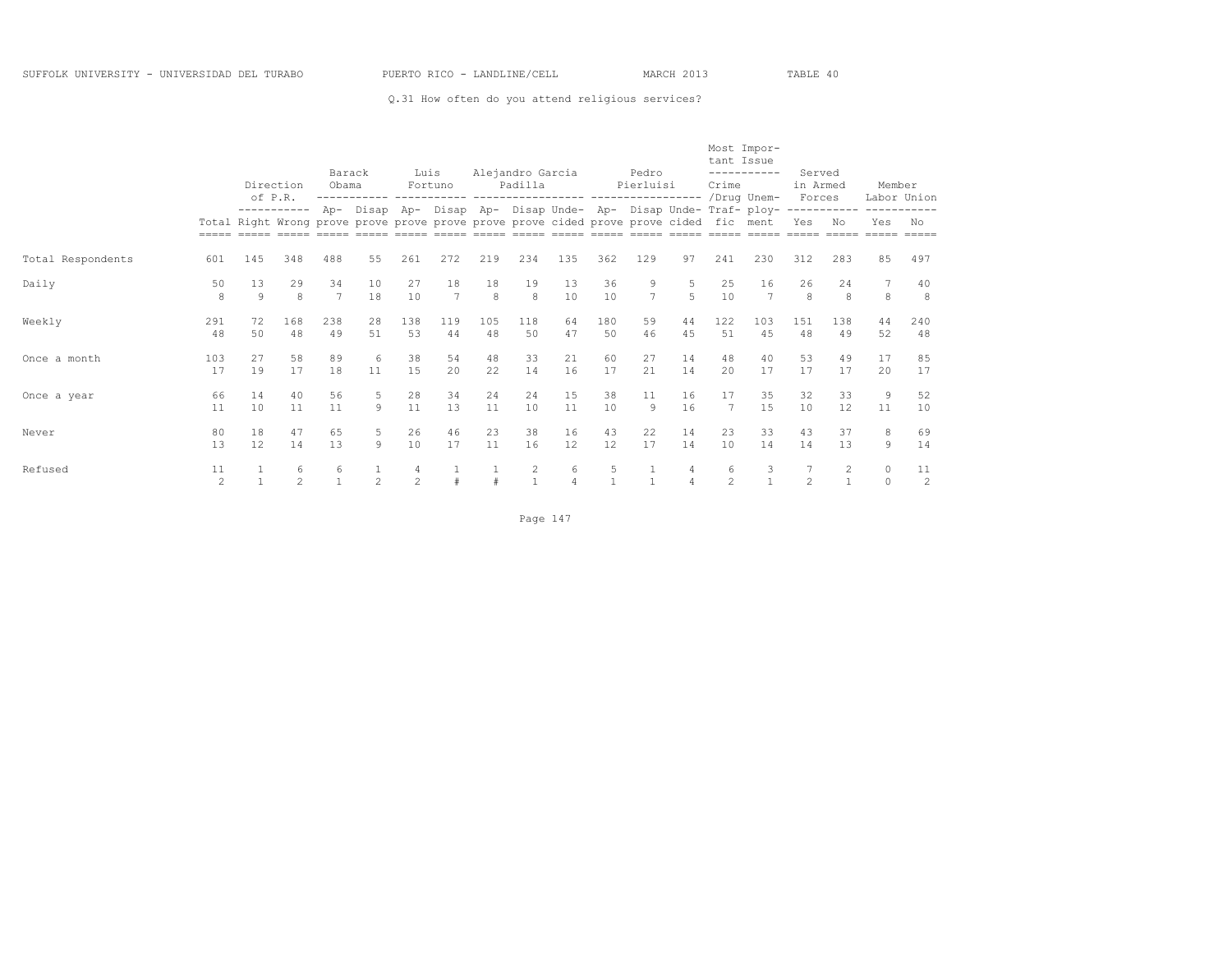Q.31 How often do you attend religious services?

|                   |                      |                   |                    | Barack               |                                                                                                                                                           | Luis                |           |                     | Alejandro Garcia |          |           | Pedro                          |                     | tant Issue          | Most Impor-<br>----------- | Served             |                     |                       |           |
|-------------------|----------------------|-------------------|--------------------|----------------------|-----------------------------------------------------------------------------------------------------------------------------------------------------------|---------------------|-----------|---------------------|------------------|----------|-----------|--------------------------------|---------------------|---------------------|----------------------------|--------------------|---------------------|-----------------------|-----------|
|                   |                      | of P.R.           | Direction          | Obama                |                                                                                                                                                           |                     | Fortuno   |                     | Padilla          |          |           | Pierluisi<br>----------------- |                     | Crime               | /Drug Unem-                | in Armed<br>Forces |                     | Member<br>Labor Union |           |
|                   |                      |                   | -----------        |                      | Ap- Disap Ap- Disap Ap- Disap Unde- Ap- Disap Unde- Traf- ploy-<br>Total Right Wrong prove prove prove prove prove prove cided prove prove cided fic ment |                     |           |                     |                  |          |           |                                |                     |                     |                            | Yes                | No                  | Yes                   | No        |
| Total Respondents | 601                  | 145               | 348                | 488                  | 55                                                                                                                                                        | 261                 | 272       | 219                 | 234              | 135      | 362       | 129                            | 97                  | 241                 | 230                        | 312                | 283                 | 85                    | 497       |
| Daily             | 50<br>8              | 13<br>$\mathbf Q$ | 29<br>8            | 34<br>$\overline{7}$ | 10<br>18                                                                                                                                                  | 27<br>10            | 18<br>7   | 18<br>$\mathcal{R}$ | 19<br>8          | 13<br>10 | 36<br>10  | 9<br>$\overline{7}$            | 5<br>$\overline{5}$ | 25<br>10            | 16<br>7                    | 26<br>8            | 24<br>$\mathcal{R}$ | 8                     | 40<br>8   |
| Weekly            | 291<br>48            | 72<br>50          | 168<br>48          | 238<br>49            | 28<br>51                                                                                                                                                  | 138<br>53           | 119<br>44 | 105<br>48           | 118<br>50        | 64<br>47 | 180<br>50 | 59<br>46                       | 44<br>45            | 122<br>51           | 103<br>45                  | 151<br>48          | 138<br>49           | 44<br>52              | 240<br>48 |
| Once a month      | 103<br>17            | 27<br>19          | 58<br>17           | 89<br>18             | 6<br>11                                                                                                                                                   | 38<br>15            | 54<br>2.0 | 48<br>22            | 33<br>14         | 21<br>16 | 60<br>17  | 27<br>2.1                      | 14<br>14            | 48<br>20            | 40<br>17                   | 53<br>17           | 49<br>17            | 17<br>2.0             | 85<br>17  |
| Once a year       | 66<br>11             | 14<br>10          | 40<br>11           | 56<br>11             | 5<br>$\mathcal{Q}$                                                                                                                                        | 28<br>11            | 34<br>13  | 24<br>11            | 24<br>10         | 15<br>11 | 38<br>10  | 11<br>9                        | 16<br>16            | 17<br>7             | 35<br>1.5                  | 32<br>10           | 33<br>12            | 9<br>11               | 52<br>10  |
| Never             | 80<br>13             | 18<br>12          | 47<br>14           | 65<br>13             | 5<br>$\mathcal{Q}$                                                                                                                                        | 26<br>10            | 46<br>17  | 23<br>11            | 38<br>16         | 16<br>12 | 43<br>12  | 22<br>17                       | 14<br>14            | 23<br>10            | 33<br>14                   | 43<br>14           | 37<br>13            | 8<br>9                | 69<br>14  |
| Refused           | 11<br>$\mathfrak{D}$ |                   | 6<br>$\mathcal{P}$ | 6                    | $\mathfrak{D}$                                                                                                                                            | 4<br>$\mathfrak{D}$ |           |                     | 2                | 6        | 5         |                                | 4                   | 6<br>$\mathfrak{D}$ | 3                          | $\mathfrak{D}$     | $\mathbf{2}$        | $\circ$<br>$\Omega$   | 11<br>2   |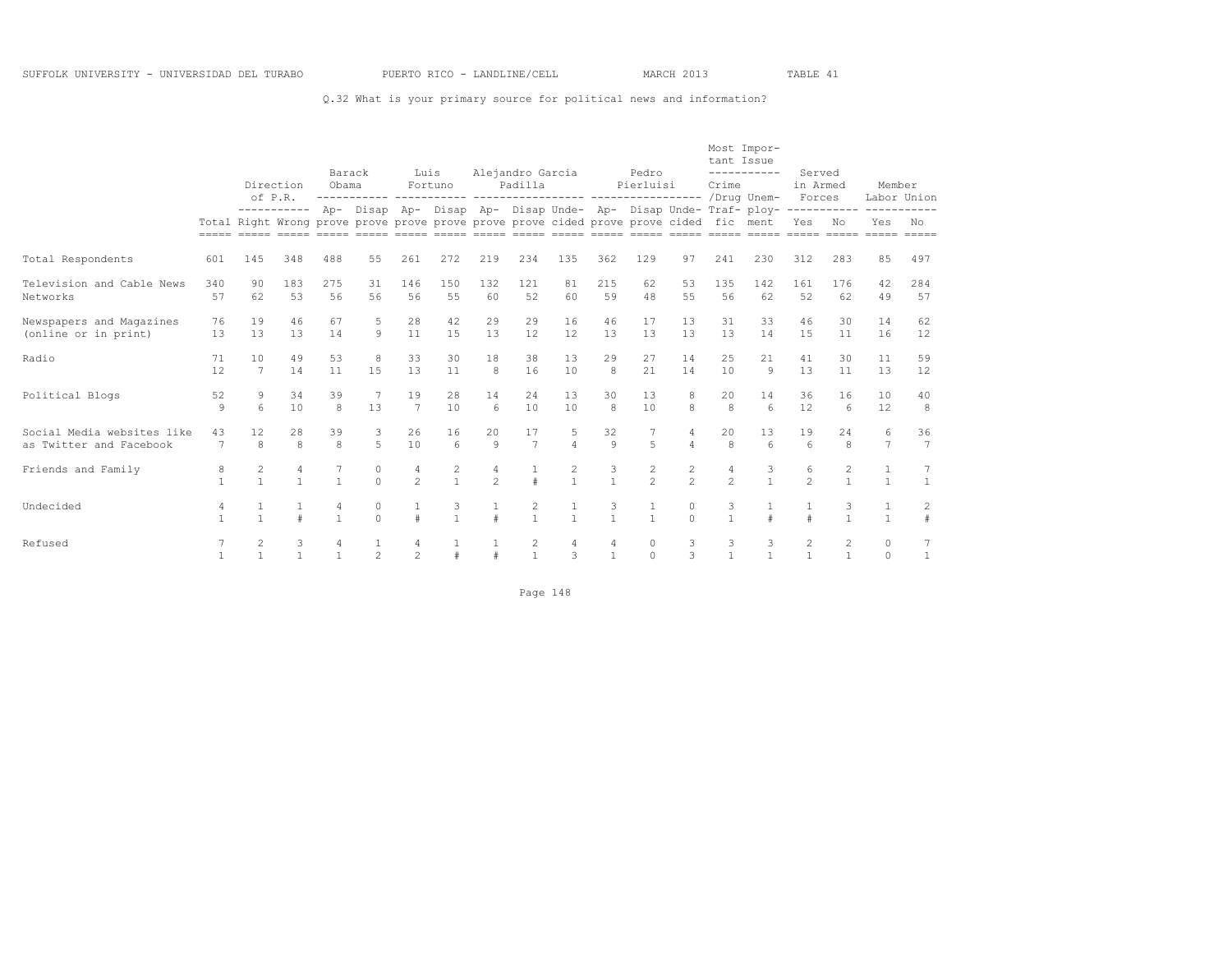## Q.32 What is your primary source for political news and information?

|                                                       |                      |                                                                                        | Direction<br>of P.R. | Barack<br>Obama |                       | Luis                | Fortuno                               |                     | Alejandro Garcia<br>Padilla |                                |                                           | Pedro<br>Pierluisi |                    | tant Issue<br>Crime | Most Impor-<br>-----------                                                                                                                                                                     | Served<br>in Armed<br>Forces   |                                | Member<br>Labor Union |                       |
|-------------------------------------------------------|----------------------|----------------------------------------------------------------------------------------|----------------------|-----------------|-----------------------|---------------------|---------------------------------------|---------------------|-----------------------------|--------------------------------|-------------------------------------------|--------------------|--------------------|---------------------|------------------------------------------------------------------------------------------------------------------------------------------------------------------------------------------------|--------------------------------|--------------------------------|-----------------------|-----------------------|
|                                                       |                      | Total Right Wrong prove prove prove prove prove prove cided prove prove cided fic ment | -----------          |                 |                       |                     |                                       |                     |                             |                                |                                           |                    |                    |                     | Ap- Disap Ap- Disap Ap- Disap Unde- Ap- Disap Unde- Traf- ploy-----------<br><u>soon aadaa aadaa aadaa aadaa aadaa aadaa aadaa aadaa aadaa aadaa aadaa aadaa aadaa aadaa aadaa aadaa aadaa</u> | Yes                            | No                             | -----------<br>Yes    | No<br>$=====$         |
| Total Respondents                                     | 601                  | 145                                                                                    | 348                  | 488             | 55                    | 261                 | 272                                   | 219                 | 234                         | 135                            | 362                                       | 129                | 97                 | 241                 | 230                                                                                                                                                                                            | 312                            | 283                            | 85                    | 497                   |
| Television and Cable News<br>Networks                 | 340<br>57            | 90<br>62                                                                               | 183<br>53            | 275<br>56       | 31<br>56              | 146<br>56           | 150<br>55                             | 132<br>60           | 121<br>52                   | 81<br>60                       | 215<br>59                                 | 62<br>48           | 53<br>55           | 135<br>56           | 142<br>62                                                                                                                                                                                      | 161<br>52                      | 176<br>62                      | 42<br>49              | 284<br>57             |
| Newspapers and Magazines<br>(online or in print)      | 76<br>13             | 19<br>13                                                                               | 46<br>13             | 67<br>14        | 5<br>$\circ$          | 28<br>11            | 42<br>15                              | 29<br>13            | 29<br>12                    | 16<br>12                       | 46<br>13                                  | 17<br>13           | 13<br>13           | 31<br>13            | 33<br>14                                                                                                                                                                                       | 46<br>15                       | 30<br>11                       | 14<br>16              | 62<br>12              |
| Radio                                                 | 71<br>12             | 10<br>7                                                                                | 49<br>14             | 53<br>11        | 8<br>1.5              | 33<br>13            | 30<br>11                              | 18<br>8             | 38<br>16                    | 13<br>10                       | 29<br>8                                   | 27<br>2.1          | 14<br>14           | 25<br>10            | 21<br>$\mathsf{Q}$                                                                                                                                                                             | 41<br>13                       | 30<br>11                       | 11<br>13              | 59<br>12              |
| Political Blogs                                       | 52<br>$\overline{9}$ | 9<br>$\kappa$                                                                          | 34<br>10             | 39<br>8         | $7\phantom{.0}$<br>13 | 19<br>7             | 2.8<br>10                             | 14<br>6             | 24<br>10                    | 1.3<br>10                      | 30<br>8                                   | 13<br>10           | 8<br>8             | 20<br>$\mathsf{R}$  | 14<br>6                                                                                                                                                                                        | 36<br>12                       | 16<br>$\epsilon$               | 10<br>12              | 40<br>8               |
| Social Media websites like<br>as Twitter and Facebook | 43<br>7              | 12<br>8                                                                                | 2.8<br>8             | 39<br>8         | 3<br>5                | 2.6<br>10           | 16<br>6                               | 20<br>$\mathcal{G}$ | 17<br>$7\phantom{.0}$       | 5<br>$\overline{4}$            | 32<br>$\mathfrak{g}$                      | 5                  | 4<br>4             | 20<br>8             | 13<br>6                                                                                                                                                                                        | 19<br>$6 \overline{6}$         | 2.4<br>8                       | 6<br>$7\phantom{.0}$  | 36<br>$7\phantom{.0}$ |
| Friends and Family                                    | 8<br>$\mathbf{1}$    | $\overline{c}$<br>$\mathbf{1}$                                                         | 4<br>$\mathbf{1}$    | $\mathbf{1}$    | $\circ$<br>$\Omega$   | 4<br>$\mathfrak{D}$ | $\begin{array}{c} 2 \\ 1 \end{array}$ | 4<br>$\mathfrak{D}$ | $\frac{1}{2}$               | $\overline{c}$<br>$\mathbf{1}$ | $\ensuremath{\mathsf{3}}$<br>$\mathbf{1}$ | $\frac{2}{2}$      | $\frac{2}{2}$      | 4<br>$\mathfrak{D}$ | 3<br>$\mathbf{1}$                                                                                                                                                                              | 6<br>$\overline{2}$            | $\overline{c}$<br>$\mathbf{1}$ | $\overline{1}$        | 7<br>$\mathbf{1}$     |
| Undecided                                             | 4<br>$\mathbf{1}$    | $\mathbf{1}$                                                                           |                      | $\mathbf{1}$    | 0<br>$\Omega$         | $\#$                | 3<br>$\mathbf{1}$                     |                     | 2<br>$\mathbf{1}$           | $\mathbf{1}$                   | 3<br>$\mathbf{1}$                         | $\mathbf{1}$       | 0<br>$\cap$        | 3<br>$\mathbf{1}$   |                                                                                                                                                                                                | $\#$                           | 1                              | $\mathbf{1}$          | $\overline{c}$<br>#   |
| Refused                                               | $\overline{1}$       | $\overline{c}$<br>$\mathbf{1}$                                                         |                      | 4<br>1          | $\mathfrak{D}$        | 4<br>$\mathfrak{D}$ | $\pm$                                 |                     | 2<br>$\mathbf{1}$           | 4<br>$\mathcal{L}$             | 4<br>$\mathbf{1}$                         | 0<br>$\Omega$      | 3<br>$\mathcal{L}$ | 3<br>$\mathbf{1}$   | 3<br>$\mathbf{1}$                                                                                                                                                                              | $\overline{c}$<br>$\mathbf{1}$ | $\overline{c}$<br>$\mathbf{1}$ | $\circ$<br>$\bigcap$  | 7<br>$\mathbf{1}$     |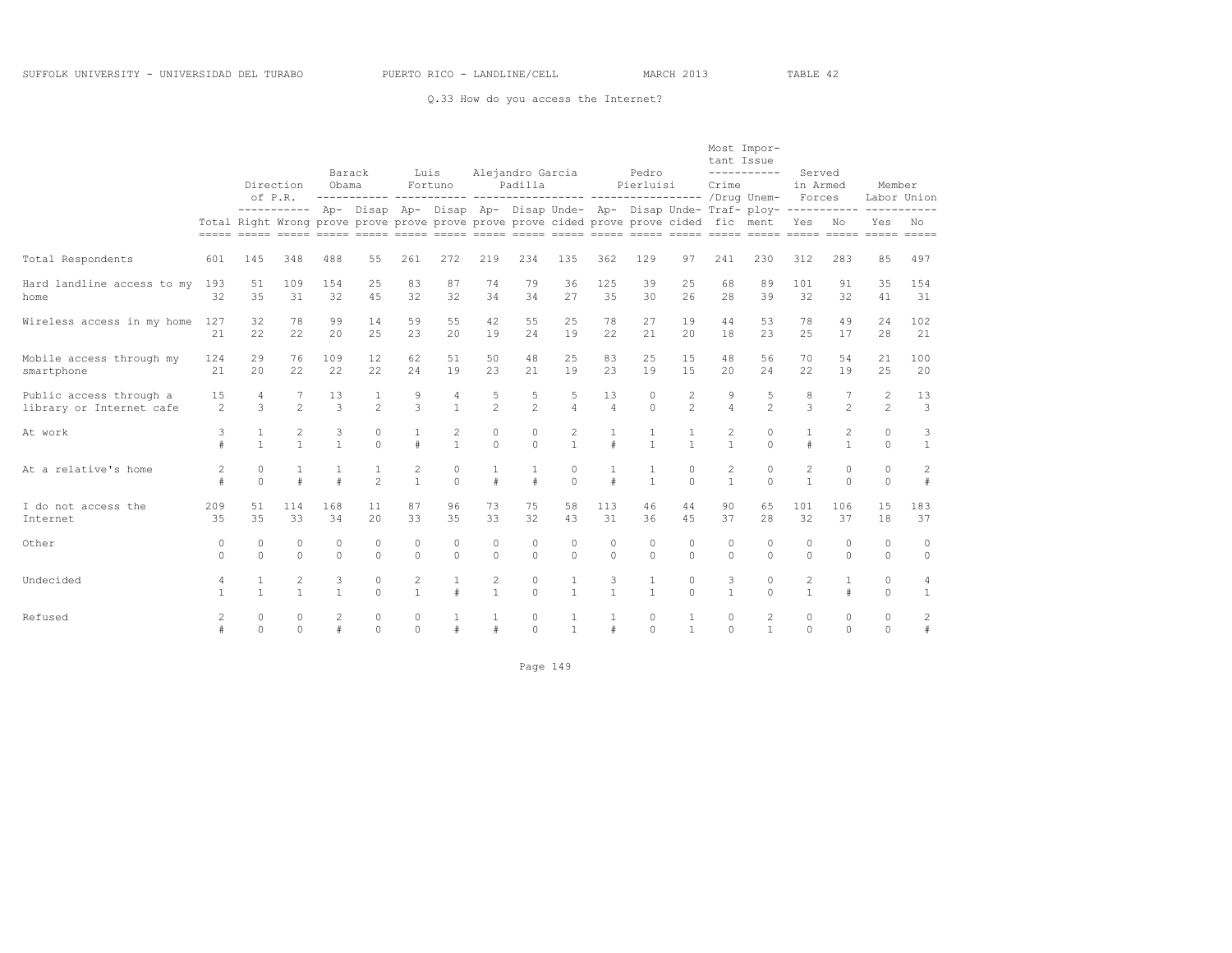## Q.33 How do you access the Internet?

|                                                     |                   |                                | Direction<br>of P.R.           |                      | Barack<br>Obama                                                                        | Luis                         | Fortuno                        |                              | Alejandro Garcia<br>Padilla |                              |                      | Pedro<br>Pierluisi           |                                  | tant Issue<br>Crime            | Most Impor-<br>-----------                                                                         | Served<br>in Armed<br>Forces   |                      | Member                  | Labor Union          |
|-----------------------------------------------------|-------------------|--------------------------------|--------------------------------|----------------------|----------------------------------------------------------------------------------------|------------------------------|--------------------------------|------------------------------|-----------------------------|------------------------------|----------------------|------------------------------|----------------------------------|--------------------------------|----------------------------------------------------------------------------------------------------|--------------------------------|----------------------|-------------------------|----------------------|
|                                                     |                   |                                |                                |                      | Total Right Wrong prove prove prove prove prove prove cided prove prove cided fic ment |                              |                                |                              |                             |                              |                      |                              |                                  |                                | ---------- Ap- Disap Ap- Disap Ap- Disap Unde- Ap- Disap Unde- Traf- ploy- ----------- ----------- | Yes No                         |                      | Yes                     | No                   |
| Total Respondents                                   | 601               | 145                            | 348                            | 488                  | 55                                                                                     | 261                          | 272                            | 219                          | 234                         | 135                          | 362                  | 129                          | 97                               | 241                            | 230                                                                                                | 312                            | 283                  | 85                      | 497                  |
| Hard landline access to my<br>home                  | 193<br>32         | 51<br>35                       | 109<br>31                      | 154<br>32            | 25<br>4.5                                                                              | 83<br>32                     | 87<br>32                       | 74<br>34                     | 79<br>34                    | 36<br>27                     | 125<br>35            | 39<br>30                     | 25<br>26                         | 68<br>28                       | 89<br>39                                                                                           | 101<br>32                      | 91<br>32             | 35<br>41                | 154<br>31            |
| Wireless access in my home                          | 127<br>21         | 32<br>22                       | 78<br>22                       | 99<br>20             | 14<br>2.5                                                                              | 59<br>2.3                    | 55<br>20                       | 42<br>19                     | 55<br>24                    | 25<br>19                     | 78<br>22             | 27<br>2.1                    | 19<br>20                         | 44<br>18                       | 53<br>23                                                                                           | 78<br>25                       | 49<br>17             | 24<br>28                | 102<br>21            |
| Mobile access through my<br>smartphone              | 124<br>2.1        | 29<br>2.0                      | 76<br>22                       | 109<br>22            | 12<br>2.2.                                                                             | 62<br>2.4                    | 51<br>19                       | 50<br>2.3                    | 48<br>2.1                   | 25<br>19                     | 83<br>23             | 25<br>19                     | 15<br>1.5                        | 48<br>20                       | 56<br>2.4                                                                                          | 70<br>22.2                     | 54<br>19             | 21<br>2.5               | 100<br>20            |
| Public access through a<br>library or Internet cafe | 15<br>2           | 4<br>3                         | 2                              | 13<br>3              | $\mathbf{1}$<br>$\mathfrak{D}$                                                         | 9<br>$\mathcal{E}$           | $\sqrt{4}$<br>$\mathbf{1}$     | 5<br>$\overline{c}$          | 5<br>$\overline{c}$         | 5<br>$\overline{4}$          | 13<br>$\overline{4}$ | $\circ$<br>$\Omega$          | $\overline{2}$<br>$\mathfrak{D}$ | 9<br>$\overline{4}$            | 5<br>$\mathfrak{D}$                                                                                | 8<br>3                         | $\mathfrak{D}$       | 2<br>$\overline{c}$     | 13<br>$\overline{3}$ |
| At work                                             | 3<br>$\#$         | 1<br>$\mathbf{1}$              | $\overline{c}$<br>$\mathbf{1}$ | 3<br>$\mathbf{1}$    | $\circ$<br>$\Omega$                                                                    | $\mathbf{1}$<br>#            | $\overline{2}$<br>$\mathbf{1}$ | $\circ$<br>$\Omega$          | $\circ$<br>$\Omega$         | 2<br>$\mathbf{1}$            | $\mathbf{1}$<br>$\#$ | 1<br>$\mathbf{1}$            | $\mathbf{1}$<br>$\mathbf{1}$     | $\mathbf{2}$<br>$\mathbf{1}$   | $\circ$<br>$\Omega$                                                                                | $\#$                           | 2<br>$\mathbf{1}$    | $\circ$<br>$\Omega$     | 3<br>$\mathbf{1}$    |
| At a relative's home                                | 2<br>#            | $\circ$<br>$\Omega$            |                                | $\pm$                | $\mathbf{1}$<br>$\mathfrak{D}$                                                         | $\mathbf{2}$<br>$\mathbf{1}$ | $\mathbb O$<br>$\Omega$        | $\pm$                        | $\#$                        | $\circ$<br>$\Omega$          | 1<br>$\#$            | 1<br>$\mathbf{1}$            | $\circ$<br>$\Omega$              | $\overline{c}$<br>$\mathbf{1}$ | $\circ$<br>$\Omega$                                                                                | $\overline{c}$<br>$\mathbf{1}$ | $\circ$<br>$\Omega$  | $\mathbb O$<br>$\Omega$ | $\mathbf{2}$<br>$\#$ |
| I do not access the<br>Internet                     | 209<br>35         | 51<br>35                       | 114<br>33                      | 168<br>34            | 11<br>2.0                                                                              | 87<br>33                     | 96<br>35                       | 73<br>33                     | 75<br>32                    | 58<br>43                     | 113<br>31            | 46<br>36                     | 44<br>4.5                        | 90<br>37                       | 65<br>28                                                                                           | 101<br>32                      | 106<br>37            | 15<br>18                | 183<br>37            |
| Other                                               | 0<br>$\Omega$     | $\mathbf 0$<br>$\Omega$        | $\Omega$<br>$\Omega$           | $\Omega$<br>$\Omega$ | $\circ$<br>$\Omega$                                                                    | $\circ$<br>$\circ$           | 0<br>$\Omega$                  | $\Omega$<br>$\Omega$         | $\Omega$<br>$\Omega$        | $\circ$<br>$\Omega$          | $\circ$<br>$\circ$   | $\Omega$<br>$\Omega$         | $\Omega$<br>$\Omega$             | $\Omega$<br>$\Omega$           | $\Omega$<br>$\Omega$                                                                               | $\Omega$<br>$\Omega$           | $\Omega$<br>$\Omega$ | $\circ$<br>$\Omega$     | $\circ$<br>$\circ$   |
| Undecided                                           | 4<br>$\mathbf{1}$ | $\mathbf{1}$<br>$\overline{1}$ | $\mathbf{2}$<br>$\mathbf{1}$   | 3<br>$\mathbf{1}$    | $\circ$<br>$\Omega$                                                                    | $\mathbf{2}$<br>$\mathbf{1}$ | 1<br>$\ddagger$                | $\mathbf{2}$<br>$\mathbf{1}$ | $\circ$<br>$\Omega$         | $\mathbf{1}$<br>$\mathbf{1}$ | 3<br>$\mathbf{1}$    | $\mathbf{1}$<br>$\mathbf{1}$ | $\circ$<br>$\Omega$              | 3<br>$\mathbf{1}$              | $\circ$<br>$\Omega$                                                                                | $\overline{c}$<br>$\mathbf{1}$ | $\mathbf{1}$<br>$\#$ | $\circ$<br>$\Omega$     | 4<br>$\mathbf{1}$    |
| Refused                                             | 2<br>$\#$         | $\mathbb O$<br>$\Omega$        | $\circ$<br>$\cap$              | $\#$                 | $\circ$<br>$\Omega$                                                                    | $\circ$<br>$\Omega$          | $\#$                           |                              | 0<br>$\Omega$               | 1<br>$\mathbf{1}$            | 1<br>$\#$            | 0<br>$\Omega$                | $\mathbf{1}$<br>$\overline{1}$   | $\circ$<br>$\Omega$            | 2<br>$\mathbf{1}$                                                                                  | $\circ$<br>$\Omega$            | 0<br>$\cap$          | 0<br>$\cap$             | $\overline{c}$<br>#  |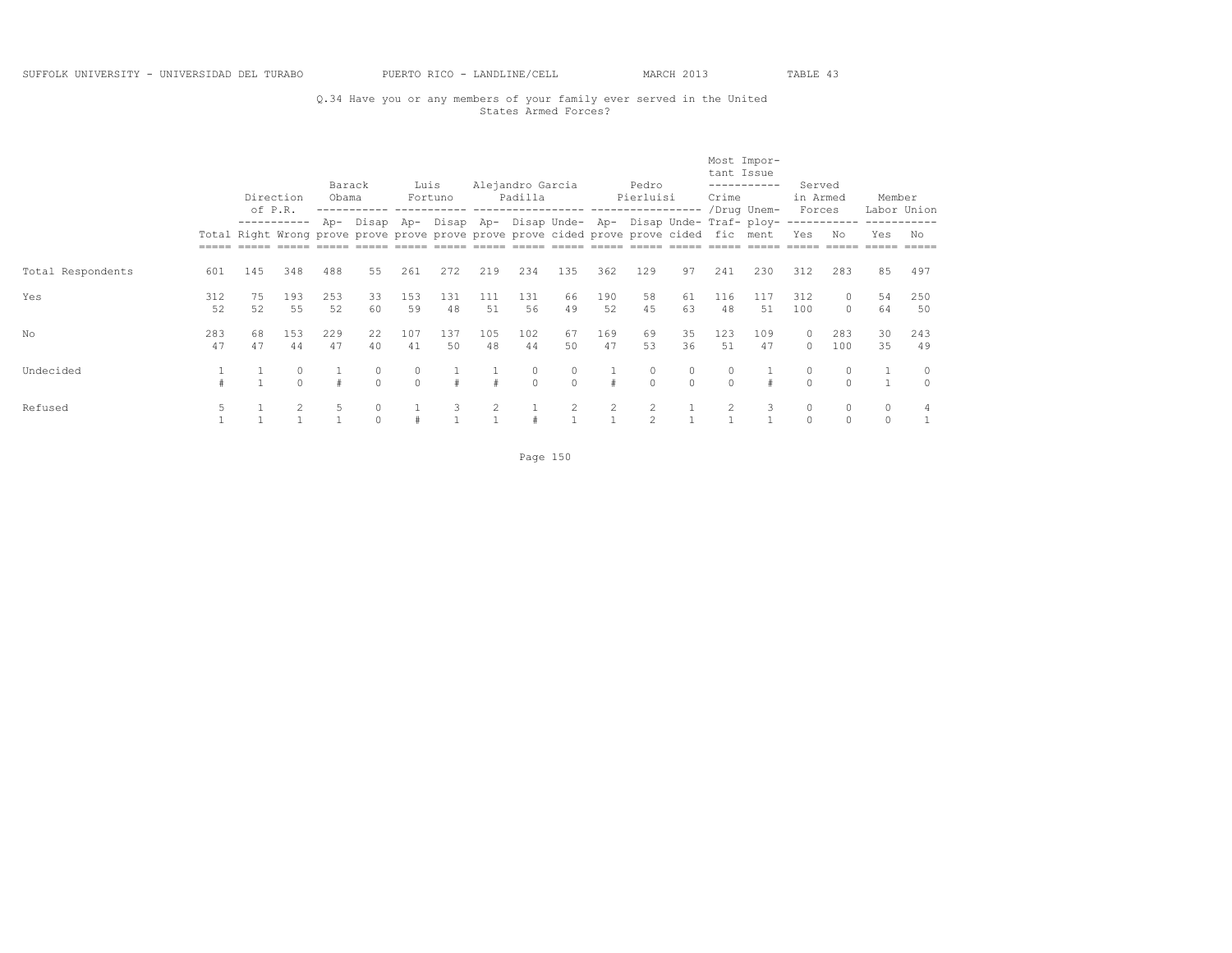# Q.34 Have you or any members of your family ever served in the United States Armed Forces?

|                   |           |          | Direction<br>of P.R. | Barack<br>Obama |                                                                                        | Luis          | Fortuno   |                | Alejandro Garcia<br>Padilla |           |           | Pedro<br>Pierluisi  |                     | tant Issue<br>Crime | Most Impor-<br>. _ _ _ _ _ _ _ _ _ _<br>/Drug Unem-             | Served<br>in Armed<br>Forces |                     | Member             | Labor Union        |
|-------------------|-----------|----------|----------------------|-----------------|----------------------------------------------------------------------------------------|---------------|-----------|----------------|-----------------------------|-----------|-----------|---------------------|---------------------|---------------------|-----------------------------------------------------------------|------------------------------|---------------------|--------------------|--------------------|
|                   |           |          | -----------          |                 | Total Right Wrong prove prove prove prove prove prove cided prove prove cided fic ment |               |           |                |                             |           |           |                     |                     |                     | Ap- Disap Ap- Disap Ap- Disap Unde- Ap- Disap Unde- Traf- ploy- | Yes                          | ------------<br>No  | Yes                | No                 |
| Total Respondents | 601       | 145      | 348                  | 488             | 55                                                                                     | 261           | 272       | 219            | 234                         | 135       | 362       | 129                 | 97                  | 241                 | 230                                                             | 312                          | 283                 | 85                 | 497                |
| Yes               | 312<br>52 | 75<br>52 | 193<br>55            | 253<br>52       | 33<br>60                                                                               | 153<br>59     | 131<br>48 | 111<br>51      | 131<br>56                   | 66<br>49  | 190<br>52 | 58<br>4.5           | 61<br>63            | 116<br>48           | 117<br>.51                                                      | 312<br>100                   | $\Omega$            | 54<br>64           | 250<br>50          |
| No                | 283<br>47 | 68<br>47 | 153<br>44            | 229<br>47       | 22<br>40                                                                               | 107<br>41     | 137<br>50 | 105<br>48      | 102<br>44                   | 67<br>50  | 169<br>47 | 69<br>53            | 35<br>36            | 123<br>51           | 109<br>47                                                       | $\circ$<br>$\Omega$          | 283<br>100          | 30<br>35           | 243<br>49          |
| Undecided         |           |          | 0<br>$\bigcap$       |                 | $\cap$                                                                                 | 0<br>$\Omega$ |           | $\pm$          | 0<br>$\cap$                 | $\bigcap$ | #         | 0<br>$\Omega$       | $\circ$<br>$\Omega$ | $\cap$              |                                                                 | 0<br>$\Omega$                | $\Omega$            | $\overline{1}$     | $\circ$<br>$\circ$ |
| Refused           | 5         |          | 2                    | 5               |                                                                                        |               | 3         | $\overline{2}$ |                             |           | 2         | 2<br>$\mathfrak{D}$ |                     | $\overline{2}$      | 3                                                               | $\circ$<br>$\circ$           | $\circ$<br>$\Omega$ | $\circ$<br>$\circ$ | 4                  |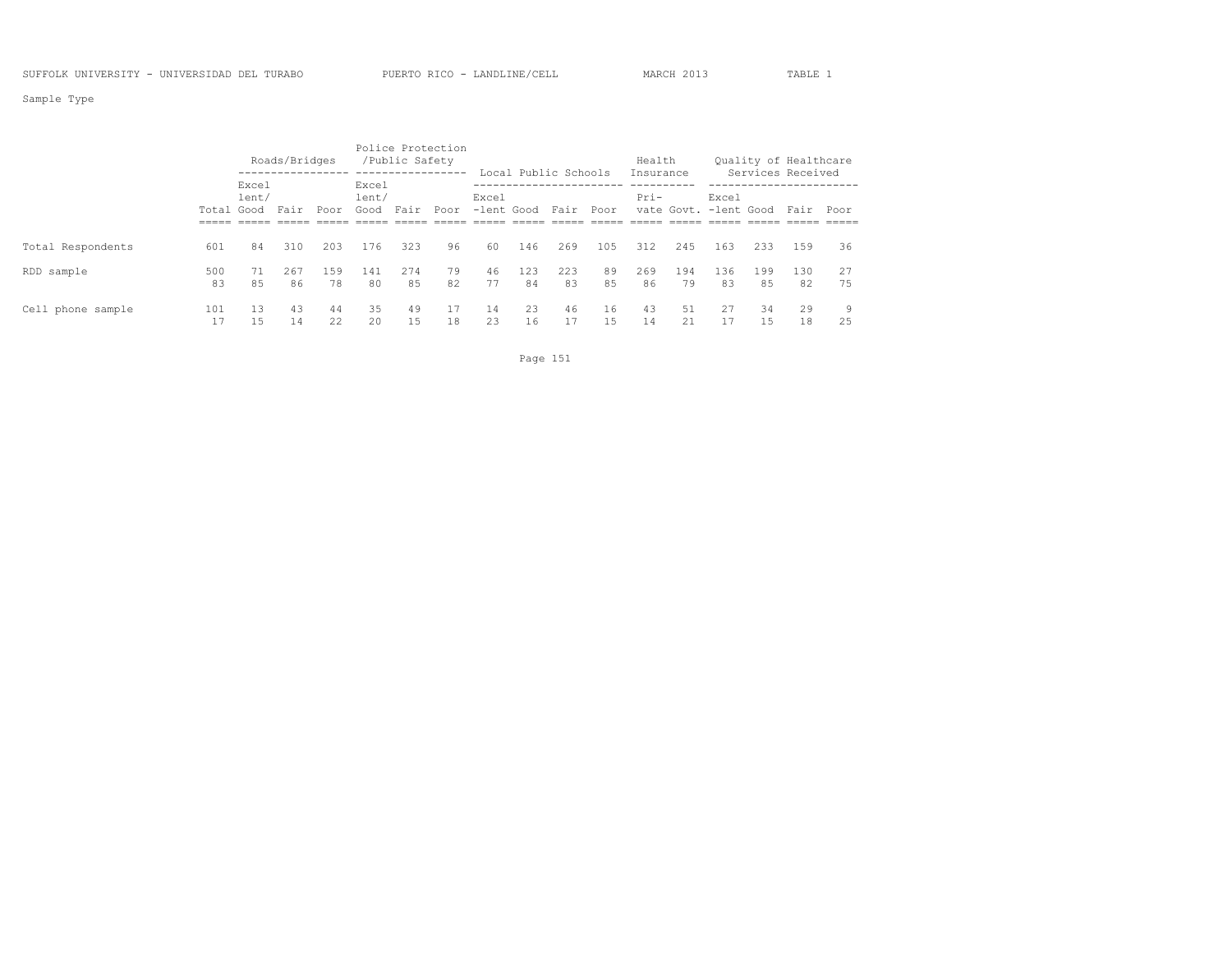Sample Type

|                   |            |                | Roads/Bridges |           |                        | Police Protection<br>/Public Safety |          |                     |           | Local Public Schools |          | Health<br>Insurance |           |                                |           | Ouality of Healthcare<br>Services Received |          |
|-------------------|------------|----------------|---------------|-----------|------------------------|-------------------------------------|----------|---------------------|-----------|----------------------|----------|---------------------|-----------|--------------------------------|-----------|--------------------------------------------|----------|
|                   | Total Good | Excel<br>lent/ | Fair          | Poor      | Excel<br>lent/<br>Good | Fair                                | Poor     | Excel<br>-lent Good |           | Fair                 | Poor     | Pri-                |           | Excel<br>vate Govt. -lent Good |           | Fair                                       | Poor     |
| Total Respondents | 601        | 84             | 310           | 203       | 176                    | 323                                 | 96       | 60                  | 146       | 269                  | 105      | 312                 | 245       | 163                            | 233       | 159                                        | 36       |
| RDD sample        | 500<br>83  | 71<br>85       | 267<br>86     | 159<br>78 | 141<br>80              | 274<br>85                           | 79<br>82 | 46<br>77            | 123<br>84 | 223<br>83            | 89<br>85 | 269<br>86           | 194<br>79 | 136<br>83                      | 199<br>85 | 130<br>82                                  | 27<br>75 |
| Cell phone sample | 101        | 1.3<br>15      | 43<br>14      | 44<br>22  | 35<br>20               | 49<br>15                            | 17<br>18 | 14<br>23            | 23<br>16  | 46                   | 16<br>15 | 43<br>14            | 51<br>21  | 27                             | 34<br>15  | 29<br>18                                   | 9<br>25  |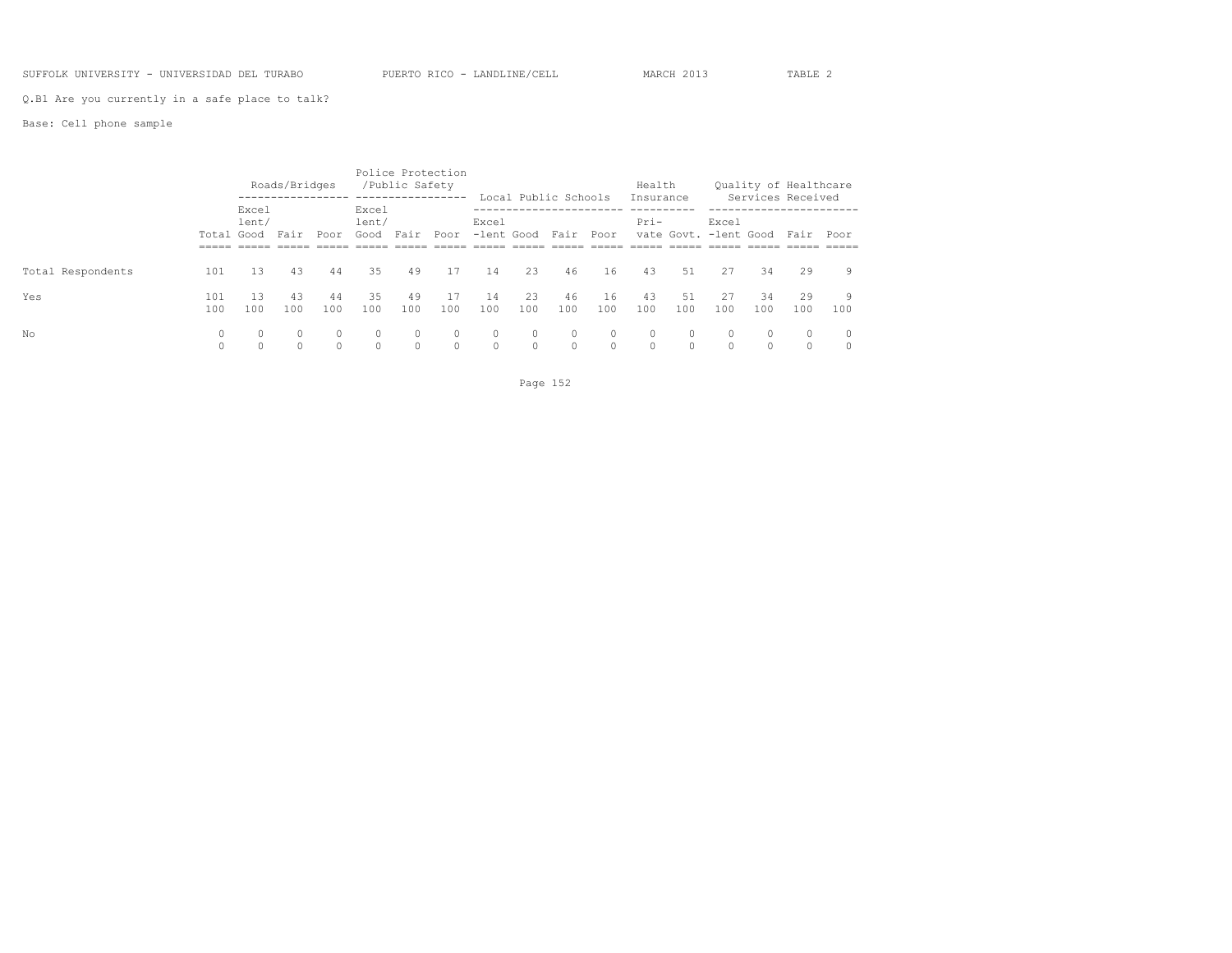## SUFFOLK UNIVERSITY - UNIVERSIDAD DEL TURABO PUERTO RICO - LANDLINE/CELL MARCH 2013 TABLE 2

Q.B1 Are you currently in a safe place to talk?

## Base: Cell phone sample

|                   |            |                | Roads/Bridges       |                    |                        | Police Protection<br>/Public Safety |                    |                               |                    | Local Public Schools |                     | Health<br>Insurance |                     |                                |           | Ouality of Healthcare<br>Services Received |                         |
|-------------------|------------|----------------|---------------------|--------------------|------------------------|-------------------------------------|--------------------|-------------------------------|--------------------|----------------------|---------------------|---------------------|---------------------|--------------------------------|-----------|--------------------------------------------|-------------------------|
|                   | Total Good | Excel<br>lent/ | Fair                | Poor               | Excel<br>lent/<br>Good | Fair                                | Poor               | Excel<br>-lent Good Fair Poor |                    |                      |                     | Pri-                |                     | Excel<br>vate Govt. -lent Good |           | Fair Poor                                  |                         |
| Total Respondents | 101        | 13             | 43                  | 44                 | 35                     | 49                                  | 17                 | 14                            | 23                 | 46                   | 16                  | 43                  | .51                 | 27                             | 34        | 29                                         | 9                       |
| Yes               | 101<br>100 | 13<br>100      | 43<br>100           | 44<br>100          | 35<br>100              | 49<br>100                           | 17<br>100          | 14<br>100                     | 23<br>100          | 46<br>100            | 16<br>100           | 43<br>100           | 51<br>100           | 27<br>100                      | 34<br>100 | 29<br>100                                  | 9<br>100                |
| No                | 0<br>0     | $\Omega$<br>0  | $\Omega$<br>$\circ$ | $\circ$<br>$\circ$ | $\Omega$<br>$\circ$    | $\circ$<br>$\circ$                  | $\circ$<br>$\circ$ | $\circ$<br>$\circ$            | $\circ$<br>$\circ$ | $\Omega$<br>$\circ$  | $\Omega$<br>$\circ$ | $\circ$<br>$\circ$  | $\Omega$<br>$\circ$ | $\Omega$<br>$\Omega$           | $\Omega$  | $\mathbf{0}$<br>0                          | $\circ$<br>$\mathbf{0}$ |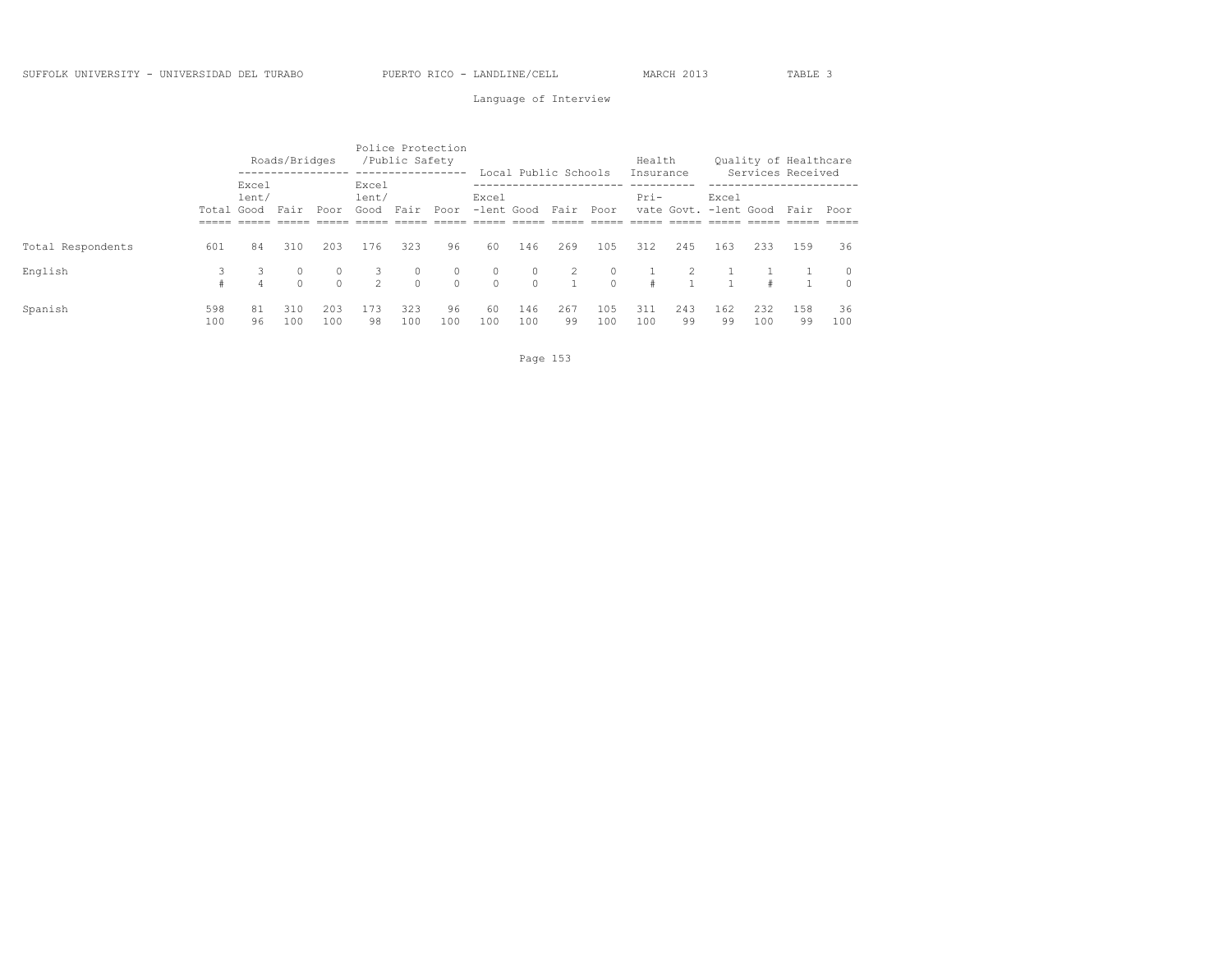## Language of Interview

|                   |            |                | Roads/Bridges |                     |                        | Police Protection<br>/Public Safety<br>----------------- |                     |                    |                     | Local Public Schools |                      | Health<br>Insurance |           |                                |            | Quality of Healthcare<br>Services Received |                     |
|-------------------|------------|----------------|---------------|---------------------|------------------------|----------------------------------------------------------|---------------------|--------------------|---------------------|----------------------|----------------------|---------------------|-----------|--------------------------------|------------|--------------------------------------------|---------------------|
|                   | Total Good | Excel<br>lent/ | Fair          | Poor                | Excel<br>lent/<br>Good | Fair                                                     | Poor                | Excel              |                     | -lent Good Fair Poor |                      | Pri-                |           | Excel<br>vate Govt. -lent Good |            | Fair                                       | Poor                |
| Total Respondents | 601        | 84             | 310           | 203                 | 176                    | 323                                                      | 96                  | 60                 | 146                 | 269                  | 105                  | 312                 | 245       | 163                            | 233        | 159                                        | 36                  |
| English           | 3          | 3<br>4         | $\Omega$      | $\circ$<br>$\Omega$ | 3<br>$2^{\circ}$       | $\circ$<br>$\Omega$                                      | $\circ$<br>$\Omega$ | $\circ$<br>$\circ$ | $\circ$<br>$\Omega$ | 2                    | $\Omega$<br>$\Omega$ | #                   |           |                                | $\pm$      |                                            | $\circ$<br>$\Omega$ |
| Spanish           | 598<br>100 | 81<br>96       | 310<br>100    | 203<br>100          | 173<br>98              | 323<br>100                                               | 96<br>100           | 60<br>100          | 146<br>100          | 267<br>99            | 105<br>100           | 311<br>100          | 243<br>99 | 162<br>99                      | 232<br>100 | 158<br>99                                  | 36<br>100           |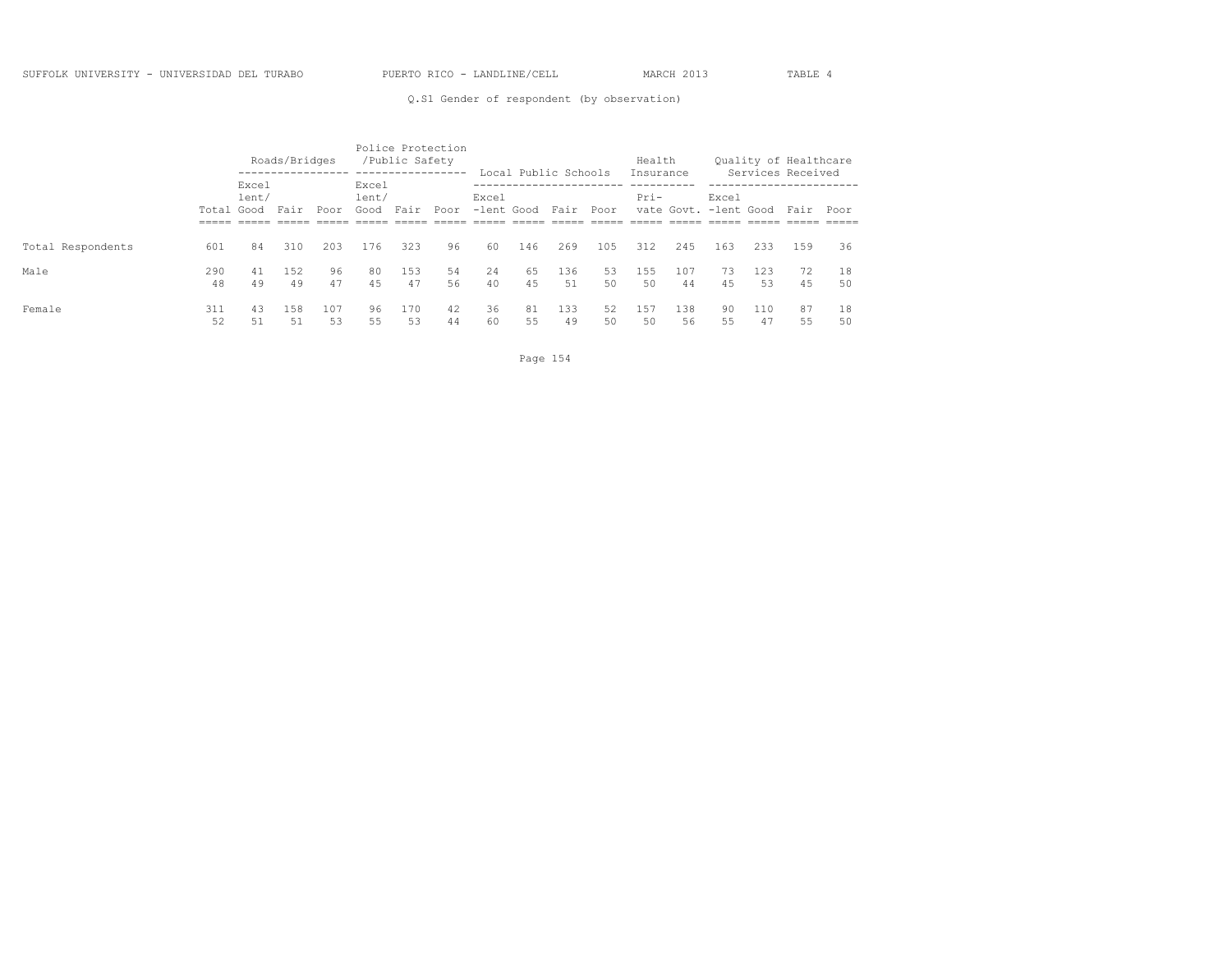Q.S1 Gender of respondent (by observation)

|                   |            |                | Roads/Bridges |           |                        | Police Protection<br>/Public Safety<br>----------------- |          |                          |          | Local Public Schools |          | Health<br>Insurance |           |                                |           | Quality of Healthcare<br>Services Received |          |
|-------------------|------------|----------------|---------------|-----------|------------------------|----------------------------------------------------------|----------|--------------------------|----------|----------------------|----------|---------------------|-----------|--------------------------------|-----------|--------------------------------------------|----------|
|                   | Total Good | Excel<br>lent/ | Fair          | Poor      | Excel<br>lent/<br>Good | Fair                                                     | Poor     | Excel<br>-lent Good Fair |          |                      | Poor     | Pri-                |           | Excel<br>vate Govt. -lent Good |           | Fair                                       | Poor     |
| Total Respondents | 601        | 84             | 310           | 203       | 176                    | 323                                                      | 96       | 60                       | 146      | 269                  | 105      | 312                 | 245       | 163                            | 233       | 159                                        | 36       |
| Male              | 290<br>48  | 41<br>49       | 152<br>49     | 96<br>47  | 80<br>4.5              | 153<br>47                                                | 54<br>56 | 24<br>40                 | 65<br>45 | 136<br>51            | 53<br>50 | 155<br>50           | 107<br>44 | 73<br>45                       | 123<br>53 | 72<br>45                                   | 18<br>50 |
| Female            | 311<br>52  | 43<br>51       | 158<br>51     | 107<br>53 | 96<br>55               | 170<br>53                                                | 42<br>44 | 36<br>60                 | 81<br>55 | 133<br>49            | 52<br>50 | 157<br>50           | 138<br>56 | 90<br>55                       | 110<br>47 | 87<br>55                                   | 18<br>50 |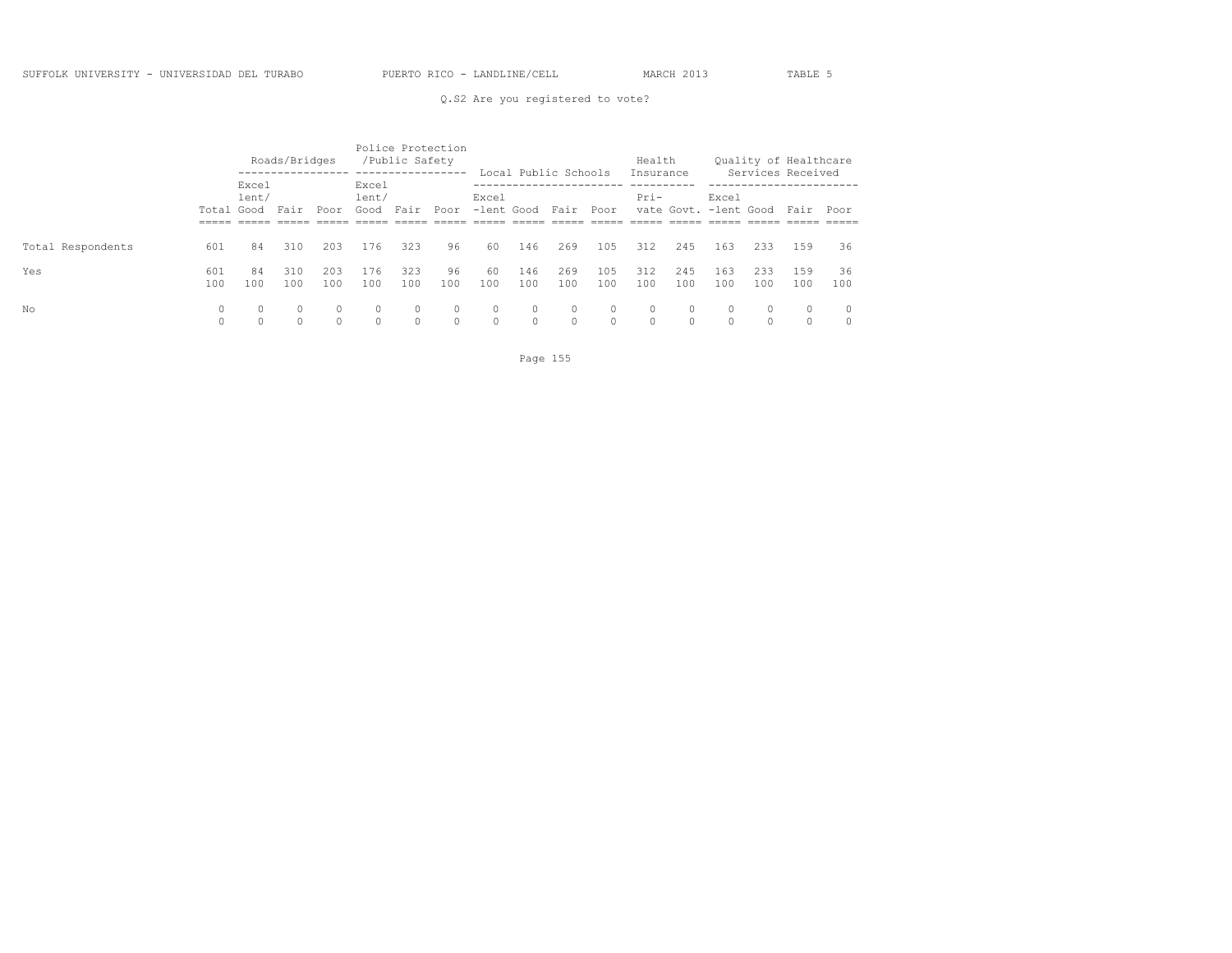|                   |                     |                            | Roads/Bridges |               |                                  | /Public Safety | Police Protection<br>----------- |                     | Local Public Schools |                     |                                             | Health<br>Insurance |                       |                                                 |                     | Ouality of Healthcare<br>Services Received |           |
|-------------------|---------------------|----------------------------|---------------|---------------|----------------------------------|----------------|----------------------------------|---------------------|----------------------|---------------------|---------------------------------------------|---------------------|-----------------------|-------------------------------------------------|---------------------|--------------------------------------------|-----------|
|                   | Total Good<br>_____ | Excel<br>lent/<br>$------$ | Fair          | Poor          | Excel<br>lent/<br>Good<br>------ | Fair<br>______ | Poor<br>------                   | Excel<br>-lent Good | ------ -----         | Fair<br>$- - - - -$ | Poor<br>$\qquad \qquad - \qquad - \qquad -$ | Pri-<br>$------$    | ______                | Excel<br>vate Govt. -lent Good<br>$\frac{1}{2}$ |                     | Fair<br>$- - - - -$                        | Poor      |
| Total Respondents | 601                 | 84                         | 310           | 203           | 176                              | 323            | 96                               | 60                  | 146                  | 269                 | 105                                         | 312                 | 245                   | 163                                             | 233                 | 159                                        | 36        |
| Yes               | 601<br>100          | 84<br>100                  | 310<br>100    | 203<br>100    | 176<br>100                       | 323<br>100     | 96<br>100                        | 60<br>100           | 146<br>100           | 269<br>100          | 105<br>100                                  | 312<br>100          | 245<br>100            | 163<br>100                                      | 233<br>100          | 159<br>100                                 | 36<br>100 |
| No                | 0<br>0              |                            |               | 0<br>$\Omega$ | $\Omega$<br>$\Omega$             | $\Omega$       | $\Omega$                         | $\circ$<br>$\circ$  | $\circ$<br>$\Omega$  | $\circ$<br>$\Omega$ | $\circ$<br>$\Omega$                         | $\Omega$            | $\Omega$<br>$\bigcap$ | $\Omega$                                        | $\circ$<br>$\Omega$ |                                            |           |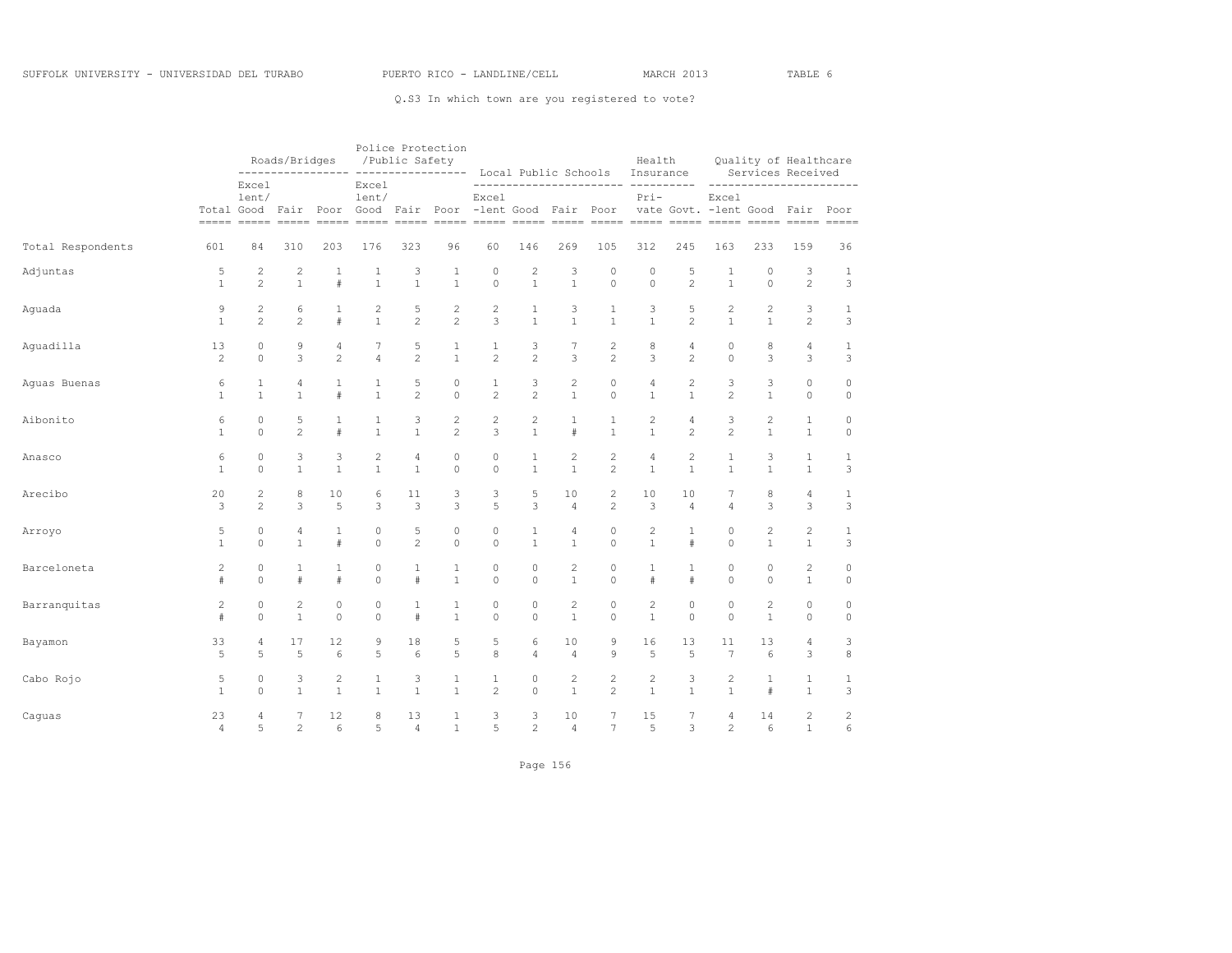|                   |                |                | Roads/Bridges<br>------------ |                | /Public Safety                             |                | Police Protection<br>----- ----------------- Local Public Schools                                            |                                                      |                |                |                | Health<br>Insurance |                |                 |                | Quality of Healthcare<br>Services Received                    |                |
|-------------------|----------------|----------------|-------------------------------|----------------|--------------------------------------------|----------------|--------------------------------------------------------------------------------------------------------------|------------------------------------------------------|----------------|----------------|----------------|---------------------|----------------|-----------------|----------------|---------------------------------------------------------------|----------------|
|                   | Total Good     | Excel<br>lent/ |                               |                | Excel<br>lent/<br>Fair Poor Good Fair Poor |                | <u>soson soson soson soson poson soson annon soson soson poson soson annon soson soson poson soson annon</u> | $\qquad \qquad - -$<br>Excel<br>-lent Good Fair Poor |                |                |                | $Pri-$              |                | Excel           |                | _________________________<br>vate Govt. - lent Good Fair Poor |                |
| Total Respondents | 601            | 84             | 310                           | 203            | 176                                        | 323            | 96                                                                                                           | 60                                                   | 146            | 269            | 105            | 312                 | 245            | 163             | 233            | 159                                                           | 36             |
| Adjuntas          | 5              | 2              | $\overline{c}$                | 1              | 1                                          | 3              | 1                                                                                                            | $\circ$                                              | $\overline{c}$ | 3              | 0              | $\mathbb O$         | 5              | 1               | 0              | 3                                                             | $\mathbf{1}$   |
|                   | $\mathbf{1}$   | $\overline{c}$ | $\mathbf{1}$                  | #              | $\mathbf{1}$                               | $\mathbf{1}$   | $\mathbf{1}$                                                                                                 | $\circ$                                              | $\mathbf{1}$   | $\mathbf{1}$   | $\circ$        | $\circ$             | $\overline{c}$ | $\mathbf{1}$    | $\circ$        | $\overline{c}$                                                | 3              |
| Aguada            | 9              | 2              | 6                             | $\mathbf{1}$   | $\overline{c}$                             | 5              | $\mathbf{2}$                                                                                                 | $\mathbf{2}$                                         | $\mathbf{1}$   | 3              | $\mathbf{1}$   | 3                   | 5              | $\overline{c}$  | $\overline{c}$ | 3                                                             | $\mathbf{1}$   |
|                   | $\mathbf{1}$   | $\overline{c}$ | $\overline{2}$                | #              | $\mathbf{1}$                               | $\overline{c}$ | $\overline{c}$                                                                                               | 3                                                    | $\mathbf{1}$   | $\mathbf{1}$   | $\mathbf{1}$   | $\mathbf{1}$        | $\overline{c}$ | $\mathbf{1}$    | $\mathbf{1}$   | $\overline{c}$                                                | 3              |
| Aquadilla         | 13             | $\circ$        | 9                             | $\overline{4}$ | 7                                          | 5              | 1                                                                                                            | $\mathbf{1}$                                         | 3              | 7              | $\overline{c}$ | 8                   | 4              | $\circ$         | 8              | 4                                                             | $\mathbf{1}$   |
|                   | 2              | $\Omega$       | 3                             | $\overline{c}$ | $\overline{4}$                             | $\overline{c}$ | $\mathbf{1}$                                                                                                 | $\overline{2}$                                       | $\overline{2}$ | 3              | $\overline{c}$ | 3                   | $\overline{c}$ | $\Omega$        | 3              | 3                                                             | 3              |
| Aguas Buenas      | 6              | $\mathbf{1}$   | 4                             | $\mathbf{1}$   | 1                                          | 5              | $\circ$                                                                                                      | 1                                                    | 3              | $\overline{c}$ | $\circ$        | 4                   | $\mathbf{2}$   | 3               | 3              | 0                                                             | $\mathbb O$    |
|                   | $\mathbf{1}$   | $\mathbf{1}$   | $\mathbf{1}$                  | $\#$           | $\mathbf{1}$                               | $\overline{c}$ | $\circ$                                                                                                      | $\overline{c}$                                       | $\overline{c}$ | $\mathbf{1}$   | 0              | $\mathbf{1}$        | $\mathbf{1}$   | $\overline{c}$  | $\mathbf{1}$   | $\circ$                                                       | $\circ$        |
| Aibonito          | 6              | $\circ$        | 5                             | 1              | 1                                          | 3              | $\mathbf{2}$                                                                                                 | $\overline{c}$                                       | 2              | $\mathbf{1}$   | 1              | $\overline{c}$      | 4              | 3               | $\overline{c}$ | $\mathbf{1}$                                                  | $\circ$        |
|                   | $\mathbf{1}$   | $\Omega$       | $\overline{c}$                | #              | $\mathbf{1}$                               | $\mathbf{1}$   | $\overline{c}$                                                                                               | 3                                                    | $\mathbf{1}$   | #              | $\mathbf{1}$   | $\mathbf{1}$        | $\overline{c}$ | $\overline{c}$  | $\mathbf{1}$   | $\mathbf{1}$                                                  | $\circ$        |
| Anasco            | 6              | $\circ$        | 3                             | 3              | $\overline{c}$                             | $\overline{4}$ | $\circ$                                                                                                      | $\circ$                                              | 1              | 2              | $\overline{c}$ | $\overline{4}$      | $\overline{c}$ | $\mathbf{1}$    | 3              | $\mathbf{1}$                                                  | $1\,$          |
|                   | $\mathbf{1}$   | $\Omega$       | $\mathbf{1}$                  | $\mathbf{1}$   | $\mathbf{1}$                               | $\mathbf{1}$   | $\Omega$                                                                                                     | $\Omega$                                             | $\mathbf{1}$   | $\mathbf{1}$   | $\overline{2}$ | $\mathbf{1}$        | $\mathbf{1}$   | $\mathbf{1}$    | $\mathbf{1}$   | $\mathbf{1}$                                                  | 3              |
| Arecibo           | 20             | 2              | 8                             | 10             | 6                                          | 11             | 3                                                                                                            | 3                                                    | 5              | 10             | 2              | 10                  | 10             | 7               | 8              | $\overline{4}$                                                | $\mathbf{1}$   |
|                   | 3              | $\overline{c}$ | 3                             | 5              | 3                                          | 3              | 3                                                                                                            | 5                                                    | 3              | $\overline{4}$ | $\overline{2}$ | 3                   | $\overline{4}$ | $\overline{4}$  | 3              | 3                                                             | 3              |
| Arroyo            | 5              | $\circ$        | 4                             | $\mathbf{1}$   | $\circ$                                    | 5              | $\mathbb O$                                                                                                  | $\mathbf 0$                                          | $\mathbf 1$    | 4              | 0              | $\overline{c}$      | $\mathbf{1}$   | $\circ$         | $\overline{c}$ | $\overline{c}$                                                | $1\,$          |
|                   | $\mathbf{1}$   | $\Omega$       | $\mathbf{1}$                  | #              | $\Omega$                                   | $\overline{c}$ | $\Omega$                                                                                                     | $\Omega$                                             | $\mathbf{1}$   | $\mathbf{1}$   | $\Omega$       | $\mathbf{1}$        | #              | $\Omega$        | $\mathbf{1}$   | $\mathbf{1}$                                                  | 3              |
| Barceloneta       | 2              | $\circ$        | 1                             | $\mathbf{1}$   | $\circ$                                    | $\mathbf 1$    | 1                                                                                                            | $\circ$                                              | $\circ$        | 2              | $\circ$        | $\mathbf{1}$        | 1              | $\circ$         | $\circ$        | $\overline{c}$                                                | $\circ$        |
|                   | #              | $\Omega$       | $\pm$                         | #              | $\Omega$                                   | $\#$           | $\mathbf{1}$                                                                                                 | $\mathbf 0$                                          | $\Omega$       | $\mathbf{1}$   | $\Omega$       | $\#$                | $\#$           | $\Omega$        | $\Omega$       | $\mathbf{1}$                                                  | $\circ$        |
| Barranquitas      | $\mathbf{2}$   | $\circ$        | $\mathbf{2}$                  | $\circ$        | 0                                          | 1              | 1                                                                                                            | $\circ$                                              | $\circ$        | $\mathbf{2}$   | $\circ$        | $\overline{c}$      | $\circ$        | $\circ$         | $\overline{c}$ | 0                                                             | $\circ$        |
|                   | #              | $\Omega$       | $\mathbf{1}$                  | $\circ$        | $\Omega$                                   | #              | $\mathbf{1}$                                                                                                 | $\Omega$                                             | $\Omega$       | $\mathbf{1}$   | $\Omega$       | $\mathbf{1}$        | $\Omega$       | $\Omega$        | $\mathbf{1}$   | 0                                                             | $\circ$        |
| Bayamon           | 33             | $\overline{4}$ | 17                            | 12             | 9                                          | 18             | 5                                                                                                            | 5                                                    | 6              | 10             | 9              | 16                  | 13             | 11              | 13             | $\overline{4}$                                                | 3              |
|                   | 5              | 5              | 5                             | 6              | 5                                          | 6              | 5                                                                                                            | 8                                                    | $\overline{4}$ | $\overline{4}$ | 9              | 5                   | 5              | $7\phantom{.0}$ | 6              | 3                                                             | 8              |
| Cabo Rojo         | 5              | $\circ$        | 3                             | 2              | 1                                          | 3              | 1                                                                                                            | $\mathbf{1}$                                         | $\circ$        | 2              | 2              | 2                   | 3              | $\mathbf{2}$    | 1              | $\mathbf{1}$                                                  | $\mathbf{1}$   |
|                   | $\mathbf{1}$   | $\Omega$       | $\mathbf{1}$                  | $\mathbf{1}$   | $\mathbf{1}$                               | $\mathbf{1}$   | $\mathbf{1}$                                                                                                 | $\mathfrak{D}$                                       | $\Omega$       | $\mathbf{1}$   | $\mathfrak{D}$ | $\mathbf{1}$        | $\mathbf{1}$   | $\mathbf{1}$    | $\ddagger$     | $\mathbf{1}$                                                  | 3              |
| Caguas            | 23             | $\overline{4}$ | 7                             | 12             | 8                                          | 13             | $\mathbf{1}$                                                                                                 | 3                                                    | 3              | 10             | 7              | 15                  | 7              | $\overline{4}$  | 14             | $\overline{c}$                                                | $\overline{c}$ |
|                   | $\overline{4}$ | 5              | $\overline{2}$                | 6              | 5                                          | $\overline{4}$ | $\mathbf{1}$                                                                                                 | 5                                                    | $\overline{c}$ | $\overline{4}$ | 7              | 5                   | 3              | $\overline{c}$  | 6              | $\mathbf{1}$                                                  | 6              |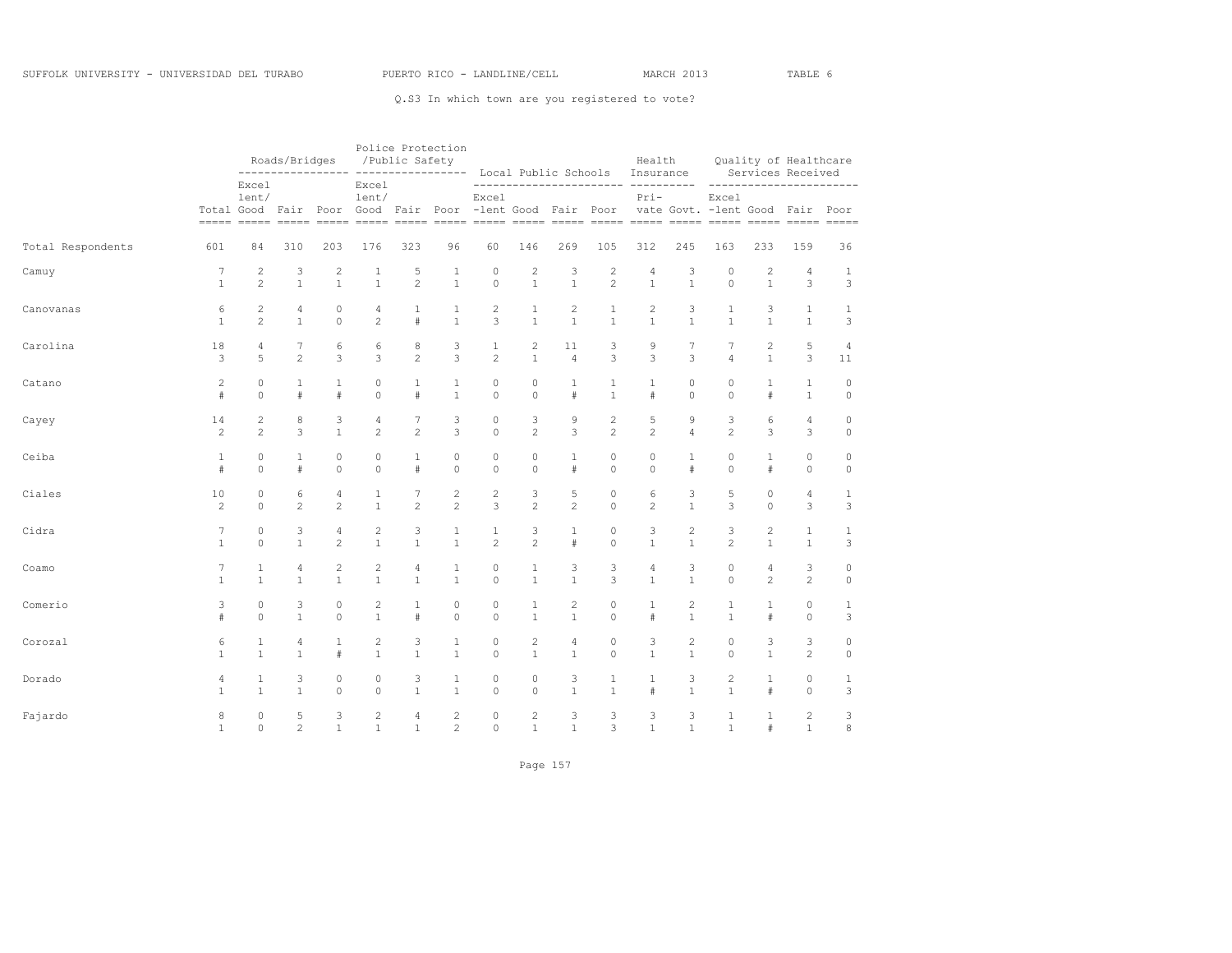|                   |                |                | Roads/Bridges<br>------------<br>----- |                |                                                       | /Public Safety | Police Protection | ----------------- Local Public Schools |                |                |                | Health<br>Insurance |                |                                           |                | Quality of Healthcare<br>Services Received |                |
|-------------------|----------------|----------------|----------------------------------------|----------------|-------------------------------------------------------|----------------|-------------------|----------------------------------------|----------------|----------------|----------------|---------------------|----------------|-------------------------------------------|----------------|--------------------------------------------|----------------|
|                   |                | Excel<br>lent/ |                                        |                | Excel<br>lent/<br>Total Good Fair Poor Good Fair Poor |                |                   | Excel<br>-lent Good Fair Poor          |                |                |                | $Pri-$              |                | Excel<br>vate Govt. - lent Good Fair Poor |                | ------------------------                   |                |
| Total Respondents | 601            | 84             | 310                                    | 203            | 176                                                   | 323            | 96                | 60                                     | 146            | 269            | 105            | 312                 | 245            | 163                                       | 233            | 159                                        | 36             |
| Camuy             | 7              | $\overline{c}$ | 3                                      | $\overline{c}$ | 1                                                     | 5              | 1                 | 0                                      | $\overline{c}$ | 3              | 2              | 4                   | 3              | 0                                         | $\mathbf{2}$   | $\overline{4}$                             | 1              |
|                   | $\mathbf{1}$   | $\mathfrak{D}$ | $\mathbf{1}$                           | $\mathbf{1}$   | $\mathbf{1}$                                          | $\overline{c}$ | $\mathbf{1}$      | $\circ$                                | $\mathbf{1}$   | $\mathbf{1}$   | $\overline{c}$ | $\mathbf{1}$        | $\overline{1}$ | $\Omega$                                  | $\mathbf{1}$   | 3                                          | 3              |
| Canovanas         | 6              | $\mathbf{2}$   | 4                                      | $\circ$        | 4                                                     | $\mathbf{1}$   | $\mathbf{1}$      | $\overline{c}$                         | $\mathbf{1}$   | $\overline{c}$ | $\mathbf{1}$   | $\overline{c}$      | 3              | $\mathbf{1}$                              | 3              | $\mathbf{1}$                               | $\mathbf{1}$   |
|                   | $\mathbf{1}$   | $\overline{c}$ | $\mathbf{1}$                           | $\Omega$       | $\overline{c}$                                        | #              | $\mathbf{1}$      | 3                                      | $\mathbf{1}$   | $\mathbf{1}$   | $\mathbf{1}$   | $\mathbf{1}$        | $\mathbf{1}$   | $\mathbf{1}$                              | $\mathbf{1}$   | $\mathbf{1}$                               | 3              |
| Carolina          | 18             | $\overline{4}$ | 7                                      | 6              | 6                                                     | 8              | 3                 | $\mathbf 1$                            | $\overline{c}$ | 11             | 3              | 9                   | $\overline{7}$ | 7                                         | $\mathbf{2}$   | 5                                          | $\overline{4}$ |
|                   | 3              | 5              | $\overline{c}$                         | 3              | 3                                                     | $\overline{c}$ | 3                 | $\overline{c}$                         | $\mathbf{1}$   | $\overline{4}$ | 3              | 3                   | 3              | $\overline{4}$                            | $\mathbf{1}$   | 3                                          | 11             |
| Catano            | $\overline{2}$ | $\Omega$       | $\mathbf{1}$                           | 1              | $\circ$                                               | 1              | 1                 | $\circ$                                | $\circ$        | $\mathbf{1}$   | 1              | 1                   | $\circ$        | $\circ$                                   | 1              | $\mathbf{1}$                               | $\circ$        |
|                   | $\#$           | $\Omega$       | $\#$                                   | $\#$           | $\Omega$                                              | $\#$           | $\mathbf{1}$      | $\mathbf 0$                            | $\Omega$       | $\#$           | $\mathbf{1}$   | #                   | $\Omega$       | $\Omega$                                  | $\#$           | $\mathbf{1}$                               | $\circ$        |
| Cayey             | 14             | $\overline{c}$ | 8                                      | 3              | 4                                                     | 7              | 3                 | 0                                      | 3              | 9              | $\overline{c}$ | 5                   | 9              | 3                                         | 6              | 4                                          | $\circ$        |
|                   | 2              | $\mathfrak{D}$ | 3                                      | $\mathbf{1}$   | $\overline{c}$                                        | $\mathfrak{D}$ | 3                 | $\Omega$                               | $\overline{2}$ | 3              | $\overline{c}$ | $\overline{c}$      | $\overline{4}$ | $\mathfrak{D}$                            | 3              | 3                                          | $\circ$        |
| Ceiba             | $\mathbf{1}$   | $\Omega$       | 1                                      | $\circ$        | $\circ$                                               | $\mathbf{1}$   | $\circ$           | $\circ$                                | $\circ$        | $\mathbf{1}$   | 0              | 0                   | $\mathbf{1}$   | $\circ$                                   | 1              | $\circ$                                    | $\circ$        |
|                   | $\#$           | $\Omega$       | $\#$                                   | $\circ$        | $\Omega$                                              | #              | $\Omega$          | $\circ$                                | $\Omega$       | $\#$           | $\Omega$       | $\Omega$            | $\#$           | $\Omega$                                  | $\#$           | $\circ$                                    | $\circ$        |
| Ciales            | 10             | $\circ$        | 6                                      | $\overline{4}$ | $\mathbf{1}$                                          | 7              | $\mathbf{2}$      | $\overline{c}$                         | 3              | 5              | 0              | 6                   | 3              | 5                                         | $\circ$        | $\overline{4}$                             | $\mathbf{1}$   |
|                   | 2              | $\circ$        | $\overline{c}$                         | $\overline{c}$ | $\mathbf{1}$                                          | $\overline{c}$ | $\overline{c}$    | 3                                      | $\overline{c}$ | $\overline{c}$ | 0              | $\overline{c}$      | $\mathbf{1}$   | 3                                         | $\mathbf 0$    | 3                                          | 3              |
| Cidra             | 7              | $\Omega$       | 3                                      | 4              | 2                                                     | 3              | $\mathbf{1}$      | 1                                      | 3              | $\mathbf{1}$   | 0              | 3                   | $\overline{c}$ | 3                                         | $\overline{c}$ | $\mathbf{1}$                               | $\mathbf{1}$   |
|                   | $\mathbf{1}$   | $\Omega$       | $\mathbf{1}$                           | $\overline{c}$ | $\mathbf{1}$                                          | $\mathbf{1}$   | $\mathbf{1}$      | $\overline{c}$                         | $\overline{c}$ | $\#$           | $\Omega$       | $\mathbf{1}$        | $\mathbf{1}$   | $\overline{c}$                            | $\mathbf{1}$   | $\mathbf{1}$                               | 3              |
| Coamo             | 7              | $\mathbf{1}$   | 4                                      | 2              | 2                                                     | $\sqrt{4}$     | 1                 | 0                                      | $\mathbf{1}$   | 3              | 3              | $\overline{4}$      | 3              | $\circ$                                   | 4              | 3                                          | $\circ$        |
|                   | $\mathbf{1}$   | $\mathbf{1}$   | $\mathbf{1}$                           | $\mathbf{1}$   | $\mathbf{1}$                                          | $\mathbf{1}$   | $\mathbf{1}$      | $\circ$                                | $\mathbf{1}$   | $\mathbf{1}$   | 3              | $\mathbf{1}$        | $\mathbf{1}$   | $\Omega$                                  | $\overline{2}$ | $\overline{c}$                             | $\circ$        |
| Comerio           | 3              | $\Omega$       | 3                                      | $\circ$        | 2                                                     | $\mathbf{1}$   | $\circ$           | $\circ$                                | $\mathbf{1}$   | 2              | 0              | $\mathbf{1}$        | 2              | $\mathbf{1}$                              | $\mathbf{1}$   | $\circ$                                    | $\mathbf{1}$   |
|                   | $\#$           | $\Omega$       | $\mathbf{1}$                           | $\Omega$       | $\mathbf{1}$                                          | $\#$           | $\mathbf 0$       | $\Omega$                               | $\mathbf{1}$   | $\mathbf{1}$   | $\circ$        | $\#$                | $\mathbf{1}$   | $\mathbf{1}$                              | $\#$           | $\circ$                                    | 3              |
| Corozal           | 6              | $\mathbf{1}$   | 4                                      | $\mathbf{1}$   | 2                                                     | 3              | $\mathbf{1}$      | $\circ$                                | $\overline{c}$ | $\overline{4}$ | 0              | 3                   | $\overline{c}$ | $\circ$                                   | 3              | 3                                          | $\circ$        |
|                   | $\mathbf{1}$   | $\mathbf{1}$   | $\mathbf{1}$                           | #              | $\mathbf{1}$                                          | $\mathbf{1}$   | $\mathbf{1}$      | $\circ$                                | $\mathbf{1}$   | $\mathbf{1}$   | 0              | $\mathbf{1}$        | $\mathbf{1}$   | $\circ$                                   | $\mathbf{1}$   | 2                                          | $\circ$        |
| Dorado            | 4              | $\mathbf{1}$   | 3                                      | $\circ$        | $\circ$                                               | 3              | $\mathbf{1}$      | 0                                      | 0              | 3              | $\mathbf{1}$   | $\mathbf{1}$        | 3              | 2                                         | $\mathbf{1}$   | $\circ$                                    | $\mathbf{1}$   |
|                   | $\mathbf{1}$   | $\mathbf{1}$   | $\mathbf{1}$                           | $\Omega$       | $\Omega$                                              | $\mathbf{1}$   | $\mathbf{1}$      | $\Omega$                               | $\Omega$       | $\mathbf{1}$   | $\mathbf{1}$   | $\#$                | $\mathbf{1}$   | $\mathbf{1}$                              | $\#$           | $\Omega$                                   | 3              |
| Fajardo           | 8              | $\circ$        | 5                                      | 3              | 2                                                     | $\overline{4}$ | $\mathbf{2}$      | $\circ$                                | $\overline{c}$ | 3              | 3              | 3                   | 3              | $\mathbf{1}$                              | $\mathbf{1}$   | $\mathbf{2}$                               | 3              |
|                   | $\mathbf{1}$   | $\circ$        | $\overline{c}$                         | $\mathbf{1}$   | $\mathbf{1}$                                          | $\mathbf{1}$   | $\overline{c}$    | $\circ$                                | $\mathbf{1}$   | $\mathbf{1}$   | 3              | $\mathbf{1}$        | $\mathbf{1}$   | $\mathbf{1}$                              | $\#$           | $\mathbf{1}$                               | 8              |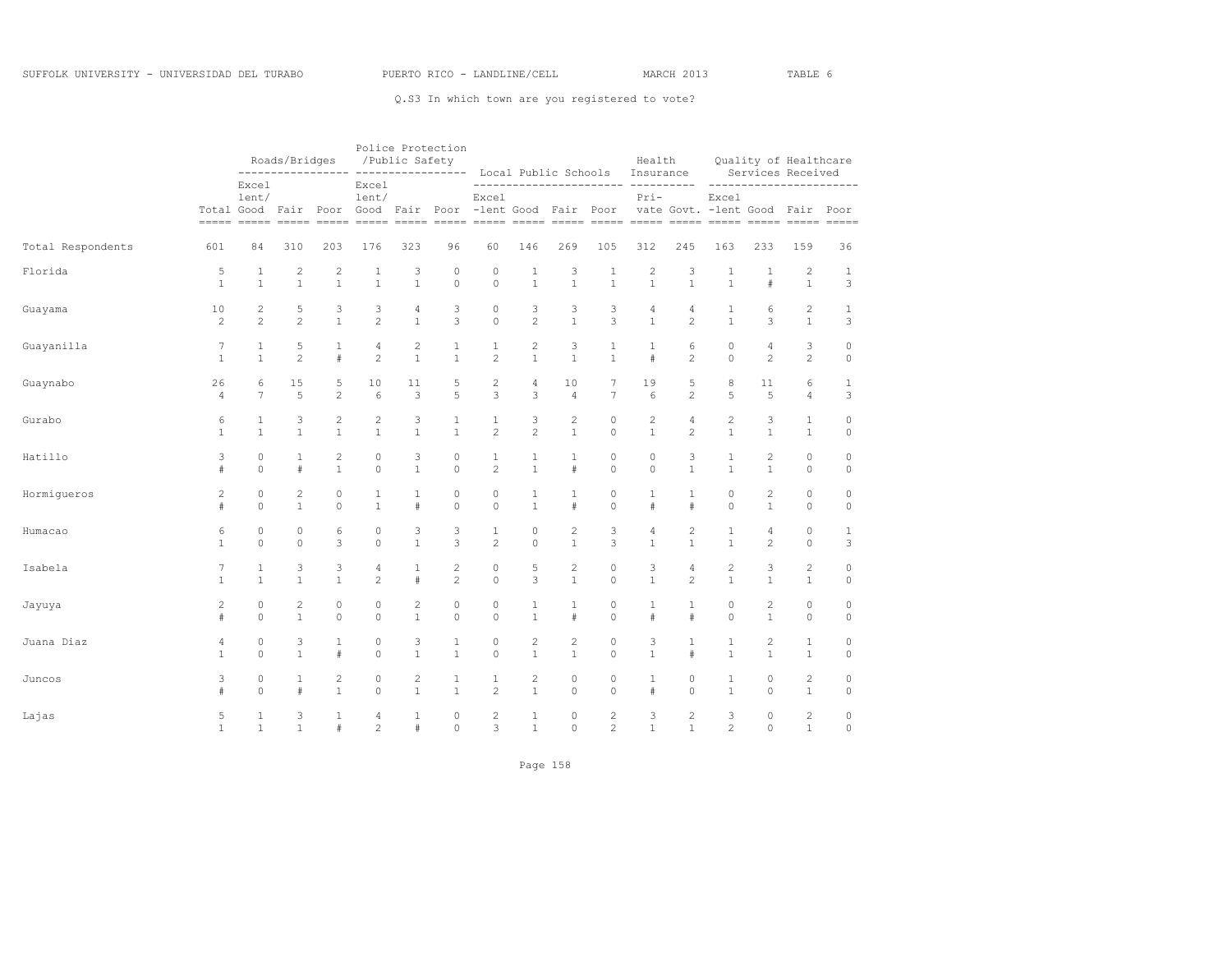|                   |                |                | Roads/Bridges<br>------------ |                |                | /Public Safety | Police Protection<br>_________________ |                    |                | Local Public Schools |                | Health<br>Insurance                                                                                                                                   |                |                                           |                | Quality of Healthcare<br>Services Received |              |
|-------------------|----------------|----------------|-------------------------------|----------------|----------------|----------------|----------------------------------------|--------------------|----------------|----------------------|----------------|-------------------------------------------------------------------------------------------------------------------------------------------------------|----------------|-------------------------------------------|----------------|--------------------------------------------|--------------|
|                   |                | Excel<br>lent/ |                               |                | Excel<br>lent/ |                | Total Good Fair Poor Good Fair Poor    | $- - - -$<br>Excel |                | -lent Good Fair Poor |                | ------------------- ---------<br>Pri-<br><u>soone ooden ooden ooden ooden ooden ooden ooden ooden ooden ooden ooden ooden ooden ooden ooden ooden</u> |                | Excel<br>vate Govt. - lent Good Fair Poor |                | _________________________                  |              |
| Total Respondents | 601            | 84             | 310                           | 203            | 176            | 323            | 96                                     | 60                 | 146            | 269                  | 105            | 312                                                                                                                                                   | 245            | 163                                       | 233            | 159                                        | 36           |
| Florida           | 5              | 1              | $\sqrt{2}$                    | $\mathbf{2}$   | 1              | 3              | 0                                      | $\circ$            | 1              | 3                    | 1              | $\overline{c}$                                                                                                                                        | 3              | 1                                         | 1              | 2                                          | 1            |
|                   | $\mathbf{1}$   | $\mathbf{1}$   | $\mathbf{1}$                  | $\mathbf{1}$   | $\mathbf{1}$   | $\mathbf{1}$   | $\mathbf 0$                            | $\circ$            | $\mathbf{1}$   | $\mathbf{1}$         | $\mathbf{1}$   | $\mathbf{1}$                                                                                                                                          | $\mathbf{1}$   | $\mathbf{1}$                              | $\#$           | $\mathbf{1}$                               | 3            |
| Guayama           | 10             | $\overline{c}$ | 5                             | 3              | 3              | 4              | 3                                      | $\circ$            | 3              | 3                    | 3              | $\sqrt{4}$                                                                                                                                            | 4              | 1                                         | 6              | $\overline{c}$                             | $1\,$        |
|                   | 2              | $\mathfrak{D}$ | $\overline{c}$                | $\mathbf{1}$   | $\overline{c}$ | $\mathbf{1}$   | 3                                      | $\circ$            | $\overline{c}$ | $\mathbf{1}$         | 3              | $\mathbf{1}$                                                                                                                                          | $\mathfrak{D}$ | $\mathbf{1}$                              | 3              | $\mathbf{1}$                               | 3            |
| Guayanilla        | 7              | $\mathbf{1}$   | 5                             | $\mathbf{1}$   | 4              | 2              | $\mathbf{1}$                           | $\mathbf{1}$       | $\mathbf{2}$   | 3                    | 1              | 1                                                                                                                                                     | 6              | $\circ$                                   | 4              | 3                                          | $\circ$      |
|                   | $\mathbf{1}$   | $\mathbf{1}$   | $\overline{c}$                | #              | 2              | $\mathbf{1}$   | $\mathbf{1}$                           | $\overline{c}$     | $\mathbf{1}$   | $\mathbf{1}$         | $\mathbf{1}$   | $\#$                                                                                                                                                  | $\mathfrak{D}$ | $\Omega$                                  | $\mathfrak{D}$ | $\overline{c}$                             | $\circ$      |
| Guaynabo          | 26             | 6              | 15                            | 5              | 10             | 11             | 5                                      | $\sqrt{2}$         | 4              | 10                   | 7              | 19                                                                                                                                                    | 5              | 8                                         | 11             | 6                                          | $\mathbf{1}$ |
|                   | $\overline{4}$ | 7              | 5                             | $\overline{c}$ | 6              | 3              | 5                                      | 3                  | 3              | $\overline{4}$       | $\overline{7}$ | 6                                                                                                                                                     | $\overline{c}$ | 5                                         | 5              | $\overline{4}$                             | 3            |
| Gurabo            | 6              | 1              | 3                             | $\overline{c}$ | $\overline{c}$ | 3              | $\mathbf{1}$                           | $\mathbf{1}$       | 3              | 2                    | $\circ$        | $\mathbf{2}$                                                                                                                                          | 4              | 2                                         | 3              | 1                                          | $\circ$      |
|                   | $\mathbf{1}$   | $\mathbf{1}$   | $\mathbf{1}$                  | $\mathbf{1}$   | $\mathbf{1}$   | $\mathbf{1}$   | $\mathbf{1}$                           | $\overline{c}$     | $\overline{c}$ | $\mathbf{1}$         | $\circ$        | $\mathbf{1}$                                                                                                                                          | $\overline{c}$ | $\mathbf{1}$                              | $\mathbf{1}$   | $\mathbf{1}$                               | $\circ$      |
| Hatillo           | 3              | 0              | $\mathbf{1}$                  | $\overline{c}$ | $\circ$        | 3              | $\mathbb O$                            | $\mathbf{1}$       | 1              | $\mathbf{1}$         | $\mathbb O$    | $\mathbb O$                                                                                                                                           | 3              | 1                                         | $\overline{c}$ | $\mathbb O$                                | $\mathbb O$  |
|                   | #              | $\Omega$       | #                             | $\mathbf{1}$   | $\Omega$       | $\mathbf{1}$   | $\Omega$                               | $\overline{c}$     | $\mathbf{1}$   | #                    | $\Omega$       | $\Omega$                                                                                                                                              | $\mathbf{1}$   | $\mathbf{1}$                              | $\mathbf{1}$   | $\Omega$                                   | $\circ$      |
| Hormiqueros       | $\mathbf{2}$   | 0              | $\mathbf{2}$                  | 0              | $\mathbf{1}$   | $\mathbf{1}$   | $\circ$                                | $\circ$            | $\mathbf{1}$   | $\mathbf{1}$         | $\circ$        | $\mathbf{1}$                                                                                                                                          | $\mathbf{1}$   | $\circ$                                   | $\mathbf{2}$   | $\circ$                                    | $\circ$      |
|                   | #              | $\Omega$       | $\mathbf{1}$                  | $\circ$        | $\mathbf{1}$   | #              | $\mathbf 0$                            | $\circ$            | $\mathbf{1}$   | $\#$                 | $\mathbf{0}$   | $\#$                                                                                                                                                  | #              | $\Omega$                                  | $\mathbf{1}$   | $\mathbf 0$                                | $\mathbf 0$  |
| Humacao           | 6              | 0              | 0                             | 6              | $\circ$        | 3              | 3                                      | $\mathbf{1}$       | $\mathbb O$    | 2                    | 3              | 4                                                                                                                                                     | $\overline{c}$ | 1                                         | 4              | $\mathbb O$                                | $1\,$        |
|                   | 1              | $\Omega$       | $\Omega$                      | 3              | $\Omega$       | $\mathbf{1}$   | 3                                      | $\overline{c}$     | $\Omega$       | $\mathbf{1}$         | 3              | $\mathbf{1}$                                                                                                                                          | $\mathbf{1}$   | $\mathbf{1}$                              | 2              | $\Omega$                                   | 3            |
| Isabela           | 7              | $\mathbf{1}$   | 3                             | 3              | $\overline{4}$ | $\mathbf{1}$   | 2                                      | $\circ$            | 5              | 2                    | $\circ$        | 3                                                                                                                                                     | $\overline{4}$ | 2                                         | 3              | 2                                          | $\circ$      |
|                   | $\mathbf{1}$   | $\mathbf{1}$   | $\mathbf{1}$                  | $\mathbf{1}$   | $\overline{c}$ | $\#$           | $\overline{c}$                         | $\circ$            | 3              | $\mathbf{1}$         | $\circ$        | $\mathbf{1}$                                                                                                                                          | $\overline{c}$ | $\mathbf{1}$                              | $\mathbf{1}$   | $\mathbf{1}$                               | $\mathbb O$  |
| Jayuya            | $\overline{c}$ | 0              | $\overline{c}$                | 0              | $\circ$        | $\overline{c}$ | $\mathbb O$                            | $\circ$            | $\mathbf{1}$   | 1                    | $\circ$        | 1                                                                                                                                                     | 1              | $\circ$                                   | $\overline{c}$ | $\circ$                                    | $\circ$      |
|                   | #              | $\Omega$       | $\mathbf{1}$                  | $\Omega$       | $\Omega$       | $\mathbf{1}$   | $\circ$                                | $\Omega$           | $\mathbf{1}$   | $\#$                 | $\circ$        | $\#$                                                                                                                                                  | #              | $\Omega$                                  | $\mathbf{1}$   | $\circ$                                    | $\circ$      |
| Juana Diaz        | 4              | 0              | 3                             | $\mathbf{1}$   | $\circ$        | 3              | $\mathbf{1}$                           | $\circ$            | $\overline{c}$ | 2                    | $\circ$        | 3                                                                                                                                                     | 1              | $\mathbf{1}$                              | $\mathbf{2}$   | $\mathbf{1}$                               | $\circ$      |
|                   | $\mathbf{1}$   | 0              | $\mathbf{1}$                  | #              | $\mathbf 0$    | $\mathbf{1}$   | $\mathbf{1}$                           | $\circ$            | $\mathbf{1}$   | $\mathbf{1}$         | $\circ$        | $\mathbf{1}$                                                                                                                                          | $\#$           | $\mathbf{1}$                              | $\mathbf{1}$   | $\mathbf{1}$                               | $\circ$      |
| Juncos            | 3              | 0              | $\mathbf{1}$                  | 2              | $\circ$        | 2              | $\mathbf{1}$                           | $\mathbf{1}$       | $\mathbf{2}$   | $\circ$              | $\circ$        | $\mathbf{1}$                                                                                                                                          | $\circ$        | 1                                         | $\circ$        | $\overline{c}$                             | $\circ$      |
|                   | $\pm$          | $\Omega$       | $\#$                          | $\mathbf{1}$   | $\Omega$       | $\mathbf{1}$   | $\mathbf{1}$                           | $\mathfrak{D}$     | $\mathbf{1}$   | $\Omega$             | $\Omega$       | $\ddagger$                                                                                                                                            | $\Omega$       | $\mathbf{1}$                              | $\Omega$       | $\mathbf{1}$                               | $\mathbf 0$  |
| Lajas             | 5              | $\mathbf{1}$   | 3                             | $\mathbf{1}$   | $\overline{4}$ | $\mathbf{1}$   | $\mathbb O$                            | $\mathbf{2}$       | $\mathbf{1}$   | $\circ$              | $\sqrt{2}$     | 3                                                                                                                                                     | 2              | 3                                         | $\circ$        | $\overline{c}$                             | $\circ$      |
|                   | $\mathbf{1}$   | $\mathbf{1}$   | $\mathbf{1}$                  | #              | $\overline{c}$ | #              | $\circ$                                | 3                  | $\mathbf{1}$   | $\circ$              | $\overline{c}$ | $\mathbf{1}$                                                                                                                                          | $\mathbf{1}$   | $\overline{c}$                            | $\circ$        | $\mathbf{1}$                               | $\circ$      |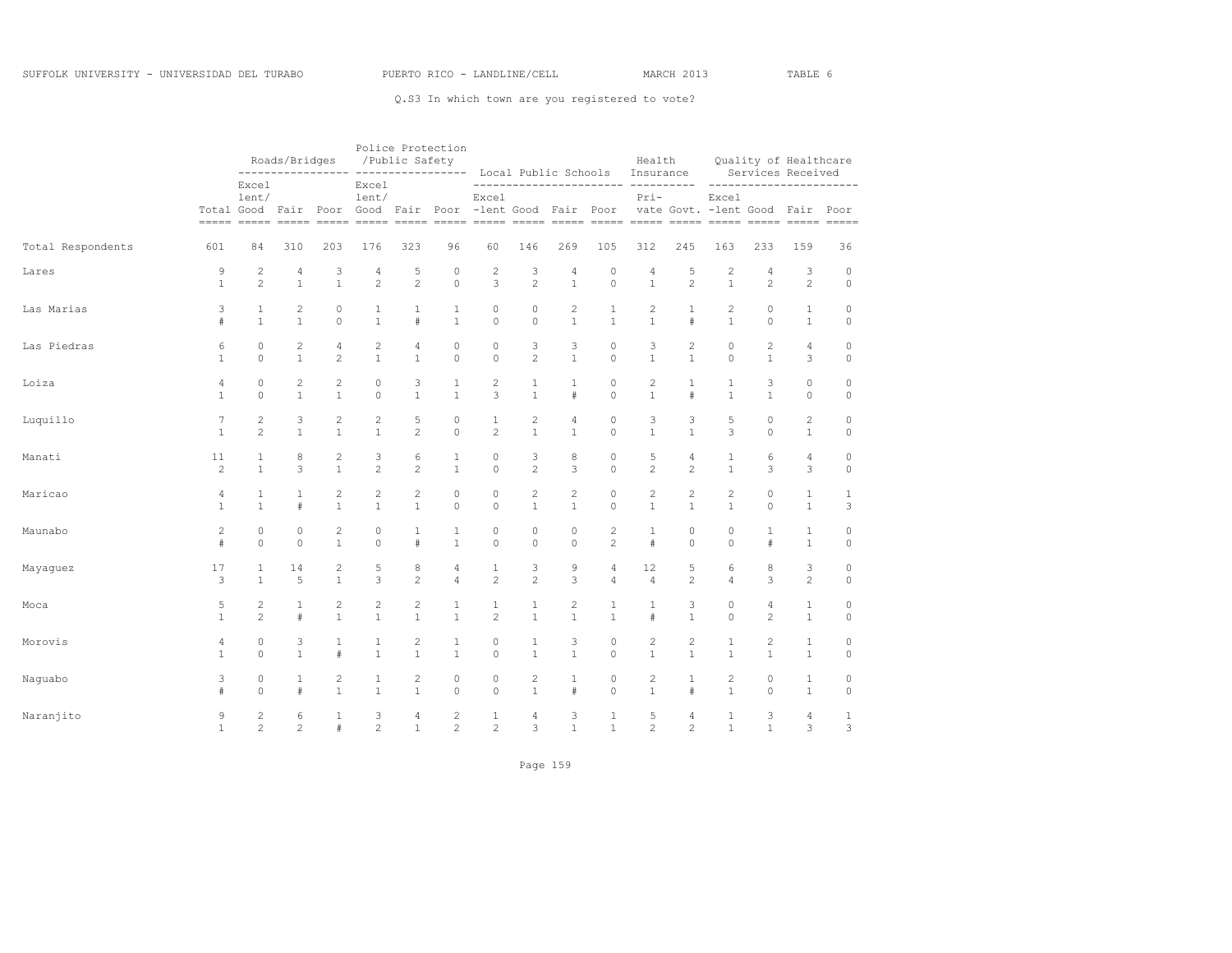|                   |                |                | Roads/Bridges<br>----------------- |                |                                                       | /Public Safety | Police Protection | ---------------- Local Public Schools Insurance |                |                |                | Health         |                |                                           |                | Quality of Healthcare<br>Services Received |              |
|-------------------|----------------|----------------|------------------------------------|----------------|-------------------------------------------------------|----------------|-------------------|-------------------------------------------------|----------------|----------------|----------------|----------------|----------------|-------------------------------------------|----------------|--------------------------------------------|--------------|
|                   |                | Excel<br>lent/ |                                    |                | Excel<br>lent/<br>Total Good Fair Poor Good Fair Poor |                |                   | Excel<br>-lent Good Fair Poor                   |                |                |                | $Pri-$         |                | Excel<br>vate Govt. - lent Good Fair Poor |                | -----------------------                    |              |
| Total Respondents | 601            | 84             | 310                                | 203            | 176                                                   | 323            | 96                | 60                                              | 146            | 269            | 105            | 312            | 245            | 163                                       | 233            | 159                                        | 36           |
| Lares             | 9              | 2              | 4                                  | 3              | 4                                                     | 5              | $\circ$           | $\overline{c}$                                  | 3              | 4              | $\circ$        | 4              | 5              | $\overline{c}$                            | 4              | 3                                          | $\circ$      |
|                   | $\mathbf{1}$   | $\overline{c}$ | $\mathbf{1}$                       | $\mathbf{1}$   | $\overline{c}$                                        | $\overline{c}$ | $\circ$           | 3                                               | $\overline{c}$ | $\mathbf{1}$   | $\circ$        | $\mathbf{1}$   | $\overline{c}$ | $\mathbf{1}$                              | $\overline{c}$ | $\overline{c}$                             | $\circ$      |
| Las Marias        | 3              | $\mathbf{1}$   | 2                                  | 0              | 1                                                     | 1              | $\mathbf{1}$      | $\circ$                                         | 0              | $\mathbf{2}$   | $\mathbf{1}$   | $\overline{c}$ | $\mathbf{1}$   | $\overline{c}$                            | $\circ$        | $\mathbf{1}$                               | $\mathbb O$  |
|                   | $\#$           | $\mathbf{1}$   | $\mathbf{1}$                       | $\Omega$       | $\mathbf{1}$                                          | #              | $\mathbf{1}$      | $\Omega$                                        | $\Omega$       | $\mathbf{1}$   | $\mathbf{1}$   | $\mathbf{1}$   | $\#$           | $\mathbf{1}$                              | $\Omega$       | $\mathbf{1}$                               | $\circ$      |
| Las Piedras       | 6              | $\Omega$       | 2                                  | $\overline{4}$ | $\overline{c}$                                        | $\overline{4}$ | $\circ$           | $\circ$                                         | 3              | 3              | $\circ$        | 3              | $\mathbf{2}$   | $\Omega$                                  | $\mathbf{2}$   | $\overline{4}$                             | $\circ$      |
|                   | $\mathbf{1}$   | $\Omega$       | $\mathbf{1}$                       | $\overline{c}$ | $\mathbf{1}$                                          | $\mathbf{1}$   | $\Omega$          | $\circ$                                         | $\overline{c}$ | $\mathbf{1}$   | $\Omega$       | $\mathbf{1}$   | $\mathbf{1}$   | $\Omega$                                  | $\mathbf{1}$   | 3                                          | $\circ$      |
| Loiza             | 4              | $\circ$        | $\overline{c}$                     | $\overline{c}$ | 0                                                     | 3              | 1                 | $\overline{c}$                                  | 1              | 1              | $\mathbb O$    | $\mathbf{2}$   | 1              | 1                                         | 3              | 0                                          | $\circ$      |
|                   | $\mathbf{1}$   | $\Omega$       | $\mathbf{1}$                       | $\mathbf{1}$   | $\Omega$                                              | $\mathbf{1}$   | $\mathbf{1}$      | 3                                               | $\mathbf{1}$   | $\#$           | $\Omega$       | $\mathbf{1}$   | $\#$           | $\mathbf{1}$                              | $\mathbf{1}$   | $\circ$                                    | $\circ$      |
| Luquillo          | 7              | $\overline{2}$ | 3                                  | 2              | 2                                                     | 5              | $\circ$           | $\mathbf{1}$                                    | $\overline{c}$ | $\overline{4}$ | $\circ$        | 3              | 3              | 5                                         | $\circ$        | $\overline{c}$                             | $\circ$      |
|                   | $\mathbf{1}$   | $\overline{c}$ | $\mathbf{1}$                       | $\mathbf{1}$   | $\mathbf{1}$                                          | $\overline{2}$ | $\circ$           | $\overline{c}$                                  | $\mathbf{1}$   | $\mathbf{1}$   | $\circ$        | $\mathbf{1}$   | $\mathbf{1}$   | 3                                         | $\circ$        | $\mathbf{1}$                               | $\mathbb O$  |
| Manati            | 11             | $\mathbf{1}$   | 8                                  | 2              | 3                                                     | 6              | 1                 | $\circ$                                         | 3              | 8              | $\mathbb O$    | 5              | 4              | $\mathbf{1}$                              | 6              | 4                                          | $\circ$      |
|                   | 2              | $\mathbf{1}$   | 3                                  | $\mathbf{1}$   | $\overline{c}$                                        | $\overline{c}$ | $\mathbf{1}$      | $\circ$                                         | $\overline{c}$ | 3              | $\Omega$       | $\overline{c}$ | $\overline{c}$ | $\mathbf{1}$                              | 3              | 3                                          | $\circ$      |
| Maricao           | $\overline{4}$ | $\mathbf{1}$   | $\mathbf{1}$                       | $\mathbf{2}$   | $\overline{c}$                                        | $\overline{c}$ | $\circ$           | $\circ$                                         | $\overline{c}$ | $\overline{c}$ | $\circ$        | $\overline{c}$ | $\overline{c}$ | $\overline{c}$                            | $\circ$        | $\mathbf{1}$                               | $\mathbf{1}$ |
|                   | $\mathbf{1}$   | $\mathbf{1}$   | #                                  | $\mathbf{1}$   | $\mathbf{1}$                                          | $\mathbf{1}$   | $\circ$           | $\circ$                                         | $\mathbf{1}$   | $\mathbf{1}$   | $\circ$        | $\mathbf{1}$   | $\mathbf{1}$   | $\mathbf{1}$                              | $\circ$        | $\mathbf{1}$                               | 3            |
| Maunabo           | $\overline{c}$ | $\circ$        | 0                                  | 2              | 0                                                     | 1              | $\mathbf{1}$      | $\circ$                                         | $\circ$        | $\circ$        | $\overline{c}$ | $\mathbf{1}$   | $\circ$        | 0                                         | 1              | $\mathbf{1}$                               | $\circ$      |
|                   | $\#$           | $\Omega$       | $\Omega$                           | $\mathbf{1}$   | $\Omega$                                              | $\#$           | $\mathbf{1}$      | $\circ$                                         | $\Omega$       | $\Omega$       | $\overline{c}$ | #              | $\Omega$       | $\Omega$                                  | $\#$           | $\mathbf{1}$                               | $\circ$      |
| Mayaguez          | 17             | $\mathbf{1}$   | 14                                 | 2              | 5                                                     | 8              | 4                 | $1\,$                                           | 3              | 9              | 4              | 12             | 5              | 6                                         | 8              | 3                                          | $\mathbb O$  |
|                   | 3              | $\mathbf{1}$   | 5                                  | $\mathbf{1}$   | 3                                                     | $\overline{c}$ | $\overline{4}$    | $\overline{c}$                                  | $\overline{c}$ | $\overline{3}$ | $\overline{4}$ | $\overline{4}$ | $\overline{c}$ | $\overline{4}$                            | 3              | $\overline{c}$                             | $\circ$      |
| Moca              | 5              | 2              | 1                                  | 2              | 2                                                     | 2              | 1                 | 1                                               | 1              | $\mathbf{2}$   | 1              | 1              | 3              | 0                                         | 4              | $\mathbf{1}$                               | $\circ$      |
|                   | $\mathbf{1}$   | $\mathfrak{D}$ | #                                  | $\mathbf{1}$   | $\mathbf{1}$                                          | $\mathbf{1}$   | $\mathbf{1}$      | $\overline{c}$                                  | $\mathbf{1}$   | $\mathbf{1}$   | $\mathbf{1}$   | #              | $\mathbf{1}$   | $\Omega$                                  | $\overline{c}$ | $\mathbf{1}$                               | $\circ$      |
| Morovis           | $\overline{4}$ | $\circ$        | 3                                  | $\mathbf{1}$   | $\mathbf{1}$                                          | $\mathbf{2}$   | $\mathbf{1}$      | $\circ$                                         | $\mathbf{1}$   | 3              | $\circ$        | $\overline{c}$ | $\overline{c}$ | $\mathbf{1}$                              | $\overline{c}$ | $\mathbf{1}$                               | $\mathbb O$  |
|                   | $\mathbf{1}$   | $\circ$        | $\mathbf{1}$                       | #              | $\mathbf{1}$                                          | $\mathbf{1}$   | $\mathbf{1}$      | $\circ$                                         | $\mathbf{1}$   | $\mathbf{1}$   | $\circ$        | $\mathbf{1}$   | $\mathbf{1}$   | $\mathbf{1}$                              | $\mathbf{1}$   | $\mathbf{1}$                               | $\circ$      |
| Naquabo           | 3              | 0              | 1                                  | $\overline{c}$ | 1                                                     | 2              | $\circ$           | $\circ$                                         | $\mathbf{2}$   | 1              | $\circ$        | $\mathbf{2}$   | 1              | $\overline{c}$                            | $\circ$        | $\mathbf{1}$                               | $\circ$      |
|                   | $\ddagger$     | $\Omega$       | $\pm$                              | $\mathbf{1}$   | $\mathbf{1}$                                          | $\mathbf{1}$   | $\Omega$          | $\circ$                                         | $\mathbf{1}$   | $\#$           | $\Omega$       | $\mathbf{1}$   | $\#$           | $\mathbf{1}$                              | $\circ$        | $\mathbf{1}$                               | $\mathbf 0$  |
| Naranjito         | 9              | $\overline{c}$ | 6                                  | 1              | 3                                                     | $\overline{4}$ | $\sqrt{2}$        | $1\,$                                           | 4              | 3              | $\mathbf{1}$   | 5              | 4              | $\mathbf{1}$                              | 3              | 4                                          | 1            |
|                   | $\mathbf{1}$   | $\mathfrak{D}$ | $\overline{2}$                     | #              | $\mathfrak{D}$                                        | $\mathbf{1}$   | 2                 | $\overline{c}$                                  | 3              | $\mathbf{1}$   | $\mathbf{1}$   | $\overline{c}$ | $\mathfrak{D}$ | $\mathbf{1}$                              | $\mathbf{1}$   | 3                                          | 3            |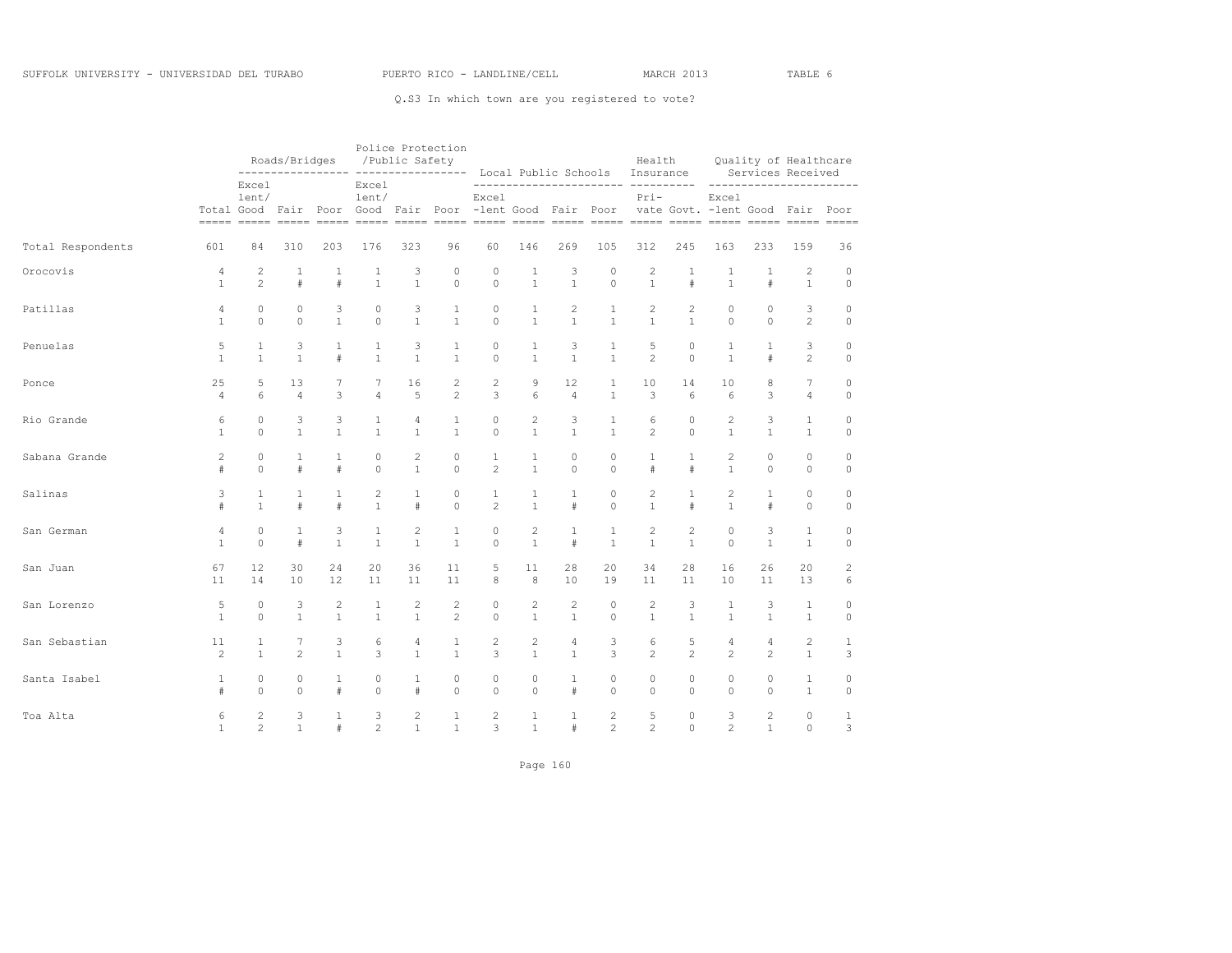|                   |                |                | Roads/Bridges  |                | /Public Safety                                                  |                           | Police Protection |                |                |                |                | Health<br>---------------- ---------------- Local Public Schools Insurance |                |                                           |                | Quality of Healthcare<br>Services Received |              |
|-------------------|----------------|----------------|----------------|----------------|-----------------------------------------------------------------|---------------------------|-------------------|----------------|----------------|----------------|----------------|----------------------------------------------------------------------------|----------------|-------------------------------------------|----------------|--------------------------------------------|--------------|
|                   | Total Good     | Excel<br>lent/ |                |                | Excel<br>lent/<br>Fair Poor Good Fair Poor -lent Good Fair Poor |                           |                   | Excel          |                |                |                | $Pri-$                                                                     |                | Excel<br>vate Govt. - lent Good Fair Poor |                | _________________________                  |              |
| Total Respondents | 601            | 84             | 310            | 203            | 176                                                             | 323                       | 96                | 60             | 146            | 269            | 105            | 312                                                                        | 245            | 163                                       | 233            | 159                                        | 36           |
| Orocovis          | 4              | $\mathbf{2}$   | 1              | 1              | 1                                                               | 3                         | $\mathbb O$       | $\circ$        | 1              | 3              | $\circ$        | $\overline{\mathbf{c}}$                                                    | 1              | 1                                         | 1              | 2                                          | 0            |
|                   | $\mathbf{1}$   | $\overline{c}$ | $\#$           | #              | $\overline{1}$                                                  | $\mathbf{1}$              | $\circ$           | $\circ$        | $\mathbf{1}$   | $\mathbf{1}$   | $\circ$        | $\mathbf{1}$                                                               | $\#$           | $\mathbf{1}$                              | $\#$           | $\mathbf{1}$                               | $\circ$      |
| Patillas          | $\overline{4}$ | $\circ$        | $\circ$        | 3              | $\mathbf 0$                                                     | $\ensuremath{\mathsf{3}}$ | $\mathbf{1}$      | $\circ$        | $\mathbf{1}$   | 2              | 1              | 2                                                                          | 2              | $\circ$                                   | $\circ$        | 3                                          | 0            |
|                   | 1              | $\Omega$       | $\Omega$       | $\mathbf{1}$   | $\Omega$                                                        | $\mathbf{1}$              | $\mathbf{1}$      | $\Omega$       | $\mathbf{1}$   | $\mathbf{1}$   | $\mathbf{1}$   | $\mathbf{1}$                                                               | $\mathbf{1}$   | $\Omega$                                  | $\Omega$       | $\mathfrak{D}$                             | $\Omega$     |
| Penuelas          | 5              | $\mathbf{1}$   | 3              | $\mathbf{1}$   | $\mathbf{1}$                                                    | 3                         | $\mathbf{1}$      | $\circ$        | $\mathbf{1}$   | 3              | $\mathbf{1}$   | 5                                                                          | $\Omega$       | $\mathbf{1}$                              | $\mathbf{1}$   | 3                                          | $\circ$      |
|                   | $\mathbf{1}$   | $\mathbf{1}$   | $\mathbf{1}$   | #              | $\mathbf{1}$                                                    | $\mathbf{1}$              | $\mathbf{1}$      | $\circ$        | $\mathbf{1}$   | $\mathbf{1}$   | $\mathbf{1}$   | $\overline{c}$                                                             | $\Omega$       | $\mathbf{1}$                              | $\#$           | $\overline{c}$                             | $\circ$      |
| Ponce             | 25             | 5              | 13             | 7              | 7                                                               | 16                        | 2                 | $\mathbf{2}$   | 9              | 12             | 1              | 10                                                                         | 14             | 10                                        | 8              | 7                                          | $\circ$      |
|                   | $\overline{4}$ | 6              | $\overline{4}$ | 3              | $\overline{4}$                                                  | 5                         | $\mathfrak{D}$    | 3              | 6              | $\overline{4}$ | $\mathbf{1}$   | 3                                                                          | 6              | 6                                         | 3              | $\overline{4}$                             | $\circ$      |
| Rio Grande        | 6              | $\Omega$       | 3              | 3              | $\mathbf{1}$                                                    | $\overline{4}$            | $\mathbf{1}$      | $\circ$        | $\mathbf{2}$   | 3              | $\mathbf{1}$   | 6                                                                          | $\Omega$       | $\overline{c}$                            | 3              | $\mathbf{1}$                               | $\circ$      |
|                   | 1              | $\Omega$       | $\mathbf{1}$   | $\mathbf{1}$   | $\mathbf{1}$                                                    | $\mathbf{1}$              | $\mathbf{1}$      | $\Omega$       | $\mathbf{1}$   | $\mathbf{1}$   | $\mathbf{1}$   | $\overline{c}$                                                             | $\Omega$       | $\mathbf{1}$                              | $\mathbf{1}$   | $\mathbf{1}$                               | $\circ$      |
| Sabana Grande     | $\overline{c}$ | $\Omega$       | $\mathbf{1}$   | $\mathbf{1}$   | $\Omega$                                                        | 2                         | $\circ$           | $\mathbf{1}$   | $\mathbf{1}$   | $\circ$        | $\circ$        | $\mathbf{1}$                                                               | $\mathbf{1}$   | 2                                         | $\Omega$       | $\Omega$                                   | $\circ$      |
|                   | $\#$           | $\Omega$       | $\#$           | #              | $\Omega$                                                        | $\mathbf{1}$              | $\Omega$          | $\overline{c}$ | $\mathbf{1}$   | $\Omega$       | $\Omega$       | $\#$                                                                       | $\#$           | $\mathbf{1}$                              | $\Omega$       | $\Omega$                                   | $\circ$      |
| Salinas           | 3              | $\mathbf{1}$   | 1              | $\mathbf{1}$   | $\mathbf{2}$                                                    | $\mathbf{1}$              | $\mathbb O$       | $\mathbf{1}$   | 1              | $\mathbf{1}$   | 0              | 2                                                                          | $\mathbf{1}$   | 2                                         | $\mathbf{1}$   | 0                                          | 0            |
|                   | $\#$           | $\mathbf{1}$   | $\#$           | $\#$           | $\overline{1}$                                                  | $\#$                      | $\Omega$          | $\overline{c}$ | $\mathbf{1}$   | $\#$           | $\Omega$       | $\mathbf{1}$                                                               | $\#$           | $\mathbf{1}$                              | $\#$           | $\Omega$                                   | $\circ$      |
| San German        | $\overline{4}$ | $\Omega$       | $\mathbf{1}$   | 3              | $\mathbf{1}$                                                    | $\overline{c}$            | $1\,$             | $\circ$        | $\mathbf{2}$   | $\mathbf{1}$   | $\mathbf{1}$   | $\mathbf{2}$                                                               | $\mathbf{2}$   | $\Omega$                                  | 3              | $\mathbf{1}$                               | $\mathbf 0$  |
|                   | 1              | $\Omega$       | $\#$           | $\mathbf{1}$   | $\mathbf{1}$                                                    | $\mathbf{1}$              | $\mathbf{1}$      | $\Omega$       | $\mathbf{1}$   | #              | $\mathbf{1}$   | $\mathbf{1}$                                                               | $\mathbf{1}$   | $\Omega$                                  | $\mathbf{1}$   | $\mathbf{1}$                               | $\circ$      |
| San Juan          | 67             | 12             | 30             | 24             | 20                                                              | 36                        | 11                | 5              | 11             | 28             | 20             | 34                                                                         | 28             | 16                                        | 26             | 20                                         | 2            |
|                   | 11             | 14             | 10             | 12             | 11                                                              | 11                        | 11                | 8              | 8              | 10             | 19             | 11                                                                         | 11             | 10                                        | 11             | 13                                         | 6            |
| San Lorenzo       | 5              | $\circ$        | 3              | $\overline{c}$ | 1                                                               | $\sqrt{2}$                | $\sqrt{2}$        | $\circ$        | $\sqrt{2}$     | $\sqrt{2}$     | $\circ$        | $\sqrt{2}$                                                                 | 3              | $\mathbf{1}$                              | 3              | $\mathbf{1}$                               | $\circ$      |
|                   | 1              | $\Omega$       | $\mathbf{1}$   | $\mathbf{1}$   | $\overline{1}$                                                  | $\mathbf{1}$              | $\overline{c}$    | $\Omega$       | $\mathbf{1}$   | $\mathbf{1}$   | $\Omega$       | $\mathbf{1}$                                                               | $\mathbf{1}$   | $\mathbf{1}$                              | $\mathbf{1}$   | $\mathbf{1}$                               | $\Omega$     |
| San Sebastian     | 11             | $\mathbf{1}$   | $\overline{7}$ | 3              | 6                                                               | $\overline{4}$            | $\mathbf{1}$      | $\mathbf{2}$   | $\overline{c}$ | $\overline{4}$ | 3              | 6                                                                          | 5              | $\overline{4}$                            | $\overline{4}$ | $\overline{c}$                             | $\mathbf{1}$ |
|                   | $\overline{c}$ | $\mathbf{1}$   | $\overline{2}$ | $\mathbf{1}$   | 3                                                               | $\mathbf{1}$              | $\mathbf{1}$      | 3              | $\mathbf{1}$   | $\mathbf{1}$   | 3              | $\overline{c}$                                                             | $\mathfrak{D}$ | $\overline{c}$                            | $\overline{c}$ | $\mathbf{1}$                               | 3            |
| Santa Isabel      | $\mathbf{1}$   | $\circ$        | $\circ$        | $\mathbf{1}$   | $\circ$                                                         | $\mathbf{1}$              | $\circ$           | $\circ$        | $\circ$        | $\mathbf{1}$   | $\mathbf 0$    | $\circ$                                                                    | $\circ$        | $\circ$                                   | $\circ$        | $\mathbf{1}$                               | $\circ$      |
|                   | $\#$           | $\Omega$       | $\cap$         | #              | $\Omega$                                                        | $\#$                      | $\Omega$          | $\Omega$       | $\Omega$       | $\pm$          | $\Omega$       | $\Omega$                                                                   | $\Omega$       | $\Omega$                                  | $\Omega$       | $\mathbf{1}$                               | $\Omega$     |
| Toa Alta          | 6              | $\overline{c}$ | 3              | $\mathbf{1}$   | 3                                                               | $\mathbf{2}$              | $\mathbf{1}$      | 2              | $\mathbf{1}$   | $\mathbf{1}$   | $\mathbf{2}$   | 5                                                                          | $\circ$        | 3                                         | $\overline{c}$ | 0                                          | $\mathbf{1}$ |
|                   | $\mathbf{1}$   | $\overline{c}$ | $\mathbf{1}$   | #              | $\overline{c}$                                                  | $\mathbf{1}$              | $\mathbf{1}$      | 3              | $\mathbf{1}$   | #              | $\overline{c}$ | $\overline{c}$                                                             | $\Omega$       | $\overline{c}$                            | $\mathbf{1}$   | 0                                          | 3            |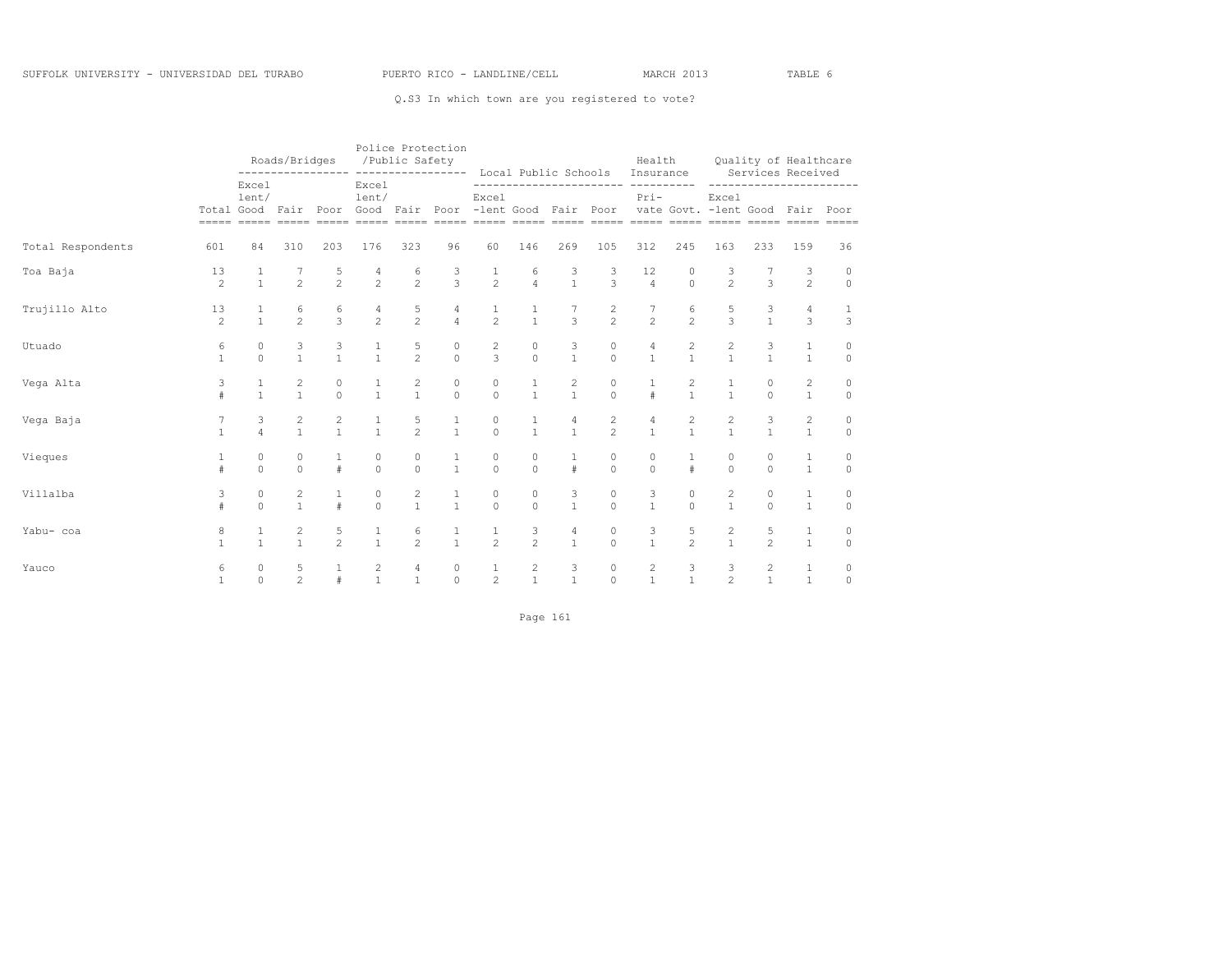|                   |                      |                      | Roads/Bridges                  |                      |                                         | /Public Safety       | Police Protection   | ---------------- ---------------- Local Public Schools                                                                                                                            |                                       |                      |                     | Health<br>Insurance                     |                              |                                           |                                | Quality of Healthcare<br>Services Received |                   |
|-------------------|----------------------|----------------------|--------------------------------|----------------------|-----------------------------------------|----------------------|---------------------|-----------------------------------------------------------------------------------------------------------------------------------------------------------------------------------|---------------------------------------|----------------------|---------------------|-----------------------------------------|------------------------------|-------------------------------------------|--------------------------------|--------------------------------------------|-------------------|
|                   |                      | Excel<br>lent/       |                                |                      | Excel<br>lent/                          |                      |                     | Excel<br>Total Good Fair Poor Good Fair Poor -lent Good Fair Poor<br><u>soona anaan anaan anaan anaan anaan anaan anaan anaan anaan anaan anaan anaan anaan anaan anaan anaan</u> |                                       |                      |                     | ----------<br>$Pri-$                    |                              | Excel<br>vate Govt. - lent Good Fair Poor |                                |                                            |                   |
| Total Respondents | 601                  | 84                   | 310                            | 203                  | 176                                     | 323                  | 96                  | 60                                                                                                                                                                                | 146                                   | 269                  | 105                 | 312                                     | 245                          | 163                                       | 233                            | 159                                        | 36                |
| Toa Baja          | 13<br>$\overline{c}$ | $\mathbf{1}$         | $\overline{c}$                 | 5<br>$\mathfrak{D}$  | 4<br>$\mathfrak{D}$                     | 6<br>$\mathfrak{D}$  | 3<br>3              | 1<br>$\overline{2}$                                                                                                                                                               | 6<br>$\overline{4}$                   | 3<br>$\mathbf{1}$    | 3<br>$\mathbf{3}$   | 12<br>$\overline{4}$                    | $\circ$<br>$\Omega$          | 3<br>$\mathfrak{D}$                       | 3                              | 3<br>$\overline{c}$                        | 0<br>$\circ$      |
| Trujillo Alto     | 13<br>$\overline{2}$ | $\mathbf{1}$         | 6<br>$\overline{2}$            | 6<br>3               | 4<br>$\mathfrak{D}$                     | 5<br>$\overline{2}$  | 4<br>$\overline{4}$ | $\frac{1}{2}$                                                                                                                                                                     | $\frac{1}{1}$                         | $\overline{3}$       | $\frac{2}{2}$       | $\overline{2}$                          | 6<br>$\overline{2}$          | 5<br>$\mathbf{R}$                         | 3<br>$\mathbf{1}$              | 4<br>3                                     | $\mathbf{1}$<br>3 |
| Utuado            | 6<br>$\mathbf{1}$    | $\Omega$<br>$\Omega$ | 3<br>$\mathbf{1}$              | 3<br>$\mathbf{1}$    | 1<br>$\overline{1}$                     | 5<br>$\overline{2}$  | $\circ$<br>$\Omega$ | $\overline{\mathbf{c}}$<br>3                                                                                                                                                      | $\circ$<br>$\Omega$                   | 3<br>$\mathbf{1}$    | $\circ$<br>$\Omega$ | 4<br>$\mathbf{1}$                       | $\mathbf{2}$<br>$\mathbf{1}$ | 2<br>$\mathbf{1}$                         | 3<br>$\mathbf{1}$              | 1<br>$\mathbf{1}$                          | 0<br>$\circ$      |
| Vega Alta         | 3<br>$\#$            | $\mathbf{1}$         | 2<br>$\mathbf{1}$              | 0<br>$\Omega$        | $\mathbf{1}$                            | 2<br>$\mathbf{1}$    | $\circ$<br>$\Omega$ | 0<br>$\Omega$                                                                                                                                                                     | $\mathbf{1}$                          | 2<br>$\mathbf{1}$    | $\circ$<br>$\Omega$ | #                                       | 2<br>$\mathbf{1}$            | $\mathbf{1}$                              | $\circ$<br>$\Omega$            | 2<br>$\mathbf{1}$                          | 0<br>$\circ$      |
| Vega Baja         |                      | 3<br>$\overline{4}$  | 2<br>$\mathbf{1}$              | 2<br>$\mathbf{1}$    | 1<br>$\mathbf{1}$                       | 5<br>$\mathfrak{D}$  | $\mathbf{1}$        | 0<br>$\Omega$                                                                                                                                                                     | $\mathbf{1}$<br>$\mathbf{1}$          | 4<br>$\mathbf{1}$    | 2<br>$\mathfrak{D}$ | 4<br>$\mathbf{1}$                       | 2<br>$\mathbf{1}$            | 2<br>$\mathbf{1}$                         | 3<br>$\mathbf{1}$              | 2<br>$\mathbf{1}$                          | 0<br>$\Omega$     |
| Vieques           | $\#$                 | $\Omega$<br>$\Omega$ | $\Omega$<br>$\Omega$           | 1<br>#               | $\Omega$<br>$\Omega$                    | $\Omega$<br>$\Omega$ | 1<br>$\mathbf{1}$   | 0<br>$\Omega$                                                                                                                                                                     | $\circ$<br>$\Omega$                   | $\mathbf{1}$<br>$\#$ | $\circ$<br>$\Omega$ | $\circ$<br>$\Omega$                     | 1<br>$\#$                    | $\Omega$<br>$\Omega$                      | 0<br>$\Omega$                  | $\mathbf{1}$<br>$\mathbf{1}$               | 0<br>$\circ$      |
| Villalba          | 3<br>$\#$            | $\circ$<br>$\Omega$  | $\mathbf{2}$<br>$\mathbf{1}$   | $\mathbf{1}$<br>$\#$ | 0<br>$\Omega$                           | 2<br>$\mathbf{1}$    | 1<br>$\mathbf{1}$   | 0<br>$\circ$                                                                                                                                                                      | $\circ$<br>$\Omega$                   | 3<br>$\mathbf{1}$    | $\circ$<br>$\circ$  | 3<br>$\mathbf{1}$                       | $\circ$<br>$\Omega$          | $\mathbf{2}$<br>$\mathbf{1}$              | $\circ$<br>$\circ$             | 1<br>$\mathbf{1}$                          | 0<br>$\circ$      |
| Yabu- coa         | 8<br>$\mathbf{1}$    | 1<br>$\mathbf{1}$    | $\overline{c}$<br>$\mathbf{1}$ | 5<br>$\mathfrak{D}$  | $\mathbf{1}$<br>$\mathbf{1}$            | 6<br>$\mathfrak{D}$  | $\frac{1}{1}$       | $\mathbf{1}$<br>$\mathfrak{D}$                                                                                                                                                    | 3<br>$\mathfrak{D}$                   | 4<br>$\mathbf{1}$    | $\circ$<br>$\Omega$ | 3<br>$\mathbf{1}$                       | 5<br>$\mathfrak{D}$          | 2<br>$\mathbf{1}$                         | 5<br>$\overline{2}$            | 1<br>$\mathbf{1}$                          | 0<br>$\circ$      |
| Yauco             | 6                    | $\circ$<br>$\Omega$  | 5<br>$\overline{2}$            | $\mathbf{1}$<br>$\#$ | $\overline{\mathbf{c}}$<br>$\mathbf{1}$ | 4<br>$\mathbf{1}$    | $\circ$<br>$\Omega$ | $\mathbf{1}$<br>$\mathfrak{D}$                                                                                                                                                    | $\begin{array}{c} 2 \\ 1 \end{array}$ | 3<br>$\mathbf{1}$    | $\circ$<br>$\Omega$ | $\overline{\mathbf{c}}$<br>$\mathbf{1}$ | 3<br>$\mathbf{1}$            | 3<br>$\mathfrak{D}$                       | $\overline{c}$<br>$\mathbf{1}$ | 1<br>$\mathbf{1}$                          | 0<br>$\Omega$     |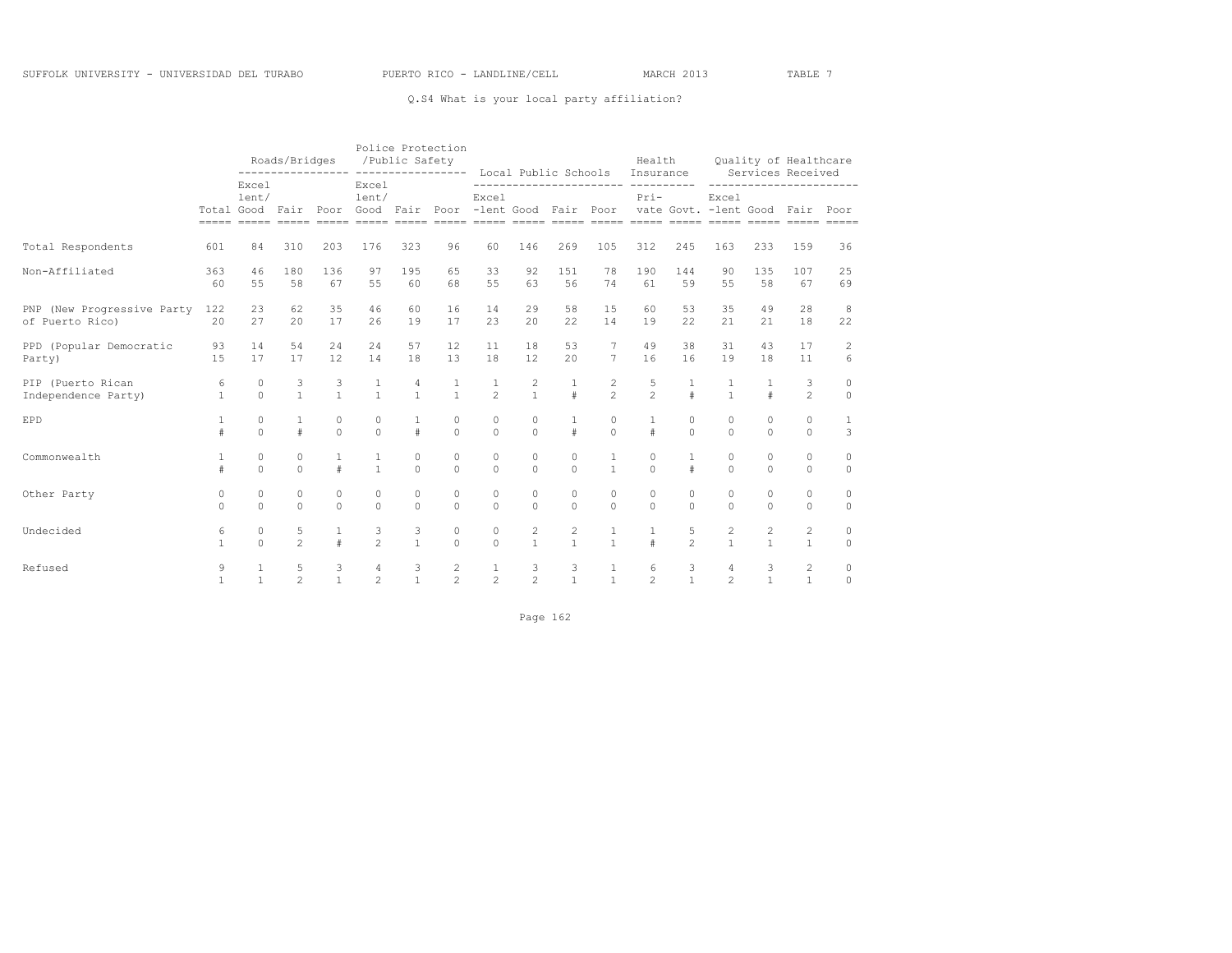## Q.S4 What is your local party affiliation?

|                                               |                     |                      | Roads/Bridges       |                      | /Public Safety               |                                       | Police Protection<br>---------------- ---------------- Local Public Schools Insurance Services Received |                     |                              |                                |                                    |                     |                      | Health Quality of Healthcare |                      |                              |                     |
|-----------------------------------------------|---------------------|----------------------|---------------------|----------------------|------------------------------|---------------------------------------|---------------------------------------------------------------------------------------------------------|---------------------|------------------------------|--------------------------------|------------------------------------|---------------------|----------------------|------------------------------|----------------------|------------------------------|---------------------|
|                                               |                     | Excel<br>lent/       |                     |                      | Excel<br>lent/               |                                       | Total Good Fair Poor Good Fair Poor -lent Good Fair Poor vate Govt. -lent Good Fair Poor                | Excel               |                              |                                |                                    | $Pri-$              |                      | Excel                        |                      | -----------------------      |                     |
| Total Respondents                             | 601                 | 84                   | 310                 | 203                  | 176                          | 323                                   | 96                                                                                                      | 60                  | 146                          | 269                            | 105                                | 312                 | 245                  | 163                          | 233                  | 159                          | 36                  |
| Non-Affiliated                                | 363<br>60           | 46<br>55             | 180<br>58           | 136<br>67            | 97<br>55                     | 195<br>60                             | 65<br>68                                                                                                | 33<br>55            | 92<br>63                     | 151<br>56                      | 78<br>74                           | 190<br>61           | 144<br>59            | 90<br>55                     | 135<br>58            | 107<br>67                    | 25<br>69            |
| PNP (New Progressive Party<br>of Puerto Rico) | 122<br>2.0          | 23<br>27             | 62<br>20            | 35<br>17             | 46<br>26                     | 60<br>19                              | 16<br>17                                                                                                | 14<br>23            | 29<br>$20^{\circ}$           | 58<br>22.2                     | 15<br>14                           | 60<br>19            | 53<br>22             | 35<br>21                     | 49<br>21             | 28<br>18                     | 8<br>22             |
| PPD (Popular Democratic<br>Party)             | 93<br>1.5           | 14<br>17             | 54<br>17            | 24<br>12             | 24<br>14                     | 57<br>18                              | 12 <sup>°</sup><br>13                                                                                   | 11<br>18            | 18<br>12                     | 53<br>$20 -$                   | $7\overline{ }$<br>$7\overline{ }$ | 49<br>16            | 38<br>16             | 31<br>19                     | 43<br>18             | 17<br>11                     | 2<br>6              |
| PIP (Puerto Rican<br>Independence Party)      | 6<br>$\overline{1}$ | $\circ$<br>$\Omega$  | $\frac{3}{1}$       | $\frac{3}{1}$        | $\mathbf{1}$<br>$\mathbf{1}$ | $\begin{array}{c} 4 \\ 1 \end{array}$ | $\frac{1}{1}$                                                                                           | $\frac{1}{2}$       | $\frac{2}{1}$                | $\frac{1}{4}$                  | $\frac{2}{2}$                      | $\frac{5}{2}$       | $\pm$                | $\frac{1}{1}$                | $\pm$                | 3<br>$\mathfrak{D}$          | $\circ$<br>$\Omega$ |
| EPD                                           | $\mathbf{1}$<br>#   | $\Omega$<br>$\Omega$ | $\pm$               | $\Omega$<br>$\Omega$ | $\Omega$<br>$\Omega$         | $\mathbf{1}$<br>$\pm$                 | $\Omega$<br>$\Omega$                                                                                    | $\Omega$<br>$\cap$  | $\circ$<br>$\Omega$          | $\mathbf{1}$<br>$\pm$          | $\Omega$<br>$\Omega$               | $\mathbf{1}$<br>#   | $\Omega$<br>$\Omega$ | $\Omega$<br>$\cap$           | $\Omega$<br>$\Omega$ | $\Omega$<br>$\Omega$         | 1<br>3              |
| Commonwealth                                  | $\mathbf{1}$<br>#   | $\circ$<br>$\Omega$  | $\circ$<br>$\Omega$ | $\mathbf{1}$<br>$\#$ | $\mathbf{1}$<br>$\mathbf{1}$ | $\circ$<br>$\Omega$                   | $\circ$<br>$\Omega$                                                                                     | $\circ$<br>$\Omega$ | $\circ$<br>$\Omega$          | 0<br>$\Omega$                  | $\mathbf{1}$<br>$\mathbf{1}$       | $\circ$<br>$\Omega$ |                      | $\circ$<br>$\Omega$          | $\circ$<br>$\Omega$  | $\circ$<br>$\Omega$          | $\circ$<br>$\Omega$ |
| Other Party                                   | 0<br>$\Omega$       | $\circ$<br>$\cap$    | $\circ$<br>$\cap$   | $\circ$<br>$\Omega$  | $\circ$<br>$\cap$            | $\circ$<br>$\cap$                     | $\circ$<br>$\Omega$                                                                                     | $\circ$<br>$\cap$   | $\circ$<br>$\Omega$          | $\circ$<br>$\cap$              | $\circ$<br>$\Omega$                | $\circ$<br>$\Omega$ | $\circ$<br>$\cap$    | $\circ$<br>$\cap$            | $\circ$<br>$\cap$    | $\circ$<br>$\Omega$          | $\circ$<br>$\circ$  |
| Undecided                                     | 6<br>$\mathbf{1}$   | $\circ$<br>$\cap$    | 5<br>$\mathfrak{D}$ | $\mathbf{1}$<br>$\#$ | 3<br>$\mathfrak{D}$          | 3<br>$\mathbf{1}$                     | $\circ$<br>$\Omega$                                                                                     | $\circ$<br>$\cap$   | $\mathbf{2}$<br>$\mathbf{1}$ | $\mathbf{2}$<br>$\overline{1}$ | $\mathbf{1}$<br>$\overline{1}$     | $\mathbf{1}$<br>#   | 5<br>$\mathfrak{D}$  | $\mathbf{2}$<br>$\mathbf{1}$ | 2<br>$\mathbf{1}$    | $\mathbf{2}$<br>$\mathbf{1}$ | $\circ$<br>$\circ$  |
| Refused                                       | 9<br>1              | $\mathbf{1}$         | 5<br>$\mathfrak{D}$ | 3<br>$\overline{1}$  | 4<br>$\mathfrak{D}$          | $\begin{array}{c} 3 \\ 1 \end{array}$ | 2<br>$\mathfrak{D}$                                                                                     | $\frac{1}{2}$       | $\frac{3}{2}$                | $\frac{3}{1}$                  | $\mathbf{1}$<br>$\mathbf{1}$       | 6<br>$\overline{2}$ | 3<br>$\mathbf{1}$    | 4<br>$\mathfrak{D}$          | 3<br>$\mathbf{1}$    | 2<br>$\mathbf{1}$            | $\circ$<br>$\Omega$ |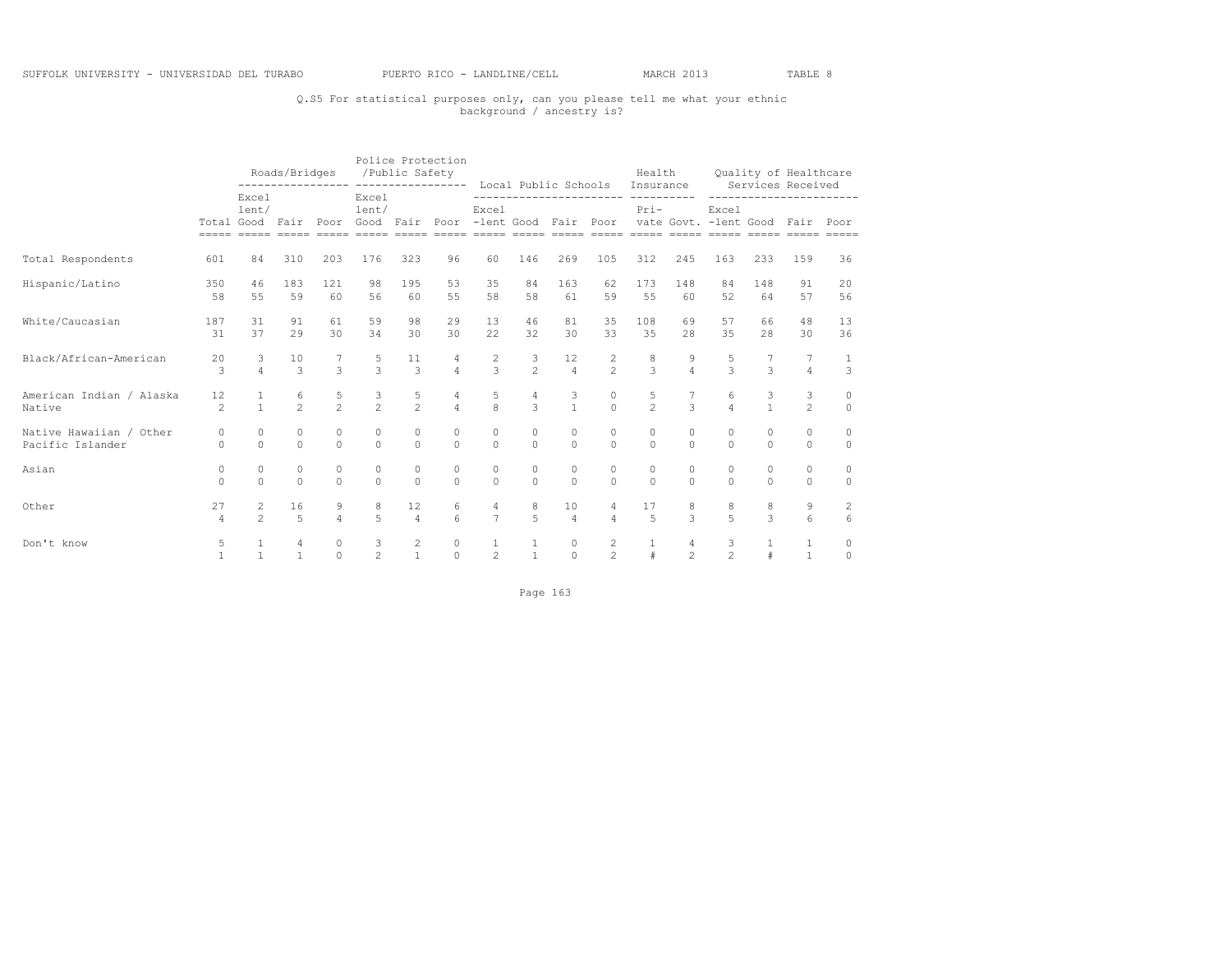# Q.S5 For statistical purposes only, can you please tell me what your ethnic background / ancestry is?

|                                             |                          |                                | Roads/Bridges        |                      | /Public Safety       |                      | Police Protection<br>---------------- ---------------- Local Public Schools Insurance Services Received |                                  |                                 |                      |                                  |                                              |                                  | Health Quality of Healthcare |                    |                      |                                   |
|---------------------------------------------|--------------------------|--------------------------------|----------------------|----------------------|----------------------|----------------------|---------------------------------------------------------------------------------------------------------|----------------------------------|---------------------------------|----------------------|----------------------------------|----------------------------------------------|----------------------------------|------------------------------|--------------------|----------------------|-----------------------------------|
|                                             |                          | Excel<br>lent/                 |                      |                      | Excel<br>lent/       |                      | Total Good Fair Poor Good Fair Poor -lent Good Fair Poor vate Govt. -lent Good Fair Poor                | Excel                            |                                 |                      |                                  | ------------------------ ---------<br>$Pri-$ |                                  | Excel                        |                    |                      | -----------------------           |
| Total Respondents                           | 601                      | 84                             | 310                  | 203                  | 176                  | 323                  | 96                                                                                                      | 60                               | 146                             | 269                  | 105                              | 312                                          | 245                              | 163                          | 233                | 159                  | 36                                |
| Hispanic/Latino                             | 350<br>58                | 46<br>55                       | 183<br>59            | 121<br>60            | 98<br>56             | 195<br>60            | 53<br>55                                                                                                | 35<br>58                         | 84<br>58                        | 163<br>61            | 62<br>59                         | 173<br>55                                    | 148<br>60                        | 84<br>52                     | 148<br>64          | 91<br>57             | 20<br>56                          |
| White/Caucasian                             | 187<br>31                | 31<br>37                       | 91<br>29             | 61<br>30             | 59<br>34             | 98<br>30             | 29<br>30                                                                                                | 13<br>22                         | 46<br>32                        | 81<br>30             | 35<br>33                         | 108<br>35                                    | 69<br>28                         | 57<br>35                     | 66<br>28           | 48<br>30             | 13<br>36                          |
| Black/African-American                      | 20<br>3                  | $\mathbf{3}$<br>$\overline{4}$ | 10<br>$\mathcal{B}$  | $\mathcal{L}$        | 5<br>$\overline{a}$  | 11<br>$\mathcal{S}$  | 4<br>$\overline{4}$                                                                                     | $\frac{2}{3}$                    | $\frac{3}{2}$                   | 12<br>$\Delta$       | $\frac{2}{2}$                    | $\frac{8}{3}$                                | $\frac{9}{4}$                    | $\overline{z}$               | $\mathcal{L}$      | $\overline{4}$       | $\mathbf{1}$<br>3                 |
| American Indian / Alaska<br>Native          | 12<br>$\mathfrak{D}$     | $\mathbf{1}$                   | 6<br>$\overline{2}$  | 5<br>$\overline{2}$  | $\frac{3}{2}$        | 5<br>$\mathfrak{D}$  | 4<br>$\overline{4}$                                                                                     | 5<br>$\overline{8}$              | $\overline{4}$<br>$\mathcal{L}$ | 3<br>$\mathbf{1}$    | $\circ$<br>$\Omega$              | 5<br>$\overline{2}$                          | $\mathcal{L}$                    | 6<br>$\overline{a}$          | 3<br>$\mathbf{1}$  | 3<br>$\mathfrak{D}$  | $\circ$<br>$\Omega$               |
| Native Hawaiian / Other<br>Pacific Islander | $\overline{0}$<br>$\cap$ | $\circ$<br>$\cap$              | $\circ$<br>$\Omega$  | $\circ$<br>$\Omega$  | $\circ$<br>$\Omega$  | $\circ$<br>$\cap$    | $\circ$<br>$\Omega$                                                                                     | $\circ$<br>$\Omega$              | $\circ$<br>$\Omega$             | $\circ$<br>$\cap$    | 0<br>$\Omega$                    | 0<br>$\Omega$                                | $\circ$<br>$\Omega$              | $\Omega$<br>$\cap$           | $\Omega$<br>$\cap$ | $\circ$<br>$\Omega$  | $\circ$<br>$\circ$                |
| Asian                                       | $\circ$<br>$\cap$        | $\Omega$<br>$\Omega$           | $\bigcap$            | $\circ$<br>$\Omega$  | $\Omega$<br>$\Omega$ | $\circ$<br>$\cap$    | $\circ$<br>$\Omega$                                                                                     | $\circ$<br>$\Omega$              | $\circ$<br>$\Omega$             | $\circ$<br>$\cap$    | 0<br>$\Omega$                    | 0<br>$\Omega$                                | $\circ$<br>$\Omega$              | $\Omega$<br>$\cap$           | $\Omega$<br>$\cap$ | $\circ$<br>$\Omega$  | $\circ$<br>$\Omega$               |
| Other                                       | 27<br>$\overline{4}$     | 2<br>$\mathfrak{D}$            | 16<br>$\overline{2}$ | 9<br>$\overline{4}$  | 8<br>$\overline{5}$  | 12<br>$\overline{4}$ | 6<br>$6 \overline{6}$                                                                                   | $\overline{4}$<br>$\overline{7}$ | 8<br>5 <sup>1</sup>             | 10<br>$\overline{4}$ | $\overline{4}$<br>$\Delta$       | 17<br>$\overline{a}$                         | 8<br>$\mathcal{L}$               | 8<br>$\overline{5}$          | 8<br>$\mathcal{L}$ | 9<br>$6\overline{6}$ | $\overline{c}$<br>$6\overline{6}$ |
| Don't know                                  | 5                        | $\mathbf{1}$                   | $\mathbf{1}$         | $\Omega$<br>$\Omega$ | 3<br>$\mathfrak{D}$  | $\frac{2}{1}$        | $\circ$<br>$\Omega$                                                                                     | $\mathbf{1}$<br>$\overline{c}$   | $\mathbf{1}$<br>$\mathbf{1}$    | $\circ$<br>$\Omega$  | $\overline{2}$<br>$\overline{2}$ | $\mathbf{1}$<br>#                            | $\overline{4}$<br>$\overline{2}$ | 3<br>$\mathfrak{D}$          | $\mathbf{1}$<br>#  | 1<br>$\mathbf{1}$    | $\mathbf{0}$<br>$\circ$           |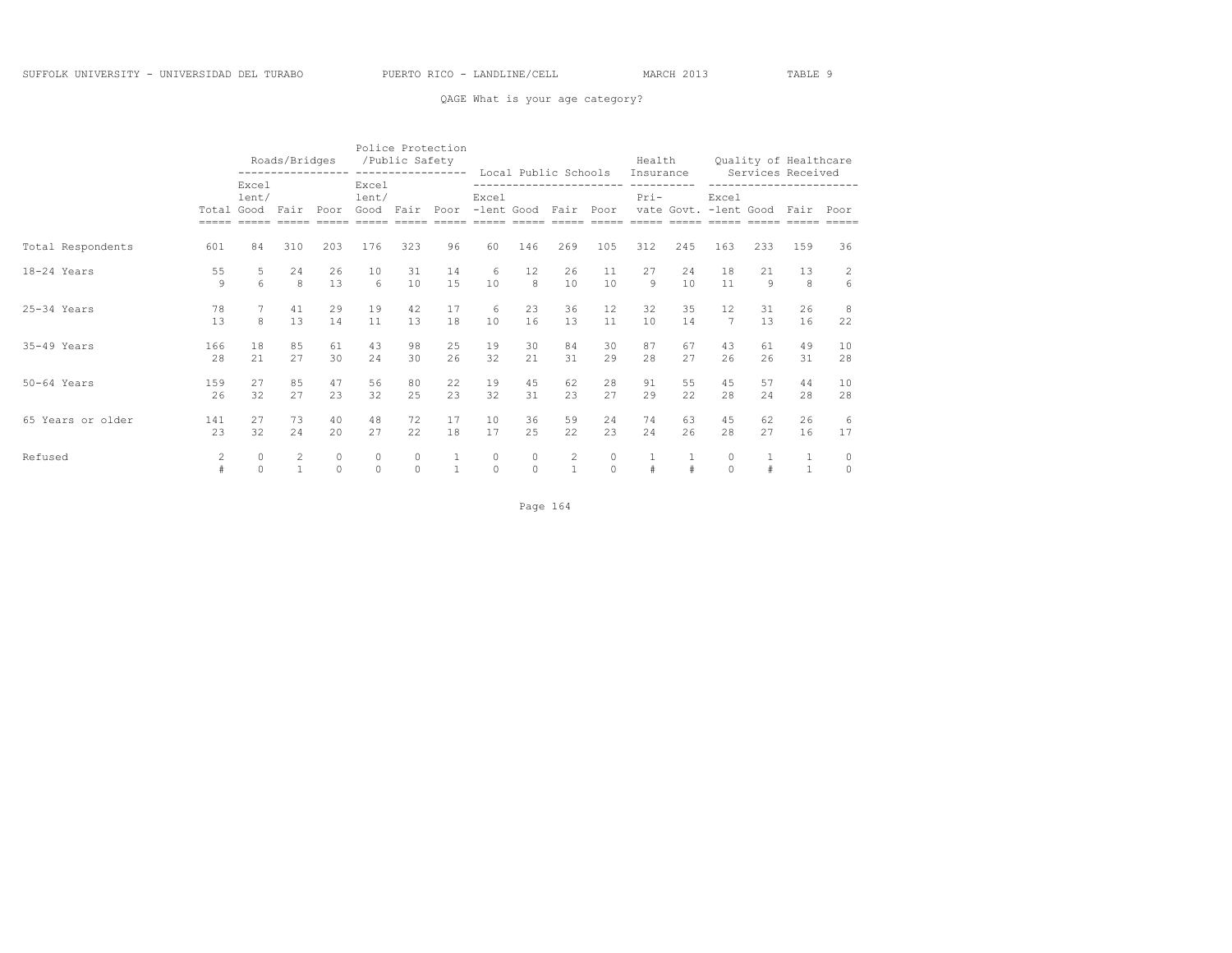## QAGE What is your age category?

|                   |              |                     | Roads/Bridges                  |                     |                        | /Public Safety      | Police Protection<br>---------------- |                   | Local Public Schools                        |                   |                     | Health<br>Insurance   |          |                                |                      | Quality of Healthcare<br>Services Received |                          |
|-------------------|--------------|---------------------|--------------------------------|---------------------|------------------------|---------------------|---------------------------------------|-------------------|---------------------------------------------|-------------------|---------------------|-----------------------|----------|--------------------------------|----------------------|--------------------------------------------|--------------------------|
|                   | Total Good   | Excel<br>lent/      | Fair                           | Poor                | Excel<br>lent/<br>Good | Fair                | Poor                                  | Excel             | ------------------------<br>-lent Good Fair |                   | Poor                | -----------<br>$Pri-$ |          | Excel<br>vate Govt. -lent Good |                      | ------------------<br>Fair Poor            |                          |
| Total Respondents | 601          | 84                  | 310                            | 203                 | 176                    | 323                 | 96                                    | 60                | 146                                         | 269               | 105                 | 312                   | 245      | 163                            | 233                  | 159                                        | 36                       |
| 18-24 Years       | 55<br>9      | 5<br>6              | 24<br>8                        | 26<br>13            | 10<br>6                | 31<br>10            | 14<br>15                              | 6<br>10           | 12<br>8                                     | 26<br>10          | 11<br>10            | 27<br>9               | 24<br>10 | 18<br>11                       | 21<br>$\overline{9}$ | 13<br>8                                    | $\overline{c}$<br>6      |
| $25-34$ Years     | 78<br>13     | 8                   | 41<br>13                       | 29<br>14            | 19<br>11               | 42<br>13            | 17<br>18                              | 6<br>10           | 23<br>16                                    | 36<br>13          | 12<br>11            | 32<br>10              | 35<br>14 | 12.<br>$7\phantom{.0}$         | 31<br>13             | 26<br>16                                   | 8<br>22                  |
| $35-49$ Years     | 166<br>28    | 18<br>2.1           | 85<br>27                       | 61<br>30            | 43<br>24               | 98<br>30            | 25<br>26                              | 19<br>32          | 30<br>2.1                                   | 84<br>31          | 30<br>29            | 87<br>28              | 67<br>27 | 43<br>26                       | 61<br>26             | 49<br>31                                   | 10<br>28                 |
| $50-64$ Years     | 159<br>26    | 27<br>32            | 85<br>27                       | 47<br>23            | 56<br>32               | 80<br>2.5           | 22<br>23                              | 19<br>32          | 45<br>31                                    | 62<br>2.3         | 28<br>27            | 91<br>29              | 55<br>22 | 45<br>28                       | 57<br>2.4            | 44<br>28                                   | 10<br>28                 |
| 65 Years or older | 141<br>2.3   | 27<br>32            | 73<br>2.4                      | 40<br>2.0           | 48<br>27               | 72<br>22            | 17<br>18                              | 10<br>17          | 36<br>2.5                                   | 59<br>22.2        | 24<br>23            | 74<br>2.4             | 63<br>26 | 45<br>28                       | 62<br>27             | 26<br>16                                   | 6<br>17                  |
| Refused           | $\mathbf{2}$ | $\circ$<br>$\Omega$ | $\overline{c}$<br>$\mathbf{1}$ | $\circ$<br>$\Omega$ | $\circ$<br>$\Omega$    | $\circ$<br>$\Omega$ | $\mathbf{1}$                          | $\circ$<br>$\cap$ | $\circ$<br>$\Omega$                         | 2<br>$\mathbf{1}$ | $\circ$<br>$\Omega$ | $\mathbf{1}$<br>#     | $\pm$    | $\circ$<br>$\Omega$            | 1<br>#               | $\mathbf 1$<br>$\mathbf{1}$                | $\mathbf{0}$<br>$\Omega$ |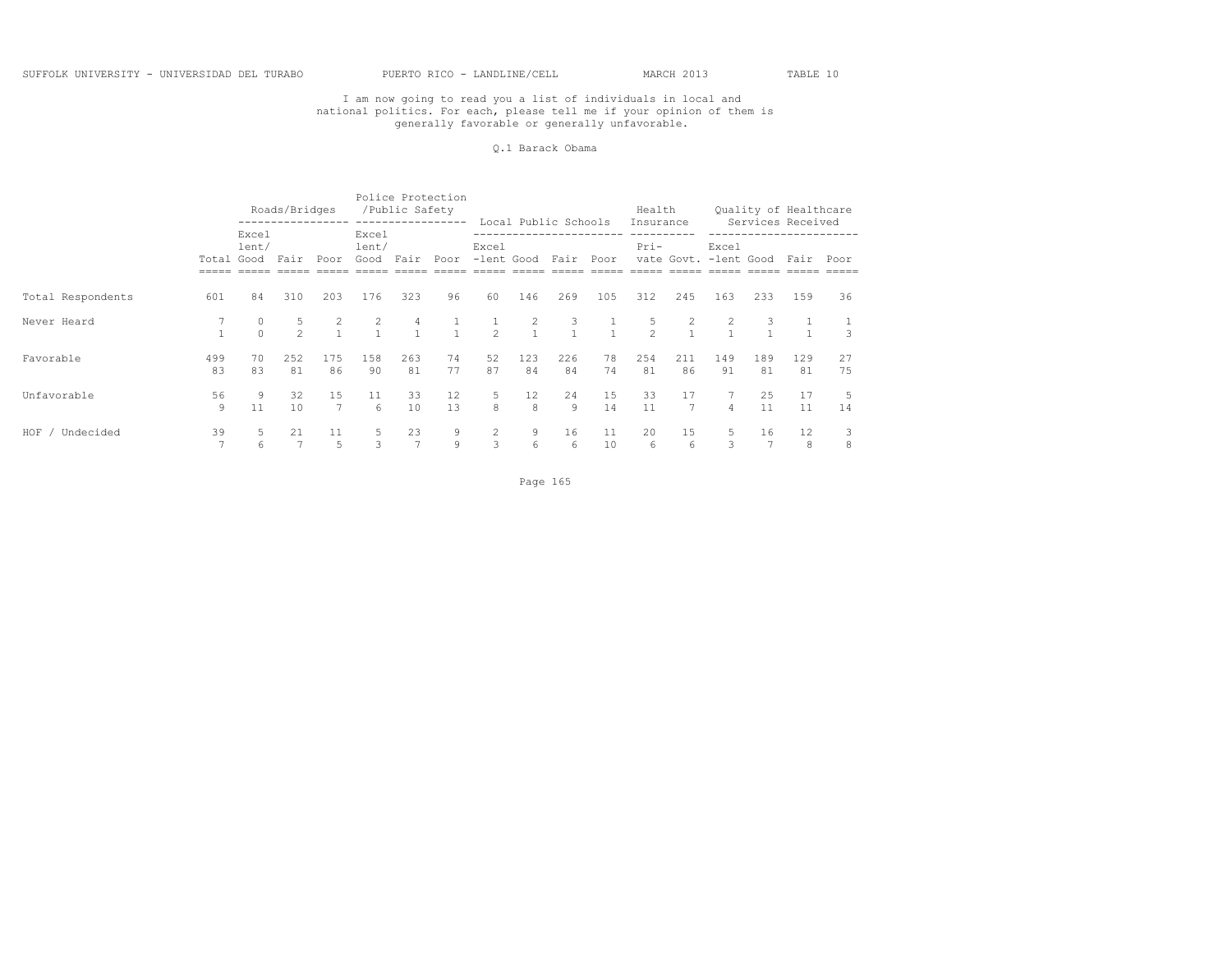#### Q.1 Barack Obama

|                    |              |                | Roads/Bridges       |                       |                                  | /Public Safety<br>----------------- | Police Protection  |                                | Local Public Schools             |           |          | Health              |                                |                |                     | Quality of Healthcare          |          |  |
|--------------------|--------------|----------------|---------------------|-----------------------|----------------------------------|-------------------------------------|--------------------|--------------------------------|----------------------------------|-----------|----------|---------------------|--------------------------------|----------------|---------------------|--------------------------------|----------|--|
|                    | Total Good   | Excel<br>lent/ | Fair Poor           |                       | Excel<br>lent/<br>Good Fair      |                                     | Poor               | Excel                          | -lent Good Fair Poor             |           |          | Insurance<br>$Pri-$ | vate Govt. -lent Good          | Excel          |                     | Services Received<br>Fair Poor |          |  |
|                    |              |                |                     |                       |                                  |                                     |                    |                                |                                  |           |          |                     |                                |                |                     |                                |          |  |
| Total Respondents  | 601          | 84             | 310                 | 203                   | 176                              | 323                                 | 96                 | 60                             | 146                              | 269       | 105      | 312                 | 245                            | 163            | 233                 | 159                            | 36       |  |
| Never Heard        | $\mathbf{1}$ |                | 5<br>$\mathfrak{D}$ | $\overline{2}$        | $\overline{2}$<br>$\overline{1}$ | $\overline{4}$<br>$\sim$ 1          | $\frac{1}{1}$      | $\mathbf{1}$<br>$\mathfrak{D}$ | $\overline{2}$<br>$\overline{1}$ | 3         | $\sim$ 1 | 5<br>$\mathcal{P}$  | $\overline{c}$<br>$\mathbf{1}$ | 2              | 3<br>$\overline{1}$ |                                |          |  |
| Favorable          | 499<br>83    | 70<br>83       | 252<br>81           | 175<br>86             | 158<br>90                        | 263<br>81                           | 74<br>77           | 52<br>87                       | 123<br>84                        | 226<br>84 | 78<br>74 | 254<br>81           | 211<br>86                      | 149<br>91      | 189<br>81           | 129<br>81                      | 27<br>75 |  |
| Unfavorable        | 56<br>9      | 9<br>11        | 32<br>10            | 1.5<br>$\overline{7}$ | 11<br>6                          | 33<br>10                            | 12<br>13           | .5<br>8                        | 12 <sup>°</sup><br>8             | 24<br>9   | 15<br>14 | 33<br>11            | 17<br>$\overline{7}$           | $\overline{4}$ | 25<br>11            | 17<br>11                       | 5<br>14  |  |
| HOF /<br>Undecided | 39           | 5<br>6         | 21                  | 11<br>5               | -5                               | 23                                  | 9<br>$\mathcal{G}$ | $\overline{2}$<br>3            | 9<br>6                           | 16<br>6   | 11<br>10 | 20<br>6             | 15<br>6                        | 5<br>3         | 16                  | 12<br>8                        | 8        |  |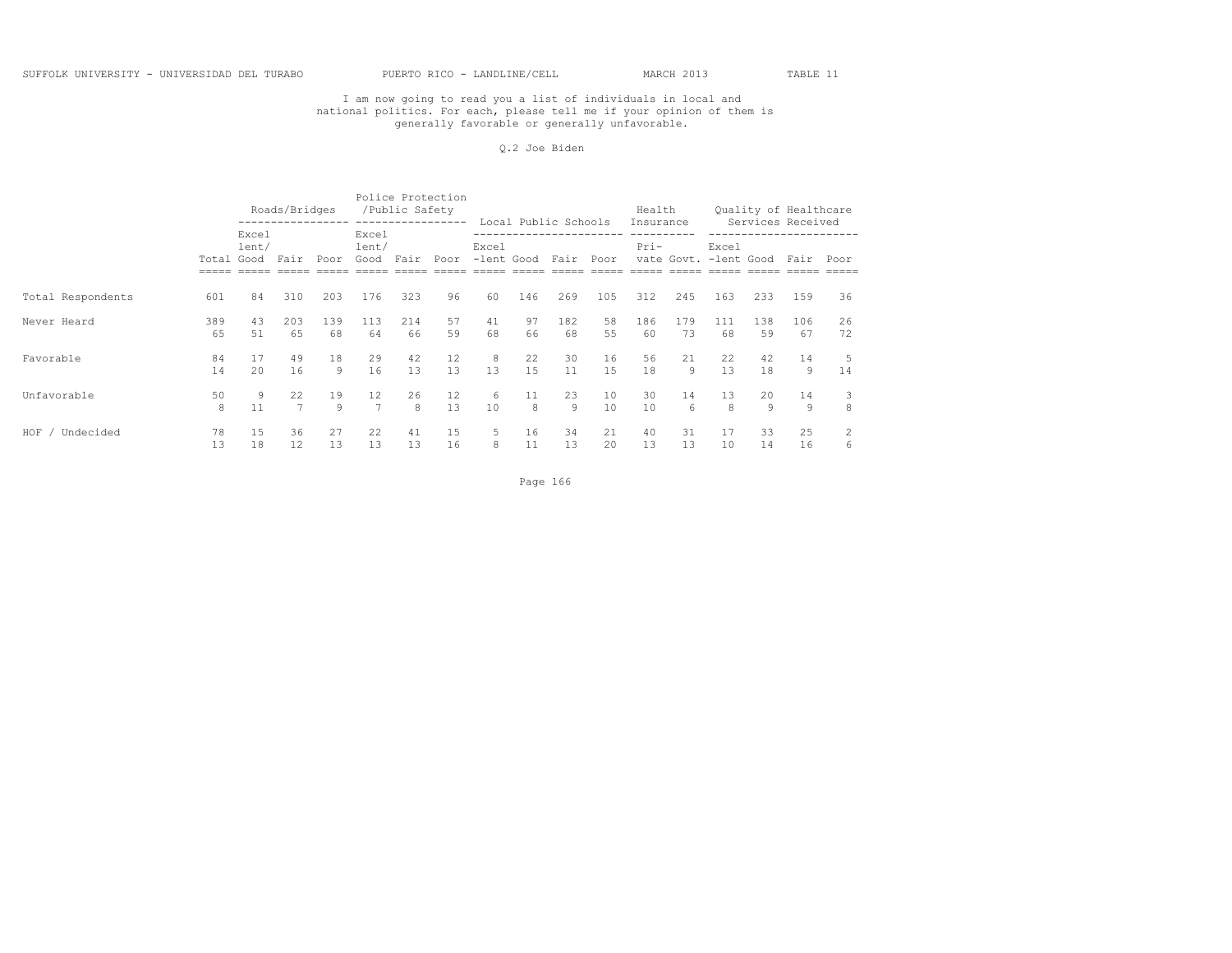#### Q.2 Joe Biden

|                   |            |                | Roads/Bridges | ------------------ |                        | /Public Safety<br>----------------- | Police Protection |                     | Local Public Schools |      |      | Health<br>Insurance |     |                                |     | Ouality of Healthcare<br>Services Received |      |
|-------------------|------------|----------------|---------------|--------------------|------------------------|-------------------------------------|-------------------|---------------------|----------------------|------|------|---------------------|-----|--------------------------------|-----|--------------------------------------------|------|
|                   | Total Good | Excel<br>lent/ | Fair          | Poor               | Excel<br>lent/<br>Good | Fair                                | Poor              | Excel<br>-lent Good |                      | Fair | Poor | $Pri-$              |     | Excel<br>vate Govt. -lent Good |     | Fair                                       | Poor |
| Total Respondents | 601        | 84             | 310           | 203                | 176                    | 323                                 | 96                | 60                  | 146                  | 269  | 105  | 312                 | 245 | 163                            | 233 | 159                                        | 36   |
| Never Heard       | 389        | 43             | 203           | 139                | 113                    | 214                                 | 57                | 41                  | 97                   | 182  | 58   | 186                 | 179 | 111                            | 138 | 106                                        | 26   |
|                   | 65         | 51             | 65            | 68                 | 64                     | 66                                  | 59                | 68                  | 66                   | 68   | 55   | 60                  | 73  | 68                             | 59  | 67                                         | 72   |
| Favorable         | 84         | 17             | 49            | 18                 | 29                     | 42                                  | 12                | 8                   | 22                   | 30   | 16   | 56                  | 21  | 22                             | 42  | 14                                         | 5    |
|                   | 14         | 2.0            | 16            | Q                  | 16                     | 13                                  | 13                | 13                  | 1.5                  | 11   | 1.5  | 18                  | Q   | 13                             | 18  | 9                                          | 14   |
| Unfavorable       | 50         | 9              | 22            | 19                 | 12                     | 26                                  | 12                | 6                   | 11                   | 23   | 10   | 30                  | 14  | 13                             | 20  | 14                                         | 3    |
|                   | 8          | 11             | 7             | $\mathsf{Q}$       | $\overline{7}$         | $\mathsf{R}$                        | 13                | 10                  | 8                    | 9    | 10   | 10                  | 6   | 8                              | 9   | 9                                          | 8    |
| HOF               | 78         | 15             | 36            | 27                 | 22                     | 41                                  | 15                | 5.                  | 16                   | 34   | 21   | 40                  | 31  | 17                             | 33  | 25                                         | 6    |
| Undecided         | 13         | 18             | 12            | 13                 | 13                     | 13                                  | 16                | 8                   | 11                   | 13   | 20   | 13                  | 13  | 10                             | 14  | 16                                         |      |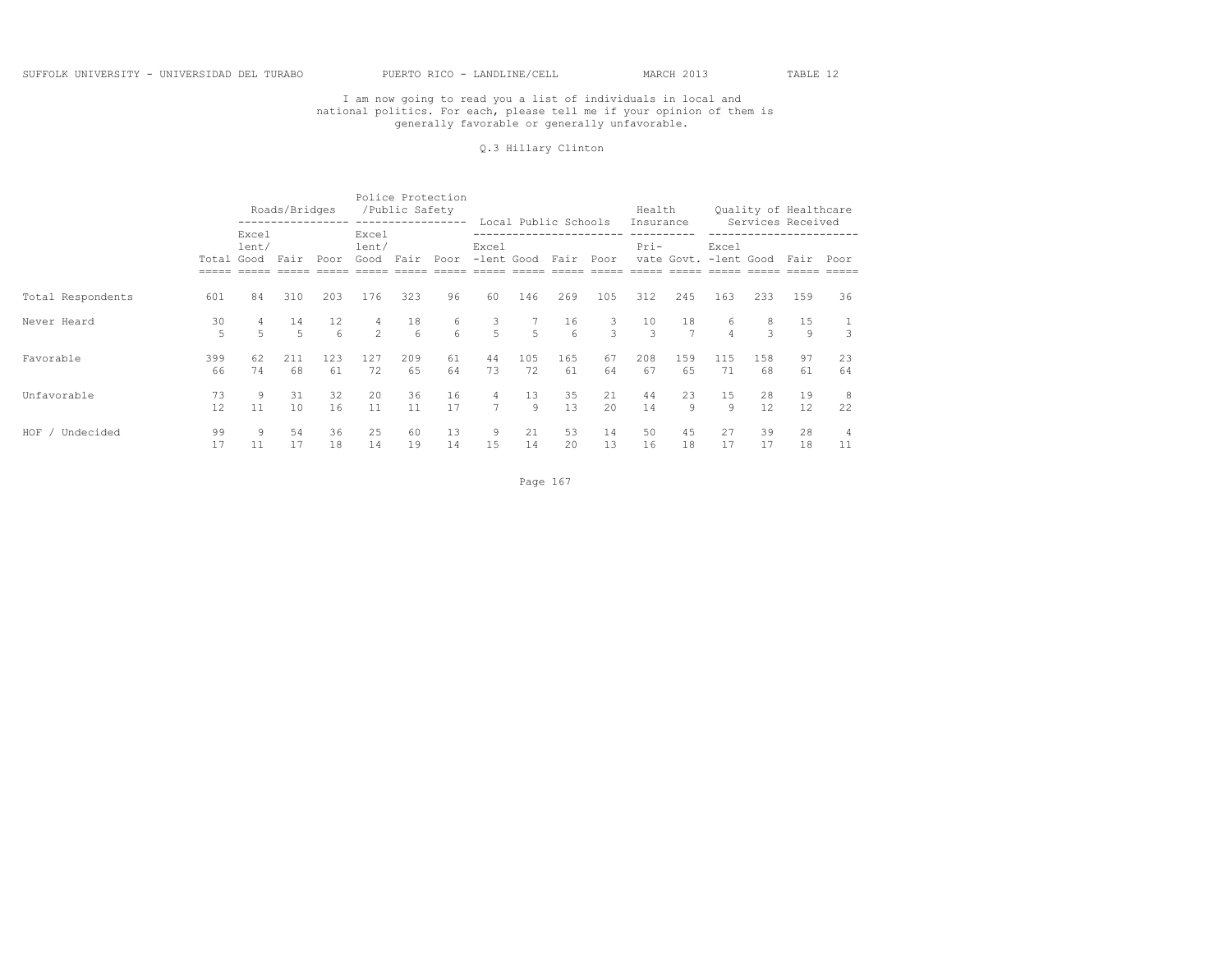#### Q.3 Hillary Clinton

|                    |            |                                   | Roads/Bridges        |                               |                    | Police Protection<br>/Public Safety<br>----------------- |          |                                  | Local Public Schools |                      |          | Health<br>Insurance |                       |           |           | Quality of Healthcare<br>Services Received |          |
|--------------------|------------|-----------------------------------|----------------------|-------------------------------|--------------------|----------------------------------------------------------|----------|----------------------------------|----------------------|----------------------|----------|---------------------|-----------------------|-----------|-----------|--------------------------------------------|----------|
|                    | Total Good | Excel<br>lent/                    | Fair                 | Poor                          | Excel<br>lent/     | Good Fair Poor                                           |          | Excel                            | -lent Good Fair      |                      | Poor     | Pri-                | vate Govt. -lent Good | Excel     |           | Fair Poor                                  |          |
|                    |            |                                   |                      |                               |                    |                                                          |          |                                  |                      |                      |          |                     |                       |           |           |                                            |          |
| Total Respondents  | 601        | 84                                | 310                  | 203                           | 176                | 323                                                      | 96       | 60                               | 146                  | 269                  | 105      | 312                 | 245                   | 163       | 233       | 159                                        | 36       |
| Never Heard        | 30<br>5    | $4\overline{ }$<br>$\overline{r}$ | 14<br>$\overline{5}$ | 12 <sup>°</sup><br>$\epsilon$ | 4<br>$\mathcal{L}$ | 18<br>6                                                  | 6<br>6   | 3 <sup>7</sup><br>$\overline{a}$ | $\overline{5}$       | 16<br>6 <sup>6</sup> | 3<br>3   | 10<br>$\mathcal{L}$ | 18<br>$\overline{7}$  | 6         | 8<br>3    | 15<br>Q                                    |          |
| Favorable          | 399<br>66  | 62<br>74                          | 211<br>68            | 123<br>61                     | 127<br>72          | 209<br>65                                                | 61<br>64 | 44<br>73                         | 105<br>72            | 165<br>61            | 67<br>64 | 208<br>67           | 159<br>65             | 115<br>71 | 158<br>68 | 97<br>61                                   | 23<br>64 |
| Unfavorable        | 73<br>12   | 9<br>11                           | 31<br>10             | 32<br>16                      | 20<br>11           | 36<br>11                                                 | 16<br>17 | 4<br>$\overline{7}$              | 13<br>9              | 35<br>13             | 21<br>20 | 44<br>14            | 23<br>9               | 15<br>9   | 28<br>12. | 19<br>12                                   | 8<br>22  |
| HOF /<br>Undecided | 99<br>17   | 9<br>11                           | 54<br>17             | 36<br>18                      | 25<br>14           | 60<br>19                                                 | 13<br>14 | 9<br>15                          | 21<br>14             | 53<br>20             | 14<br>13 | 50<br>16            | 45<br>18              | 27<br>17  | 39<br>17  | 28<br>18                                   | 4<br>11  |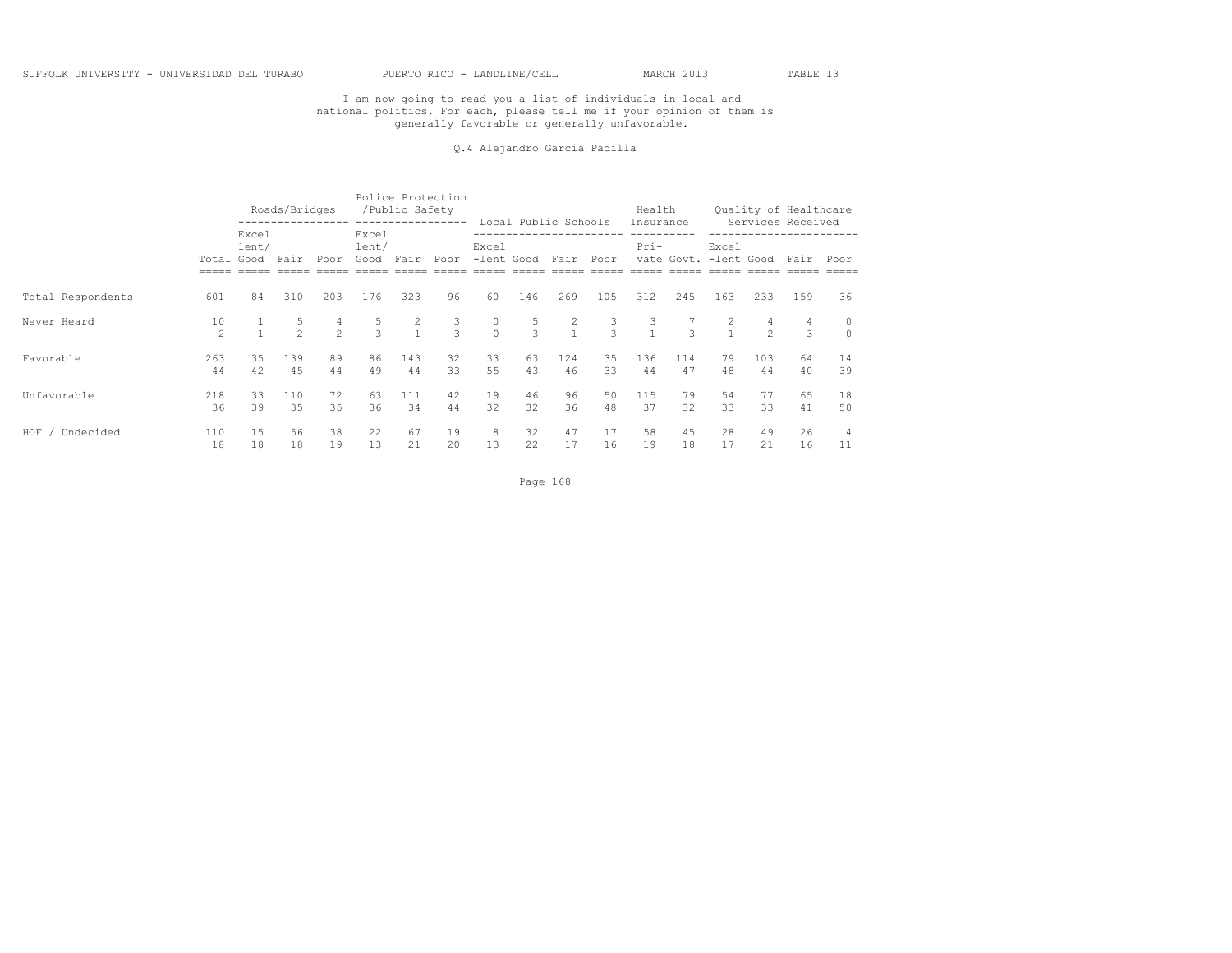#### Q.4 Alejandro Garcia Padilla

|                    |                     |                | Roads/Bridges       |                    |                             | /Public Safety | Police Protection<br>----------------- |                     | Local Public Schools |                                       |               | Health<br>Insurance |           |                                |                     | Quality of Healthcare<br>Services Received |          |
|--------------------|---------------------|----------------|---------------------|--------------------|-----------------------------|----------------|----------------------------------------|---------------------|----------------------|---------------------------------------|---------------|---------------------|-----------|--------------------------------|---------------------|--------------------------------------------|----------|
|                    | Total Good          | Excel<br>lent/ | Fair                | Poor               | Excel<br>lent/<br>Good Fair |                | Poor                                   | Excel<br>-lent Good |                      | Fair                                  | Poor          | $Pri-$              |           | Excel<br>vate Govt. -lent Good |                     | Fair Poor                                  |          |
| Total Respondents  | 601                 | 84             | 310                 | 203                | 176                         | 323            | 96                                     | 60                  | 146                  | 269                                   | 105           | 312                 | 245       | 163                            | 233                 | 159                                        | 36       |
| Never Heard        | 10<br>$\mathcal{P}$ |                | 5<br>$\overline{2}$ | 4<br>$\mathcal{P}$ | 5<br>$\mathcal{L}$          | $\frac{2}{1}$  | $\frac{3}{3}$                          | 0<br>$\Omega$       | 5<br>$\overline{3}$  | $\begin{array}{c} 2 \\ 1 \end{array}$ | $\frac{3}{3}$ | 3<br>$\sim$ 1       | 3         | -2<br>$\overline{1}$           | 4<br>$\mathfrak{D}$ | $\mathcal{L}$                              |          |
| Favorable          | 263<br>44           | 35<br>42       | 139<br>45           | 89<br>44           | 86<br>49                    | 143<br>44      | 32<br>33                               | 33<br>55            | 63<br>43             | 124<br>46                             | 35<br>33      | 136<br>44           | 114<br>47 | 79<br>48                       | 103<br>44           | 64<br>40                                   | 14<br>39 |
| Unfavorable        | 218<br>36           | 33<br>39       | 110<br>35           | 72<br>35           | 63<br>36                    | 111<br>34      | 42<br>44                               | 19<br>32            | 46<br>32             | 96<br>36                              | 50<br>48      | 115<br>37           | 79<br>32  | 54<br>33                       | 77<br>33            | 65<br>41                                   | 18<br>50 |
| HOF .<br>Undecided | 110<br>18           | 15<br>18       | 56<br>18            | 38<br>19           | 22<br>13                    | 67<br>21       | 19<br>20                               | 8<br>13             | 32<br>22             | 47<br>17                              | 17<br>16      | 58<br>19            | 45<br>18  | 28<br>17                       | 49<br>21            | 26<br>16                                   | 4<br>11  |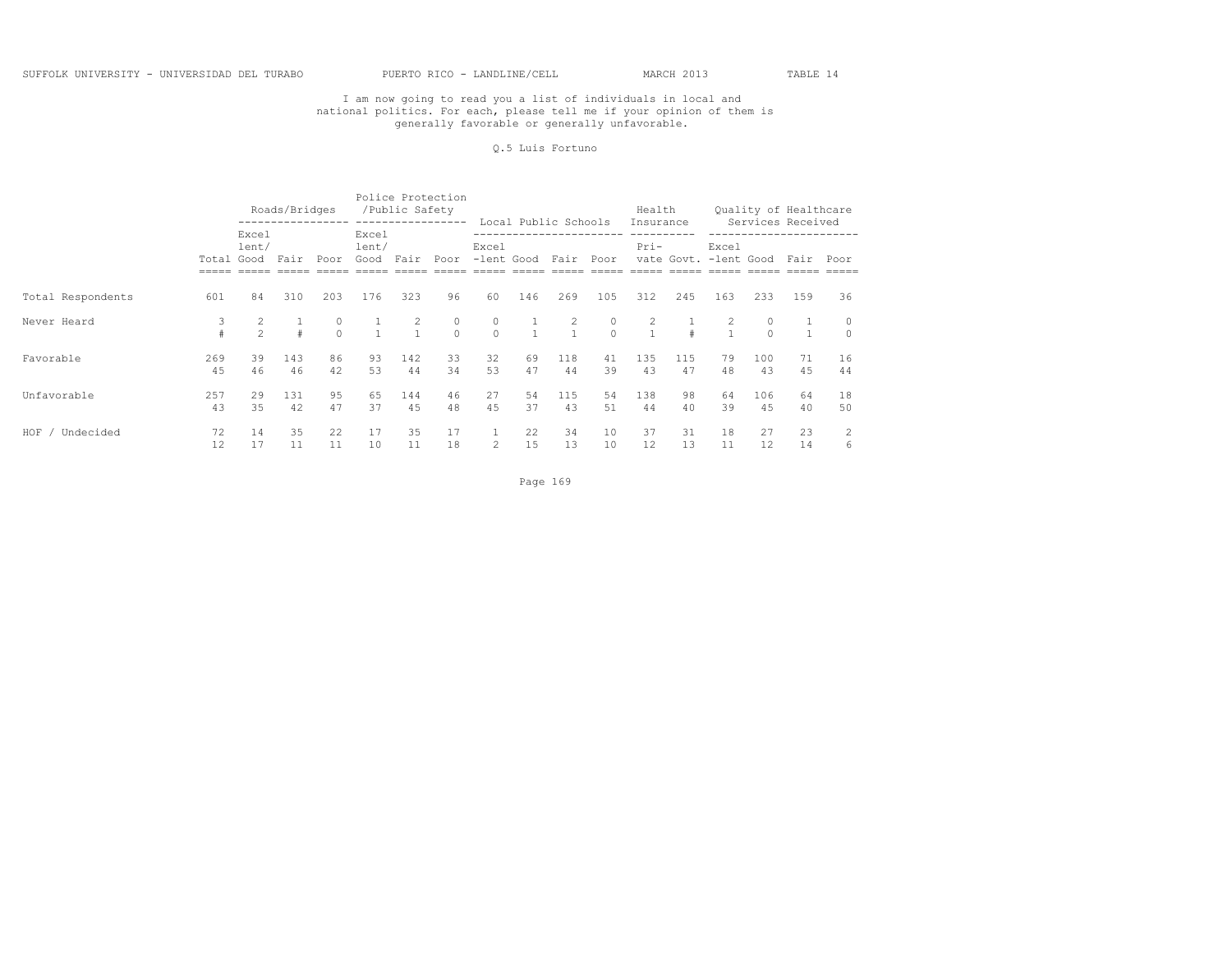#### Q.5 Luis Fortuno

|                    |            |                     | Roads/Bridges |               |                        | /Public Safety                 | Police Protection<br>----------------- |                     | Local Public Schools    |               |                     | Health<br>Insurance |                       |          |               | Quality of Healthcare<br>Services Received |          |
|--------------------|------------|---------------------|---------------|---------------|------------------------|--------------------------------|----------------------------------------|---------------------|-------------------------|---------------|---------------------|---------------------|-----------------------|----------|---------------|--------------------------------------------|----------|
|                    | Total Good | Excel<br>lent/      | Fair          | Poor          | Excel<br>lent/<br>Good | Fair                           | Poor                                   | Excel               | -lent Good Fair         |               | Poor                | Pri-                | vate Govt. -lent Good | Excel    |               | Fair Poor                                  |          |
| Total Respondents  | 601        | 84                  | 310           | 203           | 176                    | 323                            | 96                                     | 60                  | 146                     | 269           | 105                 | 312                 | 245                   | 163      | 233           | 159                                        | 36       |
| Never Heard        |            | 2<br>$\mathfrak{D}$ |               | 0<br>$\Omega$ |                        | $\overline{2}$<br>$\mathbf{1}$ | $\begin{matrix} 0 \\ 0 \end{matrix}$   | $\circ$<br>$\Omega$ | $\perp$<br>$\mathbf{1}$ | 2<br>$\sim$ 1 | $\circ$<br>$\Omega$ | 2<br>$\overline{1}$ |                       | 2        | 0<br>$\Omega$ | $\mathbf{1}$                               |          |
| Favorable          | 269<br>45  | 39<br>46            | 143<br>46     | 86<br>42      | 93<br>53               | 142<br>44                      | 33<br>34                               | 32<br>53            | 69<br>47                | 118<br>44     | 41<br>39            | 135<br>43           | 115<br>47             | 79<br>48 | 100<br>43     | 71<br>4.5                                  | 16<br>44 |
| Unfavorable        | 257<br>43  | 29<br>35            | 131<br>42     | 95<br>47      | 65<br>37               | 144<br>4.5                     | 46<br>48                               | 27<br>45            | 54<br>37                | 115<br>43     | 54<br>51            | 138<br>44           | 98<br>40              | 64<br>39 | 106<br>45     | 64<br>40                                   | 18<br>50 |
| HOF .<br>Undecided | 72<br>12   | 14<br>17            | 35<br>11      | 22<br>11      | 17<br>10               | 35<br>11                       | 17<br>18                               | $\overline{2}$      | 22<br>15                | 34<br>13      | 10<br>10            | 37<br>12            | 31<br>13              | 18<br>11 | 27<br>12      | 23<br>14                                   | 6        |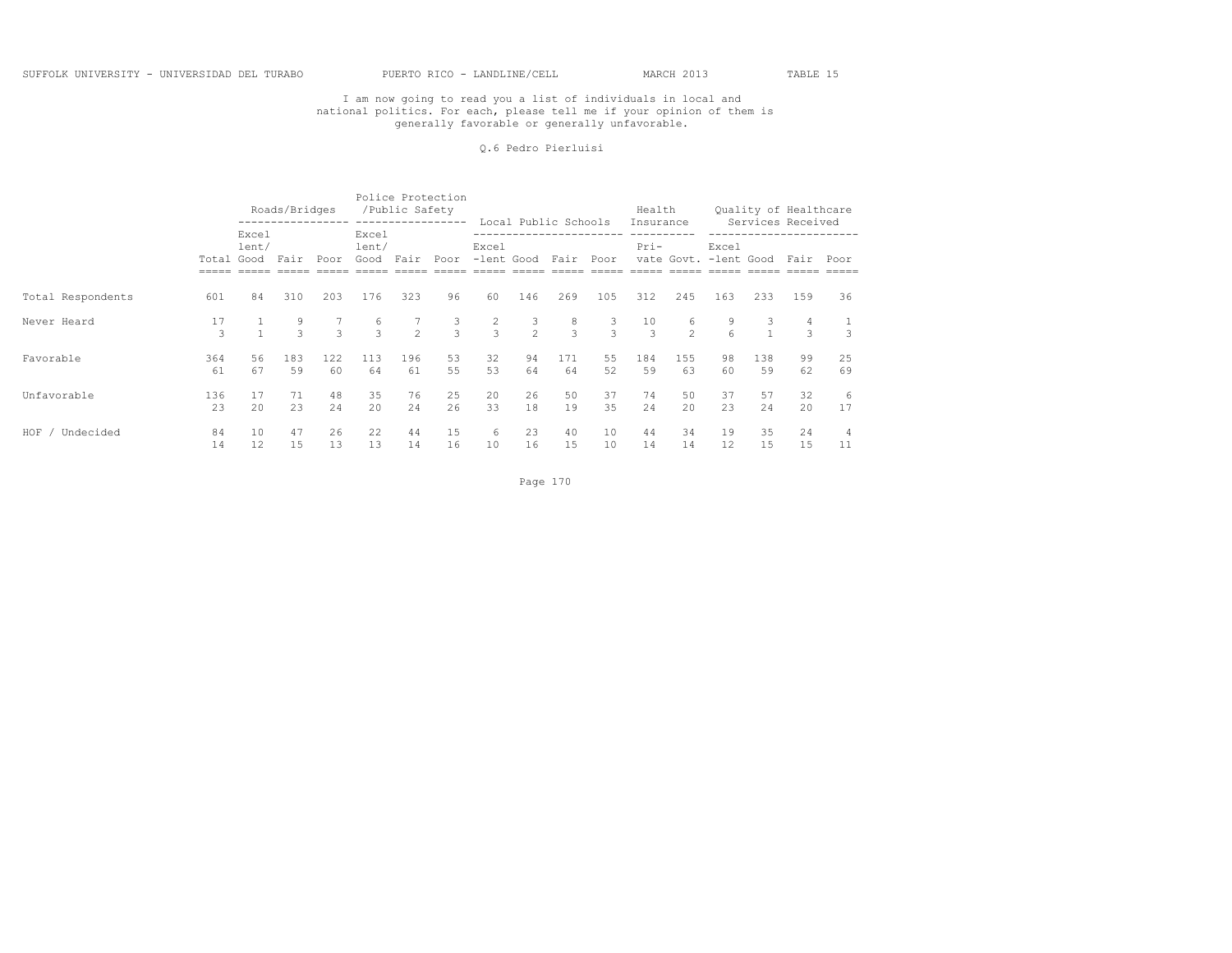#### Q.6 Pedro Pierluisi

|                    |            |                | Roads/Bridges     | ------------------ |                        | /Public Safety<br>----------------- | Police Protection |                                 | Local Public Schools |                    |                   | Health<br>Insurance |                     |                                |                   | Quality of Healthcare<br>Services Received |          |
|--------------------|------------|----------------|-------------------|--------------------|------------------------|-------------------------------------|-------------------|---------------------------------|----------------------|--------------------|-------------------|---------------------|---------------------|--------------------------------|-------------------|--------------------------------------------|----------|
|                    | Total Good | Excel<br>lent/ | Fair              | Poor               | Excel<br>lent/<br>Good | Fair                                | Poor              | Excel<br>-lent Good             |                      | Fair               | Poor              | $Pri-$              |                     | Excel<br>vate Govt. -lent Good |                   | Fair Poor                                  |          |
| Total Respondents  | 601        | 84             | 310               | 203                | 176                    | 323                                 | 96                | 60                              | 146                  | 269                | 105               | 312                 | 245                 | 163                            | 233               | 159                                        | 36       |
| Never Heard        | 17<br>3    |                | 9<br>$\mathbf{3}$ | $\mathcal{L}$      | 6<br>$\overline{3}$    | 7<br>$\mathcal{P}$                  | $\frac{3}{3}$     | $\overline{2}$<br>$\mathcal{R}$ | 3<br>$\overline{2}$  | 8<br>$\mathcal{L}$ | 3<br>$\mathbf{3}$ | 10<br>$\mathcal{L}$ | 6<br>$\mathfrak{D}$ | 9<br>$6 \overline{6}$          | 3<br>$\mathbf{1}$ | 4<br>3                                     |          |
| Favorable          | 364<br>61  | 56<br>67       | 183<br>59         | 122<br>60          | 113<br>64              | 196<br>61                           | 53<br>55          | 32<br>53                        | 94<br>64             | 171<br>64          | 55<br>52          | 184<br>59           | 155<br>63           | 98<br>60                       | 138<br>59         | 99<br>62                                   | 25<br>69 |
| Unfavorable        | 136<br>23  | 17<br>2.0      | 71<br>23          | 48<br>2.4          | 35<br>$20^{\circ}$     | 76<br>24                            | 25<br>26          | 20<br>33                        | 26<br>18             | 50<br>19           | 37<br>35          | 74<br>2.4           | 50<br>20            | 37<br>23                       | 57<br>24          | 32<br>20                                   | -6<br>17 |
| HOF ,<br>Undecided | 84<br>14   | 10<br>12       | 47<br>15          | 26<br>13           | 22<br>13               | 44<br>14                            | 15<br>16          | 6<br>10                         | 23<br>16             | 40<br>15           | 10<br>10          | 44<br>14            | 34<br>14            | 19<br>12                       | 35<br>15          | 24<br>15                                   | 4<br>11  |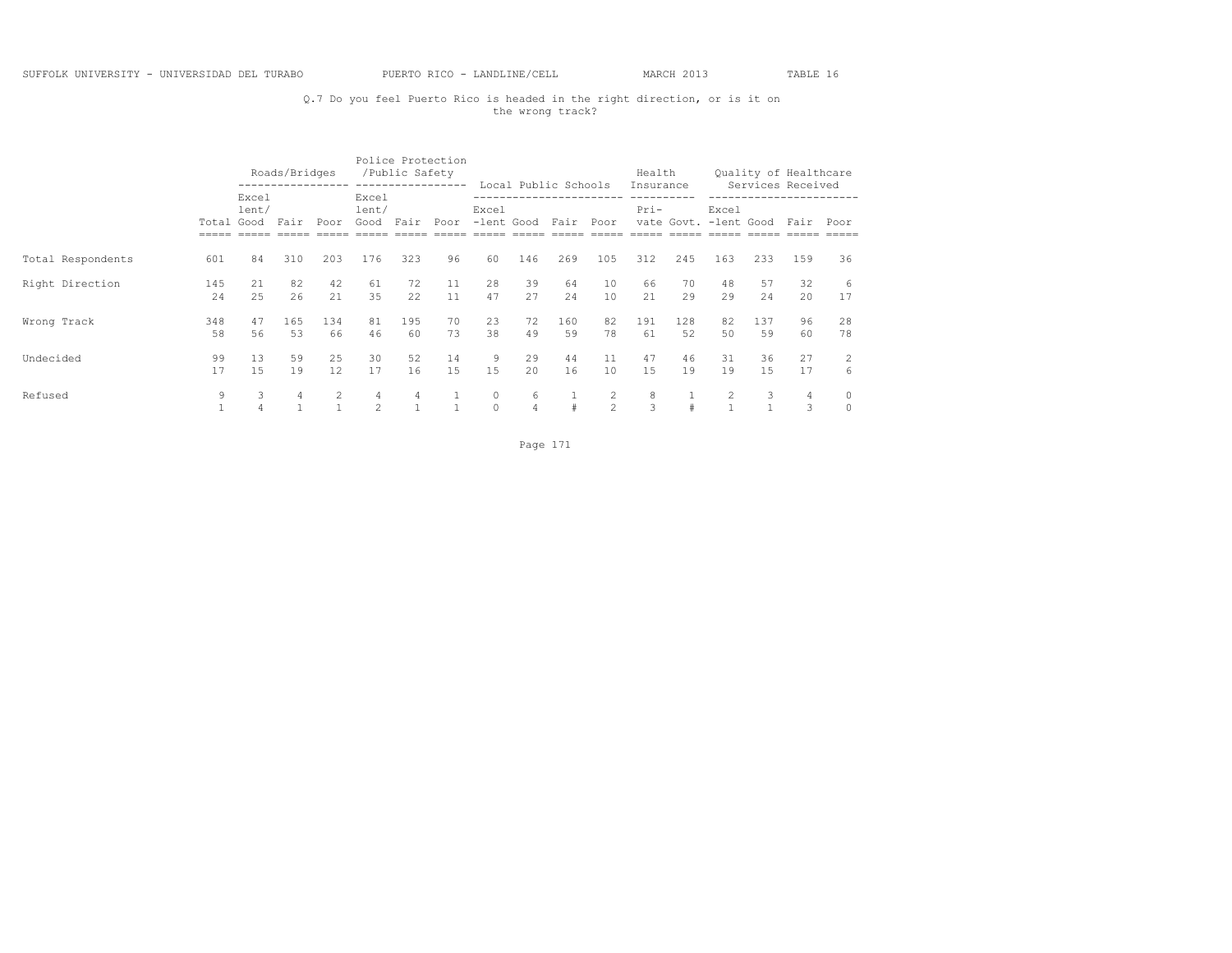# Q.7 Do you feel Puerto Rico is headed in the right direction, or is it on the wrong track?

|                   |                   |                | Roads/Bridges |                                |                                 | /Public Safety | Police Protection<br>----------------- |                    |                     | Local Public Schools |                     | Health            |            |                     |           | Quality of Healthcare<br>Services Received |                     |
|-------------------|-------------------|----------------|---------------|--------------------------------|---------------------------------|----------------|----------------------------------------|--------------------|---------------------|----------------------|---------------------|-------------------|------------|---------------------|-----------|--------------------------------------------|---------------------|
|                   | Total Good        | Excel<br>lent/ | Fair          | Poor                           | Excel<br>lent/<br>Good          | Fair           | Poor                                   | Excel              |                     | -lent Good Fair Poor |                     | Insurance<br>Pri- | vate Govt. | Excel<br>-lent Good |           | Fair                                       | Poor                |
| Total Respondents | 601               | 84             | 310           | 203                            | 176                             | 323            | 96                                     | 60                 | 146                 | 269                  | 105                 | 312               | 245        | 163                 | 233       | 159                                        | 36                  |
| Right Direction   | 145<br>2.4        | 21<br>2.5      | 82<br>26      | 42<br>21                       | 61<br>35                        | 72<br>2.2      | 11<br>11                               | 28<br>47           | 39<br>27            | 64<br>2.4            | 10<br>10            | 66<br>2.1         | 70<br>29   | 48<br>29            | 57<br>2.4 | 32<br>2.0                                  | 6<br>17             |
| Wrong Track       | 348<br>58         | 47<br>56       | 165<br>53     | 134<br>66                      | 81<br>46                        | 195<br>60      | 70<br>73                               | 23<br>38           | 72<br>49            | 160<br>59            | 82<br>78            | 191<br>61         | 128<br>52  | 82<br>50            | 137<br>59 | 96<br>60                                   | 28<br>78            |
| Undecided         | 99<br>17          | 1.3<br>1.5     | 59<br>19      | 25<br>12.                      | 30<br>17                        | 52<br>16       | 14<br>15                               | 9<br>15            | 29<br>20            | 44<br>16             | 11<br>10            | 47<br>1.5         | 46<br>19   | 31<br>19            | 36<br>1.5 | 27<br>17                                   | $\overline{2}$<br>6 |
| Refused           | 9<br>$\mathbf{1}$ | 3              | 4             | $\overline{2}$<br>$\mathbf{1}$ | $\overline{4}$<br>$\mathcal{P}$ | 4              |                                        | $\circ$<br>$\circ$ | 6<br>$\overline{4}$ |                      | 2<br>$\mathfrak{D}$ | 8<br>3            |            | 2                   | 3         | 4<br>3                                     | 0<br>$\mathbf{0}$   |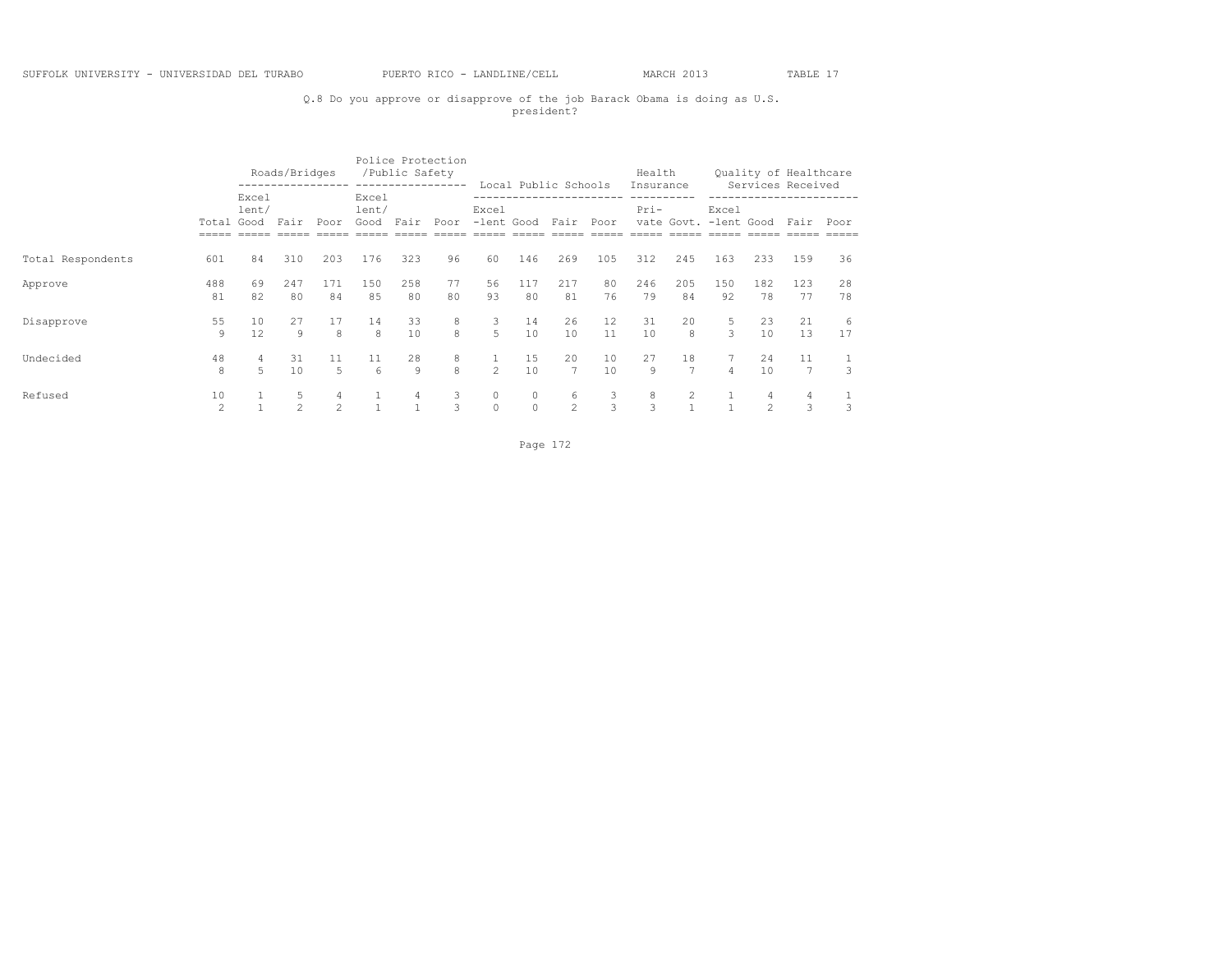# Q.8 Do you approve or disapprove of the job Barack Obama is doing as U.S. president?

|                   |                     |                | Roads/Bridges       |                     |                        | /Public Safety | Police Protection<br>------------------ |                               |                     | Local Public Schools |          | Health<br>Insurance |                      |                                |                     | Quality of Healthcare<br>Services Received |          |
|-------------------|---------------------|----------------|---------------------|---------------------|------------------------|----------------|-----------------------------------------|-------------------------------|---------------------|----------------------|----------|---------------------|----------------------|--------------------------------|---------------------|--------------------------------------------|----------|
|                   | Total Good          | Excel<br>lent/ | Fair                | Poor                | Excel<br>lent/<br>Good | Fair           | Poor                                    | Excel<br>-lent Good Fair      |                     |                      | Poor     | Pri-                |                      | Excel<br>vate Govt. -lent Good |                     | Fair                                       | Poor     |
| Total Respondents | 601                 | 84             | 310                 | 203                 | 176                    | 323            | 96                                      | 60                            | 146                 | 269                  | 105      | 312                 | 245                  | 163                            | 233                 | 159                                        | 36       |
| Approve           | 488<br>81           | 69<br>82       | 247<br>80           | 171<br>84           | 150<br>85              | 258<br>80      | 77<br>80                                | 56<br>93                      | 117<br>80           | 217<br>81            | 80<br>76 | 246<br>79           | 205<br>84            | 150<br>92                      | 182<br>78           | 123<br>77                                  | 28<br>78 |
| Disapprove        | 55<br>9             | 10<br>12.      | 27<br>9             | 17<br>8             | 14<br>8                | 33<br>10       | 8<br>8                                  | 3<br>5                        | 14<br>10            | 26<br>10             | 12<br>11 | 31<br>10            | 20<br>8              | 5<br>3                         | 23<br>10            | 21<br>13                                   | 6<br>17  |
| Undecided         | 48<br>8             | $\overline{5}$ | 31<br>10            | 11<br>5             | 11<br>-6               | 28<br>9        | 8<br>8                                  | $\mathbf{1}$<br>$\mathcal{P}$ | 15<br>10            | 20<br>$\overline{7}$ | 10<br>10 | 27<br>9             | 18<br>$\overline{7}$ | $\overline{4}$                 | 24<br>10            | 11<br>$\overline{7}$                       | 1<br>3   |
| Refused           | 10<br>$\mathcal{L}$ |                | 5<br>$\mathfrak{D}$ | 4<br>$\mathfrak{D}$ |                        | 4              | 3<br>3                                  | $\circ$<br>$\circ$            | $\circ$<br>$\Omega$ | 6<br>$\mathfrak{D}$  | 3<br>3   | 8<br>3              | $\overline{2}$       |                                | 4<br>$\mathfrak{D}$ | 4<br>3                                     | 3        |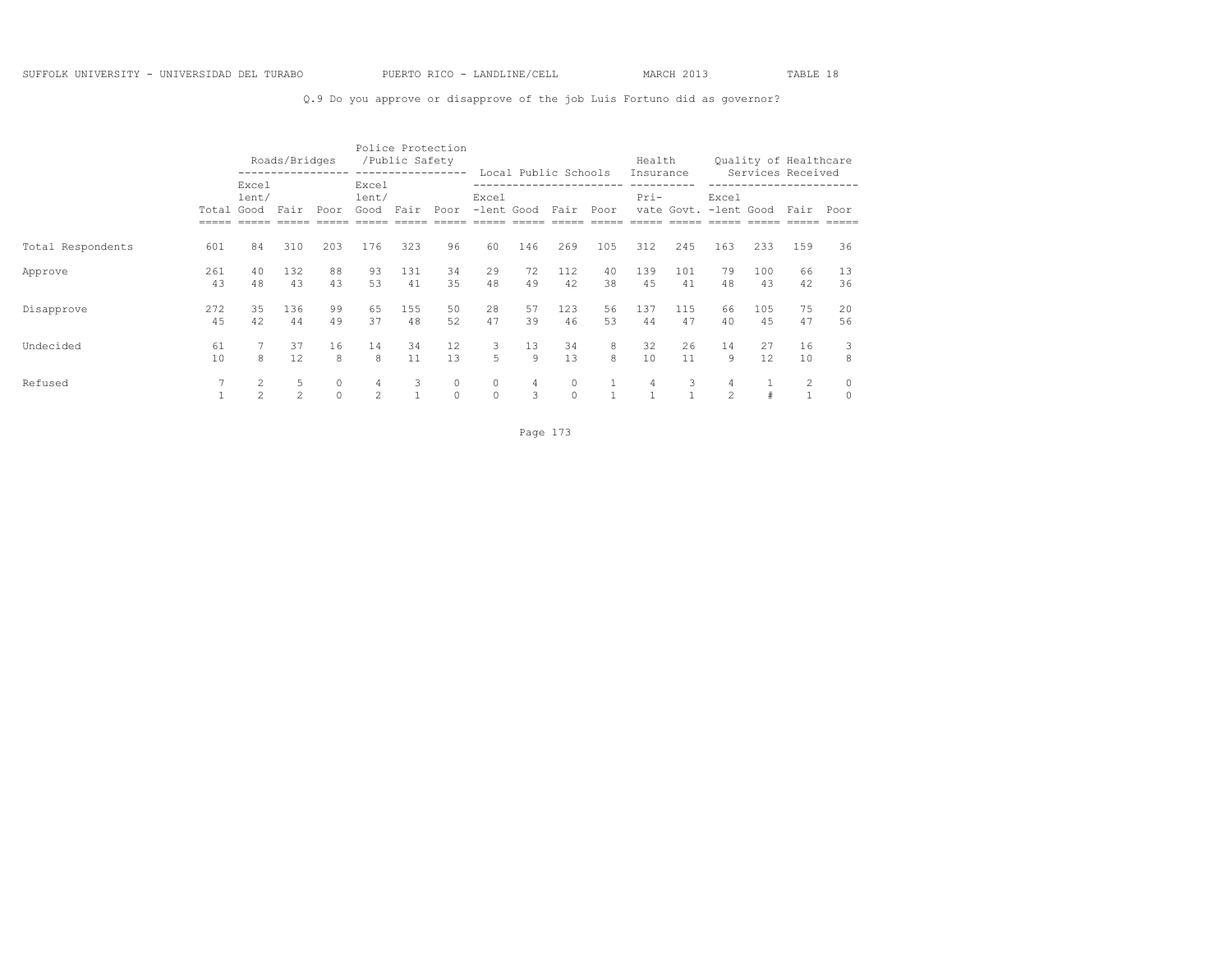## Q.9 Do you approve or disapprove of the job Luis Fortuno did as governor?

|                   |            |                | Roads/Bridges       |                     |                           | /Public Safety | Police Protection<br>---------------- |                          |          | Local Public Schools |          | Health<br>Insurance |           |                                |            | Quality of Healthcare<br>Services Received |          |
|-------------------|------------|----------------|---------------------|---------------------|---------------------------|----------------|---------------------------------------|--------------------------|----------|----------------------|----------|---------------------|-----------|--------------------------------|------------|--------------------------------------------|----------|
|                   | Total Good | Excel<br>lent/ | Fair                | Poor                | Excel<br>lent/<br>Good    | Fair           | Poor                                  | Excel<br>-lent Good Fair |          |                      | Poor     | Pri-                |           | Excel<br>vate Govt. -lent Good |            | Fair                                       | Poor     |
| Total Respondents | 601        | 84             | 310                 | 203                 | 176                       | 323            | 96                                    | 60                       | 146      | 269                  | 105      | 312                 | 245       | 163                            | 233        | 159                                        | 36       |
| Approve           | 261<br>43  | 40<br>48       | 132<br>43           | 88<br>43            | 93<br>53                  | 131<br>41      | 34<br>35                              | 29<br>48                 | 72<br>49 | 112<br>42            | 40<br>38 | 139<br>45           | 101<br>41 | 79<br>48                       | 100<br>43  | 66<br>42                                   | 13<br>36 |
| Disapprove        | 272<br>4.5 | 35<br>42       | 136<br>44           | 99<br>49            | 65<br>37                  | 155<br>48      | 50<br>52                              | 28<br>47                 | 57<br>39 | 123<br>46            | 56<br>53 | 137<br>44           | 115<br>47 | 66<br>40                       | 105<br>4.5 | 75<br>47                                   | 20<br>56 |
| Undecided         | 61<br>10   | 8              | 37<br>12            | 16<br>8             | 14<br>8                   | 34<br>11       | $12 \overline{ }$<br>13               | 3<br>5                   | 13<br>9  | 34<br>13             | 8<br>8   | 32<br>10            | 26<br>11  | 14<br>9                        | 27<br>12   | 16<br>10                                   | 3<br>8   |
| Refused           |            | $\mathfrak{D}$ | 5<br>$\mathfrak{D}$ | $\circ$<br>$\Omega$ | $\overline{4}$<br>$2^{1}$ | 3              | $\circ$<br>$\Omega$                   | $\circ$<br>$\Omega$      | 4<br>3   | $\circ$<br>$\Omega$  |          | 4<br>$\mathbf{1}$   | 3         | 4<br>$\mathfrak{D}$            | #          | $\overline{2}$<br>$\mathbf{1}$             |          |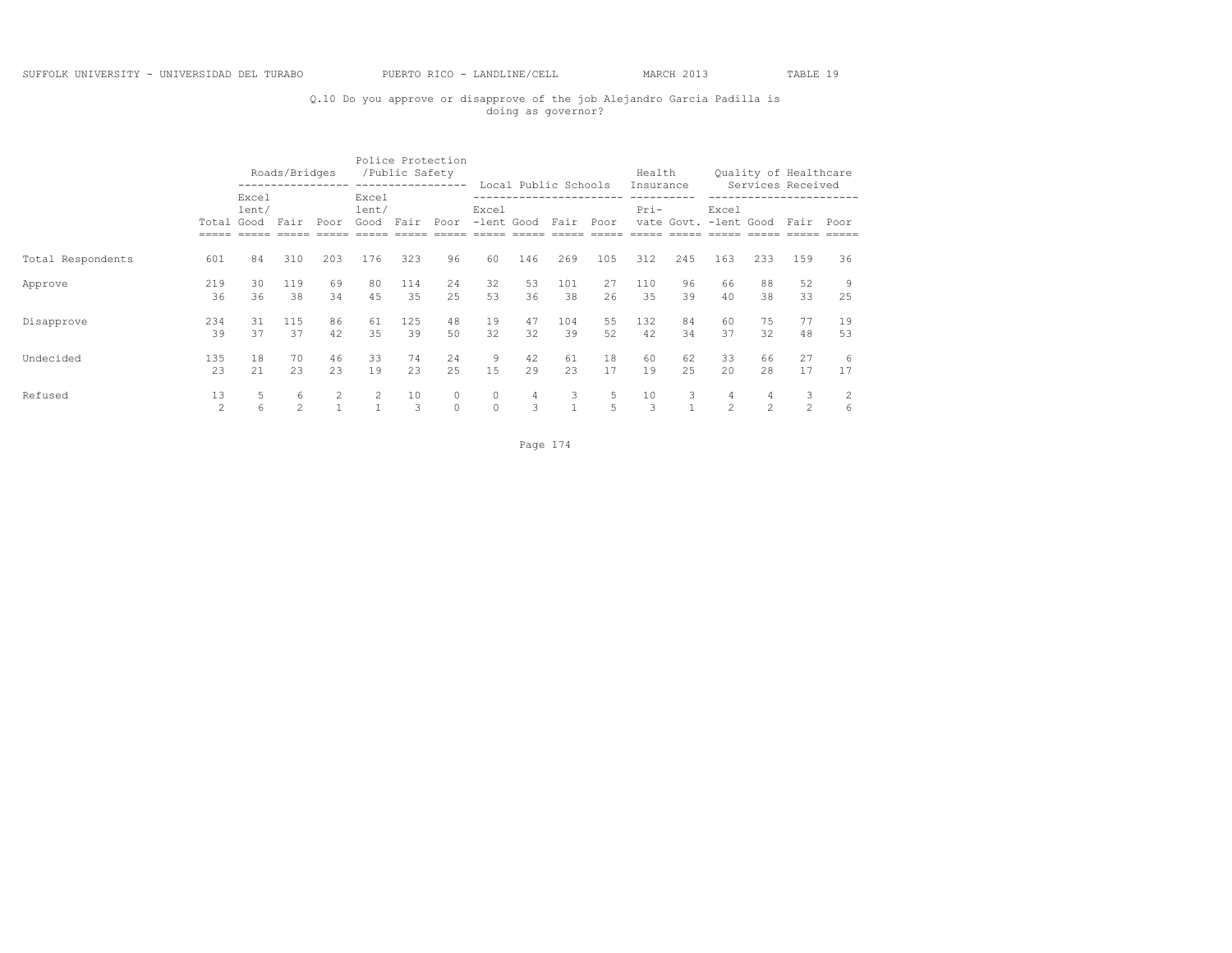# Q.10 Do you approve or disapprove of the job Alejandro Garcia Padilla is doing as governor?

|                   |                      |                | Roads/Bridges       |          |                        | Police Protection<br>/Public Safety | -----------------   |                     |                 | Local Public Schools |          | Health<br>Insurance |           |                                |                     | Quality of Healthcare<br>Services Received |                     |
|-------------------|----------------------|----------------|---------------------|----------|------------------------|-------------------------------------|---------------------|---------------------|-----------------|----------------------|----------|---------------------|-----------|--------------------------------|---------------------|--------------------------------------------|---------------------|
|                   | Total Good           | Excel<br>lent/ | Fair                | Poor     | Excel<br>lent/<br>Good | Fair                                | Poor                | Excel               | -lent Good Fair |                      | Poor     | $Pri-$              |           | Excel<br>vate Govt. -lent Good |                     | Fair                                       | Poor                |
| Total Respondents | 601                  | 84             | 310                 | 203      | 176                    | 323                                 | 96                  | 60                  | 146             | 269                  | 105      | 312                 | 245       | 163                            | 233                 | 159                                        | 36                  |
| Approve           | 219<br>36            | 30<br>36       | 119<br>38           | 69<br>34 | 80<br>45               | 114<br>35                           | 24<br>2.5           | 32<br>53            | 53<br>36        | 101<br>38            | 27<br>26 | 110<br>35           | 96<br>39  | 66<br>40                       | 88<br>38            | 52<br>33                                   | 9<br>25             |
| Disapprove        | 234<br>39            | 31<br>37       | 115<br>37           | 86<br>42 | 61<br>35               | 125<br>39                           | 48<br>50            | 19<br>32            | 47<br>32        | 104<br>39            | 55<br>52 | 132<br>42           | 84<br>34  | 60<br>37                       | 75<br>32            | 77<br>48                                   | 19<br>53            |
| Undecided         | 135<br>23            | 18<br>2.1      | 70<br>23            | 46<br>23 | 33<br>19               | 74<br>23                            | 24<br>2.5           | 9<br>1.5            | 42<br>29        | 61<br>23             | 18<br>17 | 60<br>19            | 62<br>2.5 | 33<br>20                       | 66<br>2.8           | 27<br>17                                   | 6<br>17             |
| Refused           | 13<br>$\mathfrak{D}$ | 5<br>6         | 6<br>$\mathfrak{D}$ | 2        | 2                      | 10<br>3                             | $\circ$<br>$\Omega$ | $\circ$<br>$\Omega$ | 4<br>3          | 3<br>1               | 5<br>5   | 10<br>3             | 3         | 4<br>$\mathfrak{D}$            | 4<br>$\mathfrak{D}$ | 3<br>2                                     | $\overline{c}$<br>6 |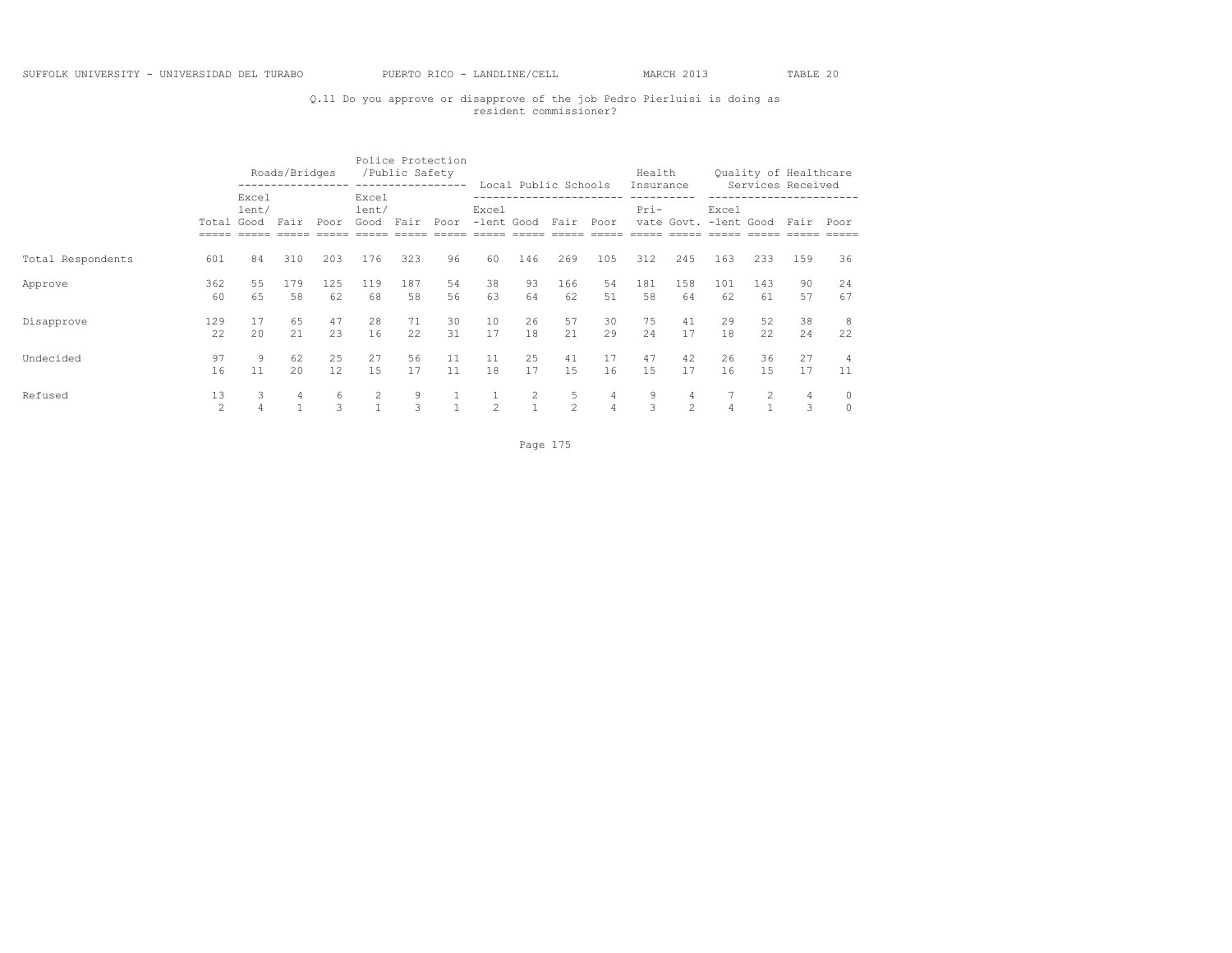# Q.11 Do you approve or disapprove of the job Pedro Pierluisi is doing as resident commissioner?

|                   |                      |                | Roads/Bridges |           |                             | Police Protection<br>/Public Safety | ----------------- |                |                     | Local Public Schools |                     | Health              |              |                                |            | Quality of Healthcare<br>Services Received |                      |
|-------------------|----------------------|----------------|---------------|-----------|-----------------------------|-------------------------------------|-------------------|----------------|---------------------|----------------------|---------------------|---------------------|--------------|--------------------------------|------------|--------------------------------------------|----------------------|
|                   | Total Good           | Excel<br>lent/ | Fair          | Poor      | Excel<br>lent/<br>Good Fair |                                     | Poor              | Excel          |                     | -lent Good Fair Poor |                     | Insurance<br>$Pri-$ |              | Excel<br>vate Govt. -lent Good |            | Fair                                       | Poor                 |
| Total Respondents | 601                  | 84             | 310           | 203       | 176                         | 323                                 | 96                | 60             | 146                 | 269                  | 105                 | 312                 | 245          | 163                            | 233        | 159                                        | 36                   |
| Approve           | 362<br>60            | 55<br>65       | 179<br>58     | 125<br>62 | 119<br>68                   | 187<br>58                           | 54<br>56          | 38<br>63       | 93<br>64            | 166<br>62            | 54<br>51            | 181<br>58           | 158<br>64    | 101<br>62                      | 143<br>61  | 90<br>57                                   | 24<br>67             |
| Disapprove        | 129<br>22.2          | 17<br>2.0      | 65<br>2.1     | 47<br>23  | 28<br>16                    | 71<br>22                            | 30<br>31          | 10<br>17       | 26<br>18            | 57<br>21             | 30<br>29            | 75<br>2.4           | 41<br>17     | 29<br>18                       | 52<br>22.2 | 38<br>24                                   | 8<br>22              |
| Undecided         | 97<br>16             | 9<br>11        | 62<br>2.0     | 25<br>12  | 27<br>1.5                   | 56<br>17                            | 11<br>11          | 11<br>18       | 25<br>17            | 41<br>1.5            | 17<br>16            | 47<br>15            | 42<br>17     | 26<br>16                       | 36<br>1.5  | 27<br>17                                   | $\overline{4}$<br>11 |
| Refused           | 13<br>$\mathfrak{D}$ | 3              | 4             | 6<br>3    | $\mathbf{1}$                | 9<br>3                              | $\overline{1}$    | $\mathfrak{D}$ | 2<br>$\overline{1}$ | 5<br>$\mathfrak{D}$  | 4<br>$\overline{4}$ | 9<br>3              | 4<br>$2^{1}$ | $\overline{4}$                 |            | $\overline{4}$<br>3                        | $\circ$<br>$\circ$   |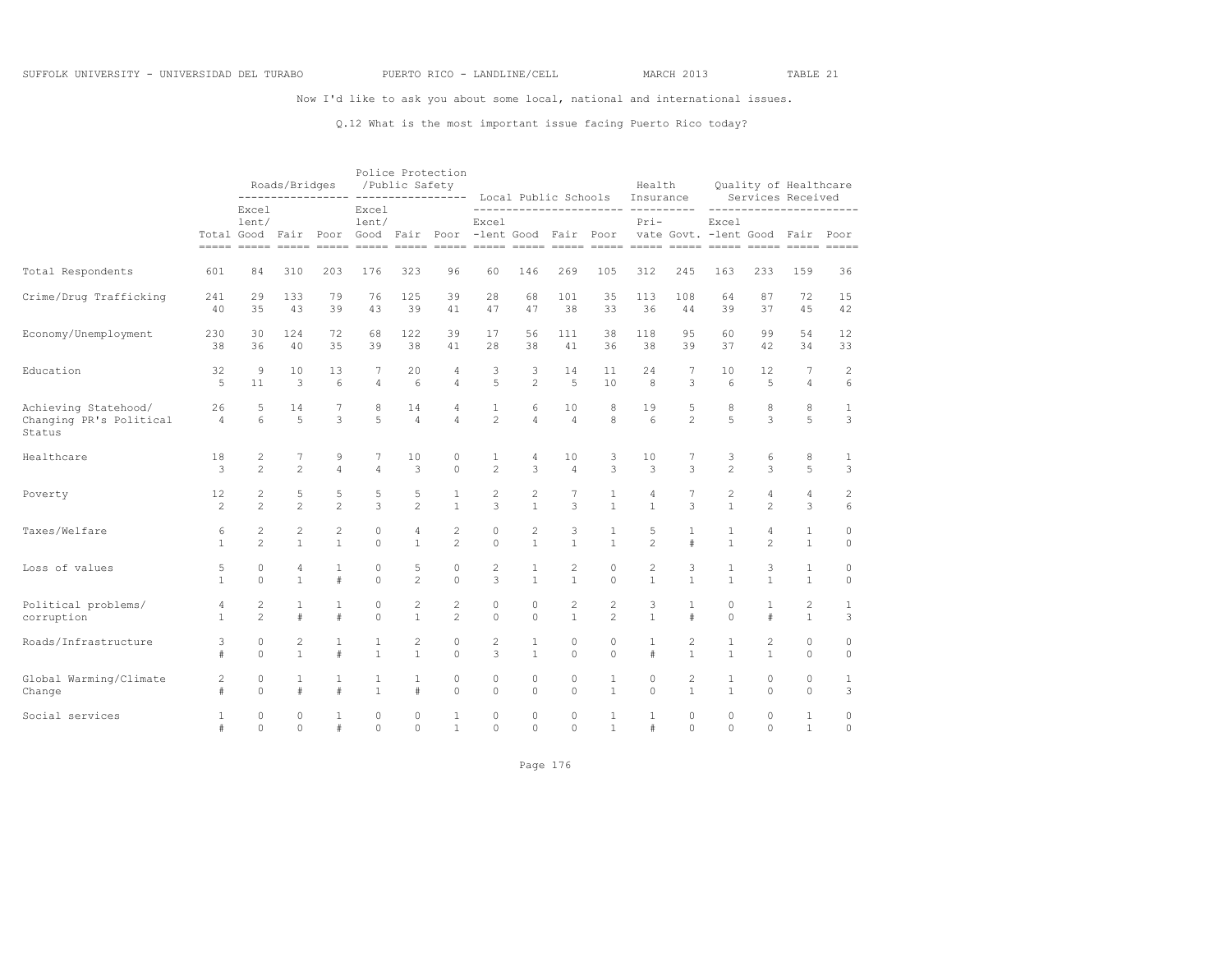Now I'd like to ask you about some local, national and international issues.

#### Q.12 What is the most important issue facing Puerto Rico today?

|                                                           |                      |                | Roads/Bridges  |                |                | /Public Safety       | Police Protection   |                                |                     | Local Public Schools                                     |                | Health<br>Insurance |                     | Services Received                         |                | Quality of Healthcare |                |
|-----------------------------------------------------------|----------------------|----------------|----------------|----------------|----------------|----------------------|---------------------|--------------------------------|---------------------|----------------------------------------------------------|----------------|---------------------|---------------------|-------------------------------------------|----------------|-----------------------|----------------|
|                                                           |                      | Excel<br>lent/ |                |                | Excel<br>lent/ |                      |                     | Excel                          |                     | Total Good Fair Poor Good Fair Poor -lent Good Fair Poor |                | $Pri-$              |                     | Excel<br>vate Govt. - lent Good Fair Poor |                |                       | $=====$        |
| Total Respondents                                         | 601                  | 84             | 310            | 203            | 176            | 323                  | 96                  | 60                             | 146                 | 269                                                      | 105            | 312                 | 245                 | 163                                       | 233            | 159                   | 36             |
| Crime/Drug Trafficking                                    | 241                  | 29             | 133            | 79             | 76             | 125                  | 39                  | 28                             | 68                  | 101                                                      | 35             | 113                 | 108                 | 64                                        | 87             | 72                    | 15             |
|                                                           | 40                   | 35             | 43             | 39             | 43             | 39                   | 41                  | 47                             | 47                  | 38                                                       | 33             | 36                  | 44                  | 39                                        | 37             | 4.5                   | 42             |
| Economy/Unemployment                                      | 230                  | 30             | 124            | 72             | 68             | 122                  | 39                  | 17                             | 56                  | 111                                                      | 38             | 118                 | 9.5                 | 60                                        | 99             | 54                    | 12             |
|                                                           | 38                   | 36             | 40             | 35             | 39             | 38                   | 41                  | 28                             | 38                  | 41                                                       | 36             | 38                  | 39                  | 37                                        | 42             | 34                    | 33             |
| Education                                                 | 32                   | 9              | 10             | 13             | 7              | 20                   | 4                   | 3                              | 3                   | 14                                                       | 11             | 24                  | 7                   | 10                                        | 12             | 7                     | $\overline{c}$ |
|                                                           | 5                    | 11             | 3              | 6              | $\overline{4}$ | 6                    | $\overline{4}$      | 5                              | $\overline{c}$      | 5                                                        | 10             | 8                   | 3                   | 6                                         | 5              | $\overline{4}$        | 6              |
| Achieving Statehood/<br>Changing PR's Political<br>Status | 26<br>$\overline{4}$ | 5<br>6         | 14<br>5        | 7<br>3         | 8<br>5         | 14<br>$\overline{4}$ | 4<br>$\overline{4}$ | $\mathbf{1}$<br>$\overline{c}$ | 6<br>$\overline{4}$ | 10<br>$\overline{4}$                                     | 8<br>8         | 19<br>6             | 5<br>$\mathfrak{D}$ | 8<br>5                                    | 8<br>3         | 8<br>5                | 1<br>3         |
| Healthcare                                                | 18                   | 2              | 7              | 9              | 7              | 10                   | 0                   | 1                              | 4                   | 10                                                       | 3              | 10                  | 7                   | 3                                         | 6              | 8                     | $\mathbf{1}$   |
|                                                           | 3                    | $\overline{c}$ | $\overline{c}$ | 4              | $\overline{4}$ | 3                    | $\circ$             | $\overline{c}$                 | 3                   | $\overline{4}$                                           | 3              | 3                   | $\mathcal{L}$       | $\overline{2}$                            | 3              | 5                     | 3              |
| Poverty                                                   | 12                   | $\overline{c}$ | 5              | 5              | 5              | 5                    | $\mathbf{1}$        | $\overline{c}$                 | $\mathbf{2}$        | 7                                                        | 1              | 4                   | $7\phantom{.0}$     | $\overline{c}$                            | $\sqrt{4}$     | 4                     | $\overline{c}$ |
|                                                           | $\overline{c}$       | $\overline{2}$ | $\overline{c}$ | $\overline{a}$ | 3              | $\mathfrak{D}$       | $\mathbf{1}$        | 3                              | $\mathbf{1}$        | 3                                                        | $\mathbf{1}$   | $\mathbf{1}$        | $\mathcal{L}$       | $\mathbf{1}$                              | $\mathfrak{D}$ | 3                     | 6              |
| Taxes/Welfare                                             | 6                    | $\overline{c}$ | $\mathbf{2}$   | $\overline{c}$ | $\circ$        | 4                    | $\overline{c}$      | 0                              | $\overline{c}$      | 3                                                        | 1              | 5                   | 1                   | 1                                         | 4              | 1                     | 0              |
|                                                           | $\mathbf{1}$         | $\overline{2}$ | $\mathbf{1}$   | $\mathbf{1}$   | $\Omega$       | $\mathbf{1}$         | $\overline{2}$      | $\Omega$                       | $\mathbf{1}$        | $\mathbf{1}$                                             | $\mathbf{1}$   | $\mathfrak{D}$      | #                   | $\mathbf{1}$                              | $\mathfrak{D}$ | $\mathbf{1}$          | $\Omega$       |
| Loss of values                                            | 5                    | 0              | 4              | $\mathbf{1}$   | $\circ$        | 5                    | $\circ$             | $\overline{c}$                 | $\mathbf{1}$        | 2                                                        | $\circ$        | 2                   | 3                   | $\mathbf{1}$                              | 3              | $\mathbf{1}$          | $\circ$        |
|                                                           | 1                    | $\Omega$       | $\mathbf{1}$   | #              | $\Omega$       | $\mathfrak{D}$       | $\Omega$            | 3                              | $\overline{1}$      | $\mathbf{1}$                                             | $\Omega$       | $\mathbf{1}$        | $\mathbf{1}$        | $\mathbf{1}$                              | $\mathbf{1}$   | $\mathbf{1}$          | $\Omega$       |
| Political problems/                                       | 4                    | 2              | $\mathbf{1}$   | $\mathbf{1}$   | $\circ$        | 2                    | 2                   | $\circ$                        | $\circ$             | 2                                                        | 2              | 3                   | $\mathbf{1}$        | $\circ$                                   | 1              | 2                     | $\mathbf{1}$   |
| corruption                                                | $\mathbf{1}$         | $\mathfrak{D}$ | $\#$           | #              | $\Omega$       | $\mathbf{1}$         | $\overline{c}$      | $\Omega$                       | $\Omega$            | $\mathbf{1}$                                             | $\mathfrak{D}$ | $\mathbf{1}$        | $\#$                | $\Omega$                                  | $\#$           | $\mathbf{1}$          | 3              |
| Roads/Infrastructure                                      | 3                    | 0              | $\overline{c}$ | $\mathbf{1}$   | 1              | $\overline{c}$       | $\circ$             | $\overline{c}$                 | 1                   | $\circ$                                                  | $\circ$        | 1                   | $\overline{c}$      | 1                                         | $\mathbf{2}$   | $\Omega$              | $\circ$        |
|                                                           | #                    | $\mathbf 0$    | $\mathbf{1}$   | $\#$           | $\mathbf{1}$   | $\mathbf{1}$         | $\mathbf 0$         | 3                              | $\mathbf{1}$        | $\circ$                                                  | $\circ$        | #                   | $\mathbf{1}$        | $\mathbf{1}$                              | $\mathbf{1}$   | $\circ$               | $\circ$        |
| Global Warming/Climate                                    | 2                    | 0              | $\mathbf{1}$   | 1              | 1              | 1                    | 0                   | $\circ$                        | $\circ$             | 0                                                        | 1              | 0                   | 2                   | $\mathbf{1}$                              | 0              | $\mathbb O$           | 1              |
| Change                                                    | #                    | $\Omega$       | $\#$           | $\#$           | $\mathbf{1}$   | $\#$                 | $\Omega$            | $\Omega$                       | $\Omega$            | $\Omega$                                                 | $\mathbf{1}$   | $\Omega$            | $\mathbf{1}$        | $\mathbf{1}$                              | $\Omega$       | $\Omega$              | 3              |
| Social services                                           | 1                    | 0              | $\circ$        | 1              | $\circ$        | 0                    | 1                   | $\circ$                        | $\circ$             | $\circ$                                                  | 1              | 1                   | $\Omega$            | $\Omega$                                  | $\circ$        | $\mathbf{1}$          | $\circ$        |
|                                                           | #                    | $\Omega$       | $\Omega$       | #              | $\Omega$       | $\Omega$             | $\mathbf{1}$        | $\Omega$                       | $\Omega$            | $\Omega$                                                 | $\mathbf{1}$   | $\#$                | $\Omega$            | $\Omega$                                  | $\Omega$       | $\mathbf{1}$          | $\circ$        |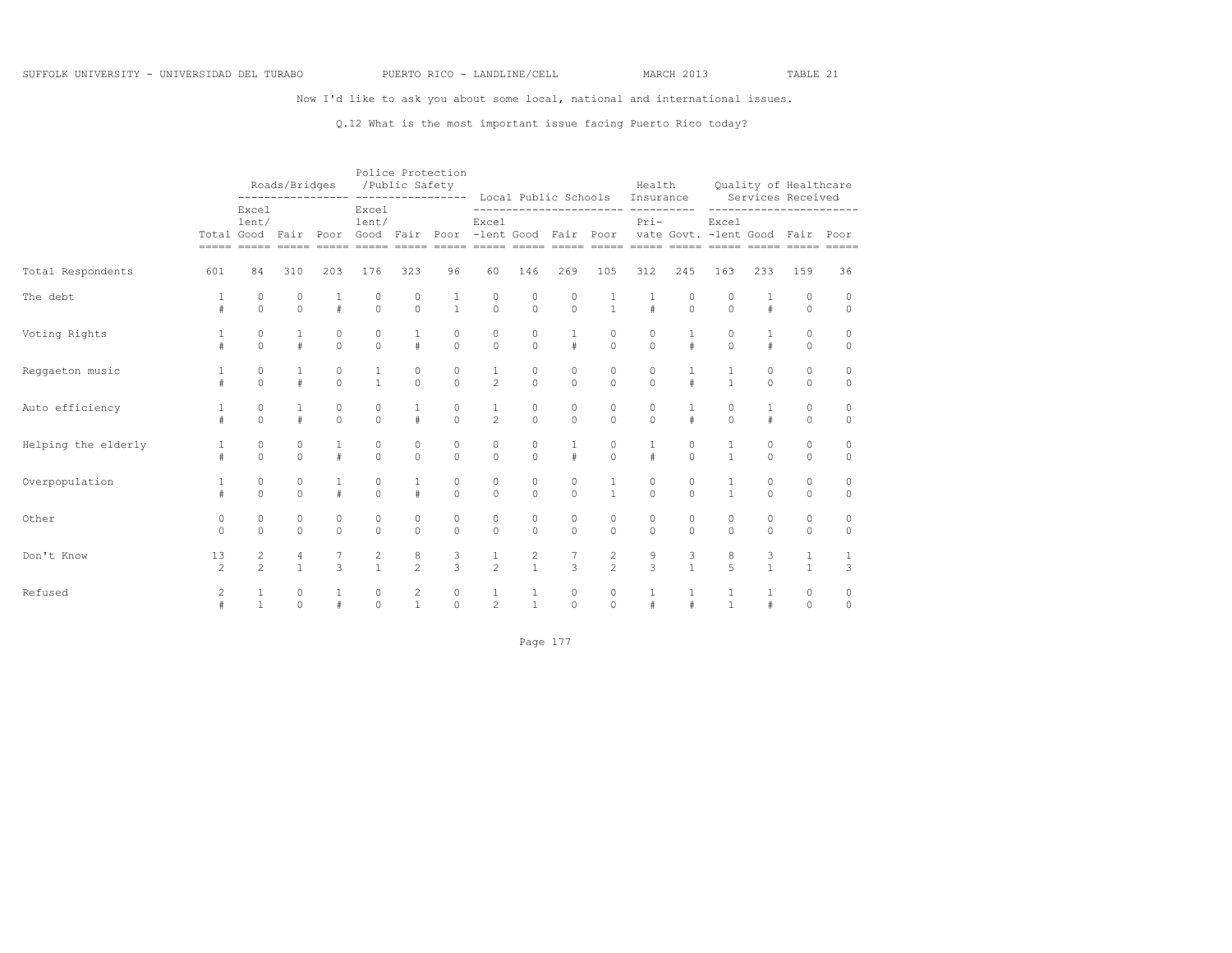Now I'd like to ask you about some local, national and international issues.

## Q.12 What is the most important issue facing Puerto Rico today?

|                     |                      |                                  | Roads/Bridges<br>---------------- |                     |                                   | Police Protection<br>/Public Safety<br>----------------- |                        |                                                |                                | Local Public Schools |                                  | Health<br>Insurance   |                      |                                |                    | Quality of Healthcare<br>Services Received |                       |
|---------------------|----------------------|----------------------------------|-----------------------------------|---------------------|-----------------------------------|----------------------------------------------------------|------------------------|------------------------------------------------|--------------------------------|----------------------|----------------------------------|-----------------------|----------------------|--------------------------------|--------------------|--------------------------------------------|-----------------------|
|                     | Total Good           | Excel<br>lent/                   | Fair<br>$=$ $=$ $=$ $=$ $=$       | Poor<br>$=====$     | Excel<br>lent/<br>Good<br>$=====$ | Fair<br>$=====$                                          | Poor                   | Excel<br>-lent Good<br>===== ===== ===== ===== |                                | Fair                 | ------------------<br>Poor       | -----------<br>$Pri-$ |                      | Excel<br>vate Govt. -lent Good |                    | Fair                                       | Poor<br>$== == == ==$ |
| Total Respondents   | 601                  | 84                               | 310                               | 203                 | 176                               | 323                                                      | 96                     | 60                                             | 146                            | 269                  | 105                              | 312                   | 245                  | 163                            | 233                | 159                                        | 36                    |
| The debt            | #                    | 0<br>$\Omega$                    | 0<br>$\circ$                      | 1<br>$\#$           | 0<br>$\Omega$                     | 0<br>$\Omega$                                            | $\mathbf{1}$           | 0<br>$\Omega$                                  | 0<br>$\Omega$                  | 0<br>$\Omega$        | $\mathbf{1}$                     | #                     | 0<br>$\Omega$        | 0<br>$\Omega$                  | 1<br>$\#$          | 0<br>$\Omega$                              | 0<br>$\mathbf 0$      |
| Voting Rights       | 1<br>#               | 0<br>$\Omega$                    | 1<br>#                            | $\circ$<br>$\circ$  | 0<br>$\Omega$                     | 1<br>#                                                   | $\circ$<br>$\circ$     | 0<br>$\Omega$                                  | $\Omega$<br>$\Omega$           | 1<br>$\#$            | 0<br>$\mathbf 0$                 | $\Omega$<br>$\Omega$  | $\mathbf{1}$<br>#    | $\Omega$<br>$\Omega$           | 1<br>$\#$          | 0<br>0                                     | 0<br>0                |
| Reggaeton music     | 1<br>#               | $\circ$<br>$\mathbf 0$           | 1<br>#                            | $\circ$<br>$\circ$  | 1<br>$\mathbf{1}$                 | $\circ$<br>$\mathbf 0$                                   | $\circ$<br>$\mathbb O$ | $\mathbf{1}$<br>$\overline{2}$                 | $\circ$<br>$\mathbf{0}$        | 0<br>$\circ$         | $\mathbf 0$<br>$\circ$           | $\circ$<br>$\circ$    | $\mathbf{1}$<br>$\#$ | $\mathbf{1}$                   | $\circ$<br>$\circ$ | 0<br>0                                     | 0<br>$\mathbf 0$      |
| Auto efficiency     | 1<br>#               | 0<br>$\Omega$                    | 1<br>#                            | 0<br>$\circ$        | 0<br>$\Omega$                     | 1<br>$\#$                                                | 0<br>$\mathbf{0}$      | 1<br>$\overline{2}$                            | 0<br>$\Omega$                  | 0<br>$\Omega$        | 0<br>$\mathbf 0$                 | 0<br>$\Omega$         | 1<br>#               | 0<br>$\Omega$                  | 1<br>$\#$          | 0<br>$\Omega$                              | 0<br>$\mathbf 0$      |
| Helping the elderly | #                    | 0<br>$\Omega$                    | 0<br>$\circ$                      | 1<br>$\#$           | 0<br>$\Omega$                     | 0<br>$\Omega$                                            | 0<br>$\circ$           | 0<br>$\circ$                                   | $\circ$<br>$\Omega$            | $\#$                 | 0<br>$\Omega$                    | 1<br>#                | 0<br>$\Omega$        | $\mathbf{1}$<br>$\mathbf{1}$   | 0<br>$\circ$       | 0<br>0                                     | 0<br>$\circ$          |
| Overpopulation      | #                    | 0<br>$\circ$                     | 0<br>$\circ$                      | 1<br>$\#$           | $\circ$<br>$\Omega$               | #                                                        | 0<br>$\circ$           | $\mathbf{0}$<br>$\mathbf 0$                    | 0<br>$\Omega$                  | 0<br>$\Omega$        | $\mathbf{1}$                     | 0<br>$\circ$          | $\Omega$<br>$\cap$   | $\mathbf{1}$                   | 0<br>$\circ$       | 0<br>0                                     | 0<br>$\mathbf 0$      |
| Other               | $\circ$<br>$\Omega$  | 0<br>$\Omega$                    | $\circ$<br>$\mathbf 0$            | $\circ$<br>$\Omega$ | 0<br>$\Omega$                     | $\mathbf{0}$<br>$\Omega$                                 | 0<br>$\Omega$          | $\mathbf{0}$<br>$\Omega$                       | $\circ$<br>$\Omega$            | 0<br>$\Omega$        | 0<br>$\Omega$                    | 0<br>$\Omega$         | $\Omega$<br>$\Omega$ | 0<br>$\cap$                    | 0<br>$\Omega$      | 0<br>0                                     | 0<br>$\mathbf 0$      |
| Don't Know          | 13<br>$\overline{c}$ | $\overline{c}$<br>$\overline{2}$ | 4<br>$\mathbf{1}$                 | 7<br>3              | $\overline{c}$<br>$\mathbf{1}$    | 8<br>$\mathfrak{D}$                                      | 3<br>3                 | 1<br>$\overline{2}$                            | $\overline{c}$<br>$\mathbf{1}$ | 7<br>3               | $\overline{c}$<br>$\overline{c}$ | 9<br>3                | 3<br>$\mathbf{1}$    | 8<br>5                         | 3<br>$\mathbf{1}$  | 1<br>$\mathbf{1}$                          | 1<br>3                |
| Refused             | $\overline{c}$<br>#  | 1<br>$\mathbf{1}$                | 0<br>$\mathbf 0$                  | 1<br>$\#$           | 0<br>$\Omega$                     | $\overline{c}$<br>1                                      | 0<br>$\circ$           | 1<br>$\overline{c}$                            | 1<br>$\mathbf{1}$              | 0<br>$\Omega$        | 0<br>$\mathbf 0$                 | 1<br>#                | 1<br>#               | 1<br>$\mathbf{1}$              | 1<br>$\#$          | 0<br>$\Omega$                              | 0<br>0                |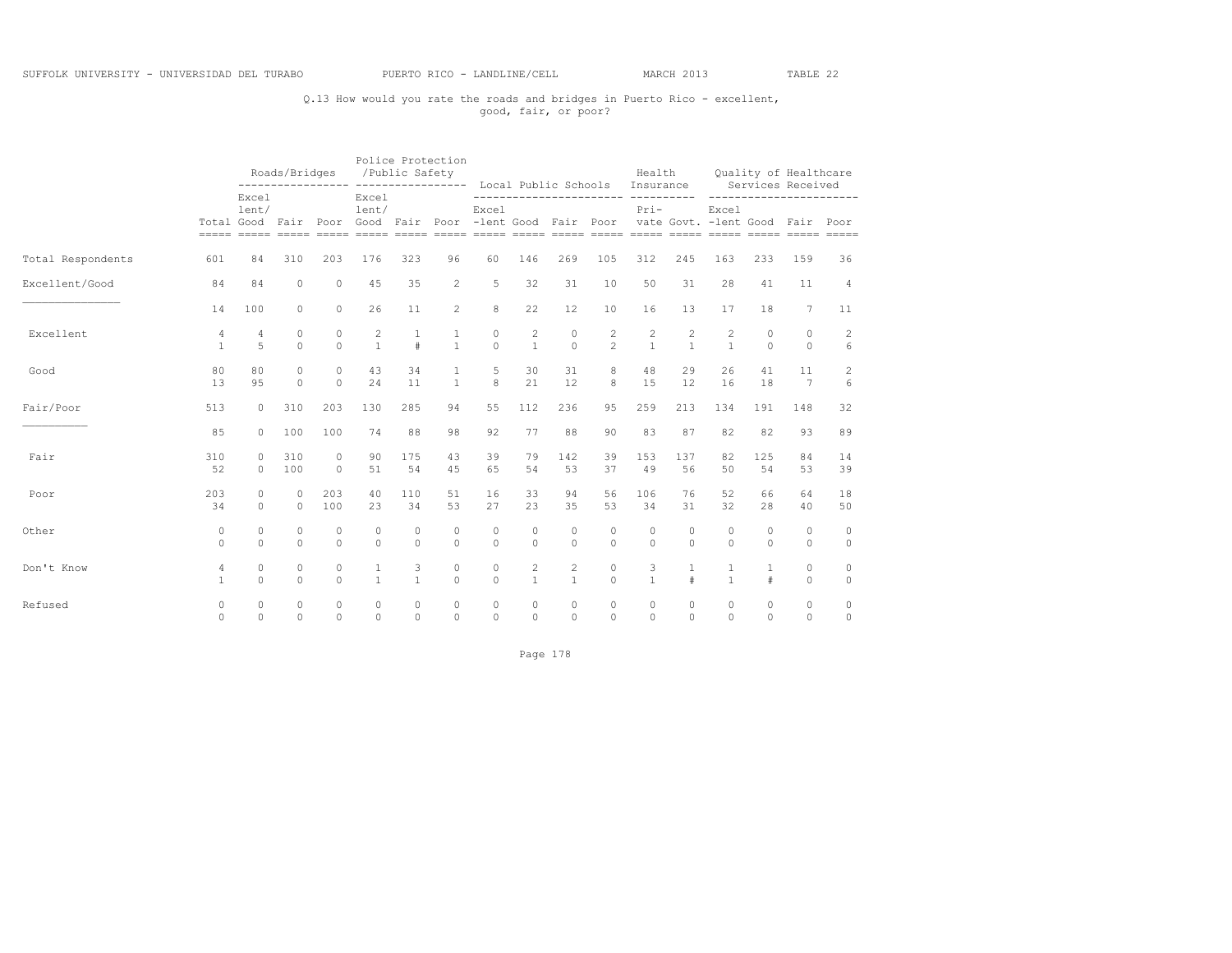# Q.13 How would you rate the roads and bridges in Puerto Rico - excellent, good, fair, or poor?

|                   |                                |                      | Roads/Bridges         |                      |                         | /Public Safety       | Police Protection              |                                                                                          |                                | Local Public Schools Insurance        |                     | Health              |                              |                     |                      | Quality of Healthcare<br>Services Received |                         |
|-------------------|--------------------------------|----------------------|-----------------------|----------------------|-------------------------|----------------------|--------------------------------|------------------------------------------------------------------------------------------|--------------------------------|---------------------------------------|---------------------|---------------------|------------------------------|---------------------|----------------------|--------------------------------------------|-------------------------|
|                   |                                | Excel<br>lent/       |                       |                      | Excel<br>lent/          |                      |                                | Excel                                                                                    |                                |                                       |                     | $Pri-$              |                              | Excel               |                      | -----------------                          |                         |
|                   |                                |                      |                       |                      |                         |                      |                                | Total Good Fair Poor Good Fair Poor -lent Good Fair Poor vate Govt. -lent Good Fair Poor |                                |                                       |                     |                     |                              |                     |                      |                                            |                         |
| Total Respondents | 601                            | 84                   | 310                   | 203                  | 176                     | 323                  | 96                             | 60                                                                                       | 146                            | 269                                   | 105                 | 312                 | 245                          | 163                 | 233                  | 159                                        | 36                      |
| Excellent/Good    | 84                             | 84                   | $\circ$               | $\circ$              | 45                      | 35                   | $\overline{2}$                 | 5                                                                                        | 32                             | 31                                    | 10                  | 50                  | 31                           | 28                  | 41                   | 11                                         | 4                       |
|                   | 14                             | 100                  | $\circ$               | $\Omega$             | 26                      | 11                   | $\overline{2}$                 | 8                                                                                        | 22                             | $12 \overline{ }$                     | 10                  | 16                  | 13                           | 17                  | 18                   | $\overline{7}$                             | 11                      |
| Excellent         | 4<br>$\mathbf{1}$              | $\overline{4}$<br>5  | $\Omega$<br>$\Omega$  | $\Omega$<br>$\Omega$ | 2<br>$\mathbf{1}$       | $\mathbf{1}$<br>$\#$ | $\mathbf{1}$<br>$\overline{1}$ | $\circ$<br>$\Omega$                                                                      | 2<br>$\mathbf{1}$              | $\Omega$<br>$\Omega$                  | 2<br>$2^{1}$        | 2<br>$\mathbf{1}$   | $\mathbf{2}$<br>$\mathbf{1}$ | 2<br>$\mathbf{1}$   | $\Omega$<br>$\Omega$ | $\Omega$<br>$\Omega$                       | $\overline{c}$<br>6     |
| Good              | 80<br>13                       | 80<br>95             | $\Omega$<br>$\Omega$  | $\Omega$<br>$\Omega$ | 43<br>24                | 34<br>11             | 1<br>$\overline{1}$            | 5<br>8                                                                                   | 30<br>21                       | 31<br>12                              | 8<br>8              | 48<br>15            | 29<br>12                     | 26<br>16            | 41<br>18             | 11<br>$\overline{7}$                       | 2<br>6                  |
| Fair/Poor         | 513                            | $\circ$              | 310                   | 203                  | 130                     | 285                  | 94                             | 55                                                                                       | 112                            | 236                                   | 95                  | 259                 | 213                          | 134                 | 191                  | 148                                        | 32                      |
|                   | 85                             | $\Omega$             | 100                   | 100                  | 74                      | 88                   | 98                             | 92                                                                                       | 77                             | 88                                    | 90                  | 83                  | 87                           | 82                  | 82                   | 93                                         | 89                      |
| Fair              | 310<br>52                      | $\Omega$<br>$\Omega$ | 310<br>100            | $\Omega$<br>$\Omega$ | 90<br>51                | 175<br>54            | 43<br>45                       | 39<br>65                                                                                 | 79<br>54                       | 142<br>53                             | 39<br>37            | 153<br>49           | 137<br>56                    | 82<br>50            | 125<br>54            | 84<br>53                                   | 14<br>39                |
| Poor              | 203<br>34                      | $\Omega$<br>$\Omega$ | $\bigcap$<br>$\Omega$ | 203<br>100           | 40<br>2.3               | 110<br>34            | 51<br>53                       | 16<br>27                                                                                 | 33<br>23                       | 94<br>35                              | 56<br>53            | 106<br>34           | 76<br>31                     | 52<br>32            | 66<br>28             | 64<br>40                                   | 18<br>50                |
| Other             | $\circ$<br>$\Omega$            | 0<br>$\Omega$        | $\circ$<br>$\circ$    | 0<br>$\Omega$        | $\Omega$<br>$\Omega$    | $\circ$<br>$\Omega$  | $\circ$<br>$\Omega$            | $\circ$<br>$\Omega$                                                                      | $\circ$<br>$\Omega$            | 0<br>$\Omega$                         | $\circ$<br>$\Omega$ | 0<br>$\Omega$       | $\circ$<br>$\Omega$          | 0<br>$\Omega$       | 0<br>$\Omega$        | $\mathbf{0}$<br>$\circ$                    | $\mathbf{0}$<br>$\circ$ |
| Don't Know        | $\overline{4}$<br>$\mathbf{1}$ | $\circ$<br>$\Omega$  | $\circ$<br>$\Omega$   | 0<br>$\Omega$        | $\mathbf{1}$            | 3<br>$\mathbf{1}$    | $\circ$<br>$\Omega$            | $\circ$<br>$\Omega$                                                                      | $\overline{c}$<br>$\mathbf{1}$ | $\mathbf{2}^{\prime}$<br>$\mathbf{1}$ | $\circ$<br>$\Omega$ | 3<br>$\mathbf{1}$   | $\#$                         | 1<br>$\mathbf{1}$   | #                    | $\circ$<br>$\circ$                         | $\circ$<br>$\mathbb O$  |
| Refused           | $\circ$<br>$\Omega$            | $\circ$<br>$\Omega$  | $\circ$<br>$\Omega$   | $\circ$<br>$\Omega$  | $\mathbf 0$<br>$\Omega$ | 0<br>$\Omega$        | 0<br>$\Omega$                  | $\circ$<br>$\Omega$                                                                      | $\circ$<br>$\Omega$            | $\circ$<br>$\Omega$                   | $\circ$<br>$\Omega$ | $\circ$<br>$\Omega$ | $\circ$<br>$\Omega$          | $\circ$<br>$\Omega$ | $\circ$<br>$\Omega$  | $\circ$<br>$\Omega$                        | $\circ$<br>$\circ$      |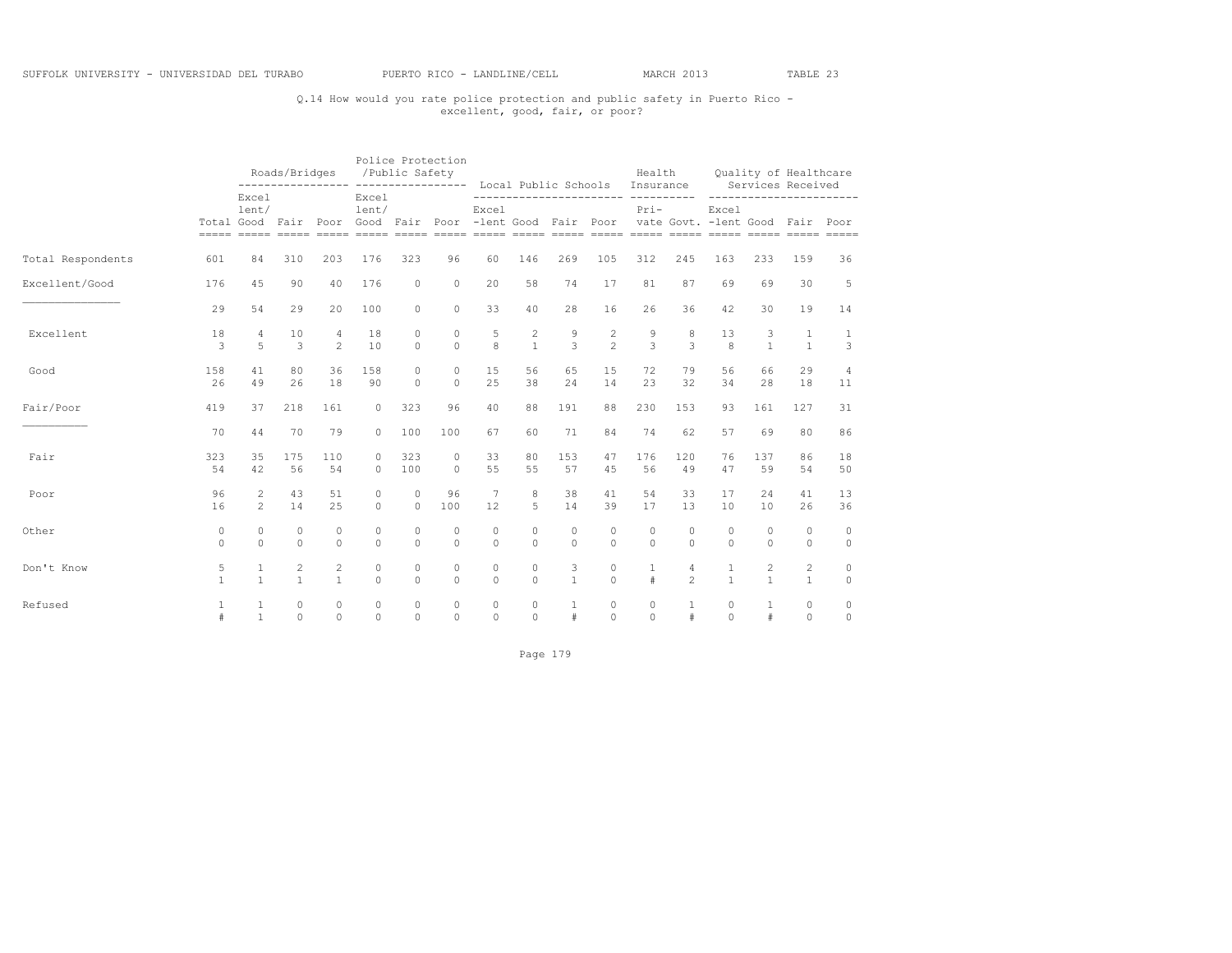# Q.14 How would you rate police protection and public safety in Puerto Rico - excellent, good, fair, or poor?

|                   |              |                | Roads/Bridges<br>------------------ ------------------- |                |                | Police Protection<br>/Public Safety |          |                                                                                                   |              |              | Local Public Schools Insurance     | Health       |                |              |              | Quality of Healthcare<br>Services Received |                |
|-------------------|--------------|----------------|---------------------------------------------------------|----------------|----------------|-------------------------------------|----------|---------------------------------------------------------------------------------------------------|--------------|--------------|------------------------------------|--------------|----------------|--------------|--------------|--------------------------------------------|----------------|
|                   |              | Excel<br>lent/ |                                                         |                | Excel<br>lent/ |                                     |          | Excel<br>Total Good Fair Poor Good Fair Poor -lent Good Fair Poor vate Govt. -lent Good Fair Poor |              |              | ------------------------ --------- | $Pri-$       |                | Excel        |              | -----------------                          |                |
| Total Respondents | 601          | 84             | 310                                                     | 203            | 176            | 323                                 | 96       | 60                                                                                                | 146          | 269          | 105                                | 312          | 245            | 163          | 233          | 159                                        | 36             |
| Excellent/Good    | 176          | 45             | 90                                                      | 40             | 176            | $\circ$                             | $\circ$  | 20                                                                                                | 58           | 74           | 17                                 | 81           | 87             | 69           | 69           | 30                                         | 5              |
|                   | 29           | 54             | 29                                                      | 20             | 100            | $\circ$                             | $\circ$  | 33                                                                                                | 40           | 28           | 16                                 | 26           | 36             | 42           | 30           | 19                                         | 14             |
| Excellent         | 18           | 4              | 10                                                      | 4              | 18             | $\Omega$                            | $\Omega$ | 5                                                                                                 | $\mathbf{2}$ | 9            | 2                                  | 9            | 8              | 13           | 3            | $\mathbf{1}$                               | $\mathbf{1}$   |
|                   | 3            | 5              | 3                                                       | $\overline{2}$ | 10             | $\Omega$                            | $\Omega$ | 8                                                                                                 | $\mathbf{1}$ | 3            | $\mathfrak{D}$                     | 3            | 3              | 8            | $\mathbf{1}$ | $\mathbf{1}$                               | 3              |
| Good              | 158          | 41             | 80                                                      | 36             | 158            | $\cap$                              | $\Omega$ | 15                                                                                                | 56           | 65           | 15                                 | 72           | 79             | 56           | 66           | 29                                         | $\overline{4}$ |
|                   | 26           | 49             | 26                                                      | 18             | 90             | $\Omega$                            | $\Omega$ | 2.5                                                                                               | 38           | 2.4          | 14                                 | 23           | 32             | 34           | 28           | 18                                         | 11             |
| Fair/Poor         | 419          | 37             | 218                                                     | 161            | $\circ$        | 323                                 | 96       | 40                                                                                                | 88           | 191          | 88                                 | 230          | 153            | 93           | 161          | 127                                        | 31             |
|                   | 70           | 44             | 70                                                      | 79             | $\Omega$       | 100                                 | 100      | 67                                                                                                | 60           | 71           | 84                                 | 74           | 62             | 57           | 69           | 80                                         | 86             |
| Fair              | 323          | 35             | 175                                                     | 110            | $\Omega$       | 323                                 | $\circ$  | 33                                                                                                | 80           | 153          | 47                                 | 176          | 120            | 76           | 137          | 86                                         | 18             |
|                   | 54           | 42             | 56                                                      | 54             | $\Omega$       | 100                                 | $\circ$  | 55                                                                                                | 55           | 57           | 45                                 | 56           | 49             | 47           | 59           | 54                                         | 50             |
| Poor              | 96           | $\overline{2}$ | 43                                                      | 51             | $\Omega$       | $\circ$                             | 96       | $7\phantom{.0}$                                                                                   | 8            | 38           | 41                                 | 54           | 33             | 17           | 24           | 41                                         | 13             |
|                   | 16           | $\overline{2}$ | 14                                                      | 25             | $\Omega$       | $\circ$                             | 100      | 12                                                                                                | 5            | 14           | 39                                 | 17           | 13             | 10           | 10           | 26                                         | 36             |
| Other             | $\circ$      | $\Omega$       | $\Omega$                                                | $\circ$        | $\Omega$       | $\circ$                             | $\Omega$ | $\circ$                                                                                           | $\Omega$     | $\Omega$     | $\Omega$                           | $\Omega$     | $\circ$        | $\circ$      | $\circ$      | $\circ$                                    | $\circ$        |
|                   | $\Omega$     | $\Omega$       | $\Omega$                                                | $\Omega$       | $\Omega$       | $\Omega$                            | $\Omega$ | $\Omega$                                                                                          | $\Omega$     | $\Omega$     | $\Omega$                           | $\Omega$     | $\Omega$       | $\Omega$     | $\Omega$     | $\circ$                                    | $\circ$        |
| Don't Know        | 5            | $\mathbf{1}$   | $\mathbf{2}$                                            | $\mathbf{2}$   | $\Omega$       | $\Omega$                            | $\Omega$ | $\Omega$                                                                                          | $\Omega$     | 3            | $\Omega$                           | $\mathbf{1}$ | 4              | $\mathbf{1}$ | 2            | $\overline{c}$                             | $\circ$        |
|                   | $\mathbf{1}$ | $\mathbf{1}$   | $\overline{1}$                                          | $\mathbf{1}$   | $\Omega$       | $\Omega$                            | $\Omega$ | $\Omega$                                                                                          | $\Omega$     | $\mathbf{1}$ | $\Omega$                           | #            | $\overline{2}$ | $\mathbf{1}$ | $\mathbf{1}$ | $\mathbf{1}$                               | $\circ$        |
| Refused           | 1            | $\mathbf{1}$   | $\circ$                                                 | $\circ$        | $\circ$        | $\circ$                             | $\circ$  | $\circ$                                                                                           | $\circ$      | $\mathbf{1}$ | $\circ$                            | $\circ$      | $\mathbf{1}$   | $\circ$      | $\mathbf{1}$ | $\circ$                                    | $\circ$        |
|                   | #            | $\mathbf{1}$   | $\Omega$                                                | $\Omega$       | $\cap$         | $\Omega$                            | $\Omega$ | $\Omega$                                                                                          | $\Omega$     | $\#$         | $\Omega$                           | $\Omega$     | #              | $\Omega$     | #            | $\Omega$                                   | $\circ$        |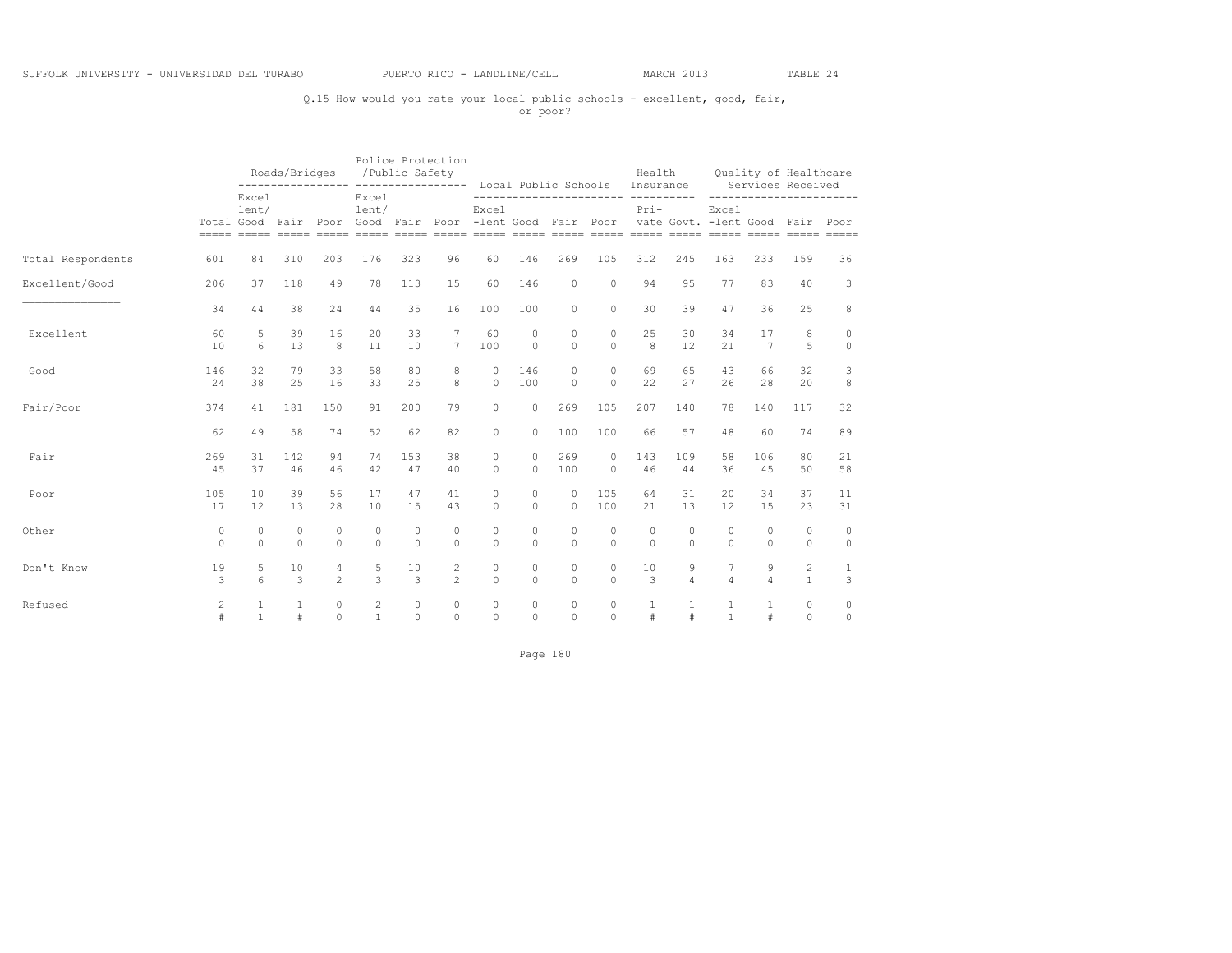# Q.15 How would you rate your local public schools - excellent, good, fair, or poor?

|                   |                      |                              | Roads/Bridges        |                     |                                | Police Protection<br>/Public Safety<br>__________________ |                     |                      |                      | Local Public Schools |                                | Health<br>Insurance      |                     |                                                                                              |                      | Quality of Healthcare<br>Services Received |                    |
|-------------------|----------------------|------------------------------|----------------------|---------------------|--------------------------------|-----------------------------------------------------------|---------------------|----------------------|----------------------|----------------------|--------------------------------|--------------------------|---------------------|----------------------------------------------------------------------------------------------|----------------------|--------------------------------------------|--------------------|
|                   |                      | Excel<br>lent/               |                      |                     | Excel<br>lent/                 |                                                           |                     | Excel                |                      |                      | ------------------------------ | $Pri-$                   |                     | Excel<br>Total Good Fair Poor Good Fair Poor -lent Good Fair Poor vate Govt. -lent Good Fair |                      | ------------------                         | Poor               |
| Total Respondents | 601                  | 84                           | 310                  | 203                 | 176                            | 323                                                       | 96                  | 60                   | 146                  | 269                  | 105                            | 312                      | 245                 | 163                                                                                          | 233                  | 159                                        | 36                 |
| Excellent/Good    | 206                  | 37                           | 118                  | 49                  | 78                             | 113                                                       | 15                  | 60                   | 146                  | $\circ$              | $\Omega$                       | 94                       | 95                  | 77                                                                                           | 83                   | 40                                         | 3                  |
|                   | 34                   | 44                           | 38                   | 24                  | 44                             | 35                                                        | 16                  | 100                  | 100                  | $\circ$              | $\circ$                        | 30                       | 39                  | 47                                                                                           | 36                   | 25                                         | 8                  |
| Excellent         | 60<br>10             | 5<br>6                       | 39<br>13             | 16<br>8             | 20<br>11                       | 33<br>10                                                  | $\overline{7}$      | 60<br>100            | $\circ$<br>$\Omega$  | $\Omega$<br>$\Omega$ | $\Omega$<br>$\Omega$           | 25<br>8                  | 30<br>12            | 34<br>21                                                                                     | 17<br>$\overline{7}$ | 8<br>5                                     | $\circ$<br>$\circ$ |
| Good              | 146<br>24            | 32<br>38                     | 79<br>25             | 33<br>16            | 58<br>33                       | 80<br>25                                                  | 8<br>8              | $\Omega$<br>$\Omega$ | 146<br>100           | $\Omega$<br>$\Omega$ | $\Omega$<br>$\Omega$           | 69<br>22                 | 65<br>27            | 43<br>26                                                                                     | 66<br>28             | 32<br>20                                   | 3<br>8             |
| Fair/Poor         | 374                  | 41                           | 181                  | 150                 | 91                             | 200                                                       | 79                  | $\Omega$             | $\Omega$             | 269                  | 105                            | 207                      | 140                 | 78                                                                                           | 140                  | 117                                        | 32                 |
|                   | 62                   | 49                           | 58                   | 74                  | 52                             | 62                                                        | 82                  | $\circ$              | $\Omega$             | 100                  | 100                            | 66                       | 57                  | 48                                                                                           | 60                   | 74                                         | 89                 |
| Fair              | 269<br>45            | 31<br>37                     | 142<br>46            | 94<br>46            | 74<br>42                       | 153<br>47                                                 | 38<br>40            | $\Omega$<br>$\Omega$ | $\Omega$<br>$\Omega$ | 269<br>100           | $\Omega$<br>$\Omega$           | 143<br>46                | 109<br>44           | 58<br>36                                                                                     | 106<br>45            | 80<br>50                                   | 21<br>58           |
| Poor              | 105<br>17            | 10<br>12                     | 39<br>13             | 56<br>28            | 17<br>10                       | 47<br>15                                                  | 41<br>43            | $\circ$<br>$\Omega$  | $\Omega$<br>$\Omega$ | $\Omega$<br>$\Omega$ | 105<br>100                     | 64<br>2.1                | 31<br>13            | 20<br>12                                                                                     | 34<br>15             | 37<br>23                                   | 11<br>31           |
| Other             | $\circ$<br>$\Omega$  | 0<br>$\Omega$                | $\circ$<br>$\Omega$  | 0<br>$\Omega$       | $\circ$<br>$\Omega$            | $\circ$<br>$\Omega$                                       | 0<br>$\Omega$       | $\circ$<br>$\circ$   | $\circ$<br>$\Omega$  | $\circ$<br>$\Omega$  | 0<br>$\Omega$                  | $\mathbf{0}$<br>$\Omega$ | $\circ$<br>$\Omega$ | $\circ$<br>$\Omega$                                                                          | $\circ$<br>$\Omega$  | $\circ$<br>$\circ$                         | $\circ$<br>$\circ$ |
| Don't Know        | 19<br>3              | 5<br>6                       | 10<br>3              | 4<br>$\overline{c}$ | 5<br>3                         | 10<br>3                                                   | 2<br>$\mathfrak{D}$ | $\circ$<br>$\Omega$  | $\circ$<br>$\Omega$  | $\Omega$<br>$\Omega$ | $\Omega$<br>$\Omega$           | 10<br>3                  | 9<br>$\overline{4}$ | $\overline{4}$                                                                               | 9<br>$\overline{4}$  | 2<br>$\mathbf{1}$                          | $1\,$<br>3         |
| Refused           | $\mathbf{2}$<br>$\#$ | $\mathbf{1}$<br>$\mathbf{1}$ | $\mathbf{1}$<br>$\#$ | 0<br>$\Omega$       | $\overline{2}$<br>$\mathbf{1}$ | $\circ$<br>$\Omega$                                       | 0<br>$\Omega$       | $\circ$<br>$\Omega$  | $\circ$<br>$\Omega$  | $\circ$<br>$\Omega$  | $\circ$<br>$\Omega$            | $\mathbf{1}$<br>$\#$     | 1<br>#              | $\mathbf{1}$<br>$\mathbf{1}$                                                                 | $\mathbf{1}$<br>#    | $\circ$<br>$\circ$                         | 0<br>$\circ$       |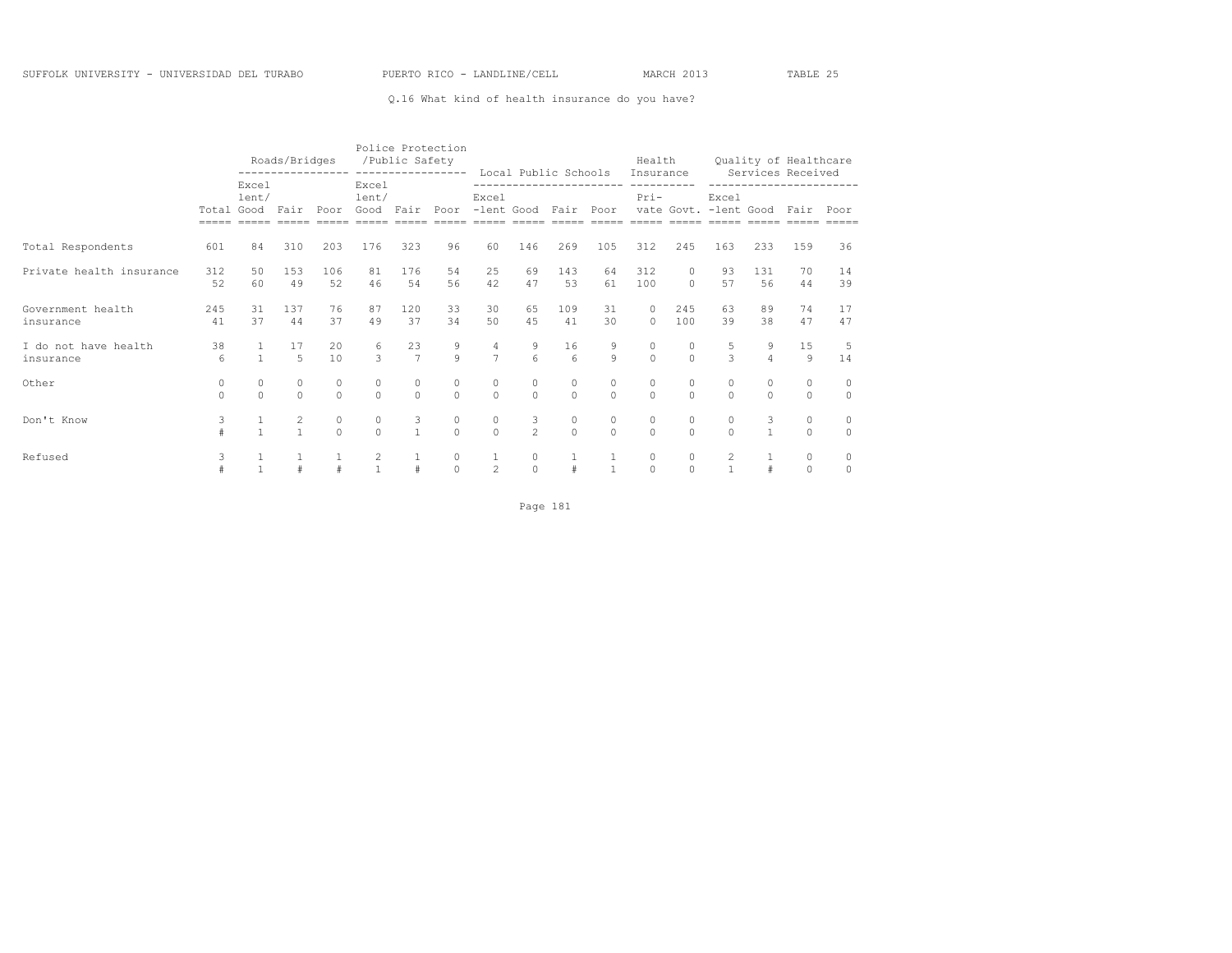### Q.16 What kind of health insurance do you have?

|                                   |                                      |                   | Roads/Bridges                  |                                      |                        | Police Protection<br>/Public Safety | -----------------   |                                      | Local Public Schools                        |                       |                   | Health<br>Insurance                  |                     |                                 |                     | Quality of Healthcare<br>Services Received |                     |
|-----------------------------------|--------------------------------------|-------------------|--------------------------------|--------------------------------------|------------------------|-------------------------------------|---------------------|--------------------------------------|---------------------------------------------|-----------------------|-------------------|--------------------------------------|---------------------|---------------------------------|---------------------|--------------------------------------------|---------------------|
|                                   | Excel<br>lent/<br>Total Good<br>Fair |                   |                                | Poor                                 | Excel<br>lent/<br>Good | Fair                                | Poor                | Excel                                | ------------------------<br>-lent Good Fair |                       | Poor              | ----------<br>$Pri-$                 |                     | Excel<br>vate Govt. - lent Good |                     | ------------------<br>Fair                 | Poor                |
| Total Respondents                 | 601                                  | 84                | 310                            | 203                                  | 176                    | 323                                 | 96                  | 60                                   | 146                                         | 269                   | 105               | 312                                  | 245                 | 163                             | 233                 | 159                                        | 36                  |
| Private health insurance          | 312<br>52                            | 50<br>60          | 1.53<br>49                     | 106<br>52                            | 81<br>46               | 176<br>54                           | 54<br>56            | 25<br>42                             | 69<br>47                                    | 143<br>53             | 64<br>61          | 312<br>100                           | $\circ$<br>$\Omega$ | 93<br>57                        | 131<br>56           | 70<br>44                                   | 14<br>39            |
| Government health<br>insurance    | 245<br>41                            | 31<br>37          | 137<br>44                      | 76<br>37                             | 87<br>49               | 120<br>37                           | 33<br>34            | 30<br>50                             | 65<br>4.5                                   | 109<br>41             | 31<br>30          | $\circ$<br>$\Omega$                  | 245<br>100          | 63<br>39                        | 89<br>38            | 74<br>47                                   | 17<br>47            |
| I do not have health<br>insurance | 38<br>6                              | $\mathbf{1}$      | 17<br>5                        | 20<br>10                             | 6<br>$\mathcal{L}$     | 23<br>$\overline{7}$                | $\frac{9}{9}$       | $\frac{4}{7}$                        | 9<br>$6 \overline{6}$                       | 16<br>$6\overline{6}$ | 9<br>$\mathsf{Q}$ | $\begin{matrix} 0 \\ 0 \end{matrix}$ | $\circ$<br>$\Omega$ | 5<br>$\mathcal{L}$              | 9<br>$\overline{4}$ | 15<br>$\mathcal{Q}$                        | -5<br>14            |
| Other                             | 0<br>$\Omega$                        | $\circ$<br>$\cap$ | $\circ$<br>$\Omega$            | $\begin{matrix} 0 \\ 0 \end{matrix}$ | 0<br>$\Omega$          | $\circ$<br>$\Omega$                 | 0<br>$\Omega$       | $\begin{matrix} 0 \\ 0 \end{matrix}$ | $\circ$<br>$\Omega$                         | $\circ$<br>$\Omega$   | 0<br>$\Omega$     | $\circ$<br>$\Omega$                  | $\circ$<br>$\cap$   | $\circ$<br>$\cap$               | $\circ$<br>$\cap$   | $\mathbf{0}$<br>$\Omega$                   | $\circ$<br>$\Omega$ |
| Don't Know                        | 3<br>$\ddagger$                      |                   | $\overline{c}$<br>$\mathbf{1}$ | $\mathbb O$<br>$\theta$              | 0<br>$\Omega$          | 3<br>$\mathbf{1}$                   | 0<br>$\Omega$       | $\circ$<br>$\circ$                   | $\frac{3}{2}$                               | 0<br>$\Omega$         | 0<br>$\Omega$     | $\circ$<br>$\Omega$                  | $\circ$<br>$\Omega$ | $\circ$<br>$\Omega$             | 3<br>$\mathbf{1}$   | $\circ$<br>$\circ$                         | $\circ$<br>$\circ$  |
| Refused                           | 3                                    | $\mathbf{1}$      |                                | $\#$                                 | 2<br>$\mathbf{1}$      | $\#$                                | $\circ$<br>$\Omega$ | $\mathbf{1}$<br>$\overline{c}$       | $\circ$<br>$\Omega$                         | #                     | $\overline{1}$    | $\circ$<br>$\Omega$                  | $\circ$<br>$\Omega$ | $\overline{c}$<br>$\mathbf{1}$  |                     | $\circ$<br>$\Omega$                        | $\circ$<br>$\circ$  |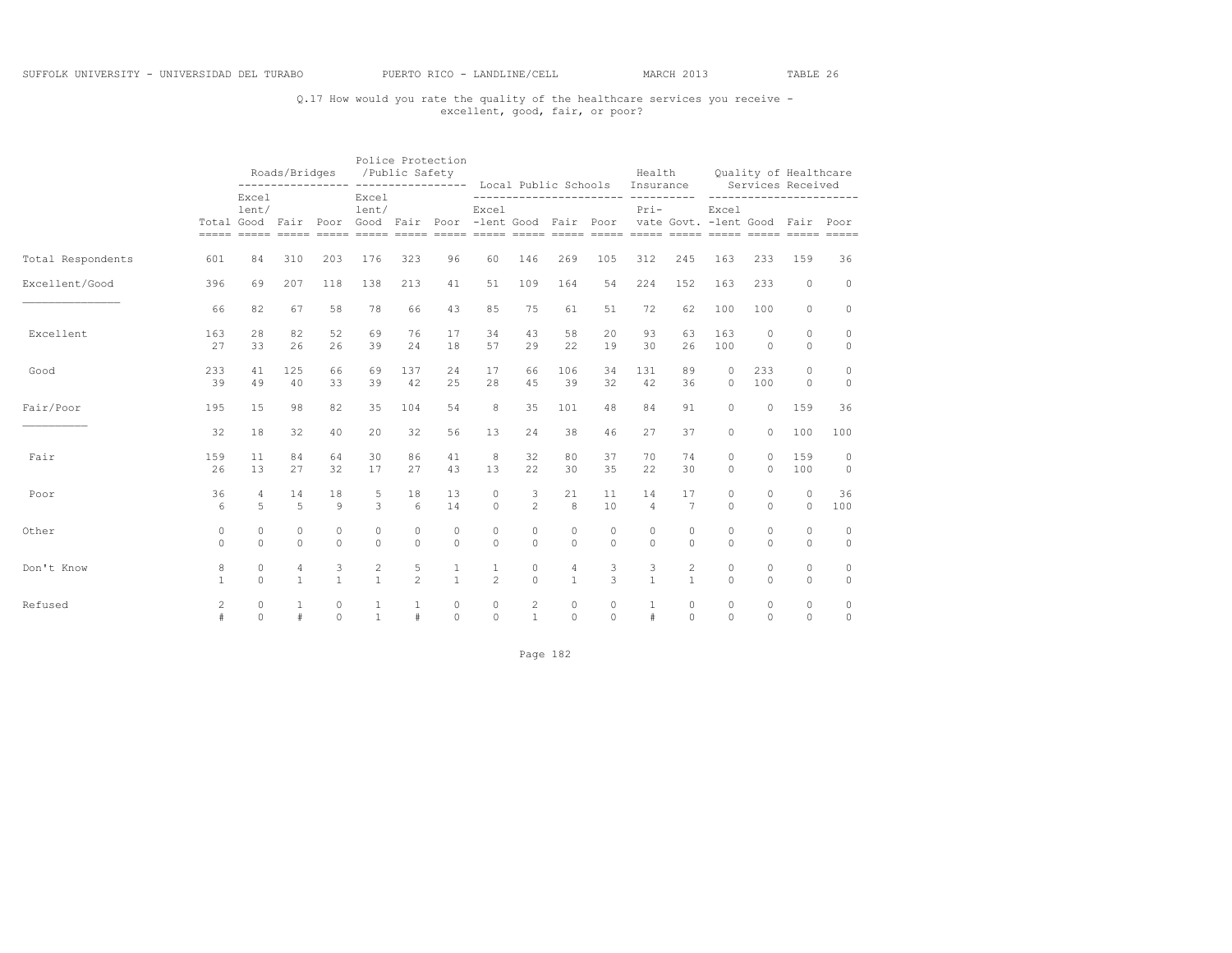## Q.17 How would you rate the quality of the healthcare services you receive - excellent, good, fair, or poor?

|                   |                | Roads/Bridges<br>----------------- ------------------<br>Excel |              |              |                | Police Protection<br>/Public Safety |              |                                                                                              |                |              | Local Public Schools Insurance | Health         |                | Services Received |          | Quality of Healthcare |               |
|-------------------|----------------|----------------------------------------------------------------|--------------|--------------|----------------|-------------------------------------|--------------|----------------------------------------------------------------------------------------------|----------------|--------------|--------------------------------|----------------|----------------|-------------------|----------|-----------------------|---------------|
|                   |                | lent/                                                          |              |              | Excel<br>lent/ |                                     |              | Excel<br>Total Good Fair Poor Good Fair Poor -lent Good Fair Poor vate Govt. -lent Good Fair |                |              |                                | $Pri-$         |                | Excel             |          | ------------------    | -----<br>Poor |
| Total Respondents | 601            | 84                                                             | 310          | 203          | 176            | 323                                 | 96           | 60                                                                                           | 146            | 269          | 105                            | 312            | 245            | 163               | 233      | 159                   | 36            |
| Excellent/Good    | 396            | 69                                                             | 207          | 118          | 138            | 213                                 | 41           | 51                                                                                           | 109            | 164          | 54                             | 224            | 152            | 163               | 233      | $\circ$               | $\circ$       |
|                   | 66             | 82                                                             | 67           | 58           | 78             | 66                                  | 43           | 85                                                                                           | 75             | 61           | 51                             | 72             | 62             | 100               | 100      | $\circ$               | $\circ$       |
| Excellent         | 163            | 28                                                             | 82           | 52           | 69             | 76                                  | 17           | 34                                                                                           | 43             | 58           | 20                             | 93             | 63             | 163               | $\Omega$ | $\Omega$              | $\circ$       |
|                   | 27             | 33                                                             | 26           | 26           | 39             | 24                                  | 18           | 57                                                                                           | 29             | 22           | 19                             | 30             | 26             | 100               | $\Omega$ | $\circ$               | $\circ$       |
| Good              | 233            | 41                                                             | 125          | 66           | 69             | 137                                 | 2.4          | 17                                                                                           | 66             | 106          | 34                             | 131            | 89             | $\cap$            | 233      | $\Omega$              | $\circ$       |
|                   | 39             | 49                                                             | 40           | 33           | 39             | 42                                  | 25           | 28                                                                                           | 45             | 39           | 32                             | 42             | 36             | $\Omega$          | 100      | $\Omega$              | $\circ$       |
| Fair/Poor         | 195            | 15                                                             | 98           | 82           | 35             | 104                                 | 54           | 8                                                                                            | 35             | 101          | 48                             | 84             | 91             | $\circ$           | $\circ$  | 159                   | 36            |
|                   | 32             | 18                                                             | 32           | 40           | 20             | 32                                  | 56           | 13                                                                                           | 24             | 38           | 46                             | 27             | 37             | $\circ$           | $\circ$  | 100                   | 100           |
| Fair              | 159            | 11                                                             | 84           | 64           | 30             | 86                                  | 41           | 8                                                                                            | 32             | 80           | 37                             | 70             | 74             | $\circ$           | 0        | 159                   | $\circ$       |
|                   | 26             | 13                                                             | 27           | 32           | 17             | 27                                  | 43           | 13                                                                                           | 22             | 30           | 35                             | 22             | 30             | $\Omega$          | $\circ$  | 100                   | $\circ$       |
| Poor              | 36             | 4                                                              | 14           | 18           | 5              | 18                                  | 13           | $\circ$                                                                                      | 3              | 21           | 11                             | 14             | 17             | $\circ$           | $\Omega$ | $\mathbf{0}$          | 36            |
|                   | 6              | 5                                                              | 5            | 9            | 3              | $6 \overline{6}$                    | 14           | $\circ$                                                                                      | $\overline{2}$ | 8            | 10                             | $\overline{4}$ | $\overline{7}$ | $\Omega$          | $\Omega$ | $\circ$               | 100           |
| Other             | $\circ$        | $\circ$                                                        | $\circ$      | $\circ$      | 0              | $\circ$                             | $\circ$      | $\circ$                                                                                      | $\circ$        | $\circ$      | $\circ$                        | $\circ$        | $\circ$        | $\circ$           | $\circ$  | $\circ$               | $\circ$       |
|                   | $\Omega$       | $\Omega$                                                       | $\Omega$     | $\Omega$     | $\Omega$       | $\Omega$                            | $\Omega$     | $\Omega$                                                                                     | $\Omega$       | $\Omega$     | $\Omega$                       | $\Omega$       | $\Omega$       | $\Omega$          | $\Omega$ | $\circ$               | $\circ$       |
| Don't Know        | 8              | $\circ$                                                        | 4            | 3            | $\mathbf{2}$   | 5                                   | 1            | $\mathbf{1}$                                                                                 | $\circ$        | 4            | 3                              | 3              | $\overline{c}$ | $\Omega$          | $\Omega$ | $\circ$               | $\circ$       |
|                   | $\mathbf{1}$   | $\Omega$                                                       | $\mathbf{1}$ | $\mathbf{1}$ | $\mathbf{1}$   | $\mathfrak{D}$                      | $\mathbf{1}$ | $\overline{2}$                                                                               | $\Omega$       | $\mathbf{1}$ | 3                              | $\mathbf{1}$   | $\mathbf{1}$   | $\Omega$          | $\Omega$ | $\Omega$              | $\circ$       |
| Refused           | $\overline{c}$ | $\circ$                                                        | 1            | $\circ$      | 1              | $\mathbf{1}$                        | $\circ$      | $\circ$                                                                                      | $\mathbf{2}$   | $\Omega$     | $\Omega$                       | 1              | $\Omega$       | $\Omega$          | $\Omega$ | $\circ$               | $\circ$       |
|                   | #              | $\Omega$                                                       | #            | $\Omega$     | $\mathbf{1}$   | $\#$                                | $\Omega$     | $\Omega$                                                                                     | $\mathbf{1}$   | $\Omega$     | $\Omega$                       | $\#$           | $\Omega$       | $\Omega$          | $\Omega$ | $\Omega$              | $\circ$       |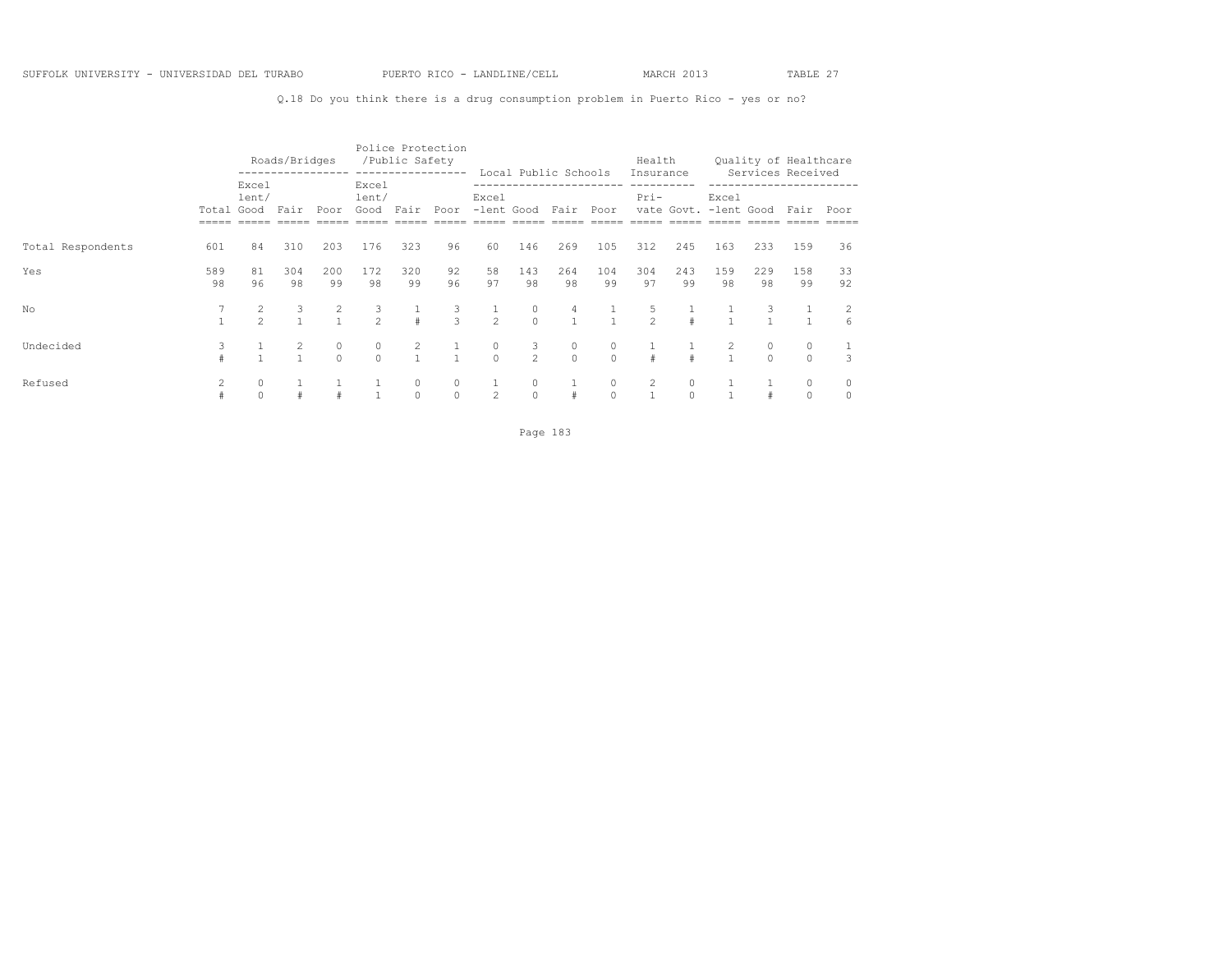Q.18 Do you think there is a drug consumption problem in Puerto Rico - yes or no?

|                   |            |                | Roads/Bridges |                |                        | /Public Safety      | Police Protection<br>----------------- |                     |                     | Local Public Schools |               | Health<br>Insurance |               |                                |           | Quality of Healthcare<br>Services Received |              |
|-------------------|------------|----------------|---------------|----------------|------------------------|---------------------|----------------------------------------|---------------------|---------------------|----------------------|---------------|---------------------|---------------|--------------------------------|-----------|--------------------------------------------|--------------|
|                   | Total Good | Excel<br>lent/ | Fair          | Poor           | Excel<br>lent/<br>Good | Fair                | Poor                                   | Excel               |                     | -lent Good Fair Poor |               | $Pri-$              |               | Excel<br>vate Govt. -lent Good |           | Fair                                       | Poor         |
| Total Respondents | 601        | 84             | 310           | 203            | 176                    | 323                 | 96                                     | 60                  | 146                 | 269                  | 105           | 312                 | 245           | 163                            | 233       | 159                                        | 36           |
| Yes               | 589<br>98  | 81<br>96       | 304<br>98     | 200<br>99      | 172<br>98              | 320<br>99           | 92<br>96                               | 58<br>97            | 143<br>98           | 264<br>98            | 104<br>99     | 304<br>97           | 243<br>99     | 159<br>98                      | 229<br>98 | 158<br>99                                  | 33<br>92     |
| No                |            | $\mathfrak{D}$ | 3             | $\overline{c}$ | 3<br>$\overline{2}$    | $\#$                | 3<br>$\mathcal{L}$                     | $\overline{c}$      | $\circ$<br>$\Omega$ | 4                    |               | 5<br>$\overline{c}$ |               |                                | 3         |                                            | 2<br>6       |
| Undecided         | 3          |                | 2             | 0<br>$\Omega$  | $\circ$<br>$\Omega$    | 2<br>$\overline{1}$ | $\sim$ 1                               | $\circ$<br>$\Omega$ | 3<br>$\mathcal{P}$  | 0<br>$\Omega$        | $\Omega$      | #                   | $\pm$         | $\mathbf{1}$                   | $\cap$    | $\circ$<br>$\Omega$                        | 3            |
| Refused           |            | 0<br>$\Omega$  |               | $\#$           |                        | 0<br>$\circ$        | 0<br>$\Omega$                          | $\mathbf{1}$<br>2   | 0<br>$\circ$        | #                    | 0<br>$\Omega$ | 2<br>$\mathbf{1}$   | 0<br>$\Omega$ |                                |           | $\circ$<br>$\Omega$                        | 0<br>$\circ$ |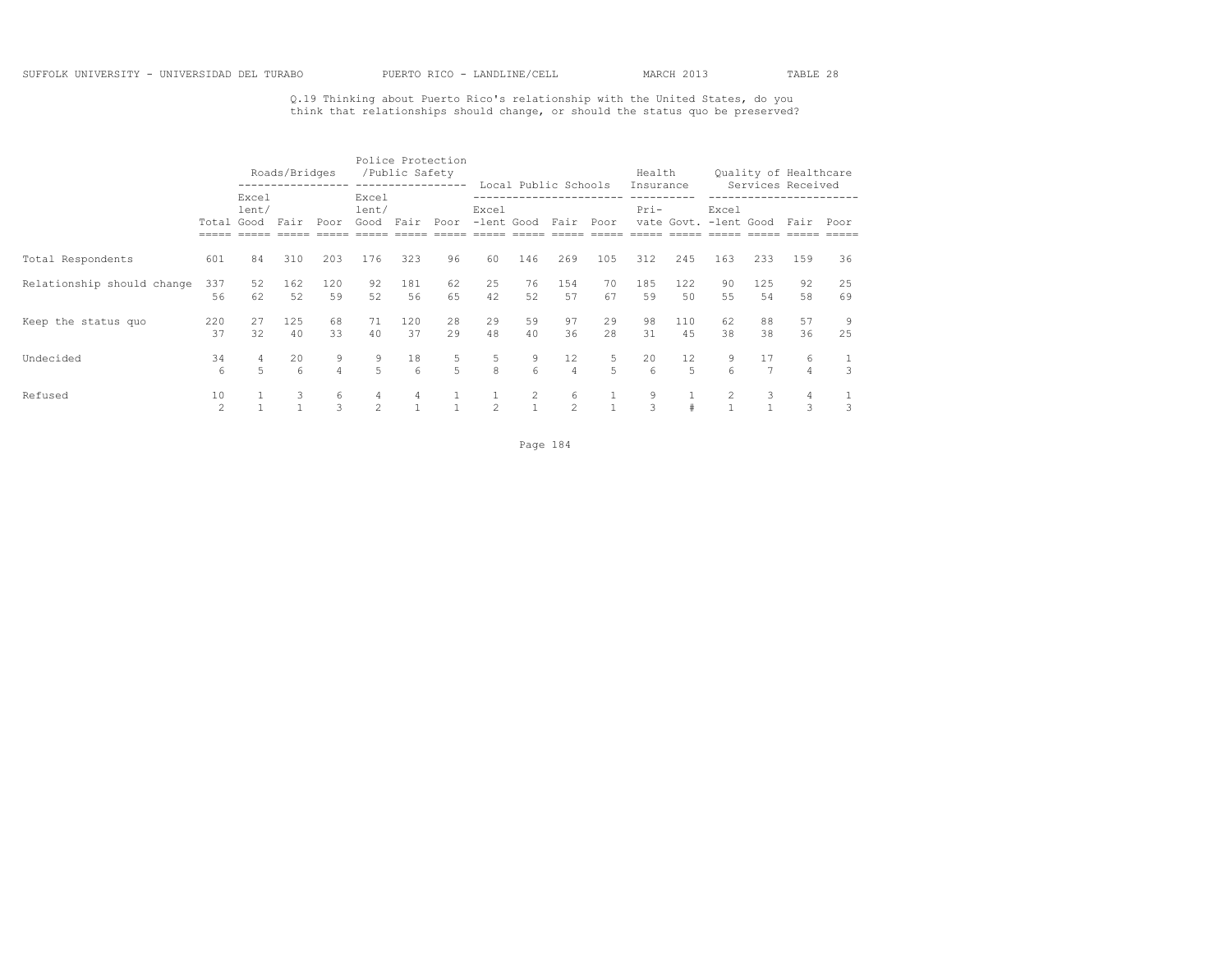Q.19 Thinking about Puerto Rico's relationship with the United States, do you think that relationships should change, or should the status quo be preserved?

|                            |                      |                | Roads/Bridges          |                     |                    | /Public Safety | Police Protection<br>----------------- |                |                   | Local Public Schools |                  | Health<br>Insurance    |                         |                   |           | Quality of Healthcare<br>Services Received |          |
|----------------------------|----------------------|----------------|------------------------|---------------------|--------------------|----------------|----------------------------------------|----------------|-------------------|----------------------|------------------|------------------------|-------------------------|-------------------|-----------|--------------------------------------------|----------|
|                            | Total Good           | Excel<br>lent/ | Fair                   | Poor                | Excel<br>lent/     |                | Good Fair Poor                         | Excel          |                   | -lent Good Fair Poor |                  | Pri-                   |                         | Excel             |           | vate Govt. -lent Good Fair                 | Poor     |
| Total Respondents          | 601                  | 84             | 310                    | 203                 | 176                | 323            | 96                                     | 60             | 146               | 269                  | 105              | 312                    | 245                     | 163               | 233       | 159                                        | 36       |
| Relationship should change | 337<br>56            | 52<br>62       | 162<br>52              | 120<br>59           | 92<br>52           | 181<br>56      | 62<br>65                               | 25<br>42       | 76<br>52          | 154<br>57            | 70<br>67         | 185<br>59              | 122<br>50               | 90<br>55          | 125<br>54 | 92<br>58                                   | 25<br>69 |
| Keep the status quo        | 220<br>37            | 27<br>32       | 125<br>40              | 68<br>33            | 71<br>40           | 120<br>37      | 28<br>29                               | 29<br>48       | 59<br>40          | 97<br>36             | 29<br>2.8        | 98<br>31               | 110<br>45               | 62<br>38          | 88<br>38  | 57<br>36                                   | 9<br>25  |
| Undecided                  | 34<br>6              | 5              | 20<br>$6 \overline{6}$ | 9<br>$\overline{4}$ | 9<br>$5^{\circ}$   | 18<br>$6^{6}$  | 5<br>5                                 | 5<br>8         | 9<br>6            | 12<br>$\overline{4}$ | 5<br>$5^{\circ}$ | 20<br>$6 \overline{6}$ | $12 \overline{ }$<br>5. | 6                 | 17        | 6<br>$\overline{4}$                        | 1<br>3   |
| Refused                    | 10<br>$\mathfrak{D}$ |                | 3                      | 6<br>3              | 4<br>$\mathcal{P}$ | 4              |                                        | $\mathfrak{D}$ | 2<br>$\mathbf{1}$ | 6<br>$\mathfrak{D}$  |                  | 9<br>3                 | $\pm$                   | 2<br>$\mathbf{1}$ | 3         | 4<br>3                                     | 3        |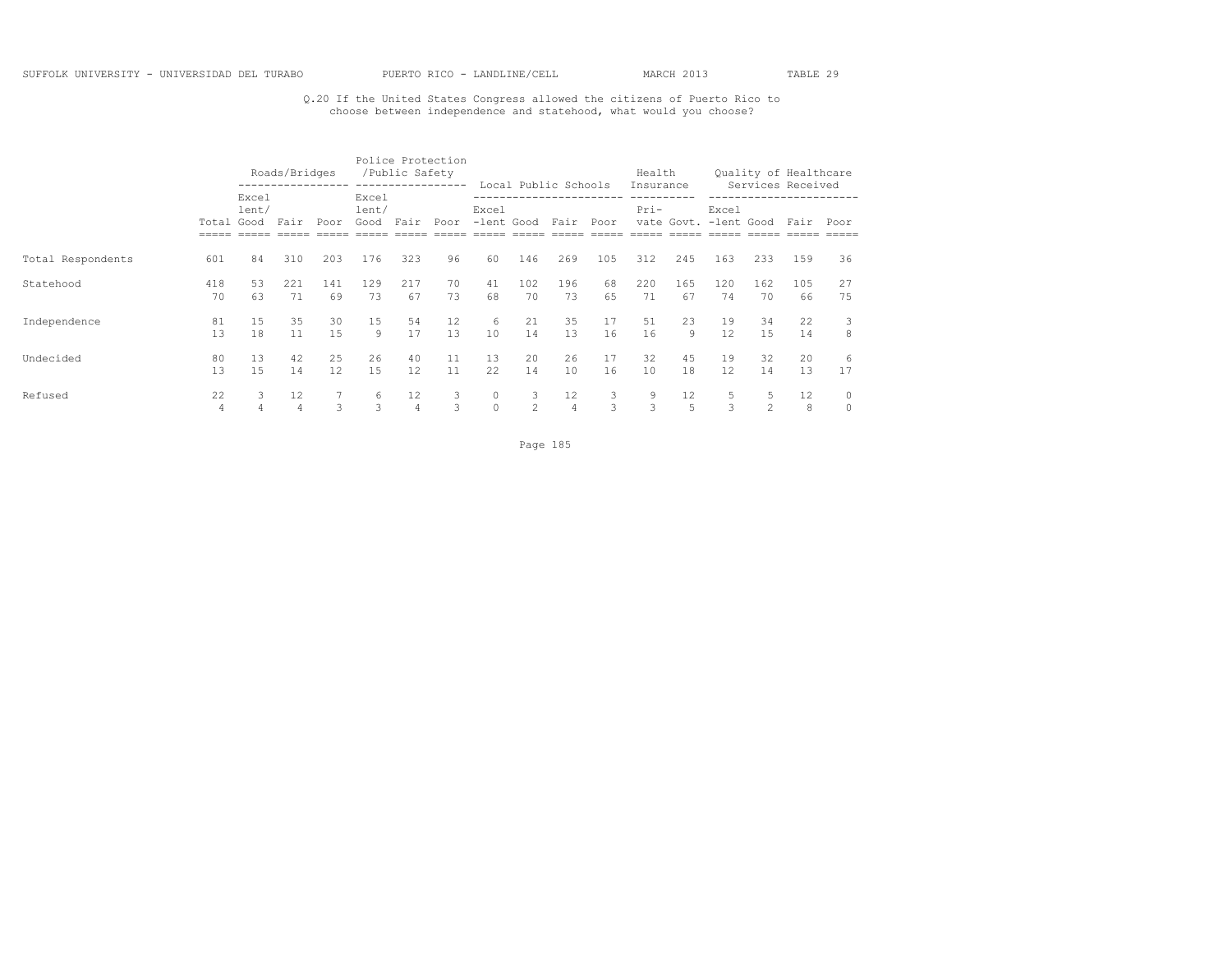## Q.20 If the United States Congress allowed the citizens of Puerto Rico to choose between independence and statehood, what would you choose?

|                   |            |                | Roads/Bridges     |      |                             | /Public Safety | Police Protection<br>----------------- |         |                 | Local Public Schools |      | Health<br>Insurance |            |                     |               | Quality of Healthcare<br>Services Received |         |
|-------------------|------------|----------------|-------------------|------|-----------------------------|----------------|----------------------------------------|---------|-----------------|----------------------|------|---------------------|------------|---------------------|---------------|--------------------------------------------|---------|
|                   | Total Good | Excel<br>lent/ | Fair              | Poor | Excel<br>lent/<br>Good Fair |                | Poor                                   | Excel   | -lent Good Fair |                      | Poor | Pri-                | vate Govt. | Excel<br>-lent Good |               | Fair                                       | Poor    |
| Total Respondents | 601        | 84             | 310               | 203  | 176                         | 323            | 96                                     | 60      | 146             | 269                  | 105  | 312                 | 245        | 163                 | 233           | 159                                        | 36      |
| Statehood         | 418        | 53             | 221               | 141  | 129                         | 217            | 70                                     | 41      | 102             | 196                  | 68   | 220                 | 165        | 120                 | 162           | 105                                        | 27      |
|                   | 70         | 63             | 71                | 69   | 73                          | 67             | 73                                     | 68      | 70              | 73                   | 65   | 71                  | 67         | 74                  | 70            | 66                                         | 75      |
| Independence      | 81         | 15             | 35                | 30   | 15                          | 54             | 12                                     | 6       | 21              | 35                   | 17   | 51                  | 23         | 19                  | 34            | 22                                         | 3       |
|                   | 13         | 18             | 11                | 15   | 9                           | 17             | 13                                     | 10      | 14              | 13                   | 16   | 16                  | 9          | 12.                 | 1.5           | 14                                         | 8       |
| Undecided         | 80         | 13             | 42                | 25   | 26                          | 40             | 11                                     | 13      | 20              | 26                   | 17   | 32                  | 45         | 19                  | 32            | 20                                         | 6       |
|                   | 13         | 1.5            | 14                | 12   | 1.5                         | 12             | 11                                     | 22      | 14              | 10                   | 16   | 10                  | 18         | 12.                 | 14            | 13                                         | 17      |
| Refused           | 22         | 3              | $12 \overline{ }$ | 7    | 6                           | 12             | 3                                      | $\circ$ | 3               | 12                   | 3    | 9                   | 12         | 5                   | 5             | 12                                         | $\circ$ |
|                   | 4          | 4              | $\overline{4}$    | 3    | $\mathcal{L}$               | $\overline{4}$ | 3                                      | $\circ$ | $2^{1}$         | $\overline{4}$       | 3    | 3                   | 5          | 3                   | $\mathcal{P}$ | 8                                          | $\circ$ |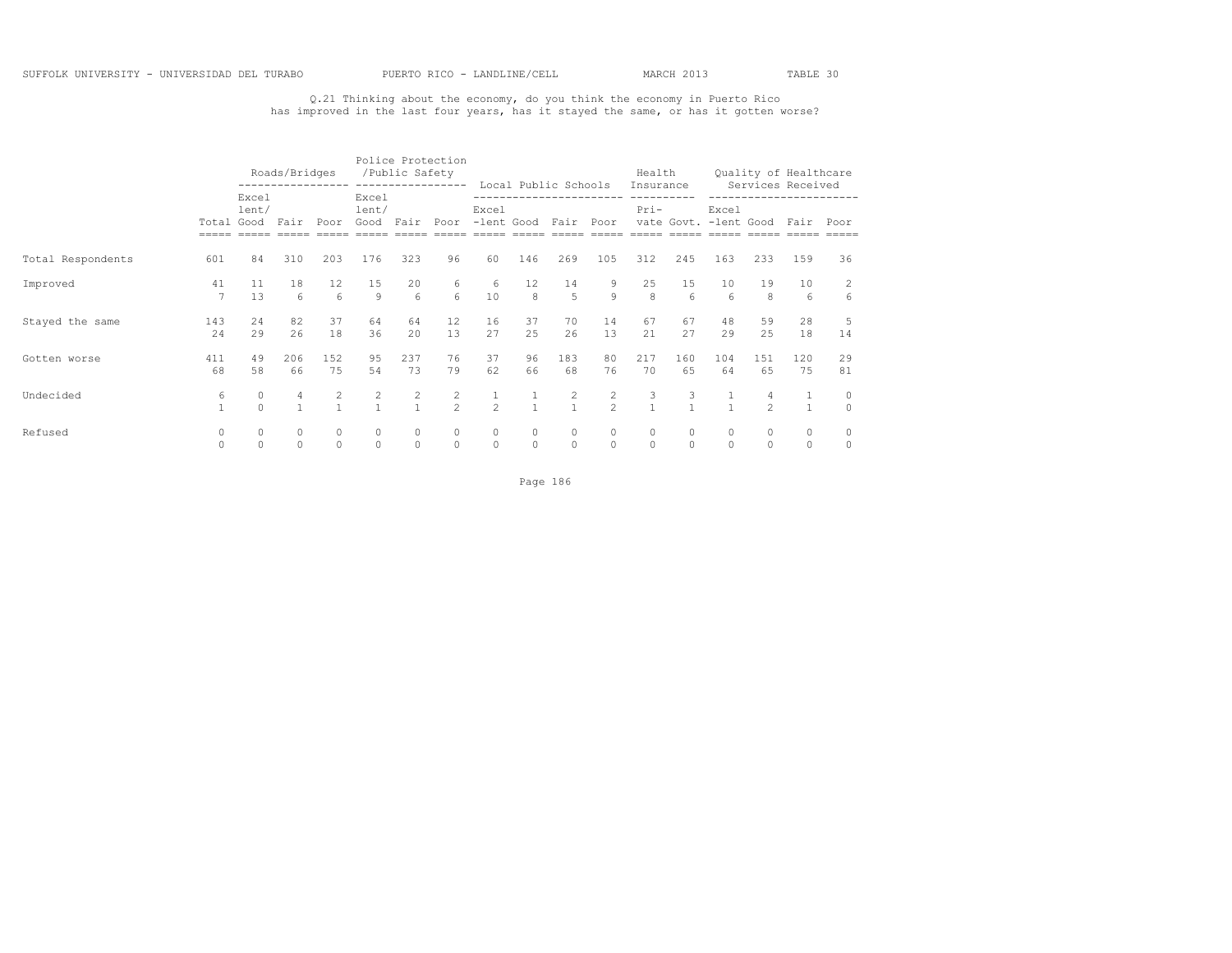## Q.21 Thinking about the economy, do you think the economy in Puerto Rico has improved in the last four years, has it stayed the same, or has it gotten worse?

|                   |            |                              | Roads/Bridges          |                        |                             | /Public Safety         | Police Protection         |                                             |                      | Local Public Schools                  |               | Health<br>Insurance  |                        |                       |                     | Quality of Healthcare<br>Services Received |                     |
|-------------------|------------|------------------------------|------------------------|------------------------|-----------------------------|------------------------|---------------------------|---------------------------------------------|----------------------|---------------------------------------|---------------|----------------------|------------------------|-----------------------|---------------------|--------------------------------------------|---------------------|
|                   |            | Excel<br>lent/<br>Total Good | Fair                   | Poor                   | Excel<br>lent/<br>Good Fair |                        | Poor -lent Good Fair Poor | Excel                                       |                      | ---------------------                 |               | $Pri-$               |                        | Excel                 |                     | vate Govt. - lent Good Fair Poor           |                     |
| Total Respondents | 601        | 84                           | 310                    | 203                    | 176                         | 323                    | 96                        | 60                                          | 146                  | 269                                   | 105           | 312                  | 245                    | 163                   | 233                 | 159                                        | 36                  |
| Improved          | 41         | 11<br>13                     | 18<br>$6 \overline{6}$ | 12<br>$6 \overline{6}$ | 15<br>$\circ$               | 20<br>$6 \overline{6}$ | 6<br>6 <sup>1</sup>       | $\begin{smallmatrix}6\\10\end{smallmatrix}$ | 12<br>$\overline{8}$ | 14<br>$5^{\circ}$                     | $\frac{9}{9}$ | 25<br>$\overline{8}$ | 15<br>$6 \overline{6}$ | 10<br>$6\overline{6}$ | 19<br>8             | 10<br>6                                    | $\overline{c}$<br>6 |
| Stayed the same   | 143<br>2.4 | 24<br>29                     | 82<br>26               | 37<br>18               | 64<br>36                    | 64<br>20               | 12<br>13                  | 16<br>27                                    | 37<br>25             | 70<br>26                              | 14<br>13      | 67<br>21             | 67<br>27               | 48<br>29              | 59<br>2.5           | 28<br>18                                   | 5<br>14             |
| Gotten worse      | 411<br>68  | 49<br>58                     | 206<br>66              | 152<br>75              | 95<br>54                    | 237<br>73              | 76<br>79                  | 37<br>62                                    | 96<br>66             | 183<br>68                             | 80<br>76      | 217<br>70            | 160<br>65              | 104<br>64             | 151<br>65           | 120<br>75                                  | 29<br>81            |
| Undecided         | 6          | 0<br>$\Omega$                | 4                      | $\frac{2}{1}$          | $\frac{2}{1}$               | $\frac{2}{1}$          | $\frac{2}{2}$             | $\frac{1}{2}$                               | $\overline{1}$       | $\begin{array}{c} 2 \\ 1 \end{array}$ | $\frac{2}{2}$ | 3<br>$\mathbf{1}$    | 3<br>$\overline{1}$    | $\overline{1}$        | 4<br>$\mathfrak{D}$ | 1<br>$\mathbf{1}$                          | $\circ$<br>$\Omega$ |
| Refused           |            | $\circ$                      | $\circ$                | $\circ$<br>$\circ$     | $\circ$<br>$\circ$          | $\circ$                | $\circ$                   | $\circ$<br>$\circ$                          | $\circ$<br>$\circ$   | $\circ$                               | $\circ$       | $\circ$              | 0<br>$\circ$           | $\circ$               |                     | $\circ$<br>$\circ$                         | $\circ$<br>$\circ$  |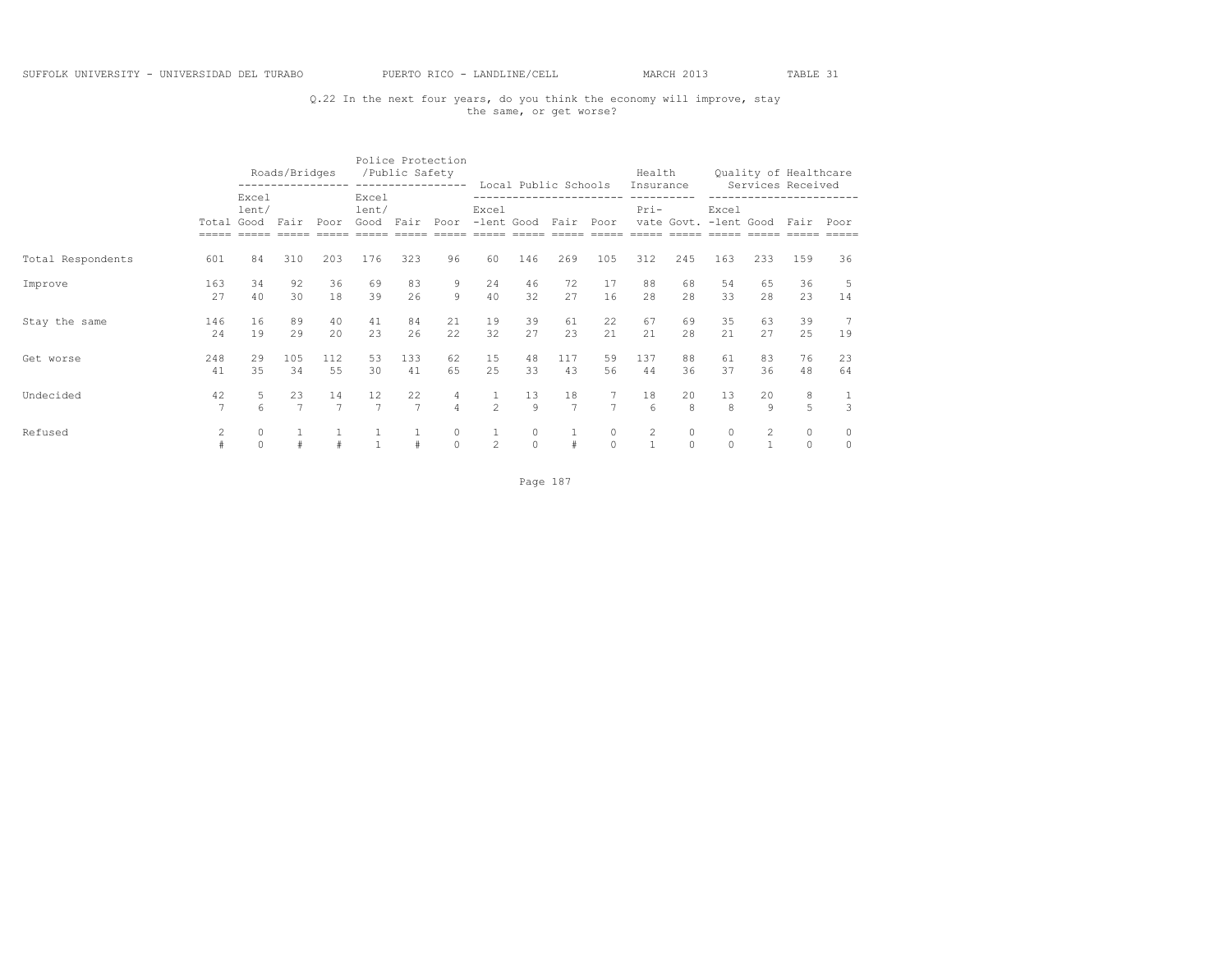## Q.22 In the next four years, do you think the economy will improve, stay the same, or get worse?

|                   |            |                                   | Roads/Bridges        |                      |                                     | Police Protection<br>/Public Safety |                                  |                                    |                     | Local Public Schools |                        | Health<br>Insurance |                     |                     |           | Quality of Healthcare<br>Services Received |                    |
|-------------------|------------|-----------------------------------|----------------------|----------------------|-------------------------------------|-------------------------------------|----------------------------------|------------------------------------|---------------------|----------------------|------------------------|---------------------|---------------------|---------------------|-----------|--------------------------------------------|--------------------|
|                   |            | Excel<br>lent/<br>Total Good Fair |                      | Poor                 | Excel<br>lent/<br>Good Fair         |                                     |                                  | Excel<br>Poor -lent Good Fair Poor |                     |                      | ---------------------- | $Pri-$              |                     | Excel               |           | vate Govt. - lent Good Fair Poor           |                    |
| Total Respondents | 601        | 84                                | 310                  | 203                  | 176                                 | 323                                 | 96                               | 60                                 | 146                 | 269                  | 105                    | 312                 | 245                 | 163                 | 233       | 159                                        | 36                 |
| Improve           | 163<br>27  | 34<br>40                          | 92<br>30             | 36<br>18             | 69<br>39                            | 83<br>26                            | 9<br>$\circ$                     | 24<br>40                           | 46<br>32            | 72<br>27             | 17<br>16               | 88<br>2.8           | 68<br>2.8           | 54<br>33            | 65<br>2.8 | 36<br>23                                   | 5<br>14            |
| Stay the same     | 146<br>2.4 | 16<br>19                          | 89<br>29             | 40<br>20             | 41<br>23                            | 84<br>26                            | 21<br>22.                        | 19<br>32                           | 39<br>27            | 61<br>23             | 22<br>21               | 67<br>21            | 69<br>28            | 35<br>21            | 63<br>27  | 39<br>25                                   | 7<br>19            |
| Get worse         | 248<br>41  | 29<br>35                          | 105<br>34            | 112<br>55            | 53<br>30                            | 133<br>41                           | 62<br>65                         | 15<br>25                           | 48<br>33            | 117<br>43            | 59<br>56               | 137<br>44           | 88<br>36            | 61<br>37            | 83<br>36  | 76<br>48                                   | 23<br>64           |
| Undecided         | 42         | 5<br>6                            | 23<br>$\overline{7}$ | 14<br>$\overline{7}$ | $12 \overline{ }$<br>$\overline{7}$ | 22<br>$\overline{7}$                | $\overline{4}$<br>$\overline{4}$ | $\mathbf{1}$<br>$\mathfrak{D}$     | 13<br>Q             | 18<br>$\overline{7}$ | $7^{\circ}$            | 18<br>6             | 20<br>8             | 13<br>$\mathcal{R}$ | 20<br>Q   | 8<br>5                                     | $\frac{1}{3}$      |
| Refused           |            | $\circ$<br>$\circ$                | #                    | #                    | $\mathbf{1}$                        | #                                   | $\circ$<br>$\circ$               | $\mathbf{2}^{\prime}$              | $\Omega$<br>$\circ$ | #                    | $\circ$                | $\overline{2}$      | $\Omega$<br>$\circ$ | $\circ$<br>$\circ$  |           | $\mathbf 0$<br>$\circ$                     | $\circ$<br>$\circ$ |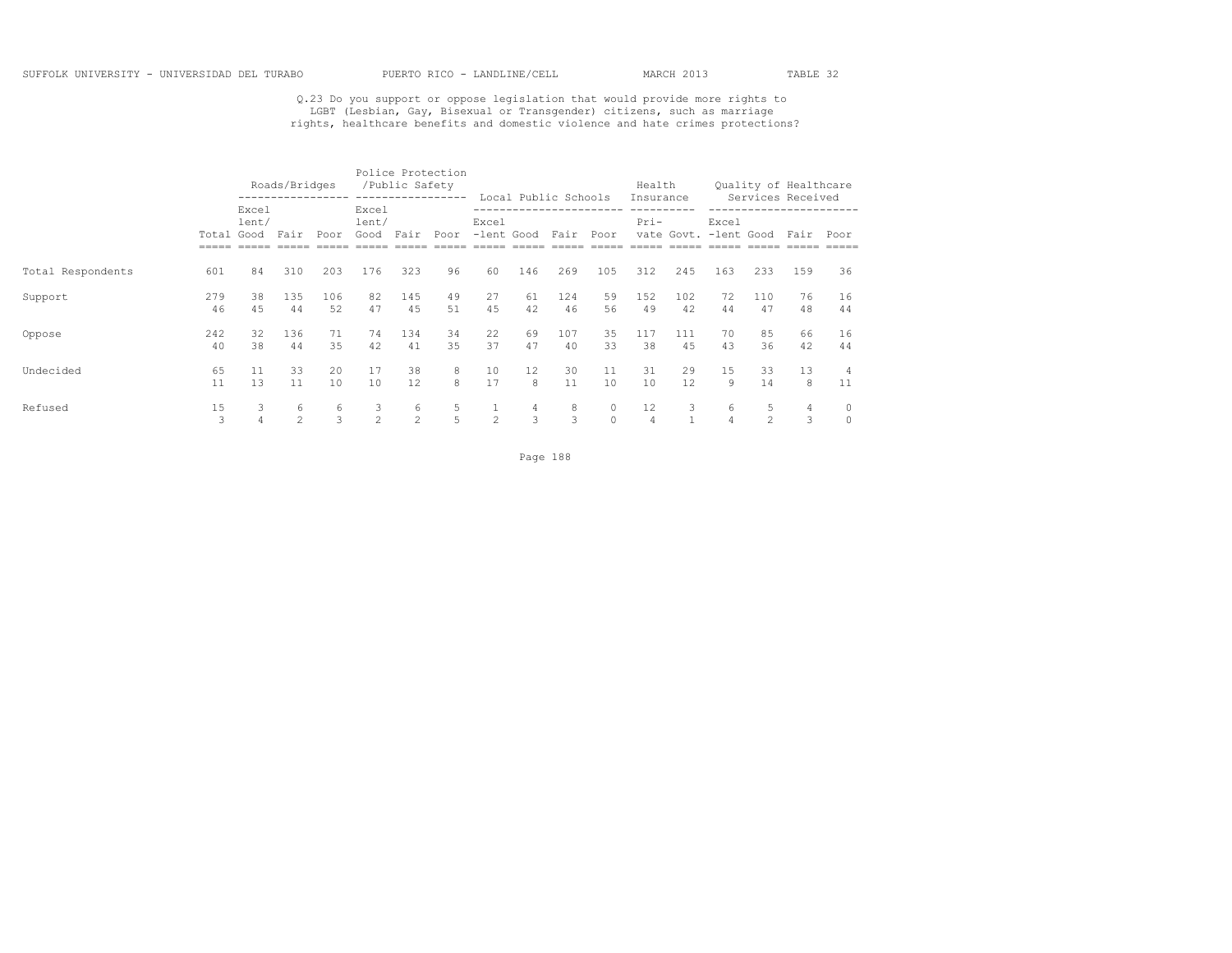# Q.23 Do you support or oppose legislation that would provide more rights to<br>LGBT (Lesbian, Gay, Bisexual or Transgender) citizens, such as marriage<br>rights, healthcare benefits and domestic violence and hate crimes protecti

|                   |           |                        | Roads/Bridges       |           |                        | /Public Safety      | Police Protection<br>----------------- |                               |                        | Local Public Schools |                     | Health<br>Insurance  |            |                                |                     | Quality of Healthcare<br>Services Received |                    |
|-------------------|-----------|------------------------|---------------------|-----------|------------------------|---------------------|----------------------------------------|-------------------------------|------------------------|----------------------|---------------------|----------------------|------------|--------------------------------|---------------------|--------------------------------------------|--------------------|
|                   | Total     | Excel<br>lent/<br>Good | Fair                | Poor      | Excel<br>lent/<br>Good | Fair                | Poor                                   | Excel<br>-lent Good Fair Poor |                        |                      |                     | $Pri-$               |            | Excel<br>vate Govt. -lent Good |                     | Fair                                       | Poor               |
| Total Respondents | 601       | 84                     | 310                 | 203       | 176                    | 323                 | 96                                     | 60                            | 146                    | 269                  | 105                 | 312                  | 245        | 163                            | 233                 | 159                                        | 36                 |
| Support           | 279<br>46 | 38<br>4.5              | 135<br>44           | 106<br>52 | 82<br>47               | 145<br>4.5          | 49<br>51                               | 27<br>45                      | 61<br>42               | 124<br>46            | 59<br>56            | 152<br>49            | 102<br>42  | 72<br>44                       | 110<br>47           | 76<br>48                                   | 16<br>44           |
| Oppose            | 242<br>40 | 32<br>38               | 136<br>44           | 71<br>35  | 74<br>42               | 134<br>41           | 34<br>35                               | 22<br>37                      | 69<br>47               | 107<br>40            | 35<br>33            | 117<br>38            | 111<br>4.5 | 70<br>43                       | 85<br>36            | 66<br>42                                   | 16<br>44           |
| Undecided         | 65<br>11  | 11<br>13               | 33<br>11            | 20<br>10  | 17<br>10               | 38<br>12            | 8<br>8                                 | 10<br>17                      | $12 \overline{ }$<br>8 | 30<br>11             | 11<br>10            | 31<br>10             | 29<br>12.  | 15<br>9                        | 33<br>14            | 13<br>8                                    | 4<br>11            |
| Refused           | 15<br>3   | 3<br>4                 | 6<br>$\mathfrak{D}$ | 6<br>3    | 3<br>$\mathfrak{D}$    | 6<br>$\mathfrak{D}$ | 5<br>5                                 | 1<br>$\mathfrak{D}$           | $\overline{4}$<br>3    | 8<br>3               | $\circ$<br>$\Omega$ | 12<br>$\overline{4}$ | 3          | 6<br>$\overline{4}$            | 5<br>$\mathfrak{D}$ | 4<br>3                                     | $\circ$<br>$\circ$ |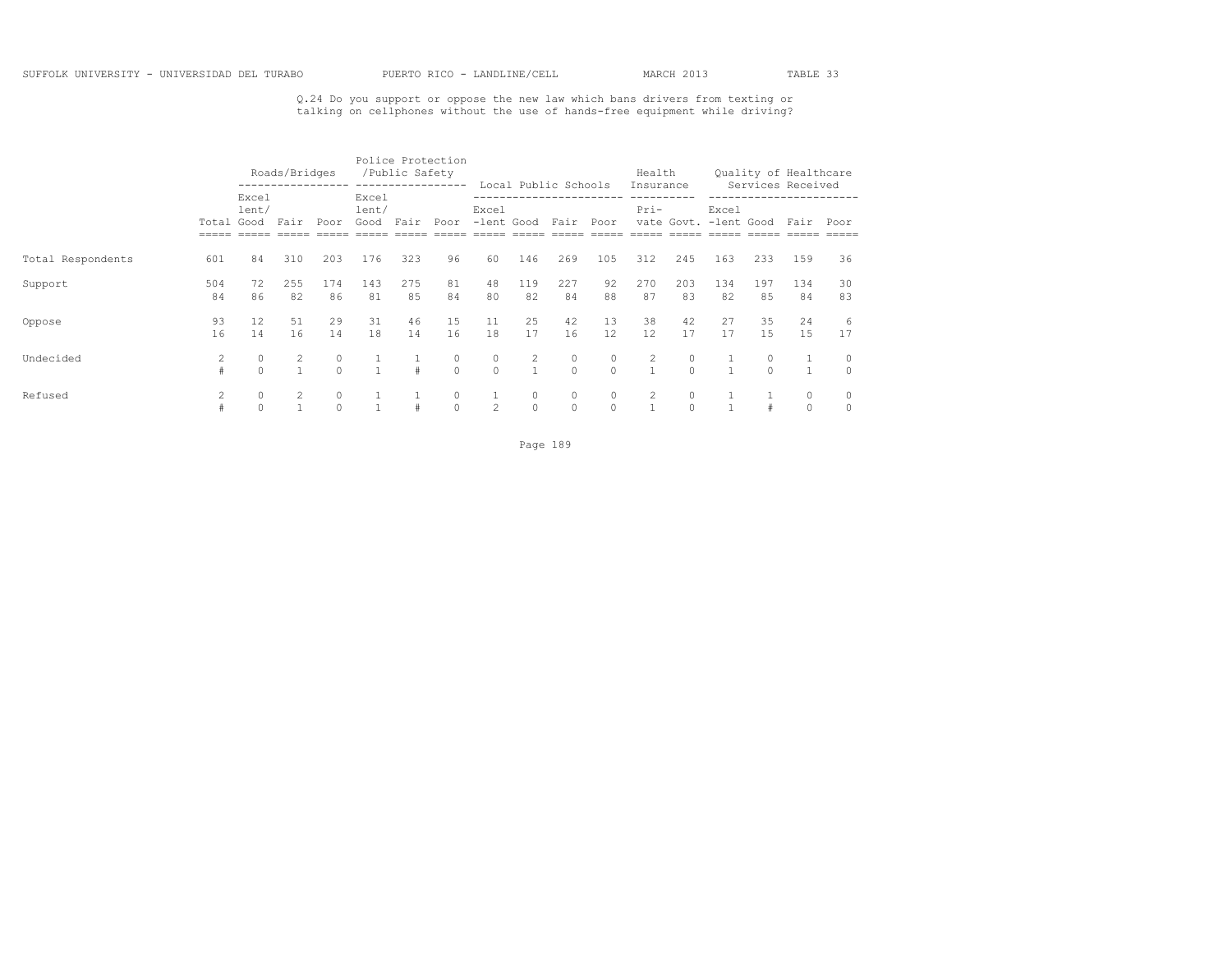Q.24 Do you support or oppose the new law which bans drivers from texting or talking on cellphones without the use of hands-free equipment while driving?

|                   |                     |                     | Roads/Bridges |               |                             | /Public Safety | Police Protection<br>----------------- |                    |                     |                                              |                     | Health              |                     |           |           | Quality of Healthcare                           |                     |
|-------------------|---------------------|---------------------|---------------|---------------|-----------------------------|----------------|----------------------------------------|--------------------|---------------------|----------------------------------------------|---------------------|---------------------|---------------------|-----------|-----------|-------------------------------------------------|---------------------|
|                   | Total Good          | Excel<br>lent/      | Fair          | Poor          | Excel<br>lent/<br>Good Fair |                | Poor                                   | Excel              |                     | Local Public Schools<br>-lent Good Fair Poor |                     | Insurance<br>$Pri-$ |                     | Excel     |           | Services Received<br>vate Govt. -lent Good Fair | Poor                |
| Total Respondents | 601                 | 84                  | 310           | 203           | 176                         | 323            | 96                                     | 60                 | 146                 | 269                                          | 105                 | 312                 | 245                 | 163       | 233       | 159                                             | 36                  |
| Support           | 504<br>84           | 72<br>86            | 255<br>82     | 174<br>86     | 143<br>81                   | 275<br>85      | 81<br>84                               | 48<br>80           | 119<br>82           | 227<br>84                                    | 92<br>88            | 270<br>87           | 203<br>83           | 134<br>82 | 197<br>85 | 134<br>84                                       | 30<br>83            |
| Oppose            | 93<br>16            | 12<br>14            | 51<br>16      | 29<br>14      | 31<br>18                    | 46<br>14       | 15<br>16                               | 11<br>18           | 25<br>17            | 42<br>16                                     | 13<br>12            | 38<br>12            | 42<br>17            | 27<br>17  | 35<br>1.5 | 24<br>15                                        | 6<br>17             |
| Undecided         | $\overline{2}$<br># | $\circ$<br>$\Omega$ | 2             | 0<br>$\Omega$ | $\mathbf{1}$                | $\pm$          | 0<br>$\Omega$                          | $\circ$<br>$\circ$ | $\overline{2}$      | $\circ$<br>$\Omega$                          | 0<br>$\Omega$       | $\overline{c}$      | 0<br>$\Omega$       |           |           |                                                 | $\circ$<br>$\Omega$ |
| Refused           |                     | $\circ$<br>$\Omega$ |               | 0<br>$\circ$  | $\mathbf{1}$                |                | $\circ$<br>$\Omega$                    | $\mathfrak{D}$     | $\circ$<br>$\Omega$ | $\circ$<br>$\Omega$                          | $\circ$<br>$\Omega$ | 2                   | $\circ$<br>$\Omega$ |           |           | 0<br>$\circ$                                    | 0<br>$\circ$        |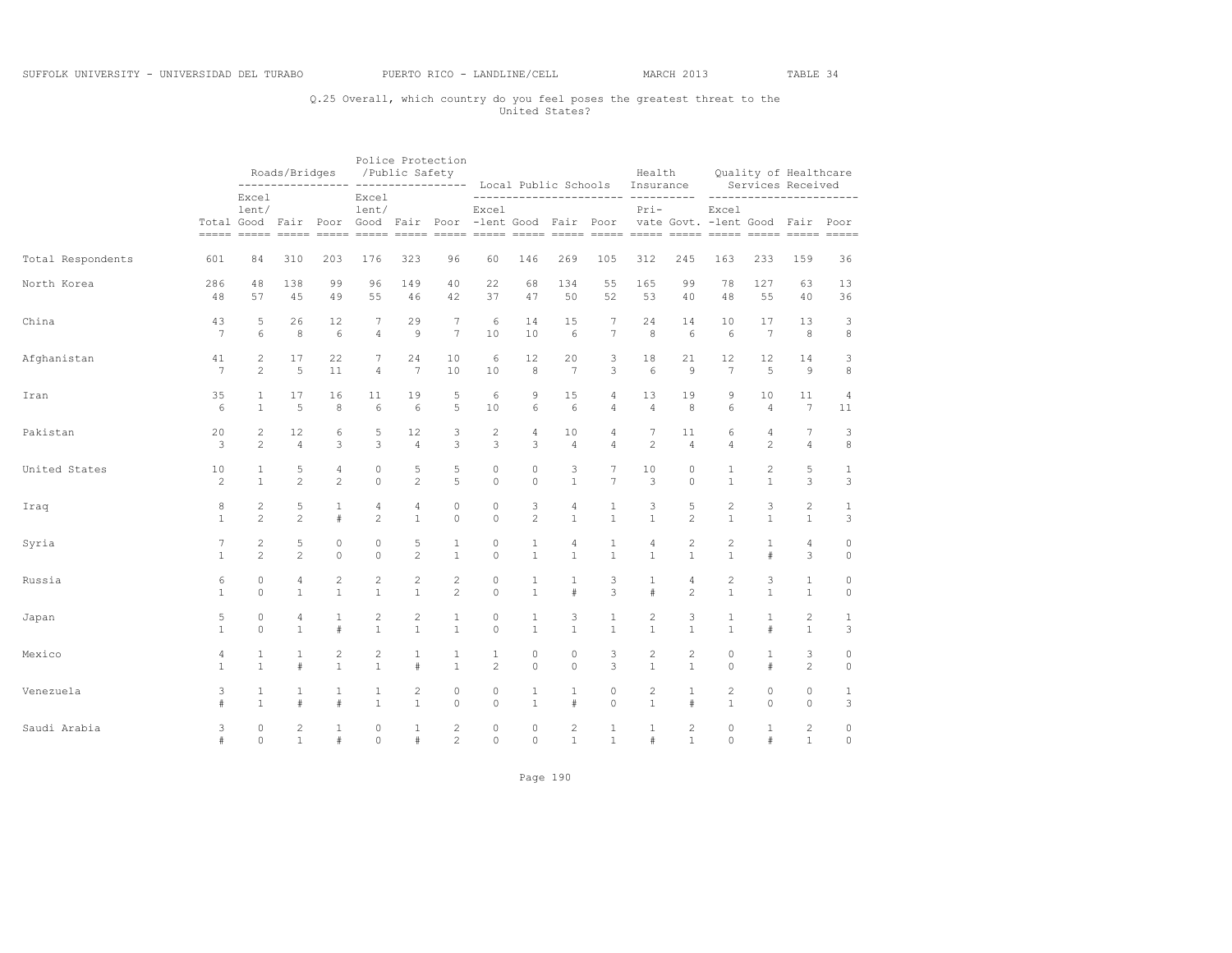## Q.25 Overall, which country do you feel poses the greatest threat to the United States?

|                   |                 |                | Roads/Bridges  |                | /Public Safety                                                             |                | Police Protection |                |                |                |                | Health<br>Local Public Schools Insurance |                |                                           |                 | Quality of Healthcare<br>Services Received |                |
|-------------------|-----------------|----------------|----------------|----------------|----------------------------------------------------------------------------|----------------|-------------------|----------------|----------------|----------------|----------------|------------------------------------------|----------------|-------------------------------------------|-----------------|--------------------------------------------|----------------|
|                   |                 | Excel<br>lent/ |                |                | Excel<br>lent/<br>Total Good Fair Poor Good Fair Poor -lent Good Fair Poor |                |                   | $---$<br>Excel |                |                |                | ---------------- ---------<br>$Pri-$     |                | Excel<br>vate Govt. - lent Good Fair Poor |                 | ----------------                           |                |
| Total Respondents | 601             | 84             | 310            | 203            | 176                                                                        | 323            | 96                | 60             | 146            | 269            | 105            | 312                                      | 245            | 163                                       | 233             | 159                                        | 36             |
| North Korea       | 286             | 48             | 138            | 99             | 96                                                                         | 149            | 40                | 22             | 68             | 134            | 55             | 165                                      | 99             | 78                                        | 127             | 63                                         | 13             |
|                   | 48              | 57             | 45             | 49             | 55                                                                         | 46             | 42                | 37             | 47             | 50             | 52             | 53                                       | 40             | 48                                        | 55              | 40                                         | 36             |
| China             | 43              | 5              | 26             | 12             | 7                                                                          | 29             | 7                 | 6              | 14             | 15             | 7              | 24                                       | 14             | 10                                        | 17              | 13                                         | 3              |
|                   | $\overline{7}$  | 6              | $\,8\,$        | $\epsilon$     | $\overline{4}$                                                             | $\overline{9}$ | $\overline{7}$    | 10             | 10             | 6              | $\overline{7}$ | 8                                        | 6              | 6                                         | $7\phantom{.0}$ | $^{\rm 8}$                                 | $^{\rm 8}$     |
| Afghanistan       | 41              | $\overline{c}$ | 17             | 22             | 7                                                                          | 24             | 10                | 6              | 12             | 20             | 3              | 18                                       | 21             | $12 \overline{ }$                         | 12              | 14                                         | 3              |
|                   | $7\phantom{.0}$ | $\overline{c}$ | 5              | 11             | $\overline{4}$                                                             | 7              | 10                | 10             | 8              | 7              | 3              | 6                                        | 9              | $7\phantom{.0}$                           | 5               | 9                                          | $^{\rm 8}$     |
| Iran              | 35              | $\mathbf{1}$   | 17             | 16             | 11                                                                         | 19             | 5                 | 6              | 9              | 15             | 4              | 13                                       | 19             | 9                                         | 10              | 11                                         | $\overline{4}$ |
|                   | 6               | $\mathbf{1}$   | 5              | 8              | 6                                                                          | 6              | 5                 | 10             | 6              | 6              | $\overline{4}$ | $\overline{4}$                           | 8              | 6                                         | $\overline{4}$  | $7\phantom{.0}$                            | 11             |
| Pakistan          | 20              | $\overline{c}$ | 12             | 6              | 5                                                                          | 12             | 3                 | $\mathbf{2}$   | $\overline{4}$ | 10             | 4              | $\overline{7}$                           | 11             | 6                                         | $\overline{4}$  | $\overline{7}$                             | 3              |
|                   | 3               | $\overline{c}$ | $\overline{4}$ | 3              | 3                                                                          | $\overline{4}$ | 3                 | 3              | 3              | $\overline{4}$ | 4              | $\overline{c}$                           | $\overline{4}$ | $\overline{4}$                            | $\overline{c}$  | $\overline{4}$                             | 8              |
| United States     | 10              | 1              | 5              | 4              | $\circ$                                                                    | 5              | 5                 | $\circ$        | $\circ$        | 3              | 7              | 10                                       | $\circ$        | $\mathbf{1}$                              | 2               | 5                                          | 1              |
|                   | 2               | $\mathbf{1}$   | $\overline{c}$ | $\overline{2}$ | $\circ$                                                                    | 2              | 5                 | $\circ$        | $\Omega$       | $\mathbf{1}$   | $\overline{7}$ | 3                                        | $\circ$        | $\mathbf{1}$                              | $\mathbf{1}$    | 3                                          | 3              |
| Iraq              | 8               | $\overline{c}$ | 5              | $\mathbf{1}$   | 4                                                                          | $\overline{4}$ | $\circ$           | $\circ$        | 3              | $\overline{4}$ | $\mathbf{1}$   | 3                                        | 5              | $\overline{2}$                            | 3               | $\mathbf{2}$                               | $\mathbf{1}$   |
|                   | $\mathbf{1}$    | $\overline{c}$ | $\overline{c}$ | #              | $\overline{c}$                                                             | $\mathbf{1}$   | $\circ$           | $\circ$        | $\overline{c}$ | $\mathbf{1}$   | $\mathbf{1}$   | $\mathbf{1}$                             | $\overline{c}$ | $\mathbf{1}$                              | $\mathbf{1}$    | $1\,$                                      | 3              |
| Syria             | 7               | $\overline{c}$ | 5              | $\circ$        | $\circ$                                                                    | 5              | $\mathbf{1}$      | 0              | $\mathbf{1}$   | 4              | $\mathbf{1}$   | 4                                        | $\overline{c}$ | $\overline{c}$                            | $\mathbf{1}$    | $\overline{4}$                             | 0              |
|                   | $\mathbf{1}$    | $\mathfrak{D}$ | $\mathfrak{D}$ | $\Omega$       | $\Omega$                                                                   | $\mathfrak{D}$ | $\mathbf{1}$      | $\Omega$       | $\mathbf{1}$   | $\mathbf{1}$   | $\mathbf{1}$   | $\mathbf{1}$                             | $\mathbf{1}$   | $\mathbf{1}$                              | #               | 3                                          | $\circ$        |
| Russia            | 6               | $\circ$        | 4              | $\mathbf{2}$   | $\mathbf{2}$                                                               | $\mathbf{2}$   | $\overline{c}$    | $\circ$        | $\mathbf{1}$   | $\mathbf{1}$   | 3              | $\mathbf{1}$                             | 4              | $\mathbf{2}$                              | 3               | $\mathbf{1}$                               | $\circ$        |
|                   | $\mathbf{1}$    | $\Omega$       | $\mathbf{1}$   | $\mathbf{1}$   | $\mathbf{1}$                                                               | $\mathbf{1}$   | 2                 | $\circ$        | $\mathbf{1}$   | #              | 3              | #                                        | $\overline{c}$ | $\mathbf{1}$                              | $\mathbf{1}$    | $\mathbf{1}$                               | $\mathbb O$    |
| Japan             | 5               | $\circ$        | 4              | 1              | $\overline{c}$                                                             | $\overline{c}$ | $\mathbf{1}$      | $\circ$        | $\mathbf{1}$   | 3              | $\mathbf{1}$   | $\overline{c}$                           | 3              | $\mathbf{1}$                              | 1               | $\overline{c}$                             | $\mathbf 1$    |
|                   | $\mathbf{1}$    | $\Omega$       | $\mathbf{1}$   | #              | $\mathbf{1}$                                                               | $\mathbf{1}$   | $\mathbf{1}$      | $\circ$        | $\mathbf{1}$   | $\mathbf{1}$   | $\mathbf{1}$   | $\mathbf{1}$                             | $\mathbf{1}$   | $\mathbf{1}$                              | #               | $1\,$                                      | 3              |
| Mexico            | 4               | $\mathbf{1}$   | 1              | 2              | $\overline{c}$                                                             | $\mathbf{1}$   | 1                 | $\mathbf{1}$   | 0              | $\circ$        | 3              | $\overline{c}$                           | $\overline{c}$ | $\circ$                                   | $\mathbf{1}$    | 3                                          | $\circ$        |
|                   | $\mathbf{1}$    | $\mathbf{1}$   | #              | $\mathbf{1}$   | $\mathbf{1}$                                                               | #              | $\mathbf{1}$      | $\overline{c}$ | $\circ$        | $\Omega$       | 3              | $\mathbf{1}$                             | $\mathbf{1}$   | $\Omega$                                  | #               | $\overline{c}$                             | $\circ$        |
| Venezuela         | 3               | $\mathbf{1}$   | $\mathbf{1}$   | $\mathbf{1}$   | $\mathbf{1}$                                                               | $\mathbf{2}$   | $\circ$           | $\circ$        | $\mathbf{1}$   | $\mathbf{1}$   | $\circ$        | $\overline{c}$                           | $\mathbf{1}$   | $\mathbf{2}$                              | $\circ$         | $\circ$                                    | $\mathbf{1}$   |
|                   | #               | $\mathbf{1}$   | #              | #              | $\mathbf{1}$                                                               | $\mathbf{1}$   | $\Omega$          | $\Omega$       | $\mathbf{1}$   | #              | $\Omega$       | $\mathbf{1}$                             | #              | $\mathbf{1}$                              | $\Omega$        | $\Omega$                                   | 3              |
| Saudi Arabia      | 3               | $\circ$        | 2              | 1              | $\circ$                                                                    | $\mathbf{1}$   | 2                 | $\circ$        | $\circ$        | 2              | 1              | 1                                        | 2              | $\circ$                                   | 1               | $\overline{c}$                             | $\circ$        |
|                   | #               | $\circ$        | $\mathbf{1}$   | #              | $\circ$                                                                    | #              | $\overline{c}$    | $\circ$        | $\circ$        | $\mathbf{1}$   | $\mathbf{1}$   | #                                        | $\mathbf{1}$   | $\circ$                                   | #               | $\mathbf{1}$                               | $\circ$        |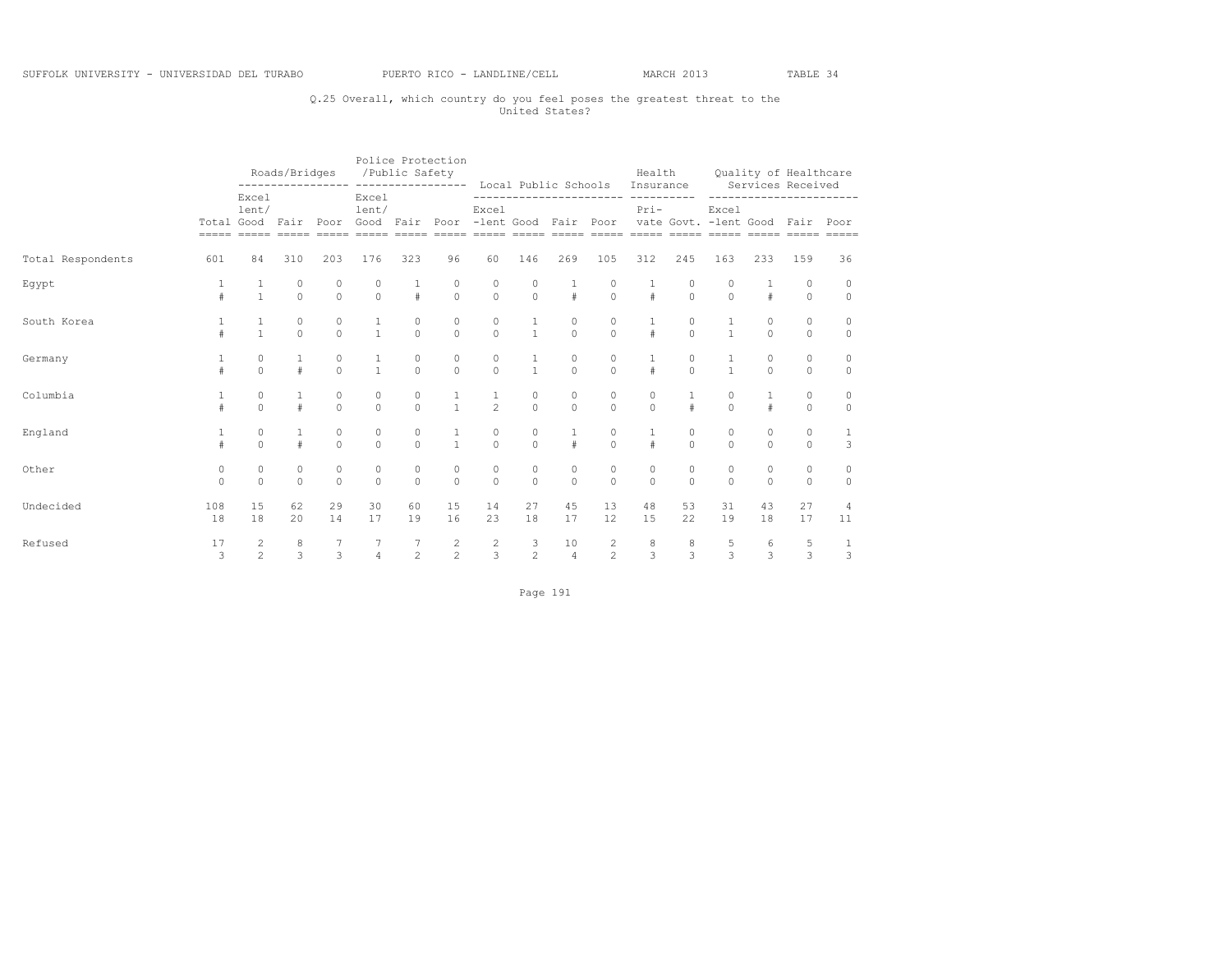## Q.25 Overall, which country do you feel poses the greatest threat to the United States?

|                   |                     |                                  | Roads/Bridges                        |                     | /Public Safety      |                                       | Police Protection<br>---------------- ---------------- Local Public Schools Insurance Services Received |                                      |                                                     |                                      |                                 |                      |                           | Health Quality of Healthcare |                     |                     |                                |
|-------------------|---------------------|----------------------------------|--------------------------------------|---------------------|---------------------|---------------------------------------|---------------------------------------------------------------------------------------------------------|--------------------------------------|-----------------------------------------------------|--------------------------------------|---------------------------------|----------------------|---------------------------|------------------------------|---------------------|---------------------|--------------------------------|
|                   |                     | Excel<br>lent/                   |                                      |                     | Excel<br>lent/      |                                       | Total Good Fair Poor Good Fair Poor -lent Good Fair Poor vate Govt. -lent Good Fair Poor                | Excel                                |                                                     |                                      |                                 | $Pri-$               |                           | Excel                        |                     |                     | -----------------------        |
| Total Respondents | 601                 | 84                               | 310                                  | 203                 | 176                 | 323                                   | 96                                                                                                      | 60                                   | 146                                                 | 269                                  | 105                             | 312                  | 245                       | 163                          | 233                 | 159                 | 36                             |
| Egypt             |                     | $\frac{1}{1}$                    | $\circ$                              | $\circ$             | $\Omega$            | $\frac{1}{4}$                         | $\begin{matrix} 0 \\ 0 \end{matrix}$                                                                    | $\begin{matrix}0\\0\end{matrix}$     |                                                     | $0 \qquad \qquad$                    | $\frac{1}{2}$<br>$\overline{0}$ | $\frac{1}{\#}$       | $\circ$                   | $\Omega$                     | #                   | $\circ$<br>$\circ$  | $\circ$<br>$\circ$             |
| South Korea       |                     |                                  | $\begin{matrix} 0 \\ 0 \end{matrix}$ | $\Omega$            | $\frac{1}{1}$       | $\begin{matrix} 0 \\ 0 \end{matrix}$  | $\begin{matrix} 0 \\ 0 \end{matrix}$                                                                    | $\begin{matrix} 0 \\ 0 \end{matrix}$ | $\frac{1}{1}$                                       | $\begin{matrix} 0 \\ 0 \end{matrix}$ | $\overline{0}$                  | $\frac{1}{4}$        | $\Omega$                  | $\frac{1}{1}$                | $\Omega$            | $\circ$<br>$\Omega$ | $\mathbb O$<br>$\circ$         |
| Germany           |                     | $\Omega$                         |                                      | 0<br>$\Omega$       | $\mathbf{1}$        | $\theta$                              | $\theta$                                                                                                | $\circ$<br>$\theta$                  | $\frac{1}{1}$                                       | $\Omega$                             | $\Omega$                        | $\#$                 | $\circ$<br>$\Omega$       | $\mathbf{1}$                 | $\Omega$            | $\circ$<br>$\Omega$ | $\circ$<br>$\circ$             |
| Columbia          |                     | $\circ$<br>$\Omega$              |                                      | $\circ$<br>$\Omega$ | $\circ$<br>$\Omega$ | $\circ$<br>$\Omega$                   | $\frac{1}{1}$                                                                                           | $\frac{1}{2}$                        | $\circ$<br>$\Omega$                                 | $\circ$<br>$\Omega$                  | 0<br>$\Omega$                   | 0<br>$\Omega$        | $\mathbf{1}$<br>$\pm$     | $\circ$<br>$\Omega$          | $\pm$               | $\circ$<br>$\Omega$ | $\circ$<br>$\circ$             |
| England           |                     | $\circ$<br>$\cap$                |                                      | $\circ$<br>$\Omega$ | $\circ$<br>$\Omega$ | $\circ$<br>$\cap$                     | $\frac{1}{1}$                                                                                           | $\circ$<br>$\overline{0}$            | $\circ$<br>$\Omega$                                 | $\#$                                 | $\circ$<br>$\Omega$             | $\mathbf{1}$<br>$\#$ | $\circ$<br>$\overline{0}$ | $\circ$<br>$\cap$            | $\circ$<br>$\Omega$ | $\circ$<br>$\Omega$ | $\mathbf{1}$<br>$\overline{3}$ |
| Other             | $\circ$<br>$\Omega$ | $\circ$<br>$\Omega$              | $\circ$<br>$\Omega$                  | $\circ$<br>$\Omega$ | $\circ$<br>$\Omega$ | $\circ$<br>$\Omega$                   | $\circ$<br>$\Omega$                                                                                     | $\circ$<br>$\Omega$                  | $\circ$<br>$\Omega$                                 | $\circ$<br>$\Omega$                  | $\circ$<br>$\Omega$             | $\circ$<br>$\Omega$  | $\circ$<br>$\Omega$       | $\circ$<br>$\Omega$          | $\circ$<br>$\Omega$ | $\circ$<br>$\Omega$ | $\circ$<br>$\Omega$            |
| Undecided         | 108<br>18           | 15<br>18                         | 62<br>20                             | 29<br>14            | 30<br>17            | 60<br>19                              | 15<br>16                                                                                                | 14<br>23                             | 27<br>18                                            | 45<br>17                             | 13<br>12                        | 48<br>15             | 53<br>22                  | 31<br>19                     | 43<br>18            | 27<br>17            | 4<br>11                        |
| Refused           | 17<br>$\mathbf{3}$  | $\overline{c}$<br>$\mathfrak{D}$ | 8<br>$\overline{3}$                  | $\overline{3}$      | $\overline{4}$      | $\begin{array}{c} 7 \\ 2 \end{array}$ | $\frac{2}{2}$                                                                                           |                                      | $\begin{array}{ccc} 2 & & 3 \\ 3 & & 2 \end{array}$ | 10<br>$\overline{4}$                 | $\frac{2}{2}$                   | $\frac{8}{3}$        | $\frac{8}{3}$             | $\frac{5}{3}$                | 6<br>$\overline{3}$ | $\frac{5}{3}$       | $\frac{1}{3}$                  |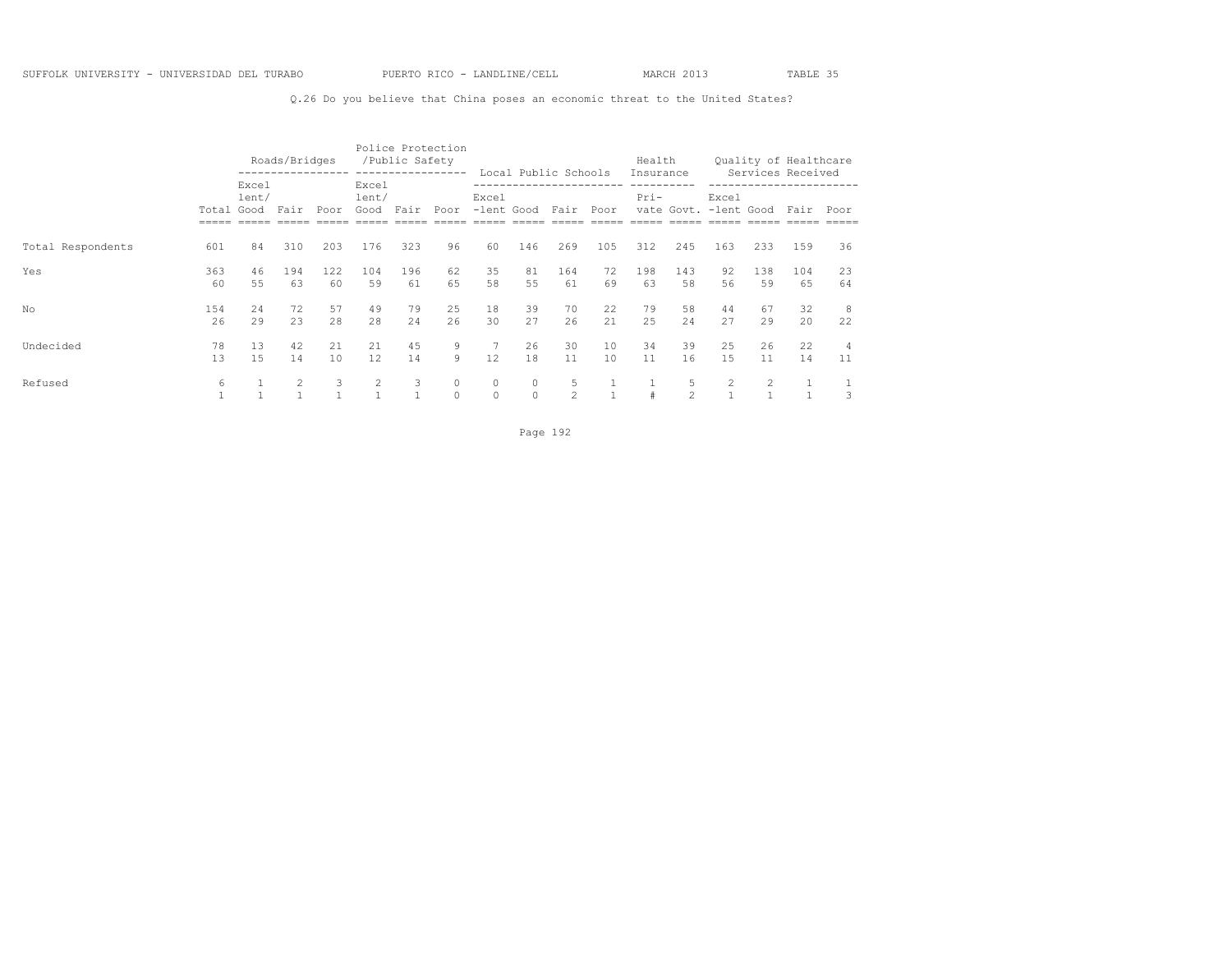Q.26 Do you believe that China poses an economic threat to the United States?

|                   |            |                | Roads/Bridges  |           |                                | /Public Safety    | Police Protection<br>----------------- |                          |                     | Local Public Schools |           | Health<br>Insurance |                     |                                |           | Quality of Healthcare<br>Services Received |          |
|-------------------|------------|----------------|----------------|-----------|--------------------------------|-------------------|----------------------------------------|--------------------------|---------------------|----------------------|-----------|---------------------|---------------------|--------------------------------|-----------|--------------------------------------------|----------|
|                   | Total Good | Excel<br>lent/ | Fair           | Poor      | Excel<br>lent/<br>Good         | Fair              | Poor                                   | Excel<br>-lent Good Fair |                     |                      | Poor      | Pri-                |                     | Excel<br>vate Govt. -lent Good |           | Fair                                       | Poor     |
| Total Respondents | 601        | 84             | 310            | 203       | 176                            | 323               | 96                                     | 60                       | 146                 | 269                  | 105       | 312                 | 245                 | 163                            | 233       | 159                                        | 36       |
| Yes               | 363<br>60  | 46<br>55       | 194<br>63      | 122<br>60 | 104<br>59                      | 196<br>61         | 62<br>65                               | 35<br>58                 | 81<br>55            | 164<br>61            | 72<br>69  | 198<br>63           | 143<br>58           | 92<br>56                       | 138<br>59 | 104<br>65                                  | 23<br>64 |
| No                | 154<br>26  | 2.4<br>29      | 72<br>2.3      | 57<br>28  | 49<br>2.8                      | 79<br>2.4         | 25<br>26                               | 18<br>30                 | 39<br>27            | 70<br>2.6            | 22<br>2.1 | 79<br>25            | 58<br>2.4           | 44<br>27                       | 67<br>29  | 32<br>20                                   | -8<br>22 |
| Undecided         | 78<br>13   | 13<br>1.5      | 42<br>14       | 21<br>10  | 21<br>12                       | 45<br>14          | 9<br>9                                 | 12                       | 26<br>18            | 30<br>11             | 10<br>10  | 34<br>11            | 39<br>16            | 25<br>1.5                      | 26<br>11  | 22<br>14                                   | 4<br>11  |
| Refused           | 6          |                | $\overline{2}$ | 3         | $\overline{2}$<br>$\mathbf{1}$ | 3<br>$\mathbf{1}$ | 0<br>$\Omega$                          | $\circ$<br>$\circ$       | $\circ$<br>$\Omega$ | 5<br>$\mathfrak{D}$  |           | #                   | 5<br>$\mathfrak{D}$ | $\overline{2}$<br>1            | 2         |                                            | 3        |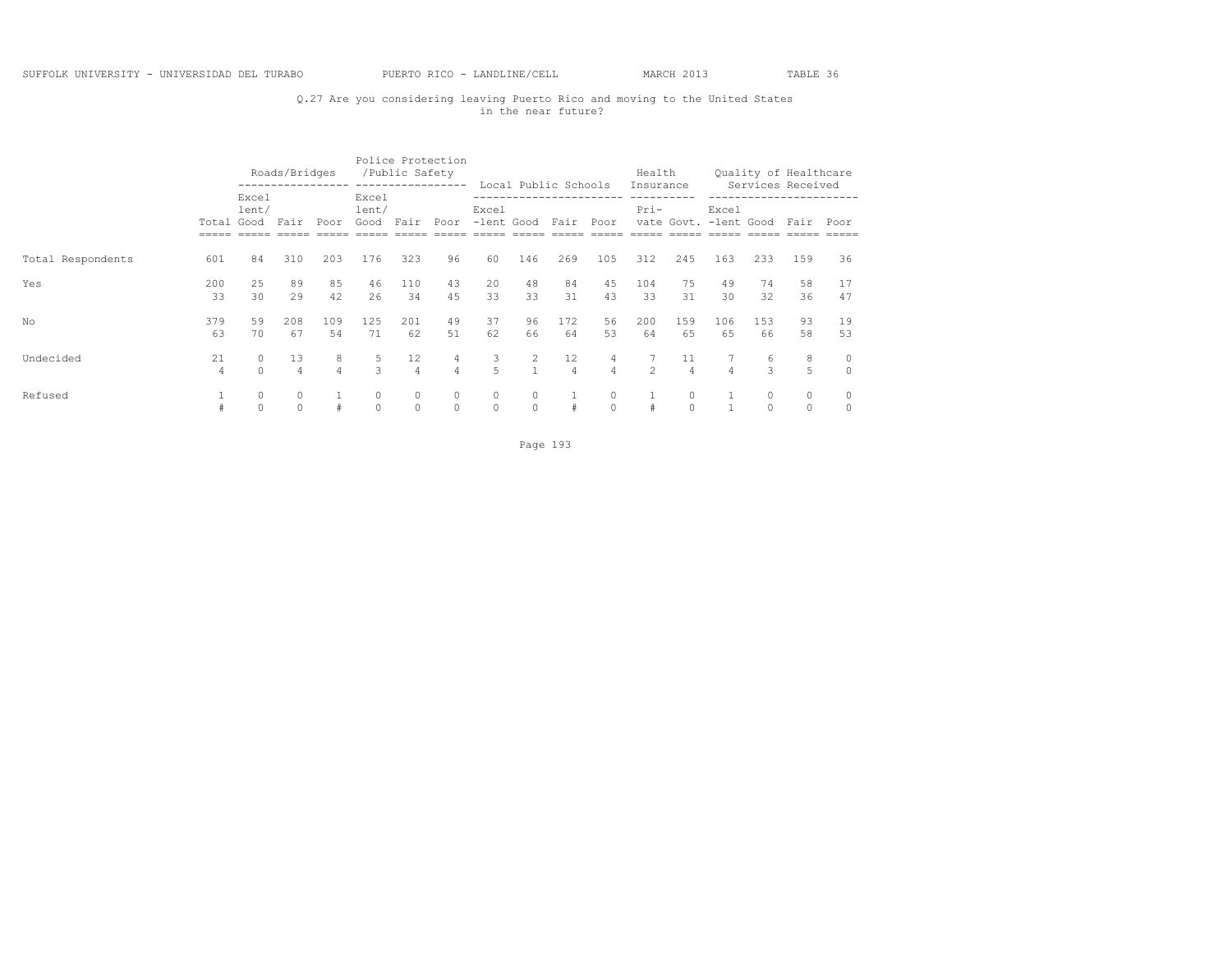## Q.27 Are you considering leaving Puerto Rico and moving to the United States in the near future?

|                   |            |                | Roads/Bridges        |                     |                             | Police Protection<br>/Public Safety | -----------------   |                               |                     | Local Public Schools |                                  | Health              |                      |                                     |                    | Quality of Healthcare<br>Services Received |                     |
|-------------------|------------|----------------|----------------------|---------------------|-----------------------------|-------------------------------------|---------------------|-------------------------------|---------------------|----------------------|----------------------------------|---------------------|----------------------|-------------------------------------|--------------------|--------------------------------------------|---------------------|
|                   | Total Good | Excel<br>lent/ | Fair                 | Poor                | Excel<br>lent/<br>Good Fair |                                     | Poor                | Excel<br>-lent Good Fair Poor |                     |                      |                                  | Insurance<br>$Pri-$ |                      | Excel<br>vate Govt. -lent Good Fair |                    |                                            | Poor                |
| Total Respondents | 601        | 84             | 310                  | 203                 | 176                         | 323                                 | 96                  | 60                            | 146                 | 269                  | 105                              | 312                 | 245                  | 163                                 | 233                | 159                                        | 36                  |
| Yes               | 200<br>33  | 25<br>30       | 89<br>29             | 85<br>42            | 46<br>26                    | 110<br>34                           | 43<br>45            | 20<br>33                      | 48<br>33            | 84<br>31             | 45<br>43                         | 104<br>33           | 75<br>31             | 49<br>30                            | 74<br>32           | 58<br>36                                   | 17<br>47            |
| No.               | 379<br>63  | 59<br>70       | 208<br>67            | 109<br>54           | 125<br>71                   | 201<br>62                           | 49<br>51            | 37<br>62                      | 96<br>66            | 172<br>64            | 56<br>53                         | 200<br>64           | 159<br>65            | 106<br>65                           | 153<br>66          | 93<br>58                                   | 19<br>53            |
| Undecided         | 21<br>4    | 0<br>$\Omega$  | 13<br>$\overline{4}$ | 8<br>$\overline{4}$ | 5<br>$\mathcal{L}$          | 12<br>$\overline{4}$                | 4<br>$\overline{4}$ | 3<br>5                        | 2                   | 12<br>$\overline{4}$ | $\overline{4}$<br>$\overline{4}$ | $\mathfrak{D}$      | 11<br>$\overline{4}$ | $\overline{4}$                      | 6<br>$\mathcal{L}$ | 8<br>5                                     | 0<br>$\overline{0}$ |
| Refused           |            | 0<br>$\Omega$  | $\circ$<br>$\Omega$  | #                   | $\circ$<br>$\Omega$         | $\circ$<br>$\Omega$                 | $\circ$<br>$\Omega$ | $\circ$<br>$\circ$            | $\circ$<br>$\Omega$ | #                    | 0<br>$\Omega$                    | #                   | $\bigcap$            |                                     |                    | $\circ$<br>$\Omega$                        | $\circ$<br>$\circ$  |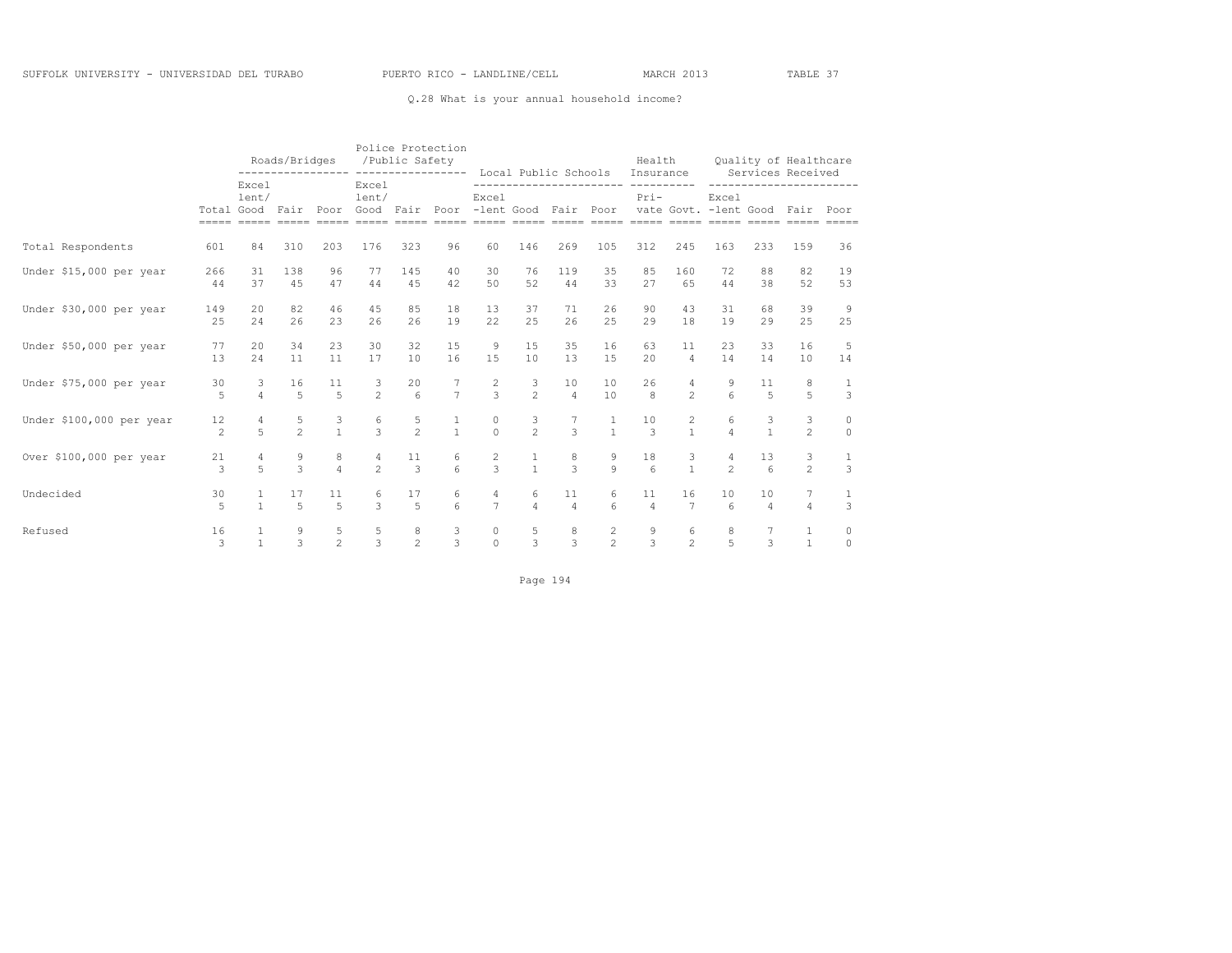### Q.28 What is your annual household income?

|                          |                      | Roads/Bridges<br>---------------- ---------------- Local Public Schools Insurance |                      |                      |                                  | /Public Safety                        | Police Protection            |                     |                     |                      |                   |                                                                                                                                                                                                                                    |                      | Health Quality of Healthcare<br>Services Received |                      |                         |                               |
|--------------------------|----------------------|-----------------------------------------------------------------------------------|----------------------|----------------------|----------------------------------|---------------------------------------|------------------------------|---------------------|---------------------|----------------------|-------------------|------------------------------------------------------------------------------------------------------------------------------------------------------------------------------------------------------------------------------------|----------------------|---------------------------------------------------|----------------------|-------------------------|-------------------------------|
|                          |                      | Excel<br>lent/<br>Total Good Fair                                                 |                      | Poor                 | Excel<br>lent/                   |                                       |                              | Excel               |                     |                      |                   | ----------------------- ---------<br>$Pri-$<br>Good Fair Poor -lent Good Fair Poor vate Govt. -lent Good Fair Poor<br><u>soona aanoo aanoo aanoo aanoo aanoo aanoo aanoo aanoo aanoo aanoo aanoo aanoo aanoo aanoo aanoo aanoo</u> |                      | Excel                                             |                      | ----------------------- |                               |
| Total Respondents        | 601                  | 84                                                                                | 310                  | 203                  | 176                              | 323                                   | 96                           | 60                  | 146                 | 269                  | 105               | 312                                                                                                                                                                                                                                | 245                  | 163                                               | 233                  | 159                     | 36                            |
| Under \$15,000 per year  | 266<br>44            | 31<br>37                                                                          | 138<br>45            | 96<br>47             | 77<br>44                         | 145<br>45                             | 40<br>42                     | 30<br>50            | 76<br>52            | 119<br>44            | 35<br>33          | 85<br>27                                                                                                                                                                                                                           | 160<br>65            | 72<br>44                                          | 88<br>38             | 82<br>52                | 19<br>53                      |
| Under \$30,000 per year  | 149<br>25            | 20<br>2.4                                                                         | 82<br>26             | 46<br>23             | 45<br>26                         | 85<br>26                              | 18<br>19                     | 13<br>2.2.          | 37<br>2.5           | 71<br>26             | 26<br>2.5         | 90<br>29                                                                                                                                                                                                                           | 43<br>18             | 31<br>19                                          | 68<br>29             | 39<br>25                | -9<br>25                      |
| Under \$50,000 per year  | 77<br>13             | 20<br>2.4                                                                         | 34<br>11             | 23<br>11             | 30<br>17                         | 32<br>10                              | 15<br>16                     | 9<br>15             | 15<br>10            | 35<br>13             | 16<br>15          | 63<br>2.0                                                                                                                                                                                                                          | 11<br>$\overline{4}$ | 23<br>14                                          | 33<br>14             | 16<br>10                | 5<br>14                       |
| Under \$75,000 per year  | 30<br>5              | $\mathbf{3}$<br>$\overline{4}$                                                    | 16<br>$\overline{5}$ | 11<br>$\overline{5}$ | 3<br>$\mathfrak{D}$              | 20<br>$6\overline{6}$                 | $\overline{7}$               | $\frac{2}{3}$       | 3<br>$\mathfrak{D}$ | 10<br>$\overline{4}$ | 10<br>10          | 26<br>8                                                                                                                                                                                                                            | 4<br>$2^{1}$         | 9<br>$\kappa$                                     | 11<br>$\overline{5}$ | 8<br>5                  | -1<br>$\mathbf{3}$            |
| Under \$100,000 per year | 12<br>$\mathfrak{D}$ | 4<br>$\overline{5}$                                                               | $\frac{5}{2}$        | $\frac{3}{1}$        | 6<br>$\mathcal{L}$               | $\frac{5}{2}$                         | $\mathbf{1}$<br>$\mathbf{1}$ | 0<br>$\Omega$       | 3<br>$\mathfrak{D}$ | 7<br>$\mathcal{L}$   | $\frac{1}{1}$     | 10<br>3                                                                                                                                                                                                                            | 2<br>$\mathbf{1}$    | 6<br>$\overline{4}$                               | 3<br>$\overline{1}$  | 3<br>$\mathfrak{D}$     | $\circ$<br>$\Omega$           |
| Over \$100,000 per year  | 21<br>$\mathcal{L}$  | $\overline{4}$<br>$\overline{5}$                                                  | $\frac{9}{3}$        | 8<br>$\overline{4}$  | $\overline{4}$<br>$\mathfrak{D}$ | 11<br>$\mathcal{F}$                   | 6<br>$6 \overline{6}$        | $\frac{2}{3}$       | $\frac{1}{1}$       | $\frac{8}{3}$        | 9<br>$\mathbf{Q}$ | 18<br>$6\overline{6}$                                                                                                                                                                                                              | 3<br>$\mathbf{1}$    | 4<br>$\mathfrak{D}$                               | 13<br>6              | 3<br>$\overline{2}$     | $\mathbf{1}$<br>$\mathcal{E}$ |
| Undecided                | 30<br>$\overline{r}$ | $\mathbf{1}$                                                                      | 17<br>$\overline{5}$ | 11<br>5              | 6<br>$\mathcal{L}$               | 17<br>$\overline{5}$                  | 6<br>$6 \overline{6}$        | 4<br>$\overline{7}$ | 6<br>$\overline{4}$ | 11<br>$\overline{4}$ | 6<br>$6^{\circ}$  | 11<br>$\overline{4}$                                                                                                                                                                                                               | 16<br>7              | 10<br>$\epsilon$                                  | 10<br>$\overline{4}$ | 7<br>$\overline{4}$     | 1<br>3                        |
| Refused                  | 16<br>$\mathcal{L}$  |                                                                                   | 9<br>$\mathcal{L}$   | 5<br>$\overline{2}$  | $\frac{5}{3}$                    | $\begin{array}{c} 8 \\ 2 \end{array}$ | $\frac{3}{3}$                | 0<br>$\Omega$       | 5<br>$\mathcal{L}$  | $\frac{8}{3}$        | $\frac{2}{2}$     | $\frac{9}{3}$                                                                                                                                                                                                                      | 6<br>$\mathfrak{D}$  | 8<br>$\overline{5}$                               | $\mathcal{L}$        | 1<br>$\mathbf{1}$       | $\mathbf{0}$<br>$\Omega$      |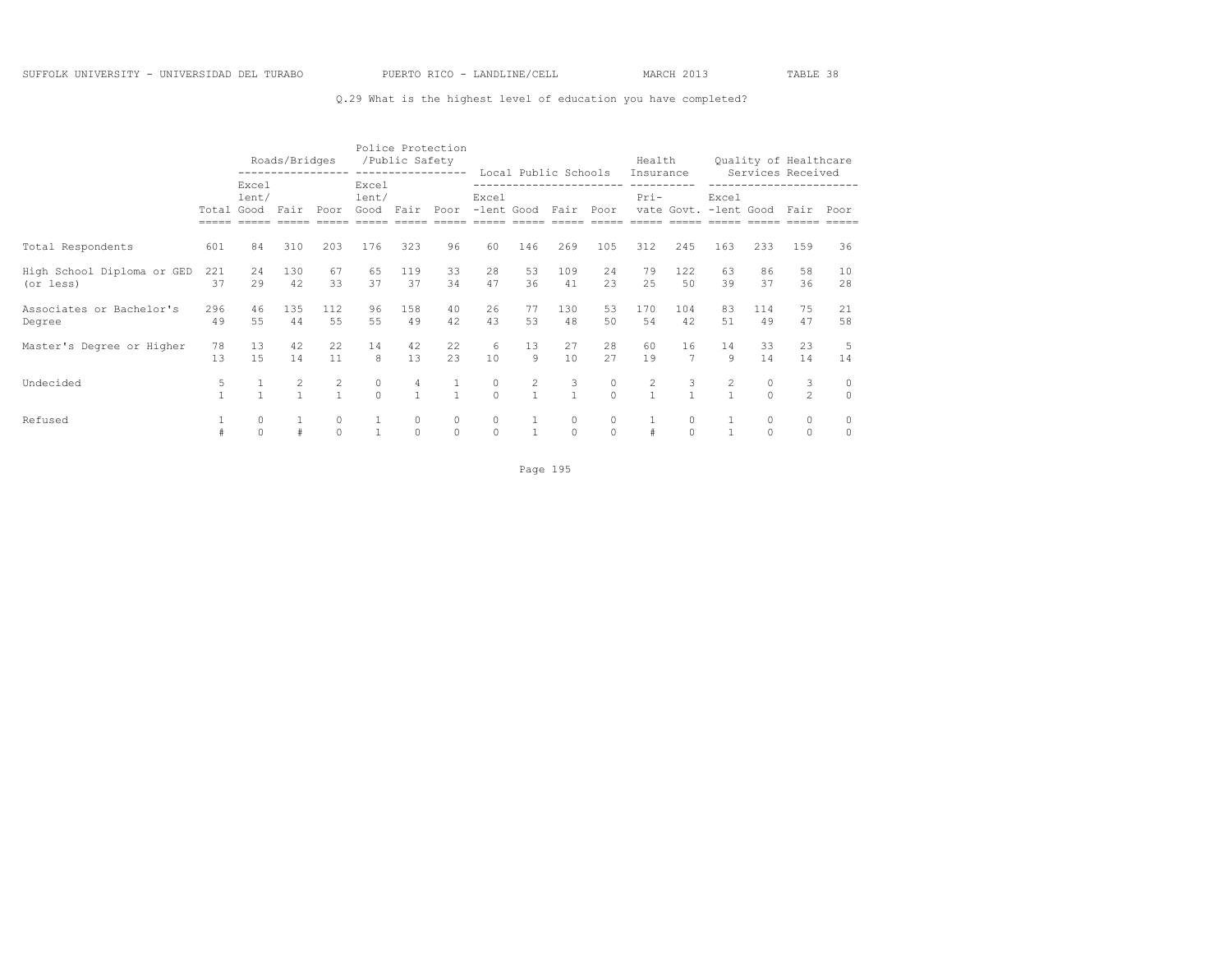### Q.29 What is the highest level of education you have completed?

|                                         |           |                        | Roads/Bridges<br>---------------- ------------------ |                   |                        | /Public Safety      | Police Protection    |                     |                                  | Local Public Schools |                      | Health<br>Insurance            |                    |                                |           | Quality of Healthcare<br>Services Received |                     |
|-----------------------------------------|-----------|------------------------|------------------------------------------------------|-------------------|------------------------|---------------------|----------------------|---------------------|----------------------------------|----------------------|----------------------|--------------------------------|--------------------|--------------------------------|-----------|--------------------------------------------|---------------------|
|                                         | Total     | Excel<br>lent/<br>Good | Fair                                                 | Poor              | Excel<br>lent/<br>Good | Fair                | Poor                 | Excel<br>-lent Good |                                  | Fair                 | Poor                 | $Pri-$                         |                    | Excel<br>vate Govt. -lent Good |           | Fair                                       | Poor                |
| Total Respondents                       | 601       | 84                     | 310                                                  | 203               | 176                    | 323                 | 96                   | 60                  | 146                              | 269                  | 105                  | 312                            | 245                | 163                            | 233       | 159                                        | 36                  |
| High School Diploma or GED<br>(or less) | 221<br>37 | 2.4<br>29              | 130<br>42                                            | 67<br>33          | 65<br>37               | 119<br>37           | 33<br>34             | 2.8<br>47           | 53<br>36                         | 109<br>41            | 2.4<br>2.3           | 79<br>2.5                      | 122<br>50          | 63<br>39                       | 86<br>37  | 58<br>36                                   | 10<br>28            |
| Associates or Bachelor's<br>Degree      | 296<br>49 | 46<br>55               | 135<br>44                                            | 112<br>55         | 96<br>55               | 158<br>49           | 40<br>42             | 26<br>43            | 77<br>53                         | 130<br>48            | 53<br>50             | 170<br>54                      | 104<br>42          | 83<br>51                       | 114<br>49 | 75<br>47                                   | 21<br>58            |
| Master's Degree or Higher               | 78<br>13  | 13<br>1.5              | 42<br>14                                             | 22<br>11          | 14<br>8                | 42<br>13            | 22<br>23             | 6<br>10             | 13<br>Q                          | 27<br>10             | 28<br>2.7            | 60<br>19                       | 16<br>7            | 14<br>9                        | 33<br>14  | 23<br>14                                   | -5<br>14            |
| Undecided                               | 5         |                        | $\overline{2}$                                       | 2<br>$\mathbf{1}$ | $\circ$<br>$\Omega$    | 4<br>$\overline{1}$ | $\overline{1}$       | $\circ$<br>$\Omega$ | $\overline{2}$<br>$\overline{1}$ | 3<br>$\mathbf{1}$    | $\Omega$<br>$\Omega$ | $\overline{2}$<br>$\mathbf{1}$ | 3                  | $\overline{2}$                 | $\cap$    | 3<br>$\mathfrak{D}$                        | $\circ$<br>$\Omega$ |
| Refused                                 |           | $\Omega$<br>$\Omega$   |                                                      | 0<br>$\Omega$     |                        | 0<br>$\Omega$       | $\Omega$<br>$\Omega$ | $\circ$<br>$\Omega$ |                                  | $\circ$<br>$\Omega$  |                      |                                | $\Omega$<br>$\cap$ |                                | $\Omega$  | $\mathbf{0}$<br>$\Omega$                   | $\circ$<br>$\circ$  |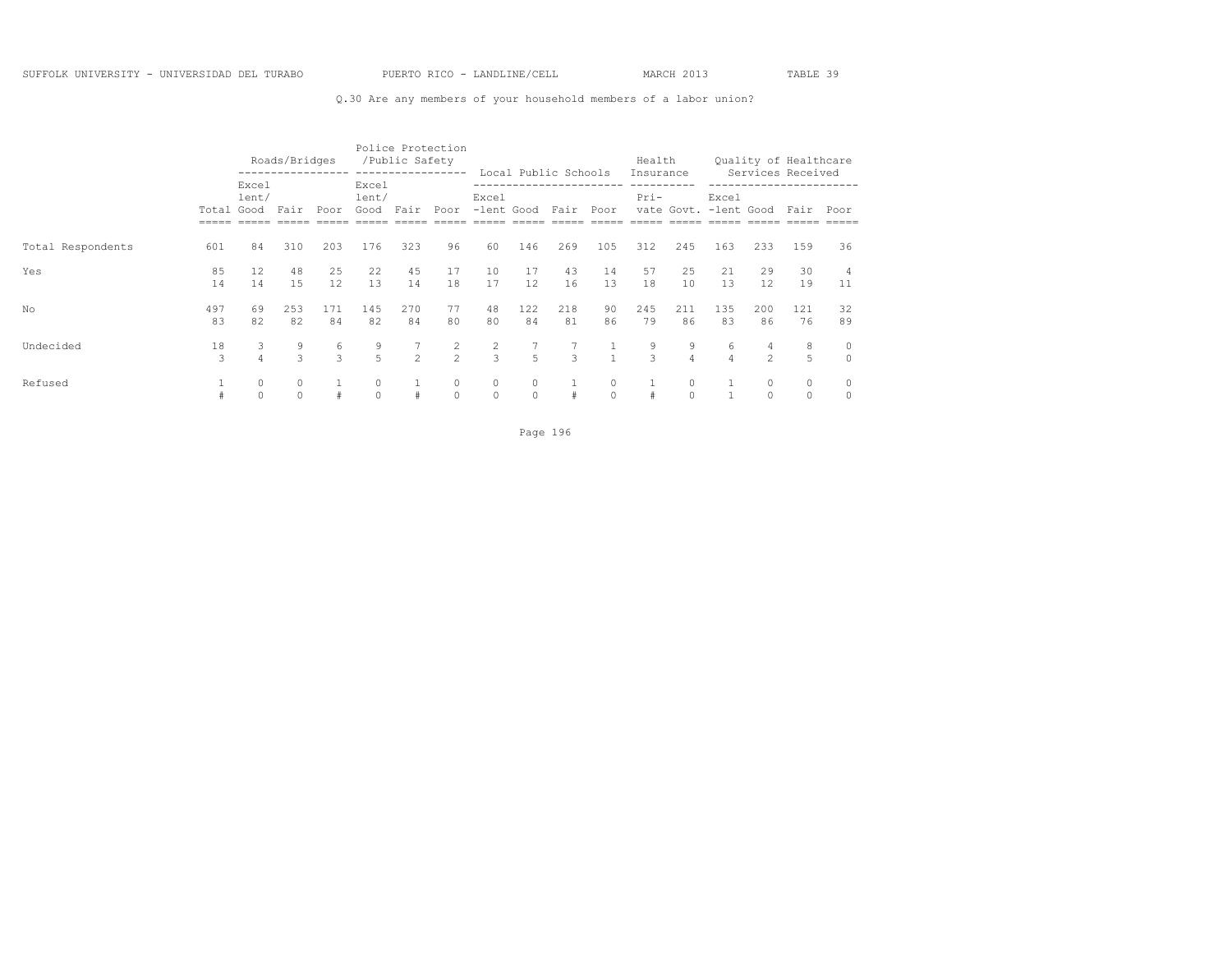### Q.30 Are any members of your household members of a labor union?

|                   |                     |                | Roads/Bridges      |           |                        | /Public Safety | Police Protection<br>----------------- |                     |                     |                              |                     | Health<br>Insurance |                     |                                |                     | Quality of Healthcare     |                          |
|-------------------|---------------------|----------------|--------------------|-----------|------------------------|----------------|----------------------------------------|---------------------|---------------------|------------------------------|---------------------|---------------------|---------------------|--------------------------------|---------------------|---------------------------|--------------------------|
|                   | Total Good          | Excel<br>lent/ | Fair               | Poor      | Excel<br>lent/<br>Good | Fair           | Poor                                   | Excel<br>-lent Good |                     | Local Public Schools<br>Fair | Poor                | $Pri-$              |                     | Excel<br>vate Govt. -lent Good |                     | Services Received<br>Fair | Poor                     |
| Total Respondents | 601                 | 84             | 310                | 203       | 176                    | 323            | 96                                     | 60                  | 146                 | 269                          | 105                 | 312                 | 245                 | 163                            | 233                 | 159                       | 36                       |
| Yes               | 85<br>14            | 12<br>14       | 48<br>1.5          | 25<br>12  | 22<br>13               | 45<br>14       | 17<br>18                               | 10<br>17            | 17<br>12.           | 43<br>16                     | 14<br>13            | 57<br>18            | 25<br>10            | 21<br>13                       | 29<br>12            | 30<br>19                  | 11                       |
| No                | 497<br>83           | 69<br>82       | 253<br>82          | 171<br>84 | 145<br>82              | 270<br>84      | 77<br>80                               | 48<br>80            | 122<br>84           | 218<br>81                    | 90<br>86            | 245<br>79           | 211<br>86           | 135<br>83                      | 200<br>86           | 121<br>76                 | 32<br>89                 |
| Undecided         | 18<br>$\mathcal{L}$ | 3<br>$\Delta$  | 9<br>$\mathcal{L}$ | 6<br>3    | 9<br>$5 -$             | $\overline{2}$ | $\overline{c}$<br>$\overline{2}$       | $\frac{2}{3}$       | 5                   | 3                            | $\sim$ 1            | 9<br>3              | 9<br>$\overline{4}$ | 6<br>$\Delta$                  | 4<br>$\overline{2}$ | 8<br>5                    | $\mathbf{0}$<br>$\Omega$ |
| Refused           |                     | 0<br>$\Omega$  | 0<br>$\Omega$      | #         | 0<br>$\Omega$          | #              | 0<br>$\Omega$                          | $\circ$<br>$\circ$  | $\circ$<br>$\Omega$ | #                            | $\circ$<br>$\Omega$ |                     | $\circ$<br>$\cap$   |                                | $\circ$<br>$\Omega$ | $\circ$<br>$\circ$        | $\Omega$                 |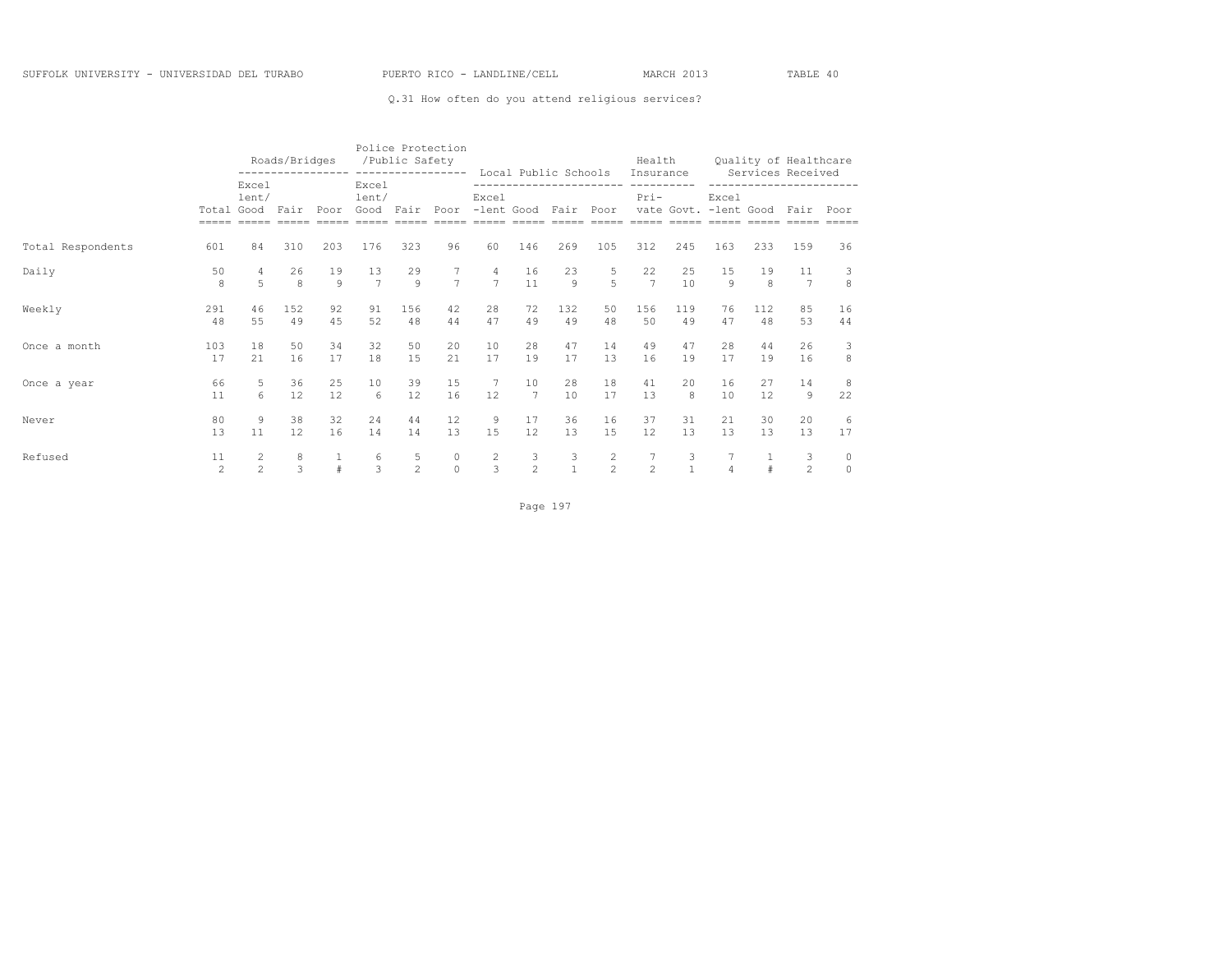### Q.31 How often do you attend religious services?

|                   |                     |                     | Roads/Bridges      |               | /Public Safety     |                     | Police Protection<br>---------------- ---------------- Local Public Schools Insurance |                                  |                      |                      |                     | Health                                      |                   |                             |           | Quality of Healthcare<br>Services Received                  |                     |
|-------------------|---------------------|---------------------|--------------------|---------------|--------------------|---------------------|---------------------------------------------------------------------------------------|----------------------------------|----------------------|----------------------|---------------------|---------------------------------------------|-------------------|-----------------------------|-----------|-------------------------------------------------------------|---------------------|
|                   | Total Good          | Excel<br>lent/      | Fair               | Poor          | Excel<br>lent/     |                     | Good Fair Poor -lent Good Fair Poor                                                   | Excel                            |                      |                      |                     | ------------------------ --------<br>$Pri-$ |                   | Excel                       |           | -----------------------<br>vate Govt. - lent Good Fair Poor |                     |
| Total Respondents | 601                 | 84                  | 310                | 203           | 176                | 323                 | 96                                                                                    | 60                               | 146                  | 269                  | 105                 | 312                                         | 245               | 163                         | 233       | 159                                                         | 36                  |
| Daily             | 50<br>8             | 5                   | 26<br>8            | 19<br>$\circ$ | 13<br>$7^{\circ}$  | 29<br>9             | $7^{\circ}$<br>$\overline{7}$                                                         | $\overline{4}$<br>$\overline{7}$ | 16<br>11             | 23<br>$\overline{9}$ | 5<br>$\overline{5}$ | 22<br>$7\overline{7}$                       | 25<br>10          | 15<br>$\circ$               | 19<br>8   | 11<br>$7\phantom{.0}$                                       | 3<br>8              |
| Weekly            | 291<br>48           | 46<br>55            | 152<br>49          | 92<br>4.5     | 91<br>52           | 156<br>48           | 42<br>44                                                                              | 28<br>47                         | 72<br>49             | 132<br>49            | 50<br>48            | 156<br>50                                   | 119<br>49         | 76<br>47                    | 112<br>48 | 85<br>53                                                    | 16<br>44            |
| Once a month      | 103<br>17           | 18<br>2.1           | 50<br>16           | 34<br>17      | 32<br>18           | 50<br>1.5           | 20<br>21                                                                              | 10<br>17                         | 2.8<br>19            | 47<br>17             | 14<br>13            | 49<br>16                                    | 47<br>19          | 2.8<br>17                   | 44<br>19  | 26<br>16                                                    | 3<br>8              |
| Once a year       | 66<br>11            | 5<br>6              | 36<br>12           | 25<br>12      | 10<br>6            | 39<br>12            | 15<br>16                                                                              | 7<br>12                          | 10<br>$\overline{7}$ | 28<br>10             | 18<br>17            | 41<br>13                                    | 20<br>8           | 16<br>10                    | 27<br>12  | 14<br>$\overline{9}$                                        | 8<br>22             |
| Never             | 80<br>13            | 9<br>11             | 38<br>12           | 32<br>16      | 24<br>14           | 44<br>14            | 12<br>13                                                                              | 9<br>15                          | 17<br>12             | 36<br>13             | 16<br>1.5           | 37<br>12.                                   | 31<br>13          | 21<br>13                    | 30<br>13  | 20<br>13                                                    | -6<br>17            |
| Refused           | 11<br>$\mathcal{P}$ | 2<br>$\mathfrak{D}$ | 8<br>$\mathcal{L}$ | $\frac{1}{4}$ | 6<br>$\mathcal{L}$ | 5<br>$\mathfrak{D}$ | $\circ$<br>$\Omega$                                                                   | $\frac{2}{3}$                    | 3<br>$\mathfrak{D}$  | 3<br>$\mathbf{1}$    | $\frac{2}{2}$       | $7\phantom{.0}$<br>$\mathfrak{D}$           | 3<br>$\mathbf{1}$ | $7\phantom{.0}$<br>$\Delta$ | 1         | 3<br>$\mathfrak{D}$                                         | $\circ$<br>$\Omega$ |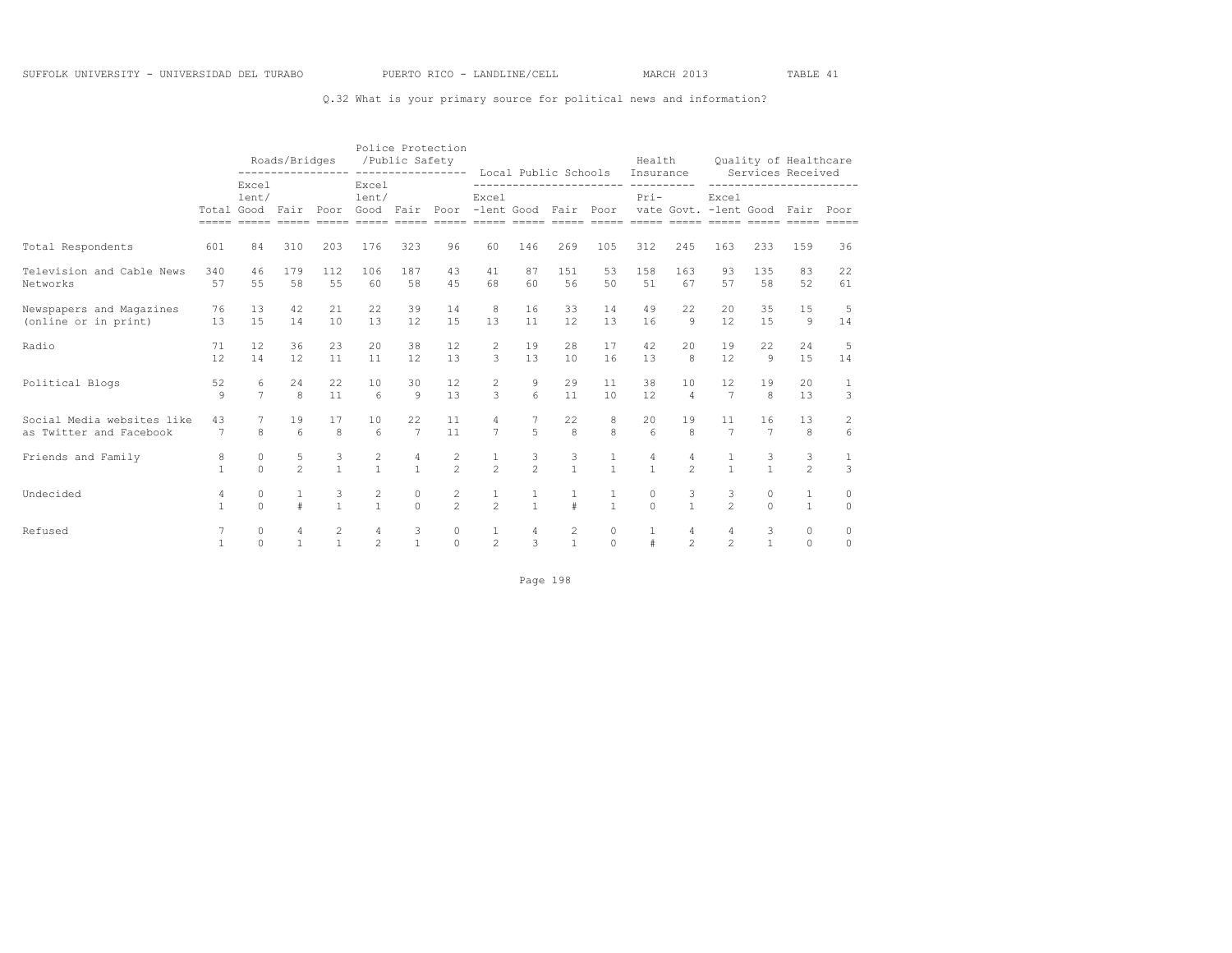### Q.32 What is your primary source for political news and information?

|                                                       |                    |                                   | Roads/Bridges<br>---------------- ---------------- Local Public Schools Insurance |                   |                                       | /Public Safety       | Police Protection                                                                                                                                                            |                                         |                |                                       |                     | Health                                       |                      | Quality of Healthcare<br>Services Received |                      |                         |                      |
|-------------------------------------------------------|--------------------|-----------------------------------|-----------------------------------------------------------------------------------|-------------------|---------------------------------------|----------------------|------------------------------------------------------------------------------------------------------------------------------------------------------------------------------|-----------------------------------------|----------------|---------------------------------------|---------------------|----------------------------------------------|----------------------|--------------------------------------------|----------------------|-------------------------|----------------------|
|                                                       |                    | Excel<br>lent/<br>Total Good Fair |                                                                                   |                   | Excel<br>lent/                        |                      | Poor Good Fair Poor -lent Good Fair Poor vate Govt. -lent Good Fair<br>asaas aadaa aadaa aadaa aadaa aadaa aadaa aadaa aadaa aadaa aadaa aadaa aadaa aadaa aadaa aadaa aadaa | Excel                                   |                |                                       |                     | ------------------------ ---------<br>$Pri-$ |                      | Excel                                      |                      | ----------------------- | Poor                 |
| Total Respondents                                     | 601                | 84                                | 310                                                                               | 203               | 176                                   | 323                  | 96                                                                                                                                                                           | 60                                      | 146            | 269                                   | 105                 | 312                                          | 245                  | 163                                        | 233                  | 159                     | 36                   |
| Television and Cable News<br>Networks                 | 340<br>57          | 46<br>55                          | 179<br>58                                                                         | 112<br>55         | 106<br>60                             | 187<br>58            | 43<br>45                                                                                                                                                                     | 41<br>68                                | 87<br>60       | 151<br>56                             | 53<br>50            | 1.58<br>51                                   | 163<br>67            | 93<br>57                                   | 135<br>58            | 83<br>52                | 22<br>61             |
| Newspapers and Magazines<br>(online or in print)      | 76<br>13           | 13<br>1.5                         | 42<br>14                                                                          | 21<br>10          | 22<br>13                              | 39<br>12             | 14<br>15                                                                                                                                                                     | 8<br>13                                 | 16<br>11       | 33<br>12                              | 14<br>13            | 49<br>16                                     | 22<br>$\circ$        | 20<br>12                                   | 35<br>1.5            | 15<br>9                 | 5<br>14              |
| Radio                                                 | 71<br>12           | 12<br>14                          | 36<br>12                                                                          | 23<br>11          | 2.0<br>11                             | 38<br>12             | 12<br>13                                                                                                                                                                     | $\overline{2}$<br>3                     | 19<br>13       | 2.8<br>10                             | 17<br>16            | 42<br>13                                     | 2.0<br>8             | 19<br>12                                   | 22<br>Q              | 2.4<br>15               | 5<br>14              |
| Political Blogs                                       | 52<br>$\mathsf{Q}$ | 6<br>$\overline{7}$               | 24<br>$\mathsf{R}$                                                                | 22<br>11          | 10<br>$\kappa$                        | 30<br>$\mathsf{Q}$   | 12<br>13                                                                                                                                                                     | $\mathbf{2}^{\prime}$<br>$\overline{3}$ | 9<br>$\kappa$  | 29<br>11                              | 11<br>10            | 38<br>12                                     | 10<br>$\overline{4}$ | 12<br>$\overline{7}$                       | 19<br>$\mathsf{R}$   | 20<br>13                | 1<br>3               |
| Social Media websites like<br>as Twitter and Facebook | 43<br>7            | 7<br>8                            | 19<br>$6\overline{6}$                                                             | 17<br>8           | 10<br>6                               | 22<br>$\overline{7}$ | 11<br>11                                                                                                                                                                     | 4<br>$\overline{7}$                     | $\overline{a}$ | 22<br>$\mathsf{R}$                    | 8<br>$\mathsf{R}$   | 20<br>$6 \overline{6}$                       | 19<br>$\mathcal{R}$  | 11<br>$\overline{7}$                       | 16<br>$\overline{7}$ | 13<br>8                 | 2<br>$6\overline{6}$ |
| Friends and Family                                    | 8<br>$\mathbf{1}$  | $\circ$<br>$\cap$                 | $\frac{5}{2}$                                                                     | $\frac{3}{1}$     | $\begin{array}{c} 2 \\ 1 \end{array}$ | $\frac{4}{1}$        | $\frac{2}{2}$                                                                                                                                                                | $\frac{1}{2}$                           | $\frac{3}{2}$  | $\frac{3}{1}$                         | $\frac{1}{1}$       | $\overline{4}$<br>$\mathbf{1}$               | 4<br>$\mathfrak{D}$  | $\overline{1}$                             | $\frac{3}{1}$        | 3<br>$\mathfrak{D}$     | 1<br>$\mathcal{L}$   |
| Undecided                                             | 4<br>$\mathbf{1}$  | $\circ$<br>$\cap$                 | $\pm$                                                                             | 3<br>$\mathbf{1}$ | $\frac{2}{1}$                         | $\circ$<br>$\cap$    | $\frac{2}{2}$                                                                                                                                                                | $\frac{1}{2}$                           | $\frac{1}{1}$  | $\pm$                                 | $\frac{1}{1}$       | 0<br>$\Omega$                                | $\mathbf{1}$         | 3<br>$\overline{2}$                        | 0<br>$\cap$          | 1<br>$\mathbf{1}$       | $\circ$<br>$\Omega$  |
| Refused                                               | 7<br>$\mathbf{1}$  | $\circ$<br>$\Omega$               | 4<br>$\mathbf{1}$                                                                 | $\frac{2}{1}$     | $\overline{4}$<br>$\mathfrak{D}$      | $\frac{3}{1}$        | 0<br>$\Omega$                                                                                                                                                                | $\frac{1}{2}$                           | $\frac{4}{3}$  | $\begin{array}{c} 2 \\ 1 \end{array}$ | $\circ$<br>$\Omega$ | $\mathbf{1}$<br>$\ddagger$                   | 4<br>$\mathfrak{D}$  | $\overline{4}$<br>$\mathfrak{D}$           | $\frac{3}{1}$        | $\circ$<br>$\Omega$     | $\circ$<br>$\Omega$  |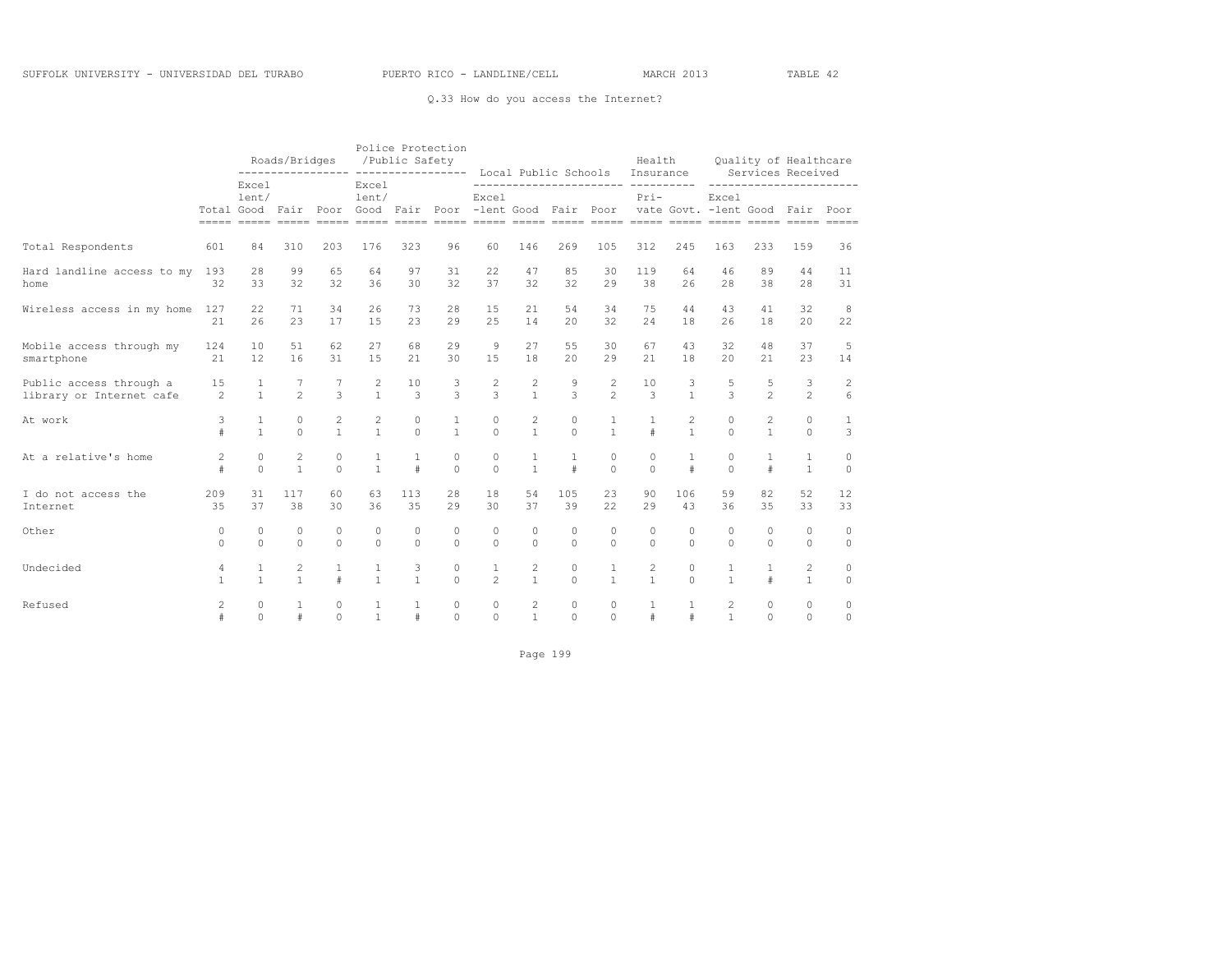### Q.33 How do you access the Internet?

|                            |                |                                   | Roads/Bridges  |              |                | Police Protection<br>/Public Safety |                                          |                |                | Local Public Schools |                | Health<br>Insurance                      |              |                                      |                | Quality of Healthcare<br>Services Received |                  |
|----------------------------|----------------|-----------------------------------|----------------|--------------|----------------|-------------------------------------|------------------------------------------|----------------|----------------|----------------------|----------------|------------------------------------------|--------------|--------------------------------------|----------------|--------------------------------------------|------------------|
|                            |                | Excel<br>lent/<br>Total Good Fair |                |              | Excel<br>lent/ |                                     | Poor Good Fair Poor -lent Good Fair Poor | Excel          |                |                      |                | ------------------------------<br>$Pri-$ |              | Excel<br>vate Govt. - lent Good Fair |                |                                            | Poor             |
| Total Respondents          | 601            | 84                                | 310            | 203          | 176            | 323                                 | 96                                       | 60             | 146            | 269                  | 105            | 312                                      | 245          | 163                                  | 233            | 159                                        | 36               |
| Hard landline access to my | 193            | 28                                | 99             | 65           | 64             | 97                                  | 31                                       | 22             | 47             | 85                   | 30             | 119                                      | 64           | 46                                   | 89             | 44                                         | 11               |
| home                       | 32             | 33                                | 32             | 32           | 36             | 30                                  | 32                                       | 37             | 32             | 32                   | 29             | 38                                       | 26           | 28                                   | 38             | 28                                         | 31               |
| Wireless access in my home | 127            | 22                                | 71             | 34           | 26             | 73                                  | 28                                       | 15             | 21             | 54                   | 34             | 75                                       | 44           | 43                                   | 41             | 32                                         | 8                |
|                            | 2.1            | 26                                | 23             | 17           | 1.5            | 23                                  | 29                                       | 2.5            | 14             | 2.0                  | 32             | 2.4                                      | 18           | 26                                   | 18             | 2.0                                        | 22               |
| Mobile access through my   | 124            | 10                                | 51             | 62           | 27             | 68                                  | 29                                       | $\mathcal{G}$  | 27             | 55                   | 30             | 67                                       | 43           | 32                                   | 48             | 37                                         | 5                |
| smartphone                 | 21             | 12                                | 16             | 31           | 1.5            | 2.1                                 | 30                                       | 15             | 18             | 2.0                  | 29             | 21                                       | 18           | 20                                   | 21             | 23                                         | 14               |
| Public access through a    | 15             | 1                                 | 7              | 3            | 2              | 10                                  | 3                                        | $\mathbf{2}$   | $\overline{c}$ | 9                    | $\mathbf{2}$   | 10                                       | 3            | 5                                    | 5              | 3                                          | $\sqrt{2}$       |
| library or Internet cafe   | $\mathfrak{D}$ | $\mathbf{1}$                      | $\overline{2}$ |              | $\mathbf{1}$   | 3                                   | $\mathcal{L}$                            | 3              | $\mathbf{1}$   | 3                    | $\mathfrak{D}$ | 3                                        | $\mathbf{1}$ | 3                                    | $\mathfrak{D}$ | $\mathfrak{D}$                             | $6 \overline{6}$ |
| At work                    | 3              | $\mathbf{1}$                      | $\circ$        | 2            | 2              | $\circ$                             | $\mathbf{1}$                             | $\circ$        | $\overline{c}$ | $\circ$              | 1              | 1                                        | $\mathbf{2}$ | $\circ$                              | 2              | $\circ$                                    | $\mathbf{1}$     |
|                            | $\#$           | $\mathbf{1}$                      | $\Omega$       | $\mathbf{1}$ | $\mathbf{1}$   | $\Omega$                            | $\mathbf{1}$                             | $\circ$        | $\mathbf{1}$   | $\Omega$             | $\mathbf{1}$   | $\#$                                     | $\mathbf{1}$ | $\Omega$                             | $\mathbf{1}$   | $\Omega$                                   | 3                |
| At a relative's home       | $\overline{c}$ | $\Omega$                          | $\overline{c}$ | $\circ$      | $\mathbf{1}$   | $\mathbf{1}$                        | 0                                        | $\circ$        | $\mathbf{1}$   | $\mathbf{1}$         | $\circ$        | $\circ$                                  | 1            | $\Omega$                             | $\mathbf{1}$   | $\mathbf{1}$                               | $\circ$          |
|                            | $\#$           | $\Omega$                          | $\mathbf{1}$   | $\Omega$     | $\mathbf{1}$   | $\#$                                | $\Omega$                                 | $\Omega$       | $\mathbf{1}$   | #                    | $\Omega$       | $\Omega$                                 | $\#$         | $\Omega$                             | $\#$           | $\overline{1}$                             | $\Omega$         |
| I do not access the        | 209            | 31                                | 117            | 60           | 63             | 113                                 | 28                                       | 18             | 54             | 105                  | 23             | 90                                       | 106          | 59                                   | 82             | 52                                         | 12               |
| Internet                   | 35             | 37                                | 38             | 30           | 36             | 35                                  | 29                                       | 30             | 37             | 39                   | 22             | 29                                       | 43           | 36                                   | 35             | 33                                         | 33               |
| Other                      | $\circ$        | 0                                 | 0              | 0            | 0              | 0                                   | 0                                        | $\circ$        | $\Omega$       | $\circ$              | $\circ$        | $\circ$                                  | $\circ$      | $\Omega$                             | $\Omega$       | $\circ$                                    | $\circ$          |
|                            | $\Omega$       | $\Omega$                          | $\Omega$       | $\Omega$     | $\Omega$       | $\Omega$                            | $\Omega$                                 | $\Omega$       | $\Omega$       | $\Omega$             | $\Omega$       | $\Omega$                                 | $\Omega$     | $\Omega$                             | $\Omega$       | $\Omega$                                   | $\Omega$         |
| Undecided                  | $\overline{4}$ | $\mathbf{1}$                      | $\overline{c}$ | $\mathbf{1}$ | $\mathbf{1}$   | 3                                   | 0                                        | $\mathbf{1}$   | $\overline{c}$ | $\circ$              | $\mathbf{1}$   | 2                                        | $\circ$      | $\mathbf{1}$                         | $\mathbf{1}$   | $\mathbf{2}$                               | $\circ$          |
|                            | $\mathbf{1}$   | $\mathbf{1}$                      | $\mathbf{1}$   | $\#$         | $\mathbf{1}$   | $\mathbf{1}$                        | $\Omega$                                 | $\overline{c}$ | $\mathbf{1}$   | $\Omega$             | $\mathbf{1}$   | $\mathbf{1}$                             | $\cap$       | $\mathbf{1}$                         | $\pm$          | $\mathbf{1}$                               | $\circ$          |
| Refused                    | $\overline{2}$ | 0                                 | 1              | $\circ$      | $\mathbf{1}$   | 1                                   | $\circ$                                  | $\circ$        | $\overline{c}$ | $\circ$              | $\circ$        | 1                                        | 1            | 2                                    | $\circ$        | $\circ$                                    | $\circ$          |
|                            | $\#$           | $\Omega$                          | #              | $\Omega$     | $\mathbf{1}$   | $\#$                                | $\Omega$                                 | $\Omega$       | $\mathbf{1}$   | $\Omega$             | $\Omega$       | $\#$                                     | #            | $\mathbf{1}$                         | $\cap$         | $\Omega$                                   | $\Omega$         |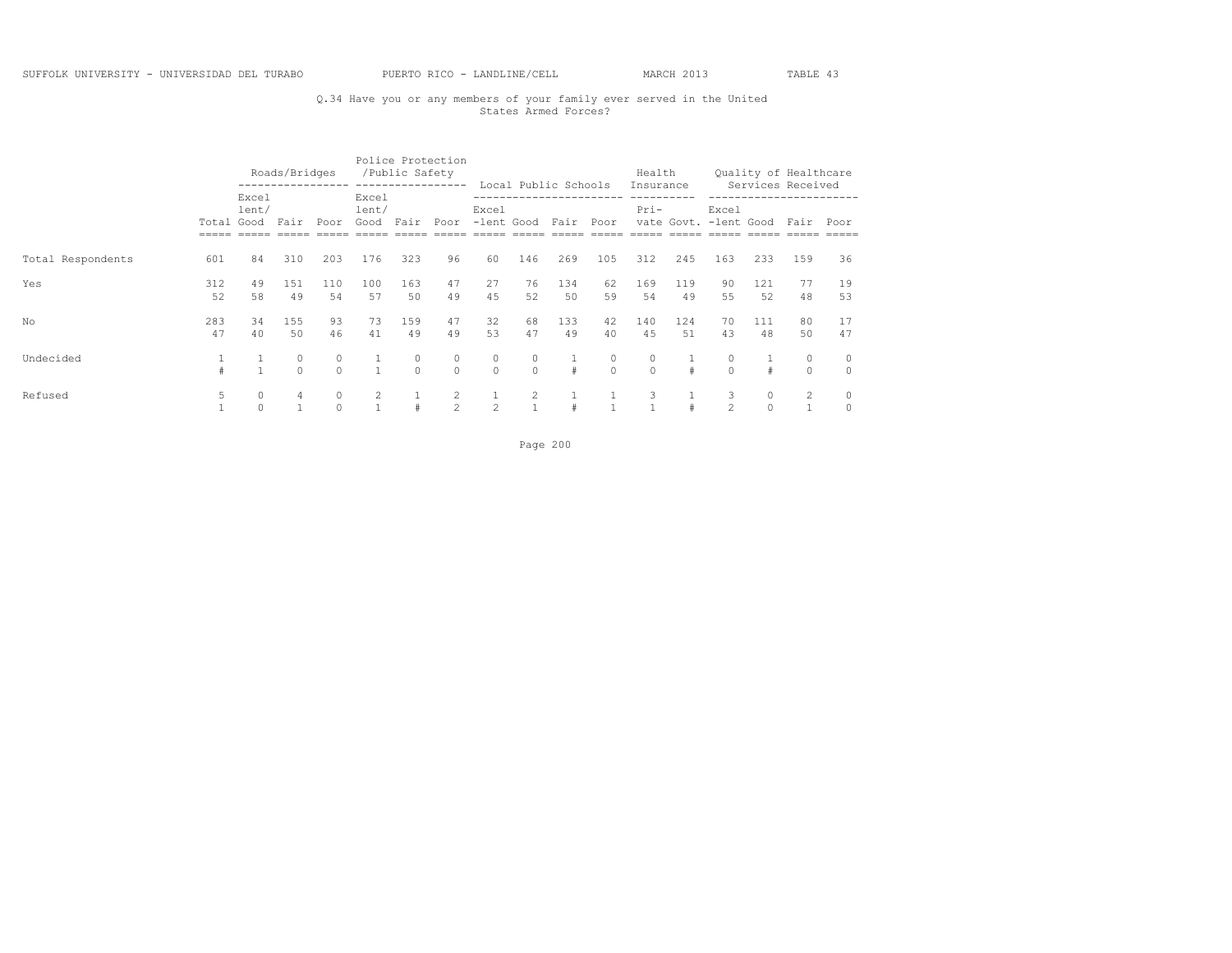## Q.34 Have you or any members of your family ever served in the United States Armed Forces?

|                   |            |                     | Roads/Bridges |              |                             | Police Protection<br>/Public Safety | -----------------   |                                |                                | Local Public Schools |                     | Health<br>Insurance |           |                                |            | Quality of Healthcare<br>Services Received |                     |
|-------------------|------------|---------------------|---------------|--------------|-----------------------------|-------------------------------------|---------------------|--------------------------------|--------------------------------|----------------------|---------------------|---------------------|-----------|--------------------------------|------------|--------------------------------------------|---------------------|
|                   | Total Good | Excel<br>lent/      | Fair          | Poor         | Excel<br>lent/<br>Good Fair |                                     | Poor                | Excel<br>-lent Good Fair       |                                |                      | Poor                | $Pri-$              |           | Excel<br>vate Govt. -lent Good |            | Fair                                       | Poor                |
| Total Respondents | 601        | 84                  | 310           | 203          | 176                         | 323                                 | 96                  | 60                             | 146                            | 269                  | 105                 | 312                 | 245       | 163                            | 233        | 159                                        | 36                  |
| Yes               | 312<br>52  | 49<br>58            | 151<br>49     | 110<br>54    | 100<br>57                   | 163<br>50                           | 47<br>49            | 27<br>45                       | 76<br>52                       | 134<br>50            | 62<br>59            | 169<br>54           | 119<br>49 | 90<br>55                       | 121<br>52  | 77<br>48                                   | 19<br>53            |
| No.               | 283<br>47  | 34<br>40            | 155<br>50     | 93<br>46     | 73<br>41                    | 159<br>49                           | 47<br>49            | 32<br>53                       | 68<br>47                       | 133<br>49            | 42<br>40            | 140<br>45           | 124<br>51 | 70<br>43                       | 111<br>48  | 80<br>50                                   | 17<br>47            |
| Undecided         |            | $\mathbf{1}$        | 0<br>$\cap$   | 0<br>$\cap$  | $\overline{1}$              | 0<br>$\Omega$                       | $\circ$<br>$\cap$   | $\circ$<br>$\Omega$            | $\circ$<br>$\cap$              | #                    | $\circ$<br>$\Omega$ | 0<br>$\Omega$       | #         | $\Omega$                       | $\ddagger$ | 0<br>$\circ$                               | $\circ$<br>$\Omega$ |
| Refused           | 5          | $\circ$<br>$\Omega$ | 4             | 0<br>$\circ$ | 2                           | #                                   | $\overline{2}$<br>2 | $\mathbf{1}$<br>$\overline{2}$ | $\mathbf{2}$<br>$\overline{1}$ | 1                    |                     | 3                   |           | 3<br>$\mathfrak{D}$            | $\circ$    | 2                                          | 0<br>$\circ$        |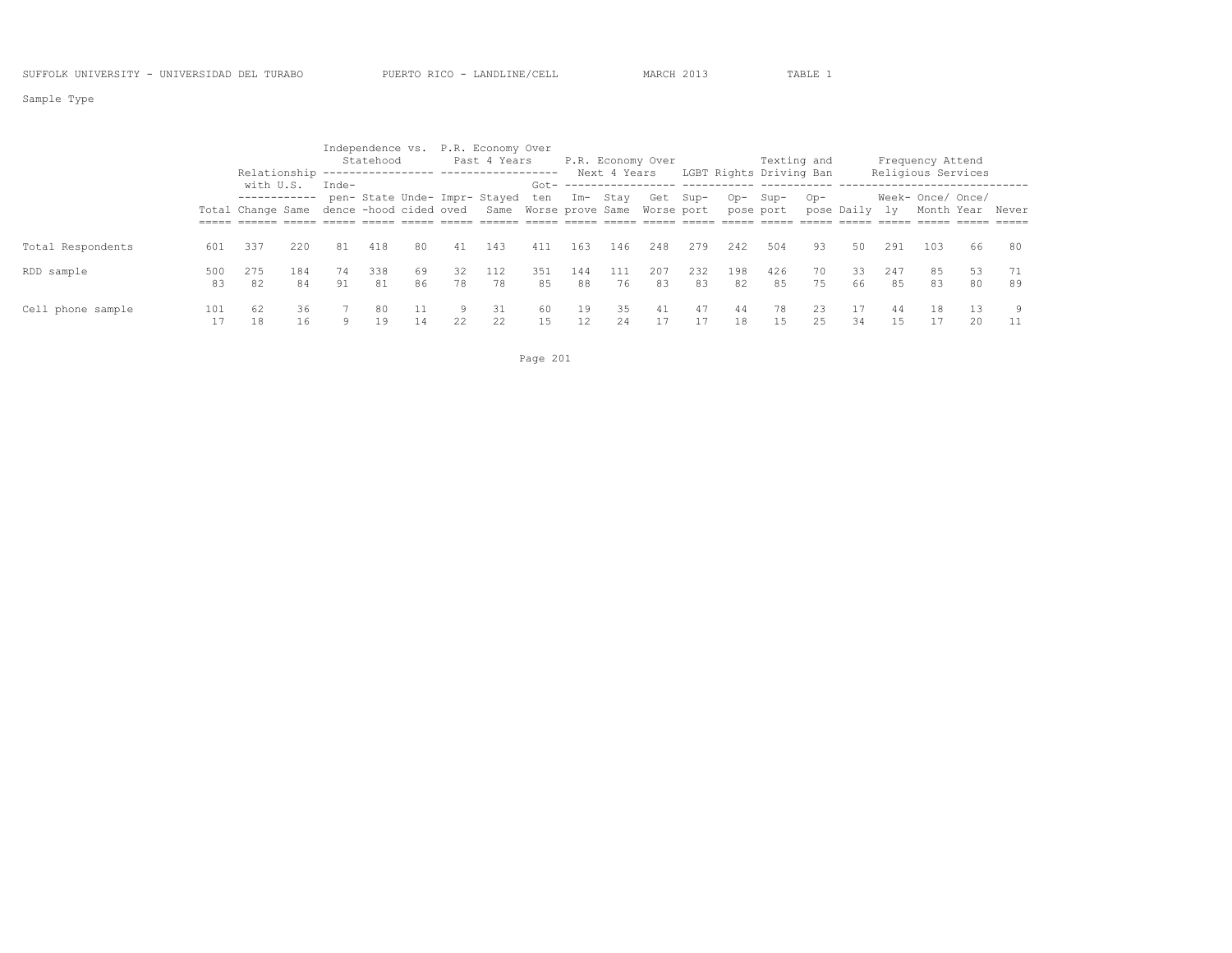Sample Type

|                   |           | Relationship |           |          | Statehood |          |          | Independence vs. P.R. Economy Over<br>Past 4 Years                        |           |                         | Next 4 Years | P.R. Economy Over |           |           |           | Texting and<br>LGBT Rights Driving Ban |               |           | Frequency Attend<br>Religious Services |          |          |
|-------------------|-----------|--------------|-----------|----------|-----------|----------|----------|---------------------------------------------------------------------------|-----------|-------------------------|--------------|-------------------|-----------|-----------|-----------|----------------------------------------|---------------|-----------|----------------------------------------|----------|----------|
|                   |           | with U.S.    |           | Inde-    |           |          |          | pen- State Unde- Impr- Stayed ten                                         | Got-      | Im- Stay                |              | Get Sup-          |           | Op-       | Sup-      | $Op-$                                  |               |           | Week- Once/ Once/                      |          |          |
|                   |           |              |           |          |           |          |          | Total Change Same dence -hood cided oved Same Worse prove Same Worse port |           |                         |              |                   |           |           | pose port |                                        | pose Daily ly |           | Month Year Never                       |          |          |
| Total Respondents | 601       | 337          | 220       | 81       | 418       | 80       | 41       | 143                                                                       | 411       | 163                     | 146          | 248               | 279       | 242       | 504       | 93                                     | 50            | 291       | 103                                    | 66       | 80       |
| RDD sample        | 500<br>83 | 275<br>82    | 184<br>84 | 74<br>91 | 338<br>81 | 69<br>86 | 32<br>78 | 112<br>78                                                                 | 351<br>85 | 144<br>88               | 111<br>76    | 207<br>83         | 232<br>83 | 198<br>82 | 426<br>85 | 70<br>75                               | 33<br>66      | 247<br>85 | 85<br>83                               | 53<br>80 | 71<br>89 |
| Cell phone sample | 101       | 62<br>18     | 36<br>16  | 9        | 80<br>19  | 11<br>14 | 9.<br>22 | 31<br>22                                                                  | -60<br>15 | 19<br>$12 \overline{ }$ | 35<br>24     | 41                | 47        | 44<br>18  | 78<br>15  | 23<br>25                               | 34            | 44        | 18                                     | 13<br>20 | 9<br>11  |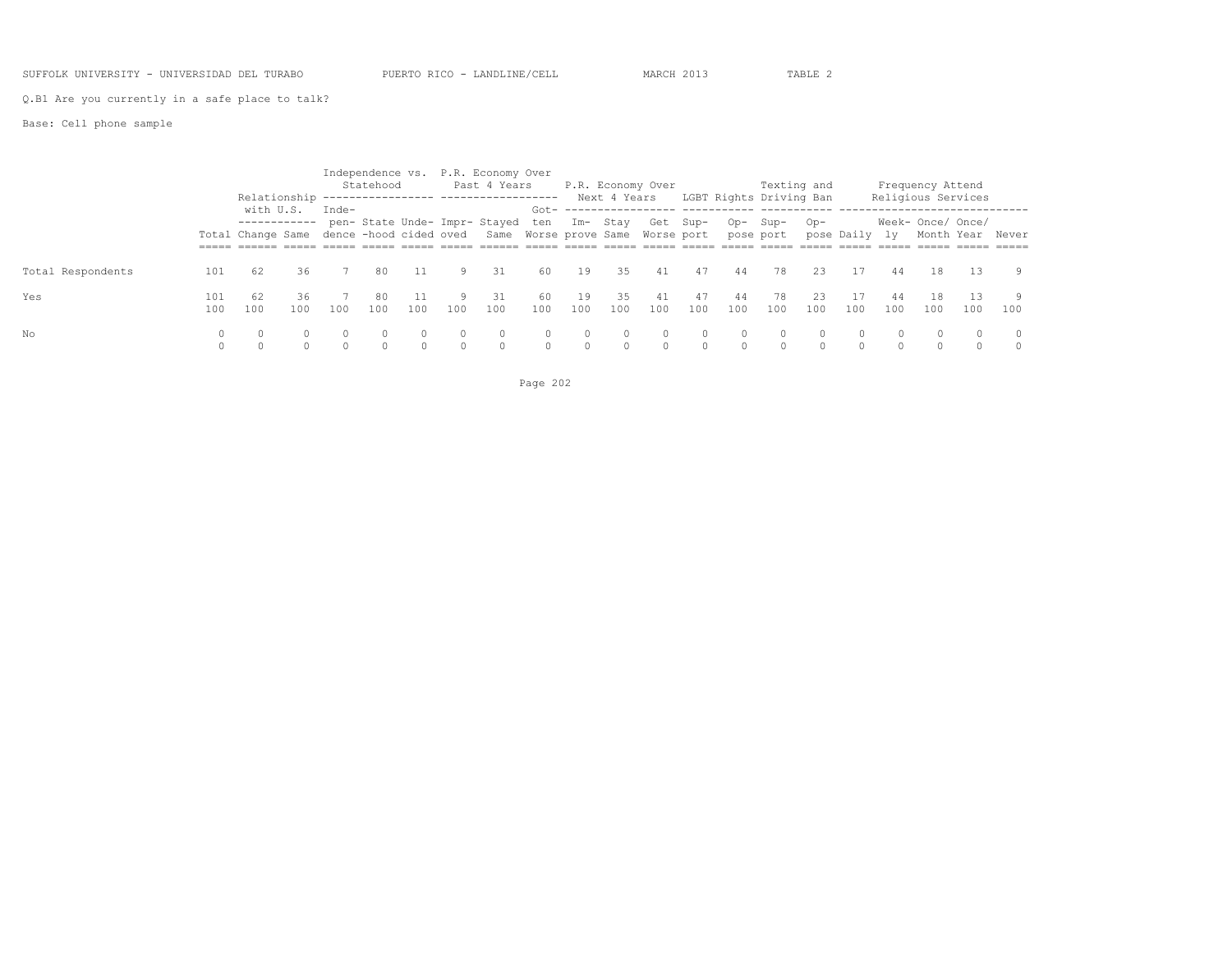### SUFFOLK UNIVERSITY - UNIVERSIDAD DEL TURABO PUERTO RICO - LANDLINE/CELL MARCH 2013 TABLE 2

Q.B1 Are you currently in a safe place to talk?

|                   |            | Relationship                             |           |       | Statehood |          |     | Independence vs. P.R. Economy Over<br>Past 4 Years |             |           | Next 4 Years | P.R. Economy Over |           |           | LGBT Rights Driving Ban | Texting and    |               |           | Frequency Attend<br>Religious Services |            |                     |
|-------------------|------------|------------------------------------------|-----------|-------|-----------|----------|-----|----------------------------------------------------|-------------|-----------|--------------|-------------------|-----------|-----------|-------------------------|----------------|---------------|-----------|----------------------------------------|------------|---------------------|
|                   |            | with U.S.<br>------------                |           | Inde- |           |          |     | pen- State Unde- Impr- Stayed                      | Got-<br>ten |           | Im- Stay     | Get Sup-          |           | Op-       | Sup-                    | O <sub>D</sub> |               |           | Week- Once/ Once/                      |            |                     |
|                   |            | Total Change Same dence -hood cided oved |           |       |           |          |     | Same Worse prove Same Worse port                   |             |           |              |                   |           |           | pose port               |                | pose Daily ly |           | Month Year Never                       |            |                     |
| Total Respondents | 101        | 62                                       | 36        |       | 80        |          | 9.  | 31                                                 | 60          | 19        | 35           | 41                | 47        | 44        | 78                      | 23             |               | 44        | 18                                     | 13         | 9                   |
| Yes               | 101<br>100 | 62<br>100                                | 36<br>100 | 100   | 80<br>100 | 100      | 100 | 31<br>100                                          | -60<br>100  | 19<br>100 | 35<br>100    | 41<br>100         | 47<br>100 | 44<br>100 | 78<br>100               | 23<br>100      | 100           | 44<br>100 | 18<br>100                              | 1.3<br>100 | -9<br>100           |
| No                |            |                                          |           |       |           | $\Omega$ |     | $\circ$                                            | $\Omega$    | $\circ$   | $\Omega$     | $\circ$           |           | $\Omega$  |                         | $\Omega$       | $\Omega$      |           |                                        |            | $\Omega$<br>$\circ$ |

Page 202

Base: Cell phone sample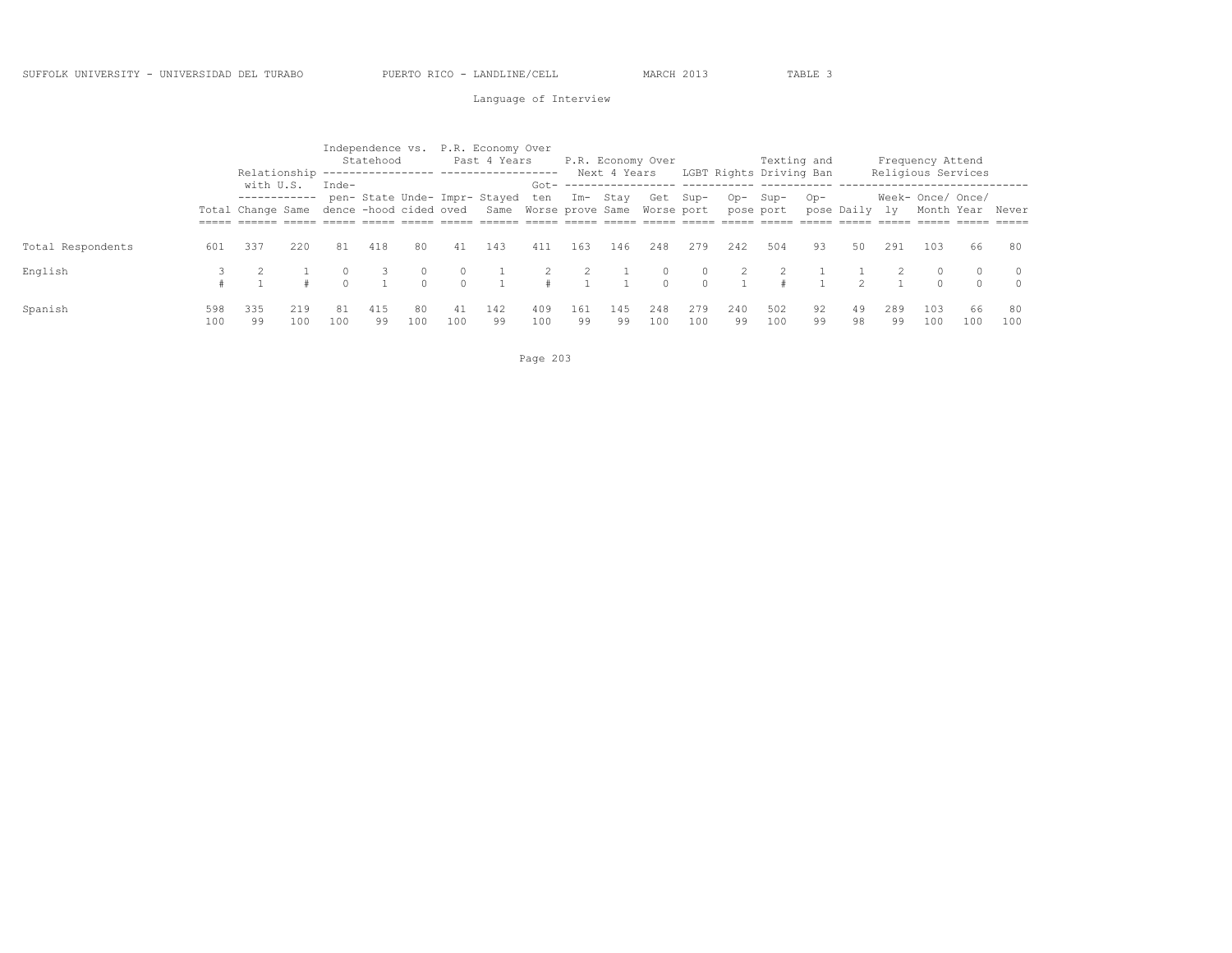### Language of Interview

|                   |            | Relationship                   |            |                                   | Statehood | ------------------ |           | Independence vs. P.R. Economy Over<br>Past 4 Years<br>------------------- |            |           | Next 4 Years | P.R. Economy Over                            |            |           | LGBT Rights Driving Ban | Texting and |               |           | Frequency Attend<br>Religious Services |           |           |
|-------------------|------------|--------------------------------|------------|-----------------------------------|-----------|--------------------|-----------|---------------------------------------------------------------------------|------------|-----------|--------------|----------------------------------------------|------------|-----------|-------------------------|-------------|---------------|-----------|----------------------------------------|-----------|-----------|
|                   |            | with U.S.<br>Total Change Same |            | $Inde-$<br>dence -hood cided oved |           |                    |           | pen- State Unde- Impr- Stayed ten                                         | $Got -$    |           | Im- Stav     | Get Sup-<br>Same Worse prove Same Worse port |            | $Op-$     | Sup-<br>pose port       | $Op-$       | pose Daily ly |           | Week- Once/ Once/<br>Month Year Never  |           |           |
|                   |            |                                |            |                                   |           |                    |           |                                                                           |            |           |              |                                              |            |           |                         |             |               |           |                                        |           |           |
| Total Respondents | 601        | 337                            | 220        | 81                                | 418       | 80                 | 41        | 143                                                                       | 411        | 163       | 146          | 248                                          | 279        | 242       | 504                     | 93          | 50            | 291       | 103                                    | 66        | 80        |
| English           |            |                                |            |                                   |           | $\Omega$           |           |                                                                           |            |           |              |                                              | $\cap$     |           |                         |             |               |           | $\Omega$                               |           | $\Omega$  |
|                   |            |                                |            |                                   |           | $\cap$             | $\cap$    |                                                                           |            |           |              | $\cap$                                       | $\cap$     |           |                         |             |               |           | $\Omega$                               | $\cap$    | $\Omega$  |
| Spanish           | 598<br>100 | 335<br>99                      | 219<br>100 | 81<br>100                         | 415<br>99 | 80<br>100          | 41<br>100 | 142<br>99                                                                 | 409<br>100 | 161<br>99 | 145<br>99    | 248<br>100                                   | 279<br>100 | 240<br>99 | 502<br>100              | 92<br>99    | 49<br>98      | 289<br>99 | 103<br>100                             | 66<br>100 | 80<br>100 |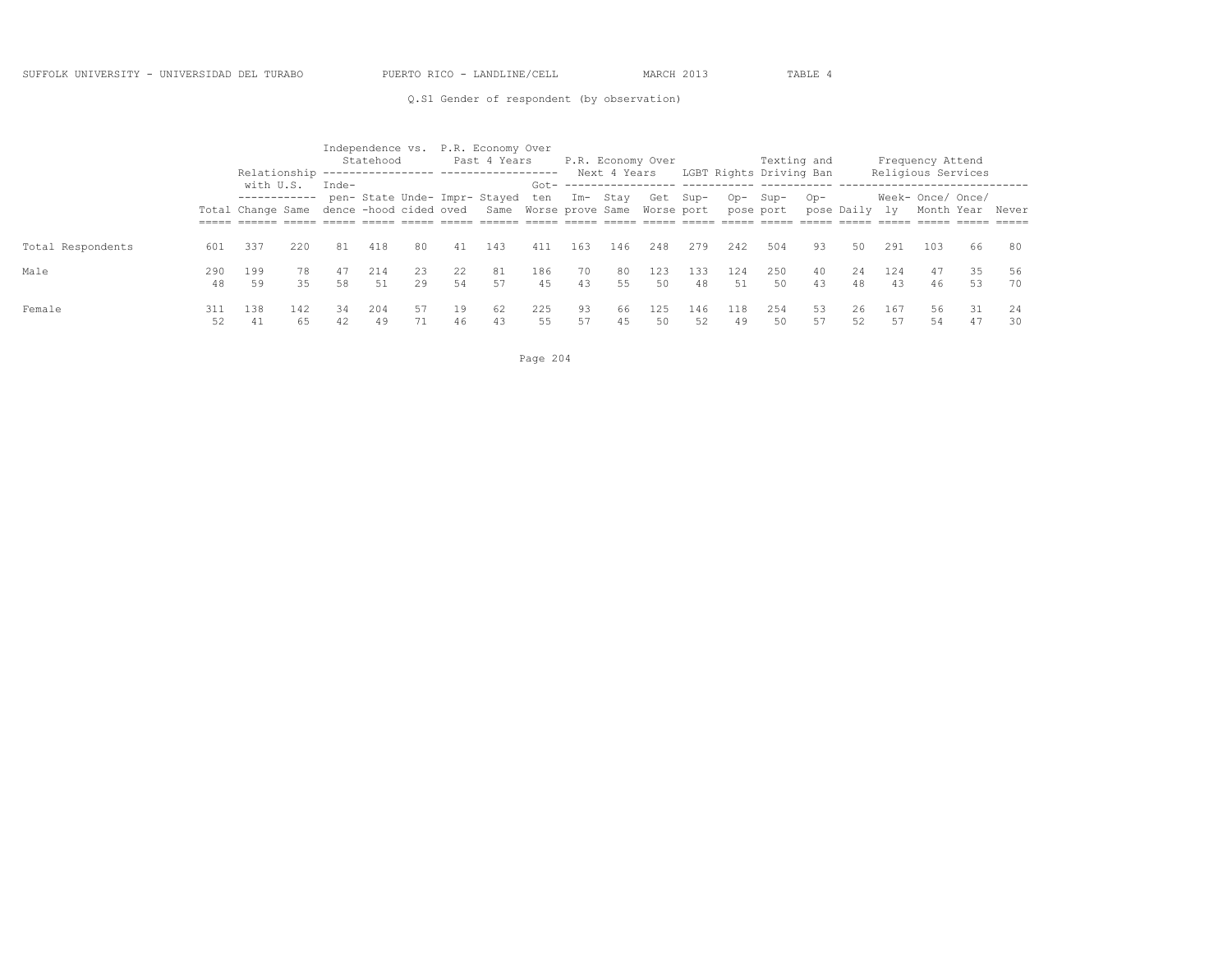Q.S1 Gender of respondent (by observation)

|                   |           |           |           |          | Independence vs. P.R. Economy Over<br>Statehood<br>Relationship ---------------- ------------------<br>pen- State Unde- Impr- Stayed ten Im- Stay |          |          | Past 4 Years                                                              |            |          | Next 4 Years | P.R. Economy Over |           |           | LGBT Rights Driving Ban | Texting and |               |           | Frequency Attend<br>Religious Services |           |          |
|-------------------|-----------|-----------|-----------|----------|---------------------------------------------------------------------------------------------------------------------------------------------------|----------|----------|---------------------------------------------------------------------------|------------|----------|--------------|-------------------|-----------|-----------|-------------------------|-------------|---------------|-----------|----------------------------------------|-----------|----------|
|                   |           | with U.S. |           | Inde-    |                                                                                                                                                   |          |          | Total Change Same dence -hood cided oved Same Worse prove Same Worse port | Got-       |          |              | Get Sup-          |           | Op-       | Sup-<br>pose port       | $OD -$      | pose Daily ly |           | Week- Once/ Once/<br>Month Year Never  |           |          |
| Total Respondents | 601       | 337       | 220       | 81       | 418                                                                                                                                               | 80       | 41       | 143                                                                       | 411        | 163      | 146          | 248               | 279       | 242       | 504                     | 93          | 50            | 291       | 103                                    | 66        | 80       |
| Male              | 290<br>48 | 199<br>59 | 78<br>35  | 47<br>58 | 214<br>51                                                                                                                                         | 23<br>29 | 22<br>54 | 81<br>57                                                                  | 186<br>4.5 | 70<br>43 | 80<br>55     | 123<br>50         | 133<br>48 | 124<br>51 | 250<br>50               | 40<br>43    | 2.4<br>48     | 124<br>43 | 47<br>46                               | 35<br>53  | 56<br>70 |
| Female            | 311<br>52 | 138<br>41 | 142<br>65 | 34<br>42 | 204<br>49                                                                                                                                         | 57<br>71 | 19<br>46 | 62<br>43                                                                  | 225<br>55  | 93<br>57 | 66<br>45     | 125<br>50         | 146<br>52 | 118<br>49 | 254<br>50               | 53<br>57    | 26<br>52      | 167<br>57 | 56<br>54                               | -31<br>47 | 24<br>30 |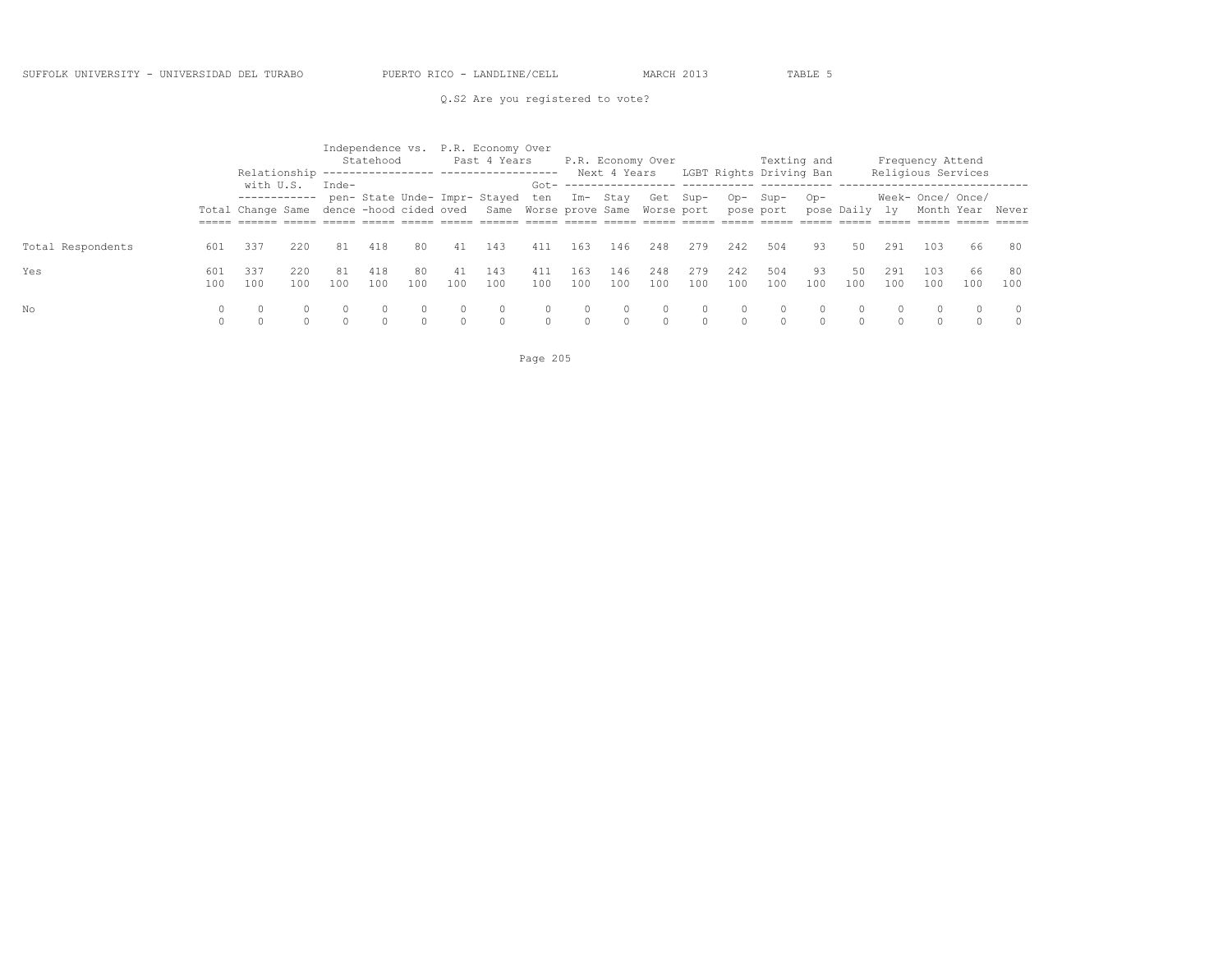Q.S2 Are you registered to vote?

|                   |            | Relationship                                                          |            |           | Statehood<br>------------------ |                    |           | Independence vs. P.R. Economy Over<br>Past 4 Years<br>------------------- |                      |                   | Next 4 Years | P.R. Economy Over                            |                    |                    | Texting and<br>LGBT Rights Driving Ban |           |                   |                    | Frequency Attend<br>Religious Services |                  |                    |
|-------------------|------------|-----------------------------------------------------------------------|------------|-----------|---------------------------------|--------------------|-----------|---------------------------------------------------------------------------|----------------------|-------------------|--------------|----------------------------------------------|--------------------|--------------------|----------------------------------------|-----------|-------------------|--------------------|----------------------------------------|------------------|--------------------|
|                   |            | with U.S.<br>------------<br>Total Change Same dence -hood cided oved |            | $Inde-$   |                                 |                    |           | pen- State Unde- Impr- Stayed ten                                         | Got-                 |                   | Im- Stav     | Get Sup-<br>Same Worse prove Same Worse port |                    | Op-                | Sup-<br>pose port                      | $Op-$     | pose Daily ly     |                    | Week- Once/ Once/                      | Month Year Never |                    |
| Total Respondents | 601        | 337                                                                   | 220        | 81        | 418                             | 80.                | 41        | 143                                                                       | 411                  | 163               | 146          | 248                                          | 279                | 242                | 504                                    | 93        | 50                | 291                | 103                                    | 66               | 80                 |
| Yes               | 601<br>100 | 337<br>100                                                            | 220<br>100 | 81<br>100 | 418<br>100                      | 80.<br>100         | 41<br>100 | 143<br>100                                                                | 411<br>100           | 163<br>100        | 146<br>100   | 248<br>100                                   | 279<br>100         | 242<br>100         | 504<br>100                             | 93<br>100 | 50<br>100         | 291<br>100         | 103<br>100                             | 66<br>100        | 80<br>100          |
| No                | 0          | $\Omega$                                                              |            | $\Omega$  | $\Omega$<br>$\cap$              | $\Omega$<br>$\cap$ | $\Omega$  |                                                                           | $\Omega$<br>$\Omega$ | $\circ$<br>$\cap$ |              | $\Omega$<br>$\cap$                           | $\Omega$<br>$\cap$ | $\Omega$<br>$\cap$ | $\circ$<br>$\Omega$                    | -0        | $\circ$<br>$\cap$ | $\Omega$<br>$\cap$ | $\Omega$                               | 0                | $\Omega$<br>$\cap$ |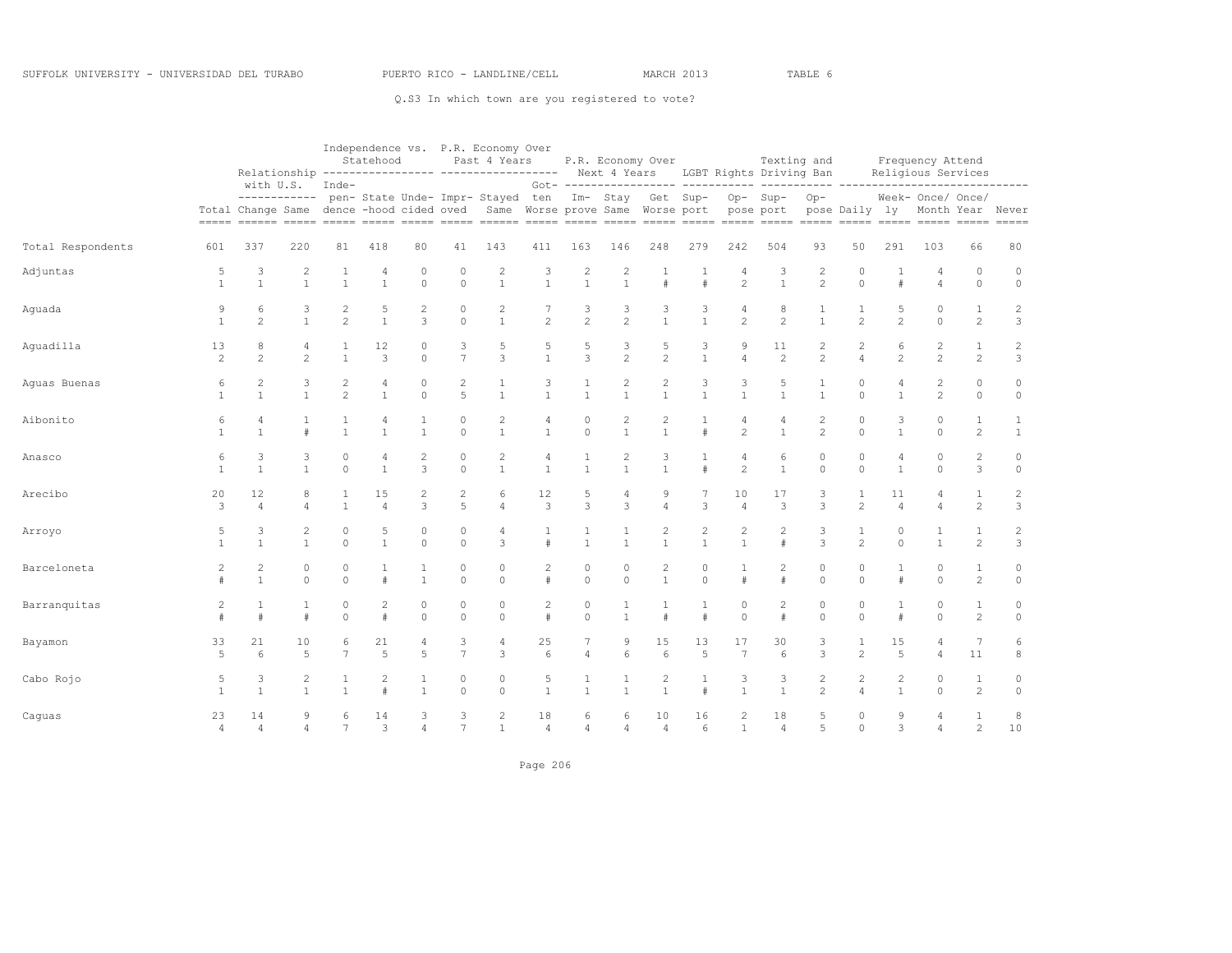|                   |                      |                                          |                                |                              | Statehood              |                     |                              | Independence vs. P.R. Economy Over<br>Past 4 Years<br>Relationship ---------------- ------------------ Next 4 Years LGBT Rights Driving Ban |                                  |                                |                                |                                         | P.R. Economy Over                         |                                  | Texting and                          |                                  |                                  |                                | Frequency Attend<br>Religious Services |                                |                                            |
|-------------------|----------------------|------------------------------------------|--------------------------------|------------------------------|------------------------|---------------------|------------------------------|---------------------------------------------------------------------------------------------------------------------------------------------|----------------------------------|--------------------------------|--------------------------------|-----------------------------------------|-------------------------------------------|----------------------------------|--------------------------------------|----------------------------------|----------------------------------|--------------------------------|----------------------------------------|--------------------------------|--------------------------------------------|
|                   | $=====$              | Total Change Same dence -hood cided oved | with U.S.<br>------------      | Inde-                        |                        |                     |                              | pen- State Unde- Impr- Stayed ten                                                                                                           | Same Worse prove Same Worse port | Got- ----------                |                                | ------- ----<br>Im- Stay Get Sup-       |                                           |                                  | ------ -----<br>Op-Sup-<br>pose port | $Op-$                            | ---- -------<br>pose Daily ly    |                                | Week- Once/ Once/                      |                                | --------<br>Month Year Never<br>$== == ==$ |
| Total Respondents | 601                  | 337                                      | 220                            | 81                           | 418                    | 80                  | 41                           | 143                                                                                                                                         | 411                              | 163                            | 146                            | 248                                     | 279                                       | 242                              | 504                                  | 93                               | 50                               | 291                            | 103                                    | 66                             | 80                                         |
| Adjuntas          | 5<br>$\mathbf{1}$    | 3<br>$\overline{1}$                      | $\overline{2}$<br>$\mathbf{1}$ | 1<br>$\mathbf{1}$            | 4<br>$\mathbf{1}$      | 0<br>$\circ$        | $\circ$<br>$\circ$           | $\overline{c}$<br>$\mathbf{1}$                                                                                                              | 3<br>$\mathbf{1}$                | $\overline{2}$<br>$\mathbf{1}$ | 2                              |                                         | 1<br>#                                    | 4<br>$\overline{c}$              | 3<br>$\mathbf{1}$                    | $\overline{c}$<br>$\overline{c}$ | 0<br>$\circ$                     | 1                              | 4<br>$\overline{4}$                    | $\mathbf{0}$<br>$\circ$        | $\circ$<br>$\circ$                         |
| Aguada            | 9<br>$\mathbf{1}$    | 6<br>$\mathbf{2}$                        | 3<br>$\mathbf{1}$              | 2<br>2                       | 5<br>$\mathbf{1}$      | 2<br>3              | $\circ$<br>$\circ$           | 2<br>$\mathbf{1}$                                                                                                                           | 7<br>$\overline{c}$              | 3<br>$\overline{c}$            | 3<br>$\mathbf{2}$              | 3<br>$\mathbf{1}$                       | 3<br>$\mathbf{1}$                         | $\overline{4}$<br>$\overline{c}$ | 8<br>$\overline{c}$                  | 1<br>$\mathbf{1}$                | 1<br>2                           | 5<br>$\overline{c}$            | 0<br>$\circ$                           | $\mathbf{1}$<br>$\overline{c}$ | $\overline{c}$<br>3                        |
| Aguadilla         | 13<br>2              | 8<br>$\overline{\mathcal{L}}$            | 4<br>$\mathfrak{D}$            | $\mathbf{1}$<br>$\mathbf{1}$ | 12<br>3                | 0<br>$\Omega$       | 3<br>$\overline{7}$          | $\mathbb 5$<br>3                                                                                                                            | 5<br>$\mathbf{1}$                | 5<br>3                         | 3<br>$\overline{c}$            | $\mathbf 5$<br>$\overline{c}$           | $\ensuremath{\mathsf{3}}$<br>$\mathbf{1}$ | 9<br>$\overline{4}$              | 11<br>2                              | $\overline{c}$<br>$\overline{c}$ | $\sqrt{2}$<br>$\overline{4}$     | 6<br>$\overline{c}$            | $\overline{c}$<br>$\overline{c}$       | $1\,$<br>$\overline{c}$        | $\sqrt{2}$<br>3                            |
| Aguas Buenas      | 6<br>1               | $\overline{c}$<br>$\mathbf{1}$           | 3<br>$\overline{1}$            | 2<br>$\mathfrak{D}$          | 4<br>$\mathbf{1}$      | 0<br>$\circ$        | $\overline{\mathbf{c}}$<br>5 | 1<br>$\overline{1}$                                                                                                                         | 3<br>$\mathbf{1}$                | 1<br>$\mathbf{1}$              | 2<br>$\mathbf{1}$              | $\overline{\mathbf{c}}$<br>$\mathbf{1}$ | 3<br>$\mathbf{1}$                         | 3<br>$\mathbf{1}$                | 5<br>$\mathbf{1}$                    | $\mathbf{1}$                     | $\circ$<br>$\Omega$              | 4<br>$\mathbf{1}$              | $\overline{c}$<br>$\overline{c}$       | 0<br>$\circ$                   | 0<br>$\circ$                               |
| Aibonito          | 6<br>$\mathbf{1}$    | 4<br>$\mathbf{1}$                        | 1<br>$\#$                      | 1<br>$\mathbf{1}$            | 4<br>$\mathbf{1}$      | 1<br>$\mathbf{1}$   | $\circ$<br>$\Omega$          | $\overline{c}$<br>$\overline{1}$                                                                                                            | 4<br>$\mathbf{1}$                | 0<br>$\circ$                   | $\overline{c}$<br>$\mathbf{1}$ | $\mathbf{2}$<br>$\mathbf{1}$            | 1<br>#                                    | 4<br>$\mathfrak{D}$              | 4<br>$\mathbf{1}$                    | $\overline{c}$<br>$\overline{2}$ | $\circ$<br>$\Omega$              | 3<br>$\mathbf{1}$              | 0<br>$\Omega$                          | $\mathbf{1}$<br>$\overline{2}$ | $\mathbf{1}$<br>$\mathbf{1}$               |
| Anasco            | 6<br>$\mathbf{1}$    | 3<br>$\overline{1}$                      | 3<br>$\mathbf{1}$              | $\circ$<br>$\Omega$          | 4<br>$\mathbf{1}$      | 2<br>3              | $\circ$<br>$\Omega$          | $\sqrt{2}$<br>$\overline{1}$                                                                                                                | $\overline{4}$<br>$\mathbf{1}$   | $\mathbf{1}$<br>$\mathbf{1}$   | $\overline{c}$<br>$\mathbf{1}$ | 3<br>$\mathbf{1}$                       | 1<br>#                                    | $\overline{4}$<br>$\overline{c}$ | 6<br>$\mathbf{1}$                    | $\circ$<br>$\Omega$              | $\circ$<br>$\Omega$              | 4<br>$\overline{1}$            | $\circ$<br>$\Omega$                    | $\overline{c}$<br>3            | $\circ$<br>$\circ$                         |
| Arecibo           | 20<br>3              | 12<br>$\overline{4}$                     | 8<br>4                         | $\mathbf{1}$                 | 15<br>$\overline{4}$   | 2<br>3              | 2<br>5                       | 6<br>$\overline{4}$                                                                                                                         | 12<br>3                          | 5<br>3                         | 4<br>$\overline{3}$            | 9<br>$\overline{4}$                     | 3                                         | 10<br>$\overline{4}$             | 17<br>3                              | 3<br>3                           | 1<br>$\overline{c}$              | 11<br>$\overline{A}$           | $\overline{4}$<br>$\overline{4}$       | $\mathbf{1}$<br>$\overline{c}$ | 2<br>$\mathbf{3}$                          |
| Arroyo            | 5<br>$\mathbf{1}$    | 3<br>$\mathbf{1}$                        | $\overline{2}$<br>$\mathbf{1}$ | 0<br>$\circ$                 | 5<br>$\mathbf{1}$      | $\circ$<br>$\circ$  | $\circ$<br>$\circ$           | 4<br>3                                                                                                                                      | $\ddagger$                       | 1<br>$\mathbf{1}$              | $\mathbf{1}$                   | $\overline{c}$<br>$\mathbf{1}$          | $\overline{c}$<br>$\mathbf{1}$            | $\overline{2}$<br>$\mathbf{1}$   | $\overline{2}$<br>$\#$               | 3<br>3                           | $\mathbf{1}$<br>$\overline{c}$   | $\theta$<br>$\circ$            | 1<br>$\mathbf{1}$                      | $\mathbf{1}$<br>$\overline{c}$ | $\overline{c}$<br>3                        |
| Barceloneta       | $\overline{c}$<br>#  | $\overline{c}$<br>$\overline{1}$         | $\circ$<br>$\Omega$            | $\circ$<br>$\Omega$          | $\mathbf{1}$<br>$\#$   | 1<br>$\mathbf{1}$   | $\circ$<br>$\Omega$          | $\circ$<br>$\Omega$                                                                                                                         | $\mathbf{2}$<br>#                | $\circ$<br>$\Omega$            | $\circ$<br>$\Omega$            | $\sqrt{2}$<br>$\mathbf{1}$              | $\circ$<br>$\Omega$                       | $\mathbf{1}$<br>#                | $\overline{2}$<br>$\#$               | $\circ$<br>$\Omega$              | $\circ$<br>$\Omega$              | $\mathbf{1}$<br>#              | $\circ$<br>$\Omega$                    | $\mathbf{1}$<br>$\mathbf{2}$   | $\circ$<br>$\circ$                         |
| Barranquitas      | $\overline{2}$<br>#  | #                                        | $\mathbf{1}$<br>#              | $\circ$<br>$\circ$           | $\overline{2}$<br>$\#$ | 0<br>$\circ$        | $\circ$<br>$\circ$           | $\circ$<br>$\circ$                                                                                                                          | $\overline{2}$<br>$\ddagger$     | 0<br>$\circ$                   |                                | $\#$                                    | 1<br>#                                    | $\mathbf 0$<br>$\circ$           | $\overline{2}$<br>$\#$               | $\circ$<br>$\circ$               | $\circ$<br>$\circ$               | 1<br>#                         | $\mathbf 0$<br>$\circ$                 | $\mathbf{1}$<br>$\overline{c}$ | 0<br>$\circ$                               |
| Bayamon           | 33<br>$\overline{5}$ | 21<br>6                                  | 10<br>5                        | 6<br>$\overline{7}$          | 21<br>5                | 4<br>5              | 3<br>$\overline{7}$          | 4<br>3                                                                                                                                      | 25<br>6                          | 7<br>$\overline{4}$            | 9<br>6                         | 15<br>6                                 | 13<br>5                                   | 17<br>$\overline{7}$             | 30<br>6                              | 3<br>3                           | 1<br>2                           | 15<br>5                        | 4<br>$\overline{4}$                    | $\boldsymbol{7}$<br>11         | 6<br>$^{\rm 8}$                            |
| Cabo Rojo         | 5                    | 3<br>$\overline{1}$                      | 2<br>$\overline{1}$            | 1<br>$\mathbf{1}$            | $\overline{c}$<br>#    | 1                   | $\circ$<br>$\Omega$          | $\circ$<br>$\Omega$                                                                                                                         | 5<br>$\mathbf{1}$                | 1<br>1                         |                                | $\overline{c}$<br>$\mathbf{1}$          | 1<br>#                                    | 3<br>$\mathbf{1}$                | 3<br>$\mathbf{1}$                    | 2<br>$\overline{c}$              | $\overline{c}$<br>$\overline{4}$ | $\overline{c}$<br>$\mathbf{1}$ | $\circ$<br>$\Omega$                    | $\mathbf{1}$<br>$\overline{c}$ | 0<br>$\circ$                               |
| Caguas            | 23<br>$\overline{4}$ | 14<br>$\overline{4}$                     | 9<br>4                         | 7                            | 14<br>3                | 3<br>$\overline{4}$ | $\overline{7}$               | 2<br>$\mathbf{1}$                                                                                                                           | 18<br>$\overline{4}$             | 6<br>$\overline{4}$            | 6<br>$\overline{4}$            | 10<br>$\overline{4}$                    | 16<br>6                                   | 1                                | 18<br>$\overline{4}$                 | 5<br>5                           | $\circ$<br>$\circ$               | 9<br>3                         | $\overline{4}$<br>$\overline{4}$       | 1<br>$\overline{2}$            | 8<br>10                                    |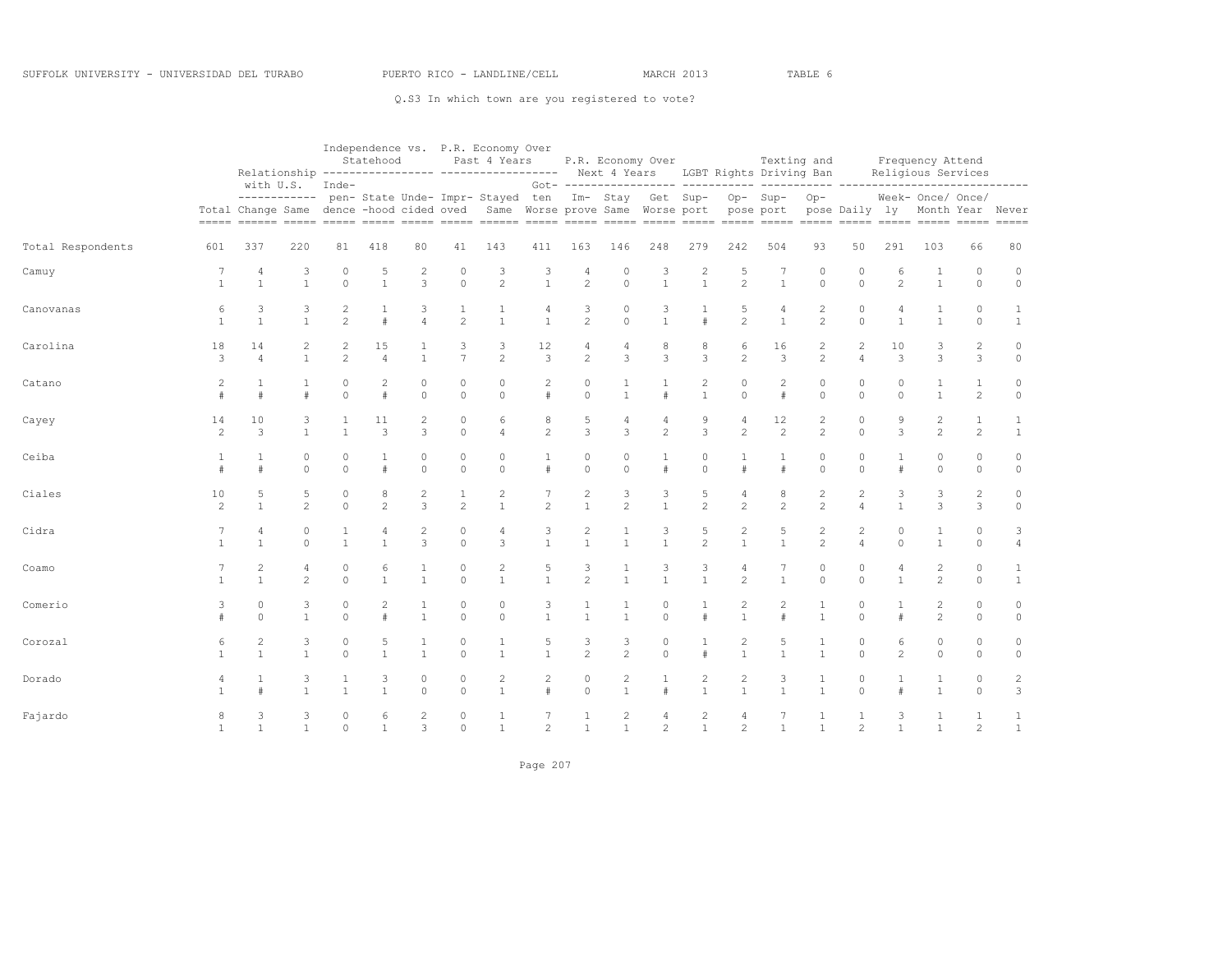|                   |                      |                                  |                                |                                | Statehood            |                         |                                | Independence vs. P.R. Economy Over<br>Past 4 Years<br>Relationship ---------------- ------------------                                                                                                                                |                           |                            |                              | P.R. Economy Over                                |                                |                                | Next 4 Years LGBT Rights Driving Ban | Texting and                      |                                  |                                | Frequency Attend<br>Religious Services |                                |                                          |
|-------------------|----------------------|----------------------------------|--------------------------------|--------------------------------|----------------------|-------------------------|--------------------------------|---------------------------------------------------------------------------------------------------------------------------------------------------------------------------------------------------------------------------------------|---------------------------|----------------------------|------------------------------|--------------------------------------------------|--------------------------------|--------------------------------|--------------------------------------|----------------------------------|----------------------------------|--------------------------------|----------------------------------------|--------------------------------|------------------------------------------|
|                   | $=$ $=$ $=$ $=$      | with U.S.                        | ------------                   | Inde-                          |                      |                         |                                | pen- State Unde- Impr- Stayed ten<br>Total Change Same dence -hood cided oved Same Worse prove Same Worse port<br><u>sooned 20000 20000 20000 20000 20000 20000 20000 20000 20000 20000 20000 20000 20000 20000 20000 20000 20000</u> |                           |                            |                              | Got- ------------------ ---<br>Im- Stay Get Sup- |                                | pose port                      | Op-Sup-                              | $Op-$                            | $- - - - - - -$<br>pose Daily ly |                                | Week- Once/ Once/                      |                                | ------<br>Month Year Never<br>$== == ==$ |
| Total Respondents | 601                  | 337                              | 220                            | 81                             | 418                  | 80                      | 41                             | 143                                                                                                                                                                                                                                   | 411                       | 163                        | 146                          | 248                                              | 279                            | 242                            | 504                                  | 93                               | 50                               | 291                            | 103                                    | 66                             | 80                                       |
| Camuy             | 7<br>$\mathbf{1}$    | $\overline{4}$<br>$\overline{1}$ | 3<br>$\mathbf{1}$              | 0<br>$\Omega$                  | 5<br>$\mathbf{1}$    | $\overline{c}$<br>3     | $\circ$<br>$\circ$             | 3<br>$\overline{c}$                                                                                                                                                                                                                   | 3<br>$\mathbf{1}$         | 4<br>$\overline{c}$        | $\circ$<br>$\circ$           | 3<br>$\mathbf{1}$                                | $\overline{c}$<br>$\mathbf{1}$ | 5<br>$\overline{c}$            | $7\phantom{.0}$<br>$\mathbf{1}$      | $\circ$<br>$\circ$               | 0<br>$\Omega$                    | 6<br>$\overline{c}$            | 1<br>$\mathbf{1}$                      | $\circ$<br>$\circ$             | $\circ$<br>$\circ$                       |
| Canovanas         | 6<br>$\mathbf{1}$    | 3<br>$\mathbf{1}$                | 3<br>$\mathbf{1}$              | $\overline{c}$<br>$\mathbf{2}$ | 1<br>#               | 3<br>$\overline{4}$     | $\mathbf{1}$<br>$\mathbf{2}$   | 1<br>$\mathbf{1}$                                                                                                                                                                                                                     | 4<br>$\mathbf{1}$         | 3<br>$\overline{c}$        | $\circ$<br>$\Omega$          | 3<br>$\mathbf{1}$                                | 1<br>$\#$                      | 5<br>$\overline{c}$            | $\overline{4}$<br>$\mathbf{1}$       | $\overline{c}$<br>$\overline{c}$ | $\mathbb O$<br>$\circ$           | 4<br>$\mathbf{1}$              | 1<br>$\mathbf{1}$                      | $\circ$<br>$\circ$             | $\mathbf{1}$<br>$\mathbf{1}$             |
| Carolina          | 18<br>3              | 14<br>4                          | $\overline{c}$<br>$\mathbf{1}$ | 2<br>$\mathbf{2}$              | 15<br>$\overline{4}$ | 1<br>$\mathbf{1}$       | 3<br>$\overline{7}$            | 3<br>2                                                                                                                                                                                                                                | 12<br>3                   | 4<br>$\overline{c}$        | 4<br>3                       | 8<br>3                                           | 8<br>3                         | 6<br>$\overline{c}$            | 16<br>3                              | $\mathbf{2}$<br>$\mathbf{2}$     | 2<br>$\overline{4}$              | 10<br>3                        | 3<br>3                                 | 2<br>3                         | $\mathbb O$<br>$\circ$                   |
| Catano            | 2                    |                                  | $\frac{1}{2}$                  | 0<br>$\Omega$                  | 2<br>$\#$            | $\mathbf 0$<br>$\Omega$ | $\circ$<br>$\circ$             | $\circ$<br>$\circ$                                                                                                                                                                                                                    | $\overline{2}$<br>$\#$    | 0<br>$\mathbf 0$           | $\mathbf{1}$                 | $\frac{1}{2}$                                    | $\overline{c}$<br>$\mathbf{1}$ | 0<br>$\circ$                   | $\overline{c}$<br>#                  | $\circ$<br>$\circ$               | 0<br>$\circ$                     | $\circ$<br>$\Omega$            | $\mathbf{1}$<br>$\mathbf{1}$           | $\mathbf{1}$<br>$\overline{c}$ | $\circ$<br>$\circ$                       |
| Cayey             | 14<br>$\overline{c}$ | 10<br>3                          | 3<br>$\mathbf{1}$              | 1<br>$\mathbf{1}$              | 11<br>3              | $\overline{c}$<br>3     | $\mathbf{0}$<br>$\circ$        | 6<br>$\overline{4}$                                                                                                                                                                                                                   | $\,8\,$<br>$\overline{c}$ | 5<br>3                     | 4<br>3                       | 4<br>2                                           | 9<br>3                         | $\overline{4}$<br>$\mathbf{2}$ | 12<br>2                              | $\overline{c}$<br>$\overline{c}$ | $\mathbb O$<br>$\circ$           | 9<br>3                         | $\overline{c}$<br>$\overline{c}$       | $\mathbf{1}$<br>2              | $\mathbf{1}$<br>$\mathbf{1}$             |
| Ceiba             | -1<br>#              | 1<br>$\#$                        | 0<br>$\circ$                   | 0<br>$\Omega$                  | 1<br>#               | 0<br>$\circ$            | $\circ$<br>$\circ$             | 0<br>$\circ$                                                                                                                                                                                                                          | 1<br>$\#$                 | 0<br>$\circ$               | 0<br>$\circ$                 | 1<br>#                                           | 0<br>$\mathbb O$               | 1<br>#                         | 1<br>#                               | $\circ$<br>$\circ$               | 0<br>$\circ$                     | 1<br>$\pm$                     | 0<br>$\circ$                           | $\circ$<br>$\circ$             | $\circ$<br>$\circ$                       |
| Ciales            | 10<br>$\overline{c}$ | 5<br>$\overline{1}$              | 5<br>$\overline{c}$            | $\circ$<br>$\circ$             | 8<br>$\overline{c}$  | 2<br>3                  | $\mathbf{1}$<br>$\overline{c}$ | $\overline{c}$<br>$\mathbf{1}$                                                                                                                                                                                                        | $\overline{c}$            | 2<br>$\mathbf{1}$          | 3<br>$\mathfrak{D}$          | 3<br>$\overline{1}$                              | 5<br>$\overline{c}$            | 4<br>$\overline{c}$            | 8<br>$\overline{c}$                  | $\overline{c}$<br>$\overline{c}$ | 2<br>$\overline{4}$              | 3<br>$\mathbf{1}$              | 3<br>3                                 | $\mathbf{2}$<br>3              | 0<br>$\circ$                             |
| Cidra             |                      | $\overline{4}$<br>$\mathbf{1}$   | $\circ$<br>$\Omega$            | 1<br>$\mathbf{1}$              | 4<br>$\mathbf{1}$    | $\overline{2}$<br>3     | $\mathbf{0}$<br>$\Omega$       | 4<br>3                                                                                                                                                                                                                                | 3<br>$\mathbf{1}$         | $\sqrt{2}$<br>$\mathbf{1}$ | $\mathbf{1}$<br>$\mathbf{1}$ | 3<br>$\overline{1}$                              | 5<br>$\overline{c}$            | $\overline{c}$<br>$\mathbf{1}$ | 5<br>$\mathbf{1}$                    | $\overline{c}$<br>$\overline{c}$ | $\overline{c}$<br>$\overline{4}$ | $\circ$<br>$\Omega$            | $\mathbf{1}$                           | $\circ$<br>$\circ$             | 3<br>4                                   |
| Coamo             |                      | $\overline{c}$<br>$\mathbf{1}$   | $\overline{4}$<br>2            | $\circ$<br>$\Omega$            | 6<br>$\mathbf{1}$    | 1<br>$\mathbf{1}$       | 0<br>$\Omega$                  | $\overline{c}$<br>$\mathbf{1}$                                                                                                                                                                                                        | 5<br>$\mathbf{1}$         | 3<br>$\overline{c}$        | $\mathbf{1}$<br>$\mathbf{1}$ | 3<br>$\overline{1}$                              | 3<br>$\mathbf{1}$              | 4<br>2                         | 7<br>$\mathbf{1}$                    | $\circ$<br>$\Omega$              | 0<br>$\Omega$                    | $\overline{4}$<br>$\mathbf{1}$ | $\overline{c}$<br>2                    | $\circ$<br>$\circ$             | $\mathbf{1}$<br>1                        |
| Comerio           | 3                    | 0<br>$\Omega$                    | 3<br>$\mathbf{1}$              | 0<br>$\Omega$                  | 2<br>$\ddagger$      | $\overline{1}$          | 0<br>$\mathbf{0}$              | 0<br>$\circ$                                                                                                                                                                                                                          | 3<br>$\mathbf{1}$         | 1<br>$\mathbf{1}$          | $\mathbf{1}$                 | 0<br>$\Omega$                                    | #                              | 2<br>$\mathbf{1}$              | $\overline{c}$                       | 1<br>$\mathbf{1}$                | 0<br>$\circ$                     | $\pm$                          | 2<br>$\overline{c}$                    | 0<br>$\circ$                   | $\circ$<br>$\circ$                       |
| Corozal           | 6                    | $\overline{c}$<br>$\mathbf{1}$   | 3<br>$\mathbf{1}$              | $\circ$<br>$\Omega$            | 5<br>$\mathbf{1}$    | 1<br>$\mathbf{1}$       | 0<br>$\circ$                   | 1<br>$\mathbf{1}$                                                                                                                                                                                                                     | 5<br>$\mathbf{1}$         | 3<br>$\overline{c}$        | 3<br>$\overline{c}$          | $\mathbf{0}$<br>$\circ$                          | 1<br>$\#$                      | 2<br>$\mathbf{1}$              | 5<br>$\mathbf{1}$                    | 1<br>$\mathbf{1}$                | $\circ$<br>$\circ$               | 6<br>$\overline{c}$            | $\circ$<br>$\circ$                     | $\circ$<br>$\circ$             | $\circ$<br>$\circ$                       |
| Dorado            | 4                    |                                  | 3<br>$\mathbf{1}$              | 1<br>$\mathbf{1}$              | 3<br>$\mathbf{1}$    | 0<br>$\Omega$           | 0<br>$\Omega$                  | $\overline{\mathbf{c}}$<br>$\mathbf{1}$                                                                                                                                                                                               | $\overline{c}$<br>$\#$    | 0<br>$\Omega$              | 2<br>$\mathbf{1}$            | 1<br>#                                           | $\overline{c}$<br>$\mathbf{1}$ | $\overline{c}$<br>$\mathbf{1}$ | 3<br>$\mathbf{1}$                    | $\mathbf{1}$<br>$\mathbf{1}$     | 0<br>$\Omega$                    | #                              | $\mathbf{1}$<br>$\mathbf{1}$           | $\circ$<br>$\Omega$            | $\overline{c}$<br>3                      |
| Fajardo           | 8<br>$\mathbf{1}$    | 3<br>$\overline{1}$              | 3<br>$\mathbf{1}$              | $\Omega$<br>$\Omega$           | 6<br>$\mathbf{1}$    | 2<br>3                  | 0<br>$\circ$                   | 1<br>$\mathbf{1}$                                                                                                                                                                                                                     | $\overline{c}$            | $\mathbf{1}$               | $\mathbf{1}$                 | 4<br>$\overline{2}$                              | $\overline{2}$<br>$\mathbf{1}$ | 4<br>2                         | $\mathbf{1}$                         | $\mathbf{1}$                     | $\overline{c}$                   | 3<br>$\mathbf{1}$              | $\mathbf{1}$                           | 1<br>2                         | 1<br>$\mathbf{1}$                        |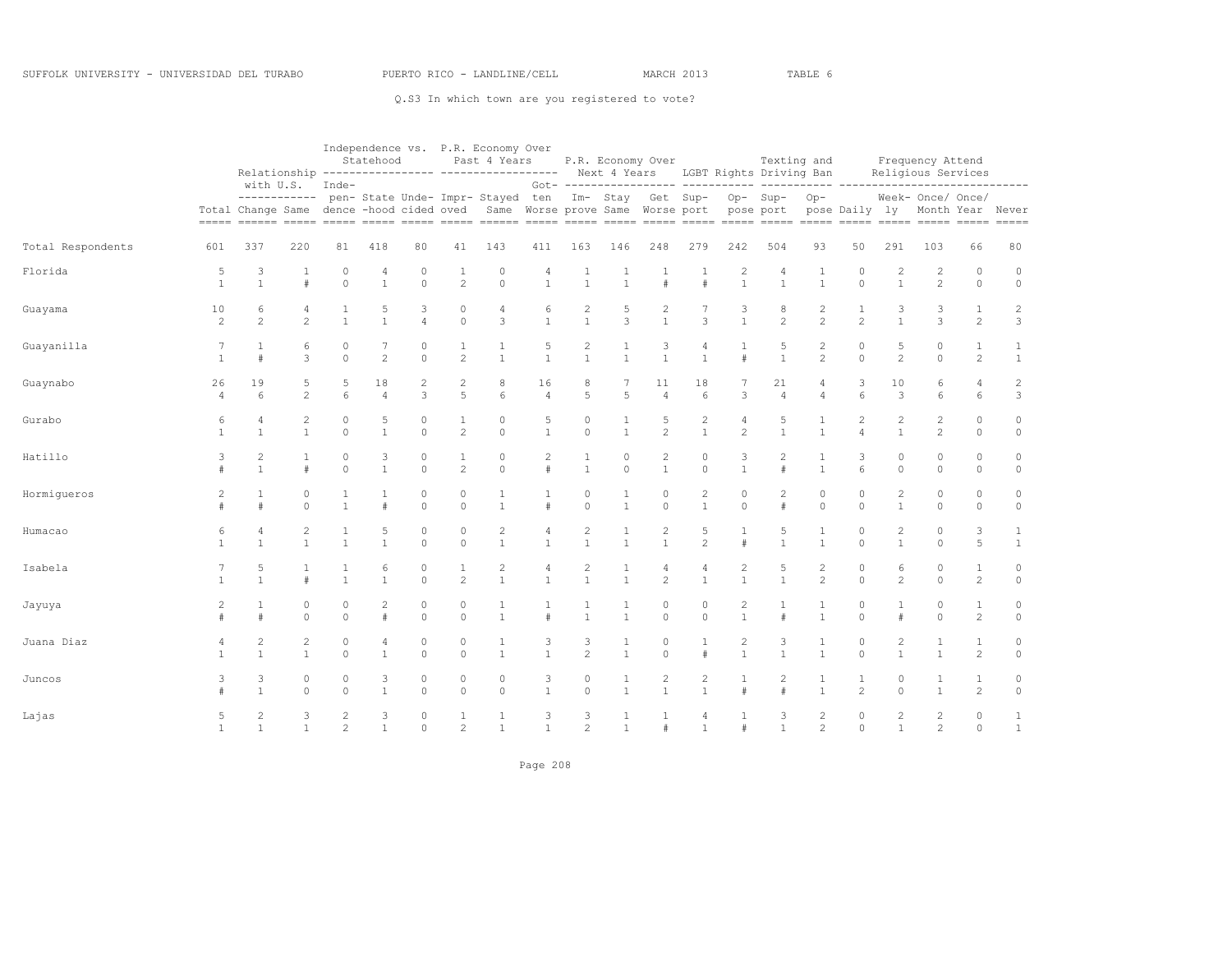|                   |                      |                                |                                |                      | Statehood            |                         |                                | Independence vs. P.R. Economy Over<br>Past 4 Years<br>Relationship ---------------- ------------------                                                                                                              |                        |                                |                              | P.R. Economy Over                |                                |                                  | Texting and<br>Next 4 Years LGBT Rights Driving Ban |                                  |                                  |                                | Frequency Attend<br>Religious Services |                                |                                              |
|-------------------|----------------------|--------------------------------|--------------------------------|----------------------|----------------------|-------------------------|--------------------------------|---------------------------------------------------------------------------------------------------------------------------------------------------------------------------------------------------------------------|------------------------|--------------------------------|------------------------------|----------------------------------|--------------------------------|----------------------------------|-----------------------------------------------------|----------------------------------|----------------------------------|--------------------------------|----------------------------------------|--------------------------------|----------------------------------------------|
|                   | $=$ $=$ $=$ $=$ $=$  | with U.S.<br>Total Change Same | ------------                   | Inde-                |                      |                         |                                | pen- State Unde- Impr- Stayed ten<br>dence -hood cided oved Same Worse prove Same Worse port<br><u>sooned 20000 20000 20000 20000 20000 20000 20000 20000 20000 20000 20000 20000 20000 20000 20000 20000 20000</u> |                        | $Got - - - - - - - -$          |                              | Im- Stay Get Sup-                |                                |                                  | Op-Sup-<br>pose port                                | $Op-$                            | pose Daily ly                    |                                | Week- Once/ Once/                      |                                | $- - - - - -$<br>Month Year Never<br>$=====$ |
| Total Respondents | 601                  | 337                            | 220                            | 81                   | 418                  | 80                      | 41                             | 143                                                                                                                                                                                                                 | 411                    | 163                            | 146                          | 248                              | 279                            | 242                              | 504                                                 | 93                               | 50                               | 291                            | 103                                    | 66                             | 80                                           |
| Florida           | 5<br>$\mathbf{1}$    | 3<br>$\mathbf{1}$              | -1<br>#                        | 0<br>$\circ$         | 4<br>$\mathbf{1}$    | $\mathbf 0$<br>$\circ$  | 1<br>$\overline{c}$            | 0<br>$\circ$                                                                                                                                                                                                        | 4<br>$\mathbf{1}$      | 1<br>$\mathbf{1}$              | 1<br>$\mathbf{1}$            | 1<br>$\ddot{+}$                  | 1<br>#                         | $\overline{c}$<br>$\mathbf{1}$   | 4<br>$\mathbf{1}$                                   | 1<br>$\mathbf{1}$                | $\circ$<br>$\circ$               | 2<br>$\mathbf{1}$              | 2<br>$\overline{c}$                    | $\mathbf{0}$<br>$\circ$        | $\circ$<br>$\circ$                           |
| Guayama           | 10<br>$\overline{c}$ | 6<br>2                         | 4<br>2                         | 1<br>$\mathbf{1}$    | 5<br>$\mathbf{1}$    | 3<br>$\overline{4}$     | $\mathbf{0}$<br>$\Omega$       | $\overline{4}$<br>3                                                                                                                                                                                                 | 6<br>$\mathbf{1}$      | $\overline{c}$<br>$\mathbf{1}$ | 5<br>3                       | $\sqrt{2}$<br>$\overline{1}$     | $\overline{3}$                 | 3<br>$\mathbf{1}$                | 8<br>$\overline{c}$                                 | $\mathbf{2}$<br>$\overline{c}$   | $\mathbf{1}$<br>$\overline{c}$   | 3<br>$\mathbf{1}$              | 3<br>3                                 | $\mathbf{1}$<br>$\overline{c}$ | $\sqrt{2}$<br>3                              |
| Guayanilla        | 7<br>$\mathbf{1}$    | 1                              | 6<br>3                         | $\circ$<br>$\Omega$  | 7<br>2               | 0<br>$\circ$            | 1<br>$\mathbf{2}$              | 1<br>$\mathbf{1}$                                                                                                                                                                                                   | 5<br>$\mathbf{1}$      | 2<br>$\mathbf{1}$              | 1<br>$\mathbf{1}$            | 3<br>$\overline{1}$              | 4<br>$\mathbf{1}$              | 1<br>#                           | 5<br>$\mathbf{1}$                                   | $\mathbf{2}$<br>$\overline{c}$   | 0<br>$\circ$                     | 5<br>$\overline{c}$            | 0<br>$\circ$                           | 1<br>$\mathbf{2}$              | 1<br>$\mathbf{1}$                            |
| Guaynabo          | 26<br>$\overline{4}$ | 19<br>6                        | 5<br>2                         | 5<br>6               | 18<br>$\overline{4}$ | $\overline{c}$<br>3     | $\overline{c}$<br>5            | 8<br>6                                                                                                                                                                                                              | 16<br>$\overline{4}$   | 8<br>5                         | 5                            | 11<br>$\overline{4}$             | 18<br>6                        | 3                                | 21<br>$\Delta$                                      | 4<br>4                           | 3<br>6                           | 10<br>3                        | 6<br>6                                 | 4<br>6                         | $\overline{c}$<br>3                          |
| Gurabo            | 6                    | $\overline{4}$<br>$\mathbf{1}$ | $\overline{c}$<br>$\mathbf{1}$ | $\Omega$<br>$\Omega$ | 5<br>$\mathbf{1}$    | 0<br>$\Omega$           | $\mathbf{1}$<br>$\mathbf{2}$   | $\circ$<br>$\circ$                                                                                                                                                                                                  | 5<br>$\mathbf{1}$      | $\mathbb O$<br>$\circ$         | $\mathbf{1}$<br>$\mathbf{1}$ | 5<br>$\overline{c}$              | $\overline{c}$<br>$\mathbf{1}$ | $\overline{4}$<br>$\overline{c}$ | 5<br>$\mathbf{1}$                                   | $\mathbf{1}$<br>$\mathbf{1}$     | $\overline{c}$<br>$\overline{a}$ | 2<br>$\mathbf{1}$              | $\overline{c}$<br>$\overline{c}$       | $\mathbb O$<br>$\circ$         | $\mathbb O$<br>$\circ$                       |
| Hatillo           | 3                    | $\overline{c}$<br>$\mathbf{1}$ | 1<br>#                         | $\circ$<br>$\Omega$  | 3<br>$\mathbf{1}$    | 0<br>$\circ$            | $\mathbf{1}$<br>$\overline{c}$ | $\circ$<br>$\circ$                                                                                                                                                                                                  | $\overline{c}$<br>$\#$ | 1<br>$\mathbf{1}$              | 0<br>$\circ$                 | $\mathbf{2}$<br>$\mathbf{1}$     | $\circ$<br>$\circ$             | 3<br>$\mathbf{1}$                | $\overline{c}$<br>#                                 | 1<br>$\mathbf{1}$                | 3<br>6                           | 0<br>$\circ$                   | 0<br>$\circ$                           | $\circ$<br>$\circ$             | 0<br>$\circ$                                 |
| Hormigueros       | 2                    | $\mathbf{1}$<br>#              | $\theta$<br>$\Omega$           | 1<br>$\mathbf{1}$    | 1<br>$\ddagger$      | $\Omega$<br>$\Omega$    | $\mathbf{0}$<br>$\Omega$       | 1<br>$\mathbf{1}$                                                                                                                                                                                                   | $\#$                   | 0<br>$\Omega$                  | $\mathbf{1}$<br>$\mathbf{1}$ | 0<br>$\Omega$                    | $\overline{c}$<br>$\mathbf{1}$ | 0<br>$\Omega$                    | $\overline{c}$<br>$\ddagger$                        | $\circ$<br>$\Omega$              | $\circ$<br>$\Omega$              | $\sqrt{2}$<br>$\mathbf{1}$     | $\circ$<br>$\Omega$                    | $\circ$<br>$\circ$             | $\circ$<br>$\circ$                           |
| Humacao           | 6                    | 4<br>$\overline{1}$            | $\overline{c}$<br>$\mathbf{1}$ | 1<br>$\mathbf{1}$    | 5<br>$\mathbf{1}$    | 0<br>$\circ$            | $\mathbf{0}$<br>$\circ$        | $\overline{c}$<br>$\mathbf{1}$                                                                                                                                                                                      | 4<br>$\mathbf{1}$      | $\overline{2}$<br>$\mathbf{1}$ | 1<br>$\mathbf{1}$            | $\overline{c}$<br>$\overline{1}$ | 5<br>$\overline{c}$            | 1<br>#                           | 5<br>$\mathbf{1}$                                   | $\mathbf{1}$<br>$\mathbf{1}$     | $\circ$<br>$\circ$               | $\overline{c}$<br>$\mathbf{1}$ | 0<br>$\circ$                           | 3<br>5                         | 1<br>$\mathbf{1}$                            |
| Isabela           | 7                    | 5<br>$\mathbf{1}$              | 1<br>#                         | 1<br>$\mathbf{1}$    | 6<br>$\mathbf{1}$    | 0<br>$\Omega$           | $\mathbf{1}$<br>$\overline{c}$ | $\overline{\mathbf{c}}$<br>$\mathbf{1}$                                                                                                                                                                             | 4<br>$\mathbf{1}$      | 2<br>$\mathbf{1}$              | $\mathbf{1}$<br>$\mathbf{1}$ | 4<br>$\mathfrak{D}$              | 4<br>$\mathbf{1}$              | $\overline{c}$<br>$\mathbf{1}$   | 5<br>$\mathbf{1}$                                   | $\overline{c}$<br>$\mathfrak{D}$ | $\circ$<br>$\Omega$              | 6<br>$\mathfrak{D}$            | 0<br>$\Omega$                          | $\mathbf{1}$<br>$\overline{c}$ | $\circ$<br>$\Omega$                          |
| Jayuya            | 2                    | #                              | $\circ$<br>$\Omega$            | $\Omega$<br>$\Omega$ | 2<br>$\ddagger$      | $\mathbf 0$<br>$\Omega$ | $\mathbf 0$<br>$\mathbf{0}$    | $\mathbf{1}$                                                                                                                                                                                                        | $\pm$                  | $\mathbf{1}$                   | $\mathbf{1}$                 | $\circ$<br>$\Omega$              | $\theta$<br>$\Omega$           | 2<br>$\mathbf{1}$                | 1                                                   | $\mathbf{1}$<br>$\mathbf{1}$     | 0<br>$\Omega$                    | $\pm$                          | 0<br>$\Omega$                          | $\mathbf{1}$<br>$\overline{c}$ | $\circ$<br>$\circ$                           |
| Juana Diaz        | 4                    | 2<br>$\overline{1}$            | $\overline{c}$<br>$\mathbf{1}$ | $\Omega$<br>$\Omega$ | 4<br>$\mathbf{1}$    | $\mathbf 0$<br>$\circ$  | $\Omega$<br>$\circ$            | 1<br>$\mathbf{1}$                                                                                                                                                                                                   | 3<br>$\mathbf{1}$      | 3<br>$\overline{c}$            | $\mathbf{1}$<br>$\mathbf{1}$ | 0<br>$\circ$                     | 1<br>$\#$                      | 2<br>$\mathbf{1}$                | 3<br>$\mathbf{1}$                                   | 1<br>$\mathbf{1}$                | $\circ$<br>$\circ$               | $\overline{c}$<br>$\mathbf{1}$ | $\mathbf{1}$<br>$\mathbf{1}$           | $\mathbf{1}$<br>$\overline{c}$ | 0<br>$\circ$                                 |
| Juncos            | 3                    | 3<br>$\overline{1}$            | $\circ$<br>$\Omega$            | $\circ$<br>$\Omega$  | 3<br>$\mathbf{1}$    | $\circ$<br>$\Omega$     | $\circ$<br>$\circ$             | $\circ$<br>$\Omega$                                                                                                                                                                                                 | 3<br>$\mathbf{1}$      | $\circ$<br>$\Omega$            | $\mathbf{1}$<br>$\mathbf{1}$ | $\sqrt{2}$<br>$\mathbf{1}$       | $\overline{c}$<br>$\mathbf{1}$ | $\mathbf{1}$<br>#                | $\overline{c}$<br>#                                 | 1<br>$\mathbf{1}$                | $\mathbf{1}$<br>$\overline{c}$   | $\circ$<br>$\Omega$            | 1<br>$\mathbf{1}$                      | 1<br>$\overline{c}$            | $\mathbb O$<br>$\circ$                       |
| Lajas             | 5<br>1               | 2<br>$\mathbf{1}$              | 3<br>$\mathbf{1}$              | 2<br>$\overline{c}$  | 3<br>$\mathbf{1}$    | $\mathbf 0$<br>$\circ$  | $\overline{c}$                 | -1<br>$\mathbf{1}$                                                                                                                                                                                                  | 3<br>$\mathbf{1}$      | 3<br>$\overline{c}$            | $\mathbf{1}$                 | $\frac{1}{2}$                    | 4<br>$\overline{1}$            | #                                | 3<br>$\mathbf{1}$                                   | $\overline{2}$<br>$\overline{c}$ | $\circ$<br>$\circ$               | $\overline{c}$<br>$\mathbf{1}$ | 2<br>$\overline{c}$                    | $\circ$<br>$\circ$             | $\mathbf{1}$<br>$\mathbf{1}$                 |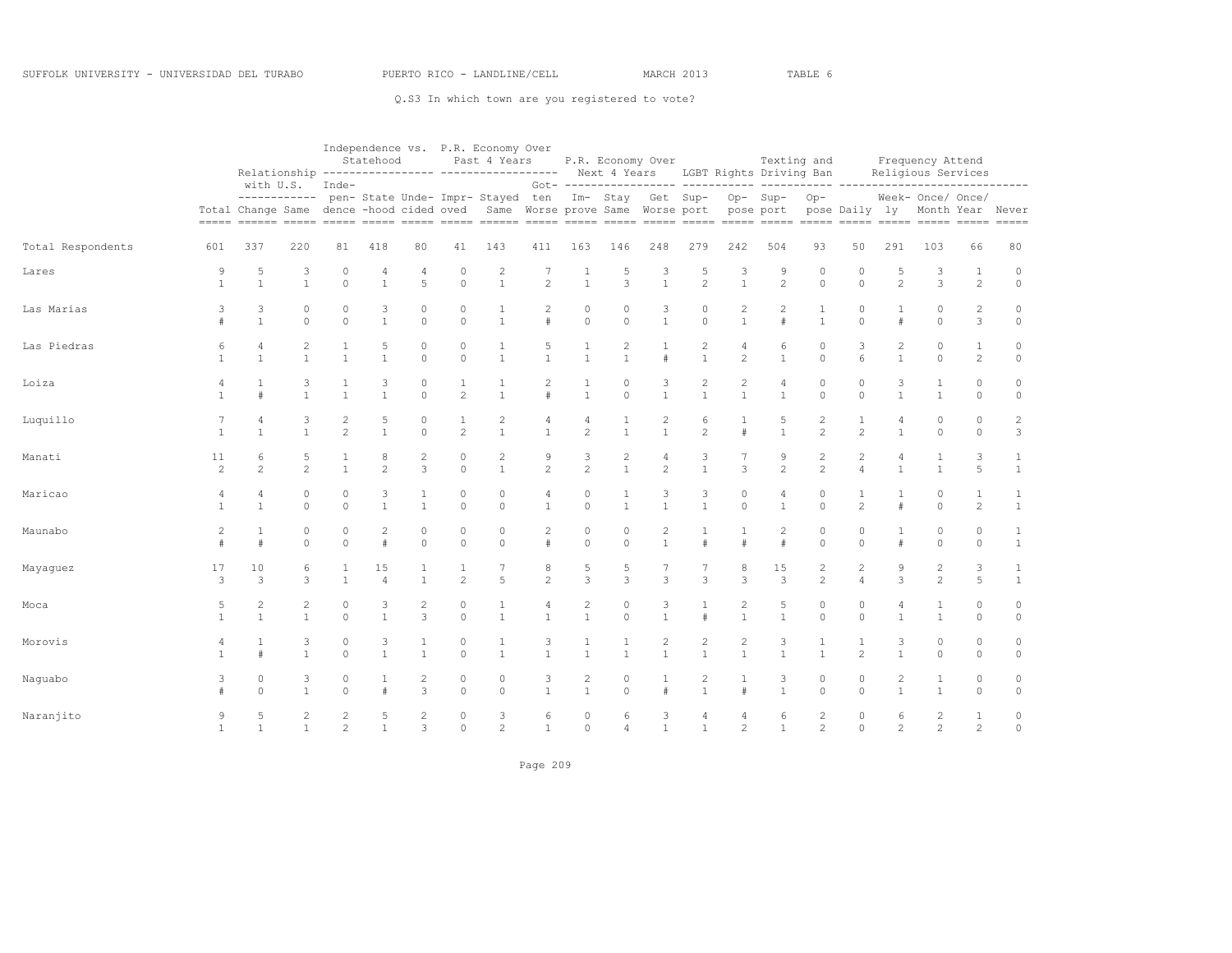|                   |                                |                                                                       |                                |                     | Statehood           |                              |                          | Independence vs. P.R. Economy Over<br>Past 4 Years<br>Relationship ---------------- ------------------ Next 4 Years LGBT Rights Driving Ban |                     |                                  |                                         | P.R. Economy Over                                     |                                |                                | Texting and                 |                                  |                                  |                                | Frequency Attend<br>Religious Services                                                                                                                                                                                                                                                                                                                                                                                                                                                                                                  |                     |                              |
|-------------------|--------------------------------|-----------------------------------------------------------------------|--------------------------------|---------------------|---------------------|------------------------------|--------------------------|---------------------------------------------------------------------------------------------------------------------------------------------|---------------------|----------------------------------|-----------------------------------------|-------------------------------------------------------|--------------------------------|--------------------------------|-----------------------------|----------------------------------|----------------------------------|--------------------------------|-----------------------------------------------------------------------------------------------------------------------------------------------------------------------------------------------------------------------------------------------------------------------------------------------------------------------------------------------------------------------------------------------------------------------------------------------------------------------------------------------------------------------------------------|---------------------|------------------------------|
|                   | $= = = = = =$                  | with U.S.<br>------------<br>Total Change Same dence -hood cided oved |                                | Inde-               |                     |                              |                          | pen- State Unde- Impr- Stayed ten                                                                                                           |                     |                                  |                                         | Im- Stay Get Sup-<br>Same Worse prove Same Worse port |                                |                                | Op-Sup-<br>pose port        | $Op-$                            | pose Daily ly<br>$=====$         |                                | Week- Once/ Once/<br>Month Year Never<br>$\begin{tabular}{lllllllllllllll} \multicolumn{2}{l}{{\color{red}\hbox{m}}} & \multicolumn{2}{l}{\color{blue}\hbox{m}} & \multicolumn{2}{l}{\color{blue}\hbox{m}} & \multicolumn{2}{l}{\color{blue}\hbox{m}} & \multicolumn{2}{l}{\color{blue}\hbox{m}} & \multicolumn{2}{l}{\color{blue}\hbox{m}} & \multicolumn{2}{l}{\color{blue}\hbox{m}} & \multicolumn{2}{l}{\color{blue}\hbox{m}} & \multicolumn{2}{l}{\color{blue}\hbox{m}} & \multicolumn{2}{l}{\color{blue}\hbox{m}} & \multicolumn$ |                     | -------<br>$= = = = = =$     |
| Total Respondents | 601                            | 337                                                                   | 220                            | 81                  | 418                 | 80                           | 41                       | 143                                                                                                                                         | 411                 | 163                              | 146                                     | 248                                                   | 279                            | 242                            | 504                         | 93                               | 50                               | 291                            | 103                                                                                                                                                                                                                                                                                                                                                                                                                                                                                                                                     | 66                  | 80                           |
| Lares             | 9<br>$\mathbf{1}$              | 5<br>$\mathbf{1}$                                                     | 3<br>$\mathbf{1}$              | 0<br>$\circ$        | 4<br>$\mathbf{1}$   | 4<br>5                       | $\circ$<br>$\circ$       | 2<br>$\mathbf{1}$                                                                                                                           | $\overline{c}$      | 1<br>$\mathbf{1}$                | 5<br>3                                  | 3<br>$\mathbf{1}$                                     | 5<br>$\overline{c}$            | 3<br>$\mathbf{1}$              | 9<br>$\overline{c}$         | 0<br>$\circ$                     | 0<br>$\circ$                     | 5<br>$\overline{c}$            | 3<br>3                                                                                                                                                                                                                                                                                                                                                                                                                                                                                                                                  | 1<br>$\overline{c}$ | $\circ$<br>$\circ$           |
| Las Marias        | 3<br>#                         | 3<br>$\mathbf{1}$                                                     | $\circ$<br>$\circ$             | $\circ$<br>$\Omega$ | 3<br>$\mathbf{1}$   | $\mathbf 0$<br>$\circ$       | $\mathbf{0}$<br>$\circ$  | 1<br>$\mathbf{1}$                                                                                                                           | 2<br>#              | $\mathbf 0$<br>$\circ$           | $\circ$<br>$\circ$                      | 3<br>$\mathbf{1}$                                     | $\mathbf 0$<br>$\circ$         | $\overline{c}$<br>$\mathbf{1}$ | $\overline{c}$<br>$\#$      | $\mathbf{1}$<br>$\mathbf{1}$     | $\circ$<br>$\circ$               | #                              | 0<br>$\circ$                                                                                                                                                                                                                                                                                                                                                                                                                                                                                                                            | $\overline{c}$<br>3 | 0<br>$\circ$                 |
| Las Piedras       | 6<br>$\mathbf{1}$              | 4<br>$\mathbf{1}$                                                     | 2<br>$\mathbf{1}$              | 1<br>$\mathbf{1}$   | 5<br>$\mathbf{1}$   | 0<br>$\circ$                 | $\mathbf{0}$<br>$\circ$  | 1<br>$\mathbf{1}$                                                                                                                           | 5<br>$\mathbf{1}$   | 1<br>$\mathbf{1}$                | $\mathbf{2}$<br>$\mathbf{1}$            | 1<br>#                                                | 2<br>$\mathbf{1}$              | 4<br>$\overline{c}$            | 6<br>$\mathbf{1}$           | $\circ$<br>$\circ$               | 3<br>6                           | $\overline{2}$<br>$\mathbf{1}$ | 0<br>$\circ$                                                                                                                                                                                                                                                                                                                                                                                                                                                                                                                            | $\mathbf{1}$<br>2   | 0<br>$\circ$                 |
| Loiza             | 4                              | 1<br>#                                                                | 3<br>$\mathbf{1}$              | 1<br>$\mathbf{1}$   | 3<br>$\mathbf{1}$   | $\mathbf 0$<br>$\circ$       | 1<br>$\overline{c}$      | 1<br>$\mathbf{1}$                                                                                                                           | 2<br>$\#$           | 1<br>$\mathbf{1}$                | $\circ$<br>$\circ$                      | 3<br>$\mathbf{1}$                                     | 2<br>$\mathbf{1}$              | 2<br>$\mathbf{1}$              | 4<br>$\mathbf{1}$           | $\circ$<br>$\circ$               | $\circ$<br>$\circ$               | 3<br>$\mathbf{1}$              | 1<br>$\mathbf{1}$                                                                                                                                                                                                                                                                                                                                                                                                                                                                                                                       | 0<br>$\circ$        | $\circ$<br>$\circ$           |
| Luquillo          | $\mathbf{1}$                   | 4<br>$\mathbf{1}$                                                     | 3<br>$\mathbf{1}$              | 2<br>$\overline{c}$ | 5<br>$\mathbf{1}$   | $\mathbf 0$<br>$\circ$       | 1<br>$\overline{c}$      | $\mathbf{2}$<br>$\mathbf{1}$                                                                                                                | 4<br>$\mathbf{1}$   | $\overline{4}$<br>$\overline{c}$ | 1<br>$\mathbf{1}$                       | $\overline{c}$<br>$\mathbf{1}$                        | 6<br>2                         | 1<br>$\#$                      | 5<br>$\mathbf{1}$           | $\mathbf{2}$<br>$\overline{c}$   | $\mathbf{1}$<br>$\overline{c}$   | $\overline{4}$<br>$\mathbf{1}$ | 0<br>$\circ$                                                                                                                                                                                                                                                                                                                                                                                                                                                                                                                            | $\circ$<br>$\circ$  | 2<br>3                       |
| Manati            | 11<br>$\overline{c}$           | 6<br>2                                                                | 5<br>2                         | 1<br>$\mathbf{1}$   | 8<br>$\overline{c}$ | $\overline{c}$<br>3          | $\mathbf{0}$<br>$\circ$  | $\mathbf{2}$<br>$\mathbf{1}$                                                                                                                | 9<br>$\overline{c}$ | 3<br>$\overline{2}$              | $\overline{\mathbf{c}}$<br>$\mathbf{1}$ | 4<br>$\overline{c}$                                   | 3<br>$\mathbf{1}$              | 7<br>3                         | 9<br>$\overline{c}$         | $\mathbf{2}$<br>$\overline{c}$   | $\overline{c}$<br>$\overline{4}$ | $\overline{4}$<br>$\mathbf{1}$ | $\mathbf{1}$<br>$\mathbf{1}$                                                                                                                                                                                                                                                                                                                                                                                                                                                                                                            | 3<br>5              | $\mathbf{1}$<br>$\mathbf{1}$ |
| Maricao           | 4<br>$\mathbf{1}$              | $\overline{4}$<br>$\mathbf{1}$                                        | 0<br>$\circ$                   | $\circ$<br>$\circ$  | 3<br>$\mathbf{1}$   | 1<br>$\mathbf{1}$            | $\circ$<br>$\mathbb O$   | 0<br>$\circ$                                                                                                                                | 4<br>$\mathbf{1}$   | 0<br>$\circ$                     | -1<br>$\mathbf{1}$                      | 3<br>$\mathbf{1}$                                     | 3<br>$\mathbf{1}$              | 0<br>$\circ$                   | 4<br>$\mathbf{1}$           | $\circ$<br>$\circ$               | 1<br>$\overline{c}$              | 1<br>#                         | $\Omega$<br>$\circ$                                                                                                                                                                                                                                                                                                                                                                                                                                                                                                                     | 1<br>$\overline{c}$ | 1<br>$\mathbf{1}$            |
| Maunabo           | $\overline{c}$<br>#            | $\mathbf{1}$<br>#                                                     | $\circ$<br>$\circ$             | $\circ$<br>$\circ$  | 2<br>#              | $\mathbf{0}$<br>$\circ$      | $\mathbf{0}$<br>$\circ$  | $\circ$<br>$\circ$                                                                                                                          | 2<br>#              | $\mathbf{0}$<br>$\circ$          | $\circ$<br>$\circ$                      | $\overline{c}$<br>$\mathbf{1}$                        | $\mathbf{1}$<br>#              | $\mathbf{1}$<br>$\#$           | $\overline{c}$<br>$\#$      | $\circ$<br>$\circ$               | $\theta$<br>$\circ$              | #                              | 0<br>$\circ$                                                                                                                                                                                                                                                                                                                                                                                                                                                                                                                            | $\circ$<br>$\circ$  | $\mathbf{1}$<br>$\mathbf{1}$ |
| Mayaguez          | 17<br>3                        | 10<br>3                                                               | 6<br>3                         | 1<br>$\mathbf{1}$   | 15<br>4             | $\mathbf{1}$                 | 1<br>$\overline{c}$      | 7<br>5                                                                                                                                      | 8<br>$\overline{c}$ | 5<br>3                           | 5<br>3                                  | $\overline{3}$                                        | 3                              | 8<br>3                         | 15<br>3                     | $\overline{c}$<br>$\overline{c}$ | $\overline{c}$<br>$\overline{4}$ | 9<br>3                         | 2<br>$\overline{c}$                                                                                                                                                                                                                                                                                                                                                                                                                                                                                                                     | 3<br>5              | $\mathbf{1}$<br>$\mathbf{1}$ |
| Moca              | 5                              | 2<br>$\overline{1}$                                                   | $\overline{2}$<br>$\mathbf{1}$ | 0<br>$\circ$        | 3<br>$\mathbf{1}$   | 2<br>3                       | $\mathbf{0}$<br>$\circ$  | 1<br>$\mathbf{1}$                                                                                                                           | 4<br>$\mathbf{1}$   | $\overline{c}$<br>$\mathbf{1}$   | $\circ$<br>$\circ$                      | 3<br>$\mathbf{1}$                                     | 1<br>#                         | 2<br>$\mathbf{1}$              | 5<br>$\mathbf{1}$           | $\circ$<br>$\circ$               | $\theta$<br>$\circ$              | $\overline{4}$<br>1            | 1<br>$\mathbf{1}$                                                                                                                                                                                                                                                                                                                                                                                                                                                                                                                       | $\circ$<br>$\circ$  | $\circ$<br>$\circ$           |
| Morovis           | $\overline{4}$<br>$\mathbf{1}$ | #                                                                     | 3<br>$\mathbf{1}$              | $\circ$<br>$\circ$  | 3<br>$\mathbf{1}$   | $\mathbf{1}$<br>$\mathbf{1}$ | $\mathbf{0}$<br>$\circ$  | 1<br>$\mathbf{1}$                                                                                                                           | 3<br>$\mathbf{1}$   | 1<br>$\mathbf{1}$                | $\overline{1}$<br>$\mathbf{1}$          | $\overline{c}$<br>$\mathbf{1}$                        | $\overline{c}$<br>$\mathbf{1}$ | $\overline{c}$<br>$\mathbf{1}$ | $\mathsf 3$<br>$\mathbf{1}$ | $\mathbf{1}$<br>$\mathbf{1}$     | $\mathbf{1}$<br>$\overline{c}$   | 3<br>$\mathbf{1}$              | $\Omega$<br>$\circ$                                                                                                                                                                                                                                                                                                                                                                                                                                                                                                                     | $\circ$<br>$\circ$  | $\circ$<br>$\circ$           |
| Naguabo           | 3                              | 0<br>$\Omega$                                                         | 3<br>$\mathbf{1}$              | $\circ$<br>$\Omega$ | 1<br>$\#$           | $\overline{2}$<br>3          | $\mathbf{0}$<br>$\Omega$ | $\circ$<br>$\circ$                                                                                                                          | 3<br>$\mathbf{1}$   | $\overline{c}$<br>$\mathbf{1}$   | $\circ$<br>$\Omega$                     | 1<br>#                                                | $\overline{c}$<br>$\mathbf{1}$ | 1<br>$\#$                      | 3<br>$\mathbf{1}$           | $\circ$<br>$\Omega$              | $\circ$<br>$\Omega$              | 2<br>$\mathbf{1}$              | 1<br>$\mathbf{1}$                                                                                                                                                                                                                                                                                                                                                                                                                                                                                                                       | $\circ$<br>$\Omega$ | $\circ$<br>$\circ$           |
| Naranjito         | 9                              | 5<br>$\overline{1}$                                                   | $\overline{2}$<br>$\mathbf{1}$ | 2<br>$\mathbf{2}$   | 5<br>$\mathbf{1}$   | $\overline{2}$<br>3          | $\circ$<br>$\mathbf 0$   | 3<br>$\mathbf{2}$                                                                                                                           | 6<br>1              | $\circ$<br>$\circ$               | 6<br>4                                  | 3<br>$\overline{1}$                                   | 4<br>$\mathbf{1}$              | 4<br>$\overline{c}$            | 6<br>$\mathbf{1}$           | $\mathbf{2}$<br>$\mathbf{2}$     | $\circ$<br>$\circ$               | 6<br>$\overline{\mathcal{L}}$  | $\overline{2}$<br>$\overline{c}$                                                                                                                                                                                                                                                                                                                                                                                                                                                                                                        | 1<br>$\overline{c}$ | $\circ$<br>$\circ$           |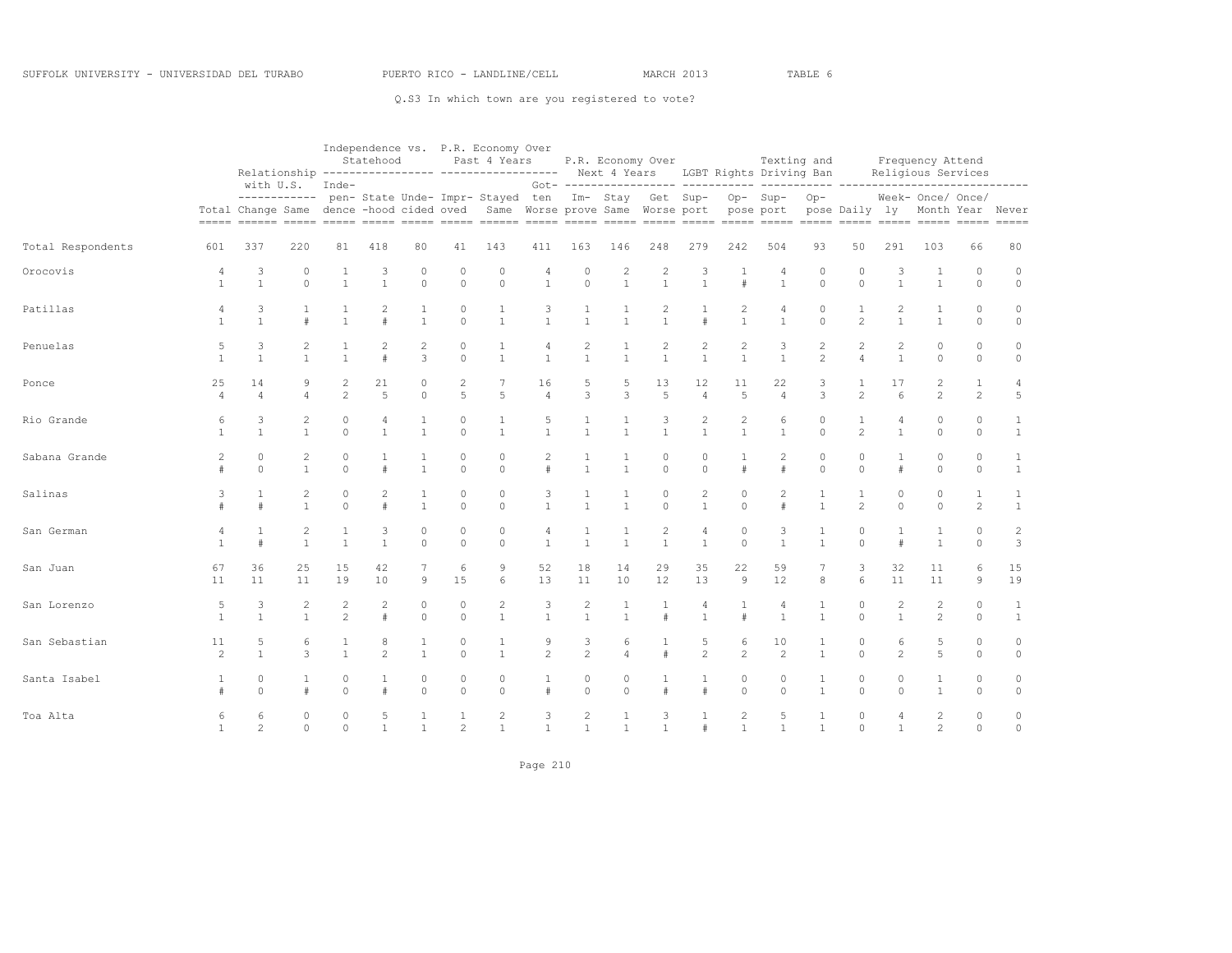|                   |                        |                      |                                |                                | Statehood                      |                      |                          | Independence vs. P.R. Economy Over<br>Past 4 Years<br>Relationship --------------- ----------------- Next 4 Years LGBT Rights Driving Ban |                                  |                                         |                                | P.R. Economy Over                                 |                                  |                                |                      | Texting and                    |                                                    |                                | Frequency Attend<br>Religious Services                     |                                |                              |
|-------------------|------------------------|----------------------|--------------------------------|--------------------------------|--------------------------------|----------------------|--------------------------|-------------------------------------------------------------------------------------------------------------------------------------------|----------------------------------|-----------------------------------------|--------------------------------|---------------------------------------------------|----------------------------------|--------------------------------|----------------------|--------------------------------|----------------------------------------------------|--------------------------------|------------------------------------------------------------|--------------------------------|------------------------------|
|                   | $=$ $=$ $=$ $=$ $=$    | with U.S.            | ------------                   | Inde-                          |                                |                      |                          | pen- State Unde- Impr- Stayed ten<br>Total Change Same dence -hood cided oved Same Worse prove Same Worse port                            |                                  |                                         |                                | Got- ----------------- -----<br>Im- Stay Get Sup- |                                  |                                | Op-Sup-<br>pose port | $Op-$                          | ----- ----------------<br>pose Daily ly<br>$=====$ |                                | Week- Once/ Once/<br>Month Year Never<br>===== ===== ===== |                                | -------<br>$= = = = = =$     |
| Total Respondents | 601                    | 337                  | 220                            | 81                             | 418                            | 80                   | 41                       | 143                                                                                                                                       | 411                              | 163                                     | 146                            | 248                                               | 279                              | 242                            | 504                  | 93                             | 50                                                 | 291                            | 103                                                        | 66                             | 80                           |
| Orocovis          | 4<br>$\mathbf{1}$      | 3<br>$\mathbf{1}$    | $\mathbf{0}$<br>$\circ$        | 1<br>$\mathbf{1}$              | 3<br>$\mathbf{1}$              | 0<br>$\circ$         | 0<br>$\circ$             | $\circ$<br>$\circ$                                                                                                                        | 4<br>$\mathbf{1}$                | 0<br>$\circ$                            | $\overline{c}$<br>$\mathbf{1}$ | $\overline{2}$<br>$\mathbf{1}$                    | 3<br>$\mathbf{1}$                | 1<br>$\ddot{+}$                | 4<br>$\mathbf{1}$    | $\circ$<br>$\circ$             | $\circ$<br>$\circ$                                 | 3<br>$\mathbf{1}$              | 1<br>$\mathbf{1}$                                          | 0<br>$\circ$                   | $\circ$<br>$\circ$           |
| Patillas          | 4<br>$\mathbf{1}$      | 3<br>$\mathbf{1}$    | $\mathbf{1}$<br>#              | $\mathbf 1$<br>$\overline{1}$  | $\overline{2}$<br>$\pm$        | 1<br>$\mathbf{1}$    | $\circ$<br>$\Omega$      | $\mathbf{1}$<br>$\overline{1}$                                                                                                            | 3<br>$\mathbf{1}$                | $\mathbf{1}$<br>$\mathbf{1}$            | 1<br>$\mathbf{1}$              | $\overline{c}$<br>$\mathbf{1}$                    | $\mathbf{1}$<br>$\ddagger$       | $\overline{c}$<br>$\mathbf{1}$ | 4<br>$\mathbf{1}$    | $\circ$<br>$\Omega$            | $\mathbf{1}$<br>$\overline{2}$                     | $\overline{c}$<br>$\mathbf{1}$ | 1<br>$\mathbf{1}$                                          | $\mathbb O$<br>$\circ$         | $\circ$<br>$\circ$           |
| Penuelas          | 5<br>$\mathbf{1}$      | 3<br>$\mathbf{1}$    | $\overline{2}$<br>$\mathbf{1}$ | 1<br>$\mathbf{1}$              | $\overline{c}$<br>$\pm$        | 2<br>3               | 0<br>$\circ$             | $\mathbf{1}$<br>$\overline{1}$                                                                                                            | 4<br>$\mathbf{1}$                | $\overline{2}$<br>$\mathbf{1}$          | 1<br>$\mathbf{1}$              | 2<br>$\mathbf{1}$                                 | 2<br>$\mathbf{1}$                | $\overline{c}$<br>$\mathbf{1}$ | 3<br>$\mathbf{1}$    | $\mathbf{2}$<br>$\overline{c}$ | $\overline{c}$<br>$\overline{4}$                   | $\overline{c}$<br>$\mathbf{1}$ | 0<br>$\circ$                                               | $\circ$<br>$\circ$             | $\mathbb O$<br>$\circ$       |
| Ponce             | 25<br>$\varDelta$      | 14<br>$\overline{A}$ | 9<br>$\Delta$                  | $\overline{c}$<br>2            | 21<br>5                        | 0<br>$\Omega$        | $\overline{c}$<br>5      | 7<br>5                                                                                                                                    | 16<br>$\overline{4}$             | 5<br>3                                  | 5<br>3                         | 13<br>5                                           | 12<br>$\overline{4}$             | 11<br>5                        | 22<br>$\overline{4}$ | 3<br>3                         | 1<br>$\overline{c}$                                | 17<br>6                        | $\overline{2}$<br>$\mathfrak{D}$                           | $\mathbf{1}$<br>$\overline{2}$ | 4<br>5                       |
| Rio Grande        | 6<br>$\mathbf{1}$      | 3<br>$\mathbf{1}$    | $\mathbf{2}$<br>$\mathbf{1}$   | 0<br>$\Omega$                  | $\overline{4}$<br>$\mathbf{1}$ | 1<br>$\mathbf{1}$    | $\mathbf{0}$<br>$\Omega$ | $\mathbf{1}$<br>$\overline{1}$                                                                                                            | 5<br>$\mathbf{1}$                | 1<br>$\mathbf{1}$                       | 1<br>$\mathbf{1}$              | 3<br>$\mathbf{1}$                                 | 2<br>$\mathbf{1}$                | $\overline{2}$<br>$\mathbf{1}$ | 6<br>$\mathbf{1}$    | $\circ$<br>$\circ$             | $\mathbf{1}$<br>2                                  | 4<br>$\mathbf{1}$              | $\mathbf{0}$<br>$\circ$                                    | $\circ$<br>$\circ$             | $\mathbf{1}$<br>$\mathbf{1}$ |
| Sabana Grande     | $\overline{c}$<br>$\#$ | 0<br>$\Omega$        | $\overline{c}$<br>$\mathbf{1}$ | $\circ$<br>$\Omega$            | #                              | 1<br>$\mathbf{1}$    | $\circ$<br>$\Omega$      | $\circ$<br>$\Omega$                                                                                                                       | $\overline{2}$<br>#              | 1<br>$\mathbf{1}$                       | 1<br>$\overline{1}$            | 0<br>$\Omega$                                     | 0<br>$\circ$                     | 1<br>#                         | $\overline{c}$<br>#  | $\circ$<br>$\circ$             | $\circ$<br>$\Omega$                                | 1<br>#                         | 0<br>$\Omega$                                              | 0<br>$\Omega$                  | 1<br>$\mathbf{1}$            |
| Salinas           | 3                      | 1<br>#               | 2<br>$\mathbf{1}$              | $\circ$<br>$\Omega$            | 2<br>$\pm$                     | 1<br>$\mathbf{1}$    | $\mathbf 0$<br>$\circ$   | $\circ$<br>$\Omega$                                                                                                                       | 3<br>$\mathbf{1}$                | 1<br>$\mathbf{1}$                       | 1<br>$\mathbf{1}$              | $\circ$<br>$\Omega$                               | 2<br>$\mathbf{1}$                | $\circ$<br>$\Omega$            | 2<br>$\#$            | 1<br>$\mathbf{1}$              | 1<br>$\overline{c}$                                | $\theta$<br>$\Omega$           | $\mathbf 0$<br>$\circ$                                     | $\mathbf{1}$<br>$\overline{c}$ | 1<br>$\mathbf{1}$            |
| San German        | 4<br>1                 | 1<br>$\#$            | $\overline{c}$<br>$\mathbf{1}$ | $\mathbf{1}$<br>$\overline{1}$ | 3<br>$\mathbf{1}$              | 0<br>$\Omega$        | 0<br>$\Omega$            | $\circ$<br>$\Omega$                                                                                                                       | $\overline{4}$<br>$\overline{1}$ | 1<br>$\mathbf{1}$                       | 1<br>$\mathbf{1}$              | 2<br>$\mathbf{1}$                                 | $\overline{4}$<br>$\overline{1}$ | $\circ$<br>$\Omega$            | 3<br>$\mathbf{1}$    | $1\,$<br>$\mathbf{1}$          | $\circ$<br>$\Omega$                                | 1<br>$\#$                      | 1<br>$\mathbf{1}$                                          | $\circ$<br>$\Omega$            | $\overline{c}$<br>3          |
| San Juan          | 67<br>11               | 36<br>11             | 25<br>11                       | 15<br>19                       | 42<br>10                       | 7<br>9               | 6<br>15                  | 9<br>6                                                                                                                                    | 52<br>13                         | 18<br>11                                | 14<br>10                       | 29<br>12                                          | 35<br>13                         | 22<br>$\mathcal{Q}$            | 59<br>12             | 7<br>$^{\rm 8}$                | 3<br>6                                             | 32<br>11                       | 11<br>11                                                   | 6<br>9                         | 15<br>19                     |
| San Lorenzo       | 5<br>$\mathbf{1}$      | 3<br>$\mathbf{1}$    | $\overline{c}$<br>$\mathbf{1}$ | $\overline{c}$<br>2            | $\overline{2}$<br>$\ddagger$   | $\Omega$<br>$\Omega$ | $\mathbf{0}$<br>$\Omega$ | 2<br>$\mathbf{1}$                                                                                                                         | 3<br>$\overline{1}$              | $\overline{\mathbf{c}}$<br>$\mathbf{1}$ | 1<br>$\mathbf{1}$              | $\pm$                                             | 4<br>$\overline{1}$              | $\pm$                          | 4<br>$\mathbf{1}$    | $1\,$<br>$\mathbf{1}$          | $\circ$<br>$\Omega$                                | $\sqrt{2}$<br>$\mathbf{1}$     | $\overline{2}$<br>$\overline{c}$                           | 0<br>$\Omega$                  | $\mathbf{1}$<br>$\mathbf{1}$ |
| San Sebastian     | 11<br>2                | 5<br>$\mathbf{1}$    | 6<br>3                         | $\mathbf 1$<br>$\mathbf{1}$    | 8<br>$\overline{2}$            | 1<br>$\mathbf{1}$    | 0<br>$\circ$             | $\mathbf{1}$<br>$\overline{1}$                                                                                                            | 9<br>$\mathfrak{D}$              | 3<br>$\overline{c}$                     | 6<br>4                         | $\pm$                                             | 5<br>2                           | 6<br>$\overline{c}$            | 10<br>2              | 1<br>$\mathbf{1}$              | $\circ$<br>$\Omega$                                | 6<br>$\overline{c}$            | 5<br>5                                                     | 0<br>$\circ$                   | $\circ$<br>$\circ$           |
| Santa Isabel      | 1<br>$\#$              | 0<br>$\Omega$        | 1<br>#                         | 0<br>$\circ$                   | $\mathbf{1}$<br>#              | 0<br>$\Omega$        | $\circ$<br>$\Omega$      | $\circ$<br>$\Omega$                                                                                                                       | 1<br>#                           | 0<br>$\Omega$                           | $\circ$<br>$\Omega$            | 1                                                 | 1<br>$\ddagger$                  | $\circ$<br>$\Omega$            | $\circ$<br>$\Omega$  | $\mathbf{1}$<br>$\mathbf{1}$   | $\circ$<br>$\Omega$                                | $\circ$<br>$\Omega$            | 1<br>$\mathbf{1}$                                          | $\circ$<br>$\Omega$            | $\circ$<br>$\circ$           |
| Toa Alta          | 6<br>$\mathbf{1}$      | 6<br>$\overline{c}$  | $\circ$<br>$\circ$             | $\circ$<br>$\circ$             | 5<br>$\mathbf{1}$              | 1<br>$\mathbf{1}$    | $\overline{c}$           | 2<br>$\mathbf{1}$                                                                                                                         | 3<br>$\mathbf{1}$                | $\overline{2}$<br>$\mathbf{1}$          | 1<br>$\mathbf{1}$              | 3<br>$\mathbf{1}$                                 | $\mathbf{1}$<br>#                | $\overline{c}$<br>$\mathbf{1}$ | 5<br>$\mathbf{1}$    | 1<br>$\mathbf{1}$              | $\circ$<br>$\Omega$                                | 4<br>$\mathbf{1}$              | $\overline{2}$<br>2                                        | 0<br>$\circ$                   | $\circ$<br>$\circ$           |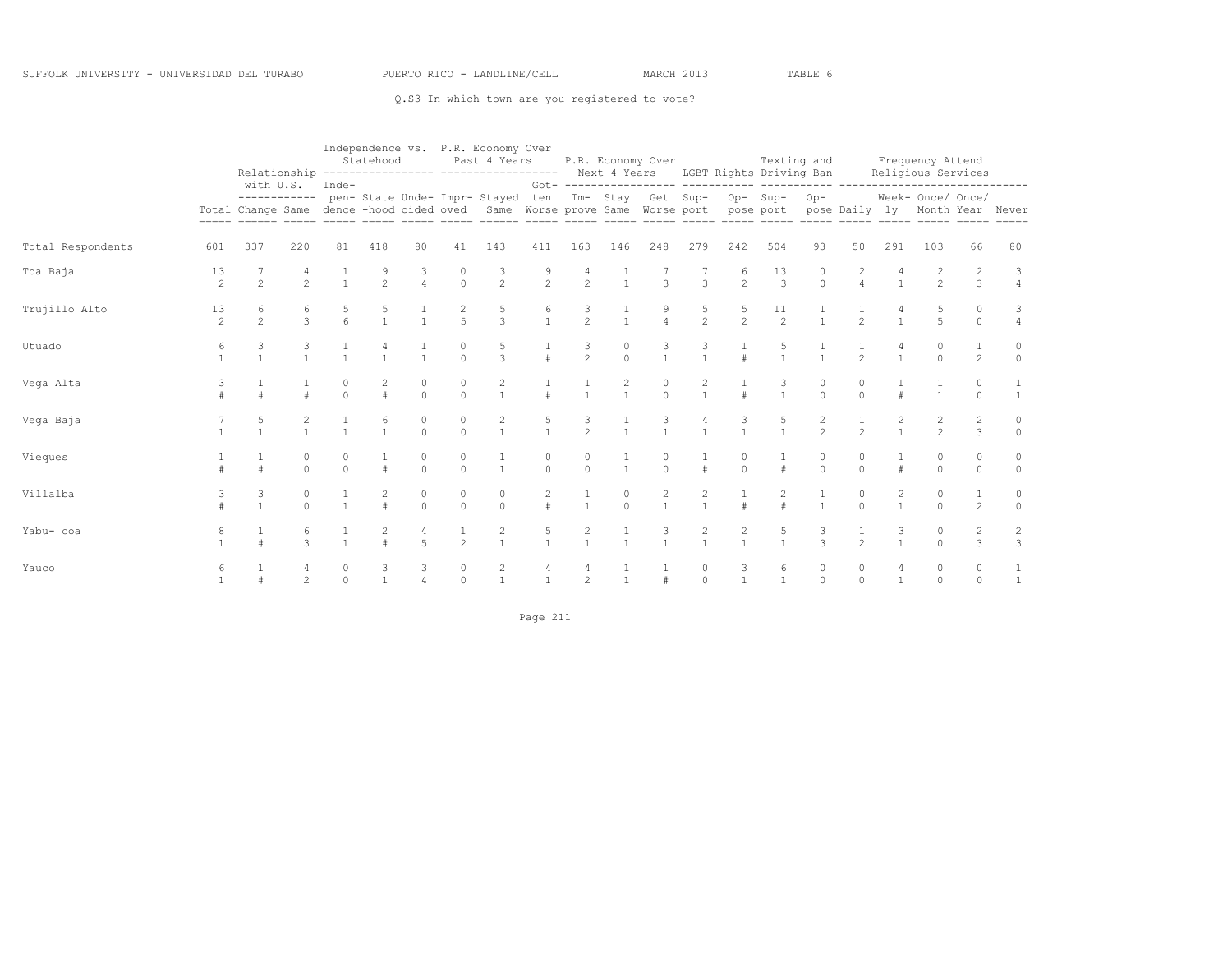|                   |                      | Relationship                                                                                |                                  |               | Statehood           |                     |                     | Independence vs. P.R. Economy Over<br>Past 4 Years                    |                        |                                |                      | P.R. Economy Over                |                                       |                                | Texting and<br>Next 4 Years LGBT Rights Driving Ban |                     |                     |                | Frequency Attend<br>Religious Services                            |                      |                                  |
|-------------------|----------------------|---------------------------------------------------------------------------------------------|----------------------------------|---------------|---------------------|---------------------|---------------------|-----------------------------------------------------------------------|------------------------|--------------------------------|----------------------|----------------------------------|---------------------------------------|--------------------------------|-----------------------------------------------------|---------------------|---------------------|----------------|-------------------------------------------------------------------|----------------------|----------------------------------|
|                   |                      | with U.S.<br>------------<br>Total Change Same dence -hood cided oved<br>sesse cosese coses |                                  | $Inde-$       |                     |                     |                     | pen- State Unde- Impr- Stayed ten<br>Same Worse prove Same Worse port |                        |                                |                      | Im- Stay Get Sup-                | Got- ----------------- ----------     |                                | Op-Sup-<br>pose port                                | $Op-$               | pose Daily ly       |                | ---- -------------------<br>Week- Once/ Once/<br>Month Year Never |                      |                                  |
| Total Respondents | 601                  | 337                                                                                         | 220                              | 81            | 418                 | 80                  | 41                  | 143                                                                   | 411                    | 163                            | 146                  | 248                              | 279                                   | 242                            | 504                                                 | 93                  | 50                  | 291            | 103                                                               | 66                   | 80                               |
| Toa Baja          | 13<br>2              | $\overline{c}$                                                                              | 2                                | $\mathbf{1}$  | 9<br>$\overline{c}$ | 3<br>$\overline{4}$ | $\circ$<br>$\circ$  | 3<br>$\overline{c}$                                                   | 9<br>$\overline{c}$    | $\overline{c}$                 | $\mathbf{1}$         | $\mathbf{3}$                     | $\mathbf{3}$                          | 6<br>$\overline{c}$            | 13<br>$\overline{3}$                                | 0<br>$\circ$        | 2<br>$\overline{4}$ |                | 2                                                                 | $\overline{c}$<br>3  | 3<br>$\overline{4}$              |
| Trujillo Alto     | 13<br>$\mathfrak{D}$ | 6<br>$\mathfrak{D}$                                                                         | 6<br>$\overline{3}$              | 6             | 5                   |                     | $\frac{2}{5}$       | $\frac{5}{3}$                                                         | 6<br>$\mathbf{1}$      | 3<br>$\overline{2}$            |                      | $\overline{4}$                   | $\frac{5}{2}$                         | 5<br>$\overline{2}$            | 11<br>2                                             |                     | $\mathfrak{D}$      |                | 5<br>5                                                            | $\Omega$<br>$\circ$  | 3<br>$\overline{4}$              |
| Utuado            | 6                    | 3                                                                                           | 3<br>$\mathbf{1}$                | $\mathbf{1}$  | $\mathbf{1}$        | $\mathbf{1}$        | 0<br>$\Omega$       | 5<br>$\overline{3}$                                                   | #                      | 3<br>$\overline{2}$            | 0<br>$\Omega$        | 3<br>$\mathbf{1}$                | $\frac{3}{1}$                         | $\#$                           | 5<br>$\mathbf{1}$                                   |                     | $\mathfrak{D}$      |                | $\Omega$<br>$\Omega$                                              | 2                    | 0<br>$\circ$                     |
| Vega Alta         |                      |                                                                                             |                                  | $\Omega$      | 2<br>#              | $\Omega$            | 0<br>$\Omega$       | 2<br>$\mathbf{1}$                                                     |                        | $\mathbf{1}$                   | 2<br>$\mathbf{1}$    | $\Omega$                         | 2<br>$\mathbf{1}$                     |                                | 3<br>$\mathbf{1}$                                   | $\Omega$            | $\Omega$            |                | $\mathbf{1}$                                                      | 0<br>$\Omega$        |                                  |
| Vega Baja         |                      |                                                                                             | $\mathbf{1}$                     | $\mathbf{1}$  | 6<br>$\mathbf{1}$   | 0<br>$\Omega$       | $\circ$<br>$\cap$   | $\overline{\mathbf{c}}$<br>$\mathbf{1}$                               | $\frac{5}{1}$          | $\frac{3}{2}$                  | $\mathbf{1}$         |                                  | $\mathbf{1}$                          |                                | 5<br>$\mathbf{1}$                                   | 2<br>$\overline{2}$ | $\mathfrak{D}$      |                | $\mathfrak{D}$                                                    | 2<br>3               | 0<br>$\circ$                     |
| Vieques           |                      |                                                                                             | 0<br>$\cap$                      | 0<br>$\Omega$ | $\pm$               | $\Omega$            | 0<br>$\Omega$       | $\overline{1}$                                                        | 0<br>$\Omega$          | $\Omega$                       | $\mathbf{1}$         | $\Omega$                         | $\#$                                  | 0<br>$\Omega$                  | #                                                   | $\circ$<br>$\Omega$ | 0<br>$\Omega$       | $\pm$          | $\Omega$<br>$\Omega$                                              | $\Omega$<br>$\Omega$ | $\circ$                          |
| Villalba          |                      | 3                                                                                           | 0<br>$\Omega$                    | $\mathbf{1}$  | 2<br>$\pm$          | 0<br>$\Omega$       | $\circ$<br>$\Omega$ | $\circ$<br>$\Omega$                                                   | $\overline{2}$<br>$\#$ | $\mathbf{1}$                   | $\circ$<br>$\bigcap$ | $\overline{c}$<br>$\overline{1}$ | $\begin{array}{c} 2 \\ 1 \end{array}$ | $\#$                           | 2<br>$\#$                                           |                     | $\circ$<br>$\Omega$ | $\overline{2}$ | $\Omega$<br>$\Omega$                                              | 1<br>$\overline{c}$  | 0<br>$\circ$                     |
| Yabu- coa         |                      |                                                                                             | 6<br>$\mathcal{L}$               | $\mathbf{1}$  |                     | 4<br>$\overline{a}$ | $\frac{1}{2}$       | $\begin{array}{c} 2 \\ 1 \end{array}$                                 | 5<br>$\mathbf{1}$      | $\overline{c}$<br>$\mathbf{1}$ | $\mathbf{1}$         | 3<br>$\mathbf{1}$                | $\begin{array}{c} 2 \\ 1 \end{array}$ | $\overline{c}$<br>$\mathbf{1}$ | 5<br>$\mathbf{1}$                                   | 3<br>$\mathcal{L}$  | 1<br>$\mathfrak{D}$ | 3              | 0<br>$\cap$                                                       | 2<br>3               | $\overline{c}$<br>$\overline{3}$ |
| Yauco             | 6                    |                                                                                             | $\overline{4}$<br>$\mathfrak{D}$ | 0<br>$\Omega$ | 3<br>$\mathbf{1}$   | 3                   | $\circ$<br>$\Omega$ | $\overline{c}$<br>$\mathbf{1}$                                        | 4<br>$\mathbf{1}$      | 4<br>$\overline{c}$            | $\mathbf{1}$         |                                  | 0<br>$\Omega$                         | 3<br>$\mathbf{1}$              | 6<br>$\mathbf{1}$                                   | $\circ$<br>$\Omega$ | $\circ$<br>$\Omega$ | 4              | 0<br>$\Omega$                                                     | 0<br>$\Omega$        |                                  |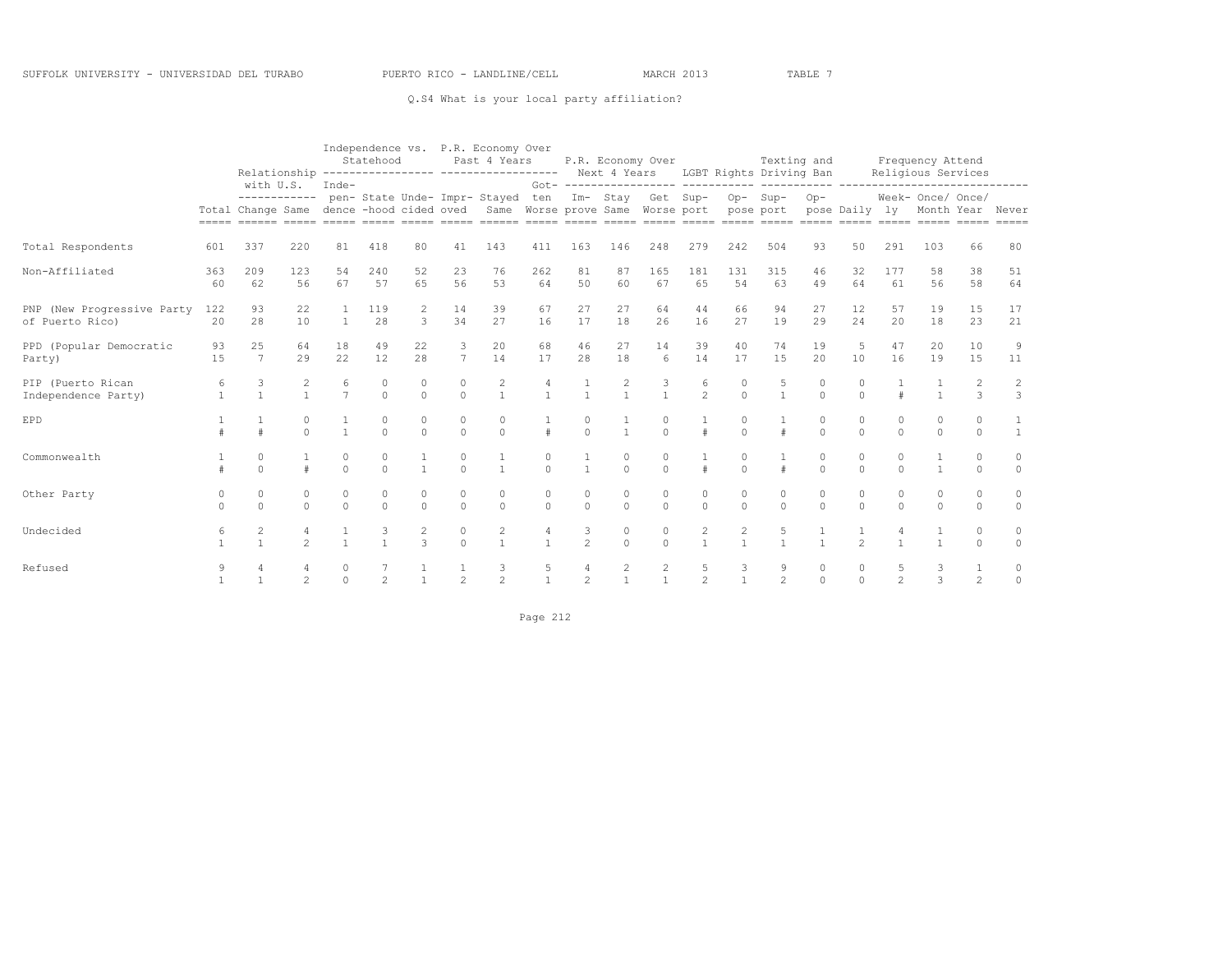### Q.S4 What is your local party affiliation?

|                                               |           |                                                                                                                                                                                                                                   |                      |                      | Statehood      |                |                     | Independence vs. P.R. Economy Over<br>Past 4 Years<br>Relationship ---------------- ----------------- Next 4 Years LGBT Rights Driving Ban |                      |                     |                | P.R. Economy Over    |                     |                                | Texting and          |               |                      |                      | Frequency Attend<br>Religious Services                                                  |                      |                                  |
|-----------------------------------------------|-----------|-----------------------------------------------------------------------------------------------------------------------------------------------------------------------------------------------------------------------------------|----------------------|----------------------|----------------|----------------|---------------------|--------------------------------------------------------------------------------------------------------------------------------------------|----------------------|---------------------|----------------|----------------------|---------------------|--------------------------------|----------------------|---------------|----------------------|----------------------|-----------------------------------------------------------------------------------------|----------------------|----------------------------------|
|                                               |           | with U.S.<br>------------<br>Total Change Same dence -hood cided oved Same Worse prove Same Worse port pose port<br>annan ananan anana anana anana anana ananan anana anana anana anana anana anana anana anana anana anana anana |                      | Inde-                |                |                |                     | pen- State Unde- Impr- Stayed ten                                                                                                          |                      |                     |                |                      |                     | Im- Stay Get Sup- Op- Sup-     |                      | $Op-$         |                      |                      | ________________________________<br>Week- Once/ Once/<br>pose Daily ly Month Year Never |                      |                                  |
| Total Respondents                             | 601       | 337                                                                                                                                                                                                                               | 220                  | 81                   | 418            | 80             | 41                  | 143                                                                                                                                        | 411                  | 163                 | 146            | 248                  | 279                 | 242                            | 504                  | 93            | 50                   | 291                  | 103                                                                                     | 66                   | 80                               |
| Non-Affiliated                                | 363<br>60 | 209<br>62                                                                                                                                                                                                                         | 123<br>56            | 54<br>67             | 240<br>57      | 52<br>65       | 23<br>56            | 76<br>53                                                                                                                                   | 262<br>64            | 81<br>50            | 87<br>60       | 165<br>67            | 181<br>65           | 131<br>54                      | 315<br>63            | 46<br>49      | 32<br>64             | 177<br>61            | 58<br>56                                                                                | 38<br>58             | 51<br>64                         |
| PNP (New Progressive Party<br>of Puerto Rico) | 122<br>20 | 93<br>28                                                                                                                                                                                                                          | 22<br>10             |                      | 119<br>28      | 2<br>3         | 14<br>34            | 39<br>27                                                                                                                                   | 67<br>16             | 27<br>17            | 27<br>18       | 64<br>26             | 44<br>16            | 66<br>27                       | 94<br>19             | 27<br>29      | 12<br>24             | 57<br>20             | 19<br>18                                                                                | 15<br>23             | 17<br>21                         |
| PPD (Popular Democratic<br>Party)             | 93<br>15  | 25<br>$\overline{7}$                                                                                                                                                                                                              | 64<br>29             | 18<br>22             | 49<br>12       | 22<br>28       | 3<br>$\overline{7}$ | 20<br>14                                                                                                                                   | 68<br>17             | 46<br>28            | 27<br>18       | 14<br>6              | 39<br>14            | 40<br>17                       | 74<br>15             | 19<br>20      | 5<br>10              | 47<br>16             | 20<br>19                                                                                | 10<br>15             | 9<br>11                          |
| PIP (Puerto Rican<br>Independence Party)      | 6         | 3<br>$\mathbf{1}$                                                                                                                                                                                                                 | 2<br>$\overline{1}$  | 6<br>$\overline{7}$  | 0<br>$\Omega$  | 0<br>$\Omega$  | $\circ$<br>$\Omega$ | $\overline{c}$<br>$\mathbf{1}$                                                                                                             | $\mathbf{1}$         |                     | $\mathbf{1}$   | $\overline{1}$       | 6<br>$\overline{2}$ | 0<br>$\Omega$                  | 5<br>$\mathbf{1}$    | $\Omega$      | 0<br>$\Omega$        |                      | $\mathbf{1}$                                                                            | 3                    | $\overline{c}$<br>$\overline{3}$ |
| <b>EPD</b>                                    |           |                                                                                                                                                                                                                                   | $\Omega$<br>$\Omega$ | $\mathbf{1}$         | 0<br>$\Omega$  | 0<br>$\Omega$  | $\circ$<br>$\cap$   | $\Omega$<br>$\Omega$                                                                                                                       | $\pm$                | 0<br>$\Omega$       | $\mathbf{1}$   | $\Omega$<br>$\Omega$ | $\pm$               | $\Omega$<br>$\Omega$           | $\pm$                | $\Omega$      | $\Omega$<br>$\Omega$ | $\Omega$<br>$\Omega$ | 0<br>$\Omega$                                                                           | $\Omega$<br>$\cap$   | $\overline{1}$                   |
| Commonwealth                                  |           | $\Omega$<br>$\Omega$                                                                                                                                                                                                              | $\pm$                | $\Omega$<br>$\Omega$ | 0<br>$\Omega$  | $\overline{1}$ | $\circ$<br>$\Omega$ | $\overline{1}$                                                                                                                             | $\Omega$<br>$\Omega$ | $\overline{1}$      | $\Omega$       | $\Omega$<br>$\Omega$ | #                   | $\Omega$                       | $\#$                 | 0<br>$\Omega$ | $\circ$<br>$\cap$    | $\Omega$<br>$\Omega$ | $\mathbf{1}$                                                                            | $\Omega$<br>$\Omega$ | 0<br>$\Omega$                    |
| Other Party                                   |           | $\Omega$<br>$\Omega$                                                                                                                                                                                                              | $\Omega$<br>$\Omega$ | $\circ$<br>$\Omega$  | 0<br>$\Omega$  | 0<br>$\Omega$  | $\circ$<br>$\cap$   | $\Omega$<br>$\Omega$                                                                                                                       | $\Omega$<br>$\Omega$ | 0<br>$\Omega$       | 0<br>$\bigcap$ | $\circ$<br>$\Omega$  | 0<br>$\Omega$       | $\mathbf 0$<br>$\Omega$        | $\Omega$<br>$\Omega$ | 0<br>$\cap$   | $\circ$<br>$\Omega$  | $\Omega$<br>$\Omega$ | 0<br>$\Omega$                                                                           | $\Omega$<br>$\cap$   | 0<br>$\Omega$                    |
| Undecided                                     | 6         | $\mathbf{1}$                                                                                                                                                                                                                      | $\mathfrak{D}$       |                      | $\mathbf{1}$   | $\mathcal{L}$  | $\circ$<br>$\Omega$ | 2<br>$\overline{1}$                                                                                                                        | $\mathbf{1}$         | 3<br>$\mathfrak{D}$ | 0<br>$\cap$    | $\circ$<br>$\Omega$  | 2<br>$\mathbf{1}$   | $\overline{2}$<br>$\mathbf{1}$ | 5<br>$\mathbf{1}$    | $\mathbf{1}$  | $\mathfrak{D}$       |                      | $\mathbf{1}$                                                                            | $\Omega$<br>$\Omega$ | 0<br>$\Omega$                    |
| Refused                                       | 9         |                                                                                                                                                                                                                                   | $\mathfrak{D}$       | $\Omega$             | $\mathfrak{D}$ |                | $\mathfrak{D}$      | 3<br>$\mathfrak{D}$                                                                                                                        | 5                    | 4<br>$\mathfrak{D}$ | 2              | 2<br>$\overline{1}$  | 5<br>$\overline{2}$ | 3<br>$\mathbf{1}$              | 9<br>$\overline{2}$  | $\Omega$      | $\circ$<br>$\Omega$  | 5<br>$\overline{2}$  | 3<br>3                                                                                  | $\overline{c}$       | 0<br>$\Omega$                    |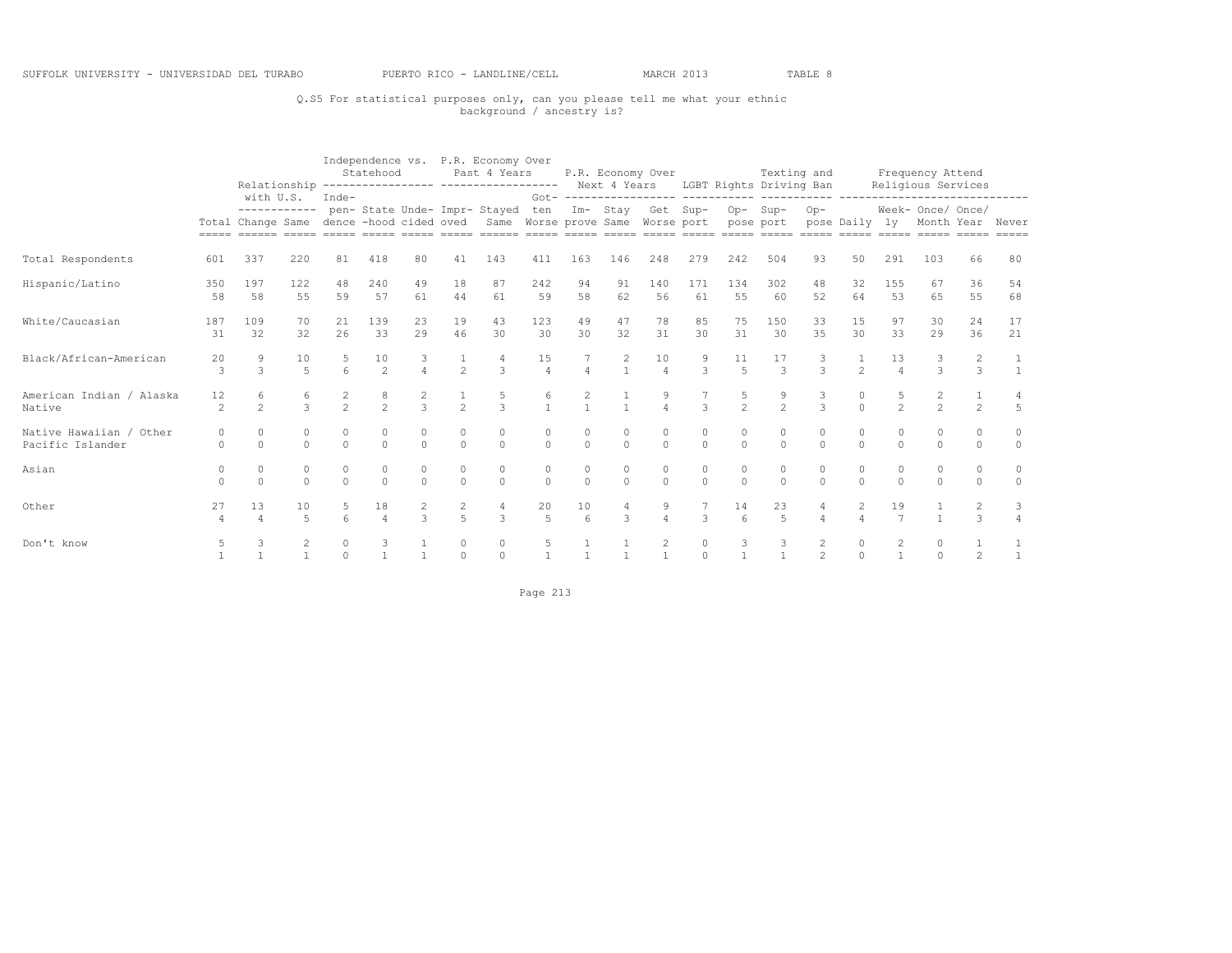## Q.S5 For statistical purposes only, can you please tell me what your ethnic background / ancestry is?

|                                             |                      |                           |                      |                      | Statehood           |                     |                                  | Independence vs. P.R. Economy Over<br>Past 4 Years<br>Relationship ---------------- ----------------- Next 4 Years LGBT Rights Driving Ban |                      |              |                     | P.R. Economy Over    |                     |                |                      | Texting and                             |                |                      | Frequency Attend<br>Religious Services |                      |                          |
|---------------------------------------------|----------------------|---------------------------|----------------------|----------------------|---------------------|---------------------|----------------------------------|--------------------------------------------------------------------------------------------------------------------------------------------|----------------------|--------------|---------------------|----------------------|---------------------|----------------|----------------------|-----------------------------------------|----------------|----------------------|----------------------------------------|----------------------|--------------------------|
|                                             |                      | with U.S.<br>------------ |                      | Inde-                |                     |                     |                                  | pen- State Unde- Impr- Stayed<br>Total Change Same dence -hood cided oved Same Worse prove Same Worse port pose port                       | ten                  |              |                     | Im- Stay Get Sup-    |                     | Op-Sup-        |                      | $Op-$<br>pose Daily ly Month Year Never |                |                      | Week- Once/ Once/                      |                      |                          |
| Total Respondents                           | 601                  | 337                       | 220                  | 81                   | 418                 | 80                  | 41                               | 143                                                                                                                                        | 411                  | 163          | 146                 | 248                  | 279                 | 242            | 504                  | 93                                      | 50             | 291                  | 103                                    | 66                   | 80                       |
| Hispanic/Latino                             | 350<br>58            | 197<br>58                 | 122<br>55            | 48<br>59             | 240<br>57           | 49<br>61            | 18<br>44                         | 87<br>61                                                                                                                                   | 242<br>59            | 94<br>58     | 91<br>62            | 140<br>56            | 171<br>61           | 134<br>55      | 302<br>60            | 48<br>52                                | 32<br>64       | 155<br>53            | 67<br>65                               | 36<br>55             | 54<br>68                 |
| White/Caucasian                             | 187<br>31            | 109<br>32                 | 70<br>32             | 21<br>2.6            | 139<br>33           | 23<br>29            | 19<br>46                         | 43<br>30                                                                                                                                   | 123<br>30            | 49<br>30     | 47<br>32            | 78<br>31             | 85<br>30            | 75<br>31       | 150<br>30            | 33<br>35                                | 15<br>30       | 97<br>33             | 30<br>2.9                              | 24<br>36             | 17<br>21                 |
| Black/African-American                      | 20<br>3              | 9<br>3                    | 10<br>5              | 6                    | 10<br>2             |                     | $\frac{1}{2}$                    | $\mathcal{L}$                                                                                                                              | 15<br>$\overline{4}$ | 4            | $\mathbf{1}$        | 10<br>$\overline{4}$ | 9<br>$\overline{3}$ | 11<br>5        | 17<br>$\mathbf{3}$   | $\mathcal{L}$                           | $\mathfrak{D}$ | 13<br>$\overline{4}$ | 3                                      | 3                    |                          |
| American Indian / Alaska<br>Native          | 12<br>$\mathfrak{D}$ | 6<br>$\mathfrak{D}$       | $\mathcal{L}$        | $\mathfrak{D}$       | $\mathfrak{D}$      | $\mathcal{L}$       | $\frac{1}{2}$                    | $\mathcal{L}$                                                                                                                              | 6<br>$\mathbf{1}$    |              | $\mathbf{1}$        |                      | $\mathcal{L}$       | $\overline{2}$ | $\frac{9}{2}$        | $\mathcal{L}$                           | $\Omega$       | $\mathfrak{D}$       | $\mathfrak{D}$                         | $\mathfrak{D}$       | $\overline{5}$           |
| Native Hawaiian / Other<br>Pacific Islander |                      | $\Omega$<br>$\Omega$      | 0<br>$\Omega$        | $\Omega$<br>$\Omega$ | 0<br>$\Omega$       | $\circ$<br>$\Omega$ | $\circ$<br>$\Omega$              | 0<br>$\Omega$                                                                                                                              | 0<br>$\Omega$        | $\Omega$     | $\circ$<br>$\Omega$ | $\circ$<br>$\Omega$  | 0<br>$\Omega$       | 0<br>$\Omega$  | $\circ$<br>$\Omega$  | $\circ$<br>$\Omega$                     | 0<br>$\Omega$  | 0<br>$\Omega$        | $\Omega$<br>$\Omega$                   | $\Omega$<br>$\Omega$ | $\mathbf{0}$<br>$\Omega$ |
| Asian                                       | 0<br>$\cap$          | $\circ$<br>$\Omega$       | 0<br>$\Omega$        | $\Omega$<br>$\Omega$ | $\circ$<br>$\Omega$ | 0<br>$\Omega$       | $\circ$<br>$\Omega$              | 0<br>$\Omega$                                                                                                                              | 0<br>$\Omega$        | $\Omega$     | $\circ$<br>$\Omega$ | $\circ$<br>$\Omega$  | 0<br>$\Omega$       | 0<br>$\Omega$  | $\circ$<br>$\Omega$  | $\circ$<br>$\cap$                       | 0<br>$\Omega$  | $\Omega$             | $\Omega$<br>$\Omega$                   | $\Omega$<br>$\Omega$ | $\circ$<br>$\Omega$      |
| Other                                       | 27                   | 13                        | 10<br>$\overline{5}$ | $\kappa$             | 18<br>$\Delta$      | $\mathcal{L}$       | $\overline{c}$<br>$\overline{a}$ | $\mathcal{L}$                                                                                                                              | 20<br>5              | 10<br>6      | 3                   |                      | 3                   | 14             | 23<br>$\overline{5}$ |                                         | 2<br>$\Delta$  | 19<br>$\overline{7}$ |                                        | $\mathcal{L}$        | 3                        |
| Don't know                                  |                      |                           |                      | $\Omega$<br>$\Omega$ |                     |                     | $\Omega$                         | $\circ$<br>$\circ$                                                                                                                         |                      | $\mathbf{1}$ | $\mathbf{1}$        | 2                    | $\circ$<br>$\circ$  | 3              | 3                    | 2<br>$\overline{c}$                     | 0<br>$\Omega$  |                      | $\Omega$                               | $\overline{c}$       |                          |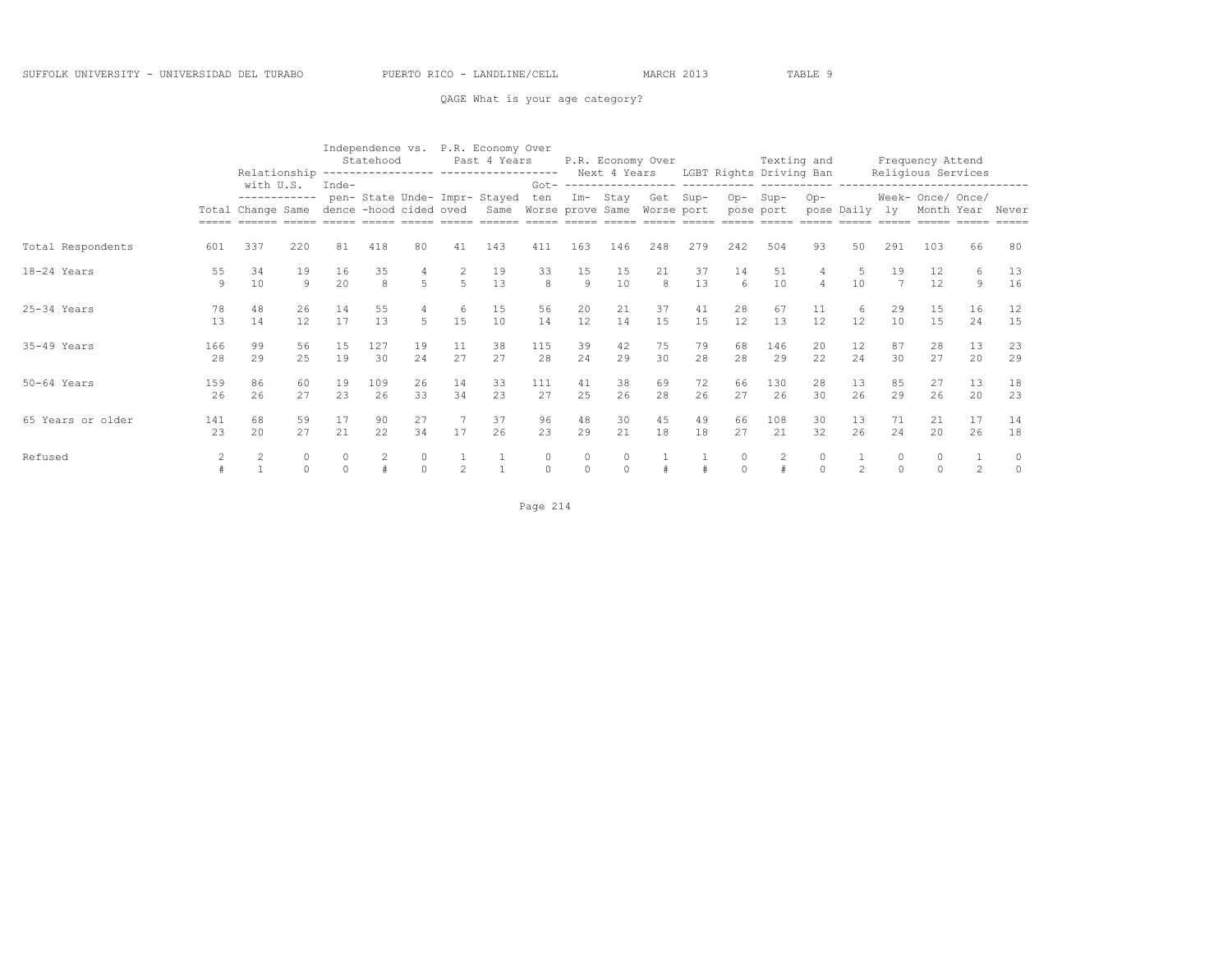QAGE What is your age category?

|                   |           | Relationship                                   |                   |                                 | Statehood |             |           | Independence vs. P.R. Economy Over<br>Past 4 Years |                |               |          | P.R. Economy Over                                       |          |                          | Texting and<br>Next 4 Years LGBT Rights Driving Ban |                    |            |                     | Frequency Attend<br>Religious Services |                |                     |
|-------------------|-----------|------------------------------------------------|-------------------|---------------------------------|-----------|-------------|-----------|----------------------------------------------------|----------------|---------------|----------|---------------------------------------------------------|----------|--------------------------|-----------------------------------------------------|--------------------|------------|---------------------|----------------------------------------|----------------|---------------------|
|                   |           | with U.S.<br>------------<br>Total Change Same |                   | Inde-<br>dence -hood cided oved |           |             |           | pen- State Unde- Impr- Stayed<br>Same              | $Got -$<br>ten | $Im-$         | Stay     | -----------------<br>Get<br>Worse prove Same Worse port | $Sup-$   | $Op-$                    | $Sup-$<br>pose port                                 | $Op-$              | pose Daily | lv.                 | Week- Once/ Once/<br>Month Year Never  |                |                     |
| Total Respondents | 601       | 337                                            | 220               | 81                              | 418       | 80          | 41        | 143                                                | 411            | 163           | 146      | 248                                                     | 279      | 242                      | 504                                                 | 93                 | 50         | 291                 | 103                                    | 66             | 80                  |
| 18-24 Years       | 55<br>9   | 34<br>10                                       | 19<br>9           | 16<br>20                        | 35<br>8   | 5           | 5         | 19<br>13                                           | 33<br>8        | 15<br>9       | 15<br>10 | 21<br>8                                                 | 37<br>13 | 14                       | 51<br>10                                            |                    | 10         | 19                  | 12<br>12                               | 9              | 13<br>16            |
| 25-34 Years       | 78<br>13  | 48<br>14                                       | 26<br>12          | 14<br>17                        | 55<br>13  | 5           | -6<br>15  | 15<br>10                                           | 56<br>14       | 20<br>12      | 21<br>14 | 37<br>15                                                | 41<br>15 | 28<br>12                 | 67<br>13                                            | 11<br>12           | 6<br>12    | 29<br>10            | 15<br>15                               | 16<br>24       | 12<br>15            |
| 35-49 Years       | 166<br>28 | 99<br>29                                       | 56<br>25          | 15<br>19                        | 127<br>30 | 19<br>24    | 11<br>27  | 38<br>27                                           | 115<br>28      | 39<br>24      | 42<br>29 | 75<br>30                                                | 79<br>28 | 68<br>28                 | 146<br>29                                           | 20<br>22           | 12<br>24   | 87<br>30            | 28<br>27                               | 13<br>20       | 23<br>29            |
| $50-64$ Years     | 159<br>26 | 86<br>26                                       | 60<br>27          | 19<br>23                        | 109<br>26 | 26<br>33    | 14<br>34  | 33<br>23                                           | 111<br>27      | 41<br>25      | 38<br>26 | 69<br>28                                                | 72<br>26 | 66<br>27                 | 130<br>26                                           | 28<br>30           | 13<br>26   | 85<br>29            | 27<br>26                               | 13<br>20       | 18<br>23            |
| 65 Years or older | 141<br>23 | 68<br>2.0                                      | 59<br>27          | 17<br>2.1                       | 90<br>22  | 27<br>34    | 17        | 37<br>26                                           | 96<br>23       | 48<br>29      | 30<br>21 | 45<br>18                                                | 49<br>18 | 66<br>27                 | 108<br>21                                           | 30<br>32           | 13<br>26   | 71<br>2.4           | 21<br>2.0                              | 17<br>26       | 14<br>18            |
| Refused           | 2         |                                                | $\circ$<br>$\cap$ | 0<br>$\cap$                     |           | 0<br>$\cap$ | $\hat{ }$ |                                                    | 0<br>$\cap$    | 0<br>$\Omega$ |          |                                                         |          | $\mathbf{0}$<br>$\Omega$ | 2                                                   | $\Omega$<br>$\cap$ | $\hat{ }$  | $\circ$<br>$\Omega$ | 0<br>$\Omega$                          | $\mathfrak{D}$ | $\circ$<br>$\Omega$ |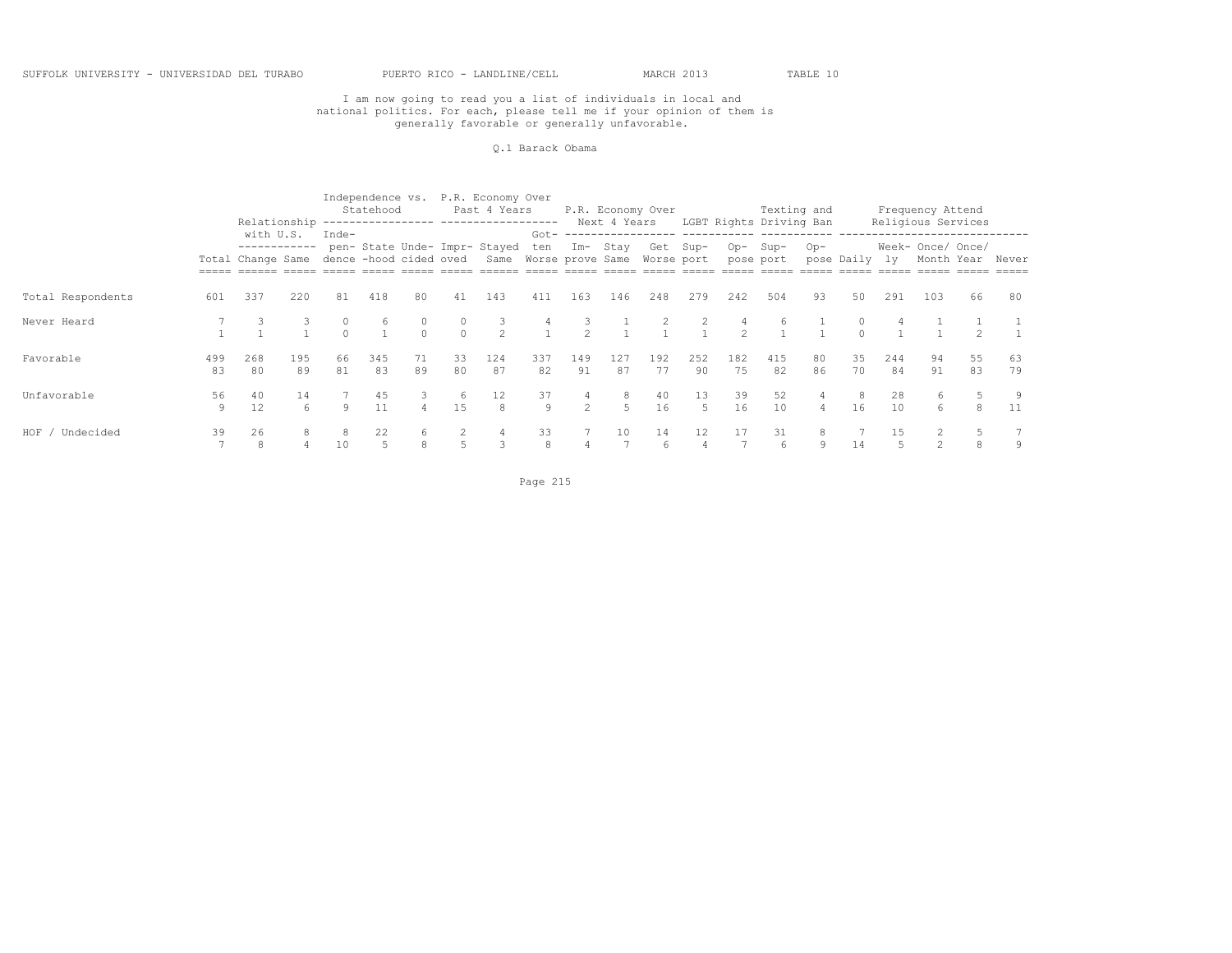## I am now going to read you a list of individuals in local and national politics. For each, please tell me if your opinion of them is generally favorable or generally unfavorable.

#### Q.1 Barack Obama

|                    |           |                                                                       |             |          | Statehood |               |                   | Independence vs. P.R. Economy Over<br>Past 4 Years<br>Relationship ---------------- ------------------ |           |               | Next 4 Years | P.R. Economy Over      |                                     |                     | Texting and<br>LGBT Rights Driving Ban |                |               |           | Frequency Attend<br>Religious Services |          |                  |
|--------------------|-----------|-----------------------------------------------------------------------|-------------|----------|-----------|---------------|-------------------|--------------------------------------------------------------------------------------------------------|-----------|---------------|--------------|------------------------|-------------------------------------|---------------------|----------------------------------------|----------------|---------------|-----------|----------------------------------------|----------|------------------|
|                    |           | with U.S.<br>------------<br>Total Change Same dence -hood cided oved |             | Inde-    |           |               |                   | pen- State Unde- Impr- Stayed ten Im- Stay<br>Same Worse prove Same                                    |           |               |              | Get Sup-<br>Worse port | Got- ------------------ ----------- |                     | Op-Sup-<br>pose port                   | Op-            | pose Daily ly |           | Week- Once/ Once/                      |          | Month Year Never |
| Total Respondents  | 601       | 337                                                                   | 220         | 81       | 418       | 80            | 41                | 143                                                                                                    | 411       | 163           | 146          | 248                    | 279                                 | 242                 | 504                                    | 93             | 50            | 291       | 103                                    | 66       | 80               |
| Never Heard        |           |                                                                       |             |          | 6         | $\Omega$      | $\circ$<br>$\cap$ | $\mathcal{L}$                                                                                          |           | $\mathcal{L}$ |              |                        | 2                                   | 4<br>$\mathfrak{D}$ | 6                                      |                |               |           |                                        |          |                  |
| Favorable          | 499<br>83 | 268<br>80                                                             | 195<br>89   | 66<br>81 | 345<br>83 | 71<br>89      | 33<br>80          | 124<br>87                                                                                              | 337<br>82 | 149<br>91     | 127<br>87    | 192<br>77              | 252<br>90                           | 182<br>75           | 415<br>82                              | 80<br>86       | 35<br>70      | 244<br>84 | 94<br>91                               | 55<br>83 | 63<br>79         |
| Unfavorable        | 56<br>9   | 40<br>12.                                                             | 14<br>$6 -$ | Q        | 45<br>11  | 3<br>$\Delta$ | -6<br>1.5         | 12<br>8                                                                                                | 37<br>9   | 4<br>$2^{1}$  | 8<br>$5 -$   | 40<br>16               | 13<br>$5^{\circ}$                   | 39<br>16            | 52<br>10                               | $\overline{a}$ | 8<br>16       | 28<br>10  | 6<br>6                                 | 8        | 11               |
| HOF /<br>Undecided | 39        | 26<br>8                                                               | 8           | 10       | 22<br>5   | 6<br>8        |                   | 4<br>3                                                                                                 | 33<br>8   | 4             | 10           | 14<br>6                | 12<br>4                             | 17                  | 31<br>6                                | 8<br>9         | 14            | 1.5       | $\mathfrak{D}$                         |          | 9                |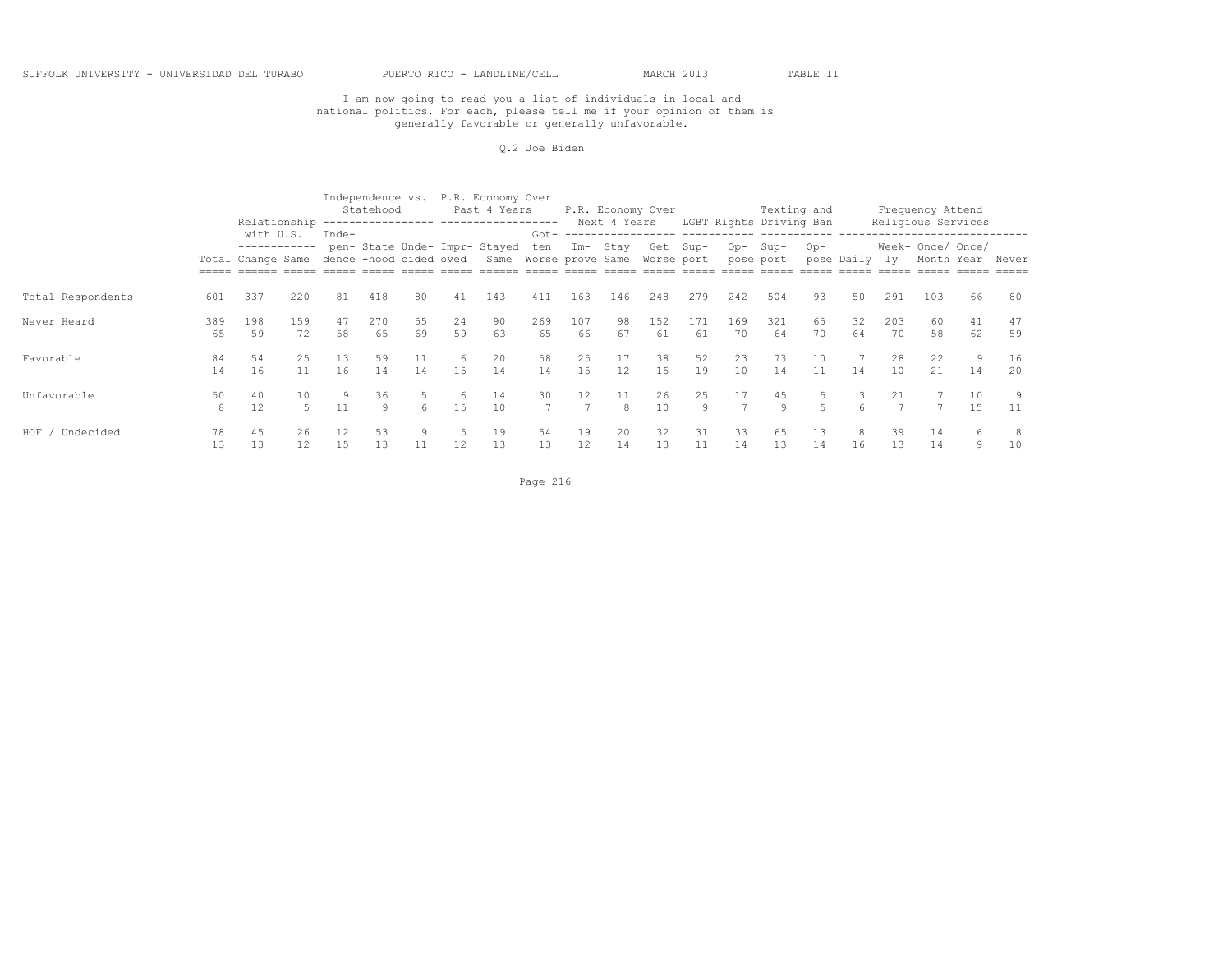## I am now going to read you a list of individuals in local and national politics. For each, please tell me if your opinion of them is generally favorable or generally unfavorable.

#### Q.2 Joe Biden

|                   |           |                                                                       |             |          | Statehood |          |          | Independence vs. P.R. Economy Over<br>Past 4 Years     |                      |              | Next 4 Years | P.R. Economy Over |           |                      | LGBT Rights Driving Ban | Texting and    |               |           | Frequency Attend<br>Religious Services |                  |          |
|-------------------|-----------|-----------------------------------------------------------------------|-------------|----------|-----------|----------|----------|--------------------------------------------------------|----------------------|--------------|--------------|-------------------|-----------|----------------------|-------------------------|----------------|---------------|-----------|----------------------------------------|------------------|----------|
|                   |           | with U.S.<br>------------<br>Total Change Same dence -hood cided oved |             | Inde-    |           |          |          | pen- State Unde- Impr- Stayed<br>Same Worse prove Same |                      | ten Im- Stay |              | Worse port        | Get Sup-  |                      | Op-Sup-<br>pose port    | $Op-$          | pose Daily ly |           | Week- Once/ Once/                      | Month Year Never |          |
| Total Respondents | 601       | 337                                                                   | 220         | 81       | 418       | 80       | 41       | 143                                                    | 411                  | 163          | 146          | 248               | 279       | 242                  | 504                     | 93             | 50            | 291       | 103                                    | 66               | 80       |
| Never Heard       | 389<br>65 | 198<br>59                                                             | 159<br>72   | 47<br>58 | 270<br>65 | 55<br>69 | 24<br>59 | 90<br>63                                               | 269<br>65            | 107<br>66    | 98<br>67     | 152<br>61         | 171<br>61 | 169<br>70            | 321<br>64               | 65<br>70       | 32<br>64      | 203<br>70 | 60<br>58                               | 41<br>62         | 47<br>59 |
| Favorable         | 84<br>14  | 54<br>16                                                              | 25<br>11    | 13<br>16 | 59<br>14  | 11<br>14 | 6<br>1.5 | 20<br>14                                               | 58<br>14             | 25<br>15     | 17<br>12     | 38<br>15          | 52<br>19  | 23<br>10             | 73<br>14                | 10<br>11       | 14            | 28<br>10  | 22<br>21                               | 9<br>14          | 16<br>20 |
| Unfavorable       | 50<br>8   | 40<br>12                                                              | 10<br>$5 -$ | 11       | 36<br>Q   | 6        | 6<br>1.5 | 14<br>10                                               | 30<br>$\overline{7}$ | 12           | 11<br>8      | 26<br>10          | 25<br>9   | 17<br>$\overline{7}$ | 45<br>Q                 | $\overline{5}$ |               | 21        |                                        | 10<br>1.5        | 11       |
| HOF,<br>Undecided | 78<br>13  | 45<br>13                                                              | 26<br>12    | 12<br>15 | 53<br>13  | 9<br>11  | 12       | 19<br>13                                               | 54<br>13             | 19<br>12     | 20<br>14     | 32<br>13          | 31<br>11  | 33<br>14             | 65<br>13                | 13<br>14       | 8<br>16       | 39<br>13  | 14<br>14                               | 6<br>9           | 10       |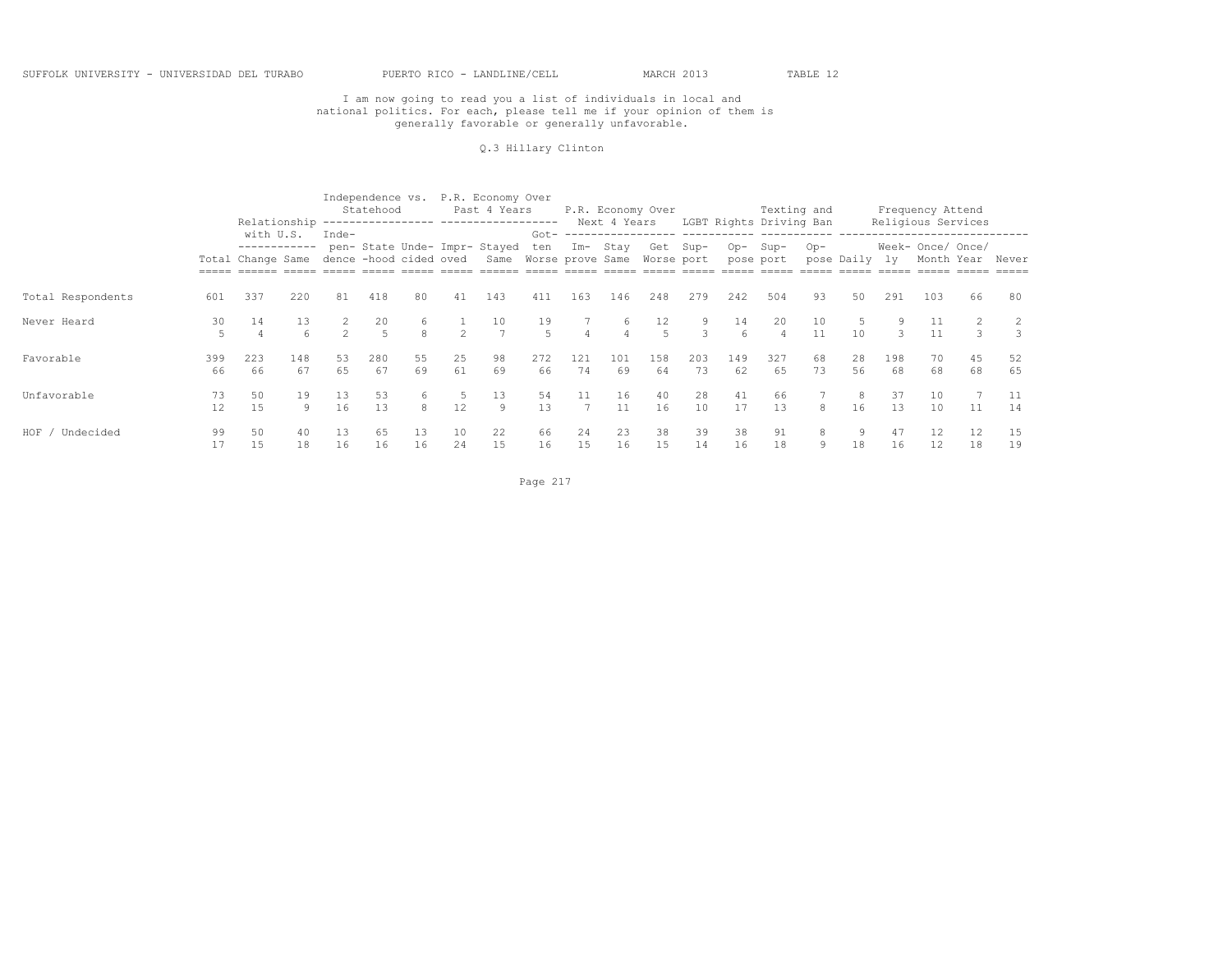#### Q.3 Hillary Clinton

|                    |                      |                                                       |              |               | Statehood            |          |               | Independence vs. P.R. Economy Over<br>Past 4 Years<br>Relationship ---------------- ------------------ |                   |                |                     | P.R. Economy Over      |                                    |                        | Texting and<br>Next 4 Years LGBT Rights Driving Ban |          |               |           | Frequency Attend<br>Religious Services |               |                  |
|--------------------|----------------------|-------------------------------------------------------|--------------|---------------|----------------------|----------|---------------|--------------------------------------------------------------------------------------------------------|-------------------|----------------|---------------------|------------------------|------------------------------------|------------------------|-----------------------------------------------------|----------|---------------|-----------|----------------------------------------|---------------|------------------|
|                    |                      | with U.S.<br>Total Change Same dence -hood cided oved | ------------ | Inde-         |                      |          |               | pen- State Unde- Impr- Stayed ten Im- Stay<br>Same Worse prove Same                                    |                   |                |                     | Get Sup-<br>Worse port | Got- ------------------ ---------- | Op-                    | Sup-<br>pose port                                   | Op-      | pose Daily ly |           | Week- Once/ Once/                      |               | Month Year Never |
| Total Respondents  | 601                  | 337                                                   | 220          | 81            | 418                  | 80       | 41            | 143                                                                                                    | 411               | 163            | 146                 | 248                    | 279                                | 242                    | 504                                                 | 93       | 50            | 291       | 103                                    | 66            | 80               |
| Never Heard        | 30<br>$\overline{5}$ | 14<br>4                                               | 13<br>6      | $\mathcal{P}$ | 20<br>$\overline{5}$ | 6<br>8   | $\mathcal{L}$ | 10<br>$\overline{7}$                                                                                   | 19<br>$5^{\circ}$ | $\overline{4}$ | 6<br>$\overline{4}$ | 12<br>$\overline{5}$   | 9<br>3                             | 14<br>$6 \overline{6}$ | 20                                                  | 10<br>11 | 5<br>10       | ₹         | 11                                     | $\mathcal{L}$ |                  |
| Favorable          | 399<br>66            | 223<br>66                                             | 148<br>67    | 53<br>65      | 280<br>67            | 55<br>69 | 25<br>61      | 98<br>69                                                                                               | 272<br>66         | 121<br>74      | 101<br>69           | 158<br>64              | 203<br>73                          | 149<br>62              | 327<br>65                                           | 68<br>73 | 28<br>56      | 198<br>68 | 70<br>68                               | 45<br>68      | 52<br>65         |
| Unfavorable        | 73<br>12             | 50<br>1.5                                             | 19<br>9      | 13<br>16      | 53<br>13             | 6<br>8   | -5<br>12      | 13<br>$\circ$                                                                                          | 54<br>13          | 11             | 16<br>11            | 40<br>16               | 28<br>10                           | 41<br>17               | 66<br>13                                            | 8        | 8<br>16       | 37<br>13  | 10<br>10                               | 11            | 11<br>14         |
| HOF ,<br>Undecided | 99<br>17             | 50                                                    | 40<br>18     | 13<br>16      | 65<br>16             | 13<br>16 | 10<br>24      | 22<br>15                                                                                               | 66<br>16          | 24<br>15       | 23<br>16            | 38<br>15               | 39<br>14                           | 38<br>16               | 91<br>18                                            | 8<br>9   | 9<br>18       | 47<br>16  | 12<br>12                               | 12<br>18      | 15<br>19         |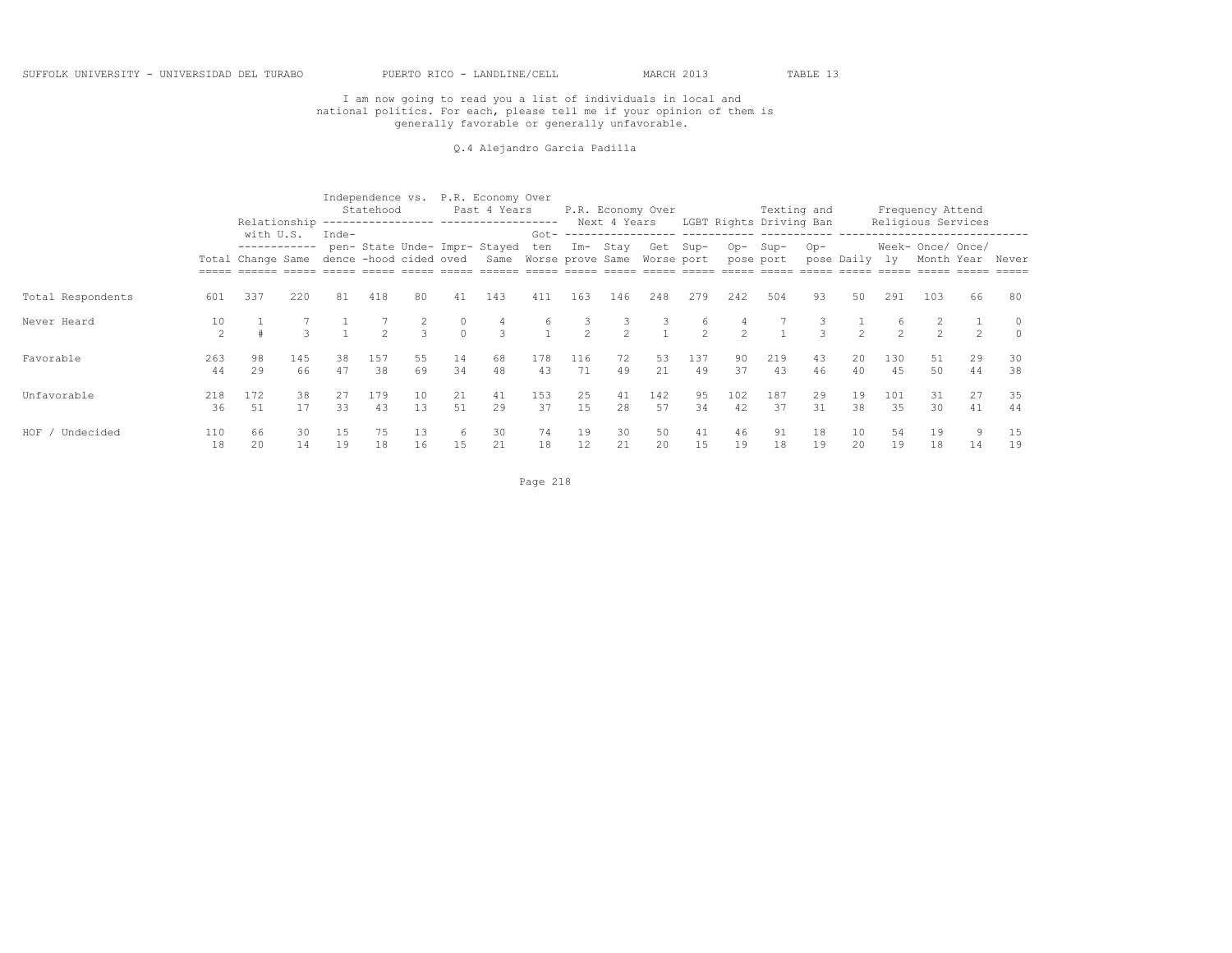Q.4 Alejandro Garcia Padilla

|                    |                      |                                                                       |           |          | Statehood     |               |               | Independence vs. P.R. Economy Over<br>Past 4 Years<br>Relationship ---------------- ------------------ |                   |                     | Next 4 Years        | P.R. Economy Over                     |              |               | Texting and<br>LGBT Rights Driving Ban |          |               |            | Frequency Attend<br>Religious Services                            |          |          |
|--------------------|----------------------|-----------------------------------------------------------------------|-----------|----------|---------------|---------------|---------------|--------------------------------------------------------------------------------------------------------|-------------------|---------------------|---------------------|---------------------------------------|--------------|---------------|----------------------------------------|----------|---------------|------------|-------------------------------------------------------------------|----------|----------|
|                    |                      | with U.S.<br>------------<br>Total Change Same dence -hood cided oved |           | Inde-    |               |               |               | pen- State Unde- Impr- Stayed<br>Same Worse prove Same                                                 | ten               | Im- Stay            |                     | Got- ------------------<br>Worse port | Get Sup-     |               | Op-Sup-<br>pose port                   | $Op-$    | pose Daily    | 1v         | ------------------------------<br>Week- Once/ Once/<br>Month Year |          | Never    |
| Total Respondents  | 601                  | 337                                                                   | 220       | 81       | 418           | 80            | 41            | 143                                                                                                    | 411               | 163                 | 146                 | 248                                   | 279          | 242           | 504                                    | 93       | 50            | 291        | 103                                                               | 66       | 80       |
| Never Heard        | 10<br>$\mathfrak{D}$ |                                                                       |           |          | $\mathcal{P}$ | $\mathcal{L}$ | 0<br>$\Omega$ | 4<br>3                                                                                                 | 6<br>$\mathbf{1}$ | 3<br>$\overline{2}$ | 3<br>$\mathfrak{D}$ |                                       | 6<br>$2^{1}$ | $\mathcal{P}$ |                                        |          | $\mathcal{D}$ |            | $\mathcal{P}$                                                     |          |          |
| Favorable          | 263<br>44            | 98<br>29                                                              | 145<br>66 | 38<br>47 | 157<br>38     | 55<br>69      | 14<br>34      | 68<br>48                                                                                               | 178<br>43         | 116<br>71           | 72<br>49            | 53<br>21                              | 137<br>49    | 90<br>37      | 219<br>43                              | 43<br>46 | 20<br>40      | 130<br>4.5 | 51<br>50                                                          | 29<br>44 | 30<br>38 |
| Unfavorable        | 218<br>36            | 172<br>51                                                             | 38<br>17  | 27<br>33 | 179<br>43     | 10<br>13      | 21<br>51      | 41<br>29                                                                                               | 153<br>37         | 25<br>15            | 41<br>28            | 142<br>57                             | 95<br>34     | 102<br>42     | 187<br>37                              | 29<br>31 | 19<br>38      | 101<br>35  | 31<br>30                                                          | 27<br>41 | 35<br>44 |
| HOF /<br>Undecided | 110<br>18            | 66<br>20                                                              | 30<br>14  | 15<br>19 | 75<br>18      | 13<br>16      | 6<br>15       | 30<br>21                                                                                               | 74<br>18          | 19<br>12            | 30<br>21            | 50<br>20                              | 41<br>15     | 46<br>19      | 91<br>18                               | 18<br>19 | 10<br>20      | -54<br>19  | 19<br>18                                                          | 9.<br>14 | 15<br>19 |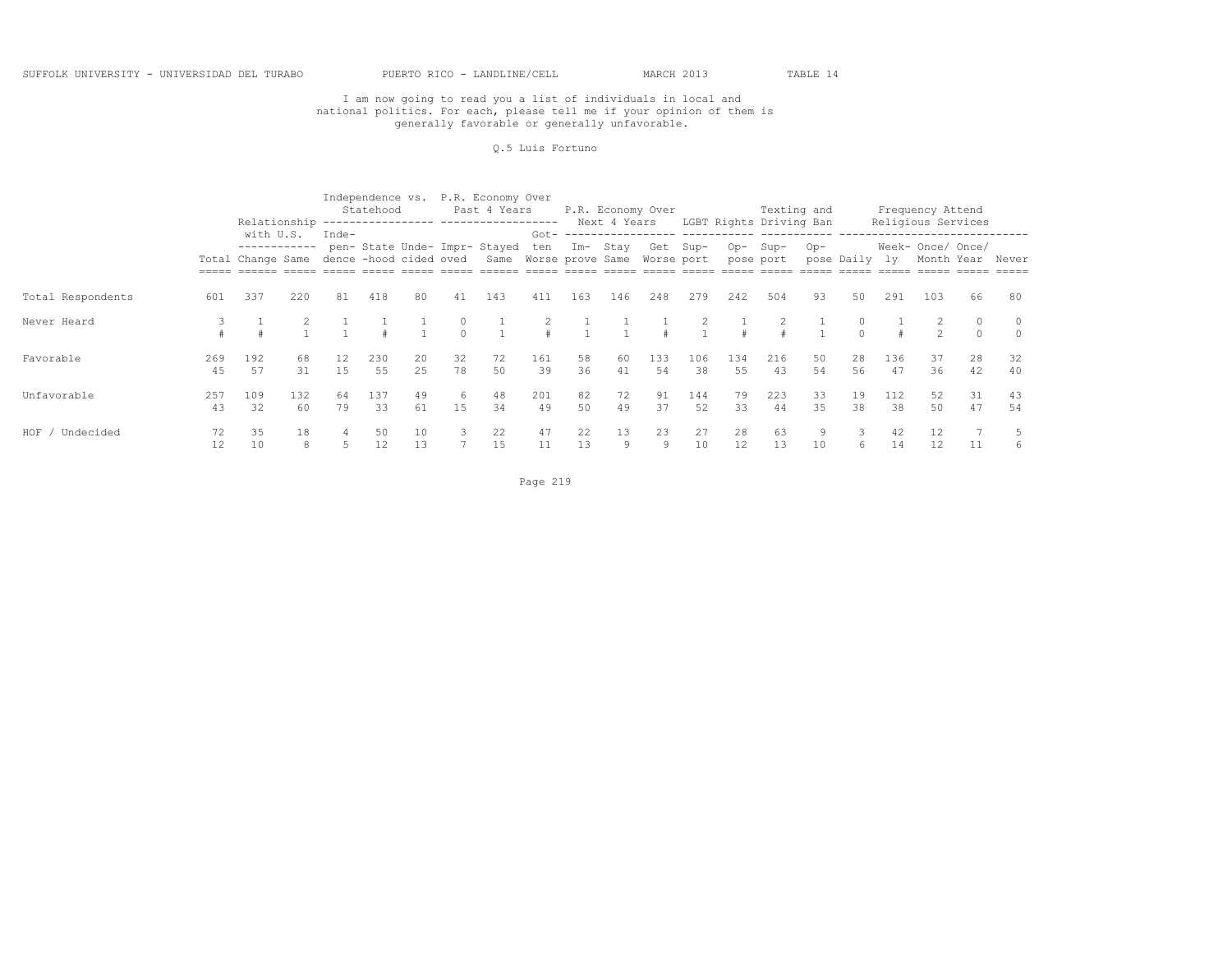#### Q.5 Luis Fortuno

|                   |           |                                                       |              |          | Statehood |           |                   | Independence vs. P.R. Economy Over<br>Past 4 Years                  |           |          |           | P.R. Economy Over |                                                 |           | Texting and<br>Next 4 Years LGBT Rights Driving Ban |          |               |           | Frequency Attend  | Religious Services |                     |
|-------------------|-----------|-------------------------------------------------------|--------------|----------|-----------|-----------|-------------------|---------------------------------------------------------------------|-----------|----------|-----------|-------------------|-------------------------------------------------|-----------|-----------------------------------------------------|----------|---------------|-----------|-------------------|--------------------|---------------------|
|                   |           | with U.S.<br>Total Change Same dence -hood cided oved | ------------ | Inde-    |           |           |                   | pen- State Unde- Impr- Stayed ten Im- Stay<br>Same Worse prove Same |           |          |           | Worse port        | Got- ------------------ -----------<br>Get Sup- |           | Op-Sup-<br>pose port                                | Op-      | pose Daily ly |           | Week- Once/ Once/ |                    | Month Year Never    |
| Total Respondents | 601       | 337                                                   | 220          | 81       | 418       | 80        | 41                | 143                                                                 | 411       | 163      | 146       | 248               | 279                                             | 242       | 504                                                 | 93       | 50            | 291       | 103               | 66                 | 80                  |
| Never Heard       |           |                                                       |              |          |           |           | $\circ$<br>$\cap$ |                                                                     |           |          |           |                   |                                                 |           |                                                     |          | $\cap$        |           | $\mathcal{P}$     | $\Omega$           | $\circ$<br>$\Omega$ |
| Favorable         | 269<br>45 | 192<br>57                                             | 68<br>31     | 12<br>15 | 230<br>55 | 20<br>2.5 | 32<br>78          | 72<br>50                                                            | 161<br>39 | 58<br>36 | -60<br>41 | 133<br>54         | 106<br>38                                       | 134<br>55 | 216<br>43                                           | 50<br>54 | 28<br>56      | 136<br>47 | 37<br>36          | 28<br>42           | 32<br>40            |
| Unfavorable       | 257<br>43 | 109<br>32                                             | 132<br>60    | 64<br>79 | 137<br>33 | 49<br>61  | 6<br>1.5          | 48<br>34                                                            | 201<br>49 | 82<br>50 | 72<br>49  | 91<br>37          | 144<br>52                                       | 79<br>33  | 223<br>44                                           | 33<br>35 | 19<br>38      | 112<br>38 | 52<br>50          | 31<br>47           | 43<br>54            |
| HOF,<br>Undecided | 72<br>12  | 35<br>10                                              | 18<br>8      |          | 50<br>12  | 10<br>13  |                   | 22<br>15                                                            | 47<br>11  | 22<br>13 | 13<br>9   | 23<br>9           | 27<br>10                                        | 28<br>12  | 63<br>13                                            | 10       | 3<br>6        | 42<br>14  | 12<br>12          | 11                 |                     |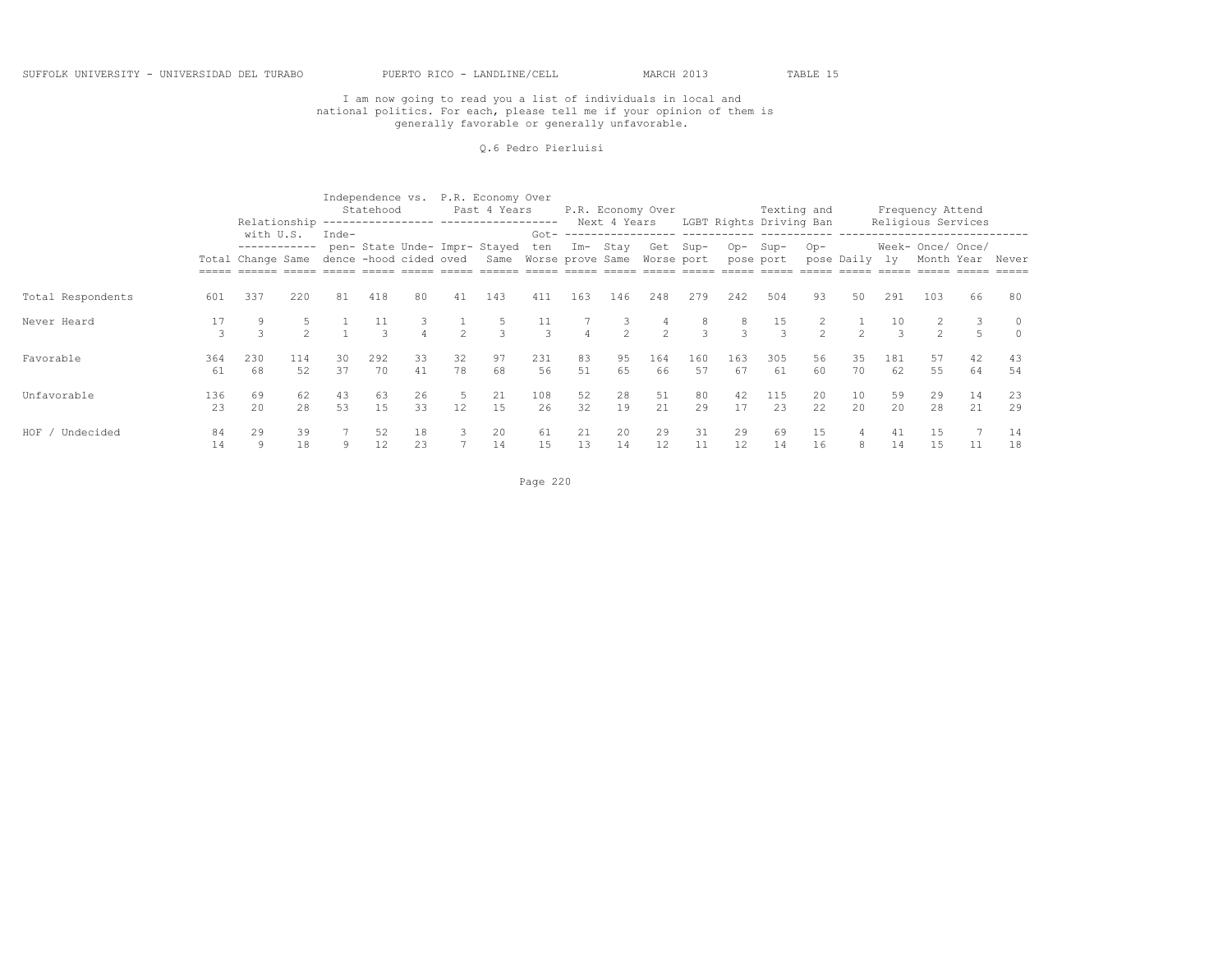#### Q.6 Pedro Pierluisi

|                      |           |                                                                       |           |          | Statehood |          |               | Independence vs. P.R. Economy Over<br>Past 4 Years<br>Relationship ---------------- ------------------ |                      |                |                     | P.R. Economy Over   |                     |                         | Texting and<br>Next 4 Years LGBT Rights Driving Ban |               |               |           | Frequency Attend<br>Religious Services |          |                  |
|----------------------|-----------|-----------------------------------------------------------------------|-----------|----------|-----------|----------|---------------|--------------------------------------------------------------------------------------------------------|----------------------|----------------|---------------------|---------------------|---------------------|-------------------------|-----------------------------------------------------|---------------|---------------|-----------|----------------------------------------|----------|------------------|
|                      |           | with U.S.<br>------------<br>Total Change Same dence -hood cided oved |           | Inde-    |           |          |               | pen- State Unde- Impr- Stayed ten Im- Stay<br>Same Worse prove Same Worse port                         |                      |                |                     |                     | Get Sup-            | Op-Sup-                 | pose port                                           | Op-           | pose Daily ly |           | Week- Once/ Once/                      |          | Month Year Never |
| Total Respondents    | 601       | 337                                                                   | 220       | 81       | 418       | 80       | 41            | 143                                                                                                    | 411                  | 163            | 146                 | 248                 | 279                 | 242                     | 504                                                 | 93            | 50            | 291       | 103                                    | 66       | 80               |
| Never Heard          | 17<br>3   | $\mathcal{L}$                                                         |           |          | 11        |          | $\mathcal{P}$ | 5<br>$\mathcal{L}$                                                                                     | 11<br>$\overline{3}$ | $\overline{4}$ | 3<br>$\overline{2}$ | 4<br>$\mathfrak{D}$ | 8<br>$\overline{3}$ | 8<br>$\mathcal{L}$      | 15<br>3                                             | $\mathcal{P}$ | $\mathcal{P}$ |           | $\mathcal{P}$                          |          |                  |
| Favorable            | 364<br>61 | 230<br>68                                                             | 114<br>52 | 30<br>37 | 292<br>70 | 33<br>41 | 32<br>78      | 97<br>68                                                                                               | 231<br>56            | 83<br>51       | 95<br>65            | 164<br>66           | 160<br>57           | 163<br>67               | 305<br>61                                           | 56<br>60      | 35<br>70      | 181<br>62 | 57<br>55                               | 42<br>64 | 43<br>54         |
| Unfavorable          | 136<br>23 | 69<br>2.0                                                             | 62<br>28  | 43<br>53 | 63<br>1.5 | 26<br>33 | -5<br>12      | 21<br>15                                                                                               | 108<br>26            | 52<br>32       | 28<br>19            | 51<br>2.1           | 80<br>29            | 42<br>17                | 115<br>2.3                                          | 20<br>22      | 10<br>20      | 59<br>2.0 | 29<br>2.8                              | 14<br>21 | 23<br>29         |
| $HOF$ /<br>Undecided | 84<br>14  | 29<br>9                                                               | 39<br>18  | 9        | 52<br>12  | 18<br>23 | 3             | 20<br>14                                                                                               | 61<br>15             | 21<br>13       | 20<br>14            | 29<br>12            | 31<br>11            | 29<br>$12 \overline{ }$ | 69<br>14                                            | 15<br>16      | 4<br>8        | 41<br>14  | 15<br>15                               | 11       | 14<br>18         |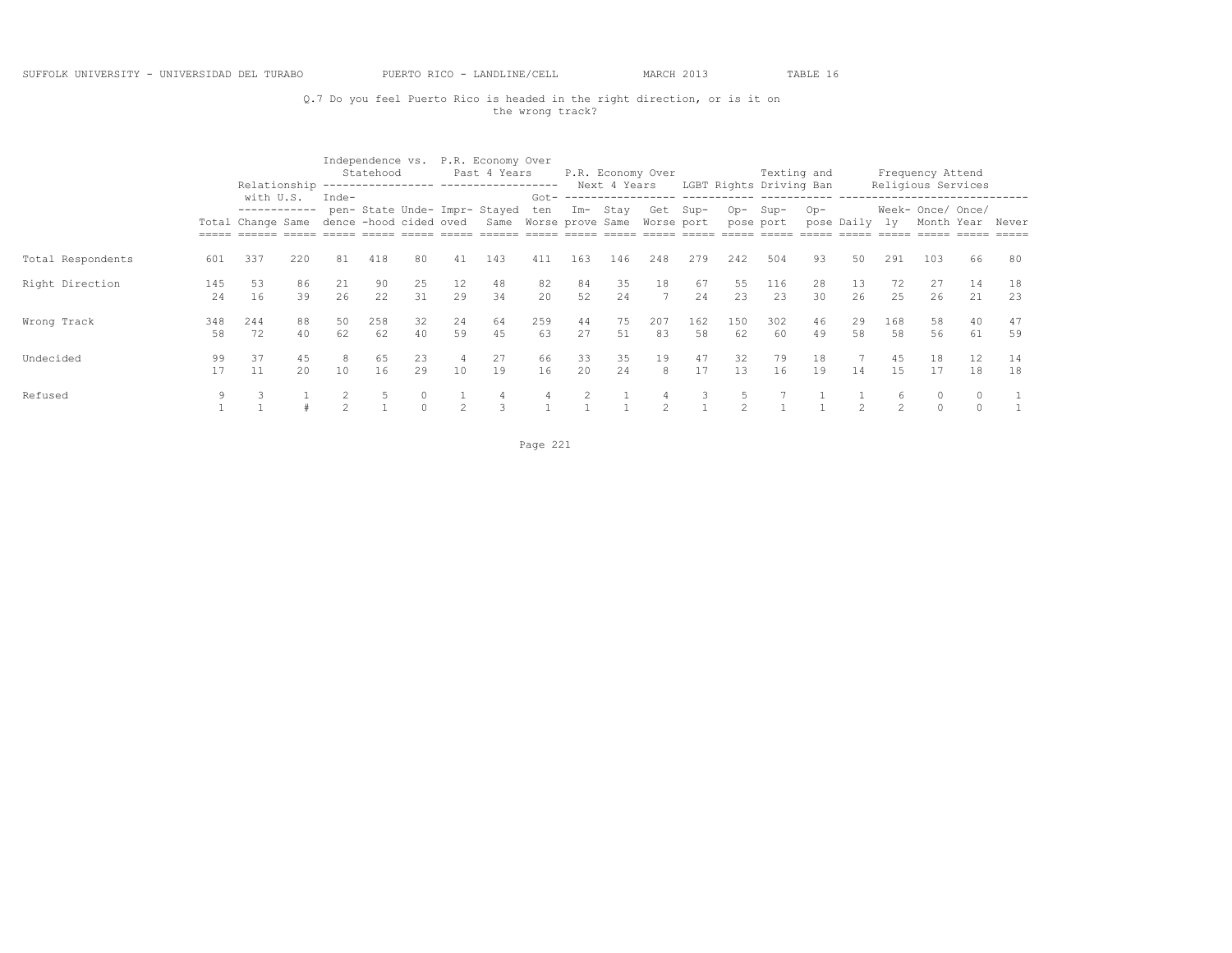## Q.7 Do you feel Puerto Rico is headed in the right direction, or is it on the wrong track?

|                   |           |                                   |          |                        | Statehood |          |                | Independence vs. P.R. Economy Over<br>Past 4 Years                |           |          |           | P.R. Economy Over |           |               | Texting and             |          |               |                | Frequency Attend                |          |          |
|-------------------|-----------|-----------------------------------|----------|------------------------|-----------|----------|----------------|-------------------------------------------------------------------|-----------|----------|-----------|-------------------|-----------|---------------|-------------------------|----------|---------------|----------------|---------------------------------|----------|----------|
|                   |           | Relationship<br>with U.S.         |          | Inde-                  |           |          |                | ------------------ -------------------                            | $Got -$   |          |           | Next 4 Years      |           |               | LGBT Rights Driving Ban |          |               |                | Religious Services              |          |          |
|                   |           | ------------<br>Total Change Same |          | dence -hood cided oved |           |          |                | pen- State Unde- Impr- Stayed<br>Same Worse prove Same Worse port | ten       |          | Im- Stay  | Get Sup-          |           | $Op-$         | Sup-<br>pose port       | $Op-$    | pose Daily ly |                | Week- Once/ Once/<br>Month Year |          | Never    |
| Total Respondents | 601       | 337                               | 220      | 81                     | 418       | 80       | 41             | 143                                                               | 411       | 163      | 146       | 248               | 279       | 242           | 504                     | 93       | 50            | 291            | 103                             | 66       | 80       |
| Right Direction   | 145<br>24 | 53<br>16                          | 86<br>39 | 21<br>26               | 90<br>22  | 25<br>31 | 12<br>29       | 48<br>34                                                          | 82<br>20  | 84<br>52 | 35<br>24  | 18                | 67<br>24  | 55<br>23      | 116<br>23               | 28<br>30 | 13<br>26      | 72<br>25       | 27<br>26                        | 14<br>21 | 18<br>23 |
| Wrong Track       | 348<br>58 | 244<br>72                         | 88<br>40 | 50<br>62               | 258<br>62 | 32<br>40 | 24<br>59       | 64<br>45                                                          | 259<br>63 | 44<br>27 | 75<br>51  | 207<br>83         | 162<br>58 | 150<br>62     | 302<br>60               | 46<br>49 | 29<br>58      | 168<br>58      | 58<br>56                        | 40<br>61 | 47<br>59 |
| Undecided         | 99<br>17  | 37<br>11                          | 45<br>20 | 8<br>10                | 65<br>16  | 23<br>29 | 10             | 27<br>19                                                          | 66<br>16  | 33<br>20 | 35<br>2.4 | 19<br>8           | 47<br>17  | 32<br>13      | 79<br>16                | 18<br>19 | 14            | 45<br>1.5      | 18<br>17                        | 12<br>18 | 14<br>18 |
| Refused           |           |                                   |          |                        |           | $\cap$   | $\mathfrak{D}$ | 3                                                                 |           |          |           |                   |           | $\mathcal{D}$ |                         |          |               | $\mathfrak{D}$ | $\Omega$                        |          |          |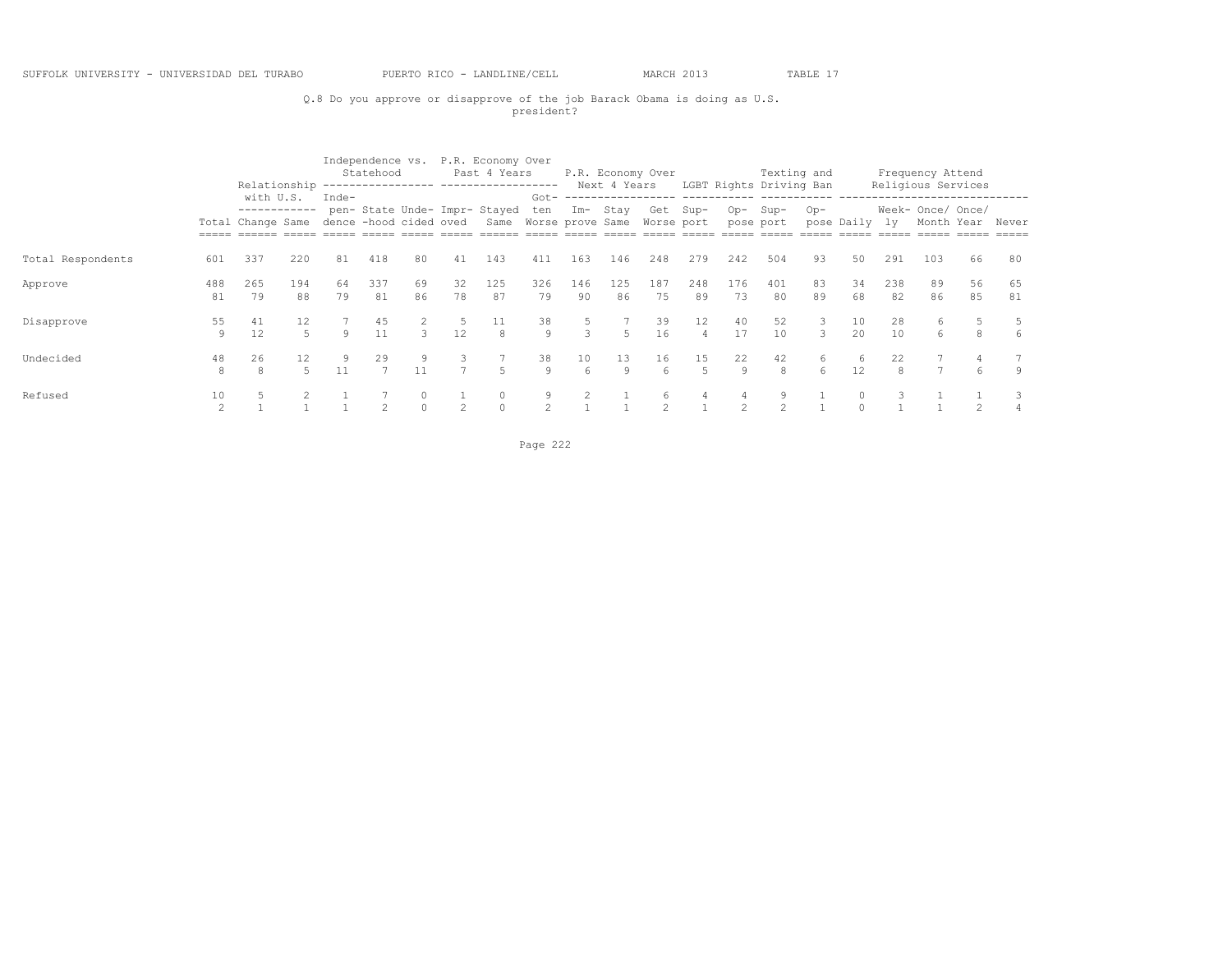#### SUFFOLK UNIVERSITY - UNIVERSIDAD DEL TURABO PUERTO RICO - LANDLINE/CELL MARCH 2013 TABLE 17

## Q.8 Do you approve or disapprove of the job Barack Obama is doing as U.S. president?

|                   |                      |                                   | Relationship<br>with U.S. |                                 | Statehood      |                        |                     | Independence vs. P.R. Economy Over<br>Past 4 Years                |                      |               | Next 4 Years | P.R. Economy Over |                      |           | Texting and<br>LGBT Rights Driving Ban |          |               |           | Frequency Attend<br>Religious Services |          |          |
|-------------------|----------------------|-----------------------------------|---------------------------|---------------------------------|----------------|------------------------|---------------------|-------------------------------------------------------------------|----------------------|---------------|--------------|-------------------|----------------------|-----------|----------------------------------------|----------|---------------|-----------|----------------------------------------|----------|----------|
|                   |                      | ------------<br>Total Change Same |                           | Inde-<br>dence -hood cided oved |                |                        |                     | pen- State Unde- Impr- Stayed<br>Same Worse prove Same Worse port | $Got -$<br>ten       |               | Im- Stay     |                   | Get Sup-             | Op-       | Sup-<br>pose port                      | $Op-$    | pose Daily ly |           | Week- Once/ Once/<br>Month Year        |          | Never    |
| Total Respondents | 601                  | 337                               | 220                       | 81                              | 418            | 80                     | 41                  | 143                                                               | 411                  | 163           | 146          | 248               | 279                  | 242       | 504                                    | 93       | 50            | 291       | 103                                    | 66       | 80       |
| Approve           | 488<br>81            | 265<br>79                         | 194<br>88                 | 64<br>79                        | 337<br>81      | 69<br>86               | 32<br>78            | 125<br>87                                                         | 326<br>79            | 146<br>90     | 125<br>86    | 187<br>75         | 248<br>89            | 176<br>73 | 401<br>80                              | 83<br>89 | 34<br>68      | 238<br>82 | 89<br>86                               | 56<br>85 | 65<br>81 |
| Disapprove        | 55<br>9              | 41<br>12                          | 12                        | Q                               | 45<br>11       | $\mathcal{L}$          | -5<br>12            | 11<br>8                                                           | 38<br>9              | $\mathcal{L}$ | $5 -$        | 39<br>16          | 12<br>$\overline{4}$ | 40<br>17  | 52<br>10 <sup>°</sup>                  | 3<br>3   | 10<br>20      | 28<br>10  | 6<br>6                                 | 8        | 6        |
| Undecided         | 48<br>8              | 26<br>8                           | 12<br>5                   | 9                               | 29             | 9.<br>11               | 3<br>$\overline{7}$ | 5                                                                 | 38<br>9              | 10<br>6       | 13<br>9      | 16<br>6           | 15<br>$\overline{5}$ | 22<br>9   | 42<br>8                                | 6<br>6   | 6<br>12       | 22        |                                        | 6        | 9        |
| Refused           | 10<br>$\mathfrak{D}$ |                                   |                           |                                 | $\mathfrak{D}$ | $\mathbf{0}$<br>$\cap$ | $\mathfrak{D}$      | $\Omega$                                                          | 9.<br>$\mathfrak{D}$ |               |              | 6                 |                      |           | 9<br>$\mathfrak{D}$                    |          | $\circ$       |           |                                        |          |          |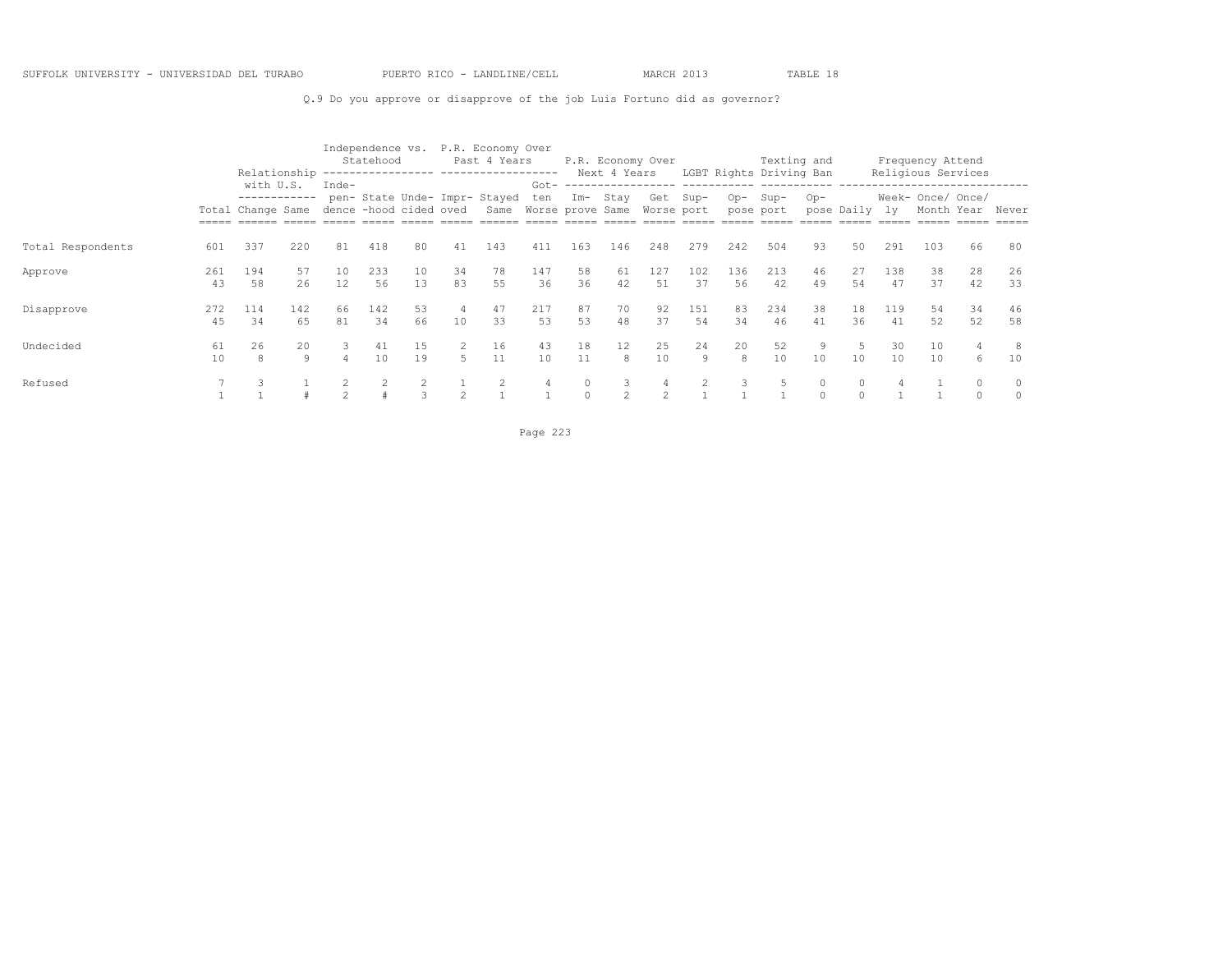Q.9 Do you approve or disapprove of the job Luis Fortuno did as governor?

|                   |           |                                                |           |                                 | Statehood |               |          | Independence vs. P.R. Economy Over<br>Past 4 Years<br>Relationship ---------------- ------------------ |           |          | Next 4 Years   | P.R. Economy Over |           |           | Texting and<br>LGBT Rights Driving Ban |                     |               |           | Frequency Attend<br>Religious Services                         |          |                     |
|-------------------|-----------|------------------------------------------------|-----------|---------------------------------|-----------|---------------|----------|--------------------------------------------------------------------------------------------------------|-----------|----------|----------------|-------------------|-----------|-----------|----------------------------------------|---------------------|---------------|-----------|----------------------------------------------------------------|----------|---------------------|
|                   |           | with U.S.<br>------------<br>Total Change Same |           | Inde-<br>dence -hood cided oved |           |               |          | pen- State Unde- Impr- Stayed<br>Same Worse prove Same Worse port                                      | ten       |          | Im- Stay       |                   | Get Sup-  | $Op-$     | $Sup-$<br>pose port                    | $Op-$               | pose Daily ly |           | ___________________________<br>Week- Once/ Once/<br>Month Year |          | Never               |
| Total Respondents | 601       | 337                                            | 220       | 81                              | 418       | 80            | 41       | 143                                                                                                    | 411       | 163      | 146            | 248               | 279       | 242       | 504                                    | 93                  | 50            | 291       | 103                                                            | 66       | 80                  |
| Approve           | 261<br>43 | 194<br>58                                      | 57<br>26  | 10<br>12                        | 233<br>56 | 10<br>1.3     | 34<br>83 | 78<br>55                                                                                               | 147<br>36 | 58<br>36 | 61<br>42       | 127<br>.51        | 102<br>37 | 136<br>56 | 213<br>42                              | 46<br>49            | 27<br>54      | 138<br>47 | 38<br>37                                                       | 28<br>42 | 26<br>33            |
| Disapprove        | 272<br>45 | 114<br>34                                      | 142<br>65 | 66<br>81                        | 142<br>34 | 53<br>66      | -4<br>10 | 47<br>33                                                                                               | 217<br>53 | 87<br>53 | 70<br>48       | 92<br>37          | 151<br>54 | 83<br>34  | 234<br>46                              | 38<br>41            | 18<br>36      | 119<br>41 | 54<br>52                                                       | 34<br>52 | 46<br>58            |
| Undecided         | 61<br>10  | 26<br>$\mathcal{R}$                            | 20<br>9   | 3                               | 41<br>10  | 15<br>19      | $5 -$    | 16<br>11                                                                                               | 43<br>10  | 18<br>11 | 12<br>8        | 25<br>10          | 24<br>9   | 20<br>8   | 52<br>10                               | 9<br>10             | 10            | 30<br>10  | 10<br>10                                                       | 6        | 8<br>10             |
| Refused           |           |                                                |           |                                 |           | $\mathcal{L}$ |          |                                                                                                        |           |          | $\mathfrak{D}$ |                   |           |           | 5                                      | $\circ$<br>$\Omega$ | $\Omega$      |           |                                                                | $\Omega$ | $\circ$<br>$\Omega$ |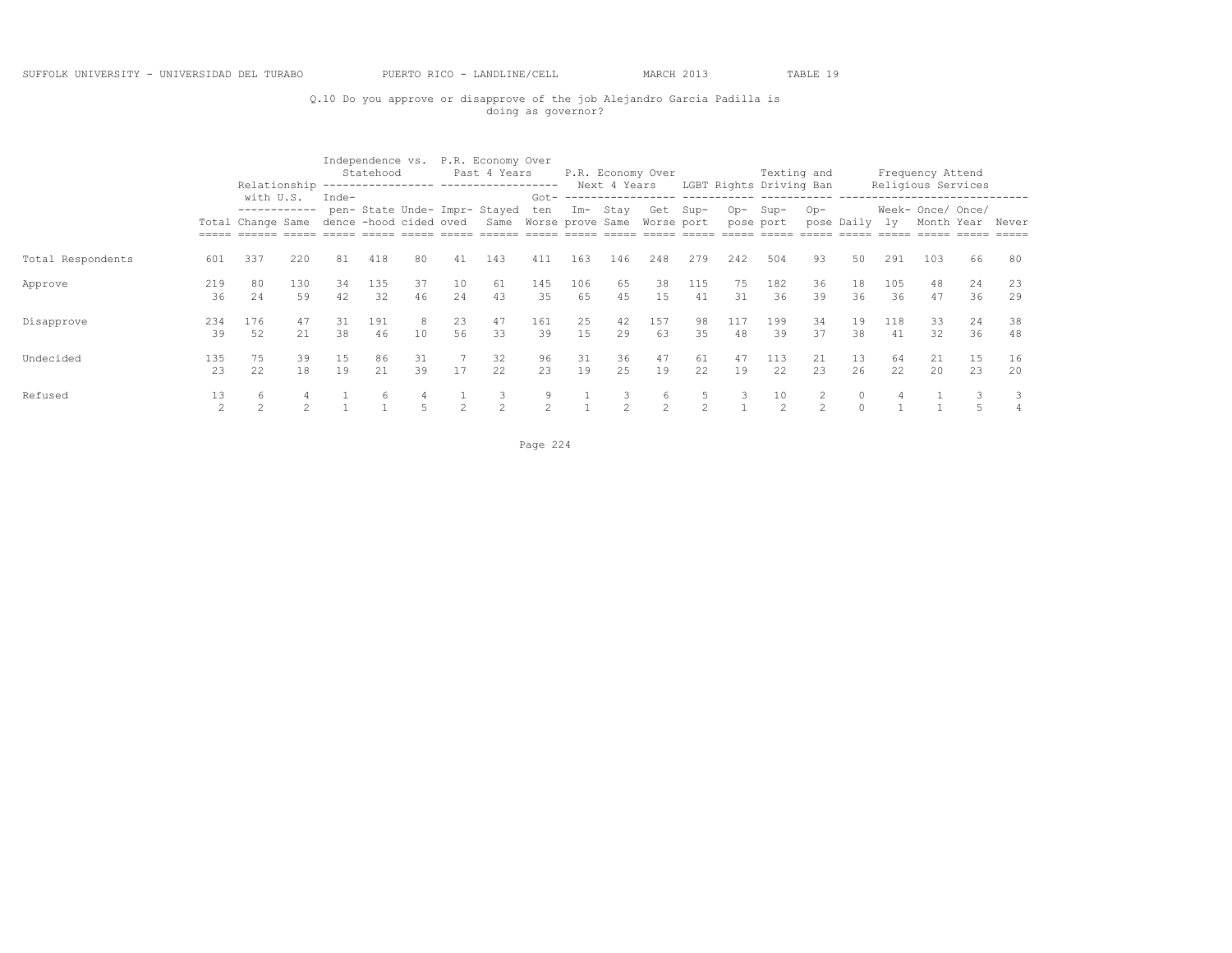## Q.10 Do you approve or disapprove of the job Alejandro Garcia Padilla is doing as governor?

|                   |                      | Relationship                                   |           |                                 | Statehood |          |               | Independence vs. P.R. Economy Over<br>Past 4 Years<br>---------------- ------------------- |                                    |           | Next 4 Years | P.R. Economy Over  |                    |           | Texting and<br>LGBT Rights Driving Ban |          |                     |           | Frequency Attend<br>Religious Services |          |          |
|-------------------|----------------------|------------------------------------------------|-----------|---------------------------------|-----------|----------|---------------|--------------------------------------------------------------------------------------------|------------------------------------|-----------|--------------|--------------------|--------------------|-----------|----------------------------------------|----------|---------------------|-----------|----------------------------------------|----------|----------|
|                   |                      | with U.S.<br>------------<br>Total Change Same |           | Inde-<br>dence -hood cided oved |           |          |               | pen- State Unde- Impr- Stayed<br>Same                                                      | $Got -$<br>ten<br>Worse prove Same |           | Im- Stay     | Get<br>Worse port  | $Sup-$             | $Op-$     | Sup-<br>pose port                      | $Op-$    | pose Daily          | - 1 v     | Week- Once/ Once/<br>Month Year        |          | Never    |
| Total Respondents | 601                  | 337                                            | 220       | 81                              | 418       | 80       | 41            | 143                                                                                        | 411                                | 163       | 146          | 248                | 279                | 242       | 504                                    | 93       | 50                  | 291       | 103                                    | 66       | 80       |
| Approve           | 219<br>36            | 80<br>24                                       | 130<br>59 | 34<br>42                        | 135<br>32 | 37<br>46 | 10<br>2.4     | 61<br>43                                                                                   | 145<br>35                          | 106<br>65 | 65<br>45     | 38<br>15           | 115<br>41          | 75<br>31  | 182<br>36                              | 36<br>39 | 18<br>36            | 105<br>36 | 48<br>47                               | 24<br>36 | 23<br>29 |
| Disapprove        | 234<br>39            | 176<br>52                                      | 47<br>21  | 31<br>38                        | 191<br>46 | 10       | 23<br>56      | 47<br>33                                                                                   | 161<br>39                          | 25<br>15  | 42<br>29     | 157<br>63          | 98<br>35           | 117<br>48 | 199<br>39                              | 34<br>37 | 19<br>38            | 118<br>41 | 33<br>32                               | 24<br>36 | 38<br>48 |
| Undecided         | 135<br>23            | 75<br>22                                       | 39<br>18  | 15<br>19                        | 86<br>21  | 31<br>39 | 17            | 32<br>22                                                                                   | 96<br>23                           | 31<br>19  | 36<br>25     | 47<br>19           | 61<br>22           | 47<br>19  | 113<br>22                              | 21<br>23 | 13<br>26            | 64<br>22  | 21<br>20                               | 15<br>23 | 16<br>20 |
| Refused           | 13<br>$\mathfrak{D}$ | 6                                              |           |                                 |           |          | $\mathcal{P}$ | 3<br>$\mathcal{P}$                                                                         | 9<br>$\hat{ }$                     |           | 3            | 6<br>$\mathcal{D}$ | 5<br>$\mathcal{D}$ |           | 10<br>$\mathcal{P}$                    |          | $\circ$<br>$\Omega$ |           |                                        |          |          |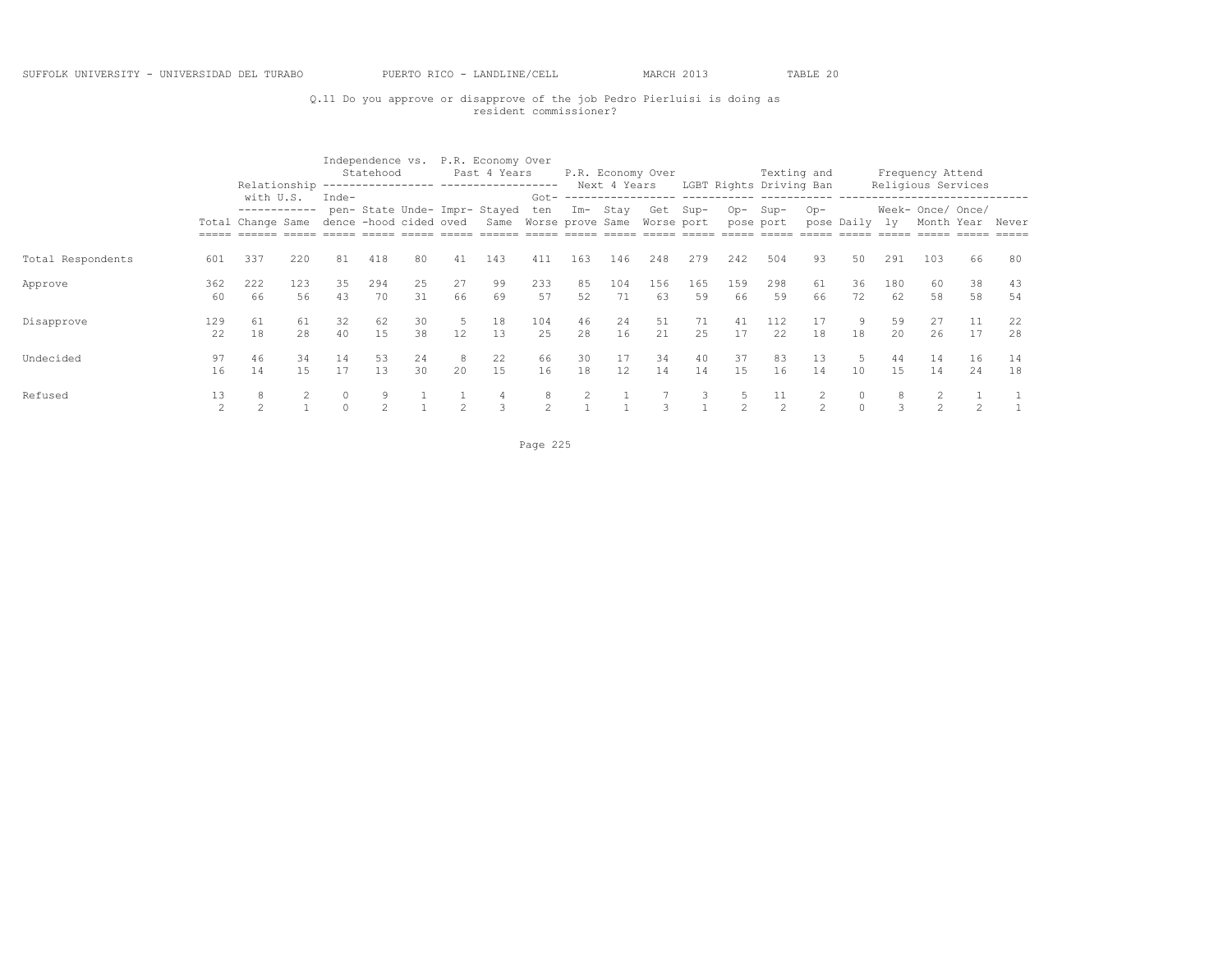## Q.11 Do you approve or disapprove of the job Pedro Pierluisi is doing as resident commissioner?

|                   |                      |                                   |           |                        | Statehood |          |                        | Independence vs. P.R. Economy Over<br>Past 4 Years                |                    |          |                         | P.R. Economy Over |           |           | Texting and             |           |                   |           | Frequency Attend                |               |          |
|-------------------|----------------------|-----------------------------------|-----------|------------------------|-----------|----------|------------------------|-------------------------------------------------------------------|--------------------|----------|-------------------------|-------------------|-----------|-----------|-------------------------|-----------|-------------------|-----------|---------------------------------|---------------|----------|
|                   |                      | Relationship<br>with U.S.         |           | Inde-                  |           |          |                        |                                                                   | $Got -$            |          | Next 4 Years            |                   |           |           | LGBT Rights Driving Ban |           |                   |           | Religious Services              |               |          |
|                   |                      | ------------<br>Total Change Same |           | dence -hood cided oved |           |          |                        | pen- State Unde- Impr- Stayed<br>Same Worse prove Same Worse port | ten                | Im- Stay |                         | Get Sup-          |           | $Op-$     | Sup-<br>pose port       | $Op-$     | pose Daily        | 1v        | Week- Once/ Once/<br>Month Year |               | Never    |
| Total Respondents | 601                  | 337                               | 220       | 81                     | 418       | 80       | 41                     | 143                                                               | 411                | 163      | 146                     | 248               | 279       | 242       | 504                     | 93        | 50                | 291       | 103                             | 66            | 80       |
| Approve           | 362<br>60            | 222<br>66                         | 123<br>56 | 35<br>43               | 294<br>70 | 25<br>31 | 27<br>66               | 99<br>69                                                          | 233<br>57          | 85<br>52 | 104<br>71               | 156<br>63         | 165<br>59 | 159<br>66 | 298<br>59               | 61<br>66  | 36<br>72          | 180<br>62 | 60<br>58                        | 38<br>58      | 43<br>54 |
| Disapprove        | 129<br>22            | 61<br>18                          | 61<br>2.8 | 32<br>40               | 62<br>1.5 | 30<br>38 | 5<br>$12 \overline{ }$ | 18<br>13                                                          | 104<br>25          | 46<br>28 | 24<br>16                | 51<br>21          | 71<br>25  | 41<br>17  | 112<br>22               | 17<br>18  | 9<br>18           | 59<br>2.0 | 27<br>26                        | 11<br>17      | 22<br>28 |
| Undecided         | 97<br>16             | 46<br>14                          | 34<br>15  | 14<br>17               | 53<br>13  | 24<br>30 | 8<br>20                | 22<br>15                                                          | 66<br>16           | 30<br>18 | 17<br>$12 \overline{ }$ | 34<br>14          | 40<br>14  | 37<br>15  | 83<br>16                | 13<br>14  | 5<br>10           | 44<br>15  | 14<br>14                        | 16<br>24      | 14<br>18 |
| Refused           | 13<br>$\mathfrak{D}$ | 8<br>$\mathcal{D}$                |           |                        |           |          | $\mathcal{P}$          | $\mathcal{R}$                                                     | 8<br>$\mathcal{L}$ |          |                         | २                 | 3         |           | 11<br>$\mathcal{P}$     | $\hat{ }$ | $\circ$<br>$\cap$ |           | $\mathcal{D}$                   | $\mathcal{D}$ |          |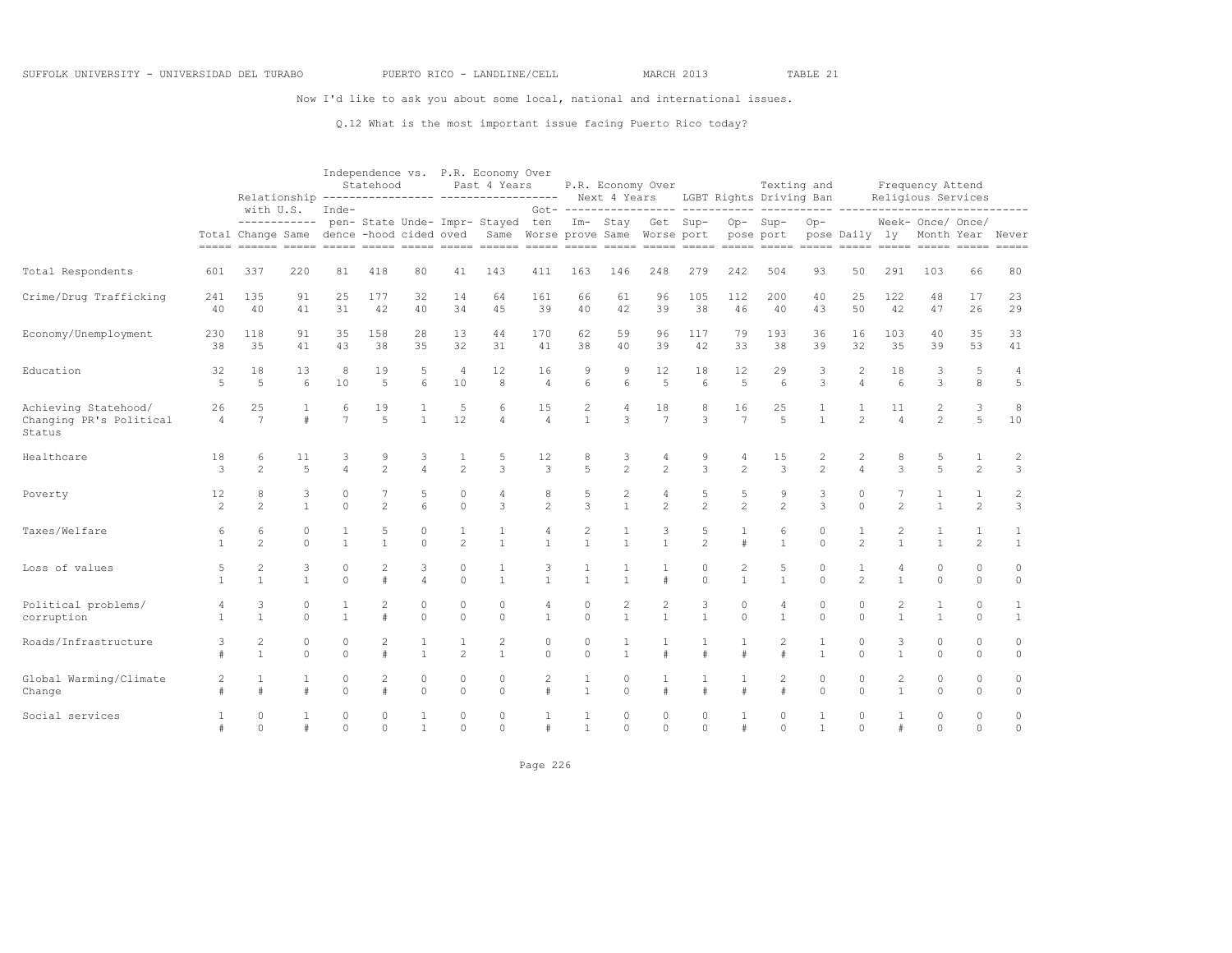Now I'd like to ask you about some local, national and international issues.

Q.12 What is the most important issue facing Puerto Rico today?

|                                                           |                      |                                |                           |                      | Statehood              |                         |                                | Independence vs. P.R. Economy Over<br>Past 4 Years<br>Relationship ---------------- ------------------ Next 4 Years LGBT Rights Driving Ban |                        |                                |                                  | P.R. Economy Over                |                                    |                                | Texting and                          |                                |                                        |                                | Frequency Attend<br>Religious Services |                                |                                  |
|-----------------------------------------------------------|----------------------|--------------------------------|---------------------------|----------------------|------------------------|-------------------------|--------------------------------|---------------------------------------------------------------------------------------------------------------------------------------------|------------------------|--------------------------------|----------------------------------|----------------------------------|------------------------------------|--------------------------------|--------------------------------------|--------------------------------|----------------------------------------|--------------------------------|----------------------------------------|--------------------------------|----------------------------------|
|                                                           |                      |                                | with U.S.<br>------------ | Inde-                |                        |                         |                                | pen- State Unde- Impr- Stayed ten<br>Total Change Same dence -hood cided oved Same Worse prove Same Worse port                              |                        |                                |                                  | Im- Stay Get Sup-                | Got- ----------------- ----------- | $Op-$                          | $\frac{1}{2}$<br>$Sup-$<br>pose port | $Op-$                          | ---- ----------------<br>pose Daily ly |                                | Week- Once/ Once/                      |                                | Month Year Never                 |
| Total Respondents                                         | 601                  | 337                            | 220                       | 81                   | 418                    | 80                      | 41                             | 143                                                                                                                                         | 411                    | 163                            | 146                              | 248                              | 279                                | 242                            | 504                                  | 93                             | 50                                     | 291                            | 103                                    | 66                             | 80                               |
| Crime/Drug Trafficking                                    | 241<br>40            | 135<br>40                      | 91<br>41                  | 25<br>31             | 177<br>42              | 32<br>40                | 14<br>34                       | 64<br>45                                                                                                                                    | 161<br>39              | 66<br>40                       | 61<br>42                         | 96<br>39                         | 105<br>38                          | 112<br>46                      | 200<br>40                            | 40<br>43                       | 25<br>50                               | 122<br>42                      | 48<br>47                               | 17<br>26                       | 23<br>29                         |
| Economy/Unemployment                                      | 230<br>38            | 118<br>35                      | 91<br>41                  | 35<br>43             | 158<br>38              | 28<br>35                | 13<br>32                       | 44<br>31                                                                                                                                    | 170<br>41              | 62<br>38                       | 59<br>40                         | 96<br>39                         | 117<br>42                          | 79<br>33                       | 193<br>38                            | 36<br>39                       | 16<br>32                               | 103<br>35                      | 40<br>39                               | 35<br>53                       | 33<br>41                         |
| Education                                                 | 32<br>5              | 18<br>5                        | 13<br>6                   | 8<br>10              | 19<br>5                | 5<br>6                  | $\overline{4}$<br>10           | 12<br>8                                                                                                                                     | 16<br>$\overline{4}$   | 9<br>6                         | 9<br>6                           | 12<br>5                          | 18<br>6                            | 12<br>5                        | 29<br>6                              | 3<br>3                         | 2<br>$\overline{4}$                    | 18<br>6                        | 3<br>3                                 | 5<br>8                         | 4<br>5                           |
| Achieving Statehood/<br>Changing PR's Political<br>Status | 26<br>$\overline{4}$ | 25<br>$\overline{7}$           | $\pm$                     | 6<br>$\overline{7}$  | 19<br>$\overline{5}$   | $\mathbf{1}$            | 5<br>12                        | 6<br>$\Delta$                                                                                                                               | 15<br>$\overline{4}$   | $\overline{c}$<br>$\mathbf{1}$ | 4<br>3                           | 18<br>$\overline{7}$             | 8<br>3                             | 16<br>$\overline{7}$           | 25<br>5                              | $\mathbf{1}$<br>$\mathbf{1}$   | $\overline{2}$                         | 11<br>$\overline{4}$           | 2<br>$\overline{2}$                    | 3<br>5                         | 8<br>10                          |
| Healthcare                                                | 18<br>3              | 6<br>2                         | 11<br>$\overline{5}$      | 3<br>$\overline{a}$  | 9<br>$\mathfrak{D}$    | 3<br>$\overline{A}$     | 1<br>$\overline{c}$            | 5<br>3                                                                                                                                      | 12<br>3                | 8<br>5                         | 3<br>$\overline{2}$              | $\overline{4}$<br>$\mathfrak{D}$ | 9<br>3                             | 4<br>$\overline{c}$            | 15<br>3                              | 2<br>$\mathfrak{D}$            | 2<br>$\overline{4}$                    | 8<br>3                         | 5<br>5                                 | 1<br>$\overline{c}$            | $\overline{c}$<br>$\overline{3}$ |
| Poverty                                                   | 12<br>$\overline{c}$ | 8<br>2                         | 3<br>$\mathbf{1}$         | $\circ$<br>$\Omega$  | $\overline{c}$         | 5<br>6                  | $\circ$<br>$\circ$             | 4<br>3                                                                                                                                      | 8<br>$\overline{2}$    | 5<br>3                         | $\overline{c}$<br>$\mathbf{1}$   | $\overline{4}$<br>2              | 5<br>$\overline{c}$                | 5<br>$\overline{c}$            | 9<br>$\overline{c}$                  | 3<br>3                         | $\circ$<br>$\Omega$                    | $\mathfrak{D}$                 | 1<br>$\mathbf{1}$                      | 1<br>$\overline{c}$            | $\overline{c}$<br>$\mathbf{3}$   |
| Taxes/Welfare                                             | 6                    | 6<br>$\mathfrak{D}$            | $\circ$<br>$\Omega$       | $\mathbf{1}$         | 5<br>$\mathbf{1}$      | $\mathbf 0$<br>$\Omega$ | 1<br>$\mathfrak{D}$            | 1<br>$\mathbf{1}$                                                                                                                           | 4<br>$\mathbf{1}$      | 2                              | $\mathbf{1}$<br>$\mathbf{1}$     | 3<br>$\mathbf{1}$                | 5<br>$\mathfrak{D}$                | $\mathbf 1$<br>$\#$            | 6<br>$\mathbf{1}$                    | $\circ$<br>$\Omega$            | $\mathfrak{D}$                         | 2                              |                                        | $\mathbf{1}$<br>$\overline{c}$ | $\mathbf{1}$<br>$\mathbf{1}$     |
| Loss of values                                            | 5                    | $\overline{c}$<br>$\mathbf{1}$ | 3<br>$\mathbf{1}$         | $\Omega$<br>$\Omega$ | 2<br>$\#$              | 3<br>$\overline{4}$     | $\circ$<br>$\Omega$            | 1<br>$\mathbf{1}$                                                                                                                           | 3<br>$\mathbf{1}$      | $\mathbf{1}$                   | $\mathbf{1}$                     | 1<br>#                           | $\circ$<br>$\Omega$                | $\overline{c}$<br>$\mathbf{1}$ | 5<br>$\mathbf{1}$                    | $\circ$<br>$\Omega$            | $\overline{2}$                         | 4<br>$\mathbf{1}$              | $\Omega$<br>$\Omega$                   | $\circ$<br>$\Omega$            | $\circ$<br>$\circ$               |
| Political problems/<br>corruption                         | $\overline{4}$       | 3<br>$\overline{1}$            | $\circ$<br>$\Omega$       | 1<br>$\mathbf{1}$    | $\overline{c}$<br>$\#$ | 0<br>$\Omega$           | $\mathbb O$<br>$\Omega$        | $\mathbf{0}$<br>$\Omega$                                                                                                                    | 4<br>$\mathbf{1}$      | $\circ$<br>$\Omega$            | $\overline{c}$<br>$\overline{1}$ | $\sqrt{2}$<br>$\overline{1}$     | $\mathsf 3$<br>$\mathbf{1}$        | $\circ$<br>$\Omega$            | 4<br>$\mathbf{1}$                    | $\mathbb O$<br>$\Omega$        | $\circ$<br>$\Omega$                    | 2<br>$\mathbf{1}$              |                                        | $\mathbb O$<br>$\Omega$        | 1<br>$\mathbf{1}$                |
| Roads/Infrastructure                                      | 3<br>$\pm$           | 2<br>$\overline{1}$            | $\circ$<br>$\Omega$       | $\circ$<br>$\Omega$  | $\overline{2}$<br>$\#$ | 1<br>$\mathbf{1}$       | $\mathbf{1}$<br>$\overline{c}$ | $\overline{2}$<br>$\mathbf{1}$                                                                                                              | $\Omega$<br>$\Omega$   | $\circ$<br>$\Omega$            | 1<br>$\overline{1}$              | $\overline{1}$<br>#              | $\mathbf{1}$<br>$\#$               | 1<br>#                         | $\overline{2}$<br>#                  | $\mathbf{1}$<br>$\overline{1}$ | $\circ$<br>$\Omega$                    | 3<br>$\mathbf{1}$              | 0<br>$\Omega$                          | $\circ$<br>$\Omega$            | $\circ$<br>$\circ$               |
| Global Warming/Climate<br>Change                          | 2                    | 1<br>#                         | 1<br>$\ddagger$           | 0<br>$\Omega$        | $\overline{2}$<br>$\#$ | $\mathbf 0$<br>$\Omega$ | $\mathbb O$<br>$\Omega$        | $\mathbf{0}$<br>$\Omega$                                                                                                                    | $\overline{2}$<br>$\#$ | $\mathbf{1}$                   | 0<br>$\cap$                      | 1<br>#                           | 1<br>$\#$                          | $\#$                           | $\overline{2}$                       | $\mathbb O$<br>$\Omega$        | $\circ$<br>$\Omega$                    | $\overline{c}$<br>$\mathbf{1}$ | 0<br>$\Omega$                          | $\circ$<br>$\cap$              | $\circ$<br>$\circ$               |
| Social services                                           |                      | $\circ$<br>$\Omega$            | #                         | $\circ$<br>$\Omega$  | 0<br>$\Omega$          | $\mathbf{1}$            | $\circ$<br>$\bigcap$           | $\circ$<br>$\Omega$                                                                                                                         | #                      | $\mathbf{1}$                   | $\circ$<br>$\Omega$              | $\circ$<br>$\Omega$              | $\circ$<br>$\Omega$                | #                              | $\Omega$<br>$\Omega$                 | $\overline{1}$                 | $\circ$<br>$\Omega$                    | $\#$                           | $\circ$<br>$\Omega$                    | $\Omega$<br>$\Omega$           | $\circ$<br>$\Omega$              |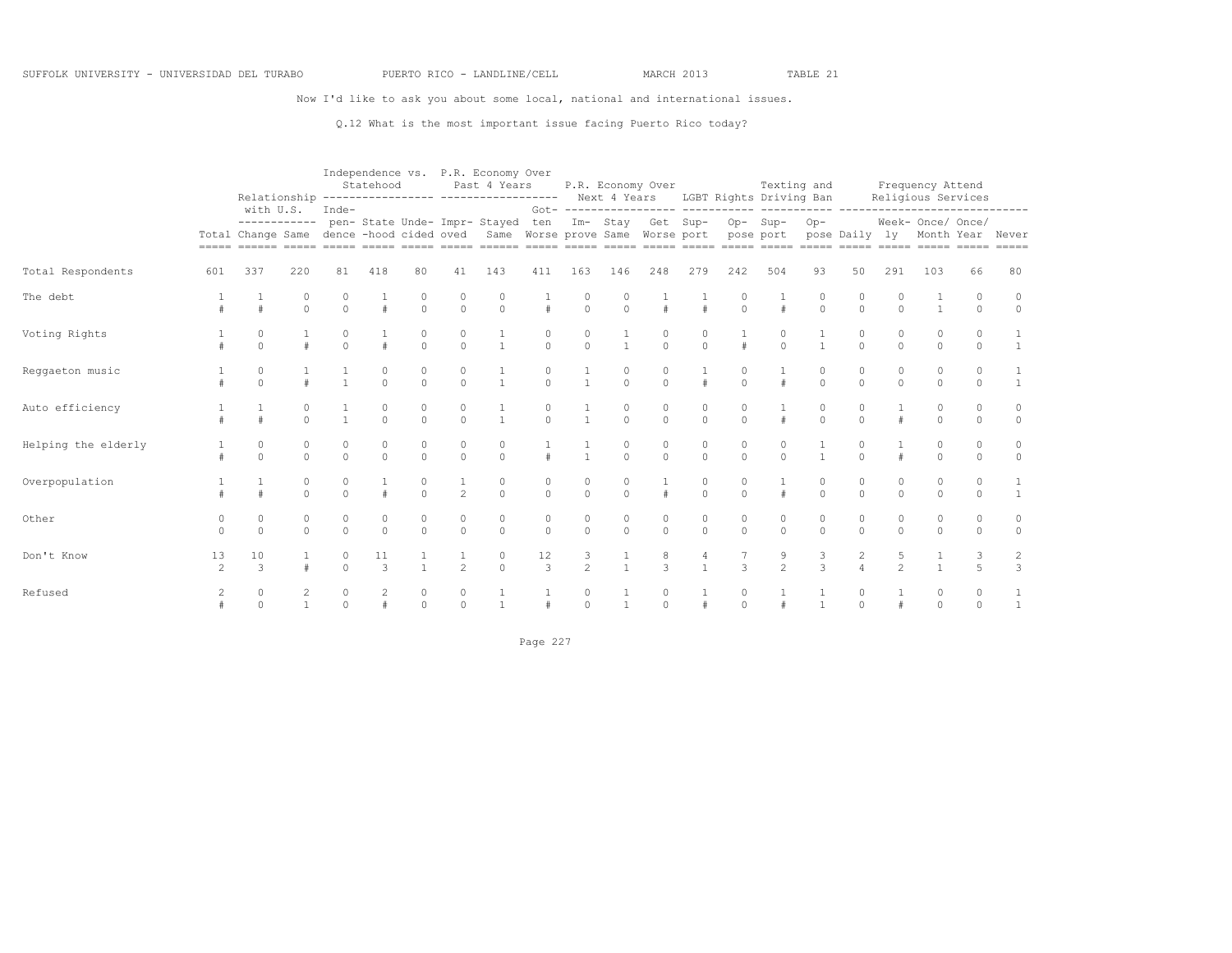Now I'd like to ask you about some local, national and international issues.

Q.12 What is the most important issue facing Puerto Rico today?

#### Independence vs. P.R. Economy Over

|                     |                      | with U.S.           |                      | Inde-                  | Statehood           |               |                                      | Past 4 Years                                                      | $Got - - - -$                          |                      | Next 4 Years           | P.R. Economy Over   | LGBT Rights Driving Ban               |                         | Texting and         |                               |                      |               | Frequency Attend<br>Religious Services |                      |                                 |
|---------------------|----------------------|---------------------|----------------------|------------------------|---------------------|---------------|--------------------------------------|-------------------------------------------------------------------|----------------------------------------|----------------------|------------------------|---------------------|---------------------------------------|-------------------------|---------------------|-------------------------------|----------------------|---------------|----------------------------------------|----------------------|---------------------------------|
|                     |                      | Total Change Same   | ------------         | dence -hood cided oved |                     |               |                                      | pen- State Unde- Impr- Stayed<br>Same Worse prove Same Worse port | ten                                    |                      |                        | Im- Stay Get Sup-   |                                       | Op-Sup-<br>pose port    |                     | $Op-$                         | pose Daily ly        |               | Week- Once/ Once/                      |                      | Month Year Never<br>$= = = = =$ |
| Total Respondents   | 601                  | 337                 | 220                  | 81                     | 418                 | 80            | 41                                   | 143                                                               | 411                                    | 163                  | 146                    | 248                 | 279                                   | 242                     | 504                 | 93                            | 50                   | 291           | 103                                    | 66                   | 80                              |
| The debt            |                      |                     | 0<br>$\Omega$        | 0<br>$\Omega$          |                     | 0<br>$\circ$  | $\begin{matrix} 0 \\ 0 \end{matrix}$ | 0<br>$\Omega$                                                     |                                        | 0<br>$\Omega$        | 0<br>$\circ$           | $\pm$               | $\#$                                  | $\circ$                 | #                   | $\circ$                       | 0<br>$\Omega$        | $\Omega$      |                                        | $\Omega$<br>$\Omega$ | 0<br>$\circ$                    |
| Voting Rights       |                      | $\Omega$            |                      | $\Omega$               |                     | $\Omega$      | 0<br>$\Omega$                        | $\mathbf{1}$                                                      | $\Omega$                               | $\Omega$             | $\overline{1}$         | 0<br>$\Omega$       | 0<br>$\Omega$                         |                         | 0<br>$\Omega$       | $\overline{1}$                | $\Omega$<br>$\Omega$ | $\Omega$      | $\Omega$                               | $\Omega$<br>$\Omega$ | $\overline{1}$                  |
| Reggaeton music     |                      | 0<br>$\Omega$       |                      | $\mathbf{1}$           | 0<br>$\Omega$       | 0<br>$\Omega$ | 0<br>$\Omega$                        | $\mathbf{1}$                                                      | 0<br>$\Omega$                          | $\overline{1}$       | $\circ$<br>$\Omega$    | 0<br>$\Omega$       | $\#$                                  | $\mathbf 0$<br>$\Omega$ | #                   | 0<br>$\Omega$                 | $\circ$<br>$\Omega$  | $\Omega$      | 0<br>$\Omega$                          | $\circ$<br>$\Omega$  | $\overline{1}$                  |
| Auto efficiency     |                      |                     | 0<br>$\Omega$        | $\mathbf{1}$           | 0<br>$\Omega$       | 0<br>$\Omega$ | $\begin{matrix} 0 \\ 0 \end{matrix}$ | $\mathbf{1}$                                                      | 0<br>$\Omega$                          | $\mathbf{1}$         | 0<br>$\Omega$          | 0<br>$\Omega$       | 0<br>$\Omega$                         | 0<br>$\Omega$           |                     | 0<br>$\Omega$                 | 0<br>$\Omega$        |               | $\Omega$                               | 0<br>$\Omega$        | $\circ$<br>$\circ$              |
| Helping the elderly |                      | 0<br>$\circ$        | 0<br>$\circ$         | 0<br>$\circ$           | $\circ$             | 0<br>$\circ$  | $\mathbb O$<br>$\circ$               | $\mathbb O$<br>$\circ$                                            |                                        | $\mathbf{1}$         | $\mathbb O$<br>$\circ$ | 0<br>$\circ$        | 0<br>$\circ$                          | $\mathbb O$<br>$\circ$  | 0<br>$\circ$        | $\overline{1}$                | $\Omega$             |               | $\Omega$                               | 0<br>$\circ$         | $\circ$<br>$\circ$              |
| Overpopulation      |                      |                     | $\circ$<br>$\Omega$  | 0<br>$\circ$           |                     | 0<br>$\cap$   | $\mathbf{1}$<br>2                    | 0<br>$\Omega$                                                     | $\mathbf 0$<br>$\circ$                 | 0<br>$\Omega$        | $\circ$<br>$\circ$     | #                   | 0<br>$\circ$                          | 0<br>$\circ$            | #                   | 0<br>$\circ$                  | 0<br>$\Omega$        | $\Omega$      | 0<br>$\Omega$                          | $\Omega$<br>$\Omega$ | 1<br>1                          |
| Other               | $\Omega$<br>$\Omega$ | $\circ$<br>$\Omega$ | $\Omega$<br>$\Omega$ | 0<br>$\Omega$          | $\Omega$            | $\Omega$      | $\circ$<br>$\circ$                   | $\circ$<br>$\Omega$                                               | $\mathbf 0$<br>$\Omega$                | $\Omega$<br>$\Omega$ | $\circ$<br>$\circ$     | $\circ$<br>$\Omega$ | 0<br>$\circ$                          | $\mathbf 0$<br>$\circ$  | $\circ$<br>$\Omega$ | $\Omega$<br>$\Omega$          | $\circ$<br>$\Omega$  | $\cap$        | $\Omega$                               | $\circ$<br>$\Omega$  | $\circ$<br>$\circ$              |
| Don't Know          | 13<br>$\mathfrak{D}$ | 10<br>3             |                      | 0<br>$\Omega$          | 11<br>$\mathcal{R}$ |               | $\frac{1}{2}$                        | $\begin{matrix}0\\0\end{matrix}$                                  | $\begin{array}{c} 12 \\ 3 \end{array}$ | $\frac{3}{2}$        | $\frac{1}{1}$          | $\frac{8}{3}$       | $\begin{array}{c} 4 \\ 1 \end{array}$ | 3                       | $\frac{9}{2}$       | 3<br>$\overline{\mathcal{L}}$ | $\frac{2}{4}$        | $\frac{5}{2}$ |                                        | $\overline{a}$       | $\frac{2}{3}$                   |
| Refused             | $\overline{c}$       | $\circ$<br>$\Omega$ | $\mathbf{1}$         | 0<br>$\Omega$          | 2                   | 0<br>$\Omega$ | $\circ$<br>$\circ$                   |                                                                   |                                        | 0<br>$\cap$          | $\overline{1}$         | $\circ$<br>$\cap$   |                                       | 0<br>$\Omega$           |                     | $\overline{1}$                | 0<br>$\Omega$        |               | $\Omega$                               | $\circ$<br>$\Omega$  | $\mathbf{1}$                    |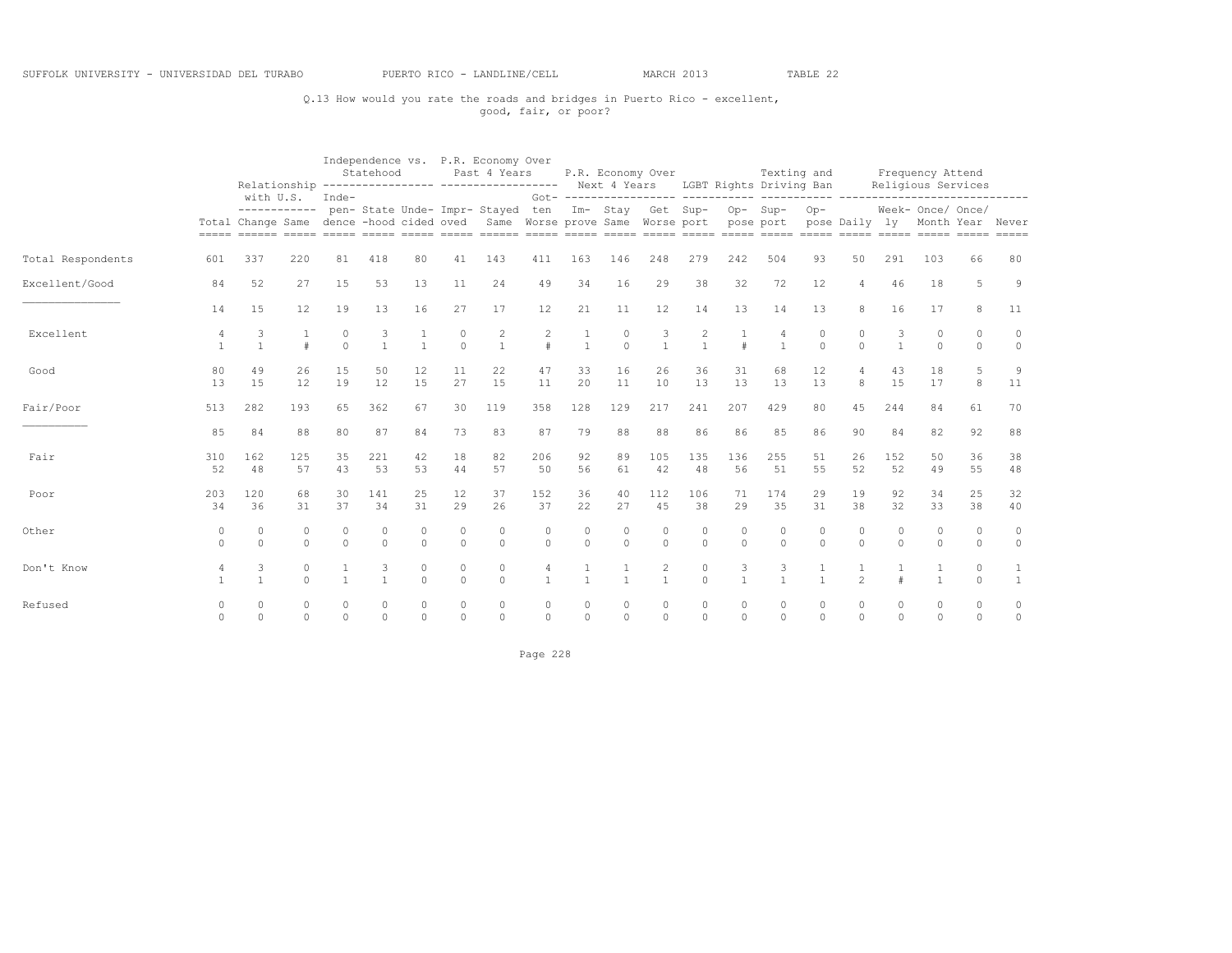## Q.13 How would you rate the roads and bridges in Puerto Rico - excellent, good, fair, or poor?

|                   |                                |                     |                      |                      | Statehood      |                         |                     | Independence vs. P.R. Economy Over<br>Past 4 Years<br>Relationship ---------------- ----------------- Next 4 Years LGBT Rights Driving Ban |               |              |                     | P.R. Economy Over                                                |                     |                   | Texting and         |                         |                      |                      | Frequency Attend<br>Religious Services |                    |              |
|-------------------|--------------------------------|---------------------|----------------------|----------------------|----------------|-------------------------|---------------------|--------------------------------------------------------------------------------------------------------------------------------------------|---------------|--------------|---------------------|------------------------------------------------------------------|---------------------|-------------------|---------------------|-------------------------|----------------------|----------------------|----------------------------------------|--------------------|--------------|
|                   |                                |                     | with U.S. Inde-      |                      |                |                         |                     | ----------- pen- State Unde- Impr- Stayed ten<br>Total Change Same dence -hood cided oved Same Worse prove Same Worse port pose port       |               |              |                     | Got- ------------------ ----------<br>Im- Stay Get Sup- Op- Sup- |                     |                   |                     | $Op-$<br>pose Daily ly  |                      |                      | Week- Once/ Once/<br>Month Year Never  |                    |              |
| Total Respondents | 601                            | 337                 | 220                  | 81                   | 418            | 80                      | 41                  | 143                                                                                                                                        | 411           | 163          | 146                 | 248                                                              | 279                 | 242               | 504                 | 93                      | 50                   | 291                  | 103                                    | 66                 | 80           |
| Excellent/Good    | 84                             | 52                  | 27                   | 15                   | 53             | 13                      | 11                  | 24                                                                                                                                         | 49            | 34           | 16                  | 29                                                               | 38                  | 32                | 72                  | 12                      | $\overline{4}$       | 46                   | 18                                     | 5.                 | 9            |
|                   | 14                             | 1.5                 | 12                   | 19                   | 13             | 16                      | 27                  | 17                                                                                                                                         | 12            | 21           | 11                  | 12                                                               | 14                  | 13                | 14                  | 13                      | 8                    | 16                   | 17                                     | 8                  | 11           |
| Excellent         | $\overline{4}$<br>$\mathbf{1}$ | 3<br>$\overline{1}$ |                      | $\Omega$<br>$\Omega$ | $\overline{1}$ | $\overline{1}$          | $\circ$<br>$\Omega$ | 2<br>$\mathbf{1}$                                                                                                                          |               | $\mathbf{1}$ | $\circ$<br>$\cap$   | 3<br>$\overline{1}$                                              | 2<br>$\mathbf{1}$   |                   | 4<br>$\mathbf{1}$   | $\Omega$<br>$\Omega$    | $\Omega$<br>$\Omega$ | 3                    | $\Omega$<br>$\Omega$                   | $\cap$<br>$\Omega$ | 0<br>$\circ$ |
| Good              | 80<br>13                       | 49<br>15            | 26<br>12             | 15<br>19             | 50<br>12       | 12<br>15                | 11<br>27            | 22<br>15                                                                                                                                   | 47<br>11      | 33<br>20     | 16<br>11            | 26<br>10                                                         | 36<br>13            | 31<br>13          | 68<br>13            | $12 \overline{ }$<br>13 | 8                    | 43<br>15             | 18<br>17                               | 8                  | 9<br>11      |
| Fair/Poor         | 513                            | 282                 | 193                  | 65                   | 362            | 67                      | 30                  | 119                                                                                                                                        | 358           | 128          | 129                 | 217                                                              | 241                 | 207               | 429                 | 80                      | 45                   | 244                  | 84                                     | 61                 | 70           |
|                   | 85                             | 84                  | 88                   | 80                   | 87             | 84                      | 73                  | 83                                                                                                                                         | 87            | 79           | 88                  | 88                                                               | 86                  | 86                | 85                  | 86                      | 90                   | 84                   | 82                                     | 92                 | 88           |
| Fair              | 310<br>52                      | 162<br>48           | 125<br>57            | 35<br>43             | 221<br>53      | 42<br>53                | 18<br>44            | 82<br>57                                                                                                                                   | 206<br>50     | 92<br>56     | 89<br>61            | 105<br>42                                                        | 135<br>48           | 136<br>56         | 255<br>51           | 51<br>55                | 26<br>52             | 152<br>52            | 50<br>49                               | 36<br>55           | 38<br>48     |
| Poor              | 203<br>34                      | 120<br>36           | 68<br>31             | 30<br>37             | 141<br>34      | 25<br>31                | 12<br>29            | 37<br>26                                                                                                                                   | 152<br>37     | 36<br>22     | 40<br>27            | 112<br>45                                                        | 106<br>38           | 71<br>29          | 174<br>35           | 29<br>31                | 19<br>38             | 92<br>32             | 34<br>33                               | 25<br>38           | 32<br>40     |
| Other             | $\mathbf 0$<br>$\Omega$        | 0<br>$\Omega$       | 0<br>$\Omega$        | $\Omega$             | 0<br>$\Omega$  | 0<br>$\Omega$           | $\circ$<br>$\circ$  | $\circ$<br>$\Omega$                                                                                                                        | 0<br>$\Omega$ | $\Omega$     | $\circ$<br>$\Omega$ | $\circ$<br>$\Omega$                                              | 0<br>$\circ$        | 0<br>$\Omega$     | 0<br>$\circ$        | 0<br>$\Omega$           | 0<br>$\Omega$        | $\Omega$<br>$\Omega$ | $\Omega$<br>$\Omega$                   | $\cap$<br>$\Omega$ | 0<br>$\circ$ |
| Don't Know        | 4                              | 3<br>$\mathbf{1}$   | $\Omega$<br>$\Omega$ |                      | $\overline{1}$ | $\circ$<br>$\Omega$     | $\circ$<br>$\Omega$ | $\circ$<br>$\Omega$                                                                                                                        | $\mathbf{1}$  | $\mathbf{1}$ | $\overline{1}$      | $\mathbf{1}$                                                     | $\circ$<br>$\Omega$ | 3<br>$\mathbf{1}$ | 3<br>$\mathbf{1}$   | $\mathbf{1}$            | $\mathfrak{D}$       |                      |                                        | $\cap$<br>$\Omega$ | $\mathbf{1}$ |
| Refused           | $\circ$<br>$\Omega$            | $\Omega$<br>$\cap$  | $\cap$               |                      | $\Omega$       | $\mathbf 0$<br>$\Omega$ | $\Omega$<br>$\cap$  | $\circ$<br>$\Omega$                                                                                                                        | $\cap$        | $\Omega$     | $\cap$              | $\Omega$<br>$\Omega$                                             | $\circ$<br>$\Omega$ | 0<br>$\Omega$     | $\circ$<br>$\Omega$ | $\cap$                  | $\Omega$             | $\Omega$             | $\Omega$<br>$\cap$                     | $\cap$             | $\circ$      |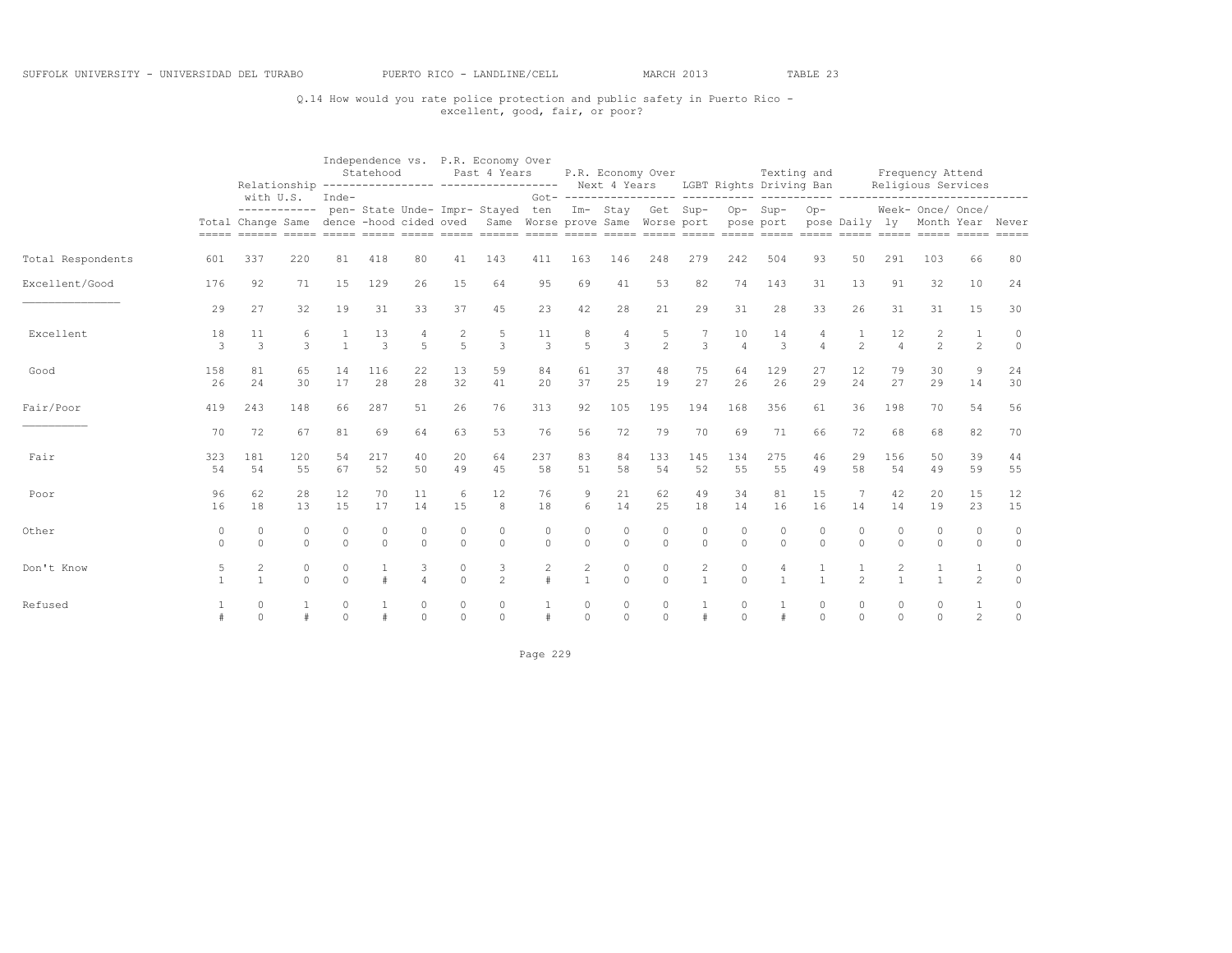## Q.14 How would you rate police protection and public safety in Puerto Rico - excellent, good, fair, or poor?

|                   |               |                     |                    |               | Statehood                |                      |                                  | Independence vs. P.R. Economy Over<br>Past 4 Years<br>Relationship ---------------- ------------------ Next 4 Years LGBT Rights Driving Ban           |               |                      | P.R. Economy Over   |                      |                   |                      | Texting and                      |                        |                |                      | Frequency Attend<br>Religious Services |                      |                    |
|-------------------|---------------|---------------------|--------------------|---------------|--------------------------|----------------------|----------------------------------|-------------------------------------------------------------------------------------------------------------------------------------------------------|---------------|----------------------|---------------------|----------------------|-------------------|----------------------|----------------------------------|------------------------|----------------|----------------------|----------------------------------------|----------------------|--------------------|
|                   |               | with U.S.           |                    | Inde-         |                          |                      |                                  | ----------- pen- State Unde- Impr- Stayed ten Im- Stay Get Sup- Op- Sup-<br>Total Change Same dence -hood cided oved Same Worse prove Same Worse port |               |                      |                     |                      |                   | pose port            |                                  | $Op-$<br>pose Daily ly |                |                      | Week- Once/ Once/<br>Month Year Never  |                      |                    |
| Total Respondents | 601           | 337                 | 220                | 81            | 418                      | 80                   | 41                               | 143                                                                                                                                                   | 411           | 163                  | 146                 | 248                  | 279               | 242                  | 504                              | 93                     | 50             | 291                  | 103                                    | 66                   | 80                 |
| Excellent/Good    | 176           | 92                  | 71                 | 15            | 129                      | 26                   | 15                               | 64                                                                                                                                                    | 95            | 69                   | 41                  | 53                   | 82                | 74                   | 143                              | 31                     | 13             | 91                   | 32                                     | 10                   | 24                 |
|                   | 29            | 27                  | 32                 | 19            | 31                       | 33                   | 37                               | 45                                                                                                                                                    | 23            | 42                   | 28                  | 21                   | 29                | 31                   | 28                               | 33                     | 26             | 31                   | 31                                     | 15                   | 30                 |
| Excellent         | 18<br>3       | 11<br>3             | 6<br>$\mathcal{L}$ | $\mathbf{1}$  | 13<br>3                  | 5                    | $\overline{c}$<br>$\overline{5}$ | 5<br>3                                                                                                                                                | 11<br>3       | 8<br>5               | 4<br>3              | 5<br>$\mathfrak{D}$  | 3                 | 10<br>$\varDelta$    | 14<br>3                          | $\Delta$               | 1<br>2         | 12<br>$\overline{4}$ | 2<br>$\mathfrak{D}$                    | $\overline{c}$       | $\circ$<br>$\circ$ |
| Good              | 158<br>26     | 81<br>24            | 65<br>30           | 14<br>17      | 116<br>28                | 22<br>28             | 13<br>32                         | 59<br>41                                                                                                                                              | 84<br>20      | 61<br>37             | 37<br>25            | 48<br>19             | 75<br>27          | 64<br>26             | 129<br>26                        | 27<br>29               | 12<br>24       | 79<br>27             | 30<br>29                               | 9<br>$14$            | 24<br>30           |
| Fair/Poor         | 419           | 243                 | 148                | 66            | 287                      | 51                   | 26                               | 76                                                                                                                                                    | 313           | 92                   | 105                 | 195                  | 194               | 168                  | 356                              | 61                     | 36             | 198                  | 70                                     | 54                   | 56                 |
|                   | 70            | 72                  | 67                 | 81            | 69                       | 64                   | 63                               | 53                                                                                                                                                    | 76            | 56                   | 72                  | 79                   | 70                | 69                   | 71                               | 66                     | 72             | 68                   | 68                                     | 82                   | 70                 |
| Fair              | 323<br>54     | 181<br>54           | 120<br>55          | 54<br>67      | 217<br>52                | 40<br>50             | 20<br>49                         | 64<br>45                                                                                                                                              | 237<br>58     | 83<br>51             | 84<br>58            | 133<br>54            | 145<br>52         | 134<br>55            | 275<br>55                        | 46<br>49               | 29<br>58       | 156<br>54            | 50<br>49                               | 39<br>59             | 44<br>55           |
| Poor              | 96<br>16      | 62<br>18            | 28<br>13           | 12<br>15      | 70<br>17                 | 11<br>14             | 6<br>15                          | 12<br>8                                                                                                                                               | 76<br>18      | 9<br>6               | 21<br>14            | 62<br>25             | 49<br>18          | 34<br>14             | 81<br>16                         | 15<br>16               | 7<br>14        | 42<br>14             | 20<br>19                               | 15<br>23             | 12<br>15           |
| Other             | 0<br>$\Omega$ | $\circ$<br>$\Omega$ | 0<br>$\Omega$      | 0<br>$\Omega$ | $\mathbf{0}$<br>$\Omega$ | $\Omega$<br>$\Omega$ | $\circ$<br>$\Omega$              | $\Omega$<br>$\Omega$                                                                                                                                  | 0<br>$\Omega$ | $\Omega$<br>$\Omega$ | $\circ$<br>$\Omega$ | $\Omega$<br>$\Omega$ | 0<br>$\Omega$     | $\Omega$<br>$\Omega$ | 0<br>$\Omega$                    | $\Omega$<br>$\cap$     | 0<br>$\Omega$  | $\Omega$<br>$\Omega$ | $\Omega$<br>$\Omega$                   | $\Omega$<br>$\Omega$ | $\circ$<br>$\circ$ |
| Don't Know        | 5             | 2<br>$\overline{1}$ | 0<br>$\Omega$      | 0<br>$\Omega$ |                          |                      | $\circ$<br>$\Omega$              | 3<br>$\overline{2}$                                                                                                                                   | 2             | 2                    | $\circ$<br>$\cap$   | $\circ$<br>$\Omega$  | 2<br>$\mathbf{1}$ | 0<br>$\Omega$        | $\overline{4}$<br>$\overline{1}$ |                        | $\mathfrak{D}$ | 2                    |                                        | $\overline{c}$       | 0<br>$\circ$       |
| Refused           |               | 0<br>$\Omega$       |                    | 0<br>$\Omega$ |                          | $\Omega$             | $\circ$<br>$\Omega$              | $\circ$<br>$\Omega$                                                                                                                                   |               | $\circ$<br>$\circ$   | 0<br>$\Omega$       | $\circ$<br>$\Omega$  |                   | 0<br>$\Omega$        |                                  | $\circ$<br>$\cap$      | 0<br>$\Omega$  | 0<br>$\Omega$        | 0<br>$\Omega$                          | $\overline{2}$       | 0<br>$\mathbb O$   |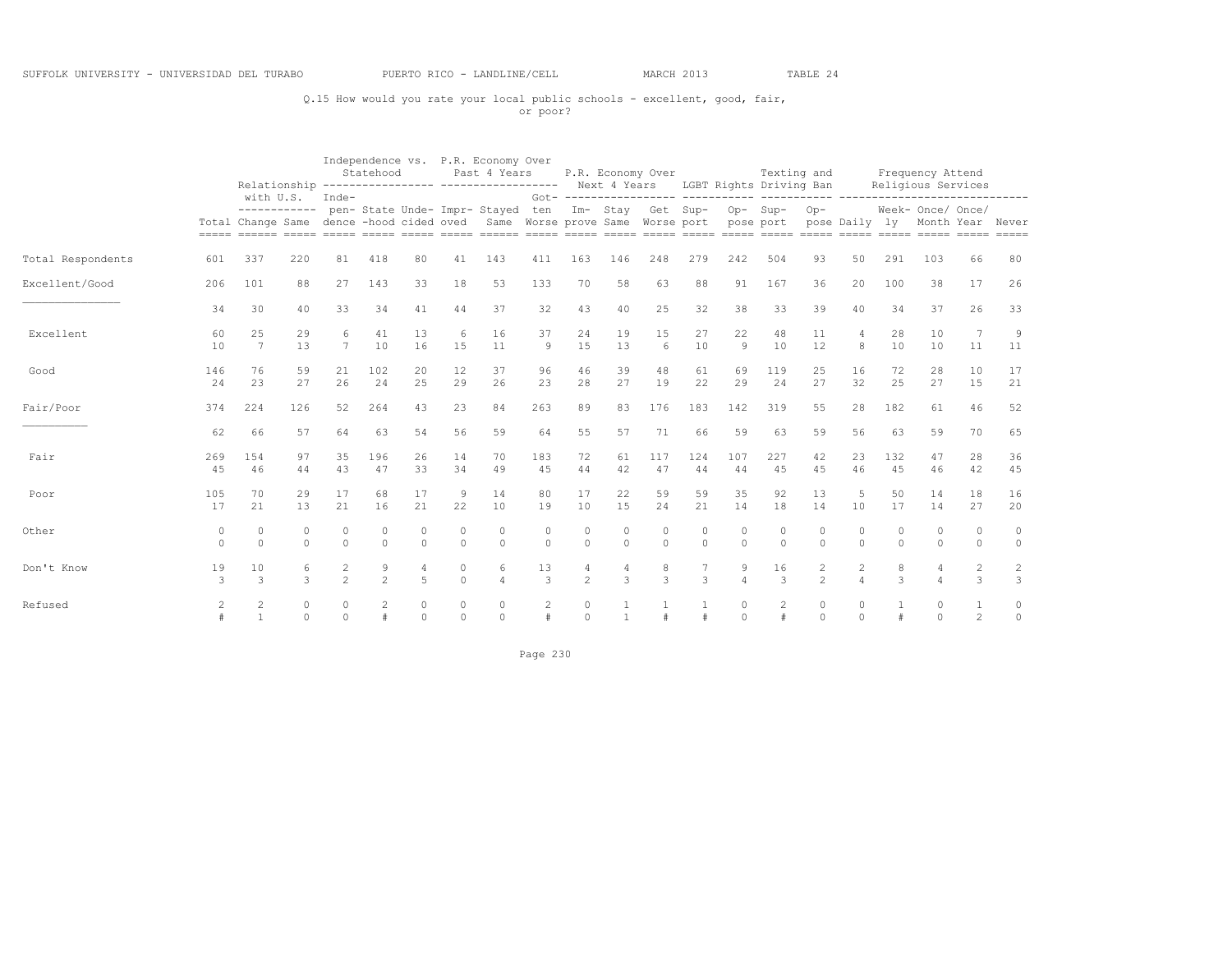## Q.15 How would you rate your local public schools - excellent, good, fair, or poor?

|                   |                     |                      |                      |                                  | Statehood            |                      |                     | Independence vs. P.R. Economy Over<br>Past 4 Years<br>Relationship ---------------- ----------------- Next 4 Years LGBT Rights Driving Ban |                     |                    |                     | P.R. Economy Over                                                |                            |                      | Texting and        |                                |                                  |                    | Frequency Attend<br>Religious Services              |                      |                                         |
|-------------------|---------------------|----------------------|----------------------|----------------------------------|----------------------|----------------------|---------------------|--------------------------------------------------------------------------------------------------------------------------------------------|---------------------|--------------------|---------------------|------------------------------------------------------------------|----------------------------|----------------------|--------------------|--------------------------------|----------------------------------|--------------------|-----------------------------------------------------|----------------------|-----------------------------------------|
|                   |                     |                      | with U.S.            | Inde-                            |                      |                      |                     | ----------- pen- State Unde- Impr- Stayed ten<br>Total Change Same dence -hood cided oved Same Worse prove Same Worse port pose port       |                     |                    |                     | Got- ------------------ ----------<br>Im- Stay Get Sup- Op- Sup- |                            |                      |                    | $Op-$                          |                                  |                    | Week- Once/ Once/<br>pose Daily ly Month Year Never |                      |                                         |
| Total Respondents | 601                 | 337                  | 220                  | 81                               | 418                  | 80                   | 41                  | 143                                                                                                                                        | 411                 | 163                | 146                 | 248                                                              | 279                        | 242                  | 504                | 93                             | 50                               | 291                | 103                                                 | 66                   | 80                                      |
| Excellent/Good    | 206                 | 101                  | 88                   | 27                               | 143                  | 33                   | 18                  | 53                                                                                                                                         | 133                 | 70                 | 58                  | 63                                                               | 88                         | 91                   | 167                | 36                             | 20                               | 100                | 38                                                  | 17                   | 26                                      |
|                   | 34                  | 30                   | 40                   | 33                               | 34                   | 41                   | 44                  | 37                                                                                                                                         | 32                  | 43                 | 40                  | 25                                                               | 32                         | 38                   | 33                 | 39                             | 40                               | 34                 | 37                                                  | 26                   | 33                                      |
| Excellent         | 60<br>10            | 25<br>$\overline{7}$ | 29<br>13             | 6<br>$\overline{7}$              | 41<br>10             | 13<br>16             | 6<br>1.5            | 16<br>11                                                                                                                                   | 37<br>9             | 24<br>15           | 19<br>13            | 15<br>6                                                          | 27<br>10                   | 22<br>9              | 48<br>10           | 11<br>12                       | 4<br>8                           | 28<br>10           | 10<br>10                                            | 11                   | 9<br>11                                 |
| Good              | 146<br>24           | 76<br>23             | 59<br>27             | 21<br>26                         | 102<br>24            | 20<br>2.5            | 12<br>29            | 37<br>26                                                                                                                                   | 96<br>23            | 46<br>28           | 39<br>27            | 48<br>19                                                         | 61<br>22                   | 69<br>29             | 119<br>24          | 25<br>27                       | 16<br>32                         | 72<br>2.5          | 28<br>27                                            | 10<br>15             | 17<br>21                                |
| Fair/Poor         | 374                 | 224                  | 126                  | 52                               | 264                  | 43                   | 23                  | 84                                                                                                                                         | 263                 | 89                 | 83                  | 176                                                              | 183                        | 142                  | 319                | 55                             | 28                               | 182                | 61                                                  | 46                   | 52                                      |
|                   | 62                  | 66                   | 57                   | 64                               | 63                   | 54                   | 56                  | 59                                                                                                                                         | 64                  | 55                 | 57                  | 71                                                               | 66                         | 59                   | 63                 | 59                             | 56                               | 63                 | 59                                                  | 70                   | 65                                      |
| Fair              | 269<br>45           | 1.54<br>46           | 97<br>44             | 35<br>43                         | 196<br>47            | 26<br>33             | 14<br>34            | 70<br>49                                                                                                                                   | 183<br>45           | 72<br>44           | 61<br>42            | 117<br>47                                                        | 124<br>44                  | 107<br>44            | 227<br>45          | 42<br>4.5                      | 23<br>46                         | 132<br>45          | 47<br>46                                            | 28<br>42             | 36<br>45                                |
| Poor              | 105<br>17           | 70<br>21             | 29<br>13             | 17<br>21                         | 68<br>16             | 17<br>21             | 9<br>22             | 14<br>10                                                                                                                                   | 80<br>19            | 17<br>10           | 22<br>15            | 59<br>24                                                         | 59<br>21                   | 35<br>14             | 92<br>18           | 13<br>14                       | 5<br>10                          | 50<br>17           | 14<br>14                                            | 18<br>27             | 16<br>20                                |
| Other             | $\circ$<br>$\Omega$ | $\Omega$<br>$\Omega$ | $\circ$<br>$\Omega$  | $\Omega$                         | $\Omega$<br>$\Omega$ | $\Omega$<br>$\Omega$ | $\circ$<br>$\Omega$ | $\Omega$<br>$\Omega$                                                                                                                       | $\circ$<br>$\Omega$ | $\Omega$           | $\circ$<br>$\Omega$ | $\circ$<br>$\Omega$                                              | $\circ$<br>$\Omega$        | $\Omega$<br>$\Omega$ | $\circ$<br>$\circ$ | $\Omega$<br>$\Omega$           | $\Omega$<br>$\Omega$             | $\Omega$           | $\Omega$<br>$\Omega$                                | $\Omega$<br>$\Omega$ | $\circ$<br>$\circ$                      |
| Don't Know        | 19<br>3             | 10<br>3              | 6<br>$\mathcal{L}$   | $\overline{c}$<br>$\mathfrak{D}$ | 9<br>$\mathfrak{D}$  | $\overline{4}$<br>5  | $\circ$<br>$\Omega$ | 6<br>$\overline{a}$                                                                                                                        | 13<br>3             | $\mathfrak{D}$     | 4<br>3              | 8<br>3                                                           | 7<br>3                     | 9<br>$\overline{4}$  | 16<br>3            | $\mathbf{2}$<br>$\mathfrak{D}$ | $\overline{c}$<br>$\overline{a}$ | 8<br>$\mathcal{L}$ | 4                                                   | $\mathbf{2}$<br>3    | $\overline{\mathbf{c}}$<br>$\mathbf{3}$ |
| Refused           | $\mathfrak{D}$      | $\mathcal{L}$        | $\Omega$<br>$\Omega$ | $\Omega$<br>$\Omega$             |                      | $\Omega$<br>$\Omega$ | $\circ$<br>$\Omega$ | $\Omega$<br>$\cap$                                                                                                                         |                     | $\Omega$<br>$\cap$ |                     |                                                                  | $\mathbf{1}$<br>$\ddagger$ | $\Omega$<br>$\cap$   | 2                  | $\Omega$<br>$\cap$             | $\Omega$<br>$\Omega$             |                    | $\Omega$<br>$\cap$                                  | $\overline{2}$       | 0<br>$\mathbb O$                        |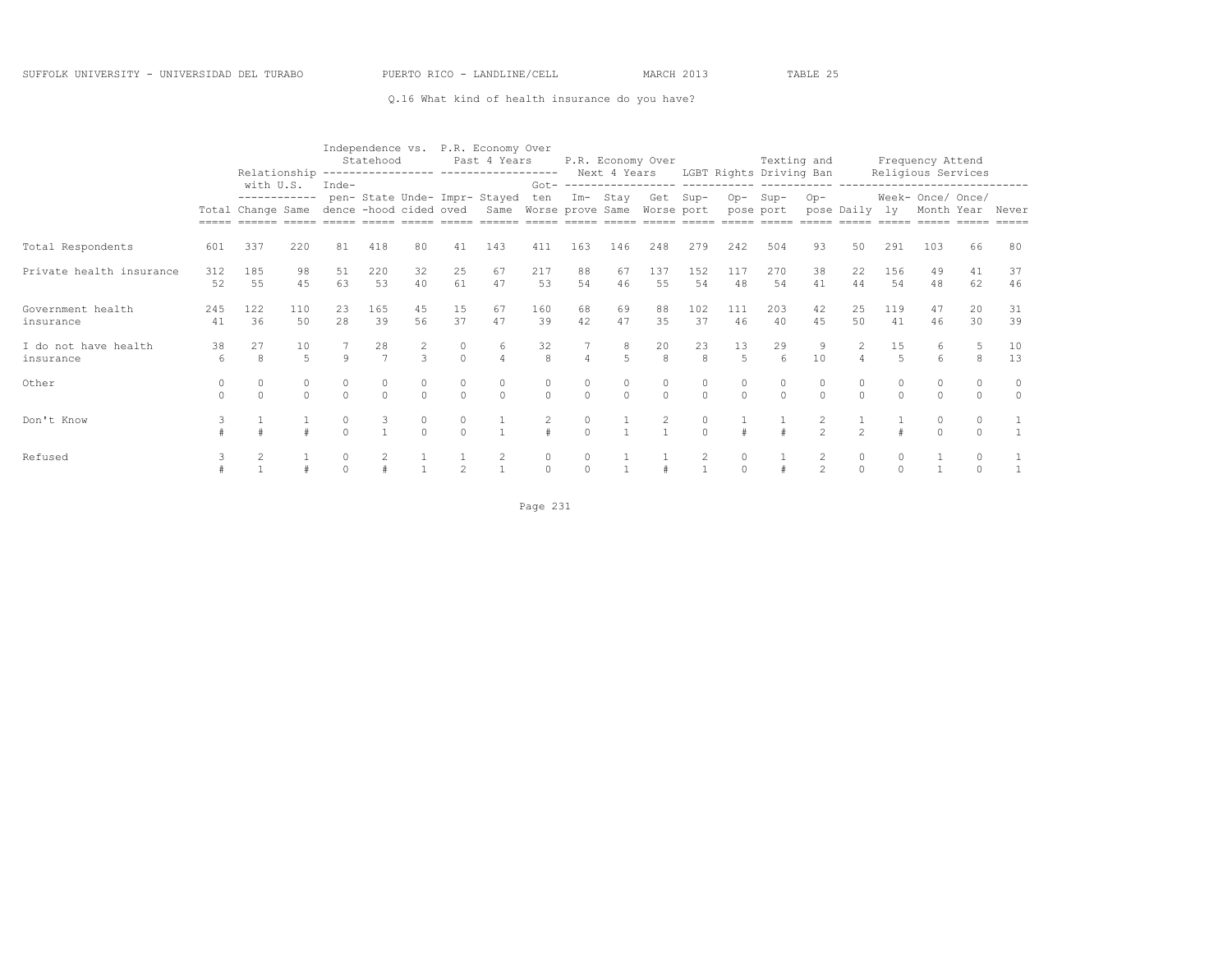#### Q.16 What kind of health insurance do you have?

|                                   |           | Relationship                                                          |           |          | Statehood            |                    |                   | Independence vs. P.R. Economy Over<br>Past 4 Years                |                    |                |                     | P.R. Economy Over  |                                       |               | Texting and<br>Next 4 Years LGBT Rights Driving Ban |                |                |                      | Frequency Attend<br>Religious Services |               |                     |
|-----------------------------------|-----------|-----------------------------------------------------------------------|-----------|----------|----------------------|--------------------|-------------------|-------------------------------------------------------------------|--------------------|----------------|---------------------|--------------------|---------------------------------------|---------------|-----------------------------------------------------|----------------|----------------|----------------------|----------------------------------------|---------------|---------------------|
|                                   | $=====$   | with U.S.<br>------------<br>Total Change Same dence -hood cided oved |           | Inde-    |                      |                    |                   | pen- State Unde- Impr- Stayed<br>Same Worse prove Same Worse port | ten                | $Im-$          | Stay                | Get Sup-           |                                       |               | Op-Sup-<br>pose port                                | $Op-$          | pose Daily ly  |                      | Week- Once/ Once/<br>Month Year        |               | Never               |
| Total Respondents                 | 601       | 337                                                                   | 220       | 81       | 418                  | 80                 | 41                | 143                                                               | 411                | 163            | 146                 | 248                | 279                                   | 242           | 504                                                 | 93             | 50             | 291                  | 103                                    | 66            | 80                  |
| Private health insurance          | 312<br>52 | 185<br>55                                                             | 98<br>45  | 51<br>63 | 220<br>53            | 32<br>40           | 25<br>61          | 67<br>47                                                          | 217<br>53          | 88<br>54       | 67<br>46            | 137<br>55          | 152<br>54                             | 117<br>48     | 270<br>54                                           | 38<br>41       | 22<br>44       | 156<br>54            | 49<br>48                               | 41<br>62      | 37<br>46            |
| Government health<br>insurance    | 245<br>41 | 122<br>36                                                             | 110<br>50 | 23<br>28 | 165<br>39            | 45<br>56           | 15<br>37          | 67<br>47                                                          | 160<br>39          | 68<br>42       | 69<br>47            | 88<br>35           | 102<br>37                             | 111<br>46     | 203<br>40                                           | 42<br>45       | 25<br>50       | 119<br>41            | 47<br>46                               | 20<br>30      | 31<br>39            |
| I do not have health<br>insurance | 38<br>6   | 27<br>8                                                               | 10<br>5   | $\circ$  | 28<br>$\overline{7}$ | 2<br>$\mathcal{L}$ | 0<br>$\Omega$     | 6<br>$\Delta$                                                     | 32<br>$\mathbf{g}$ | $\overline{4}$ | 5                   | 20<br>$\mathsf{R}$ | 23<br>$\mathbf{8}$                    | 13<br>5       | 29<br>$6 \overline{6}$                              | 10             | $\overline{4}$ | 15<br>$\overline{5}$ | 6<br>6                                 | 5<br>8        | 10<br>13            |
| Other                             | $\cap$    | $\Omega$                                                              | $\Omega$  | $\Omega$ | $\Omega$             | $\cap$             | $\circ$<br>$\cap$ | 0<br>$\Omega$                                                     | 0<br>$\Omega$      | $\Omega$       | $\circ$<br>$\Omega$ | 0<br>$\cap$        | $\circ$<br>$\Omega$                   | 0<br>$\Omega$ | $\circ$<br>$\cap$                                   | $\cap$         | 0<br>$\Omega$  | $\Omega$             | $\Omega$<br>$\Omega$                   | $\Omega$      | $\circ$<br>$\Omega$ |
| Don't Know                        |           |                                                                       |           | $\cap$   |                      | 0<br>$\cap$        | 0<br>$\cap$       |                                                                   | 2                  | $\cap$         |                     |                    | 0<br>$\cap$                           |               |                                                     | $\hat{ }$      | $\sim$         |                      | 0<br>$\cap$                            | 0<br>$\Omega$ |                     |
| Refused                           |           |                                                                       |           |          |                      |                    |                   | 2                                                                 | 0<br>$\cap$        |                |                     |                    | $\begin{array}{c} 2 \\ 1 \end{array}$ | $\frac{0}{0}$ |                                                     | $\mathfrak{D}$ | 0<br>$\cap$    |                      |                                        |               |                     |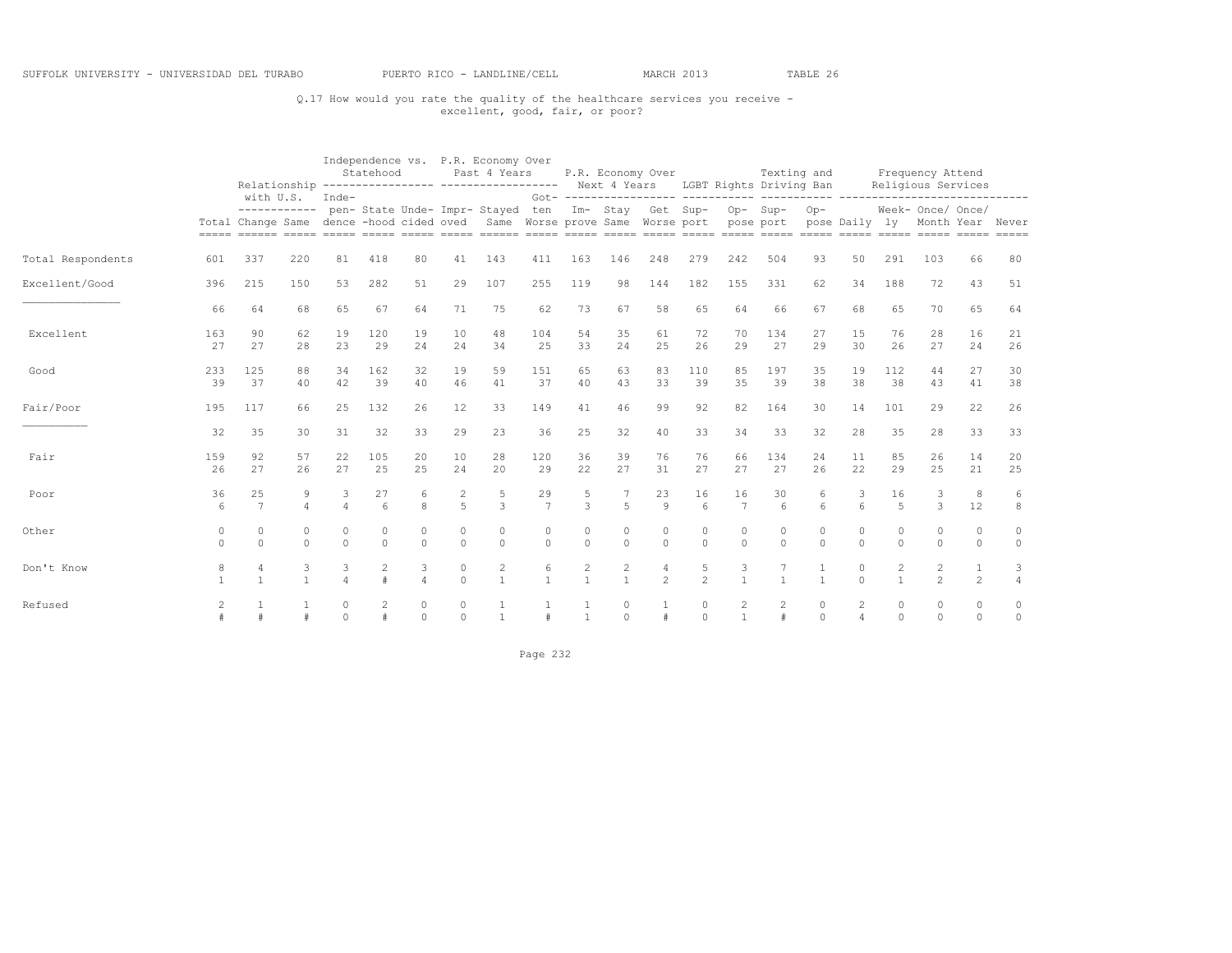## Q.17 How would you rate the quality of the healthcare services you receive - excellent, good, fair, or poor?

|                   |                     |                      |                      |                      | Statehood             |                     |                                  | Independence vs. P.R. Economy Over<br>Past 4 Years<br>Relationship ---------------- ------------------ Next 4 Years LGBT Rights Driving Ban                                   |                      |                      | P.R. Economy Over                |                     |                        |                     | Texting and         |                      |                      |                      | Frequency Attend<br>Religious Services |                      |                    |
|-------------------|---------------------|----------------------|----------------------|----------------------|-----------------------|---------------------|----------------------------------|-------------------------------------------------------------------------------------------------------------------------------------------------------------------------------|----------------------|----------------------|----------------------------------|---------------------|------------------------|---------------------|---------------------|----------------------|----------------------|----------------------|----------------------------------------|----------------------|--------------------|
|                   |                     | with U.S.            |                      | Inde-                |                       |                     |                                  | ----------- pen- State Unde- Impr- Stayed ten Im- Stay Get Sup- Op- Sup-<br>Total Change Same dence -hood cided oved Same Worse prove Same Worse port pose port pose Daily ly |                      |                      |                                  |                     |                        |                     |                     | $Op-$                |                      |                      | Week- Once/ Once/<br>Month Year Never  |                      |                    |
| Total Respondents | 601                 | 337                  | 220                  | 81                   | 418                   | 80                  | 41                               | 143                                                                                                                                                                           | 411                  | 163                  | 146                              | 248                 | 279                    | 242                 | 504                 | 93                   | 50                   | 291                  | 103                                    | 66                   | 80                 |
| Excellent/Good    | 396                 | 215                  | 150                  | 53                   | 282                   | 51                  | 29                               | 107                                                                                                                                                                           | 255                  | 119                  | 98                               | 144                 | 182                    | 155                 | 331                 | 62                   | 34                   | 188                  | 72                                     | 43                   | 51                 |
|                   | 66                  | 64                   | 68                   | 65                   | 67                    | 64                  | 71                               | 75                                                                                                                                                                            | 62                   | 73                   | 67                               | 58                  | 65                     | 64                  | 66                  | 67                   | 68                   | 65                   | 70                                     | 65                   | 64                 |
| Excellent         | 163<br>27           | 90<br>27             | 62<br>28             | 19<br>23             | 120<br>29             | 19<br>24            | 10<br>24                         | 48<br>34                                                                                                                                                                      | 104<br>25            | 54<br>33             | 35<br>24                         | 61<br>2.5           | 72<br>26               | 70<br>29            | 134<br>27           | 27<br>29             | 15<br>30             | 76<br>26             | 28<br>27                               | 16<br>24             | 21<br>26           |
| Good              | 233<br>39           | 125<br>37            | 88<br>40             | 34<br>42             | 162<br>39             | 32<br>40            | 19<br>46                         | 59<br>41                                                                                                                                                                      | 151<br>37            | 65<br>40             | 63<br>43                         | 83<br>33            | 110<br>39              | 85<br>35            | 197<br>39           | 35<br>38             | 19<br>38             | 112<br>38            | 44<br>43                               | 27<br>41             | 30<br>38           |
| Fair/Poor         | 195                 | 117                  | 66                   | 25                   | 132                   | 26                  | 12                               | 33                                                                                                                                                                            | 149                  | 41                   | 46                               | 99                  | 92                     | 82                  | 164                 | 30                   | 14                   | 101                  | 29                                     | 22                   | 26                 |
|                   | 32                  | 35                   | 30                   | 31                   | 32                    | 33                  | 29                               | 23                                                                                                                                                                            | 36                   | 25                   | 32                               | 40                  | 33                     | 34                  | 33                  | 32                   | 28                   | 35                   | 28                                     | 33                   | 33                 |
| Fair              | 159<br>26           | 92<br>27             | 57<br>26             | 22<br>27             | 105<br>25             | 20<br>25            | 10<br>24                         | 28<br>20                                                                                                                                                                      | 120<br>29            | 36<br>22             | 39<br>27                         | 76<br>31            | 76<br>27               | 66<br>27            | 134<br>27           | 24<br>26             | 11<br>22             | 85<br>29             | 26<br>25                               | 14<br>21             | 20<br>25           |
| Poor              | 36<br>6             | 25<br>7              | 9<br>$\overline{4}$  | 3                    | 27<br>$6\overline{6}$ | 6<br>8              | $\overline{c}$<br>$\overline{5}$ | 5<br>3                                                                                                                                                                        | 29<br>$\overline{7}$ | 5<br>$\mathcal{L}$   | $\overline{5}$                   | 23<br>Q             | 16<br>$6 \overline{6}$ | 16<br>7             | 30<br>6             | 6<br>$\epsilon$      | 3<br>6               | 16<br>$\overline{5}$ | 3<br>$\mathcal{L}$                     | 8<br>12              | 6<br>8             |
| Other             | $\circ$<br>$\Omega$ | $\Omega$<br>$\Omega$ | $\Omega$<br>$\Omega$ | $\Omega$<br>$\Omega$ | $\Omega$<br>$\Omega$  | $\circ$<br>$\Omega$ | $\circ$<br>$\Omega$              | $\Omega$<br>$\Omega$                                                                                                                                                          | $\Omega$<br>$\Omega$ | $\Omega$<br>$\Omega$ | $\circ$<br>$\Omega$              | $\circ$<br>$\Omega$ | $\Omega$<br>$\Omega$   | $\circ$<br>$\Omega$ | $\circ$<br>$\Omega$ | $\Omega$<br>$\Omega$ | $\Omega$<br>$\Omega$ | $\Omega$<br>$\Omega$ | $\Omega$<br>$\Omega$                   | $\Omega$<br>$\Omega$ | $\circ$<br>$\circ$ |
| Don't Know        | 8<br>$\mathbf{1}$   | 4<br>$\mathbf{1}$    | 3<br>$\mathbf{1}$    | 3                    | $\#$                  | 3<br>$\overline{A}$ | 0<br>$\Omega$                    | $\overline{c}$<br>$\mathbf{1}$                                                                                                                                                | 6<br>$\mathbf{1}$    | 2<br>$\mathbf{1}$    | $\overline{c}$<br>$\overline{1}$ | 4<br>$\mathfrak{D}$ | 5<br>$\mathfrak{D}$    | 3<br>$\mathbf{1}$   |                     | $\mathbf{1}$         | 0<br>$\cap$          | 2<br>$\mathbf{1}$    | 2<br>$\mathfrak{D}$                    | 1<br>$\mathfrak{D}$  | 3                  |
| Refused           | 2                   |                      |                      | $\Omega$             |                       | $\circ$<br>$\Omega$ | $\circ$<br>$\Omega$              | $\mathbf{1}$                                                                                                                                                                  |                      | $\mathbf{1}$         | $\Omega$<br>$\Omega$             | $\pm$               | $\circ$<br>$\Omega$    | 2<br>$\mathbf{1}$   | $\mathbf{2}$        | $\circ$<br>$\Omega$  | 2<br>$\Delta$        | $\circ$<br>$\Omega$  | 0<br>$\Omega$                          | $\circ$<br>$\Omega$  | 0<br>$\Omega$      |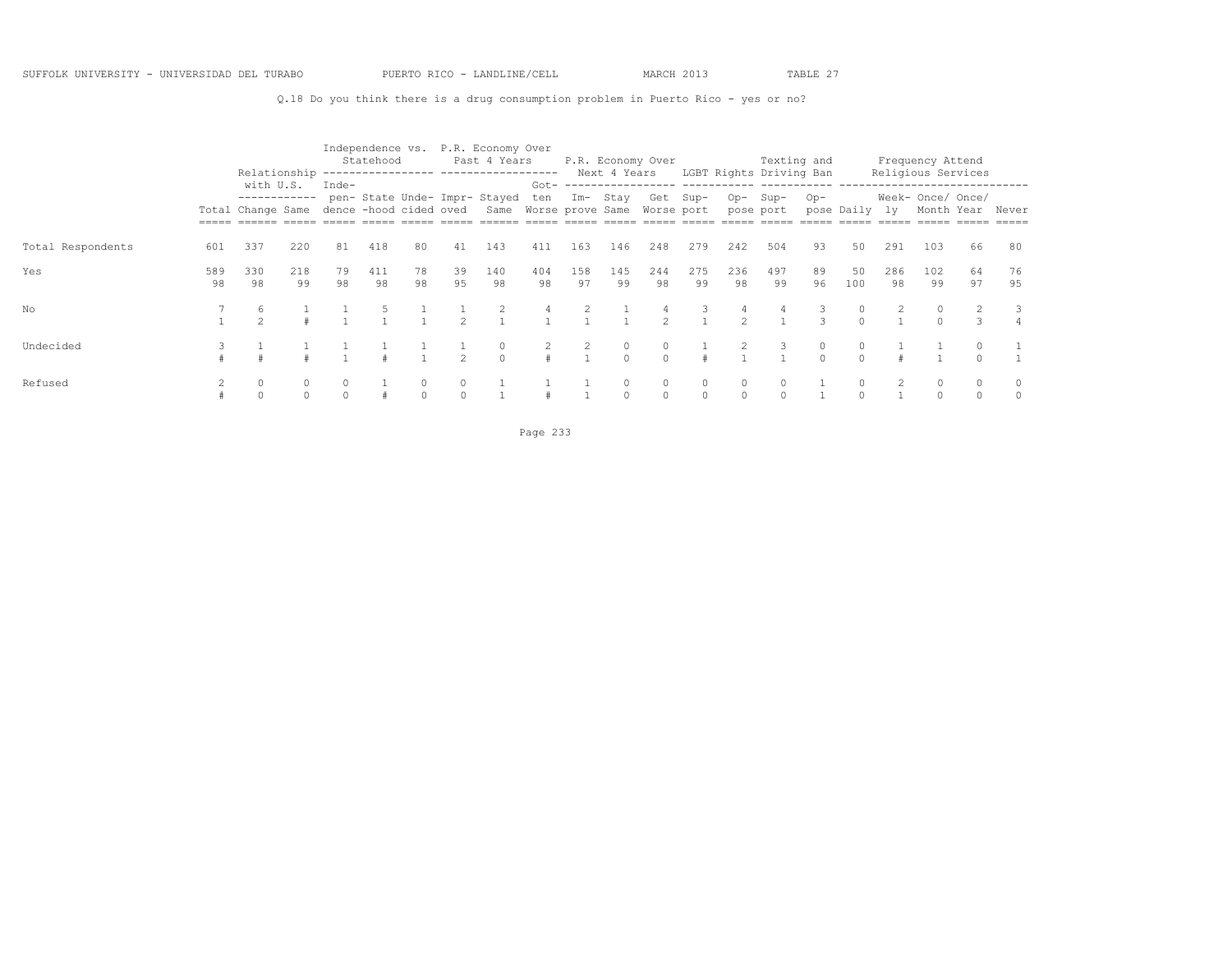Q.18 Do you think there is a drug consumption problem in Puerto Rico - yes or no?

|                   |           |                                                                       |           |          | Statehood |          |               | Independence vs. P.R. Economy Over<br>Past 4 Years<br>Relationship ---------------- ------------------ |                |           |           | P.R. Economy Over   |                     |                    | Texting and<br>Next 4 Years LGBT Rights Driving Ban |          |                   |           | Frequency Attend<br>Religious Services |          |          |
|-------------------|-----------|-----------------------------------------------------------------------|-----------|----------|-----------|----------|---------------|--------------------------------------------------------------------------------------------------------|----------------|-----------|-----------|---------------------|---------------------|--------------------|-----------------------------------------------------|----------|-------------------|-----------|----------------------------------------|----------|----------|
|                   |           | with U.S.<br>------------<br>Total Change Same dence -hood cided oved |           | Inde-    |           |          |               | pen- State Unde- Impr- Stayed<br>Same Worse prove Same Worse port                                      | $Got -$<br>ten | Im- Stay  |           | Get Sup-            |                     | $Op-$              | Sup-<br>pose port                                   | $Op-$    | pose Daily ly     |           | Week- Once/ Once/<br>Month Year        |          | Never    |
| Total Respondents | 601       | 337                                                                   | 220       | 81       | 418       | 80       | 41            | 143                                                                                                    | 411            | 163       | 146       | 248                 | 279                 | 242                | 504                                                 | 93       | 50                | 291       | 103                                    | 66       | 80       |
| Yes               | 589<br>98 | 330<br>98                                                             | 218<br>99 | 79<br>98 | 411<br>98 | 78<br>98 | 39<br>95      | 140<br>98                                                                                              | 404<br>98      | 158<br>97 | 145<br>99 | 244<br>98           | 275<br>99           | 236<br>98          | 497<br>99                                           | 89<br>96 | 50<br>100         | 286<br>98 | 102<br>99                              | 64<br>97 | 76<br>95 |
| No                |           |                                                                       |           |          |           |          | $\mathcal{D}$ |                                                                                                        |                |           |           | $\mathcal{P}$       | 3<br>$\overline{1}$ | 4<br>$\mathcal{P}$ | 4                                                   |          | $\circ$<br>$\cap$ |           |                                        |          | 3        |
| Undecided         |           |                                                                       |           |          |           |          | $\mathcal{D}$ | $\Omega$                                                                                               |                |           | $\bigcap$ | $\Omega$            |                     |                    |                                                     | $\cap$   | 0<br>$\cap$       |           |                                        |          |          |
| Refused           |           | $\circ$                                                               |           |          |           | $\Omega$ | $\cap$        |                                                                                                        |                |           | $\circ$   | $\circ$<br>$\Omega$ | $\circ$             |                    | $\Omega$                                            |          | 0<br>$\Omega$     |           |                                        |          |          |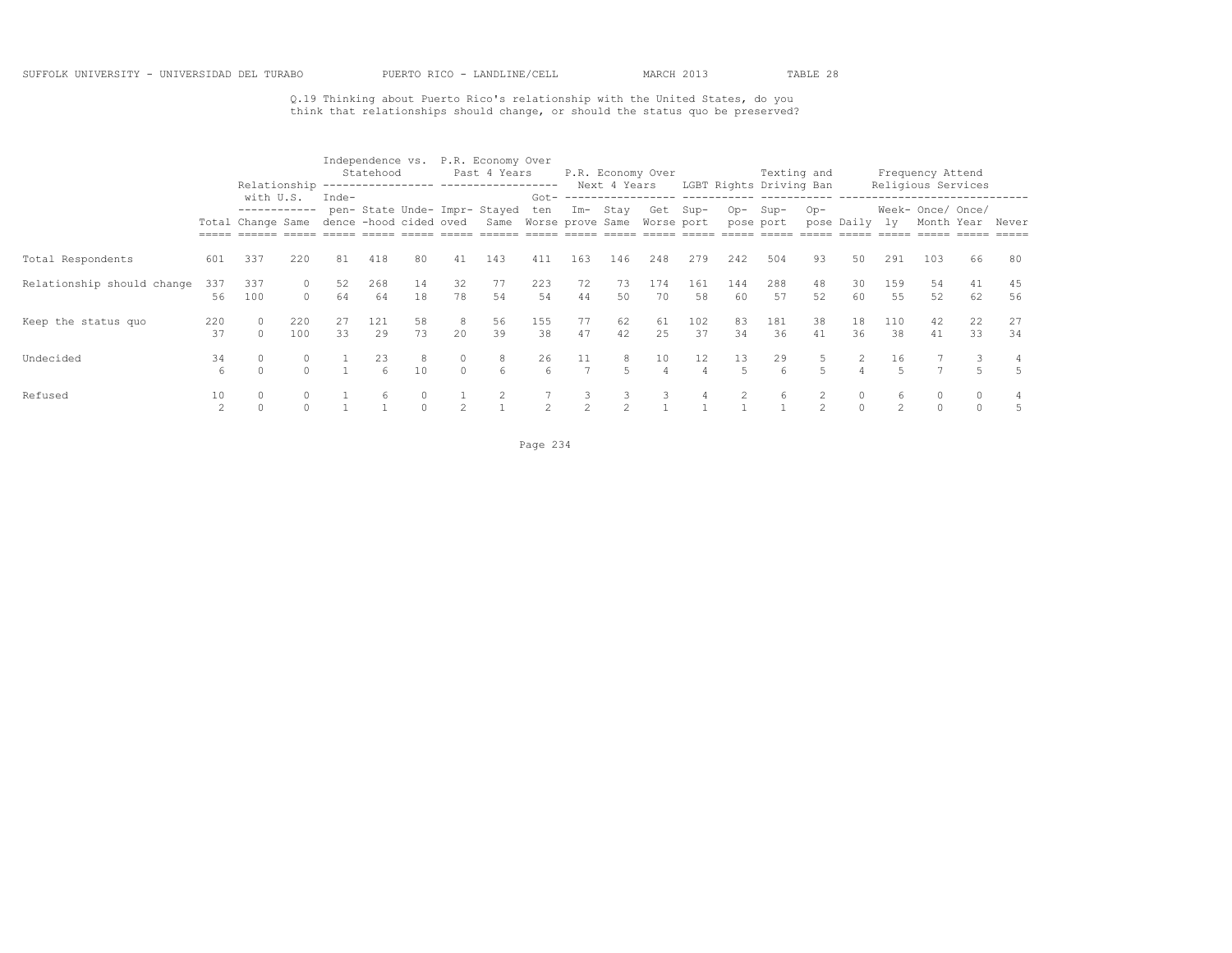Q.19 Thinking about Puerto Rico's relationship with the United States, do you think that relationships should change, or should the status quo be preserved?

|                            |                      | Relationship                                   |            |                                   | Independence vs.<br>Statehood |          |                   | P.R. Economy Over<br>Past 4 Years<br>------------------ ------------------- |                        |                      | P.R. Economy Over<br>Next 4 Years |           |           |           | Texting and<br>LGBT Rights Driving Ban |                     |                |                      | Frequency Attend                | Religious Services |          |
|----------------------------|----------------------|------------------------------------------------|------------|-----------------------------------|-------------------------------|----------|-------------------|-----------------------------------------------------------------------------|------------------------|----------------------|-----------------------------------|-----------|-----------|-----------|----------------------------------------|---------------------|----------------|----------------------|---------------------------------|--------------------|----------|
|                            |                      | with U.S.<br>------------<br>Total Change Same |            | $Inde-$<br>dence -hood cided oved |                               |          |                   | pen- State Unde- Impr- Stayed<br>Same Worse prove Same Worse port           | ten                    |                      | Im- Stay                          |           | Get Sup-  | $Op-$     | Sup-<br>pose port                      | $Op-$               | pose Daily ly  |                      | Week- Once/ Once/<br>Month Year |                    | Never    |
| Total Respondents          | 601                  | 337                                            | 220        | 81                                | 418                           | 80       | 41                | 143                                                                         | 411                    | 163                  | 146                               | 248       | 279       | 242       | 504                                    | 93                  | 50             | 291                  | 103                             | 66                 | 80       |
| Relationship should change | 337<br>56            | 337<br>100                                     | $\Omega$   | 52<br>64                          | 268<br>64                     | 14<br>18 | 32<br>78          | 77<br>54                                                                    | 223<br>54              | 72<br>44             | 73<br>50                          | 174<br>70 | 161<br>58 | 144<br>60 | 288<br>57                              | 48<br>52            | 30<br>60       | 159<br>55            | 54<br>52                        | 41<br>62           | 45<br>56 |
| Keep the status quo        | 220<br>37            | $\cap$                                         | 220<br>100 | 33                                | 121<br>29                     | 58<br>73 | -8<br>20          | 56<br>39                                                                    | 155<br>38              | 77<br>47             | 62<br>42                          | 61<br>25  | 102<br>37 | 83<br>34  | 181<br>36                              | 38<br>41            | 18<br>36       | 110<br>38            | 42<br>41                        | 22<br>33           | 27<br>34 |
| Undecided                  | 34<br>6              |                                                | $\circ$    |                                   | 23<br>6                       | 8<br>10  | $\circ$<br>$\cap$ | 8<br>6                                                                      | 26<br>$6 \overline{6}$ | 11<br>$\overline{7}$ | 8<br>$5 -$                        | 10        | 12        | 13        | 29<br>6                                | 5<br>$\overline{a}$ | $\overline{2}$ | 16<br>$\overline{5}$ |                                 |                    | 4        |
| Refused                    | 10<br>$\mathfrak{D}$ |                                                |            |                                   | 6                             |          |                   |                                                                             |                        | $\sim$               | 3.<br>$\mathfrak{D}$              |           | 4         |           | 6                                      |                     | 0              | 6<br>$\mathfrak{D}$  | 0                               |                    | .5       |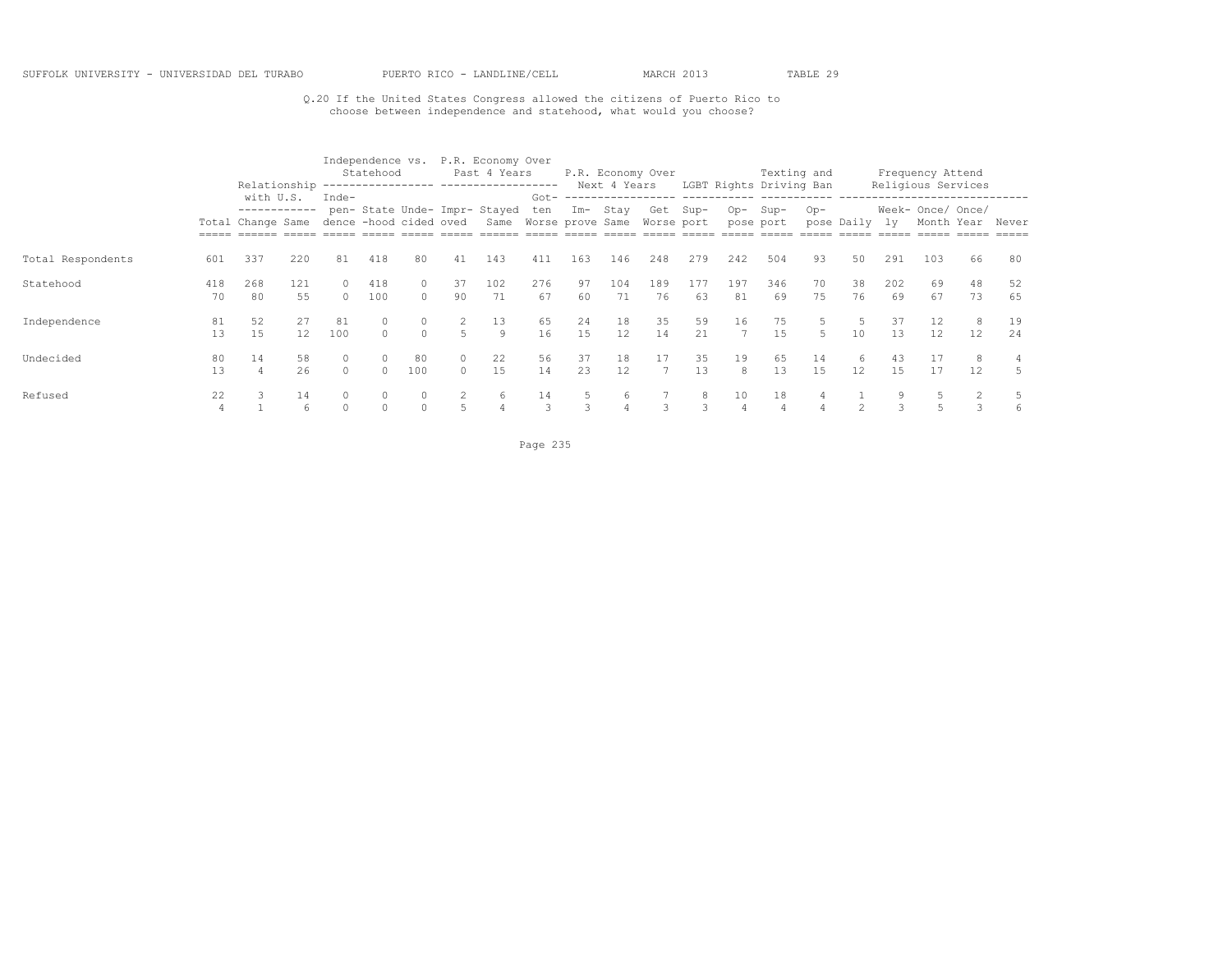## Q.20 If the United States Congress allowed the citizens of Puerto Rico to choose between independence and statehood, what would you choose?

|                   |           | Relationship                                   |           |                                 | Statehood  |               |                      | Independence vs. P.R. Economy Over<br>Past 4 Years                |                |          | Next 4 Years | P.R. Economy Over |           |                      | Texting and<br>LGBT Rights Driving Ban |          |                        |           | Frequency Attend<br>Religious Services |          |          |
|-------------------|-----------|------------------------------------------------|-----------|---------------------------------|------------|---------------|----------------------|-------------------------------------------------------------------|----------------|----------|--------------|-------------------|-----------|----------------------|----------------------------------------|----------|------------------------|-----------|----------------------------------------|----------|----------|
|                   |           | with U.S.<br>------------<br>Total Change Same |           | Inde-<br>dence -hood cided oved |            |               |                      | pen- State Unde- Impr- Stayed<br>Same Worse prove Same Worse port | $Got -$<br>ten | $Im-$    | Stay         | Get               | $Sup-$    | $Op-$                | Sup-<br>pose port                      | $Op-$    | pose Daily             | lv.       | Week- Once/ Once/<br>Month Year        |          | Never    |
| Total Respondents | 601       | 337                                            | 220       | 81                              | 418        | 80            | 41                   | 143                                                               | 411            | 163      | 146          | 248               | 279       | 242                  | 504                                    | 93       | 50                     | 291       | 103                                    | 66       | 80       |
| Statehood         | 418<br>70 | 268<br>80                                      | 121<br>55 | $\Omega$<br>$\cap$              | 418<br>100 | 0<br>$\Omega$ | 37<br>90             | 102<br>71                                                         | 276<br>67      | 97<br>60 | 104<br>71    | 189<br>76         | 177<br>63 | 197<br>81            | 346<br>69                              | 70<br>75 | 38<br>76               | 202<br>69 | 69<br>67                               | 48<br>73 | 52<br>65 |
| Independence      | 81<br>13  | 52<br>15                                       | 27<br>12  | 81<br>100                       |            | $\cap$        | 2<br>5               | 13<br>9                                                           | 65<br>16       | 24<br>15 | 18<br>12     | 35<br>14          | 59<br>21  | 16<br>$\overline{7}$ | 75<br>15                               |          | 5<br>10                | 37<br>13  | 12<br>12                               | 8<br>12  | 19<br>24 |
| Undecided         | 80<br>13  | 14                                             | 58<br>26  | 0<br>0                          |            | 80<br>100     | $\Omega$<br>$\Omega$ | 22<br>15                                                          | 56<br>14       | 37<br>23 | 18<br>12     | 17                | 35<br>13  | 19<br>8              | 65<br>13                               | 14<br>15 | 6<br>$12 \overline{ }$ | 43<br>15  | 17<br>17                               | 8<br>12  | 5.       |
| Refused           | 22<br>4   |                                                | 14<br>6   | 0<br>$\Omega$                   |            |               |                      | 6                                                                 | 14<br>3        |          | 6            |                   | 8<br>3    | 10<br>4              | 18<br>4                                |          |                        |           |                                        |          | 6        |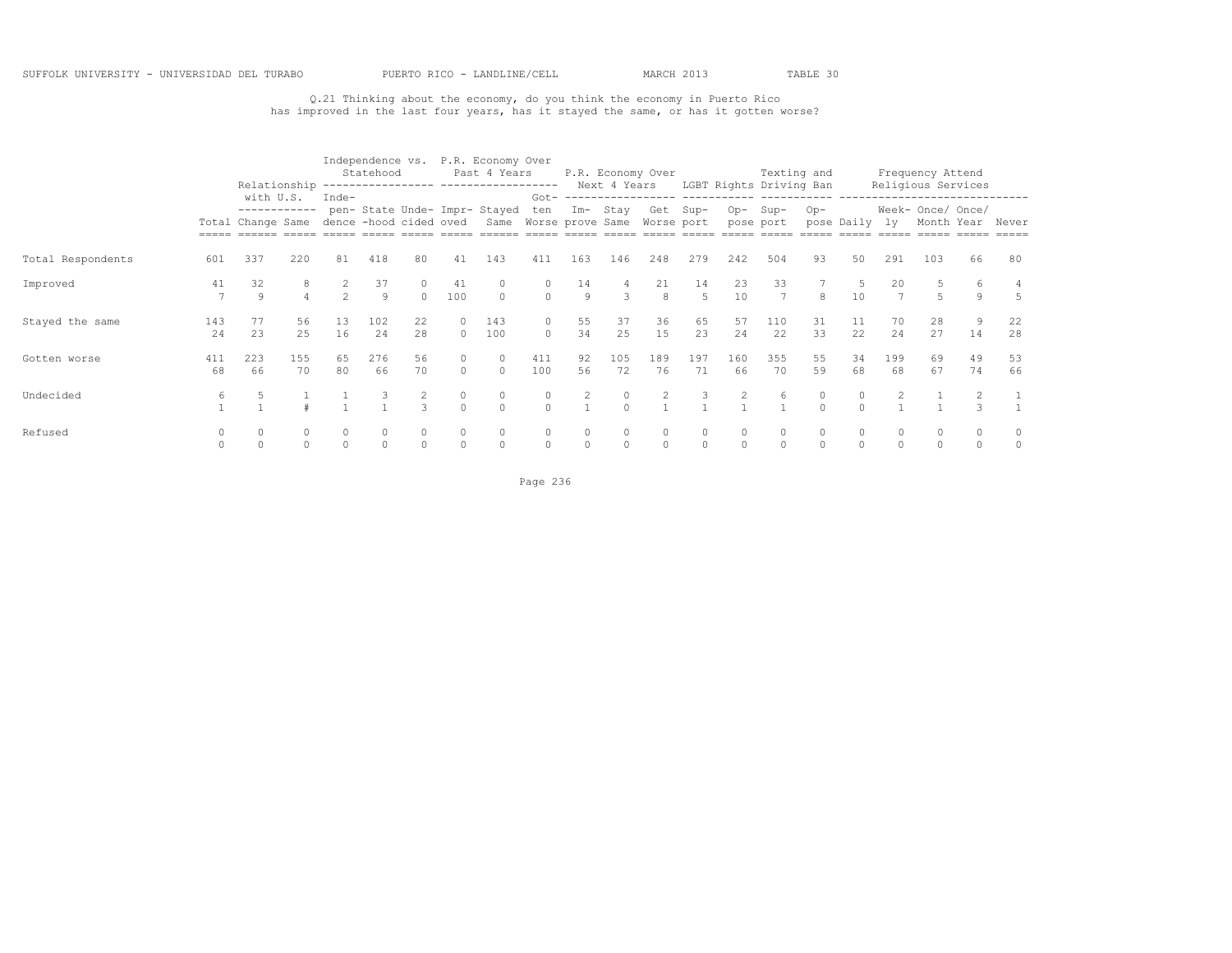## Q.21 Thinking about the economy, do you think the economy in Puerto Rico has improved in the last four years, has it stayed the same, or has it gotten worse?

|                   |           | Relationship                                                          |           |                | Statehood |          |                   | Independence vs. P.R. Economy Over<br>Past 4 Years                |                   |          |           | P.R. Economy Over |           |                      | Texting and<br>Next 4 Years LGBT Rights Driving Ban |          |                      |           | Frequency Attend                | Religious Services |          |
|-------------------|-----------|-----------------------------------------------------------------------|-----------|----------------|-----------|----------|-------------------|-------------------------------------------------------------------|-------------------|----------|-----------|-------------------|-----------|----------------------|-----------------------------------------------------|----------|----------------------|-----------|---------------------------------|--------------------|----------|
|                   |           | with U.S.<br>------------<br>Total Change Same dence -hood cided oved |           | Inde-          |           |          |                   | pen- State Unde- Impr- Stayed<br>Same Worse prove Same Worse port | $Got -$<br>ten    |          | Im- Stay  | Get Sup-          |           | $Op-$                | $Sup-$<br>pose port                                 | $Op-$    | pose Daily ly        |           | Week- Once/ Once/<br>Month Year |                    | Never    |
|                   |           |                                                                       |           |                |           |          |                   |                                                                   |                   |          |           |                   |           |                      |                                                     |          |                      |           |                                 |                    |          |
| Total Respondents | 601       | 337                                                                   | 220       | 81             | 418       | 80       | 41                | 143                                                               | 411               | 163      | 146       | 248               | 279       | 242                  | 504                                                 | 93       | 50                   | 291       | 103                             | 66                 | 80       |
| Improved          | 41        | 32<br>9                                                               | 8         | $\mathfrak{D}$ | 37<br>9   | $\Omega$ | 41<br>100         | $\Omega$                                                          | $\Omega$          | 14<br>9  | 3         | 21<br>8           | 14<br>5   | 23<br>10             | 33<br>$\overline{7}$                                | 8        | -5<br>10             |           |                                 | 9                  | 5        |
| Stayed the same   | 143<br>24 | 77<br>23                                                              | 56<br>25  | 13<br>16       | 102<br>24 | 22<br>28 | $\circ$<br>$\cap$ | 143<br>100                                                        | $\circ$<br>$\cap$ | 55<br>34 | 37<br>25  | 36<br>15          | 65<br>23  | 57<br>2.4            | 110<br>22                                           | 31<br>33 | 11<br>22             | 70<br>2.4 | 28<br>27                        | 14                 | 22<br>28 |
| Gotten worse      | 411<br>68 | 223<br>66                                                             | 155<br>70 | 65<br>80       | 276<br>66 | 56<br>70 | $\circ$<br>$\cap$ | $\circ$<br>$\cap$                                                 | 411<br>100        | 92<br>56 | 105<br>72 | 189<br>76         | 197<br>71 | 160<br>66            | 355<br>70                                           | 55<br>59 | 34<br>68             | 199<br>68 | 69<br>67                        | 49<br>74           | 53<br>66 |
| Undecided         | 6         |                                                                       |           |                |           | 3        | 0<br>$\Omega$     | $\circ$<br>$\Omega$                                               | $\Omega$          | 2        | $\Omega$  | 2                 | 3         |                      | 6                                                   | $\cap$   | 0<br>$\Omega$        |           |                                 |                    |          |
| Refused           |           |                                                                       | $\Omega$  | $\Omega$       |           | $\Omega$ | $\circ$           | $\mathbf{0}$<br>$\circ$                                           | $\Omega$          | 0        | $\Omega$  | $\circ$           | $\circ$   | $\Omega$<br>$\Omega$ | $\Omega$<br>$\Omega$                                | $\cap$   | $\Omega$<br>$\Omega$ |           | $\Omega$                        | 0<br>0             |          |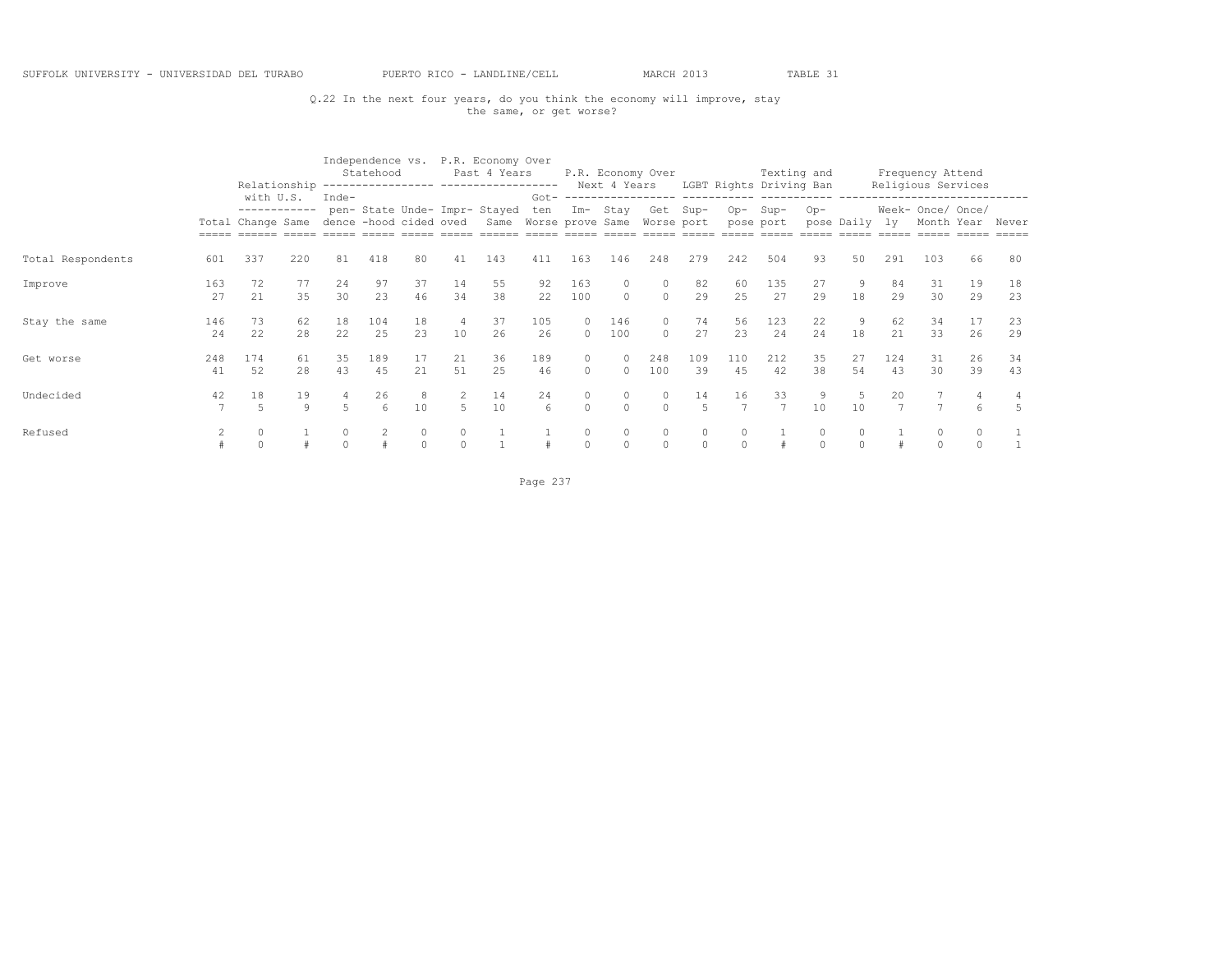## Q.22 In the next four years, do you think the economy will improve, stay the same, or get worse?

|                   |           | Relationship                                   |               |                     | Statehood  |                        |          | Independence vs. P.R. Economy Over<br>Past 4 Years<br>------------------ ------------------- |                |                     | Next 4 Years        | P.R. Economy Over   |                         |                     | Texting and<br>LGBT Rights Driving Ban            |           |            |           | Frequency Attend<br>Religious Services |          |          |
|-------------------|-----------|------------------------------------------------|---------------|---------------------|------------|------------------------|----------|----------------------------------------------------------------------------------------------|----------------|---------------------|---------------------|---------------------|-------------------------|---------------------|---------------------------------------------------|-----------|------------|-----------|----------------------------------------|----------|----------|
|                   |           | with U.S.<br>------------<br>Total Change Same |               | Inde-               |            | dence -hood cided oved |          | pen- State Unde- Impr- Stayed<br>Same Worse prove Same Worse port                            | $Got -$<br>ten |                     | Im- Stay            |                     | Get Sup-                | $Op-$               | ---------- ----------- -----<br>Sup-<br>pose port | $Op-$     | pose Daily | lv.       | Week- Once/ Once/<br>Month Year        |          | Never    |
| Total Respondents | 601       | 337                                            | 220           | 81                  | 418        | 80                     | 41       | 143                                                                                          | 411            | 163                 | 146                 | 248                 | 279                     | 242                 | 504                                               | 93        | 50         | 291       | 103                                    | 66       | 80       |
| Improve           | 163<br>27 | 72<br>21                                       | 77<br>35      | 24<br>30            | 97<br>23   | 37<br>46               | 14<br>34 | 55<br>38                                                                                     | 92<br>22       | 163<br>100          | $\Omega$            | $\circ$             | 82<br>29                | 60<br>25            | 135<br>27                                         | 27<br>29  | 18         | 84<br>29  | 31<br>30                               | 19<br>29 | 18<br>23 |
| Stay the same     | 146<br>24 | 73<br>22                                       | 62<br>28      | 18<br>22            | 104<br>2.5 | 18<br>2.3              | 4<br>10  | 37<br>26                                                                                     | 105<br>26      | $\Omega$<br>$\cap$  | 146<br>100          | $\Omega$<br>$\cap$  | 74<br>27                | 56<br>2.3           | 123<br>24                                         | 22<br>2.4 | 9<br>18    | 62<br>2.1 | 34<br>33                               | 17<br>26 | 23<br>29 |
| Get worse         | 248<br>41 | 174<br>52                                      | 61<br>2.8     | 35<br>43            | 189<br>45  | 17<br>21               | 21<br>51 | 36<br>2.5                                                                                    | 189<br>46      | $\circ$<br>$\Omega$ | $\circ$<br>$\Omega$ | 248<br>100          | 109<br>39               | 110<br>45           | 212<br>42                                         | 35<br>38  | 27<br>54   | 124<br>43 | 31<br>30                               | 26<br>39 | 34<br>43 |
| Undecided         | 42        | 18<br>5                                        | 19<br>$\circ$ |                     | 26<br>6    | 10                     | 5        | 14<br>10                                                                                     | 24<br>6        | 0<br>$\Omega$       | $\Omega$            | $\Omega$            | 14<br>$\overline{5}$    | 16                  | 33<br>$\overline{7}$                              | 10        | 10         |           |                                        | 6        | 5        |
| Refused           |           |                                                |               | $\Omega$<br>$\circ$ |            | 0                      | $\Omega$ |                                                                                              |                | $\circ$             | 0                   | $\Omega$<br>$\circ$ | $\circ$<br>$\mathbf{0}$ | $\Omega$<br>$\circ$ |                                                   | $\Omega$  | $\Omega$   |           | $\Omega$<br>$\Omega$                   |          |          |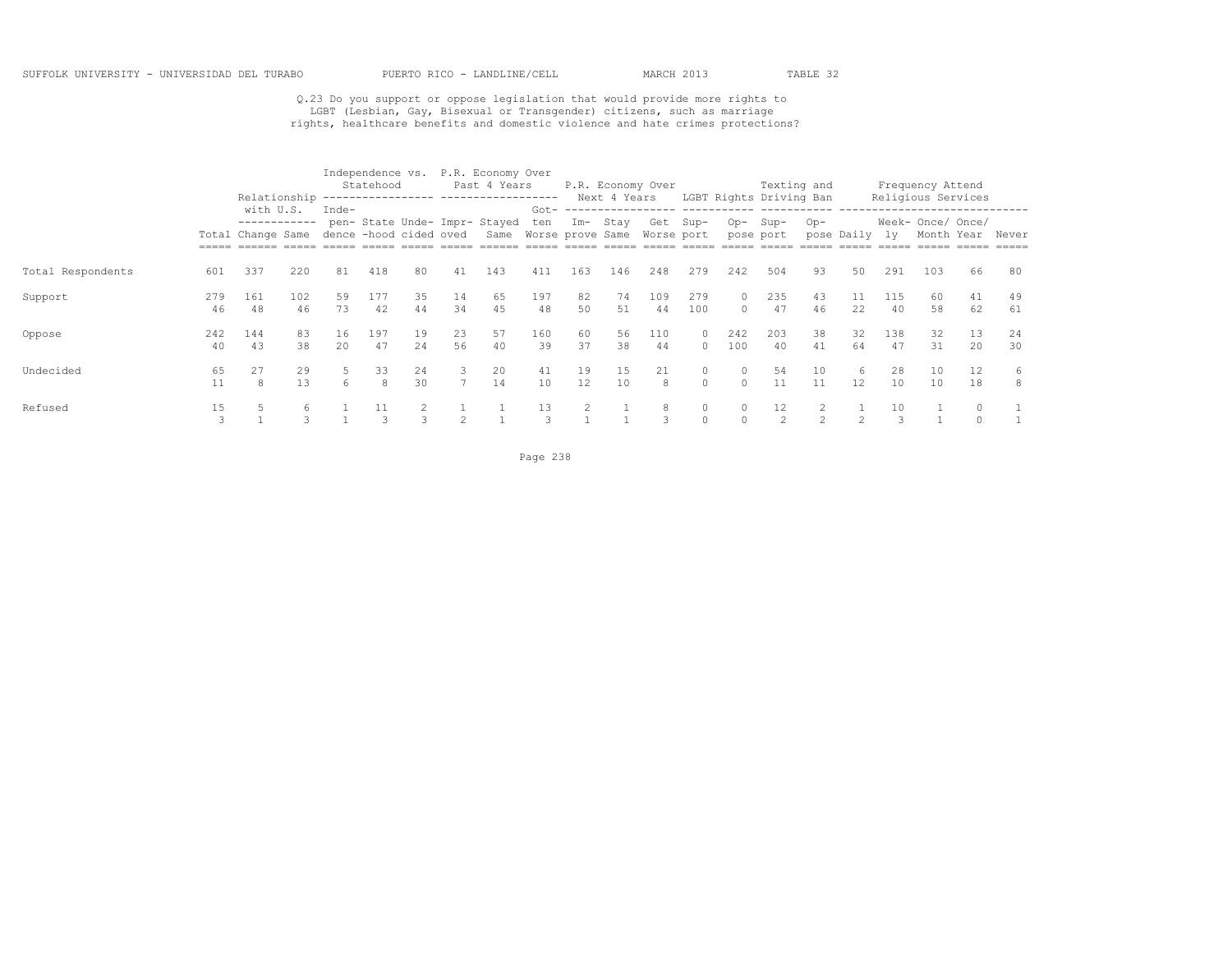# Q.23 Do you support or oppose legislation that would provide more rights to<br>LGBT (Lesbian, Gay, Bisexual or Transgender) citizens, such as marriage<br>rights, healthcare benefits and domestic violence and hate crimes protecti

|                   |           |                                                                       |           |                    | Statehood |           |                     | Independence vs. P.R. Economy Over<br>Past 4 Years     |                     |           | Next 4 Years | P.R. Economy Over      |                      |                      | Texting and<br>LGBT Rights Driving Ban |                |                |           | Frequency Attend<br>Religious Services |          |                  |
|-------------------|-----------|-----------------------------------------------------------------------|-----------|--------------------|-----------|-----------|---------------------|--------------------------------------------------------|---------------------|-----------|--------------|------------------------|----------------------|----------------------|----------------------------------------|----------------|----------------|-----------|----------------------------------------|----------|------------------|
|                   |           | with U.S.<br>------------<br>Total Change Same dence -hood cided oved |           | $Inde-$            |           |           |                     | pen- State Unde- Impr- Stayed<br>Same Worse prove Same | ten                 | Im- Stay  |              | Get Sup-<br>Worse port |                      | Op-Sup-              | pose port                              | $Op-$          | pose Daily ly  |           | Week- Once/ Once/                      |          | Month Year Never |
| Total Respondents | 601       | 337                                                                   | 220       | 81                 | 418       | 80        | 41                  | 143                                                    | 411                 | 163       | 146          | 248                    | 279                  | 242                  | 504                                    | 93             | 50             | 291       | 103                                    | 66       | -80              |
| Support           | 279<br>46 | 161<br>48                                                             | 102<br>46 | 59<br>73           | 177<br>42 | 35<br>44  | 14<br>34            | 65<br>45                                               | 197<br>48           | 82<br>50  | 74<br>51     | 109<br>44              | 279<br>100           | $\Omega$<br>$\Omega$ | 235<br>47                              | 43<br>46       | 22             | 115<br>40 | 60<br>58                               | 41<br>62 | 49<br>61         |
| Oppose            | 242<br>40 | 144<br>43                                                             | 83<br>38  | 16<br>$20^{\circ}$ | 197<br>47 | 19<br>2.4 | 23<br>56            | 57<br>40                                               | 160<br>39           | 60<br>37  | 56<br>38     | 110<br>44              | $\Omega$<br>$\Omega$ | 242<br>100           | 203<br>40                              | 38<br>41       | 32<br>64       | 138<br>47 | 32<br>31                               | 13<br>20 | 24<br>30         |
| Undecided         | 65<br>11  | 27<br>$\mathcal{R}$                                                   | 29<br>13  | 6                  | 33<br>8   | 24<br>30  | 3<br>$\overline{7}$ | 20<br>14                                               | 41<br>10            | 19<br>12. | 15<br>10     | 21<br>$\mathcal{R}$    | 0<br>$\Omega$        | $\circ$<br>$\Omega$  | 54<br>11                               | 10<br>11       | 6<br>12        | 28<br>10  | 10<br>10                               | 12<br>18 | 6<br>-8          |
| Refused           | 15<br>3   |                                                                       |           |                    |           | 3         |                     |                                                        | 13<br>$\mathcal{R}$ |           |              | 8<br>3                 | $\circ$<br>$\Omega$  | $\Omega$             | 12<br>$\mathfrak{D}$                   | $\mathfrak{D}$ | $\mathfrak{D}$ | 10        |                                        | $\Omega$ |                  |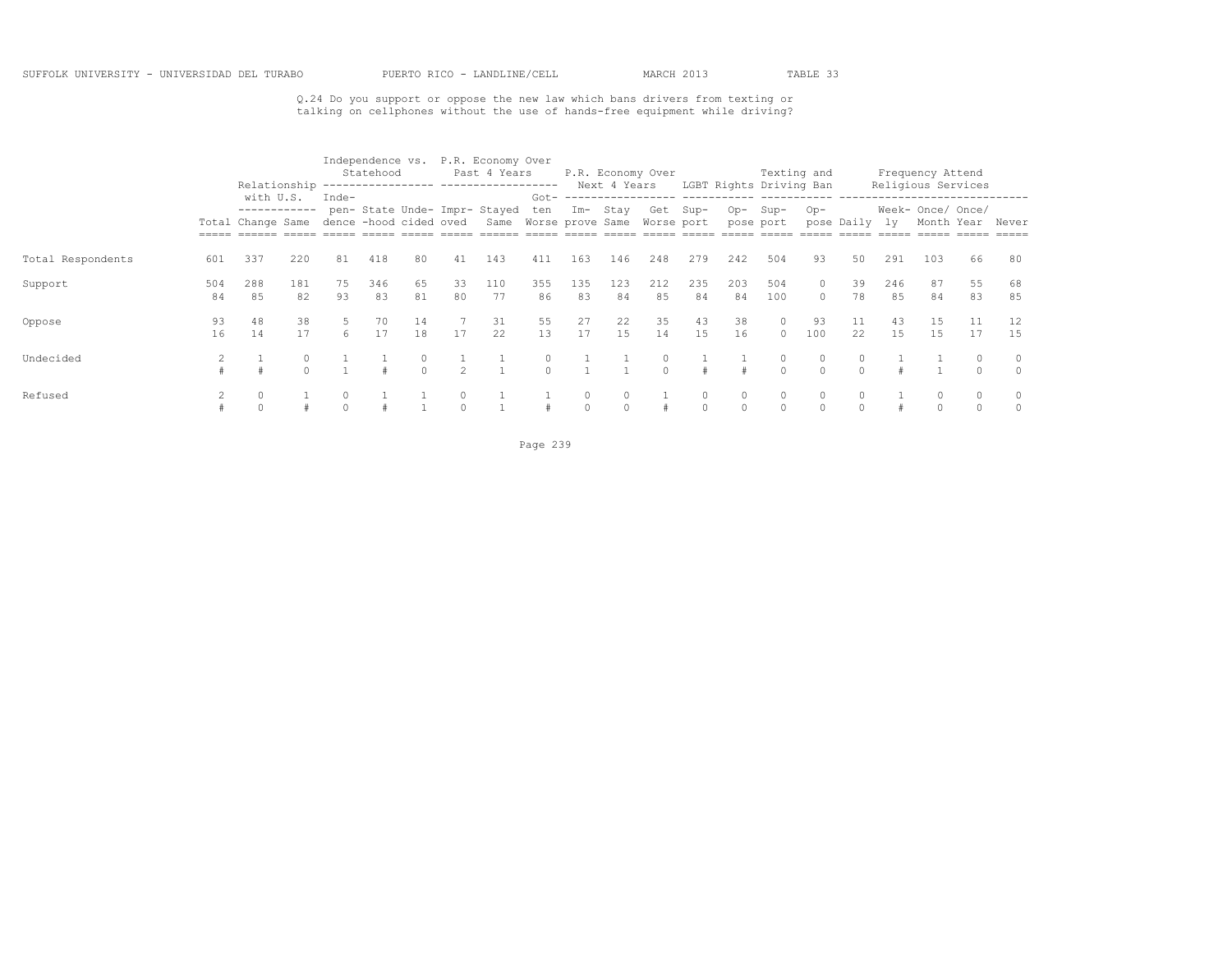Q.24 Do you support or oppose the new law which bans drivers from texting or talking on cellphones without the use of hands-free equipment while driving?

|                   |           | Relationship              |           |          | Statehood |          |                | Independence vs. P.R. Economy Over<br>Past 4 Years      |               |           | P.R. Economy Over<br>Next 4 Years |                     |               |           | Texting and                     |                      |               |           | Frequency Attend                        |          |                     |
|-------------------|-----------|---------------------------|-----------|----------|-----------|----------|----------------|---------------------------------------------------------|---------------|-----------|-----------------------------------|---------------------|---------------|-----------|---------------------------------|----------------------|---------------|-----------|-----------------------------------------|----------|---------------------|
|                   |           | with U.S.<br>------------ |           | Inde-    |           |          |                | pen- State Unde- Impr- Stayed                           | ten           | Im- Stay  |                                   | Get Sup-            |               | $Op-$     | LGBT Rights Driving Ban<br>Sup- | $Op-$                |               |           | Religious Services<br>Week- Once/ Once/ |          |                     |
|                   |           | Total Change Same         |           |          |           |          |                | dence -hood cided oved Same Worse prove Same Worse port |               |           |                                   |                     |               |           | pose port                       |                      | pose Daily ly |           | Month Year                              |          | Never               |
| Total Respondents | 601       | 337                       | 220       | 81       | 418       | 80       | 41             | 143                                                     | 411           | 163       | 146                               | 248                 | 279           | 242       | 504                             | 93                   | 50            | 291       | 103                                     | 66       | 80                  |
| Support           | 504<br>84 | 288<br>85                 | 181<br>82 | 75<br>93 | 346<br>83 | 65<br>81 | 33<br>80       | 110<br>77                                               | 355<br>86     | 135<br>83 | 123<br>84                         | 212<br>85           | 235<br>84     | 203<br>84 | 504<br>100                      | $\Omega$<br>$\Omega$ | 39<br>78      | 246<br>85 | 87<br>84                                | 55<br>83 | 68<br>85            |
| Oppose            | 93<br>16  | 48<br>14                  | 38<br>17  | 5.<br>6. | 70<br>17  | 14<br>18 | 17             | 31<br>22                                                | 55<br>1.3     | 27<br>17  | 22<br>15                          | 35<br>14            | 43<br>1.5     | 38<br>16  | $\circ$<br>$\Omega$             | 93<br>100            | 11<br>22      | 43<br>1.5 | 15<br>1.5                               | 17       | 1.5                 |
| Undecided         |           |                           |           |          |           | $\cap$   | $\mathfrak{D}$ |                                                         | 0<br>$\Omega$ |           |                                   | $\circ$<br>$\Omega$ |               |           | 0<br>$\Omega$                   | $\circ$<br>$\cap$    | 0<br>$\cap$   |           |                                         |          | $\circ$<br>$\Omega$ |
| Refused           |           |                           |           |          |           |          |                |                                                         |               |           | $\circ$<br>$\cap$                 |                     | 0<br>$\Omega$ | 0         | $\Omega$                        | $\circ$<br>$\cap$    | $\Omega$      |           |                                         |          | $\circ$<br>$\cap$   |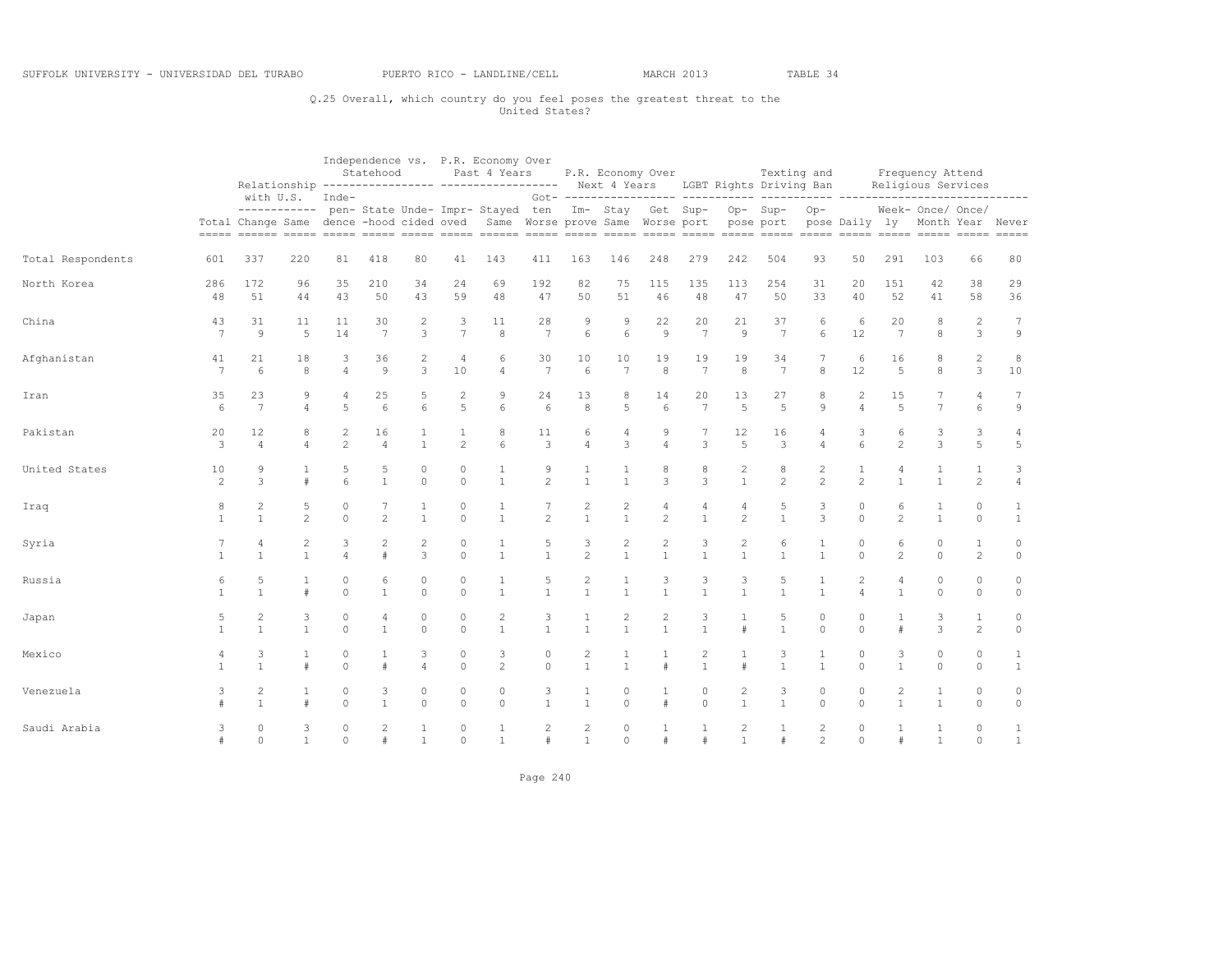## Q.25 Overall, which country do you feel poses the greatest threat to the United States?

|                   |                     |                                  |                     |                        | Statehood            |                              |                              | Independence vs. P.R. Economy Over<br>Past 4 Years<br>Relationship ---------------- ----------------- Next 4 Years LGBT Rights Driving Ban |                        |                                |                                         | P.R. Economy Over              |                                |                                | Texting and                             |                                  |                                |                                | Frequency Attend<br>Religious Services |                                |                              |
|-------------------|---------------------|----------------------------------|---------------------|------------------------|----------------------|------------------------------|------------------------------|--------------------------------------------------------------------------------------------------------------------------------------------|------------------------|--------------------------------|-----------------------------------------|--------------------------------|--------------------------------|--------------------------------|-----------------------------------------|----------------------------------|--------------------------------|--------------------------------|----------------------------------------|--------------------------------|------------------------------|
|                   |                     | with U.S.                        | ------------        | Inde-                  |                      |                              |                              | pen- State Unde- Impr- Stayed ten<br>Total Change Same dence -hood cided oved Same Worse prove Same Worse port                             |                        |                                |                                         |                                |                                |                                | Im- Stay Get Sup- Op- Sup-<br>pose port | $Op-$                            | pose Daily ly                  |                                | Week- Once/ Once/<br>Month Year Never  |                                | ---------<br>$== == ==$      |
| Total Respondents | 601                 | 337                              | 220                 | 81                     | 418                  | 80                           | 41                           | 143                                                                                                                                        | 411                    | 163                            | 146                                     | 248                            | 279                            | 242                            | 504                                     | 93                               | 50                             | 291                            | 103                                    | 66                             | 80                           |
| North Korea       | 286<br>48           | 172<br>51                        | 96<br>44            | 35<br>43               | 210<br>50            | 34<br>43                     | 24<br>59                     | 69<br>48                                                                                                                                   | 192<br>47              | 82<br>50                       | 75<br>51                                | 115<br>46                      | 135<br>48                      | 113<br>47                      | 254<br>50                               | 31<br>33                         | 20<br>40                       | 151<br>52                      | 42<br>41                               | 38<br>58                       | 29<br>36                     |
| China             | 43<br>7             | 31<br>$\mathcal{Q}$              | 11<br>5             | 11<br>14               | 30<br>7              | $\overline{\mathbf{c}}$<br>3 | 3<br>$\overline{7}$          | 11<br>8                                                                                                                                    | 28<br>$\overline{7}$   | 9<br>6                         | 9<br>6                                  | 22<br>$\circ$                  | 20<br>7                        | 21<br>9                        | 37<br>$\overline{7}$                    | 6<br>6                           | 6<br>12                        | 20<br>7                        | 8<br>8                                 | $\overline{c}$<br>3            | $\tau$<br>9                  |
| Afghanistan       | 41<br>7             | 21<br>6                          | 18<br>8             | 3<br>4                 | 36<br>$\overline{9}$ | 2<br>3                       | $\overline{4}$<br>10         | 6<br>$\overline{4}$                                                                                                                        | 30<br>7                | 10<br>6                        | 10<br>7                                 | 19<br>8                        | 19<br>7                        | 19<br>8                        | 34<br>$7\overline{ }$                   | $\overline{7}$<br>8              | 6<br>12                        | 16<br>5                        | 8<br>8                                 | $\mathbf{2}$<br>$\mathbf{3}$   | 8<br>10                      |
| Iran              | 35<br>6             | 23<br>7                          | 9<br>$\overline{4}$ | 4<br>5                 | 25<br>6              | 5<br>6                       | $\overline{\mathbf{c}}$<br>5 | 9<br>6                                                                                                                                     | 24<br>6                | 13<br>8                        | 8<br>5                                  | 14<br>6                        | 20<br>7                        | 13<br>5                        | 27<br>5                                 | 8<br>9                           | 2<br>$\overline{4}$            | 15<br>$\overline{5}$           | 7<br>$\overline{7}$                    | 4<br>6                         | 7<br>$\mathfrak{S}$          |
| Pakistan          | 20<br>3             | 12<br>$\overline{4}$             | 8<br>$\overline{a}$ | 2<br>$\overline{c}$    | 16<br>$\overline{4}$ | 1<br>$\mathbf{1}$            | 1<br>$\overline{c}$          | 8<br>6                                                                                                                                     | 11<br>3                | 6<br>$\overline{4}$            | 4<br>3                                  | 9<br>$\overline{4}$            | 7<br>3                         | 12<br>5                        | 16<br>3                                 | $\overline{4}$                   | 3<br>6                         | 6<br>2                         | 3<br>3                                 | 3<br>5                         | $\overline{4}$<br>5          |
| United States     | 10<br>2             | 9<br>3                           | 1<br>$\#$           | 5<br>6                 | 5<br>$\mathbf{1}$    | $\circ$<br>$\Omega$          | $\mathbb O$<br>$\mathbf{0}$  | $1\,$<br>$\mathbf{1}$                                                                                                                      | 9<br>$\overline{c}$    | 1<br>$\mathbf{1}$              | 1<br>$\overline{1}$                     | 8<br>$\mathbf{3}$              | 8<br>3                         | $\overline{c}$<br>$\mathbf{1}$ | 8<br>$\overline{c}$                     | $\overline{c}$<br>$\overline{c}$ | $\mathbf{1}$<br>$\overline{c}$ | 4<br>$\mathbf{1}$              | 1<br>$\mathbf{1}$                      | $\mathbf{1}$<br>$\overline{c}$ | 3<br>$\sqrt{4}$              |
| Iraq              | 8<br>$\overline{1}$ | $\overline{2}$<br>$\mathbf{1}$   | 5<br>$\overline{c}$ | $\circ$<br>$\Omega$    | $\overline{c}$       | $\mathbf{1}$                 | $\mathbb O$<br>$\circ$       | 1<br>$\mathbf{1}$                                                                                                                          | $\overline{2}$         | 2<br>$\mathbf{1}$              | $\overline{\mathbf{c}}$<br>$\mathbf{1}$ | 4<br>$\overline{2}$            | $\overline{4}$<br>$\mathbf{1}$ | 4<br>$\overline{c}$            | 5<br>$\mathbf{1}$                       | 3<br>3                           | 0<br>$\circ$                   | 6<br>$\overline{c}$            | $\mathbf{1}$<br>$\mathbf{1}$           | $\mathbf{0}$<br>$\circ$        | 1<br>$\mathbf{1}$            |
| Syria             | $\overline{1}$      | 4<br>$\mathbf{1}$                | 2<br>$\mathbf{1}$   | 3<br>4                 | 2                    | 2<br>3                       | $\circ$<br>$\mathbf{0}$      | $\mathbf{1}$<br>$\mathbf{1}$                                                                                                               | 5<br>$\mathbf{1}$      | 3<br>$\mathfrak{D}$            | $\overline{c}$<br>$\mathbf{1}$          | $\overline{c}$<br>$\mathbf{1}$ | 3<br>$\overline{1}$            | $\overline{c}$<br>$\mathbf{1}$ | 6<br>$\mathbf{1}$                       | $\mathbf{1}$<br>$\mathbf{1}$     | 0<br>$\Omega$                  | 6<br>$\mathfrak{D}$            | 0<br>$\Omega$                          | $\mathbf{1}$<br>$\overline{2}$ | $\circ$<br>$\circ$           |
| Russia            | 6<br>$\overline{1}$ | 5<br>$\mathbf{1}$                | 1<br>$\#$           | $\circ$<br>$\Omega$    | 6<br>$\mathbf{1}$    | $\circ$<br>$\Omega$          | $\circ$<br>$\mathbf{0}$      | $\mathbf{1}$<br>$\mathbf{1}$                                                                                                               | 5<br>$\mathbf{1}$      | $\overline{c}$<br>$\mathbf{1}$ | 1<br>$\overline{1}$                     | 3<br>$\mathbf{1}$              | 3<br>$\mathbf{1}$              | 3<br>$\mathbf{1}$              | 5<br>$\mathbf{1}$                       | $\mathbf{1}$<br>$\mathbf{1}$     | $\mathbf{2}$<br>$\overline{4}$ | $\overline{4}$<br>$\mathbf{1}$ | $\circ$<br>$\Omega$                    | $\circ$<br>$\circ$             | $\circ$<br>$\circ$           |
| Japan             | 5<br>$\overline{1}$ | $\overline{c}$<br>$\mathbf{1}$   | 3<br>$\mathbf{1}$   | 0<br>$\Omega$          | 4<br>$\mathbf{1}$    | 0<br>$\Omega$                | $\mathbb O$<br>$\circ$       | $\overline{c}$<br>$\mathbf{1}$                                                                                                             | 3<br>$\mathbf{1}$      | $\mathbf{1}$                   | $\overline{c}$<br>$\overline{1}$        | $\sqrt{2}$<br>$\mathbf{1}$     | 3<br>$\mathbf{1}$              | #                              | 5<br>$\mathbf{1}$                       | $\circ$<br>$\circ$               | 0<br>$\Omega$                  | #                              | 3<br>3                                 | 1<br>$\overline{c}$            | 0<br>$\circ$                 |
| Mexico            | 4<br>$\overline{1}$ | 3<br>$\mathbf{1}$                | 1<br>$\#$           | $\mathbf 0$<br>$\circ$ |                      | 3<br>$\overline{4}$          | $\circ$<br>$\mathbf{0}$      | 3<br>2                                                                                                                                     | 0<br>$\circ$           | 2<br>$\mathbf{1}$              | $\mathbf{1}$<br>$\overline{1}$          | 1<br>#                         | 2<br>$\mathbf{1}$              | 1<br>#                         | 3<br>$\mathbf{1}$                       | 1<br>$\mathbf{1}$                | 0<br>$\Omega$                  | 3<br>$\mathbf{1}$              | 0<br>$\Omega$                          | 0<br>$\circ$                   | $\mathbf{1}$<br>$\mathbf{1}$ |
| Venezuela         | 3                   | $\overline{c}$<br>$\overline{1}$ | 1<br>$\#$           | $\circ$<br>$\Omega$    | 3<br>$\mathbf{1}$    | 0<br>$\Omega$                | $\mathbb O$<br>$\mathbf{0}$  | $\circ$<br>$\Omega$                                                                                                                        | 3<br>$\mathbf{1}$      | 1<br>$\mathbf{1}$              | 0<br>$\Omega$                           | $\mathbf{1}$<br>$\#$           | $\circ$<br>$\Omega$            | $\overline{c}$<br>$\mathbf{1}$ | 3<br>$\mathbf{1}$                       | $\circ$<br>$\Omega$              | 0<br>$\Omega$                  | $\overline{c}$<br>$\mathbf{1}$ | 1<br>$\mathbf{1}$                      | 0<br>$\circ$                   | $\circ$<br>$\circ$           |
| Saudi Arabia      | 3<br>#              | $\circ$<br>$\Omega$              | 3<br>$\mathbf{1}$   | $\circ$<br>$\Omega$    | 2                    | $\mathbf{1}$                 | $\circ$<br>$\Omega$          | $\mathbf{1}$<br>$\mathbf{1}$                                                                                                               | $\overline{c}$<br>$\#$ | $\overline{2}$<br>$\mathbf{1}$ | $\Omega$<br>$\Omega$                    | #                              | #                              | 2<br>1                         | 1<br>$\#$                               | $\mathbf{2}$<br>$\overline{c}$   | $\circ$<br>$\Omega$            | #                              | $\mathbf{1}$                           | $\circ$<br>$\Omega$            | $\mathbf{1}$<br>$\mathbf{1}$ |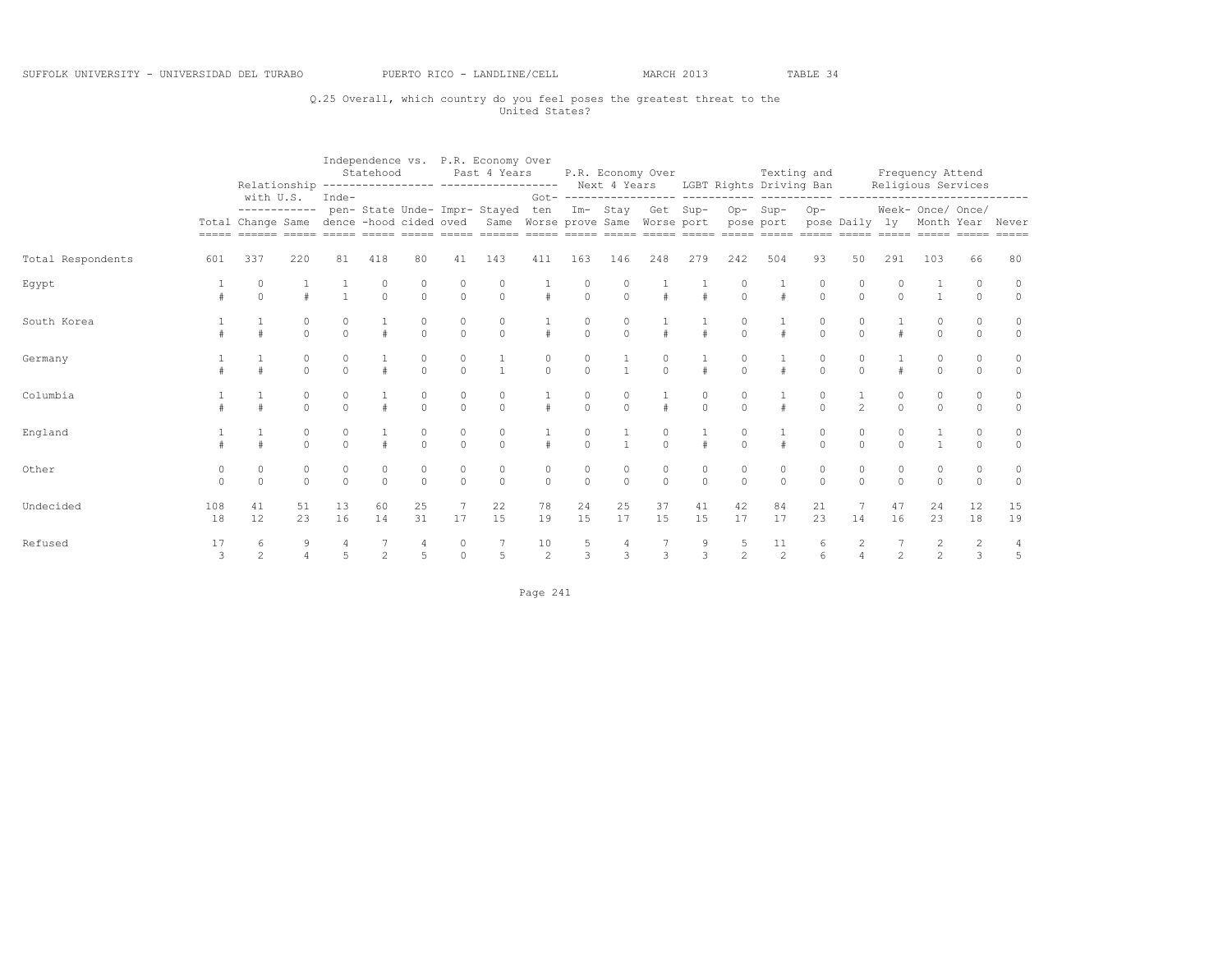## Q.25 Overall, which country do you feel poses the greatest threat to the United States?

|                   |               |                     |                      |          | Statehood           |                     |                                      | Independence vs. P.R. Economy Over<br>Past 4 Years<br>Relationship ---------------- ----------------- Next 4 Years LGBT Rights Driving Ban |                     |               |                     | P.R. Economy Over     |                     |                     |                     | Texting and |                     |                | Frequency Attend<br>Religious Services |          |                                |
|-------------------|---------------|---------------------|----------------------|----------|---------------------|---------------------|--------------------------------------|--------------------------------------------------------------------------------------------------------------------------------------------|---------------------|---------------|---------------------|-----------------------|---------------------|---------------------|---------------------|-------------|---------------------|----------------|----------------------------------------|----------|--------------------------------|
|                   |               | with U.S.           | ------------         | Inde-    |                     |                     |                                      | pen- State Unde- Impr- Stayed<br>Total Change Same dence -hood cided oved Same Worse prove Same Worse port pose port                       |                     |               |                     | ten Im- Stay Get Sup- |                     |                     | Op-Sup-             | $Op-$       |                     |                | Week- Once/ Once/                      |          | pose Daily ly Month Year Never |
| Total Respondents | 601           | 337                 | 220                  | 81       | 418                 | 80                  | 41                                   | 143                                                                                                                                        | 411                 | 163           | 146                 | 248                   | 279                 | 242                 | 504                 | 93          | 50                  | 291            | 103                                    | 66       | 80                             |
| Egypt             |               |                     |                      |          | $\Omega$            | $\Omega$            | $\begin{matrix} 0 \\ 0 \end{matrix}$ | 0<br>$\circ$                                                                                                                               |                     | $\Omega$      | $\Omega$            |                       | $\#$                | $\circ$             |                     | $\circ$     | $\circ$             |                |                                        | $\circ$  | $\circ$<br>$\Omega$            |
| South Korea       |               |                     | $\Omega$             | $\Omega$ | $\pm$               | $\Omega$            | $\circ$                              | $\circ$                                                                                                                                    | $\pm$               | $\Omega$      | $\Omega$            | $\pm$                 | $\#$                | $\Omega$            |                     | $\Omega$    | $\circ$             |                | $\Omega$                               | $\Omega$ | $\circ$                        |
| Germany           |               |                     | 0<br>$\Omega$        | $\Omega$ |                     | $\Omega$            | $\begin{matrix} 0 \\ 0 \end{matrix}$ | $\mathbf{1}$                                                                                                                               | $\Omega$            | $\Omega$      | $\frac{1}{1}$       | $\Omega$              |                     | $\Omega$            |                     | $\Omega$    | 0<br>$\Omega$       |                |                                        | $\Omega$ | $\circ$<br>$\Omega$            |
| Columbia          |               |                     | $\Omega$<br>$\Omega$ | $\Omega$ | #                   | $\Omega$            | $\Omega$                             | $\circ$<br>$\Omega$                                                                                                                        | #                   | 0<br>$\Omega$ | $\Omega$            | $\ddagger$            | 0<br>$\Omega$       | $\Omega$            |                     | $\Omega$    | $\mathfrak{D}$      | $\Omega$       | $\Omega$                               | $\Omega$ | $\circ$<br>$\circ$             |
| England           |               |                     | $\Omega$             | $\Omega$ |                     | 0<br>$\Omega$       | $\begin{matrix} 0 \\ 0 \end{matrix}$ | 0<br>$\theta$                                                                                                                              |                     | $\Omega$      |                     | $\cap$                |                     | $\Omega$            |                     | $\Omega$    | 0<br>$\Omega$       | $\cap$         |                                        |          | $\circ$<br>$\Omega$            |
| Other             | 0<br>$\Omega$ | $\Omega$            | 0<br>$\Omega$        | $\Omega$ | $\circ$<br>$\Omega$ | $\circ$<br>$\Omega$ | $\begin{matrix} 0 \\ 0 \end{matrix}$ | $\circ$<br>$\Omega$                                                                                                                        | $\circ$<br>$\Omega$ | 0<br>$\Omega$ | $\circ$<br>$\Omega$ | 0<br>$\Omega$         | $\circ$<br>$\Omega$ | 0<br>$\Omega$       | $\circ$<br>$\Omega$ | $\Omega$    | 0<br>$\Omega$       | $\Omega$       | $\Omega$                               | $\Omega$ | $\circ$<br>$\Omega$            |
| Undecided         | 108<br>18     | 41<br>12            | 51<br>23             | 13<br>16 | 60<br>14            | 25<br>31            | 17                                   | 22<br>15                                                                                                                                   | 78<br>19            | 24<br>15      | 25<br>17            | 37<br>15              | 41<br>15            | 42<br>17            | 84<br>17            | 21<br>23    | 14                  | 47<br>16       | 24<br>23                               | 12<br>18 | 15<br>19                       |
| Refused           | 17<br>3       | 6<br>$\overline{c}$ | 9<br>$\overline{4}$  | 5        | $\overline{2}$      | 5                   | $\circ$<br>$\circ$                   | 5                                                                                                                                          | 10<br>2             | 3             | 4<br>3              | 3                     | $\overline{9}$<br>3 | 5<br>$\overline{c}$ | 11<br>2             | 6           | 2<br>$\overline{4}$ | $\overline{2}$ | 2<br>$\overline{c}$                    | 3        | 5                              |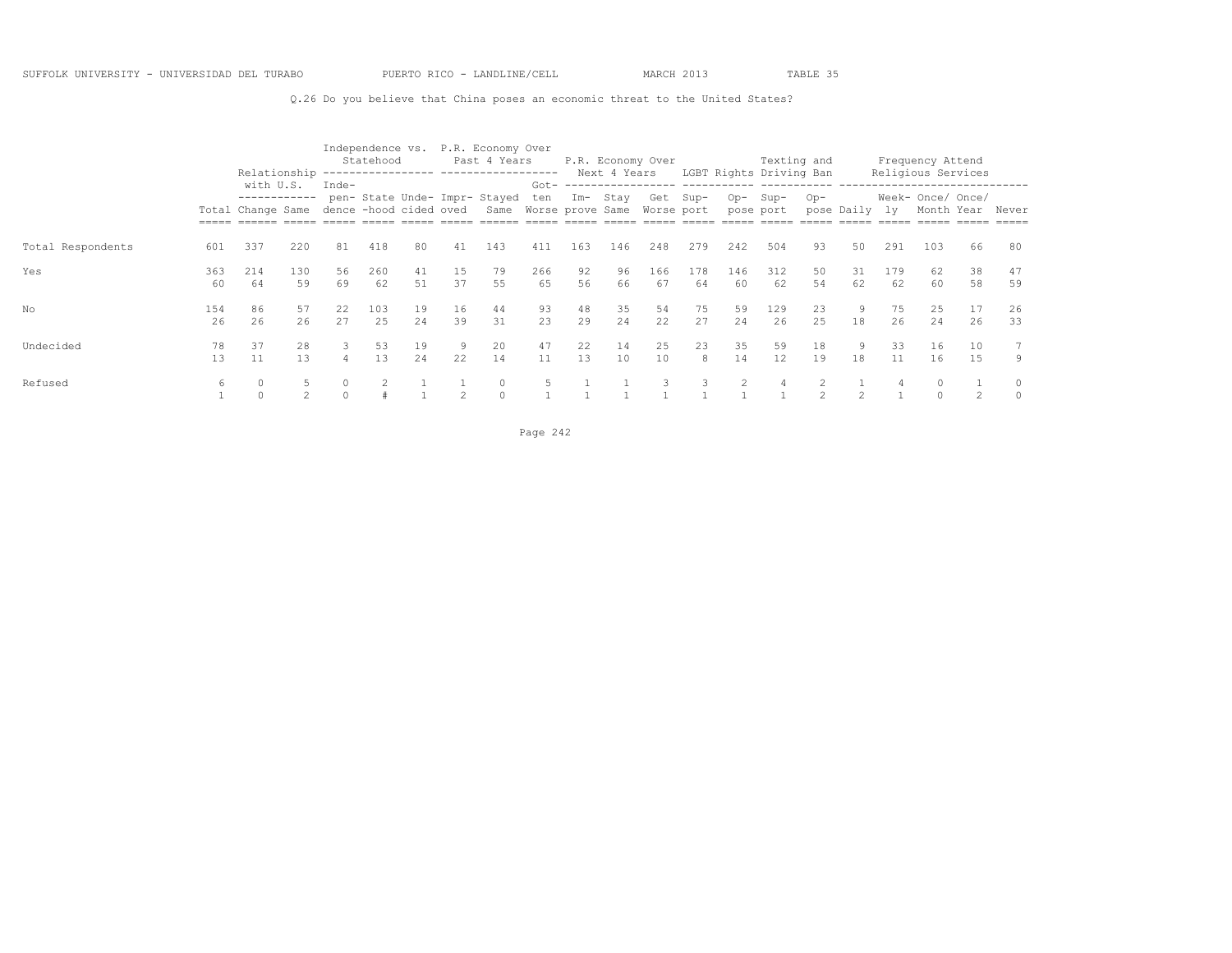Q.26 Do you believe that China poses an economic threat to the United States?

|                   |           | Relationship                                   |           |                                   | Independence vs.<br>Statehood |           |                | P.R. Economy Over<br>Past 4 Years                                 |                |          | Next 4 Years | P.R. Economy Over |           |           | Texting and<br>LGBT Rights Driving Ban |                |               |           | Frequency Attend<br>Religious Services                        |           |              |
|-------------------|-----------|------------------------------------------------|-----------|-----------------------------------|-------------------------------|-----------|----------------|-------------------------------------------------------------------|----------------|----------|--------------|-------------------|-----------|-----------|----------------------------------------|----------------|---------------|-----------|---------------------------------------------------------------|-----------|--------------|
|                   |           | with U.S.<br>------------<br>Total Change Same |           | $Inde-$<br>dence -hood cided oved |                               |           |                | pen- State Unde- Impr- Stayed<br>Same Worse prove Same Worse port | $Got -$<br>ten | Im- Stav |              | Get Sup-          |           | $Op-$     | Sup-<br>pose port                      | $Op-$          | pose Daily ly |           | --------------------------<br>Week- Once/ Once/<br>Month Year |           | Never        |
| Total Respondents | 601       | 337                                            | 220       | 81                                | 418                           | 80        | 41             | 143                                                               | 411            | 163      | 146          | 248               | 279       | 242       | 504                                    | 93             | 50            | 291       | 103                                                           | 66        | 80           |
| Yes               | 363<br>60 | 214<br>64                                      | 130<br>59 | 56<br>69                          | 260<br>62                     | 41<br>.51 | 15<br>37       | 79<br>55                                                          | 266<br>65      | 92<br>56 | 96<br>66     | 166<br>67         | 178<br>64 | 146<br>60 | 312<br>62                              | 50<br>54       | 31<br>62      | 179<br>62 | 62<br>60                                                      | 38<br>58  | 47<br>59     |
| No                | 154<br>26 | 86<br>26                                       | 57<br>26  | 22<br>27                          | 103<br>2.5                    | 19<br>2.4 | 16<br>39       | 44<br>31                                                          | 93<br>23       | 48<br>29 | 35<br>24     | 54<br>22          | 75<br>27  | 59<br>24  | 129<br>26                              | 23<br>25       | 9<br>18       | 75<br>26  | 25<br>24                                                      | 17<br>26  | 26<br>33     |
| Undecided         | 78<br>13  | 37<br>11                                       | 28<br>13  | 3<br>4                            | 53<br>13                      | 19<br>2.4 | 22             | 20<br>14                                                          | 47<br>11       | 22<br>13 | 14<br>10     | 25<br>10          | 23<br>8   | 35<br>14  | 59<br>12.                              | 18<br>19       | 9<br>18       | 33<br>11  | 16<br>16                                                      | 10<br>1.5 | 9            |
| Refused           |           | $\Omega$                                       |           |                                   |                               |           | $\mathfrak{D}$ | $\Omega$                                                          |                |          |              |                   |           |           |                                        | $\mathfrak{D}$ |               |           |                                                               |           | 0<br>$\circ$ |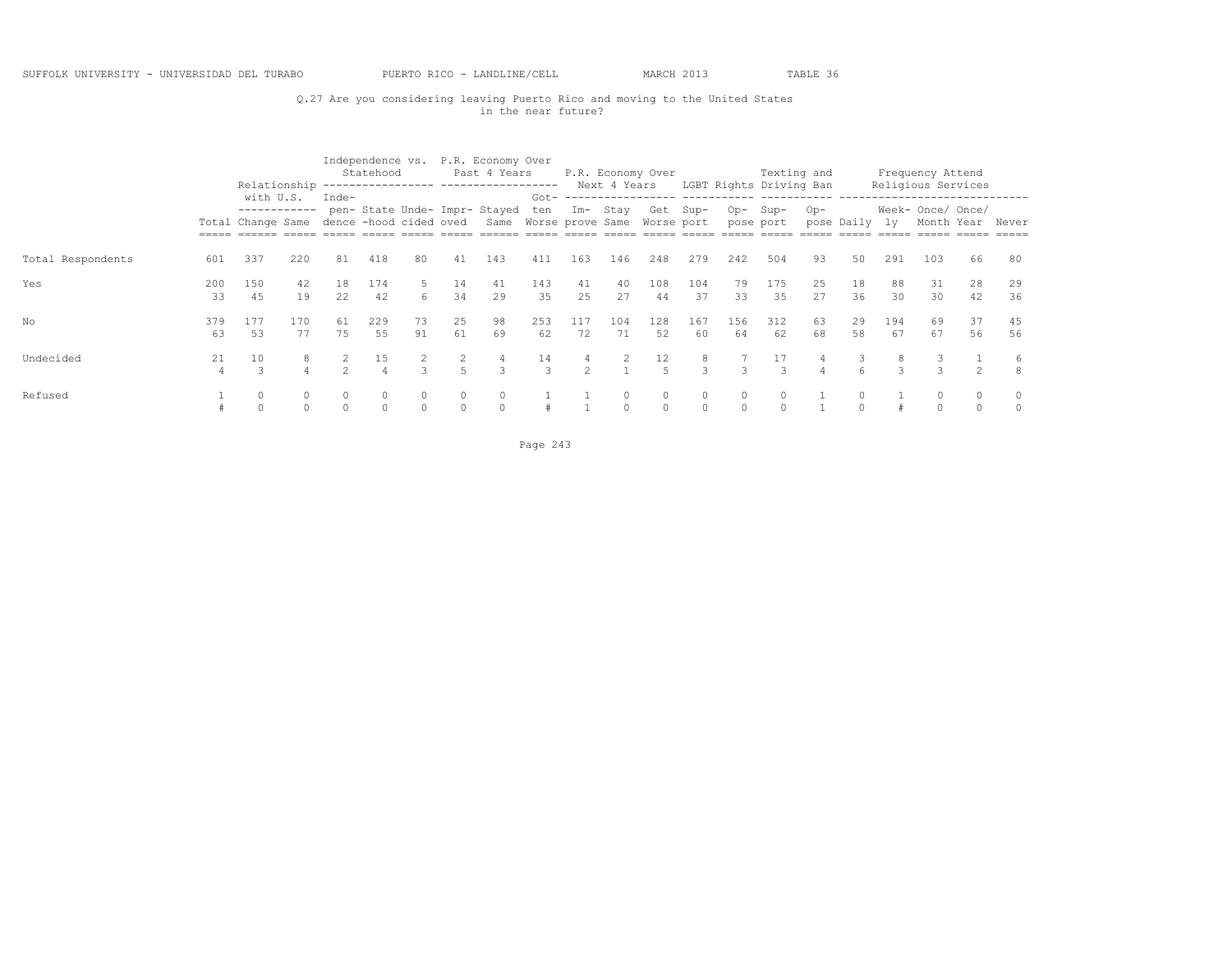## Q.27 Are you considering leaving Puerto Rico and moving to the United States in the near future?

|                   |                      |                                                |           |                                 | Statehood |          |                     | Independence vs. P.R. Economy Over<br>Past 4 Years<br>Relationship ---------------- ------------------ |                     |               |           | P.R. Economy Over      |                    |               | Texting and<br>Next 4 Years LGBT Rights Driving Ban |          |            |           | Frequency Attend<br>Religious Services |          |          |
|-------------------|----------------------|------------------------------------------------|-----------|---------------------------------|-----------|----------|---------------------|--------------------------------------------------------------------------------------------------------|---------------------|---------------|-----------|------------------------|--------------------|---------------|-----------------------------------------------------|----------|------------|-----------|----------------------------------------|----------|----------|
|                   |                      | with U.S.<br>------------<br>Total Change Same |           | Inde-<br>dence -hood cided oved |           |          |                     | pen- State Unde- Impr- Stayed<br>Same Worse prove Same                                                 | $Got -$<br>ten      |               | Im- Stay  | Get Sup-<br>Worse port |                    |               | Op-Sup-<br>pose port                                | Op-      | pose Daily | ly.       | Week- Once/ Once/<br>Month Year        |          | Never    |
| Total Respondents | 601                  | 337                                            | 220       | 81                              | 418       | 80       | 41                  | 143                                                                                                    | 411                 | 163           | 146       | 248                    | 279                | 242           | 504                                                 | 93       | 50         | 291       | 103                                    | 66       | 80       |
| Yes               | 200<br>33            | 150<br>45                                      | 42<br>19  | 18<br>22                        | 174<br>42 | 6        | 14<br>34            | 41<br>29                                                                                               | 143<br>35           | 41<br>25      | 40<br>27  | 108<br>44              | 104<br>37          | 79<br>33      | 175<br>35                                           | 25<br>27 | 18<br>36   | 88<br>30  | 31<br>30                               | 28<br>42 | 29<br>36 |
| No                | 379<br>63            | 177<br>53                                      | 170<br>77 | 61<br>75                        | 229<br>55 | 73<br>91 | 25<br>61            | 98<br>69                                                                                               | 253<br>62           | 117<br>72     | 104<br>71 | 128<br>52              | 167<br>60          | 156<br>64     | 312<br>62                                           | 63<br>68 | 29<br>58   | 194<br>67 | 69<br>67                               | 37<br>56 | 45<br>56 |
| Undecided         | 21<br>$\overline{4}$ | 10                                             |           | $\mathcal{D}$                   | 15        |          | 2<br>$\overline{5}$ | 4<br>3                                                                                                 | 14<br>$\mathcal{L}$ | $\mathcal{P}$ | 2         | 12<br>$\overline{5}$   | 8<br>$\mathcal{B}$ | 3             | 17<br>3                                             |          | 3<br>6     |           |                                        |          | 6        |
| Refused           |                      |                                                |           |                                 | $\Omega$  | $\circ$  | $\circ$<br>$\circ$  | $\circ$<br>$\Omega$                                                                                    |                     |               | $\Omega$  | 0<br>$\Omega$          | 0<br>$\Omega$      | 0<br>$\Omega$ | 0<br>$\Omega$                                       |          | $\Omega$   |           |                                        |          | $\cap$   |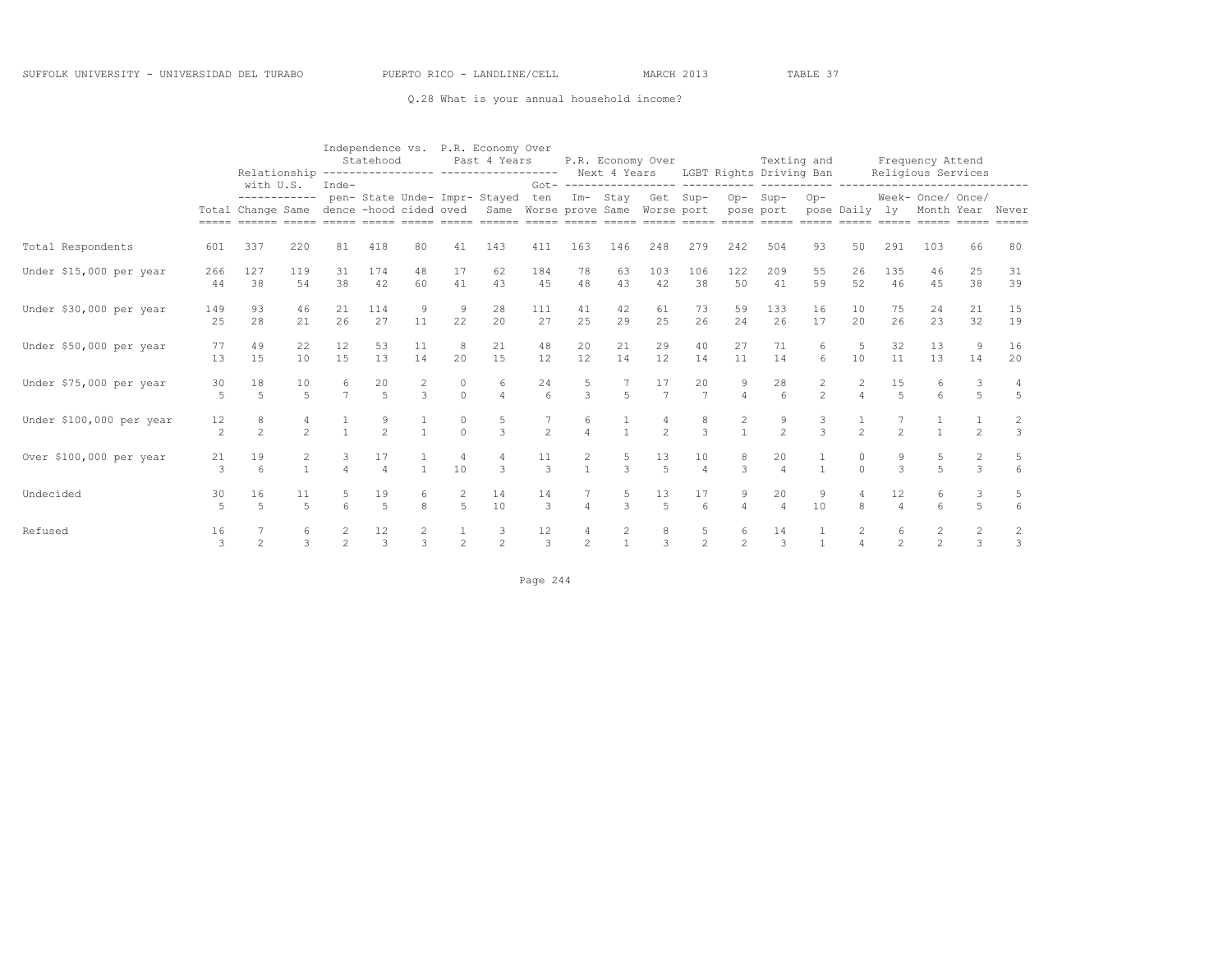#### Q.28 What is your annual household income?

|                          |                      |                           |                |                      | Statehood            |                    |                     | Independence vs. P.R. Economy Over<br>Past 4 Years<br>Relationship ---------------- ------------------ Next 4 Years LGBT Rights Driving Ban |                       |                   |                     | P.R. Economy Over    |                       |                     | Texting and            |                                |                     |                      | Frequency Attend<br>Religious Services |                                        |                                 |
|--------------------------|----------------------|---------------------------|----------------|----------------------|----------------------|--------------------|---------------------|---------------------------------------------------------------------------------------------------------------------------------------------|-----------------------|-------------------|---------------------|----------------------|-----------------------|---------------------|------------------------|--------------------------------|---------------------|----------------------|----------------------------------------|----------------------------------------|---------------------------------|
|                          |                      | with U.S.<br>------------ |                | Inde-                |                      |                    |                     | pen- State Unde- Impr- Stayed<br>Total Change Same dence -hood cided oved Same Worse prove Same Worse port pose port                        | ten                   |                   | Im- Stay            | Get Sup-             |                       |                     | $Op-$ Sup-             | $Op-$<br>pose Daily ly         |                     |                      | Week- Once/ Once/<br>Month Year Never  |                                        |                                 |
| Total Respondents        | 601                  | 337                       | 220            | 81                   | 418                  | 80                 | 41                  | 143                                                                                                                                         | 411                   | 163               | 146                 | 248                  | 279                   | 242                 | 504                    | 93                             | 50                  | 291                  | 103                                    | 66                                     | 80                              |
| Under \$15,000 per year  | 266<br>44            | 127<br>38                 | 119<br>54      | 31<br>38             | 174<br>42            | 48<br>60           | 17<br>41            | 62<br>43                                                                                                                                    | 184<br>45             | 78<br>48          | 63<br>43            | 103<br>42            | 106<br>38             | 122<br>50           | 209<br>41              | 55<br>59                       | 26<br>52            | 135<br>46            | 46<br>45                               | 25<br>38                               | 31<br>39                        |
| Under \$30,000 per year  | 149<br>25            | 93<br>28                  | 46<br>21       | 21<br>26             | 114<br>27            | 9<br>11            | 9<br>22             | 28<br>20                                                                                                                                    | 111<br>27             | 41<br>25          | 42<br>29            | 61<br>25             | 73<br>26              | 59<br>24            | 133<br>26              | 16<br>17                       | 10<br>20            | 75<br>26             | 24<br>23                               | 21<br>32                               | 15<br>19                        |
| Under \$50,000 per year  | 77<br>13             | 49<br>15                  | 22<br>10       | 12<br>15             | 53<br>13             | 11<br>14           | 8<br>20             | 21<br>15                                                                                                                                    | 48<br>12              | 20<br>12          | 21<br>14            | 29<br>12             | 40<br>14              | 2.7<br>11           | 71<br>14               | 6<br>6                         | 5<br>10             | 32<br>11             | 13<br>13                               | 9<br>14                                | 16<br>20                        |
| Under \$75,000 per year  | 30<br>5              | 18<br>5                   | 10<br>5        | 6<br>$\overline{7}$  | 20<br>$\overline{5}$ | 2<br>$\mathcal{L}$ | $\Omega$            | 6<br>$\overline{4}$                                                                                                                         | 24<br>$6\overline{6}$ | 5<br>3            | 5                   | 17<br>$\overline{7}$ | 20<br>$\overline{7}$  | 9<br>$\overline{4}$ | 28<br>$6 \overline{6}$ | $\mathbf{2}$<br>$\mathfrak{D}$ | 2<br>$\overline{4}$ | 15<br>$\overline{5}$ | 6<br>$6\overline{6}$                   | 3<br>5                                 | 4<br>$\overline{5}$             |
| Under \$100,000 per year | 12<br>2              | 8<br>$\mathfrak{D}$       | $\mathfrak{D}$ | $\overline{1}$       | $\mathfrak{D}$       | $\overline{1}$     | $\cap$              | $\mathcal{L}$                                                                                                                               | $\overline{2}$        | 6<br>$\Delta$     | $\overline{1}$      | $\mathcal{P}$        | 8<br>$\mathcal{R}$    | $\mathbf{1}$        | $\frac{9}{2}$          | 3<br>$\mathcal{L}$             | $\mathfrak{D}$      | $\mathfrak{D}$       |                                        | $\mathfrak{D}$                         | $\overline{c}$<br>$\mathcal{E}$ |
| Over \$100,000 per year  | 21<br>3              | 19<br>6                   |                | 3<br>$\overline{A}$  | 17<br>$\overline{4}$ |                    | 4<br>10             | 4<br>$\mathcal{L}$                                                                                                                          | 11<br>$\mathcal{E}$   | 2<br>$\mathbf{1}$ | 5<br>$\overline{3}$ | 13<br>$\overline{5}$ | 10<br>$\overline{4}$  | 8<br>$\mathcal{L}$  | 20<br>$\overline{4}$   |                                | 0<br>$\Omega$       | 9<br>$\mathcal{L}$   | 5<br>$\overline{a}$                    | $\mathbf{2}^{\prime}$<br>$\mathcal{L}$ | 5<br>$6 \overline{6}$           |
| Undecided                | 30<br>$\overline{r}$ | 16<br>$\overline{a}$      | 5              | 5<br>$6\overline{6}$ | 19<br>$\overline{5}$ | 6<br>8             | 2<br>$\overline{5}$ | 14<br>10                                                                                                                                    | 14<br>3               | $\overline{4}$    | 5<br>$\overline{3}$ | 13<br>$\overline{5}$ | 17<br>$6\overline{6}$ | 9<br>$\overline{4}$ | 20<br>$\overline{4}$   | 9<br>10                        | 8                   | 12<br>$\Delta$       | 6<br>$6\overline{6}$                   | 3<br>$\overline{5}$                    | 5<br>$6\overline{6}$            |
| Refused                  | 16<br>$\mathcal{L}$  | $\mathfrak{D}$            |                | $\mathfrak{D}$       | 12<br>$\mathcal{L}$  | 2<br>$\mathcal{L}$ | $\mathfrak{D}$      | $\mathfrak{D}$                                                                                                                              | 12<br>$\mathcal{L}$   | $\mathfrak{D}$    |                     | $\mathcal{L}$        | $\frac{5}{2}$         | 6<br>$\mathfrak{D}$ | 14<br>$\mathcal{L}$    |                                |                     | 6<br>$\mathfrak{D}$  | $\mathfrak{D}$                         | 2<br>$\mathcal{L}$                     | $\overline{c}$<br>$\mathcal{R}$ |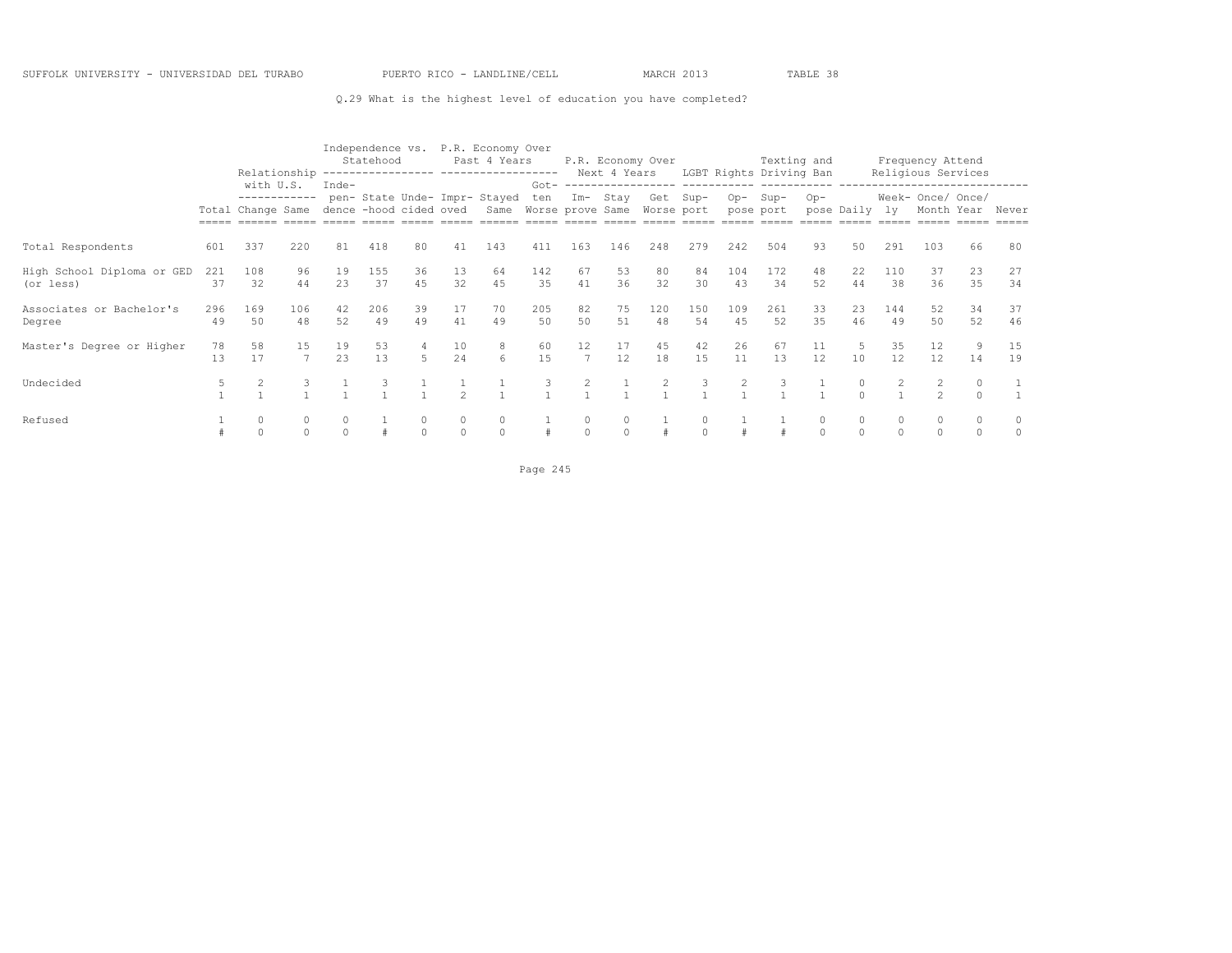#### Q.29 What is the highest level of education you have completed?

|                                         |           | Relationship                                   |                      |          | Statehood | Independence vs.       |                      | P.R. Economy Over<br>Past 4 Years<br>---------------- ------------------- |                                    |                                     | Next 4 Years | P.R. Economy Over      |           |           | Texting and<br>LGBT Rights Driving Ban |          |                      |                    | Frequency Attend<br>Religious Services |          |          |
|-----------------------------------------|-----------|------------------------------------------------|----------------------|----------|-----------|------------------------|----------------------|---------------------------------------------------------------------------|------------------------------------|-------------------------------------|--------------|------------------------|-----------|-----------|----------------------------------------|----------|----------------------|--------------------|----------------------------------------|----------|----------|
|                                         |           | with U.S.<br>------------<br>Total Change Same |                      | Inde-    |           | dence -hood cided oved |                      | pen- State Unde- Impr- Stayed<br>Same                                     | $Got -$<br>ten<br>Worse prove Same | $Im-$                               | Stay         | Get Sup-<br>Worse port |           | $Op-$     | Sup-<br>pose port                      | $Op-$    | pose Daily           | 1v                 | Week- Once/ Once/<br>Month Year        |          | Never    |
| Total Respondents                       | 601       | 337                                            | 220                  | 81       | 418       | 80                     | 41                   | 143                                                                       | 411                                | 163                                 | 146          | 248                    | 279       | 242       | 504                                    | 93       | 50                   | 291                | 103                                    | 66       | 80       |
| High School Diploma or GED<br>(or less) | 221<br>37 | 108<br>32                                      | 96<br>44             | 19<br>23 | 155<br>37 | 36<br>45               | 13<br>32             | 64<br>45                                                                  | 142<br>35                          | 67<br>41                            | 53<br>36     | 80<br>32               | 84<br>30  | 104<br>43 | 172<br>34                              | 48<br>52 | 22<br>44             | 110<br>38          | 37<br>36                               | 23<br>35 | 27<br>34 |
| Associates or Bachelor's<br>Degree      | 296<br>49 | 169<br>50                                      | 106<br>48            | 42<br>52 | 206<br>49 | 39<br>49               | 17<br>41             | 70<br>49                                                                  | 205<br>50                          | 82<br>50                            | 75<br>51     | 120<br>48              | 150<br>54 | 109<br>45 | 261<br>52                              | 33<br>35 | 23<br>46             | 144<br>49          | 52<br>50                               | 34<br>52 | 37<br>46 |
| Master's Degree or Higher               | 78<br>13  | 58<br>17                                       | 15<br>$\overline{7}$ | 19<br>23 | 53<br>13  | 4<br>$5 -$             | 10<br>24             | 8<br>6                                                                    | 60<br>15                           | $12 \overline{ }$<br>$\overline{7}$ | 17<br>12     | 45<br>18               | 42<br>15  | 26<br>11  | 67<br>13                               | 11<br>12 | 5<br>10              | 35<br>12           | 12<br>12                               | 9<br>14  | 15<br>19 |
| Undecided                               |           |                                                | 3                    |          |           |                        |                      |                                                                           | 3                                  |                                     |              |                        | 3         |           | 3                                      |          | $\circ$<br>$\Omega$  |                    | $\mathcal{P}$                          |          |          |
| Refused                                 |           | $\Omega$<br>$\cap$                             | $\Omega$             |          |           | $\Omega$               | $\Omega$<br>$\Omega$ | $\circ$<br>$\circ$                                                        |                                    | $\Omega$                            | $\Omega$     |                        | $\Omega$  |           |                                        | $\Omega$ | $\Omega$<br>$\Omega$ | $\cap$<br>$\Omega$ | $\Omega$<br>$\Omega$                   |          | 0<br>0   |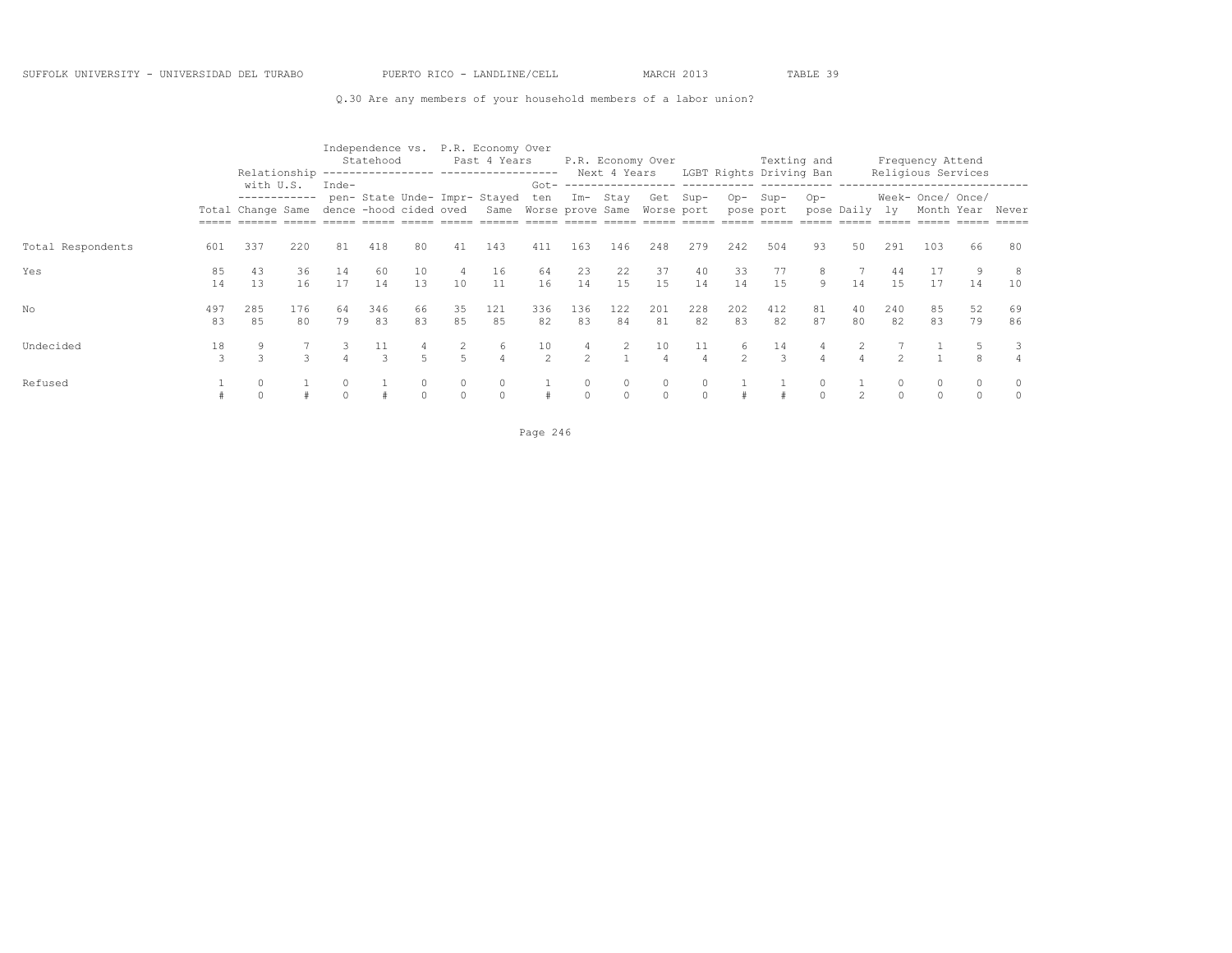#### Q.30 Are any members of your household members of a labor union?

|                   |           | Relationship                                                          |           |          | Independence vs.<br>Statehood |                     |          | P.R. Economy Over<br>Past 4 Years<br>------------------ ------------------          |                      |                      |                      | P.R. Economy Over   |                      |                     | Texting and<br>Next 4 Years LGBT Rights Driving Ban |          |               |           | Frequency Attend<br>Religious Services |          |          |
|-------------------|-----------|-----------------------------------------------------------------------|-----------|----------|-------------------------------|---------------------|----------|-------------------------------------------------------------------------------------|----------------------|----------------------|----------------------|---------------------|----------------------|---------------------|-----------------------------------------------------|----------|---------------|-----------|----------------------------------------|----------|----------|
|                   |           | with U.S.<br>------------<br>Total Change Same dence -hood cided oved |           | $Inde-$  |                               |                     |          | pen-State Unde-Impr-Stayed ten Im-Stay Get Sup-<br>Same Worse prove Same Worse port |                      |                      |                      |                     |                      | Op-                 | Sup-<br>pose port                                   | $Op-$    | pose Daily ly |           | Week- Once/ Once/<br>Month Year        |          | Never    |
| Total Respondents | 601       | 337                                                                   | 220       | 81       | 418                           | 80                  | 41       | 143                                                                                 | 411                  | 163                  | 146                  | 248                 | 279                  | 242                 | 504                                                 | 93       | 50            | 291       | 103                                    | 66       | 80       |
| Yes               | 85<br>14  | 43<br>13                                                              | 36<br>16  | 14<br>17 | 60<br>14                      | 10<br>1.3           | 10       | 16<br>11                                                                            | 64<br>16             | 23<br>14             | 22<br>15             | 37<br>15            | 40<br>14             | 33<br>14            | 77<br>1.5                                           | 8<br>9   | 14            | 44<br>1.5 | 17<br>17                               | 14       | 8<br>10  |
| No                | 497<br>83 | 285<br>85                                                             | 176<br>80 | 64<br>79 | 346<br>83                     | 66<br>83            | 35<br>85 | 121<br>85                                                                           | 336<br>82            | 136<br>83            | 122<br>84            | 201<br>81           | 228<br>82            | 202<br>83           | 412<br>82                                           | 81<br>87 | 40<br>80      | 240<br>82 | 85<br>83                               | 52<br>79 | 69<br>86 |
| Undecided         | 18        | 9                                                                     |           |          | 11                            | $\overline{5}$      |          | 6<br>$\overline{4}$                                                                 | 10<br>$\overline{2}$ | $\mathcal{P}$        | $\mathbf{2}^{\circ}$ | 10                  | 11<br>$\overline{4}$ | 6<br>$\mathfrak{D}$ | 14<br>3                                             | $\Delta$ |               |           |                                        |          | 3<br>4   |
| Refused           |           |                                                                       |           | $\Omega$ |                               | $\circ$<br>$\Omega$ | $\Omega$ | $\circ$<br>$\Omega$                                                                 |                      | $\Omega$<br>$\Omega$ | $\Omega$             | $\circ$<br>$\Omega$ |                      |                     |                                                     |          |               |           | $\Omega$<br>$\Omega$                   |          | $\Omega$ |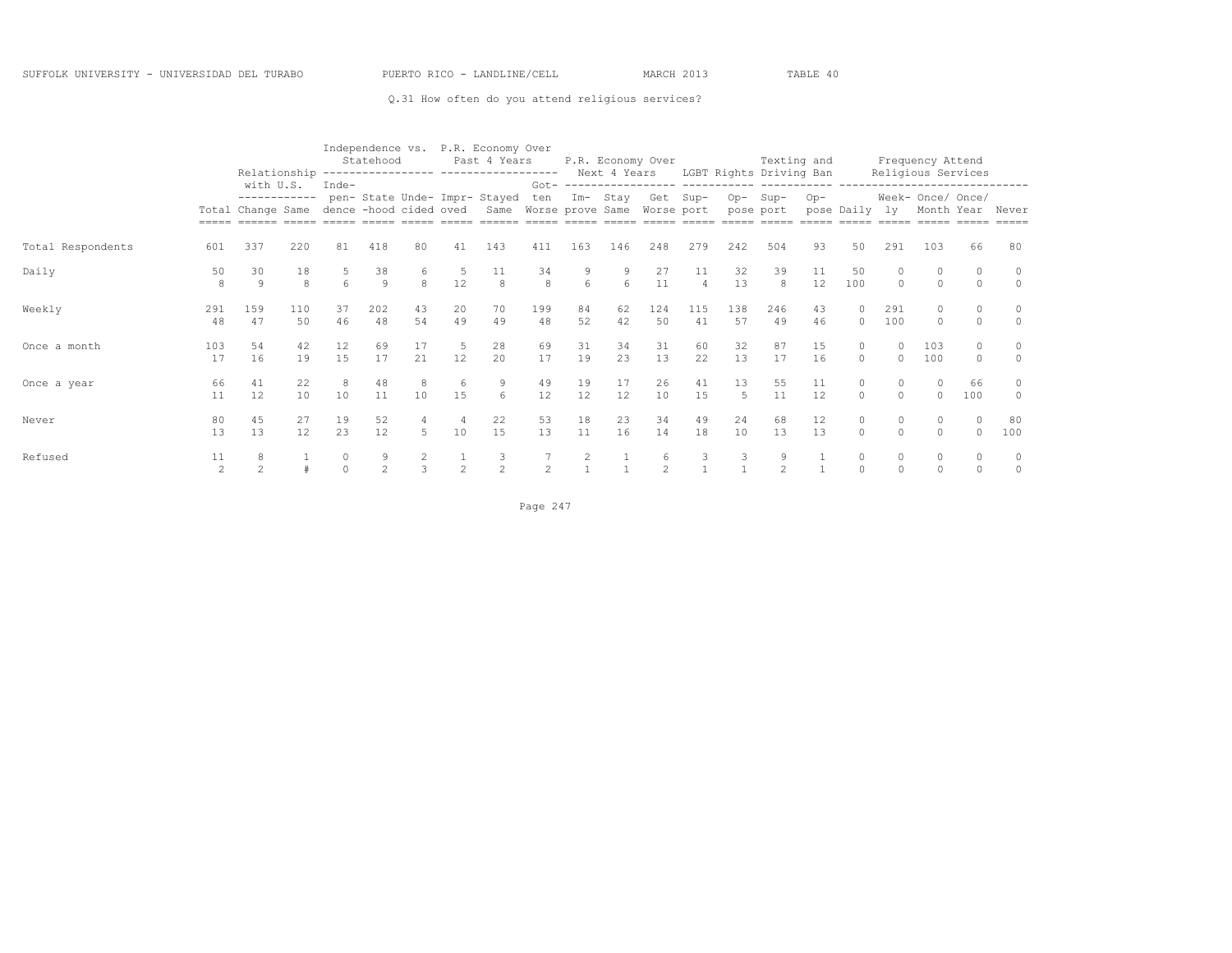#### Q.31 How often do you attend religious services?

|                   |                      | Relationship                                   |           |                                   | Statehood           |               |           | Independence vs. P.R. Economy Over<br>Past 4 Years<br>------------------ ------------------- |                |          |          | P.R. Economy Over |                      |           | Texting and<br>Next 4 Years LGBT Rights Driving Ban |          |                     |                      | Frequency Attend<br>Religious Services                      |           |              |
|-------------------|----------------------|------------------------------------------------|-----------|-----------------------------------|---------------------|---------------|-----------|----------------------------------------------------------------------------------------------|----------------|----------|----------|-------------------|----------------------|-----------|-----------------------------------------------------|----------|---------------------|----------------------|-------------------------------------------------------------|-----------|--------------|
|                   |                      | with U.S.<br>------------<br>Total Change Same |           | $Inde-$<br>dence -hood cided oved |                     |               |           | pen- State Unde- Impr- Stayed<br>Same Worse prove Same Worse port                            | $Got -$<br>ten | $Im-$    | Stay     | Get               | Sup-                 | $Op-$     | Sup-<br>pose port                                   | $Op-$    | pose Daily          | ly                   | ------------------<br>Week- Once/ Once/<br>Month Year Never |           |              |
| Total Respondents | 601                  | 337                                            | 220       | 81                                | 418                 | 80            | 41        | 143                                                                                          | 411            | 163      | 146      | 248               | 279                  | 242       | 504                                                 | 93       | 50                  | 291                  | 103                                                         | 66        | 80           |
| Daily             | 50<br>8              | 30<br>9                                        | 18<br>8   | $\epsilon$                        | 38<br>9             | 8             | 12        | 8                                                                                            | 34<br>8        | 6        | 6        | 27<br>11          | 11<br>$\overline{4}$ | 32<br>13  | 39<br>8                                             | 11<br>12 | 50<br>100           | $\Omega$             | $\Omega$                                                    |           | $\circ$      |
| Weekly            | 291<br>48            | 159<br>47                                      | 110<br>50 | 37<br>46                          | 202<br>48           | 43<br>54      | 20<br>49  | 70<br>49                                                                                     | 199<br>48      | 84<br>52 | 62<br>42 | 124<br>50         | 115<br>41            | 138<br>57 | 246<br>49                                           | 43<br>46 | $\Omega$            | 291<br>100           | 0<br>0                                                      |           | $\circ$      |
| Once a month      | 103<br>17            | 54<br>16                                       | 42<br>19  | 12<br>15                          | 69<br>17            | 17<br>21      | 5<br>12   | 28<br>20                                                                                     | 69<br>17       | 31<br>19 | 34<br>23 | 31<br>13          | 60<br>22             | 32<br>13  | 87<br>17                                            | 15<br>16 | $\circ$<br>$\Omega$ | $\Omega$<br>$\circ$  | 103<br>100                                                  | $\Omega$  | $\circ$      |
| Once a year       | 66<br>11             | 41<br>12                                       | 22<br>10  | 8<br>10                           | 48<br>11            | 10            | 6<br>15   | 9<br>6                                                                                       | 49<br>12       | 19<br>12 | 17<br>12 | 26<br>10          | 41<br>15             | 13<br>5   | 55<br>11                                            | 11<br>12 | $\circ$<br>$\Omega$ | $\circ$<br>$\Omega$  | $\Omega$<br>$\cap$                                          | 66<br>100 | 0<br>$\circ$ |
| Never             | 80<br>13             | 45<br>13                                       | 27<br>12  | 19<br>23                          | 52<br>12            | 5             | 4<br>10   | 22<br>15                                                                                     | 53<br>13       | 18<br>11 | 23<br>16 | 34<br>14          | 49<br>18             | 24<br>10  | 68<br>13                                            | 12<br>13 | 0<br>$\Omega$       | $\Omega$<br>$\Omega$ | 0<br>$\Omega$                                               | $\Omega$  | 80<br>100    |
| Refused           | 11<br>$\mathfrak{D}$ | 8                                              |           | $\circ$<br>$\Omega$               | 9<br>$\mathfrak{D}$ | $\mathcal{L}$ | $\hat{ }$ | 3<br>$\mathfrak{D}$                                                                          |                | 2        |          | 6                 | 3                    | 3         | 9<br>$\mathfrak{D}$                                 |          | 0<br>$\Omega$       | 0<br>$\Omega$        | 0<br>$\Omega$                                               |           | $\circ$      |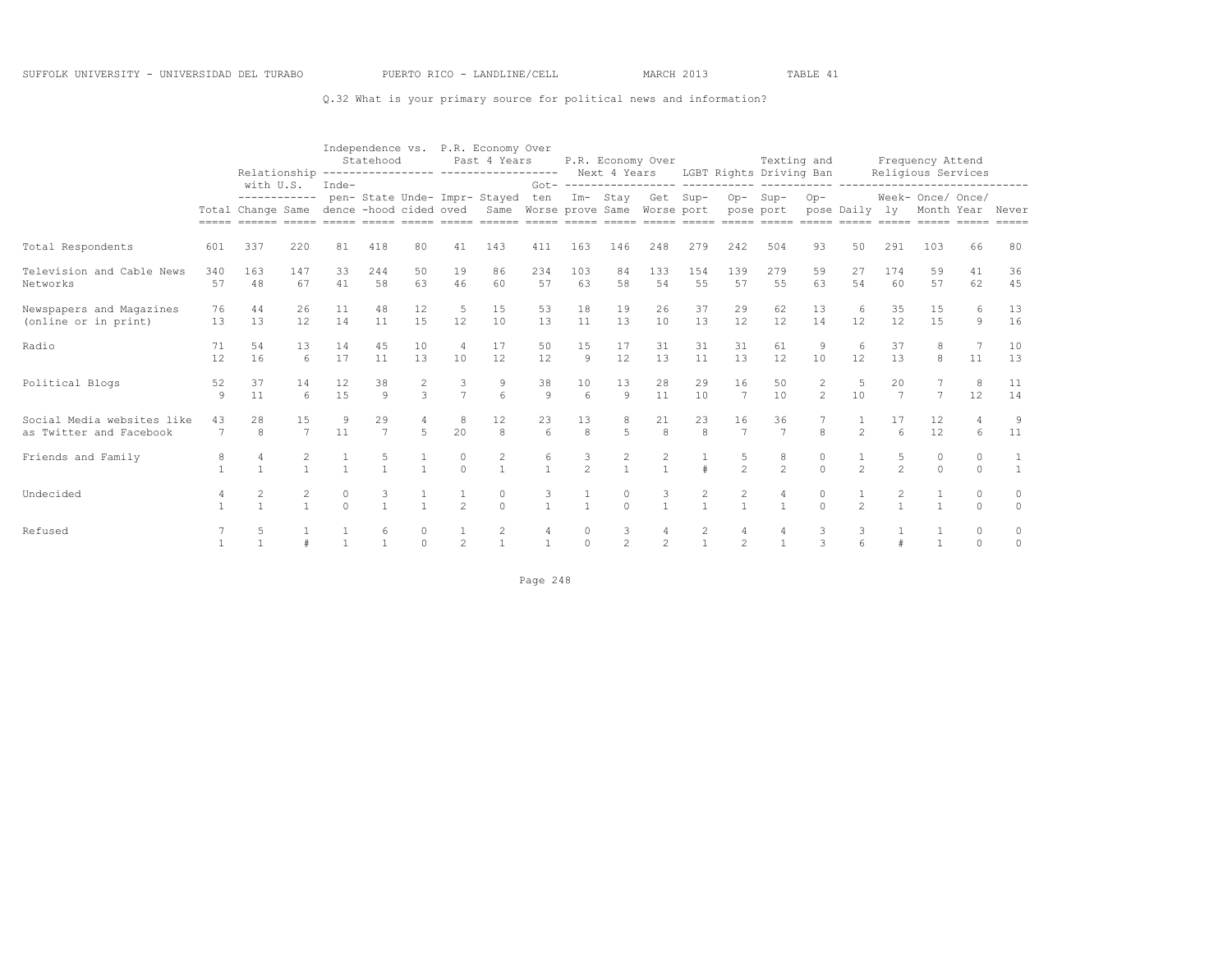#### Q.32 What is your primary source for political news and information?

|                                                       |                    |                                                       |               |          | Statehood         |                    |                                  | Independence vs. P.R. Economy Over<br>Past 4 Years<br>Relationship ---------------- ----------------- Next 4 Years LGBT Rights Driving Ban |                                       |               |                      | P.R. Economy Over |                                       |                      | Texting and                    |                     |                |                      | Frequency Attend<br>Religious Services |               |                  |
|-------------------------------------------------------|--------------------|-------------------------------------------------------|---------------|----------|-------------------|--------------------|----------------------------------|--------------------------------------------------------------------------------------------------------------------------------------------|---------------------------------------|---------------|----------------------|-------------------|---------------------------------------|----------------------|--------------------------------|---------------------|----------------|----------------------|----------------------------------------|---------------|------------------|
|                                                       |                    | with U.S.<br>Total Change Same dence -hood cided oved | ------------  | Inde-    |                   |                    |                                  | pen- State Unde- Impr- Stayed<br>Same Worse prove Same Worse port                                                                          | ten                                   |               |                      | Im- Stay Get Sup- |                                       | pose port            | Op-Sup-                        | $Op-$               | pose Daily ly  |                      | Week- Once/ Once/                      |               | Month Year Never |
| Total Respondents                                     | 601                | 337                                                   | 220           | 81       | 418               | 80                 | 41                               | 143                                                                                                                                        | 411                                   | 163           | 146                  | 248               | 279                                   | 242                  | 504                            | 93                  | 50             | 291                  | 103                                    | 66            | 80               |
| Television and Cable News<br>Networks                 | 340<br>57          | 163<br>48                                             | 147<br>67     | 33<br>41 | 244<br>58         | .50<br>63          | 19<br>46                         | 86<br>60                                                                                                                                   | 234<br>57                             | 103<br>63     | 84<br>58             | 133<br>54         | 154<br>55                             | 139<br>57            | 279<br>55                      | 59<br>63            | 27<br>54       | 174<br>60            | 59<br>57                               | 41<br>62      | 36<br>45         |
| Newspapers and Magazines<br>(online or in print)      | 76<br>13           | 44<br>13                                              | 26<br>12      | 11<br>14 | 48<br>11          | 12<br>15           | -5<br>12                         | 15<br>10                                                                                                                                   | 53<br>13                              | 18<br>11      | 19<br>13             | 26<br>10          | 37<br>13                              | 29<br>12             | 62<br>12                       | 13<br>14            | 6<br>12        | 35<br>12             | 15<br>15                               | 6<br>9        | 13<br>16         |
| Radio                                                 | 71<br>12           | 54<br>16                                              | 13<br>6       | 14<br>17 | 45<br>11          | 10<br>13           | $\overline{4}$<br>10             | 17<br>12                                                                                                                                   | 50<br>12                              | 15<br>9       | 17<br>12             | 31<br>13          | 31<br>11                              | 31<br>13             | 61<br>12                       | 9<br>10             | 6<br>12        | 37<br>13             | 8<br>8                                 | 11            | 10<br>13         |
| Political Blogs                                       | 52<br>$\mathbf{Q}$ | 37<br>11                                              | 14<br>6       | 12<br>15 | 38<br>$\circ$     | 2<br>$\mathcal{L}$ | $\frac{3}{7}$                    | 9<br>$6\phantom{.}6$                                                                                                                       | 38<br>$\overline{9}$                  | 10<br>6       | 13<br>$\overline{9}$ | 28<br>11          | 29<br>10                              | 16<br>7              | 50<br>10                       | 2<br>$\overline{c}$ | 5<br>10        | 20<br>$\overline{7}$ | $\overline{7}$                         | 8<br>12       | 11<br>14         |
| Social Media websites like<br>as Twitter and Facebook | 43<br>7            | 28<br>8                                               | 15<br>7       | 9<br>11  | 29<br>7           | 5                  | 8<br>20                          | 12<br>8                                                                                                                                    | 23<br>6                               | 13<br>8       | 8<br>5               | 21<br>8           | 23<br>8                               | 16<br>$\overline{7}$ | 36<br>$7\phantom{.0}$          | 8                   | $\mathfrak{D}$ | $6 \overline{6}$     | 12<br>12                               | 6             | 9<br>11          |
| Friends and Family                                    |                    |                                                       | 2             |          |                   |                    | $\begin{matrix}0\\0\end{matrix}$ | $\begin{array}{c} 2 \\ 1 \end{array}$                                                                                                      | $\begin{array}{c} 6 \\ 1 \end{array}$ | $\frac{3}{2}$ | $\frac{2}{1}$        | 2                 | $\pm$                                 | 5<br>$\overline{2}$  | $\frac{8}{2}$                  |                     | $\overline{2}$ | 5<br>$\mathfrak{D}$  | 0<br>$\Omega$                          |               |                  |
| Undecided                                             |                    | $\overline{c}$                                        | $\frac{2}{1}$ | $\cap$   | 3<br>$\mathbf{1}$ | $\mathbf{1}$       | $\frac{1}{2}$                    | $\begin{matrix}0\\0\end{matrix}$                                                                                                           | 3<br>$\mathbf{1}$                     | $\mathbf{1}$  | 0<br>$\Omega$        | $\frac{3}{1}$     | $\begin{array}{c} 2 \\ 1 \end{array}$ | $\frac{2}{1}$        | $\overline{4}$<br>$\mathbf{1}$ | 0<br>$\cap$         | $\mathfrak{D}$ |                      |                                        | 0<br>$\Omega$ | 0<br>$\Omega$    |
| Refused                                               |                    | -5                                                    |               |          |                   | $\Omega$           | $\overline{2}$                   | $\overline{c}$                                                                                                                             |                                       | $\Omega$      | 3<br>$\mathfrak{D}$  | 4<br>2            | 2                                     | $\overline{c}$       | 4<br>$\mathbf{1}$              | 3                   | 3              |                      |                                        | $\Omega$      | 0<br>$\Omega$    |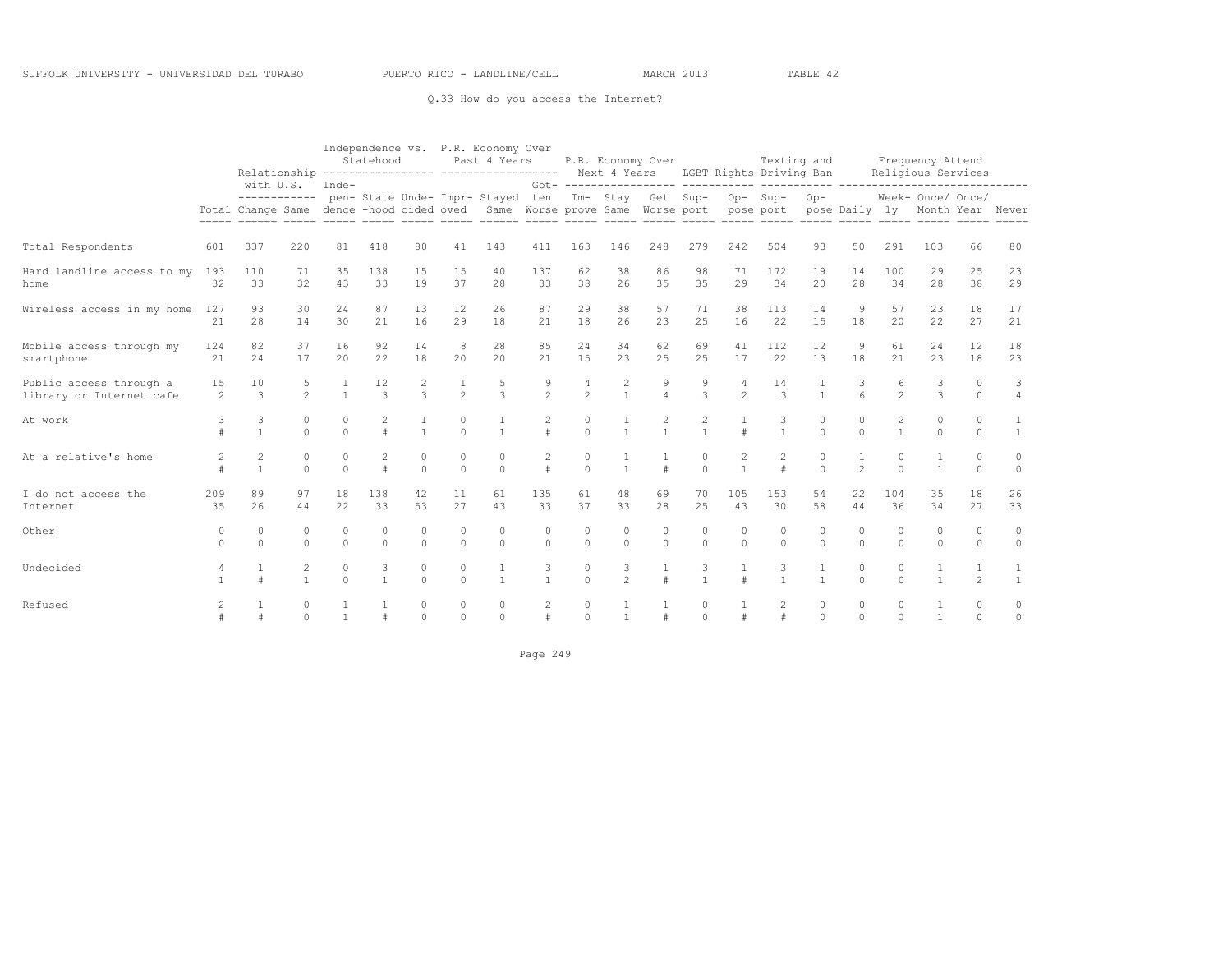#### Q.33 How do you access the Internet?

|                                                     |                      |                                   |                      |                      | Statehood              |                      |                      | Independence vs. P.R. Economy Over<br>Past 4 Years                                       |                         |                     |                      | P.R. Economy Over    |                     |                      | Texting and                          |                     |                                |                      | Frequency Attend                      |                      |                         |
|-----------------------------------------------------|----------------------|-----------------------------------|----------------------|----------------------|------------------------|----------------------|----------------------|------------------------------------------------------------------------------------------|-------------------------|---------------------|----------------------|----------------------|---------------------|----------------------|--------------------------------------|---------------------|--------------------------------|----------------------|---------------------------------------|----------------------|-------------------------|
|                                                     |                      | with U.S.                         |                      | Inde-                |                        |                      |                      | Relationship ---------------- ------------------                                         | $Got -$                 |                     |                      |                      |                     |                      | Next 4 Years LGBT Rights Driving Ban |                     |                                |                      | Religious Services                    |                      |                         |
|                                                     |                      | ------------<br>Total Change Same |                      |                      |                        |                      |                      | pen- State Unde- Impr- Stayed<br>dence -hood cided oved Same Worse prove Same Worse port | ten                     |                     |                      | Im- Stay Get Sup-    |                     | pose port            | Op-Sup-                              | $Op-$               | pose Daily ly                  |                      | Week- Once/ Once/<br>Month Year Never |                      | $= = = = = =$           |
| Total Respondents                                   | 601                  | 337                               | 220                  | 81                   | 418                    | 80                   | 41                   | 143                                                                                      | 411                     | 163                 | 146                  | 248                  | 279                 | 242                  | 504                                  | 93                  | 50                             | 291                  | 103                                   | 66                   | 80                      |
| Hard landline access to my<br>home                  | 193<br>32            | 110<br>33                         | 71<br>32             | 35<br>43             | 138<br>33              | 15<br>19             | 15<br>37             | 40<br>28                                                                                 | 137<br>33               | 62<br>38            | 38<br>26             | 86<br>35             | 98<br>35            | 71<br>29             | 172<br>34                            | 19<br>20            | 14<br>28                       | 100<br>34            | 29<br>28                              | 25<br>38             | 23<br>29                |
| Wireless access in my home                          | 127<br>21            | 93<br>28                          | 30<br>14             | 24<br>30             | 87<br>21               | 13<br>16             | 12<br>29             | 26<br>18                                                                                 | 87<br>21                | 29<br>18            | 38<br>26             | 57<br>23             | 71<br>25            | 38<br>16             | 113<br>22                            | 14<br>1.5           | 9<br>18                        | 57<br>2.0            | 23<br>22                              | 18<br>27             | 17<br>21                |
| Mobile access through my<br>smartphone              | 124<br>21            | 82<br>24                          | 37<br>17             | 16<br>2.0            | 92<br>22               | 14<br>18             | 8<br>20              | 28<br>20                                                                                 | 85<br>2.1               | 24<br>15            | 34<br>23             | 62<br>25             | 69<br>25            | 41<br>17             | 112<br>22                            | 12<br>13            | 9<br>18                        | 61<br>2.1            | 24<br>2.3                             | 12<br>18             | 18<br>23                |
| Public access through a<br>library or Internet cafe | 15<br>$\mathfrak{D}$ | 10<br>3                           | 5<br>$\mathfrak{D}$  | $\mathbf{1}$         | 12<br>$\mathcal{L}$    | 2<br>$\mathcal{L}$   | $\mathfrak{D}$       | 5<br>$\mathcal{L}$                                                                       | $\mathfrak{D}$          | 4<br>$\mathfrak{D}$ | 2                    |                      | 9<br>3              | 4<br>$\mathfrak{D}$  | 14<br>$\mathcal{L}$                  |                     | 3                              | 6<br>$\mathfrak{D}$  | 3<br>$\mathcal{L}$                    | $\Omega$<br>$\Omega$ | 3<br>$\overline{4}$     |
| At work                                             | 3                    | 3<br>$\mathbf{1}$                 | $\circ$<br>$\Omega$  | $\Omega$<br>$\Omega$ | $\pm$                  | $\mathbf{1}$         | $\circ$<br>$\Omega$  | $\overline{1}$                                                                           | $\overline{c}$<br>$\pm$ | 0<br>$\Omega$       | $\mathbf{1}$         | 2<br>$\mathbf{1}$    | 2<br>$\overline{1}$ | $\pm$                | 3<br>$\mathbf{1}$                    | $\circ$<br>$\Omega$ | $\Omega$<br>$\Omega$           | 2<br>$\mathbf{1}$    | $\circ$<br>$\Omega$                   | $\circ$<br>$\Omega$  | 1<br>$\mathbf{1}$       |
| At a relative's home                                | $\mathfrak{D}$       | 2                                 | $\Omega$<br>$\Omega$ | $\Omega$<br>$\Omega$ | $\overline{c}$<br>$\#$ | $\Omega$<br>$\Omega$ | $\Omega$<br>$\Omega$ | $\Omega$<br>$\Omega$                                                                     | 2<br>$\pm$              | $\circ$<br>$\Omega$ |                      |                      | $\circ$<br>$\Omega$ | $\overline{2}$       | 2<br>#                               | $\circ$<br>$\Omega$ | $\mathbf{1}$<br>$\overline{c}$ | $\Omega$<br>$\Omega$ | $\mathbf{1}$                          | $\Omega$<br>$\Omega$ | $\circ$<br>$\circ$      |
| I do not access the<br>Internet                     | 209<br>35            | 89<br>26                          | 97<br>44             | 18<br>22             | 138<br>33              | 42<br>53             | 11<br>27             | 61<br>43                                                                                 | 135<br>33               | 61<br>37            | 48<br>33             | 69<br>28             | 70<br>25            | 105<br>43            | 153<br>30                            | 54<br>58            | 22<br>44                       | 104<br>36            | 35<br>34                              | 18<br>27             | 26<br>33                |
| Other                                               | $\Omega$<br>$\Omega$ | $\Omega$<br>$\Omega$              | $\Omega$<br>$\Omega$ | $\Omega$<br>$\Omega$ | $\Omega$<br>$\Omega$   | $\Omega$<br>$\Omega$ | $\circ$<br>$\Omega$  | $\Omega$<br>$\Omega$                                                                     | $\Omega$<br>$\Omega$    | 0<br>$\Omega$       | $\Omega$<br>$\Omega$ | $\Omega$<br>$\Omega$ | 0<br>$\circ$        | $\Omega$<br>$\Omega$ | $\circ$<br>$\circ$                   | $\circ$<br>$\Omega$ | $\Omega$<br>$\Omega$           | $\circ$<br>$\Omega$  | $\Omega$<br>$\Omega$                  | $\Omega$<br>$\Omega$ | $\mathbf{0}$<br>$\circ$ |
| Undecided                                           | 4                    |                                   | 2<br>$\mathbf{1}$    | $\Omega$<br>$\Omega$ | 3<br>$\mathbf{1}$      | $\Omega$<br>$\Omega$ | $\circ$<br>$\bigcap$ | 1<br>$\overline{1}$                                                                      | 3<br>$\mathbf{1}$       | 0<br>$\Omega$       | 3<br>$\mathfrak{D}$  |                      | 3<br>$\overline{1}$ |                      | 3<br>$\mathbf{1}$                    | 1<br>$\mathbf{1}$   | $\circ$<br>$\Omega$            | $\circ$<br>$\Omega$  | $\mathbf{1}$                          | $\mathfrak{D}$       | 1<br>$\mathbf{1}$       |
| Refused                                             | 2                    |                                   | $\circ$<br>$\cap$    |                      |                        | 0<br>$\Omega$        | $\circ$<br>$\cap$    | $\circ$<br>$\Omega$                                                                      | 2                       | 0<br>$\Omega$       |                      |                      | 0<br>$\circ$        |                      | 2                                    | $\circ$<br>$\Omega$ | $\circ$<br>$\Omega$            | $\circ$<br>$\Omega$  |                                       | 0<br>$\Omega$        | 0<br>$\circ$            |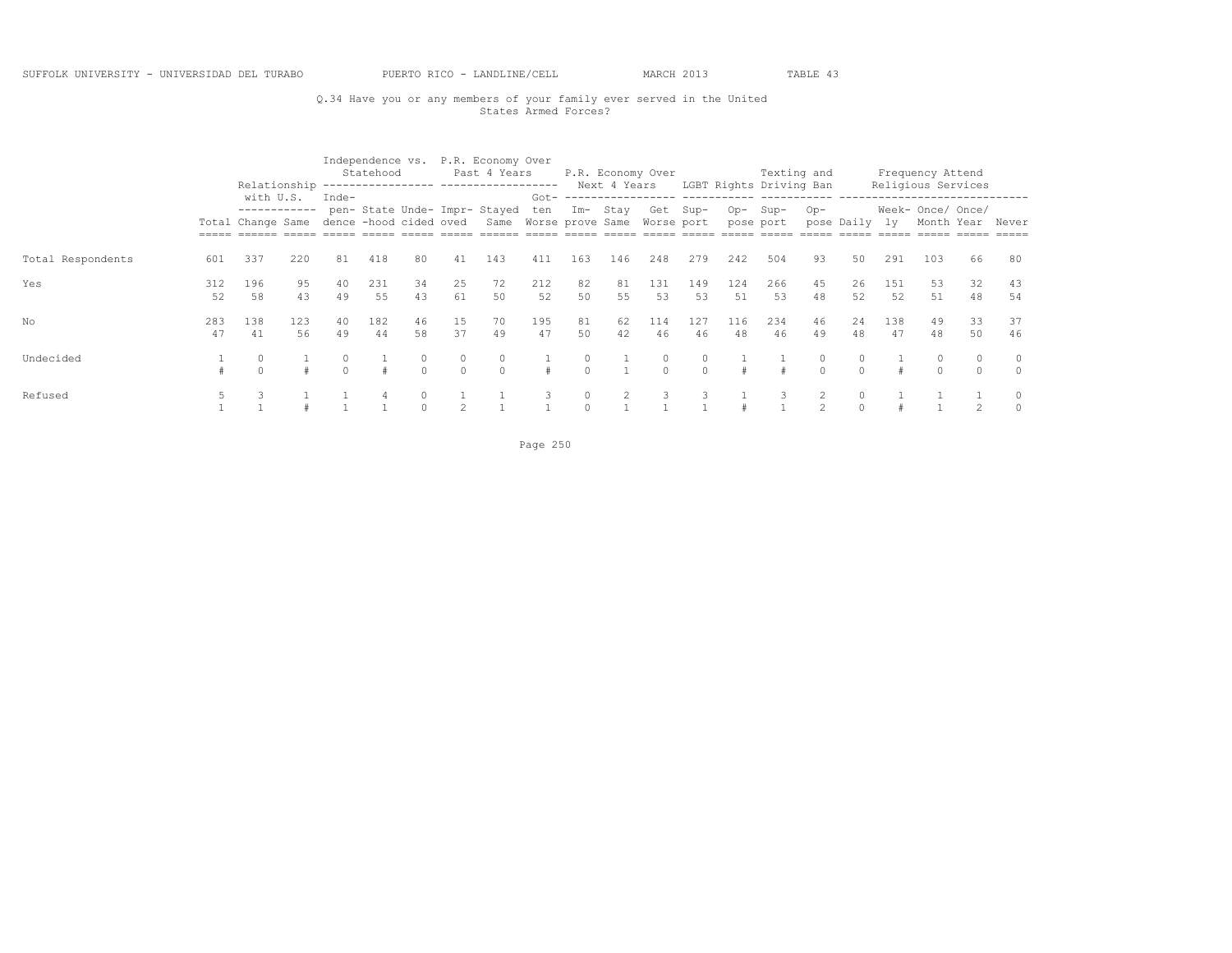## Q.34 Have you or any members of your family ever served in the United States Armed Forces?

|                   |           | Relationship                                   |           |                                 | Statehood |          |                     | Independence vs. P.R. Economy Over<br>Past 4 Years                |           |              | Next 4 Years | P.R. Economy Over |           |            | Texting and<br>LGBT Rights Driving Ban |               |            |           | Frequency Attend<br>Religious Services |          |                     |
|-------------------|-----------|------------------------------------------------|-----------|---------------------------------|-----------|----------|---------------------|-------------------------------------------------------------------|-----------|--------------|--------------|-------------------|-----------|------------|----------------------------------------|---------------|------------|-----------|----------------------------------------|----------|---------------------|
|                   |           | with U.S.<br>------------<br>Total Change Same |           | Inde-<br>dence -hood cided oved |           |          |                     | pen- State Unde- Impr- Stayed<br>Same Worse prove Same Worse port | Got-      | ten Im- Stay |              |                   | Get Sup-  |            | Op-Sup-<br>pose port                   | $Op-$         | pose Daily | lv.       | Week- Once/ Once/<br>Month Year        |          | Never               |
|                   |           |                                                |           |                                 |           |          |                     |                                                                   |           |              |              |                   |           |            |                                        |               |            |           |                                        |          |                     |
| Total Respondents | 601       | 337                                            | 220       | 81                              | 418       | 80       | 41                  | 143                                                               | 411       | 163          | 146          | 248               | 279       | 242        | 504                                    | 93            | 50         | 291       | 103                                    | 66       | -80                 |
| Yes               | 312<br>52 | 196<br>58                                      | 95<br>43  | 40<br>49                        | 231<br>55 | 34<br>43 | 25<br>61            | 72<br>50                                                          | 212<br>52 | 82<br>50     | 81<br>55     | 131<br>53         | 149<br>53 | 124<br>.51 | 266<br>53                              | 45<br>48      | 26<br>52   | 151<br>52 | 53<br>51                               | 32<br>48 | 43<br>54            |
| No                | 283<br>47 | 138<br>41                                      | 123<br>56 | 40<br>49                        | 182<br>44 | 46<br>58 | 15<br>37            | 70<br>49                                                          | 195<br>47 | 81<br>50     | 62<br>42     | 114<br>46         | 127<br>46 | 116<br>48  | 234<br>46                              | 46<br>49      | 24<br>48   | 138<br>47 | 49<br>48                               | 33<br>50 | 37<br>46            |
| Undecided         |           | $\circ$                                        |           |                                 |           | $\Omega$ | $\circ$<br>$\Omega$ | $\Omega$                                                          |           | $\Omega$     |              | $\Omega$          |           |            |                                        | 0<br>$\Omega$ |            |           |                                        |          | $\circ$<br>$\Omega$ |
| Refused           |           |                                                |           |                                 |           | $\cap$   |                     |                                                                   |           |              |              |                   |           |            |                                        |               |            |           |                                        |          | $\cap$              |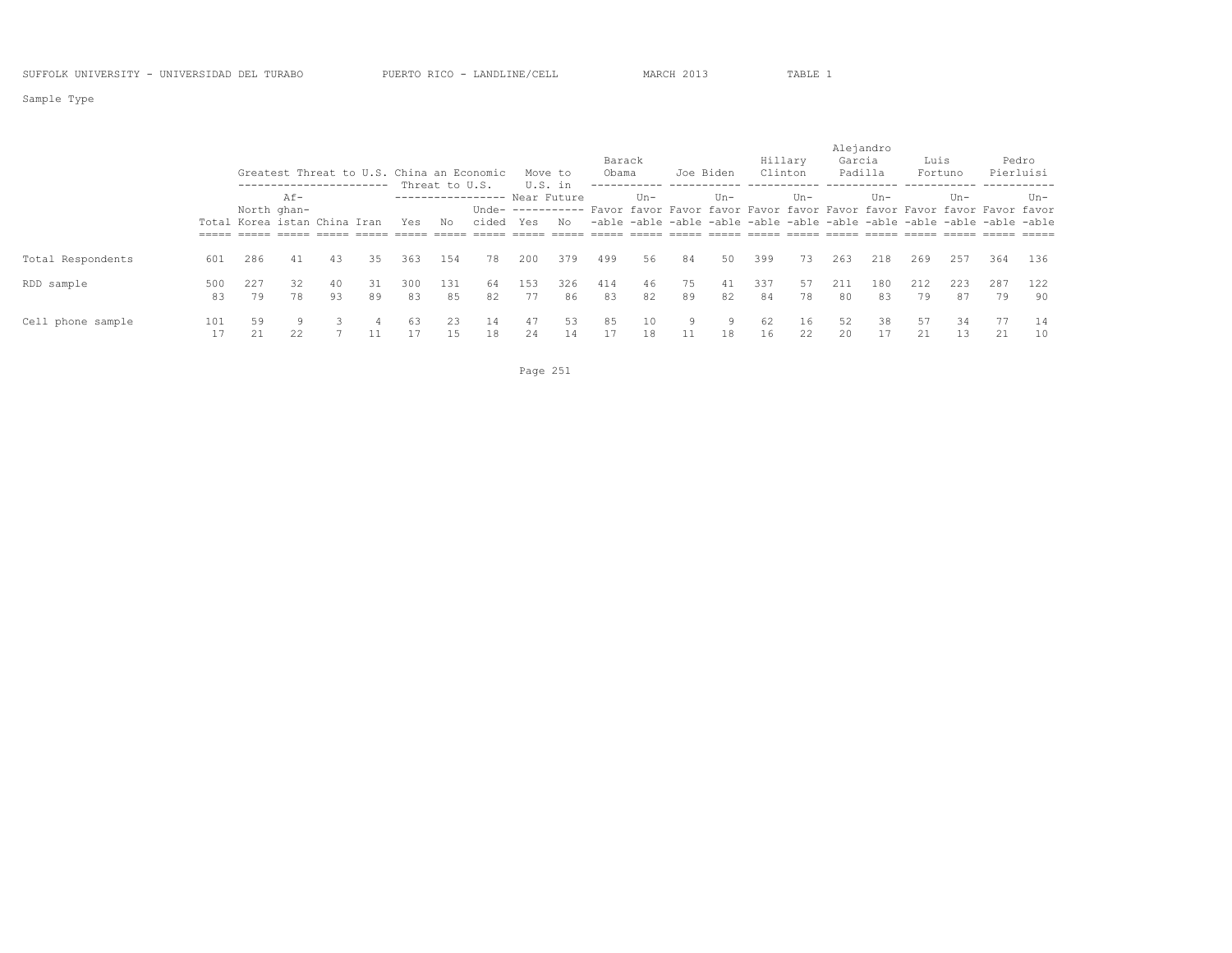Sample Type

|                   |           |                              |                                                |          |          |           |                | Greatest Threat to U.S. China an Economic |           | Move to   | Barack<br>Obama |          |          | Joe Biden | Hillary<br>Clinton |          | Alejandro<br>Garcia | Padilla   | Luis      | Fortuno   |                                                                                          | Pedro<br>Pierluisi |
|-------------------|-----------|------------------------------|------------------------------------------------|----------|----------|-----------|----------------|-------------------------------------------|-----------|-----------|-----------------|----------|----------|-----------|--------------------|----------|---------------------|-----------|-----------|-----------|------------------------------------------------------------------------------------------|--------------------|
|                   |           |                              | ------------------------<br>Af-<br>North ghan- |          |          |           | Threat to U.S. | ----------------- Near Future             | U.S. in   |           |                 | $IIn-$   |          | $Un -$    |                    | $Un -$   |                     | $Un -$    |           | Un-       | Unde- ---------- Favor favor Favor favor Favor favor Favor favor Favor favor Favor favor | Un-                |
|                   |           | Total Korea istan China Iran |                                                |          |          | Yes       | No             | cided Yes                                 |           | No        |                 |          |          |           |                    |          |                     |           |           |           | -able -able -able -able -able -able -able -able -able -able -able -able                  |                    |
| Total Respondents | 601       | 286                          | 41                                             | 43       | 35       | 363       | 154            | 78                                        | 200       | 379       | 499             | 56       | 84       | 50        | 399                | 73       | 263                 | 218       | 269       | 257       | 364                                                                                      | 136                |
| RDD sample        | 500<br>83 | 227<br>79                    | 32<br>78                                       | 40<br>93 | 31<br>89 | 300<br>83 | 131<br>85      | 64<br>82                                  | 153<br>77 | 326<br>86 | 414<br>83       | 46<br>82 | 75<br>89 | 41<br>82  | 337<br>84          | 57<br>78 | 211<br>80           | 180<br>83 | 212<br>79 | 223<br>87 | 287<br>79                                                                                | 122<br>90          |
| Cell phone sample | 101       | 59<br>21                     | 9.<br>22                                       |          | 4        | 63        | 2.3            | 14<br>18                                  | 47<br>24  | 53<br>14  | 85<br>17        | 10<br>18 | 9        | 9<br>18   | 62<br>16           | 16<br>22 | 52<br>20            | 38<br>17  | 57<br>21  | 34<br>13  | 77<br>21                                                                                 | 14<br>10           |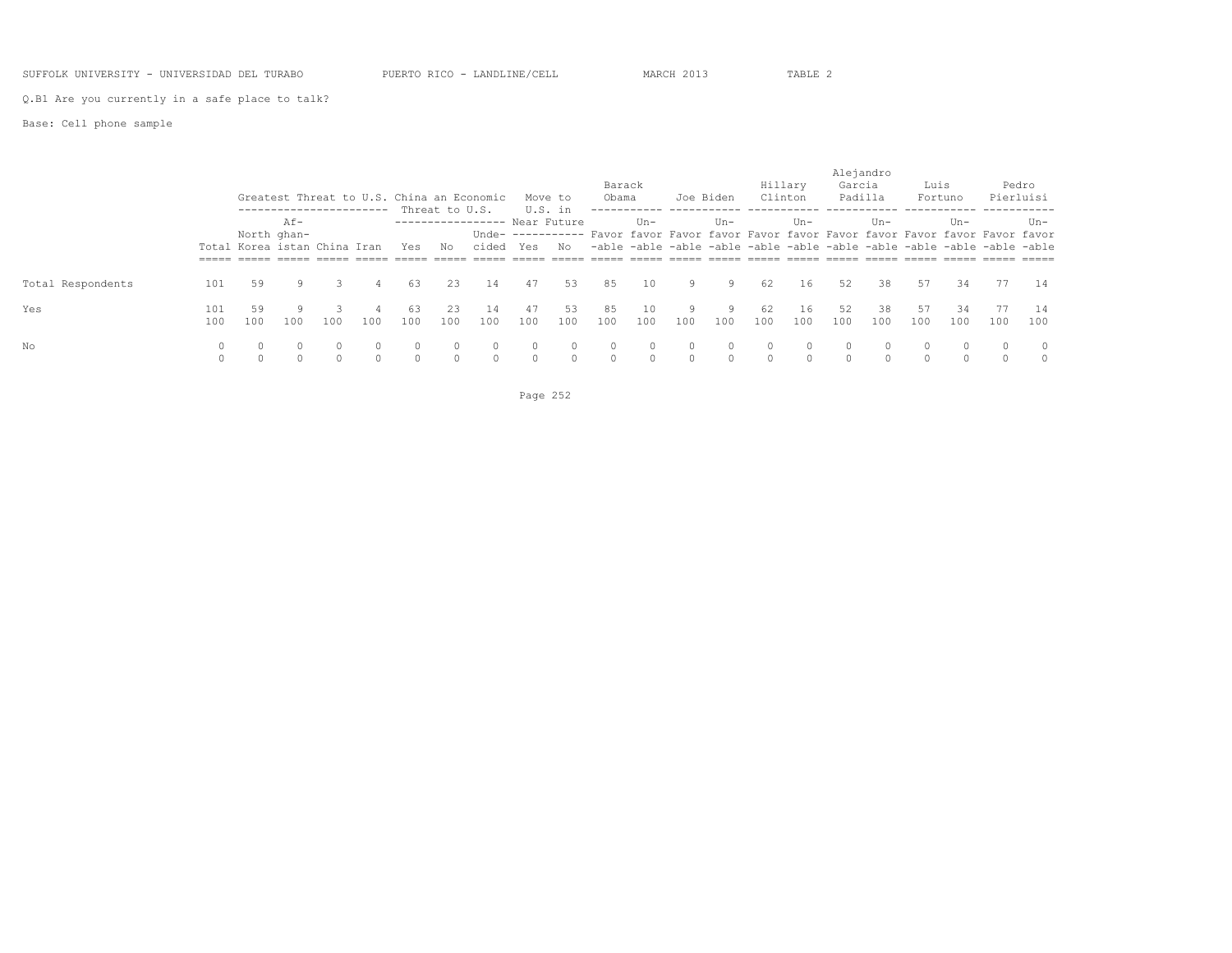SUFFOLK UNIVERSITY - UNIVERSIDAD DEL TURABO PUERTO RICO - LANDLINE/CELL MARCH 2013 TABLE 2

Q.B1 Are you currently in a safe place to talk?

Base: Cell phone sample

|                   |         |     |             |                                                                       |     |     |                |                              |          |         |          |          |          |           |          |         |          | Alejandro |          |          |                                                                                          |          |
|-------------------|---------|-----|-------------|-----------------------------------------------------------------------|-----|-----|----------------|------------------------------|----------|---------|----------|----------|----------|-----------|----------|---------|----------|-----------|----------|----------|------------------------------------------------------------------------------------------|----------|
|                   |         |     |             |                                                                       |     |     |                |                              |          |         | Barack   |          |          |           |          | Hillary | Garcia   |           | Luis     |          |                                                                                          | Pedro    |
|                   |         |     |             | Greatest Threat to U.S. China an Economic<br>------------------------ |     |     | Threat to U.S. |                              | U.S. in  | Move to | Obama    |          |          | Joe Biden | Clinton  |         |          | Padilla   |          | Fortuno  | Pierluisi                                                                                |          |
|                   |         |     | $Af -$      |                                                                       |     |     |                | ---------------- Near Future |          |         |          | Un-      |          | $Un-$     |          | $Un -$  |          | $Un -$    |          | $Un -$   |                                                                                          | Un-      |
|                   |         |     | North ghan- |                                                                       |     |     |                |                              |          |         |          |          |          |           |          |         |          |           |          |          | Unde- ---------- Favor favor Favor favor Favor favor Favor favor Favor favor Favor favor |          |
|                   |         |     |             | Total Korea istan China Iran                                          |     | Yes | No             | cided Yes                    |          | No      |          |          |          |           |          |         |          |           |          |          | -able -able -able -able -able -able -able -able -able -able -able -able                  |          |
|                   |         |     |             |                                                                       |     |     |                |                              |          |         |          |          |          |           |          |         |          |           |          |          |                                                                                          |          |
| Total Respondents | 101     | 59  | 9           |                                                                       | 4   | 63  | 23             | 14                           | 47       | 53      | 85       | 10       | 9        | 9         | 62       | 16      | 52       | 38        | 57       | 34       | 77                                                                                       | 14       |
| Yes               | 101     | 59  |             |                                                                       |     | 63  | 23             | 14                           | 47       | 53      | 85       | 10       | 9        | -9        | 62       | 16      | 52       | 38        | 57       | 34       | 77                                                                                       | 14       |
|                   | 100     | 100 | 100         | 100                                                                   | 100 | 100 | 100            | 100                          | 100      | 100     | 100      | 100      | 100      | 100       | 100      | 100     | 100      | 100       | 100      | 100      | 100                                                                                      | 100      |
| No                | 0       |     | $\Omega$    |                                                                       |     |     | $\Omega$       |                              |          |         | $\Omega$ | $\Omega$ | $\Omega$ |           | $\Omega$ |         |          |           | $\Omega$ | $\Omega$ | $\Omega$                                                                                 | $\Omega$ |
|                   | $\circ$ |     |             |                                                                       |     |     | $\Omega$       | $\Omega$                     | $\Omega$ |         | $\circ$  | $\circ$  | $\Omega$ |           | $\circ$  |         | $\Omega$ |           |          |          | $\Omega$                                                                                 |          |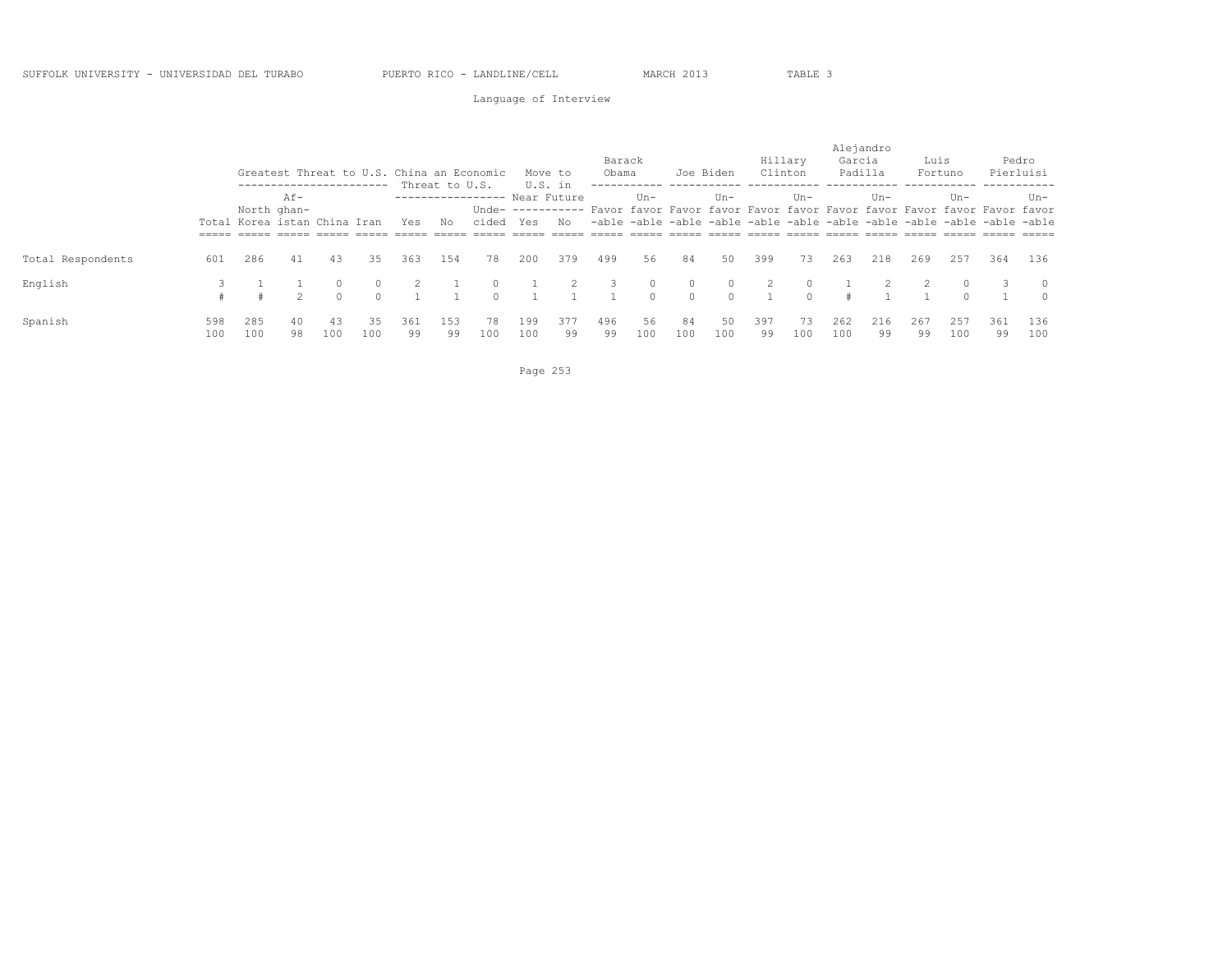### Language of Interview

|                   |     |     |                              |          |                          |     |                |                                           |     |             |        |         |          |           |         |         |        | Alejandro |      |           |                                                                                          |           |
|-------------------|-----|-----|------------------------------|----------|--------------------------|-----|----------------|-------------------------------------------|-----|-------------|--------|---------|----------|-----------|---------|---------|--------|-----------|------|-----------|------------------------------------------------------------------------------------------|-----------|
|                   |     |     |                              |          |                          |     |                |                                           |     |             | Barack |         |          |           |         | Hillary | Garcia |           | Luis |           |                                                                                          | Pedro     |
|                   |     |     |                              |          |                          |     |                | Greatest Threat to U.S. China an Economic |     | Move to     | Obama  |         |          | Joe Biden | Clinton |         |        | Padilla   |      | Fortuno   |                                                                                          | Pierluisi |
|                   |     |     |                              |          | ------------------------ |     | Threat to U.S. |                                           |     | U.S. in     |        |         |          |           |         |         |        |           |      |           |                                                                                          |           |
|                   |     |     | $Af -$                       |          |                          |     |                | -----------------                         |     | Near Future |        | $Un -$  |          | $Un -$    |         | $Un -$  |        | $Un -$    |      | $Un -$    |                                                                                          | Un-       |
|                   |     |     | North ghan-                  |          |                          |     |                |                                           |     |             |        |         |          |           |         |         |        |           |      |           | Unde- ---------- Favor favor Favor favor Favor favor Favor favor Favor favor Favor favor |           |
|                   |     |     | Total Korea istan China Iran |          |                          | Yes | No             | cided Yes                                 |     | No          |        |         |          |           |         |         |        |           |      |           | -able -able -able -able -able -able -able -able -able -able -able -able                  |           |
|                   |     |     |                              |          |                          |     |                |                                           |     |             |        |         |          |           |         |         |        |           |      |           |                                                                                          |           |
| Total Respondents | 601 | 286 | 41                           | 43       | 35                       | 363 | 154            | 78                                        | 200 | 379         | 499    | 56      | 84       | 50        | 399     | 73      | 263    | 218       | 269  | 257       | 364                                                                                      | 136       |
| English           |     |     |                              | $\Omega$ |                          |     |                |                                           |     |             |        | $\circ$ | $\circ$  | $\Omega$  |         |         |        |           |      | $\Omega$  |                                                                                          | $\circ$   |
|                   |     |     |                              |          |                          |     |                |                                           |     |             |        | $\cap$  | $\Omega$ | $\cap$    |         |         |        |           |      | $\bigcap$ |                                                                                          | $\Omega$  |
| Spanish           | 598 | 285 | 40                           | 43       | 35                       | 361 | 153            | 78                                        | 199 | 377         | 496    | 56      | 84       | 50        | 397     | 73      | 262    | 216       | 267  | 257       | 361                                                                                      | 136       |
|                   | 100 | 100 | 98                           | 100      | 100                      | 99  | 99             | 100                                       | 100 | 99          | 99     | 100     | 100      | 100       | 99      | 100     | 100    | 99        | 99   | 100       | 99                                                                                       | 100       |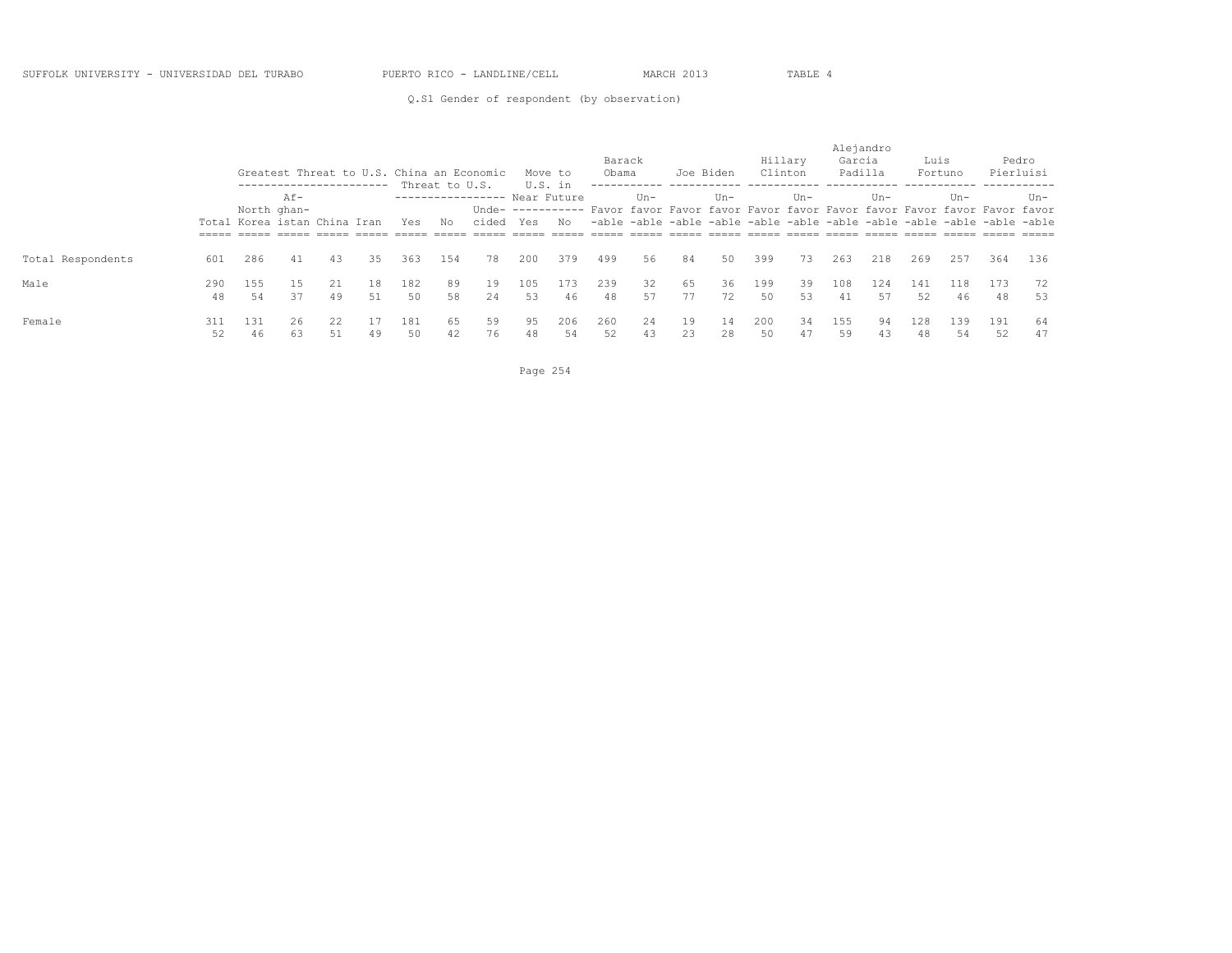#### SUFFOLK UNIVERSITY - UNIVERSIDAD DEL TURABO PUERTO RICO - LANDLINE/CELL MARCH 2013 TABLE 4

Q.S1 Gender of respondent (by observation)

|                   |           |                              |                       | ------------------------ |           |           | Threat to U.S. | Greatest Threat to U.S. China an Economic | U.S. in   | Move to   | Barack<br>Obama |          |          | Joe Biden | Hillary<br>Clinton |          | Alejandro<br>Garcia<br>Padilla |           | Luis      | Fortuno   |                                                                                          | Pedro<br>Pierluisi |
|-------------------|-----------|------------------------------|-----------------------|--------------------------|-----------|-----------|----------------|-------------------------------------------|-----------|-----------|-----------------|----------|----------|-----------|--------------------|----------|--------------------------------|-----------|-----------|-----------|------------------------------------------------------------------------------------------|--------------------|
|                   |           |                              | $Af -$<br>North ghan- |                          |           |           |                | ---------------- Near Future              |           |           |                 | Un-      |          | $Un -$    |                    | $Un -$   |                                | $Un -$    |           | $Un -$    | Unde- ---------- Favor favor Favor favor Favor favor Favor favor Favor favor Favor favor | Un-                |
|                   |           | Total Korea istan China Iran |                       |                          |           | Yes       | No             | cided                                     | Yes       | No        |                 |          |          |           |                    |          |                                |           |           |           | -able -able -able -able -able -able -able -able -able -able -able -able                  |                    |
| Total Respondents | 601       | 286                          | 41                    | 43                       | 35        | 363       | 154            | 78                                        | 200       | 379       | 499             | 56       | 84       | 50        | 399                | 73       | 263                            | 218       | 269       | 257       | 364                                                                                      | 136                |
| Male              | 290<br>48 | 155<br>54                    | 15<br>37              | 21<br>49                 | 18<br>51  | 182<br>50 | 89<br>58       | 19<br>24                                  | 105<br>53 | 173<br>46 | 239<br>48       | 32<br>57 | 65<br>77 | 36<br>72  | 199<br>50          | 39<br>53 | 108<br>41                      | 124<br>57 | 141<br>52 | 118<br>46 | 173<br>48                                                                                | 72<br>53           |
| Female            | 311<br>52 | 131<br>46                    | 26<br>63              | 22<br>51                 | -17<br>49 | 181<br>50 | 65<br>42       | 59<br>76                                  | 95<br>48  | 206<br>54 | 260<br>52       | 24<br>43 | 19<br>23 | 14<br>28  | 200<br>50          | 34<br>47 | 155<br>59                      | 94<br>43  | 128<br>48 | 139<br>54 | 191<br>52                                                                                | 64<br>47           |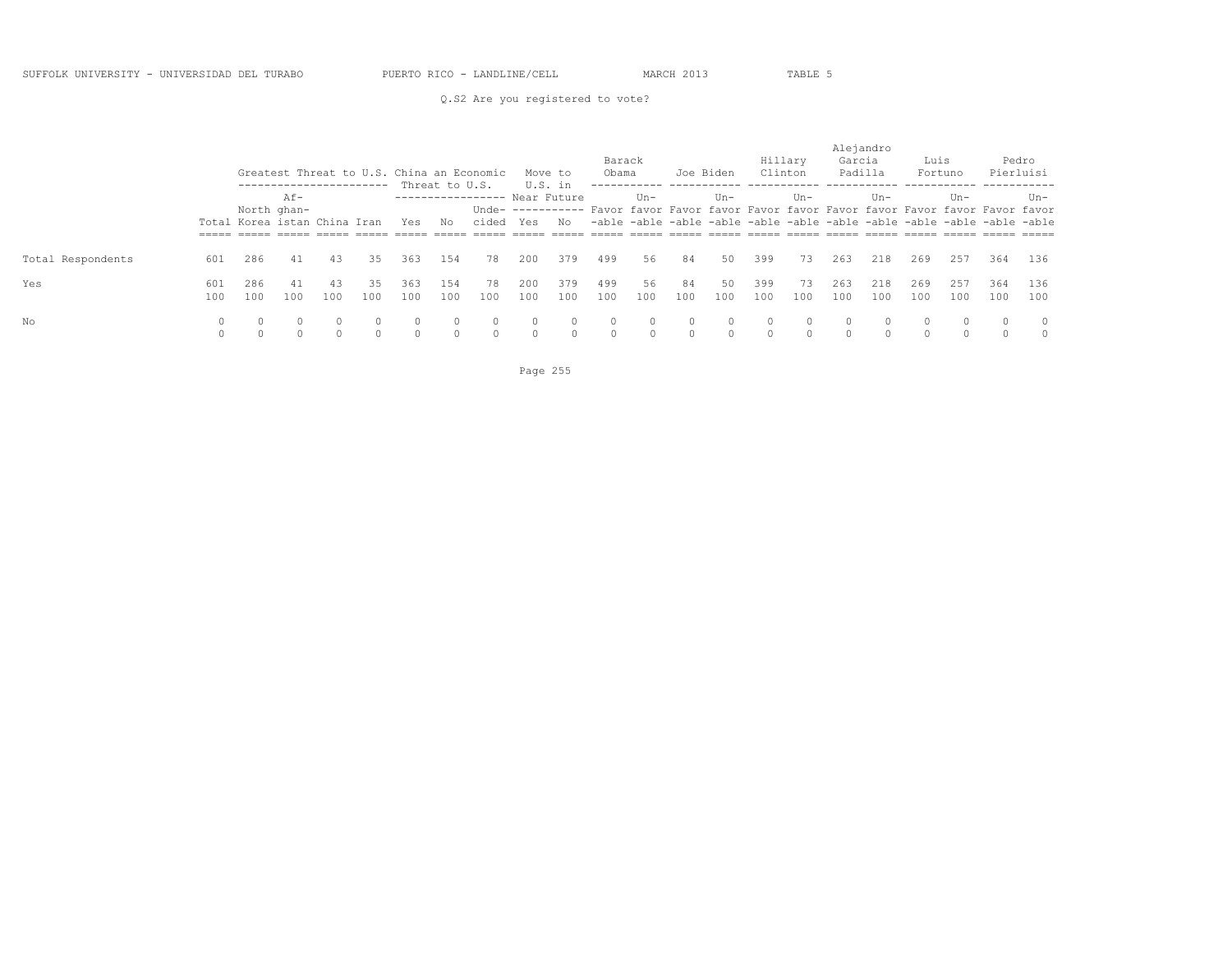### Q.S2 Are you registered to vote?

|                   |            |            |                                             |            |             |                      |                |                                           |            |                    | Barack               |           |                     |           |            | Hillary   | Garcia                | Alejandro  | Luis       |                    |                                                                                                                                                                     | Pedro                |
|-------------------|------------|------------|---------------------------------------------|------------|-------------|----------------------|----------------|-------------------------------------------|------------|--------------------|----------------------|-----------|---------------------|-----------|------------|-----------|-----------------------|------------|------------|--------------------|---------------------------------------------------------------------------------------------------------------------------------------------------------------------|----------------------|
|                   |            |            | ------------------------                    |            |             |                      | Threat to U.S. | Greatest Threat to U.S. China an Economic |            | Move to<br>U.S. in | Obama                |           |                     | Joe Biden | Clinton    |           | Padilla               |            |            | Fortuno            | Pierluisi                                                                                                                                                           |                      |
|                   |            |            | $Af -$                                      |            |             |                      |                | -----------------                         |            | Near Future        |                      | $Un -$    |                     | $Un -$    |            | $Un -$    |                       | Un-        |            | $Un -$             |                                                                                                                                                                     | Un-                  |
|                   |            |            | North ghan-<br>Total Korea istan China Iran |            |             | Yes                  | No             | cided Yes                                 |            | No                 |                      |           |                     |           |            |           |                       |            |            |                    | Unde- ---------- Favor favor Favor favor Favor favor Favor favor Favor favor Favor favor<br>-able -able -able -able -able -able -able -able -able -able -able -able |                      |
| Total Respondents | 601        | 286        | 41                                          | 43         | 35          | 363                  | 154            | 78                                        | 200        | 379                | 499                  | 56        | 84                  | 50        | 399        | 73        | 263                   | 218        | 269        | 257                | 364                                                                                                                                                                 | 136                  |
| Yes               | 601<br>100 | 286<br>100 | 41<br>100                                   | -43<br>100 | 35<br>100   | 363<br>100           | 154<br>100     | 78<br>100                                 | 200<br>100 | 379<br>100         | 499<br>100           | 56<br>100 | 84<br>100           | 50<br>100 | 399<br>100 | 73<br>100 | 263<br>100            | 218<br>100 | 269<br>100 | 257<br>100         | 364<br>100                                                                                                                                                          | 136<br>100           |
| No                | 0          |            | $\bigcap$                                   |            | 0<br>$\cap$ | $\Omega$<br>$\Omega$ |                | $\circ$                                   |            | $\cap$             | $\Omega$<br>$\Omega$ | $\Omega$  | $\Omega$<br>$\circ$ | $\cap$    | $\Omega$   | $\cap$    | $\Omega$<br>$\bigcap$ | $\Omega$   |            | $\Omega$<br>$\cap$ |                                                                                                                                                                     | $\Omega$<br>$\Omega$ |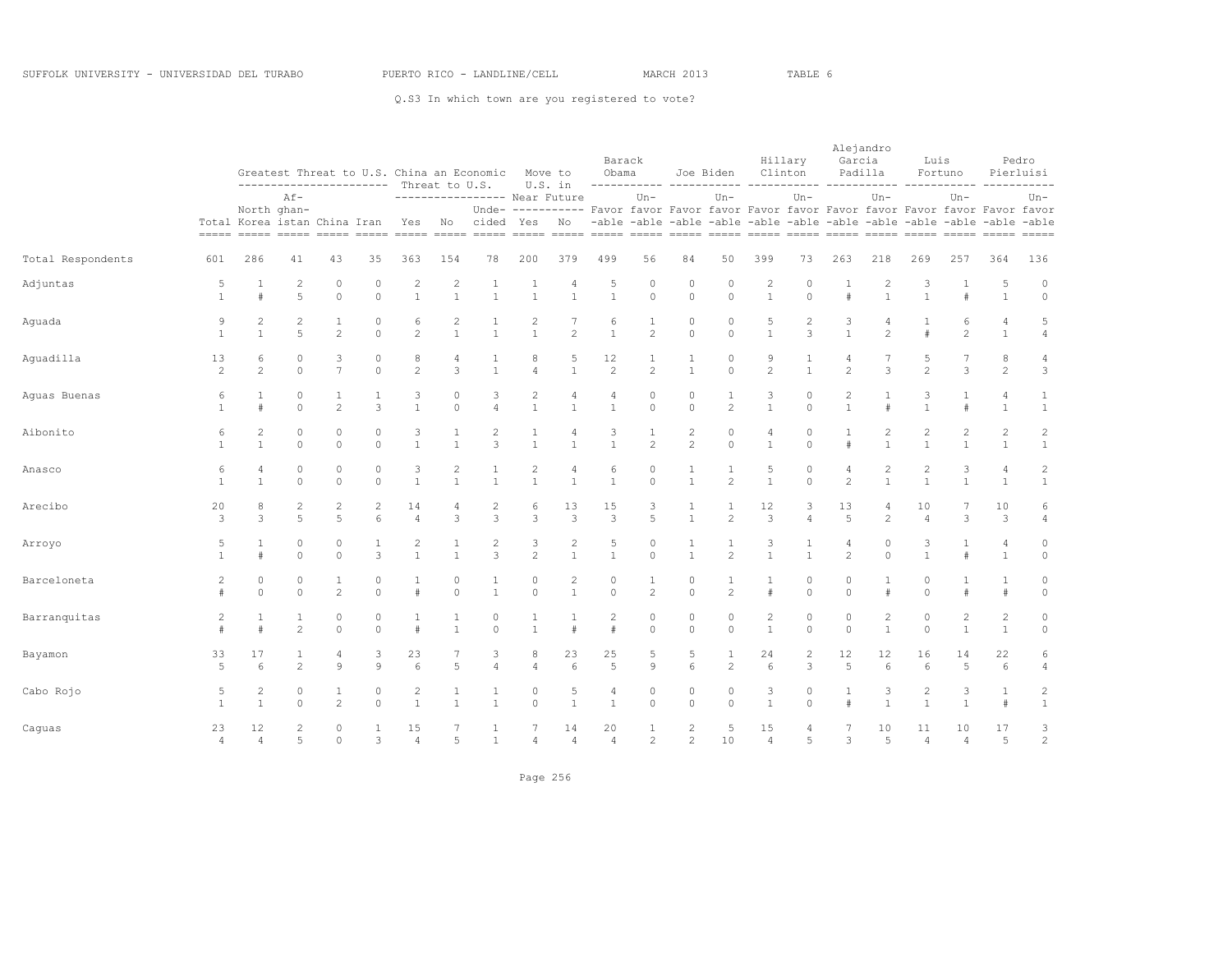|                   |                      |                                |                                |                                | ----------------------- Threat to U.S. |                                  |                                | Greatest Threat to U.S. China an Economic     | Move to                          | U.S. in                                                                                               | Obama                          | Barack                         |                                  | Joe Biden                      |                                | Hillary<br>Clinton                                                               | Alejandro<br>Garcia     | Padilla                          | Luis                           | Fortuno                        |                                  | Pedro<br>Pierluisi                  |
|-------------------|----------------------|--------------------------------|--------------------------------|--------------------------------|----------------------------------------|----------------------------------|--------------------------------|-----------------------------------------------|----------------------------------|-------------------------------------------------------------------------------------------------------|--------------------------------|--------------------------------|----------------------------------|--------------------------------|--------------------------------|----------------------------------------------------------------------------------|-------------------------|----------------------------------|--------------------------------|--------------------------------|----------------------------------|-------------------------------------|
|                   |                      | Total Korea istan China Iran   | $Af-$<br>North ghan-           |                                |                                        | Yes                              |                                | ----------------- Near Future<br>No cided Yes |                                  | Unde- ---------- Favor favor Favor favor Favor favor Favor favor Favor favor Favor favor<br>$N \circ$ |                                | $Un -$                         |                                  | $Un-$                          |                                | $Un-$<br>-able -able -able -able -able -able -able -able -able -able -able -able |                         | $Un-$                            |                                | $Un -$                         |                                  | $Un-$                               |
|                   |                      |                                |                                |                                |                                        |                                  |                                |                                               |                                  |                                                                                                       |                                |                                |                                  |                                |                                |                                                                                  |                         |                                  |                                |                                |                                  |                                     |
| Total Respondents | 601                  | 286                            | 41                             | 43                             | 35                                     | 363                              | 154                            | 78                                            | 200                              | 379                                                                                                   | 499                            | 56                             | 84                               | 50                             | 399                            | 73                                                                               | 263                     | 218                              | 269                            | 257                            | 364                              | 136                                 |
| Adjuntas          | 5<br>$\mathbf{1}$    | $\mathbf{1}$<br>$\pm$          | $\mathbf{2}$<br>5              | $\Omega$<br>$\Omega$           | $\Omega$<br>$\Omega$                   | $\overline{2}$<br>$\overline{1}$ | $\overline{2}$<br>$\mathbf{1}$ | 1<br>$\mathbf{1}$                             | $\mathbf{1}$<br>$\mathbf{1}$     | $\mathbf{1}$                                                                                          | 5<br>$\mathbf{1}$              | $\Omega$<br>$\Omega$           | $\circ$<br>$\Omega$              | $\circ$<br>$\Omega$            | $\overline{c}$<br>$\mathbf{1}$ | $\Omega$<br>$\Omega$                                                             | $\pm$                   | $\overline{c}$<br>$\mathbf{1}$   | 3<br>$\mathbf{1}$              | $\pm$                          | $\overline{5}$<br>$\overline{1}$ | $\circ$<br>$\circ$                  |
| Aguada            | 9<br>$\overline{1}$  | 2<br>$\mathbf{1}$              | $\mathbf{2}$<br>5              | $\overline{c}$                 | 0<br>$\Omega$                          | 6<br>$\overline{c}$              | $\overline{2}$<br>$\mathbf{1}$ | 1<br>$\mathbf{1}$                             | $\overline{c}$<br>$\mathbf{1}$   | $\mathfrak{D}$                                                                                        | 6<br>$\mathbf{1}$              | 1<br>2                         | $\circ$<br>$\Omega$              | $\circ$<br>$\Omega$            | 5<br>$\mathbf{1}$              | $\overline{2}$<br>3                                                              | 3<br>$\mathbf{1}$       | 4<br>$\mathfrak{D}$              | $\#$                           | 6<br>$\overline{c}$            | 4<br>$\overline{1}$              | 5<br>$\overline{4}$                 |
| Aquadilla         | 13<br>$\overline{c}$ | 6<br>$\overline{a}$            | $\circ$<br>$\circ$             | 3<br>$\overline{7}$            | 0<br>$\Omega$                          | 8<br>$\overline{c}$              | $\overline{4}$<br>3            | $\mathbf{1}$                                  | 8<br>$\Delta$                    | 5<br>$\mathbf{1}$                                                                                     | 12<br>2                        | $\overline{c}$                 | 1<br>$\mathbf{1}$                | $\circ$<br>$\circ$             | 9<br>$\overline{2}$            | 1<br>$\mathbf{1}$                                                                | 2                       | $\overline{3}$                   | 5<br>$\overline{c}$            | 3                              | 8<br>$\overline{c}$              | 4<br>3                              |
| Aquas Buenas      | 6<br>$\mathbf{1}$    | $\mathbf{1}$<br>$\#$           | $\circ$<br>$\Omega$            | 1<br>$\overline{c}$            | $\mathbf{1}$<br>3                      | 3<br>$\overline{1}$              | $\mathbf{0}$<br>$\Omega$       | 3<br>$\overline{4}$                           | $\mathbf{2}$<br>$\mathbf{1}$     | 4<br>$\mathbf{1}$                                                                                     | $\overline{4}$<br>$\mathbf{1}$ | $\circ$<br>$\circ$             | $\circ$<br>$\circ$               | $\mathbf{1}$<br>$\overline{2}$ | 3<br>$\mathbf{1}$              | $\circ$<br>$\Omega$                                                              | 2<br>$\mathbf{1}$       | 1<br>#                           | 3<br>$\mathbf{1}$              | $\mathbf{1}$<br>$\pm$          | $\overline{4}$<br>$\mathbf{1}$   | 1<br>$\mathbf{1}$                   |
| Aibonito          | 6<br>$\mathbf{1}$    | $\overline{c}$<br>$\mathbf{1}$ | $\Omega$<br>$\Omega$           | $\circ$<br>$\Omega$            | 0<br>$\Omega$                          | 3<br>$\overline{1}$              | $\mathbf{1}$<br>$\mathbf{1}$   | $\mathbf{2}$<br>3                             | $\mathbf{1}$<br>$\mathbf{1}$     | 4<br>$\mathbf{1}$                                                                                     | 3<br>$\mathbf{1}$              | $\mathbf{1}$<br>$\overline{c}$ | $\sqrt{2}$<br>$\overline{c}$     | $\circ$<br>$\Omega$            | 4<br>$\mathbf{1}$              | $\circ$<br>$\Omega$                                                              |                         | $\overline{c}$<br>$\overline{1}$ | $\overline{c}$<br>$\mathbf{1}$ | 2<br>$\mathbf{1}$              | $\mathbf{2}$<br>$\mathbf{1}$     | $\mathbf{2}$<br>$\mathbf{1}$        |
| Anasco            | 6<br>$\overline{1}$  | 4<br>$\mathbf{1}$              | $\circ$<br>$\Omega$            | $\circ$<br>$\Omega$            | $\circ$<br>$\Omega$                    | 3<br>$\overline{1}$              | $\overline{2}$<br>$\mathbf{1}$ | 1<br>$\mathbf{1}$                             | $\overline{c}$<br>$\overline{1}$ | 4<br>$\mathbf{1}$                                                                                     | 6<br>$\mathbf{1}$              | $\mathbf{0}$<br>$\Omega$       | $\mathbf{1}$<br>$\mathbf{1}$     | $\mathfrak{D}$                 | 5<br>$\mathbf{1}$              | $\circ$<br>$\Omega$                                                              | 4<br>$\mathfrak{D}$     | $\overline{c}$<br>$\overline{1}$ | 2<br>$\mathbf{1}$              | 3                              | $\overline{4}$<br>$\mathbf{1}$   | $\overline{c}$<br>$\mathbf{1}$      |
| Arecibo           | 20<br>3              | 8<br>3                         | 2<br>5                         | $\mathbf{2}$<br>5              | 2<br>6                                 | 14<br>$\overline{4}$             | $\overline{4}$<br>3            | $\overline{c}$<br>3                           | 6<br>3                           | 13<br>3                                                                                               | 15<br>$\mathbf{3}$             | 3<br>5                         | 1<br>$\mathbf{1}$                | 1<br>2                         | 12<br>$\mathbf{3}$             | 3<br>$\overline{4}$                                                              | 13<br>5                 | 4<br>$\overline{2}$              | 10<br>$\overline{4}$           | 7<br>3                         | 10<br>3                          | 6<br>4                              |
| Arroyo            | 5<br>$\mathbf{1}$    | 1<br>$\pm$                     | $\circ$<br>$\Omega$            | $\mathbb O$<br>$\Omega$        | 1<br>3                                 | $\overline{c}$<br>$\mathbf{1}$   | $\mathbf{1}$<br>$\mathbf{1}$   | $\sqrt{2}$<br>3                               | 3<br>$\overline{c}$              | $\overline{c}$<br>$\mathbf{1}$                                                                        | 5<br>$\mathbf{1}$              | $\circ$<br>$\Omega$            | $\mathbf{1}$<br>$\mathbf{1}$     | $\mathbf{1}$<br>$\mathfrak{D}$ | 3<br>$\mathbf{1}$              | 1<br>$\mathbf{1}$                                                                | 4<br>$\mathfrak{D}$     | $\circ$<br>$\Omega$              | 3<br>$\mathbf{1}$              | $\mathbf{1}$<br>#              | $\overline{4}$<br>$\mathbf{1}$   | $\mathsf{O}\xspace$<br>$\mathbf{0}$ |
| Barceloneta       | $\overline{2}$       | $\circ$<br>$\Omega$            | $\circ$<br>$\Omega$            | $\mathbf{1}$<br>$\overline{c}$ | $\Omega$<br>$\Omega$                   | $\mathbf{1}$<br>$\pm$            | $\mathbf 0$<br>$\cap$          | 1<br>$\mathbf{1}$                             | $\mathsf{O}\xspace$<br>$\Omega$  | $\overline{2}$<br>$\mathbf{1}$                                                                        | $\circ$<br>$\Omega$            | $\mathbf{1}$<br>$\overline{c}$ | $\circ$<br>$\Omega$              | $\mathbf{1}$<br>2              | $\mathbf{1}$<br>$\pm$          | $\circ$<br>$\Omega$                                                              | $\circ$<br>$\cap$       | 1<br>$\pm$                       | $\circ$<br>$\Omega$            | 1                              | $\mathbf{1}$<br>$\pm$            | 0<br>$\mathbf{0}$                   |
| Barranquitas      | 2<br>#               | $\#$                           | $\mathbf{1}$<br>$\overline{c}$ | $\circ$<br>$\Omega$            | 0<br>$\Omega$                          | #                                | $\mathbf{1}$                   | $\mathbf{0}$<br>$\circ$                       | $\mathbf{1}$                     | $\ddagger$                                                                                            | $\overline{c}$<br>#            | 0<br>$\Omega$                  | $\circ$<br>$\circ$               | $\circ$<br>$\Omega$            | 2<br>$\mathbf{1}$              | $\circ$<br>$\Omega$                                                              | $\mathbf 0$<br>$\Omega$ | $\overline{c}$<br>$\mathbf{1}$   | $\circ$<br>$\Omega$            | $\overline{2}$<br>$\mathbf{1}$ | $\overline{2}$<br>$\mathbf{1}$   | 0<br>$\circ$                        |
| Bayamon           | 33<br>5              | 17<br>6                        | 1<br>$\overline{2}$            | 4<br>9                         | 3<br>9                                 | 23<br>6                          | $\overline{7}$<br>5            | 3<br>$\overline{4}$                           | 8<br>$\overline{4}$              | 23<br>6                                                                                               | 25<br>5                        | 5<br>9                         | 5<br>6                           | 1<br>$\overline{2}$            | 24<br>6                        | $\overline{c}$<br>3                                                              | 12<br>5                 | 12<br>6                          | 16<br>6                        | 14<br>5                        | 22<br>6                          | 6<br>4                              |
| Cabo Rojo         | 5<br>$\mathbf{1}$    | 2<br>$\mathbf{1}$              | $\circ$<br>$\Omega$            | 1<br>$\mathfrak{D}$            | 0<br>$\Omega$                          | 2<br>$\overline{1}$              | 1<br>$\mathbf{1}$              | 1<br>$\mathbf{1}$                             | $\circ$<br>$\Omega$              | 5<br>$\mathbf{1}$                                                                                     | 4<br>$\mathbf{1}$              | 0<br>$\Omega$                  | $\circ$<br>$\Omega$              | $\circ$<br>$\Omega$            | 3<br>$\mathbf{1}$              | 0<br>$\Omega$                                                                    | -1                      | 3<br>$\overline{1}$              | 2<br>$\mathbf{1}$              | 3<br>$\mathbf{1}$              | 1<br>#                           | $\overline{c}$<br>$\mathbf{1}$      |
| Caguas            | 23<br>$\overline{4}$ | 12<br>$\overline{4}$           | $\overline{c}$<br>5            | $\circ$<br>$\Omega$            | 3                                      | 15<br>$\overline{4}$             | $\overline{7}$<br>5            | 1<br>$\mathbf{1}$                             | $\overline{7}$<br>$\overline{4}$ | 14<br>$\overline{4}$                                                                                  | 20<br>$\overline{4}$           | $\mathbf{1}$<br>$\overline{c}$ | $\overline{c}$<br>$\overline{c}$ | 5<br>10                        | 15<br>$\overline{4}$           | 4<br>5                                                                           | 3                       | 10<br>5                          | 11<br>$\overline{4}$           | 10<br>$\overline{4}$           | 17<br>5                          | 3<br>$\overline{c}$                 |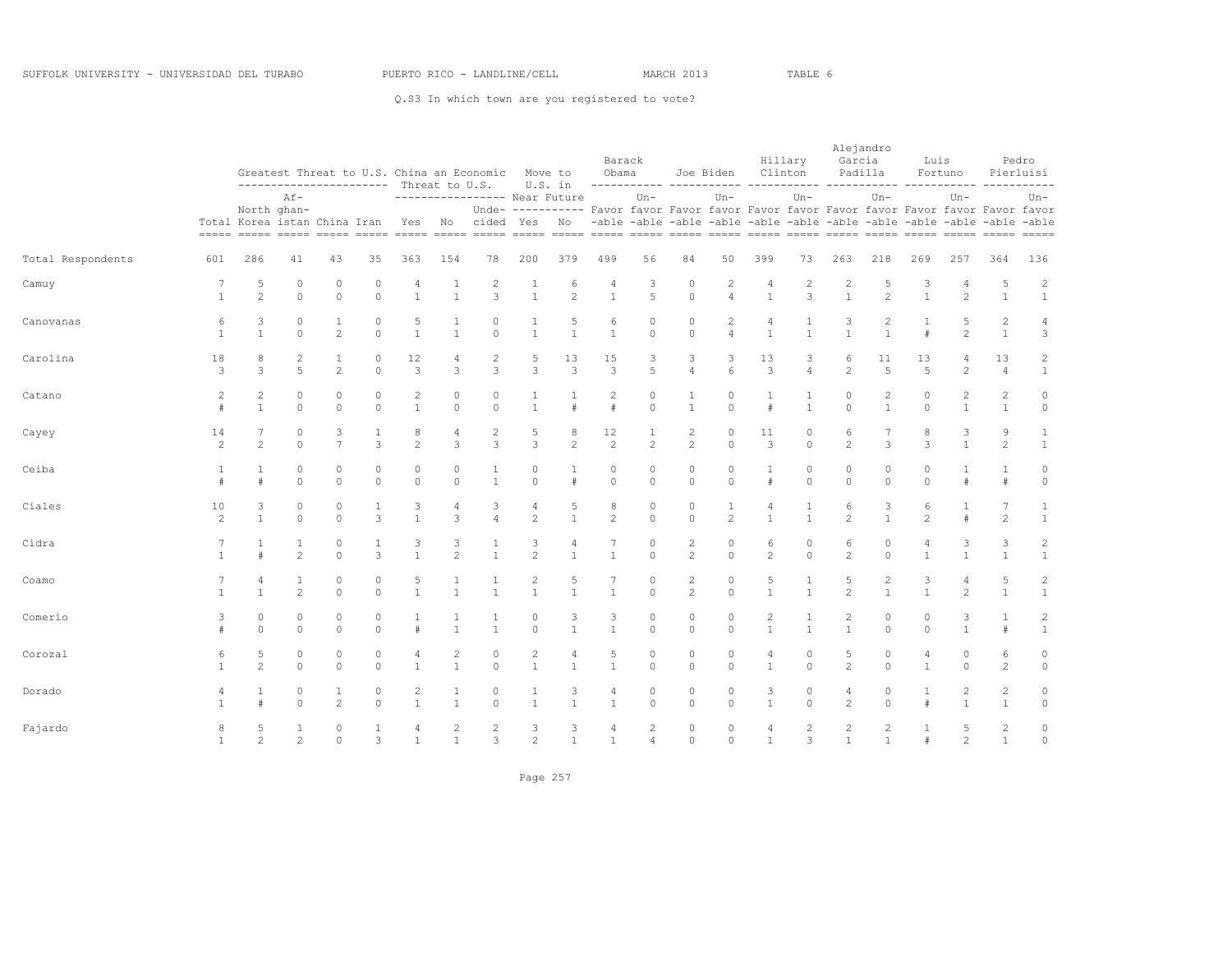|                   |                     |                                       | ----------------------- Threat to U.S. |                     |                      |                                |                                | Greatest Threat to U.S. China an Economic Move to    |                                | U.S. in                                                                                  | Obama               | Barack                           |                                                                         | Joe Biden                        |                                | Hillary<br>Clinton      | Alejandro<br>Garcia<br>----------- ----------- ----- | Padilla                          | Luis                 | Fortuno                        |                                  | Pedro<br>Pierluisi                      |
|-------------------|---------------------|---------------------------------------|----------------------------------------|---------------------|----------------------|--------------------------------|--------------------------------|------------------------------------------------------|--------------------------------|------------------------------------------------------------------------------------------|---------------------|----------------------------------|-------------------------------------------------------------------------|----------------------------------|--------------------------------|-------------------------|------------------------------------------------------|----------------------------------|----------------------|--------------------------------|----------------------------------|-----------------------------------------|
|                   |                     | Total Korea istan China Iran          | $Af-$<br>North ghan-                   |                     |                      |                                |                                | ----------------- Near Future<br>Yes No cided Yes No |                                | Unde- ---------- Favor favor Favor favor Favor favor Favor favor Favor favor Favor favor |                     | Un-                              | -able -able -able -able -able -able -able -able -able -able -able -able | $Un-$                            |                                | $Un -$                  |                                                      | $Un-$                            |                      | $Un-$                          |                                  | Un-                                     |
|                   |                     |                                       |                                        |                     |                      |                                |                                |                                                      |                                |                                                                                          |                     |                                  |                                                                         |                                  |                                |                         |                                                      |                                  |                      |                                |                                  |                                         |
| Total Respondents | 601                 | 286                                   | 41                                     | 43                  | 35                   | 363                            | 154                            | 78                                                   | 200                            | 379                                                                                      | 499                 | 56                               | 84                                                                      | 50                               | 399                            | 73                      | 263                                                  | 218                              | 269                  | 257                            | 364                              | 136                                     |
| Camuy             | 7<br>$\mathbf{1}$   | 5<br>$\mathfrak{D}$                   | $\Omega$<br>$\Omega$                   | $\circ$<br>$\Omega$ | $\Omega$<br>$\Omega$ | 4<br>$\mathbf{1}$              | $\mathbf{1}$                   | $\overline{2}$<br>3                                  | 1<br>$\mathbf{1}$              | 6<br>$\mathfrak{D}$                                                                      | 4<br>$\mathbf{1}$   | 3<br>5                           | $\circ$<br>$\Omega$                                                     | $\overline{c}$<br>$\overline{4}$ | 4<br>$\overline{1}$            | $\overline{c}$<br>3     | $\overline{c}$<br>$\mathbf{1}$                       | 5<br>$\overline{2}$              | 3<br>$\mathbf{1}$    | 4<br>$\mathfrak{D}$            | 5<br>$\overline{1}$              | $\sqrt{2}$<br>$\mathbf{1}$              |
| Canovanas         | 6<br>$\overline{1}$ | 3<br>$\mathbf{1}$                     | $\circ$<br>$\Omega$                    | 1<br>2              | 0<br>$\Omega$        | 5<br>$\mathbf{1}$              | $\mathbf{1}$                   | 0<br>$\Omega$                                        | $\mathbf{1}$                   | 5<br>$\mathbf{1}$                                                                        | 6<br>$\mathbf{1}$   | 0<br>$\Omega$                    | 0<br>$\Omega$                                                           | $\overline{c}$<br>$\overline{a}$ | 4<br>$\mathbf{1}$              | $\mathbf{1}$            | 3<br>$\mathbf{1}$                                    | $\overline{c}$<br>$\overline{1}$ | $\#$                 | 5<br>$\overline{c}$            | $\overline{c}$<br>$\mathbf{1}$   | 4<br>3                                  |
| Carolina          | 18<br>3             | 8<br>3                                | $\overline{c}$<br>5                    | 2                   | 0<br>$\circ$         | 12<br>3                        | 4<br>3                         | 2<br>3                                               | 5<br>3                         | 13<br>3                                                                                  | 15<br>3             | 3<br>5                           | 3<br>$\overline{4}$                                                     | 3<br>6                           | 13<br>3                        | 3<br>$\overline{4}$     | 6<br>2                                               | 11<br>5                          | 13<br>5              | 4<br>2                         | 13<br>$\overline{4}$             | $\overline{c}$<br>$\mathbf{1}$          |
| Catano            | 2<br>#              | $\mathbf{2}^{\prime}$<br>$\mathbf{1}$ | $\Omega$<br>$\Omega$                   | $\circ$<br>$\circ$  | 0<br>$\circ$         | $\overline{c}$<br>$\mathbf{1}$ | $\circ$<br>$\circ$             | $\circ$<br>$\circ$                                   | 1<br>$\mathbf{1}$              | $\pm$                                                                                    | $\overline{c}$<br># | $\circ$<br>$\circ$               | 1<br>$\mathbf{1}$                                                       | $\circ$<br>$\circ$               | 1<br>$\#$                      | 1<br>$\mathbf{1}$       | 0<br>$\circ$                                         | 2<br>$\mathbf{1}$                | $\circ$<br>$\circ$   | 2<br>$\mathbf{1}$              | $\overline{c}$<br>$\mathbf{1}$   | $\circ$<br>$\circ$                      |
| Cayey             | 14<br>2             | 7<br>$\mathfrak{D}$                   | $\Omega$<br>$\Omega$                   | 3<br>$\overline{7}$ | 1<br>3               | 8<br>$\overline{c}$            | 4<br>3                         | $\overline{c}$<br>3                                  | 5<br>3                         | 8<br>$\overline{c}$                                                                      | 12<br>2             | 1<br>$\overline{2}$              | $\overline{c}$<br>$\overline{c}$                                        | $\circ$<br>$\Omega$              | 11<br>3                        | $\Omega$<br>$\Omega$    | 6<br>$\overline{c}$                                  | 7<br>3                           | 8<br>3               | 3<br>$\mathbf{1}$              | 9<br>2                           | $\mathbf{1}$<br>$\mathbf{1}$            |
| Ceiba             | 1<br>#              | 1                                     | $\circ$<br>$\Omega$                    | $\circ$<br>$\Omega$ | 0<br>$\Omega$        | $\circ$<br>$\Omega$            | $\circ$<br>$\Omega$            | 1<br>$\mathbf{1}$                                    | $\circ$<br>$\Omega$            | 1<br>#                                                                                   | $\circ$<br>$\Omega$ | 0<br>$\Omega$                    | $\circ$<br>$\Omega$                                                     | $\circ$<br>$\Omega$              | $\mathbf{1}$<br>$\frac{1}{2}$  | $\mathbf 0$<br>$\Omega$ | $\circ$<br>$\Omega$                                  | $\mathbf{0}$<br>$\Omega$         | $\circ$<br>$\Omega$  | 1                              | $\mathbf{1}$<br>#                | $\circ$<br>$\circ$                      |
| Ciales            | 10<br>2             | 3<br>$\mathbf{1}$                     | $\circ$<br>$\circ$                     | $\circ$<br>$\circ$  | 1<br>3               | 3<br>$\mathbf{1}$              | 4<br>3                         | 3<br>4                                               | 4<br>$\mathbf{2}$              | 5<br>$\mathbf{1}$                                                                        | 8<br>2              | 0<br>$\circ$                     | $\circ$<br>$\circ$                                                      | 1<br>$\overline{2}$              | 4<br>$\mathbf{1}$              | 1<br>$\mathbf{1}$       | 6<br>2                                               | 3<br>$\mathbf{1}$                | 6<br>$\overline{c}$  | $\mathbf{1}$<br>#              | $7\phantom{.0}$<br>2             | 1<br>$\mathbf{1}$                       |
| Cidra             |                     | 1<br>#                                | $\mathbf{1}$<br>$\mathfrak{D}$         | $\circ$<br>$\Omega$ | 1<br>3               | 3<br>$\overline{1}$            | 3<br>$\mathcal{P}$             | 1<br>$\mathbf{1}$                                    | 3<br>$\mathfrak{D}$            | 4<br>$\mathbf{1}$                                                                        | 7<br>$\mathbf{1}$   | $\Omega$<br>$\Omega$             | $\overline{c}$<br>$\mathfrak{D}$                                        | $\circ$<br>$\Omega$              | 6<br>$\overline{2}$            | $\Omega$<br>$\Omega$    | 6<br>$\mathfrak{D}$                                  | $\mathbf{0}$<br>$\Omega$         | 4<br>$\mathbf{1}$    | 3<br>$\mathbf{1}$              | 3<br>$\overline{1}$              | $\sqrt{2}$<br>$\mathbf{1}$              |
| Coamo             |                     | 4<br>$\mathbf{1}$                     | $\mathbf{1}$<br>$\overline{c}$         | $\circ$<br>$\Omega$ | 0<br>$\Omega$        | 5<br>$\overline{1}$            | $\mathbf{1}$<br>$\mathbf{1}$   | 1<br>$\overline{1}$                                  | $\overline{c}$<br>$\mathbf{1}$ | 5<br>$\mathbf{1}$                                                                        | $\overline{1}$      | 0<br>$\Omega$                    | $\mathbf{2}$<br>$\overline{c}$                                          | $\circ$<br>$\cap$                | 5<br>$\mathbf{1}$              | 1<br>$\mathbf{1}$       | 5<br>$\mathfrak{D}$                                  | $\sqrt{2}$<br>$\overline{1}$     | 3<br>$\mathbf{1}$    | 4<br>$\overline{c}$            | 5<br>$\overline{1}$              | $\sqrt{2}$<br>$\mathbf{1}$              |
| Comerio           | 3                   | $\circ$<br>$\Omega$                   | $\circ$<br>$\Omega$                    | $\circ$<br>$\Omega$ | 0<br>$\Omega$        | #                              | $\mathbf{1}$                   | $\mathbf{1}$                                         | $\mathbf{0}$<br>$\Omega$       | 3<br>$\mathbf{1}$                                                                        | 3<br>$\mathbf{1}$   | 0<br>$\Omega$                    | $\circ$<br>$\circ$                                                      | $\circ$<br>$\circ$               | $\overline{c}$<br>$\mathbf{1}$ | $\mathbf{1}$            | 2<br>$\mathbf{1}$                                    | $\circ$<br>$\circ$               | $\Omega$<br>$\Omega$ | 3<br>$\mathbf{1}$              | $\mathbf{1}$<br>#                | $\overline{\mathbf{c}}$<br>$\mathbf{1}$ |
| Corozal           | 6<br>$\mathbf{1}$   | 5<br>$\overline{2}$                   | $\circ$<br>$\Omega$                    | $\circ$<br>$\circ$  | 0<br>$\circ$         | 4<br>$\mathbf{1}$              | 2<br>$\mathbf{1}$              | 0<br>$\circ$                                         | 2<br>$\mathbf{1}$              | 4<br>$\mathbf{1}$                                                                        | 5<br>$\mathbf{1}$   | 0<br>$\circ$                     | 0<br>$\circ$                                                            | $\circ$<br>$\circ$               | 4<br>$\mathbf{1}$              | 0<br>$\circ$            | 5<br>$\overline{2}$                                  | $\circ$<br>$\circ$               | 4<br>$\mathbf{1}$    | 0<br>$\circ$                   | 6<br>2                           | 0<br>$\circ$                            |
| Dorado            | 4<br>$\mathbf{1}$   | 1<br>#                                | $\circ$<br>$\Omega$                    | 1<br>2              | 0<br>$\Omega$        | 2<br>$\overline{1}$            | 1<br>$\mathbf{1}$              | $\circ$<br>$\circ$                                   | 1<br>$\mathbf{1}$              | 3<br>$\mathbf{1}$                                                                        | 4<br>$\mathbf{1}$   | 0<br>$\Omega$                    | $\circ$<br>$\circ$                                                      | $\circ$<br>$\Omega$              | 3<br>$\mathbf{1}$              | 0<br>$\Omega$           | 4<br>$\overline{2}$                                  | 0<br>$\Omega$                    | 1<br>$\pmb{\mp}$     | $\overline{c}$<br>$\mathbf{1}$ | $\mathbf{2}$<br>$\mathbf{1}$     | 0<br>$\mathbb O$                        |
| Fajardo           | 8<br>$\mathbf{1}$   | 5<br>$\overline{2}$                   | 1<br>$\overline{c}$                    | $\circ$<br>$\circ$  | $\mathbf{1}$<br>3    | 4<br>$\overline{1}$            | $\overline{2}$<br>$\mathbf{1}$ | $\overline{2}$<br>3                                  | 3<br>$\overline{c}$            | 3<br>$\mathbf{1}$                                                                        | 4<br>$\mathbf{1}$   | $\overline{c}$<br>$\overline{4}$ | $\circ$<br>$\circ$                                                      | $\circ$<br>$\circ$               | 4<br>$\overline{1}$            | $\overline{c}$<br>3     | $\overline{c}$<br>$\mathbf{1}$                       | $\overline{c}$<br>$\mathbf{1}$   | -1<br>$\#$           | 5<br>$\overline{c}$            | $\overline{c}$<br>$\overline{1}$ | $\circ$<br>$\mathbb O$                  |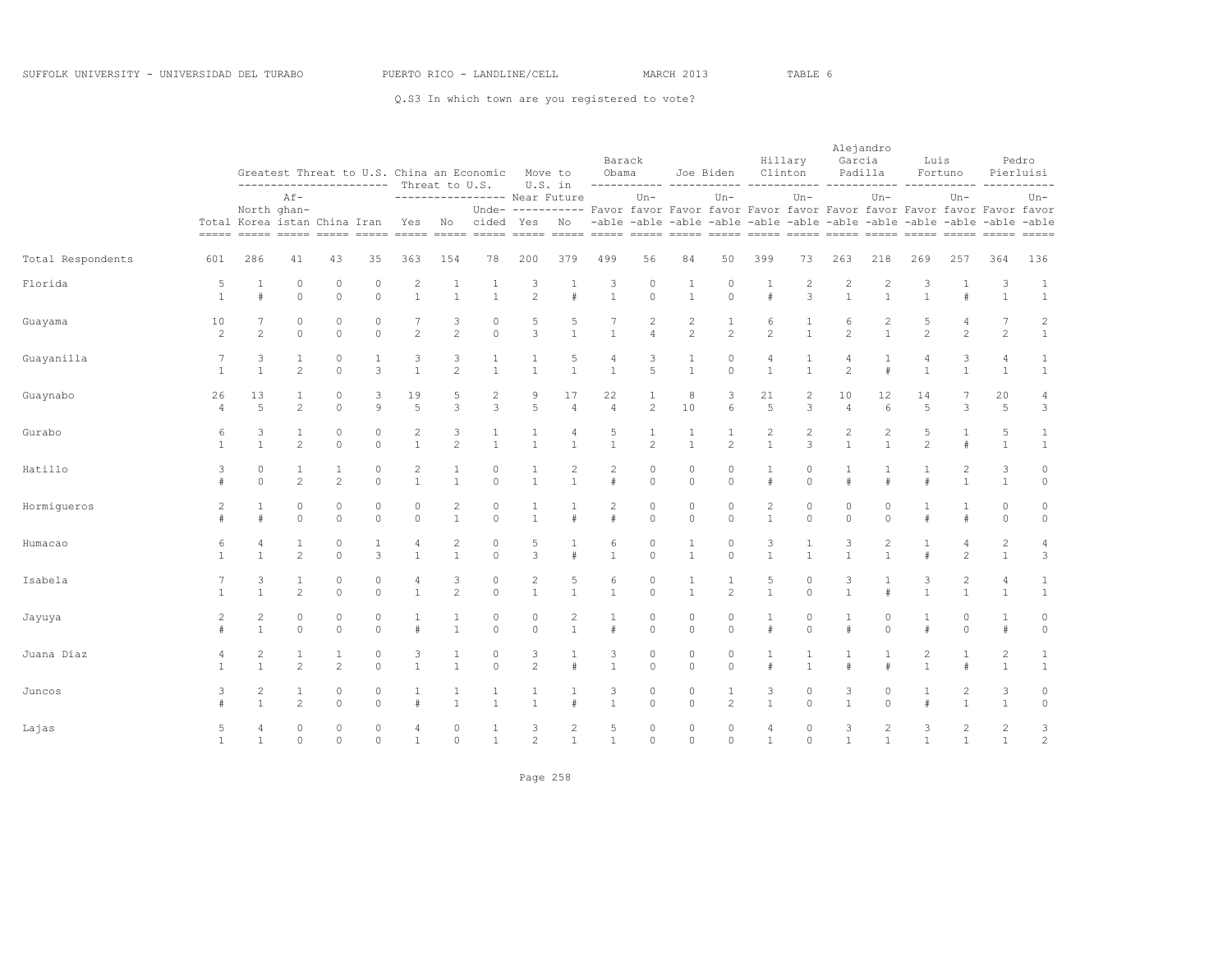|                   |                      |                                |                                |                                | ----------------------- Threat to U.S. |                                  |                                | Greatest Threat to U.S. China an Economic     | Move to                        | U.S. in                                                                                                    | Obama                  | Barack                           |                                  | Joe Biden<br>------------------------                                             |                                  | Hillary<br>Clinton           | Alejandro<br>Garcia            | Padilla                          | Luis                 | Fortuno                          |                                  | Pedro<br>Pierluisi             |
|-------------------|----------------------|--------------------------------|--------------------------------|--------------------------------|----------------------------------------|----------------------------------|--------------------------------|-----------------------------------------------|--------------------------------|------------------------------------------------------------------------------------------------------------|------------------------|----------------------------------|----------------------------------|-----------------------------------------------------------------------------------|----------------------------------|------------------------------|--------------------------------|----------------------------------|----------------------|----------------------------------|----------------------------------|--------------------------------|
|                   |                      | Total Korea istan China Iran   | $Af -$<br>North ghan-          |                                |                                        | Yes                              |                                | ----------------- Near Future<br>No cided Yes |                                | Unde- ---------- Favor favor Favor favor Favor favor Favor favor Favor favor Favor favor<br>N <sub>O</sub> |                        | $Un -$                           |                                  | $Un -$<br>-able -able -able -able -able -able -able -able -able -able -able -able |                                  | $Un -$                       |                                | $Un-$                            |                      | $Un -$                           |                                  | $Un-$                          |
| Total Respondents | 601                  | 286                            | 41                             | 43                             | 35                                     | 363                              | 154                            | 78                                            | 200                            | 379                                                                                                        | 499                    | 56                               | 84                               | 50                                                                                | 399                              | 73                           | 263                            | 218                              | 269                  | 257                              | 364                              | 136                            |
| Florida           | 5<br>$\mathbf{1}$    | $\mathbf{1}$<br>#              | $\circ$<br>$\Omega$            | $\circ$<br>$\Omega$            | $\cap$<br>$\Omega$                     | $\overline{c}$<br>$\overline{1}$ | $\mathbf{1}$<br>$\overline{1}$ | $\mathbf{1}$<br>$\overline{1}$                | 3<br>$\mathfrak{D}$            | $\pm$                                                                                                      | 3<br>$\mathbf{1}$      | $\Omega$<br>$\Omega$             | $\mathbf{1}$<br>$\mathbf{1}$     | $\circ$<br>$\circ$                                                                | $\overline{1}$<br>#              | $\overline{c}$<br>3          | $\overline{2}$<br>$\mathbf{1}$ | $\overline{c}$<br>$\mathbf{1}$   | 3<br>$\mathbf{1}$    | $\mathbf{1}$<br>$\pm$            | 3<br>$\mathbf{1}$                | $\mathbf{1}$<br>$\mathbf{1}$   |
| Guayama           | 10<br>2              | 7<br>2                         | $\circ$<br>$\circ$             | $\circ$<br>$\circ$             | 0<br>$\circ$                           | 7<br>2                           | 3<br>$\overline{c}$            | $\circ$<br>$\circ$                            | 5<br>3                         | 5<br>$\mathbf{1}$                                                                                          | 7<br>$\mathbf{1}$      | $\overline{c}$<br>$\overline{4}$ | $\overline{c}$<br>$\overline{c}$ | $\mathbf{1}$<br>2                                                                 | 6<br>$\overline{c}$              | $\mathbf{1}$<br>$\mathbf{1}$ | 6<br>2                         | $\overline{c}$<br>$\mathbf{1}$   | 5<br>2               | $\overline{4}$<br>2              | $\overline{7}$<br>2              | $\overline{c}$<br>$\mathbf{1}$ |
| Guayanilla        | 7<br>$\overline{1}$  | 3<br>$\mathbf{1}$              | $\mathbf{1}$<br>$\overline{c}$ | $\circ$<br>$\Omega$            | 1<br>3                                 | 3<br>$\mathbf{1}$                | 3<br>$\overline{2}$            | 1<br>$\mathbf{1}$                             | $\mathbf{1}$<br>$\mathbf{1}$   | 5<br>$\mathbf{1}$                                                                                          | 4<br>$\mathbf{1}$      | 3<br>5                           | 1<br>$\mathbf{1}$                | $\circ$<br>$\Omega$                                                               | 4<br>$\mathbf{1}$                | 1<br>$\mathbf{1}$            | 4<br>$\overline{c}$            | 1<br>#                           | 4<br>$\mathbf{1}$    | 3<br>$\mathbf{1}$                | 4<br>$\mathbf{1}$                | $\mathbf{1}$<br>$\mathbf{1}$   |
| Guaynabo          | 26<br>$\overline{4}$ | 13<br>5                        | $\overline{c}$                 | $\theta$<br>$\Omega$           | 3<br>9                                 | 19<br>5                          | 5<br>3                         | 2<br>3                                        | 9<br>5                         | 17<br>$\overline{4}$                                                                                       | 22<br>$\overline{4}$   | $\mathbf{1}$<br>2                | 8<br>10                          | 3<br>6                                                                            | 21<br>5                          | $\overline{2}$<br>3          | 10<br>$\overline{4}$           | 12<br>6                          | 14<br>5              | 3                                | 20<br>5                          | 4<br>3                         |
| Gurabo            | 6<br>$\overline{1}$  | 3<br>$\mathbf{1}$              | $\mathbf{1}$<br>$\overline{c}$ | $\circ$<br>$\circ$             | 0<br>$\Omega$                          | $\overline{c}$<br>$\overline{1}$ | 3<br>$\overline{c}$            | 1<br>$\mathbf{1}$                             | $\mathbf{1}$<br>$\mathbf{1}$   | $\overline{4}$<br>$\mathbf{1}$                                                                             | 5<br>$\mathbf{1}$      | $\mathbf{1}$<br>$\overline{c}$   | 1<br>$\mathbf{1}$                | 1<br>$\overline{c}$                                                               | 2<br>$\mathbf{1}$                | $\overline{c}$<br>3          | 2<br>$\mathbf{1}$              | $\overline{c}$<br>$\mathbf{1}$   | 5<br>$\overline{c}$  | $\#$                             | 5<br>$\mathbf{1}$                | $\mathbf{1}$<br>$\mathbf{1}$   |
| Hatillo           | 3                    | $\circ$<br>$\Omega$            | $\mathbf{1}$<br>$\mathfrak{D}$ | $\mathbf{1}$<br>$\mathfrak{D}$ | $\Omega$<br>$\Omega$                   | $\overline{c}$<br>$\mathbf{1}$   | 1<br>$\mathbf{1}$              | $\circ$<br>$\Omega$                           | $\mathbf{1}$<br>$\mathbf{1}$   | 2<br>$\mathbf{1}$                                                                                          | $\overline{c}$<br>$\#$ | $\circ$<br>$\Omega$              | $\circ$<br>$\Omega$              | $\circ$<br>$\Omega$                                                               | 1<br>#                           | $\Omega$<br>$\Omega$         | $\pm$                          | $\mathbf{1}$<br>#                | 1<br>$\#$            | 2<br>$\mathbf{1}$                | 3<br>$\overline{1}$              | $\circ$<br>$\mathsf{O}\xspace$ |
| Hormigueros       | 2<br>#               | $\mathbf{1}$<br>#              | $\circ$<br>$\circ$             | $\circ$<br>$\circ$             | 0<br>$\circ$                           | $\Omega$<br>$\circ$              | $\overline{c}$<br>$\mathbf{1}$ | 0<br>$\circ$                                  | $\mathbf{1}$<br>$\mathbf{1}$   | #                                                                                                          | $\overline{c}$<br>#    | $\circ$<br>$\circ$               | $\circ$<br>$\circ$               | $\circ$<br>$\circ$                                                                | $\overline{c}$<br>$\mathbf{1}$   | $\Omega$<br>$\circ$          | 0<br>$\circ$                   | $\circ$<br>$\circ$               | #                    | $\mathbf{1}$<br>#                | $\circ$<br>$\circ$               | 0<br>$\circ$                   |
| Humacao           | 6<br>$\mathbf{1}$    | 4<br>$\mathbf{1}$              | $\mathbf{1}$<br>$\overline{c}$ | $\circ$<br>$\Omega$            | $\mathbf{1}$<br>3                      | 4<br>$\mathbf{1}$                | 2<br>$\mathbf{1}$              | $\circ$<br>$\Omega$                           | 5<br>3                         | $\mathbf{1}$<br>$\pm$                                                                                      | 6<br>$\mathbf{1}$      | $\circ$<br>$\Omega$              | $\mathbf{1}$<br>$\mathbf{1}$     | $\circ$<br>$\Omega$                                                               | 3<br>$\mathbf{1}$                | $\mathbf{1}$<br>$\mathbf{1}$ | 3<br>$\mathbf{1}$              | $\overline{c}$<br>$\mathbf{1}$   | $\mathbf{1}$<br>$\#$ | $\overline{4}$<br>$\mathfrak{D}$ | $\overline{c}$<br>$\overline{1}$ | 4<br>$\mathbf{3}$              |
| Isabela           | 7<br>$\overline{1}$  | 3<br>$\mathbf{1}$              | $\mathbf{1}$<br>$\overline{c}$ | $\circ$<br>$\circ$             | 0<br>$\Omega$                          | 4<br>$\overline{1}$              | 3<br>$\overline{c}$            | $\circ$<br>$\circ$                            | $\sqrt{2}$<br>$\mathbf{1}$     | 5<br>$\mathbf{1}$                                                                                          | 6<br>$\mathbf{1}$      | $\circ$<br>$\circ$               | 1<br>$\mathbf{1}$                | $\mathbf{1}$<br>2                                                                 | 5<br>$\mathbf{1}$                | $\circ$<br>$\Omega$          | 3<br>$\mathbf{1}$              | 1<br>#                           | 3<br>$\mathbf{1}$    | $\mathbf{2}$<br>$\mathbf{1}$     | $\overline{4}$<br>$\mathbf{1}$   | $\mathbf{1}$<br>$\mathbf{1}$   |
| Jayuya            | $\overline{c}$       | $\overline{c}$<br>$\mathbf{1}$ | $\circ$<br>$\Omega$            | $\circ$<br>$\Omega$            | $\Omega$<br>$\Omega$                   |                                  | $\mathbf{1}$                   | $\circ$<br>$\cap$                             | $\circ$<br>$\Omega$            | $\overline{c}$<br>$\mathbf{1}$                                                                             | $\pm$                  | $\Omega$<br>$\Omega$             | $\Omega$<br>$\Omega$             | $\circ$<br>$\Omega$                                                               | $\mathbf{1}$<br>$\ddagger$       | $\Omega$<br>$\cap$           |                                | $\theta$<br>$\Omega$             | $\#$                 | $\Omega$<br>$\Omega$             | $\mathbf{1}$<br>$\ddagger$       | 0<br>$\mathbf{0}$              |
| Juana Diaz        | 4<br>$\overline{1}$  | 2<br>$\mathbf{1}$              | $\mathbf{1}$<br>$\overline{c}$ | $\mathbf{1}$<br>$\overline{c}$ | 0<br>$\Omega$                          | 3<br>$\mathbf{1}$                | 1<br>$\mathbf{1}$              | 0<br>$\circ$                                  | 3<br>$\overline{c}$            | 1<br>$\#$                                                                                                  | 3<br>$\mathbf{1}$      | 0<br>$\circ$                     | $\circ$<br>$\circ$               | $\circ$<br>$\circ$                                                                | 1<br>#                           | 1<br>$\mathbf{1}$            | $\pm$                          | 1<br>$\pm$                       | 2<br>$\mathbf{1}$    | $\mathbf{1}$<br>#                | $\overline{c}$<br>$\mathbf{1}$   | 1<br>$\mathbf{1}$              |
| Juncos            | 3<br>$\pm$           | 2<br>$\mathbf{1}$              | 1<br>$\overline{c}$            | $\circ$<br>$\Omega$            | 0<br>$\Omega$                          | $\pm$                            | $\overline{1}$                 | $\mathbf{1}$<br>$\overline{1}$                | $\mathbf{1}$<br>$\overline{1}$ | $\pm$                                                                                                      | 3<br>$\mathbf{1}$      | $\circ$<br>$\Omega$              | $\circ$<br>$\circ$               | 1<br>$\overline{c}$                                                               | 3<br>$\mathbf{1}$                | $\Omega$<br>$\cap$           | 3<br>$\mathbf{1}$              | $\circ$<br>$\Omega$              | $\mathbf{1}$<br>$\#$ | 2<br>$\mathbf{1}$                | 3<br>$\mathbf{1}$                | 0<br>$\circ$                   |
| Lajas             | 5<br>$\mathbf{1}$    | $\overline{4}$<br>1            | $\circ$<br>$\circ$             | $\circ$<br>$\circ$             | 0<br>$\Omega$                          | 4<br>$\mathbf{1}$                | $\circ$<br>$\circ$             | 1<br>$\mathbf{1}$                             | 3<br>$\mathfrak{D}$            | $\overline{c}$<br>$\mathbf{1}$                                                                             | 5<br>$\mathbf{1}$      | $\circ$<br>$\Omega$              | $\circ$<br>$\circ$               | $\circ$<br>$\circ$                                                                | $\overline{4}$<br>$\overline{1}$ | $\circ$<br>$\Omega$          | 3<br>$\mathbf{1}$              | $\overline{c}$<br>$\overline{1}$ | 3<br>$\mathbf{1}$    | 2<br>$\mathbf{1}$                | $\overline{c}$<br>$\mathbf{1}$   | 3<br>$\overline{c}$            |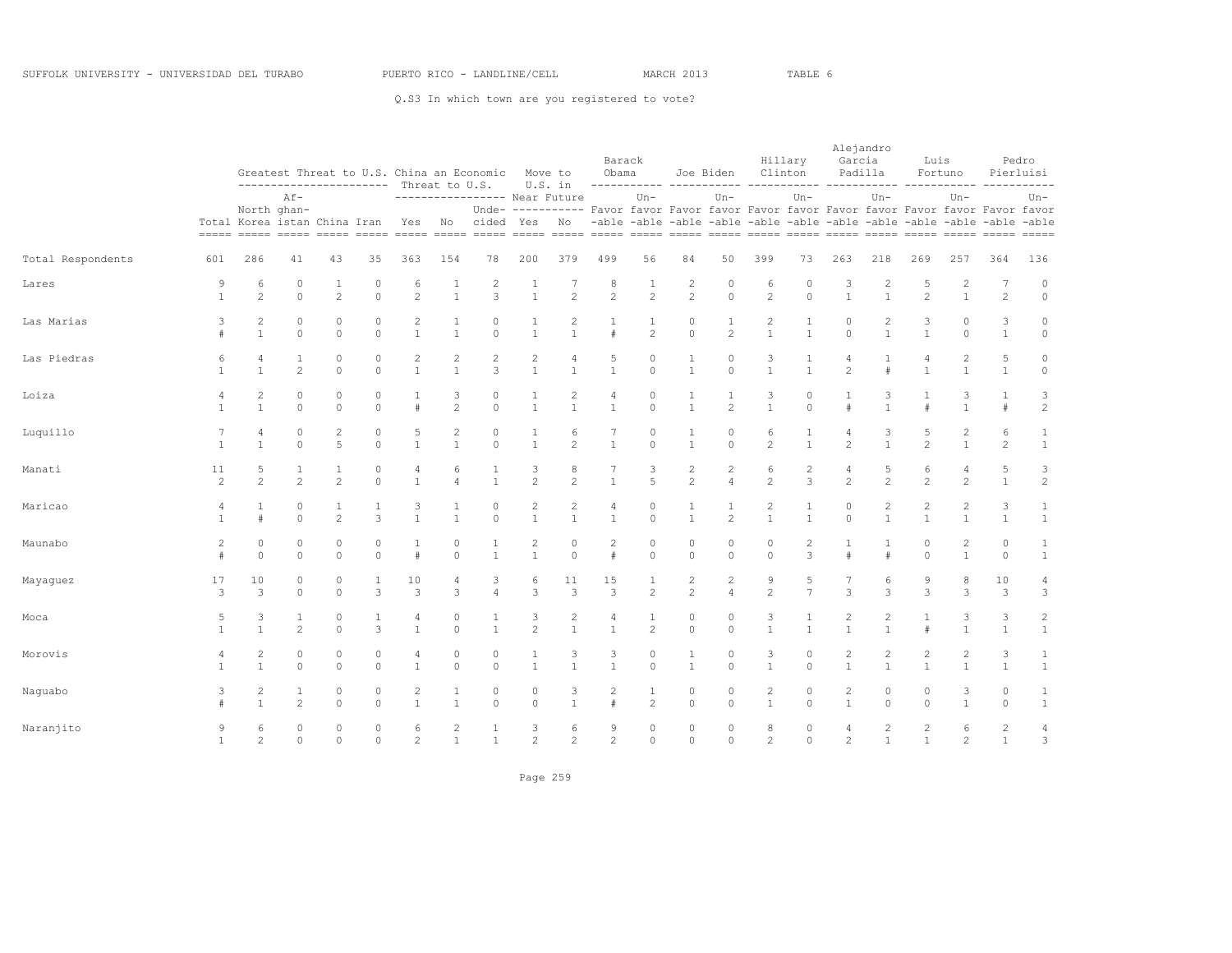|                   |                      |                                | ----------------------- Threat to U.S.                |                                |                     |                                |                                | Greatest Threat to U.S. China an Economic            | Move to                        | U.S. in                        | Barack<br>Obama                                                                          |                                |                                | Joe Biden                      |                     | Hillary<br>Clinton                                                               | Alejandro<br>Garcia            | Padilla                          | Luis                           | Fortuno                        |                                  | Pedro<br>Pierluisi           |
|-------------------|----------------------|--------------------------------|-------------------------------------------------------|--------------------------------|---------------------|--------------------------------|--------------------------------|------------------------------------------------------|--------------------------------|--------------------------------|------------------------------------------------------------------------------------------|--------------------------------|--------------------------------|--------------------------------|---------------------|----------------------------------------------------------------------------------|--------------------------------|----------------------------------|--------------------------------|--------------------------------|----------------------------------|------------------------------|
|                   |                      |                                | $Af -$<br>North ghan-<br>Total Korea istan China Iran |                                |                     |                                |                                | ----------------- Near Future<br>Yes No cided Yes No |                                |                                | Unde- ---------- Favor favor Favor favor Favor favor Favor favor Favor favor Favor favor | $Un -$                         |                                | $Un -$                         |                     | $Un-$<br>-able -able -able -able -able -able -able -able -able -able -able -able |                                | $Un-$                            |                                | $Un-$                          |                                  | $Un-$                        |
| Total Respondents | 601                  | 286                            | 41                                                    | 43                             | 35                  | 363                            | 154                            | 78                                                   | 200                            | 379                            | 499                                                                                      | 56                             | 84                             | 50                             | 399                 | 73                                                                               | 263                            | 218                              | 269                            | 257                            | 364                              | 136                          |
| Lares             | 9<br>$\overline{1}$  | 6<br>$\mathfrak{D}$            | $\circ$<br>$\Omega$                                   | 1<br>$\overline{2}$            | $\circ$<br>$\Omega$ | 6<br>$\mathfrak{D}$            | $\overline{1}$<br>$\mathbf{1}$ | $\overline{c}$<br>3                                  | $\mathbf{1}$<br>$\mathbf{1}$   | 7<br>$\mathfrak{D}$            | 8<br>$\overline{c}$                                                                      | 1<br>2                         | 2<br>$\overline{c}$            | $\circ$<br>$\Omega$            | 6<br>$\mathfrak{D}$ | $\Omega$<br>$\Omega$                                                             | 3<br>$\mathbf{1}$              | 2<br>$\overline{1}$              | .5<br>$\mathfrak{D}$           | 2<br>$\mathbf{1}$              | $\overline{7}$<br>2              | $\circ$<br>$\circ$           |
| Las Marias        | 3<br>#               | $\overline{c}$<br>$\mathbf{1}$ | $\circ$<br>$\circ$                                    | $\circ$<br>$\circ$             | 0<br>$\Omega$       | $\overline{c}$<br>$\mathbf{1}$ | $\mathbf{1}$<br>$\mathbf{1}$   | $\circ$<br>$\circ$                                   | $\mathbf{1}$<br>$\mathbf{1}$   | $\overline{c}$<br>$\mathbf{1}$ | $\mathbf{1}$<br>$\#$                                                                     | $\mathbf{1}$<br>$\overline{2}$ | $\mathbf{0}$<br>$\circ$        | $\mathbf{1}$<br>$\overline{c}$ | 2<br>$\mathbf{1}$   | $\mathbf{1}$<br>$\mathbf{1}$                                                     | 0<br>$\Omega$                  | $\overline{c}$<br>$\overline{1}$ | 3<br>$\mathbf{1}$              | $\circ$<br>$\circ$             | 3<br>$\mathbf{1}$                | $\circ$<br>$\circ$           |
| Las Piedras       | 6<br>$\mathbf{1}$    | 4<br>$\mathbf{1}$              | $\overline{c}$                                        | $\circ$<br>$\Omega$            | 0<br>$\Omega$       | $\mathbf{1}$                   | $\mathbf{1}$                   | 2<br>3                                               | $\overline{c}$<br>$\mathbf{1}$ | 4<br>$\overline{1}$            | 5<br>$\mathbf{1}$                                                                        | 0<br>$\Omega$                  | $\mathbf{1}$                   | $\mathbf{0}$<br>$\Omega$       | 3<br>$\mathbf{1}$   | $\mathbf{1}$                                                                     | $\mathfrak{D}$                 |                                  |                                | $\overline{c}$                 | 5<br>$\overline{1}$              | $\circ$<br>$\circ$           |
| Loiza             | 4<br>$\overline{1}$  | 2<br>$\mathbf{1}$              | $\circ$<br>$\Omega$                                   | $\circ$<br>$\Omega$            | $\circ$<br>$\Omega$ | #                              | 3<br>2                         | 0<br>$\Omega$                                        | $\mathbf{1}$<br>$\mathbf{1}$   | $\mathbf{1}$                   | 4<br>$\mathbf{1}$                                                                        | $\circ$<br>$\Omega$            | 1<br>$\mathbf{1}$              | $\mathbf{1}$<br>$\mathfrak{D}$ | 3<br>$\mathbf{1}$   | $\mathbf{0}$<br>$\Omega$                                                         | $\pm$                          | 3<br>$\overline{1}$              | 1<br>#                         | 3<br>$\mathbf{1}$              | $\mathbf{1}$<br>#                | 3<br>$\overline{c}$          |
| Luquillo          | $\overline{1}$       | 4<br>$\mathbf{1}$              | $\circ$<br>$\Omega$                                   | $\sqrt{2}$<br>5                | 0<br>$\Omega$       | $\mathbf{1}$                   | $\overline{c}$<br>$\mathbf{1}$ | 0<br>$\Omega$                                        | $\mathbf{1}$<br>$\mathbf{1}$   | 6<br>$\mathfrak{D}$            | $\mathbf{1}$                                                                             | $\circ$<br>$\Omega$            | $\mathbf{1}$                   | $\circ$<br>$\circ$             | 6<br>$\mathfrak{D}$ | $\mathbf{1}$                                                                     | $2^{1}$                        | 3<br>$\overline{1}$              | 5<br>$\mathfrak{D}$            | $\overline{c}$<br>$\mathbf{1}$ | 6<br>$\overline{c}$              | $1\,$<br>$\mathbf{1}$        |
| Manati            | 11<br>$\mathfrak{D}$ | 5<br>$\mathfrak{D}$            | 1<br>$\mathfrak{D}$                                   | $\mathbf{1}$<br>$\mathfrak{D}$ | $\circ$<br>$\Omega$ | 4                              | 6                              | 1<br>$\mathbf{1}$                                    | 3<br>$\mathfrak{D}$            | 8<br>$\mathfrak{D}$            | 7<br>$\mathbf{1}$                                                                        | 3<br>$\overline{5}$            | $\mathbf{2}$<br>$\mathfrak{D}$ | $\overline{c}$<br>4            | 6<br>$\overline{c}$ | $\overline{c}$<br>3                                                              | 4<br>$\mathfrak{D}$            | 5<br>$\mathfrak{D}$              | 6<br>$\mathfrak{D}$            | 4<br>$\mathfrak{D}$            | 5<br>$\overline{1}$              | 3<br>$\sqrt{2}$              |
| Maricao           | 4<br>$\overline{1}$  | $\mathbf{1}$<br>$\#$           | $\circ$<br>$\mathbb O$                                | 1<br>2                         | 1<br>3              | 3<br>$\mathbf{1}$              | 1<br>$\mathbf{1}$              | $\Omega$<br>$\circ$                                  | $\overline{c}$<br>$\mathbf{1}$ | $\overline{c}$<br>$\mathbf{1}$ | 4<br>$\mathbf{1}$                                                                        | 0<br>$\circ$                   | 1<br>$\mathbf{1}$              | 1<br>$\mathbf{2}^{\prime}$     | 2<br>$\mathbf{1}$   | 1<br>$\mathbf{1}$                                                                | 0<br>$\circ$                   | $\overline{c}$<br>$\mathbf{1}$   | $\overline{c}$<br>$\mathbf{1}$ | $\overline{c}$<br>$\mathbf{1}$ | 3<br>$\mathbf{1}$                | $\mathbf{1}$<br>$\mathbf{1}$ |
| Maunabo           | $\overline{2}$<br>#  | $\circ$<br>$\Omega$            | $\circ$<br>$\Omega$                                   | $\circ$<br>$\Omega$            | $\circ$<br>$\Omega$ | $\mathbf{1}$<br>$\#$           | $\circ$<br>$\Omega$            | $\mathbf{1}$<br>$\mathbf{1}$                         | 2<br>$\mathbf{1}$              | $\circ$<br>$\Omega$            | $\overline{c}$<br>$\#$                                                                   | $\circ$<br>$\Omega$            | $\circ$<br>$\Omega$            | $\circ$<br>$\Omega$            | $\circ$<br>$\Omega$ | $\overline{2}$<br>3                                                              | $\pm$                          | $\overline{1}$<br>$\ddot{+}$     | $\circ$<br>$\cap$              | 2<br>$\mathbf{1}$              | $\circ$<br>$\Omega$              | $\mathbf{1}$<br>$\mathbf{1}$ |
| Mayaguez          | 17<br>3              | 10<br>3                        | $\circ$<br>$\circ$                                    | $\circ$<br>$\Omega$            | 1<br>3              | 10<br>3                        | $\overline{4}$<br>3            | 3<br>$\overline{4}$                                  | 6<br>3                         | 11<br>$\mathbf{3}$             | 15<br>$\mathbf{3}$                                                                       | 1<br>$\overline{2}$            | $\mathbf{2}$<br>$\overline{c}$ | 2<br>4                         | 9<br>$\overline{2}$ | 5<br>$\overline{7}$                                                              | 7<br>3                         | 6<br>3                           | 9<br>3                         | 8<br>3                         | 10<br>3                          | 4<br>3                       |
| Moca              | 5                    | 3<br>$\mathbf{1}$              | $\mathbf{1}$<br>$\overline{c}$                        | $\circ$<br>$\Omega$            | $\mathcal{L}$       | $\mathbf{1}$                   | $\circ$<br>$\Omega$            | $\mathbf{1}$                                         | 3<br>$\mathcal{D}$             | $\overline{2}$                 | 4                                                                                        | $\mathfrak{D}$                 | $\mathbf{0}$<br>$\Omega$       | $\Omega$<br>$\Omega$           | 3<br>$\mathbf{1}$   | $\mathbf{1}$                                                                     |                                | $\overline{c}$<br>$\overline{1}$ |                                | 3                              | 3<br>$\overline{1}$              | $\sqrt{2}$<br>$1\,$          |
| Morovis           | $\overline{1}$       | 2<br>$\mathbf{1}$              | $\circ$<br>$\circ$                                    | $\circ$<br>$\circ$             | 0<br>$\Omega$       | $\overline{4}$<br>$\mathbf{1}$ | $\circ$<br>$\circ$             | $\Omega$<br>$\Omega$                                 | $\mathbf{1}$<br>$\overline{1}$ | 3<br>$\mathbf{1}$              | 3<br>$\mathbf{1}$                                                                        | 0<br>$\Omega$                  | 1<br>$\mathbf{1}$              | $\circ$<br>$\circ$             | 3<br>$\mathbf{1}$   | $\mathbf 0$<br>$\Omega$                                                          | $\overline{c}$<br>$\mathbf{1}$ | $\overline{c}$<br>$\overline{1}$ | $\overline{c}$<br>$\mathbf{1}$ | $\overline{2}$<br>$\mathbf{1}$ | 3<br>$\mathbf{1}$                | 1<br>$\mathbf{1}$            |
| Naguabo           | 3                    | 2<br>$\mathbf{1}$              | 1<br>$\overline{c}$                                   | $\circ$<br>$\Omega$            | 0<br>$\Omega$       | $\overline{c}$                 | 1<br>$\mathbf{1}$              | 0<br>$\Omega$                                        | $\circ$<br>$\Omega$            | 3<br>$\mathbf{1}$              | 2<br>$\pm$                                                                               | 1<br>$\mathfrak{D}$            | $\circ$<br>$\Omega$            | $\circ$<br>$\Omega$            | 2<br>$\mathbf{1}$   | 0<br>$\Omega$                                                                    | $\overline{c}$<br>$\mathbf{1}$ | $\circ$<br>$\Omega$              | $\circ$<br>$\Omega$            | 3<br>$\mathbf{1}$              | $\circ$<br>$\Omega$              | $\mathbf{1}$<br>$\mathbf{1}$ |
| Naranjito         | 9<br>$\mathbf{1}$    | 6<br>2                         | $\circ$<br>$\Omega$                                   | $\circ$<br>$\circ$             | $\circ$<br>$\Omega$ | 6<br>2                         | $\overline{c}$<br>$\mathbf{1}$ | 1<br>$\mathbf{1}$                                    | 3<br>$\overline{\mathcal{L}}$  | 6<br>$\overline{c}$            | 9<br>$\mathfrak{D}$                                                                      | $\circ$<br>$\circ$             | $\circ$<br>$\circ$             | $\circ$<br>$\circ$             | 8<br>$\overline{c}$ | 0<br>$\Omega$                                                                    | 4<br>$\overline{2}$            | $\overline{2}$<br>$\overline{1}$ | $\overline{2}$<br>$\mathbf{1}$ | 6<br>2                         | $\overline{c}$<br>$\overline{1}$ | 4<br>$\mathbf{3}$            |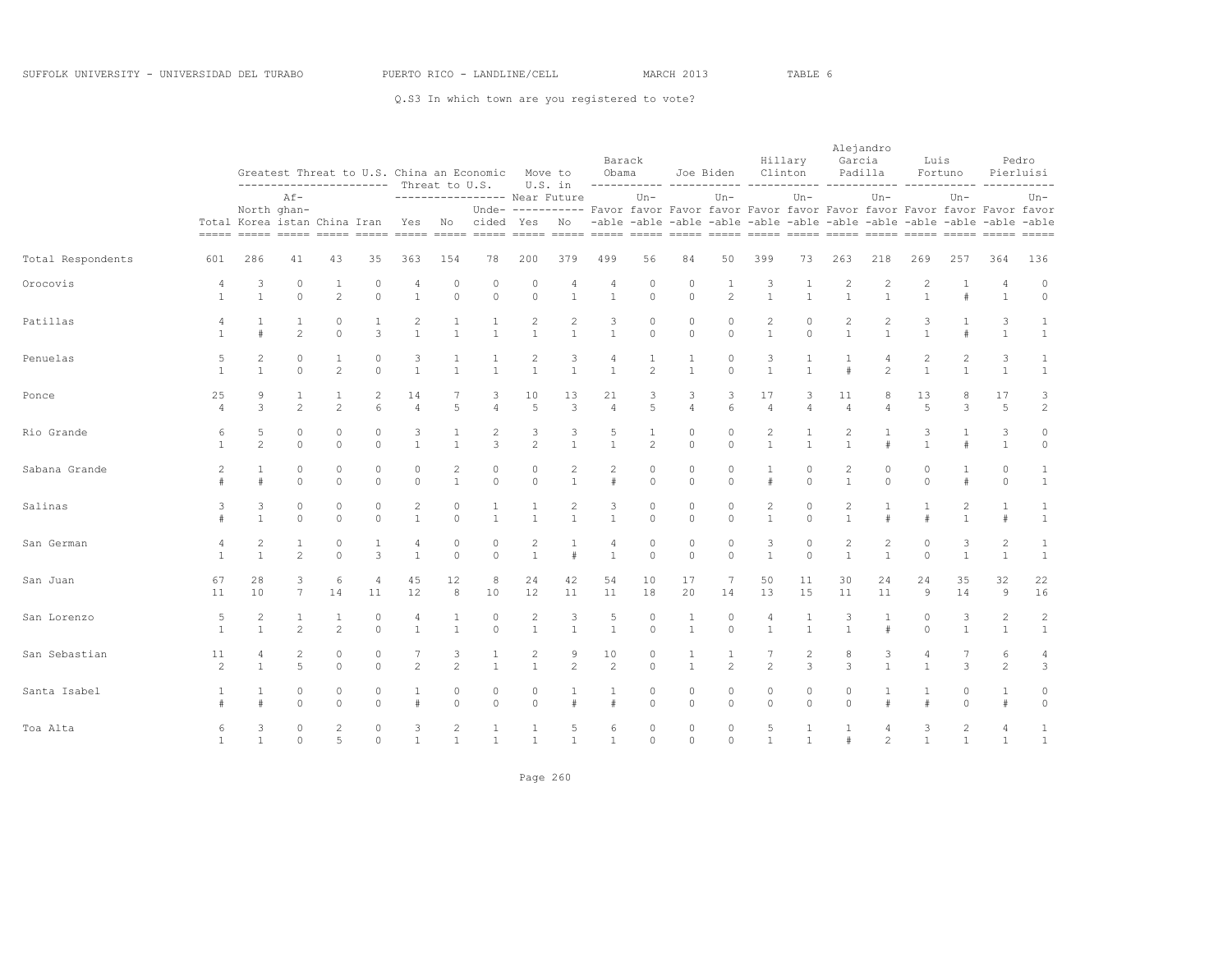|                   |                                |                      | ----------------------- Threat to U.S.                |                                  |                      |                                |                                | Greatest Threat to U.S. China an Economic Move to |                                | U.S. in                                                                                                                   | Obama                  | Barack               |                              | Joe Biden                                                                         |                              | Hillary<br>Clinton           | Alejandro<br>Garcia            | Padilla                          | Luis                                                                                                                                                                          | Fortuno                        |                                  | Pedro<br>Pierluisi           |
|-------------------|--------------------------------|----------------------|-------------------------------------------------------|----------------------------------|----------------------|--------------------------------|--------------------------------|---------------------------------------------------|--------------------------------|---------------------------------------------------------------------------------------------------------------------------|------------------------|----------------------|------------------------------|-----------------------------------------------------------------------------------|------------------------------|------------------------------|--------------------------------|----------------------------------|-------------------------------------------------------------------------------------------------------------------------------------------------------------------------------|--------------------------------|----------------------------------|------------------------------|
|                   |                                |                      | $Af -$<br>North ghan-<br>Total Korea istan China Iran |                                  |                      |                                |                                | Yes No cided Yes No                               |                                | ----------------- Near Future<br>Unde- ---------- Favor favor Favor favor Favor favor Favor favor Favor favor Favor favor |                        | $Un -$               |                              | $Un -$<br>-able -able -able -able -able -able -able -able -able -able -able -able |                              | $Un-$                        |                                | $Un-$                            |                                                                                                                                                                               | $Un-$                          |                                  | Un-                          |
| Total Respondents | 601                            | 286                  | 41                                                    | 43                               | 35                   | 363                            | 154                            | 78                                                | 200                            | 379                                                                                                                       | 499                    | 56                   | 84                           | 50                                                                                | 399                          | 73                           | 263                            | 218                              | 269                                                                                                                                                                           | 257                            | 364                              | 136                          |
| Orocovis          | $\overline{4}$<br>$\mathbf{1}$ | 3<br>$\mathbf{1}$    | $\circ$<br>$\Omega$                                   | $\mathbf{1}$<br>$\mathfrak{D}$   | $\Omega$<br>$\Omega$ | 4<br>$\overline{1}$            | $\Omega$<br>$\Omega$           | $\circ$<br>$\Omega$                               | $\circ$<br>$\Omega$            | $\overline{4}$<br>$\mathbf{1}$                                                                                            | 4<br>$\mathbf{1}$      | $\circ$<br>$\Omega$  | $\circ$<br>$\Omega$          | 1<br>$\mathcal{L}$                                                                | 3<br>$\overline{1}$          | $\mathbf{1}$<br>$\mathbf{1}$ | $\mathfrak{D}$<br>$\mathbf{1}$ | $\mathfrak{D}$<br>$\overline{1}$ | $\mathfrak{D}_{1}^{2}(\mathfrak{D}_{1})=\mathfrak{D}_{2}^{2}(\mathfrak{D}_{2})=\mathfrak{D}_{2}^{2}(\mathfrak{D}_{1})=\mathfrak{D}_{2}^{2}(\mathfrak{D}_{2})$<br>$\mathbf{1}$ | $\#$                           | $\overline{4}$<br>$\mathbf{1}$   | $\circ$<br>$\circ$           |
| Patillas          | $\overline{4}$<br>$\mathbf{1}$ | $\mathbf{1}$<br>#    | $\mathbf{1}$<br>$\mathfrak{D}$                        | $\circ$<br>$\Omega$              | $\mathbf{1}$<br>3    | $\overline{2}$<br>$\mathbf{1}$ | $\mathbf{1}$<br>$\overline{1}$ | $\mathbf{1}$<br>$\mathbf{1}$                      | $\sqrt{2}$<br>$\mathbf{1}$     | $\overline{c}$<br>$\mathbf{1}$                                                                                            | 3<br>$\mathbf{1}$      | 0<br>$\Omega$        | $\circ$<br>$\circ$           | $\circ$<br>$\circ$                                                                | 2<br>$\mathbf{1}$            | $\circ$<br>$\Omega$          | $\overline{c}$<br>$\mathbf{1}$ | $\mathbf{2}$<br>$\overline{1}$   | 3<br>$\mathbf{1}$                                                                                                                                                             | #                              | 3<br>$\mathbf{1}$                | $\mathbf{1}$<br>$\mathbf{1}$ |
| Penuelas          | 5<br>$\mathbf{1}$              | 2<br>$\mathbf{1}$    | $\circ$<br>$\Omega$                                   | 1<br>2                           | 0<br>$\Omega$        | 3<br>$\mathbf{1}$              | $\mathbf{1}$                   | $\mathbf{1}$                                      | 2<br>$\mathbf{1}$              | 3<br>$\mathbf{1}$                                                                                                         | 4<br>$\mathbf{1}$      | $\overline{c}$       | 1<br>$\mathbf{1}$            | $\mathbf{0}$<br>$\Omega$                                                          | 3<br>$\mathbf{1}$            | $\mathbf{1}$                 |                                | 4<br>$\overline{c}$              | $\mathbf{1}$                                                                                                                                                                  | $\mathbf{1}$                   | 3<br>$\mathbf{1}$                | 1<br>$\mathbf{1}$            |
| Ponce             | 25<br>$\overline{4}$           | 9<br>3               | $\mathbf{1}$<br>$\overline{c}$                        | $\mathbf{1}$<br>$\mathfrak{D}$   | 2<br>6               | 14<br>$\overline{4}$           | 5                              | 3<br>$\overline{4}$                               | 10<br>5                        | 13<br>3                                                                                                                   | 21<br>$\overline{4}$   | 3<br>5               | 3<br>$\overline{4}$          | 3<br>6                                                                            | 17<br>$\overline{4}$         | 3<br>$\overline{4}$          | 11<br>$\overline{4}$           | 8<br>$\overline{4}$              | 13<br>5                                                                                                                                                                       | 8<br>3                         | 17<br>5                          | 3<br>$\mathbf{2}$            |
| Rio Grande        | 6<br>$\overline{1}$            | 5<br>$\mathfrak{D}$  | $\circ$<br>$\Omega$                                   | $\circ$<br>$\Omega$              | 0<br>$\Omega$        | 3<br>$\mathbf{1}$              | $\mathbf{1}$                   | 2<br>3                                            | 3<br>$\mathfrak{D}$            | 3<br>$\mathbf{1}$                                                                                                         | 5<br>$\mathbf{1}$      | $\mathfrak{D}$       | $\circ$<br>$\circ$           | $\circ$<br>$\Omega$                                                               | $\mathbf{2}$<br>$\mathbf{1}$ | $\mathbf{1}$                 | 2<br>$\mathbf{1}$              | $\pm$                            | 3<br>$\mathbf{1}$                                                                                                                                                             | #                              | 3<br>$\mathbf{1}$                | $\circ$<br>$\circ$           |
| Sabana Grande     | $\overline{c}$                 | $\mathbf{1}$<br>$\#$ | $\circ$<br>$\cap$                                     | $\circ$<br>$\Omega$              | 0<br>$\Omega$        | $\Omega$<br>$\Omega$           | 2<br>$\mathbf{1}$              | $\circ$<br>$\Omega$                               | $\circ$<br>$\Omega$            | $\overline{c}$<br>$\mathbf{1}$                                                                                            | $\overline{c}$<br>$\#$ | $\circ$<br>$\cap$    | $\circ$<br>$\Omega$          | $\circ$<br>$\Omega$                                                               | 1<br>$\#$                    | $\circ$<br>$\Omega$          | $\overline{c}$<br>$\mathbf{1}$ | $\circ$<br>$\Omega$              | $\circ$<br>$\Omega$                                                                                                                                                           | 1<br>#                         | $\circ$<br>$\Omega$              | 1<br>$\mathbf{1}$            |
| Salinas           | 3                              | 3<br>$\mathbf{1}$    | $\circ$<br>$\circ$                                    | $\circ$<br>$\circ$               | 0<br>$\Omega$        | $\overline{c}$<br>$\mathbf{1}$ | 0<br>$\circ$                   | 1<br>$\mathbf{1}$                                 | $\mathbf{1}$<br>$\overline{1}$ | 2<br>$\mathbf{1}$                                                                                                         | 3<br>$\mathbf{1}$      | $\circ$<br>$\circ$   | $\circ$<br>$\circ$           | $\circ$<br>$\circ$                                                                | 2<br>$\mathbf{1}$            | 0<br>$\Omega$                | $\overline{c}$<br>$\mathbf{1}$ | -1<br>#                          | 1<br>$\#$                                                                                                                                                                     | 2<br>$\mathbf{1}$              | $\mathbf{1}$<br>#                | $\mathbf{1}$<br>$\mathbf{1}$ |
| San German        | 4<br>$\mathbf{1}$              | 2<br>$\mathbf{1}$    | $\mathbf{1}$<br>$\mathfrak{D}$                        | $\circ$<br>$\Omega$              | $\mathbf{1}$<br>3    | 4<br>$\overline{1}$            | $\circ$<br>$\Omega$            | $\circ$<br>$\Omega$                               | 2<br>$\overline{1}$            | 1<br>$\pm$                                                                                                                | 4<br>$\mathbf{1}$      | $\circ$<br>$\Omega$  | $\circ$<br>$\Omega$          | $\circ$<br>$\Omega$                                                               | 3<br>$\overline{1}$          | $\circ$<br>$\Omega$          | 2<br>$\mathbf{1}$              | 2<br>$\overline{1}$              | $\circ$<br>$\Omega$                                                                                                                                                           | 3<br>$\mathbf{1}$              | $\mathbf{2}$<br>$\mathbf{1}$     | 1<br>$\mathbf{1}$            |
| San Juan          | 67<br>11                       | 28<br>10             | 3<br>$\overline{7}$                                   | 6<br>14                          | 4<br>11              | 45<br>12                       | 12<br>8                        | 8<br>10                                           | 24<br>12                       | 42<br>11                                                                                                                  | 54<br>11               | 10<br>18             | 17<br>20                     | 7<br>14                                                                           | 50<br>13                     | 11<br>15                     | 30<br>11                       | 24<br>11                         | 24<br>9                                                                                                                                                                       | 35<br>14                       | 32<br>$\overline{9}$             | 22<br>16                     |
| San Lorenzo       | 5<br>$\overline{1}$            | 2<br>$\mathbf{1}$    | $\mathbf{1}$<br>$\mathfrak{D}$                        | $\mathbf{1}$<br>$\mathfrak{D}$   | $\Omega$<br>$\Omega$ | $\mathbf{1}$                   | $\mathbf{1}$                   | $\circ$<br>$\Omega$                               | $\sqrt{2}$<br>$\overline{1}$   | 3<br>$\mathbf{1}$                                                                                                         | 5<br>$\mathbf{1}$      | $\Omega$<br>$\Omega$ | $\mathbf{1}$<br>$\mathbf{1}$ | $\circ$<br>$\Omega$                                                               | 4<br>$\mathbf{1}$            | $\mathbf{1}$                 | 3                              | $\pm$                            | $\Omega$<br>$\cap$                                                                                                                                                            | 3<br>$\mathbf{1}$              | $\overline{c}$<br>$\overline{1}$ | $\sqrt{2}$<br>$\mathbf{1}$   |
| San Sebastian     | 11<br>2                        | 4<br>$\mathbf{1}$    | $\overline{c}$<br>5                                   | $\circ$<br>$\circ$               | 0<br>$\Omega$        | 7<br>2                         | 3<br>2                         | $\mathbf{1}$<br>$\mathbf{1}$                      | 2<br>$\overline{1}$            | 9<br>$\overline{c}$                                                                                                       | 10<br>2                | 0<br>$\Omega$        | 1<br>$\mathbf{1}$            | 1<br>2                                                                            | 7<br>$\overline{2}$          | $\overline{2}$<br>3          | 8<br>3                         | 3<br>$\overline{1}$              | 4<br>$\mathbf{1}$                                                                                                                                                             | 7<br>3                         | 6<br>2                           | 4<br>3                       |
| Santa Isabel      |                                | 1<br>$\pm$           | $\circ$<br>$\Omega$                                   | $\circ$<br>$\Omega$              | 0<br>$\Omega$        | $\mathbf{1}$<br>$\pm$          | $\circ$<br>$\Omega$            | $\circ$<br>$\Omega$                               | $\circ$<br>$\Omega$            | $\pm$                                                                                                                     | 1<br>$\pm$             | $\circ$<br>$\Omega$  | $\circ$<br>$\Omega$          | $\circ$<br>$\Omega$                                                               | $\circ$<br>$\Omega$          | 0<br>$\Omega$                | 0<br>$\Omega$                  | $\pm$                            | $\mathbf{1}$<br>$\pm$                                                                                                                                                         | 0<br>$\Omega$                  | $\mathbf{1}$<br>$\pm$            | $\circ$<br>$\circ$           |
| Toa Alta          | 6<br>$\mathbf{1}$              | 3<br>$\mathbf{1}$    | $\circ$<br>$\Omega$                                   | $\overline{c}$<br>$\overline{5}$ | 0<br>$\Omega$        | 3<br>$\mathbf{1}$              | $\overline{c}$<br>$\mathbf{1}$ | $\mathbf{1}$<br>$\mathbf{1}$                      | $\mathbf{1}$<br>$\mathbf{1}$   | 5<br>$\mathbf{1}$                                                                                                         | 6<br>$\mathbf{1}$      | $\circ$<br>$\Omega$  | $\circ$<br>$\circ$           | $\circ$<br>$\Omega$                                                               | 5<br>$\overline{1}$          | $\mathbf{1}$<br>$\mathbf{1}$ | #                              | 4<br>$\mathfrak{D}$              | 3<br>$\mathbf{1}$                                                                                                                                                             | $\overline{c}$<br>$\mathbf{1}$ | $\overline{4}$<br>$\overline{1}$ | 1<br>$\mathbf{1}$            |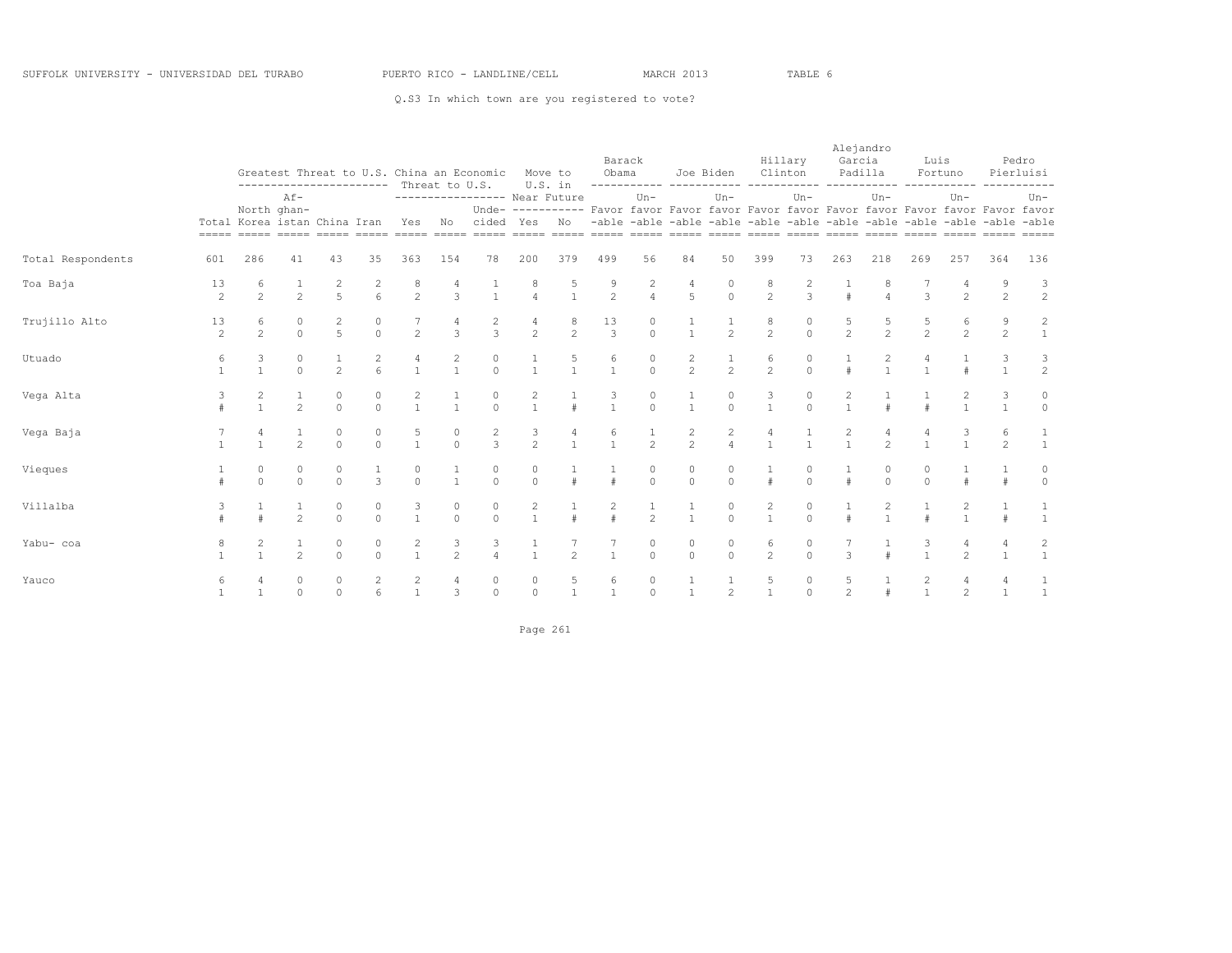|                   |                      |                                |                       |                                  |                     | ----------------------- Threat to U.S. |                     | Greatest Threat to U.S. China an Economic     |                                       | Move to<br>U.S. in  | Barack<br>Obama         |                     | ------------ -----------                                                                                                                                            | Joe Biden                  | Clinton                        | Hillary       | Garcia              | Alejandro<br>Padilla           | Luis                | Fortuno<br>----------- |                     | Pedro<br>Pierluisi             |
|-------------------|----------------------|--------------------------------|-----------------------|----------------------------------|---------------------|----------------------------------------|---------------------|-----------------------------------------------|---------------------------------------|---------------------|-------------------------|---------------------|---------------------------------------------------------------------------------------------------------------------------------------------------------------------|----------------------------|--------------------------------|---------------|---------------------|--------------------------------|---------------------|------------------------|---------------------|--------------------------------|
|                   |                      | Total Korea istan China Iran   | $Af -$<br>North ghan- |                                  |                     | Yes                                    | No                  | ----------------- Near Future<br>cided Yes No |                                       |                     |                         | $Un -$              | Unde- ---------- Favor favor Favor favor Favor favor Favor favor Favor favor Favor favor<br>-able -able -able -able -able -able -able -able -able -able -able -able | $Un -$                     |                                | $Un -$        |                     | $Un -$                         |                     | $Un-$                  |                     | $Un-$                          |
| Total Respondents | 601                  | 286                            | 41                    | 43                               | 35                  | 363                                    | 154                 | 78                                            | 200                                   | 379                 | 499                     | 56                  | 84                                                                                                                                                                  | 50                         | 399                            | 73            | 263                 | 218                            | 269                 | 257                    | 364                 | 136                            |
| Toa Baja          | 13<br>$\overline{c}$ | 6<br>$\mathfrak{D}$            | $\overline{2}$        | 2<br>$\overline{5}$              | 2<br>6              | 8<br>$\overline{2}$                    | 4<br>3              | $\mathbf{1}$                                  | 8<br>$\overline{4}$                   | 5<br>$\mathbf{1}$   | 9<br>$\overline{2}$     | 2<br>$\overline{4}$ | 4<br>5                                                                                                                                                              | $\circ$<br>$\circ$         | 8<br>$\overline{c}$            | 2<br>3        |                     | 8<br>$\overline{a}$            | 3                   | $\overline{c}$         | 9<br>2              | 3<br>$\overline{c}$            |
| Trujillo Alto     | 13<br>$\overline{c}$ | 6<br>$\overline{c}$            | $\circ$<br>$\circ$    | $\overline{c}$<br>$\overline{5}$ | $\circ$<br>$\Omega$ | $\overline{2}$                         | 4<br>3              | $\overline{c}$<br>3                           | 4<br>$\overline{c}$                   | 8<br>$\mathfrak{D}$ | 13<br>$\overline{3}$    | 0<br>$\Omega$       | $\mathbf{1}$                                                                                                                                                        | 2                          | 8<br>$\overline{c}$            | 0<br>$\Omega$ | $\mathfrak{D}$      | 5<br>$\mathfrak{D}$            | 5<br>$\overline{2}$ | 6<br>$\overline{c}$    | 9<br>$\overline{2}$ | 2<br>$\mathbf{1}$              |
| Utuado            | 6                    | 3                              | $\circ$<br>$\Omega$   | $\overline{2}$                   | 2<br>f.             | 4                                      | $\frac{2}{1}$       | $\mathbb O$<br>$\Omega$                       |                                       | $\frac{5}{1}$       | 6                       | 0<br>$\Omega$       | $\frac{2}{2}$                                                                                                                                                       | $\overline{c}$             | 6<br>$\overline{2}$            | 0<br>$\Omega$ |                     | $\frac{2}{1}$                  | 4                   |                        | 3                   | 3<br>$\overline{c}$            |
| Vega Alta         | $\pm$                | $\overline{c}$<br>$\mathbf{1}$ | 1<br>$\mathfrak{D}$   | $\circ$<br>$\Omega$              | 0<br>$\Omega$       | $\overline{c}$<br>$\overline{1}$       | $\mathbf{1}$        | 0<br>$\Omega$                                 | $\begin{array}{c} 2 \\ 1 \end{array}$ | $\pm$               | 3<br>$\mathbf{1}$       | $\circ$<br>$\Omega$ | 1<br>$\mathbf{1}$                                                                                                                                                   | $\circ$<br>$\Omega$        | 3<br>$\mathbf{1}$              | 0<br>$\Omega$ | $\overline{c}$      |                                |                     | 2                      | 3                   | 0<br>$\Omega$                  |
| Vega Baja         |                      | $\overline{4}$<br>$\mathbf{1}$ | 1<br>$\mathfrak{D}$   | 0<br>$\Omega$                    | 0<br>$\Omega$       | 5<br>$\overline{1}$                    | 0<br>$\Omega$       | $\overline{c}$<br>$\overline{3}$              | 3<br>$\overline{2}$                   | 4<br>$\mathbf{1}$   | 6<br>$\mathbf{1}$       | $\overline{2}$      | $\frac{2}{2}$                                                                                                                                                       | $\overline{c}$<br>$\Delta$ | 4<br>$\overline{1}$            |               | $\frac{2}{1}$       | 4<br>$\mathfrak{D}$            | 4<br>$\mathbf{1}$   | 3                      | 6<br>$\mathfrak{D}$ |                                |
| Vieques           | $\pm$                | 0<br>$\Omega$                  | $\circ$<br>$\bigcap$  | $\theta$<br>$\Omega$             | $\mathcal{L}$       | 0<br>$\Omega$                          | $\mathbf{1}$        | $\mathbb O$<br>$\cap$                         | $\circ$<br>$\Omega$                   |                     |                         | 0<br>$\Omega$       | 0<br>$\Omega$                                                                                                                                                       | $\circ$<br>$\Omega$        | $\pm$                          | $\cap$        |                     | $\circ$<br>$\Omega$            | 0<br>$\cap$         |                        |                     | $\Omega$                       |
| Villalba          | 3                    | $\pm$                          | 1<br>$\mathfrak{D}$   | $\circ$<br>$\Omega$              | $\circ$<br>$\Omega$ | 3<br>$\mathbf{1}$                      | 0<br>$\Omega$       | $\circ$<br>$\Omega$                           | $\overline{c}$<br>$\overline{1}$      |                     | $\overline{c}$<br>$\pm$ | 1<br>$\overline{2}$ | 1<br>$\mathbf{1}$                                                                                                                                                   | $\circ$<br>$\Omega$        | $\overline{c}$<br>$\mathbf{1}$ | 0<br>$\Omega$ |                     | $\overline{c}$<br>$\mathbf{1}$ |                     | 2                      |                     |                                |
| Yabu- coa         | 8                    | $\overline{c}$<br>$\mathbf{1}$ | 1<br>$\mathcal{P}$    | $\circ$<br>$\Omega$              | $\circ$<br>$\cap$   | $\overline{c}$<br>$\overline{1}$       | 3<br>$\mathfrak{D}$ | 3<br>$\Delta$                                 | $\mathbf{1}$<br>$\overline{1}$        | $\mathfrak{D}$      | $\mathbf{1}$            | $\circ$<br>$\Omega$ | $\circ$<br>$\Omega$                                                                                                                                                 | $\circ$<br>$\Omega$        | 6<br>$\mathfrak{D}$            | 0<br>$\cap$   | $\mathcal{L}$       |                                | 3<br>$\mathbf{1}$   | 4<br>$\mathfrak{D}$    | 4                   | $\overline{c}$<br>$\mathbf{1}$ |
| Yauco             | 6                    |                                | $\circ$<br>$\Omega$   | $\mathbb O$<br>$\Omega$          | $\overline{c}$<br>6 | $\overline{c}$<br>$\mathbf{1}$         | 4<br>3              | $\circ$<br>$\circ$                            | 0<br>$\Omega$                         | 5<br>$\mathbf{1}$   | 6<br>$\mathbf{1}$       | 0<br>$\Omega$       | $\mathbf{1}$                                                                                                                                                        | $\mathfrak{D}$             | 5<br>$\mathbf{1}$              | 0<br>$\Omega$ | 5<br>$\mathfrak{D}$ |                                | 2<br>$\mathbf{1}$   | 4<br>$\mathfrak{D}$    | $\overline{1}$      | $\mathbf{1}$                   |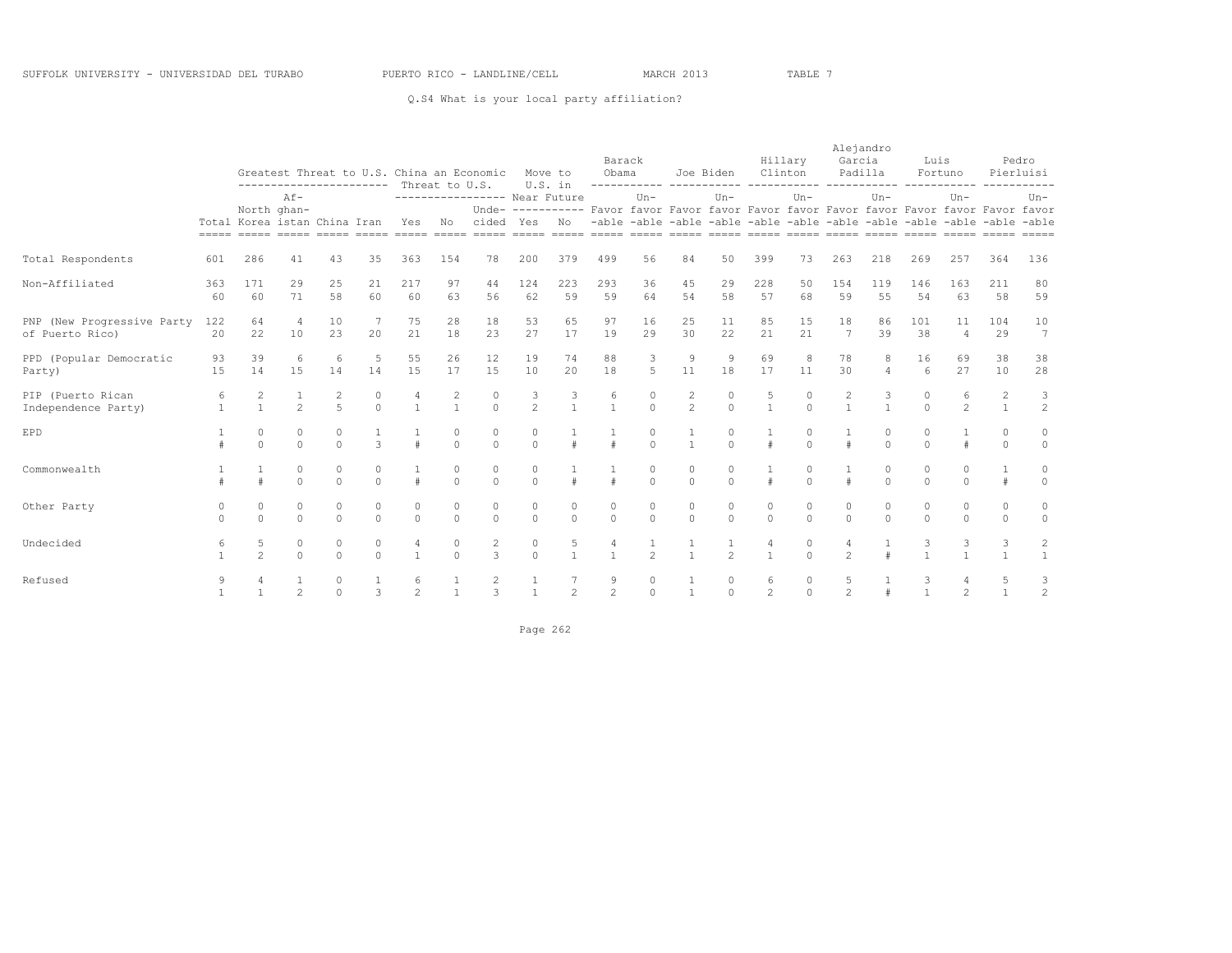### Q.S4 What is your local party affiliation?

|                                               |           |                                |                       |                     |                     | ---------------------- Threat to U.S. |                       | Greatest Threat to U.S. China an Economic |                     | Move to<br>U.S. in | Barack<br>Obama     |                        | ------------ -----------                                                                                                                                            | Joe Biden            | Clinton                               | Hillary             | Alejandro<br>Garcia | Padilla              | Luis                 | Fortuno              |                                  | Pedro<br>Pierluisi             |
|-----------------------------------------------|-----------|--------------------------------|-----------------------|---------------------|---------------------|---------------------------------------|-----------------------|-------------------------------------------|---------------------|--------------------|---------------------|------------------------|---------------------------------------------------------------------------------------------------------------------------------------------------------------------|----------------------|---------------------------------------|---------------------|---------------------|----------------------|----------------------|----------------------|----------------------------------|--------------------------------|
|                                               |           | Total Korea istan China Iran   | $Af -$<br>North ghan- |                     |                     | Yes                                   | No                    | ---------------- Near Future<br>cided Yes |                     | N <sub>O</sub>     |                     | $Un -$                 | Unde- ---------- Favor favor Favor favor Favor favor Favor favor Favor favor Favor favor<br>-able -able -able -able -able -able -able -able -able -able -able -able | $Un -$               |                                       | $Un -$              |                     | $Un -$               |                      | $Un -$               |                                  | $Un-$                          |
| Total Respondents                             | 601       | 286                            | 41                    | 43                  | 35                  | 363                                   | 154                   | 78                                        | 200                 | 379                | 499                 | 56                     | 84                                                                                                                                                                  | 50                   | 399                                   | 73                  | 263                 | 218                  | 269                  | 257                  | 364                              | 136                            |
| Non-Affiliated                                | 363<br>60 | 171<br>60                      | 29<br>71              | 25<br>58            | 21<br>60            | 217<br>60                             | 97<br>63              | 44<br>56                                  | 124<br>62           | 223<br>59          | 293<br>59           | 36<br>64               | 45<br>54                                                                                                                                                            | 29<br>58             | 228<br>57                             | 50<br>68            | 154<br>59           | 119<br>55            | 146<br>54            | 163<br>63            | 211<br>58                        | 80<br>59                       |
| PNP (New Progressive Party<br>of Puerto Rico) | 122<br>20 | 64<br>22                       | $\overline{4}$<br>10  | 10<br>23            | 20                  | 75<br>21                              | 28<br>18              | 18<br>23                                  | 53<br>27            | 65<br>17           | 97<br>19            | 16<br>29               | 25<br>30                                                                                                                                                            | 11<br>22             | 85<br>21                              | 15<br>2.1           | 18<br>7             | 86<br>39             | 101<br>38            | 11<br>$\overline{4}$ | 104<br>29                        | 10<br>7                        |
| PPD (Popular Democratic<br>Party)             | 93<br>15  | 39<br>14                       | 6<br>1.5              | 6<br>14             | 5<br>14             | 55<br>1.5                             | 26<br>17              | 12<br>1.5                                 | 19<br>10            | 74<br>20           | 88<br>18            | 3<br>5                 | $\overline{9}$<br>11                                                                                                                                                | $\overline{9}$<br>18 | 69<br>17                              | 8<br>11             | 78<br>30            | 8<br>$\overline{4}$  | 16<br>6              | 69<br>27             | 38<br>10                         | 38<br>28                       |
| PIP (Puerto Rican<br>Independence Party)      |           | $\overline{c}$<br>$\mathbf{1}$ | $\overline{c}$        | 2<br>$\overline{5}$ | 0<br>$\Omega$       | $\mathbf{1}$                          | 2<br>$\mathbf{1}$     | $\circ$<br>$\Omega$                       | 3<br>$\overline{2}$ | $\overline{1}$     | 6                   | $\circ$<br>$\Omega$    | $\overline{c}$<br>$\overline{2}$                                                                                                                                    | 0<br>$\Omega$        | $\begin{array}{c} 5 \\ 1 \end{array}$ | $\Omega$<br>$\cap$  | 2                   |                      | $\Omega$<br>$\Omega$ | 6<br>$\mathfrak{D}$  | $\overline{c}$<br>$\overline{1}$ | 3<br>$\overline{c}$            |
| EPD                                           |           | 0<br>$\Omega$                  | $\circ$<br>$\Omega$   | $\circ$<br>$\Omega$ | $\mathcal{L}$       | $\pm$                                 | $\mathbf 0$<br>$\cap$ | $\circ$<br>$\Omega$                       | $\circ$<br>$\Omega$ | $\pm$              | $\pm$               | $\mathbf{0}$<br>$\cap$ | 1<br>$\mathbf{1}$                                                                                                                                                   | 0<br>$\Omega$        | $\pm$                                 | $\Omega$<br>$\cap$  |                     | $\circ$<br>$\Omega$  | $\circ$<br>$\Omega$  | $\#$                 | $\circ$<br>$\Omega$              | $\circ$<br>$\Omega$            |
| Commonwealth                                  |           |                                | $\circ$<br>$\cap$     | $\circ$<br>$\Omega$ | $\circ$<br>$\Omega$ | #                                     | $\circ$<br>$\Omega$   | $\circ$<br>$\cap$                         | $\circ$<br>$\Omega$ |                    |                     | $\circ$<br>$\Omega$    | $\circ$<br>$\Omega$                                                                                                                                                 | $\circ$<br>$\Omega$  | $\pm$                                 | $\Omega$<br>$\cap$  |                     | $\circ$<br>$\bigcap$ | $\Omega$<br>$\Omega$ | $\circ$<br>$\Omega$  | 1<br>$\pm$                       | $\circ$<br>$\Omega$            |
| Other Party                                   | $\cap$    | 0<br>$\Omega$                  | $\circ$<br>$\cap$     | $\circ$<br>$\cap$   | $\circ$<br>$\Omega$ | $\circ$<br>$\Omega$                   | $\circ$<br>$\Omega$   | $\circ$<br>$\Omega$                       | $\circ$<br>$\Omega$ | $\circ$<br>$\cap$  | $\circ$<br>$\cap$   | $\circ$<br>$\cap$      | 0<br>$\cap$                                                                                                                                                         | $\circ$<br>$\Omega$  | 0<br>$\Omega$                         | $\circ$<br>$\Omega$ | $\circ$<br>$\Omega$ | $\circ$<br>$\Omega$  | $\circ$<br>$\Omega$  | $\circ$<br>$\Omega$  | $\circ$<br>$\Omega$              | $\circ$<br>$\circ$             |
| Undecided                                     | 6         | 5<br>$\mathfrak{D}$            | $\circ$<br>$\Omega$   | $\circ$<br>$\Omega$ | $\circ$<br>$\Omega$ | 4<br>$\mathbf{1}$                     | 0<br>$\Omega$         | $\overline{c}$<br>3                       | $\circ$<br>$\Omega$ | 5<br>$\mathbf{1}$  | $\mathbf{1}$        | $\mathfrak{D}$         | $\mathbf{1}$                                                                                                                                                        | $\mathfrak{D}$       | 4<br>$\mathbf{1}$                     | 0<br>$\cap$         | $\mathfrak{D}$      |                      | 3                    | 3                    | 3<br>$\mathbf{1}$                | $\overline{c}$<br>$\mathbf{1}$ |
| Refused                                       | 9         |                                | $\mathfrak{D}$        | $\circ$<br>$\Omega$ | $\mathcal{R}$       | 6<br>$\mathfrak{D}$                   | $\mathbf{1}$          | 2<br>$\mathcal{L}$                        | $\mathbf{A}$        | $\mathfrak{D}$     | 9<br>$\overline{2}$ | $\Omega$               | $\mathbf{1}$                                                                                                                                                        | 0<br>$\Omega$        | 6<br>$\mathfrak{D}$                   | 0<br>$\Omega$       | $\mathfrak{D}$      |                      | 3<br>$\mathbf{A}$    | 4<br>$\mathfrak{D}$  | 5<br>$\overline{1}$              | 3<br>$\overline{c}$            |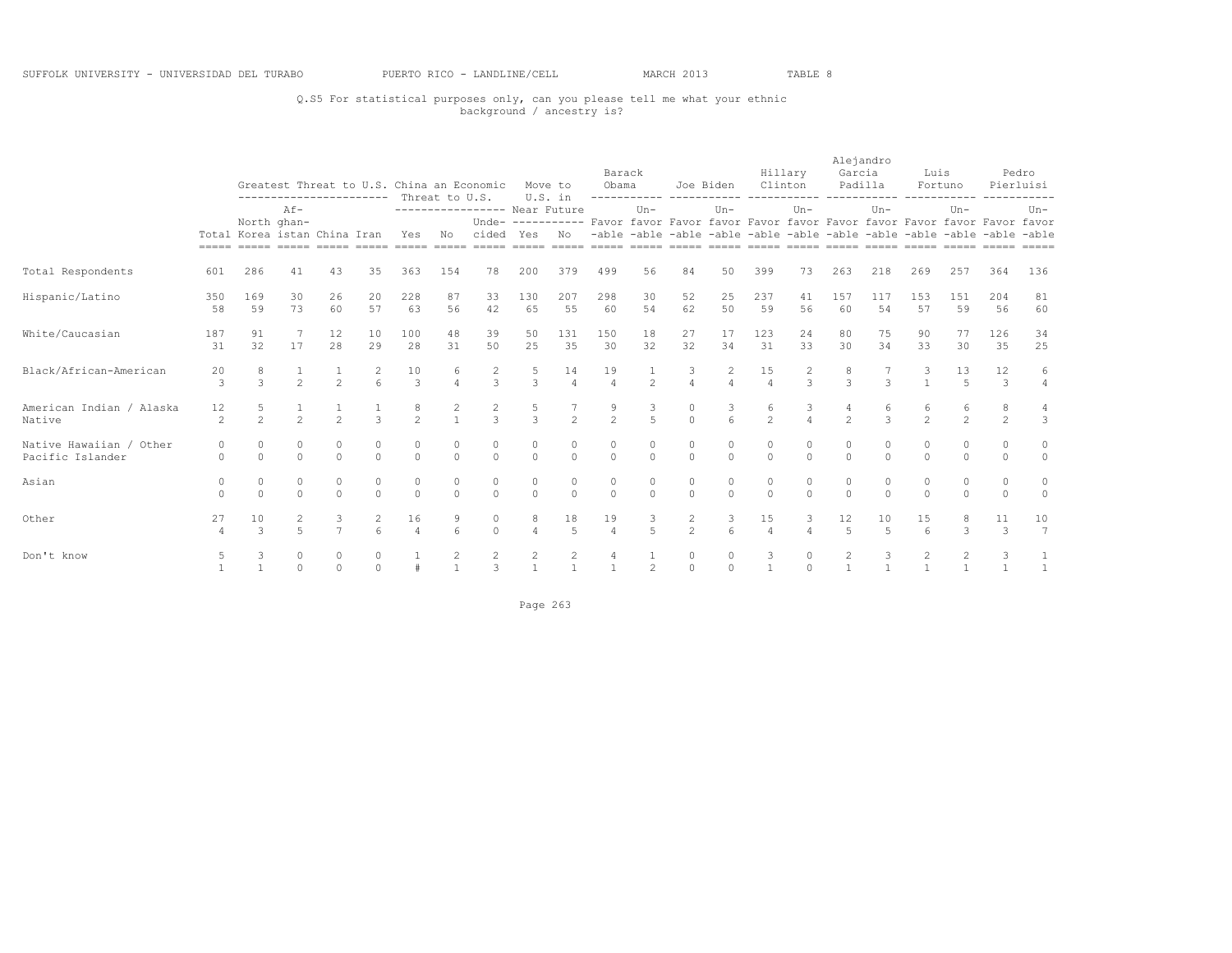### Q.S5 For statistical purposes only, can you please tell me what your ethnic background / ancestry is?

|                                             |               |                                                                              | Greatest Threat to U.S. China an Economic<br>---------------------- Threat to U.S.<br>$Af -$ |                     |                 |                      |                     |                                                                         |                     | Move to<br>U.S. in   | Barack<br>Obama                                                                          | -----------         |                                                                         | Joe Biden             | Clinton              | Hillary       | Alejandro<br>Garcia<br>Padilla |                      | Luis                | Fortuno             |                     | Pedro<br>Pierluisi    |
|---------------------------------------------|---------------|------------------------------------------------------------------------------|----------------------------------------------------------------------------------------------|---------------------|-----------------|----------------------|---------------------|-------------------------------------------------------------------------|---------------------|----------------------|------------------------------------------------------------------------------------------|---------------------|-------------------------------------------------------------------------|-----------------------|----------------------|---------------|--------------------------------|----------------------|---------------------|---------------------|---------------------|-----------------------|
|                                             |               | North ghan-<br>Total Korea istan China Iran<br>===== ===== ===== ===== ===== |                                                                                              |                     |                 | Yes                  | No                  | ---------------- Near Future<br>cided<br>______ _____ _____ _____ _____ | Yes                 | No                   | Unde- ---------- Favor favor Favor favor Favor favor Favor favor Favor favor Favor favor | $Un-$               | -able -able -able -able -able -able -able -able -able -able -able -able | $Un-$                 |                      | $Un-$         |                                | $Un-$                |                     | $Un -$              |                     | $Un-$                 |
| Total Respondents                           | 601           | 286                                                                          | 41                                                                                           | 43                  | 35              | 363                  | 154                 | 78                                                                      | 200                 | 379                  | 499                                                                                      | 56                  | 84                                                                      | 50                    | 399                  | 73            | 263                            | 218                  | 269                 | 257                 | 364                 | 136                   |
| Hispanic/Latino                             | 350<br>58     | 169<br>59                                                                    | 30<br>73                                                                                     | 26<br>60            | 20<br>57        | 228<br>63            | 87<br>56            | 33<br>42                                                                | 130<br>65           | 207<br>55            | 298<br>60                                                                                | 30<br>54            | 52<br>62                                                                | 25<br>50              | 237<br>59            | 41<br>56      | 157<br>60                      | 117<br>54            | 153<br>57           | 151<br>59           | 204<br>56           | 81<br>60              |
| White/Caucasian                             | 187<br>31     | 91<br>32                                                                     | 7<br>17                                                                                      | 12<br>28            | 10<br>29        | 100<br>28            | 48<br>31            | 39<br>50                                                                | 50<br>25            | 131<br>35            | 150<br>30                                                                                | 18<br>32            | 27<br>32                                                                | 17<br>34              | 123<br>31            | 24<br>33      | 80<br>30                       | 75<br>34             | 90<br>33            | 77<br>30            | 126<br>35           | 34<br>25              |
| Black/African-American                      | 20<br>3       | 8<br>3                                                                       | $\overline{2}$                                                                               | $\overline{2}$      | 2<br>6          | 10<br>3              | 6<br>$\overline{4}$ | $\overline{c}$<br>3                                                     | 5<br>$\mathbf{3}$   | 14<br>$\overline{4}$ | 19<br>$\overline{4}$                                                                     | 2                   | 3<br>$\overline{4}$                                                     | 2<br>$\overline{4}$   | 15<br>$\overline{4}$ | 2<br>3        | 8<br>3                         | 3                    | 3                   | 13<br>5             | 12<br>$\mathbf{3}$  | 6<br>$\overline{4}$   |
| American Indian / Alaska<br>Native          | 12<br>2       | 5<br>$\mathfrak{D}$                                                          | $\mathfrak{D}$                                                                               | $\mathfrak{D}$      | $\mathcal{L}$   | 8<br>$\overline{2}$  | 2                   | 2<br>$\mathcal{L}$                                                      | 5<br>$\mathcal{L}$  | $\overline{2}$       | $\frac{9}{2}$                                                                            | 3<br>$\overline{5}$ | 0<br>$\Omega$                                                           | 3<br>6                | 6<br>$\overline{2}$  | 3             | $\mathfrak{D}$                 | 6<br>$\overline{3}$  | 6<br>$\mathfrak{D}$ | 6<br>$\mathfrak{D}$ | 8<br>2              | 3                     |
| Native Hawaiian / Other<br>Pacific Islander | 0<br>$\Omega$ | $\circ$<br>$\Omega$                                                          | $\circ$<br>$\bigcap$                                                                         | $\circ$<br>$\Omega$ | 0<br>$\bigcap$  | 0<br>$\Omega$        | 0<br>$\Omega$       | 0<br>$\cap$                                                             | 0<br>$\Omega$       | 0<br>$\Omega$        | 0<br>$\Omega$                                                                            | 0<br>$\Omega$       | 0<br>$\Omega$                                                           | 0<br>$\Omega$         | $\circ$<br>$\cap$    | 0<br>$\Omega$ | $\Omega$                       | 0<br>$\Omega$        | 0<br>$\Omega$       | $\circ$<br>$\Omega$ | 0<br>$\Omega$       | 0<br>$\circ$          |
| Asian                                       | 0<br>$\Omega$ | $\circ$<br>$\Omega$                                                          | 0<br>$\Omega$                                                                                | 0<br>$\Omega$       | 0<br>$\Omega$   | 0<br>$\Omega$        | 0<br>$\Omega$       | $\circ$<br>$\Omega$                                                     | 0<br>$\Omega$       | 0<br>$\Omega$        | 0<br>$\Omega$                                                                            | 0<br>$\Omega$       | 0<br>$\Omega$                                                           | 0<br>$\Omega$         | 0<br>$\Omega$        | 0<br>$\Omega$ | 0<br>$\Omega$                  | 0<br>$\Omega$        | $\circ$<br>$\Omega$ | 0<br>$\Omega$       | $\circ$<br>$\Omega$ | 0<br>$\circ$          |
| Other                                       | 27<br>4       | 10<br>$\mathcal{L}$                                                          | 2<br>$\overline{2}$                                                                          | 3<br>$\overline{7}$ | 2<br>$\epsilon$ | 16<br>$\overline{4}$ | 9<br>6              | $\circ$<br>$\Omega$                                                     | 8<br>$\overline{4}$ | 18<br>5              | 19<br>$\varDelta$                                                                        | 3<br>$\overline{a}$ | 2<br>$\mathfrak{D}$                                                     | 3<br>$6 \overline{6}$ | 15<br>$\overline{4}$ | 3<br>$\Delta$ | 12<br>$\overline{5}$           | 10<br>$\overline{5}$ | 15<br>$\epsilon$    | 8<br>3              | 11<br>3             | 10<br>$7\overline{ }$ |
| Don't know                                  |               |                                                                              | $\cap$                                                                                       | $\Omega$            | $\Omega$        |                      | $\mathbf{1}$        | 3                                                                       | 2                   | $\mathbf{1}$         | $\overline{1}$                                                                           | $\mathfrak{D}$      | 0<br>$\circ$                                                            | $\Omega$              | $\overline{1}$       | $\Omega$      |                                | $\overline{1}$       | $\mathbf{1}$        | 2                   |                     | $\overline{1}$        |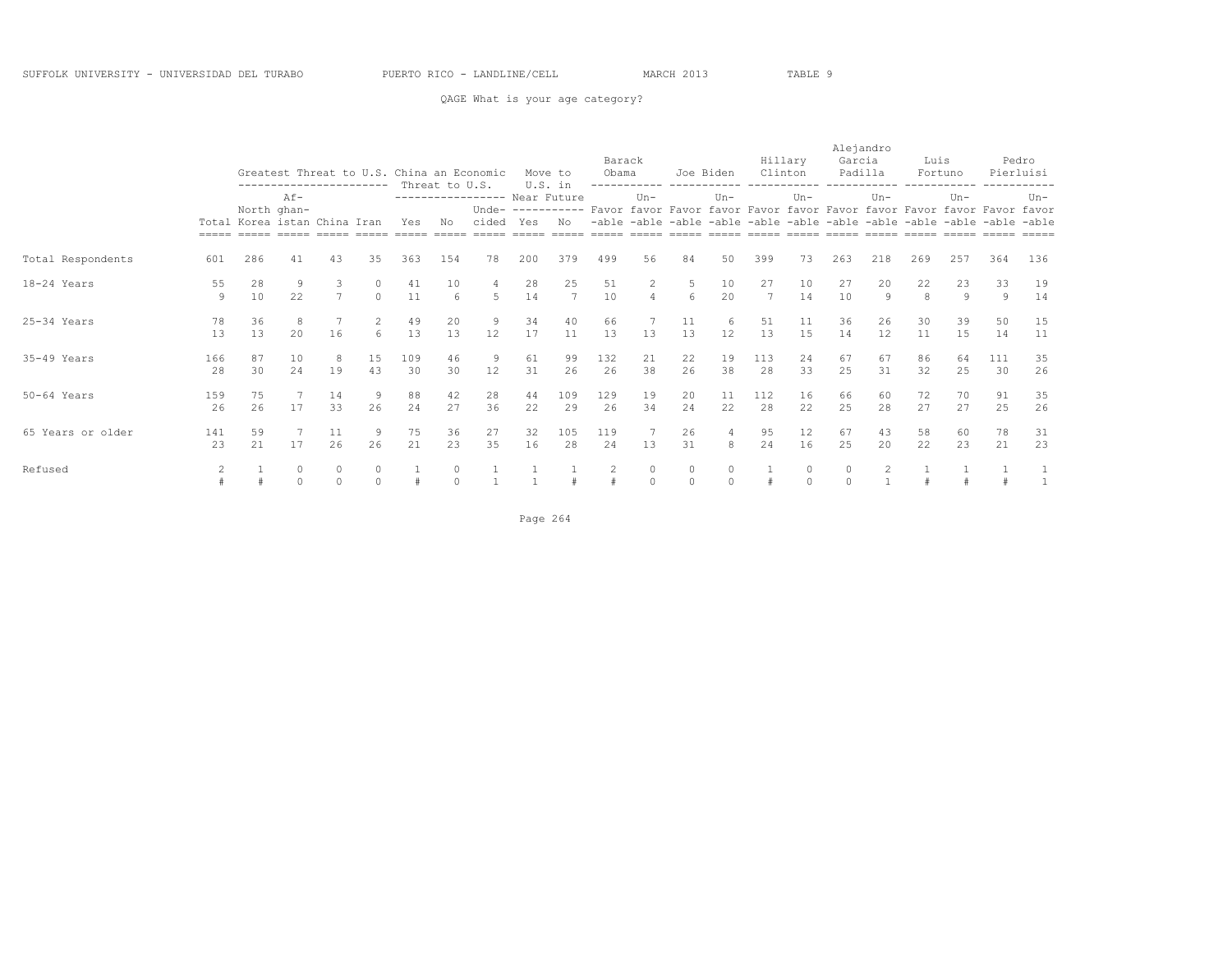### QAGE What is your age category?

|                   |           |                              | --------------------- |                     |          | Greatest Threat to U.S. China an Economic | Threat to U.S. |                                       |          | Move to<br>U.S. in    | Barack<br>Obama                                                                                                                                                     |                     |                                                                         | Joe Biden           | Clinton   | Hillary       | Alejandro<br>Garcia<br>Padilla |                | Luis     | Fortuno              |           | Pedro<br>Pierluisi |
|-------------------|-----------|------------------------------|-----------------------|---------------------|----------|-------------------------------------------|----------------|---------------------------------------|----------|-----------------------|---------------------------------------------------------------------------------------------------------------------------------------------------------------------|---------------------|-------------------------------------------------------------------------|---------------------|-----------|---------------|--------------------------------|----------------|----------|----------------------|-----------|--------------------|
|                   |           | Total Korea istan China Iran | $Af -$<br>North ghan- |                     |          | Yes                                       | No             | ---------------- Near Future<br>cided | Yes      | No                    | Unde- ---------- Favor favor Favor favor Favor favor Favor favor Favor favor Favor favor<br>asana asana asana asana asana asana asana asana asana asana asana asana | $Un -$              | -able -able -able -able -able -able -able -able -able -able -able -able | $Un -$              |           | $Un -$        |                                | $Un-$          |          | $Un -$               |           | $Un-$              |
| Total Respondents | 601       | 286                          | 41                    | 43                  | 35       | 363                                       | 154            | 78                                    | 200      | 379                   | 499                                                                                                                                                                 | 56                  | 84                                                                      | 50                  | 399       | 73            | 263                            | 218            | 269      | 257                  | 364       | 136                |
| 18-24 Years       | 55<br>9   | 28<br>10                     | 9<br>22               | 3<br>$\overline{7}$ | $\Omega$ | 41<br>11                                  | 10<br>6        | 4<br>5                                | 28<br>14 | 25<br>$7\phantom{.0}$ | 51<br>10                                                                                                                                                            | 2<br>$\overline{4}$ | 5<br>6                                                                  | 10<br>20            | 27<br>7   | 10<br>14      | 27<br>10                       | 20<br>9        | 22<br>8  | 23<br>$\overline{9}$ | 33<br>9   | 19<br>14           |
| $25-34$ Years     | 78<br>13  | 36<br>13                     | 8<br>20               | 16                  | 2<br>6   | 49<br>13                                  | 20<br>13       | $\overline{9}$<br>12                  | 34<br>17 | 40<br>11              | 66<br>13                                                                                                                                                            | 13                  | 11<br>13                                                                | 6<br>12             | 51<br>13  | 11<br>15      | 36<br>14                       | 26<br>12       | 30<br>11 | 39<br>15             | 50<br>14  | 15<br>11           |
| $35-49$ Years     | 166<br>28 | 87<br>30                     | 10<br>24              | 8<br>19             | 15<br>43 | 109<br>30                                 | 46<br>30       | 9<br>12                               | 61<br>31 | 99<br>26              | 132<br>26                                                                                                                                                           | 21<br>38            | 22<br>26                                                                | 19<br>38            | 113<br>28 | 24<br>33      | 67<br>25                       | 67<br>31       | 86<br>32 | 64<br>25             | 111<br>30 | 35<br>26           |
| $50-64$ Years     | 159<br>26 | 75<br>26                     | 17                    | 14<br>33            | 9<br>26  | 88<br>24                                  | 42<br>27       | 28<br>36                              | 44<br>22 | 109<br>29             | 129<br>26                                                                                                                                                           | 19<br>34            | 20<br>24                                                                | 11<br>22            | 112<br>28 | 16<br>22      | 66<br>25                       | 60<br>28       | 72<br>27 | 70<br>27             | 91<br>25  | 35<br>26           |
| 65 Years or older | 141<br>23 | 59<br>21                     | 17                    | 11<br>26            | 9<br>26  | 75<br>21                                  | 36<br>23       | 27<br>35                              | 32<br>16 | 105<br>28             | 119<br>24                                                                                                                                                           | 13                  | 26<br>31                                                                | 8                   | 95<br>24  | 12<br>16      | 67<br>25                       | 43<br>20       | 58<br>22 | 60<br>23             | 78<br>21  | 31<br>23           |
| Refused           | 2         |                              | 0<br>$\Omega$         | 0<br>$\Omega$       |          |                                           | 0<br>$\Omega$  |                                       |          |                       | 2                                                                                                                                                                   | 0<br>$\Omega$       | $\circ$<br>$\Omega$                                                     | $\circ$<br>$\Omega$ |           | 0<br>$\Omega$ | 0<br>$\Omega$                  | $\overline{c}$ |          |                      |           |                    |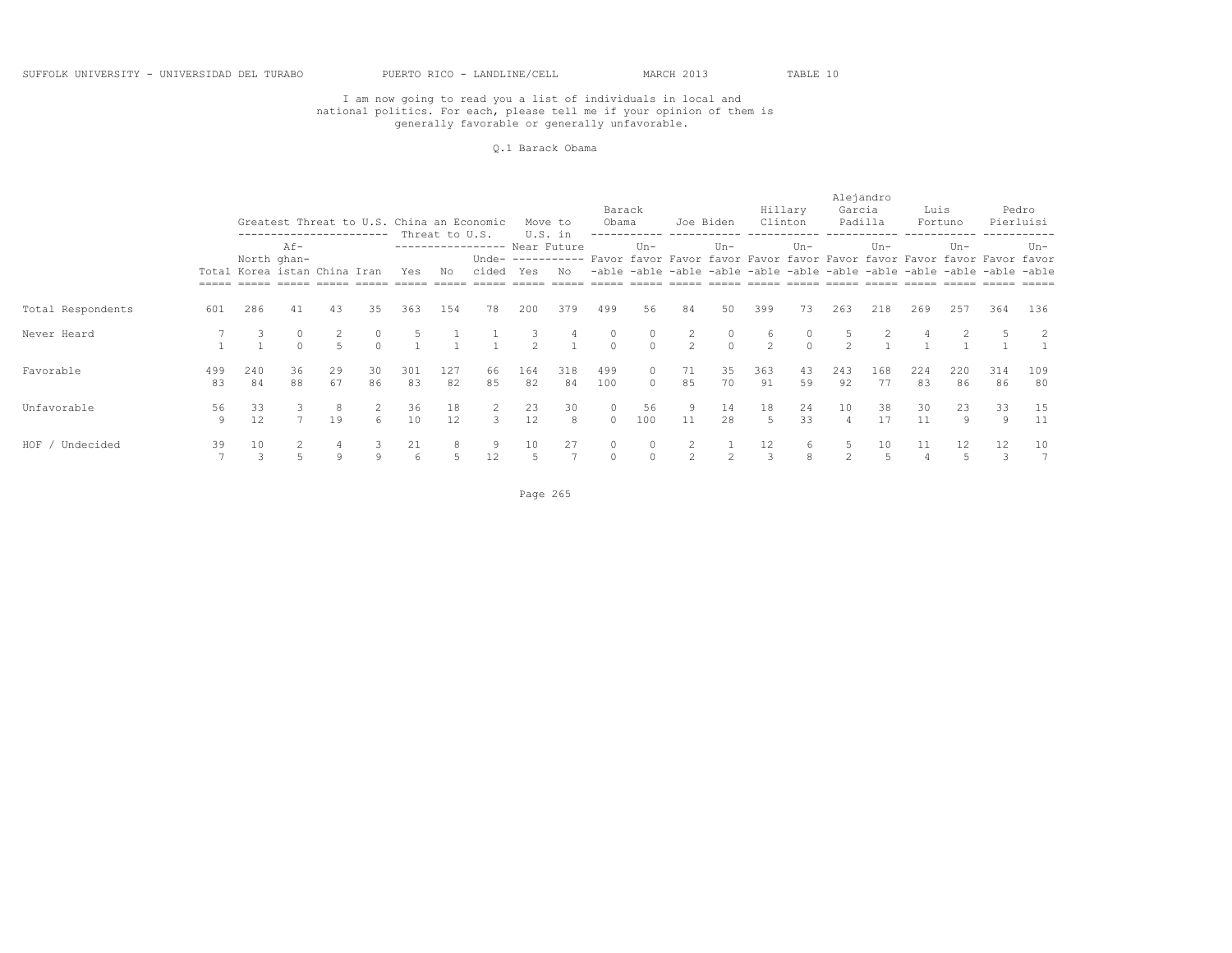#### Q.1 Barack Obama

|                   |           |                              | ------------------- |          |                  |           | Threat to U.S. | Greatest Threat to U.S. China an Economic |               | Move to<br>U.S. in | Barack<br>Obama     |           | Joe Biden                      |                     | Clinton      | Hillary  | Alejandro<br>Garcia<br>Padilla |           | Luis      | Fortuno                                                                                                                                                                       |           | Pedro<br>Pierluisi    |
|-------------------|-----------|------------------------------|---------------------|----------|------------------|-----------|----------------|-------------------------------------------|---------------|--------------------|---------------------|-----------|--------------------------------|---------------------|--------------|----------|--------------------------------|-----------|-----------|-------------------------------------------------------------------------------------------------------------------------------------------------------------------------------|-----------|-----------------------|
|                   |           | Total Korea istan China Iran | Af-<br>North ghan-  |          |                  | Yes       | Νo             | ----------------- Near Future<br>cided    | Yes           | No                 |                     | $Un -$    |                                | $Un-$               |              | $Un-$    |                                | $Un-$     |           | $Un -$<br>Unde- ---------- Favor favor Favor favor Favor favor Favor favor Favor favor Favor favor<br>-able -able -able -able -able -able -able -able -able -able -able -able |           | Un-                   |
| Total Respondents | 601       | 286                          | 41                  | 43       | 35               | 363       | 154            | 78                                        | 200           | 379                | 499                 | 56        | 84                             | 50                  | 399          | 73       | 263                            | 218       | 269       | 257                                                                                                                                                                           | 364       | 136                   |
| Never Heard       |           |                              |                     |          | $\Omega$         |           |                |                                           | $\mathcal{P}$ |                    | $\circ$<br>$\Omega$ | $\Omega$  | $\mathbf{2}$<br>$\overline{2}$ | $\circ$<br>$\Omega$ | 6<br>$2^{1}$ | $\cap$   | $\mathcal{P}$                  |           |           |                                                                                                                                                                               |           | 2                     |
| Favorable         | 499<br>83 | 240<br>84                    | 36<br>88            | 29<br>67 | 30<br>86         | 301<br>83 | 127<br>82      | 66<br>85                                  | 164<br>82     | 318<br>84          | 499<br>100          | $\Omega$  | 71<br>85                       | 35<br>70            | 363<br>91    | 43<br>59 | 243<br>92                      | 168<br>77 | 224<br>83 | 220<br>86                                                                                                                                                                     | 314<br>86 | 109<br>80             |
| Unfavorable       | 56<br>9   | 33<br>12                     | $\overline{7}$      | 19       | 2<br>$6^{\circ}$ | 36<br>10  | 18<br>12       | 2<br>3                                    | 23<br>12      | 30<br>8            | $\circ$<br>$\Omega$ | 56<br>100 | 9<br>11                        | 14<br>28            | 18<br>5      | 24<br>33 | 10                             | 38<br>17  | 30<br>11  | 23<br>9                                                                                                                                                                       | 33<br>-9  | 15<br>11              |
| HOF / Undecided   | 39        | 10<br>3                      |                     | 9        | 9                | 21<br>6   | 8              | 9<br>12                                   | 10            | 27                 | $\circ$             |           | 2                              |                     | 12<br>3      | 6.<br>8  |                                | 10<br>.5  | 11<br>4   | 12                                                                                                                                                                            | 12<br>3   | 10<br>$7\overline{ }$ |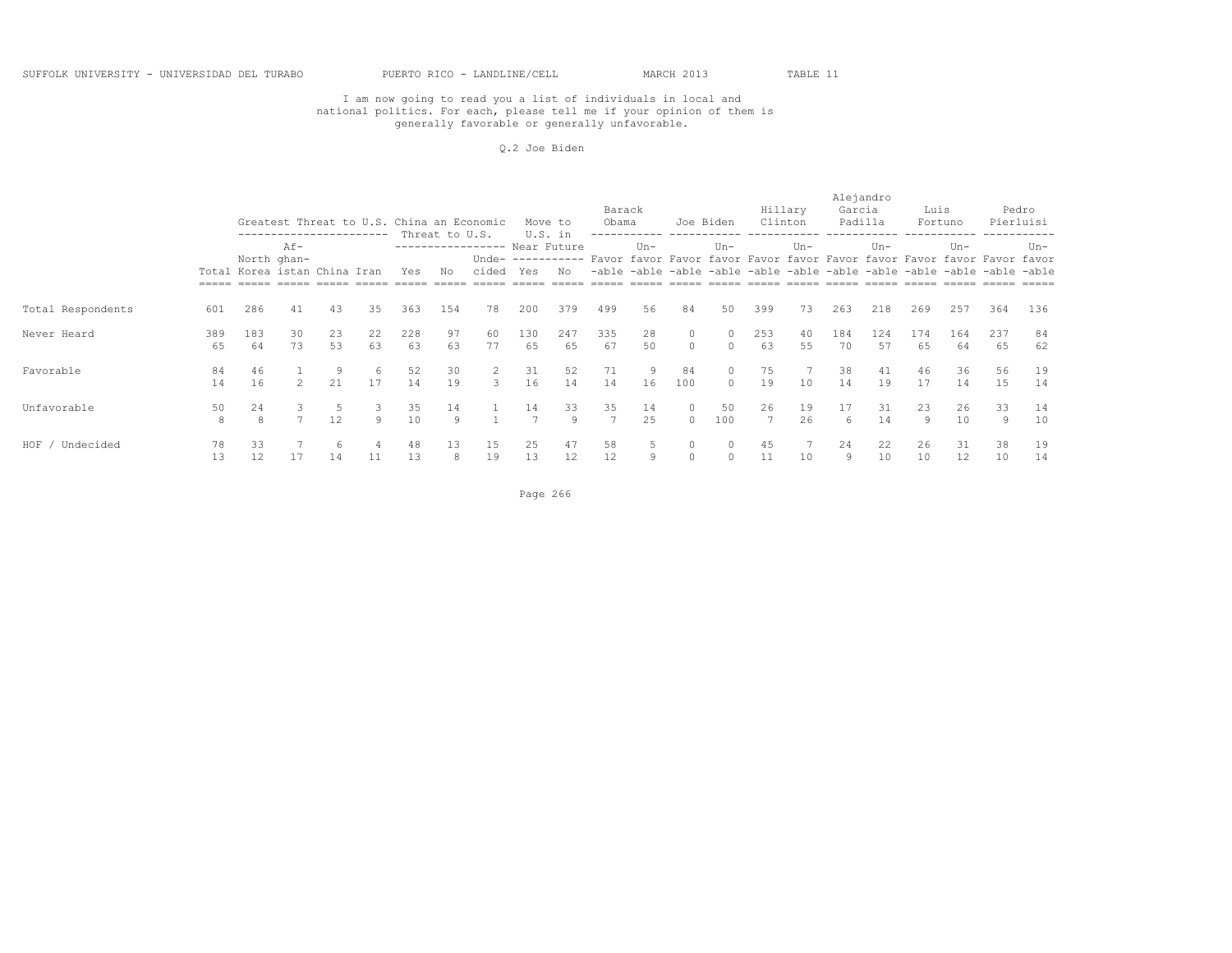#### Q.2 Joe Biden

|                   |           |                              |                    |          | ----------- |           |                      | Greatest Threat to U.S. China an Economic |           | Move to<br>U.S. in | Barack<br>Obama |          |                    | Joe Biden           |                      | Hillary<br>Clinton | Alejandro<br>Garcia | Padilla   | Luis      | Fortuno                                                                                                                                                                       |           | Pedro<br>Pierluisi |
|-------------------|-----------|------------------------------|--------------------|----------|-------------|-----------|----------------------|-------------------------------------------|-----------|--------------------|-----------------|----------|--------------------|---------------------|----------------------|--------------------|---------------------|-----------|-----------|-------------------------------------------------------------------------------------------------------------------------------------------------------------------------------|-----------|--------------------|
|                   |           | Total Korea istan China Iran | Af-<br>North ghan- |          |             | Yes       | Threat to U.S.<br>Νo | ----------------- Near Future<br>cided    | Yes       | No                 |                 | $Un -$   |                    | $Un-$               |                      | $Un-$              |                     | $Un-$     |           | $Un -$<br>Unde- ---------- Favor favor Favor favor Favor favor Favor favor Favor favor Favor favor<br>-able -able -able -able -able -able -able -able -able -able -able -able |           | Un-                |
| Total Respondents | 601       | 286                          | 41                 | 43       | 35          | 363       | 154                  | 78                                        | 200       | 379                | 499             | 56       | 84                 | 50                  | 399                  | 73                 | 263                 | 218       | 269       | 257                                                                                                                                                                           | 364       | 136                |
| Never Heard       | 389<br>65 | 183<br>64                    | 30<br>73           | 23<br>53 | 22<br>63    | 228<br>63 | 97<br>63             | 60<br>77                                  | 130<br>65 | 247<br>65          | 335<br>67       | 28<br>50 | $\circ$<br>$\circ$ | $\circ$<br>$\Omega$ | 253<br>63            | 40<br>55           | 184<br>70           | 124<br>57 | 174<br>65 | 164<br>64                                                                                                                                                                     | 237<br>65 | 84<br>62           |
| Favorable         | 84<br>14  | 46<br>16                     | $2^{\circ}$        | 9<br>21  | -6<br>17    | 52<br>14  | 30<br>19             | 2<br>3                                    | 31<br>16  | 52<br>14           | 71<br>14        | -9<br>16 | 84<br>100          | 0<br>$\Omega$       | 75<br>19             | 10                 | 38<br>14            | 41<br>19  | 46<br>17  | 36<br>14                                                                                                                                                                      | 56<br>15  | 19<br>14           |
| Unfavorable       | 50<br>8   | 24<br>8                      | $\overline{7}$     | 12       | -3<br>Q     | 35<br>10  | 14<br>9              |                                           | 14        | 33<br>Q            | 35              | 14<br>25 | $\circ$<br>$\circ$ | 50<br>100           | 26<br>$\overline{7}$ | 19<br>26           | 17<br>6             | 31<br>14  | 23<br>9   | 26<br>10                                                                                                                                                                      | 33<br>9   | 14<br>10           |
| HOF / Undecided   | 78<br>13  | 33<br>12                     | 17                 | 14       | 11          | 48<br>13  | 13<br>8              | 15<br>19                                  | 25<br>13  | 47<br>12           | 58<br>12        | 9        | $\circ$<br>$\circ$ | $\Omega$            | 45<br>11             | 10                 | 24<br>9             | 22<br>10  | 26<br>10  | 31<br>12                                                                                                                                                                      | 38<br>10  | 19<br>14           |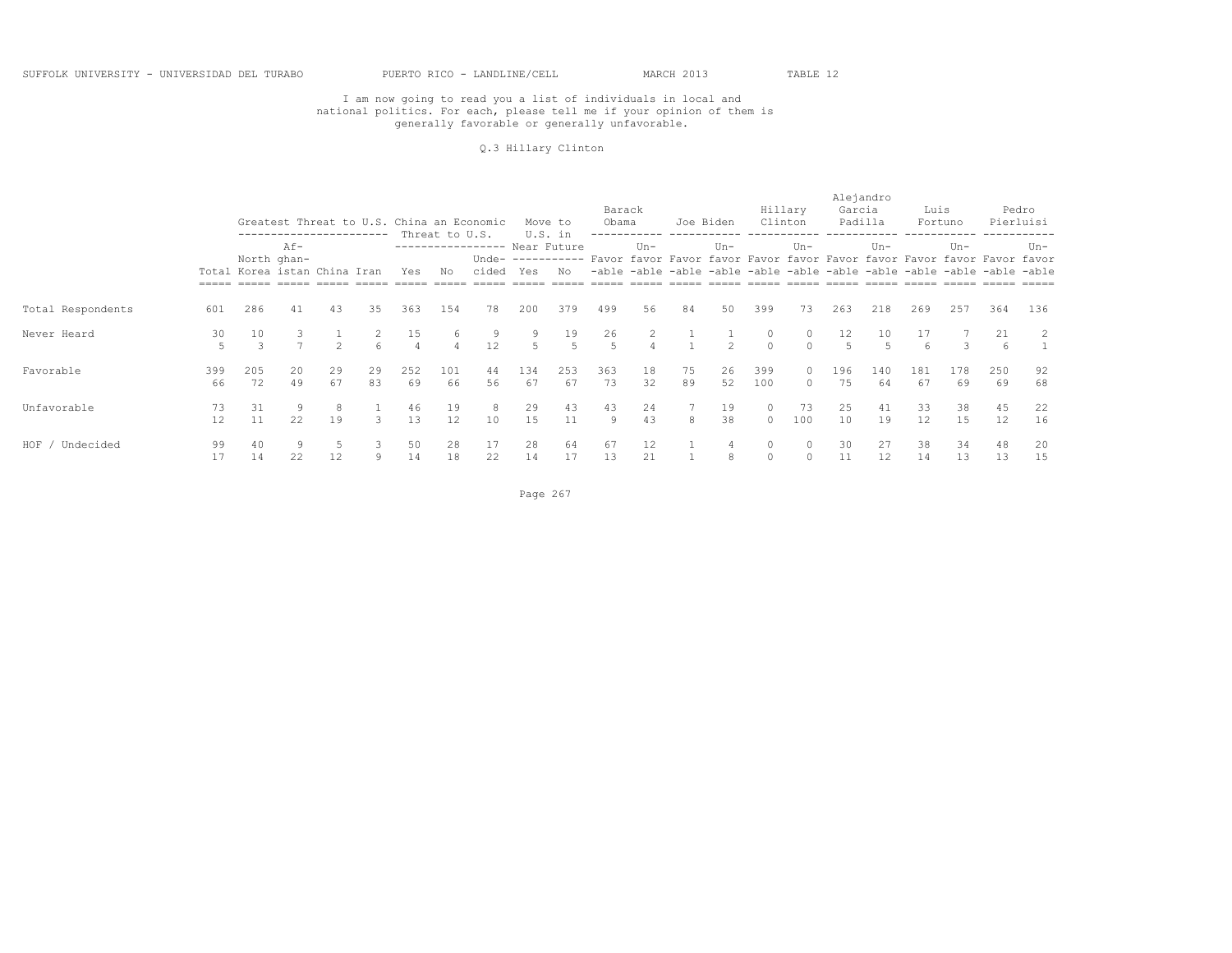#### Q.3 Hillary Clinton

|                   |           |                              |                    |               | -----------   |           | Threat to U.S.      | Greatest Threat to U.S. China an Economic |           | Move to<br>U.S. in | Barack<br>Obama |                | Joe Biden |               | Hillary<br>Clinton  |           | Alejandro<br>Garcia | Padilla   | Luis      | Fortuno   |                                                                                                                                                                     | Pedro<br>Pierluisi |
|-------------------|-----------|------------------------------|--------------------|---------------|---------------|-----------|---------------------|-------------------------------------------|-----------|--------------------|-----------------|----------------|-----------|---------------|---------------------|-----------|---------------------|-----------|-----------|-----------|---------------------------------------------------------------------------------------------------------------------------------------------------------------------|--------------------|
|                   |           | Total Korea istan China Iran | Af-<br>North ghan- |               |               | Yes       | Νo                  | ----------------- Near Future<br>cided    | Yes       | No                 |                 | $Un -$         |           | $Un-$         |                     | $Un-$     |                     | $Un-$     |           | $Un -$    | Unde- ---------- Favor favor Favor favor Favor favor Favor favor Favor favor Favor favor<br>-able -able -able -able -able -able -able -able -able -able -able -able | Un-                |
| Total Respondents | 601       | 286                          | 41                 | 43            | 35            | 363       | 154                 | 78                                        | 200       | 379                | 499             | 56             | 84        | 50            | 399                 | 73        | 263                 | 218       | 269       | 257       | 364                                                                                                                                                                 | 136                |
| Never Heard       | 30<br>5   | 10<br>3                      | $\overline{ }$     | $\mathcal{P}$ | 6             | 15        | 6<br>$\overline{4}$ | 9<br>12                                   | 9         | 19<br>5            | 26<br>-5        | $\overline{4}$ |           | $\mathcal{P}$ | $\circ$<br>$\Omega$ | 0.        | 12                  | 10<br>-5  | 17<br>6   | 3         | 21<br>6                                                                                                                                                             | $\overline{2}$     |
| Favorable         | 399<br>66 | 205<br>72                    | 20<br>49           | 29<br>67      | 29<br>83      | 252<br>69 | 101<br>66           | 44<br>56                                  | 134<br>67 | 253<br>67          | 363<br>73       | 18<br>32       | 75<br>89  | 26<br>52      | 399<br>100          | $\Omega$  | 196<br>75           | 140<br>64 | 181<br>67 | 178<br>69 | 250<br>69                                                                                                                                                           | 92<br>68           |
| Unfavorable       | 73<br>12  | 31<br>11                     | 9<br>22            | 19            | $\mathcal{L}$ | 46<br>13  | 19<br>12            | 8<br>10                                   | 29<br>15  | 43<br>11           | 43<br>9         | 24<br>43       | 8         | 19<br>38      | $\circ$<br>$\circ$  | 73<br>100 | 25<br>10            | 41<br>19  | 33<br>12  | 38<br>15  | 45<br>12                                                                                                                                                            | 22<br>16           |
| HOF / Undecided   | 99<br>17  | 14                           | 22                 | 12            | 9             | 50<br>14  | 28<br>18            | 17<br>22                                  | 28<br>14  | 64<br>17           | 67<br>13        | 12<br>21       |           | 8             | $\circ$<br>0        |           | 30<br>11            | 27<br>12  | 38<br>14  | 34<br>13  | 48<br>13                                                                                                                                                            | 20<br>15           |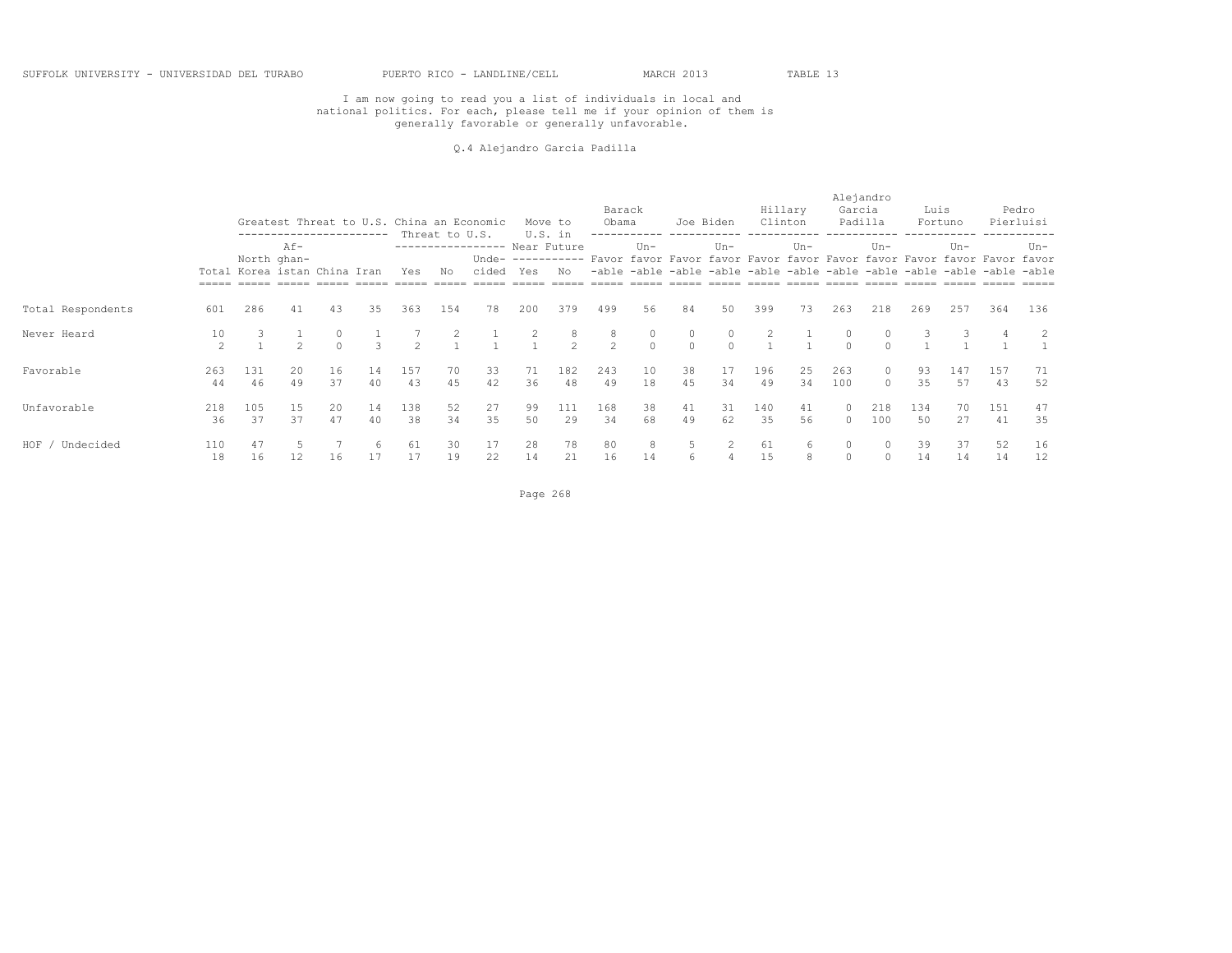#### Q.4 Alejandro Garcia Padilla

|                   |           |                                                                                                                  |               |                   |          |           | Threat to U.S. | Greatest Threat to U.S. China an Economic |          | Move to<br>U.S. in                                                                             | Barack<br>Obama |                     |                                                                   | Joe Biden           |           | Hillary<br>Clinton | Alejandro<br>Garcia<br>Padilla |                   | Luis      | Fortuno   |           | Pedro<br>Pierluisi |
|-------------------|-----------|------------------------------------------------------------------------------------------------------------------|---------------|-------------------|----------|-----------|----------------|-------------------------------------------|----------|------------------------------------------------------------------------------------------------|-----------------|---------------------|-------------------------------------------------------------------|---------------------|-----------|--------------------|--------------------------------|-------------------|-----------|-----------|-----------|--------------------|
|                   |           | -----------------------<br>$Af -$<br>North ghan-<br>Total Korea istan China Iran<br>Yes<br>286<br>41<br>43<br>35 |               |                   |          |           | Νo             | ---------------- Near Future<br>cided     | Yes      | Unde- ---------- Favor favor Favor favor Favor favor Favor favor Favor favor Favor favor<br>No | -able           | $Un -$              | -able -able -able -able -able -able -able -able -able -able -able | $Un-$               |           | $Un -$             |                                | $Un -$            |           | $Un -$    |           | Un-                |
| Total Respondents | 601       |                                                                                                                  |               |                   |          | 363       | 154            | 78                                        | 200      | 379                                                                                            | 499             | 56                  | 84                                                                | 50                  | 399       | 73                 | 263                            | 218               | 269       | 257       | 364       | 136                |
| Never Heard       | 10<br>2   |                                                                                                                  | $\mathcal{D}$ | $\circ$<br>$\cap$ | 3        | 2         |                |                                           |          | 8<br>$\mathcal{L}$                                                                             | 8<br>2          | $\circ$<br>$\Omega$ | $\circ$<br>$\circ$                                                | $\circ$<br>$\Omega$ |           |                    | $\cap$                         | $\bigcap$         |           |           |           |                    |
| Favorable         | 263<br>44 | 131<br>46                                                                                                        | 20<br>49      | 16<br>37          | 14<br>40 | 157<br>43 | 70<br>45       | 33<br>42                                  | 71<br>36 | 182<br>48                                                                                      | 243<br>49       | 10<br>18            | 38<br>45                                                          | 17<br>34            | 196<br>49 | 25<br>34           | 263<br>100                     | $\circ$<br>$\cap$ | 93<br>35  | 147<br>57 | 157<br>43 | 71<br>52           |
| Unfavorable       | 218<br>36 | 105<br>37                                                                                                        | 15<br>37      | 20<br>47          | 14<br>40 | 138<br>38 | 52<br>34       | 27<br>35                                  | 99<br>50 | 111<br>29                                                                                      | 168<br>34       | 38<br>68            | 41<br>49                                                          | 31<br>62            | 140<br>35 | 41<br>56           | $\circ$<br>$\Omega$            | 218<br>100        | 134<br>50 | 70<br>27  | 151<br>41 | 47<br>35           |
| HOF / Undecided   | 110<br>18 | 47<br>16                                                                                                         | 12            | 16                | -6       | 61<br>17  | 30<br>19       | 17<br>22                                  | 28<br>14 | 78<br>21                                                                                       | 80<br>16        | 8<br>14             | 5<br>6                                                            | 4                   | 61<br>15  | 6<br>8             | $\circ$<br>$\circ$             |                   | 39<br>14  | 37<br>14  | 52<br>14  | 16<br>12           |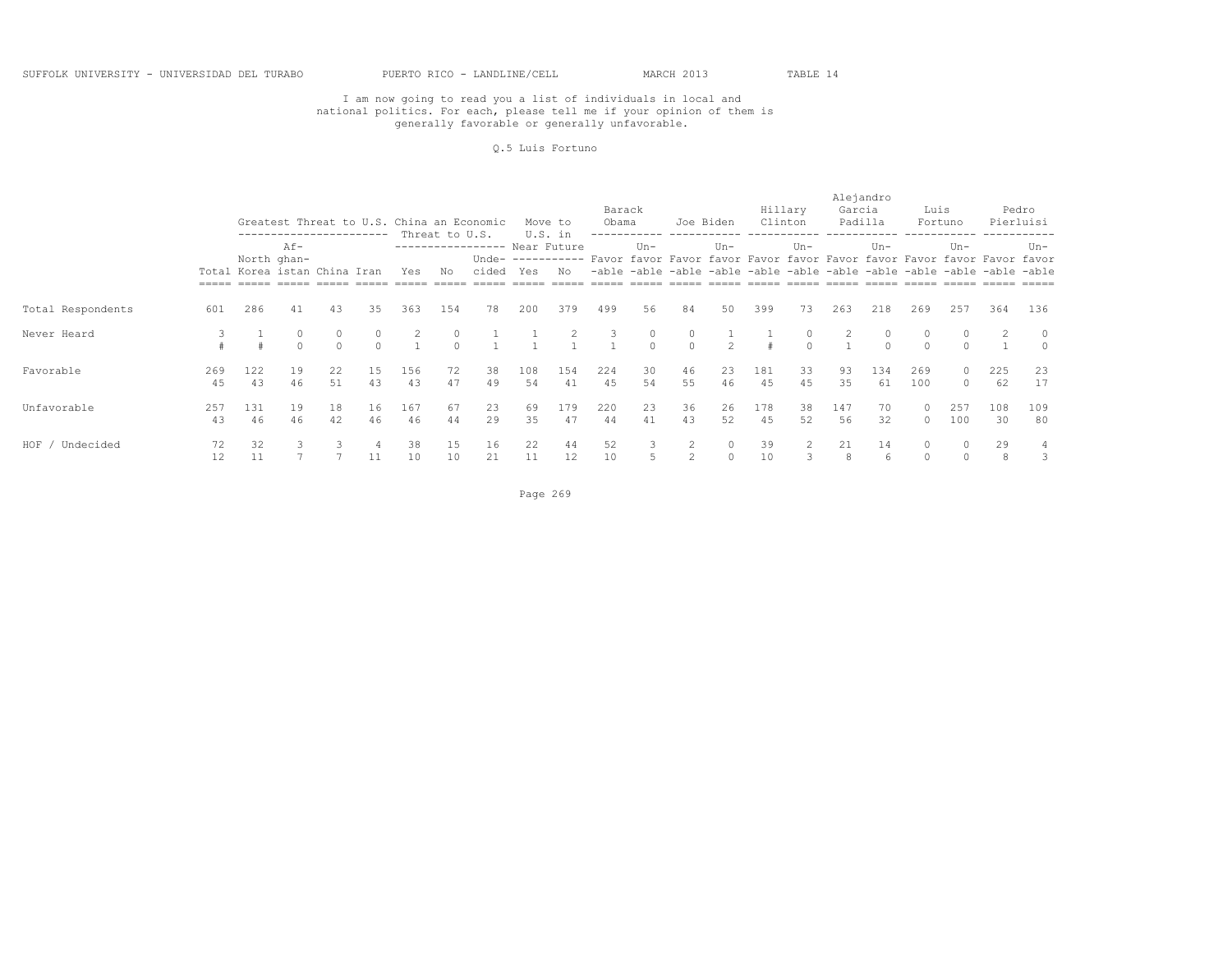#### Q.5 Luis Fortuno

|                   |           |                              |                    |          | ----------- |           | Threat to U.S.    | Greatest Threat to U.S. China an Economic |           | Move to<br>U.S. in | Barack<br>Obama |          |                     | Joe Biden            |           | Hillary<br>Clinton | Alejandro<br>Garcia | Padilla             | Luis                 | Fortuno                                                                                                                                                                       |           | Pedro<br>Pierluisi |
|-------------------|-----------|------------------------------|--------------------|----------|-------------|-----------|-------------------|-------------------------------------------|-----------|--------------------|-----------------|----------|---------------------|----------------------|-----------|--------------------|---------------------|---------------------|----------------------|-------------------------------------------------------------------------------------------------------------------------------------------------------------------------------|-----------|--------------------|
|                   |           | Total Korea istan China Iran | Af-<br>North ghan- |          |             | Yes       | Νo                | ----------------- Near Future<br>cided    | Yes       | No                 |                 | $Un -$   |                     | $Un-$                |           | $Un-$              |                     | $Un-$               |                      | $Un -$<br>Unde- ---------- Favor favor Favor favor Favor favor Favor favor Favor favor Favor favor<br>-able -able -able -able -able -able -able -able -able -able -able -able |           | Un-                |
| Total Respondents | 601       | 286                          | 41                 | 43       | 35          | 363       | 154               | 78                                        | 200       | 379                | 499             | 56       | 84                  | 50                   | 399       | 73                 | 263                 | 218                 | 269                  | 257                                                                                                                                                                           | 364       | 136                |
| Never Heard       |           |                              |                    | $\cap$   | $\Omega$    |           | $\circ$<br>$\cap$ |                                           |           |                    | 3               | $\Omega$ | $\circ$<br>$\circ$  | $\mathcal{P}$        |           |                    |                     | $\circ$<br>$\Omega$ | $\Omega$             | $\circ$<br>$\Omega$                                                                                                                                                           |           | $\circ$<br>$\circ$ |
| Favorable         | 269<br>45 | 122<br>43                    | 19<br>46           | 22<br>51 | 15<br>43    | 156<br>43 | 72<br>47          | 38<br>49                                  | 108<br>54 | 154<br>41          | 224<br>45       | 30<br>54 | 46<br>55            | 23<br>46             | 181<br>45 | 33<br>45           | 93<br>35            | 134<br>61           | 269<br>100           | $\circ$<br>$\Omega$                                                                                                                                                           | 225<br>62 | 23<br>17           |
| Unfavorable       | 257<br>43 | 131<br>46                    | 19<br>46           | 18<br>42 | 16<br>46    | 167<br>46 | 67<br>44          | 23<br>29                                  | 69<br>35  | 179<br>47          | 220<br>44       | 23<br>41 | 36<br>43            | 26<br>52             | 178<br>45 | 38<br>52           | 147<br>56           | 70<br>32            | 0<br>$\Omega$        | 257<br>100                                                                                                                                                                    | 108<br>30 | 109<br>80          |
| HOF / Undecided   | 72<br>12  | 32<br>11                     |                    |          | 11          | 38<br>10  | 15<br>10          | 16<br>21                                  | 22<br>11  | 44<br>12           | 52<br>10        | 3        | 2<br>$\overline{2}$ | $\Omega$<br>$\Omega$ | 39<br>10  |                    | 21<br>8             | 14<br>6             | $\Omega$<br>$\Omega$ | $\Omega$<br>$\Omega$                                                                                                                                                          | 29<br>8   | 4<br>3             |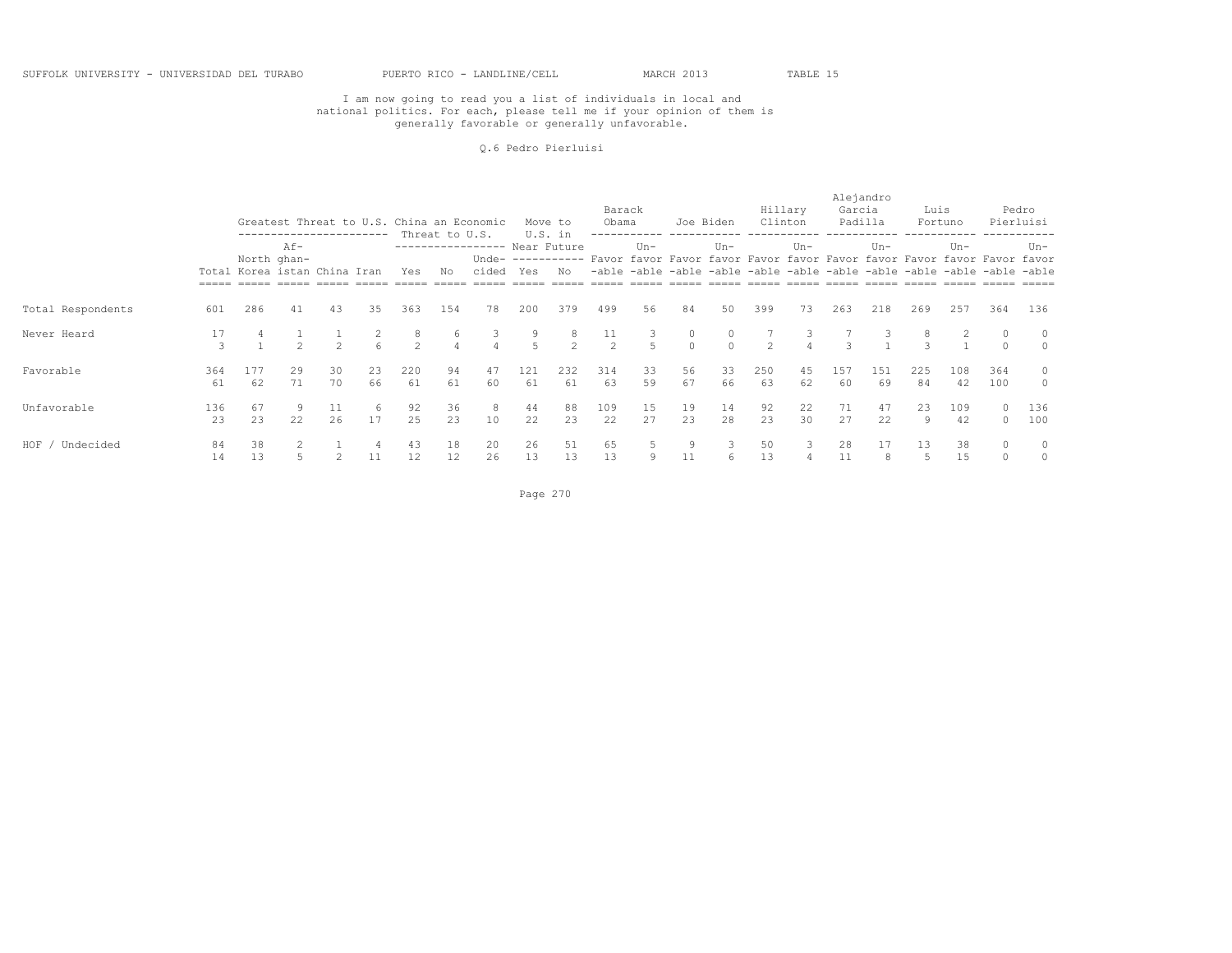#### Q.6 Pedro Pierluisi

|                    |           |           |                                                       |               |          |                     | Threat to U.S.      | Greatest Threat to U.S. China an Economic |                | Move to<br>U.S. in | Barack<br>Obama      |          | Joe Biden     |           |           | Hillary<br>Clinton | Alejandro<br>Garcia | Padilla   | Luis      | Fortuno                                                                                                                                                                        |                      | Pedro<br>Pierluisi |
|--------------------|-----------|-----------|-------------------------------------------------------|---------------|----------|---------------------|---------------------|-------------------------------------------|----------------|--------------------|----------------------|----------|---------------|-----------|-----------|--------------------|---------------------|-----------|-----------|--------------------------------------------------------------------------------------------------------------------------------------------------------------------------------|----------------------|--------------------|
|                    |           |           | $Af -$<br>North ghan-<br>Total Korea istan China Iran |               |          | Yes                 | Νo                  | ----------------- Near Future<br>cided    | Yes            | No                 |                      | $Un -$   |               | $Un -$    |           | $Un-$              |                     | Un-       |           | $Un -$<br>Unde- ----------- Favor favor Favor favor Favor favor Favor favor Favor favor Favor favor<br>-able -able -able -able -able -able -able -able -able -able -able -able |                      | Un-                |
| Total Respondents  | 601       | 286       | 41                                                    | 43            | 35       | 363                 | 154                 | 78                                        | 200            | 379                | 499                  | 56       | 84            | 50        | 399       | 73                 | 263                 | 218       | 269       | 257                                                                                                                                                                            | 364                  | 136                |
| Never Heard        | 17<br>3   |           |                                                       | $\mathcal{P}$ | 6        | 8<br>$\mathfrak{D}$ | 6<br>$\overline{4}$ |                                           | $\overline{a}$ | 8.<br>$2^{1}$      | 11<br>$\overline{2}$ |          | 0<br>$\Omega$ | $\cap$    | $2^{1}$   |                    | $\mathcal{L}$       |           | 8         |                                                                                                                                                                                | $\Omega$             | $\circ$<br>$\circ$ |
| Favorable          | 364<br>61 | 177<br>62 | 29<br>71                                              | 30<br>70      | 23<br>66 | 220<br>61           | 94<br>61            | 47<br>60                                  | 121<br>61      | 232<br>61          | 314<br>63            | 33<br>59 | 56<br>67      | 33<br>66  | 250<br>63 | 45<br>62           | 157<br>60           | 151<br>69 | 225<br>84 | 108<br>42                                                                                                                                                                      | 364<br>100           | $\circ$<br>$\circ$ |
| Unfavorable        | 136<br>23 | 67<br>23  | 9<br>22                                               | 11<br>26      | -6<br>17 | 92<br>2.5           | 36<br>23            | 8<br>10                                   | 44<br>22       | 88<br>23           | 109<br>2.2           | 15<br>27 | 19<br>2.3     | 14<br>2.8 | 92<br>23  | 22<br>30           | 71<br>2.7           | 47<br>22  | 23<br>9   | 109<br>42                                                                                                                                                                      | $\Omega$<br>$\Omega$ | 136<br>100         |
| HOF /<br>Undecided | 84<br>14  | 38<br>13  |                                                       |               |          | 43<br>12            | 18<br>12            | 20<br>26                                  | 26<br>13       | 51<br>13           | 65<br>13             |          | 9<br>11       | 6         | 50<br>13  |                    | 28<br>11            | 17<br>8   | 13        | 38<br>15                                                                                                                                                                       |                      | $\circ$<br>$\circ$ |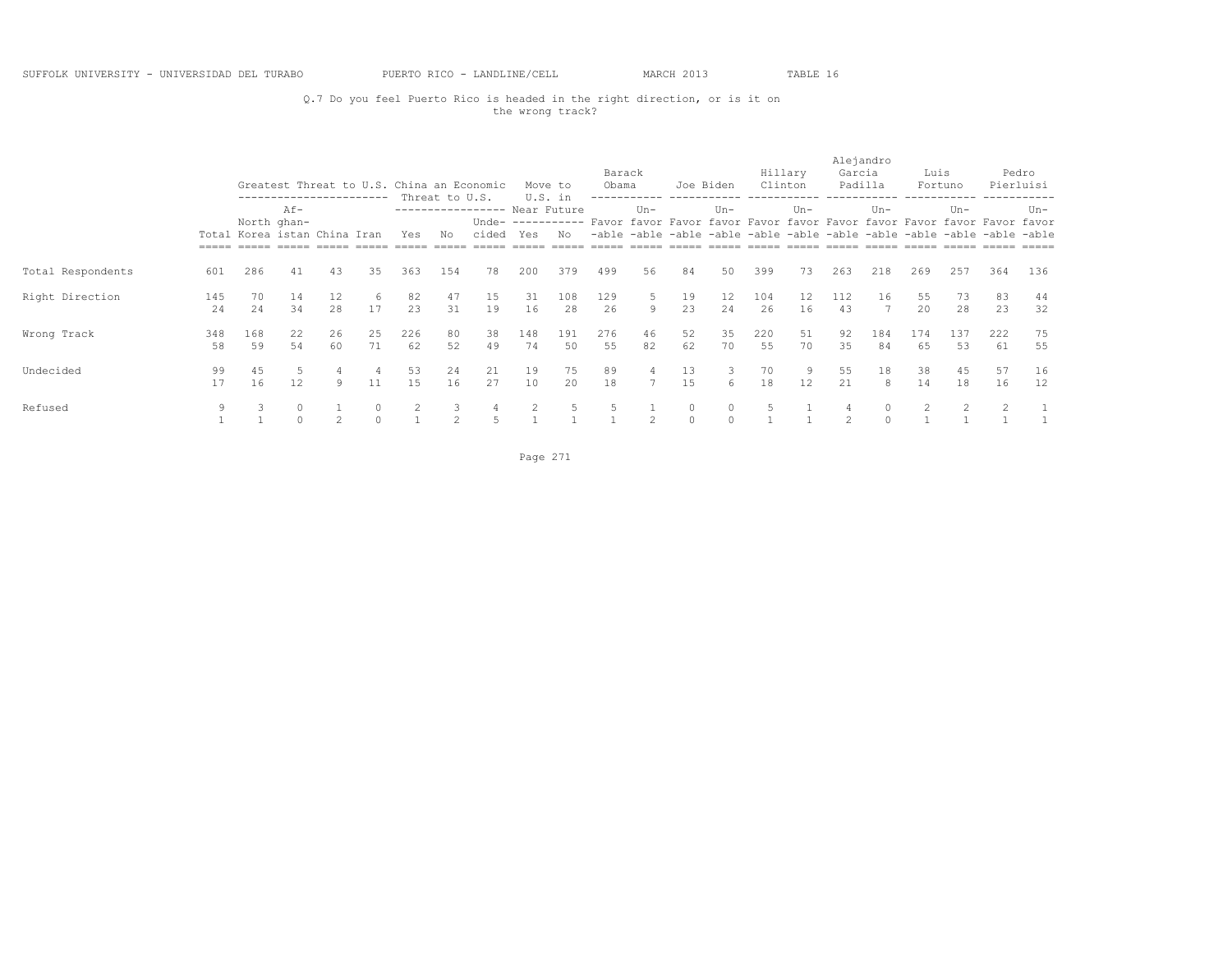#### Q.7 Do you feel Puerto Rico is headed in the right direction, or is it on the wrong track?

|                   |           |                                                                                                                  |          |          |          |                |                      | Greatest Threat to U.S. China an Economic |           | Move to        | Barack<br>Obama |          | Joe Biden                                       |                          | Hillary<br>Clinton |          | Alejandro<br>Garcia<br>Padilla |               | Luis               | Fortuno                                                                                                                       |           | Pedro<br>Pierluisi |
|-------------------|-----------|------------------------------------------------------------------------------------------------------------------|----------|----------|----------|----------------|----------------------|-------------------------------------------|-----------|----------------|-----------------|----------|-------------------------------------------------|--------------------------|--------------------|----------|--------------------------------|---------------|--------------------|-------------------------------------------------------------------------------------------------------------------------------|-----------|--------------------|
|                   |           | -----------------------<br>$Af -$<br>North ghan-<br>Total Korea istan China Iran<br>Yes<br>43<br>286<br>41<br>35 |          |          |          |                | Threat to U.S.<br>No | ---------------- Near Future<br>cided     | Yes       | U.S. in<br>No. |                 | $Un -$   | -able -able -able -able -able -able -able -able | $Un-$                    |                    | $Un-$    |                                | $Un -$        |                    | $Un -$<br>Unde- ---------- Favor favor Favor favor Favor favor Favor favor Favor favor Favor favor<br>-able -able -able -able |           | Un-                |
| Total Respondents | 601       |                                                                                                                  |          |          |          | 363            | 154                  | 78                                        | 200       | 379            | 499             | 56       | 84                                              | 50                       | 399                | 73       | 263                            | 218           | 269                | 257                                                                                                                           | 364       | 136                |
| Right Direction   | 145<br>24 | 70<br>24                                                                                                         | 14<br>34 | 12<br>28 | -6<br>17 | 82<br>23       | 47<br>31             | 15<br>19                                  | 31<br>16  | 108<br>28      | 129<br>26       | 5<br>Q   | 19<br>23                                        | $12 \overline{ }$<br>2.4 | 104<br>26          | 12<br>16 | 112<br>43                      | 16            | 55<br>$20^{\circ}$ | 73<br>28                                                                                                                      | 83<br>23  | 44<br>32           |
| Wrong Track       | 348<br>58 | 168<br>59                                                                                                        | 22<br>54 | 26<br>60 | 25<br>71 | 226<br>62      | 80<br>52             | 38<br>49                                  | 148<br>74 | 191<br>50      | 276<br>55       | 46<br>82 | 52<br>62                                        | 35<br>70                 | 220<br>55          | 51<br>70 | 92<br>35                       | 184<br>84     | 174<br>65          | 137<br>53                                                                                                                     | 222<br>61 | 75<br>55           |
| Undecided         | 99<br>17  | 45<br>16                                                                                                         | 5<br>12  | 9        | 11       | 53<br>1.5      | 24<br>16             | 21<br>27                                  | 19<br>10  | 75<br>20       | 89<br>18        | 4        | 13<br>15                                        | 3<br>6                   | 70<br>18           | 9<br>12  | 55<br>21                       | 18<br>8       | 38<br>14           | 45<br>18                                                                                                                      | 57<br>16  | 16<br>12           |
| Refused           | 9         | 3                                                                                                                |          | 2        | $\Omega$ | $\overline{c}$ | 3<br>$\mathfrak{D}$  | 4<br>5                                    |           | 5.             | 5               | 2        | $\circ$<br>$\circ$                              | $\circ$<br>$\Omega$      |                    |          | $\mathcal{L}$                  | 0<br>$\Omega$ | 2                  | $\overline{c}$                                                                                                                |           |                    |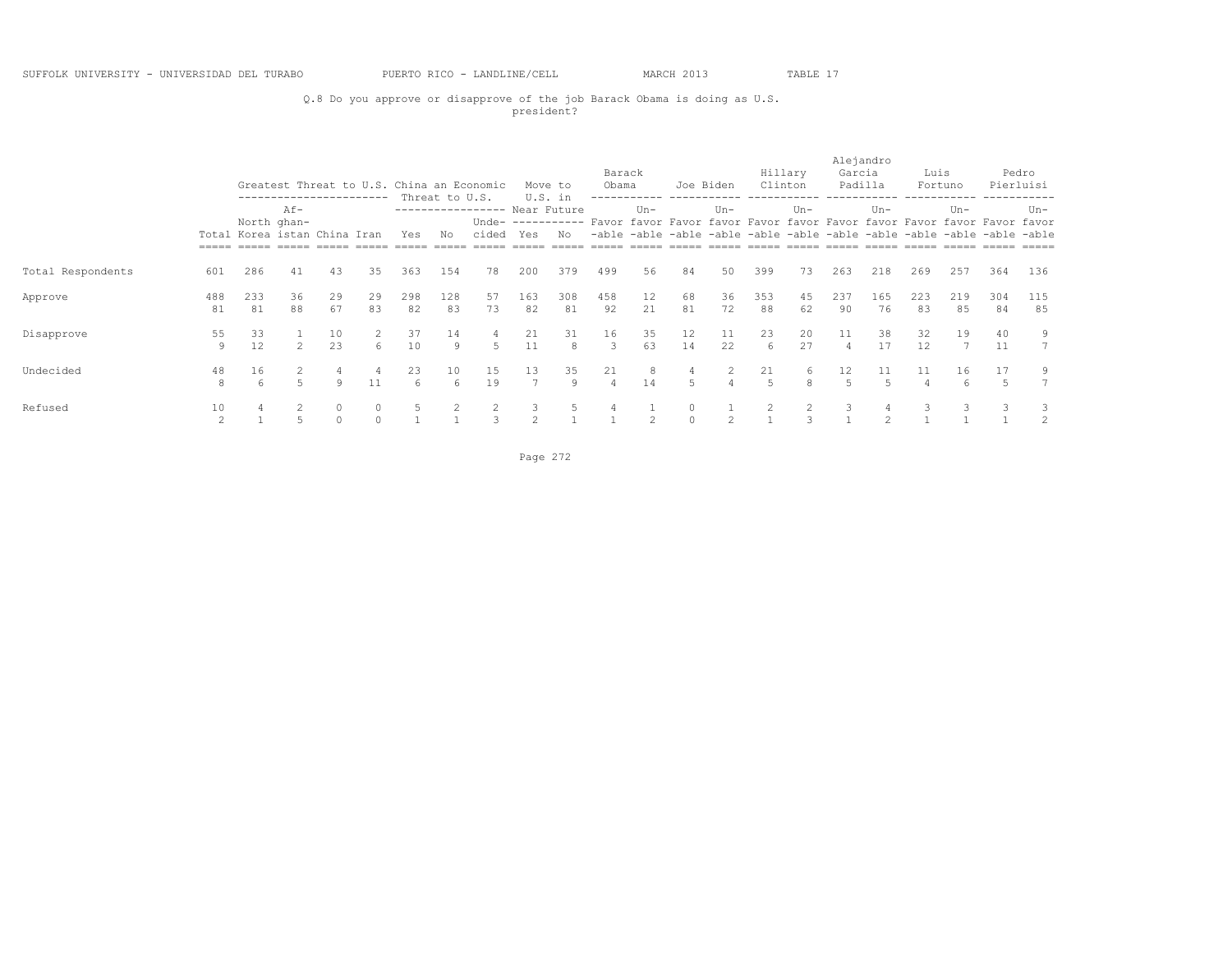### Q.8 Do you approve or disapprove of the job Barack Obama is doing as U.S. president?

|                   |                      |                              |                       |                     | ----------------------- |           |                      | Greatest Threat to U.S. China an Economic |           | Move to       | Barack<br>Obama      |                         |                     | Joe Biden      |           | Hillary<br>Clinton | Alejandro<br>Garcia<br>Padilla |                      | Luis                 | Fortuno                                                                                                                                                                       |           | Pedro<br>Pierluisi |
|-------------------|----------------------|------------------------------|-----------------------|---------------------|-------------------------|-----------|----------------------|-------------------------------------------|-----------|---------------|----------------------|-------------------------|---------------------|----------------|-----------|--------------------|--------------------------------|----------------------|----------------------|-------------------------------------------------------------------------------------------------------------------------------------------------------------------------------|-----------|--------------------|
|                   |                      | Total Korea istan China Iran | $Af -$<br>North ghan- |                     |                         | Yes       | Threat to U.S.<br>No | ----------------- Near Future<br>cided    | Yes       | U.S. in<br>Nο |                      | $Un -$                  |                     | $Un-$          |           | $Un-$              |                                | $Un -$               |                      | $Un -$<br>Unde- ---------- Favor favor Favor favor Favor favor Favor favor Favor favor Favor favor<br>-able -able -able -able -able -able -able -able -able -able -able -able |           | Un-                |
| Total Respondents | 601                  | 286                          | 41                    | 43                  | 35                      | 363       | 154                  | 78                                        | 200       | 379           | 499                  | 56                      | 84                  | 50             | 399       | 73                 | 263                            | 218                  | 269                  | 257                                                                                                                                                                           | 364       | 136                |
| Approve           | 488<br>81            | 233<br>81                    | 36<br>88              | 29<br>67            | 29<br>83                | 298<br>82 | 128<br>83            | 57<br>73                                  | 163<br>82 | 308<br>81     | 458<br>92            | $12 \overline{ }$<br>21 | 68<br>81            | 36<br>72       | 353<br>88 | 45<br>62           | 237<br>90                      | 165<br>76            | 223<br>83            | 219<br>85                                                                                                                                                                     | 304<br>84 | 115<br>85          |
| Disapprove        | 55<br>9              | 33<br>12                     | $\mathcal{L}$         | 10<br>23            | 6                       | 37<br>10  | 14<br>9              | 4<br>5                                    | 21<br>11  | 31<br>8       | 16<br>3              | 35<br>63                | 12<br>14            | 11<br>22       | 23<br>6   | 20<br>27           | 11                             | 38<br>17             | 32<br>12             | 19                                                                                                                                                                            | 40<br>11  | 9<br>$7^{\circ}$   |
| Undecided         | 48<br>8              | 16<br>6                      |                       | 9                   | 11                      | 23<br>6   | 10<br>6              | 15<br>19                                  | 13<br>7   | 35<br>Q       | 21<br>$\overline{4}$ | 8<br>14                 | 4<br>5              | $\overline{4}$ | 21<br>5   | 6<br>8             | 12 <sup>°</sup>                | 11<br>$\overline{5}$ | 11<br>$\overline{4}$ | 16<br>6                                                                                                                                                                       | 17        | 9                  |
| Refused           | 10<br>$\mathfrak{D}$ |                              |                       | $\circ$<br>$\Omega$ | $\circ$<br>$\Omega$     | 5         |                      | 2<br>3                                    | $\hat{ }$ |               |                      | $\hat{ }$               | $\circ$<br>$\Omega$ | $\mathcal{P}$  | 2         | $\mathcal{L}$      | 3                              |                      |                      |                                                                                                                                                                               |           | $\overline{2}$     |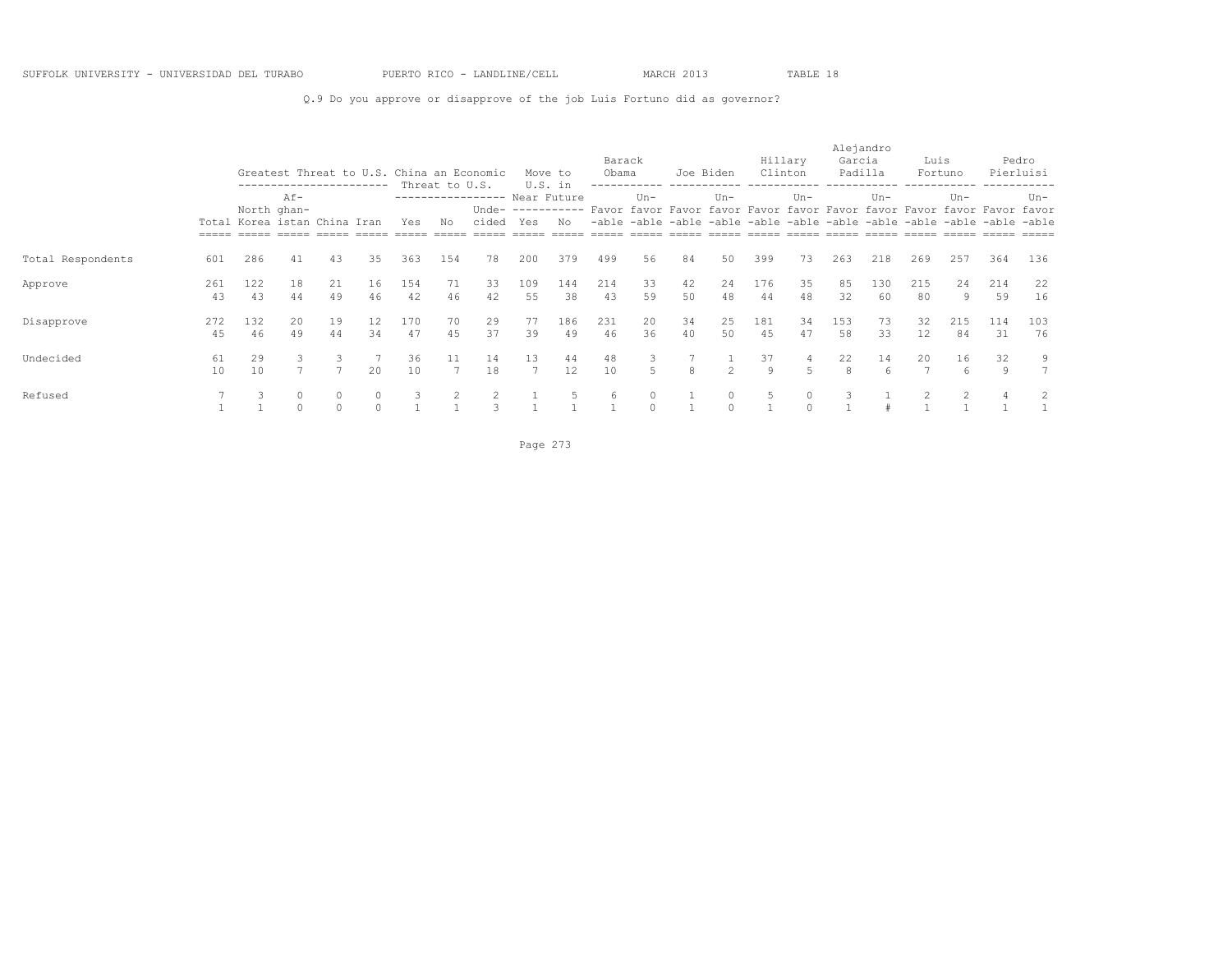Q.9 Do you approve or disapprove of the job Luis Fortuno did as governor?

|                   |           |                                                                                                              |                     |          |                     |           |                      | Greatest Threat to U.S. China an Economic |                      | Move to       | Barack<br>Obama |                     | Joe Biden |                     | Clinton   | Hillary  | Alejandro<br>Garcia<br>Padilla |           | Luis                    | Fortuno                                                                                                                                                                       |                     | Pedro<br>Pierluisi |
|-------------------|-----------|--------------------------------------------------------------------------------------------------------------|---------------------|----------|---------------------|-----------|----------------------|-------------------------------------------|----------------------|---------------|-----------------|---------------------|-----------|---------------------|-----------|----------|--------------------------------|-----------|-------------------------|-------------------------------------------------------------------------------------------------------------------------------------------------------------------------------|---------------------|--------------------|
|                   |           | -------------------<br>$Af -$<br>North ghan-<br>Total Korea istan China Iran<br>Yes<br>286<br>43<br>35<br>41 |                     |          |                     |           | Threat to U.S.<br>No | ---------------- Near Future<br>cided     | Yes                  | U.S. in<br>No |                 | $Un -$              |           | $Un -$              |           | $Un-$    |                                | $Un -$    |                         | $Un -$<br>Unde- ---------- Favor favor Favor favor Favor favor Favor favor Favor favor Favor favor<br>-able -able -able -able -able -able -able -able -able -able -able -able |                     | $Un-$<br>$======$  |
| Total Respondents | 601       |                                                                                                              |                     |          |                     | 363       | 154                  | 78                                        | 200                  | 379           | 499             | .56                 | 84        | 50                  | 399       | 73       | 263                            | 218       | 269                     | 257                                                                                                                                                                           | 364                 | 136                |
| Approve           | 261<br>43 | 122<br>43                                                                                                    | 18<br>44            | 21<br>49 | 16<br>46            | 154<br>42 | 71<br>46             | 33<br>42                                  | 109<br>55            | 144<br>38     | 214<br>43       | 33<br>59            | 42<br>50  | 24<br>48            | 176<br>44 | 35<br>48 | 85<br>32                       | 130<br>60 | 215<br>80               | 24<br>9                                                                                                                                                                       | 214<br>59           | 22<br>16           |
| Disapprove        | 272<br>45 | 132<br>46                                                                                                    | 20<br>49            | 19<br>44 | 12<br>34            | 170<br>47 | 70<br>45             | 29<br>37                                  | 77<br>39             | 186<br>49     | 231<br>46       | 20<br>36            | 34<br>40  | 25<br>50            | 181<br>45 | 34<br>47 | 153<br>58                      | 73<br>33  | 32<br>$12 \overline{ }$ | 215<br>84                                                                                                                                                                     | 114<br>31           | 103<br>76          |
| Undecided         | 61<br>10  | 29<br>10                                                                                                     | 3                   |          | 20                  | 36<br>10  | 11<br>$\overline{ }$ | 14<br>18                                  | 13<br>$\overline{7}$ | 44<br>12      | 48<br>10        | 3<br>5              | 8         | $\mathcal{L}$       | 37<br>Q   | 4<br>5   | 22<br>$\mathcal{R}$            | 14<br>6   | 20<br>$\overline{7}$    | 16<br>6                                                                                                                                                                       | 32<br>$\mathcal{Q}$ | 9                  |
| Refused           |           |                                                                                                              | $\circ$<br>$\Omega$ |          | $\circ$<br>$\Omega$ | 3         |                      |                                           |                      |               | 6               | $\circ$<br>$\Omega$ |           | $\circ$<br>$\Omega$ | 5         |          |                                |           |                         |                                                                                                                                                                               |                     | 2                  |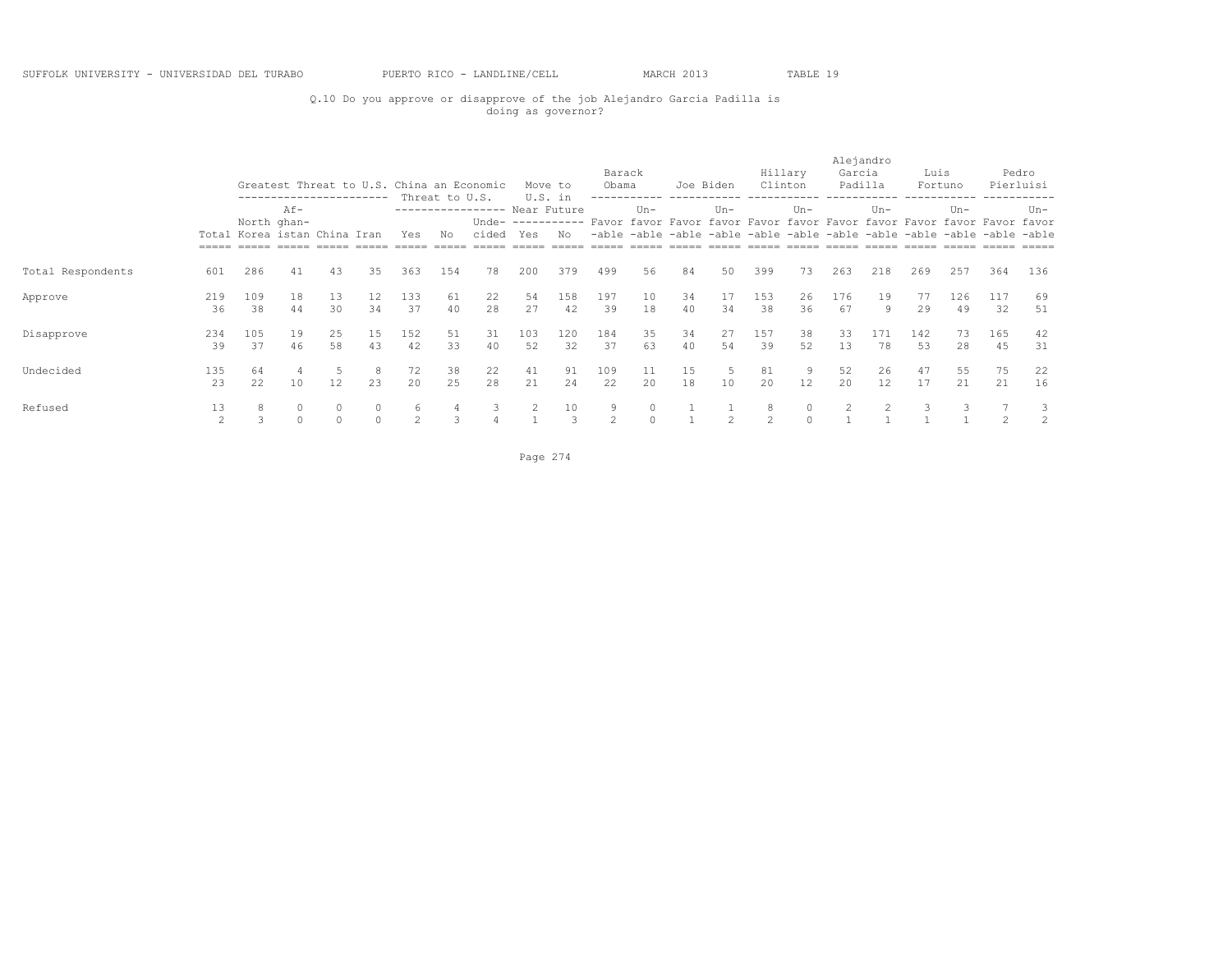### Q.10 Do you approve or disapprove of the job Alejandro Garcia Padilla is doing as governor?

|                   |                     |                                                                                                                  |          |                     |                    |           |                      | Greatest Threat to U.S. China an Economic |                | Move to                        | Barack<br>Obama |               |          | Joe Biden      |                    | Hillary<br>Clinton | Alejandro<br>Garcia<br>Padilla |           | Luis      | Fortuno                                                                                                                                                |                | Pedro<br>Pierluisi  |
|-------------------|---------------------|------------------------------------------------------------------------------------------------------------------|----------|---------------------|--------------------|-----------|----------------------|-------------------------------------------|----------------|--------------------------------|-----------------|---------------|----------|----------------|--------------------|--------------------|--------------------------------|-----------|-----------|--------------------------------------------------------------------------------------------------------------------------------------------------------|----------------|---------------------|
|                   |                     | -----------------------<br>$Af -$<br>North ghan-<br>Total Korea istan China Iran<br>Yes<br>286<br>41<br>43<br>35 |          |                     |                    |           | Threat to U.S.<br>No | ----------------- Near Future<br>cided    | Yes            | U.S. in<br>Unde- $-----$<br>No | -able           | $Un -$        |          | $Un-$          |                    | $Un-$              |                                | $Un -$    |           | $Un -$<br>Favor favor Favor favor Favor favor Favor favor Favor favor Favor favor<br>-able -able -able -able -able -able -able -able -able -able -able |                | $Un-$               |
| Total Respondents | 601                 |                                                                                                                  |          |                     |                    | 363       | 154                  | 78                                        | 200            | 379                            | 499             | 56            | 84       | 50             | 399                | 73                 | 263                            | 218       | 269       | 257                                                                                                                                                    | 364            | 136                 |
| Approve           | 219<br>36           | 109<br>38                                                                                                        | 18<br>44 | 13<br>30            | 12<br>34           | 133<br>37 | 61<br>40             | 22<br>28                                  | 54<br>27       | 158<br>42                      | 197<br>39       | 10<br>18      | 34<br>40 | 17<br>34       | 153<br>38          | 26<br>36           | 176<br>67                      | 19<br>9   | 77<br>29  | 126<br>49                                                                                                                                              | 117<br>32      | 69<br>51            |
| Disapprove        | 234<br>39           | 105<br>37                                                                                                        | 19<br>46 | 25<br>58            | 15<br>43           | 152<br>42 | 51<br>33             | 31<br>40                                  | 103<br>52      | 120<br>32                      | 184<br>37       | 35<br>63      | 34<br>40 | 27<br>54       | 157<br>39          | 38<br>52           | 33<br>13                       | 171<br>78 | 142<br>53 | 73<br>28                                                                                                                                               | 165<br>45      | 42<br>31            |
| Undecided         | 135<br>23           | 64<br>22                                                                                                         | 4<br>10  | 12                  | 8<br>23            | 72<br>20  | 38<br>25             | 22<br>28                                  | 41<br>21       | 91<br>24                       | 109<br>22       | 11<br>20      | 15<br>18 | 5<br>10        | 81<br>20           | 9<br>12            | 52<br>20                       | 26<br>12  | 47<br>17  | 55<br>21                                                                                                                                               | 75<br>21       | 22<br>16            |
| Refused           | 13<br>$\mathcal{L}$ | 8                                                                                                                | $\Omega$ | $\circ$<br>$\Omega$ | $\circ$<br>$\circ$ | 6<br>2    | 3                    | 3                                         | $\overline{2}$ | 10<br>3                        | 9<br>2          | 0<br>$\Omega$ |          | $\mathfrak{D}$ | 8<br>$\mathcal{L}$ | $\Omega$           |                                |           | 3         |                                                                                                                                                        | $\mathfrak{D}$ | 3<br>$\overline{2}$ |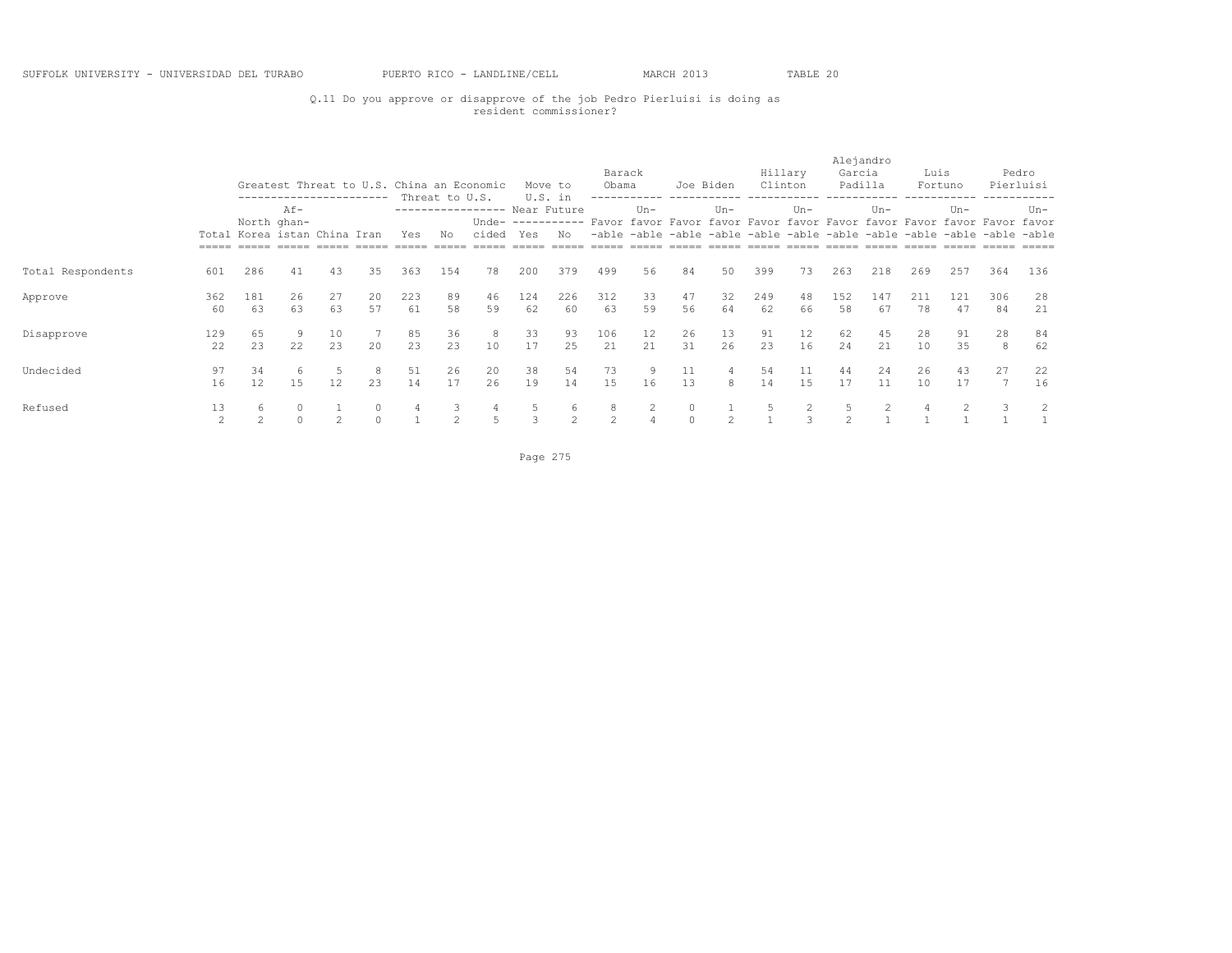### Q.11 Do you approve or disapprove of the job Pedro Pierluisi is doing as resident commissioner?

|                   |           |                                                                                                                |          |               |              |           |                      | Greatest Threat to U.S. China an Economic |           | Move to        | Barack<br>Obama |          | Joe Biden          |          |           | Hillary<br>Clinton | Alejandro<br>Garcia | Padilla   | Luis      | Fortuno   |                                                                                                                                                                     | Pedro<br>Pierluisi |
|-------------------|-----------|----------------------------------------------------------------------------------------------------------------|----------|---------------|--------------|-----------|----------------------|-------------------------------------------|-----------|----------------|-----------------|----------|--------------------|----------|-----------|--------------------|---------------------|-----------|-----------|-----------|---------------------------------------------------------------------------------------------------------------------------------------------------------------------|--------------------|
|                   |           | ------------------------<br>Af-<br>North ghan-<br>Total Korea istan China Iran<br>Yes<br>286<br>41<br>43<br>35 |          |               |              |           | Threat to U.S.<br>No | ---------------- Near Future<br>cided     | Yes       | U.S. in<br>No. |                 | $Un -$   |                    | $Un -$   |           | $Un-$              |                     | $Un -$    |           | $Un -$    | Unde- ---------- Favor favor Favor favor Favor favor Favor favor Favor favor Favor favor<br>-able -able -able -able -able -able -able -able -able -able -able -able | $Un-$              |
| Total Respondents | 601       |                                                                                                                |          |               |              | 363       | 154                  | 78                                        | 200       | 379            | 499             | 56       | 84                 | 50       | 399       | 73                 | 263                 | 218       | 269       | 257       | 364                                                                                                                                                                 | 136                |
| Approve           | 362<br>60 | 181<br>63                                                                                                      | 26<br>63 | 27<br>63      | 20<br>57     | 223<br>61 | 89<br>58             | 46<br>59                                  | 124<br>62 | 226<br>60      | 312<br>63       | 33<br>59 | 47<br>56           | 32<br>64 | 249<br>62 | 48<br>66           | 152<br>58           | 147<br>67 | 211<br>78 | 121<br>47 | 306<br>84                                                                                                                                                           | 28<br>21           |
| Disapprove        | 129<br>22 | 65<br>23                                                                                                       | 9<br>22  | 10<br>23      | $20^{\circ}$ | 85<br>23  | 36<br>2.3            | 8<br>10                                   | 33<br>17  | 93<br>25       | 106<br>21       | 12<br>21 | 26<br>31           | 13<br>26 | 91<br>23  | 12<br>16           | 62<br>24            | 45<br>2.1 | 28<br>10  | 91<br>35  | 28<br>8                                                                                                                                                             | 84<br>62           |
| Undecided         | 97<br>16  | 34<br>12                                                                                                       | 6<br>15  | 12            | 8<br>23      | 51<br>14  | 26<br>17             | 20<br>26                                  | 38<br>19  | 54<br>14       | 73<br>15        | 9<br>16  | 11<br>13           | 4<br>8   | 54<br>14  | 11<br>15           | 44<br>17            | 24<br>11  | 26<br>10  | 43<br>17  | 27                                                                                                                                                                  | 22<br>16           |
| Refused           | 13<br>2   | 6<br>$\overline{2}$                                                                                            |          | $\mathcal{L}$ | $\Omega$     | 4         | 3<br>2               | 4<br>5                                    |           | 6<br>2         | 8<br>2          | 2        | $\circ$<br>$\circ$ | 2        |           |                    |                     | 2         | 4         |           |                                                                                                                                                                     | 2                  |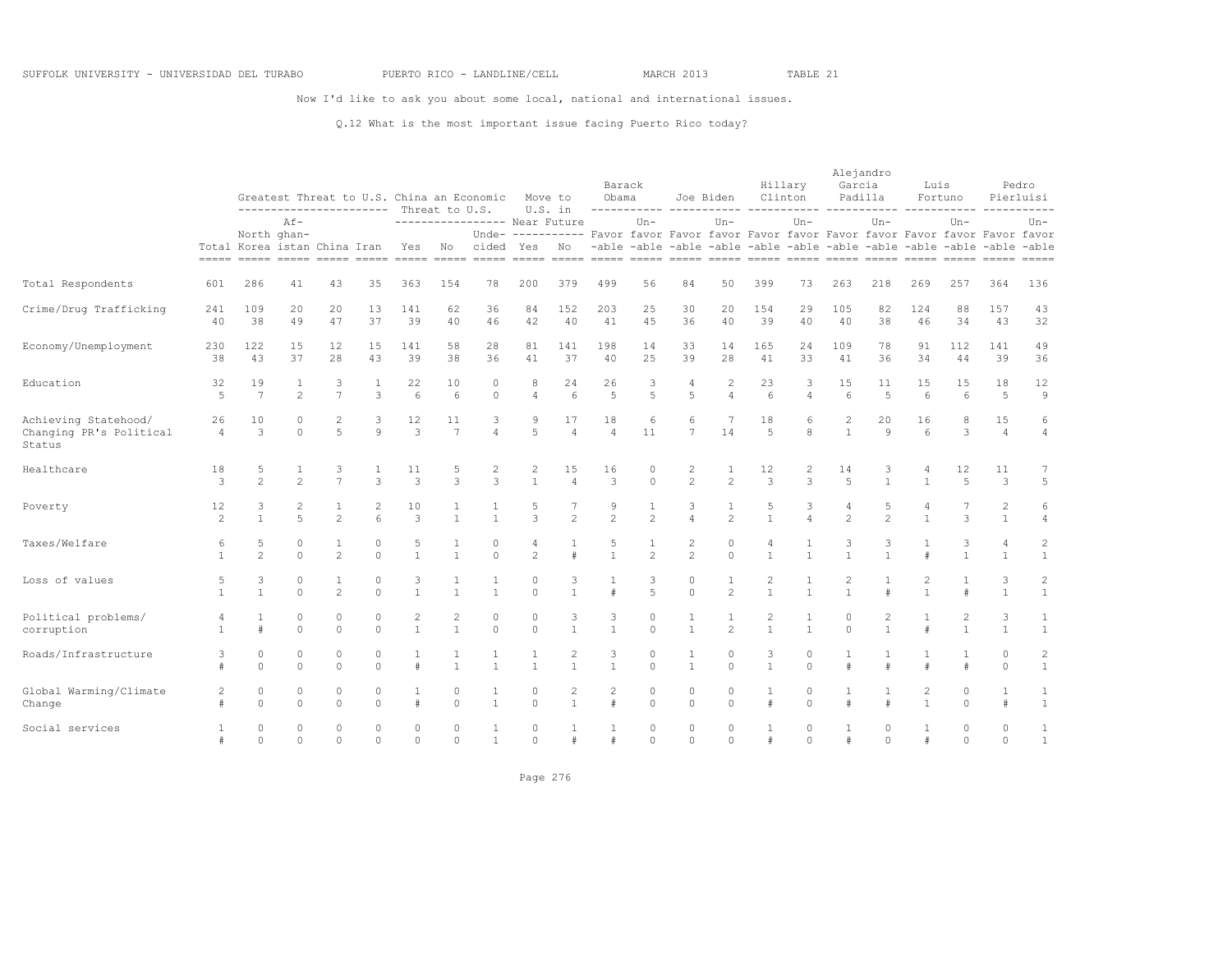Now I'd like to ask you about some local, national and international issues.

### Q.12 What is the most important issue facing Puerto Rico today?

|                                                           |                      |                                                                                |                                |                                |                      | ----------------------- Threat to U.S. |                                | Greatest Threat to U.S. China an Economic |                                | Move to<br>U.S. in    | Barack<br>Obama      | -----------             |                                                                                                                                                                     | Joe Biden<br>------------ |                                | Hillary<br>Clinton<br>----------- | Alejandro<br>Garcia<br>Padilla |                      | Luis                           | Fortuno                  |                                | Pedro<br>Pierluisi             |
|-----------------------------------------------------------|----------------------|--------------------------------------------------------------------------------|--------------------------------|--------------------------------|----------------------|----------------------------------------|--------------------------------|-------------------------------------------|--------------------------------|-----------------------|----------------------|-------------------------|---------------------------------------------------------------------------------------------------------------------------------------------------------------------|---------------------------|--------------------------------|-----------------------------------|--------------------------------|----------------------|--------------------------------|--------------------------|--------------------------------|--------------------------------|
|                                                           |                      | North ghan-<br>Total Korea istan China Iran<br>----- ----- ----- <i>-</i> ---- | $Af -$                         |                                |                      | Yes                                    | No                             | ---------------- Near Future<br>cided     | Yes                            | No                    |                      | $Un -$                  | Unde- ---------- Favor favor Favor favor Favor favor Favor favor Favor favor Favor favor<br>-able -able -able -able -able -able -able -able -able -able -able -able | $Un -$                    |                                | $Un-$                             |                                | $Un-$                |                                | $Un -$                   |                                | $Un-$                          |
| Total Respondents                                         | 601                  | 286                                                                            | 41                             | 43                             | 35                   | 363                                    | 154                            | 78                                        | 200                            | 379                   | 499                  | 56                      | 84                                                                                                                                                                  | 50                        | 399                            | 73                                | 263                            | 218                  | 269                            | 257                      | 364                            | 136                            |
| Crime/Drug Trafficking                                    | 241<br>40            | 109<br>38                                                                      | 20<br>49                       | 20<br>47                       | 13<br>37             | 141<br>39                              | 62<br>40                       | 36<br>46                                  | 84<br>42                       | 152<br>40             | 203<br>41            | 25<br>4.5               | 30<br>36                                                                                                                                                            | 20<br>40                  | 154<br>39                      | 29<br>40                          | 105<br>40                      | 82<br>38             | 124<br>46                      | 88<br>34                 | 157<br>43                      | 43<br>32                       |
| Economy/Unemployment                                      | 230<br>38            | 122<br>43                                                                      | 15<br>37                       | 12<br>28                       | 15<br>43             | 141<br>39                              | 58<br>38                       | 28<br>36                                  | 81<br>41                       | 141<br>37             | 198<br>40            | 14<br>2.5               | 33<br>39                                                                                                                                                            | 14<br>28                  | 165<br>41                      | 24<br>33                          | 109<br>41                      | 78<br>36             | 91<br>34                       | 112<br>44                | 141<br>39                      | 49<br>36                       |
| Education                                                 | 32<br>$\overline{5}$ | 19<br>$\overline{7}$                                                           | 1<br>$\mathfrak{D}$            | 3<br>$\overline{7}$            | 1<br>3               | 22<br>6                                | 10<br>$6 \overline{6}$         | $\circ$<br>$\Omega$                       | 8<br>$\overline{4}$            | 24<br>$6\overline{6}$ | 26<br>$\overline{5}$ | 3<br>5                  | 4<br>5                                                                                                                                                              | 2<br>$\overline{4}$       | 23<br>$6\overline{6}$          | 3<br>$\overline{4}$               | 15<br>6                        | 11<br>$\overline{5}$ | 15<br>6                        | 15<br>$6\overline{6}$    | 18<br>5                        | 12<br>$\overline{9}$           |
| Achieving Statehood/<br>Changing PR's Political<br>Status | 26<br>$\overline{4}$ | 10<br>3                                                                        | $\Omega$<br>$\Omega$           | 2<br>5                         | $\circ$              | 12<br>$\mathcal{E}$                    | 11<br>$\overline{7}$           |                                           | 9<br>5                         | 17<br>$\overline{4}$  | 18<br>$\overline{4}$ | 6<br>11                 | 6<br>$\overline{7}$                                                                                                                                                 | 14                        | 18<br>5                        | 6<br>$\mathsf{R}$                 | $\mathbf{1}$                   | 20<br>$\mathcal{Q}$  | 16<br>$6\overline{6}$          | 8<br>3                   | 15<br>$\overline{4}$           | 6<br>$\overline{4}$            |
| Healthcare                                                | 18<br>3              | 5<br>$\overline{c}$                                                            | $\overline{c}$                 | 3<br>$\overline{7}$            | $\mathcal{L}$        | 11<br>$\mathcal{L}$                    | 5<br>3                         | $\overline{c}$<br>3                       | $\overline{c}$<br>$\mathbf{1}$ | 15<br>$\overline{4}$  | 16<br>3              | 0<br>$\Omega$           | 2<br>$\overline{c}$                                                                                                                                                 | $\overline{c}$            | 12<br>$\mathbf{3}$             | 2<br>$\mathcal{L}$                | 14<br>$\overline{5}$           | 3<br>$\overline{1}$  | $\mathbf{1}$                   | 12<br>$\overline{5}$     | 11<br>3                        | 7<br>5                         |
| Poverty                                                   | 12<br>$\mathfrak{D}$ | 3<br>$\mathbf{1}$                                                              | $\mathbf{2}$<br>$\overline{a}$ | $\mathbf{1}$<br>$\mathfrak{D}$ | $\epsilon$           | 10<br>3                                | 1<br>$\mathbf{1}$              | $\mathbf{1}$<br>$\mathbf{1}$              | 5<br>3                         | 7<br>$\mathfrak{D}$   | 9<br>$\mathfrak{D}$  | 1<br>$\overline{2}$     | 3<br>$\overline{4}$                                                                                                                                                 | $\mathfrak{D}$            | 5<br>$\mathbf{1}$              | 3<br>$\overline{4}$               | 4<br>$\mathfrak{D}$            | 5<br>$\mathfrak{D}$  | 4<br>$\mathbf{1}$              | 7<br>3                   | $\overline{2}$<br>$\mathbf{1}$ | 6<br>$\overline{4}$            |
| Taxes/Welfare                                             | 6<br>1               | 5<br>$\mathfrak{D}$                                                            | $\circ$<br>$\cap$              | 1<br>$\mathfrak{D}$            | $\Omega$<br>$\cap$   | 5<br>$\mathbf{1}$                      | $\mathbf{1}$                   | $\Omega$<br>$\cap$                        | 4<br>$\mathfrak{D}$            |                       |                      | $\mathfrak{D}$          | 2<br>$\overline{c}$                                                                                                                                                 | $\Omega$<br>$\Omega$      | $\overline{1}$                 | $\mathbf{1}$                      |                                |                      |                                | 3                        | $\overline{4}$<br>$\mathbf{1}$ | $\overline{c}$<br>$\mathbf{1}$ |
| Loss of values                                            | 5<br>$\mathbf{1}$    | 3<br>$\mathbf{1}$                                                              | $\circ$<br>$\cap$              | $\mathbf{1}$<br>$\mathfrak{D}$ | $\Omega$<br>$\Omega$ | 3<br>$\mathbf{1}$                      | 1<br>$\mathbf{1}$              | 1<br>$\mathbf{1}$                         | $\circ$<br>$\Omega$            | 3<br>$\mathbf{1}$     | $\#$                 | 3<br>$\overline{5}$     | $\circ$<br>$\Omega$                                                                                                                                                 | 1<br>$\mathfrak{D}$       | $\overline{2}$<br>$\mathbf{1}$ | $\mathbf{1}$                      |                                | #                    | 2<br>$\mathbf{1}$              | 1                        | 3<br>$\overline{1}$            | $\overline{c}$<br>$\mathbf{1}$ |
| Political problems/<br>corruption                         |                      | 1<br>#                                                                         | $\Omega$<br>$\cap$             | $\Omega$<br>$\Omega$           | $\Omega$<br>$\cap$   | 2<br>$\mathbf{1}$                      | $\overline{2}$<br>$\mathbf{1}$ | $\circ$<br>$\Omega$                       | $\circ$<br>$\Omega$            | 3<br>$\mathbf{1}$     | 3                    | $\mathbf 0$<br>$\Omega$ | 1<br>$\mathbf{1}$                                                                                                                                                   | $\overline{2}$            | $\mathbf{1}$                   | $\mathbf{1}$                      | 0<br>$\Omega$                  | 2<br>$\overline{1}$  |                                | $\overline{c}$           | 3<br>$\mathbf{1}$              | $\mathbf{1}$<br>$1\,$          |
| Roads/Infrastructure                                      | $\#$                 | $\circ$<br>$\Omega$                                                            | $\Omega$<br>$\Omega$           | $\Omega$<br>$\Omega$           | $\Omega$<br>$\Omega$ | $\#$                                   | $\mathbf{1}$<br>$\mathbf{1}$   | $\mathbf{1}$                              | $\mathbf{1}$<br>$\overline{1}$ | 2<br>$\mathbf{1}$     | 3<br>$\mathbf{1}$    | $\Omega$<br>$\Omega$    | $\mathbf{1}$<br>$\overline{1}$                                                                                                                                      | $\Omega$<br>$\Omega$      | 3<br>$\mathbf{1}$              | $\Omega$<br>$\Omega$              |                                | $\pm$                | $\pm$                          | #                        | $\Omega$<br>$\Omega$           | $\overline{c}$<br>$\mathbf{1}$ |
| Global Warming/Climate<br>Change                          | 2                    | $\circ$<br>$\Omega$                                                            | $\circ$<br>$\Omega$            | $\Omega$<br>$\Omega$           | $\circ$<br>$\Omega$  | #                                      | 0<br>$\Omega$                  | 1<br>$\mathbf{1}$                         | $\circ$<br>$\Omega$            | 2<br>$\mathbf{1}$     | 2<br>$\pm$           | $\circ$<br>$\Omega$     | $\circ$<br>$\Omega$                                                                                                                                                 | $\circ$<br>$\cap$         | 1<br>$\pm$                     | 0<br>$\Omega$                     |                                | $\pm$                | $\overline{c}$<br>$\mathbf{1}$ | $\mathbf{0}$<br>$\Omega$ | $\mathbf{1}$<br>$\pm$          | $\mathbf{1}$<br>$\mathbf{1}$   |
| Social services                                           | $\#$                 | $\Omega$<br>$\Omega$                                                           | $\Omega$<br>$\Omega$           | $\Omega$<br>$\Omega$           | $\Omega$<br>$\Omega$ | $\Omega$<br>$\Omega$                   | $\Omega$<br>$\Omega$           | $\mathbf{1}$                              | $\Omega$<br>$\Omega$           | $\#$                  |                      | $\Omega$<br>$\Omega$    | $\circ$<br>$\Omega$                                                                                                                                                 | $\Omega$<br>$\Omega$      | $\mathbf{1}$<br>#              | $\Omega$<br>$\Omega$              |                                | $\Omega$<br>$\Omega$ | $\#$                           | $\Omega$<br>$\Omega$     | $\Omega$<br>$\Omega$           | $\mathbf{1}$<br>$\mathbf{1}$   |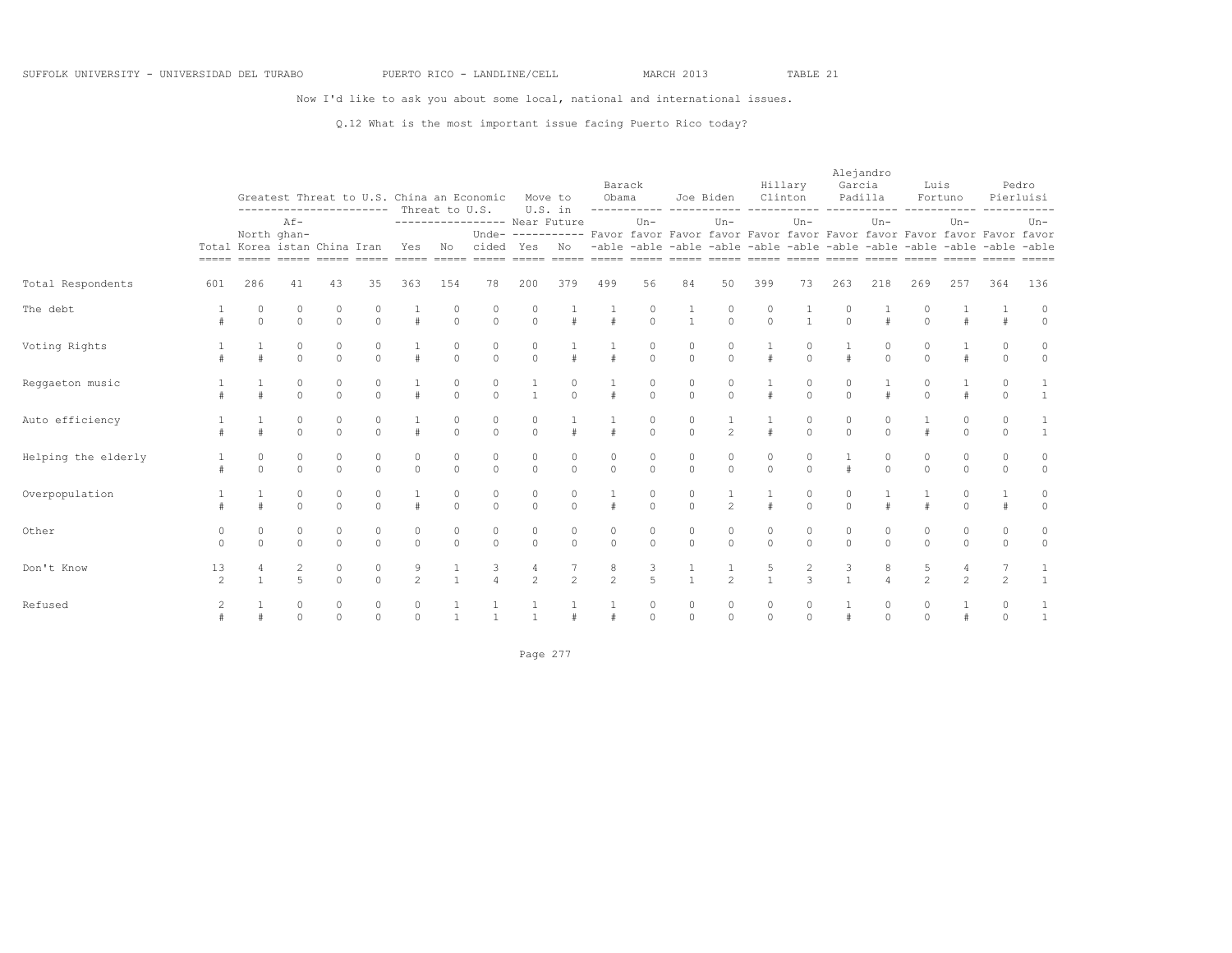Now I'd like to ask you about some local, national and international issues.

### Q.12 What is the most important issue facing Puerto Rico today?

|                     |                         |                                                         |                                  |                         | ----------------------- | Threat to U.S.      |                     | Greatest Threat to U.S. China an Economic                                                                                                                            |                     | Move to<br>U.S. in | Barack<br>Obama     |                         | ------------ -----------                                                                                                                                      | Joe Biden           | Clinton             | Hillary                         | Alejandro<br>Garcia<br>Padilla |                     | Luis<br>Fortuno     |                     |                         | Pedro<br>Pierluisi |
|---------------------|-------------------------|---------------------------------------------------------|----------------------------------|-------------------------|-------------------------|---------------------|---------------------|----------------------------------------------------------------------------------------------------------------------------------------------------------------------|---------------------|--------------------|---------------------|-------------------------|---------------------------------------------------------------------------------------------------------------------------------------------------------------|---------------------|---------------------|---------------------------------|--------------------------------|---------------------|---------------------|---------------------|-------------------------|--------------------|
|                     |                         | Total Korea istan China Iran<br>----- ----- ----- ----- | $Af -$<br>North ghan-            |                         |                         | Yes                 | No                  | ---------------- Near Future<br>Unde-<br>cided<br><u>soona aanoo aanoo aanoo aanoo aanoo aanoo aanoo aanoo aanoo aanoo aanoo aanoo aanoo aanoo aanoo aanoo aanoo</u> | Yes                 | No                 |                     | $Un -$                  | ---------- Favor favor Favor favor Favor favor Favor favor Favor favor Favor favor<br>-able -able -able -able -able -able -able -able -able -able -able -able | $Un -$              |                     | $Un -$                          |                                | $Un -$              |                     | $Un -$              |                         | $Un -$             |
| Total Respondents   | 601                     | 286                                                     | 41                               | 43                      | 35                      | 363                 | 154                 | 78                                                                                                                                                                   | 200                 | 379                | 499                 | 56                      | 84                                                                                                                                                            | 50                  | 399                 | 73                              | 263                            | 218                 | 269                 | 257                 | 364                     | 136                |
| The debt            |                         | $\mathbf{0}$<br>$\circ$                                 | 0<br>$\circ$                     | $\circ$<br>$\circ$      | $\circ$<br>$\circ$      | #                   | 0<br>$\circ$        | 0<br>$\circ$                                                                                                                                                         | 0<br>$\circ$        | $\#$               | #                   | $\circ$<br>$\circ$      | 1<br>$\mathbf{1}$                                                                                                                                             | $\circ$<br>$\circ$  | 0<br>$\circ$        | $\mathbf{1}$                    | 0<br>$\circ$                   | #                   | 0<br>$\Omega$       | #                   |                         | $\circ$            |
| Voting Rights       |                         | #                                                       | 0<br>$\Omega$                    | $\circ$<br>$\circ$      | 0<br>$\Omega$           | #                   | 0<br>$\circ$        | 0<br>$\Omega$                                                                                                                                                        | 0<br>$\mathbf{0}$   | $\#$               |                     | 0<br>$\Omega$           | 0<br>$\circ$                                                                                                                                                  | 0<br>$\Omega$       | #                   | $\Omega$                        |                                | 0<br>$\Omega$       | 0<br>$\Omega$       | #                   | 0<br>$\circ$            | $\circ$<br>$\circ$ |
| Reggaeton music     |                         | $\ddagger$                                              | $\mathbf{0}$<br>$\Omega$         | $\mathbb O$<br>$\circ$  | 0<br>$\circ$            | #                   | 0<br>$\circ$        | $\circ$<br>$\Omega$                                                                                                                                                  | $\mathbf{1}$        | 0<br>$\Omega$      |                     | 0<br>$\circ$            | 0<br>$\circ$                                                                                                                                                  | $\circ$<br>$\Omega$ | $\#$                | 0<br>$\Omega$                   | 0<br>$\Omega$                  | #                   | $\circ$<br>$\Omega$ | $\#$                | $\mathbf 0$<br>$\Omega$ |                    |
| Auto efficiency     |                         | $\ddot{+}$                                              | 0<br>$\Omega$                    | $\mathbb O$<br>$\circ$  | 0<br>$\circ$            | $\#$                | 0<br>$\circ$        | $\circ$<br>$\circ$                                                                                                                                                   | 0<br>$\mathbf{0}$   | $\pm$              |                     | 0<br>$\circ$            | 0<br>$\circ$                                                                                                                                                  | $\overline{c}$      | #                   | 0<br>$\Omega$                   | 0<br>$\circ$                   | 0<br>$\circ$        | $\ddagger$          | 0<br>$\circ$        | $\circ$<br>$\mathbf{0}$ | $\mathbf{1}$       |
| Helping the elderly |                         | $\circ$<br>$\Omega$                                     | 0<br>$\Omega$                    | $\circ$<br>$\Omega$     | $\circ$<br>$\Omega$     | 0<br>$\Omega$       | $\circ$<br>$\Omega$ | $\circ$<br>$\Omega$                                                                                                                                                  | $\circ$<br>$\Omega$ | 0<br>$\Omega$      | $\circ$<br>$\Omega$ | $\circ$<br>$\Omega$     | 0<br>$\Omega$                                                                                                                                                 | $\circ$<br>$\Omega$ | 0<br>$\Omega$       | 0<br>$\Omega$                   | $\pm$                          | $\circ$<br>$\Omega$ | 0<br>$\Omega$       | $\circ$<br>$\Omega$ | 0<br>$\Omega$           | $\circ$<br>$\circ$ |
| Overpopulation      |                         | $\pm$                                                   | 0<br>$\Omega$                    | $\mathbb O$<br>$\Omega$ | 0<br>$\Omega$           | $\#$                | 0<br>$\Omega$       | $\circ$<br>$\Omega$                                                                                                                                                  | $\circ$<br>$\circ$  | 0<br>$\Omega$      |                     | $\circ$<br>$\Omega$     | 0<br>$\Omega$                                                                                                                                                 | $\mathfrak{D}$      | 1<br>$\pm$          | 0<br>$\Omega$                   | 0<br>$\Omega$                  |                     |                     | $\circ$<br>$\Omega$ |                         | 0<br>$\Omega$      |
| Other               | $\mathbf 0$<br>$\Omega$ | $\circ$<br>$\Omega$                                     | 0<br>$\Omega$                    | $\circ$<br>$\Omega$     | 0<br>$\Omega$           | 0<br>$\Omega$       | $\circ$<br>$\Omega$ | 0<br>$\Omega$                                                                                                                                                        | $\circ$<br>$\Omega$ | 0<br>$\Omega$      | $\circ$<br>$\Omega$ | $\mathbb O$<br>$\Omega$ | 0<br>$\Omega$                                                                                                                                                 | $\circ$<br>$\Omega$ | $\circ$<br>$\circ$  | 0<br>$\Omega$                   | 0<br>$\Omega$                  | 0<br>$\Omega$       | 0<br>$\Omega$       | 0<br>$\Omega$       | 0<br>$\Omega$           | $\circ$<br>$\circ$ |
| Don't Know          | 13<br>$\overline{c}$    | 4<br>$\overline{1}$                                     | $\overline{c}$<br>$\overline{5}$ | $\mathbb O$<br>$\Omega$ | 0<br>$\cap$             | 9<br>$\mathfrak{D}$ | 1<br>$\mathbf{1}$   | 3                                                                                                                                                                    | 4<br>$\mathfrak{D}$ | $\mathfrak{D}$     | 8<br>$\overline{2}$ | 3<br>$\overline{5}$     | $\mathbf{1}$                                                                                                                                                  | $\mathfrak{D}$      | 5<br>$\overline{1}$ | $\overline{c}$<br>$\mathcal{L}$ | 3<br>$\mathbf{1}$              | 8<br>$\overline{a}$ | 5<br>$\mathfrak{D}$ | 4<br>$\mathfrak{D}$ | $\mathfrak{D}$          |                    |
| Refused             | 2                       |                                                         | 0<br>$\circ$                     | 0<br>$\circ$            | $\circ$<br>$\circ$      | 0<br>$\Omega$       |                     |                                                                                                                                                                      |                     |                    |                     | $\circ$<br>$\circ$      | 0<br>$\circ$                                                                                                                                                  | 0<br>$\circ$        | $\circ$<br>$\circ$  | 0<br>$\circ$                    |                                | 0<br>$\circ$        | 0<br>$\Omega$       |                     | 0<br>$\circ$            | $\mathbf{1}$       |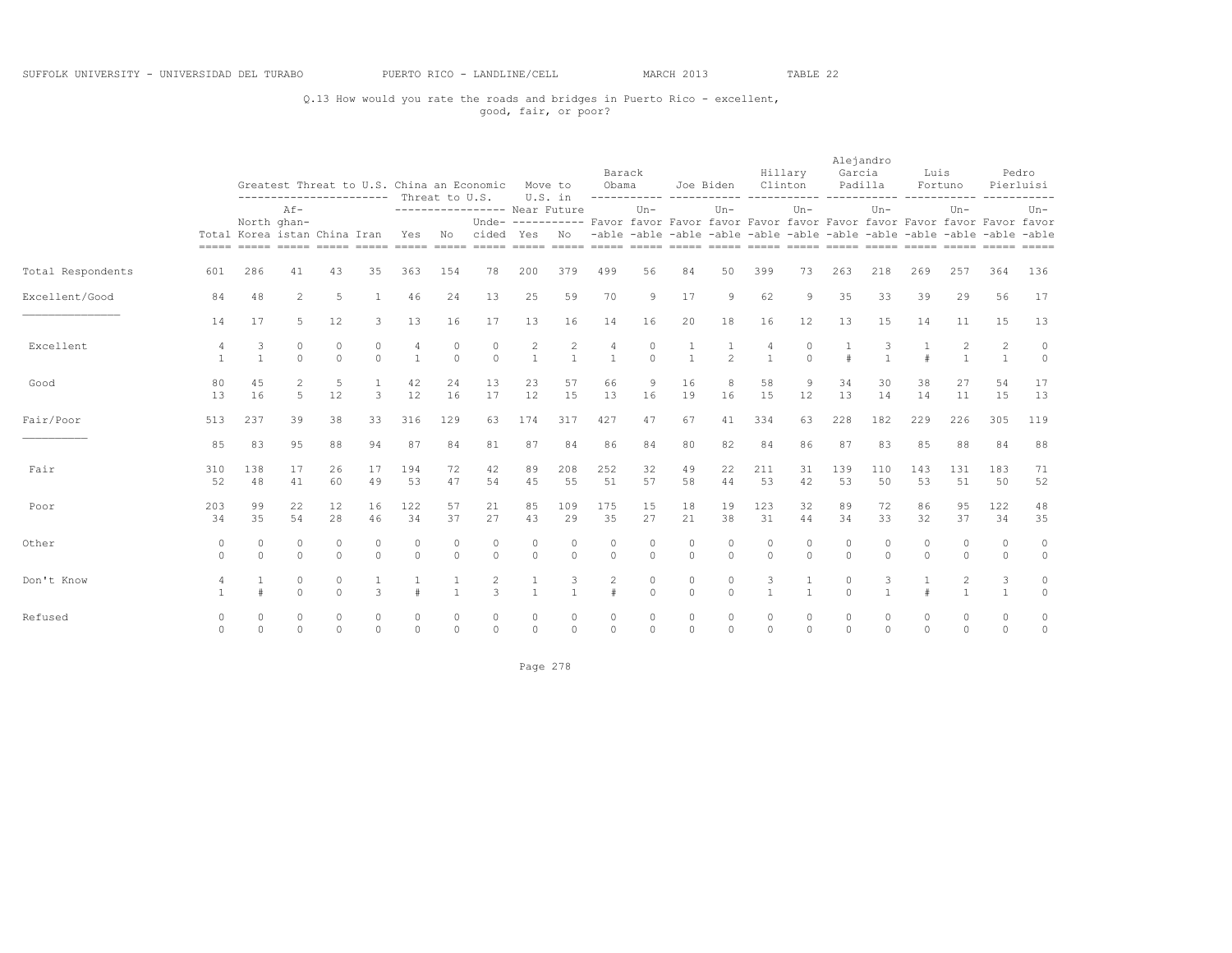### Q.13 How would you rate the roads and bridges in Puerto Rico - excellent, good, fair, or poor?

|                   |                      |                       |                                                                                  |                     |                      |                     |                      | Greatest Threat to U.S. China an Economic |                                | Move to             | Barack<br>Obama                                                                          |                   |                     | Joe Biden            |                     | Hillary<br>Clinton      | Garcia        | Alejandro<br>Padilla | Luis                                                                    | Fortuno<br>------------ |                                  | Pedro<br>Pierluisi |
|-------------------|----------------------|-----------------------|----------------------------------------------------------------------------------|---------------------|----------------------|---------------------|----------------------|-------------------------------------------|--------------------------------|---------------------|------------------------------------------------------------------------------------------|-------------------|---------------------|----------------------|---------------------|-------------------------|---------------|----------------------|-------------------------------------------------------------------------|-------------------------|----------------------------------|--------------------|
|                   |                      |                       | -----------------------<br>$Af -$<br>North ghan-<br>Total Korea istan China Iran |                     |                      |                     | Threat to U.S.       | ----------------- Near Future             |                                | U.S. in             | Unde- ---------- Favor favor Favor favor Favor favor Favor favor Favor favor Favor favor | $Un -$            |                     | $Un-$                |                     | $Un -$                  |               | $Un -$               |                                                                         | $Un -$                  |                                  | $Un -$             |
|                   |                      |                       |                                                                                  |                     |                      | Yes.                | No                   | cided                                     | Yes                            | No.                 |                                                                                          |                   |                     |                      |                     |                         |               |                      | -able -able -able -able -able -able -able -able -able -able -able -able |                         |                                  |                    |
| Total Respondents | 601                  | 286                   | 41                                                                               | 43                  | 35                   | 363                 | 154                  | 78                                        | 200                            | 379                 | 499                                                                                      | 56                | 84                  | 50                   | 399                 | 73                      | 263           | 218                  | 269                                                                     | 257                     | 364                              | 136                |
| Excellent/Good    | 84                   | 48                    | $\mathbf{2}$                                                                     | 5                   | 1                    | 46                  | 24                   | 13                                        | 25                             | 59                  | 70                                                                                       | 9                 | 17                  | 9                    | 62                  | 9                       | 35            | 33                   | 39                                                                      | 29                      | 56                               | 17                 |
|                   | 14                   | 17                    | 5                                                                                | 12                  | 3                    | 13                  | 16                   | 17                                        | 13                             | 16                  | 14                                                                                       | 16                | 20                  | 18                   | 16                  | 12                      | 13            | 15                   | 14                                                                      | 11                      | 15                               | 13                 |
| Excellent         | 4                    | 3<br>$\overline{1}$   | $\circ$<br>$\Omega$                                                              | $\circ$<br>$\Omega$ | $\circ$<br>$\Omega$  | 4<br>$\mathbf{1}$   | 0<br>$\Omega$        | $\circ$<br>$\Omega$                       | $\overline{c}$<br>$\mathbf{1}$ | 2<br>$\mathbf{1}$   | $\overline{4}$<br>$\mathbf{1}$                                                           | 0<br>$\Omega$     | $\overline{1}$      | $\mathfrak{D}$       | 4<br>$\mathbf{1}$   | $\mathbf 0$<br>$\Omega$ | $\pm$         | $\overline{1}$       | $\pm$                                                                   | 2<br>$\mathbf{1}$       | $\overline{c}$<br>$\overline{1}$ | $\circ$<br>$\circ$ |
| Good              | 80<br>13             | 45<br>16              | $\overline{2}$<br>5                                                              | 5<br>12             | 1<br>3               | 42<br>12            | 24<br>16             | 13<br>17                                  | 23<br>12                       | 57<br>15            | 66<br>13                                                                                 | 9<br>16           | 16<br>19            | 8<br>16              | 58<br>15            | 9<br>12                 | 34<br>13      | 30<br>14             | 38<br>14                                                                | 27<br>11                | 54<br>15                         | 17<br>13           |
| Fair/Poor         | 513                  | 237                   | 39                                                                               | 38                  | 33                   | 316                 | 129                  | 63                                        | 174                            | 317                 | 427                                                                                      | 47                | 67                  | 41                   | 334                 | 63                      | 228           | 182                  | 229                                                                     | 226                     | 305                              | 119                |
|                   | 85                   | 83                    | 95                                                                               | 88                  | 94                   | 87                  | 84                   | 81                                        | 87                             | 84                  | 86                                                                                       | 84                | 80                  | 82                   | 84                  | 86                      | 87            | 83                   | 85                                                                      | 88                      | 84                               | 88                 |
| Fair              | 310<br>52            | 138<br>48             | 17<br>41                                                                         | 26<br>60            | 17<br>49             | 194<br>53           | 72<br>47             | 42<br>54                                  | 89<br>45                       | 208<br>55           | 252<br>51                                                                                | 32<br>57          | 49<br>58            | 22<br>44             | 211<br>53           | 31<br>42                | 139<br>53     | 110<br>50            | 143<br>53                                                               | 131<br>51               | 183<br>50                        | 71<br>52           |
| Poor              | 203<br>34            | 99<br>35              | 22<br>54                                                                         | 12<br>28            | 16<br>46             | 122<br>34           | 57<br>37             | 21<br>27                                  | 85<br>43                       | 109<br>29           | 175<br>35                                                                                | 15<br>27          | 18<br>21            | 19<br>38             | 123<br>31           | 32<br>44                | 89<br>34      | 72<br>33             | 86<br>32                                                                | 95<br>37                | 122<br>34                        | 48<br>35           |
| Other             | $\circ$<br>$\Omega$  | $\bigcap$<br>$\Omega$ | $\Omega$<br>$\Omega$                                                             | $\circ$<br>$\Omega$ | $\theta$<br>$\Omega$ | 0<br>$\Omega$       | $\Omega$<br>$\Omega$ | $\circ$<br>$\Omega$                       | 0<br>$\Omega$                  | 0<br>$\Omega$       | $\Omega$<br>$\Omega$                                                                     | 0<br>$\Omega$     | $\circ$<br>$\Omega$ | $\Omega$<br>$\Omega$ | $\circ$<br>$\Omega$ | $\mathbf 0$<br>$\Omega$ | 0<br>$\Omega$ | $\Omega$<br>$\Omega$ | $\circ$<br>$\Omega$                                                     | $\circ$<br>$\circ$      | $\circ$<br>$\Omega$              | $\circ$<br>$\circ$ |
| Don't Know        |                      | #                     | 0<br>$\circ$                                                                     | $\circ$<br>$\Omega$ | 1<br>3               | $\pm$               | $\mathbf{1}$         | $\overline{c}$<br>$\mathcal{L}$           | 1<br>$\mathbf{1}$              | 3<br>$\overline{1}$ | 2<br>$\pm$                                                                               | 0<br>$\circ$      | $\circ$<br>$\circ$  | $\circ$<br>$\Omega$  | 3                   | 1<br>$\mathbf{1}$       | 0<br>$\Omega$ | 3<br>$\mathbf{1}$    | $\pm$                                                                   | 2<br>$\mathbf{1}$       | 3<br>$\overline{1}$              | $\circ$<br>$\circ$ |
| Refused           | $\Omega$<br>$\Omega$ | $\circ$<br>$\Omega$   | $\circ$<br>$\Omega$                                                              | $\circ$<br>$\Omega$ | $\circ$<br>$\circ$   | $\Omega$<br>$\circ$ | $\circ$<br>$\Omega$  | 0<br>$\circ$                              | 0<br>0                         | 0<br>$\Omega$       | $\Omega$<br>$\mathbf{0}$                                                                 | 0<br>$\mathbf{0}$ | 0<br>$\circ$        | 0<br>$\Omega$        | $\circ$<br>$\Omega$ | $\circ$<br>$\Omega$     | 0<br>$\Omega$ | $\Omega$<br>$\Omega$ | $\circ$<br>$\Omega$                                                     | 0<br>$\circ$            | 0<br>$\circ$                     | $\circ$<br>$\circ$ |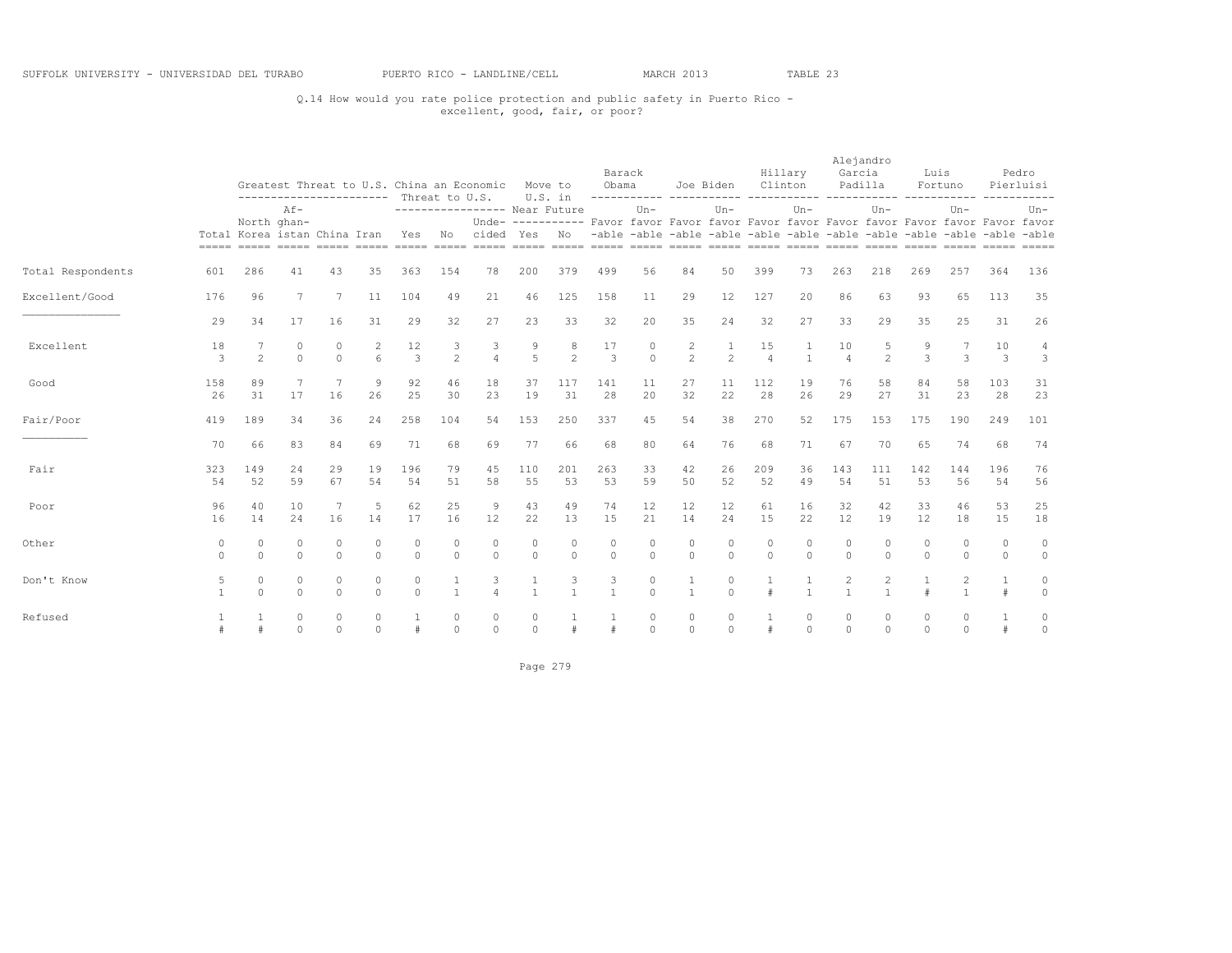### Q.14 How would you rate police protection and public safety in Puerto Rico - excellent, good, fair, or poor?

|                   |               |                              |                          |                      |                      | ----------------------- Threat to U.S. |                              | Greatest Threat to U.S. China an Economic | U.S. in             | Move to             | Barack<br>Obama     |                         |                                                                                          | Joe Biden           | Clinton              | Hillary       | Alejandro<br>Garcia<br>Padilla |                     | Luis                | Fortuno                        | -----------         | Pedro<br>Pierluisi |
|-------------------|---------------|------------------------------|--------------------------|----------------------|----------------------|----------------------------------------|------------------------------|-------------------------------------------|---------------------|---------------------|---------------------|-------------------------|------------------------------------------------------------------------------------------|---------------------|----------------------|---------------|--------------------------------|---------------------|---------------------|--------------------------------|---------------------|--------------------|
|                   |               | North ghan-                  | $Af -$                   |                      |                      |                                        |                              | ----------------- Near Future             |                     |                     |                     | $Un -$                  | Unde- ---------- Favor favor Favor favor Favor favor Favor favor Favor favor Favor favor | $Un -$              |                      | $Un-$         |                                | $Un -$              |                     | $Un -$                         |                     | $Un-$              |
|                   |               | Total Korea istan China Iran |                          |                      |                      | <b>Yes</b>                             | No.                          | cided                                     | Yes                 | No.                 |                     |                         | -able -able -able -able -able -able -able -able -able -able -able -able                  |                     |                      |               |                                |                     |                     |                                |                     |                    |
| Total Respondents | 601           | 286                          | 41                       | 43                   | 35                   | 363                                    | 154                          | 78                                        | 200                 | 379                 | 499                 | 56                      | 84                                                                                       | 50                  | 399                  | 73            | 263                            | 218                 | 269                 | 257                            | 364                 | 136                |
| Excellent/Good    | 176           | 96                           | 7                        | 7                    | 11                   | 104                                    | 49                           | 21                                        | 46                  | 125                 | 158                 | 11                      | 29                                                                                       | 12                  | 127                  | 20            | 86                             | 63                  | 93                  | 65                             | 113                 | 35                 |
|                   | 29            | 34                           | 17                       | 16                   | 31                   | 29                                     | 32                           | 27                                        | 23                  | 33                  | 32                  | 20                      | 35                                                                                       | 24                  | 32                   | 27            | 33                             | 29                  | 35                  | 25                             | 31                  | 26                 |
| Excellent         | 18<br>3       | $\mathfrak{D}$               | $\Omega$<br>$\Omega$     | 0<br>$\Omega$        | 2<br>6               | 12<br>3                                | 3<br>$\overline{c}$          | 3<br>$\Delta$                             | 9<br>$\overline{5}$ | 8<br>$\overline{2}$ | 17<br>3             | 0<br>$\cap$             | 2<br>$\overline{2}$                                                                      | 1<br>$\mathfrak{D}$ | 15<br>$\overline{4}$ | $\mathbf{1}$  | 10<br>$\Delta$                 | 5<br>$\mathfrak{D}$ | 9<br>3              | 7<br>3                         | 10<br>3             | 4<br>3             |
| Good              | 158<br>26     | 89<br>31                     | 7<br>17                  | $\overline{7}$<br>16 | 9<br>26              | 92<br>25                               | 46<br>30                     | 18<br>23                                  | 37<br>19            | 117<br>31           | 141<br>28           | 11<br>20                | 27<br>32                                                                                 | 11<br>22            | 112<br>28            | 19<br>26      | 76<br>29                       | 58<br>27            | 84<br>31            | 58<br>23                       | 103<br>28           | 31<br>23           |
| Fair/Poor         | 419           | 189                          | 34                       | 36                   | 24                   | 258                                    | 104                          | 54                                        | 153                 | 250                 | 337                 | 45                      | 54                                                                                       | 38                  | 270                  | 52            | 175                            | 153                 | 175                 | 190                            | 249                 | 101                |
|                   | 70            | 66                           | 83                       | 84                   | 69                   | 71                                     | 68                           | 69                                        | 77                  | 66                  | 68                  | 80                      | 64                                                                                       | 76                  | 68                   | 71            | 67                             | 70                  | 65                  | 74                             | 68                  | 74                 |
| Fair              | 323<br>54     | 149<br>52                    | 24<br>59                 | 29<br>67             | 19<br>54             | 196<br>54                              | 79<br>51                     | 45<br>58                                  | 110<br>55           | 201<br>53           | 263<br>53           | 33<br>59                | 42<br>50                                                                                 | 26<br>52            | 209<br>52            | 36<br>49      | 143<br>54                      | 111<br>51           | 142<br>53           | 144<br>56                      | 196<br>54           | 76<br>56           |
| Poor              | 96<br>16      | 40<br>14                     | 10<br>24                 | 16                   | 5<br>14              | 62<br>17                               | 25<br>16                     | 9<br>12                                   | 43<br>22            | 49<br>13            | 74<br>15            | 12<br>21                | 12<br>14                                                                                 | 12<br>24            | 61<br>15             | 16<br>22      | 32<br>12                       | 42<br>19            | 33<br>12            | 46<br>18                       | 53<br>15            | 25<br>18           |
| Other             | 0<br>$\Omega$ | $\mathbf 0$<br>$\Omega$      | $\Omega$<br>$\Omega$     | $\circ$<br>$\Omega$  | $\Omega$<br>$\Omega$ | $\mathbf 0$<br>$\Omega$                | $\mathbf 0$<br>$\Omega$      | $\circ$<br>$\Omega$                       | $\circ$<br>$\Omega$ | 0<br>$\Omega$       | 0<br>$\Omega$       | $\mathbf 0$<br>$\Omega$ | $\Omega$<br>$\Omega$                                                                     | 0<br>$\Omega$       | $\theta$<br>$\Omega$ | 0<br>$\Omega$ | $\Omega$                       | 0<br>$\Omega$       | $\circ$<br>$\Omega$ | $\circ$<br>$\circ$             | $\circ$<br>$\Omega$ | $\circ$<br>$\circ$ |
| Don't Know        | 5             | $\circ$<br>$\Omega$          | $\Omega$<br>$\Omega$     | $\circ$<br>$\circ$   | $\Omega$<br>$\Omega$ | $\mathbf 0$<br>$\Omega$                | $\mathbf{1}$<br>$\mathbf{1}$ | 3<br>$\overline{a}$                       | $\overline{1}$      | $\mathbf{1}$        | 3<br>$\overline{1}$ | 0<br>$\Omega$           | 1<br>$\mathbf{1}$                                                                        | 0<br>$\Omega$       | #                    | $\mathbf{1}$  | $\mathbf{1}$                   | 2<br>$\mathbf{1}$   | $\pm$               | $\overline{c}$<br>$\mathbf{1}$ | $\mathbf{1}$<br>#   | $\circ$<br>$\circ$ |
| Refused           |               |                              | $\mathbf{0}$<br>$\Omega$ | $\circ$<br>$\Omega$  | $\circ$<br>$\Omega$  |                                        | $\circ$<br>$\Omega$          | $\circ$<br>$\Omega$                       | $\circ$<br>$\Omega$ | #                   |                     | $\circ$<br>$\circ$      | $\circ$<br>$\Omega$                                                                      | $\circ$<br>$\Omega$ | #                    | 0<br>$\Omega$ | 0<br>$\Omega$                  | 0<br>$\circ$        | 0<br>$\Omega$       | $\circ$<br>$\Omega$            | $\frac{1}{2}$       | $\circ$<br>$\circ$ |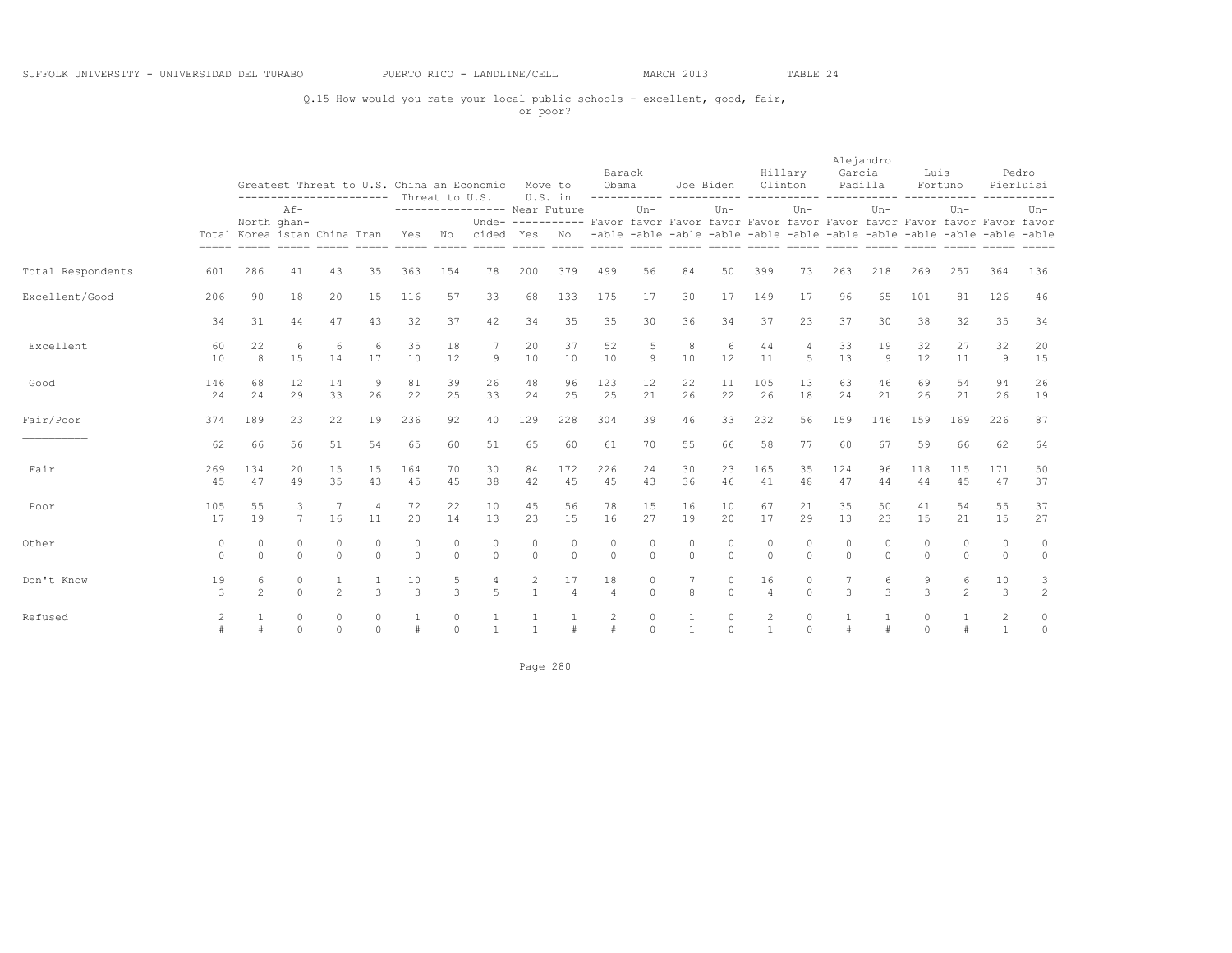### Q.15 How would you rate your local public schools - excellent, good, fair, or poor?

|                   |                     |                                                                                  |                     |                               |                        |                  | Threat to U.S.         | Greatest Threat to U.S. China an Economic |                                | Move to<br>U.S. in   | Barack<br>Obama                                                                          |                     |                    | Joe Biden<br>----------- ----------- ----- |                      | Hillary<br>Clinton  | Garcia              | Alejandro<br>Padilla | Luis               | Fortuno<br>------------                                                 |                                  | Pedro<br>Pierluisi  |
|-------------------|---------------------|----------------------------------------------------------------------------------|---------------------|-------------------------------|------------------------|------------------|------------------------|-------------------------------------------|--------------------------------|----------------------|------------------------------------------------------------------------------------------|---------------------|--------------------|--------------------------------------------|----------------------|---------------------|---------------------|----------------------|--------------------|-------------------------------------------------------------------------|----------------------------------|---------------------|
|                   |                     | -----------------------<br>$Af -$<br>North ghan-<br>Total Korea istan China Iran |                     |                               |                        |                  |                        | ---------------- Near Future              |                                |                      | Unde- ---------- Favor favor Favor favor Favor favor Favor favor Favor favor Favor favor | $Un-$               |                    | $Un-$                                      |                      | $Un -$              |                     | $Un -$               |                    | $Un -$                                                                  |                                  | $Un-$               |
|                   |                     |                                                                                  |                     |                               |                        | Yes              | No                     | cided                                     | Yes                            | No                   |                                                                                          |                     |                    |                                            |                      |                     |                     |                      |                    | -able -able -able -able -able -able -able -able -able -able -able -able |                                  |                     |
| Total Respondents | 601                 | 286                                                                              | 41                  | 43                            | 35                     | 363              | 154                    | 78                                        | 200                            | 379                  | 499                                                                                      | 56                  | 84                 | 50                                         | 399                  | 73                  | 263                 | 218                  | 269                | 257                                                                     | 364                              | 136                 |
| Excellent/Good    | 206                 | 90                                                                               | 18                  | 20                            | 15                     | 116              | 57                     | 33                                        | 68                             | 133                  | 175                                                                                      | 17                  | 30                 | 17                                         | 149                  | 17                  | 96                  | 65                   | 101                | 81                                                                      | 126                              | 46                  |
|                   | 34                  | 31                                                                               | 44                  | 47                            | 43                     | 32               | 37                     | 42                                        | 34                             | 35                   | 35                                                                                       | 30                  | 36                 | 34                                         | 37                   | 23                  | 37                  | 30                   | 38                 | 32                                                                      | 35                               | 34                  |
| Excellent         | 60<br>10            | 22<br>8                                                                          | 6<br>15             | 6<br>14                       | 6<br>17                | 35<br>10         | 18<br>12               | 7<br>9                                    | 20<br>10                       | 37<br>10             | 52<br>10                                                                                 | 5<br>9              | 8<br>10            | 6<br>12                                    | 44<br>11             | $\overline{4}$<br>5 | 33<br>13            | 19<br>9              | 32<br>12           | 27<br>11                                                                | 32<br>9                          | 20<br>15            |
| Good              | 146<br>24           | 68<br>24                                                                         | 12<br>29            | 14<br>33                      | 9<br>26                | 81<br>22         | 39<br>25               | 26<br>33                                  | 48<br>24                       | 96<br>25             | 123<br>25                                                                                | 12<br>21            | 22<br>26           | 11<br>22                                   | 105<br>26            | 13<br>18            | 63<br>24            | 46<br>21             | 69<br>26           | 54<br>21                                                                | 94<br>26                         | 26<br>19            |
| Fair/Poor         | 374                 | 189                                                                              | 23                  | 22                            | 19                     | 236              | 92                     | 40                                        | 129                            | 228                  | 304                                                                                      | 39                  | 46                 | 33                                         | 232                  | 56                  | 159                 | 146                  | 159                | 169                                                                     | 226                              | 87                  |
|                   | 62                  | 66                                                                               | 56                  | 51                            | 54                     | 65               | 60                     | 51                                        | 65                             | 60                   | 61                                                                                       | 70                  | 55                 | 66                                         | 58                   | 77                  | 60                  | 67                   | 59                 | 66                                                                      | 62                               | 64                  |
| Fair              | 269<br>45           | 134<br>47                                                                        | 20<br>49            | 15<br>35                      | 15<br>43               | 164<br>45        | 70<br>45               | 30<br>38                                  | 84<br>42                       | 172<br>45            | 226<br>45                                                                                | 24<br>43            | 30<br>36           | 23<br>46                                   | 165<br>41            | 35<br>48            | 124<br>47           | 96<br>44             | 118<br>44          | 115<br>45                                                               | 171<br>47                        | 50<br>37            |
| Poor              | 105<br>17           | 55<br>19                                                                         | 3<br>$7^{\circ}$    | $\overline{7}$<br>16          | $\overline{4}$<br>11   | 72<br>20         | 22<br>14               | 10<br>13                                  | 45<br>23                       | 56<br>15             | 78<br>16                                                                                 | 15<br>27            | 16<br>19           | 10<br>20                                   | 67<br>17             | 21<br>29            | 35<br>13            | 50<br>23             | 41<br>15           | 54<br>21                                                                | 55<br>15                         | 37<br>27            |
| Other             | $\circ$<br>$\Omega$ | $\mathbf{0}$<br>$\circ$                                                          | $\circ$<br>$\circ$  | $\circ$<br>$\circ$            | $\mathbf 0$<br>$\circ$ | 0<br>$\mathbf 0$ | $\mathbf 0$<br>$\circ$ | $\circ$<br>$\circ$                        | $\circ$<br>$\circ$             | $\circ$<br>$\circ$   | $\mathbf 0$<br>$\circ$                                                                   | $\Omega$<br>$\circ$ | $\circ$<br>$\circ$ | $\circ$<br>$\circ$                         | $\circ$<br>$\circ$   | 0<br>$\circ$        | $\Omega$<br>$\circ$ | $\Omega$<br>$\circ$  | $\circ$<br>$\circ$ | $\circ$<br>$\circ$                                                      | $\circ$<br>$\mathbf{0}$          | $\circ$<br>$\circ$  |
| Don't Know        | 19<br>3             | 6<br>$\mathfrak{D}$                                                              | $\circ$<br>$\Omega$ | $\mathbf{1}$<br>$\mathcal{L}$ | $\mathbf{1}$<br>3      | 10<br>3          | 5<br>3                 | 4<br>$\overline{5}$                       | $\overline{c}$<br>$\mathbf{1}$ | 17<br>$\overline{4}$ | 18<br>$\overline{4}$                                                                     | 0<br>$\Omega$       | 8                  | $\circ$<br>$\Omega$                        | 16<br>$\overline{4}$ | $\circ$<br>$\Omega$ | 3                   | 6<br>3               | 9<br>3             | 6<br>$\mathfrak{D}$                                                     | 10<br>3                          | 3<br>$\overline{c}$ |
| Refused           | 2                   | #                                                                                | $\circ$<br>$\Omega$ | $\circ$<br>$\circ$            | $\circ$<br>$\circ$     | #                | 0<br>$\Omega$          | $\mathbf{1}$                              | $\mathbf{1}$                   | $\#$                 | $\overline{c}$<br>$\pm$                                                                  | $\circ$<br>$\circ$  | $\overline{1}$     | $\circ$<br>$\Omega$                        | 2<br>$\mathbf{1}$    | $\circ$<br>$\circ$  | $\#$                |                      | 0<br>$\circ$       | $\#$                                                                    | $\overline{2}$<br>$\overline{1}$ | $\circ$<br>$\circ$  |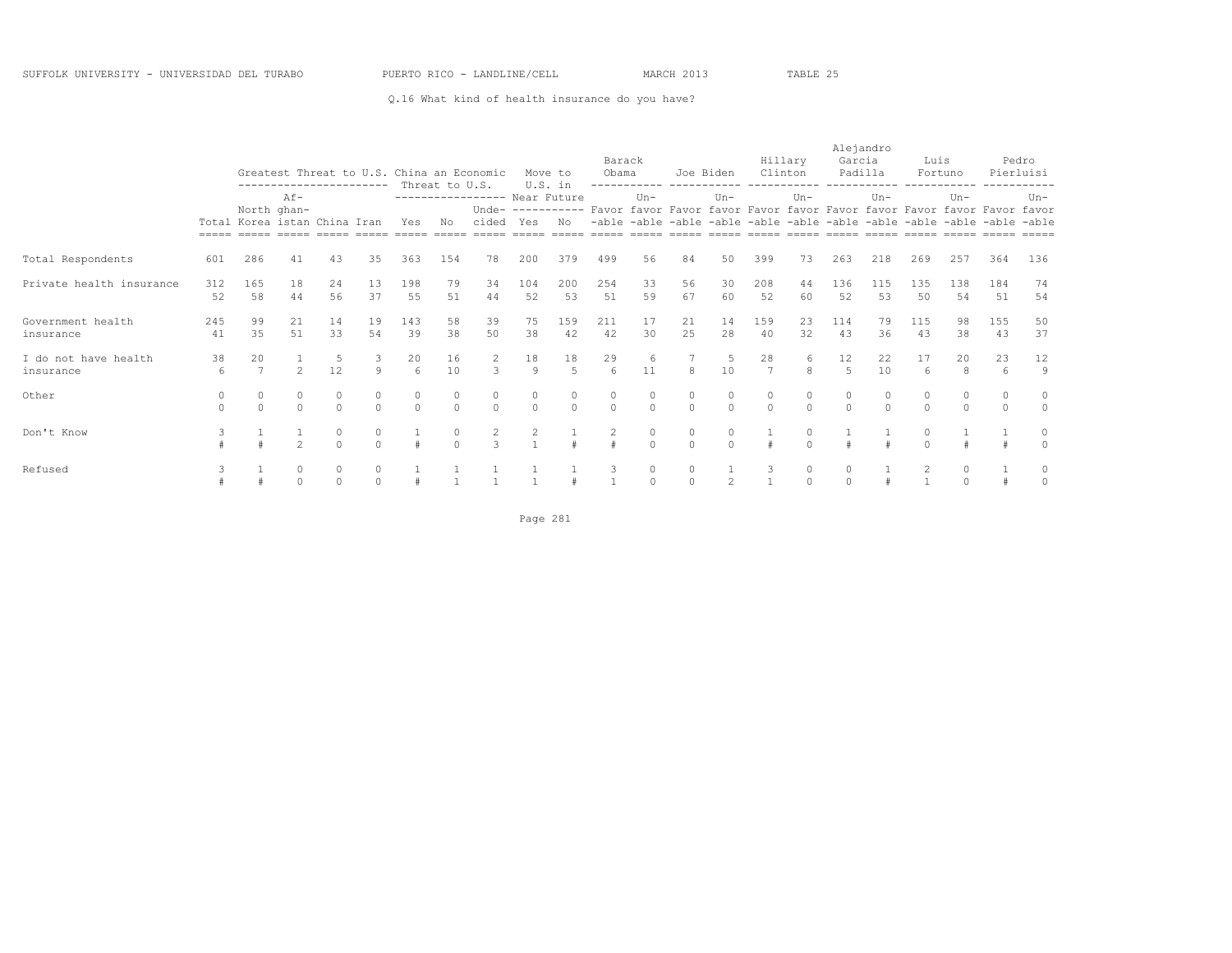### Q.16 What kind of health insurance do you have?

|                          |          |                |                                                                            |          |               |          |                |                              |                | Move to             | Barack<br>Obama                                                                          |          |          | Joe Biden     | Clinton      | Hillary  | Alejandro<br>Garcia | Padilla  | Luis     | Fortuno                                                                 |          | Pedro<br>Pierluisi |
|--------------------------|----------|----------------|----------------------------------------------------------------------------|----------|---------------|----------|----------------|------------------------------|----------------|---------------------|------------------------------------------------------------------------------------------|----------|----------|---------------|--------------|----------|---------------------|----------|----------|-------------------------------------------------------------------------|----------|--------------------|
|                          |          |                | Greatest Threat to U.S. China an Economic<br>-------------------<br>$Af -$ |          |               |          | Threat to U.S. |                              |                | U.S. in             |                                                                                          |          |          |               |              |          |                     |          |          |                                                                         |          |                    |
|                          |          |                | North ghan-<br>Total Korea istan China Iran                                |          |               |          |                | ---------------- Near Future |                |                     |                                                                                          | $Un -$   |          | $Un -$        |              | $Un-$    |                     | $Un -$   |          | $Un -$                                                                  |          | $Un-$              |
|                          |          |                |                                                                            |          |               |          |                |                              |                |                     | Unde- ---------- Favor favor Favor favor Favor favor Favor favor Favor favor Favor favor |          |          |               |              |          |                     |          |          |                                                                         |          |                    |
|                          |          |                |                                                                            |          |               | Yes      | No             | cided Yes                    |                | No                  |                                                                                          |          |          |               |              |          |                     |          |          | -able -able -able -able -able -able -able -able -able -able -able -able |          |                    |
|                          |          |                |                                                                            |          |               | $=====$  | $=====$        | $=====$                      |                | $=$ $=$ $=$ $=$ $=$ | $=$ $=$ $=$ $=$ $=$                                                                      | $=====$  |          |               |              |          |                     |          |          | socco cosos ocoso cosos cosos cosos cosos cosos cosos                   |          | $= = = = = =$      |
| Total Respondents        | 601      | 286            | 41                                                                         | 43       | 35            | 363      | 154            | 78                           | 200            | 379                 | 499                                                                                      | 56       | 84       | 50            | 399          | 73       | 263                 | 218      | 269      | 257                                                                     | 364      | 136                |
| Private health insurance | 312      | 165            | 18                                                                         | 24       | 13            | 198      | 79             | 34                           | 104            | 200                 | 254                                                                                      | 33       | 56       | 30            | 208          | 44       | 136                 | 115      | 135      | 138                                                                     | 184      | 74                 |
|                          | 52       | 58             | 44                                                                         | 56       | 37            | 55       | 51             | 44                           | 52             | 53                  | 51                                                                                       | 59       | 67       | 60            | 52           | 60       | 52                  | 53       | 50       | 54                                                                      | 51       | 54                 |
| Government health        | 245      | 99             | 21                                                                         | 14       | 19            | 143      | 58             | 39                           | 75             | 159                 | 211                                                                                      | 17       | 21       | 14            | 159          | 23       | 114                 | 79       | 115      | 98                                                                      | 155      | 50                 |
| insurance                | 41       | 35             | 51                                                                         | 33       | 54            | 39       | 38             | 50                           | 38             | 42                  | 42                                                                                       | 30       | 25       | 28            | 40           | 32       | 43                  | 36       | 43       | 38                                                                      | 43       | 37                 |
| I do not have health     | 38       | 20             |                                                                            | 5        | 3             | 20       | 16             | 2                            | 18             | 18                  | 29                                                                                       | 6        |          |               | 28           | 6        | 12                  | 22       | 17       | 20                                                                      | 23       | 12                 |
| insurance                | 6        | $\overline{7}$ | $\overline{c}$                                                             | 12       | 9             | 6        | 10             | 3                            | $\overline{9}$ | 5                   | $6 \overline{6}$                                                                         | 11       | 8        | 10            | 7            | 8        | $\overline{5}$      | 10       | 6        | 8                                                                       | 6        | 9                  |
| Other                    |          | $\Omega$       | $\circ$                                                                    | $\Omega$ | $\Omega$      | $\circ$  | 0              | $\circ$                      | $\circ$        | $\Omega$            | $\circ$                                                                                  | $\circ$  | $\circ$  | $\bigcap$     | $\circ$      |          |                     | $\circ$  | $\Omega$ | $\circ$                                                                 | $\circ$  | 0                  |
|                          | $\Omega$ | $\Omega$       | $\Omega$                                                                   | $\Omega$ | $\Omega$      | $\Omega$ | $\Omega$       | $\circ$                      | $\Omega$       | $\Omega$            | $\Omega$                                                                                 | $\Omega$ | $\Omega$ | $\Omega$      | $\Omega$     | $\Omega$ | $\Omega$            | $\Omega$ | $\Omega$ | $\Omega$                                                                | $\Omega$ | $\circ$            |
| Don't Know               |          |                |                                                                            | 0        | $\mathcal{O}$ |          | $\circ$        | $\overline{2}$               | 2              |                     | 2                                                                                        | $\circ$  | $\circ$  | $\Omega$      |              |          |                     |          | $\Omega$ |                                                                         |          | 0                  |
|                          |          |                | $\mathfrak{D}$                                                             | $\Omega$ | $\cap$        |          | $\Omega$       | 3                            |                |                     | #                                                                                        | $\Omega$ | $\Omega$ | $\Omega$      |              | $\cap$   |                     |          | $\Omega$ |                                                                         |          |                    |
| Refused                  | 3        |                | $\circ$                                                                    | 0        | $\circ$       |          |                |                              |                |                     | 3                                                                                        | $\circ$  | 0        |               | 3            | 0        |                     |          | 2        | 0                                                                       |          |                    |
|                          |          |                | $\Omega$                                                                   | $\Omega$ | $\Omega$      |          |                |                              |                |                     |                                                                                          | $\Omega$ | $\Omega$ | $\mathcal{L}$ | $\mathbf{1}$ | $\Omega$ | $\cap$              |          |          | $\Omega$                                                                |          |                    |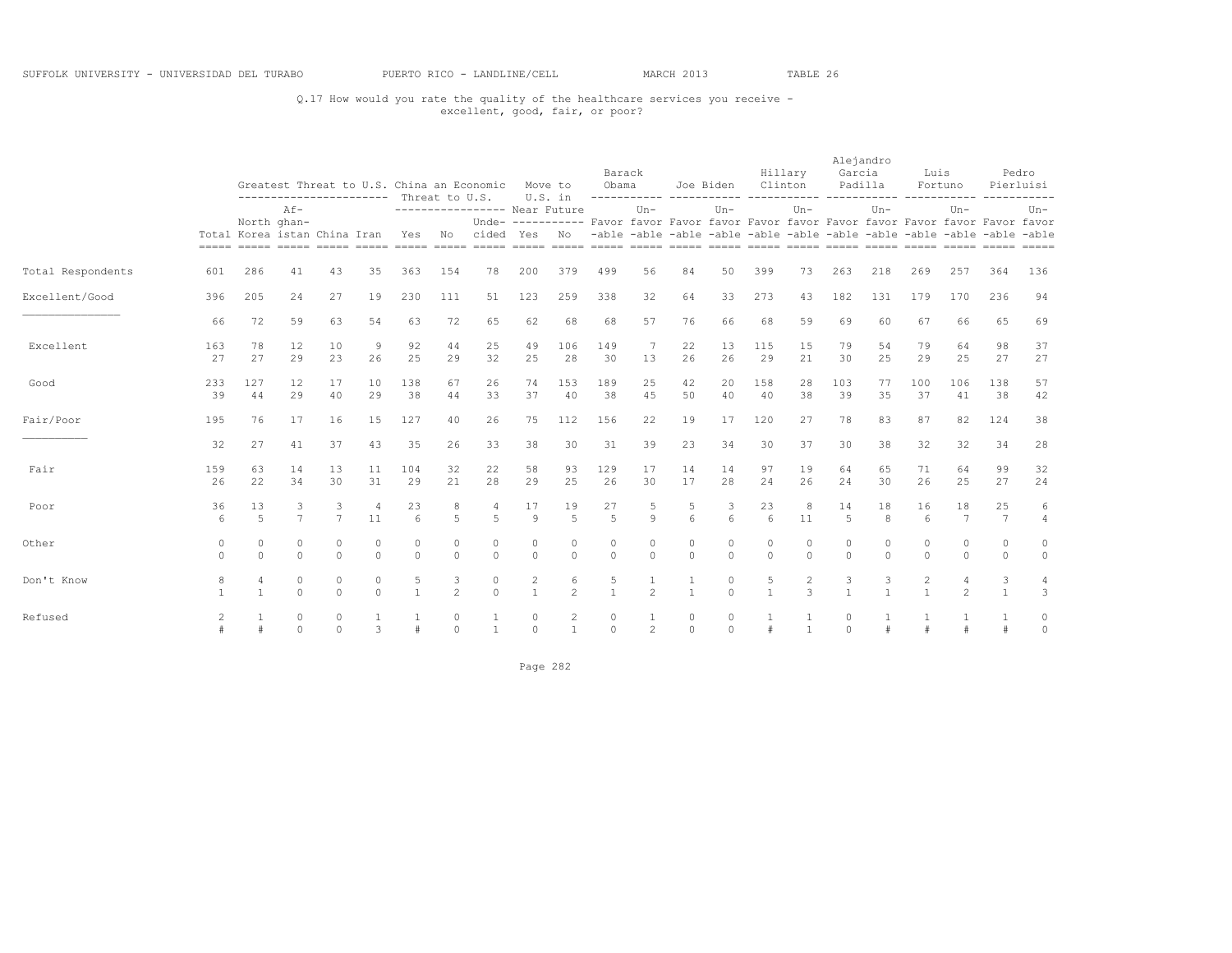### Q.17 How would you rate the quality of the healthcare services you receive - excellent, good, fair, or poor?

|                   |               |                                  |                      |                      |                     | ---------------------- Threat to U.S. |                     | Greatest Threat to U.S. China an Economic | U.S. in                        | Move to                        | Barack<br>Obama      |                         |                       | Joe Biden           | Clinton                | Hillary                         | Alejandro<br>Garcia  | Padilla             | Luis               | Fortuno                                                                                            | -----------              | Pedro<br>Pierluisi  |
|-------------------|---------------|----------------------------------|----------------------|----------------------|---------------------|---------------------------------------|---------------------|-------------------------------------------|--------------------------------|--------------------------------|----------------------|-------------------------|-----------------------|---------------------|------------------------|---------------------------------|----------------------|---------------------|--------------------|----------------------------------------------------------------------------------------------------|--------------------------|---------------------|
|                   |               | North ghan-                      | $Af -$               |                      |                     |                                       |                     | ---------------- Near Future              |                                |                                |                      | $Un -$                  |                       | $Un -$              |                        | $Un -$                          |                      | $Un -$              |                    | $Un -$<br>Unde- ---------- Favor favor Favor favor Favor favor Favor favor Favor favor Favor favor |                          | $Un-$               |
|                   |               | Total Korea istan China Iran     |                      |                      |                     | Yes                                   | No                  | cided Yes                                 |                                | No                             |                      |                         |                       |                     |                        |                                 |                      |                     |                    | -able -able -able -able -able -able -able -able -able -able -able -able                            |                          |                     |
| Total Respondents | 601           | 286                              | 41                   | 43                   | 35                  | 363                                   | 154                 | 78                                        | 200                            | 379                            | 499                  | 56                      | 84                    | 50                  | 399                    | 73                              | 263                  | 218                 | 269                | 257                                                                                                | 364                      | 136                 |
| Excellent/Good    | 396           | 205                              | 24                   | 27                   | 19                  | 230                                   | 111                 | 51                                        | 123                            | 259                            | 338                  | 32                      | 64                    | 33                  | 273                    | 43                              | 182                  | 131                 | 179                | 170                                                                                                | 236                      | 94                  |
|                   | 66            | 72                               | 59                   | 63                   | 54                  | 63                                    | 72                  | 65                                        | 62                             | 68                             | 68                   | 57                      | 76                    | 66                  | 68                     | 59                              | 69                   | 60                  | 67                 | 66                                                                                                 | 65                       | 69                  |
| Excellent         | 163<br>27     | 78<br>27                         | 12<br>29             | 10<br>23             | 9<br>26             | 92<br>25                              | 44<br>29            | 25<br>32                                  | 49<br>25                       | 106<br>28                      | 149<br>30            | 7<br>13                 | 22<br>26              | 13<br>26            | 115<br>29              | 15<br>21                        | 79<br>30             | 54<br>25            | 79<br>29           | 64<br>25                                                                                           | 98<br>27                 | 37<br>27            |
| Good              | 233<br>39     | 127<br>44                        | 12<br>29             | 17<br>40             | 10<br>29            | 138<br>38                             | 67<br>44            | 26<br>33                                  | 74<br>37                       | 153<br>40                      | 189<br>38            | 25<br>4.5               | 42<br>50              | 20<br>40            | 158<br>40              | 28<br>38                        | 103<br>39            | 77<br>35            | 100<br>37          | 106<br>41                                                                                          | 138<br>38                | 57<br>42            |
| Fair/Poor         | 195           | 76                               | 17                   | 16                   | 15                  | 127                                   | 40                  | 26                                        | 75                             | 112                            | 156                  | 22                      | 19                    | 17                  | 120                    | 27                              | 78                   | 83                  | 87                 | 82                                                                                                 | 124                      | 38                  |
|                   | 32            | 27                               | 41                   | 37                   | 43                  | 35                                    | 26                  | 33                                        | 38                             | 30                             | 31                   | 39                      | 23                    | 34                  | 30                     | 37                              | 30                   | 38                  | 32                 | 32                                                                                                 | 34                       | 28                  |
| Fair              | 159<br>26     | 63<br>22                         | 14<br>34             | 13<br>30             | 11<br>31            | 104<br>29                             | 32<br>21            | 22<br>28                                  | 58<br>29                       | 93<br>25                       | 129<br>26            | 17<br>30                | 14<br>17              | 14<br>28            | 97<br>24               | 19<br>26                        | 64<br>24             | 65<br>30            | 71<br>26           | 64<br>25                                                                                           | 99<br>27                 | 32<br>24            |
| Poor              | 36<br>6       | 13<br>$\overline{5}$             | 3<br>$\overline{7}$  | 3<br>$\overline{7}$  | 11                  | 23<br>6                               | 8<br>5              | 4<br>5                                    | 17<br>$\circ$                  | 19<br>5                        | 27<br>$\overline{5}$ | 5<br>$\mathcal{Q}$      | 5<br>$6 \overline{6}$ | 3<br>6              | 23<br>$6 \overline{6}$ | 8<br>11                         | 14<br>$\overline{5}$ | 18<br>8             | 16<br>6            | 18<br>7                                                                                            | 25<br>$\overline{7}$     | 6<br>$\overline{4}$ |
| Other             | 0<br>$\Omega$ | $\Omega$<br>$\Omega$             | $\Omega$<br>$\Omega$ | $\Omega$<br>$\Omega$ | 0<br>$\Omega$       | 0<br>$\Omega$                         | $\circ$<br>$\Omega$ | $\circ$<br>$\Omega$                       | 0<br>$\circ$                   | $\Omega$<br>$\Omega$           | 0<br>$\Omega$        | $\mathbf 0$<br>$\Omega$ | 0<br>$\Omega$         | $\circ$<br>$\Omega$ | $\theta$<br>$\Omega$   | $\Omega$<br>$\Omega$            | 0<br>$\Omega$        | $\circ$<br>$\Omega$ | $\cap$<br>$\Omega$ | $\circ$<br>$\circ$                                                                                 | $\mathbf{0}$<br>$\Omega$ | 0<br>$\circ$        |
| Don't Know        | 8             | $\overline{4}$<br>$\overline{1}$ | $\circ$<br>$\Omega$  | $\circ$<br>$\Omega$  | $\circ$<br>$\Omega$ | 5<br>$\mathbf{1}$                     | 3<br>$\overline{c}$ | $\circ$<br>$\Omega$                       | $\overline{c}$<br>$\mathbf{1}$ | 6<br>$\overline{2}$            | 5<br>$\mathbf{1}$    | $\overline{2}$          | $\mathbf{1}$          | $\circ$<br>$\Omega$ | 5<br>$\overline{1}$    | $\overline{c}$<br>$\mathcal{L}$ |                      | 3<br>$\overline{1}$ | 2<br>$\mathbf{1}$  | $\overline{4}$<br>$\overline{2}$                                                                   | 3<br>$\overline{1}$      | 4<br>3              |
| Refused           | 2             |                                  | $\circ$<br>$\Omega$  | $\circ$<br>$\Omega$  | 3                   | #                                     | $\circ$<br>$\Omega$ | 1<br>$\overline{1}$                       | $\circ$<br>$\Omega$            | $\overline{c}$<br>$\mathbf{1}$ | 0<br>$\Omega$        | 1<br>2                  | 0<br>$\Omega$         | $\circ$<br>$\Omega$ |                        | $\mathbf{1}$                    | $\Omega$             | $\pm$               |                    |                                                                                                    |                          | $\circ$<br>$\circ$  |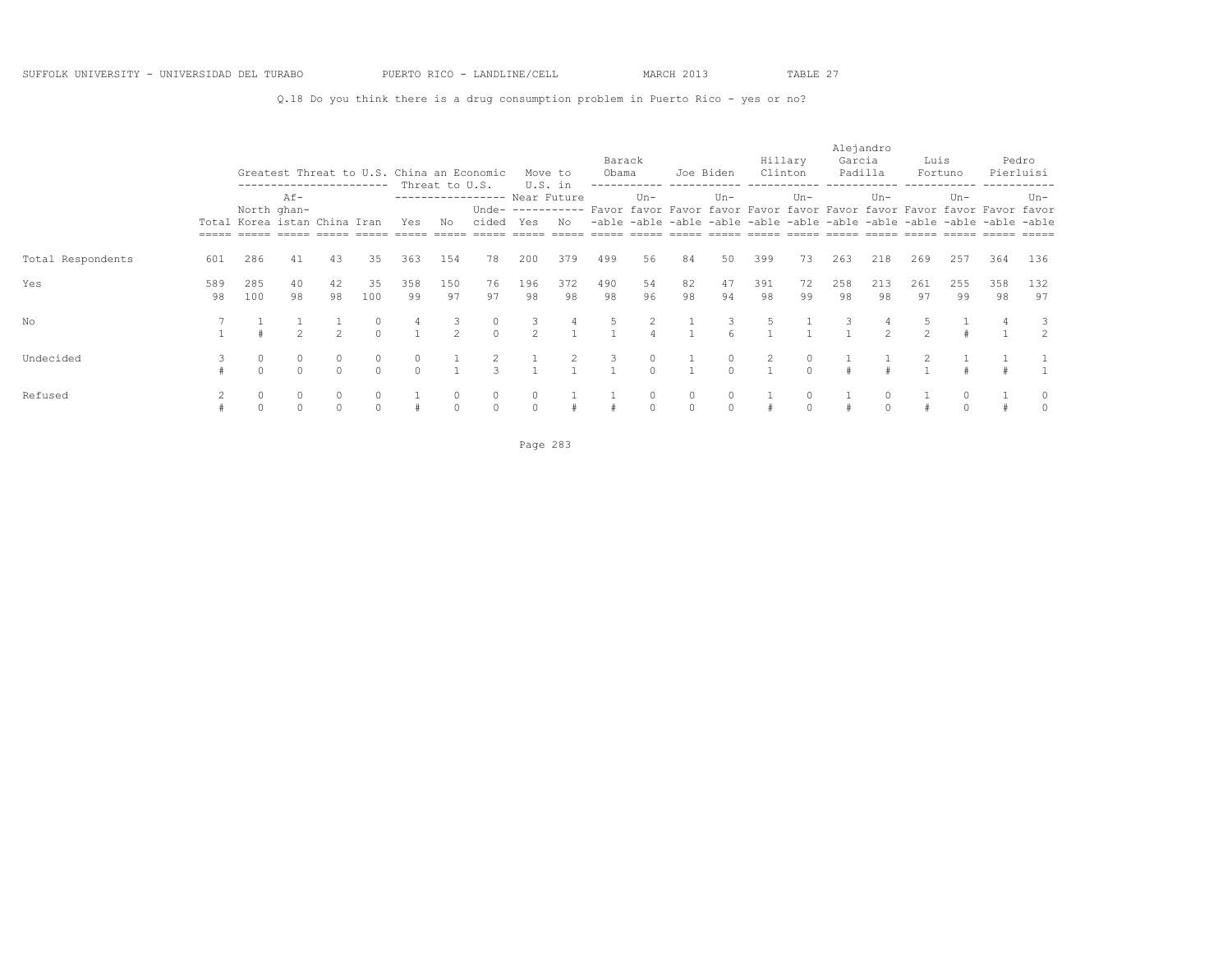Q.18 Do you think there is a drug consumption problem in Puerto Rico - yes or no?

|                   |           |                              |                     | ------------------------ |                   |                         |                    | Greatest Threat to U.S. China an Economic |                    | Move to   | Barack<br>Obama |                     | Joe Biden     |                   | Clinton   | Hillary  | Alejandro<br>Garcia | Padilla             | Luis               | Fortuno                                                                                            |           | Pedro<br>Pierluisi |
|-------------------|-----------|------------------------------|---------------------|--------------------------|-------------------|-------------------------|--------------------|-------------------------------------------|--------------------|-----------|-----------------|---------------------|---------------|-------------------|-----------|----------|---------------------|---------------------|--------------------|----------------------------------------------------------------------------------------------------|-----------|--------------------|
|                   |           | North ghan-                  | $Af -$              |                          |                   |                         | Threat to U.S.     | ---------------- Near Future              |                    | U.S. in   |                 | $Un -$              |               | $Un-$             |           | $Un-$    |                     | $Un -$              |                    | $Un -$<br>Unde- ---------- Favor favor Favor favor Favor favor Favor favor Favor favor Favor favor |           | Un-                |
|                   |           | Total Korea istan China Iran |                     |                          |                   | Yes                     | No                 | cided Yes                                 |                    | No        |                 |                     |               |                   |           |          |                     |                     |                    | -able -able -able -able -able -able -able -able -able -able -able -able                            |           | $=====$            |
| Total Respondents | 601       | 286                          | 41                  | 43                       | 35                | 363                     | 154                | 78                                        | 200                | 379       | 499             | 56                  | 84            | 50                | 399       | 73       | 263                 | 218                 | 269                | 257                                                                                                | 364       | 136                |
| Yes               | 589<br>98 | 285<br>100                   | 40<br>98            | 42<br>98                 | 35<br>100         | 358<br>99               | 150<br>97          | 76<br>97                                  | 196<br>98          | 372<br>98 | 490<br>98       | 54<br>96            | 82<br>98      | 47<br>94          | 391<br>98 | 72<br>99 | 258<br>98           | 213<br>98           | 261<br>97          | 255<br>99                                                                                          | 358<br>98 | 132<br>97          |
| No                |           |                              | $\mathfrak{D}$      | $\mathcal{P}$            | $\cap$            | 4                       | 3<br>$\mathcal{P}$ | $\circ$<br>$\cap$                         | 3<br>$\mathcal{P}$ |           |                 |                     |               | 3                 | 5         |          |                     | $\mathcal{P}$       | 5<br>$\mathcal{P}$ |                                                                                                    |           | 3.<br>$2^{1}$      |
| Undecided         |           | $\circ$<br>$\Omega$          | $\circ$<br>$\cap$   | $\Omega$<br>$\cap$       | $\circ$<br>$\cap$ | $\mathbf 0$<br>$\Omega$ |                    | $\mathcal{L}$                             |                    |           | 3               | 0<br>$\Omega$       |               | $\circ$<br>$\cap$ | 2         | 0        |                     |                     |                    |                                                                                                    |           |                    |
| Refused           |           | $\circ$<br>$\Omega$          | $\circ$<br>$\Omega$ |                          | $\bigcap$         |                         |                    | $\circ$<br>$\Omega$                       | $\Omega$           |           |                 | $\circ$<br>$\Omega$ | 0<br>$\Omega$ |                   |           |          |                     | $\circ$<br>$\Omega$ |                    |                                                                                                    |           |                    |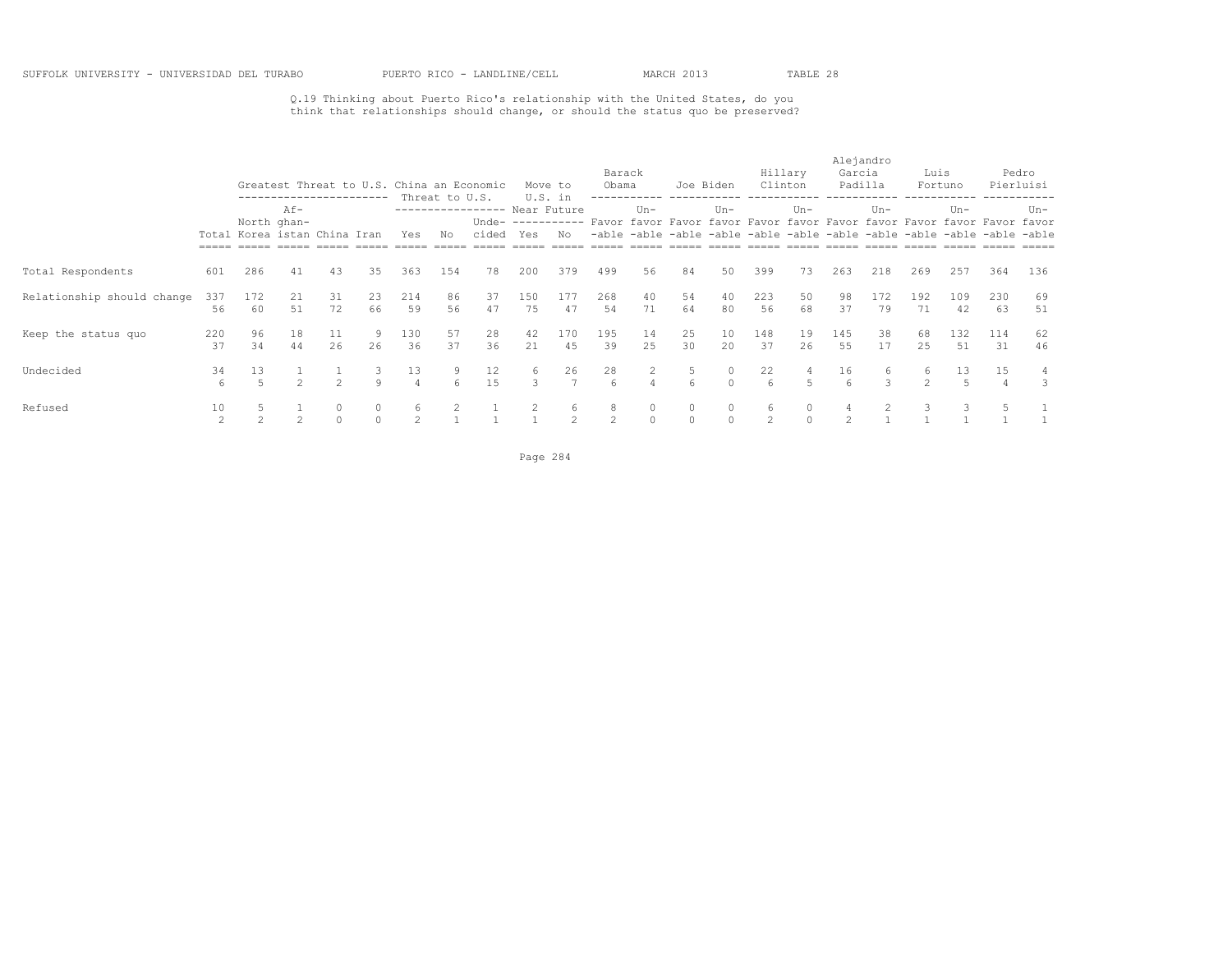### Q.19 Thinking about Puerto Rico's relationship with the United States, do you think that relationships should change, or should the status quo be preserved?

|                            |           |                              |                                                   |                |                     |                      |                      | Greatest Threat to U.S. China an Economic |           | Move to                        | Barack<br>Obama       |                   | Joe Biden    |                     | Clinton   | Hillary  | Alejandro<br>Garcia<br>Padilla |           | Luis                | Fortuno                                                                                                                                                      |           | Pedro<br>Pierluisi |
|----------------------------|-----------|------------------------------|---------------------------------------------------|----------------|---------------------|----------------------|----------------------|-------------------------------------------|-----------|--------------------------------|-----------------------|-------------------|--------------|---------------------|-----------|----------|--------------------------------|-----------|---------------------|--------------------------------------------------------------------------------------------------------------------------------------------------------------|-----------|--------------------|
|                            |           | Total Korea istan China Iran | ------------------------<br>$Af -$<br>North ghan- |                |                     | Yes                  | Threat to U.S.<br>Νo | ----------------- Near Future<br>cided    | Yes       | U.S. in<br>Unde- $-----$<br>No |                       | $Un -$            |              | $Un -$              |           | $Un-$    |                                | $Un -$    |                     | $Un -$<br>Favor favor Favor favor Favor favor Favor favor Favor favor Favor favor<br>-able -able -able -able -able -able -able -able -able -able -able -able |           | $Un-$              |
| Total Respondents          | 601       | 286                          | 41                                                | 43             | 35                  | 363                  | 154                  | 78                                        | 200       | 379                            | 499                   | 56                | 84           | 50                  | 399       | 73       | 263                            | 218       | 269                 | 257                                                                                                                                                          | 364       | 136                |
| Relationship should change | 337<br>56 | 172<br>60                    | 21<br>51                                          | 31<br>72       | 23<br>66            | 214<br>59            | 86<br>56             | 37<br>47                                  | 150<br>75 | 177<br>47                      | 268<br>54             | 40<br>71          | 54<br>64     | 40<br>80            | 223<br>56 | 50<br>68 | 98<br>37                       | 172<br>79 | 192<br>71           | 109<br>42                                                                                                                                                    | 230<br>63 | 69<br>51           |
| Keep the status quo        | 220<br>37 | 96<br>34                     | 18<br>44                                          | 11<br>26       | 9.<br>26            | 130<br>36            | 57<br>37             | 28<br>36                                  | 42<br>21  | 170<br>45                      | 195<br>39             | 14<br>25          | 25<br>30     | 10<br>20            | 148<br>37 | 19<br>26 | 145<br>55                      | 38<br>17  | 68<br>2.5           | 132<br>51                                                                                                                                                    | 114<br>31 | 62<br>46           |
| Undecided                  | 34<br>6   | 13                           | $\mathfrak{D}$                                    | $\mathfrak{D}$ | 9                   | 13<br>$\overline{4}$ | 9<br>6               | 12<br>15                                  | 6<br>3    | 26<br>$\overline{7}$           | 28<br>$6\overline{6}$ | $\overline{2}$    | 5<br>6       | $\circ$<br>$\Omega$ | 22<br>6   | 4        | 16                             | 6<br>3    | 6<br>$\mathfrak{D}$ | 13                                                                                                                                                           | 15        | 4<br>3             |
| Refused                    | 10<br>2   |                              | $\mathcal{L}$                                     |                | $\circ$<br>$\Omega$ | 6<br>2               |                      |                                           | 2         | 6<br>$\overline{2}$            | 8<br>$\mathcal{L}$    | 0<br>$\mathbf{0}$ | 0<br>$\circ$ | $\circ$<br>$\Omega$ | 6<br>2    | 0        | $\mathfrak{D}$                 |           |                     | 3                                                                                                                                                            |           |                    |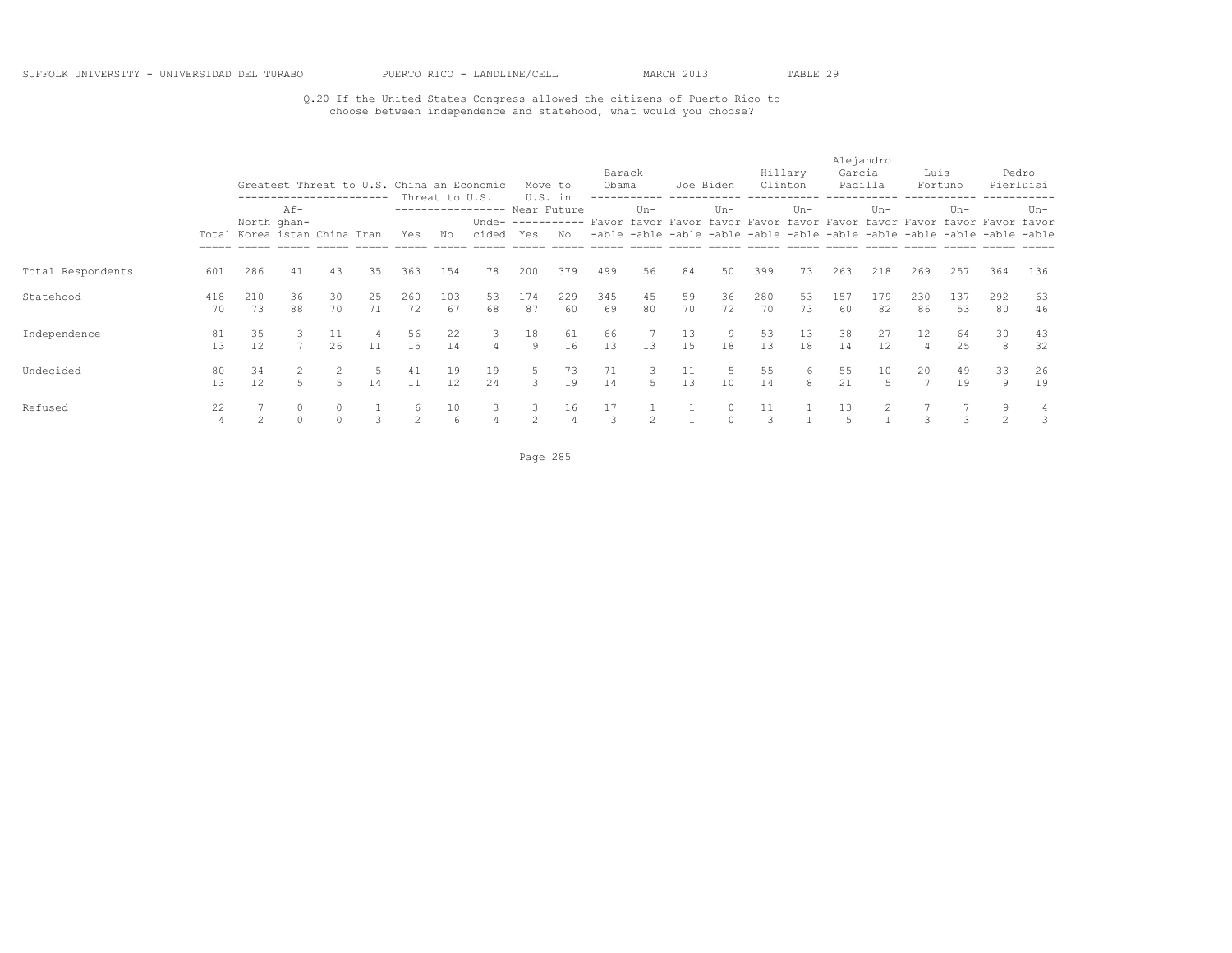### Q.20 If the United States Congress allowed the citizens of Puerto Rico to choose between independence and statehood, what would you choose?

|                   |           |                                             | ----------------------- |                     |          |           |                      | Greatest Threat to U.S. China an Economic |                     | Move to                        | Barack<br>Obama |                | Joe Biden |          |           | Hillary<br>Clinton | Alejandro<br>Garcia<br>Padilla |                  | Luis           | Fortuno                                                                                                                                                      |                     | Pedro<br>Pierluisi |
|-------------------|-----------|---------------------------------------------|-------------------------|---------------------|----------|-----------|----------------------|-------------------------------------------|---------------------|--------------------------------|-----------------|----------------|-----------|----------|-----------|--------------------|--------------------------------|------------------|----------------|--------------------------------------------------------------------------------------------------------------------------------------------------------------|---------------------|--------------------|
|                   |           | North ghan-<br>Total Korea istan China Iran | $Af -$                  |                     |          | Yes       | Threat to U.S.<br>No | ----------------- Near Future<br>cided    | Yes                 | U.S. in<br>Unde- $-----$<br>No |                 | $Un -$         |           | $Un-$    |           | $Un -$             |                                | $Un -$           |                | $Un -$<br>Favor favor Favor favor Favor favor Favor favor Favor favor Favor favor<br>-able -able -able -able -able -able -able -able -able -able -able -able |                     | Un-                |
| Total Respondents | 601       | 286                                         | 41                      | 43                  | 35       | 363       | 154                  | 78                                        | 200                 | 379                            | 499             | 56             | 84        | 50       | 399       | 73                 | 263                            | 218              | 269            | 257                                                                                                                                                          | 364                 | 136                |
| Statehood         | 418<br>70 | 210<br>73                                   | 36<br>88                | 30<br>70            | 25<br>71 | 260<br>72 | 103<br>67            | 53<br>68                                  | 174<br>87           | 229<br>60                      | 345<br>69       | 45<br>80       | 59<br>70  | 36<br>72 | 280<br>70 | 53<br>73           | 157<br>60                      | 179<br>82        | 230<br>86      | 137<br>53                                                                                                                                                    | 292<br>80           | 63<br>46           |
| Independence      | 81<br>13  | 35<br>12                                    | 3<br>$\overline{ }$     | 11<br>26            | 11       | 56<br>15  | 22<br>14             | 3<br>4                                    | 18<br>9             | 61<br>16                       | 66<br>13        | 13             | 13<br>1.5 | 9<br>18  | 53<br>13  | 13<br>18           | 38<br>14                       | 27<br>12         | 12<br>$\Delta$ | 64<br>25                                                                                                                                                     | 30<br>8             | 43<br>32           |
| Undecided         | 80<br>13  | 34<br>12                                    | 5                       |                     | 14       | 41<br>11  | 19<br>12             | 19<br>24                                  | 5.                  | 73<br>19                       | 71<br>14        | 5              | 11<br>13  | -5<br>10 | 55<br>14  | 6<br>8             | 55<br>21                       | 10<br>$\sqrt{2}$ | 20             | 49<br>19                                                                                                                                                     | 33<br>9             | 26<br>19           |
| Refused           | 22<br>4   |                                             | $\Omega$                | $\circ$<br>$\Omega$ | 3        | 6<br>2    | 10<br>6              | 3                                         | 3<br>$\mathfrak{D}$ | 16                             | 17<br>3         | $\mathfrak{D}$ |           | $\Omega$ | 11<br>3   |                    | 13                             |                  |                |                                                                                                                                                              | 9<br>$\overline{2}$ | 4                  |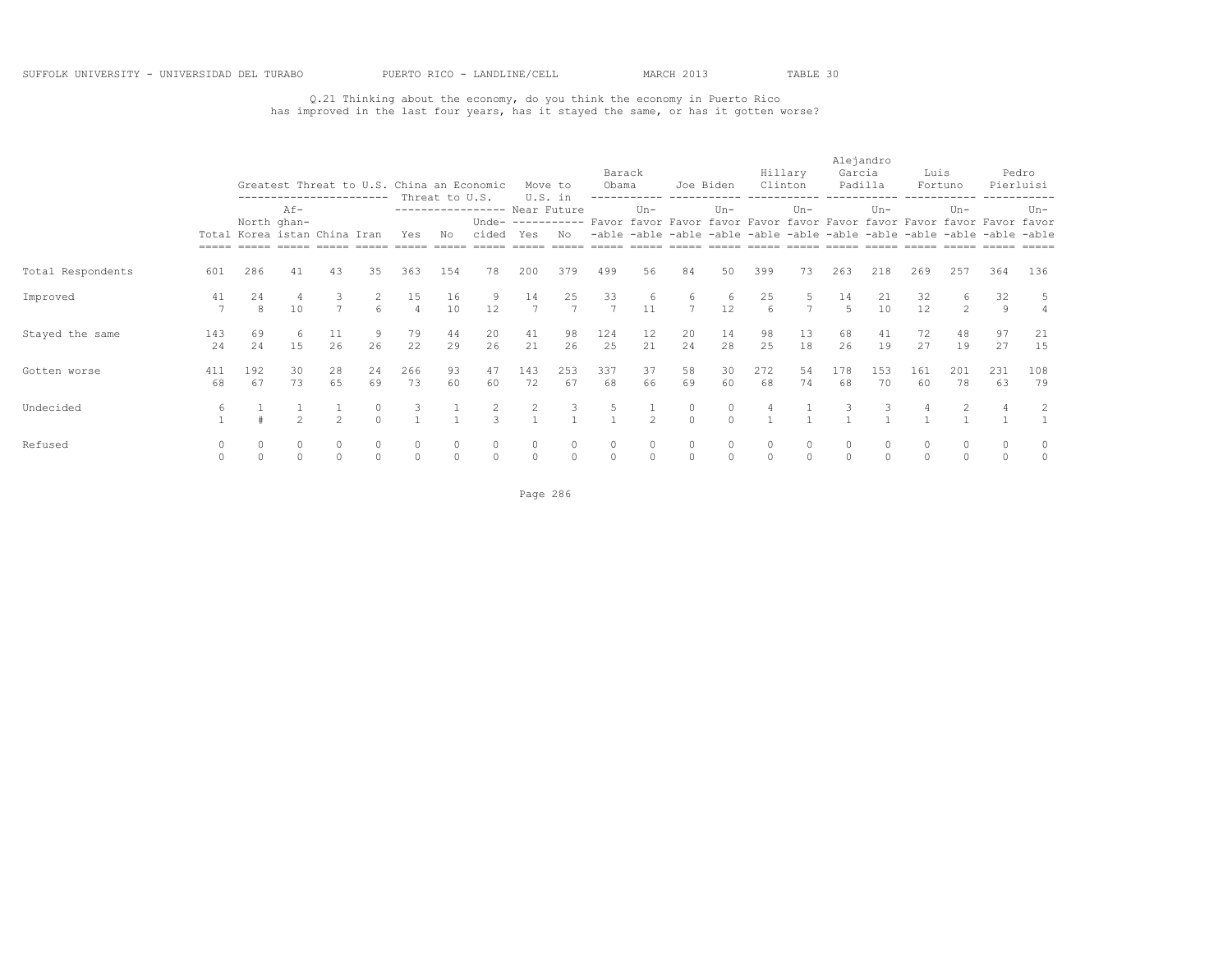## Q.21 Thinking about the economy, do you think the economy in Puerto Rico has improved in the last four years, has it stayed the same, or has it gotten worse?

|                   |           |                                             |                | ----------------------- |                   |                      | Threat to U.S. | Greatest Threat to U.S. China an Economic |           | Move to<br>U.S. in | Barack<br>Obama                                                                          | ------------ ----------- | Joe Biden           |                   |                        | Hillary<br>Clinton<br>------------ | Garcia       | Alejandro<br>Padilla | Luis      | Fortuno             |                                                                         | Pedro<br>Pierluisi |
|-------------------|-----------|---------------------------------------------|----------------|-------------------------|-------------------|----------------------|----------------|-------------------------------------------|-----------|--------------------|------------------------------------------------------------------------------------------|--------------------------|---------------------|-------------------|------------------------|------------------------------------|--------------|----------------------|-----------|---------------------|-------------------------------------------------------------------------|--------------------|
|                   |           | North ghan-<br>Total Korea istan China Iran | $Af -$         |                         |                   | Yes                  | No             | ---------------- Near Future<br>cided     | Yes       | No                 | Unde- ---------- Favor favor Favor favor Favor favor Favor favor Favor favor Favor favor | $Un -$                   |                     | $Un -$            |                        | $Un-$                              |              | $Un -$               |           | $Un -$              | -able -able -able -able -able -able -able -able -able -able -able -able | $Un -$             |
| Total Respondents | 601       | 286                                         | 41             | 43                      | 35                | 363                  | 154            | 78                                        | 200       | 379                | 499                                                                                      | 56                       | 84                  | 50                | 399                    | 73                                 | 263          | 218                  | 269       | 257                 | 364                                                                     | 136                |
| Improved          | 41        | 24<br>8                                     | 10             |                         | 6                 | 15<br>$\overline{a}$ | 16<br>10       | 9<br>12                                   | 14        | 25<br>7            | 33<br>7                                                                                  | -6<br>11                 | 6<br>$\overline{7}$ | 6<br>12           | 25<br>$6 \overline{6}$ |                                    | 14           | 21<br>10             | 32<br>12  | 6<br>$\overline{2}$ | 32<br>9                                                                 | 5                  |
| Stayed the same   | 143<br>24 | 69<br>2.4                                   | 6<br>15        | 11<br>26                | 9<br>26           | 79<br>22             | 44<br>29       | 20<br>26                                  | 41<br>21  | 98<br>26           | 124<br>25                                                                                | 12<br>21                 | 20<br>24            | 14<br>28          | 98<br>25               | 13<br>18                           | 68<br>26     | 41<br>19             | 72<br>27  | 48<br>19            | 97<br>27                                                                | 21<br>15           |
| Gotten worse      | 411<br>68 | 192<br>67                                   | 30<br>73       | 28<br>65                | 24<br>69          | 266<br>73            | 93<br>60       | 47<br>60                                  | 143<br>72 | 253<br>67          | 337<br>68                                                                                | 37<br>66                 | 58<br>69            | 30<br>60          | 272<br>68              | 54<br>74                           | 178<br>68    | 153<br>70            | 161<br>60 | 201<br>78           | 231<br>63                                                               | 108<br>79          |
| Undecided         | 6         |                                             | $\mathfrak{D}$ | $\mathcal{D}$           | $\circ$<br>$\cap$ | 3                    |                | $\mathbf{R}$                              |           | 3                  | 5                                                                                        | $\mathcal{P}$            | $\circ$<br>$\cap$   | $\circ$<br>$\cap$ | 4                      |                                    |              | -3                   |           |                     |                                                                         | 2                  |
| Refused           | $\Omega$  |                                             |                | $\Omega$                | $\circ$           | $\circ$              |                | $\circ$                                   | $\Omega$  | $\circ$            | $\circ$                                                                                  |                          | $\Omega$<br>$\circ$ | $\cap$            | $\circ$                |                                    | $\mathbf{0}$ | $\circ$              |           |                     |                                                                         | 0<br>$\circ$       |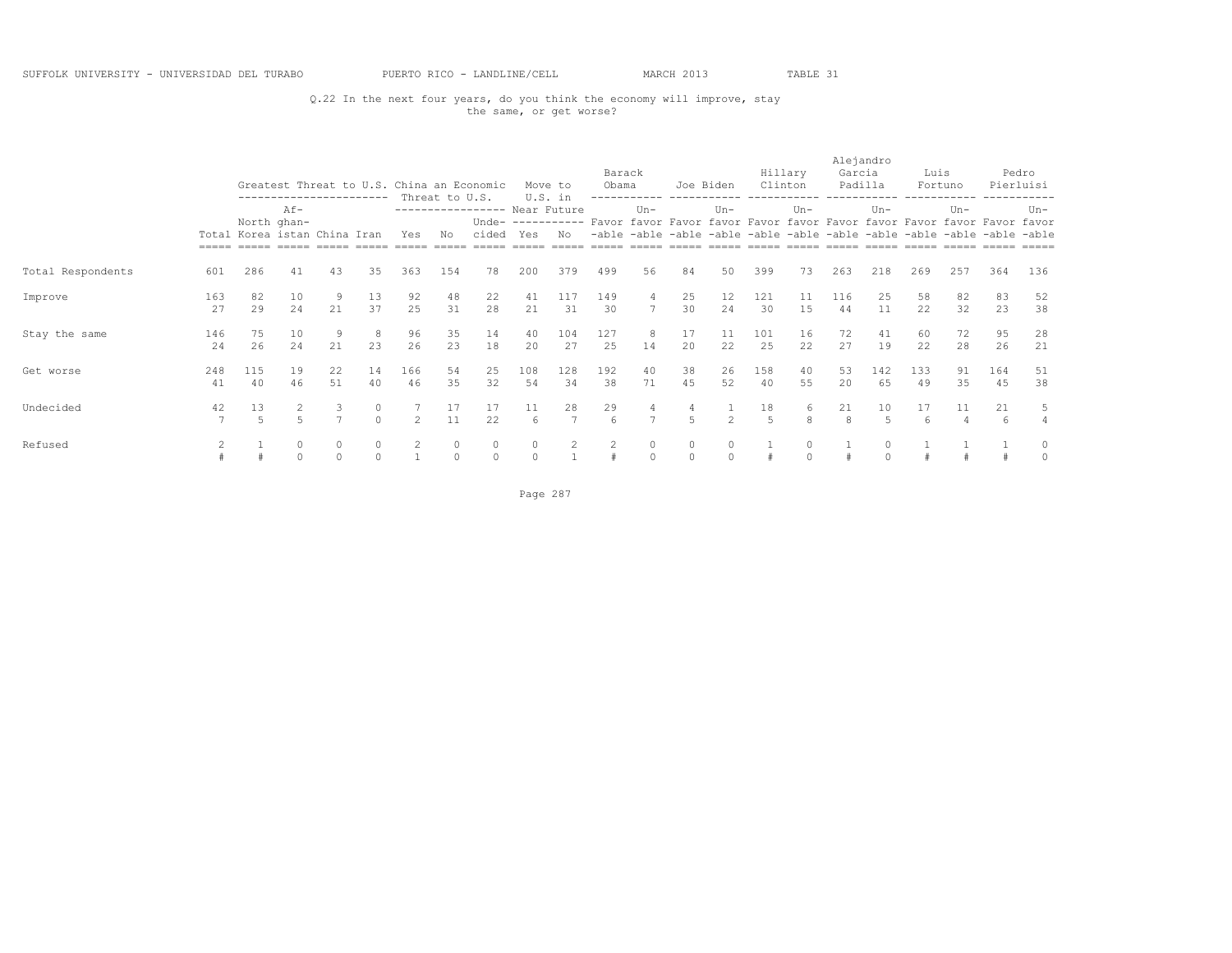### Q.22 In the next four years, do you think the economy will improve, stay the same, or get worse?

|                   |           |           |                       | -----------------------      |                     | Greatest Threat to U.S. China an Economic | Threat to U.S.      |                                        |               | Move to<br>U.S. in   | Barack<br>Obama                                                                          |                     | ------------ -----------                                                | Joe Biden            |                      | Hillary<br>Clinton<br>------------ | Alejandro<br>Garcia | Padilla<br>------------ | Luis      | Fortuno              |           | Pedro<br>Pierluisi  |
|-------------------|-----------|-----------|-----------------------|------------------------------|---------------------|-------------------------------------------|---------------------|----------------------------------------|---------------|----------------------|------------------------------------------------------------------------------------------|---------------------|-------------------------------------------------------------------------|----------------------|----------------------|------------------------------------|---------------------|-------------------------|-----------|----------------------|-----------|---------------------|
|                   |           |           | $Af -$<br>North ghan- | Total Korea istan China Iran |                     | Yes                                       | No                  | ----------------- Near Future<br>cided | Yes           | No                   | Unde- ---------- Favor favor Favor favor Favor favor Favor favor Favor favor Favor favor | $Un -$              | -able -able -able -able -able -able -able -able -able -able -able -able | $Un -$               |                      | $Un -$                             |                     | $Un -$                  |           | $Un -$               |           | $Un -$              |
| Total Respondents | 601       | 286       | 41                    | 43                           | 35                  | 363                                       | 154                 | 78                                     | 200           | 379                  | 499                                                                                      | 56                  | 84                                                                      | 50                   | 399                  | 73                                 | 263                 | 218                     | 269       | 257                  | 364       | 136                 |
| Improve           | 163<br>27 | 82<br>29  | 10<br>24              | 9<br>21                      | 13<br>37            | 92<br>25                                  | 48<br>31            | 22<br>28                               | 41<br>21      | 117<br>31            | 149<br>30                                                                                | 4<br>$\overline{7}$ | 25<br>30                                                                | 12<br>24             | 121<br>30            | 11<br>15                           | 116<br>44           | 25<br>11                | 58<br>22  | 82<br>32             | 83<br>23  | 52<br>38            |
| Stay the same     | 146<br>24 | 75<br>26  | 10<br>24              | 9<br>21                      | -8<br>23            | 96<br>26                                  | 35<br>23            | 14<br>18                               | 40<br>20      | 104<br>27            | 127<br>25                                                                                | 8<br>14             | 17<br>20                                                                | 11<br>22             | 101<br>25            | 16<br>22                           | 72<br>27            | 41<br>19                | 60<br>22  | 72<br>28             | 95<br>26  | 28<br>21            |
| Get worse         | 248<br>41 | 115<br>40 | 19<br>46              | 22<br>51                     | 14<br>40            | 166<br>46                                 | 54<br>35            | 25<br>32                               | 108<br>54     | 128<br>34            | 192<br>38                                                                                | 40<br>71            | 38<br>45                                                                | 26<br>52             | 158<br>40            | 40<br>55                           | 53<br>20            | 142<br>65               | 133<br>49 | 91<br>35             | 164<br>45 | 51<br>38            |
| Undecided         | 42        | 13<br>5   | 5                     | 3<br>$\overline{7}$          | $\circ$<br>$\Omega$ | $\mathfrak{D}$                            | 17<br>11            | 17<br>22                               | 11<br>6       | 28<br>$\overline{7}$ | 29<br>6                                                                                  | 4<br>$\overline{7}$ | 4<br>5                                                                  | $\mathfrak{D}$       | 18<br>$\overline{5}$ | 6<br>8                             | 21<br>8             | 10<br>$\sqrt{2}$        | 17<br>6   | 11<br>$\overline{4}$ | 21<br>6   | 5<br>$\overline{4}$ |
| Refused           |           |           |                       | $\Omega$<br>$\Omega$         | $\circ$<br>$\Omega$ | 2                                         | $\circ$<br>$\Omega$ | $\circ$<br>$\circ$                     | 0<br>$\Omega$ | 2                    | 2                                                                                        | $\circ$<br>$\circ$  | $\circ$<br>$\circ$                                                      | $\Omega$<br>$\Omega$ |                      |                                    |                     | $\Omega$                |           |                      |           | 0<br>$\circ$        |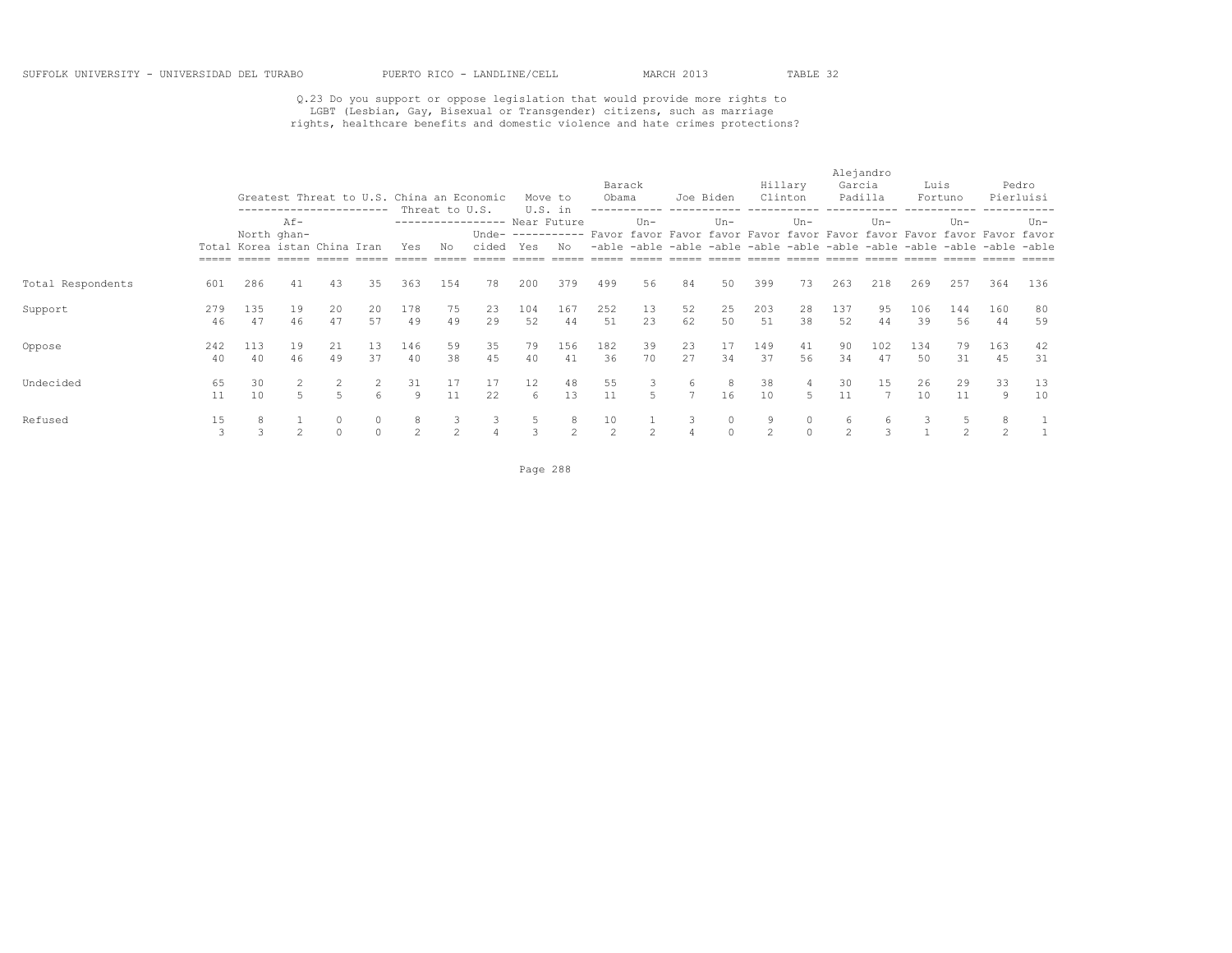# Q.23 Do you support or oppose legislation that would provide more rights to<br>LGBT (Lesbian, Gay, Bisexual or Transgender) citizens, such as marriage<br>rights, healthcare benefits and domestic violence and hate crimes protecti

|                   |           |                                             |          |                         |                     |           |                      | Greatest Threat to U.S. China an Economic |           | Move to        | Barack<br>Obama |                     | Joe Biden           |                      | Hillary<br>Clinton  |          | Alejandro<br>Garcia<br>Padilla |           | Luis      | Fortuno                                                                                                                                                                       |            | Pedro<br>Pierluisi |
|-------------------|-----------|---------------------------------------------|----------|-------------------------|---------------------|-----------|----------------------|-------------------------------------------|-----------|----------------|-----------------|---------------------|---------------------|----------------------|---------------------|----------|--------------------------------|-----------|-----------|-------------------------------------------------------------------------------------------------------------------------------------------------------------------------------|------------|--------------------|
|                   | =====     | North ghan-<br>Total Korea istan China Iran | Af-      | ----------------------- |                     | Yes       | Threat to U.S.<br>Νo | ---------------- Near Future<br>cided     | Yes       | U.S. in<br>No. |                 | $Un -$              |                     | $Un-$                |                     | $Un-$    |                                | $Un -$    |           | $Un -$<br>Unde- ---------- Favor favor Favor favor Favor favor Favor favor Favor favor Favor favor<br>-able -able -able -able -able -able -able -able -able -able -able -able |            | $Un-$              |
| Total Respondents | 601       | 286                                         | 41       | 43                      | 35                  | 363       | 154                  | 78                                        | 200       | 379            | 499             | 56                  | 84                  | 50                   | 399                 | 73       | 263                            | 218       | 269       | 257                                                                                                                                                                           | 364        | 136                |
| Support           | 279<br>46 | 135<br>47                                   | 19<br>46 | 20<br>47                | 20<br>57            | 178<br>49 | 75<br>49             | 23<br>29                                  | 104<br>52 | 167<br>44      | 252<br>51       | 13<br>23            | 52<br>62            | 25<br>50             | 203<br>51           | 28<br>38 | 137<br>52                      | 95<br>44  | 106<br>39 | 144<br>56                                                                                                                                                                     | 160<br>-44 | 80<br>59           |
| Oppose            | 242<br>40 | 113<br>40                                   | 19<br>46 | 21<br>49                | 13<br>37            | 146<br>40 | 59<br>38             | 35<br>45                                  | 79<br>40  | 156<br>41      | 182<br>36       | 39<br>70            | 23<br>27            | 17<br>34             | 149<br>37           | 41<br>56 | 90<br>34                       | 102<br>47 | 134<br>50 | 79<br>31                                                                                                                                                                      | 163<br>45  | 42<br>31           |
| Undecided         | 65<br>11  | 30<br>10                                    | 5.       | $\overline{5}$          | 2<br>6              | 31<br>9   | 17<br>11             | 17<br>22                                  | 12<br>6   | 48<br>13       | 55<br>11        | 3<br>$\overline{a}$ | 6<br>$\overline{7}$ | 8<br>16              | 38<br>10            | 4<br>5   | 30<br>11                       | 15        | 26<br>10  | 29<br>11                                                                                                                                                                      | 33<br>9    | 13<br>10           |
| Refused           | 15        |                                             |          | $\Omega$<br>$\Omega$    | $\circ$<br>$\Omega$ | 8<br>2    | 3<br>2               | 3                                         | b.        | 2              | 10<br>2         | 2                   | 3<br>4              | $\Omega$<br>$\Omega$ | 9<br>$\mathfrak{D}$ | $\Omega$ | 6<br>$\mathfrak{D}$            | 6<br>3    |           | 5<br>$\mathfrak{D}$                                                                                                                                                           | 8<br>2     |                    |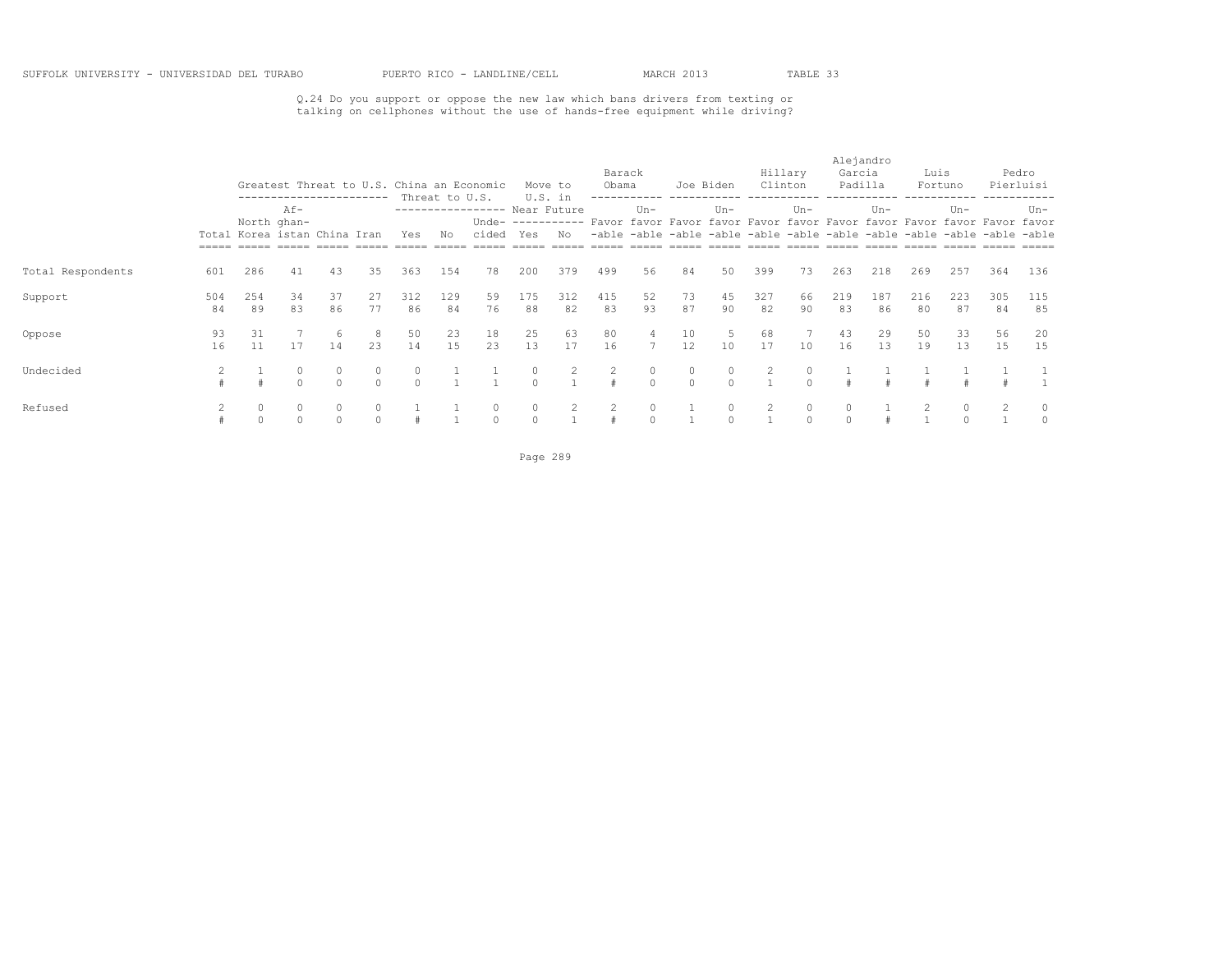# Q.24 Do you support or oppose the new law which bans drivers from texting or talking on cellphones without the use of hands-free equipment while driving?

|                   |           |                              |                                               |               |                     |                     |                      | Greatest Threat to U.S. China an Economic |                    | Move to        | Barack<br>Obama |                         | Joe Biden           |                     |           | Hillary<br>Clinton | Alejandro<br>Garcia<br>Padilla |           | Luis      | Fortuno                                                                                                                                                                       |           | Pedro<br>Pierluisi |
|-------------------|-----------|------------------------------|-----------------------------------------------|---------------|---------------------|---------------------|----------------------|-------------------------------------------|--------------------|----------------|-----------------|-------------------------|---------------------|---------------------|-----------|--------------------|--------------------------------|-----------|-----------|-------------------------------------------------------------------------------------------------------------------------------------------------------------------------------|-----------|--------------------|
|                   |           | Total Korea istan China Iran | -----------------------<br>Af-<br>North ghan- |               |                     | Yes                 | Threat to U.S.<br>No | ----------------- Near Future<br>cided    | Yes                | U.S. in<br>No  |                 | $Un -$                  |                     | $Un-$               |           | $Un-$              |                                | $Un-$     |           | $Un -$<br>Unde- ---------- Favor favor Favor favor Favor favor Favor favor Favor favor Favor favor<br>-able -able -able -able -able -able -able -able -able -able -able -able |           | Un-                |
| Total Respondents | 601       | 286                          | 41                                            | 43            | 35                  | 363                 | 154                  | 78                                        | 200                | 379            | 499             | 56                      | 84                  | 50                  | 399       | 73                 | 263                            | 218       | 269       | 257                                                                                                                                                                           | 364       | 136                |
| Support           | 504<br>84 | 254<br>89                    | 34<br>83                                      | 37<br>86      | 27<br>77            | 312<br>86           | 129<br>84            | 59<br>76                                  | 175<br>88          | 312<br>82      | 415<br>83       | 52<br>93                | 73<br>87            | 45<br>90            | 327<br>82 | 66<br>90           | 219<br>83                      | 187<br>86 | 216<br>80 | 223<br>87                                                                                                                                                                     | 305<br>84 | 115<br>85          |
| Oppose            | 93<br>16  | 31<br>11                     | 17                                            | 6<br>14       | 8<br>23             | 50<br>14            | 23<br>1.5            | 18<br>23                                  | 25<br>13           | 63<br>17       | 80<br>16        |                         | 10<br>12            | 5<br>10             | 68<br>17  | 10                 | 43<br>16                       | 29<br>13  | 50<br>19  | 33<br>13                                                                                                                                                                      | 56<br>15  | 20<br>15           |
| Undecided         |           |                              |                                               | 0<br>$\Omega$ | $\circ$<br>$\Omega$ | $\circ$<br>$\Omega$ |                      |                                           | 0<br>$\Omega$      | $\overline{2}$ | 2               | $\circ$<br>$\Omega$     | $\circ$<br>$\Omega$ | $\circ$<br>$\Omega$ | 2         | $\Omega$           |                                |           |           |                                                                                                                                                                               |           |                    |
| Refused           |           | $\circ$<br>$\Omega$          | 0                                             | $\Omega$      | $\circ$<br>$\circ$  |                     |                      | $\circ$<br>$\circ$                        | $\circ$<br>$\circ$ | $\overline{2}$ | 2               | $\circ$<br>$\mathbf{0}$ |                     | $\circ$             | 2         | $\circ$<br>$\circ$ | 0<br>$\circ$                   |           |           | $\circ$<br>$\Omega$                                                                                                                                                           |           | $\circ$<br>$\circ$ |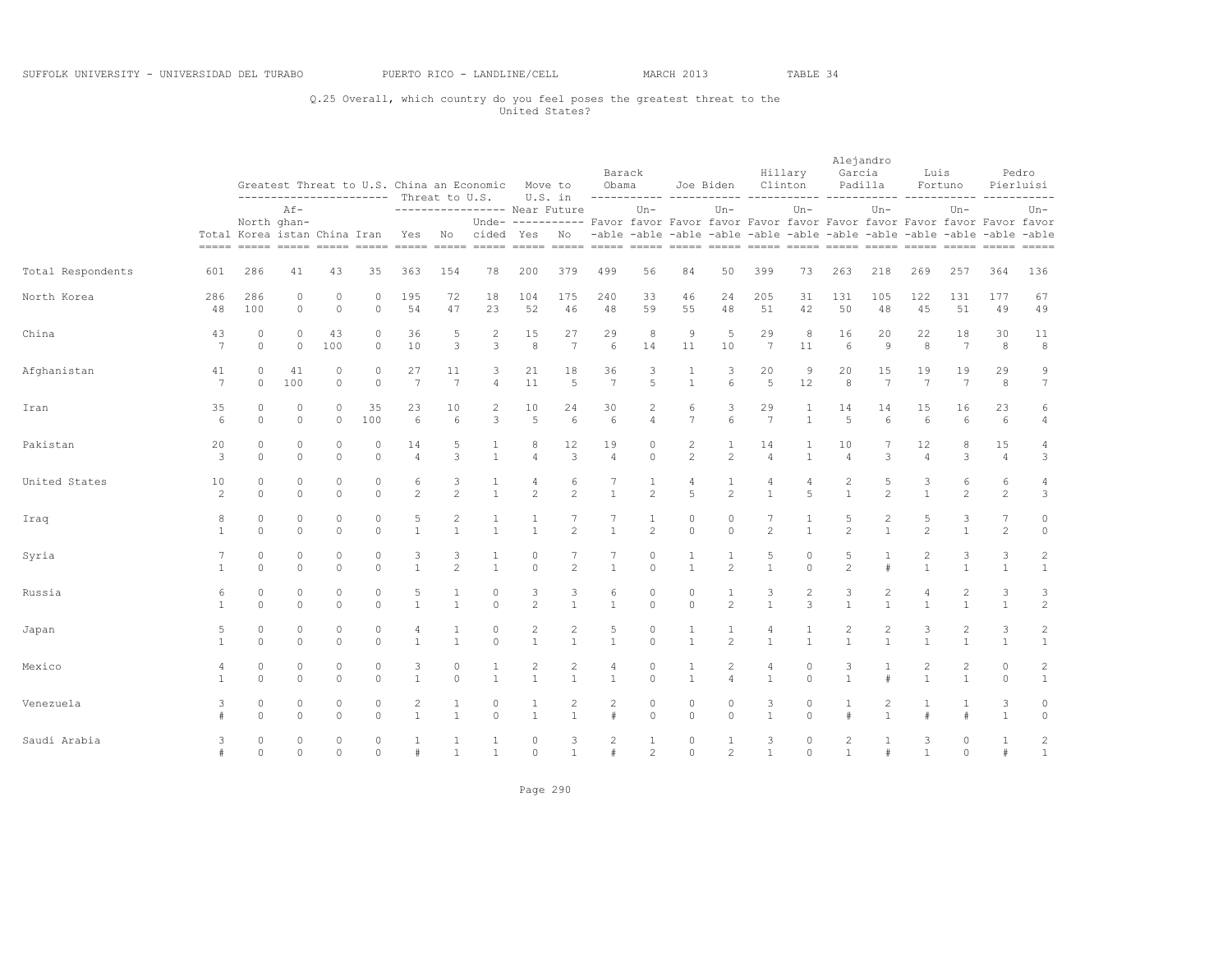# Q.25 Overall, which country do you feel poses the greatest threat to the United States?

|                   |                       | Greatest Threat to U.S. China an Economic Move to<br>----------------------- Threat to U.S.<br>$Af -$ |                     |                         |                     |                      |                                |                              |                                | U.S. in                                                                                                                                                                                                                                               | Barack<br>Obama              |                                       |                                | Joe Biden                      |                       | Hillary<br>Clinton               | Garcia                                | Alejandro<br>Padilla           | Luis                           | Fortuno                        |                      | Pedro<br>Pierluisi             |
|-------------------|-----------------------|-------------------------------------------------------------------------------------------------------|---------------------|-------------------------|---------------------|----------------------|--------------------------------|------------------------------|--------------------------------|-------------------------------------------------------------------------------------------------------------------------------------------------------------------------------------------------------------------------------------------------------|------------------------------|---------------------------------------|--------------------------------|--------------------------------|-----------------------|----------------------------------|---------------------------------------|--------------------------------|--------------------------------|--------------------------------|----------------------|--------------------------------|
|                   |                       |                                                                                                       | North ghan-         |                         |                     |                      |                                |                              |                                | ----------------- Near Future<br>Unde- ---------- Favor favor Favor favor Favor favor Favor favor Favor favor Favor favor<br>Total Korea istan China Iran Yes No cided Yes No -able -able -able -able -able -able -able -able -able -able -able -able |                              | $Un -$                                |                                | $Un-$                          |                       | $Un -$                           |                                       | $Un-$                          |                                | $Un -$                         |                      | Un-                            |
| Total Respondents | 601                   | 286                                                                                                   | 41                  | 43                      | 35                  | 363                  | 154                            | 78                           | 200                            | 379                                                                                                                                                                                                                                                   | 499                          | 56                                    | 84                             | 50                             | 399                   | 73                               | 263                                   | 218                            | 269                            | 257                            | 364                  | 136                            |
| North Korea       | 286<br>48             | 286<br>100                                                                                            | 0<br>$\Omega$       | 0<br>$\circ$            | $\Omega$<br>$\circ$ | 195<br>54            | 72<br>47                       | 18<br>23                     | 104<br>52                      | 175<br>46                                                                                                                                                                                                                                             | 240<br>48                    | 33<br>59                              | 46<br>55                       | 24<br>48                       | 205<br>51             | 31<br>42                         | 131<br>50                             | 105<br>48                      | 122<br>45                      | 131<br>51                      | 177<br>49            | 67<br>49                       |
| China             | 43<br>$7\phantom{.0}$ | $\circ$<br>$\Omega$                                                                                   | $\circ$<br>$\Omega$ | 43<br>100               | $\circ$<br>$\circ$  | 36<br>10             | 5<br>3                         | 2<br>3                       | 15<br>8                        | 27<br>7                                                                                                                                                                                                                                               | 29<br>6                      | 8<br>14                               | 9<br>11                        | 5<br>10                        | 29<br>$7\phantom{.0}$ | 8<br>11                          | 16<br>6                               | 20<br>$\overline{9}$           | 22<br>8                        | 18<br>$7\overline{ }$          | 30<br>8              | 11<br>8                        |
| Afghanistan       | 41<br>$7\phantom{.0}$ | $\circ$<br>$\circ$                                                                                    | 41<br>100           | $\circ$<br>$\circ$      | 0<br>$\circ$        | 27<br>7              | 11<br>$\overline{7}$           | 3<br>$\overline{4}$          | 21<br>11                       | 18<br>5                                                                                                                                                                                                                                               | 36<br>$7\phantom{.0}$        | 3<br>5                                | 1<br>$\mathbf{1}$              | 3<br>6                         | 20<br>5               | 9<br>12                          | 20<br>$\,8\,$                         | 15<br>7                        | 19<br>7                        | 19<br>$7\phantom{.0}$          | 29<br>8              | 9<br>$7\phantom{.0}$           |
| Iran              | 35<br>6               | $\circ$<br>$\circ$                                                                                    | $\circ$<br>$\circ$  | $\circ$<br>$\circ$      | 35<br>100           | 23<br>6              | 10<br>6                        | 2<br>3                       | 10<br>5                        | 24<br>6                                                                                                                                                                                                                                               | 30<br>6                      | 2<br>$\overline{4}$                   | 6<br>$\overline{7}$            | 3<br>6                         | 29<br>7               | $\mathbf{1}$<br>$\mathbf{1}$     | 14<br>5                               | 14<br>6                        | 15<br>6                        | 16<br>6                        | 23<br>6              | 6<br>$\overline{4}$            |
| Pakistan          | 20<br>3               | $\circ$<br>$\Omega$                                                                                   | $\circ$<br>$\Omega$ | $\Omega$<br>$\Omega$    | $\circ$<br>$\Omega$ | 14<br>$\overline{4}$ | 5<br>3                         | 1<br>$\mathbf{1}$            | 8<br>$\overline{4}$            | 12<br>3                                                                                                                                                                                                                                               | 19<br>$\overline{4}$         | 0<br>$\Omega$                         | $\mathbf{2}$<br>$\overline{c}$ | $\mathbf{1}$<br>$\overline{c}$ | 14<br>$\overline{4}$  | 1<br>$\mathbf{1}$                | 10<br>$\overline{4}$                  | 3                              | 12<br>$\overline{4}$           | 8<br>3                         | 15<br>$\overline{4}$ | $\overline{4}$<br>$\mathsf 3$  |
| United States     | 10<br>2               | $\Omega$<br>$\circ$                                                                                   | $\circ$<br>$\Omega$ | 0<br>$\Omega$           | 0<br>$\Omega$       | 6<br>2               | 3<br>$\overline{\mathcal{L}}$  | 1<br>$\mathbf{1}$            | 4<br>$\overline{c}$            | 6<br>$\overline{2}$                                                                                                                                                                                                                                   | $\overline{1}$               | $\overline{2}$                        | 4<br>5                         | 1<br>$\overline{c}$            | 4<br>$\mathbf{1}$     | 4<br>5                           | 2<br>$\mathbf{1}$                     | 5<br>$\mathfrak{D}$            | 3<br>$\overline{1}$            | 6<br>$\overline{c}$            | 6<br>$\mathbf{2}$    | 4<br>3                         |
| Iraq              | 8<br>$\mathbf{1}$     | $\circ$<br>$\Omega$                                                                                   | $\circ$<br>$\Omega$ | $\circ$<br>$\Omega$     | $\circ$<br>$\Omega$ | 5<br>$\mathbf{1}$    | $\overline{2}$<br>$\mathbf{1}$ | 1<br>$\mathbf{1}$            | 1<br>$\mathbf{1}$              | $\mathfrak{D}$                                                                                                                                                                                                                                        | 7<br>$\mathbf{1}$            | 1<br>$\mathfrak{D}$                   | $\mathbf{0}$<br>$\circ$        | 0<br>$\Omega$                  | $2^{1}$               | $\mathbf{1}$                     | 5<br>$\mathfrak{D}$                   | $\overline{c}$<br>$\mathbf{1}$ | 5<br>$\mathfrak{D}$            | 3<br>$\mathbf{1}$              | 7<br>$\overline{c}$  | $\circ$<br>$\circ$             |
| Syria             | 7<br>$\overline{1}$   | $\circ$<br>$\Omega$                                                                                   | $\circ$<br>$\circ$  | $\circ$<br>$\Omega$     | 0<br>$\Omega$       | 3<br>$\overline{1}$  | 3<br>$\overline{c}$            | $\mathbf{1}$<br>$\mathbf{1}$ | $\circ$<br>$\Omega$            | 7<br>$\mathfrak{D}$                                                                                                                                                                                                                                   | 7<br>$\mathbf{1}$            | 0<br>$\Omega$                         | 1<br>$\mathbf{1}$              | $\mathbf{1}$<br>2              | 5<br>$\mathbf{1}$     | 0<br>$\Omega$                    | 5<br>$\overline{c}$                   | 1                              | 2<br>$\mathbf{1}$              | 3<br>$\mathbf{1}$              | 3<br>$\mathbf{1}$    | $\mathbf{2}$<br>$\mathbf{1}$   |
| Russia            | 6<br>$\mathbf{1}$     | $\circ$<br>$\circ$                                                                                    | $\Omega$<br>$\circ$ | $\Omega$<br>$\circ$     | $\circ$<br>$\circ$  | 5<br>$\mathbf{1}$    | $\mathbf{1}$<br>$\mathbf{1}$   | $\mathbf{0}$<br>$\circ$      | 3<br>$\overline{2}$            | 3<br>$\mathbf{1}$                                                                                                                                                                                                                                     | 6<br>$\mathbf{1}$            | $\Omega$<br>$\circ$                   | $\mathbf{0}$<br>$\circ$        | $\mathbf{1}$<br>$\overline{c}$ | 3<br>$\mathbf{1}$     | $\overline{c}$<br>$\overline{3}$ | 3<br>$\mathbf{1}$                     | $\overline{c}$<br>$\mathbf{1}$ | $\overline{4}$<br>$\mathbf{1}$ | 2<br>$\mathbf{1}$              | 3<br>$1\,$           | 3<br>$\overline{c}$            |
| Japan             | 5<br>$\mathbf{1}$     | $\circ$<br>$\circ$                                                                                    | $\Omega$<br>$\circ$ | $\Omega$<br>$\Omega$    | $\circ$<br>$\circ$  | 4<br>1               | $\mathbf{1}$<br>$\mathbf{1}$   | $\circ$<br>$\circ$           | $\overline{c}$<br>$\mathbf{1}$ | $\overline{c}$<br>$\mathbf{1}$                                                                                                                                                                                                                        | 5<br>$\mathbf{1}$            | 0<br>$\circ$                          | 1<br>$\mathbf{1}$              | $\mathbf{1}$<br>$\overline{c}$ | 4<br>$\mathbf{1}$     | $\mathbf{1}$                     | 2<br>$\mathbf{1}$                     | $\overline{c}$<br>$\mathbf{1}$ | 3<br>$\mathbf{1}$              | $\overline{c}$<br>$\mathbf{1}$ | 3<br>$\mathbf{1}$    | $\sqrt{2}$<br>$\mathbf{1}$     |
| Mexico            | 4<br>$\mathbf{1}$     | $\circ$<br>$\Omega$                                                                                   | $\circ$<br>$\Omega$ | $\mathbf 0$<br>$\Omega$ | 0<br>$\Omega$       | 3<br>$\overline{1}$  | $\mathbf 0$<br>$\Omega$        | 1<br>$\mathbf{1}$            | 2<br>$\mathbf{1}$              | 2<br>$\mathbf{1}$                                                                                                                                                                                                                                     | 4<br>$\mathbf{1}$            | 0<br>$\Omega$                         | $\overline{1}$                 | $\mathbf{2}$<br>4              | 4<br>$\mathbf{1}$     | $\mathbf 0$<br>$\Omega$          | 3<br>$\mathbf{1}$                     |                                | 2                              | $\overline{c}$<br>$\mathbf{1}$ | 0<br>$\circ$         | $\sqrt{2}$<br>$\mathbf{1}$     |
| Venezuela         | 3                     | $\circ$<br>$\Omega$                                                                                   | $\circ$<br>$\Omega$ | 0<br>$\Omega$           | $\circ$<br>$\Omega$ | 2<br>$\overline{1}$  | 1<br>$\mathbf{1}$              | $\mathbf{0}$<br>$\Omega$     | 1<br>$\mathbf{1}$              | 2<br>$\mathbf{1}$                                                                                                                                                                                                                                     | $\overline{c}$<br>$\ddagger$ | $\circ$<br>$\Omega$                   | 0<br>$\circ$                   | $\circ$<br>$\Omega$            | 3<br>$\mathbf{1}$     | 0<br>$\Omega$                    | $\mathbf{1}$                          | 2<br>$\overline{1}$            |                                | 1<br>#                         | 3<br>$\overline{1}$  | $\mathbf{0}$<br>$\circ$        |
| Saudi Arabia      | 3<br>$\#$             | $\circ$<br>$\circ$                                                                                    | $\circ$<br>$\Omega$ | $\circ$<br>$\Omega$     | $\circ$<br>$\circ$  | 1<br>#               | $\mathbf{1}$<br>$\mathbf{1}$   | $\mathbf{1}$<br>$\mathbf{1}$ | $\circ$<br>$\circ$             | 3<br>$\mathbf{1}$                                                                                                                                                                                                                                     | 2<br>#                       | $\mathbf{1}$<br>$\mathbf{2}^{\prime}$ | $\circ$<br>$\Omega$            | $\mathbf{1}$<br>$\overline{c}$ | 3<br>$\overline{1}$   | $\circ$<br>$\Omega$              | $\mathbf{2}^{\prime}$<br>$\mathbf{1}$ | 1<br>#                         | 3<br>$\mathbf{1}$              | 0<br>$\circ$                   | $\mathbf{1}$<br>#    | $\overline{c}$<br>$\mathbf{1}$ |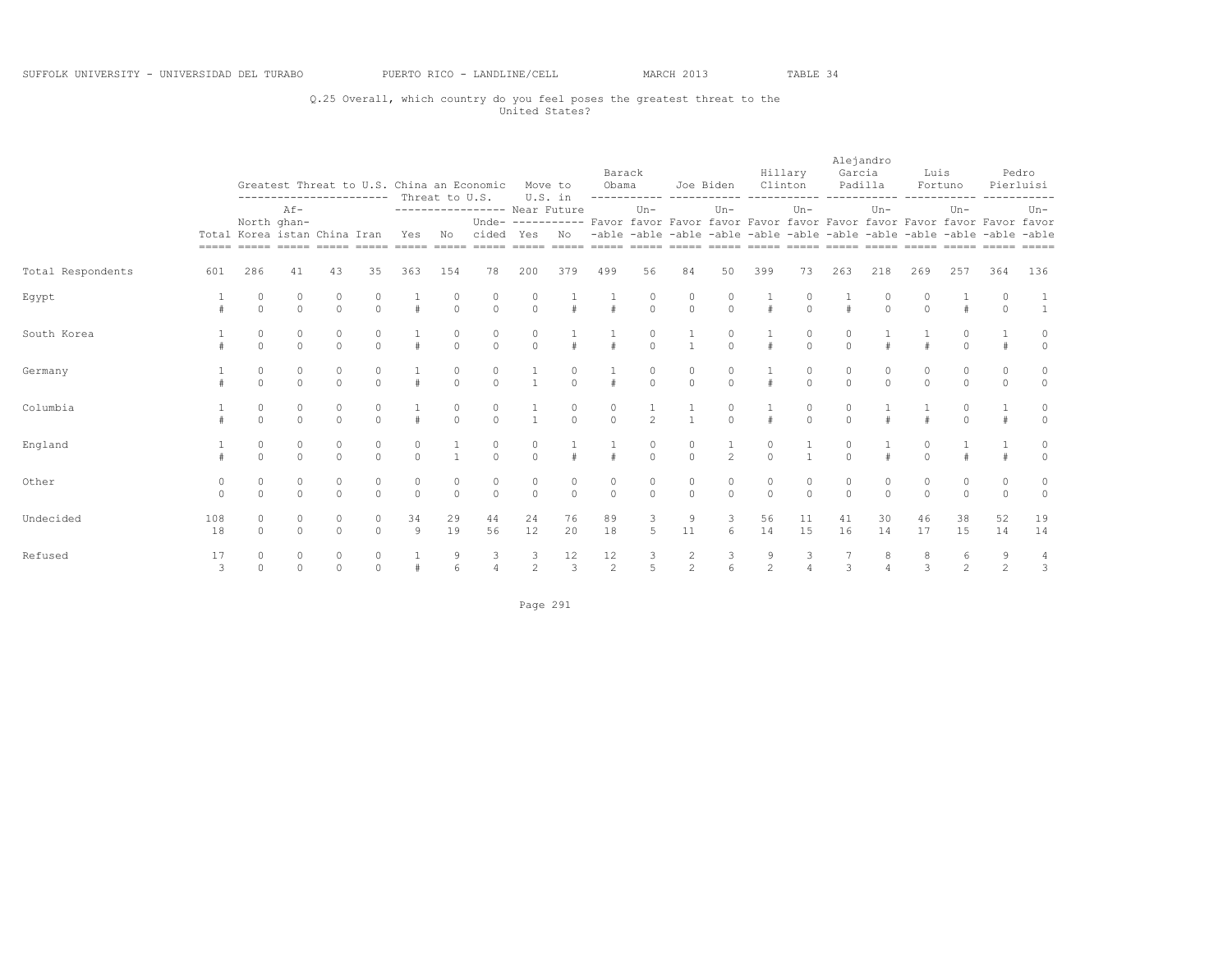# Q.25 Overall, which country do you feel poses the greatest threat to the United States?

|                   |               |                                             |               |               |                      | ----------------------- Threat to U.S. |               | Greatest Threat to U.S. China an Economic                                                                                              |                     | Move to<br>U.S. in  | Barack<br>Obama                        |                  | ------------ -----------                                                | Joe Biden      | Clinton             | Hillary       | Alejandro<br>Garcia | Padilla       | Luis                        | Fortuno             |                              | Pedro<br>Pierluisi           |
|-------------------|---------------|---------------------------------------------|---------------|---------------|----------------------|----------------------------------------|---------------|----------------------------------------------------------------------------------------------------------------------------------------|---------------------|---------------------|----------------------------------------|------------------|-------------------------------------------------------------------------|----------------|---------------------|---------------|---------------------|---------------|-----------------------------|---------------------|------------------------------|------------------------------|
|                   |               | North ghan-<br>Total Korea istan China Iran | $AF-$         |               |                      | Yes                                    | No            | ----------------- Near Future<br>Unde- ---------- Favor favor Favor favor Favor favor Favor favor Favor favor Favor favor<br>cided Yes |                     | No                  |                                        | $Un -$           | -able -able -able -able -able -able -able -able -able -able -able -able | $Un-$          |                     | $Un -$        |                     | $Un-$         |                             | $Un -$              |                              | $Un-$                        |
| Total Respondents | 601           | 286                                         | 41            | 43            | 35                   | 363                                    | 154           | 78                                                                                                                                     | 200                 | 379                 | 499                                    | 56               | 84                                                                      | 50             | 399                 | 73            | 263                 | 218           | 269                         | 257                 | 364                          | 136                          |
| Egypt             |               | $\Omega$                                    | $\Omega$      | $\Omega$      | $\Omega$             | #                                      | $\Omega$      | $\Omega$                                                                                                                               | $\Omega$            |                     |                                        | $\Omega$         | $\circ$                                                                 | $\Omega$       | #                   | $\Omega$      |                     | $\Omega$      | $\Omega$                    | #                   | $\Omega$                     | $\overline{1}$               |
| South Korea       |               | $\circ$<br>$\circ$                          | 0<br>$\Omega$ | 0<br>$\circ$  | $\Omega$             |                                        | 0<br>$\Omega$ | 0<br>$\circ$                                                                                                                           | $\Omega$            |                     |                                        | $\Omega$         |                                                                         | $\Omega$       | $\#$                | $\Omega$      |                     |               |                             |                     |                              | 0<br>$\circ$                 |
| Germany           |               | $\mathbf{0}$<br>$\circ$                     | $\Omega$      | $\circ$       | $\Omega$             |                                        | $\circ$       | 0<br>$\circ$                                                                                                                           |                     | $\Omega$            |                                        | 0<br>$\mathbf 0$ | $\mathbf{0}$<br>$\circ$                                                 | $\circ$        | $\#$                | $\Omega$      | $\Omega$            | 0<br>$\circ$  | $\Omega$                    | 0<br>$\circ$        | $\mathbf{0}$                 | $\circ$<br>$\circ$           |
| Columbia          |               | $\circ$<br>$\Omega$                         | 0<br>$\Omega$ | $\Omega$      | $\Omega$             | $\pm$                                  | $\Omega$      | $\Omega$                                                                                                                               |                     | $\Omega$            | $\Omega$                               | $\overline{2}$   | $\overline{1}$                                                          | $\Omega$       | $\pm$               | $\Omega$      | $\cap$              | $\pm$         |                             | $\Omega$            |                              | 0<br>$\circ$                 |
| England           |               | $\circ$<br>$\Omega$                         | $\cap$        | 0<br>$\Omega$ | 0<br>$\Omega$        | 0<br>$\Omega$                          | $\mathbf{1}$  | 0<br>$\bigcap$                                                                                                                         | $\Omega$            |                     |                                        | 0<br>$\Omega$    | 0<br>$\Omega$                                                           | $\overline{2}$ | $\Omega$            |               | $\cap$              |               | $\Omega$                    |                     |                              | 0<br>$\circ$                 |
| Other             | 0<br>$\Omega$ | $\circ$<br>$\circ$                          | 0<br>$\Omega$ | 0<br>$\Omega$ | 0<br>$\Omega$        | 0<br>$\Omega$                          | 0<br>$\Omega$ | 0<br>$\Omega$                                                                                                                          | 0<br>$\Omega$       | 0<br>$\Omega$       | 0<br>$\Omega$                          | 0<br>$\Omega$    | 0<br>$\Omega$                                                           | 0<br>$\Omega$  | 0<br>$\Omega$       | 0<br>$\Omega$ | $\Omega$            | 0<br>$\Omega$ | $\circ$<br>$\Omega$         | 0<br>$\circ$        | $\mathbf{0}$<br>$\mathbf{0}$ | 0<br>$\circ$                 |
| Undecided         | 108<br>18     | 0<br>$\Omega$                               | $\Omega$      | 0<br>$\circ$  | $\Omega$<br>$\Omega$ | 34<br>9                                | 29<br>19      | 44<br>56                                                                                                                               | 24<br>12            | 76<br>20            | 89<br>18                               | 3<br>5           | 9<br>11                                                                 | 3<br>6         | 56<br>14            | 11<br>15      | 41<br>16            | 30<br>14      | 46<br>17                    | 38<br>15            | 52<br>14                     | 19<br>14                     |
| Refused           | 17<br>3       | $\Omega$                                    | $\Omega$      | $\Omega$      | $\Omega$             |                                        | 6             | 3<br>$\overline{4}$                                                                                                                    | 3<br>$\overline{c}$ | 12<br>$\mathcal{E}$ | $\begin{array}{c} 12 \\ 2 \end{array}$ | $\frac{3}{5}$    | $\frac{2}{2}$                                                           |                | 9<br>$\mathfrak{D}$ |               | $\mathcal{L}$       | 8             | $\mathcal{L}_{\mathcal{L}}$ | 6<br>$\overline{2}$ | 2                            | 4<br>$\overline{\mathbf{3}}$ |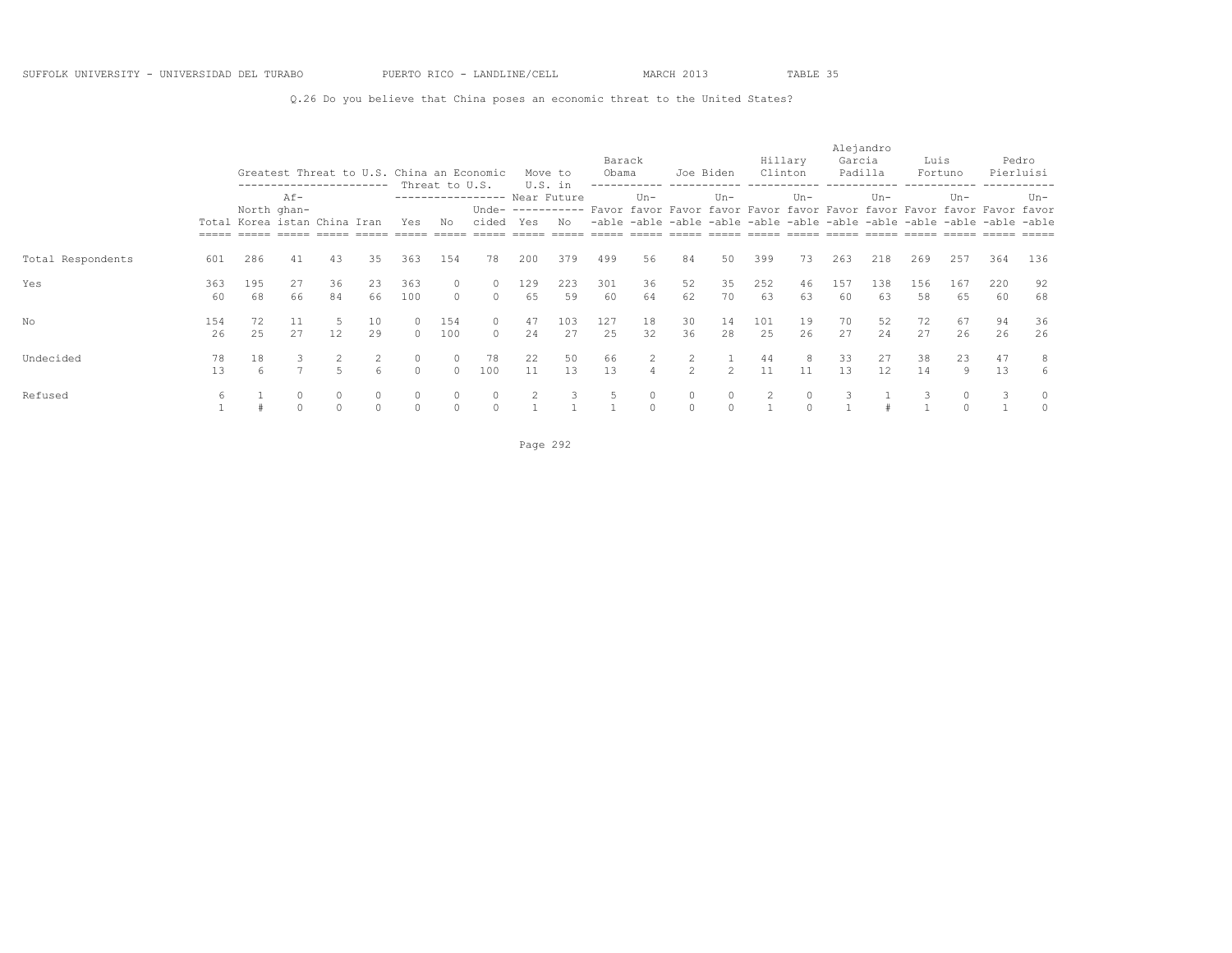Q.26 Do you believe that China poses an economic threat to the United States?

|                   |           |                                             |                     |                    | ------------------------ |                      |                      | Greatest Threat to U.S. China an Economic |           | Move to<br>U.S. in | Barack<br>Obama |                     | Joe Biden           |           | Clinton   | Hillary  | Alejandro<br>Garcia | Padilla   | Luis      | Fortuno   |                                                                                                                                                                     | Pedro<br>Pierluisi  |
|-------------------|-----------|---------------------------------------------|---------------------|--------------------|--------------------------|----------------------|----------------------|-------------------------------------------|-----------|--------------------|-----------------|---------------------|---------------------|-----------|-----------|----------|---------------------|-----------|-----------|-----------|---------------------------------------------------------------------------------------------------------------------------------------------------------------------|---------------------|
|                   |           | North ghan-<br>Total Korea istan China Iran | $Af -$              |                    |                          | Yes                  | Threat to U.S.<br>No | ---------------- Near Future<br>cided Yes |           | No                 |                 | $Un -$              |                     | $Un -$    |           | $Un-$    |                     | $Un -$    |           | $Un -$    | Unde- ---------- Favor favor Favor favor Favor favor Favor favor Favor favor Favor favor<br>-able -able -able -able -able -able -able -able -able -able -able -able | $Un-$               |
| Total Respondents | 601       | 286                                         | 41                  | 43                 | 35                       | 363                  | 154                  | 78                                        | 200       | 379                | 499             | 56                  | 84                  | 50        | 399       | 73       | 263                 | 218       | 269       | 257       | 364                                                                                                                                                                 | 136                 |
| Yes               | 363<br>60 | 195<br>68                                   | 27<br>66            | 36<br>84           | 23<br>66                 | 363<br>100           | $\Omega$             | 0<br>$\Omega$                             | 129<br>65 | 223<br>59          | 301<br>60       | 36<br>64            | 52<br>62            | 35<br>70  | 252<br>63 | 46<br>63 | 157<br>60           | 138<br>63 | 156<br>58 | 167<br>65 | 220<br>60                                                                                                                                                           | 92<br>68            |
| No                | 154<br>26 | 72<br>2.5                                   | 27                  | 12                 | 10<br>29                 | $\Omega$<br>$\Omega$ | 154<br>100           | $\circ$<br>$\Omega$                       | 47<br>2.4 | 103<br>27          | 127<br>2.5      | 18<br>32            | 30<br>36            | 14<br>2.8 | 101<br>25 | 19<br>26 | 70<br>27            | 52<br>2.4 | 72<br>27  | 67<br>26  | 94<br>26                                                                                                                                                            | 36<br>26            |
| Undecided         | 78<br>13  | 18                                          | 3<br>$\overline{ }$ | $5 -$              |                          | $\circ$<br>$\Omega$  | $\circ$<br>$\cap$    | 78<br>100                                 | 22<br>11  | 50<br>13           | 66<br>13        | $\overline{4}$      | $\mathbf{2}$<br>2   | 2         | 44<br>11  | 8<br>11  | 33<br>13            | 27<br>12  | 38<br>14  | 23<br>9   | 47<br>13                                                                                                                                                            | 8<br>6              |
| Refused           | 6         |                                             | $\circ$<br>$\Omega$ | $\Omega$<br>$\cap$ | $\circ$<br>$\bigcap$     | $\circ$<br>$\Omega$  | $\circ$<br>$\cap$    | $\circ$<br>$\cap$                         |           |                    |                 | $\circ$<br>$\Omega$ | $\circ$<br>$\Omega$ | $\circ$   | 2         | $\Omega$ |                     |           |           | $\circ$   | 3                                                                                                                                                                   | $\circ$<br>$\Omega$ |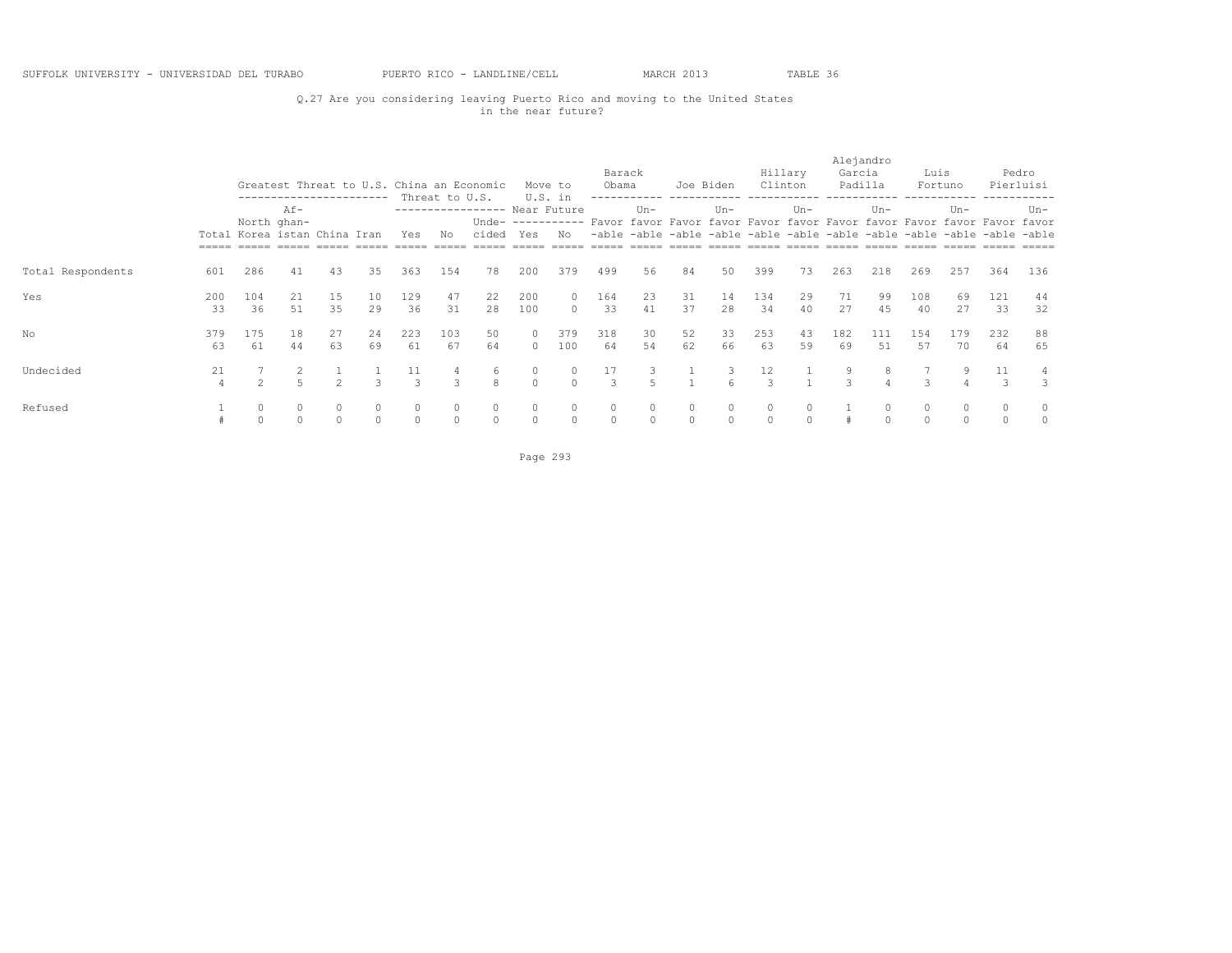# Q.27 Are you considering leaving Puerto Rico and moving to the United States in the near future?

|                   |           |                                             | ----------------------- |                    |                    |              | Threat to U.S.          | Greatest Threat to U.S. China an Economic |                      | Move to<br>U.S. in | Barack<br>Obama |              | Joe Biden          |          |                     | Hillary<br>Clinton | Alejandro<br>Garcia | Padilla   | Luis         | Fortuno                                                                                                                                                                       |           | Pedro<br>Pierluisi |
|-------------------|-----------|---------------------------------------------|-------------------------|--------------------|--------------------|--------------|-------------------------|-------------------------------------------|----------------------|--------------------|-----------------|--------------|--------------------|----------|---------------------|--------------------|---------------------|-----------|--------------|-------------------------------------------------------------------------------------------------------------------------------------------------------------------------------|-----------|--------------------|
|                   |           | North ghan-<br>Total Korea istan China Iran | Af-                     |                    |                    | Yes          | Νo                      | ----------------- Near Future<br>cided    | Yes                  | No                 |                 | $Un -$       |                    | $Un-$    |                     | $Un-$              |                     | $Un -$    |              | $Un -$<br>Unde- ---------- Favor favor Favor favor Favor favor Favor favor Favor favor Favor favor<br>-able -able -able -able -able -able -able -able -able -able -able -able |           | Un-                |
| Total Respondents | 601       | 286                                         | 41                      | 43                 | 35                 | 363          | 154                     | 78                                        | 200                  | 379                | 499             | 56           | 84                 | 50       | 399                 | 73                 | 263                 | 218       | 269          | 257                                                                                                                                                                           | 364       | 136                |
| Yes               | 200<br>33 | 104<br>36                                   | 21<br>51                | 15<br>35           | 10<br>29           | 129<br>36    | 47<br>31                | 22<br>28                                  | 200<br>100           | $\Omega$<br>$\cap$ | 164<br>33       | 23<br>41     | 31<br>37           | 14<br>28 | 134<br>34           | 29<br>40           | 71<br>27            | 99<br>45  | 108<br>40    | 69<br>27                                                                                                                                                                      | 121<br>33 | 44<br>32           |
| No                | 379<br>63 | 175<br>61                                   | 18<br>44                | 27<br>63           | 24<br>69           | 223<br>61    | 103<br>67               | 50<br>64                                  | $\circ$<br>$\bigcap$ | 379<br>100         | 318<br>64       | 30<br>54     | 52<br>62           | 33<br>66 | 253<br>63           | 43<br>59           | 182<br>69           | 111<br>51 | 154<br>57    | 179<br>70                                                                                                                                                                     | 232<br>64 | 88<br>65           |
| Undecided         | 21<br>4   | $\mathfrak{D}$                              |                         | $\hat{ }$          | $\mathcal{L}$      | 11<br>3      | 3                       | 6<br>8                                    | 0<br>$\Omega$        | $\cap$             | 17<br>3         | 5            |                    | 3        | 12<br>$\mathcal{L}$ |                    |                     | 8         | 3            | 9                                                                                                                                                                             | 11        | 3                  |
| Refused           |           |                                             |                         | $\circ$<br>$\circ$ | $\circ$<br>$\circ$ | 0<br>$\circ$ | $\circ$<br>$\mathbf{0}$ | $\circ$<br>$\circ$                        | $\circ$<br>$\Omega$  | $\circ$<br>$\circ$ | 0<br>$\circ$    | 0<br>$\circ$ | $\circ$<br>$\circ$ | $\circ$  | $\circ$<br>$\circ$  |                    |                     |           | $\circ$<br>0 | $\circ$<br>$\Omega$                                                                                                                                                           |           | 0                  |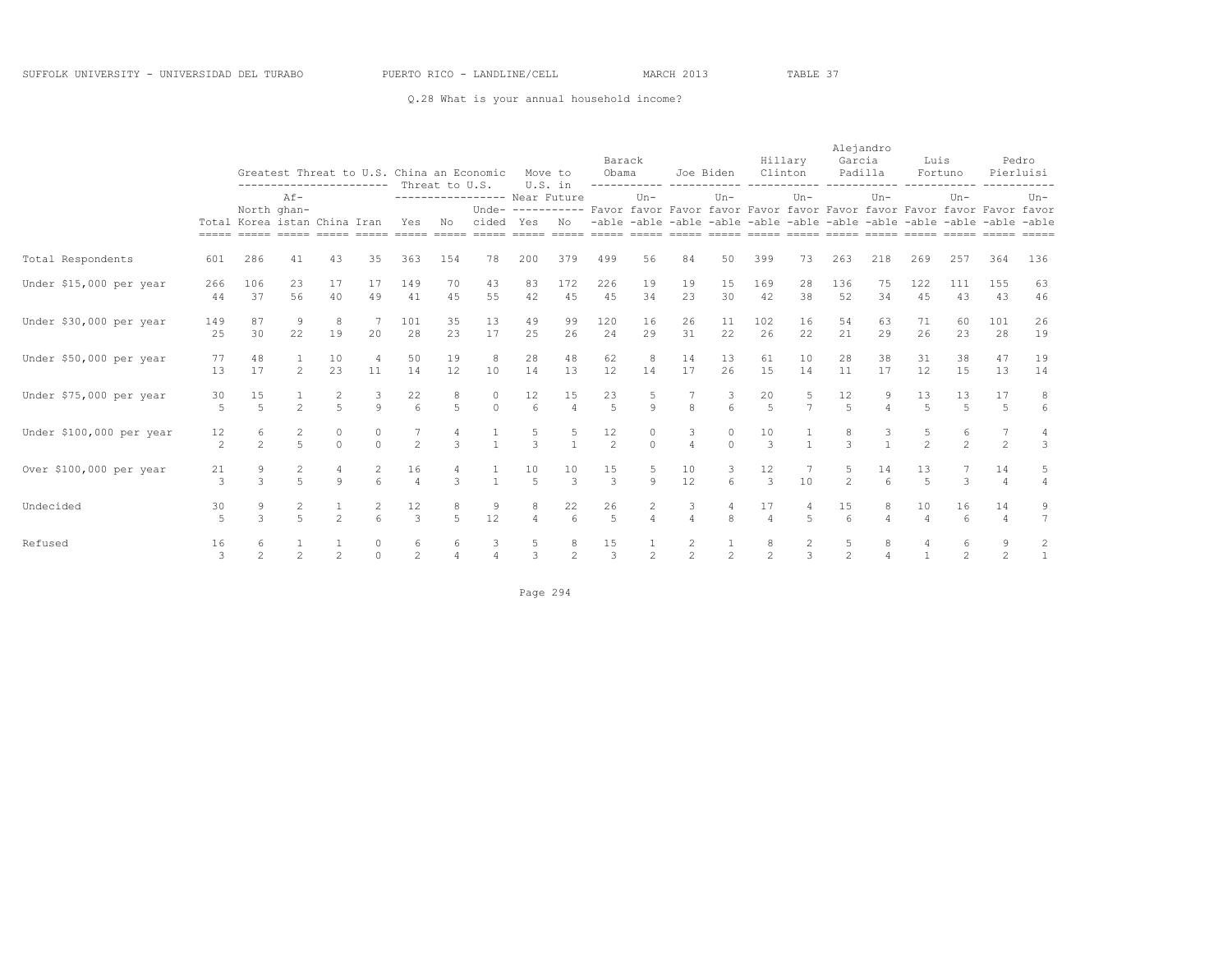## Q.28 What is your annual household income?

|                          |                      | Greatest Threat to U.S. China an Economic<br>----------------------- Threat to U.S.<br>$Af -$ |                     |                     |                   |                       |                     |                                                                                                                          |                      | Move to<br>U.S. in     | Barack<br>Obama      | -----------         |                     | Joe Biden Clinton   |                      | Hillary             | Garcia                 | Alejandro<br>Padilla | Luis                 | Fortuno              |                      | Pedro<br>Pierluisi                                                      |
|--------------------------|----------------------|-----------------------------------------------------------------------------------------------|---------------------|---------------------|-------------------|-----------------------|---------------------|--------------------------------------------------------------------------------------------------------------------------|----------------------|------------------------|----------------------|---------------------|---------------------|---------------------|----------------------|---------------------|------------------------|----------------------|----------------------|----------------------|----------------------|-------------------------------------------------------------------------|
|                          |                      |                                                                                               | North ghan-         |                     |                   |                       |                     | ---------------- Near Future<br>Unde- ---------- Favor favor Favor favor Favor favor Favor favor Favor favor Favor favor |                      |                        |                      | $Un -$              |                     | Un-                 |                      | $Un-$               |                        | $Un-$                |                      | $Un -$               |                      | $Un -$                                                                  |
|                          |                      | Total Korea istan China Iran                                                                  |                     |                     |                   | Yes                   | N <sub>O</sub>      | cided Yes                                                                                                                |                      | N <sub>O</sub>         |                      |                     |                     |                     |                      |                     |                        |                      |                      |                      |                      | -able -able -able -able -able -able -able -able -able -able -able -able |
| Total Respondents        | 601                  | 286                                                                                           | 41                  | 43                  | 35                | 363                   | 154                 | 78                                                                                                                       | 200                  | 379                    | 499                  | 56                  | 84                  | 50                  | 399                  | 73                  | 263                    | 218                  | 269                  | 257                  | 364                  | 136                                                                     |
| Under \$15,000 per year  | 266<br>44            | 106<br>37                                                                                     | 23<br>56            | 17<br>40            | 17<br>49          | 149<br>41             | 70<br>45            | 43<br>55                                                                                                                 | 83<br>42             | 172<br>45              | 226<br>45            | 19<br>34            | 19<br>23            | 15<br>30            | 169<br>42            | 28<br>38            | 136<br>52              | 75<br>34             | 122<br>45            | 111<br>43            | 155<br>43            | 63<br>46                                                                |
| Under \$30,000 per year  | 149<br>25            | 87<br>30                                                                                      | $\mathcal{G}$<br>22 | 8<br>19             | 20                | 101<br>28             | 35<br>23            | 13<br>17                                                                                                                 | 49<br>25             | 99<br>26               | 120<br>24            | 16<br>29            | 26<br>31            | 11<br>22            | 102<br>26            | 16<br>22            | 54<br>21               | 63<br>29             | 71<br>26             | 60<br>23             | 101<br>28            | 26<br>19                                                                |
| Under \$50,000 per year  | 77<br>13             | 48<br>17                                                                                      | $\mathfrak{D}$      | 10<br>23            | 11                | 50<br>14              | 19<br>12            | 8<br>10                                                                                                                  | 28<br>14             | 48<br>13               | 62<br>12             | 8<br>14             | 14<br>17            | 13<br>26            | 61<br>15             | 10<br>14            | 28<br>11               | 38<br>17             | 31<br>12             | 38<br>15             | 47<br>13             | 19<br>14                                                                |
| Under \$75,000 per year  | 30<br>$\overline{5}$ | 15<br>$\overline{a}$                                                                          | $\mathfrak{D}$      | 2<br>$\overline{a}$ | 3<br>$\mathsf{Q}$ | 22<br>$6\overline{6}$ | 8<br>$\overline{5}$ | 0<br>$\Omega$                                                                                                            | 12<br>$\kappa$       | 15<br>$\overline{4}$   | 23<br>$\overline{5}$ | Q                   | $\mathbf{R}$        | 3<br>$6^{\circ}$    | 20<br>$\overline{5}$ | 5<br>$\overline{7}$ | 12<br>5 <sub>1</sub>   | $\overline{a}$       | 13<br>$\overline{a}$ | 13<br>$\overline{5}$ | 17<br>$\overline{5}$ | 8<br>$6\overline{6}$                                                    |
| Under \$100,000 per year | 12<br>2              | 6<br>$\mathfrak{D}$                                                                           | 2<br>$\overline{5}$ | 0<br>$\circ$        | $\Omega$          | $\overline{2}$        | $\mathcal{E}$       | $\frac{1}{1}$                                                                                                            | $\frac{5}{3}$        |                        | 12<br>$\overline{2}$ | 0<br>$\Omega$       | 3<br>$\overline{4}$ | $\circ$<br>$\Omega$ | 10<br>$\mathcal{E}$  | $\mathbf{1}$        | $\mathcal{L}$          | $\frac{3}{1}$        | $\mathfrak{D}$       | 6<br>$\mathfrak{D}$  | $\overline{2}$       | 4<br>3                                                                  |
| Over \$100,000 per year  | 21<br>3              | 9<br>$\mathcal{L}$                                                                            | $\overline{a}$      | $\mathsf{Q}$        | $6^{\circ}$       | 16<br>$\overline{4}$  | 4<br>3              | $\mathbf{1}$                                                                                                             | 10<br>$\overline{5}$ | 10<br>$\mathcal{E}$    | 15<br>3              | Q                   | 10<br>12            | 3<br>6              | 12<br>$\mathcal{E}$  | 10 <sup>°</sup>     | $\overline{2}$         | 14<br>6              | 13<br>5              | 3                    | 14<br>$\Delta$       | 5<br>$\overline{4}$                                                     |
| Undecided                | 30<br>5              | 9<br>$\mathcal{L}$                                                                            | $\overline{a}$      | $\mathfrak{D}$      | $\overline{c}$    | 12<br>$\overline{3}$  | $\overline{a}$      | 9<br>12                                                                                                                  | 8<br>$\overline{4}$  | 22<br>$6 \overline{6}$ | 26<br>$\overline{5}$ | 2<br>$\overline{4}$ | 3<br>$\overline{4}$ | 8                   | 17<br>$\overline{4}$ | 5                   | 15<br>$6 \overline{6}$ | $\overline{4}$       | 10                   | 16<br>$6^{6}$        | 14<br>$\overline{4}$ | 9<br>$\overline{7}$                                                     |
| Refused                  | 16<br>3              | 6<br>$\overline{2}$                                                                           |                     | $\frac{1}{2}$       | 0<br>$\Omega$     | 6<br>$\overline{2}$   | 6<br>$\overline{4}$ | $\frac{3}{4}$                                                                                                            | 5<br>$\overline{3}$  | 8<br>$\overline{2}$    | 15<br>$\overline{3}$ | $\frac{1}{2}$       | $\frac{2}{2}$       | $\frac{1}{2}$       | 8<br>$\overline{2}$  | $\frac{2}{3}$       | $\overline{2}$         | 8<br>$\Delta$        | $\mathbf{1}$         | 6<br>$\mathfrak{D}$  | $\mathfrak{D}$       | $\frac{2}{1}$                                                           |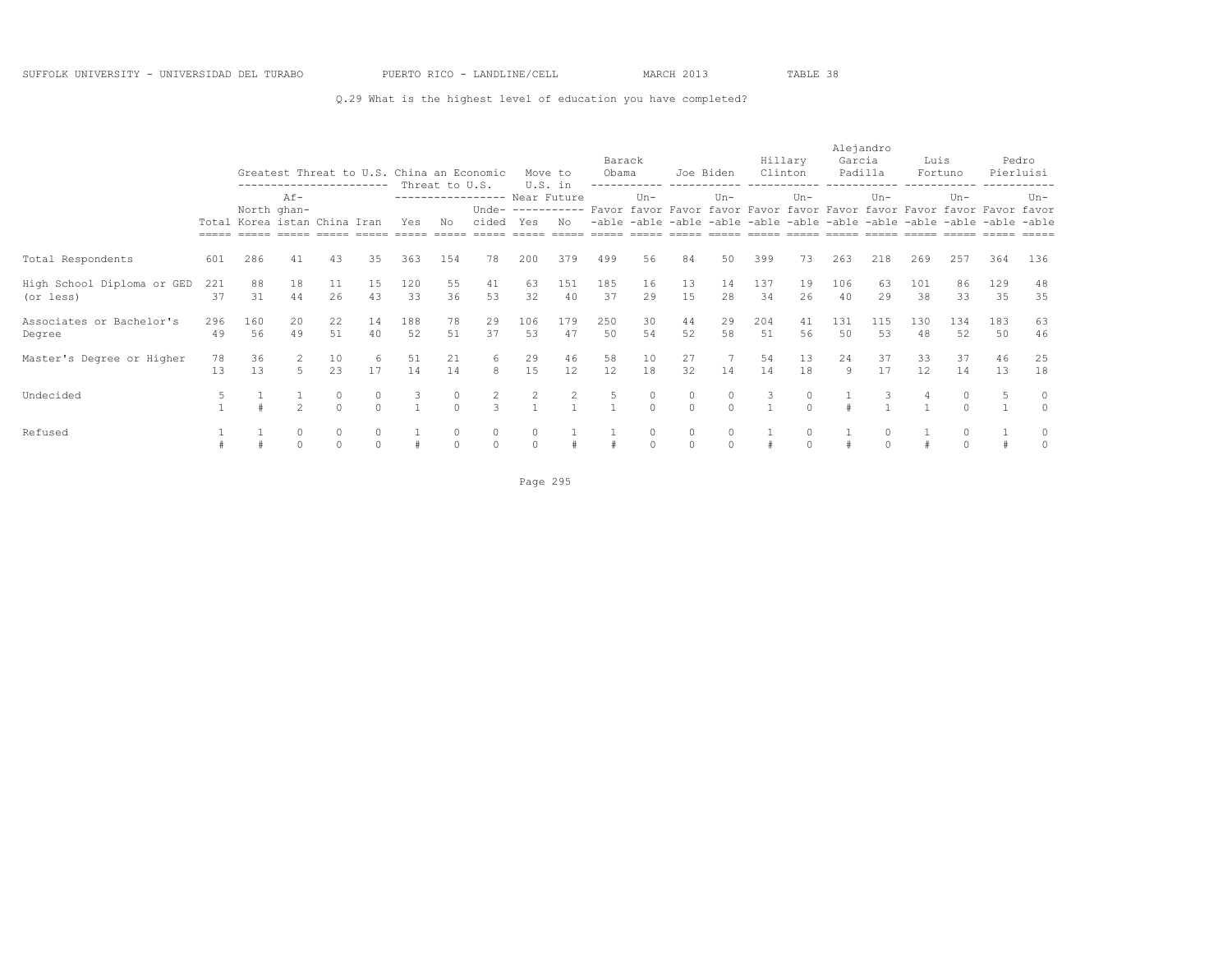## Q.29 What is the highest level of education you have completed?

|                                         |           | Greatest Threat to U.S. China an Economic<br>-----------------------<br>$Af -$ |                |          |          |           | Threat to U.S. |                                           |              | Move to<br>U.S. in | Barack<br>Obama | ------------       | Joe Biden     |          |           | Hillary<br>Clinton | Alejandro<br>Garcia<br>Padilla |           | Luis      | Fortuno                                                                                                                                                                       |           | Pedro<br>Pierluisi |
|-----------------------------------------|-----------|--------------------------------------------------------------------------------|----------------|----------|----------|-----------|----------------|-------------------------------------------|--------------|--------------------|-----------------|--------------------|---------------|----------|-----------|--------------------|--------------------------------|-----------|-----------|-------------------------------------------------------------------------------------------------------------------------------------------------------------------------------|-----------|--------------------|
|                                         |           | Total Korea istan China Iran                                                   | North ghan-    |          |          | Yes       | No             | ---------------- Near Future<br>cided Yes |              | No                 |                 | $Un -$             |               | $Un -$   |           | $Un-$              |                                | $Un-$     |           | $Un -$<br>Unde- ---------- Favor favor Favor favor Favor favor Favor favor Favor favor Favor favor<br>-able -able -able -able -able -able -able -able -able -able -able -able |           | $Un-$              |
| Total Respondents                       | 601       | 286                                                                            | 41             | 43       | 35       | 363       | 154            | 78                                        | 200          | 379                | 499             | 56                 | 84            | 50       | 399       | 73                 | 263                            | 218       | 269       | 257                                                                                                                                                                           | 364       | 136                |
| High School Diploma or GED<br>(or less) | 221<br>37 | 88<br>31                                                                       | 18<br>44       | 11<br>26 | 15<br>43 | 120<br>33 | 55<br>36       | 41<br>53                                  | 63<br>32     | 151<br>40          | 185<br>37       | 16<br>29           | 13<br>15      | 14<br>28 | 137<br>34 | 19<br>26           | 106<br>40                      | 63<br>29  | 101<br>38 | 86<br>33                                                                                                                                                                      | 129<br>35 | 48<br>35           |
| Associates or Bachelor's<br>Degree      | 296<br>49 | 160<br>56                                                                      | 20<br>49       | 22<br>51 | 14<br>40 | 188<br>52 | 78<br>51       | 29<br>37                                  | 106<br>53    | 179<br>47          | 250<br>50       | 30<br>54           | 44<br>52      | 29<br>58 | 204<br>51 | 41<br>56           | 131<br>50                      | 115<br>53 | 130<br>48 | 134<br>52                                                                                                                                                                     | 183<br>50 | 63<br>46           |
| Master's Degree or Higher               | 78<br>13  | 36<br>13                                                                       | 2<br>5         | 10<br>23 | 6<br>17  | 51<br>14  | 21<br>14       | 6<br>8                                    | 29<br>15     | 46<br>12           | 58<br>12        | 10<br>18           | 27<br>32      | 14       | 54<br>14  | 13<br>18           | 24<br>9                        | 37<br>17  | 33<br>12. | 37<br>14                                                                                                                                                                      | 46<br>13  | 25<br>18           |
| Undecided                               | 5         |                                                                                | $\mathfrak{D}$ |          |          | 3         | 0<br>$\Omega$  | 2<br>3                                    | 2            |                    |                 | 0<br>$\Omega$      | 0<br>$\Omega$ | $\Omega$ | 3         | $\Omega$           |                                |           |           | 0<br>$\Omega$                                                                                                                                                                 |           | $\Omega$           |
| Refused                                 |           |                                                                                | $\Omega$       | $\Omega$ | $\Omega$ |           | 0<br>$\Omega$  | $\circ$<br>$\circ$                        | 0<br>$\circ$ |                    |                 | $\circ$<br>$\circ$ | 0<br>$\circ$  | $\circ$  |           |                    |                                | $\Omega$  |           | 0<br>$\Omega$                                                                                                                                                                 |           | 0                  |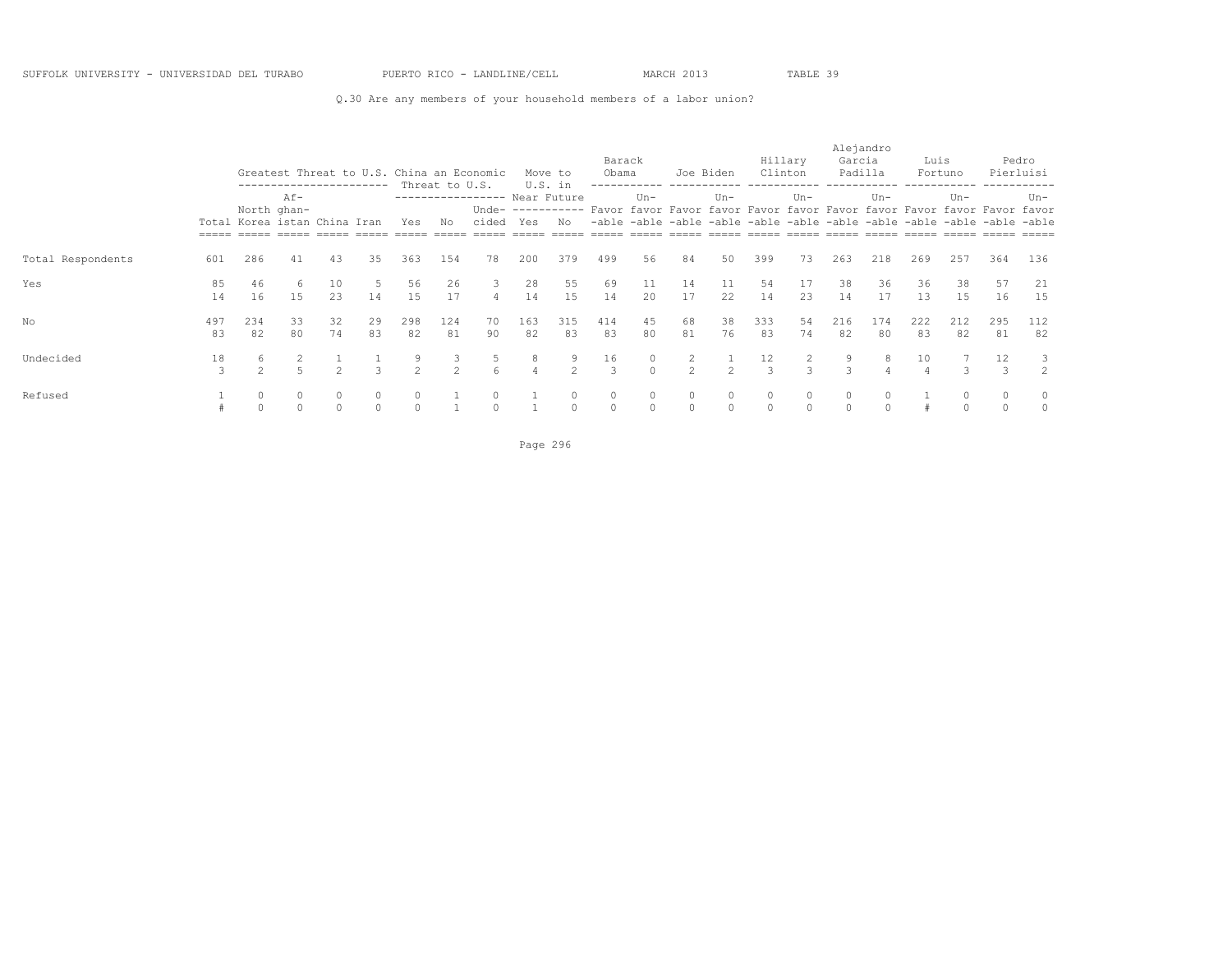## Q.30 Are any members of your household members of a labor union?

|                   |           |                                             | ------------------------ |                |                   |                     |                      | Greatest Threat to U.S. China an Economic |                     | Move to       | Barack<br>Obama                                                                          |                     | Joe Biden                                                               |                     |                     | Hillary<br>Clinton | Alejandro<br>Garcia<br>Padilla |               | Luis      | Fortuno             |                     | Pedro<br>Pierluisi |
|-------------------|-----------|---------------------------------------------|--------------------------|----------------|-------------------|---------------------|----------------------|-------------------------------------------|---------------------|---------------|------------------------------------------------------------------------------------------|---------------------|-------------------------------------------------------------------------|---------------------|---------------------|--------------------|--------------------------------|---------------|-----------|---------------------|---------------------|--------------------|
|                   |           | North ghan-<br>Total Korea istan China Iran | $Af -$                   |                |                   | Yes                 | Threat to U.S.<br>No | ---------------- Near Future<br>cided     | Yes                 | U.S. in<br>No | Unde- ---------- Favor favor Favor favor Favor favor Favor favor Favor favor Favor favor | $Un -$              | -able -able -able -able -able -able -able -able -able -able -able -able | $Un -$              |                     | $Un-$              |                                | $Un -$        |           | $Un -$              |                     | $Un-$              |
| Total Respondents | 601       | 286                                         | 41                       | 43             | 35                | 363                 | 154                  | 78                                        | 200                 | 379           | 499                                                                                      | 56                  | 84                                                                      | 50                  | 399                 | 73                 | 263                            | 218           | 269       | 257                 | 364                 | 136                |
| Yes               | 85<br>14  | 46<br>16                                    | 6<br>15                  | 10<br>23       | 14                | 56<br>15            | 26<br>17             | 3<br>$\overline{4}$                       | 28<br>14            | 55<br>15      | 69<br>14                                                                                 | 11<br>20            | 14<br>17                                                                | 11<br>22            | 54<br>14            | 17<br>23           | 38<br>14                       | 36<br>17      | 36<br>13  | 38<br>15            | 57<br>16            | 21<br>15           |
| No                | 497<br>83 | 234<br>82                                   | 33<br>80                 | 32<br>74       | 29<br>83          | 298<br>82           | 124<br>81            | 70<br>90                                  | 163<br>82           | 315<br>83     | 414<br>83                                                                                | 45<br>80            | 68<br>81                                                                | 38<br>76            | 333<br>83           | 54<br>74           | 216<br>82                      | 174<br>80     | 222<br>83 | 212<br>82           | 295<br>81           | 112<br>82          |
| Undecided         | 18<br>3   | 6                                           |                          | $\mathfrak{D}$ | $\mathcal{L}$     | 9<br>$\mathfrak{D}$ | $\mathcal{L}$        | 5<br>$\epsilon$                           | 8<br>$\overline{4}$ | $2^{1}$       | 16<br>$\mathcal{L}$                                                                      | 0<br>$\Omega$       | 2<br>$\mathfrak{D}$                                                     | $2^{1}$             | 12<br>$\mathcal{L}$ | $\mathcal{L}$      | $\mathcal{L}$                  | 8             | 10        | $\mathcal{L}$       | 12<br>$\mathcal{L}$ | $\mathfrak{D}$     |
| Refused           |           | $\circ$<br>$\Omega$                         | $\circ$<br>$\bigcap$     |                | $\circ$<br>$\cap$ | $\circ$<br>$\Omega$ |                      | $\circ$<br>$\cap$                         |                     | $\cap$        | $\circ$<br>$\Omega$                                                                      | $\circ$<br>$\Omega$ | 0<br>$\Omega$                                                           | $\circ$<br>$\Omega$ | $\circ$<br>$\Omega$ | $\Omega$           | $\circ$<br>$\cap$              | 0<br>$\Omega$ |           | $\circ$<br>$\Omega$ | $\Omega$            | $\cap$             |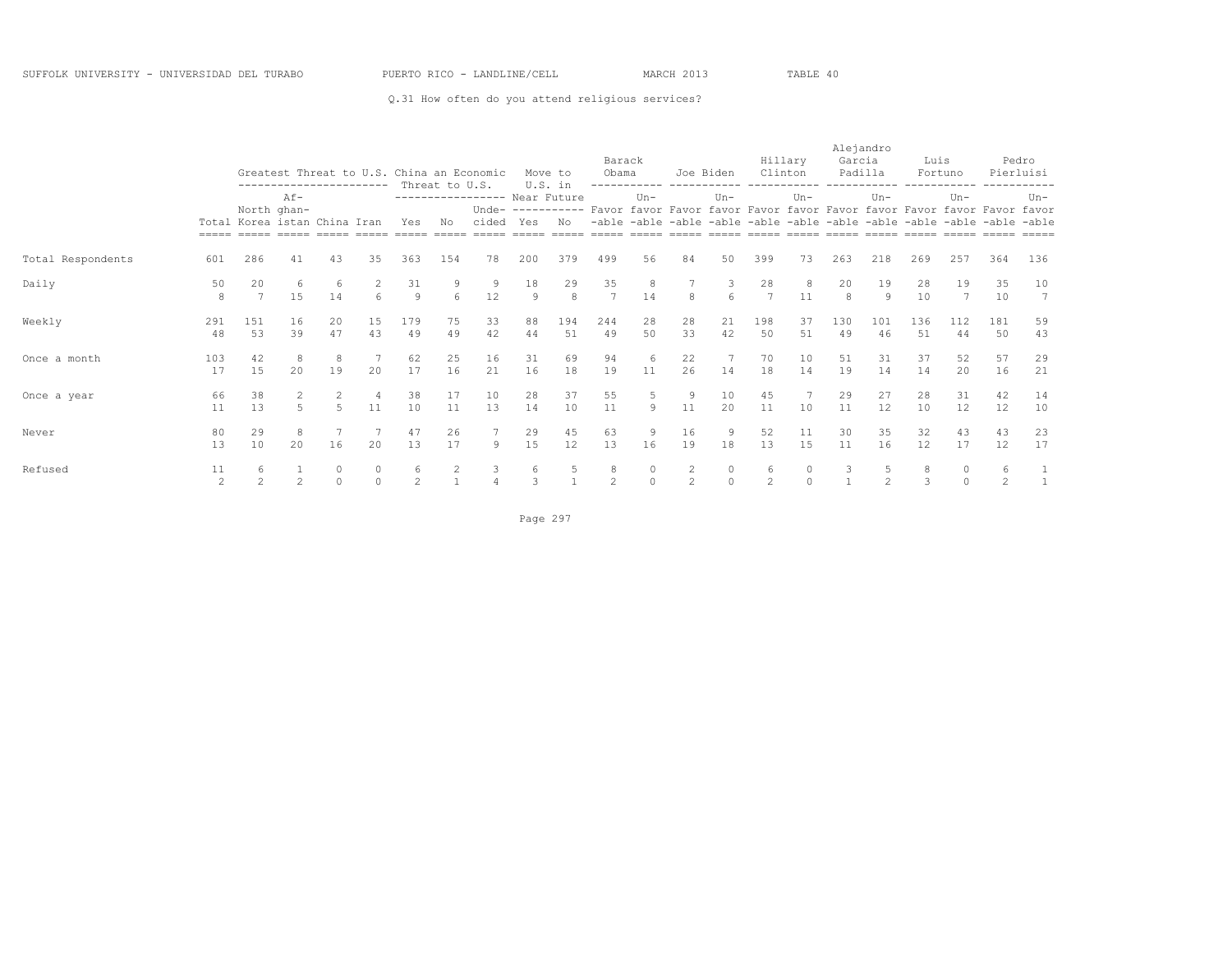## Q.31 How often do you attend religious services?

|                   |           | Greatest Threat to U.S. China an Economic<br>-----------------------<br>$Af -$ |                     |               |                     |           |                      |                                       |                      | Move to<br>U.S. in | Barack<br>Obama    | -----------         | Joe Biden                        |                     | Hillary<br>Clinton |          | Alejandro<br>Garcia<br>Padilla |                     | Luis               | Fortuno             | Pierluisi                                                                                                                                                           | Pedro                 |
|-------------------|-----------|--------------------------------------------------------------------------------|---------------------|---------------|---------------------|-----------|----------------------|---------------------------------------|----------------------|--------------------|--------------------|---------------------|----------------------------------|---------------------|--------------------|----------|--------------------------------|---------------------|--------------------|---------------------|---------------------------------------------------------------------------------------------------------------------------------------------------------------------|-----------------------|
|                   |           | North ghan-<br>Total Korea istan China Iran                                    |                     |               |                     | Yes       | Threat to U.S.<br>No | ---------------- Near Future<br>cided | Yes                  | No.                |                    | $Un -$              |                                  | $Un -$              |                    | $Un-$    |                                | $Un -$              |                    | $Un -$              | Unde- ---------- Favor favor Favor favor Favor favor Favor favor Favor favor Favor favor<br>-able -able -able -able -able -able -able -able -able -able -able -able | $Un-$                 |
| Total Respondents | 601       | 286                                                                            | 41                  | 43            | 35                  | 363       | $------$<br>154      | $=====$<br>78                         | 200                  | -----<br>379       | 499                | 56                  | 84                               | 50                  | 399                | 73       | 263                            | 218                 | 269                | 257                 | 364                                                                                                                                                                 | 136                   |
| Daily             | 50<br>8   | 20<br>$\overline{7}$                                                           | 6<br>15             | 6<br>14       | 6                   | 31<br>9   | 9<br>6               | 9<br>12                               | 18<br>$\overline{9}$ | 29<br>8            | 35<br>7            | 8<br>14             | 7<br>8                           | 3<br>6              | 28<br>7            | 8<br>11  | 20<br>8                        | 19<br>9             | 28<br>10           | 19<br>7             | 35<br>10                                                                                                                                                            | 10<br>$7\overline{ }$ |
| Weekly            | 291<br>48 | 151<br>53                                                                      | 16<br>39            | 20<br>47      | 15<br>43            | 179<br>49 | 75<br>49             | 33<br>42                              | 88<br>44             | 194<br>51          | 244<br>49          | 28<br>50            | 28<br>33                         | 21<br>42            | 198<br>50          | 37<br>51 | 130<br>49                      | 101<br>46           | 136<br>51          | 112<br>44           | 181<br>50                                                                                                                                                           | 59<br>43              |
| Once a month      | 103<br>17 | 42<br>15                                                                       | 8<br>20             | 8<br>19       | 20                  | 62<br>17  | 25<br>16             | 16<br>21                              | 31<br>16             | 69<br>18           | 94<br>19           | 6<br>11             | 22<br>26                         | 14                  | 70<br>18           | 10<br>14 | 51<br>19                       | 31<br>14            | 37<br>14           | 52<br>20            | 57<br>16                                                                                                                                                            | 29<br>21              |
| Once a year       | 66<br>11  | 38<br>13                                                                       | $\overline{2}$<br>5 | 2<br>5        | 11                  | 38<br>10  | 17<br>11             | 10<br>13                              | 28<br>14             | 37<br>10           | 55<br>11           | 5<br>9              | $\mathcal{G}$<br>11              | 10<br>20            | 45<br>11           | 10       | 29<br>11                       | 27<br>12            | 28<br>10           | 31<br>12            | 42<br>12                                                                                                                                                            | 14<br>10              |
| Never             | 80<br>13  | 29<br>10                                                                       | 8<br>20             | 16            | 20                  | 47<br>13  | 26<br>17             | $\overline{7}$<br>$\overline{9}$      | 29<br>15             | 45<br>12           | 63<br>13           | 9<br>16             | 16<br>19                         | 9<br>18             | 52<br>13           | 11<br>15 | 30<br>11                       | 35<br>16            | 32<br>12           | 43<br>17            | 43<br>12                                                                                                                                                            | 23<br>17              |
| Refused           | 11<br>2   | 6                                                                              | $\mathfrak{D}$      | 0<br>$\Omega$ | $\circ$<br>$\Omega$ | 6<br>2    | 2                    | 3<br>$\Delta$                         | 6<br>3               | 5                  | 8<br>$\mathcal{L}$ | $\circ$<br>$\Omega$ | $\overline{c}$<br>$\overline{c}$ | $\circ$<br>$\Omega$ | 6<br>2             | $\Omega$ | 3                              | 5<br>$\overline{c}$ | 8<br>$\mathcal{L}$ | $\circ$<br>$\Omega$ | 6<br>2                                                                                                                                                              |                       |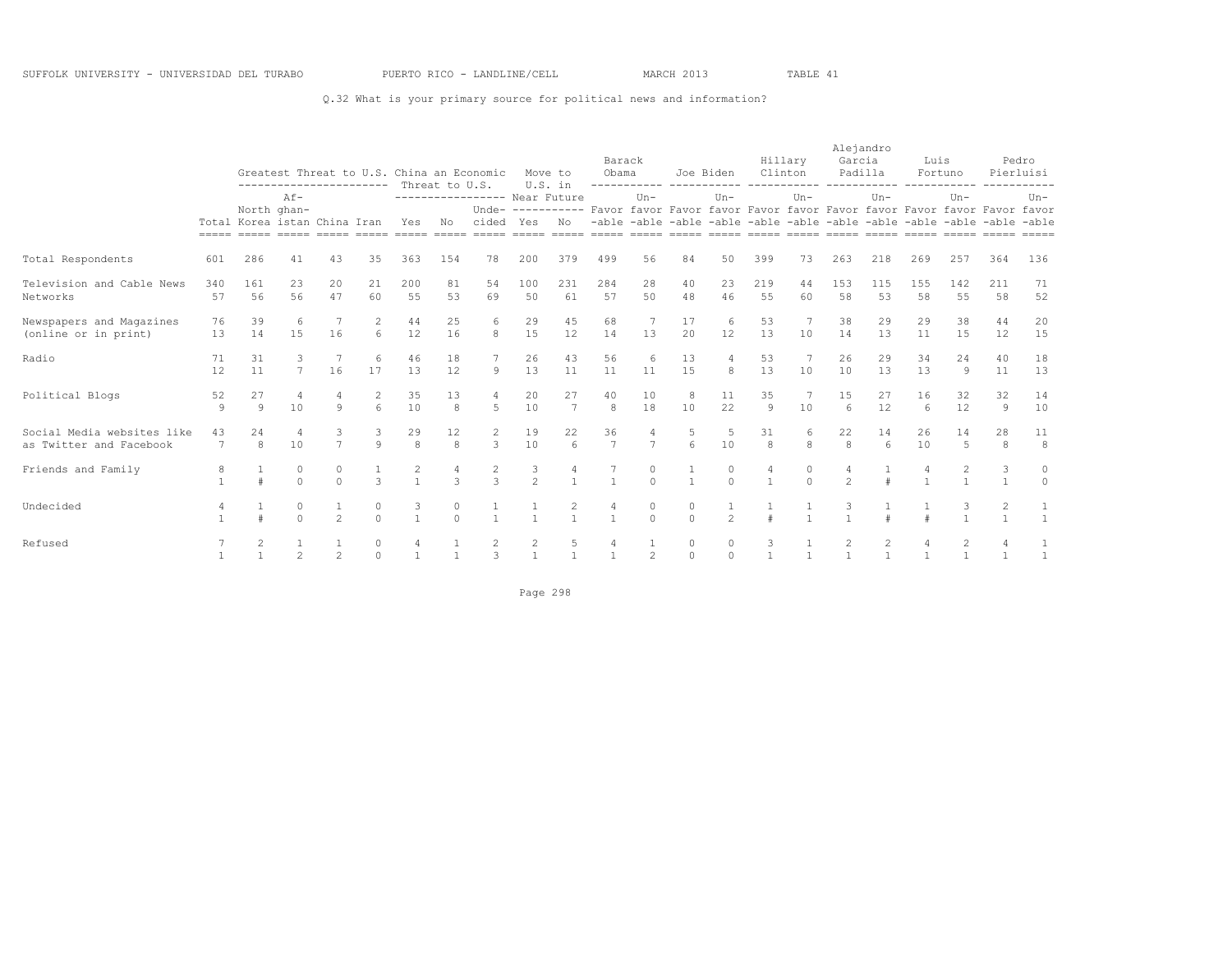## Q.32 What is your primary source for political news and information?

|                                                       |                      | Greatest Threat to U.S. China an Economic<br>----------------------- Threat to U.S.<br>$AF-$ |                      |                |                       |                     |                     |                              |                     | Move to<br>U.S. in | Barack<br>Obama                                                                          |                | ------------ ----------- | Joe Biden      | Clinton             | Hillary      | Garcia                  | Alejandro<br>Padilla  | Luis                                                                    | Fortuno           |           | Pedro<br>Pierluisi           |
|-------------------------------------------------------|----------------------|----------------------------------------------------------------------------------------------|----------------------|----------------|-----------------------|---------------------|---------------------|------------------------------|---------------------|--------------------|------------------------------------------------------------------------------------------|----------------|--------------------------|----------------|---------------------|--------------|-------------------------|-----------------------|-------------------------------------------------------------------------|-------------------|-----------|------------------------------|
|                                                       |                      |                                                                                              | North ghan-          |                |                       |                     |                     | ---------------- Near Future |                     |                    | Unde- ---------- Favor favor Favor favor Favor favor Favor favor Favor favor Favor favor | $Un -$         |                          | $Un-$          |                     | $Un-$        |                         | $Un-$                 |                                                                         | $Un -$            |           | $Un-$                        |
|                                                       |                      | Total Korea istan China Iran                                                                 |                      |                |                       | Yes                 | No                  | cided Yes                    |                     | No                 |                                                                                          |                |                          |                |                     |              |                         |                       | -able -able -able -able -able -able -able -able -able -able -able -able |                   |           |                              |
| Total Respondents                                     | 601                  | 286                                                                                          | 41                   | 43             | 35                    | 363                 | 154                 | 78                           | 200                 | 379                | 499                                                                                      | 56             | 84                       | 50             | 399                 | 73           | 263                     | 218                   | 269                                                                     | 257               | 364       | 136                          |
| Television and Cable News<br>Networks                 | 340<br>57            | 161<br>56                                                                                    | 23<br>56             | 20<br>47       | 21<br>60              | 200<br>55           | 81<br>53            | 54<br>69                     | 100<br>50           | 231<br>61          | 284<br>57                                                                                | 28<br>50       | 40<br>48                 | 23<br>46       | 219<br>55           | 44<br>60     | 153<br>58               | 115<br>53             | 155<br>58                                                               | 142<br>55         | 211<br>58 | 71<br>52                     |
| Newspapers and Magazines<br>(online or in print)      | 76<br>13             | 39<br>14                                                                                     | 6<br>15              | 16             | 6                     | 44<br>12            | 25<br>16            | 6<br>8                       | 29<br>15            | 45<br>12           | 68<br>14                                                                                 | 13             | 17<br>20                 | 6<br>12        | 53<br>13            | 10           | 38<br>14                | 29<br>13              | 29<br>11                                                                | 38<br>15          | 44<br>12  | 20<br>15                     |
| Radio                                                 | 71<br>12             | 31<br>11                                                                                     | $\overline{7}$       | 16             | 17                    | 46<br>13            | 18<br>12            | $\mathcal{G}$                | 26<br>13            | 43<br>11           | 56<br>11                                                                                 | 6<br>11        | 13<br>15                 | 8              | 53<br>13            | 10           | 26<br>10                | 29<br>13              | 34<br>13                                                                | 24<br>9           | 40<br>11  | 18<br>13                     |
| Political Blogs                                       | 52<br>9              | 27<br>Q                                                                                      | $\overline{4}$<br>10 | Q              | 2<br>$6 \overline{6}$ | 35<br>10            | 13<br>$\mathcal{R}$ | 4<br>$\overline{5}$          | 20<br>10            | 27<br>7            | 40<br>8                                                                                  | 10<br>18       | 8<br>10                  | 11<br>22       | 35<br>$\mathcal{Q}$ | 10           | 1.5<br>$6 \overline{6}$ | 27<br>12              | 16<br>$\epsilon$                                                        | 32<br>12          | 32<br>9   | 14<br>10                     |
| Social Media websites like<br>as Twitter and Facebook | 43<br>$\overline{7}$ | 2.4<br>8                                                                                     | $\overline{4}$<br>10 | $\overline{7}$ | $\mathcal{Q}$         | 29<br>$\mathcal{S}$ | 12<br>8             | 2<br>3                       | 19<br>10            | 22<br>6            | 36<br>$\overline{7}$                                                                     | $\overline{7}$ | $6\overline{6}$          | 10             | 31<br>8             | 8            | 22<br>8                 | 14<br>$6\overline{6}$ | 26<br>10                                                                | 14<br>5           | 28<br>8   | 11<br>8                      |
| Friends and Family                                    |                      |                                                                                              | 0<br>$\cap$          | 0<br>$\cap$    | $\mathcal{R}$         | 2                   | $\mathcal{L}$       | 2<br>$\mathcal{L}$           | $\frac{3}{2}$       |                    |                                                                                          | $\Omega$       | $\mathbf{1}$             | $\Omega$       |                     | $\cap$       | $\mathfrak{D}$          |                       |                                                                         | 2                 | 3         | 0<br>$\Omega$                |
| Undecided                                             |                      |                                                                                              | $\circ$<br>$\Omega$  | $\mathfrak{D}$ |                       | 3<br>$\overline{1}$ | 0<br>$\cap$         | $\mathbf{1}$                 |                     | $\mathbf{1}$       | $\mathbf{1}$                                                                             | $\cap$         | 0<br>$\cap$              | $\mathfrak{D}$ |                     |              |                         |                       |                                                                         | 3<br>$\mathbf{1}$ | 2         |                              |
| Refused                                               |                      | 2                                                                                            | $\overline{c}$       | $\overline{c}$ | $\Omega$              | $\overline{1}$      | $\overline{1}$      | 2<br>3                       | 2<br>$\overline{1}$ | 5<br>$\mathbf{1}$  | $\mathbf{1}$                                                                             | 2              | $\circ$<br>$\Omega$      | 0<br>$\Omega$  | 3                   | $\mathbf{1}$ | $\mathbf{1}$            | $\overline{1}$        | $\mathbf{1}$                                                            | 2<br>$\mathbf{1}$ | 4         | $\mathbf{1}$<br>$\mathbf{1}$ |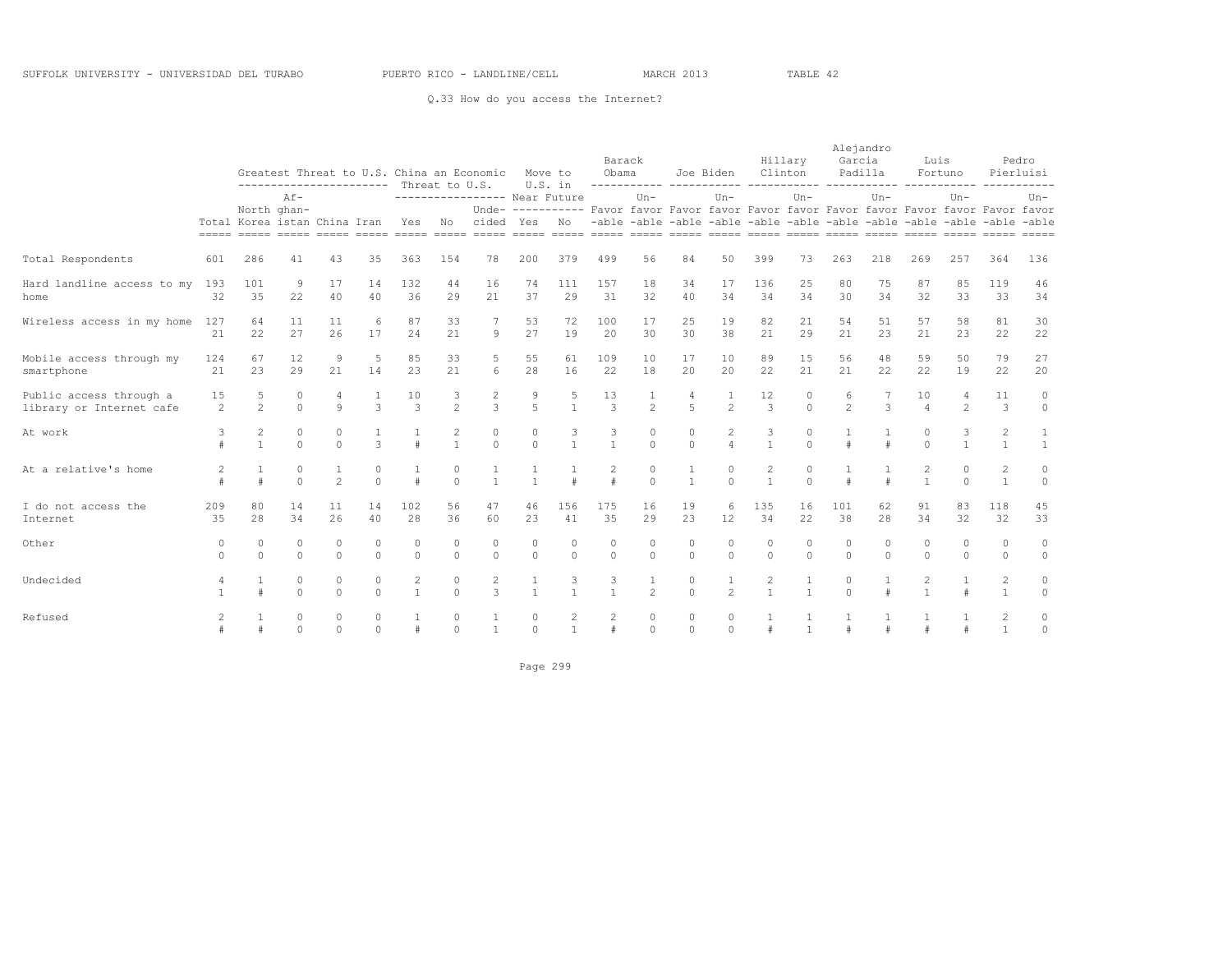## Q.33 How do you access the Internet?

|                            |                |                              |                                                                                     |                |               |                |                |                              |                |              |               |                       |              |                       |                |              |                | Alejandro |              |                                                                                          |                |              |
|----------------------------|----------------|------------------------------|-------------------------------------------------------------------------------------|----------------|---------------|----------------|----------------|------------------------------|----------------|--------------|---------------|-----------------------|--------------|-----------------------|----------------|--------------|----------------|-----------|--------------|------------------------------------------------------------------------------------------|----------------|--------------|
|                            |                |                              |                                                                                     |                |               |                |                |                              |                |              |               | Barack                |              |                       |                | Hillary      | Garcia         |           | Luis         |                                                                                          |                | Pedro        |
|                            |                |                              | Greatest Threat to U.S. China an Economic<br>----------------------- Threat to U.S. |                |               |                |                |                              |                | Move to      | Obama         |                       |              | Joe Biden             |                | Clinton      |                | Padilla   |              | Fortuno                                                                                  |                | Pierluisi    |
|                            |                |                              | $Af -$                                                                              |                |               |                |                | ---------------- Near Future |                | U.S. in      |               | ------------<br>$Un-$ |              | -----------<br>$Un -$ |                | $Un -$       |                | $Un -$    |              | $Un -$                                                                                   |                | $Un -$       |
|                            |                | North ghan-                  |                                                                                     |                |               |                |                |                              |                |              |               |                       |              |                       |                |              |                |           |              | Unde- ---------- Favor favor Favor favor Favor favor Favor favor Favor favor Favor favor |                |              |
|                            |                | Total Korea istan China Iran |                                                                                     |                |               | Yes            | No             | cided Yes No                 |                |              |               |                       |              |                       |                |              |                |           |              | -able -able -able -able -able -able -able -able -able -able -able -able                  |                |              |
|                            |                |                              |                                                                                     |                |               |                |                |                              |                |              |               |                       |              |                       |                |              |                |           |              |                                                                                          |                |              |
| Total Respondents          | 601            | 286                          | 41                                                                                  | 43             | 35            | 363            | 154            | 78                           | 200            | 379          | 499           | 56                    | 84           | 50                    | 399            | 73           | 263            | 218       | 269          | 257                                                                                      | 364            | 136          |
| Hard landline access to my | 193            | 101                          | 9                                                                                   | 17             | 14            | 132            | 44             | 16                           | 74             | 111          | 157           | 18                    | 34           | 17                    | 136            | 25           | 80             | 75        | 87           | 85                                                                                       | 119            | 46           |
| home                       | 32             | 35                           | 22                                                                                  | 40             | 40            | 36             | 29             | 21                           | 37             | 29           | 31            | 32                    | 40           | 34                    | 34             | 34           | 30             | 34        | 32           | 33                                                                                       | 33             | 34           |
| Wireless access in my home | 127            | 64                           | 11                                                                                  | 11             | 6             | 87             | 33             | 7                            | 53             | 72           | 100           | 17                    | 25           | 19                    | 82             | 21           | 54             | 51        | 57           | 58                                                                                       | 81             | 30           |
|                            | 2.1            | 22                           | 27                                                                                  | 26             | 17            | 2.4            | 21             | 9                            | 27             | 19           | 20            | 30                    | 30           | 38                    | 2.1            | 29           | 2.1            | 2.3       | 21           | 2.3                                                                                      | 22             | 22           |
| Mobile access through my   | 124            | 67                           | 12                                                                                  | 9              |               | 85             | 33             | 5                            | 55             | 61           | 109           | 10                    | 17           | 10                    | 89             | 15           | 56             | 48        | 59           | 50                                                                                       | 79             | 27           |
| smartphone                 | 21             | 23                           | 29                                                                                  | 2.1            | 14            | 23             | 21             | $6 \overline{6}$             | 28             | 16           | 22            | 18                    | 2.0          | 20                    | 22             | 2.1          | 21             | 22        | 22           | 19                                                                                       | 22             | 20           |
| Public access through a    | 15             | 5                            | $\circ$                                                                             |                |               | 10             | 3              | $\overline{c}$               | 9              | 5            | 13            |                       | 4            | 1                     | 12             | $\mathbf 0$  | 6              |           | 10           | $\overline{4}$                                                                           | 11             | $\circ$      |
| library or Internet cafe   | 2              | 2                            | $\Omega$                                                                            | $\circ$        | 3             | 3              | $\mathfrak{D}$ | 3                            | 5              | $\mathbf{1}$ | $\mathcal{E}$ | $\overline{2}$        | 5            | $\mathfrak{D}$        | 3              | $\Omega$     | $\mathfrak{D}$ | 3         | $\Delta$     | $\mathfrak{D}$                                                                           | 3              | $\circ$      |
| At work                    | 3              | 2                            | $\circ$                                                                             | 0              |               |                | 2              | $\circ$                      | 0              | 3            | 3             | 0                     | $\circ$      | 2                     | 3              | 0            |                |           | 0            | 3                                                                                        | $\overline{c}$ | 1            |
|                            |                | $\mathbf{1}$                 | $\cap$                                                                              | $\Omega$       | $\mathcal{L}$ | $\pm$          | $\mathbf{1}$   | $\Omega$                     | $\Omega$       | $\mathbf{1}$ | $\mathbf{1}$  | $\Omega$              | $\cap$       | $\overline{4}$        | $\mathbf{1}$   | $\Omega$     |                | #         | $\Omega$     | $\mathbf{1}$                                                                             | $\mathbf{1}$   | $\mathbf{1}$ |
| At a relative's home       | $\overline{c}$ | 1                            | $\circ$                                                                             |                | 0             |                | 0              | 1                            |                |              | 2             | $\mathbf{0}$          | 1            | 0                     | $\mathbf{2}$   | $\mathbf 0$  |                |           | 2            | 0                                                                                        | $\overline{2}$ | $\circ$      |
|                            | $\ddagger$     | $\ddagger$                   | $\Omega$                                                                            | $\mathfrak{D}$ | $\Omega$      | #              | $\Omega$       | $\mathbf{1}$                 |                |              | $\pm$         | $\Omega$              | $\mathbf{1}$ | $\Omega$              | $\overline{1}$ | $\Omega$     |                | $\pm$     | $\mathbf{1}$ | $\Omega$                                                                                 | $\mathbf{1}$   | $\circ$      |
| I do not access the        | 209            | 80                           | 14                                                                                  | 11             | 14            | 102            | 56             | 47                           | 46             | 156          | 175           | 16                    | 19           | 6                     | 135            | 16           | 101            | 62        | 91           | 83                                                                                       | 118            | 45           |
| Internet                   | 35             | 28                           | 34                                                                                  | 26             | 40            | 28             | 36             | 60                           | 23             | 41           | 35            | 29                    | 23           | 12                    | 34             | 22           | 38             | 28        | 34           | 32                                                                                       | 32             | 33           |
| Other                      | $\Omega$       | $\mathbf{0}$                 | $\circ$                                                                             | $\circ$        | 0             | 0              | $\Omega$       | $\circ$                      | $\circ$        | $\Omega$     | 0             | $\mathbf{0}$          | $\circ$      | $\mathbf{0}$          | $\circ$        | $\Omega$     | $\circ$        | $\Omega$  | $\Omega$     | $\circ$                                                                                  | $\circ$        | $\circ$      |
|                            | $\Omega$       | $\Omega$                     | $\Omega$                                                                            | $\Omega$       | $\Omega$      | $\Omega$       | $\Omega$       | $\Omega$                     | $\Omega$       | $\Omega$     | $\Omega$      | $\Omega$              | $\Omega$     | $\Omega$              | $\Omega$       | $\Omega$     | $\Omega$       | $\Omega$  | $\Omega$     | $\Omega$                                                                                 | $\Omega$       | $\circ$      |
| Undecided                  | $\overline{4}$ |                              | $\circ$                                                                             | $\circ$        | $\circ$       | $\overline{c}$ | $\circ$        | $\mathbf{2}$                 |                |              | 3             |                       | 0            | $\mathbf{1}$          | $\overline{c}$ |              | 0              |           |              |                                                                                          | $\overline{c}$ | $\circ$      |
|                            |                |                              | $\Omega$                                                                            | $\Omega$       | $\Omega$      | $\overline{1}$ | $\Omega$       | 3                            | $\overline{1}$ | $\mathbf{1}$ | $\mathbf{1}$  | $\overline{2}$        | $\Omega$     | $\mathfrak{D}$        |                | $\mathbf{1}$ | $\Omega$       |           |              |                                                                                          | $\mathbf{1}$   | $\circ$      |
| Refused                    |                |                              | 0                                                                                   | 0              | 0             |                | 0              |                              | $\circ$        | 2            | 2             | 0                     | 0            | 0                     |                |              |                |           |              |                                                                                          | 2              | 0            |
|                            |                |                              | $\Omega$                                                                            | $\Omega$       | $\Omega$      |                | $\Omega$       | $\overline{1}$               | $\Omega$       | $\mathbf{1}$ |               | $\Omega$              | $\cap$       | $\Omega$              |                | $\mathbf{1}$ |                |           |              |                                                                                          | $\mathbf{1}$   | $\circ$      |